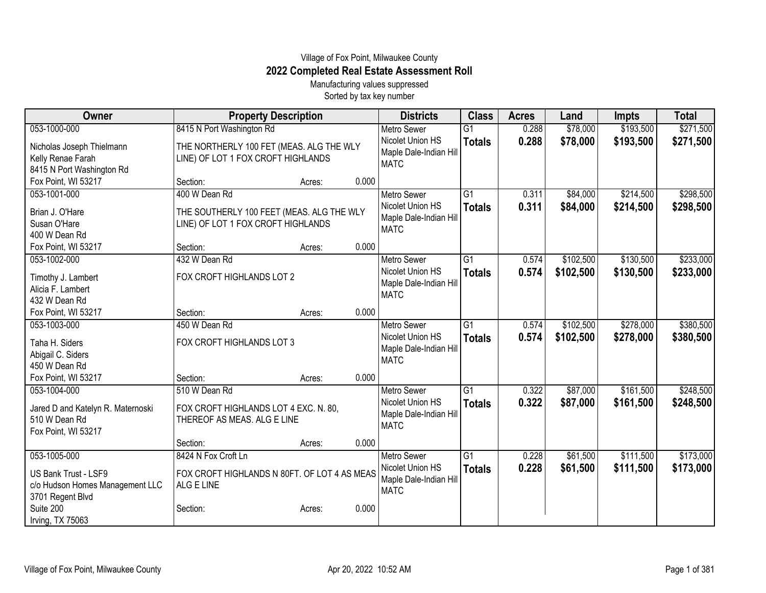## Village of Fox Point, Milwaukee County **2022 Completed Real Estate Assessment Roll**

Manufacturing values suppressed Sorted by tax key number

| Owner                                   | <b>Property Description</b>                  |        |       | <b>Districts</b>       | <b>Class</b>    | <b>Acres</b> | Land      | Impts     | <b>Total</b> |
|-----------------------------------------|----------------------------------------------|--------|-------|------------------------|-----------------|--------------|-----------|-----------|--------------|
| 053-1000-000                            | 8415 N Port Washington Rd                    |        |       | <b>Metro Sewer</b>     | $\overline{G1}$ | 0.288        | \$78,000  | \$193,500 | \$271,500    |
| Nicholas Joseph Thielmann               | THE NORTHERLY 100 FET (MEAS. ALG THE WLY     |        |       | Nicolet Union HS       | <b>Totals</b>   | 0.288        | \$78,000  | \$193,500 | \$271,500    |
| Kelly Renae Farah                       | LINE) OF LOT 1 FOX CROFT HIGHLANDS           |        |       | Maple Dale-Indian Hill |                 |              |           |           |              |
| 8415 N Port Washington Rd               |                                              |        |       | <b>MATC</b>            |                 |              |           |           |              |
| Fox Point, WI 53217                     | Section:                                     | Acres: | 0.000 |                        |                 |              |           |           |              |
| 053-1001-000                            | 400 W Dean Rd                                |        |       | <b>Metro Sewer</b>     | G1              | 0.311        | \$84,000  | \$214,500 | \$298,500    |
| Brian J. O'Hare                         | THE SOUTHERLY 100 FEET (MEAS. ALG THE WLY    |        |       | Nicolet Union HS       | <b>Totals</b>   | 0.311        | \$84,000  | \$214,500 | \$298,500    |
| Susan O'Hare                            | LINE) OF LOT 1 FOX CROFT HIGHLANDS           |        |       | Maple Dale-Indian Hill |                 |              |           |           |              |
| 400 W Dean Rd                           |                                              |        |       | <b>MATC</b>            |                 |              |           |           |              |
| Fox Point, WI 53217                     | Section:                                     | Acres: | 0.000 |                        |                 |              |           |           |              |
| 053-1002-000                            | 432 W Dean Rd                                |        |       | <b>Metro Sewer</b>     | $\overline{G1}$ | 0.574        | \$102,500 | \$130,500 | \$233,000    |
|                                         | FOX CROFT HIGHLANDS LOT 2                    |        |       | Nicolet Union HS       | <b>Totals</b>   | 0.574        | \$102,500 | \$130,500 | \$233,000    |
| Timothy J. Lambert<br>Alicia F. Lambert |                                              |        |       | Maple Dale-Indian Hill |                 |              |           |           |              |
| 432 W Dean Rd                           |                                              |        |       | <b>MATC</b>            |                 |              |           |           |              |
| Fox Point, WI 53217                     | Section:                                     | Acres: | 0.000 |                        |                 |              |           |           |              |
| 053-1003-000                            | 450 W Dean Rd                                |        |       | <b>Metro Sewer</b>     | $\overline{G1}$ | 0.574        | \$102,500 | \$278,000 | \$380,500    |
|                                         |                                              |        |       | Nicolet Union HS       | <b>Totals</b>   | 0.574        | \$102,500 | \$278,000 | \$380,500    |
| Taha H. Siders                          | FOX CROFT HIGHLANDS LOT 3                    |        |       | Maple Dale-Indian Hill |                 |              |           |           |              |
| Abigail C. Siders                       |                                              |        |       | <b>MATC</b>            |                 |              |           |           |              |
| 450 W Dean Rd                           |                                              |        |       |                        |                 |              |           |           |              |
| Fox Point, WI 53217                     | Section:                                     | Acres: | 0.000 |                        |                 |              |           |           |              |
| 053-1004-000                            | 510 W Dean Rd                                |        |       | <b>Metro Sewer</b>     | $\overline{G1}$ | 0.322        | \$87,000  | \$161,500 | \$248,500    |
| Jared D and Katelyn R. Maternoski       | FOX CROFT HIGHLANDS LOT 4 EXC. N. 80,        |        |       | Nicolet Union HS       | <b>Totals</b>   | 0.322        | \$87,000  | \$161,500 | \$248,500    |
| 510 W Dean Rd                           | THEREOF AS MEAS. ALG E LINE                  |        |       | Maple Dale-Indian Hill |                 |              |           |           |              |
| Fox Point, WI 53217                     |                                              |        |       | <b>MATC</b>            |                 |              |           |           |              |
|                                         | Section:                                     | Acres: | 0.000 |                        |                 |              |           |           |              |
| 053-1005-000                            | 8424 N Fox Croft Ln                          |        |       | <b>Metro Sewer</b>     | G1              | 0.228        | \$61,500  | \$111,500 | \$173,000    |
| US Bank Trust - LSF9                    | FOX CROFT HIGHLANDS N 80FT. OF LOT 4 AS MEAS |        |       | Nicolet Union HS       | <b>Totals</b>   | 0.228        | \$61,500  | \$111,500 | \$173,000    |
| c/o Hudson Homes Management LLC         | ALG E LINE                                   |        |       | Maple Dale-Indian Hill |                 |              |           |           |              |
| 3701 Regent Blvd                        |                                              |        |       | <b>MATC</b>            |                 |              |           |           |              |
| Suite 200                               | Section:                                     | Acres: | 0.000 |                        |                 |              |           |           |              |
| Irving, TX 75063                        |                                              |        |       |                        |                 |              |           |           |              |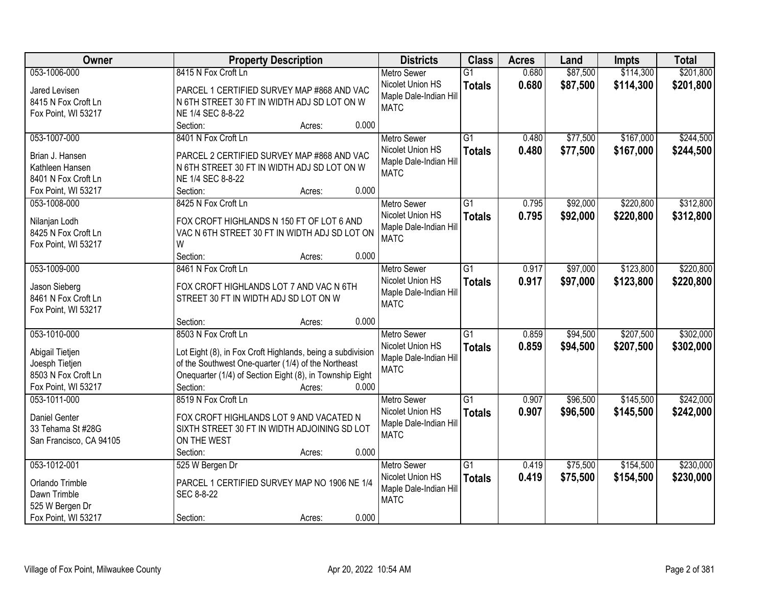| Owner                                      | <b>Property Description</b>                                                      | <b>Districts</b>                      | <b>Class</b>    | <b>Acres</b> | Land     | <b>Impts</b> | <b>Total</b> |
|--------------------------------------------|----------------------------------------------------------------------------------|---------------------------------------|-----------------|--------------|----------|--------------|--------------|
| 053-1006-000                               | 8415 N Fox Croft Ln                                                              | <b>Metro Sewer</b>                    | $\overline{G1}$ | 0.680        | \$87,500 | \$114,300    | \$201,800    |
| Jared Levisen                              | PARCEL 1 CERTIFIED SURVEY MAP #868 AND VAC                                       | Nicolet Union HS                      | <b>Totals</b>   | 0.680        | \$87,500 | \$114,300    | \$201,800    |
| 8415 N Fox Croft Ln                        | N 6TH STREET 30 FT IN WIDTH ADJ SD LOT ON W                                      | Maple Dale-Indian Hill                |                 |              |          |              |              |
| Fox Point, WI 53217                        | NE 1/4 SEC 8-8-22                                                                | <b>MATC</b>                           |                 |              |          |              |              |
|                                            | 0.000<br>Section:<br>Acres:                                                      |                                       |                 |              |          |              |              |
| 053-1007-000                               | 8401 N Fox Croft Ln                                                              | <b>Metro Sewer</b>                    | $\overline{G1}$ | 0.480        | \$77,500 | \$167,000    | \$244,500    |
|                                            |                                                                                  | Nicolet Union HS                      | <b>Totals</b>   | 0.480        | \$77,500 | \$167,000    | \$244,500    |
| Brian J. Hansen                            | PARCEL 2 CERTIFIED SURVEY MAP #868 AND VAC                                       | Maple Dale-Indian Hill                |                 |              |          |              |              |
| Kathleen Hansen                            | N 6TH STREET 30 FT IN WIDTH ADJ SD LOT ON W                                      | <b>MATC</b>                           |                 |              |          |              |              |
| 8401 N Fox Croft Ln<br>Fox Point, WI 53217 | NE 1/4 SEC 8-8-22<br>0.000<br>Section:                                           |                                       |                 |              |          |              |              |
| 053-1008-000                               | Acres:<br>8425 N Fox Croft Ln                                                    |                                       | $\overline{G1}$ | 0.795        |          |              | \$312,800    |
|                                            |                                                                                  | Metro Sewer                           |                 |              | \$92,000 | \$220,800    |              |
| Nilanjan Lodh                              | FOX CROFT HIGHLANDS N 150 FT OF LOT 6 AND                                        | Nicolet Union HS                      | <b>Totals</b>   | 0.795        | \$92,000 | \$220,800    | \$312,800    |
| 8425 N Fox Croft Ln                        | VAC N 6TH STREET 30 FT IN WIDTH ADJ SD LOT ON                                    | Maple Dale-Indian Hill                |                 |              |          |              |              |
| Fox Point, WI 53217                        | W                                                                                | <b>MATC</b>                           |                 |              |          |              |              |
|                                            | Section:<br>0.000<br>Acres:                                                      |                                       |                 |              |          |              |              |
| 053-1009-000                               | 8461 N Fox Croft Ln                                                              | <b>Metro Sewer</b>                    | G1              | 0.917        | \$97,000 | \$123,800    | \$220,800    |
|                                            |                                                                                  | Nicolet Union HS                      | <b>Totals</b>   | 0.917        | \$97,000 | \$123,800    | \$220,800    |
| Jason Sieberg<br>8461 N Fox Croft Ln       | FOX CROFT HIGHLANDS LOT 7 AND VAC N 6TH<br>STREET 30 FT IN WIDTH ADJ SD LOT ON W | Maple Dale-Indian Hill                |                 |              |          |              |              |
|                                            |                                                                                  | <b>MATC</b>                           |                 |              |          |              |              |
| Fox Point, WI 53217                        | 0.000                                                                            |                                       |                 |              |          |              |              |
| 053-1010-000                               | Section:<br>Acres:<br>8503 N Fox Croft Ln                                        |                                       | $\overline{G1}$ | 0.859        |          | \$207,500    | \$302,000    |
|                                            |                                                                                  | <b>Metro Sewer</b>                    |                 |              | \$94,500 |              |              |
| Abigail Tietjen                            | Lot Eight (8), in Fox Croft Highlands, being a subdivision                       | Nicolet Union HS                      | <b>Totals</b>   | 0.859        | \$94,500 | \$207,500    | \$302,000    |
| Joesph Tietjen                             | of the Southwest One-quarter (1/4) of the Northeast                              | Maple Dale-Indian Hill                |                 |              |          |              |              |
| 8503 N Fox Croft Ln                        | Onequarter (1/4) of Section Eight (8), in Township Eight                         | <b>MATC</b>                           |                 |              |          |              |              |
| Fox Point, WI 53217                        | Section:<br>0.000<br>Acres:                                                      |                                       |                 |              |          |              |              |
| 053-1011-000                               | 8519 N Fox Croft Ln                                                              | <b>Metro Sewer</b>                    | G1              | 0.907        | \$96,500 | \$145,500    | \$242,000    |
| <b>Daniel Genter</b>                       | FOX CROFT HIGHLANDS LOT 9 AND VACATED N                                          | Nicolet Union HS                      | <b>Totals</b>   | 0.907        | \$96,500 | \$145,500    | \$242,000    |
| 33 Tehama St #28G                          | SIXTH STREET 30 FT IN WIDTH ADJOINING SD LOT                                     | Maple Dale-Indian Hill                |                 |              |          |              |              |
|                                            | ON THE WEST                                                                      | <b>MATC</b>                           |                 |              |          |              |              |
| San Francisco, CA 94105                    | 0.000<br>Section:                                                                |                                       |                 |              |          |              |              |
| 053-1012-001                               | Acres:<br>525 W Bergen Dr                                                        | <b>Metro Sewer</b>                    | $\overline{G1}$ | 0.419        | \$75,500 | \$154,500    | \$230,000    |
|                                            |                                                                                  |                                       |                 |              |          |              |              |
| Orlando Trimble                            | PARCEL 1 CERTIFIED SURVEY MAP NO 1906 NE 1/4                                     | Nicolet Union HS                      | <b>Totals</b>   | 0.419        | \$75,500 | \$154,500    | \$230,000    |
| Dawn Trimble                               | SEC 8-8-22                                                                       | Maple Dale-Indian Hill<br><b>MATC</b> |                 |              |          |              |              |
| 525 W Bergen Dr                            |                                                                                  |                                       |                 |              |          |              |              |
| Fox Point, WI 53217                        | 0.000<br>Section:<br>Acres:                                                      |                                       |                 |              |          |              |              |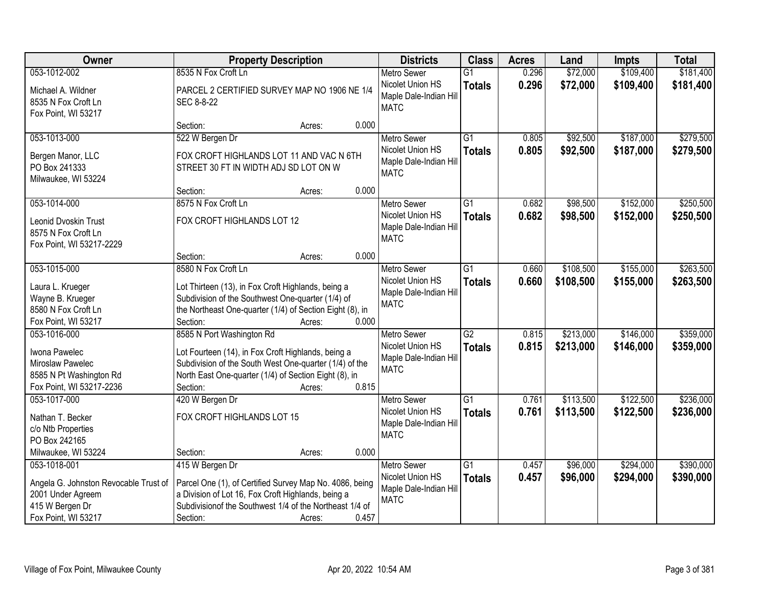| <b>Owner</b>                                                                                                         | <b>Property Description</b>                                                                                                                                                                                                       | <b>Districts</b>                                                                | <b>Class</b>                     | <b>Acres</b>   | Land                   | <b>Impts</b>           | <b>Total</b>           |
|----------------------------------------------------------------------------------------------------------------------|-----------------------------------------------------------------------------------------------------------------------------------------------------------------------------------------------------------------------------------|---------------------------------------------------------------------------------|----------------------------------|----------------|------------------------|------------------------|------------------------|
| 053-1012-002                                                                                                         | 8535 N Fox Croft Ln                                                                                                                                                                                                               | <b>Metro Sewer</b>                                                              | $\overline{G1}$                  | 0.296          | \$72,000               | \$109,400              | \$181,400              |
| Michael A. Wildner<br>8535 N Fox Croft Ln<br>Fox Point, WI 53217                                                     | PARCEL 2 CERTIFIED SURVEY MAP NO 1906 NE 1/4<br>SEC 8-8-22                                                                                                                                                                        | Nicolet Union HS<br>Maple Dale-Indian Hill<br><b>MATC</b>                       | <b>Totals</b>                    | 0.296          | \$72,000               | \$109,400              | \$181,400              |
|                                                                                                                      | 0.000<br>Section:<br>Acres:                                                                                                                                                                                                       |                                                                                 |                                  |                |                        |                        |                        |
| 053-1013-000<br>Bergen Manor, LLC<br>PO Box 241333<br>Milwaukee, WI 53224                                            | 522 W Bergen Dr<br>FOX CROFT HIGHLANDS LOT 11 AND VAC N 6TH<br>STREET 30 FT IN WIDTH ADJ SD LOT ON W                                                                                                                              | <b>Metro Sewer</b><br>Nicolet Union HS<br>Maple Dale-Indian Hill<br><b>MATC</b> | $\overline{G1}$<br><b>Totals</b> | 0.805<br>0.805 | \$92,500<br>\$92,500   | \$187,000<br>\$187,000 | \$279,500<br>\$279,500 |
|                                                                                                                      | 0.000<br>Section:<br>Acres:                                                                                                                                                                                                       |                                                                                 |                                  |                |                        |                        |                        |
| 053-1014-000<br>Leonid Dvoskin Trust<br>8575 N Fox Croft Ln<br>Fox Point, WI 53217-2229                              | 8575 N Fox Croft Ln<br>FOX CROFT HIGHLANDS LOT 12                                                                                                                                                                                 | <b>Metro Sewer</b><br>Nicolet Union HS<br>Maple Dale-Indian Hill<br><b>MATC</b> | $\overline{G1}$<br><b>Totals</b> | 0.682<br>0.682 | \$98,500<br>\$98,500   | \$152,000<br>\$152,000 | \$250,500<br>\$250,500 |
|                                                                                                                      | 0.000<br>Section:<br>Acres:                                                                                                                                                                                                       |                                                                                 |                                  |                |                        |                        |                        |
| 053-1015-000<br>Laura L. Krueger<br>Wayne B. Krueger<br>8580 N Fox Croft Ln<br>Fox Point, WI 53217                   | 8580 N Fox Croft Ln<br>Lot Thirteen (13), in Fox Croft Highlands, being a<br>Subdivision of the Southwest One-quarter (1/4) of<br>the Northeast One-quarter (1/4) of Section Eight (8), in<br>0.000<br>Section:<br>Acres:         | <b>Metro Sewer</b><br>Nicolet Union HS<br>Maple Dale-Indian Hill<br><b>MATC</b> | G1<br><b>Totals</b>              | 0.660<br>0.660 | \$108,500<br>\$108,500 | \$155,000<br>\$155,000 | \$263,500<br>\$263,500 |
| 053-1016-000<br>Iwona Pawelec<br>Miroslaw Pawelec<br>8585 N Pt Washington Rd<br>Fox Point, WI 53217-2236             | 8585 N Port Washington Rd<br>Lot Fourteen (14), in Fox Croft Highlands, being a<br>Subdivision of the South West One-quarter (1/4) of the<br>North East One-quarter (1/4) of Section Eight (8), in<br>Section:<br>0.815<br>Acres: | <b>Metro Sewer</b><br>Nicolet Union HS<br>Maple Dale-Indian Hill<br><b>MATC</b> | $\overline{G2}$<br><b>Totals</b> | 0.815<br>0.815 | \$213,000<br>\$213,000 | \$146,000<br>\$146,000 | \$359,000<br>\$359,000 |
| 053-1017-000<br>Nathan T. Becker<br>c/o Ntb Properties<br>PO Box 242165<br>Milwaukee, WI 53224                       | 420 W Bergen Dr<br>FOX CROFT HIGHLANDS LOT 15<br>0.000<br>Section:<br>Acres:                                                                                                                                                      | <b>Metro Sewer</b><br>Nicolet Union HS<br>Maple Dale-Indian Hill<br><b>MATC</b> | G1<br><b>Totals</b>              | 0.761<br>0.761 | \$113,500<br>\$113,500 | \$122,500<br>\$122,500 | \$236,000<br>\$236,000 |
| 053-1018-001<br>Angela G. Johnston Revocable Trust of<br>2001 Under Agreem<br>415 W Bergen Dr<br>Fox Point, WI 53217 | 415 W Bergen Dr<br>Parcel One (1), of Certified Survey Map No. 4086, being<br>a Division of Lot 16, Fox Croft Highlands, being a<br>Subdivision of the Southwest 1/4 of the Northeast 1/4 of<br>0.457<br>Section:<br>Acres:       | <b>Metro Sewer</b><br>Nicolet Union HS<br>Maple Dale-Indian Hill<br><b>MATC</b> | $\overline{G1}$<br><b>Totals</b> | 0.457<br>0.457 | \$96,000<br>\$96,000   | \$294,000<br>\$294,000 | \$390,000<br>\$390,000 |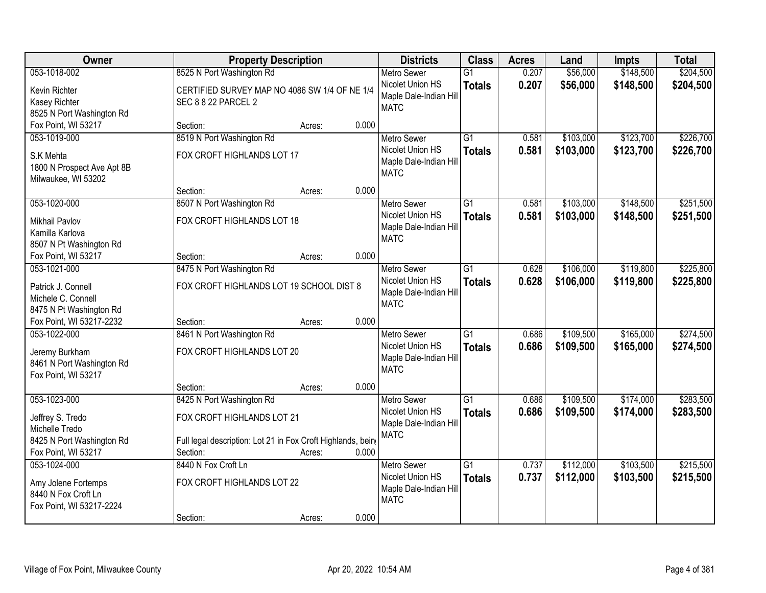| Owner                                               |                                                                             | <b>Property Description</b> |       |                                            | <b>Class</b>    | <b>Acres</b> | Land      | <b>Impts</b> | <b>Total</b> |
|-----------------------------------------------------|-----------------------------------------------------------------------------|-----------------------------|-------|--------------------------------------------|-----------------|--------------|-----------|--------------|--------------|
| 053-1018-002                                        | 8525 N Port Washington Rd                                                   |                             |       | <b>Metro Sewer</b>                         | $\overline{G1}$ | 0.207        | \$56,000  | \$148,500    | \$204,500    |
| Kevin Richter<br><b>Kasey Richter</b>               | CERTIFIED SURVEY MAP NO 4086 SW 1/4 OF NE 1/4<br><b>SEC 8 8 22 PARCEL 2</b> |                             |       | Nicolet Union HS<br>Maple Dale-Indian Hill | <b>Totals</b>   | 0.207        | \$56,000  | \$148,500    | \$204,500    |
| 8525 N Port Washington Rd                           |                                                                             |                             |       | <b>MATC</b>                                |                 |              |           |              |              |
| Fox Point, WI 53217                                 | Section:                                                                    | Acres:                      | 0.000 |                                            |                 |              |           |              |              |
| 053-1019-000                                        | 8519 N Port Washington Rd                                                   |                             |       | <b>Metro Sewer</b>                         | $\overline{G1}$ | 0.581        | \$103,000 | \$123,700    | \$226,700    |
| S.K Mehta                                           | FOX CROFT HIGHLANDS LOT 17                                                  |                             |       | Nicolet Union HS                           | <b>Totals</b>   | 0.581        | \$103,000 | \$123,700    | \$226,700    |
| 1800 N Prospect Ave Apt 8B                          |                                                                             |                             |       | Maple Dale-Indian Hill                     |                 |              |           |              |              |
| Milwaukee, WI 53202                                 |                                                                             |                             |       | <b>MATC</b>                                |                 |              |           |              |              |
|                                                     | Section:                                                                    | Acres:                      | 0.000 |                                            |                 |              |           |              |              |
| 053-1020-000                                        | 8507 N Port Washington Rd                                                   |                             |       | <b>Metro Sewer</b>                         | G1              | 0.581        | \$103,000 | \$148,500    | \$251,500    |
| <b>Mikhail Pavlov</b>                               | FOX CROFT HIGHLANDS LOT 18                                                  |                             |       | Nicolet Union HS                           | <b>Totals</b>   | 0.581        | \$103,000 | \$148,500    | \$251,500    |
| Kamilla Karlova                                     |                                                                             |                             |       | Maple Dale-Indian Hill                     |                 |              |           |              |              |
| 8507 N Pt Washington Rd                             |                                                                             |                             |       | <b>MATC</b>                                |                 |              |           |              |              |
| Fox Point, WI 53217                                 | Section:                                                                    | Acres:                      | 0.000 |                                            |                 |              |           |              |              |
| 053-1021-000                                        | 8475 N Port Washington Rd                                                   |                             |       | <b>Metro Sewer</b>                         | G1              | 0.628        | \$106,000 | \$119,800    | \$225,800    |
|                                                     |                                                                             |                             |       | Nicolet Union HS                           | <b>Totals</b>   | 0.628        | \$106,000 | \$119,800    | \$225,800    |
| Patrick J. Connell                                  | FOX CROFT HIGHLANDS LOT 19 SCHOOL DIST 8                                    |                             |       | Maple Dale-Indian Hill                     |                 |              |           |              |              |
| Michele C. Connell                                  |                                                                             |                             |       | <b>MATC</b>                                |                 |              |           |              |              |
| 8475 N Pt Washington Rd<br>Fox Point, WI 53217-2232 | Section:                                                                    | Acres:                      | 0.000 |                                            |                 |              |           |              |              |
| 053-1022-000                                        | 8461 N Port Washington Rd                                                   |                             |       | <b>Metro Sewer</b>                         | $\overline{G1}$ | 0.686        | \$109,500 | \$165,000    | \$274,500    |
|                                                     |                                                                             |                             |       | Nicolet Union HS                           | <b>Totals</b>   | 0.686        | \$109,500 | \$165,000    | \$274,500    |
| Jeremy Burkham                                      | FOX CROFT HIGHLANDS LOT 20                                                  |                             |       | Maple Dale-Indian Hill                     |                 |              |           |              |              |
| 8461 N Port Washington Rd                           |                                                                             |                             |       | <b>MATC</b>                                |                 |              |           |              |              |
| Fox Point, WI 53217                                 |                                                                             |                             |       |                                            |                 |              |           |              |              |
|                                                     | Section:                                                                    | Acres:                      | 0.000 |                                            |                 |              |           |              |              |
| 053-1023-000                                        | 8425 N Port Washington Rd                                                   |                             |       | <b>Metro Sewer</b>                         | $\overline{G1}$ | 0.686        | \$109,500 | \$174,000    | \$283,500    |
| Jeffrey S. Tredo                                    | FOX CROFT HIGHLANDS LOT 21                                                  |                             |       | Nicolet Union HS<br>Maple Dale-Indian Hill | <b>Totals</b>   | 0.686        | \$109,500 | \$174,000    | \$283,500    |
| Michelle Tredo                                      |                                                                             |                             |       | <b>MATC</b>                                |                 |              |           |              |              |
| 8425 N Port Washington Rd                           | Full legal description: Lot 21 in Fox Croft Highlands, being                |                             |       |                                            |                 |              |           |              |              |
| Fox Point, WI 53217                                 | Section:                                                                    | Acres:                      | 0.000 |                                            |                 |              |           |              |              |
| 053-1024-000                                        | 8440 N Fox Croft Ln                                                         |                             |       | <b>Metro Sewer</b>                         | $\overline{G1}$ | 0.737        | \$112,000 | \$103,500    | \$215,500    |
| Amy Jolene Fortemps                                 | FOX CROFT HIGHLANDS LOT 22                                                  |                             |       | Nicolet Union HS                           | <b>Totals</b>   | 0.737        | \$112,000 | \$103,500    | \$215,500    |
| 8440 N Fox Croft Ln                                 |                                                                             |                             |       | Maple Dale-Indian Hill                     |                 |              |           |              |              |
| Fox Point, WI 53217-2224                            |                                                                             |                             |       | <b>MATC</b>                                |                 |              |           |              |              |
|                                                     | Section:                                                                    | Acres:                      | 0.000 |                                            |                 |              |           |              |              |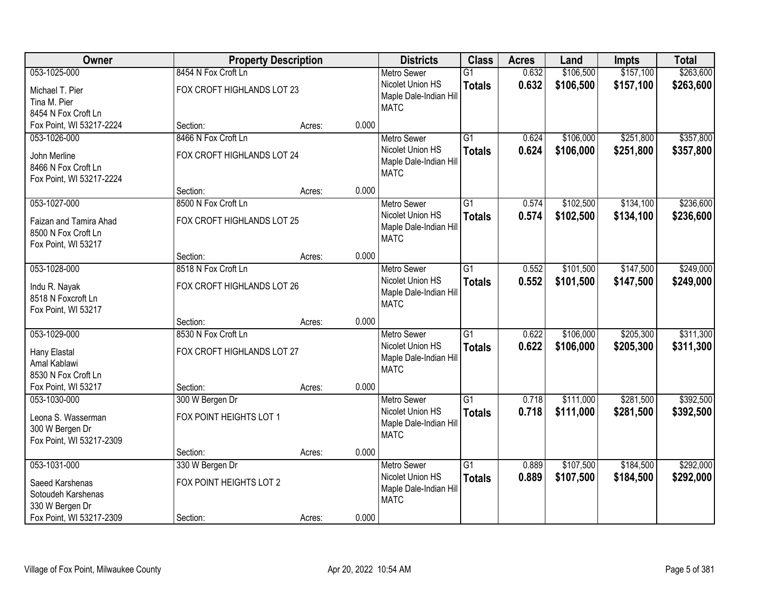| Owner                                     |                            | <b>Property Description</b> |       | <b>Districts</b>                      | <b>Class</b>    | <b>Acres</b> | Land      | <b>Impts</b> | <b>Total</b> |
|-------------------------------------------|----------------------------|-----------------------------|-------|---------------------------------------|-----------------|--------------|-----------|--------------|--------------|
| 053-1025-000                              | 8454 N Fox Croft Ln        |                             |       | <b>Metro Sewer</b>                    | $\overline{G1}$ | 0.632        | \$106,500 | \$157,100    | \$263,600    |
| Michael T. Pier                           | FOX CROFT HIGHLANDS LOT 23 |                             |       | Nicolet Union HS                      | <b>Totals</b>   | 0.632        | \$106,500 | \$157,100    | \$263,600    |
| Tina M. Pier                              |                            |                             |       | Maple Dale-Indian Hill                |                 |              |           |              |              |
| 8454 N Fox Croft Ln                       |                            |                             |       | <b>MATC</b>                           |                 |              |           |              |              |
| Fox Point, WI 53217-2224                  | Section:                   | Acres:                      | 0.000 |                                       |                 |              |           |              |              |
| 053-1026-000                              | 8466 N Fox Croft Ln        |                             |       | <b>Metro Sewer</b>                    | $\overline{G1}$ | 0.624        | \$106,000 | \$251,800    | \$357,800    |
| John Merline                              | FOX CROFT HIGHLANDS LOT 24 |                             |       | Nicolet Union HS                      | <b>Totals</b>   | 0.624        | \$106,000 | \$251,800    | \$357,800    |
| 8466 N Fox Croft Ln                       |                            |                             |       | Maple Dale-Indian Hill                |                 |              |           |              |              |
| Fox Point, WI 53217-2224                  |                            |                             |       | <b>MATC</b>                           |                 |              |           |              |              |
|                                           | Section:                   | Acres:                      | 0.000 |                                       |                 |              |           |              |              |
| 053-1027-000                              | 8500 N Fox Croft Ln        |                             |       | Metro Sewer                           | $\overline{G1}$ | 0.574        | \$102,500 | \$134,100    | \$236,600    |
| Faizan and Tamira Ahad                    | FOX CROFT HIGHLANDS LOT 25 |                             |       | Nicolet Union HS                      | <b>Totals</b>   | 0.574        | \$102,500 | \$134,100    | \$236,600    |
| 8500 N Fox Croft Ln                       |                            |                             |       | Maple Dale-Indian Hill                |                 |              |           |              |              |
| Fox Point, WI 53217                       |                            |                             |       | <b>MATC</b>                           |                 |              |           |              |              |
|                                           | Section:                   | Acres:                      | 0.000 |                                       |                 |              |           |              |              |
| 053-1028-000                              | 8518 N Fox Croft Ln        |                             |       | <b>Metro Sewer</b>                    | $\overline{G1}$ | 0.552        | \$101,500 | \$147,500    | \$249,000    |
|                                           |                            |                             |       | Nicolet Union HS                      | <b>Totals</b>   | 0.552        | \$101,500 | \$147,500    | \$249,000    |
| Indu R. Nayak                             | FOX CROFT HIGHLANDS LOT 26 |                             |       | Maple Dale-Indian Hill                |                 |              |           |              |              |
| 8518 N Foxcroft Ln<br>Fox Point, WI 53217 |                            |                             |       | <b>MATC</b>                           |                 |              |           |              |              |
|                                           | Section:                   | Acres:                      | 0.000 |                                       |                 |              |           |              |              |
| 053-1029-000                              | 8530 N Fox Croft Ln        |                             |       | <b>Metro Sewer</b>                    | $\overline{G1}$ | 0.622        | \$106,000 | \$205,300    | \$311,300    |
|                                           |                            |                             |       | Nicolet Union HS                      | <b>Totals</b>   | 0.622        | \$106,000 | \$205,300    | \$311,300    |
| Hany Elastal                              | FOX CROFT HIGHLANDS LOT 27 |                             |       | Maple Dale-Indian Hill                |                 |              |           |              |              |
| Amal Kablawi                              |                            |                             |       | <b>MATC</b>                           |                 |              |           |              |              |
| 8530 N Fox Croft Ln                       |                            |                             |       |                                       |                 |              |           |              |              |
| Fox Point, WI 53217                       | Section:                   | Acres:                      | 0.000 |                                       |                 |              |           |              |              |
| 053-1030-000                              | 300 W Bergen Dr            |                             |       | <b>Metro Sewer</b>                    | $\overline{G1}$ | 0.718        | \$111,000 | \$281,500    | \$392,500    |
| Leona S. Wasserman                        | FOX POINT HEIGHTS LOT 1    |                             |       | Nicolet Union HS                      | <b>Totals</b>   | 0.718        | \$111,000 | \$281,500    | \$392,500    |
| 300 W Bergen Dr                           |                            |                             |       | Maple Dale-Indian Hill<br><b>MATC</b> |                 |              |           |              |              |
| Fox Point, WI 53217-2309                  |                            |                             |       |                                       |                 |              |           |              |              |
|                                           | Section:                   | Acres:                      | 0.000 |                                       |                 |              |           |              |              |
| 053-1031-000                              | 330 W Bergen Dr            |                             |       | <b>Metro Sewer</b>                    | $\overline{G1}$ | 0.889        | \$107,500 | \$184,500    | \$292,000    |
| Saeed Karshenas                           | FOX POINT HEIGHTS LOT 2    |                             |       | Nicolet Union HS                      | <b>Totals</b>   | 0.889        | \$107,500 | \$184,500    | \$292,000    |
| Sotoudeh Karshenas                        |                            |                             |       | Maple Dale-Indian Hill                |                 |              |           |              |              |
| 330 W Bergen Dr                           |                            |                             |       | <b>MATC</b>                           |                 |              |           |              |              |
| Fox Point, WI 53217-2309                  | Section:                   | Acres:                      | 0.000 |                                       |                 |              |           |              |              |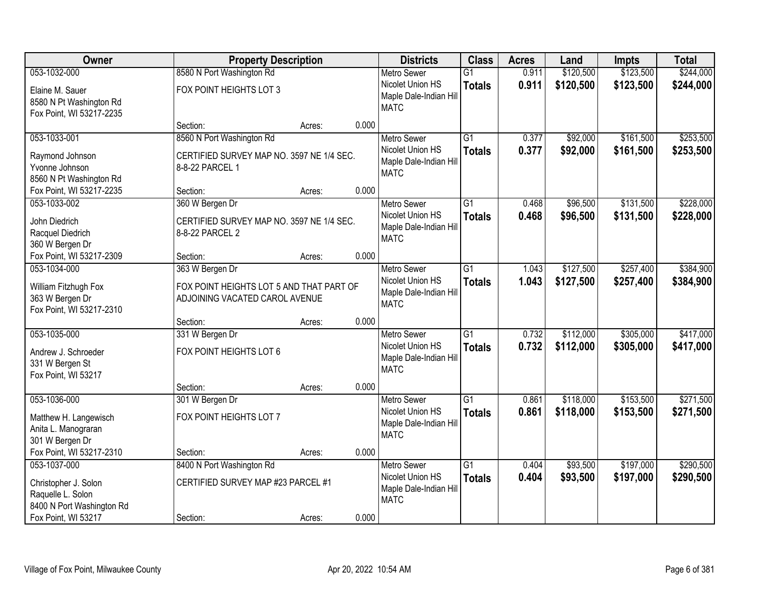| Owner                                                                                                       |                                                                                               | <b>Property Description</b> |                                                                                          |                                  | <b>Acres</b>   | Land                   | <b>Impts</b>           | <b>Total</b>           |
|-------------------------------------------------------------------------------------------------------------|-----------------------------------------------------------------------------------------------|-----------------------------|------------------------------------------------------------------------------------------|----------------------------------|----------------|------------------------|------------------------|------------------------|
| 053-1032-000                                                                                                | 8580 N Port Washington Rd                                                                     |                             | <b>Metro Sewer</b>                                                                       | $\overline{G1}$                  | 0.911          | \$120,500              | \$123,500              | \$244,000              |
| Elaine M. Sauer<br>8580 N Pt Washington Rd<br>Fox Point, WI 53217-2235                                      | FOX POINT HEIGHTS LOT 3                                                                       |                             | Nicolet Union HS<br>Maple Dale-Indian Hill<br><b>MATC</b>                                | <b>Totals</b>                    | 0.911          | \$120,500              | \$123,500              | \$244,000              |
|                                                                                                             | Section:                                                                                      | Acres:                      | 0.000                                                                                    |                                  |                |                        |                        |                        |
| 053-1033-001<br>Raymond Johnson<br>Yvonne Johnson<br>8560 N Pt Washington Rd                                | 8560 N Port Washington Rd<br>CERTIFIED SURVEY MAP NO. 3597 NE 1/4 SEC.<br>8-8-22 PARCEL 1     |                             | <b>Metro Sewer</b><br>Nicolet Union HS<br>Maple Dale-Indian Hill<br><b>MATC</b>          | $\overline{G1}$<br><b>Totals</b> | 0.377<br>0.377 | \$92,000<br>\$92,000   | \$161,500<br>\$161,500 | \$253,500<br>\$253,500 |
| Fox Point, WI 53217-2235                                                                                    | Section:                                                                                      | Acres:                      | 0.000                                                                                    |                                  |                |                        |                        |                        |
| 053-1033-002<br>John Diedrich<br>Racquel Diedrich<br>360 W Bergen Dr                                        | 360 W Bergen Dr<br>CERTIFIED SURVEY MAP NO. 3597 NE 1/4 SEC.<br>8-8-22 PARCEL 2               |                             | <b>Metro Sewer</b><br>Nicolet Union HS<br>Maple Dale-Indian Hill<br><b>MATC</b>          | G1<br><b>Totals</b>              | 0.468<br>0.468 | \$96,500<br>\$96,500   | \$131,500<br>\$131,500 | \$228,000<br>\$228,000 |
| Fox Point, WI 53217-2309                                                                                    | Section:                                                                                      | Acres:                      | 0.000                                                                                    |                                  |                |                        |                        |                        |
| 053-1034-000<br>William Fitzhugh Fox<br>363 W Bergen Dr<br>Fox Point, WI 53217-2310                         | 363 W Bergen Dr<br>FOX POINT HEIGHTS LOT 5 AND THAT PART OF<br>ADJOINING VACATED CAROL AVENUE |                             | <b>Metro Sewer</b><br>Nicolet Union HS<br>Maple Dale-Indian Hill<br><b>MATC</b>          | $\overline{G1}$<br><b>Totals</b> | 1.043<br>1.043 | \$127,500<br>\$127,500 | \$257,400<br>\$257,400 | \$384,900<br>\$384,900 |
|                                                                                                             | Section:                                                                                      | Acres:                      | 0.000                                                                                    |                                  |                |                        |                        |                        |
| 053-1035-000<br>Andrew J. Schroeder<br>331 W Bergen St<br>Fox Point, WI 53217                               | 331 W Bergen Dr<br>FOX POINT HEIGHTS LOT 6<br>Section:                                        | Acres:                      | <b>Metro Sewer</b><br>Nicolet Union HS<br>Maple Dale-Indian Hill<br><b>MATC</b><br>0.000 | $\overline{G1}$<br><b>Totals</b> | 0.732<br>0.732 | \$112,000<br>\$112,000 | \$305,000<br>\$305,000 | \$417,000<br>\$417,000 |
| 053-1036-000<br>Matthew H. Langewisch<br>Anita L. Manograran<br>301 W Bergen Dr<br>Fox Point, WI 53217-2310 | 301 W Bergen Dr<br>FOX POINT HEIGHTS LOT 7<br>Section:                                        | Acres:                      | <b>Metro Sewer</b><br>Nicolet Union HS<br>Maple Dale-Indian Hill<br><b>MATC</b><br>0.000 | $\overline{G1}$<br><b>Totals</b> | 0.861<br>0.861 | \$118,000<br>\$118,000 | \$153,500<br>\$153,500 | \$271,500<br>\$271,500 |
| 053-1037-000                                                                                                | 8400 N Port Washington Rd                                                                     |                             | <b>Metro Sewer</b>                                                                       | $\overline{G1}$                  | 0.404          | \$93,500               | \$197,000              | \$290,500              |
| Christopher J. Solon<br>Raquelle L. Solon<br>8400 N Port Washington Rd                                      | CERTIFIED SURVEY MAP #23 PARCEL #1                                                            |                             | Nicolet Union HS<br>Maple Dale-Indian Hill<br><b>MATC</b>                                | <b>Totals</b>                    | 0.404          | \$93,500               | \$197,000              | \$290,500              |
| Fox Point, WI 53217                                                                                         | Section:                                                                                      | Acres:                      | 0.000                                                                                    |                                  |                |                        |                        |                        |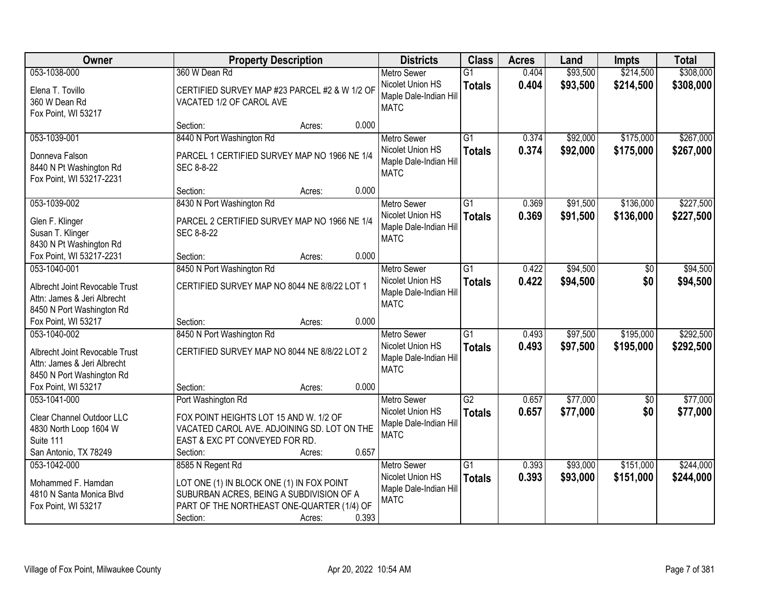| Owner                                                                                                      | <b>Property Description</b>                                                                                                                                                  | <b>Districts</b>                                                                | <b>Class</b>                     | <b>Acres</b>   | Land                 | <b>Impts</b>           | <b>Total</b>           |
|------------------------------------------------------------------------------------------------------------|------------------------------------------------------------------------------------------------------------------------------------------------------------------------------|---------------------------------------------------------------------------------|----------------------------------|----------------|----------------------|------------------------|------------------------|
| 053-1038-000                                                                                               | 360 W Dean Rd                                                                                                                                                                | <b>Metro Sewer</b>                                                              | $\overline{G1}$                  | 0.404          | \$93,500             | \$214,500              | \$308,000              |
| Elena T. Tovillo<br>360 W Dean Rd<br>Fox Point, WI 53217                                                   | CERTIFIED SURVEY MAP #23 PARCEL #2 & W 1/2 OF<br>VACATED 1/2 OF CAROL AVE                                                                                                    | Nicolet Union HS<br>Maple Dale-Indian Hill<br><b>MATC</b>                       | <b>Totals</b>                    | 0.404          | \$93,500             | \$214,500              | \$308,000              |
|                                                                                                            | 0.000<br>Section:<br>Acres:                                                                                                                                                  |                                                                                 |                                  |                |                      |                        |                        |
| 053-1039-001<br>Donneva Falson<br>8440 N Pt Washington Rd<br>Fox Point, WI 53217-2231                      | 8440 N Port Washington Rd<br>PARCEL 1 CERTIFIED SURVEY MAP NO 1966 NE 1/4<br>SEC 8-8-22                                                                                      | <b>Metro Sewer</b><br>Nicolet Union HS<br>Maple Dale-Indian Hill<br><b>MATC</b> | $\overline{G1}$<br><b>Totals</b> | 0.374<br>0.374 | \$92,000<br>\$92,000 | \$175,000<br>\$175,000 | \$267,000<br>\$267,000 |
|                                                                                                            | 0.000<br>Section:<br>Acres:                                                                                                                                                  |                                                                                 |                                  |                |                      |                        |                        |
| 053-1039-002                                                                                               | 8430 N Port Washington Rd                                                                                                                                                    | Metro Sewer                                                                     | $\overline{G1}$                  | 0.369          | \$91,500             | \$136,000              | \$227,500              |
| Glen F. Klinger<br>Susan T. Klinger<br>8430 N Pt Washington Rd                                             | PARCEL 2 CERTIFIED SURVEY MAP NO 1966 NE 1/4<br>SEC 8-8-22                                                                                                                   | Nicolet Union HS<br>Maple Dale-Indian Hill<br><b>MATC</b>                       | <b>Totals</b>                    | 0.369          | \$91,500             | \$136,000              | \$227,500              |
| Fox Point, WI 53217-2231                                                                                   | 0.000<br>Section:<br>Acres:                                                                                                                                                  |                                                                                 |                                  |                |                      |                        |                        |
| 053-1040-001                                                                                               | 8450 N Port Washington Rd                                                                                                                                                    | <b>Metro Sewer</b>                                                              | $\overline{G1}$                  | 0.422          | \$94,500             | \$0                    | \$94,500               |
| Albrecht Joint Revocable Trust<br>Attn: James & Jeri Albrecht<br>8450 N Port Washington Rd                 | CERTIFIED SURVEY MAP NO 8044 NE 8/8/22 LOT 1                                                                                                                                 | Nicolet Union HS<br>Maple Dale-Indian Hill<br><b>MATC</b>                       | <b>Totals</b>                    | 0.422          | \$94,500             | \$0                    | \$94,500               |
| Fox Point, WI 53217                                                                                        | 0.000<br>Section:<br>Acres:                                                                                                                                                  |                                                                                 |                                  |                |                      |                        |                        |
| 053-1040-002<br>Albrecht Joint Revocable Trust<br>Attn: James & Jeri Albrecht<br>8450 N Port Washington Rd | 8450 N Port Washington Rd<br>CERTIFIED SURVEY MAP NO 8044 NE 8/8/22 LOT 2                                                                                                    | <b>Metro Sewer</b><br>Nicolet Union HS<br>Maple Dale-Indian Hill<br><b>MATC</b> | $\overline{G1}$<br><b>Totals</b> | 0.493<br>0.493 | \$97,500<br>\$97,500 | \$195,000<br>\$195,000 | \$292,500<br>\$292,500 |
| Fox Point, WI 53217                                                                                        | 0.000<br>Section:<br>Acres:                                                                                                                                                  |                                                                                 |                                  |                |                      |                        |                        |
| 053-1041-000<br>Clear Channel Outdoor LLC<br>4830 North Loop 1604 W<br>Suite 111<br>San Antonio, TX 78249  | Port Washington Rd<br>FOX POINT HEIGHTS LOT 15 AND W. 1/2 OF<br>VACATED CAROL AVE. ADJOINING SD. LOT ON THE<br>EAST & EXC PT CONVEYED FOR RD.<br>0.657<br>Section:<br>Acres: | <b>Metro Sewer</b><br>Nicolet Union HS<br>Maple Dale-Indian Hill<br><b>MATC</b> | $\overline{G2}$<br><b>Totals</b> | 0.657<br>0.657 | \$77,000<br>\$77,000 | $\sqrt{6}$<br>\$0      | \$77,000<br>\$77,000   |
| 053-1042-000                                                                                               | 8585 N Regent Rd                                                                                                                                                             | <b>Metro Sewer</b>                                                              | $\overline{G1}$                  | 0.393          | \$93,000             | \$151,000              | \$244,000              |
| Mohammed F. Hamdan<br>4810 N Santa Monica Blvd<br>Fox Point, WI 53217                                      | LOT ONE (1) IN BLOCK ONE (1) IN FOX POINT<br>SUBURBAN ACRES, BEING A SUBDIVISION OF A<br>PART OF THE NORTHEAST ONE-QUARTER (1/4) OF<br>0.393<br>Section:<br>Acres:           | Nicolet Union HS<br>Maple Dale-Indian Hill<br><b>MATC</b>                       | <b>Totals</b>                    | 0.393          | \$93,000             | \$151,000              | \$244,000              |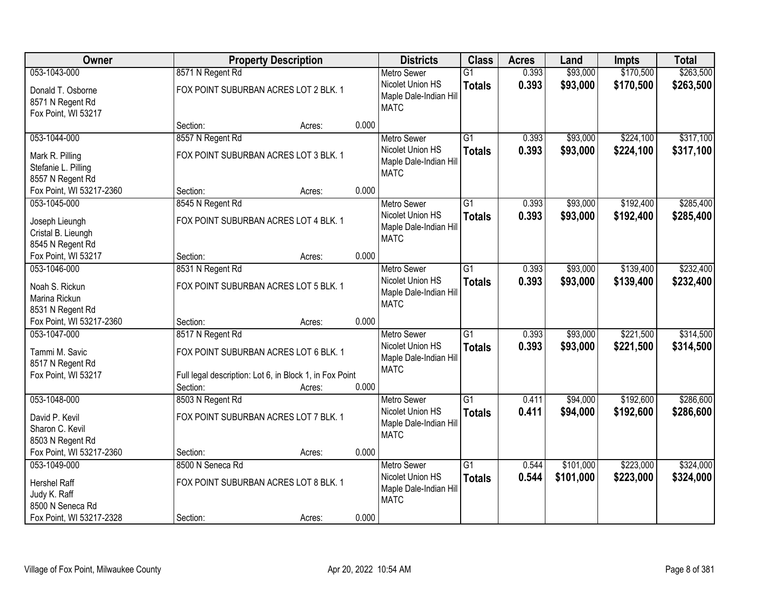| Owner                                                                                        |                                                                                                                                  | <b>Property Description</b><br><b>Districts</b> |       |                                                                                 | <b>Class</b>                     | <b>Acres</b>   | Land                   | <b>Impts</b>           | <b>Total</b>           |
|----------------------------------------------------------------------------------------------|----------------------------------------------------------------------------------------------------------------------------------|-------------------------------------------------|-------|---------------------------------------------------------------------------------|----------------------------------|----------------|------------------------|------------------------|------------------------|
| 053-1043-000                                                                                 | 8571 N Regent Rd                                                                                                                 |                                                 |       | <b>Metro Sewer</b>                                                              | $\overline{G1}$                  | 0.393          | \$93,000               | \$170,500              | \$263,500              |
| Donald T. Osborne<br>8571 N Regent Rd<br>Fox Point, WI 53217                                 | FOX POINT SUBURBAN ACRES LOT 2 BLK. 1                                                                                            |                                                 |       | Nicolet Union HS<br>Maple Dale-Indian Hill<br><b>MATC</b>                       | <b>Totals</b>                    | 0.393          | \$93,000               | \$170,500              | \$263,500              |
|                                                                                              | Section:                                                                                                                         | Acres:                                          | 0.000 |                                                                                 |                                  |                |                        |                        |                        |
| 053-1044-000                                                                                 | 8557 N Regent Rd                                                                                                                 |                                                 |       | <b>Metro Sewer</b>                                                              | $\overline{G1}$                  | 0.393          | \$93,000               | \$224,100              | \$317,100              |
| Mark R. Pilling<br>Stefanie L. Pilling<br>8557 N Regent Rd                                   | FOX POINT SUBURBAN ACRES LOT 3 BLK. 1                                                                                            |                                                 |       | Nicolet Union HS<br>Maple Dale-Indian Hill<br><b>MATC</b>                       | <b>Totals</b>                    | 0.393          | \$93,000               | \$224,100              | \$317,100              |
| Fox Point, WI 53217-2360                                                                     | Section:                                                                                                                         | Acres:                                          | 0.000 |                                                                                 |                                  |                |                        |                        |                        |
| 053-1045-000                                                                                 | 8545 N Regent Rd                                                                                                                 |                                                 |       | <b>Metro Sewer</b>                                                              | G1                               | 0.393          | \$93,000               | \$192,400              | \$285,400              |
| Joseph Lieungh<br>Cristal B. Lieungh<br>8545 N Regent Rd                                     | FOX POINT SUBURBAN ACRES LOT 4 BLK. 1                                                                                            |                                                 |       | Nicolet Union HS<br>Maple Dale-Indian Hill<br><b>MATC</b>                       | <b>Totals</b>                    | 0.393          | \$93,000               | \$192,400              | \$285,400              |
| Fox Point, WI 53217                                                                          | Section:                                                                                                                         | Acres:                                          | 0.000 |                                                                                 |                                  |                |                        |                        |                        |
| 053-1046-000                                                                                 | 8531 N Regent Rd                                                                                                                 |                                                 |       | <b>Metro Sewer</b>                                                              | G1                               | 0.393          | \$93,000               | \$139,400              | \$232,400              |
| Noah S. Rickun<br>Marina Rickun<br>8531 N Regent Rd                                          | FOX POINT SUBURBAN ACRES LOT 5 BLK. 1                                                                                            |                                                 |       | Nicolet Union HS<br>Maple Dale-Indian Hill<br><b>MATC</b>                       | <b>Totals</b>                    | 0.393          | \$93,000               | \$139,400              | \$232,400              |
| Fox Point, WI 53217-2360                                                                     | Section:                                                                                                                         | Acres:                                          | 0.000 |                                                                                 |                                  |                |                        |                        |                        |
| 053-1047-000<br>Tammi M. Savic<br>8517 N Regent Rd<br>Fox Point, WI 53217                    | 8517 N Regent Rd<br>FOX POINT SUBURBAN ACRES LOT 6 BLK. 1<br>Full legal description: Lot 6, in Block 1, in Fox Point<br>Section: | Acres:                                          | 0.000 | <b>Metro Sewer</b><br>Nicolet Union HS<br>Maple Dale-Indian Hill<br><b>MATC</b> | $\overline{G1}$<br><b>Totals</b> | 0.393<br>0.393 | \$93,000<br>\$93,000   | \$221,500<br>\$221,500 | \$314,500<br>\$314,500 |
| 053-1048-000                                                                                 | 8503 N Regent Rd                                                                                                                 |                                                 |       | Metro Sewer                                                                     | $\overline{G1}$                  | 0.411          | \$94,000               | \$192,600              | \$286,600              |
| David P. Kevil<br>Sharon C. Kevil<br>8503 N Regent Rd                                        | FOX POINT SUBURBAN ACRES LOT 7 BLK. 1                                                                                            |                                                 |       | Nicolet Union HS<br>Maple Dale-Indian Hill<br><b>MATC</b>                       | <b>Totals</b>                    | 0.411          | \$94,000               | \$192,600              | \$286,600              |
| Fox Point, WI 53217-2360                                                                     | Section:                                                                                                                         | Acres:                                          | 0.000 |                                                                                 |                                  |                |                        |                        |                        |
| 053-1049-000<br>Hershel Raff<br>Judy K. Raff<br>8500 N Seneca Rd<br>Fox Point, WI 53217-2328 | 8500 N Seneca Rd<br>FOX POINT SUBURBAN ACRES LOT 8 BLK. 1<br>Section:                                                            |                                                 | 0.000 | <b>Metro Sewer</b><br>Nicolet Union HS<br>Maple Dale-Indian Hill<br><b>MATC</b> | $\overline{G1}$<br><b>Totals</b> | 0.544<br>0.544 | \$101,000<br>\$101,000 | \$223,000<br>\$223,000 | \$324,000<br>\$324,000 |
|                                                                                              |                                                                                                                                  | Acres:                                          |       |                                                                                 |                                  |                |                        |                        |                        |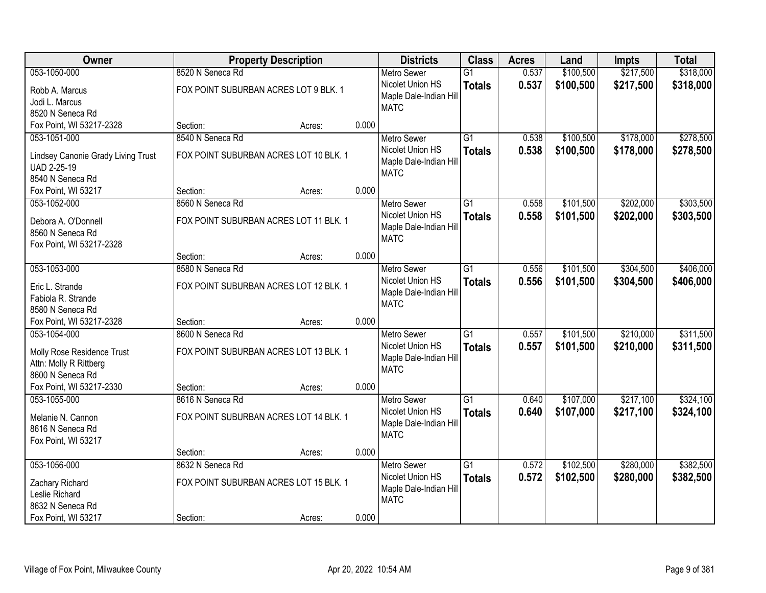| <b>Owner</b>                       |                                        | <b>Property Description</b> |       | <b>Districts</b>       | <b>Class</b>    | <b>Acres</b> | Land      | <b>Impts</b> | <b>Total</b> |
|------------------------------------|----------------------------------------|-----------------------------|-------|------------------------|-----------------|--------------|-----------|--------------|--------------|
| 053-1050-000                       | 8520 N Seneca Rd                       |                             |       | <b>Metro Sewer</b>     | $\overline{G1}$ | 0.537        | \$100,500 | \$217,500    | \$318,000    |
| Robb A. Marcus                     | FOX POINT SUBURBAN ACRES LOT 9 BLK. 1  |                             |       | Nicolet Union HS       | <b>Totals</b>   | 0.537        | \$100,500 | \$217,500    | \$318,000    |
| Jodi L. Marcus                     |                                        |                             |       | Maple Dale-Indian Hill |                 |              |           |              |              |
| 8520 N Seneca Rd                   |                                        |                             |       | <b>MATC</b>            |                 |              |           |              |              |
| Fox Point, WI 53217-2328           | Section:                               | Acres:                      | 0.000 |                        |                 |              |           |              |              |
| 053-1051-000                       | 8540 N Seneca Rd                       |                             |       | <b>Metro Sewer</b>     | $\overline{G1}$ | 0.538        | \$100,500 | \$178,000    | \$278,500    |
| Lindsey Canonie Grady Living Trust | FOX POINT SUBURBAN ACRES LOT 10 BLK. 1 |                             |       | Nicolet Union HS       | <b>Totals</b>   | 0.538        | \$100,500 | \$178,000    | \$278,500    |
| UAD 2-25-19                        |                                        |                             |       | Maple Dale-Indian Hill |                 |              |           |              |              |
| 8540 N Seneca Rd                   |                                        |                             |       | <b>MATC</b>            |                 |              |           |              |              |
| Fox Point, WI 53217                | Section:                               | Acres:                      | 0.000 |                        |                 |              |           |              |              |
| 053-1052-000                       | 8560 N Seneca Rd                       |                             |       | <b>Metro Sewer</b>     | $\overline{G1}$ | 0.558        | \$101,500 | \$202,000    | \$303,500    |
| Debora A. O'Donnell                | FOX POINT SUBURBAN ACRES LOT 11 BLK. 1 |                             |       | Nicolet Union HS       | <b>Totals</b>   | 0.558        | \$101,500 | \$202,000    | \$303,500    |
| 8560 N Seneca Rd                   |                                        |                             |       | Maple Dale-Indian Hill |                 |              |           |              |              |
| Fox Point, WI 53217-2328           |                                        |                             |       | <b>MATC</b>            |                 |              |           |              |              |
|                                    | Section:                               | Acres:                      | 0.000 |                        |                 |              |           |              |              |
| 053-1053-000                       | 8580 N Seneca Rd                       |                             |       | <b>Metro Sewer</b>     | G1              | 0.556        | \$101,500 | \$304,500    | \$406,000    |
| Eric L. Strande                    | FOX POINT SUBURBAN ACRES LOT 12 BLK. 1 |                             |       | Nicolet Union HS       | <b>Totals</b>   | 0.556        | \$101,500 | \$304,500    | \$406,000    |
| Fabiola R. Strande                 |                                        |                             |       | Maple Dale-Indian Hill |                 |              |           |              |              |
| 8580 N Seneca Rd                   |                                        |                             |       | <b>MATC</b>            |                 |              |           |              |              |
| Fox Point, WI 53217-2328           | Section:                               | Acres:                      | 0.000 |                        |                 |              |           |              |              |
| 053-1054-000                       | 8600 N Seneca Rd                       |                             |       | Metro Sewer            | $\overline{G1}$ | 0.557        | \$101,500 | \$210,000    | \$311,500    |
| Molly Rose Residence Trust         | FOX POINT SUBURBAN ACRES LOT 13 BLK. 1 |                             |       | Nicolet Union HS       | <b>Totals</b>   | 0.557        | \$101,500 | \$210,000    | \$311,500    |
| Attn: Molly R Rittberg             |                                        |                             |       | Maple Dale-Indian Hill |                 |              |           |              |              |
| 8600 N Seneca Rd                   |                                        |                             |       | <b>MATC</b>            |                 |              |           |              |              |
| Fox Point, WI 53217-2330           | Section:                               | Acres:                      | 0.000 |                        |                 |              |           |              |              |
| 053-1055-000                       | 8616 N Seneca Rd                       |                             |       | Metro Sewer            | $\overline{G1}$ | 0.640        | \$107,000 | \$217,100    | \$324,100    |
| Melanie N. Cannon                  | FOX POINT SUBURBAN ACRES LOT 14 BLK. 1 |                             |       | Nicolet Union HS       | <b>Totals</b>   | 0.640        | \$107,000 | \$217,100    | \$324,100    |
| 8616 N Seneca Rd                   |                                        |                             |       | Maple Dale-Indian Hill |                 |              |           |              |              |
| Fox Point, WI 53217                |                                        |                             |       | <b>MATC</b>            |                 |              |           |              |              |
|                                    | Section:                               | Acres:                      | 0.000 |                        |                 |              |           |              |              |
| 053-1056-000                       | 8632 N Seneca Rd                       |                             |       | <b>Metro Sewer</b>     | $\overline{G1}$ | 0.572        | \$102,500 | \$280,000    | \$382,500    |
| Zachary Richard                    | FOX POINT SUBURBAN ACRES LOT 15 BLK. 1 |                             |       | Nicolet Union HS       | <b>Totals</b>   | 0.572        | \$102,500 | \$280,000    | \$382,500    |
| Leslie Richard                     |                                        |                             |       | Maple Dale-Indian Hill |                 |              |           |              |              |
| 8632 N Seneca Rd                   |                                        |                             |       | <b>MATC</b>            |                 |              |           |              |              |
| Fox Point, WI 53217                | Section:                               | Acres:                      | 0.000 |                        |                 |              |           |              |              |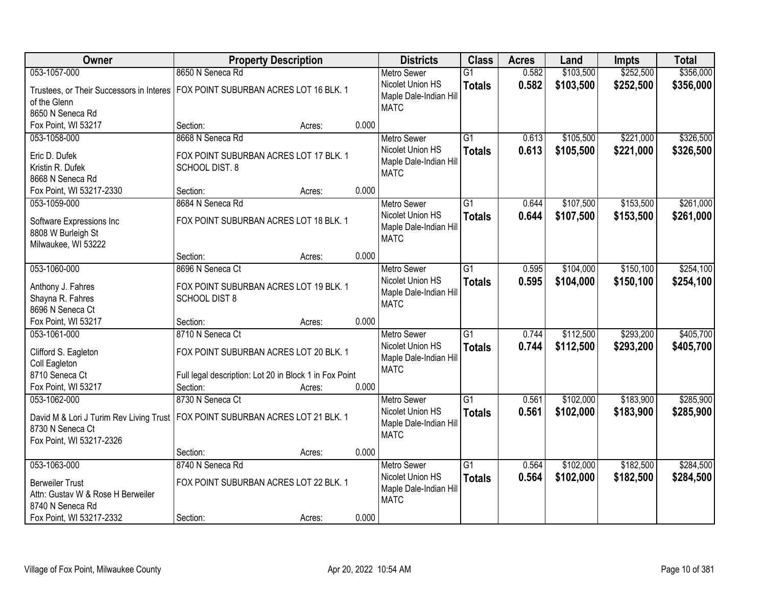| 8650 N Seneca Rd<br>\$103,500<br>\$252,500<br>\$356,000<br>053-1057-000<br>$\overline{G1}$<br>0.582<br><b>Metro Sewer</b><br>0.582<br>Nicolet Union HS<br>\$103,500<br>\$252,500<br>\$356,000<br><b>Totals</b><br>FOX POINT SUBURBAN ACRES LOT 16 BLK. 1<br>Trustees, or Their Successors in Interes<br>Maple Dale-Indian Hill<br>of the Glenn<br><b>MATC</b><br>8650 N Seneca Rd<br>Fox Point, WI 53217<br>0.000<br>Section:<br>Acres:<br>\$221,000<br>8668 N Seneca Rd<br>$\overline{G1}$<br>\$105,500<br>053-1058-000<br>0.613<br><b>Metro Sewer</b><br>0.613<br>Nicolet Union HS<br>\$105,500<br>\$221,000<br><b>Totals</b><br>Eric D. Dufek<br>FOX POINT SUBURBAN ACRES LOT 17 BLK. 1<br>Maple Dale-Indian Hill<br>Kristin R. Dufek<br>SCHOOL DIST. 8<br><b>MATC</b><br>8668 N Seneca Rd<br>0.000<br>Fox Point, WI 53217-2330<br>Section:<br>Acres:<br>$\overline{G1}$<br>\$107,500<br>\$153,500<br>053-1059-000<br>8684 N Seneca Rd<br>Metro Sewer<br>0.644<br>Nicolet Union HS<br>0.644<br>\$107,500<br>\$153,500<br><b>Totals</b><br>FOX POINT SUBURBAN ACRES LOT 18 BLK. 1<br>Software Expressions Inc<br>Maple Dale-Indian Hill<br>8808 W Burleigh St<br><b>MATC</b><br>Milwaukee, WI 53222<br>0.000<br>Section:<br>Acres:<br>053-1060-000<br>\$104,000<br>\$150,100<br>8696 N Seneca Ct<br>$\overline{G1}$<br><b>Metro Sewer</b><br>0.595<br>Nicolet Union HS<br>0.595<br>\$104,000<br>\$150,100<br><b>Totals</b><br>Anthony J. Fahres<br>FOX POINT SUBURBAN ACRES LOT 19 BLK. 1<br>Maple Dale-Indian Hill<br>Shayna R. Fahres<br><b>SCHOOL DIST 8</b><br><b>MATC</b><br>8696 N Seneca Ct<br>0.000<br>Fox Point, WI 53217<br>Section:<br>Acres:<br>8710 N Seneca Ct<br>$\overline{G1}$<br>\$112,500<br>\$293,200<br>053-1061-000<br>0.744<br><b>Metro Sewer</b><br>\$112,500<br>\$293,200<br>Nicolet Union HS<br>0.744<br><b>Totals</b><br>Clifford S. Eagleton<br>FOX POINT SUBURBAN ACRES LOT 20 BLK. 1<br>Maple Dale-Indian Hill<br>Coll Eagleton<br><b>MATC</b><br>8710 Seneca Ct<br>Full legal description: Lot 20 in Block 1 in Fox Point<br>Fox Point, WI 53217<br>0.000<br>Section:<br>Acres: |
|------------------------------------------------------------------------------------------------------------------------------------------------------------------------------------------------------------------------------------------------------------------------------------------------------------------------------------------------------------------------------------------------------------------------------------------------------------------------------------------------------------------------------------------------------------------------------------------------------------------------------------------------------------------------------------------------------------------------------------------------------------------------------------------------------------------------------------------------------------------------------------------------------------------------------------------------------------------------------------------------------------------------------------------------------------------------------------------------------------------------------------------------------------------------------------------------------------------------------------------------------------------------------------------------------------------------------------------------------------------------------------------------------------------------------------------------------------------------------------------------------------------------------------------------------------------------------------------------------------------------------------------------------------------------------------------------------------------------------------------------------------------------------------------------------------------------------------------------------------------------------------------------------------------------------------------------------------------------------------------------------------------------------------------------------------------------------------------------------------------|
|                                                                                                                                                                                                                                                                                                                                                                                                                                                                                                                                                                                                                                                                                                                                                                                                                                                                                                                                                                                                                                                                                                                                                                                                                                                                                                                                                                                                                                                                                                                                                                                                                                                                                                                                                                                                                                                                                                                                                                                                                                                                                                                  |
| \$326,500<br>\$326,500<br>\$261,000<br>\$261,000<br>\$254,100<br>\$254,100                                                                                                                                                                                                                                                                                                                                                                                                                                                                                                                                                                                                                                                                                                                                                                                                                                                                                                                                                                                                                                                                                                                                                                                                                                                                                                                                                                                                                                                                                                                                                                                                                                                                                                                                                                                                                                                                                                                                                                                                                                       |
|                                                                                                                                                                                                                                                                                                                                                                                                                                                                                                                                                                                                                                                                                                                                                                                                                                                                                                                                                                                                                                                                                                                                                                                                                                                                                                                                                                                                                                                                                                                                                                                                                                                                                                                                                                                                                                                                                                                                                                                                                                                                                                                  |
|                                                                                                                                                                                                                                                                                                                                                                                                                                                                                                                                                                                                                                                                                                                                                                                                                                                                                                                                                                                                                                                                                                                                                                                                                                                                                                                                                                                                                                                                                                                                                                                                                                                                                                                                                                                                                                                                                                                                                                                                                                                                                                                  |
|                                                                                                                                                                                                                                                                                                                                                                                                                                                                                                                                                                                                                                                                                                                                                                                                                                                                                                                                                                                                                                                                                                                                                                                                                                                                                                                                                                                                                                                                                                                                                                                                                                                                                                                                                                                                                                                                                                                                                                                                                                                                                                                  |
|                                                                                                                                                                                                                                                                                                                                                                                                                                                                                                                                                                                                                                                                                                                                                                                                                                                                                                                                                                                                                                                                                                                                                                                                                                                                                                                                                                                                                                                                                                                                                                                                                                                                                                                                                                                                                                                                                                                                                                                                                                                                                                                  |
|                                                                                                                                                                                                                                                                                                                                                                                                                                                                                                                                                                                                                                                                                                                                                                                                                                                                                                                                                                                                                                                                                                                                                                                                                                                                                                                                                                                                                                                                                                                                                                                                                                                                                                                                                                                                                                                                                                                                                                                                                                                                                                                  |
|                                                                                                                                                                                                                                                                                                                                                                                                                                                                                                                                                                                                                                                                                                                                                                                                                                                                                                                                                                                                                                                                                                                                                                                                                                                                                                                                                                                                                                                                                                                                                                                                                                                                                                                                                                                                                                                                                                                                                                                                                                                                                                                  |
|                                                                                                                                                                                                                                                                                                                                                                                                                                                                                                                                                                                                                                                                                                                                                                                                                                                                                                                                                                                                                                                                                                                                                                                                                                                                                                                                                                                                                                                                                                                                                                                                                                                                                                                                                                                                                                                                                                                                                                                                                                                                                                                  |
|                                                                                                                                                                                                                                                                                                                                                                                                                                                                                                                                                                                                                                                                                                                                                                                                                                                                                                                                                                                                                                                                                                                                                                                                                                                                                                                                                                                                                                                                                                                                                                                                                                                                                                                                                                                                                                                                                                                                                                                                                                                                                                                  |
|                                                                                                                                                                                                                                                                                                                                                                                                                                                                                                                                                                                                                                                                                                                                                                                                                                                                                                                                                                                                                                                                                                                                                                                                                                                                                                                                                                                                                                                                                                                                                                                                                                                                                                                                                                                                                                                                                                                                                                                                                                                                                                                  |
|                                                                                                                                                                                                                                                                                                                                                                                                                                                                                                                                                                                                                                                                                                                                                                                                                                                                                                                                                                                                                                                                                                                                                                                                                                                                                                                                                                                                                                                                                                                                                                                                                                                                                                                                                                                                                                                                                                                                                                                                                                                                                                                  |
|                                                                                                                                                                                                                                                                                                                                                                                                                                                                                                                                                                                                                                                                                                                                                                                                                                                                                                                                                                                                                                                                                                                                                                                                                                                                                                                                                                                                                                                                                                                                                                                                                                                                                                                                                                                                                                                                                                                                                                                                                                                                                                                  |
|                                                                                                                                                                                                                                                                                                                                                                                                                                                                                                                                                                                                                                                                                                                                                                                                                                                                                                                                                                                                                                                                                                                                                                                                                                                                                                                                                                                                                                                                                                                                                                                                                                                                                                                                                                                                                                                                                                                                                                                                                                                                                                                  |
|                                                                                                                                                                                                                                                                                                                                                                                                                                                                                                                                                                                                                                                                                                                                                                                                                                                                                                                                                                                                                                                                                                                                                                                                                                                                                                                                                                                                                                                                                                                                                                                                                                                                                                                                                                                                                                                                                                                                                                                                                                                                                                                  |
|                                                                                                                                                                                                                                                                                                                                                                                                                                                                                                                                                                                                                                                                                                                                                                                                                                                                                                                                                                                                                                                                                                                                                                                                                                                                                                                                                                                                                                                                                                                                                                                                                                                                                                                                                                                                                                                                                                                                                                                                                                                                                                                  |
|                                                                                                                                                                                                                                                                                                                                                                                                                                                                                                                                                                                                                                                                                                                                                                                                                                                                                                                                                                                                                                                                                                                                                                                                                                                                                                                                                                                                                                                                                                                                                                                                                                                                                                                                                                                                                                                                                                                                                                                                                                                                                                                  |
|                                                                                                                                                                                                                                                                                                                                                                                                                                                                                                                                                                                                                                                                                                                                                                                                                                                                                                                                                                                                                                                                                                                                                                                                                                                                                                                                                                                                                                                                                                                                                                                                                                                                                                                                                                                                                                                                                                                                                                                                                                                                                                                  |
|                                                                                                                                                                                                                                                                                                                                                                                                                                                                                                                                                                                                                                                                                                                                                                                                                                                                                                                                                                                                                                                                                                                                                                                                                                                                                                                                                                                                                                                                                                                                                                                                                                                                                                                                                                                                                                                                                                                                                                                                                                                                                                                  |
| \$405,700<br>\$405,700                                                                                                                                                                                                                                                                                                                                                                                                                                                                                                                                                                                                                                                                                                                                                                                                                                                                                                                                                                                                                                                                                                                                                                                                                                                                                                                                                                                                                                                                                                                                                                                                                                                                                                                                                                                                                                                                                                                                                                                                                                                                                           |
|                                                                                                                                                                                                                                                                                                                                                                                                                                                                                                                                                                                                                                                                                                                                                                                                                                                                                                                                                                                                                                                                                                                                                                                                                                                                                                                                                                                                                                                                                                                                                                                                                                                                                                                                                                                                                                                                                                                                                                                                                                                                                                                  |
|                                                                                                                                                                                                                                                                                                                                                                                                                                                                                                                                                                                                                                                                                                                                                                                                                                                                                                                                                                                                                                                                                                                                                                                                                                                                                                                                                                                                                                                                                                                                                                                                                                                                                                                                                                                                                                                                                                                                                                                                                                                                                                                  |
|                                                                                                                                                                                                                                                                                                                                                                                                                                                                                                                                                                                                                                                                                                                                                                                                                                                                                                                                                                                                                                                                                                                                                                                                                                                                                                                                                                                                                                                                                                                                                                                                                                                                                                                                                                                                                                                                                                                                                                                                                                                                                                                  |
|                                                                                                                                                                                                                                                                                                                                                                                                                                                                                                                                                                                                                                                                                                                                                                                                                                                                                                                                                                                                                                                                                                                                                                                                                                                                                                                                                                                                                                                                                                                                                                                                                                                                                                                                                                                                                                                                                                                                                                                                                                                                                                                  |
|                                                                                                                                                                                                                                                                                                                                                                                                                                                                                                                                                                                                                                                                                                                                                                                                                                                                                                                                                                                                                                                                                                                                                                                                                                                                                                                                                                                                                                                                                                                                                                                                                                                                                                                                                                                                                                                                                                                                                                                                                                                                                                                  |
|                                                                                                                                                                                                                                                                                                                                                                                                                                                                                                                                                                                                                                                                                                                                                                                                                                                                                                                                                                                                                                                                                                                                                                                                                                                                                                                                                                                                                                                                                                                                                                                                                                                                                                                                                                                                                                                                                                                                                                                                                                                                                                                  |
| $\overline{G1}$<br>053-1062-000<br>8730 N Seneca Ct<br>\$102,000<br>\$183,900<br>\$285,900<br>Metro Sewer<br>0.561                                                                                                                                                                                                                                                                                                                                                                                                                                                                                                                                                                                                                                                                                                                                                                                                                                                                                                                                                                                                                                                                                                                                                                                                                                                                                                                                                                                                                                                                                                                                                                                                                                                                                                                                                                                                                                                                                                                                                                                               |
| Nicolet Union HS<br>\$102,000<br>\$183,900<br>0.561<br>\$285,900<br><b>Totals</b><br>FOX POINT SUBURBAN ACRES LOT 21 BLK. 1<br>David M & Lori J Turim Rev Living Trust                                                                                                                                                                                                                                                                                                                                                                                                                                                                                                                                                                                                                                                                                                                                                                                                                                                                                                                                                                                                                                                                                                                                                                                                                                                                                                                                                                                                                                                                                                                                                                                                                                                                                                                                                                                                                                                                                                                                           |
| Maple Dale-Indian Hill<br>8730 N Seneca Ct                                                                                                                                                                                                                                                                                                                                                                                                                                                                                                                                                                                                                                                                                                                                                                                                                                                                                                                                                                                                                                                                                                                                                                                                                                                                                                                                                                                                                                                                                                                                                                                                                                                                                                                                                                                                                                                                                                                                                                                                                                                                       |
| <b>MATC</b><br>Fox Point, WI 53217-2326                                                                                                                                                                                                                                                                                                                                                                                                                                                                                                                                                                                                                                                                                                                                                                                                                                                                                                                                                                                                                                                                                                                                                                                                                                                                                                                                                                                                                                                                                                                                                                                                                                                                                                                                                                                                                                                                                                                                                                                                                                                                          |
| 0.000<br>Section:<br>Acres:                                                                                                                                                                                                                                                                                                                                                                                                                                                                                                                                                                                                                                                                                                                                                                                                                                                                                                                                                                                                                                                                                                                                                                                                                                                                                                                                                                                                                                                                                                                                                                                                                                                                                                                                                                                                                                                                                                                                                                                                                                                                                      |
| 053-1063-000<br>\$102,000<br>\$182,500<br>\$284,500<br>8740 N Seneca Rd<br>$\overline{G1}$<br>0.564<br><b>Metro Sewer</b>                                                                                                                                                                                                                                                                                                                                                                                                                                                                                                                                                                                                                                                                                                                                                                                                                                                                                                                                                                                                                                                                                                                                                                                                                                                                                                                                                                                                                                                                                                                                                                                                                                                                                                                                                                                                                                                                                                                                                                                        |
| Nicolet Union HS<br>0.564<br>\$102,000<br>\$182,500<br>\$284,500<br><b>Totals</b><br>FOX POINT SUBURBAN ACRES LOT 22 BLK. 1<br><b>Berweiler Trust</b>                                                                                                                                                                                                                                                                                                                                                                                                                                                                                                                                                                                                                                                                                                                                                                                                                                                                                                                                                                                                                                                                                                                                                                                                                                                                                                                                                                                                                                                                                                                                                                                                                                                                                                                                                                                                                                                                                                                                                            |
| Maple Dale-Indian Hill<br>Attn: Gustav W & Rose H Berweiler                                                                                                                                                                                                                                                                                                                                                                                                                                                                                                                                                                                                                                                                                                                                                                                                                                                                                                                                                                                                                                                                                                                                                                                                                                                                                                                                                                                                                                                                                                                                                                                                                                                                                                                                                                                                                                                                                                                                                                                                                                                      |
| <b>MATC</b><br>8740 N Seneca Rd                                                                                                                                                                                                                                                                                                                                                                                                                                                                                                                                                                                                                                                                                                                                                                                                                                                                                                                                                                                                                                                                                                                                                                                                                                                                                                                                                                                                                                                                                                                                                                                                                                                                                                                                                                                                                                                                                                                                                                                                                                                                                  |
| 0.000<br>Fox Point, WI 53217-2332<br>Section:<br>Acres:                                                                                                                                                                                                                                                                                                                                                                                                                                                                                                                                                                                                                                                                                                                                                                                                                                                                                                                                                                                                                                                                                                                                                                                                                                                                                                                                                                                                                                                                                                                                                                                                                                                                                                                                                                                                                                                                                                                                                                                                                                                          |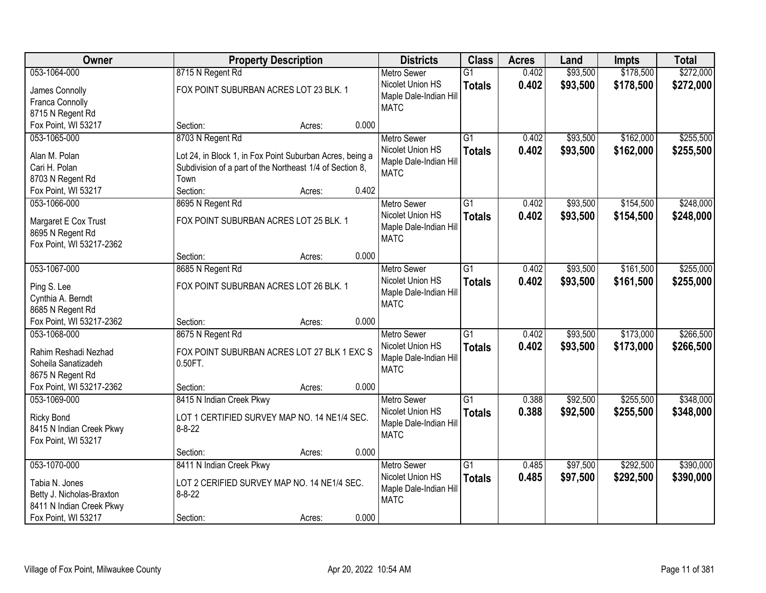| <b>Owner</b>                            |                                                          | <b>Property Description</b> |       |                                       | <b>Class</b>    | <b>Acres</b> | Land     | <b>Impts</b> | <b>Total</b> |
|-----------------------------------------|----------------------------------------------------------|-----------------------------|-------|---------------------------------------|-----------------|--------------|----------|--------------|--------------|
| 053-1064-000                            | 8715 N Regent Rd                                         |                             |       | <b>Metro Sewer</b>                    | $\overline{G1}$ | 0.402        | \$93,500 | \$178,500    | \$272,000    |
| James Connolly                          | FOX POINT SUBURBAN ACRES LOT 23 BLK. 1                   |                             |       | Nicolet Union HS                      | <b>Totals</b>   | 0.402        | \$93,500 | \$178,500    | \$272,000    |
| Franca Connolly                         |                                                          |                             |       | Maple Dale-Indian Hill                |                 |              |          |              |              |
| 8715 N Regent Rd                        |                                                          |                             |       | <b>MATC</b>                           |                 |              |          |              |              |
| Fox Point, WI 53217                     | Section:                                                 | Acres:                      | 0.000 |                                       |                 |              |          |              |              |
| 053-1065-000                            | 8703 N Regent Rd                                         |                             |       | <b>Metro Sewer</b>                    | $\overline{G1}$ | 0.402        | \$93,500 | \$162,000    | \$255,500    |
| Alan M. Polan                           |                                                          |                             |       | Nicolet Union HS                      | <b>Totals</b>   | 0.402        | \$93,500 | \$162,000    | \$255,500    |
| Cari H. Polan                           | Lot 24, in Block 1, in Fox Point Suburban Acres, being a |                             |       | Maple Dale-Indian Hill                |                 |              |          |              |              |
|                                         | Subdivision of a part of the Northeast 1/4 of Section 8, |                             |       | <b>MATC</b>                           |                 |              |          |              |              |
| 8703 N Regent Rd<br>Fox Point, WI 53217 | Town<br>Section:                                         |                             | 0.402 |                                       |                 |              |          |              |              |
| 053-1066-000                            |                                                          | Acres:                      |       | <b>Metro Sewer</b>                    | $\overline{G1}$ | 0.402        | \$93,500 | \$154,500    | \$248,000    |
|                                         | 8695 N Regent Rd                                         |                             |       |                                       |                 |              |          |              |              |
| Margaret E Cox Trust                    | FOX POINT SUBURBAN ACRES LOT 25 BLK. 1                   |                             |       | Nicolet Union HS                      | <b>Totals</b>   | 0.402        | \$93,500 | \$154,500    | \$248,000    |
| 8695 N Regent Rd                        |                                                          |                             |       | Maple Dale-Indian Hill<br><b>MATC</b> |                 |              |          |              |              |
| Fox Point, WI 53217-2362                |                                                          |                             |       |                                       |                 |              |          |              |              |
|                                         | Section:                                                 | Acres:                      | 0.000 |                                       |                 |              |          |              |              |
| 053-1067-000                            | 8685 N Regent Rd                                         |                             |       | <b>Metro Sewer</b>                    | G1              | 0.402        | \$93,500 | \$161,500    | \$255,000    |
| Ping S. Lee                             | FOX POINT SUBURBAN ACRES LOT 26 BLK. 1                   |                             |       | Nicolet Union HS                      | <b>Totals</b>   | 0.402        | \$93,500 | \$161,500    | \$255,000    |
| Cynthia A. Berndt                       |                                                          |                             |       | Maple Dale-Indian Hill                |                 |              |          |              |              |
| 8685 N Regent Rd                        |                                                          |                             |       | <b>MATC</b>                           |                 |              |          |              |              |
| Fox Point, WI 53217-2362                | Section:                                                 | Acres:                      | 0.000 |                                       |                 |              |          |              |              |
| 053-1068-000                            | 8675 N Regent Rd                                         |                             |       | <b>Metro Sewer</b>                    | $\overline{G1}$ | 0.402        | \$93,500 | \$173,000    | \$266,500    |
|                                         |                                                          |                             |       | Nicolet Union HS                      | <b>Totals</b>   | 0.402        | \$93,500 | \$173,000    | \$266,500    |
| Rahim Reshadi Nezhad                    | FOX POINT SUBURBAN ACRES LOT 27 BLK 1 EXC S              |                             |       | Maple Dale-Indian Hill                |                 |              |          |              |              |
| Soheila Sanatizadeh                     | 0.50FT.                                                  |                             |       | <b>MATC</b>                           |                 |              |          |              |              |
| 8675 N Regent Rd                        |                                                          |                             |       |                                       |                 |              |          |              |              |
| Fox Point, WI 53217-2362                | Section:                                                 | Acres:                      | 0.000 |                                       |                 |              |          |              |              |
| 053-1069-000                            | 8415 N Indian Creek Pkwy                                 |                             |       | Metro Sewer                           | G1              | 0.388        | \$92,500 | \$255,500    | \$348,000    |
| <b>Ricky Bond</b>                       | LOT 1 CERTIFIED SURVEY MAP NO. 14 NE1/4 SEC.             |                             |       | Nicolet Union HS                      | <b>Totals</b>   | 0.388        | \$92,500 | \$255,500    | \$348,000    |
| 8415 N Indian Creek Pkwy                | $8 - 8 - 22$                                             |                             |       | Maple Dale-Indian Hill                |                 |              |          |              |              |
| Fox Point, WI 53217                     |                                                          |                             |       | <b>MATC</b>                           |                 |              |          |              |              |
|                                         | Section:                                                 | Acres:                      | 0.000 |                                       |                 |              |          |              |              |
| 053-1070-000                            | 8411 N Indian Creek Pkwy                                 |                             |       | <b>Metro Sewer</b>                    | $\overline{G1}$ | 0.485        | \$97,500 | \$292,500    | \$390,000    |
|                                         |                                                          |                             |       | Nicolet Union HS                      | <b>Totals</b>   | 0.485        | \$97,500 | \$292,500    | \$390,000    |
| Tabia N. Jones                          | LOT 2 CERIFIED SURVEY MAP NO. 14 NE1/4 SEC.              |                             |       | Maple Dale-Indian Hill                |                 |              |          |              |              |
| Betty J. Nicholas-Braxton               | $8 - 8 - 22$                                             |                             |       | <b>MATC</b>                           |                 |              |          |              |              |
| 8411 N Indian Creek Pkwy                |                                                          |                             |       |                                       |                 |              |          |              |              |
| Fox Point, WI 53217                     | Section:                                                 | Acres:                      | 0.000 |                                       |                 |              |          |              |              |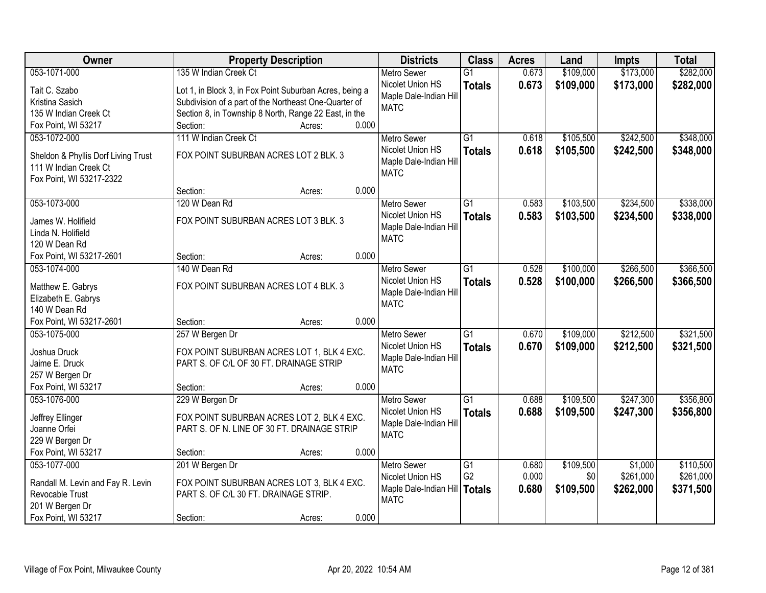| Owner                                  | <b>Property Description</b>                             |        |       | <b>Districts</b>                       | <b>Class</b>    | <b>Acres</b> | Land      | <b>Impts</b> | <b>Total</b> |
|----------------------------------------|---------------------------------------------------------|--------|-------|----------------------------------------|-----------------|--------------|-----------|--------------|--------------|
| 053-1071-000                           | 135 W Indian Creek Ct                                   |        |       | <b>Metro Sewer</b>                     | $\overline{G1}$ | 0.673        | \$109,000 | \$173,000    | \$282,000    |
| Tait C. Szabo                          | Lot 1, in Block 3, in Fox Point Suburban Acres, being a |        |       | Nicolet Union HS                       | <b>Totals</b>   | 0.673        | \$109,000 | \$173,000    | \$282,000    |
| Kristina Sasich                        | Subdivision of a part of the Northeast One-Quarter of   |        |       | Maple Dale-Indian Hill                 |                 |              |           |              |              |
| 135 W Indian Creek Ct                  | Section 8, in Township 8 North, Range 22 East, in the   |        |       | <b>MATC</b>                            |                 |              |           |              |              |
| Fox Point, WI 53217                    | Section:                                                | Acres: | 0.000 |                                        |                 |              |           |              |              |
| 053-1072-000                           | 111 W Indian Creek Ct                                   |        |       | <b>Metro Sewer</b>                     | $\overline{G1}$ | 0.618        | \$105,500 | \$242,500    | \$348,000    |
|                                        |                                                         |        |       | Nicolet Union HS                       | <b>Totals</b>   | 0.618        | \$105,500 | \$242,500    | \$348,000    |
| Sheldon & Phyllis Dorf Living Trust    | FOX POINT SUBURBAN ACRES LOT 2 BLK. 3                   |        |       | Maple Dale-Indian Hill                 |                 |              |           |              |              |
| 111 W Indian Creek Ct                  |                                                         |        |       | <b>MATC</b>                            |                 |              |           |              |              |
| Fox Point, WI 53217-2322               | Section:                                                |        | 0.000 |                                        |                 |              |           |              |              |
| 053-1073-000                           | 120 W Dean Rd                                           | Acres: |       | Metro Sewer                            | $\overline{G1}$ | 0.583        | \$103,500 | \$234,500    | \$338,000    |
|                                        |                                                         |        |       | Nicolet Union HS                       |                 |              |           |              |              |
| James W. Holifield                     | FOX POINT SUBURBAN ACRES LOT 3 BLK. 3                   |        |       | Maple Dale-Indian Hill                 | <b>Totals</b>   | 0.583        | \$103,500 | \$234,500    | \$338,000    |
| Linda N. Holifield                     |                                                         |        |       | <b>MATC</b>                            |                 |              |           |              |              |
| 120 W Dean Rd                          |                                                         |        |       |                                        |                 |              |           |              |              |
| Fox Point, WI 53217-2601               | Section:                                                | Acres: | 0.000 |                                        |                 |              |           |              |              |
| 053-1074-000                           | 140 W Dean Rd                                           |        |       | <b>Metro Sewer</b>                     | G1              | 0.528        | \$100,000 | \$266,500    | \$366,500    |
| Matthew E. Gabrys                      | FOX POINT SUBURBAN ACRES LOT 4 BLK. 3                   |        |       | Nicolet Union HS                       | <b>Totals</b>   | 0.528        | \$100,000 | \$266,500    | \$366,500    |
| Elizabeth E. Gabrys                    |                                                         |        |       | Maple Dale-Indian Hill                 |                 |              |           |              |              |
| 140 W Dean Rd                          |                                                         |        |       | <b>MATC</b>                            |                 |              |           |              |              |
| Fox Point, WI 53217-2601               | Section:                                                | Acres: | 0.000 |                                        |                 |              |           |              |              |
| 053-1075-000                           | 257 W Bergen Dr                                         |        |       | <b>Metro Sewer</b>                     | $\overline{G1}$ | 0.670        | \$109,000 | \$212,500    | \$321,500    |
|                                        |                                                         |        |       | Nicolet Union HS                       | <b>Totals</b>   | 0.670        | \$109,000 | \$212,500    | \$321,500    |
| Joshua Druck                           | FOX POINT SUBURBAN ACRES LOT 1, BLK 4 EXC.              |        |       | Maple Dale-Indian Hill                 |                 |              |           |              |              |
| Jaime E. Druck                         | PART S. OF C/L OF 30 FT. DRAINAGE STRIP                 |        |       | <b>MATC</b>                            |                 |              |           |              |              |
| 257 W Bergen Dr<br>Fox Point, WI 53217 |                                                         |        | 0.000 |                                        |                 |              |           |              |              |
| 053-1076-000                           | Section:                                                | Acres: |       |                                        | $\overline{G1}$ |              |           |              | \$356,800    |
|                                        | 229 W Bergen Dr                                         |        |       | <b>Metro Sewer</b><br>Nicolet Union HS |                 | 0.688        | \$109,500 | \$247,300    |              |
| Jeffrey Ellinger                       | FOX POINT SUBURBAN ACRES LOT 2, BLK 4 EXC.              |        |       | Maple Dale-Indian Hill                 | <b>Totals</b>   | 0.688        | \$109,500 | \$247,300    | \$356,800    |
| Joanne Orfei                           | PART S. OF N. LINE OF 30 FT. DRAINAGE STRIP             |        |       | <b>MATC</b>                            |                 |              |           |              |              |
| 229 W Bergen Dr                        |                                                         |        |       |                                        |                 |              |           |              |              |
| Fox Point, WI 53217                    | Section:                                                | Acres: | 0.000 |                                        |                 |              |           |              |              |
| 053-1077-000                           | 201 W Bergen Dr                                         |        |       | <b>Metro Sewer</b>                     | G1              | 0.680        | \$109,500 | \$1,000      | \$110,500    |
| Randall M. Levin and Fay R. Levin      | FOX POINT SUBURBAN ACRES LOT 3, BLK 4 EXC.              |        |       | Nicolet Union HS                       | G <sub>2</sub>  | 0.000        | \$0       | \$261,000    | \$261,000    |
| Revocable Trust                        | PART S. OF C/L 30 FT. DRAINAGE STRIP.                   |        |       | Maple Dale-Indian Hill                 | <b>Totals</b>   | 0.680        | \$109,500 | \$262,000    | \$371,500    |
| 201 W Bergen Dr                        |                                                         |        |       | <b>MATC</b>                            |                 |              |           |              |              |
| Fox Point, WI 53217                    | Section:                                                | Acres: | 0.000 |                                        |                 |              |           |              |              |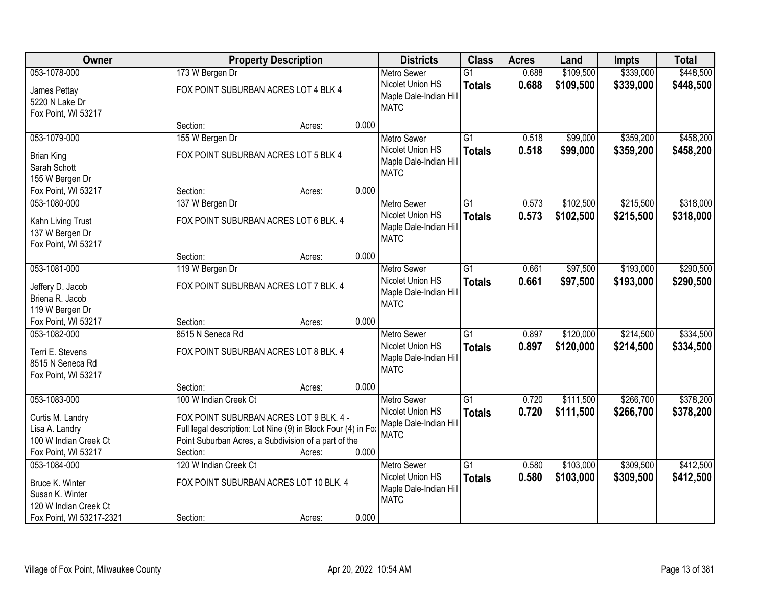| <b>Owner</b>                                                                       |                       | <b>Property Description</b>                                                                                                                                                |       |                                                                                 | <b>Class</b>                     | <b>Acres</b>   | Land                   | <b>Impts</b>           | <b>Total</b>           |
|------------------------------------------------------------------------------------|-----------------------|----------------------------------------------------------------------------------------------------------------------------------------------------------------------------|-------|---------------------------------------------------------------------------------|----------------------------------|----------------|------------------------|------------------------|------------------------|
| 053-1078-000                                                                       | 173 W Bergen Dr       |                                                                                                                                                                            |       | <b>Metro Sewer</b>                                                              | $\overline{G1}$                  | 0.688          | \$109,500              | \$339,000              | \$448,500              |
| James Pettay<br>5220 N Lake Dr<br>Fox Point, WI 53217                              |                       | FOX POINT SUBURBAN ACRES LOT 4 BLK 4                                                                                                                                       |       | Nicolet Union HS<br>Maple Dale-Indian Hill<br><b>MATC</b>                       | <b>Totals</b>                    | 0.688          | \$109,500              | \$339,000              | \$448,500              |
|                                                                                    | Section:              | Acres:                                                                                                                                                                     | 0.000 |                                                                                 |                                  |                |                        |                        |                        |
| 053-1079-000                                                                       | 155 W Bergen Dr       |                                                                                                                                                                            |       | <b>Metro Sewer</b>                                                              | $\overline{G1}$                  | 0.518          | \$99,000               | \$359,200              | \$458,200              |
| <b>Brian King</b><br>Sarah Schott<br>155 W Bergen Dr                               |                       | FOX POINT SUBURBAN ACRES LOT 5 BLK 4                                                                                                                                       |       | Nicolet Union HS<br>Maple Dale-Indian Hill<br><b>MATC</b>                       | <b>Totals</b>                    | 0.518          | \$99,000               | \$359,200              | \$458,200              |
| Fox Point, WI 53217                                                                | Section:              | Acres:                                                                                                                                                                     | 0.000 |                                                                                 |                                  |                |                        |                        |                        |
| 053-1080-000                                                                       | 137 W Bergen Dr       |                                                                                                                                                                            |       | <b>Metro Sewer</b>                                                              | G1                               | 0.573          | \$102,500              | \$215,500              | \$318,000              |
| Kahn Living Trust<br>137 W Bergen Dr<br>Fox Point, WI 53217                        |                       | FOX POINT SUBURBAN ACRES LOT 6 BLK. 4                                                                                                                                      |       | Nicolet Union HS<br>Maple Dale-Indian Hill<br><b>MATC</b>                       | <b>Totals</b>                    | 0.573          | \$102,500              | \$215,500              | \$318,000              |
|                                                                                    | Section:              | Acres:                                                                                                                                                                     | 0.000 |                                                                                 |                                  |                |                        |                        |                        |
| 053-1081-000                                                                       | 119 W Bergen Dr       |                                                                                                                                                                            |       | <b>Metro Sewer</b>                                                              | G1                               | 0.661          | \$97,500               | \$193,000              | \$290,500              |
| Jeffery D. Jacob<br>Briena R. Jacob<br>119 W Bergen Dr                             |                       | FOX POINT SUBURBAN ACRES LOT 7 BLK. 4                                                                                                                                      |       | Nicolet Union HS<br>Maple Dale-Indian Hill<br><b>MATC</b>                       | <b>Totals</b>                    | 0.661          | \$97,500               | \$193,000              | \$290,500              |
| Fox Point, WI 53217                                                                | Section:              | Acres:                                                                                                                                                                     | 0.000 |                                                                                 |                                  |                |                        |                        |                        |
| 053-1082-000<br>Terri E. Stevens<br>8515 N Seneca Rd<br>Fox Point, WI 53217        | 8515 N Seneca Rd      | FOX POINT SUBURBAN ACRES LOT 8 BLK. 4                                                                                                                                      |       | <b>Metro Sewer</b><br>Nicolet Union HS<br>Maple Dale-Indian Hill<br><b>MATC</b> | $\overline{G1}$<br><b>Totals</b> | 0.897<br>0.897 | \$120,000<br>\$120,000 | \$214,500<br>\$214,500 | \$334,500<br>\$334,500 |
|                                                                                    | Section:              | Acres:                                                                                                                                                                     | 0.000 |                                                                                 |                                  |                |                        |                        |                        |
| 053-1083-000                                                                       | 100 W Indian Creek Ct |                                                                                                                                                                            |       | <b>Metro Sewer</b>                                                              | $\overline{G1}$                  | 0.720          | \$111,500              | \$266,700              | \$378,200              |
| Curtis M. Landry<br>Lisa A. Landry<br>100 W Indian Creek Ct<br>Fox Point, WI 53217 | Section:              | FOX POINT SUBURBAN ACRES LOT 9 BLK. 4 -<br>Full legal description: Lot Nine (9) in Block Four (4) in Fo:<br>Point Suburban Acres, a Subdivision of a part of the<br>Acres: | 0.000 | Nicolet Union HS<br>Maple Dale-Indian Hill<br><b>MATC</b>                       | <b>Totals</b>                    | 0.720          | \$111,500              | \$266,700              | \$378,200              |
| 053-1084-000                                                                       | 120 W Indian Creek Ct |                                                                                                                                                                            |       | <b>Metro Sewer</b>                                                              | $\overline{G1}$                  | 0.580          | \$103,000              | \$309,500              | \$412,500              |
| Bruce K. Winter<br>Susan K. Winter<br>120 W Indian Creek Ct                        |                       | FOX POINT SUBURBAN ACRES LOT 10 BLK. 4                                                                                                                                     |       | Nicolet Union HS<br>Maple Dale-Indian Hill<br><b>MATC</b>                       | <b>Totals</b>                    | 0.580          | \$103,000              | \$309,500              | \$412,500              |
| Fox Point, WI 53217-2321                                                           | Section:              | Acres:                                                                                                                                                                     | 0.000 |                                                                                 |                                  |                |                        |                        |                        |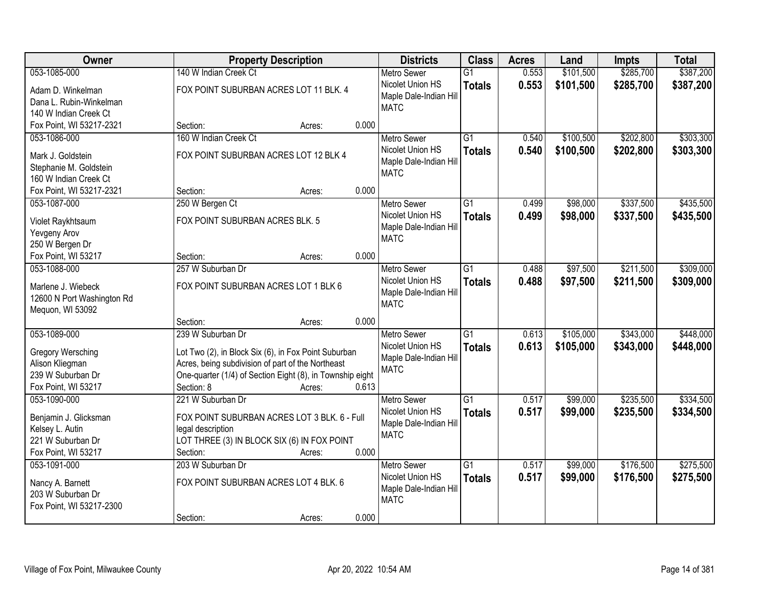| Owner                                           | <b>Property Description</b>                               |       | <b>Districts</b>       | <b>Class</b>    | <b>Acres</b> | Land      | <b>Impts</b> | <b>Total</b> |
|-------------------------------------------------|-----------------------------------------------------------|-------|------------------------|-----------------|--------------|-----------|--------------|--------------|
| 053-1085-000                                    | 140 W Indian Creek Ct                                     |       | <b>Metro Sewer</b>     | $\overline{G1}$ | 0.553        | \$101,500 | \$285,700    | \$387,200    |
| Adam D. Winkelman                               | FOX POINT SUBURBAN ACRES LOT 11 BLK. 4                    |       | Nicolet Union HS       | <b>Totals</b>   | 0.553        | \$101,500 | \$285,700    | \$387,200    |
| Dana L. Rubin-Winkelman                         |                                                           |       | Maple Dale-Indian Hill |                 |              |           |              |              |
| 140 W Indian Creek Ct                           |                                                           |       | <b>MATC</b>            |                 |              |           |              |              |
| Fox Point, WI 53217-2321                        | Section:<br>Acres:                                        | 0.000 |                        |                 |              |           |              |              |
| 053-1086-000                                    | 160 W Indian Creek Ct                                     |       | <b>Metro Sewer</b>     | $\overline{G1}$ | 0.540        | \$100,500 | \$202,800    | \$303,300    |
|                                                 | FOX POINT SUBURBAN ACRES LOT 12 BLK 4                     |       | Nicolet Union HS       | <b>Totals</b>   | 0.540        | \$100,500 | \$202,800    | \$303,300    |
| Mark J. Goldstein                               |                                                           |       | Maple Dale-Indian Hill |                 |              |           |              |              |
| Stephanie M. Goldstein<br>160 W Indian Creek Ct |                                                           |       | <b>MATC</b>            |                 |              |           |              |              |
| Fox Point, WI 53217-2321                        | Section:<br>Acres:                                        | 0.000 |                        |                 |              |           |              |              |
| 053-1087-000                                    |                                                           |       | <b>Metro Sewer</b>     | G1              | 0.499        | \$98,000  | \$337,500    | \$435,500    |
|                                                 | 250 W Bergen Ct                                           |       | Nicolet Union HS       |                 |              |           |              |              |
| Violet Raykhtsaum                               | FOX POINT SUBURBAN ACRES BLK. 5                           |       | Maple Dale-Indian Hill | <b>Totals</b>   | 0.499        | \$98,000  | \$337,500    | \$435,500    |
| Yevgeny Arov                                    |                                                           |       | <b>MATC</b>            |                 |              |           |              |              |
| 250 W Bergen Dr                                 |                                                           |       |                        |                 |              |           |              |              |
| Fox Point, WI 53217                             | Section:<br>Acres:                                        | 0.000 |                        |                 |              |           |              |              |
| 053-1088-000                                    | 257 W Suburban Dr                                         |       | <b>Metro Sewer</b>     | G1              | 0.488        | \$97,500  | \$211,500    | \$309,000    |
| Marlene J. Wiebeck                              | FOX POINT SUBURBAN ACRES LOT 1 BLK 6                      |       | Nicolet Union HS       | <b>Totals</b>   | 0.488        | \$97,500  | \$211,500    | \$309,000    |
| 12600 N Port Washington Rd                      |                                                           |       | Maple Dale-Indian Hill |                 |              |           |              |              |
| Mequon, WI 53092                                |                                                           |       | <b>MATC</b>            |                 |              |           |              |              |
|                                                 | Section:<br>Acres:                                        | 0.000 |                        |                 |              |           |              |              |
| 053-1089-000                                    | 239 W Suburban Dr                                         |       | <b>Metro Sewer</b>     | $\overline{G1}$ | 0.613        | \$105,000 | \$343,000    | \$448,000    |
|                                                 |                                                           |       | Nicolet Union HS       | <b>Totals</b>   | 0.613        | \$105,000 | \$343,000    | \$448,000    |
| Gregory Wersching                               | Lot Two (2), in Block Six (6), in Fox Point Suburban      |       | Maple Dale-Indian Hill |                 |              |           |              |              |
| Alison Kliegman                                 | Acres, being subdivision of part of the Northeast         |       | <b>MATC</b>            |                 |              |           |              |              |
| 239 W Suburban Dr                               | One-quarter (1/4) of Section Eight (8), in Township eight |       |                        |                 |              |           |              |              |
| Fox Point, WI 53217                             | Section: 8<br>Acres:                                      | 0.613 |                        |                 |              |           |              |              |
| 053-1090-000                                    | 221 W Suburban Dr                                         |       | <b>Metro Sewer</b>     | $\overline{G1}$ | 0.517        | \$99,000  | \$235,500    | \$334,500    |
| Benjamin J. Glicksman                           | FOX POINT SUBURBAN ACRES LOT 3 BLK. 6 - Full              |       | Nicolet Union HS       | <b>Totals</b>   | 0.517        | \$99,000  | \$235,500    | \$334,500    |
| Kelsey L. Autin                                 | legal description                                         |       | Maple Dale-Indian Hill |                 |              |           |              |              |
| 221 W Suburban Dr                               | LOT THREE (3) IN BLOCK SIX (6) IN FOX POINT               |       | <b>MATC</b>            |                 |              |           |              |              |
| Fox Point, WI 53217                             | Section:<br>Acres:                                        | 0.000 |                        |                 |              |           |              |              |
| 053-1091-000                                    | 203 W Suburban Dr                                         |       | <b>Metro Sewer</b>     | $\overline{G1}$ | 0.517        | \$99,000  | \$176,500    | \$275,500    |
| Nancy A. Barnett                                | FOX POINT SUBURBAN ACRES LOT 4 BLK. 6                     |       | Nicolet Union HS       | <b>Totals</b>   | 0.517        | \$99,000  | \$176,500    | \$275,500    |
| 203 W Suburban Dr                               |                                                           |       | Maple Dale-Indian Hill |                 |              |           |              |              |
| Fox Point, WI 53217-2300                        |                                                           |       | <b>MATC</b>            |                 |              |           |              |              |
|                                                 | Section:<br>Acres:                                        | 0.000 |                        |                 |              |           |              |              |
|                                                 |                                                           |       |                        |                 |              |           |              |              |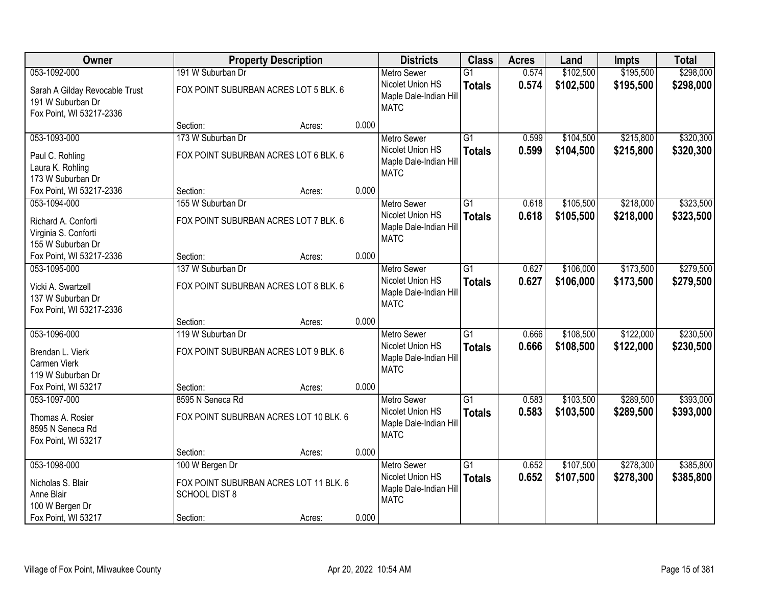| Owner                                                                           |                                                                                   | <b>Property Description</b> |       | <b>Districts</b>                                                                | <b>Class</b>                     | <b>Acres</b>   | Land                   | <b>Impts</b>           | <b>Total</b>           |
|---------------------------------------------------------------------------------|-----------------------------------------------------------------------------------|-----------------------------|-------|---------------------------------------------------------------------------------|----------------------------------|----------------|------------------------|------------------------|------------------------|
| 053-1092-000                                                                    | 191 W Suburban Dr                                                                 |                             |       | <b>Metro Sewer</b>                                                              | $\overline{G1}$                  | 0.574          | \$102,500              | \$195,500              | \$298,000              |
| Sarah A Gilday Revocable Trust<br>191 W Suburban Dr<br>Fox Point, WI 53217-2336 | FOX POINT SUBURBAN ACRES LOT 5 BLK. 6                                             |                             |       | Nicolet Union HS<br>Maple Dale-Indian Hill<br><b>MATC</b>                       | <b>Totals</b>                    | 0.574          | \$102,500              | \$195,500              | \$298,000              |
|                                                                                 | Section:                                                                          | Acres:                      | 0.000 |                                                                                 |                                  |                |                        |                        |                        |
| 053-1093-000                                                                    | 173 W Suburban Dr                                                                 |                             |       | <b>Metro Sewer</b>                                                              | $\overline{G1}$                  | 0.599          | \$104,500              | \$215,800              | \$320,300              |
| Paul C. Rohling<br>Laura K. Rohling<br>173 W Suburban Dr                        | FOX POINT SUBURBAN ACRES LOT 6 BLK. 6                                             |                             |       | Nicolet Union HS<br>Maple Dale-Indian Hill<br><b>MATC</b>                       | <b>Totals</b>                    | 0.599          | \$104,500              | \$215,800              | \$320,300              |
| Fox Point, WI 53217-2336                                                        | Section:                                                                          | Acres:                      | 0.000 |                                                                                 |                                  |                |                        |                        |                        |
| 053-1094-000                                                                    | 155 W Suburban Dr                                                                 |                             |       | <b>Metro Sewer</b>                                                              | $\overline{G1}$                  | 0.618          | \$105,500              | \$218,000              | \$323,500              |
| Richard A. Conforti<br>Virginia S. Conforti<br>155 W Suburban Dr                | FOX POINT SUBURBAN ACRES LOT 7 BLK. 6                                             |                             |       | Nicolet Union HS<br>Maple Dale-Indian Hill<br><b>MATC</b>                       | <b>Totals</b>                    | 0.618          | \$105,500              | \$218,000              | \$323,500              |
| Fox Point, WI 53217-2336                                                        | Section:                                                                          | Acres:                      | 0.000 |                                                                                 |                                  |                |                        |                        |                        |
| 053-1095-000                                                                    | 137 W Suburban Dr                                                                 |                             |       | <b>Metro Sewer</b>                                                              | $\overline{G1}$                  | 0.627          | \$106,000              | \$173,500              | \$279,500              |
| Vicki A. Swartzell<br>137 W Suburban Dr<br>Fox Point, WI 53217-2336             | FOX POINT SUBURBAN ACRES LOT 8 BLK. 6                                             |                             |       | Nicolet Union HS<br>Maple Dale-Indian Hill<br><b>MATC</b>                       | <b>Totals</b>                    | 0.627          | \$106,000              | \$173,500              | \$279,500              |
|                                                                                 | Section:                                                                          | Acres:                      | 0.000 |                                                                                 |                                  |                |                        |                        |                        |
| 053-1096-000<br>Brendan L. Vierk<br>Carmen Vierk<br>119 W Suburban Dr           | 119 W Suburban Dr<br>FOX POINT SUBURBAN ACRES LOT 9 BLK. 6                        |                             |       | <b>Metro Sewer</b><br>Nicolet Union HS<br>Maple Dale-Indian Hill<br><b>MATC</b> | $\overline{G1}$<br><b>Totals</b> | 0.666<br>0.666 | \$108,500<br>\$108,500 | \$122,000<br>\$122,000 | \$230,500<br>\$230,500 |
| Fox Point, WI 53217                                                             | Section:                                                                          | Acres:                      | 0.000 |                                                                                 |                                  |                |                        |                        |                        |
| 053-1097-000                                                                    | 8595 N Seneca Rd                                                                  |                             |       | Metro Sewer                                                                     | $\overline{G1}$                  | 0.583          | \$103,500              | \$289,500              | \$393,000              |
| Thomas A. Rosier<br>8595 N Seneca Rd<br>Fox Point, WI 53217                     | FOX POINT SUBURBAN ACRES LOT 10 BLK. 6                                            |                             |       | Nicolet Union HS<br>Maple Dale-Indian Hill<br><b>MATC</b>                       | <b>Totals</b>                    | 0.583          | \$103,500              | \$289,500              | \$393,000              |
|                                                                                 | Section:                                                                          | Acres:                      | 0.000 |                                                                                 |                                  |                |                        |                        |                        |
| 053-1098-000<br>Nicholas S. Blair<br>Anne Blair<br>100 W Bergen Dr              | 100 W Bergen Dr<br>FOX POINT SUBURBAN ACRES LOT 11 BLK. 6<br><b>SCHOOL DIST 8</b> |                             | 0.000 | <b>Metro Sewer</b><br>Nicolet Union HS<br>Maple Dale-Indian Hill<br><b>MATC</b> | $\overline{G1}$<br><b>Totals</b> | 0.652<br>0.652 | \$107,500<br>\$107,500 | \$278,300<br>\$278,300 | \$385,800<br>\$385,800 |
| Fox Point, WI 53217                                                             | Section:                                                                          | Acres:                      |       |                                                                                 |                                  |                |                        |                        |                        |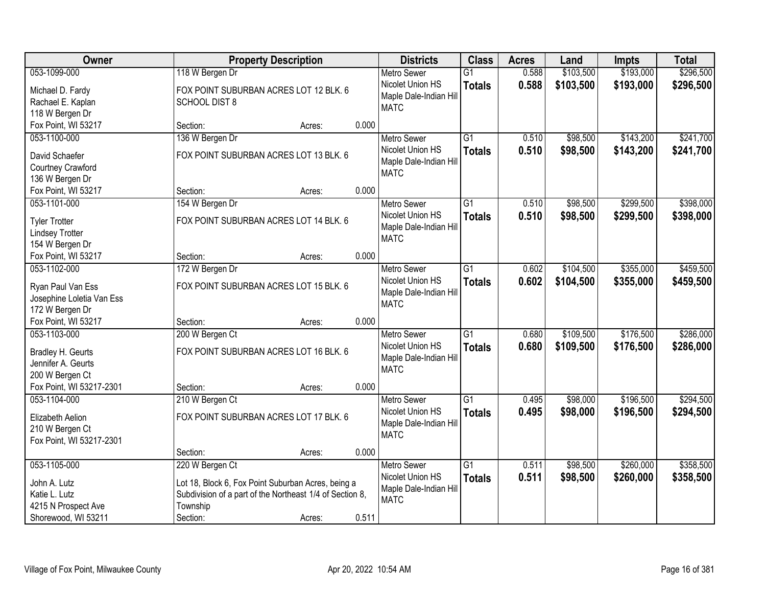| <b>Owner</b>              | <b>Property Description</b> |                                                          |       | <b>Districts</b>       | <b>Class</b>    | <b>Acres</b> | Land      | <b>Impts</b> | <b>Total</b> |
|---------------------------|-----------------------------|----------------------------------------------------------|-------|------------------------|-----------------|--------------|-----------|--------------|--------------|
| 053-1099-000              | 118 W Bergen Dr             |                                                          |       | <b>Metro Sewer</b>     | $\overline{G1}$ | 0.588        | \$103,500 | \$193,000    | \$296,500    |
| Michael D. Fardy          |                             | FOX POINT SUBURBAN ACRES LOT 12 BLK. 6                   |       | Nicolet Union HS       | <b>Totals</b>   | 0.588        | \$103,500 | \$193,000    | \$296,500    |
| Rachael E. Kaplan         | <b>SCHOOL DIST 8</b>        |                                                          |       | Maple Dale-Indian Hill |                 |              |           |              |              |
| 118 W Bergen Dr           |                             |                                                          |       | <b>MATC</b>            |                 |              |           |              |              |
| Fox Point, WI 53217       | Section:                    | Acres:                                                   | 0.000 |                        |                 |              |           |              |              |
| 053-1100-000              | 136 W Bergen Dr             |                                                          |       | <b>Metro Sewer</b>     | $\overline{G1}$ | 0.510        | \$98,500  | \$143,200    | \$241,700    |
| David Schaefer            |                             | FOX POINT SUBURBAN ACRES LOT 13 BLK. 6                   |       | Nicolet Union HS       | <b>Totals</b>   | 0.510        | \$98,500  | \$143,200    | \$241,700    |
| Courtney Crawford         |                             |                                                          |       | Maple Dale-Indian Hill |                 |              |           |              |              |
| 136 W Bergen Dr           |                             |                                                          |       | <b>MATC</b>            |                 |              |           |              |              |
| Fox Point, WI 53217       | Section:                    | Acres:                                                   | 0.000 |                        |                 |              |           |              |              |
| 053-1101-000              | 154 W Bergen Dr             |                                                          |       | <b>Metro Sewer</b>     | $\overline{G1}$ | 0.510        | \$98,500  | \$299,500    | \$398,000    |
| <b>Tyler Trotter</b>      |                             | FOX POINT SUBURBAN ACRES LOT 14 BLK. 6                   |       | Nicolet Union HS       | <b>Totals</b>   | 0.510        | \$98,500  | \$299,500    | \$398,000    |
| <b>Lindsey Trotter</b>    |                             |                                                          |       | Maple Dale-Indian Hill |                 |              |           |              |              |
| 154 W Bergen Dr           |                             |                                                          |       | <b>MATC</b>            |                 |              |           |              |              |
| Fox Point, WI 53217       | Section:                    | Acres:                                                   | 0.000 |                        |                 |              |           |              |              |
| 053-1102-000              | 172 W Bergen Dr             |                                                          |       | <b>Metro Sewer</b>     | G1              | 0.602        | \$104,500 | \$355,000    | \$459,500    |
| Ryan Paul Van Ess         |                             | FOX POINT SUBURBAN ACRES LOT 15 BLK. 6                   |       | Nicolet Union HS       | <b>Totals</b>   | 0.602        | \$104,500 | \$355,000    | \$459,500    |
| Josephine Loletia Van Ess |                             |                                                          |       | Maple Dale-Indian Hill |                 |              |           |              |              |
| 172 W Bergen Dr           |                             |                                                          |       | <b>MATC</b>            |                 |              |           |              |              |
| Fox Point, WI 53217       | Section:                    | Acres:                                                   | 0.000 |                        |                 |              |           |              |              |
| 053-1103-000              | 200 W Bergen Ct             |                                                          |       | <b>Metro Sewer</b>     | $\overline{G1}$ | 0.680        | \$109,500 | \$176,500    | \$286,000    |
| Bradley H. Geurts         |                             | FOX POINT SUBURBAN ACRES LOT 16 BLK. 6                   |       | Nicolet Union HS       | <b>Totals</b>   | 0.680        | \$109,500 | \$176,500    | \$286,000    |
| Jennifer A. Geurts        |                             |                                                          |       | Maple Dale-Indian Hill |                 |              |           |              |              |
| 200 W Bergen Ct           |                             |                                                          |       | <b>MATC</b>            |                 |              |           |              |              |
| Fox Point, WI 53217-2301  | Section:                    | Acres:                                                   | 0.000 |                        |                 |              |           |              |              |
| 053-1104-000              | 210 W Bergen Ct             |                                                          |       | <b>Metro Sewer</b>     | $\overline{G1}$ | 0.495        | \$98,000  | \$196,500    | \$294,500    |
| Elizabeth Aelion          |                             | FOX POINT SUBURBAN ACRES LOT 17 BLK. 6                   |       | Nicolet Union HS       | <b>Totals</b>   | 0.495        | \$98,000  | \$196,500    | \$294,500    |
| 210 W Bergen Ct           |                             |                                                          |       | Maple Dale-Indian Hill |                 |              |           |              |              |
| Fox Point, WI 53217-2301  |                             |                                                          |       | <b>MATC</b>            |                 |              |           |              |              |
|                           | Section:                    | Acres:                                                   | 0.000 |                        |                 |              |           |              |              |
| 053-1105-000              | 220 W Bergen Ct             |                                                          |       | <b>Metro Sewer</b>     | $\overline{G1}$ | 0.511        | \$98,500  | \$260,000    | \$358,500    |
| John A. Lutz              |                             | Lot 18, Block 6, Fox Point Suburban Acres, being a       |       | Nicolet Union HS       | <b>Totals</b>   | 0.511        | \$98,500  | \$260,000    | \$358,500    |
| Katie L. Lutz             |                             | Subdivision of a part of the Northeast 1/4 of Section 8, |       | Maple Dale-Indian Hill |                 |              |           |              |              |
| 4215 N Prospect Ave       | Township                    |                                                          |       | <b>MATC</b>            |                 |              |           |              |              |
| Shorewood, WI 53211       | Section:                    | Acres:                                                   | 0.511 |                        |                 |              |           |              |              |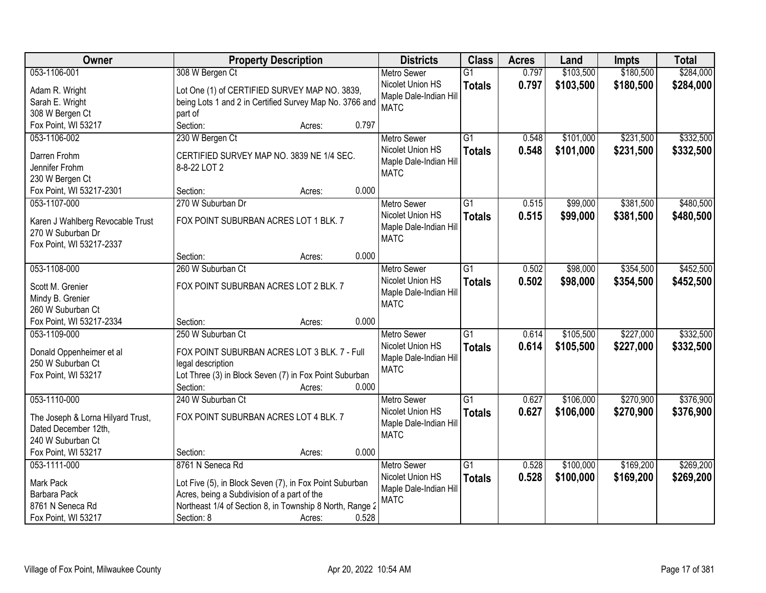| <b>Owner</b>                      | <b>Property Description</b>                              | <b>Districts</b>       | <b>Class</b>    | <b>Acres</b> | Land      | <b>Impts</b> | <b>Total</b> |
|-----------------------------------|----------------------------------------------------------|------------------------|-----------------|--------------|-----------|--------------|--------------|
| 053-1106-001                      | 308 W Bergen Ct                                          | <b>Metro Sewer</b>     | $\overline{G1}$ | 0.797        | \$103,500 | \$180,500    | \$284,000    |
| Adam R. Wright                    | Lot One (1) of CERTIFIED SURVEY MAP NO. 3839,            | Nicolet Union HS       | <b>Totals</b>   | 0.797        | \$103,500 | \$180,500    | \$284,000    |
| Sarah E. Wright                   | being Lots 1 and 2 in Certified Survey Map No. 3766 and  | Maple Dale-Indian Hill |                 |              |           |              |              |
| 308 W Bergen Ct                   | part of                                                  | <b>MATC</b>            |                 |              |           |              |              |
| Fox Point, WI 53217               | 0.797<br>Section:<br>Acres:                              |                        |                 |              |           |              |              |
| 053-1106-002                      | 230 W Bergen Ct                                          | <b>Metro Sewer</b>     | $\overline{G1}$ | 0.548        | \$101,000 | \$231,500    | \$332,500    |
|                                   |                                                          | Nicolet Union HS       | <b>Totals</b>   | 0.548        | \$101,000 | \$231,500    | \$332,500    |
| Darren Frohm                      | CERTIFIED SURVEY MAP NO. 3839 NE 1/4 SEC.                | Maple Dale-Indian Hill |                 |              |           |              |              |
| Jennifer Frohm                    | 8-8-22 LOT 2                                             | <b>MATC</b>            |                 |              |           |              |              |
| 230 W Bergen Ct                   |                                                          |                        |                 |              |           |              |              |
| Fox Point, WI 53217-2301          | 0.000<br>Section:<br>Acres:                              |                        |                 |              |           |              |              |
| 053-1107-000                      | 270 W Suburban Dr                                        | <b>Metro Sewer</b>     | G1              | 0.515        | \$99,000  | \$381,500    | \$480,500    |
| Karen J Wahlberg Revocable Trust  | FOX POINT SUBURBAN ACRES LOT 1 BLK. 7                    | Nicolet Union HS       | <b>Totals</b>   | 0.515        | \$99,000  | \$381,500    | \$480,500    |
| 270 W Suburban Dr                 |                                                          | Maple Dale-Indian Hill |                 |              |           |              |              |
| Fox Point, WI 53217-2337          |                                                          | <b>MATC</b>            |                 |              |           |              |              |
|                                   | 0.000<br>Section:<br>Acres:                              |                        |                 |              |           |              |              |
| 053-1108-000                      | 260 W Suburban Ct                                        | <b>Metro Sewer</b>     | $\overline{G1}$ | 0.502        | \$98,000  | \$354,500    | \$452,500    |
|                                   |                                                          | Nicolet Union HS       | <b>Totals</b>   | 0.502        | \$98,000  | \$354,500    | \$452,500    |
| Scott M. Grenier                  | FOX POINT SUBURBAN ACRES LOT 2 BLK. 7                    | Maple Dale-Indian Hill |                 |              |           |              |              |
| Mindy B. Grenier                  |                                                          | <b>MATC</b>            |                 |              |           |              |              |
| 260 W Suburban Ct                 |                                                          |                        |                 |              |           |              |              |
| Fox Point, WI 53217-2334          | 0.000<br>Section:<br>Acres:                              |                        |                 |              |           |              |              |
| 053-1109-000                      | 250 W Suburban Ct                                        | <b>Metro Sewer</b>     | $\overline{G1}$ | 0.614        | \$105,500 | \$227,000    | \$332,500    |
| Donald Oppenheimer et al          | FOX POINT SUBURBAN ACRES LOT 3 BLK. 7 - Full             | Nicolet Union HS       | <b>Totals</b>   | 0.614        | \$105,500 | \$227,000    | \$332,500    |
| 250 W Suburban Ct                 | legal description                                        | Maple Dale-Indian Hill |                 |              |           |              |              |
| Fox Point, WI 53217               | Lot Three (3) in Block Seven (7) in Fox Point Suburban   | <b>MATC</b>            |                 |              |           |              |              |
|                                   | 0.000<br>Section:<br>Acres:                              |                        |                 |              |           |              |              |
| 053-1110-000                      | 240 W Suburban Ct                                        | Metro Sewer            | $\overline{G1}$ | 0.627        | \$106,000 | \$270,900    | \$376,900    |
|                                   |                                                          | Nicolet Union HS       | <b>Totals</b>   | 0.627        | \$106,000 | \$270,900    | \$376,900    |
| The Joseph & Lorna Hilyard Trust, | FOX POINT SUBURBAN ACRES LOT 4 BLK. 7                    | Maple Dale-Indian Hill |                 |              |           |              |              |
| Dated December 12th,              |                                                          | <b>MATC</b>            |                 |              |           |              |              |
| 240 W Suburban Ct                 |                                                          |                        |                 |              |           |              |              |
| Fox Point, WI 53217               | 0.000<br>Section:<br>Acres:                              |                        |                 |              |           |              |              |
| 053-1111-000                      | 8761 N Seneca Rd                                         | <b>Metro Sewer</b>     | $\overline{G1}$ | 0.528        | \$100,000 | \$169,200    | \$269,200    |
| Mark Pack                         | Lot Five (5), in Block Seven (7), in Fox Point Suburban  | Nicolet Union HS       | <b>Totals</b>   | 0.528        | \$100,000 | \$169,200    | \$269,200    |
| Barbara Pack                      | Acres, being a Subdivision of a part of the              | Maple Dale-Indian Hil  |                 |              |           |              |              |
| 8761 N Seneca Rd                  | Northeast 1/4 of Section 8, in Township 8 North, Range 2 | <b>MATC</b>            |                 |              |           |              |              |
| Fox Point, WI 53217               | 0.528<br>Section: 8<br>Acres:                            |                        |                 |              |           |              |              |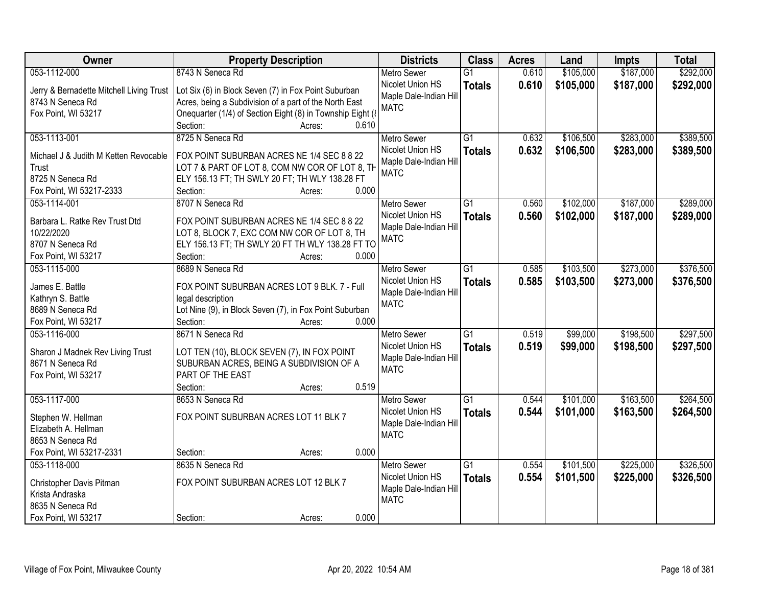| Owner                                    | <b>Property Description</b>                                 | <b>Districts</b>                      | <b>Class</b>    | <b>Acres</b> | Land      | <b>Impts</b> | <b>Total</b> |
|------------------------------------------|-------------------------------------------------------------|---------------------------------------|-----------------|--------------|-----------|--------------|--------------|
| 053-1112-000                             | 8743 N Seneca Rd                                            | <b>Metro Sewer</b>                    | $\overline{G1}$ | 0.610        | \$105,000 | \$187,000    | \$292,000    |
| Jerry & Bernadette Mitchell Living Trust | Lot Six (6) in Block Seven (7) in Fox Point Suburban        | Nicolet Union HS                      | <b>Totals</b>   | 0.610        | \$105,000 | \$187,000    | \$292,000    |
| 8743 N Seneca Rd                         | Acres, being a Subdivision of a part of the North East      | Maple Dale-Indian Hill                |                 |              |           |              |              |
| Fox Point, WI 53217                      | Onequarter (1/4) of Section Eight (8) in Township Eight (8) | <b>MATC</b>                           |                 |              |           |              |              |
|                                          | Section:<br>0.610<br>Acres:                                 |                                       |                 |              |           |              |              |
| 053-1113-001                             | 8725 N Seneca Rd                                            | <b>Metro Sewer</b>                    | $\overline{G1}$ | 0.632        | \$106,500 | \$283,000    | \$389,500    |
|                                          |                                                             | Nicolet Union HS                      | <b>Totals</b>   | 0.632        | \$106,500 | \$283,000    | \$389,500    |
| Michael J & Judith M Ketten Revocable    | FOX POINT SUBURBAN ACRES NE 1/4 SEC 8 8 22                  | Maple Dale-Indian Hill                |                 |              |           |              |              |
| Trust                                    | LOT 7 & PART OF LOT 8, COM NW COR OF LOT 8, TH              | <b>MATC</b>                           |                 |              |           |              |              |
| 8725 N Seneca Rd                         | ELY 156.13 FT; TH SWLY 20 FT; TH WLY 138.28 FT<br>0.000     |                                       |                 |              |           |              |              |
| Fox Point, WI 53217-2333                 | Section:<br>Acres:                                          |                                       |                 |              |           |              |              |
| 053-1114-001                             | 8707 N Seneca Rd                                            | <b>Metro Sewer</b>                    | $\overline{G1}$ | 0.560        | \$102,000 | \$187,000    | \$289,000    |
| Barbara L. Ratke Rev Trust Dtd           | FOX POINT SUBURBAN ACRES NE 1/4 SEC 8 8 22                  | Nicolet Union HS                      | <b>Totals</b>   | 0.560        | \$102,000 | \$187,000    | \$289,000    |
| 10/22/2020                               | LOT 8, BLOCK 7, EXC COM NW COR OF LOT 8, TH                 | Maple Dale-Indian Hill<br><b>MATC</b> |                 |              |           |              |              |
| 8707 N Seneca Rd                         | ELY 156.13 FT; TH SWLY 20 FT TH WLY 138.28 FT TO            |                                       |                 |              |           |              |              |
| Fox Point, WI 53217                      | Section:<br>0.000<br>Acres:                                 |                                       |                 |              |           |              |              |
| 053-1115-000                             | 8689 N Seneca Rd                                            | <b>Metro Sewer</b>                    | $\overline{G1}$ | 0.585        | \$103,500 | \$273,000    | \$376,500    |
| James E. Battle                          | FOX POINT SUBURBAN ACRES LOT 9 BLK. 7 - Full                | Nicolet Union HS                      | <b>Totals</b>   | 0.585        | \$103,500 | \$273,000    | \$376,500    |
| Kathryn S. Battle                        | legal description                                           | Maple Dale-Indian Hill                |                 |              |           |              |              |
| 8689 N Seneca Rd                         | Lot Nine (9), in Block Seven (7), in Fox Point Suburban     | <b>MATC</b>                           |                 |              |           |              |              |
| Fox Point, WI 53217                      | 0.000<br>Section:<br>Acres:                                 |                                       |                 |              |           |              |              |
| 053-1116-000                             | 8671 N Seneca Rd                                            | Metro Sewer                           | $\overline{G1}$ | 0.519        | \$99,000  | \$198,500    | \$297,500    |
|                                          |                                                             | Nicolet Union HS                      | <b>Totals</b>   | 0.519        | \$99,000  | \$198,500    | \$297,500    |
| Sharon J Madnek Rev Living Trust         | LOT TEN (10), BLOCK SEVEN (7), IN FOX POINT                 | Maple Dale-Indian Hill                |                 |              |           |              |              |
| 8671 N Seneca Rd                         | SUBURBAN ACRES, BEING A SUBDIVISION OF A                    | <b>MATC</b>                           |                 |              |           |              |              |
| Fox Point, WI 53217                      | PART OF THE EAST                                            |                                       |                 |              |           |              |              |
|                                          | Section:<br>0.519<br>Acres:                                 |                                       |                 |              |           |              |              |
| 053-1117-000                             | 8653 N Seneca Rd                                            | <b>Metro Sewer</b>                    | $\overline{G1}$ | 0.544        | \$101,000 | \$163,500    | \$264,500    |
| Stephen W. Hellman                       | FOX POINT SUBURBAN ACRES LOT 11 BLK 7                       | Nicolet Union HS                      | <b>Totals</b>   | 0.544        | \$101,000 | \$163,500    | \$264,500    |
| Elizabeth A. Hellman                     |                                                             | Maple Dale-Indian Hill                |                 |              |           |              |              |
| 8653 N Seneca Rd                         |                                                             | <b>MATC</b>                           |                 |              |           |              |              |
| Fox Point, WI 53217-2331                 | 0.000<br>Section:<br>Acres:                                 |                                       |                 |              |           |              |              |
| 053-1118-000                             | 8635 N Seneca Rd                                            | <b>Metro Sewer</b>                    | $\overline{G1}$ | 0.554        | \$101,500 | \$225,000    | \$326,500    |
|                                          |                                                             | Nicolet Union HS                      | <b>Totals</b>   | 0.554        | \$101,500 | \$225,000    | \$326,500    |
| Christopher Davis Pitman                 | FOX POINT SUBURBAN ACRES LOT 12 BLK 7                       | Maple Dale-Indian Hill                |                 |              |           |              |              |
| Krista Andraska                          |                                                             | <b>MATC</b>                           |                 |              |           |              |              |
| 8635 N Seneca Rd                         |                                                             |                                       |                 |              |           |              |              |
| Fox Point, WI 53217                      | 0.000<br>Section:<br>Acres:                                 |                                       |                 |              |           |              |              |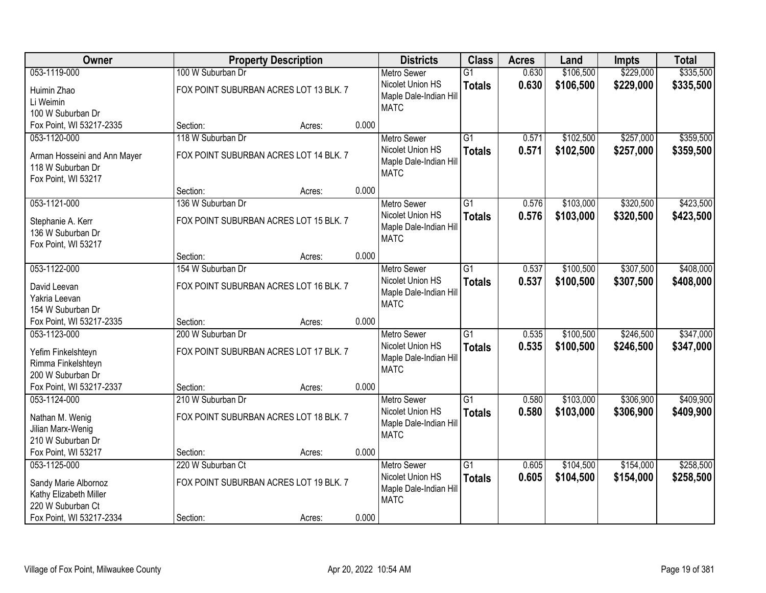| Owner                                          | <b>Property Description</b>            |        |       | <b>Districts</b>       | <b>Class</b>    | <b>Acres</b> | Land      | <b>Impts</b> | <b>Total</b> |
|------------------------------------------------|----------------------------------------|--------|-------|------------------------|-----------------|--------------|-----------|--------------|--------------|
| 053-1119-000                                   | 100 W Suburban Dr                      |        |       | <b>Metro Sewer</b>     | $\overline{G1}$ | 0.630        | \$106,500 | \$229,000    | \$335,500    |
| Huimin Zhao                                    | FOX POINT SUBURBAN ACRES LOT 13 BLK. 7 |        |       | Nicolet Union HS       | <b>Totals</b>   | 0.630        | \$106,500 | \$229,000    | \$335,500    |
| Li Weimin                                      |                                        |        |       | Maple Dale-Indian Hill |                 |              |           |              |              |
| 100 W Suburban Dr                              |                                        |        |       | <b>MATC</b>            |                 |              |           |              |              |
| Fox Point, WI 53217-2335                       | Section:                               | Acres: | 0.000 |                        |                 |              |           |              |              |
| 053-1120-000                                   | 118 W Suburban Dr                      |        |       | <b>Metro Sewer</b>     | $\overline{G1}$ | 0.571        | \$102,500 | \$257,000    | \$359,500    |
| Arman Hosseini and Ann Mayer                   | FOX POINT SUBURBAN ACRES LOT 14 BLK. 7 |        |       | Nicolet Union HS       | <b>Totals</b>   | 0.571        | \$102,500 | \$257,000    | \$359,500    |
| 118 W Suburban Dr                              |                                        |        |       | Maple Dale-Indian Hill |                 |              |           |              |              |
| Fox Point, WI 53217                            |                                        |        |       | <b>MATC</b>            |                 |              |           |              |              |
|                                                | Section:                               | Acres: | 0.000 |                        |                 |              |           |              |              |
| 053-1121-000                                   | 136 W Suburban Dr                      |        |       | <b>Metro Sewer</b>     | G1              | 0.576        | \$103,000 | \$320,500    | \$423,500    |
| Stephanie A. Kerr                              | FOX POINT SUBURBAN ACRES LOT 15 BLK. 7 |        |       | Nicolet Union HS       | <b>Totals</b>   | 0.576        | \$103,000 | \$320,500    | \$423,500    |
| 136 W Suburban Dr                              |                                        |        |       | Maple Dale-Indian Hill |                 |              |           |              |              |
| Fox Point, WI 53217                            |                                        |        |       | <b>MATC</b>            |                 |              |           |              |              |
|                                                | Section:                               | Acres: | 0.000 |                        |                 |              |           |              |              |
| 053-1122-000                                   | 154 W Suburban Dr                      |        |       | <b>Metro Sewer</b>     | G1              | 0.537        | \$100,500 | \$307,500    | \$408,000    |
| David Leevan                                   | FOX POINT SUBURBAN ACRES LOT 16 BLK. 7 |        |       | Nicolet Union HS       | <b>Totals</b>   | 0.537        | \$100,500 | \$307,500    | \$408,000    |
| Yakria Leevan                                  |                                        |        |       | Maple Dale-Indian Hill |                 |              |           |              |              |
| 154 W Suburban Dr                              |                                        |        |       | <b>MATC</b>            |                 |              |           |              |              |
| Fox Point, WI 53217-2335                       | Section:                               | Acres: | 0.000 |                        |                 |              |           |              |              |
| 053-1123-000                                   | 200 W Suburban Dr                      |        |       | <b>Metro Sewer</b>     | $\overline{G1}$ | 0.535        | \$100,500 | \$246,500    | \$347,000    |
| Yefim Finkelshteyn                             | FOX POINT SUBURBAN ACRES LOT 17 BLK. 7 |        |       | Nicolet Union HS       | <b>Totals</b>   | 0.535        | \$100,500 | \$246,500    | \$347,000    |
| Rimma Finkelshteyn                             |                                        |        |       | Maple Dale-Indian Hill |                 |              |           |              |              |
| 200 W Suburban Dr                              |                                        |        |       | <b>MATC</b>            |                 |              |           |              |              |
| Fox Point, WI 53217-2337                       | Section:                               | Acres: | 0.000 |                        |                 |              |           |              |              |
| 053-1124-000                                   | 210 W Suburban Dr                      |        |       | Metro Sewer            | $\overline{G1}$ | 0.580        | \$103,000 | \$306,900    | \$409,900    |
|                                                | FOX POINT SUBURBAN ACRES LOT 18 BLK. 7 |        |       | Nicolet Union HS       | <b>Totals</b>   | 0.580        | \$103,000 | \$306,900    | \$409,900    |
| Nathan M. Wenig<br>Jilian Marx-Wenig           |                                        |        |       | Maple Dale-Indian Hill |                 |              |           |              |              |
| 210 W Suburban Dr                              |                                        |        |       | <b>MATC</b>            |                 |              |           |              |              |
| Fox Point, WI 53217                            | Section:                               | Acres: | 0.000 |                        |                 |              |           |              |              |
| 053-1125-000                                   | 220 W Suburban Ct                      |        |       | <b>Metro Sewer</b>     | $\overline{G1}$ | 0.605        | \$104,500 | \$154,000    | \$258,500    |
|                                                |                                        |        |       | Nicolet Union HS       | <b>Totals</b>   | 0.605        | \$104,500 | \$154,000    | \$258,500    |
| Sandy Marie Albornoz<br>Kathy Elizabeth Miller | FOX POINT SUBURBAN ACRES LOT 19 BLK. 7 |        |       | Maple Dale-Indian Hill |                 |              |           |              |              |
| 220 W Suburban Ct                              |                                        |        |       | <b>MATC</b>            |                 |              |           |              |              |
| Fox Point, WI 53217-2334                       | Section:                               | Acres: | 0.000 |                        |                 |              |           |              |              |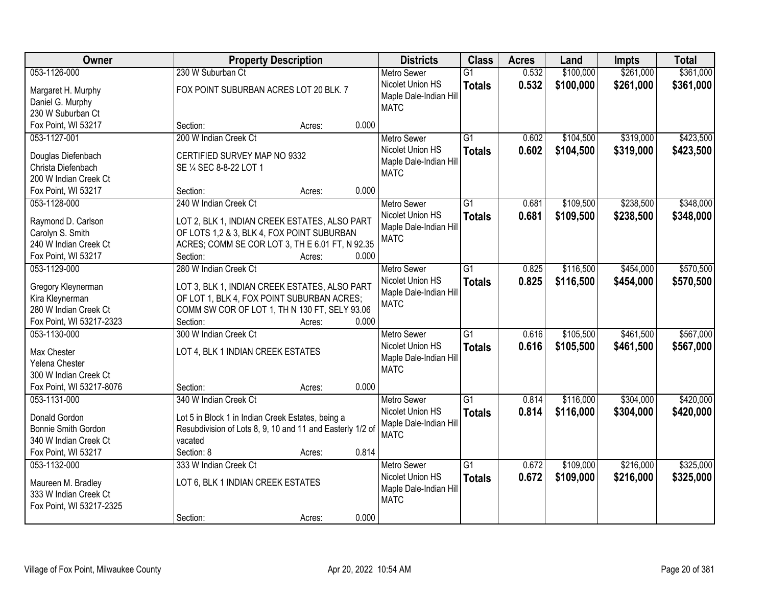| \$361,000<br>053-1126-000<br>230 W Suburban Ct<br>0.532<br>\$100,000<br>\$261,000<br>$\overline{G1}$<br><b>Metro Sewer</b><br>Nicolet Union HS<br>0.532<br>\$100,000<br>\$261,000<br>\$361,000<br><b>Totals</b><br>FOX POINT SUBURBAN ACRES LOT 20 BLK. 7<br>Margaret H. Murphy<br>Maple Dale-Indian Hill<br>Daniel G. Murphy<br><b>MATC</b><br>230 W Suburban Ct<br>Fox Point, WI 53217<br>0.000<br>Section:<br>Acres:<br>\$319,000<br>053-1127-001<br>200 W Indian Creek Ct<br>$\overline{G1}$<br>\$104,500<br><b>Metro Sewer</b><br>0.602<br>0.602<br>\$104,500<br>\$319,000<br>Nicolet Union HS<br><b>Totals</b><br>CERTIFIED SURVEY MAP NO 9332<br>Douglas Diefenbach<br>Maple Dale-Indian Hill<br>Christa Diefenbach<br>SE 1/4 SEC 8-8-22 LOT 1<br><b>MATC</b><br>200 W Indian Creek Ct<br>0.000<br>Fox Point, WI 53217<br>Section:<br>Acres:<br>$\overline{G1}$<br>\$109,500<br>\$238,500<br>053-1128-000<br>240 W Indian Creek Ct<br><b>Metro Sewer</b><br>0.681<br>Nicolet Union HS<br>0.681<br>\$109,500<br>\$238,500<br><b>Totals</b><br>Raymond D. Carlson<br>LOT 2, BLK 1, INDIAN CREEK ESTATES, ALSO PART<br>Maple Dale-Indian Hill<br>Carolyn S. Smith<br>OF LOTS 1,2 & 3, BLK 4, FOX POINT SUBURBAN<br><b>MATC</b><br>ACRES; COMM SE COR LOT 3, TH E 6.01 FT, N 92.35<br>240 W Indian Creek Ct<br>0.000<br>Fox Point, WI 53217<br>Section:<br>Acres:<br>280 W Indian Creek Ct<br>\$116,500<br>\$454,000<br>053-1129-000<br>$\overline{G1}$<br><b>Metro Sewer</b><br>0.825<br>Nicolet Union HS<br>0.825<br>\$116,500<br>\$454,000<br><b>Totals</b><br>LOT 3, BLK 1, INDIAN CREEK ESTATES, ALSO PART<br>Gregory Kleynerman<br>Maple Dale-Indian Hill<br>Kira Kleynerman<br>OF LOT 1, BLK 4, FOX POINT SUBURBAN ACRES;<br><b>MATC</b><br>280 W Indian Creek Ct<br>COMM SW COR OF LOT 1, TH N 130 FT, SELY 93.06<br>Fox Point, WI 53217-2323<br>Section:<br>0.000<br>Acres:<br>300 W Indian Creek Ct<br>$\overline{G1}$<br>\$105,500<br>\$461,500<br>053-1130-000<br>0.616<br><b>Metro Sewer</b><br>Nicolet Union HS<br>0.616<br>\$105,500<br>\$461,500<br><b>Totals</b><br>Max Chester<br>LOT 4, BLK 1 INDIAN CREEK ESTATES<br>Maple Dale-Indian Hill<br>Yelena Chester<br><b>MATC</b><br>300 W Indian Creek Ct<br>Fox Point, WI 53217-8076<br>0.000<br>Section:<br>Acres:<br>340 W Indian Creek Ct<br>$\overline{G1}$<br>\$304,000<br>053-1131-000<br>0.814<br>\$116,000<br><b>Metro Sewer</b><br>Nicolet Union HS<br>0.814<br>\$116,000<br>\$304,000<br><b>Totals</b><br>Lot 5 in Block 1 in Indian Creek Estates, being a<br>Donald Gordon<br>Maple Dale-Indian Hill<br>Resubdivision of Lots 8, 9, 10 and 11 and Easterly 1/2 of<br>Bonnie Smith Gordon<br><b>MATC</b><br>340 W Indian Creek Ct<br>vacated<br>0.814<br>Fox Point, WI 53217<br>Section: 8<br>Acres:<br>\$109,000<br>\$216,000<br>053-1132-000<br>333 W Indian Creek Ct<br>G1<br>0.672<br><b>Metro Sewer</b><br>0.672<br>Nicolet Union HS<br>\$109,000<br>\$216,000<br><b>Totals</b><br>LOT 6, BLK 1 INDIAN CREEK ESTATES<br>Maureen M. Bradley<br>Maple Dale-Indian Hill<br>333 W Indian Creek Ct<br><b>MATC</b><br>Fox Point, WI 53217-2325<br>0.000 | Owner | <b>Property Description</b> | <b>Districts</b> | <b>Class</b> | <b>Acres</b> | Land | <b>Impts</b> | <b>Total</b> |
|---------------------------------------------------------------------------------------------------------------------------------------------------------------------------------------------------------------------------------------------------------------------------------------------------------------------------------------------------------------------------------------------------------------------------------------------------------------------------------------------------------------------------------------------------------------------------------------------------------------------------------------------------------------------------------------------------------------------------------------------------------------------------------------------------------------------------------------------------------------------------------------------------------------------------------------------------------------------------------------------------------------------------------------------------------------------------------------------------------------------------------------------------------------------------------------------------------------------------------------------------------------------------------------------------------------------------------------------------------------------------------------------------------------------------------------------------------------------------------------------------------------------------------------------------------------------------------------------------------------------------------------------------------------------------------------------------------------------------------------------------------------------------------------------------------------------------------------------------------------------------------------------------------------------------------------------------------------------------------------------------------------------------------------------------------------------------------------------------------------------------------------------------------------------------------------------------------------------------------------------------------------------------------------------------------------------------------------------------------------------------------------------------------------------------------------------------------------------------------------------------------------------------------------------------------------------------------------------------------------------------------------------------------------------------------------------------------------------------------------------------------------------------------------------------------------------------------------------------------------------------------------------------------------------------------------------------------------------------------------------------------------------------------------------------------------------------------------------------------------------------------------|-------|-----------------------------|------------------|--------------|--------------|------|--------------|--------------|
|                                                                                                                                                                                                                                                                                                                                                                                                                                                                                                                                                                                                                                                                                                                                                                                                                                                                                                                                                                                                                                                                                                                                                                                                                                                                                                                                                                                                                                                                                                                                                                                                                                                                                                                                                                                                                                                                                                                                                                                                                                                                                                                                                                                                                                                                                                                                                                                                                                                                                                                                                                                                                                                                                                                                                                                                                                                                                                                                                                                                                                                                                                                                       |       |                             |                  |              |              |      |              |              |
| \$423,500<br>\$570,500<br>\$420,000<br>\$325,000                                                                                                                                                                                                                                                                                                                                                                                                                                                                                                                                                                                                                                                                                                                                                                                                                                                                                                                                                                                                                                                                                                                                                                                                                                                                                                                                                                                                                                                                                                                                                                                                                                                                                                                                                                                                                                                                                                                                                                                                                                                                                                                                                                                                                                                                                                                                                                                                                                                                                                                                                                                                                                                                                                                                                                                                                                                                                                                                                                                                                                                                                      |       |                             |                  |              |              |      |              |              |
|                                                                                                                                                                                                                                                                                                                                                                                                                                                                                                                                                                                                                                                                                                                                                                                                                                                                                                                                                                                                                                                                                                                                                                                                                                                                                                                                                                                                                                                                                                                                                                                                                                                                                                                                                                                                                                                                                                                                                                                                                                                                                                                                                                                                                                                                                                                                                                                                                                                                                                                                                                                                                                                                                                                                                                                                                                                                                                                                                                                                                                                                                                                                       |       |                             |                  |              |              |      |              |              |
| \$423,500<br>\$348,000<br>\$348,000<br>\$570,500<br>\$567,000<br>\$567,000<br>\$420,000<br>\$325,000                                                                                                                                                                                                                                                                                                                                                                                                                                                                                                                                                                                                                                                                                                                                                                                                                                                                                                                                                                                                                                                                                                                                                                                                                                                                                                                                                                                                                                                                                                                                                                                                                                                                                                                                                                                                                                                                                                                                                                                                                                                                                                                                                                                                                                                                                                                                                                                                                                                                                                                                                                                                                                                                                                                                                                                                                                                                                                                                                                                                                                  |       |                             |                  |              |              |      |              |              |
|                                                                                                                                                                                                                                                                                                                                                                                                                                                                                                                                                                                                                                                                                                                                                                                                                                                                                                                                                                                                                                                                                                                                                                                                                                                                                                                                                                                                                                                                                                                                                                                                                                                                                                                                                                                                                                                                                                                                                                                                                                                                                                                                                                                                                                                                                                                                                                                                                                                                                                                                                                                                                                                                                                                                                                                                                                                                                                                                                                                                                                                                                                                                       |       |                             |                  |              |              |      |              |              |
|                                                                                                                                                                                                                                                                                                                                                                                                                                                                                                                                                                                                                                                                                                                                                                                                                                                                                                                                                                                                                                                                                                                                                                                                                                                                                                                                                                                                                                                                                                                                                                                                                                                                                                                                                                                                                                                                                                                                                                                                                                                                                                                                                                                                                                                                                                                                                                                                                                                                                                                                                                                                                                                                                                                                                                                                                                                                                                                                                                                                                                                                                                                                       |       |                             |                  |              |              |      |              |              |
|                                                                                                                                                                                                                                                                                                                                                                                                                                                                                                                                                                                                                                                                                                                                                                                                                                                                                                                                                                                                                                                                                                                                                                                                                                                                                                                                                                                                                                                                                                                                                                                                                                                                                                                                                                                                                                                                                                                                                                                                                                                                                                                                                                                                                                                                                                                                                                                                                                                                                                                                                                                                                                                                                                                                                                                                                                                                                                                                                                                                                                                                                                                                       |       |                             |                  |              |              |      |              |              |
|                                                                                                                                                                                                                                                                                                                                                                                                                                                                                                                                                                                                                                                                                                                                                                                                                                                                                                                                                                                                                                                                                                                                                                                                                                                                                                                                                                                                                                                                                                                                                                                                                                                                                                                                                                                                                                                                                                                                                                                                                                                                                                                                                                                                                                                                                                                                                                                                                                                                                                                                                                                                                                                                                                                                                                                                                                                                                                                                                                                                                                                                                                                                       |       |                             |                  |              |              |      |              |              |
|                                                                                                                                                                                                                                                                                                                                                                                                                                                                                                                                                                                                                                                                                                                                                                                                                                                                                                                                                                                                                                                                                                                                                                                                                                                                                                                                                                                                                                                                                                                                                                                                                                                                                                                                                                                                                                                                                                                                                                                                                                                                                                                                                                                                                                                                                                                                                                                                                                                                                                                                                                                                                                                                                                                                                                                                                                                                                                                                                                                                                                                                                                                                       |       |                             |                  |              |              |      |              |              |
|                                                                                                                                                                                                                                                                                                                                                                                                                                                                                                                                                                                                                                                                                                                                                                                                                                                                                                                                                                                                                                                                                                                                                                                                                                                                                                                                                                                                                                                                                                                                                                                                                                                                                                                                                                                                                                                                                                                                                                                                                                                                                                                                                                                                                                                                                                                                                                                                                                                                                                                                                                                                                                                                                                                                                                                                                                                                                                                                                                                                                                                                                                                                       |       |                             |                  |              |              |      |              |              |
|                                                                                                                                                                                                                                                                                                                                                                                                                                                                                                                                                                                                                                                                                                                                                                                                                                                                                                                                                                                                                                                                                                                                                                                                                                                                                                                                                                                                                                                                                                                                                                                                                                                                                                                                                                                                                                                                                                                                                                                                                                                                                                                                                                                                                                                                                                                                                                                                                                                                                                                                                                                                                                                                                                                                                                                                                                                                                                                                                                                                                                                                                                                                       |       |                             |                  |              |              |      |              |              |
|                                                                                                                                                                                                                                                                                                                                                                                                                                                                                                                                                                                                                                                                                                                                                                                                                                                                                                                                                                                                                                                                                                                                                                                                                                                                                                                                                                                                                                                                                                                                                                                                                                                                                                                                                                                                                                                                                                                                                                                                                                                                                                                                                                                                                                                                                                                                                                                                                                                                                                                                                                                                                                                                                                                                                                                                                                                                                                                                                                                                                                                                                                                                       |       |                             |                  |              |              |      |              |              |
|                                                                                                                                                                                                                                                                                                                                                                                                                                                                                                                                                                                                                                                                                                                                                                                                                                                                                                                                                                                                                                                                                                                                                                                                                                                                                                                                                                                                                                                                                                                                                                                                                                                                                                                                                                                                                                                                                                                                                                                                                                                                                                                                                                                                                                                                                                                                                                                                                                                                                                                                                                                                                                                                                                                                                                                                                                                                                                                                                                                                                                                                                                                                       |       |                             |                  |              |              |      |              |              |
|                                                                                                                                                                                                                                                                                                                                                                                                                                                                                                                                                                                                                                                                                                                                                                                                                                                                                                                                                                                                                                                                                                                                                                                                                                                                                                                                                                                                                                                                                                                                                                                                                                                                                                                                                                                                                                                                                                                                                                                                                                                                                                                                                                                                                                                                                                                                                                                                                                                                                                                                                                                                                                                                                                                                                                                                                                                                                                                                                                                                                                                                                                                                       |       |                             |                  |              |              |      |              |              |
|                                                                                                                                                                                                                                                                                                                                                                                                                                                                                                                                                                                                                                                                                                                                                                                                                                                                                                                                                                                                                                                                                                                                                                                                                                                                                                                                                                                                                                                                                                                                                                                                                                                                                                                                                                                                                                                                                                                                                                                                                                                                                                                                                                                                                                                                                                                                                                                                                                                                                                                                                                                                                                                                                                                                                                                                                                                                                                                                                                                                                                                                                                                                       |       |                             |                  |              |              |      |              |              |
|                                                                                                                                                                                                                                                                                                                                                                                                                                                                                                                                                                                                                                                                                                                                                                                                                                                                                                                                                                                                                                                                                                                                                                                                                                                                                                                                                                                                                                                                                                                                                                                                                                                                                                                                                                                                                                                                                                                                                                                                                                                                                                                                                                                                                                                                                                                                                                                                                                                                                                                                                                                                                                                                                                                                                                                                                                                                                                                                                                                                                                                                                                                                       |       |                             |                  |              |              |      |              |              |
|                                                                                                                                                                                                                                                                                                                                                                                                                                                                                                                                                                                                                                                                                                                                                                                                                                                                                                                                                                                                                                                                                                                                                                                                                                                                                                                                                                                                                                                                                                                                                                                                                                                                                                                                                                                                                                                                                                                                                                                                                                                                                                                                                                                                                                                                                                                                                                                                                                                                                                                                                                                                                                                                                                                                                                                                                                                                                                                                                                                                                                                                                                                                       |       |                             |                  |              |              |      |              |              |
|                                                                                                                                                                                                                                                                                                                                                                                                                                                                                                                                                                                                                                                                                                                                                                                                                                                                                                                                                                                                                                                                                                                                                                                                                                                                                                                                                                                                                                                                                                                                                                                                                                                                                                                                                                                                                                                                                                                                                                                                                                                                                                                                                                                                                                                                                                                                                                                                                                                                                                                                                                                                                                                                                                                                                                                                                                                                                                                                                                                                                                                                                                                                       |       |                             |                  |              |              |      |              |              |
|                                                                                                                                                                                                                                                                                                                                                                                                                                                                                                                                                                                                                                                                                                                                                                                                                                                                                                                                                                                                                                                                                                                                                                                                                                                                                                                                                                                                                                                                                                                                                                                                                                                                                                                                                                                                                                                                                                                                                                                                                                                                                                                                                                                                                                                                                                                                                                                                                                                                                                                                                                                                                                                                                                                                                                                                                                                                                                                                                                                                                                                                                                                                       |       |                             |                  |              |              |      |              |              |
|                                                                                                                                                                                                                                                                                                                                                                                                                                                                                                                                                                                                                                                                                                                                                                                                                                                                                                                                                                                                                                                                                                                                                                                                                                                                                                                                                                                                                                                                                                                                                                                                                                                                                                                                                                                                                                                                                                                                                                                                                                                                                                                                                                                                                                                                                                                                                                                                                                                                                                                                                                                                                                                                                                                                                                                                                                                                                                                                                                                                                                                                                                                                       |       |                             |                  |              |              |      |              |              |
|                                                                                                                                                                                                                                                                                                                                                                                                                                                                                                                                                                                                                                                                                                                                                                                                                                                                                                                                                                                                                                                                                                                                                                                                                                                                                                                                                                                                                                                                                                                                                                                                                                                                                                                                                                                                                                                                                                                                                                                                                                                                                                                                                                                                                                                                                                                                                                                                                                                                                                                                                                                                                                                                                                                                                                                                                                                                                                                                                                                                                                                                                                                                       |       |                             |                  |              |              |      |              |              |
|                                                                                                                                                                                                                                                                                                                                                                                                                                                                                                                                                                                                                                                                                                                                                                                                                                                                                                                                                                                                                                                                                                                                                                                                                                                                                                                                                                                                                                                                                                                                                                                                                                                                                                                                                                                                                                                                                                                                                                                                                                                                                                                                                                                                                                                                                                                                                                                                                                                                                                                                                                                                                                                                                                                                                                                                                                                                                                                                                                                                                                                                                                                                       |       |                             |                  |              |              |      |              |              |
|                                                                                                                                                                                                                                                                                                                                                                                                                                                                                                                                                                                                                                                                                                                                                                                                                                                                                                                                                                                                                                                                                                                                                                                                                                                                                                                                                                                                                                                                                                                                                                                                                                                                                                                                                                                                                                                                                                                                                                                                                                                                                                                                                                                                                                                                                                                                                                                                                                                                                                                                                                                                                                                                                                                                                                                                                                                                                                                                                                                                                                                                                                                                       |       |                             |                  |              |              |      |              |              |
|                                                                                                                                                                                                                                                                                                                                                                                                                                                                                                                                                                                                                                                                                                                                                                                                                                                                                                                                                                                                                                                                                                                                                                                                                                                                                                                                                                                                                                                                                                                                                                                                                                                                                                                                                                                                                                                                                                                                                                                                                                                                                                                                                                                                                                                                                                                                                                                                                                                                                                                                                                                                                                                                                                                                                                                                                                                                                                                                                                                                                                                                                                                                       |       |                             |                  |              |              |      |              |              |
|                                                                                                                                                                                                                                                                                                                                                                                                                                                                                                                                                                                                                                                                                                                                                                                                                                                                                                                                                                                                                                                                                                                                                                                                                                                                                                                                                                                                                                                                                                                                                                                                                                                                                                                                                                                                                                                                                                                                                                                                                                                                                                                                                                                                                                                                                                                                                                                                                                                                                                                                                                                                                                                                                                                                                                                                                                                                                                                                                                                                                                                                                                                                       |       |                             |                  |              |              |      |              |              |
|                                                                                                                                                                                                                                                                                                                                                                                                                                                                                                                                                                                                                                                                                                                                                                                                                                                                                                                                                                                                                                                                                                                                                                                                                                                                                                                                                                                                                                                                                                                                                                                                                                                                                                                                                                                                                                                                                                                                                                                                                                                                                                                                                                                                                                                                                                                                                                                                                                                                                                                                                                                                                                                                                                                                                                                                                                                                                                                                                                                                                                                                                                                                       |       |                             |                  |              |              |      |              |              |
|                                                                                                                                                                                                                                                                                                                                                                                                                                                                                                                                                                                                                                                                                                                                                                                                                                                                                                                                                                                                                                                                                                                                                                                                                                                                                                                                                                                                                                                                                                                                                                                                                                                                                                                                                                                                                                                                                                                                                                                                                                                                                                                                                                                                                                                                                                                                                                                                                                                                                                                                                                                                                                                                                                                                                                                                                                                                                                                                                                                                                                                                                                                                       |       |                             |                  |              |              |      |              |              |
|                                                                                                                                                                                                                                                                                                                                                                                                                                                                                                                                                                                                                                                                                                                                                                                                                                                                                                                                                                                                                                                                                                                                                                                                                                                                                                                                                                                                                                                                                                                                                                                                                                                                                                                                                                                                                                                                                                                                                                                                                                                                                                                                                                                                                                                                                                                                                                                                                                                                                                                                                                                                                                                                                                                                                                                                                                                                                                                                                                                                                                                                                                                                       |       |                             |                  |              |              |      |              |              |
|                                                                                                                                                                                                                                                                                                                                                                                                                                                                                                                                                                                                                                                                                                                                                                                                                                                                                                                                                                                                                                                                                                                                                                                                                                                                                                                                                                                                                                                                                                                                                                                                                                                                                                                                                                                                                                                                                                                                                                                                                                                                                                                                                                                                                                                                                                                                                                                                                                                                                                                                                                                                                                                                                                                                                                                                                                                                                                                                                                                                                                                                                                                                       |       |                             |                  |              |              |      |              |              |
|                                                                                                                                                                                                                                                                                                                                                                                                                                                                                                                                                                                                                                                                                                                                                                                                                                                                                                                                                                                                                                                                                                                                                                                                                                                                                                                                                                                                                                                                                                                                                                                                                                                                                                                                                                                                                                                                                                                                                                                                                                                                                                                                                                                                                                                                                                                                                                                                                                                                                                                                                                                                                                                                                                                                                                                                                                                                                                                                                                                                                                                                                                                                       |       |                             |                  |              |              |      |              |              |
|                                                                                                                                                                                                                                                                                                                                                                                                                                                                                                                                                                                                                                                                                                                                                                                                                                                                                                                                                                                                                                                                                                                                                                                                                                                                                                                                                                                                                                                                                                                                                                                                                                                                                                                                                                                                                                                                                                                                                                                                                                                                                                                                                                                                                                                                                                                                                                                                                                                                                                                                                                                                                                                                                                                                                                                                                                                                                                                                                                                                                                                                                                                                       |       |                             |                  |              |              |      |              |              |
|                                                                                                                                                                                                                                                                                                                                                                                                                                                                                                                                                                                                                                                                                                                                                                                                                                                                                                                                                                                                                                                                                                                                                                                                                                                                                                                                                                                                                                                                                                                                                                                                                                                                                                                                                                                                                                                                                                                                                                                                                                                                                                                                                                                                                                                                                                                                                                                                                                                                                                                                                                                                                                                                                                                                                                                                                                                                                                                                                                                                                                                                                                                                       |       |                             |                  |              |              |      |              |              |
|                                                                                                                                                                                                                                                                                                                                                                                                                                                                                                                                                                                                                                                                                                                                                                                                                                                                                                                                                                                                                                                                                                                                                                                                                                                                                                                                                                                                                                                                                                                                                                                                                                                                                                                                                                                                                                                                                                                                                                                                                                                                                                                                                                                                                                                                                                                                                                                                                                                                                                                                                                                                                                                                                                                                                                                                                                                                                                                                                                                                                                                                                                                                       |       |                             |                  |              |              |      |              |              |
|                                                                                                                                                                                                                                                                                                                                                                                                                                                                                                                                                                                                                                                                                                                                                                                                                                                                                                                                                                                                                                                                                                                                                                                                                                                                                                                                                                                                                                                                                                                                                                                                                                                                                                                                                                                                                                                                                                                                                                                                                                                                                                                                                                                                                                                                                                                                                                                                                                                                                                                                                                                                                                                                                                                                                                                                                                                                                                                                                                                                                                                                                                                                       |       |                             |                  |              |              |      |              |              |
|                                                                                                                                                                                                                                                                                                                                                                                                                                                                                                                                                                                                                                                                                                                                                                                                                                                                                                                                                                                                                                                                                                                                                                                                                                                                                                                                                                                                                                                                                                                                                                                                                                                                                                                                                                                                                                                                                                                                                                                                                                                                                                                                                                                                                                                                                                                                                                                                                                                                                                                                                                                                                                                                                                                                                                                                                                                                                                                                                                                                                                                                                                                                       |       |                             |                  |              |              |      |              |              |
|                                                                                                                                                                                                                                                                                                                                                                                                                                                                                                                                                                                                                                                                                                                                                                                                                                                                                                                                                                                                                                                                                                                                                                                                                                                                                                                                                                                                                                                                                                                                                                                                                                                                                                                                                                                                                                                                                                                                                                                                                                                                                                                                                                                                                                                                                                                                                                                                                                                                                                                                                                                                                                                                                                                                                                                                                                                                                                                                                                                                                                                                                                                                       |       |                             |                  |              |              |      |              |              |
|                                                                                                                                                                                                                                                                                                                                                                                                                                                                                                                                                                                                                                                                                                                                                                                                                                                                                                                                                                                                                                                                                                                                                                                                                                                                                                                                                                                                                                                                                                                                                                                                                                                                                                                                                                                                                                                                                                                                                                                                                                                                                                                                                                                                                                                                                                                                                                                                                                                                                                                                                                                                                                                                                                                                                                                                                                                                                                                                                                                                                                                                                                                                       |       | Section:<br>Acres:          |                  |              |              |      |              |              |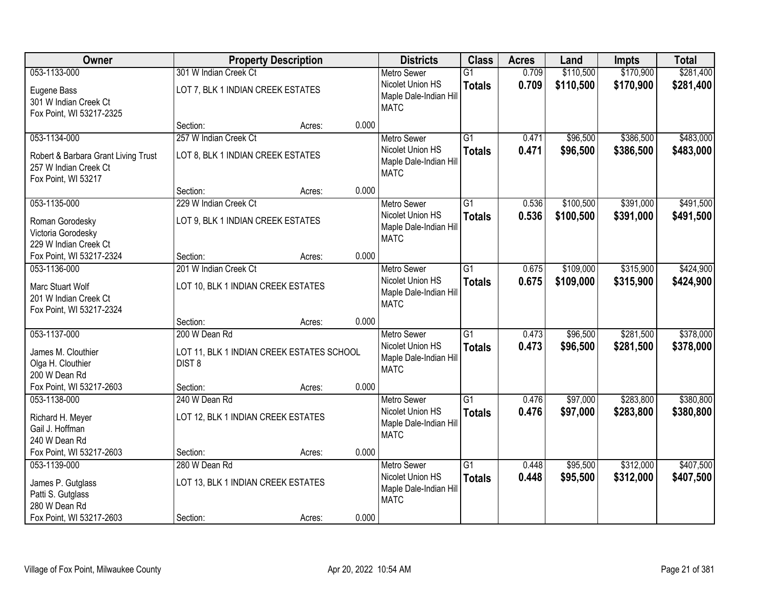| Owner                                                                               |                                                            | <b>Property Description</b> |       | <b>Districts</b>                                                 | <b>Class</b>                     | <b>Acres</b>   | Land                 | <b>Impts</b>           | <b>Total</b>           |
|-------------------------------------------------------------------------------------|------------------------------------------------------------|-----------------------------|-------|------------------------------------------------------------------|----------------------------------|----------------|----------------------|------------------------|------------------------|
| 053-1133-000                                                                        | 301 W Indian Creek Ct                                      |                             |       | <b>Metro Sewer</b>                                               | $\overline{G1}$                  | 0.709          | \$110,500            | \$170,900              | \$281,400              |
| Eugene Bass<br>301 W Indian Creek Ct<br>Fox Point, WI 53217-2325                    | LOT 7, BLK 1 INDIAN CREEK ESTATES                          |                             |       | Nicolet Union HS<br>Maple Dale-Indian Hill<br><b>MATC</b>        | <b>Totals</b>                    | 0.709          | \$110,500            | \$170,900              | \$281,400              |
|                                                                                     | Section:                                                   | Acres:                      | 0.000 |                                                                  |                                  |                |                      |                        |                        |
| 053-1134-000                                                                        | 257 W Indian Creek Ct                                      |                             |       | Metro Sewer                                                      | $\overline{G1}$                  | 0.471          | \$96,500             | \$386,500              | \$483,000              |
| Robert & Barbara Grant Living Trust<br>257 W Indian Creek Ct<br>Fox Point, WI 53217 | LOT 8, BLK 1 INDIAN CREEK ESTATES                          |                             |       | Nicolet Union HS<br>Maple Dale-Indian Hill<br><b>MATC</b>        | <b>Totals</b>                    | 0.471          | \$96,500             | \$386,500              | \$483,000              |
|                                                                                     | Section:                                                   | Acres:                      | 0.000 |                                                                  |                                  |                |                      |                        |                        |
| 053-1135-000                                                                        | 229 W Indian Creek Ct                                      |                             |       | <b>Metro Sewer</b>                                               | $\overline{G1}$                  | 0.536          | \$100,500            | \$391,000              | \$491,500              |
| Roman Gorodesky<br>Victoria Gorodesky<br>229 W Indian Creek Ct                      | LOT 9, BLK 1 INDIAN CREEK ESTATES                          |                             |       | Nicolet Union HS<br>Maple Dale-Indian Hill<br><b>MATC</b>        | <b>Totals</b>                    | 0.536          | \$100,500            | \$391,000              | \$491,500              |
| Fox Point, WI 53217-2324                                                            | Section:                                                   | Acres:                      | 0.000 |                                                                  |                                  |                |                      |                        |                        |
| 053-1136-000                                                                        | 201 W Indian Creek Ct                                      |                             |       | <b>Metro Sewer</b>                                               | $\overline{G1}$                  | 0.675          | \$109,000            | \$315,900              | \$424,900              |
| Marc Stuart Wolf<br>201 W Indian Creek Ct<br>Fox Point, WI 53217-2324               | LOT 10, BLK 1 INDIAN CREEK ESTATES                         |                             |       | Nicolet Union HS<br>Maple Dale-Indian Hill<br><b>MATC</b>        | <b>Totals</b>                    | 0.675          | \$109,000            | \$315,900              | \$424,900              |
|                                                                                     | Section:                                                   | Acres:                      | 0.000 |                                                                  |                                  |                |                      |                        |                        |
| 053-1137-000<br>James M. Clouthier                                                  | 200 W Dean Rd<br>LOT 11, BLK 1 INDIAN CREEK ESTATES SCHOOL |                             |       | <b>Metro Sewer</b><br>Nicolet Union HS<br>Maple Dale-Indian Hill | $\overline{G1}$<br><b>Totals</b> | 0.473<br>0.473 | \$96,500<br>\$96,500 | \$281,500<br>\$281,500 | \$378,000<br>\$378,000 |
| Olga H. Clouthier                                                                   | DIST <sub>8</sub>                                          |                             |       | <b>MATC</b>                                                      |                                  |                |                      |                        |                        |
| 200 W Dean Rd<br>Fox Point, WI 53217-2603                                           | Section:                                                   | Acres:                      | 0.000 |                                                                  |                                  |                |                      |                        |                        |
| 053-1138-000                                                                        | 240 W Dean Rd                                              |                             |       | Metro Sewer                                                      | $\overline{G1}$                  | 0.476          | \$97,000             | \$283,800              | \$380,800              |
| Richard H. Meyer<br>Gail J. Hoffman<br>240 W Dean Rd                                | LOT 12, BLK 1 INDIAN CREEK ESTATES                         |                             |       | Nicolet Union HS<br>Maple Dale-Indian Hill<br><b>MATC</b>        | <b>Totals</b>                    | 0.476          | \$97,000             | \$283,800              | \$380,800              |
| Fox Point, WI 53217-2603                                                            | Section:                                                   | Acres:                      | 0.000 |                                                                  |                                  |                |                      |                        |                        |
| 053-1139-000                                                                        | 280 W Dean Rd                                              |                             |       | <b>Metro Sewer</b>                                               | $\overline{G1}$                  | 0.448          | \$95,500             | \$312,000              | \$407,500              |
| James P. Gutglass<br>Patti S. Gutglass<br>280 W Dean Rd                             | LOT 13, BLK 1 INDIAN CREEK ESTATES                         |                             |       | Nicolet Union HS<br>Maple Dale-Indian Hill<br><b>MATC</b>        | <b>Totals</b>                    | 0.448          | \$95,500             | \$312,000              | \$407,500              |
| Fox Point, WI 53217-2603                                                            | Section:                                                   | Acres:                      | 0.000 |                                                                  |                                  |                |                      |                        |                        |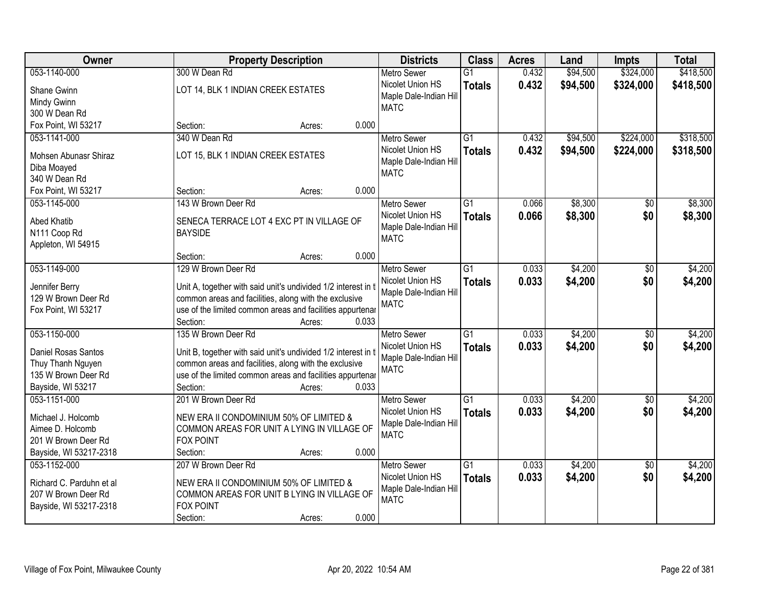| Owner                                 | <b>Property Description</b>                                                    | <b>Districts</b>                           | <b>Class</b>    | <b>Acres</b> | Land     | <b>Impts</b>    | <b>Total</b> |
|---------------------------------------|--------------------------------------------------------------------------------|--------------------------------------------|-----------------|--------------|----------|-----------------|--------------|
| 053-1140-000                          | 300 W Dean Rd                                                                  | <b>Metro Sewer</b>                         | $\overline{G1}$ | 0.432        | \$94,500 | \$324,000       | \$418,500    |
| Shane Gwinn                           | LOT 14, BLK 1 INDIAN CREEK ESTATES                                             | Nicolet Union HS                           | <b>Totals</b>   | 0.432        | \$94,500 | \$324,000       | \$418,500    |
| Mindy Gwinn                           |                                                                                | Maple Dale-Indian Hill                     |                 |              |          |                 |              |
| 300 W Dean Rd                         |                                                                                | <b>MATC</b>                                |                 |              |          |                 |              |
| Fox Point, WI 53217                   | 0.000<br>Section:<br>Acres:                                                    |                                            |                 |              |          |                 |              |
| 053-1141-000                          | 340 W Dean Rd                                                                  | <b>Metro Sewer</b>                         | $\overline{G1}$ | 0.432        | \$94,500 | \$224,000       | \$318,500    |
|                                       |                                                                                | Nicolet Union HS                           | <b>Totals</b>   | 0.432        | \$94,500 | \$224,000       | \$318,500    |
| Mohsen Abunasr Shiraz                 | LOT 15, BLK 1 INDIAN CREEK ESTATES                                             | Maple Dale-Indian Hill                     |                 |              |          |                 |              |
| Diba Moayed                           |                                                                                | <b>MATC</b>                                |                 |              |          |                 |              |
| 340 W Dean Rd                         |                                                                                |                                            |                 |              |          |                 |              |
| Fox Point, WI 53217                   | 0.000<br>Section:<br>Acres:                                                    |                                            |                 |              |          |                 |              |
| 053-1145-000                          | 143 W Brown Deer Rd                                                            | <b>Metro Sewer</b>                         | G1              | 0.066        | \$8,300  | \$0             | \$8,300      |
| Abed Khatib                           | SENECA TERRACE LOT 4 EXC PT IN VILLAGE OF                                      | Nicolet Union HS                           | <b>Totals</b>   | 0.066        | \$8,300  | \$0             | \$8,300      |
| N111 Coop Rd                          | <b>BAYSIDE</b>                                                                 | Maple Dale-Indian Hill                     |                 |              |          |                 |              |
| Appleton, WI 54915                    |                                                                                | <b>MATC</b>                                |                 |              |          |                 |              |
|                                       | 0.000<br>Section:<br>Acres:                                                    |                                            |                 |              |          |                 |              |
| 053-1149-000                          | 129 W Brown Deer Rd                                                            | <b>Metro Sewer</b>                         | G1              | 0.033        | \$4,200  | \$0             | \$4,200      |
|                                       |                                                                                | Nicolet Union HS                           | <b>Totals</b>   | 0.033        | \$4,200  | \$0             | \$4,200      |
| Jennifer Berry<br>129 W Brown Deer Rd | Unit A, together with said unit's undivided 1/2 interest in t                  | Maple Dale-Indian Hill                     |                 |              |          |                 |              |
|                                       | common areas and facilities, along with the exclusive                          | <b>MATC</b>                                |                 |              |          |                 |              |
| Fox Point, WI 53217                   | use of the limited common areas and facilities appurtenar<br>Section:<br>0.033 |                                            |                 |              |          |                 |              |
| 053-1150-000                          | Acres:<br>135 W Brown Deer Rd                                                  |                                            | $\overline{G1}$ | 0.033        | \$4,200  | $\overline{50}$ | \$4,200      |
|                                       |                                                                                | <b>Metro Sewer</b>                         |                 |              |          |                 |              |
| Daniel Rosas Santos                   | Unit B, together with said unit's undivided 1/2 interest in t                  | Nicolet Union HS<br>Maple Dale-Indian Hill | <b>Totals</b>   | 0.033        | \$4,200  | \$0             | \$4,200      |
| Thuy Thanh Nguyen                     | common areas and facilities, along with the exclusive                          | <b>MATC</b>                                |                 |              |          |                 |              |
| 135 W Brown Deer Rd                   | use of the limited common areas and facilities appurtenar                      |                                            |                 |              |          |                 |              |
| Bayside, WI 53217                     | Section:<br>0.033<br>Acres:                                                    |                                            |                 |              |          |                 |              |
| 053-1151-000                          | 201 W Brown Deer Rd                                                            | Metro Sewer                                | $\overline{G1}$ | 0.033        | \$4,200  | $\overline{50}$ | \$4,200      |
| Michael J. Holcomb                    | NEW ERA II CONDOMINIUM 50% OF LIMITED &                                        | Nicolet Union HS                           | <b>Totals</b>   | 0.033        | \$4,200  | \$0             | \$4,200      |
| Aimee D. Holcomb                      | COMMON AREAS FOR UNIT A LYING IN VILLAGE OF                                    | Maple Dale-Indian Hill                     |                 |              |          |                 |              |
| 201 W Brown Deer Rd                   | <b>FOX POINT</b>                                                               | <b>MATC</b>                                |                 |              |          |                 |              |
| Bayside, WI 53217-2318                | 0.000<br>Section:<br>Acres:                                                    |                                            |                 |              |          |                 |              |
| 053-1152-000                          | 207 W Brown Deer Rd                                                            | <b>Metro Sewer</b>                         | $\overline{G1}$ | 0.033        | \$4,200  | $\overline{50}$ | \$4,200      |
|                                       |                                                                                | Nicolet Union HS                           | <b>Totals</b>   | 0.033        | \$4,200  | \$0             | \$4,200      |
| Richard C. Parduhn et al              | NEW ERA II CONDOMINIUM 50% OF LIMITED &                                        | Maple Dale-Indian Hill                     |                 |              |          |                 |              |
| 207 W Brown Deer Rd                   | COMMON AREAS FOR UNIT B LYING IN VILLAGE OF                                    | <b>MATC</b>                                |                 |              |          |                 |              |
| Bayside, WI 53217-2318                | <b>FOX POINT</b>                                                               |                                            |                 |              |          |                 |              |
|                                       | 0.000<br>Section:<br>Acres:                                                    |                                            |                 |              |          |                 |              |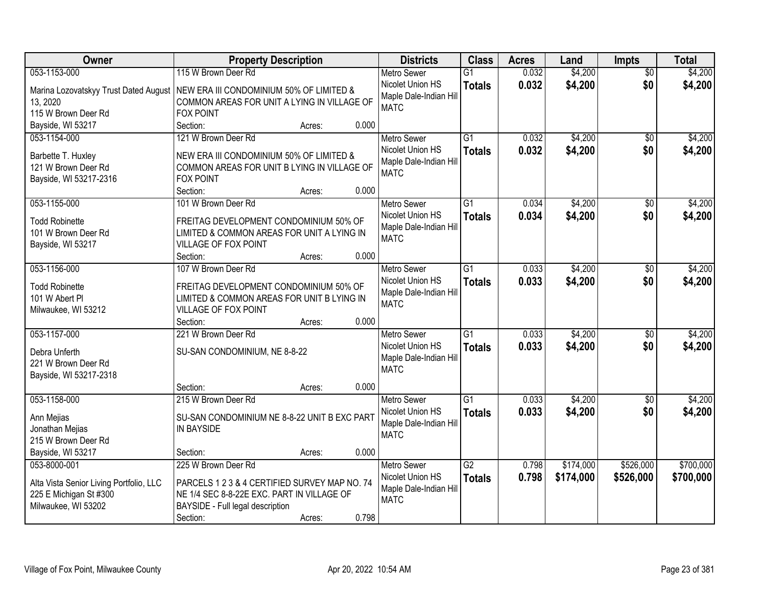| Owner                                   | <b>Property Description</b>                   |        |       | <b>Districts</b>                      | <b>Class</b>    | <b>Acres</b> | Land      | <b>Impts</b>    | <b>Total</b> |
|-----------------------------------------|-----------------------------------------------|--------|-------|---------------------------------------|-----------------|--------------|-----------|-----------------|--------------|
| 053-1153-000                            | 115 W Brown Deer Rd                           |        |       | <b>Metro Sewer</b>                    | $\overline{G1}$ | 0.032        | \$4,200   | $\overline{50}$ | \$4,200      |
| Marina Lozovatskyy Trust Dated August   | NEW ERA III CONDOMINIUM 50% OF LIMITED &      |        |       | Nicolet Union HS                      | <b>Totals</b>   | 0.032        | \$4,200   | \$0             | \$4,200      |
| 13, 2020                                | COMMON AREAS FOR UNIT A LYING IN VILLAGE OF   |        |       | Maple Dale-Indian Hill                |                 |              |           |                 |              |
| 115 W Brown Deer Rd                     | <b>FOX POINT</b>                              |        |       | <b>MATC</b>                           |                 |              |           |                 |              |
| Bayside, WI 53217                       | Section:                                      | Acres: | 0.000 |                                       |                 |              |           |                 |              |
| 053-1154-000                            | 121 W Brown Deer Rd                           |        |       | <b>Metro Sewer</b>                    | $\overline{G1}$ | 0.032        | \$4,200   | $\overline{30}$ | \$4,200      |
|                                         |                                               |        |       | Nicolet Union HS                      | <b>Totals</b>   | 0.032        | \$4,200   | \$0             | \$4,200      |
| Barbette T. Huxley                      | NEW ERA III CONDOMINIUM 50% OF LIMITED &      |        |       | Maple Dale-Indian Hill                |                 |              |           |                 |              |
| 121 W Brown Deer Rd                     | COMMON AREAS FOR UNIT B LYING IN VILLAGE OF   |        |       | <b>MATC</b>                           |                 |              |           |                 |              |
| Bayside, WI 53217-2316                  | <b>FOX POINT</b>                              |        |       |                                       |                 |              |           |                 |              |
|                                         | Section:                                      | Acres: | 0.000 |                                       |                 |              |           |                 |              |
| 053-1155-000                            | 101 W Brown Deer Rd                           |        |       | Metro Sewer                           | $\overline{G1}$ | 0.034        | \$4,200   | \$0             | \$4,200      |
| <b>Todd Robinette</b>                   | FREITAG DEVELOPMENT CONDOMINIUM 50% OF        |        |       | Nicolet Union HS                      | <b>Totals</b>   | 0.034        | \$4,200   | \$0             | \$4,200      |
| 101 W Brown Deer Rd                     | LIMITED & COMMON AREAS FOR UNIT A LYING IN    |        |       | Maple Dale-Indian Hill                |                 |              |           |                 |              |
| Bayside, WI 53217                       | VILLAGE OF FOX POINT                          |        |       | <b>MATC</b>                           |                 |              |           |                 |              |
|                                         | Section:                                      | Acres: | 0.000 |                                       |                 |              |           |                 |              |
| 053-1156-000                            | 107 W Brown Deer Rd                           |        |       | <b>Metro Sewer</b>                    | $\overline{G1}$ | 0.033        | \$4,200   | \$0             | \$4,200      |
|                                         |                                               |        |       | Nicolet Union HS                      | <b>Totals</b>   | 0.033        | \$4,200   | \$0             | \$4,200      |
| <b>Todd Robinette</b>                   | FREITAG DEVELOPMENT CONDOMINIUM 50% OF        |        |       | Maple Dale-Indian Hill                |                 |              |           |                 |              |
| 101 W Abert PI                          | LIMITED & COMMON AREAS FOR UNIT B LYING IN    |        |       | <b>MATC</b>                           |                 |              |           |                 |              |
| Milwaukee, WI 53212                     | VILLAGE OF FOX POINT<br>Section:              |        | 0.000 |                                       |                 |              |           |                 |              |
| 053-1157-000                            | 221 W Brown Deer Rd                           | Acres: |       |                                       | $\overline{G1}$ | 0.033        | \$4,200   | \$0             | \$4,200      |
|                                         |                                               |        |       | Metro Sewer<br>Nicolet Union HS       |                 |              |           |                 |              |
| Debra Unferth                           | SU-SAN CONDOMINIUM, NE 8-8-22                 |        |       |                                       | <b>Totals</b>   | 0.033        | \$4,200   | \$0             | \$4,200      |
| 221 W Brown Deer Rd                     |                                               |        |       | Maple Dale-Indian Hill<br><b>MATC</b> |                 |              |           |                 |              |
| Bayside, WI 53217-2318                  |                                               |        |       |                                       |                 |              |           |                 |              |
|                                         | Section:                                      | Acres: | 0.000 |                                       |                 |              |           |                 |              |
| 053-1158-000                            | 215 W Brown Deer Rd                           |        |       | <b>Metro Sewer</b>                    | $\overline{G1}$ | 0.033        | \$4,200   | $\sqrt{6}$      | \$4,200      |
| Ann Mejias                              | SU-SAN CONDOMINIUM NE 8-8-22 UNIT B EXC PART  |        |       | Nicolet Union HS                      | <b>Totals</b>   | 0.033        | \$4,200   | \$0             | \$4,200      |
| Jonathan Mejias                         | IN BAYSIDE                                    |        |       | Maple Dale-Indian Hill                |                 |              |           |                 |              |
| 215 W Brown Deer Rd                     |                                               |        |       | <b>MATC</b>                           |                 |              |           |                 |              |
| Bayside, WI 53217                       | Section:                                      | Acres: | 0.000 |                                       |                 |              |           |                 |              |
| 053-8000-001                            | 225 W Brown Deer Rd                           |        |       | <b>Metro Sewer</b>                    | $\overline{G2}$ | 0.798        | \$174,000 | \$526,000       | \$700,000    |
|                                         |                                               |        |       | Nicolet Union HS                      | <b>Totals</b>   | 0.798        | \$174,000 | \$526,000       | \$700,000    |
| Alta Vista Senior Living Portfolio, LLC | PARCELS 1 2 3 & 4 CERTIFIED SURVEY MAP NO. 74 |        |       | Maple Dale-Indian Hill                |                 |              |           |                 |              |
| 225 E Michigan St #300                  | NE 1/4 SEC 8-8-22E EXC. PART IN VILLAGE OF    |        |       | <b>MATC</b>                           |                 |              |           |                 |              |
| Milwaukee, WI 53202                     | BAYSIDE - Full legal description              |        |       |                                       |                 |              |           |                 |              |
|                                         | Section:                                      | Acres: | 0.798 |                                       |                 |              |           |                 |              |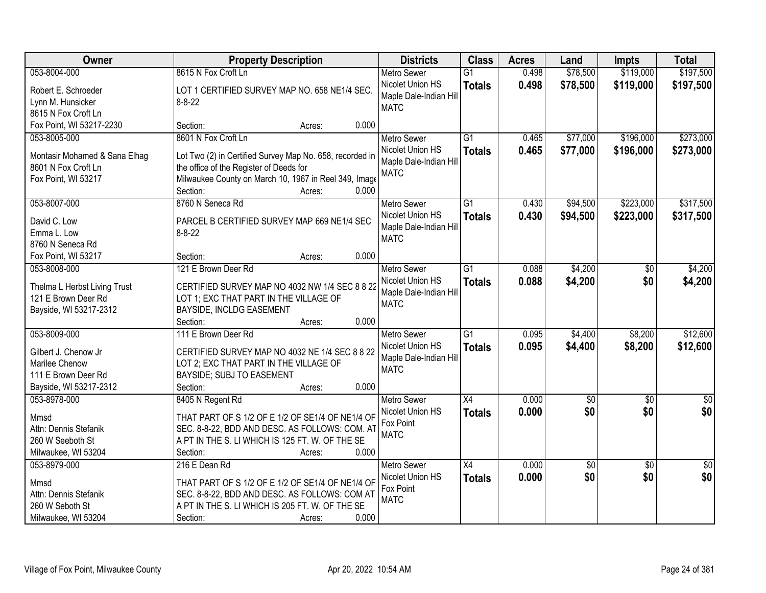| \$119,000<br>\$197,500<br>053-8004-000<br>8615 N Fox Croft Ln<br>0.498<br>\$78,500<br>$\overline{G1}$<br><b>Metro Sewer</b><br>Nicolet Union HS<br>0.498<br>\$78,500<br>\$119,000<br>\$197,500<br><b>Totals</b><br>Robert E. Schroeder<br>LOT 1 CERTIFIED SURVEY MAP NO. 658 NE1/4 SEC.<br>Maple Dale-Indian Hill<br>$8 - 8 - 22$<br>Lynn M. Hunsicker<br><b>MATC</b><br>8615 N Fox Croft Ln<br>0.000<br>Fox Point, WI 53217-2230<br>Section:<br>Acres:<br>\$273,000<br>8601 N Fox Croft Ln<br>$\overline{G1}$<br>\$77,000<br>\$196,000<br>053-8005-000<br>0.465<br><b>Metro Sewer</b><br>0.465<br>\$77,000<br>\$196,000<br>Nicolet Union HS<br>\$273,000<br><b>Totals</b><br>Lot Two (2) in Certified Survey Map No. 658, recorded in<br>Montasir Mohamed & Sana Elhag<br>Maple Dale-Indian Hill<br>8601 N Fox Croft Ln<br>the office of the Register of Deeds for<br><b>MATC</b><br>Milwaukee County on March 10, 1967 in Reel 349, Image<br>Fox Point, WI 53217<br>0.000<br>Section:<br>Acres:<br>\$223,000<br>\$317,500<br>053-8007-000<br>8760 N Seneca Rd<br>$\overline{G1}$<br>0.430<br>\$94,500<br>Metro Sewer<br>Nicolet Union HS<br>0.430<br>\$94,500<br>\$223,000<br>\$317,500<br><b>Totals</b><br>PARCEL B CERTIFIED SURVEY MAP 669 NE1/4 SEC<br>David C. Low<br>Maple Dale-Indian Hill<br>Emma L. Low<br>$8 - 8 - 22$<br><b>MATC</b><br>8760 N Seneca Rd<br>0.000<br>Fox Point, WI 53217<br>Section:<br>Acres:<br>121 E Brown Deer Rd<br>\$4,200<br>\$4,200<br>053-8008-000<br>G1<br>0.088<br><b>Metro Sewer</b><br>$\sqrt[6]{}$<br>0.088<br>Nicolet Union HS<br>\$4,200<br>\$0<br>\$4,200<br><b>Totals</b><br>Thelma L Herbst Living Trust<br>CERTIFIED SURVEY MAP NO 4032 NW 1/4 SEC 8 8 22<br>Maple Dale-Indian Hill<br>121 E Brown Deer Rd<br>LOT 1; EXC THAT PART IN THE VILLAGE OF<br><b>MATC</b><br>Bayside, WI 53217-2312<br>BAYSIDE, INCLDG EASEMENT<br>0.000<br>Section:<br>Acres:<br>$\overline{G1}$<br>\$4,400<br>\$12,600<br>053-8009-000<br>111 E Brown Deer Rd<br>0.095<br>\$8,200<br><b>Metro Sewer</b><br>0.095<br>\$4,400<br>\$8,200<br>\$12,600<br>Nicolet Union HS<br><b>Totals</b><br>Gilbert J. Chenow Jr<br>CERTIFIED SURVEY MAP NO 4032 NE 1/4 SEC 8 8 22<br>Maple Dale-Indian Hill<br>Marilee Chenow<br>LOT 2; EXC THAT PART IN THE VILLAGE OF<br><b>MATC</b><br>111 E Brown Deer Rd<br>BAYSIDE; SUBJ TO EASEMENT<br>Bayside, WI 53217-2312<br>0.000<br>Section:<br>Acres:<br>$\overline{X4}$<br>053-8978-000<br>8405 N Regent Rd<br><b>Metro Sewer</b><br>0.000<br>$\sqrt{6}$<br>$\sqrt{6}$<br>$\frac{1}{6}$<br>\$0<br>\$0<br>\$0<br>Nicolet Union HS<br>0.000<br><b>Totals</b><br>THAT PART OF S 1/2 OF E 1/2 OF SE1/4 OF NE1/4 OF<br>Mmsd<br>Fox Point<br>Attn: Dennis Stefanik<br>SEC. 8-8-22, BDD AND DESC. AS FOLLOWS: COM. AT<br><b>MATC</b><br>A PT IN THE S. LI WHICH IS 125 FT. W. OF THE SE<br>260 W Seeboth St<br>0.000<br>Milwaukee, WI 53204<br>Section:<br>Acres:<br>0.000<br>$\overline{50}$<br>053-8979-000<br>216 E Dean Rd<br><b>Metro Sewer</b><br>$\overline{X4}$<br>\$0<br>$\overline{50}$ | Owner | <b>Property Description</b> | <b>Districts</b> | <b>Class</b>  | <b>Acres</b> | Land | <b>Impts</b> | <b>Total</b> |
|--------------------------------------------------------------------------------------------------------------------------------------------------------------------------------------------------------------------------------------------------------------------------------------------------------------------------------------------------------------------------------------------------------------------------------------------------------------------------------------------------------------------------------------------------------------------------------------------------------------------------------------------------------------------------------------------------------------------------------------------------------------------------------------------------------------------------------------------------------------------------------------------------------------------------------------------------------------------------------------------------------------------------------------------------------------------------------------------------------------------------------------------------------------------------------------------------------------------------------------------------------------------------------------------------------------------------------------------------------------------------------------------------------------------------------------------------------------------------------------------------------------------------------------------------------------------------------------------------------------------------------------------------------------------------------------------------------------------------------------------------------------------------------------------------------------------------------------------------------------------------------------------------------------------------------------------------------------------------------------------------------------------------------------------------------------------------------------------------------------------------------------------------------------------------------------------------------------------------------------------------------------------------------------------------------------------------------------------------------------------------------------------------------------------------------------------------------------------------------------------------------------------------------------------------------------------------------------------------------------------------------------------------------------------------------------------------------------------------------------------------------------------------------------------------------------------------------------------------------------------------------------------------------------------------------------------------------------------------------------------------------------------------------------------------------|-------|-----------------------------|------------------|---------------|--------------|------|--------------|--------------|
|                                                                                                                                                                                                                                                                                                                                                                                                                                                                                                                                                                                                                                                                                                                                                                                                                                                                                                                                                                                                                                                                                                                                                                                                                                                                                                                                                                                                                                                                                                                                                                                                                                                                                                                                                                                                                                                                                                                                                                                                                                                                                                                                                                                                                                                                                                                                                                                                                                                                                                                                                                                                                                                                                                                                                                                                                                                                                                                                                                                                                                                        |       |                             |                  |               |              |      |              |              |
|                                                                                                                                                                                                                                                                                                                                                                                                                                                                                                                                                                                                                                                                                                                                                                                                                                                                                                                                                                                                                                                                                                                                                                                                                                                                                                                                                                                                                                                                                                                                                                                                                                                                                                                                                                                                                                                                                                                                                                                                                                                                                                                                                                                                                                                                                                                                                                                                                                                                                                                                                                                                                                                                                                                                                                                                                                                                                                                                                                                                                                                        |       |                             |                  |               |              |      |              |              |
|                                                                                                                                                                                                                                                                                                                                                                                                                                                                                                                                                                                                                                                                                                                                                                                                                                                                                                                                                                                                                                                                                                                                                                                                                                                                                                                                                                                                                                                                                                                                                                                                                                                                                                                                                                                                                                                                                                                                                                                                                                                                                                                                                                                                                                                                                                                                                                                                                                                                                                                                                                                                                                                                                                                                                                                                                                                                                                                                                                                                                                                        |       |                             |                  |               |              |      |              |              |
|                                                                                                                                                                                                                                                                                                                                                                                                                                                                                                                                                                                                                                                                                                                                                                                                                                                                                                                                                                                                                                                                                                                                                                                                                                                                                                                                                                                                                                                                                                                                                                                                                                                                                                                                                                                                                                                                                                                                                                                                                                                                                                                                                                                                                                                                                                                                                                                                                                                                                                                                                                                                                                                                                                                                                                                                                                                                                                                                                                                                                                                        |       |                             |                  |               |              |      |              |              |
|                                                                                                                                                                                                                                                                                                                                                                                                                                                                                                                                                                                                                                                                                                                                                                                                                                                                                                                                                                                                                                                                                                                                                                                                                                                                                                                                                                                                                                                                                                                                                                                                                                                                                                                                                                                                                                                                                                                                                                                                                                                                                                                                                                                                                                                                                                                                                                                                                                                                                                                                                                                                                                                                                                                                                                                                                                                                                                                                                                                                                                                        |       |                             |                  |               |              |      |              |              |
|                                                                                                                                                                                                                                                                                                                                                                                                                                                                                                                                                                                                                                                                                                                                                                                                                                                                                                                                                                                                                                                                                                                                                                                                                                                                                                                                                                                                                                                                                                                                                                                                                                                                                                                                                                                                                                                                                                                                                                                                                                                                                                                                                                                                                                                                                                                                                                                                                                                                                                                                                                                                                                                                                                                                                                                                                                                                                                                                                                                                                                                        |       |                             |                  |               |              |      |              |              |
|                                                                                                                                                                                                                                                                                                                                                                                                                                                                                                                                                                                                                                                                                                                                                                                                                                                                                                                                                                                                                                                                                                                                                                                                                                                                                                                                                                                                                                                                                                                                                                                                                                                                                                                                                                                                                                                                                                                                                                                                                                                                                                                                                                                                                                                                                                                                                                                                                                                                                                                                                                                                                                                                                                                                                                                                                                                                                                                                                                                                                                                        |       |                             |                  |               |              |      |              |              |
|                                                                                                                                                                                                                                                                                                                                                                                                                                                                                                                                                                                                                                                                                                                                                                                                                                                                                                                                                                                                                                                                                                                                                                                                                                                                                                                                                                                                                                                                                                                                                                                                                                                                                                                                                                                                                                                                                                                                                                                                                                                                                                                                                                                                                                                                                                                                                                                                                                                                                                                                                                                                                                                                                                                                                                                                                                                                                                                                                                                                                                                        |       |                             |                  |               |              |      |              |              |
|                                                                                                                                                                                                                                                                                                                                                                                                                                                                                                                                                                                                                                                                                                                                                                                                                                                                                                                                                                                                                                                                                                                                                                                                                                                                                                                                                                                                                                                                                                                                                                                                                                                                                                                                                                                                                                                                                                                                                                                                                                                                                                                                                                                                                                                                                                                                                                                                                                                                                                                                                                                                                                                                                                                                                                                                                                                                                                                                                                                                                                                        |       |                             |                  |               |              |      |              |              |
|                                                                                                                                                                                                                                                                                                                                                                                                                                                                                                                                                                                                                                                                                                                                                                                                                                                                                                                                                                                                                                                                                                                                                                                                                                                                                                                                                                                                                                                                                                                                                                                                                                                                                                                                                                                                                                                                                                                                                                                                                                                                                                                                                                                                                                                                                                                                                                                                                                                                                                                                                                                                                                                                                                                                                                                                                                                                                                                                                                                                                                                        |       |                             |                  |               |              |      |              |              |
|                                                                                                                                                                                                                                                                                                                                                                                                                                                                                                                                                                                                                                                                                                                                                                                                                                                                                                                                                                                                                                                                                                                                                                                                                                                                                                                                                                                                                                                                                                                                                                                                                                                                                                                                                                                                                                                                                                                                                                                                                                                                                                                                                                                                                                                                                                                                                                                                                                                                                                                                                                                                                                                                                                                                                                                                                                                                                                                                                                                                                                                        |       |                             |                  |               |              |      |              |              |
|                                                                                                                                                                                                                                                                                                                                                                                                                                                                                                                                                                                                                                                                                                                                                                                                                                                                                                                                                                                                                                                                                                                                                                                                                                                                                                                                                                                                                                                                                                                                                                                                                                                                                                                                                                                                                                                                                                                                                                                                                                                                                                                                                                                                                                                                                                                                                                                                                                                                                                                                                                                                                                                                                                                                                                                                                                                                                                                                                                                                                                                        |       |                             |                  |               |              |      |              |              |
|                                                                                                                                                                                                                                                                                                                                                                                                                                                                                                                                                                                                                                                                                                                                                                                                                                                                                                                                                                                                                                                                                                                                                                                                                                                                                                                                                                                                                                                                                                                                                                                                                                                                                                                                                                                                                                                                                                                                                                                                                                                                                                                                                                                                                                                                                                                                                                                                                                                                                                                                                                                                                                                                                                                                                                                                                                                                                                                                                                                                                                                        |       |                             |                  |               |              |      |              |              |
|                                                                                                                                                                                                                                                                                                                                                                                                                                                                                                                                                                                                                                                                                                                                                                                                                                                                                                                                                                                                                                                                                                                                                                                                                                                                                                                                                                                                                                                                                                                                                                                                                                                                                                                                                                                                                                                                                                                                                                                                                                                                                                                                                                                                                                                                                                                                                                                                                                                                                                                                                                                                                                                                                                                                                                                                                                                                                                                                                                                                                                                        |       |                             |                  |               |              |      |              |              |
|                                                                                                                                                                                                                                                                                                                                                                                                                                                                                                                                                                                                                                                                                                                                                                                                                                                                                                                                                                                                                                                                                                                                                                                                                                                                                                                                                                                                                                                                                                                                                                                                                                                                                                                                                                                                                                                                                                                                                                                                                                                                                                                                                                                                                                                                                                                                                                                                                                                                                                                                                                                                                                                                                                                                                                                                                                                                                                                                                                                                                                                        |       |                             |                  |               |              |      |              |              |
|                                                                                                                                                                                                                                                                                                                                                                                                                                                                                                                                                                                                                                                                                                                                                                                                                                                                                                                                                                                                                                                                                                                                                                                                                                                                                                                                                                                                                                                                                                                                                                                                                                                                                                                                                                                                                                                                                                                                                                                                                                                                                                                                                                                                                                                                                                                                                                                                                                                                                                                                                                                                                                                                                                                                                                                                                                                                                                                                                                                                                                                        |       |                             |                  |               |              |      |              |              |
|                                                                                                                                                                                                                                                                                                                                                                                                                                                                                                                                                                                                                                                                                                                                                                                                                                                                                                                                                                                                                                                                                                                                                                                                                                                                                                                                                                                                                                                                                                                                                                                                                                                                                                                                                                                                                                                                                                                                                                                                                                                                                                                                                                                                                                                                                                                                                                                                                                                                                                                                                                                                                                                                                                                                                                                                                                                                                                                                                                                                                                                        |       |                             |                  |               |              |      |              |              |
|                                                                                                                                                                                                                                                                                                                                                                                                                                                                                                                                                                                                                                                                                                                                                                                                                                                                                                                                                                                                                                                                                                                                                                                                                                                                                                                                                                                                                                                                                                                                                                                                                                                                                                                                                                                                                                                                                                                                                                                                                                                                                                                                                                                                                                                                                                                                                                                                                                                                                                                                                                                                                                                                                                                                                                                                                                                                                                                                                                                                                                                        |       |                             |                  |               |              |      |              |              |
|                                                                                                                                                                                                                                                                                                                                                                                                                                                                                                                                                                                                                                                                                                                                                                                                                                                                                                                                                                                                                                                                                                                                                                                                                                                                                                                                                                                                                                                                                                                                                                                                                                                                                                                                                                                                                                                                                                                                                                                                                                                                                                                                                                                                                                                                                                                                                                                                                                                                                                                                                                                                                                                                                                                                                                                                                                                                                                                                                                                                                                                        |       |                             |                  |               |              |      |              |              |
|                                                                                                                                                                                                                                                                                                                                                                                                                                                                                                                                                                                                                                                                                                                                                                                                                                                                                                                                                                                                                                                                                                                                                                                                                                                                                                                                                                                                                                                                                                                                                                                                                                                                                                                                                                                                                                                                                                                                                                                                                                                                                                                                                                                                                                                                                                                                                                                                                                                                                                                                                                                                                                                                                                                                                                                                                                                                                                                                                                                                                                                        |       |                             |                  |               |              |      |              |              |
|                                                                                                                                                                                                                                                                                                                                                                                                                                                                                                                                                                                                                                                                                                                                                                                                                                                                                                                                                                                                                                                                                                                                                                                                                                                                                                                                                                                                                                                                                                                                                                                                                                                                                                                                                                                                                                                                                                                                                                                                                                                                                                                                                                                                                                                                                                                                                                                                                                                                                                                                                                                                                                                                                                                                                                                                                                                                                                                                                                                                                                                        |       |                             |                  |               |              |      |              |              |
|                                                                                                                                                                                                                                                                                                                                                                                                                                                                                                                                                                                                                                                                                                                                                                                                                                                                                                                                                                                                                                                                                                                                                                                                                                                                                                                                                                                                                                                                                                                                                                                                                                                                                                                                                                                                                                                                                                                                                                                                                                                                                                                                                                                                                                                                                                                                                                                                                                                                                                                                                                                                                                                                                                                                                                                                                                                                                                                                                                                                                                                        |       |                             |                  |               |              |      |              |              |
|                                                                                                                                                                                                                                                                                                                                                                                                                                                                                                                                                                                                                                                                                                                                                                                                                                                                                                                                                                                                                                                                                                                                                                                                                                                                                                                                                                                                                                                                                                                                                                                                                                                                                                                                                                                                                                                                                                                                                                                                                                                                                                                                                                                                                                                                                                                                                                                                                                                                                                                                                                                                                                                                                                                                                                                                                                                                                                                                                                                                                                                        |       |                             |                  |               |              |      |              |              |
|                                                                                                                                                                                                                                                                                                                                                                                                                                                                                                                                                                                                                                                                                                                                                                                                                                                                                                                                                                                                                                                                                                                                                                                                                                                                                                                                                                                                                                                                                                                                                                                                                                                                                                                                                                                                                                                                                                                                                                                                                                                                                                                                                                                                                                                                                                                                                                                                                                                                                                                                                                                                                                                                                                                                                                                                                                                                                                                                                                                                                                                        |       |                             |                  |               |              |      |              |              |
|                                                                                                                                                                                                                                                                                                                                                                                                                                                                                                                                                                                                                                                                                                                                                                                                                                                                                                                                                                                                                                                                                                                                                                                                                                                                                                                                                                                                                                                                                                                                                                                                                                                                                                                                                                                                                                                                                                                                                                                                                                                                                                                                                                                                                                                                                                                                                                                                                                                                                                                                                                                                                                                                                                                                                                                                                                                                                                                                                                                                                                                        |       |                             |                  |               |              |      |              |              |
|                                                                                                                                                                                                                                                                                                                                                                                                                                                                                                                                                                                                                                                                                                                                                                                                                                                                                                                                                                                                                                                                                                                                                                                                                                                                                                                                                                                                                                                                                                                                                                                                                                                                                                                                                                                                                                                                                                                                                                                                                                                                                                                                                                                                                                                                                                                                                                                                                                                                                                                                                                                                                                                                                                                                                                                                                                                                                                                                                                                                                                                        |       |                             |                  |               |              |      |              |              |
|                                                                                                                                                                                                                                                                                                                                                                                                                                                                                                                                                                                                                                                                                                                                                                                                                                                                                                                                                                                                                                                                                                                                                                                                                                                                                                                                                                                                                                                                                                                                                                                                                                                                                                                                                                                                                                                                                                                                                                                                                                                                                                                                                                                                                                                                                                                                                                                                                                                                                                                                                                                                                                                                                                                                                                                                                                                                                                                                                                                                                                                        |       |                             |                  |               |              |      |              |              |
|                                                                                                                                                                                                                                                                                                                                                                                                                                                                                                                                                                                                                                                                                                                                                                                                                                                                                                                                                                                                                                                                                                                                                                                                                                                                                                                                                                                                                                                                                                                                                                                                                                                                                                                                                                                                                                                                                                                                                                                                                                                                                                                                                                                                                                                                                                                                                                                                                                                                                                                                                                                                                                                                                                                                                                                                                                                                                                                                                                                                                                                        |       |                             |                  |               |              |      |              |              |
|                                                                                                                                                                                                                                                                                                                                                                                                                                                                                                                                                                                                                                                                                                                                                                                                                                                                                                                                                                                                                                                                                                                                                                                                                                                                                                                                                                                                                                                                                                                                                                                                                                                                                                                                                                                                                                                                                                                                                                                                                                                                                                                                                                                                                                                                                                                                                                                                                                                                                                                                                                                                                                                                                                                                                                                                                                                                                                                                                                                                                                                        |       |                             |                  |               |              |      |              |              |
|                                                                                                                                                                                                                                                                                                                                                                                                                                                                                                                                                                                                                                                                                                                                                                                                                                                                                                                                                                                                                                                                                                                                                                                                                                                                                                                                                                                                                                                                                                                                                                                                                                                                                                                                                                                                                                                                                                                                                                                                                                                                                                                                                                                                                                                                                                                                                                                                                                                                                                                                                                                                                                                                                                                                                                                                                                                                                                                                                                                                                                                        |       |                             |                  |               |              |      |              |              |
|                                                                                                                                                                                                                                                                                                                                                                                                                                                                                                                                                                                                                                                                                                                                                                                                                                                                                                                                                                                                                                                                                                                                                                                                                                                                                                                                                                                                                                                                                                                                                                                                                                                                                                                                                                                                                                                                                                                                                                                                                                                                                                                                                                                                                                                                                                                                                                                                                                                                                                                                                                                                                                                                                                                                                                                                                                                                                                                                                                                                                                                        |       |                             |                  |               |              |      |              |              |
|                                                                                                                                                                                                                                                                                                                                                                                                                                                                                                                                                                                                                                                                                                                                                                                                                                                                                                                                                                                                                                                                                                                                                                                                                                                                                                                                                                                                                                                                                                                                                                                                                                                                                                                                                                                                                                                                                                                                                                                                                                                                                                                                                                                                                                                                                                                                                                                                                                                                                                                                                                                                                                                                                                                                                                                                                                                                                                                                                                                                                                                        |       |                             |                  |               |              |      |              |              |
|                                                                                                                                                                                                                                                                                                                                                                                                                                                                                                                                                                                                                                                                                                                                                                                                                                                                                                                                                                                                                                                                                                                                                                                                                                                                                                                                                                                                                                                                                                                                                                                                                                                                                                                                                                                                                                                                                                                                                                                                                                                                                                                                                                                                                                                                                                                                                                                                                                                                                                                                                                                                                                                                                                                                                                                                                                                                                                                                                                                                                                                        |       |                             |                  |               |              |      |              |              |
|                                                                                                                                                                                                                                                                                                                                                                                                                                                                                                                                                                                                                                                                                                                                                                                                                                                                                                                                                                                                                                                                                                                                                                                                                                                                                                                                                                                                                                                                                                                                                                                                                                                                                                                                                                                                                                                                                                                                                                                                                                                                                                                                                                                                                                                                                                                                                                                                                                                                                                                                                                                                                                                                                                                                                                                                                                                                                                                                                                                                                                                        |       |                             |                  |               |              |      |              |              |
| THAT PART OF S 1/2 OF E 1/2 OF SE1/4 OF NE1/4 OF<br>Mmsd                                                                                                                                                                                                                                                                                                                                                                                                                                                                                                                                                                                                                                                                                                                                                                                                                                                                                                                                                                                                                                                                                                                                                                                                                                                                                                                                                                                                                                                                                                                                                                                                                                                                                                                                                                                                                                                                                                                                                                                                                                                                                                                                                                                                                                                                                                                                                                                                                                                                                                                                                                                                                                                                                                                                                                                                                                                                                                                                                                                               |       |                             | Nicolet Union HS | <b>Totals</b> | 0.000        | \$0  | \$0          | \$0          |
| Fox Point<br>Attn: Dennis Stefanik<br>SEC. 8-8-22, BDD AND DESC. AS FOLLOWS: COM AT                                                                                                                                                                                                                                                                                                                                                                                                                                                                                                                                                                                                                                                                                                                                                                                                                                                                                                                                                                                                                                                                                                                                                                                                                                                                                                                                                                                                                                                                                                                                                                                                                                                                                                                                                                                                                                                                                                                                                                                                                                                                                                                                                                                                                                                                                                                                                                                                                                                                                                                                                                                                                                                                                                                                                                                                                                                                                                                                                                    |       |                             |                  |               |              |      |              |              |
| <b>MATC</b><br>A PT IN THE S. LI WHICH IS 205 FT. W. OF THE SE<br>260 W Seboth St                                                                                                                                                                                                                                                                                                                                                                                                                                                                                                                                                                                                                                                                                                                                                                                                                                                                                                                                                                                                                                                                                                                                                                                                                                                                                                                                                                                                                                                                                                                                                                                                                                                                                                                                                                                                                                                                                                                                                                                                                                                                                                                                                                                                                                                                                                                                                                                                                                                                                                                                                                                                                                                                                                                                                                                                                                                                                                                                                                      |       |                             |                  |               |              |      |              |              |
| 0.000<br>Milwaukee, WI 53204<br>Section:<br>Acres:                                                                                                                                                                                                                                                                                                                                                                                                                                                                                                                                                                                                                                                                                                                                                                                                                                                                                                                                                                                                                                                                                                                                                                                                                                                                                                                                                                                                                                                                                                                                                                                                                                                                                                                                                                                                                                                                                                                                                                                                                                                                                                                                                                                                                                                                                                                                                                                                                                                                                                                                                                                                                                                                                                                                                                                                                                                                                                                                                                                                     |       |                             |                  |               |              |      |              |              |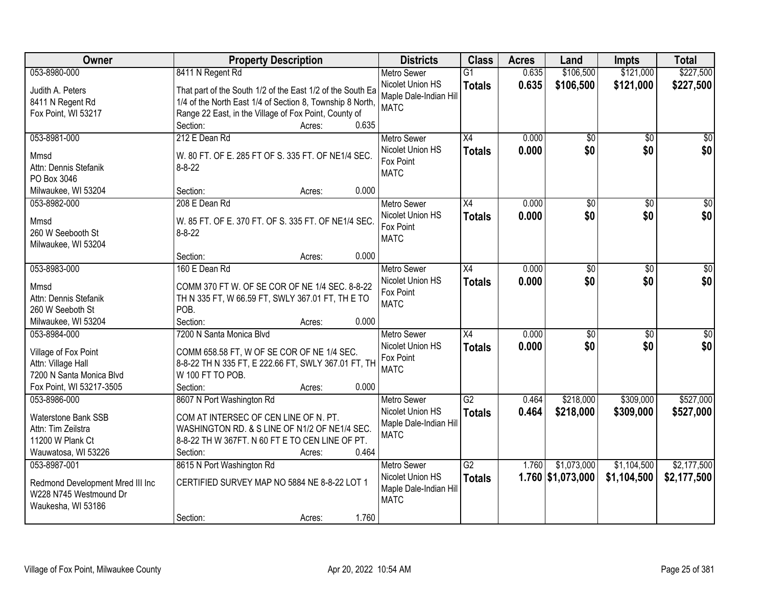| Owner                            | <b>Property Description</b>                                | <b>Districts</b>       | <b>Class</b>    | <b>Acres</b> | Land                | <b>Impts</b>    | <b>Total</b>    |
|----------------------------------|------------------------------------------------------------|------------------------|-----------------|--------------|---------------------|-----------------|-----------------|
| 053-8980-000                     | 8411 N Regent Rd                                           | <b>Metro Sewer</b>     | $\overline{G1}$ | 0.635        | \$106,500           | \$121,000       | \$227,500       |
| Judith A. Peters                 | That part of the South 1/2 of the East 1/2 of the South Ea | Nicolet Union HS       | <b>Totals</b>   | 0.635        | \$106,500           | \$121,000       | \$227,500       |
| 8411 N Regent Rd                 | 1/4 of the North East 1/4 of Section 8, Township 8 North,  | Maple Dale-Indian Hill |                 |              |                     |                 |                 |
| Fox Point, WI 53217              | Range 22 East, in the Village of Fox Point, County of      | <b>MATC</b>            |                 |              |                     |                 |                 |
|                                  | 0.635<br>Section:<br>Acres:                                |                        |                 |              |                     |                 |                 |
| 053-8981-000                     | 212 E Dean Rd                                              | <b>Metro Sewer</b>     | $\overline{X4}$ | 0.000        | \$0                 | $\overline{50}$ | $\sqrt{50}$     |
| Mmsd                             | W. 80 FT. OF E. 285 FT OF S. 335 FT. OF NE1/4 SEC.         | Nicolet Union HS       | <b>Totals</b>   | 0.000        | \$0                 | \$0             | \$0             |
| Attn: Dennis Stefanik            | $8 - 8 - 22$                                               | Fox Point              |                 |              |                     |                 |                 |
| PO Box 3046                      |                                                            | <b>MATC</b>            |                 |              |                     |                 |                 |
| Milwaukee, WI 53204              | 0.000<br>Section:<br>Acres:                                |                        |                 |              |                     |                 |                 |
| 053-8982-000                     | 208 E Dean Rd                                              | <b>Metro Sewer</b>     | X4              | 0.000        | $\overline{50}$     | \$0             | $\overline{30}$ |
|                                  |                                                            | Nicolet Union HS       | <b>Totals</b>   | 0.000        | \$0                 | \$0             | \$0             |
| Mmsd                             | W. 85 FT. OF E. 370 FT. OF S. 335 FT. OF NE1/4 SEC.        | Fox Point              |                 |              |                     |                 |                 |
| 260 W Seebooth St                | $8 - 8 - 22$                                               | <b>MATC</b>            |                 |              |                     |                 |                 |
| Milwaukee, WI 53204              | 0.000<br>Section:<br>Acres:                                |                        |                 |              |                     |                 |                 |
| 053-8983-000                     | 160 E Dean Rd                                              | <b>Metro Sewer</b>     | $\overline{X4}$ | 0.000        | $\overline{30}$     | \$0             | $\overline{50}$ |
|                                  |                                                            | Nicolet Union HS       |                 |              |                     |                 |                 |
| Mmsd                             | COMM 370 FT W. OF SE COR OF NE 1/4 SEC. 8-8-22             | Fox Point              | <b>Totals</b>   | 0.000        | \$0                 | \$0             | \$0             |
| Attn: Dennis Stefanik            | TH N 335 FT, W 66.59 FT, SWLY 367.01 FT, TH E TO           | <b>MATC</b>            |                 |              |                     |                 |                 |
| 260 W Seeboth St                 | POB.                                                       |                        |                 |              |                     |                 |                 |
| Milwaukee, WI 53204              | 0.000<br>Section:<br>Acres:                                |                        |                 |              |                     |                 |                 |
| 053-8984-000                     | 7200 N Santa Monica Blyd                                   | <b>Metro Sewer</b>     | $\overline{X4}$ | 0.000        | $\overline{50}$     | $\overline{50}$ | $\overline{50}$ |
| Village of Fox Point             | COMM 658.58 FT, W OF SE COR OF NE 1/4 SEC.                 | Nicolet Union HS       | <b>Totals</b>   | 0.000        | \$0                 | \$0             | \$0             |
| Attn: Village Hall               | 8-8-22 TH N 335 FT, E 222.66 FT, SWLY 367.01 FT, TH        | Fox Point              |                 |              |                     |                 |                 |
| 7200 N Santa Monica Blvd         | W 100 FT TO POB.                                           | <b>MATC</b>            |                 |              |                     |                 |                 |
| Fox Point, WI 53217-3505         | 0.000<br>Section:<br>Acres:                                |                        |                 |              |                     |                 |                 |
| 053-8986-000                     | 8607 N Port Washington Rd                                  | <b>Metro Sewer</b>     | $\overline{G2}$ | 0.464        | \$218,000           | \$309,000       | \$527,000       |
|                                  |                                                            | Nicolet Union HS       | <b>Totals</b>   | 0.464        | \$218,000           | \$309,000       | \$527,000       |
| <b>Waterstone Bank SSB</b>       | COM AT INTERSEC OF CEN LINE OF N. PT.                      | Maple Dale-Indian Hill |                 |              |                     |                 |                 |
| Attn: Tim Zeilstra               | WASHINGTON RD. & S LINE OF N1/2 OF NE1/4 SEC.              | <b>MATC</b>            |                 |              |                     |                 |                 |
| 11200 W Plank Ct                 | 8-8-22 TH W 367FT. N 60 FT E TO CEN LINE OF PT.            |                        |                 |              |                     |                 |                 |
| Wauwatosa, WI 53226              | 0.464<br>Section:<br>Acres:                                |                        |                 |              |                     |                 |                 |
| 053-8987-001                     | 8615 N Port Washington Rd                                  | <b>Metro Sewer</b>     | G2              | 1.760        | \$1,073,000         | \$1,104,500     | \$2,177,500     |
| Redmond Development Mred III Inc | CERTIFIED SURVEY MAP NO 5884 NE 8-8-22 LOT 1               | Nicolet Union HS       | <b>Totals</b>   |              | $1.760$ \$1,073,000 | \$1,104,500     | \$2,177,500     |
| W228 N745 Westmound Dr           |                                                            | Maple Dale-Indian Hill |                 |              |                     |                 |                 |
| Waukesha, WI 53186               |                                                            | <b>MATC</b>            |                 |              |                     |                 |                 |
|                                  | 1.760<br>Section:<br>Acres:                                |                        |                 |              |                     |                 |                 |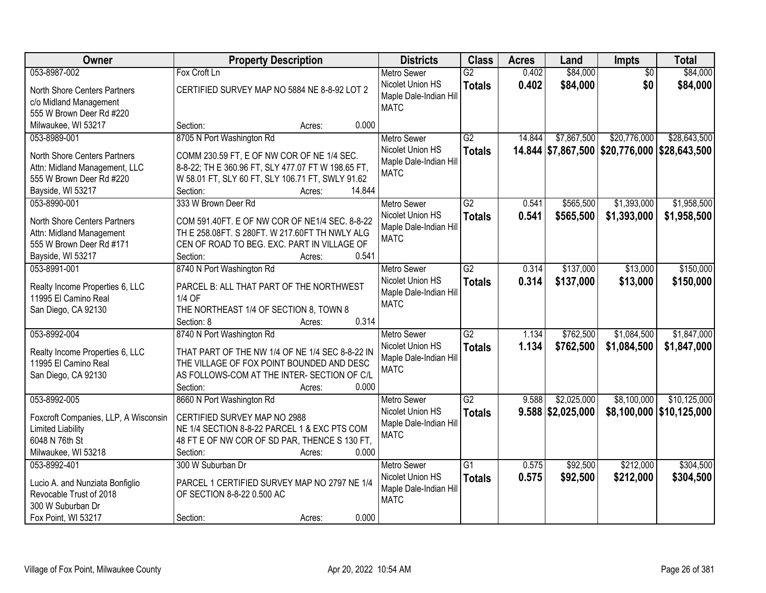| Owner                                | <b>Property Description</b>                        | <b>Districts</b>       | <b>Class</b>    | <b>Acres</b> | Land                | Impts                                        | <b>Total</b>               |
|--------------------------------------|----------------------------------------------------|------------------------|-----------------|--------------|---------------------|----------------------------------------------|----------------------------|
| 053-8987-002                         | Fox Croft Ln                                       | <b>Metro Sewer</b>     | $\overline{G2}$ | 0.402        | \$84,000            | $\overline{50}$                              | \$84,000                   |
| North Shore Centers Partners         | CERTIFIED SURVEY MAP NO 5884 NE 8-8-92 LOT 2       | Nicolet Union HS       | <b>Totals</b>   | 0.402        | \$84,000            | \$0                                          | \$84,000                   |
| c/o Midland Management               |                                                    | Maple Dale-Indian Hill |                 |              |                     |                                              |                            |
| 555 W Brown Deer Rd #220             |                                                    | <b>MATC</b>            |                 |              |                     |                                              |                            |
| Milwaukee, WI 53217                  | 0.000<br>Section:<br>Acres:                        |                        |                 |              |                     |                                              |                            |
| 053-8989-001                         | 8705 N Port Washington Rd                          | <b>Metro Sewer</b>     | $\overline{G2}$ | 14.844       | \$7,867,500         | \$20,776,000                                 | \$28,643,500               |
|                                      |                                                    | Nicolet Union HS       | <b>Totals</b>   |              |                     | 14.844 \$7,867,500 \$20,776,000 \$28,643,500 |                            |
| North Shore Centers Partners         | COMM 230.59 FT, E OF NW COR OF NE 1/4 SEC.         | Maple Dale-Indian Hill |                 |              |                     |                                              |                            |
| Attn: Midland Management, LLC        | 8-8-22; TH E 360.96 FT, SLY 477.07 FT W 198.65 FT, | <b>MATC</b>            |                 |              |                     |                                              |                            |
| 555 W Brown Deer Rd #220             | W 58.01 FT, SLY 60 FT, SLY 106.71 FT, SWLY 91.62   |                        |                 |              |                     |                                              |                            |
| Bayside, WI 53217                    | 14.844<br>Section:<br>Acres:                       |                        |                 |              |                     |                                              |                            |
| 053-8990-001                         | 333 W Brown Deer Rd                                | <b>Metro Sewer</b>     | G2              | 0.541        | \$565,500           | \$1,393,000                                  | \$1,958,500                |
| North Shore Centers Partners         | COM 591.40FT. E OF NW COR OF NE1/4 SEC. 8-8-22     | Nicolet Union HS       | <b>Totals</b>   | 0.541        | \$565,500           | \$1,393,000                                  | \$1,958,500                |
| Attn: Midland Management             | TH E 258.08FT. S 280FT. W 217.60FT TH NWLY ALG     | Maple Dale-Indian Hil  |                 |              |                     |                                              |                            |
| 555 W Brown Deer Rd #171             | CEN OF ROAD TO BEG. EXC. PART IN VILLAGE OF        | <b>MATC</b>            |                 |              |                     |                                              |                            |
| Bayside, WI 53217                    | 0.541<br>Section:<br>Acres:                        |                        |                 |              |                     |                                              |                            |
| 053-8991-001                         | 8740 N Port Washington Rd                          | <b>Metro Sewer</b>     | G2              | 0.314        | \$137,000           | \$13,000                                     | \$150,000                  |
|                                      |                                                    | Nicolet Union HS       | <b>Totals</b>   | 0.314        | \$137,000           | \$13,000                                     | \$150,000                  |
| Realty Income Properties 6, LLC      | PARCEL B: ALL THAT PART OF THE NORTHWEST           | Maple Dale-Indian Hill |                 |              |                     |                                              |                            |
| 11995 El Camino Real                 | 1/4 OF                                             | <b>MATC</b>            |                 |              |                     |                                              |                            |
| San Diego, CA 92130                  | THE NORTHEAST 1/4 OF SECTION 8, TOWN 8             |                        |                 |              |                     |                                              |                            |
|                                      | Section: 8<br>0.314<br>Acres:                      |                        |                 |              |                     |                                              |                            |
| 053-8992-004                         | 8740 N Port Washington Rd                          | <b>Metro Sewer</b>     | $\overline{G2}$ | 1.134        | \$762,500           | \$1,084,500                                  | \$1,847,000                |
| Realty Income Properties 6, LLC      | THAT PART OF THE NW 1/4 OF NE 1/4 SEC 8-8-22 IN    | Nicolet Union HS       | <b>Totals</b>   | 1.134        | \$762,500           | \$1,084,500                                  | \$1,847,000                |
| 11995 El Camino Real                 | THE VILLAGE OF FOX POINT BOUNDED AND DESC          | Maple Dale-Indian Hill |                 |              |                     |                                              |                            |
| San Diego, CA 92130                  | AS FOLLOWS-COM AT THE INTER- SECTION OF C/L        | <b>MATC</b>            |                 |              |                     |                                              |                            |
|                                      | 0.000<br>Section:<br>Acres:                        |                        |                 |              |                     |                                              |                            |
| 053-8992-005                         | 8660 N Port Washington Rd                          | <b>Metro Sewer</b>     | $\overline{G2}$ | 9.588        | \$2,025,000         | \$8,100,000                                  | \$10,125,000               |
|                                      |                                                    | Nicolet Union HS       | <b>Totals</b>   |              | $9.588$ \$2,025,000 |                                              | \$8,100,000   \$10,125,000 |
| Foxcroft Companies, LLP, A Wisconsin | CERTIFIED SURVEY MAP NO 2988                       | Maple Dale-Indian Hill |                 |              |                     |                                              |                            |
| <b>Limited Liability</b>             | NE 1/4 SECTION 8-8-22 PARCEL 1 & EXC PTS COM       | <b>MATC</b>            |                 |              |                     |                                              |                            |
| 6048 N 76th St                       | 48 FT E OF NW COR OF SD PAR, THENCE S 130 FT,      |                        |                 |              |                     |                                              |                            |
| Milwaukee, WI 53218                  | Section:<br>0.000<br>Acres:                        |                        |                 |              |                     |                                              |                            |
| 053-8992-401                         | 300 W Suburban Dr                                  | <b>Metro Sewer</b>     | $\overline{G1}$ | 0.575        | \$92,500            | \$212,000                                    | \$304,500                  |
| Lucio A. and Nunziata Bonfiglio      | PARCEL 1 CERTIFIED SURVEY MAP NO 2797 NE 1/4       | Nicolet Union HS       | <b>Totals</b>   | 0.575        | \$92,500            | \$212,000                                    | \$304,500                  |
| Revocable Trust of 2018              | OF SECTION 8-8-22 0.500 AC                         | Maple Dale-Indian Hill |                 |              |                     |                                              |                            |
| 300 W Suburban Dr                    |                                                    | <b>MATC</b>            |                 |              |                     |                                              |                            |
| Fox Point, WI 53217                  | 0.000<br>Section:<br>Acres:                        |                        |                 |              |                     |                                              |                            |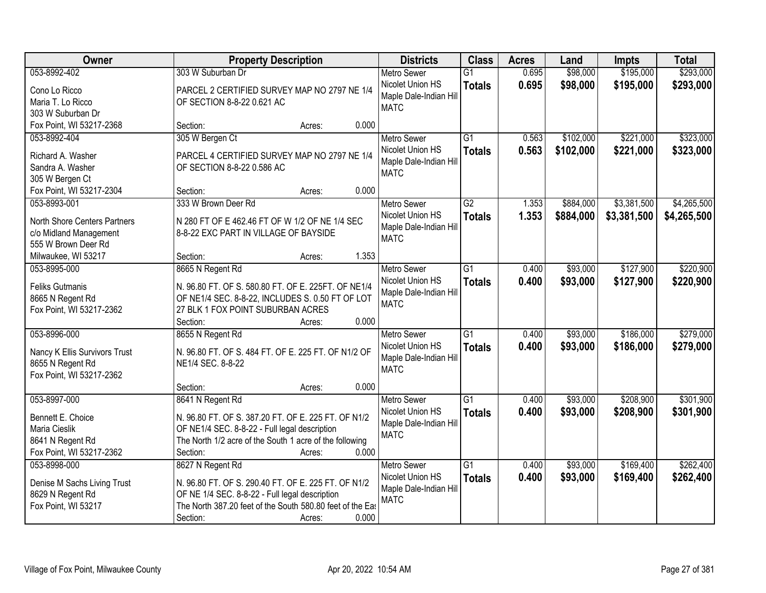| Owner                         | <b>Property Description</b>                                      | <b>Districts</b>       | <b>Class</b>    | <b>Acres</b> | Land      | <b>Impts</b> | <b>Total</b> |
|-------------------------------|------------------------------------------------------------------|------------------------|-----------------|--------------|-----------|--------------|--------------|
| 053-8992-402                  | 303 W Suburban Dr                                                | <b>Metro Sewer</b>     | $\overline{G1}$ | 0.695        | \$98,000  | \$195,000    | \$293,000    |
| Cono Lo Ricco                 | PARCEL 2 CERTIFIED SURVEY MAP NO 2797 NE 1/4                     | Nicolet Union HS       | <b>Totals</b>   | 0.695        | \$98,000  | \$195,000    | \$293,000    |
| Maria T. Lo Ricco             | OF SECTION 8-8-22 0.621 AC                                       | Maple Dale-Indian Hill |                 |              |           |              |              |
| 303 W Suburban Dr             |                                                                  | <b>MATC</b>            |                 |              |           |              |              |
| Fox Point, WI 53217-2368      | 0.000<br>Section:<br>Acres:                                      |                        |                 |              |           |              |              |
| 053-8992-404                  | 305 W Bergen Ct                                                  | <b>Metro Sewer</b>     | $\overline{G1}$ | 0.563        | \$102,000 | \$221,000    | \$323,000    |
|                               |                                                                  | Nicolet Union HS       | <b>Totals</b>   | 0.563        | \$102,000 | \$221,000    | \$323,000    |
| Richard A. Washer             | PARCEL 4 CERTIFIED SURVEY MAP NO 2797 NE 1/4                     | Maple Dale-Indian Hill |                 |              |           |              |              |
| Sandra A. Washer              | OF SECTION 8-8-22 0.586 AC                                       | <b>MATC</b>            |                 |              |           |              |              |
| 305 W Bergen Ct               | 0.000                                                            |                        |                 |              |           |              |              |
| Fox Point, WI 53217-2304      | Section:<br>Acres:                                               |                        |                 |              |           |              |              |
| 053-8993-001                  | 333 W Brown Deer Rd                                              | <b>Metro Sewer</b>     | $\overline{G2}$ | 1.353        | \$884,000 | \$3,381,500  | \$4,265,500  |
| North Shore Centers Partners  | N 280 FT OF E 462.46 FT OF W 1/2 OF NE 1/4 SEC                   | Nicolet Union HS       | <b>Totals</b>   | 1.353        | \$884,000 | \$3,381,500  | \$4,265,500  |
| c/o Midland Management        | 8-8-22 EXC PART IN VILLAGE OF BAYSIDE                            | Maple Dale-Indian Hill |                 |              |           |              |              |
| 555 W Brown Deer Rd           |                                                                  | <b>MATC</b>            |                 |              |           |              |              |
| Milwaukee, WI 53217           | 1.353<br>Section:<br>Acres:                                      |                        |                 |              |           |              |              |
| 053-8995-000                  | 8665 N Regent Rd                                                 | <b>Metro Sewer</b>     | $\overline{G1}$ | 0.400        | \$93,000  | \$127,900    | \$220,900    |
|                               |                                                                  | Nicolet Union HS       | <b>Totals</b>   | 0.400        | \$93,000  | \$127,900    | \$220,900    |
| <b>Feliks Gutmanis</b>        | N. 96.80 FT. OF S. 580.80 FT. OF E. 225FT. OF NE1/4              | Maple Dale-Indian Hill |                 |              |           |              |              |
| 8665 N Regent Rd              | OF NE1/4 SEC. 8-8-22, INCLUDES S. 0.50 FT OF LOT                 | <b>MATC</b>            |                 |              |           |              |              |
| Fox Point, WI 53217-2362      | 27 BLK 1 FOX POINT SUBURBAN ACRES                                |                        |                 |              |           |              |              |
|                               | 0.000<br>Section:<br>Acres:                                      |                        |                 |              |           |              |              |
| 053-8996-000                  | 8655 N Regent Rd                                                 | <b>Metro Sewer</b>     | $\overline{G1}$ | 0.400        | \$93,000  | \$186,000    | \$279,000    |
| Nancy K Ellis Survivors Trust | N. 96.80 FT. OF S. 484 FT. OF E. 225 FT. OF N1/2 OF              | Nicolet Union HS       | <b>Totals</b>   | 0.400        | \$93,000  | \$186,000    | \$279,000    |
| 8655 N Regent Rd              | NE1/4 SEC. 8-8-22                                                | Maple Dale-Indian Hill |                 |              |           |              |              |
| Fox Point, WI 53217-2362      |                                                                  | <b>MATC</b>            |                 |              |           |              |              |
|                               | 0.000<br>Section:<br>Acres:                                      |                        |                 |              |           |              |              |
| 053-8997-000                  | 8641 N Regent Rd                                                 | Metro Sewer            | $\overline{G1}$ | 0.400        | \$93,000  | \$208,900    | \$301,900    |
|                               |                                                                  | Nicolet Union HS       | <b>Totals</b>   | 0.400        | \$93,000  | \$208,900    | \$301,900    |
| Bennett E. Choice             | N. 96.80 FT. OF S. 387.20 FT. OF E. 225 FT. OF N1/2              | Maple Dale-Indian Hill |                 |              |           |              |              |
| Maria Cieslik                 | OF NE1/4 SEC. 8-8-22 - Full legal description                    | <b>MATC</b>            |                 |              |           |              |              |
| 8641 N Regent Rd              | The North 1/2 acre of the South 1 acre of the following<br>0.000 |                        |                 |              |           |              |              |
| Fox Point, WI 53217-2362      | Section:<br>Acres:                                               |                        |                 |              |           |              |              |
| 053-8998-000                  | 8627 N Regent Rd                                                 | <b>Metro Sewer</b>     | $\overline{G1}$ | 0.400        | \$93,000  | \$169,400    | \$262,400    |
| Denise M Sachs Living Trust   | N. 96.80 FT. OF S. 290.40 FT. OF E. 225 FT. OF N1/2              | Nicolet Union HS       | <b>Totals</b>   | 0.400        | \$93,000  | \$169,400    | \$262,400    |
| 8629 N Regent Rd              | OF NE 1/4 SEC. 8-8-22 - Full legal description                   | Maple Dale-Indian Hill |                 |              |           |              |              |
| Fox Point, WI 53217           | The North 387.20 feet of the South 580.80 feet of the East       | <b>MATC</b>            |                 |              |           |              |              |
|                               | 0.000<br>Section:<br>Acres:                                      |                        |                 |              |           |              |              |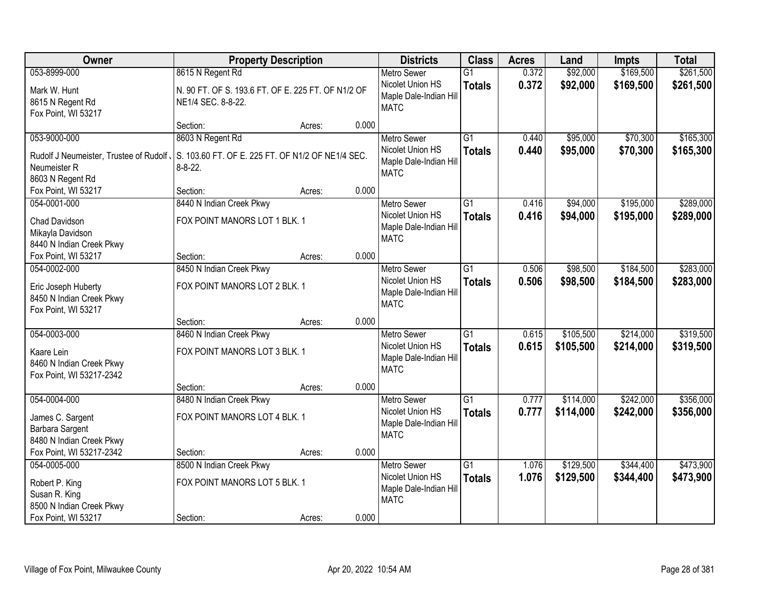| Owner                                           | <b>Property Description</b>                        |        |       | <b>Districts</b>                      | <b>Class</b>    | <b>Acres</b> | Land      | <b>Impts</b> | <b>Total</b> |
|-------------------------------------------------|----------------------------------------------------|--------|-------|---------------------------------------|-----------------|--------------|-----------|--------------|--------------|
| 053-8999-000                                    | 8615 N Regent Rd                                   |        |       | <b>Metro Sewer</b>                    | $\overline{G1}$ | 0.372        | \$92,000  | \$169,500    | \$261,500    |
| Mark W. Hunt                                    | N. 90 FT. OF S. 193.6 FT. OF E. 225 FT. OF N1/2 OF |        |       | Nicolet Union HS                      | <b>Totals</b>   | 0.372        | \$92,000  | \$169,500    | \$261,500    |
| 8615 N Regent Rd                                | NE1/4 SEC. 8-8-22.                                 |        |       | Maple Dale-Indian Hill<br><b>MATC</b> |                 |              |           |              |              |
| Fox Point, WI 53217                             |                                                    |        |       |                                       |                 |              |           |              |              |
|                                                 | Section:                                           | Acres: | 0.000 |                                       |                 |              |           |              |              |
| 053-9000-000                                    | 8603 N Regent Rd                                   |        |       | <b>Metro Sewer</b>                    | $\overline{G1}$ | 0.440        | \$95,000  | \$70,300     | \$165,300    |
| Rudolf J Neumeister, Trustee of Rudolf,         | S. 103.60 FT. OF E. 225 FT. OF N1/2 OF NE1/4 SEC.  |        |       | Nicolet Union HS                      | <b>Totals</b>   | 0.440        | \$95,000  | \$70,300     | \$165,300    |
| Neumeister R                                    | $8 - 8 - 22$ .                                     |        |       | Maple Dale-Indian Hill                |                 |              |           |              |              |
| 8603 N Regent Rd                                |                                                    |        |       | <b>MATC</b>                           |                 |              |           |              |              |
| Fox Point, WI 53217                             | Section:                                           | Acres: | 0.000 |                                       |                 |              |           |              |              |
| 054-0001-000                                    | 8440 N Indian Creek Pkwy                           |        |       | <b>Metro Sewer</b>                    | G1              | 0.416        | \$94,000  | \$195,000    | \$289,000    |
| <b>Chad Davidson</b>                            | FOX POINT MANORS LOT 1 BLK. 1                      |        |       | Nicolet Union HS                      | <b>Totals</b>   | 0.416        | \$94,000  | \$195,000    | \$289,000    |
| Mikayla Davidson                                |                                                    |        |       | Maple Dale-Indian Hill                |                 |              |           |              |              |
| 8440 N Indian Creek Pkwy                        |                                                    |        |       | <b>MATC</b>                           |                 |              |           |              |              |
| Fox Point, WI 53217                             | Section:                                           | Acres: | 0.000 |                                       |                 |              |           |              |              |
| 054-0002-000                                    | 8450 N Indian Creek Pkwy                           |        |       | <b>Metro Sewer</b>                    | G1              | 0.506        | \$98,500  | \$184,500    | \$283,000    |
|                                                 |                                                    |        |       | Nicolet Union HS                      | <b>Totals</b>   | 0.506        | \$98,500  | \$184,500    | \$283,000    |
| Eric Joseph Huberty<br>8450 N Indian Creek Pkwy | FOX POINT MANORS LOT 2 BLK. 1                      |        |       | Maple Dale-Indian Hill                |                 |              |           |              |              |
| Fox Point, WI 53217                             |                                                    |        |       | <b>MATC</b>                           |                 |              |           |              |              |
|                                                 | Section:                                           | Acres: | 0.000 |                                       |                 |              |           |              |              |
| 054-0003-000                                    | 8460 N Indian Creek Pkwy                           |        |       | <b>Metro Sewer</b>                    | $\overline{G1}$ | 0.615        | \$105,500 | \$214,000    | \$319,500    |
|                                                 |                                                    |        |       | Nicolet Union HS                      | <b>Totals</b>   | 0.615        | \$105,500 | \$214,000    | \$319,500    |
| Kaare Lein                                      | FOX POINT MANORS LOT 3 BLK. 1                      |        |       | Maple Dale-Indian Hill                |                 |              |           |              |              |
| 8460 N Indian Creek Pkwy                        |                                                    |        |       | <b>MATC</b>                           |                 |              |           |              |              |
| Fox Point, WI 53217-2342                        | Section:                                           |        | 0.000 |                                       |                 |              |           |              |              |
| 054-0004-000                                    | 8480 N Indian Creek Pkwy                           | Acres: |       | Metro Sewer                           | $\overline{G1}$ | 0.777        | \$114,000 | \$242,000    | \$356,000    |
|                                                 |                                                    |        |       | Nicolet Union HS                      | <b>Totals</b>   | 0.777        | \$114,000 | \$242,000    | \$356,000    |
| James C. Sargent                                | FOX POINT MANORS LOT 4 BLK. 1                      |        |       | Maple Dale-Indian Hill                |                 |              |           |              |              |
| Barbara Sargent                                 |                                                    |        |       | <b>MATC</b>                           |                 |              |           |              |              |
| 8480 N Indian Creek Pkwy                        |                                                    |        |       |                                       |                 |              |           |              |              |
| Fox Point, WI 53217-2342                        | Section:                                           | Acres: | 0.000 |                                       |                 |              |           |              |              |
| 054-0005-000                                    | 8500 N Indian Creek Pkwy                           |        |       | <b>Metro Sewer</b>                    | $\overline{G1}$ | 1.076        | \$129,500 | \$344,400    | \$473,900    |
| Robert P. King                                  | FOX POINT MANORS LOT 5 BLK. 1                      |        |       | Nicolet Union HS                      | <b>Totals</b>   | 1.076        | \$129,500 | \$344,400    | \$473,900    |
| Susan R. King                                   |                                                    |        |       | Maple Dale-Indian Hill<br><b>MATC</b> |                 |              |           |              |              |
| 8500 N Indian Creek Pkwy                        |                                                    |        |       |                                       |                 |              |           |              |              |
| Fox Point, WI 53217                             | Section:                                           | Acres: | 0.000 |                                       |                 |              |           |              |              |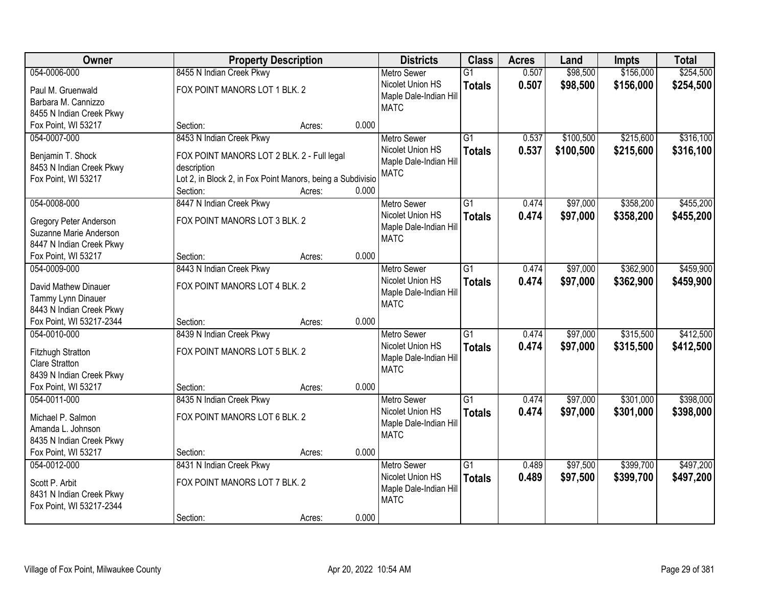| Owner                                      | <b>Property Description</b>                                               |        |       | <b>Districts</b>       | <b>Class</b>    | <b>Acres</b> | Land      | <b>Impts</b> | <b>Total</b> |
|--------------------------------------------|---------------------------------------------------------------------------|--------|-------|------------------------|-----------------|--------------|-----------|--------------|--------------|
| 054-0006-000                               | 8455 N Indian Creek Pkwy                                                  |        |       | <b>Metro Sewer</b>     | $\overline{G1}$ | 0.507        | \$98,500  | \$156,000    | \$254,500    |
| Paul M. Gruenwald                          | FOX POINT MANORS LOT 1 BLK. 2                                             |        |       | Nicolet Union HS       | <b>Totals</b>   | 0.507        | \$98,500  | \$156,000    | \$254,500    |
| Barbara M. Cannizzo                        |                                                                           |        |       | Maple Dale-Indian Hill |                 |              |           |              |              |
| 8455 N Indian Creek Pkwy                   |                                                                           |        |       | <b>MATC</b>            |                 |              |           |              |              |
| Fox Point, WI 53217                        | Section:                                                                  | Acres: | 0.000 |                        |                 |              |           |              |              |
| 054-0007-000                               | 8453 N Indian Creek Pkwy                                                  |        |       | <b>Metro Sewer</b>     | $\overline{G1}$ | 0.537        | \$100,500 | \$215,600    | \$316,100    |
| Benjamin T. Shock                          |                                                                           |        |       | Nicolet Union HS       | <b>Totals</b>   | 0.537        | \$100,500 | \$215,600    | \$316,100    |
| 8453 N Indian Creek Pkwy                   | FOX POINT MANORS LOT 2 BLK. 2 - Full legal                                |        |       | Maple Dale-Indian Hill |                 |              |           |              |              |
| Fox Point, WI 53217                        | description<br>Lot 2, in Block 2, in Fox Point Manors, being a Subdivisio |        |       | <b>MATC</b>            |                 |              |           |              |              |
|                                            | Section:                                                                  | Acres: | 0.000 |                        |                 |              |           |              |              |
| 054-0008-000                               | 8447 N Indian Creek Pkwy                                                  |        |       | Metro Sewer            | G1              | 0.474        | \$97,000  | \$358,200    | \$455,200    |
|                                            |                                                                           |        |       | Nicolet Union HS       | <b>Totals</b>   | 0.474        | \$97,000  | \$358,200    | \$455,200    |
| <b>Gregory Peter Anderson</b>              | FOX POINT MANORS LOT 3 BLK. 2                                             |        |       | Maple Dale-Indian Hill |                 |              |           |              |              |
| Suzanne Marie Anderson                     |                                                                           |        |       | <b>MATC</b>            |                 |              |           |              |              |
| 8447 N Indian Creek Pkwy                   |                                                                           |        |       |                        |                 |              |           |              |              |
| Fox Point, WI 53217                        | Section:                                                                  | Acres: | 0.000 |                        |                 |              |           |              |              |
| 054-0009-000                               | 8443 N Indian Creek Pkwy                                                  |        |       | <b>Metro Sewer</b>     | $\overline{G1}$ | 0.474        | \$97,000  | \$362,900    | \$459,900    |
| David Mathew Dinauer                       | FOX POINT MANORS LOT 4 BLK. 2                                             |        |       | Nicolet Union HS       | <b>Totals</b>   | 0.474        | \$97,000  | \$362,900    | \$459,900    |
| Tammy Lynn Dinauer                         |                                                                           |        |       | Maple Dale-Indian Hill |                 |              |           |              |              |
| 8443 N Indian Creek Pkwy                   |                                                                           |        |       | <b>MATC</b>            |                 |              |           |              |              |
| Fox Point, WI 53217-2344                   | Section:                                                                  | Acres: | 0.000 |                        |                 |              |           |              |              |
| 054-0010-000                               | 8439 N Indian Creek Pkwy                                                  |        |       | <b>Metro Sewer</b>     | $\overline{G1}$ | 0.474        | \$97,000  | \$315,500    | \$412,500    |
|                                            | FOX POINT MANORS LOT 5 BLK. 2                                             |        |       | Nicolet Union HS       | <b>Totals</b>   | 0.474        | \$97,000  | \$315,500    | \$412,500    |
| Fitzhugh Stratton<br><b>Clare Stratton</b> |                                                                           |        |       | Maple Dale-Indian Hill |                 |              |           |              |              |
| 8439 N Indian Creek Pkwy                   |                                                                           |        |       | <b>MATC</b>            |                 |              |           |              |              |
| Fox Point, WI 53217                        | Section:                                                                  | Acres: | 0.000 |                        |                 |              |           |              |              |
| 054-0011-000                               | 8435 N Indian Creek Pkwy                                                  |        |       | Metro Sewer            | $\overline{G1}$ | 0.474        | \$97,000  | \$301,000    | \$398,000    |
|                                            |                                                                           |        |       | Nicolet Union HS       |                 | 0.474        |           |              |              |
| Michael P. Salmon                          | FOX POINT MANORS LOT 6 BLK. 2                                             |        |       | Maple Dale-Indian Hill | <b>Totals</b>   |              | \$97,000  | \$301,000    | \$398,000    |
| Amanda L. Johnson                          |                                                                           |        |       | <b>MATC</b>            |                 |              |           |              |              |
| 8435 N Indian Creek Pkwy                   |                                                                           |        |       |                        |                 |              |           |              |              |
| Fox Point, WI 53217                        | Section:                                                                  | Acres: | 0.000 |                        |                 |              |           |              |              |
| 054-0012-000                               | 8431 N Indian Creek Pkwy                                                  |        |       | <b>Metro Sewer</b>     | $\overline{G1}$ | 0.489        | \$97,500  | \$399,700    | \$497,200    |
| Scott P. Arbit                             | FOX POINT MANORS LOT 7 BLK. 2                                             |        |       | Nicolet Union HS       | <b>Totals</b>   | 0.489        | \$97,500  | \$399,700    | \$497,200    |
| 8431 N Indian Creek Pkwy                   |                                                                           |        |       | Maple Dale-Indian Hill |                 |              |           |              |              |
| Fox Point, WI 53217-2344                   |                                                                           |        |       | <b>MATC</b>            |                 |              |           |              |              |
|                                            | Section:                                                                  | Acres: | 0.000 |                        |                 |              |           |              |              |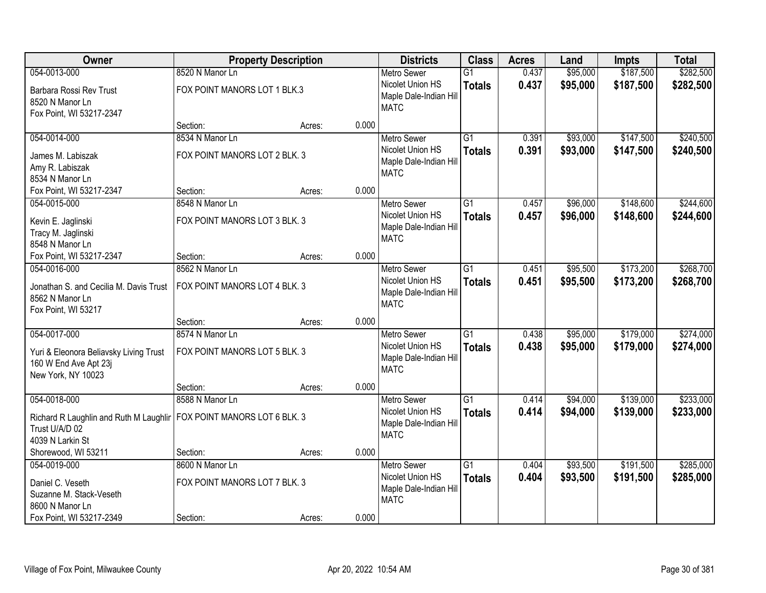| Owner                                                           | <b>Property Description</b>   |        | <b>Districts</b> | <b>Class</b>           | <b>Acres</b>    | Land  | <b>Impts</b> | <b>Total</b> |           |
|-----------------------------------------------------------------|-------------------------------|--------|------------------|------------------------|-----------------|-------|--------------|--------------|-----------|
| 054-0013-000                                                    | 8520 N Manor Ln               |        |                  | <b>Metro Sewer</b>     | $\overline{G1}$ | 0.437 | \$95,000     | \$187,500    | \$282,500 |
| Barbara Rossi Rev Trust                                         | FOX POINT MANORS LOT 1 BLK.3  |        |                  | Nicolet Union HS       | <b>Totals</b>   | 0.437 | \$95,000     | \$187,500    | \$282,500 |
| 8520 N Manor Ln                                                 |                               |        |                  | Maple Dale-Indian Hill |                 |       |              |              |           |
| Fox Point, WI 53217-2347                                        |                               |        |                  | <b>MATC</b>            |                 |       |              |              |           |
|                                                                 | Section:                      | Acres: | 0.000            |                        |                 |       |              |              |           |
| 054-0014-000                                                    | 8534 N Manor Ln               |        |                  | <b>Metro Sewer</b>     | $\overline{G1}$ | 0.391 | \$93,000     | \$147,500    | \$240,500 |
| James M. Labiszak                                               | FOX POINT MANORS LOT 2 BLK. 3 |        |                  | Nicolet Union HS       | <b>Totals</b>   | 0.391 | \$93,000     | \$147,500    | \$240,500 |
| Amy R. Labiszak                                                 |                               |        |                  | Maple Dale-Indian Hill |                 |       |              |              |           |
| 8534 N Manor Ln                                                 |                               |        |                  | <b>MATC</b>            |                 |       |              |              |           |
| Fox Point, WI 53217-2347                                        | Section:                      | Acres: | 0.000            |                        |                 |       |              |              |           |
| 054-0015-000                                                    | 8548 N Manor Ln               |        |                  | Metro Sewer            | $\overline{G1}$ | 0.457 | \$96,000     | \$148,600    | \$244,600 |
| Kevin E. Jaglinski                                              | FOX POINT MANORS LOT 3 BLK. 3 |        |                  | Nicolet Union HS       | <b>Totals</b>   | 0.457 | \$96,000     | \$148,600    | \$244,600 |
| Tracy M. Jaglinski                                              |                               |        |                  | Maple Dale-Indian Hill |                 |       |              |              |           |
| 8548 N Manor Ln                                                 |                               |        |                  | <b>MATC</b>            |                 |       |              |              |           |
| Fox Point, WI 53217-2347                                        | Section:                      | Acres: | 0.000            |                        |                 |       |              |              |           |
| 054-0016-000                                                    | 8562 N Manor Ln               |        |                  | <b>Metro Sewer</b>     | $\overline{G1}$ | 0.451 | \$95,500     | \$173,200    | \$268,700 |
| Jonathan S. and Cecilia M. Davis Trust                          | FOX POINT MANORS LOT 4 BLK. 3 |        |                  | Nicolet Union HS       | <b>Totals</b>   | 0.451 | \$95,500     | \$173,200    | \$268,700 |
| 8562 N Manor Ln                                                 |                               |        |                  | Maple Dale-Indian Hill |                 |       |              |              |           |
| Fox Point, WI 53217                                             |                               |        |                  | <b>MATC</b>            |                 |       |              |              |           |
|                                                                 | Section:                      | Acres: | 0.000            |                        |                 |       |              |              |           |
| 054-0017-000                                                    | 8574 N Manor Ln               |        |                  | Metro Sewer            | $\overline{G1}$ | 0.438 | \$95,000     | \$179,000    | \$274,000 |
|                                                                 | FOX POINT MANORS LOT 5 BLK. 3 |        |                  | Nicolet Union HS       | <b>Totals</b>   | 0.438 | \$95,000     | \$179,000    | \$274,000 |
| Yuri & Eleonora Beliavsky Living Trust<br>160 W End Ave Apt 23j |                               |        |                  | Maple Dale-Indian Hill |                 |       |              |              |           |
| New York, NY 10023                                              |                               |        |                  | <b>MATC</b>            |                 |       |              |              |           |
|                                                                 | Section:                      | Acres: | 0.000            |                        |                 |       |              |              |           |
| 054-0018-000                                                    | 8588 N Manor Ln               |        |                  | Metro Sewer            | $\overline{G1}$ | 0.414 | \$94,000     | \$139,000    | \$233,000 |
|                                                                 |                               |        |                  | Nicolet Union HS       | <b>Totals</b>   | 0.414 | \$94,000     | \$139,000    | \$233,000 |
| Richard R Laughlin and Ruth M Laughlir<br>Trust U/A/D 02        | FOX POINT MANORS LOT 6 BLK. 3 |        |                  | Maple Dale-Indian Hill |                 |       |              |              |           |
| 4039 N Larkin St                                                |                               |        |                  | <b>MATC</b>            |                 |       |              |              |           |
| Shorewood, WI 53211                                             | Section:                      | Acres: | 0.000            |                        |                 |       |              |              |           |
| 054-0019-000                                                    | 8600 N Manor Ln               |        |                  | <b>Metro Sewer</b>     | $\overline{G1}$ | 0.404 | \$93,500     | \$191,500    | \$285,000 |
|                                                                 |                               |        |                  | Nicolet Union HS       | <b>Totals</b>   | 0.404 | \$93,500     | \$191,500    | \$285,000 |
| Daniel C. Veseth                                                | FOX POINT MANORS LOT 7 BLK. 3 |        |                  | Maple Dale-Indian Hill |                 |       |              |              |           |
| Suzanne M. Stack-Veseth<br>8600 N Manor Ln                      |                               |        |                  | <b>MATC</b>            |                 |       |              |              |           |
| Fox Point, WI 53217-2349                                        | Section:                      | Acres: | 0.000            |                        |                 |       |              |              |           |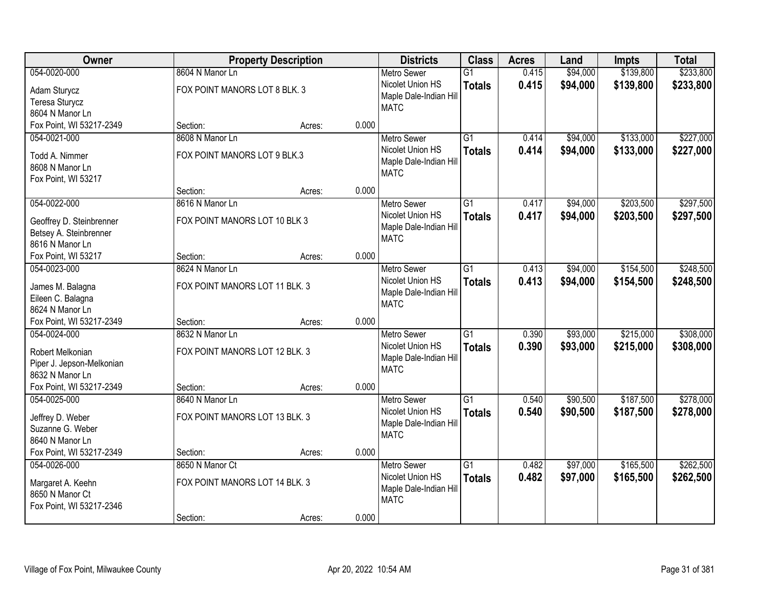| Owner                                                                            |                                                   | <b>Property Description</b> |       | <b>Districts</b>                                                                | <b>Class</b>                     | <b>Acres</b>   | Land                 | <b>Impts</b>           | <b>Total</b>           |
|----------------------------------------------------------------------------------|---------------------------------------------------|-----------------------------|-------|---------------------------------------------------------------------------------|----------------------------------|----------------|----------------------|------------------------|------------------------|
| 054-0020-000                                                                     | 8604 N Manor Ln                                   |                             |       | <b>Metro Sewer</b>                                                              | $\overline{G1}$                  | 0.415          | \$94,000             | \$139,800              | \$233,800              |
| Adam Sturycz<br>Teresa Sturycz<br>8604 N Manor Ln                                | FOX POINT MANORS LOT 8 BLK. 3                     |                             |       | Nicolet Union HS<br>Maple Dale-Indian Hill<br><b>MATC</b>                       | <b>Totals</b>                    | 0.415          | \$94,000             | \$139,800              | \$233,800              |
| Fox Point, WI 53217-2349                                                         | Section:                                          | Acres:                      | 0.000 |                                                                                 |                                  |                |                      |                        |                        |
| 054-0021-000                                                                     | 8608 N Manor Ln                                   |                             |       | <b>Metro Sewer</b>                                                              | $\overline{G1}$                  | 0.414          | \$94,000             | \$133,000              | \$227,000              |
| Todd A. Nimmer<br>8608 N Manor Ln<br>Fox Point, WI 53217                         | FOX POINT MANORS LOT 9 BLK.3                      |                             |       | Nicolet Union HS<br>Maple Dale-Indian Hill<br><b>MATC</b>                       | <b>Totals</b>                    | 0.414          | \$94,000             | \$133,000              | \$227,000              |
|                                                                                  | Section:                                          | Acres:                      | 0.000 |                                                                                 |                                  |                |                      |                        |                        |
| 054-0022-000                                                                     | 8616 N Manor Ln                                   |                             |       | <b>Metro Sewer</b>                                                              | G1                               | 0.417          | \$94,000             | \$203,500              | \$297,500              |
| Geoffrey D. Steinbrenner<br>Betsey A. Steinbrenner<br>8616 N Manor Ln            | FOX POINT MANORS LOT 10 BLK 3                     |                             |       | Nicolet Union HS<br>Maple Dale-Indian Hill<br><b>MATC</b>                       | <b>Totals</b>                    | 0.417          | \$94,000             | \$203,500              | \$297,500              |
| Fox Point, WI 53217                                                              | Section:                                          | Acres:                      | 0.000 |                                                                                 |                                  |                |                      |                        |                        |
| 054-0023-000                                                                     | 8624 N Manor Ln                                   |                             |       | <b>Metro Sewer</b>                                                              | $\overline{G1}$                  | 0.413          | \$94,000             | \$154,500              | \$248,500              |
| James M. Balagna<br>Eileen C. Balagna<br>8624 N Manor Ln                         | FOX POINT MANORS LOT 11 BLK. 3                    |                             |       | Nicolet Union HS<br>Maple Dale-Indian Hill<br><b>MATC</b>                       | <b>Totals</b>                    | 0.413          | \$94,000             | \$154,500              | \$248,500              |
| Fox Point, WI 53217-2349                                                         | Section:                                          | Acres:                      | 0.000 |                                                                                 |                                  |                |                      |                        |                        |
| 054-0024-000<br>Robert Melkonian<br>Piper J. Jepson-Melkonian<br>8632 N Manor Ln | 8632 N Manor Ln<br>FOX POINT MANORS LOT 12 BLK. 3 |                             |       | <b>Metro Sewer</b><br>Nicolet Union HS<br>Maple Dale-Indian Hill<br><b>MATC</b> | $\overline{G1}$<br><b>Totals</b> | 0.390<br>0.390 | \$93,000<br>\$93,000 | \$215,000<br>\$215,000 | \$308,000<br>\$308,000 |
| Fox Point, WI 53217-2349                                                         | Section:                                          | Acres:                      | 0.000 |                                                                                 |                                  |                |                      |                        |                        |
| 054-0025-000                                                                     | 8640 N Manor Ln                                   |                             |       | <b>Metro Sewer</b>                                                              | $\overline{G1}$                  | 0.540          | \$90,500             | \$187,500              | \$278,000              |
| Jeffrey D. Weber<br>Suzanne G. Weber<br>8640 N Manor Ln                          | FOX POINT MANORS LOT 13 BLK. 3                    |                             |       | Nicolet Union HS<br>Maple Dale-Indian Hill<br><b>MATC</b>                       | <b>Totals</b>                    | 0.540          | \$90,500             | \$187,500              | \$278,000              |
| Fox Point, WI 53217-2349                                                         | Section:                                          | Acres:                      | 0.000 |                                                                                 |                                  |                |                      |                        |                        |
| 054-0026-000<br>Margaret A. Keehn<br>8650 N Manor Ct                             | 8650 N Manor Ct<br>FOX POINT MANORS LOT 14 BLK. 3 |                             |       | Metro Sewer<br>Nicolet Union HS<br>Maple Dale-Indian Hill<br><b>MATC</b>        | $\overline{G1}$<br><b>Totals</b> | 0.482<br>0.482 | \$97,000<br>\$97,000 | \$165,500<br>\$165,500 | \$262,500<br>\$262,500 |
| Fox Point, WI 53217-2346                                                         | Section:                                          | Acres:                      | 0.000 |                                                                                 |                                  |                |                      |                        |                        |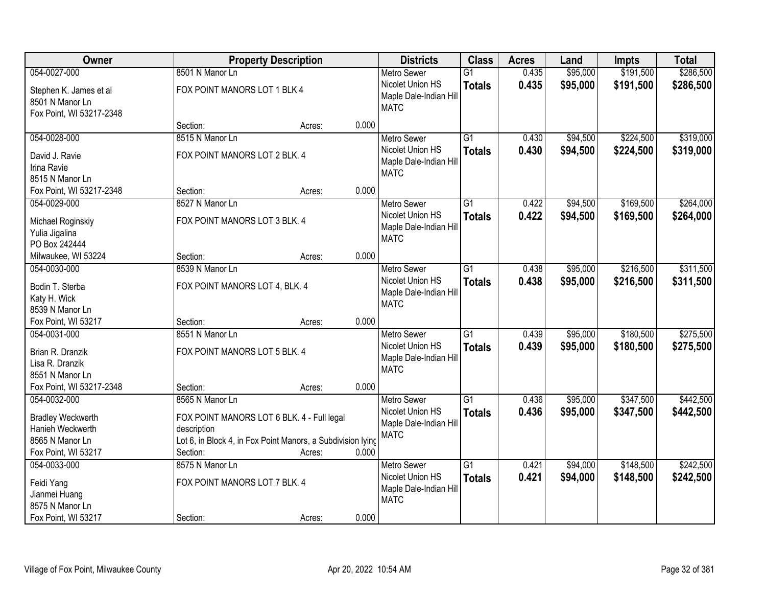| Owner                                                                                                  |                                                                                                                                                         | <b>Property Description</b> |       | <b>Districts</b>                                                                | <b>Class</b>                     | <b>Acres</b>   | Land                 | <b>Impts</b>           | <b>Total</b>           |
|--------------------------------------------------------------------------------------------------------|---------------------------------------------------------------------------------------------------------------------------------------------------------|-----------------------------|-------|---------------------------------------------------------------------------------|----------------------------------|----------------|----------------------|------------------------|------------------------|
| 054-0027-000                                                                                           | 8501 N Manor Ln                                                                                                                                         |                             |       | <b>Metro Sewer</b>                                                              | $\overline{G1}$                  | 0.435          | \$95,000             | \$191,500              | \$286,500              |
| Stephen K. James et al<br>8501 N Manor Ln<br>Fox Point, WI 53217-2348                                  | FOX POINT MANORS LOT 1 BLK 4                                                                                                                            |                             |       | Nicolet Union HS<br>Maple Dale-Indian Hill<br><b>MATC</b>                       | <b>Totals</b>                    | 0.435          | \$95,000             | \$191,500              | \$286,500              |
|                                                                                                        | Section:                                                                                                                                                | Acres:                      | 0.000 |                                                                                 |                                  |                |                      |                        |                        |
| 054-0028-000                                                                                           | 8515 N Manor Ln                                                                                                                                         |                             |       | <b>Metro Sewer</b>                                                              | $\overline{G1}$                  | 0.430          | \$94,500             | \$224,500              | \$319,000              |
| David J. Ravie<br>Irina Ravie<br>8515 N Manor Ln                                                       | FOX POINT MANORS LOT 2 BLK. 4                                                                                                                           |                             |       | Nicolet Union HS<br>Maple Dale-Indian Hill<br><b>MATC</b>                       | <b>Totals</b>                    | 0.430          | \$94,500             | \$224,500              | \$319,000              |
| Fox Point, WI 53217-2348                                                                               | Section:                                                                                                                                                | Acres:                      | 0.000 |                                                                                 |                                  |                |                      |                        |                        |
| 054-0029-000                                                                                           | 8527 N Manor Ln                                                                                                                                         |                             |       | <b>Metro Sewer</b>                                                              | G1                               | 0.422          | \$94,500             | \$169,500              | \$264,000              |
| Michael Roginskiy<br>Yulia Jigalina<br>PO Box 242444                                                   | FOX POINT MANORS LOT 3 BLK. 4                                                                                                                           |                             |       | Nicolet Union HS<br>Maple Dale-Indian Hill<br><b>MATC</b>                       | <b>Totals</b>                    | 0.422          | \$94,500             | \$169,500              | \$264,000              |
| Milwaukee, WI 53224                                                                                    | Section:                                                                                                                                                | Acres:                      | 0.000 |                                                                                 |                                  |                |                      |                        |                        |
| 054-0030-000                                                                                           | 8539 N Manor Ln                                                                                                                                         |                             |       | <b>Metro Sewer</b>                                                              | G1                               | 0.438          | \$95,000             | \$216,500              | \$311,500              |
| Bodin T. Sterba<br>Katy H. Wick<br>8539 N Manor Ln                                                     | FOX POINT MANORS LOT 4, BLK. 4                                                                                                                          |                             |       | Nicolet Union HS<br>Maple Dale-Indian Hill<br><b>MATC</b>                       | <b>Totals</b>                    | 0.438          | \$95,000             | \$216,500              | \$311,500              |
| Fox Point, WI 53217                                                                                    | Section:                                                                                                                                                | Acres:                      | 0.000 |                                                                                 |                                  |                |                      |                        |                        |
| 054-0031-000<br>Brian R. Dranzik<br>Lisa R. Dranzik<br>8551 N Manor Ln                                 | 8551 N Manor Ln<br>FOX POINT MANORS LOT 5 BLK. 4                                                                                                        |                             |       | <b>Metro Sewer</b><br>Nicolet Union HS<br>Maple Dale-Indian Hill<br><b>MATC</b> | $\overline{G1}$<br><b>Totals</b> | 0.439<br>0.439 | \$95,000<br>\$95,000 | \$180,500<br>\$180,500 | \$275,500<br>\$275,500 |
| Fox Point, WI 53217-2348                                                                               | Section:                                                                                                                                                | Acres:                      | 0.000 |                                                                                 |                                  |                |                      |                        |                        |
| 054-0032-000<br><b>Bradley Weckwerth</b><br>Hanieh Weckwerth<br>8565 N Manor Ln<br>Fox Point, WI 53217 | 8565 N Manor Ln<br>FOX POINT MANORS LOT 6 BLK. 4 - Full legal<br>description<br>Lot 6, in Block 4, in Fox Point Manors, a Subdivision lying<br>Section: | Acres:                      | 0.000 | <b>Metro Sewer</b><br>Nicolet Union HS<br>Maple Dale-Indian Hill<br><b>MATC</b> | $\overline{G1}$<br><b>Totals</b> | 0.436<br>0.436 | \$95,000<br>\$95,000 | \$347,500<br>\$347,500 | \$442,500<br>\$442,500 |
| 054-0033-000<br>Feidi Yang<br>Jianmei Huang<br>8575 N Manor Ln<br>Fox Point, WI 53217                  | 8575 N Manor Ln<br>FOX POINT MANORS LOT 7 BLK. 4<br>Section:                                                                                            | Acres:                      | 0.000 | <b>Metro Sewer</b><br>Nicolet Union HS<br>Maple Dale-Indian Hill<br><b>MATC</b> | $\overline{G1}$<br><b>Totals</b> | 0.421<br>0.421 | \$94,000<br>\$94,000 | \$148,500<br>\$148,500 | \$242,500<br>\$242,500 |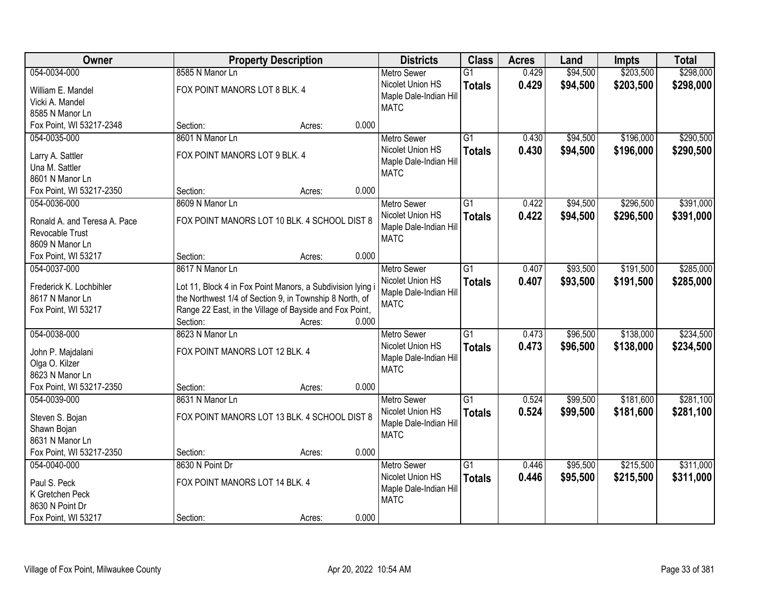| Owner                        | <b>Property Description</b>                                |        | <b>Districts</b> | <b>Class</b>           | <b>Acres</b>    | Land  | <b>Impts</b> | <b>Total</b> |           |
|------------------------------|------------------------------------------------------------|--------|------------------|------------------------|-----------------|-------|--------------|--------------|-----------|
| 054-0034-000                 | 8585 N Manor Ln                                            |        |                  | <b>Metro Sewer</b>     | $\overline{G1}$ | 0.429 | \$94,500     | \$203,500    | \$298,000 |
| William E. Mandel            | FOX POINT MANORS LOT 8 BLK. 4                              |        |                  | Nicolet Union HS       | <b>Totals</b>   | 0.429 | \$94,500     | \$203,500    | \$298,000 |
| Vicki A. Mandel              |                                                            |        |                  | Maple Dale-Indian Hill |                 |       |              |              |           |
| 8585 N Manor Ln              |                                                            |        |                  | <b>MATC</b>            |                 |       |              |              |           |
| Fox Point, WI 53217-2348     | Section:                                                   | Acres: | 0.000            |                        |                 |       |              |              |           |
| 054-0035-000                 | 8601 N Manor Ln                                            |        |                  | <b>Metro Sewer</b>     | $\overline{G1}$ | 0.430 | \$94,500     | \$196,000    | \$290,500 |
| Larry A. Sattler             | FOX POINT MANORS LOT 9 BLK. 4                              |        |                  | Nicolet Union HS       | <b>Totals</b>   | 0.430 | \$94,500     | \$196,000    | \$290,500 |
| Una M. Sattler               |                                                            |        |                  | Maple Dale-Indian Hill |                 |       |              |              |           |
| 8601 N Manor Ln              |                                                            |        |                  | <b>MATC</b>            |                 |       |              |              |           |
| Fox Point, WI 53217-2350     | Section:                                                   | Acres: | 0.000            |                        |                 |       |              |              |           |
| 054-0036-000                 | 8609 N Manor Ln                                            |        |                  | <b>Metro Sewer</b>     | G1              | 0.422 | \$94,500     | \$296,500    | \$391,000 |
|                              |                                                            |        |                  | Nicolet Union HS       | <b>Totals</b>   | 0.422 | \$94,500     | \$296,500    | \$391,000 |
| Ronald A. and Teresa A. Pace | FOX POINT MANORS LOT 10 BLK. 4 SCHOOL DIST 8               |        |                  | Maple Dale-Indian Hill |                 |       |              |              |           |
| Revocable Trust              |                                                            |        |                  | <b>MATC</b>            |                 |       |              |              |           |
| 8609 N Manor Ln              |                                                            |        |                  |                        |                 |       |              |              |           |
| Fox Point, WI 53217          | Section:                                                   | Acres: | 0.000            |                        |                 |       |              |              |           |
| 054-0037-000                 | 8617 N Manor Ln                                            |        |                  | <b>Metro Sewer</b>     | $\overline{G1}$ | 0.407 | \$93,500     | \$191,500    | \$285,000 |
| Frederick K. Lochbihler      | Lot 11, Block 4 in Fox Point Manors, a Subdivision lying i |        |                  | Nicolet Union HS       | <b>Totals</b>   | 0.407 | \$93,500     | \$191,500    | \$285,000 |
| 8617 N Manor Ln              | the Northwest 1/4 of Section 9, in Township 8 North, of    |        |                  | Maple Dale-Indian Hill |                 |       |              |              |           |
| Fox Point, WI 53217          | Range 22 East, in the Village of Bayside and Fox Point,    |        |                  | <b>MATC</b>            |                 |       |              |              |           |
|                              | Section:                                                   | Acres: | 0.000            |                        |                 |       |              |              |           |
| 054-0038-000                 | 8623 N Manor Ln                                            |        |                  | <b>Metro Sewer</b>     | $\overline{G1}$ | 0.473 | \$96,500     | \$138,000    | \$234,500 |
| John P. Majdalani            | FOX POINT MANORS LOT 12 BLK. 4                             |        |                  | Nicolet Union HS       | <b>Totals</b>   | 0.473 | \$96,500     | \$138,000    | \$234,500 |
| Olga O. Kilzer               |                                                            |        |                  | Maple Dale-Indian Hill |                 |       |              |              |           |
| 8623 N Manor Ln              |                                                            |        |                  | <b>MATC</b>            |                 |       |              |              |           |
| Fox Point, WI 53217-2350     | Section:                                                   | Acres: | 0.000            |                        |                 |       |              |              |           |
| 054-0039-000                 | 8631 N Manor Ln                                            |        |                  | <b>Metro Sewer</b>     | $\overline{G1}$ | 0.524 | \$99,500     | \$181,600    | \$281,100 |
|                              |                                                            |        |                  | Nicolet Union HS       | <b>Totals</b>   | 0.524 | \$99,500     | \$181,600    | \$281,100 |
| Steven S. Bojan              | FOX POINT MANORS LOT 13 BLK. 4 SCHOOL DIST 8               |        |                  | Maple Dale-Indian Hill |                 |       |              |              |           |
| Shawn Bojan                  |                                                            |        |                  | <b>MATC</b>            |                 |       |              |              |           |
| 8631 N Manor Ln              |                                                            |        |                  |                        |                 |       |              |              |           |
| Fox Point, WI 53217-2350     | Section:                                                   | Acres: | 0.000            |                        |                 |       |              |              |           |
| 054-0040-000                 | 8630 N Point Dr                                            |        |                  | <b>Metro Sewer</b>     | $\overline{G1}$ | 0.446 | \$95,500     | \$215,500    | \$311,000 |
| Paul S. Peck                 | FOX POINT MANORS LOT 14 BLK. 4                             |        |                  | Nicolet Union HS       | <b>Totals</b>   | 0.446 | \$95,500     | \$215,500    | \$311,000 |
| K Gretchen Peck              |                                                            |        |                  | Maple Dale-Indian Hill |                 |       |              |              |           |
| 8630 N Point Dr              |                                                            |        |                  | <b>MATC</b>            |                 |       |              |              |           |
| Fox Point, WI 53217          | Section:                                                   | Acres: | 0.000            |                        |                 |       |              |              |           |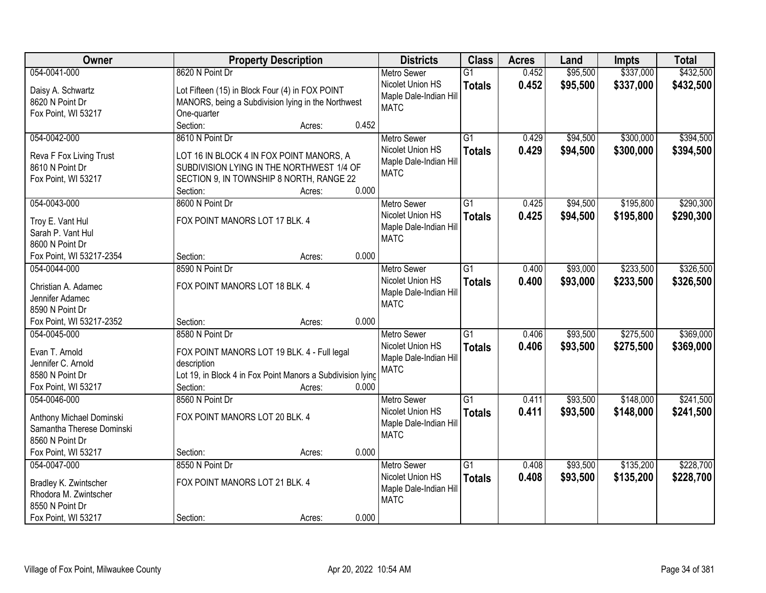| <b>Class</b><br>Owner<br><b>Property Description</b><br><b>Districts</b><br><b>Acres</b>                  | Land              | <b>Impts</b> | <b>Total</b> |
|-----------------------------------------------------------------------------------------------------------|-------------------|--------------|--------------|
| 054-0041-000<br>8620 N Point Dr<br><b>Metro Sewer</b><br>$\overline{G1}$                                  | 0.452<br>\$95,500 | \$337,000    | \$432,500    |
| Nicolet Union HS<br><b>Totals</b><br>Lot Fifteen (15) in Block Four (4) in FOX POINT<br>Daisy A. Schwartz | 0.452<br>\$95,500 | \$337,000    | \$432,500    |
| Maple Dale-Indian Hill<br>8620 N Point Dr<br>MANORS, being a Subdivision lying in the Northwest           |                   |              |              |
| <b>MATC</b><br>Fox Point, WI 53217<br>One-quarter                                                         |                   |              |              |
| Section:<br>0.452<br>Acres:                                                                               |                   |              |              |
| 054-0042-000<br>8610 N Point Dr<br>$\overline{G1}$<br><b>Metro Sewer</b>                                  | \$94,500<br>0.429 | \$300,000    | \$394,500    |
| Nicolet Union HS<br><b>Totals</b>                                                                         | 0.429<br>\$94,500 | \$300,000    | \$394,500    |
| LOT 16 IN BLOCK 4 IN FOX POINT MANORS, A<br>Reva F Fox Living Trust<br>Maple Dale-Indian Hill             |                   |              |              |
| 8610 N Point Dr<br>SUBDIVISION LYING IN THE NORTHWEST 1/4 OF<br><b>MATC</b>                               |                   |              |              |
| SECTION 9, IN TOWNSHIP 8 NORTH, RANGE 22<br>Fox Point, WI 53217<br>0.000<br>Section:<br>Acres:            |                   |              |              |
| 054-0043-000<br>8600 N Point Dr<br>$\overline{G1}$<br><b>Metro Sewer</b>                                  | \$94,500<br>0.425 | \$195,800    | \$290,300    |
| Nicolet Union HS                                                                                          | 0.425<br>\$94,500 | \$195,800    | \$290,300    |
| <b>Totals</b><br>FOX POINT MANORS LOT 17 BLK. 4<br>Troy E. Vant Hul<br>Maple Dale-Indian Hill             |                   |              |              |
| Sarah P. Vant Hul<br><b>MATC</b>                                                                          |                   |              |              |
| 8600 N Point Dr                                                                                           |                   |              |              |
| 0.000<br>Fox Point, WI 53217-2354<br>Section:<br>Acres:                                                   |                   |              |              |
| 054-0044-000<br>8590 N Point Dr<br>$\overline{G1}$<br><b>Metro Sewer</b>                                  | \$93,000<br>0.400 | \$233,500    | \$326,500    |
| Nicolet Union HS<br><b>Totals</b><br>FOX POINT MANORS LOT 18 BLK. 4<br>Christian A. Adamec                | 0.400<br>\$93,000 | \$233,500    | \$326,500    |
| Maple Dale-Indian Hill<br>Jennifer Adamec                                                                 |                   |              |              |
| <b>MATC</b><br>8590 N Point Dr                                                                            |                   |              |              |
| Fox Point, WI 53217-2352<br>0.000<br>Section:<br>Acres:                                                   |                   |              |              |
| 8580 N Point Dr<br>$\overline{G1}$<br>054-0045-000<br><b>Metro Sewer</b>                                  | \$93,500<br>0.406 | \$275,500    | \$369,000    |
| Nicolet Union HS<br><b>Totals</b>                                                                         | 0.406<br>\$93,500 | \$275,500    | \$369,000    |
| Evan T. Arnold<br>FOX POINT MANORS LOT 19 BLK. 4 - Full legal<br>Maple Dale-Indian Hill                   |                   |              |              |
| Jennifer C. Arnold<br>description<br><b>MATC</b>                                                          |                   |              |              |
| Lot 19, in Block 4 in Fox Point Manors a Subdivision lying<br>8580 N Point Dr                             |                   |              |              |
| Fox Point, WI 53217<br>Section:<br>0.000<br>Acres:                                                        |                   |              |              |
| $\overline{G1}$<br>8560 N Point Dr<br>054-0046-000<br><b>Metro Sewer</b>                                  | \$93,500<br>0.411 | \$148,000    | \$241,500    |
| Nicolet Union HS<br><b>Totals</b><br>FOX POINT MANORS LOT 20 BLK. 4<br>Anthony Michael Dominski           | \$93,500<br>0.411 | \$148,000    | \$241,500    |
| Maple Dale-Indian Hill<br>Samantha Therese Dominski                                                       |                   |              |              |
| <b>MATC</b><br>8560 N Point Dr                                                                            |                   |              |              |
| 0.000<br>Fox Point, WI 53217<br>Section:<br>Acres:                                                        |                   |              |              |
| 054-0047-000<br>8550 N Point Dr<br>$\overline{G1}$<br><b>Metro Sewer</b>                                  | \$93,500<br>0.408 | \$135,200    | \$228,700    |
| Nicolet Union HS<br><b>Totals</b><br>FOX POINT MANORS LOT 21 BLK. 4<br>Bradley K. Zwintscher              | 0.408<br>\$93,500 | \$135,200    | \$228,700    |
| Maple Dale-Indian Hill<br>Rhodora M. Zwintscher                                                           |                   |              |              |
| <b>MATC</b><br>8550 N Point Dr                                                                            |                   |              |              |
| 0.000<br>Fox Point, WI 53217<br>Section:<br>Acres:                                                        |                   |              |              |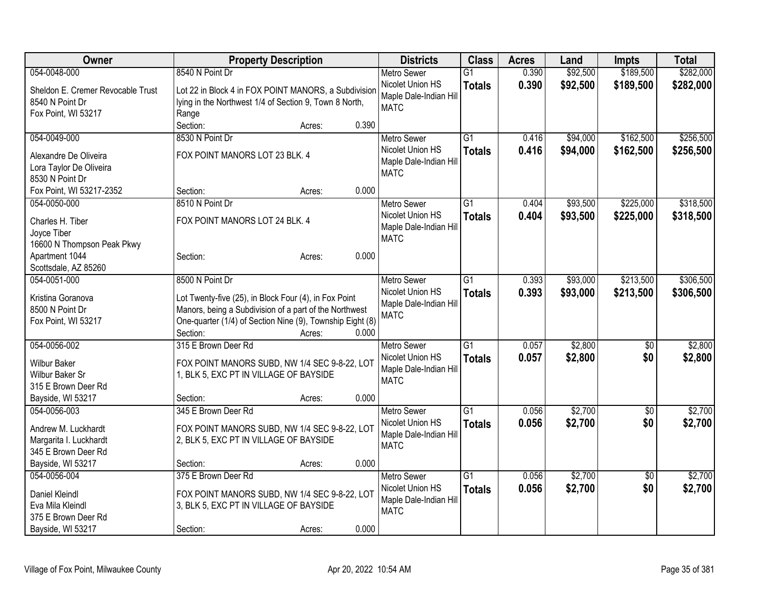| Owner                                            | <b>Property Description</b>                               |        |       | <b>Districts</b>       | <b>Class</b>    | <b>Acres</b> | Land     | Impts           | <b>Total</b> |
|--------------------------------------------------|-----------------------------------------------------------|--------|-------|------------------------|-----------------|--------------|----------|-----------------|--------------|
| 054-0048-000                                     | 8540 N Point Dr                                           |        |       | <b>Metro Sewer</b>     | $\overline{G1}$ | 0.390        | \$92,500 | \$189,500       | \$282,000    |
| Sheldon E. Cremer Revocable Trust                | Lot 22 in Block 4 in FOX POINT MANORS, a Subdivision      |        |       | Nicolet Union HS       | <b>Totals</b>   | 0.390        | \$92,500 | \$189,500       | \$282,000    |
| 8540 N Point Dr                                  | lying in the Northwest 1/4 of Section 9, Town 8 North,    |        |       | Maple Dale-Indian Hill |                 |              |          |                 |              |
| Fox Point, WI 53217                              | Range                                                     |        |       | <b>MATC</b>            |                 |              |          |                 |              |
|                                                  | Section:                                                  | Acres: | 0.390 |                        |                 |              |          |                 |              |
| 054-0049-000                                     | 8530 N Point Dr                                           |        |       | <b>Metro Sewer</b>     | $\overline{G1}$ | 0.416        | \$94,000 | \$162,500       | \$256,500    |
|                                                  | FOX POINT MANORS LOT 23 BLK. 4                            |        |       | Nicolet Union HS       | <b>Totals</b>   | 0.416        | \$94,000 | \$162,500       | \$256,500    |
| Alexandre De Oliveira<br>Lora Taylor De Oliveira |                                                           |        |       | Maple Dale-Indian Hill |                 |              |          |                 |              |
| 8530 N Point Dr                                  |                                                           |        |       | <b>MATC</b>            |                 |              |          |                 |              |
| Fox Point, WI 53217-2352                         | Section:                                                  | Acres: | 0.000 |                        |                 |              |          |                 |              |
| 054-0050-000                                     | 8510 N Point Dr                                           |        |       | <b>Metro Sewer</b>     | $\overline{G1}$ | 0.404        | \$93,500 | \$225,000       | \$318,500    |
|                                                  |                                                           |        |       | Nicolet Union HS       | <b>Totals</b>   | 0.404        | \$93,500 | \$225,000       | \$318,500    |
| Charles H. Tiber                                 | FOX POINT MANORS LOT 24 BLK. 4                            |        |       | Maple Dale-Indian Hill |                 |              |          |                 |              |
| Joyce Tiber                                      |                                                           |        |       | <b>MATC</b>            |                 |              |          |                 |              |
| 16600 N Thompson Peak Pkwy                       |                                                           |        |       |                        |                 |              |          |                 |              |
| Apartment 1044                                   | Section:                                                  | Acres: | 0.000 |                        |                 |              |          |                 |              |
| Scottsdale, AZ 85260                             |                                                           |        |       |                        |                 |              |          |                 |              |
| 054-0051-000                                     | 8500 N Point Dr                                           |        |       | Metro Sewer            | $\overline{G1}$ | 0.393        | \$93,000 | \$213,500       | \$306,500    |
| Kristina Goranova                                | Lot Twenty-five (25), in Block Four (4), in Fox Point     |        |       | Nicolet Union HS       | <b>Totals</b>   | 0.393        | \$93,000 | \$213,500       | \$306,500    |
| 8500 N Point Dr                                  | Manors, being a Subdivision of a part of the Northwest    |        |       | Maple Dale-Indian Hill |                 |              |          |                 |              |
| Fox Point, WI 53217                              | One-quarter (1/4) of Section Nine (9), Township Eight (8) |        |       | <b>MATC</b>            |                 |              |          |                 |              |
|                                                  | Section:                                                  | Acres: | 0.000 |                        |                 |              |          |                 |              |
| 054-0056-002                                     | 315 E Brown Deer Rd                                       |        |       | <b>Metro Sewer</b>     | $\overline{G1}$ | 0.057        | \$2,800  | \$0             | \$2,800      |
| <b>Wilbur Baker</b>                              | FOX POINT MANORS SUBD, NW 1/4 SEC 9-8-22, LOT             |        |       | Nicolet Union HS       | <b>Totals</b>   | 0.057        | \$2,800  | \$0             | \$2,800      |
| Wilbur Baker Sr                                  | 1, BLK 5, EXC PT IN VILLAGE OF BAYSIDE                    |        |       | Maple Dale-Indian Hill |                 |              |          |                 |              |
| 315 E Brown Deer Rd                              |                                                           |        |       | <b>MATC</b>            |                 |              |          |                 |              |
| Bayside, WI 53217                                | Section:                                                  | Acres: | 0.000 |                        |                 |              |          |                 |              |
| 054-0056-003                                     | 345 E Brown Deer Rd                                       |        |       | Metro Sewer            | $\overline{G1}$ | 0.056        | \$2,700  | $\overline{30}$ | \$2,700      |
|                                                  |                                                           |        |       | Nicolet Union HS       | <b>Totals</b>   | 0.056        | \$2,700  | \$0             | \$2,700      |
| Andrew M. Luckhardt                              | FOX POINT MANORS SUBD, NW 1/4 SEC 9-8-22, LOT             |        |       | Maple Dale-Indian Hill |                 |              |          |                 |              |
| Margarita I. Luckhardt                           | 2, BLK 5, EXC PT IN VILLAGE OF BAYSIDE                    |        |       | <b>MATC</b>            |                 |              |          |                 |              |
| 345 E Brown Deer Rd                              |                                                           |        |       |                        |                 |              |          |                 |              |
| Bayside, WI 53217                                | Section:                                                  | Acres: | 0.000 |                        |                 |              |          |                 |              |
| 054-0056-004                                     | 375 E Brown Deer Rd                                       |        |       | Metro Sewer            | $\overline{G1}$ | 0.056        | \$2,700  | $\overline{50}$ | \$2,700      |
| <b>Daniel Kleindl</b>                            | FOX POINT MANORS SUBD, NW 1/4 SEC 9-8-22, LOT             |        |       | Nicolet Union HS       | <b>Totals</b>   | 0.056        | \$2,700  | \$0             | \$2,700      |
| Eva Mila Kleindl                                 | 3, BLK 5, EXC PT IN VILLAGE OF BAYSIDE                    |        |       | Maple Dale-Indian Hill |                 |              |          |                 |              |
| 375 E Brown Deer Rd                              |                                                           |        |       | <b>MATC</b>            |                 |              |          |                 |              |
| Bayside, WI 53217                                | Section:                                                  | Acres: | 0.000 |                        |                 |              |          |                 |              |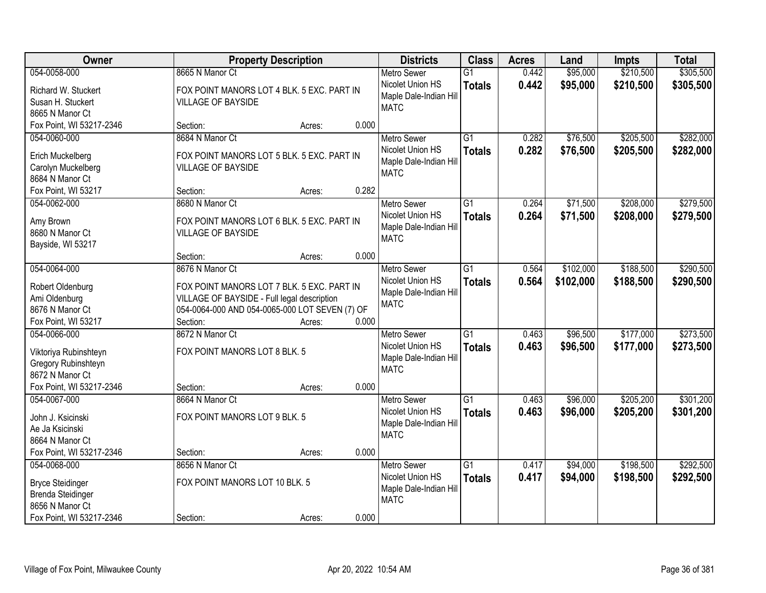| Owner                             |                                                                                           | <b>Property Description</b> |       |                                            | <b>Class</b>    | <b>Acres</b> | Land      | <b>Impts</b> | <b>Total</b> |
|-----------------------------------|-------------------------------------------------------------------------------------------|-----------------------------|-------|--------------------------------------------|-----------------|--------------|-----------|--------------|--------------|
| 054-0058-000                      | 8665 N Manor Ct                                                                           |                             |       | <b>Metro Sewer</b>                         | $\overline{G1}$ | 0.442        | \$95,000  | \$210,500    | \$305,500    |
| Richard W. Stuckert               | FOX POINT MANORS LOT 4 BLK. 5 EXC. PART IN                                                |                             |       | Nicolet Union HS<br>Maple Dale-Indian Hill | <b>Totals</b>   | 0.442        | \$95,000  | \$210,500    | \$305,500    |
| Susan H. Stuckert                 | <b>VILLAGE OF BAYSIDE</b>                                                                 |                             |       | <b>MATC</b>                                |                 |              |           |              |              |
| 8665 N Manor Ct                   |                                                                                           |                             |       |                                            |                 |              |           |              |              |
| Fox Point, WI 53217-2346          | Section:                                                                                  | Acres:                      | 0.000 |                                            |                 |              |           |              |              |
| 054-0060-000                      | 8684 N Manor Ct                                                                           |                             |       | <b>Metro Sewer</b>                         | $\overline{G1}$ | 0.282        | \$76,500  | \$205,500    | \$282,000    |
| Erich Muckelberg                  | FOX POINT MANORS LOT 5 BLK. 5 EXC. PART IN                                                |                             |       | Nicolet Union HS                           | <b>Totals</b>   | 0.282        | \$76,500  | \$205,500    | \$282,000    |
| Carolyn Muckelberg                | <b>VILLAGE OF BAYSIDE</b>                                                                 |                             |       | Maple Dale-Indian Hill                     |                 |              |           |              |              |
| 8684 N Manor Ct                   |                                                                                           |                             |       | <b>MATC</b>                                |                 |              |           |              |              |
| Fox Point, WI 53217               | Section:                                                                                  | Acres:                      | 0.282 |                                            |                 |              |           |              |              |
| 054-0062-000                      | 8680 N Manor Ct                                                                           |                             |       | <b>Metro Sewer</b>                         | G1              | 0.264        | \$71,500  | \$208,000    | \$279,500    |
| Amy Brown                         | FOX POINT MANORS LOT 6 BLK. 5 EXC. PART IN                                                |                             |       | Nicolet Union HS                           | <b>Totals</b>   | 0.264        | \$71,500  | \$208,000    | \$279,500    |
| 8680 N Manor Ct                   | <b>VILLAGE OF BAYSIDE</b>                                                                 |                             |       | Maple Dale-Indian Hill                     |                 |              |           |              |              |
| Bayside, WI 53217                 |                                                                                           |                             |       | <b>MATC</b>                                |                 |              |           |              |              |
|                                   | Section:                                                                                  | Acres:                      | 0.000 |                                            |                 |              |           |              |              |
| 054-0064-000                      | 8676 N Manor Ct                                                                           |                             |       | <b>Metro Sewer</b>                         | G1              | 0.564        | \$102,000 | \$188,500    | \$290,500    |
|                                   |                                                                                           |                             |       | Nicolet Union HS                           | <b>Totals</b>   | 0.564        | \$102,000 | \$188,500    | \$290,500    |
| Robert Oldenburg<br>Ami Oldenburg | FOX POINT MANORS LOT 7 BLK. 5 EXC. PART IN<br>VILLAGE OF BAYSIDE - Full legal description |                             |       | Maple Dale-Indian Hill                     |                 |              |           |              |              |
| 8676 N Manor Ct                   | 054-0064-000 AND 054-0065-000 LOT SEVEN (7) OF                                            |                             |       | <b>MATC</b>                                |                 |              |           |              |              |
| Fox Point, WI 53217               | Section:                                                                                  | Acres:                      | 0.000 |                                            |                 |              |           |              |              |
| 054-0066-000                      | 8672 N Manor Ct                                                                           |                             |       | <b>Metro Sewer</b>                         | $\overline{G1}$ | 0.463        | \$96,500  | \$177,000    | \$273,500    |
|                                   |                                                                                           |                             |       | Nicolet Union HS                           | <b>Totals</b>   | 0.463        | \$96,500  | \$177,000    | \$273,500    |
| Viktoriya Rubinshteyn             | FOX POINT MANORS LOT 8 BLK. 5                                                             |                             |       | Maple Dale-Indian Hill                     |                 |              |           |              |              |
| Gregory Rubinshteyn               |                                                                                           |                             |       | <b>MATC</b>                                |                 |              |           |              |              |
| 8672 N Manor Ct                   |                                                                                           |                             |       |                                            |                 |              |           |              |              |
| Fox Point, WI 53217-2346          | Section:                                                                                  | Acres:                      | 0.000 |                                            | $\overline{G1}$ |              |           |              |              |
| 054-0067-000                      | 8664 N Manor Ct                                                                           |                             |       | Metro Sewer<br>Nicolet Union HS            |                 | 0.463        | \$96,000  | \$205,200    | \$301,200    |
| John J. Ksicinski                 | FOX POINT MANORS LOT 9 BLK. 5                                                             |                             |       | Maple Dale-Indian Hill                     | <b>Totals</b>   | 0.463        | \$96,000  | \$205,200    | \$301,200    |
| Ae Ja Ksicinski                   |                                                                                           |                             |       | <b>MATC</b>                                |                 |              |           |              |              |
| 8664 N Manor Ct                   |                                                                                           |                             |       |                                            |                 |              |           |              |              |
| Fox Point, WI 53217-2346          | Section:                                                                                  | Acres:                      | 0.000 |                                            |                 |              |           |              |              |
| 054-0068-000                      | 8656 N Manor Ct                                                                           |                             |       | <b>Metro Sewer</b>                         | $\overline{G1}$ | 0.417        | \$94,000  | \$198,500    | \$292,500    |
| <b>Bryce Steidinger</b>           | FOX POINT MANORS LOT 10 BLK. 5                                                            |                             |       | Nicolet Union HS                           | <b>Totals</b>   | 0.417        | \$94,000  | \$198,500    | \$292,500    |
| <b>Brenda Steidinger</b>          |                                                                                           |                             |       | Maple Dale-Indian Hill                     |                 |              |           |              |              |
| 8656 N Manor Ct                   |                                                                                           |                             |       | <b>MATC</b>                                |                 |              |           |              |              |
| Fox Point, WI 53217-2346          | Section:                                                                                  | Acres:                      | 0.000 |                                            |                 |              |           |              |              |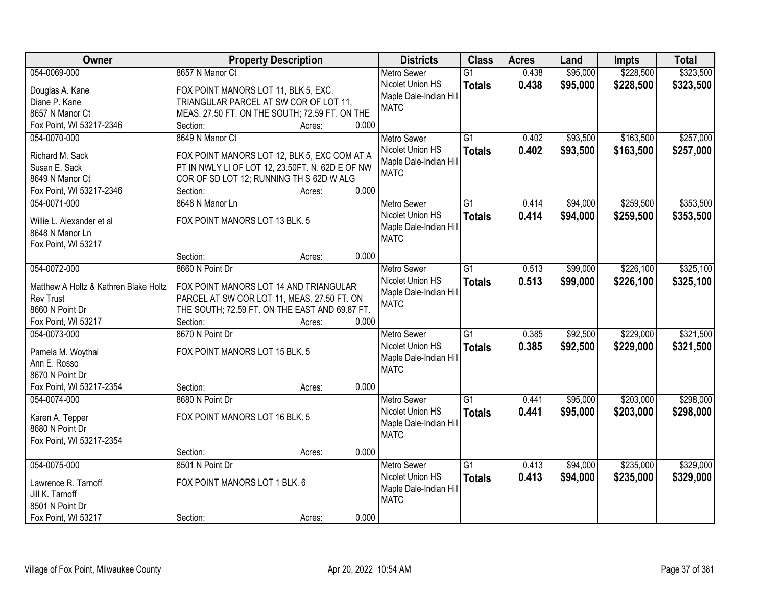| Owner                                 | <b>Property Description</b>                      |       | <b>Districts</b>       | <b>Class</b>    | <b>Acres</b> | Land     | <b>Impts</b> | <b>Total</b> |
|---------------------------------------|--------------------------------------------------|-------|------------------------|-----------------|--------------|----------|--------------|--------------|
| 054-0069-000                          | 8657 N Manor Ct                                  |       | <b>Metro Sewer</b>     | $\overline{G1}$ | 0.438        | \$95,000 | \$228,500    | \$323,500    |
| Douglas A. Kane                       | FOX POINT MANORS LOT 11, BLK 5, EXC.             |       | Nicolet Union HS       | <b>Totals</b>   | 0.438        | \$95,000 | \$228,500    | \$323,500    |
| Diane P. Kane                         | TRIANGULAR PARCEL AT SW COR OF LOT 11,           |       | Maple Dale-Indian Hill |                 |              |          |              |              |
| 8657 N Manor Ct                       | MEAS. 27.50 FT. ON THE SOUTH; 72.59 FT. ON THE   |       | <b>MATC</b>            |                 |              |          |              |              |
| Fox Point, WI 53217-2346              | Section:<br>Acres:                               | 0.000 |                        |                 |              |          |              |              |
| 054-0070-000                          | 8649 N Manor Ct                                  |       | <b>Metro Sewer</b>     | $\overline{G1}$ | 0.402        | \$93,500 | \$163,500    | \$257,000    |
|                                       |                                                  |       | Nicolet Union HS       |                 | 0.402        |          |              |              |
| Richard M. Sack                       | FOX POINT MANORS LOT 12, BLK 5, EXC COM AT A     |       | Maple Dale-Indian Hill | <b>Totals</b>   |              | \$93,500 | \$163,500    | \$257,000    |
| Susan E. Sack                         | PT IN NWLY LI OF LOT 12, 23.50FT. N. 62D E OF NW |       | <b>MATC</b>            |                 |              |          |              |              |
| 8649 N Manor Ct                       | COR OF SD LOT 12; RUNNING TH S 62D W ALG         |       |                        |                 |              |          |              |              |
| Fox Point, WI 53217-2346              | Section:<br>Acres:                               | 0.000 |                        |                 |              |          |              |              |
| 054-0071-000                          | 8648 N Manor Ln                                  |       | <b>Metro Sewer</b>     | G1              | 0.414        | \$94,000 | \$259,500    | \$353,500    |
|                                       | FOX POINT MANORS LOT 13 BLK. 5                   |       | Nicolet Union HS       | <b>Totals</b>   | 0.414        | \$94,000 | \$259,500    | \$353,500    |
| Willie L. Alexander et al             |                                                  |       | Maple Dale-Indian Hill |                 |              |          |              |              |
| 8648 N Manor Ln                       |                                                  |       | <b>MATC</b>            |                 |              |          |              |              |
| Fox Point, WI 53217                   |                                                  | 0.000 |                        |                 |              |          |              |              |
|                                       | Section:<br>Acres:                               |       |                        |                 |              |          |              |              |
| 054-0072-000                          | 8660 N Point Dr                                  |       | <b>Metro Sewer</b>     | G1              | 0.513        | \$99,000 | \$226,100    | \$325,100    |
| Matthew A Holtz & Kathren Blake Holtz | FOX POINT MANORS LOT 14 AND TRIANGULAR           |       | Nicolet Union HS       | <b>Totals</b>   | 0.513        | \$99,000 | \$226,100    | \$325,100    |
| <b>Rev Trust</b>                      | PARCEL AT SW COR LOT 11, MEAS. 27.50 FT. ON      |       | Maple Dale-Indian Hill |                 |              |          |              |              |
| 8660 N Point Dr                       | THE SOUTH; 72.59 FT. ON THE EAST AND 69.87 FT.   |       | <b>MATC</b>            |                 |              |          |              |              |
| Fox Point, WI 53217                   | Section:<br>Acres:                               | 0.000 |                        |                 |              |          |              |              |
| 054-0073-000                          | 8670 N Point Dr                                  |       | <b>Metro Sewer</b>     | $\overline{G1}$ | 0.385        | \$92,500 | \$229,000    | \$321,500    |
|                                       |                                                  |       | Nicolet Union HS       | <b>Totals</b>   | 0.385        | \$92,500 | \$229,000    | \$321,500    |
| Pamela M. Woythal                     | FOX POINT MANORS LOT 15 BLK. 5                   |       | Maple Dale-Indian Hill |                 |              |          |              |              |
| Ann E. Rosso                          |                                                  |       | <b>MATC</b>            |                 |              |          |              |              |
| 8670 N Point Dr                       |                                                  |       |                        |                 |              |          |              |              |
| Fox Point, WI 53217-2354              | Section:<br>Acres:                               | 0.000 |                        |                 |              |          |              |              |
| 054-0074-000                          | 8680 N Point Dr                                  |       | Metro Sewer            | $\overline{G1}$ | 0.441        | \$95,000 | \$203,000    | \$298,000    |
| Karen A. Tepper                       | FOX POINT MANORS LOT 16 BLK. 5                   |       | Nicolet Union HS       | <b>Totals</b>   | 0.441        | \$95,000 | \$203,000    | \$298,000    |
| 8680 N Point Dr                       |                                                  |       | Maple Dale-Indian Hill |                 |              |          |              |              |
| Fox Point, WI 53217-2354              |                                                  |       | <b>MATC</b>            |                 |              |          |              |              |
|                                       | Section:<br>Acres:                               | 0.000 |                        |                 |              |          |              |              |
| 054-0075-000                          | 8501 N Point Dr                                  |       | <b>Metro Sewer</b>     | $\overline{G1}$ | 0.413        | \$94,000 | \$235,000    | \$329,000    |
|                                       |                                                  |       | Nicolet Union HS       | <b>Totals</b>   | 0.413        | \$94,000 | \$235,000    | \$329,000    |
| Lawrence R. Tarnoff                   | FOX POINT MANORS LOT 1 BLK. 6                    |       | Maple Dale-Indian Hill |                 |              |          |              |              |
| Jill K. Tarnoff                       |                                                  |       | <b>MATC</b>            |                 |              |          |              |              |
| 8501 N Point Dr                       |                                                  |       |                        |                 |              |          |              |              |
| Fox Point, WI 53217                   | Section:<br>Acres:                               | 0.000 |                        |                 |              |          |              |              |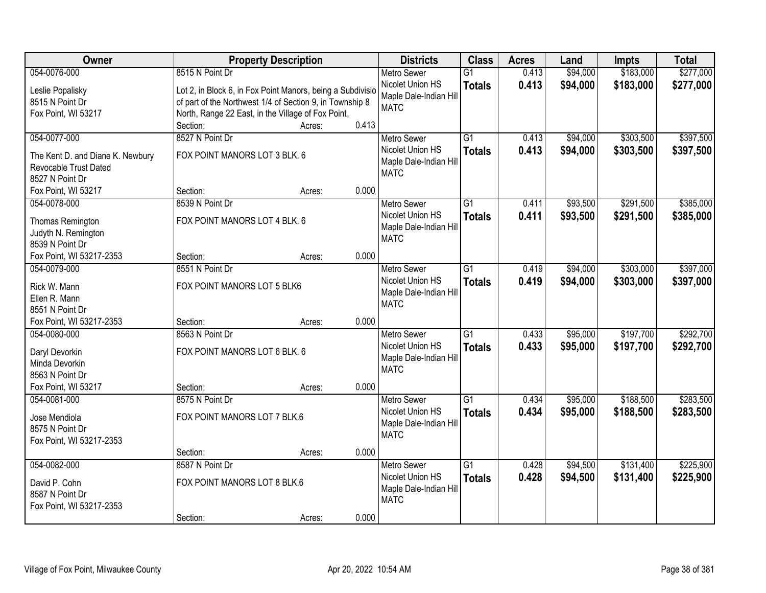| Owner                                    | <b>Property Description</b>                                |                 | <b>Districts</b>                       | <b>Class</b>    | <b>Acres</b> | Land     | <b>Impts</b> | <b>Total</b> |
|------------------------------------------|------------------------------------------------------------|-----------------|----------------------------------------|-----------------|--------------|----------|--------------|--------------|
| 054-0076-000                             | 8515 N Point Dr                                            |                 | <b>Metro Sewer</b>                     | $\overline{G1}$ | 0.413        | \$94,000 | \$183,000    | \$277,000    |
| Leslie Popalisky                         | Lot 2, in Block 6, in Fox Point Manors, being a Subdivisio |                 | Nicolet Union HS                       | <b>Totals</b>   | 0.413        | \$94,000 | \$183,000    | \$277,000    |
| 8515 N Point Dr                          | of part of the Northwest 1/4 of Section 9, in Township 8   |                 | Maple Dale-Indian Hill                 |                 |              |          |              |              |
| Fox Point, WI 53217                      | North, Range 22 East, in the Village of Fox Point,         |                 | <b>MATC</b>                            |                 |              |          |              |              |
|                                          | Section:                                                   | 0.413<br>Acres: |                                        |                 |              |          |              |              |
| 054-0077-000                             | 8527 N Point Dr                                            |                 | <b>Metro Sewer</b>                     | $\overline{G1}$ | 0.413        | \$94,000 | \$303,500    | \$397,500    |
|                                          | FOX POINT MANORS LOT 3 BLK. 6                              |                 | Nicolet Union HS                       | <b>Totals</b>   | 0.413        | \$94,000 | \$303,500    | \$397,500    |
| The Kent D. and Diane K. Newbury         |                                                            |                 | Maple Dale-Indian Hill                 |                 |              |          |              |              |
| Revocable Trust Dated<br>8527 N Point Dr |                                                            |                 | <b>MATC</b>                            |                 |              |          |              |              |
|                                          | Section:                                                   | 0.000           |                                        |                 |              |          |              |              |
| Fox Point, WI 53217<br>054-0078-000      | 8539 N Point Dr                                            | Acres:          |                                        | G1              |              |          | \$291,500    | \$385,000    |
|                                          |                                                            |                 | <b>Metro Sewer</b><br>Nicolet Union HS |                 | 0.411        | \$93,500 |              |              |
| Thomas Remington                         | FOX POINT MANORS LOT 4 BLK. 6                              |                 |                                        | <b>Totals</b>   | 0.411        | \$93,500 | \$291,500    | \$385,000    |
| Judyth N. Remington                      |                                                            |                 | Maple Dale-Indian Hill<br><b>MATC</b>  |                 |              |          |              |              |
| 8539 N Point Dr                          |                                                            |                 |                                        |                 |              |          |              |              |
| Fox Point, WI 53217-2353                 | Section:                                                   | 0.000<br>Acres: |                                        |                 |              |          |              |              |
| 054-0079-000                             | 8551 N Point Dr                                            |                 | <b>Metro Sewer</b>                     | G1              | 0.419        | \$94,000 | \$303,000    | \$397,000    |
| Rick W. Mann                             | FOX POINT MANORS LOT 5 BLK6                                |                 | Nicolet Union HS                       | <b>Totals</b>   | 0.419        | \$94,000 | \$303,000    | \$397,000    |
| Ellen R. Mann                            |                                                            |                 | Maple Dale-Indian Hill                 |                 |              |          |              |              |
| 8551 N Point Dr                          |                                                            |                 | <b>MATC</b>                            |                 |              |          |              |              |
| Fox Point, WI 53217-2353                 | Section:                                                   | 0.000<br>Acres: |                                        |                 |              |          |              |              |
| 054-0080-000                             | 8563 N Point Dr                                            |                 | <b>Metro Sewer</b>                     | $\overline{G1}$ | 0.433        | \$95,000 | \$197,700    | \$292,700    |
|                                          |                                                            |                 | Nicolet Union HS                       | <b>Totals</b>   | 0.433        | \$95,000 | \$197,700    | \$292,700    |
| Daryl Devorkin                           | FOX POINT MANORS LOT 6 BLK. 6                              |                 | Maple Dale-Indian Hill                 |                 |              |          |              |              |
| Minda Devorkin                           |                                                            |                 | <b>MATC</b>                            |                 |              |          |              |              |
| 8563 N Point Dr                          |                                                            |                 |                                        |                 |              |          |              |              |
| Fox Point, WI 53217                      | Section:                                                   | 0.000<br>Acres: |                                        |                 |              |          |              |              |
| 054-0081-000                             | 8575 N Point Dr                                            |                 | Metro Sewer                            | $\overline{G1}$ | 0.434        | \$95,000 | \$188,500    | \$283,500    |
| Jose Mendiola                            | FOX POINT MANORS LOT 7 BLK.6                               |                 | Nicolet Union HS                       | <b>Totals</b>   | 0.434        | \$95,000 | \$188,500    | \$283,500    |
| 8575 N Point Dr                          |                                                            |                 | Maple Dale-Indian Hill                 |                 |              |          |              |              |
| Fox Point, WI 53217-2353                 |                                                            |                 | <b>MATC</b>                            |                 |              |          |              |              |
|                                          | Section:                                                   | 0.000<br>Acres: |                                        |                 |              |          |              |              |
| 054-0082-000                             | 8587 N Point Dr                                            |                 | <b>Metro Sewer</b>                     | $\overline{G1}$ | 0.428        | \$94,500 | \$131,400    | \$225,900    |
|                                          |                                                            |                 | Nicolet Union HS                       | <b>Totals</b>   | 0.428        | \$94,500 | \$131,400    | \$225,900    |
| David P. Cohn                            | FOX POINT MANORS LOT 8 BLK.6                               |                 | Maple Dale-Indian Hill                 |                 |              |          |              |              |
| 8587 N Point Dr                          |                                                            |                 | <b>MATC</b>                            |                 |              |          |              |              |
| Fox Point, WI 53217-2353                 |                                                            |                 |                                        |                 |              |          |              |              |
|                                          | Section:                                                   | 0.000<br>Acres: |                                        |                 |              |          |              |              |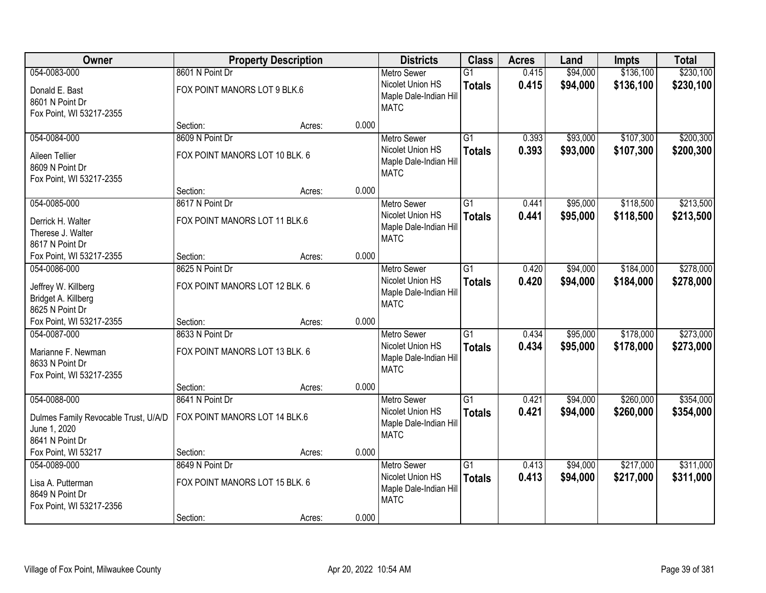| Owner                                                                             |                                                   | <b>Property Description</b> |       | <b>Districts</b>                                                                | <b>Class</b>                     | <b>Acres</b>   | Land                 | <b>Impts</b>           | <b>Total</b>           |
|-----------------------------------------------------------------------------------|---------------------------------------------------|-----------------------------|-------|---------------------------------------------------------------------------------|----------------------------------|----------------|----------------------|------------------------|------------------------|
| 054-0083-000                                                                      | 8601 N Point Dr                                   |                             |       | <b>Metro Sewer</b>                                                              | $\overline{G1}$                  | 0.415          | \$94,000             | \$136,100              | \$230,100              |
| Donald E. Bast<br>8601 N Point Dr<br>Fox Point, WI 53217-2355                     | FOX POINT MANORS LOT 9 BLK.6                      |                             |       | Nicolet Union HS<br>Maple Dale-Indian Hill<br><b>MATC</b>                       | <b>Totals</b>                    | 0.415          | \$94,000             | \$136,100              | \$230,100              |
|                                                                                   | Section:                                          | Acres:                      | 0.000 |                                                                                 |                                  |                |                      |                        |                        |
| 054-0084-000                                                                      | 8609 N Point Dr                                   |                             |       | <b>Metro Sewer</b>                                                              | $\overline{G1}$                  | 0.393          | \$93,000             | \$107,300              | \$200,300              |
| Aileen Tellier<br>8609 N Point Dr<br>Fox Point, WI 53217-2355                     | FOX POINT MANORS LOT 10 BLK. 6                    |                             |       | Nicolet Union HS<br>Maple Dale-Indian Hill<br><b>MATC</b>                       | <b>Totals</b>                    | 0.393          | \$93,000             | \$107,300              | \$200,300              |
|                                                                                   | Section:                                          | Acres:                      | 0.000 |                                                                                 |                                  |                |                      |                        |                        |
| 054-0085-000                                                                      | 8617 N Point Dr                                   |                             |       | <b>Metro Sewer</b>                                                              | $\overline{G1}$                  | 0.441          | \$95,000             | \$118,500              | \$213,500              |
| Derrick H. Walter<br>Therese J. Walter<br>8617 N Point Dr                         | FOX POINT MANORS LOT 11 BLK.6                     |                             |       | Nicolet Union HS<br>Maple Dale-Indian Hill<br><b>MATC</b>                       | <b>Totals</b>                    | 0.441          | \$95,000             | \$118,500              | \$213,500              |
| Fox Point, WI 53217-2355                                                          | Section:                                          | Acres:                      | 0.000 |                                                                                 |                                  |                |                      |                        |                        |
| 054-0086-000                                                                      | 8625 N Point Dr                                   |                             |       | <b>Metro Sewer</b>                                                              | $\overline{G1}$                  | 0.420          | \$94,000             | \$184,000              | \$278,000              |
| Jeffrey W. Killberg<br>Bridget A. Killberg<br>8625 N Point Dr                     | FOX POINT MANORS LOT 12 BLK. 6                    |                             |       | Nicolet Union HS<br>Maple Dale-Indian Hill<br><b>MATC</b>                       | <b>Totals</b>                    | 0.420          | \$94,000             | \$184,000              | \$278,000              |
| Fox Point, WI 53217-2355                                                          | Section:                                          | Acres:                      | 0.000 |                                                                                 |                                  |                |                      |                        |                        |
| 054-0087-000<br>Marianne F. Newman<br>8633 N Point Dr<br>Fox Point, WI 53217-2355 | 8633 N Point Dr<br>FOX POINT MANORS LOT 13 BLK. 6 |                             |       | <b>Metro Sewer</b><br>Nicolet Union HS<br>Maple Dale-Indian Hill<br><b>MATC</b> | $\overline{G1}$<br><b>Totals</b> | 0.434<br>0.434 | \$95,000<br>\$95,000 | \$178,000<br>\$178,000 | \$273,000<br>\$273,000 |
|                                                                                   | Section:                                          | Acres:                      | 0.000 |                                                                                 |                                  |                |                      |                        |                        |
| 054-0088-000                                                                      | 8641 N Point Dr                                   |                             |       | <b>Metro Sewer</b>                                                              | $\overline{G1}$                  | 0.421          | \$94,000             | \$260,000              | \$354,000              |
| Dulmes Family Revocable Trust, U/A/D<br>June 1, 2020<br>8641 N Point Dr           | FOX POINT MANORS LOT 14 BLK.6                     |                             |       | Nicolet Union HS<br>Maple Dale-Indian Hill<br><b>MATC</b>                       | <b>Totals</b>                    | 0.421          | \$94,000             | \$260,000              | \$354,000              |
| Fox Point, WI 53217                                                               | Section:                                          | Acres:                      | 0.000 |                                                                                 |                                  |                |                      |                        |                        |
| 054-0089-000<br>Lisa A. Putterman<br>8649 N Point Dr<br>Fox Point, WI 53217-2356  | 8649 N Point Dr<br>FOX POINT MANORS LOT 15 BLK. 6 |                             |       | <b>Metro Sewer</b><br>Nicolet Union HS<br>Maple Dale-Indian Hill<br><b>MATC</b> | $\overline{G1}$<br><b>Totals</b> | 0.413<br>0.413 | \$94,000<br>\$94,000 | \$217,000<br>\$217,000 | \$311,000<br>\$311,000 |
|                                                                                   | Section:                                          | Acres:                      | 0.000 |                                                                                 |                                  |                |                      |                        |                        |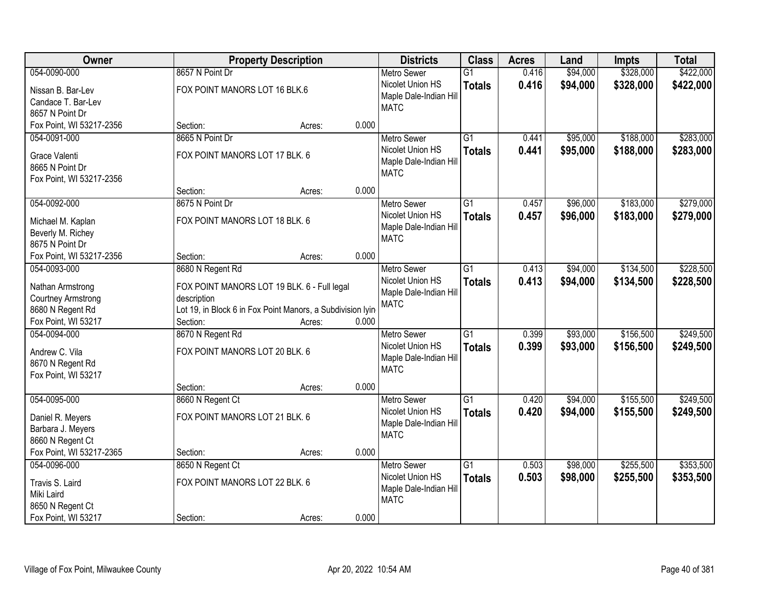| Owner                                       |                                                            | <b>Property Description</b> |       | <b>Districts</b>                      | <b>Class</b>    | <b>Acres</b> | Land     | <b>Impts</b> | <b>Total</b> |
|---------------------------------------------|------------------------------------------------------------|-----------------------------|-------|---------------------------------------|-----------------|--------------|----------|--------------|--------------|
| 054-0090-000                                | 8657 N Point Dr                                            |                             |       | <b>Metro Sewer</b>                    | $\overline{G1}$ | 0.416        | \$94,000 | \$328,000    | \$422,000    |
| Nissan B. Bar-Lev                           | FOX POINT MANORS LOT 16 BLK.6                              |                             |       | Nicolet Union HS                      | <b>Totals</b>   | 0.416        | \$94,000 | \$328,000    | \$422,000    |
| Candace T. Bar-Lev                          |                                                            |                             |       | Maple Dale-Indian Hill                |                 |              |          |              |              |
| 8657 N Point Dr                             |                                                            |                             |       | <b>MATC</b>                           |                 |              |          |              |              |
| Fox Point, WI 53217-2356                    | Section:                                                   | Acres:                      | 0.000 |                                       |                 |              |          |              |              |
| 054-0091-000                                | 8665 N Point Dr                                            |                             |       | <b>Metro Sewer</b>                    | $\overline{G1}$ | 0.441        | \$95,000 | \$188,000    | \$283,000    |
|                                             | FOX POINT MANORS LOT 17 BLK. 6                             |                             |       | Nicolet Union HS                      | <b>Totals</b>   | 0.441        | \$95,000 | \$188,000    | \$283,000    |
| Grace Valenti                               |                                                            |                             |       | Maple Dale-Indian Hill                |                 |              |          |              |              |
| 8665 N Point Dr<br>Fox Point, WI 53217-2356 |                                                            |                             |       | <b>MATC</b>                           |                 |              |          |              |              |
|                                             | Section:                                                   | Acres:                      | 0.000 |                                       |                 |              |          |              |              |
| 054-0092-000                                | 8675 N Point Dr                                            |                             |       | <b>Metro Sewer</b>                    | $\overline{G1}$ | 0.457        | \$96,000 | \$183,000    | \$279,000    |
|                                             |                                                            |                             |       | Nicolet Union HS                      | <b>Totals</b>   | 0.457        | \$96,000 | \$183,000    | \$279,000    |
| Michael M. Kaplan                           | FOX POINT MANORS LOT 18 BLK. 6                             |                             |       | Maple Dale-Indian Hill                |                 |              |          |              |              |
| Beverly M. Richey                           |                                                            |                             |       | <b>MATC</b>                           |                 |              |          |              |              |
| 8675 N Point Dr                             |                                                            |                             |       |                                       |                 |              |          |              |              |
| Fox Point, WI 53217-2356                    | Section:                                                   | Acres:                      | 0.000 |                                       |                 |              |          |              |              |
| 054-0093-000                                | 8680 N Regent Rd                                           |                             |       | <b>Metro Sewer</b>                    | $\overline{G1}$ | 0.413        | \$94,000 | \$134,500    | \$228,500    |
| Nathan Armstrong                            | FOX POINT MANORS LOT 19 BLK. 6 - Full legal                |                             |       | Nicolet Union HS                      | <b>Totals</b>   | 0.413        | \$94,000 | \$134,500    | \$228,500    |
| <b>Courtney Armstrong</b>                   | description                                                |                             |       | Maple Dale-Indian Hill<br><b>MATC</b> |                 |              |          |              |              |
| 8680 N Regent Rd                            | Lot 19, in Block 6 in Fox Point Manors, a Subdivision lyin |                             |       |                                       |                 |              |          |              |              |
| Fox Point, WI 53217                         | Section:                                                   | Acres:                      | 0.000 |                                       |                 |              |          |              |              |
| 054-0094-000                                | 8670 N Regent Rd                                           |                             |       | <b>Metro Sewer</b>                    | $\overline{G1}$ | 0.399        | \$93,000 | \$156,500    | \$249,500    |
| Andrew C. Vila                              | FOX POINT MANORS LOT 20 BLK. 6                             |                             |       | Nicolet Union HS                      | <b>Totals</b>   | 0.399        | \$93,000 | \$156,500    | \$249,500    |
| 8670 N Regent Rd                            |                                                            |                             |       | Maple Dale-Indian Hill                |                 |              |          |              |              |
| Fox Point, WI 53217                         |                                                            |                             |       | <b>MATC</b>                           |                 |              |          |              |              |
|                                             | Section:                                                   | Acres:                      | 0.000 |                                       |                 |              |          |              |              |
| 054-0095-000                                | 8660 N Regent Ct                                           |                             |       | Metro Sewer                           | $\overline{G1}$ | 0.420        | \$94,000 | \$155,500    | \$249,500    |
|                                             | FOX POINT MANORS LOT 21 BLK. 6                             |                             |       | Nicolet Union HS                      | <b>Totals</b>   | 0.420        | \$94,000 | \$155,500    | \$249,500    |
| Daniel R. Meyers<br>Barbara J. Meyers       |                                                            |                             |       | Maple Dale-Indian Hill                |                 |              |          |              |              |
| 8660 N Regent Ct                            |                                                            |                             |       | <b>MATC</b>                           |                 |              |          |              |              |
| Fox Point, WI 53217-2365                    | Section:                                                   | Acres:                      | 0.000 |                                       |                 |              |          |              |              |
| 054-0096-000                                | 8650 N Regent Ct                                           |                             |       | <b>Metro Sewer</b>                    | $\overline{G1}$ | 0.503        | \$98,000 | \$255,500    | \$353,500    |
|                                             |                                                            |                             |       | Nicolet Union HS                      | <b>Totals</b>   | 0.503        | \$98,000 | \$255,500    | \$353,500    |
| Travis S. Laird                             | FOX POINT MANORS LOT 22 BLK. 6                             |                             |       | Maple Dale-Indian Hill                |                 |              |          |              |              |
| Miki Laird                                  |                                                            |                             |       | <b>MATC</b>                           |                 |              |          |              |              |
| 8650 N Regent Ct                            |                                                            |                             |       |                                       |                 |              |          |              |              |
| Fox Point, WI 53217                         | Section:                                                   | Acres:                      | 0.000 |                                       |                 |              |          |              |              |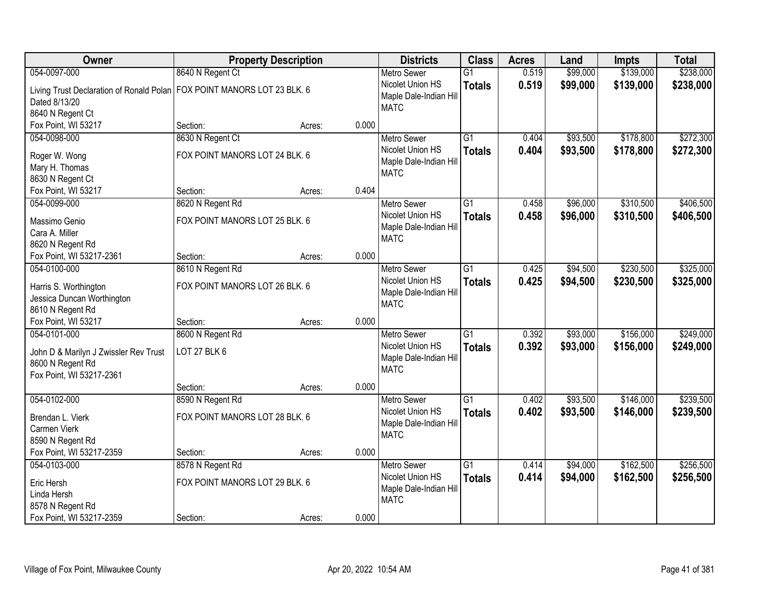| Owner                                                                     |                                | <b>Property Description</b> |       | <b>Districts</b>                      | <b>Class</b>    | <b>Acres</b> | Land     | <b>Impts</b> | <b>Total</b> |
|---------------------------------------------------------------------------|--------------------------------|-----------------------------|-------|---------------------------------------|-----------------|--------------|----------|--------------|--------------|
| 054-0097-000                                                              | 8640 N Regent Ct               |                             |       | <b>Metro Sewer</b>                    | $\overline{G1}$ | 0.519        | \$99,000 | \$139,000    | \$238,000    |
| Living Trust Declaration of Ronald Polan   FOX POINT MANORS LOT 23 BLK. 6 |                                |                             |       | Nicolet Union HS                      | <b>Totals</b>   | 0.519        | \$99,000 | \$139,000    | \$238,000    |
| Dated 8/13/20                                                             |                                |                             |       | Maple Dale-Indian Hill                |                 |              |          |              |              |
| 8640 N Regent Ct                                                          |                                |                             |       | <b>MATC</b>                           |                 |              |          |              |              |
| Fox Point, WI 53217                                                       | Section:                       | Acres:                      | 0.000 |                                       |                 |              |          |              |              |
| 054-0098-000                                                              | 8630 N Regent Ct               |                             |       | <b>Metro Sewer</b>                    | $\overline{G1}$ | 0.404        | \$93,500 | \$178,800    | \$272,300    |
|                                                                           |                                |                             |       | Nicolet Union HS                      | <b>Totals</b>   | 0.404        | \$93,500 | \$178,800    | \$272,300    |
| Roger W. Wong                                                             | FOX POINT MANORS LOT 24 BLK. 6 |                             |       | Maple Dale-Indian Hill                |                 |              |          |              |              |
| Mary H. Thomas                                                            |                                |                             |       | <b>MATC</b>                           |                 |              |          |              |              |
| 8630 N Regent Ct                                                          |                                |                             | 0.404 |                                       |                 |              |          |              |              |
| Fox Point, WI 53217                                                       | Section:                       | Acres:                      |       |                                       |                 |              |          |              |              |
| 054-0099-000                                                              | 8620 N Regent Rd               |                             |       | <b>Metro Sewer</b>                    | $\overline{G1}$ | 0.458        | \$96,000 | \$310,500    | \$406,500    |
| Massimo Genio                                                             | FOX POINT MANORS LOT 25 BLK. 6 |                             |       | Nicolet Union HS                      | <b>Totals</b>   | 0.458        | \$96,000 | \$310,500    | \$406,500    |
| Cara A. Miller                                                            |                                |                             |       | Maple Dale-Indian Hill<br><b>MATC</b> |                 |              |          |              |              |
| 8620 N Regent Rd                                                          |                                |                             |       |                                       |                 |              |          |              |              |
| Fox Point, WI 53217-2361                                                  | Section:                       | Acres:                      | 0.000 |                                       |                 |              |          |              |              |
| 054-0100-000                                                              | 8610 N Regent Rd               |                             |       | <b>Metro Sewer</b>                    | $\overline{G1}$ | 0.425        | \$94,500 | \$230,500    | \$325,000    |
| Harris S. Worthington                                                     | FOX POINT MANORS LOT 26 BLK. 6 |                             |       | Nicolet Union HS                      | <b>Totals</b>   | 0.425        | \$94,500 | \$230,500    | \$325,000    |
| Jessica Duncan Worthington                                                |                                |                             |       | Maple Dale-Indian Hill                |                 |              |          |              |              |
| 8610 N Regent Rd                                                          |                                |                             |       | <b>MATC</b>                           |                 |              |          |              |              |
| Fox Point, WI 53217                                                       | Section:                       | Acres:                      | 0.000 |                                       |                 |              |          |              |              |
| 054-0101-000                                                              | 8600 N Regent Rd               |                             |       | <b>Metro Sewer</b>                    | $\overline{G1}$ | 0.392        | \$93,000 | \$156,000    | \$249,000    |
|                                                                           |                                |                             |       | Nicolet Union HS                      | <b>Totals</b>   | 0.392        | \$93,000 | \$156,000    | \$249,000    |
| John D & Marilyn J Zwissler Rev Trust                                     | <b>LOT 27 BLK 6</b>            |                             |       | Maple Dale-Indian Hill                |                 |              |          |              |              |
| 8600 N Regent Rd                                                          |                                |                             |       | <b>MATC</b>                           |                 |              |          |              |              |
| Fox Point, WI 53217-2361                                                  |                                |                             |       |                                       |                 |              |          |              |              |
|                                                                           | Section:                       | Acres:                      | 0.000 |                                       |                 |              |          |              |              |
| 054-0102-000                                                              | 8590 N Regent Rd               |                             |       | Metro Sewer                           | $\overline{G1}$ | 0.402        | \$93,500 | \$146,000    | \$239,500    |
| Brendan L. Vierk                                                          | FOX POINT MANORS LOT 28 BLK. 6 |                             |       | Nicolet Union HS                      | <b>Totals</b>   | 0.402        | \$93,500 | \$146,000    | \$239,500    |
| Carmen Vierk                                                              |                                |                             |       | Maple Dale-Indian Hill                |                 |              |          |              |              |
| 8590 N Regent Rd                                                          |                                |                             |       | <b>MATC</b>                           |                 |              |          |              |              |
| Fox Point, WI 53217-2359                                                  | Section:                       | Acres:                      | 0.000 |                                       |                 |              |          |              |              |
| 054-0103-000                                                              | 8578 N Regent Rd               |                             |       | <b>Metro Sewer</b>                    | $\overline{G1}$ | 0.414        | \$94,000 | \$162,500    | \$256,500    |
|                                                                           | FOX POINT MANORS LOT 29 BLK. 6 |                             |       | Nicolet Union HS                      | <b>Totals</b>   | 0.414        | \$94,000 | \$162,500    | \$256,500    |
| Eric Hersh<br>Linda Hersh                                                 |                                |                             |       | Maple Dale-Indian Hill                |                 |              |          |              |              |
| 8578 N Regent Rd                                                          |                                |                             |       | <b>MATC</b>                           |                 |              |          |              |              |
| Fox Point, WI 53217-2359                                                  | Section:                       |                             | 0.000 |                                       |                 |              |          |              |              |
|                                                                           |                                | Acres:                      |       |                                       |                 |              |          |              |              |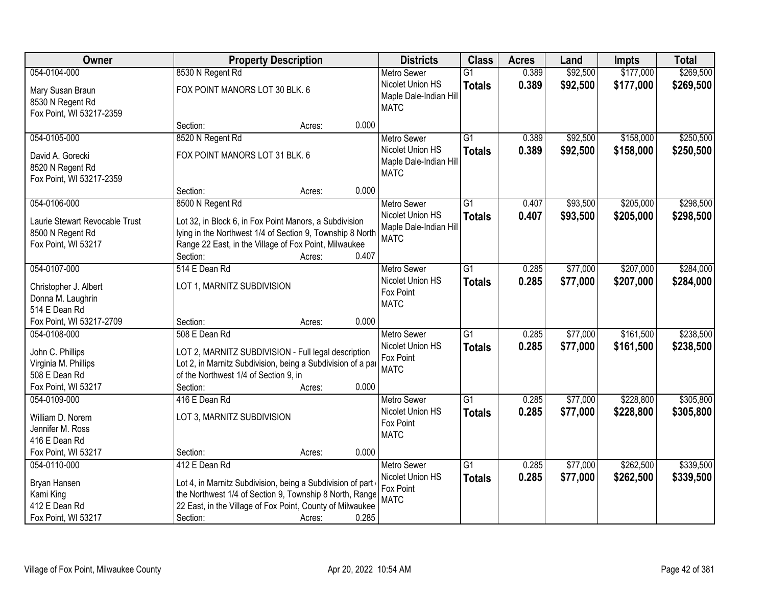| <b>Owner</b>                         |                                                             | <b>Property Description</b> |       | <b>Districts</b>       | <b>Class</b>    | <b>Acres</b> | Land     | <b>Impts</b> | <b>Total</b> |
|--------------------------------------|-------------------------------------------------------------|-----------------------------|-------|------------------------|-----------------|--------------|----------|--------------|--------------|
| 054-0104-000                         | 8530 N Regent Rd                                            |                             |       | <b>Metro Sewer</b>     | $\overline{G1}$ | 0.389        | \$92,500 | \$177,000    | \$269,500    |
| Mary Susan Braun                     | FOX POINT MANORS LOT 30 BLK. 6                              |                             |       | Nicolet Union HS       | <b>Totals</b>   | 0.389        | \$92,500 | \$177,000    | \$269,500    |
| 8530 N Regent Rd                     |                                                             |                             |       | Maple Dale-Indian Hill |                 |              |          |              |              |
| Fox Point, WI 53217-2359             |                                                             |                             |       | <b>MATC</b>            |                 |              |          |              |              |
|                                      | Section:                                                    | Acres:                      | 0.000 |                        |                 |              |          |              |              |
| 054-0105-000                         | 8520 N Regent Rd                                            |                             |       | <b>Metro Sewer</b>     | $\overline{G1}$ | 0.389        | \$92,500 | \$158,000    | \$250,500    |
| David A. Gorecki                     | FOX POINT MANORS LOT 31 BLK. 6                              |                             |       | Nicolet Union HS       | <b>Totals</b>   | 0.389        | \$92,500 | \$158,000    | \$250,500    |
| 8520 N Regent Rd                     |                                                             |                             |       | Maple Dale-Indian Hill |                 |              |          |              |              |
| Fox Point, WI 53217-2359             |                                                             |                             |       | <b>MATC</b>            |                 |              |          |              |              |
|                                      | Section:                                                    | Acres:                      | 0.000 |                        |                 |              |          |              |              |
| 054-0106-000                         | 8500 N Regent Rd                                            |                             |       | <b>Metro Sewer</b>     | $\overline{G1}$ | 0.407        | \$93,500 | \$205,000    | \$298,500    |
| Laurie Stewart Revocable Trust       | Lot 32, in Block 6, in Fox Point Manors, a Subdivision      |                             |       | Nicolet Union HS       | <b>Totals</b>   | 0.407        | \$93,500 | \$205,000    | \$298,500    |
| 8500 N Regent Rd                     | lying in the Northwest 1/4 of Section 9, Township 8 North   |                             |       | Maple Dale-Indian Hill |                 |              |          |              |              |
| Fox Point, WI 53217                  | Range 22 East, in the Village of Fox Point, Milwaukee       |                             |       | <b>MATC</b>            |                 |              |          |              |              |
|                                      | Section:                                                    | Acres:                      | 0.407 |                        |                 |              |          |              |              |
| 054-0107-000                         | 514 E Dean Rd                                               |                             |       | <b>Metro Sewer</b>     | $\overline{G1}$ | 0.285        | \$77,000 | \$207,000    | \$284,000    |
| Christopher J. Albert                | LOT 1, MARNITZ SUBDIVISION                                  |                             |       | Nicolet Union HS       | <b>Totals</b>   | 0.285        | \$77,000 | \$207,000    | \$284,000    |
| Donna M. Laughrin                    |                                                             |                             |       | Fox Point              |                 |              |          |              |              |
| 514 E Dean Rd                        |                                                             |                             |       | <b>MATC</b>            |                 |              |          |              |              |
| Fox Point, WI 53217-2709             | Section:                                                    | Acres:                      | 0.000 |                        |                 |              |          |              |              |
| 054-0108-000                         | 508 E Dean Rd                                               |                             |       | <b>Metro Sewer</b>     | $\overline{G1}$ | 0.285        | \$77,000 | \$161,500    | \$238,500    |
|                                      |                                                             |                             |       | Nicolet Union HS       | <b>Totals</b>   | 0.285        | \$77,000 | \$161,500    | \$238,500    |
| John C. Phillips                     | LOT 2, MARNITZ SUBDIVISION - Full legal description         |                             |       | Fox Point              |                 |              |          |              |              |
| Virginia M. Phillips                 | Lot 2, in Marnitz Subdivision, being a Subdivision of a par |                             |       | <b>MATC</b>            |                 |              |          |              |              |
| 508 E Dean Rd<br>Fox Point, WI 53217 | of the Northwest 1/4 of Section 9, in                       |                             | 0.000 |                        |                 |              |          |              |              |
| 054-0109-000                         | Section:<br>416 E Dean Rd                                   | Acres:                      |       | Metro Sewer            | $\overline{G1}$ | 0.285        | \$77,000 | \$228,800    | \$305,800    |
|                                      |                                                             |                             |       | Nicolet Union HS       |                 | 0.285        | \$77,000 | \$228,800    | \$305,800    |
| William D. Norem                     | LOT 3, MARNITZ SUBDIVISION                                  |                             |       | Fox Point              | <b>Totals</b>   |              |          |              |              |
| Jennifer M. Ross                     |                                                             |                             |       | <b>MATC</b>            |                 |              |          |              |              |
| 416 E Dean Rd                        |                                                             |                             |       |                        |                 |              |          |              |              |
| Fox Point, WI 53217                  | Section:                                                    | Acres:                      | 0.000 |                        |                 |              |          |              |              |
| 054-0110-000                         | 412 E Dean Rd                                               |                             |       | <b>Metro Sewer</b>     | $\overline{G1}$ | 0.285        | \$77,000 | \$262,500    | \$339,500    |
| Bryan Hansen                         | Lot 4, in Marnitz Subdivision, being a Subdivision of part  |                             |       | Nicolet Union HS       | <b>Totals</b>   | 0.285        | \$77,000 | \$262,500    | \$339,500    |
| Kami King                            | the Northwest 1/4 of Section 9, Township 8 North, Range     |                             |       | Fox Point              |                 |              |          |              |              |
| 412 E Dean Rd                        | 22 East, in the Village of Fox Point, County of Milwaukee   |                             |       | <b>MATC</b>            |                 |              |          |              |              |
| Fox Point, WI 53217                  | Section:                                                    | Acres:                      | 0.285 |                        |                 |              |          |              |              |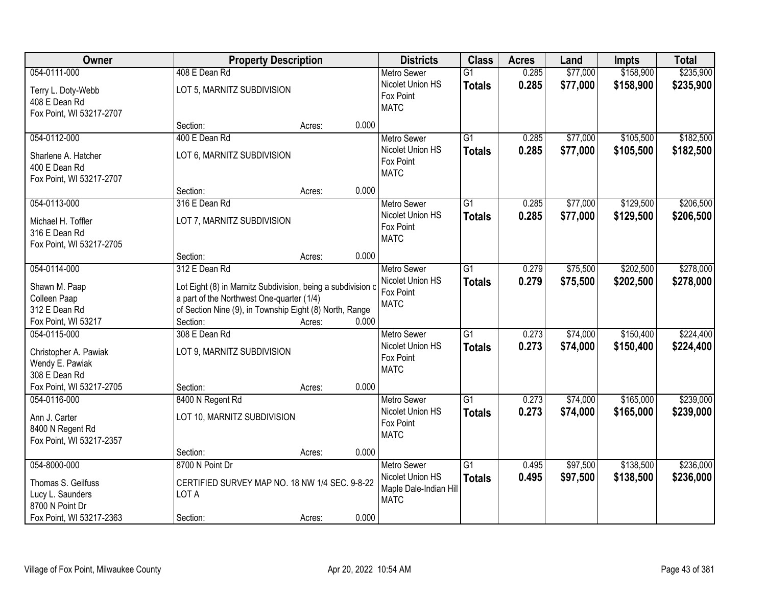| Owner                                                                                                 |                                                                                                                                                                                      | <b>Property Description</b> |       | <b>Districts</b>                                                                | <b>Class</b>                     | <b>Acres</b>   | Land                 | <b>Impts</b>           | <b>Total</b>           |
|-------------------------------------------------------------------------------------------------------|--------------------------------------------------------------------------------------------------------------------------------------------------------------------------------------|-----------------------------|-------|---------------------------------------------------------------------------------|----------------------------------|----------------|----------------------|------------------------|------------------------|
| 054-0111-000                                                                                          | 408 E Dean Rd                                                                                                                                                                        |                             |       | <b>Metro Sewer</b>                                                              | $\overline{G1}$                  | 0.285          | \$77,000             | \$158,900              | \$235,900              |
| Terry L. Doty-Webb<br>408 E Dean Rd<br>Fox Point, WI 53217-2707                                       | LOT 5, MARNITZ SUBDIVISION                                                                                                                                                           |                             |       | Nicolet Union HS<br>Fox Point<br><b>MATC</b>                                    | <b>Totals</b>                    | 0.285          | \$77,000             | \$158,900              | \$235,900              |
|                                                                                                       | Section:                                                                                                                                                                             | Acres:                      | 0.000 |                                                                                 |                                  |                |                      |                        |                        |
| 054-0112-000<br>Sharlene A. Hatcher<br>400 E Dean Rd<br>Fox Point, WI 53217-2707                      | 400 E Dean Rd<br>LOT 6, MARNITZ SUBDIVISION                                                                                                                                          |                             |       | <b>Metro Sewer</b><br>Nicolet Union HS<br>Fox Point<br><b>MATC</b>              | $\overline{G1}$<br><b>Totals</b> | 0.285<br>0.285 | \$77,000<br>\$77,000 | \$105,500<br>\$105,500 | \$182,500<br>\$182,500 |
|                                                                                                       | Section:                                                                                                                                                                             | Acres:                      | 0.000 |                                                                                 |                                  |                |                      |                        |                        |
| 054-0113-000<br>Michael H. Toffler<br>316 E Dean Rd<br>Fox Point, WI 53217-2705                       | 316 E Dean Rd<br>LOT 7, MARNITZ SUBDIVISION                                                                                                                                          |                             |       | <b>Metro Sewer</b><br>Nicolet Union HS<br>Fox Point<br><b>MATC</b>              | $\overline{G1}$<br><b>Totals</b> | 0.285<br>0.285 | \$77,000<br>\$77,000 | \$129,500<br>\$129,500 | \$206,500<br>\$206,500 |
|                                                                                                       | Section:                                                                                                                                                                             | Acres:                      | 0.000 |                                                                                 |                                  |                |                      |                        |                        |
| 054-0114-000<br>Shawn M. Paap<br>Colleen Paap<br>312 E Dean Rd                                        | 312 E Dean Rd<br>Lot Eight (8) in Marnitz Subdivision, being a subdivision c<br>a part of the Northwest One-quarter (1/4)<br>of Section Nine (9), in Township Eight (8) North, Range |                             |       | <b>Metro Sewer</b><br>Nicolet Union HS<br>Fox Point<br><b>MATC</b>              | G1<br><b>Totals</b>              | 0.279<br>0.279 | \$75,500<br>\$75,500 | \$202,500<br>\$202,500 | \$278,000<br>\$278,000 |
| Fox Point, WI 53217                                                                                   | Section:                                                                                                                                                                             | Acres:                      | 0.000 |                                                                                 |                                  |                |                      |                        |                        |
| 054-0115-000<br>Christopher A. Pawiak<br>Wendy E. Pawiak<br>308 E Dean Rd                             | 308 E Dean Rd<br>LOT 9, MARNITZ SUBDIVISION                                                                                                                                          |                             |       | Metro Sewer<br>Nicolet Union HS<br>Fox Point<br><b>MATC</b>                     | $\overline{G1}$<br><b>Totals</b> | 0.273<br>0.273 | \$74,000<br>\$74,000 | \$150,400<br>\$150,400 | \$224,400<br>\$224,400 |
| Fox Point, WI 53217-2705                                                                              | Section:                                                                                                                                                                             | Acres:                      | 0.000 |                                                                                 |                                  |                |                      |                        |                        |
| 054-0116-000<br>Ann J. Carter<br>8400 N Regent Rd<br>Fox Point, WI 53217-2357                         | 8400 N Regent Rd<br>LOT 10, MARNITZ SUBDIVISION                                                                                                                                      |                             |       | <b>Metro Sewer</b><br>Nicolet Union HS<br>Fox Point<br><b>MATC</b>              | $\overline{G1}$<br><b>Totals</b> | 0.273<br>0.273 | \$74,000<br>\$74,000 | \$165,000<br>\$165,000 | \$239,000<br>\$239,000 |
|                                                                                                       | Section:                                                                                                                                                                             | Acres:                      | 0.000 |                                                                                 |                                  |                |                      |                        |                        |
| 054-8000-000<br>Thomas S. Geilfuss<br>Lucy L. Saunders<br>8700 N Point Dr<br>Fox Point, WI 53217-2363 | 8700 N Point Dr<br>CERTIFIED SURVEY MAP NO. 18 NW 1/4 SEC. 9-8-22<br>LOT A<br>Section:                                                                                               | Acres:                      | 0.000 | <b>Metro Sewer</b><br>Nicolet Union HS<br>Maple Dale-Indian Hill<br><b>MATC</b> | $\overline{G1}$<br><b>Totals</b> | 0.495<br>0.495 | \$97,500<br>\$97,500 | \$138,500<br>\$138,500 | \$236,000<br>\$236,000 |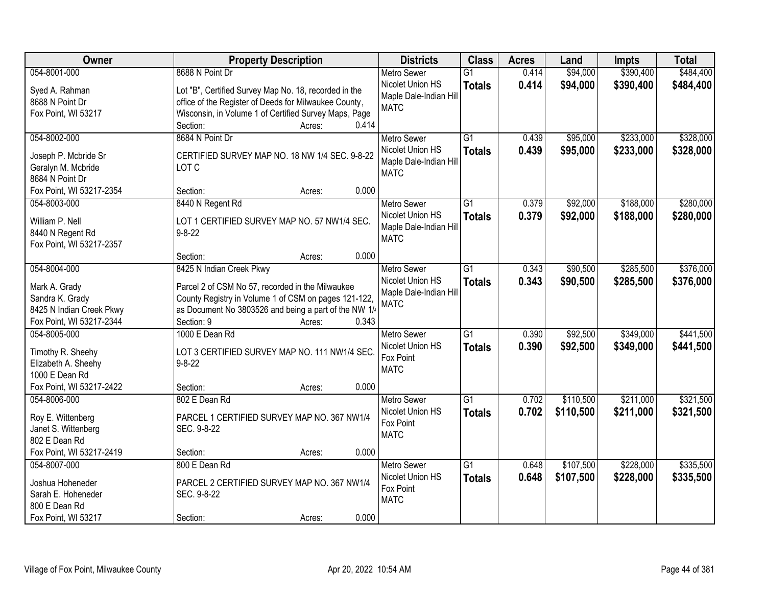| Owner                    | <b>Property Description</b>                           |       | <b>Districts</b>       | <b>Class</b>    | <b>Acres</b> | Land      | <b>Impts</b> | <b>Total</b> |
|--------------------------|-------------------------------------------------------|-------|------------------------|-----------------|--------------|-----------|--------------|--------------|
| 054-8001-000             | 8688 N Point Dr                                       |       | <b>Metro Sewer</b>     | $\overline{G1}$ | 0.414        | \$94,000  | \$390,400    | \$484,400    |
| Syed A. Rahman           | Lot "B", Certified Survey Map No. 18, recorded in the |       | Nicolet Union HS       | <b>Totals</b>   | 0.414        | \$94,000  | \$390,400    | \$484,400    |
| 8688 N Point Dr          | office of the Register of Deeds for Milwaukee County, |       | Maple Dale-Indian Hill |                 |              |           |              |              |
| Fox Point, WI 53217      | Wisconsin, in Volume 1 of Certified Survey Maps, Page |       | <b>MATC</b>            |                 |              |           |              |              |
|                          | Section:<br>Acres:                                    | 0.414 |                        |                 |              |           |              |              |
| 054-8002-000             | 8684 N Point Dr                                       |       | <b>Metro Sewer</b>     | $\overline{G1}$ | 0.439        | \$95,000  | \$233,000    | \$328,000    |
|                          |                                                       |       | Nicolet Union HS       | <b>Totals</b>   | 0.439        | \$95,000  | \$233,000    | \$328,000    |
| Joseph P. Mcbride Sr     | CERTIFIED SURVEY MAP NO. 18 NW 1/4 SEC. 9-8-22        |       | Maple Dale-Indian Hill |                 |              |           |              |              |
| Geralyn M. Mcbride       | LOT C                                                 |       | <b>MATC</b>            |                 |              |           |              |              |
| 8684 N Point Dr          |                                                       |       |                        |                 |              |           |              |              |
| Fox Point, WI 53217-2354 | Section:<br>Acres:                                    | 0.000 |                        |                 |              |           |              |              |
| 054-8003-000             | 8440 N Regent Rd                                      |       | <b>Metro Sewer</b>     | G <sub>1</sub>  | 0.379        | \$92,000  | \$188,000    | \$280,000    |
| William P. Nell          | LOT 1 CERTIFIED SURVEY MAP NO. 57 NW1/4 SEC.          |       | Nicolet Union HS       | <b>Totals</b>   | 0.379        | \$92,000  | \$188,000    | \$280,000    |
| 8440 N Regent Rd         | $9 - 8 - 22$                                          |       | Maple Dale-Indian Hill |                 |              |           |              |              |
| Fox Point, WI 53217-2357 |                                                       |       | <b>MATC</b>            |                 |              |           |              |              |
|                          | Section:<br>Acres:                                    | 0.000 |                        |                 |              |           |              |              |
| 054-8004-000             | 8425 N Indian Creek Pkwy                              |       | <b>Metro Sewer</b>     | $\overline{G1}$ | 0.343        | \$90,500  | \$285,500    | \$376,000    |
|                          |                                                       |       | Nicolet Union HS       | <b>Totals</b>   | 0.343        | \$90,500  | \$285,500    | \$376,000    |
| Mark A. Grady            | Parcel 2 of CSM No 57, recorded in the Milwaukee      |       | Maple Dale-Indian Hill |                 |              |           |              |              |
| Sandra K. Grady          | County Registry in Volume 1 of CSM on pages 121-122,  |       | <b>MATC</b>            |                 |              |           |              |              |
| 8425 N Indian Creek Pkwy | as Document No 3803526 and being a part of the NW 1/  |       |                        |                 |              |           |              |              |
| Fox Point, WI 53217-2344 | Section: 9<br>Acres:                                  | 0.343 |                        |                 |              |           |              |              |
| 054-8005-000             | 1000 E Dean Rd                                        |       | <b>Metro Sewer</b>     | $\overline{G1}$ | 0.390        | \$92,500  | \$349,000    | \$441,500    |
| Timothy R. Sheehy        | LOT 3 CERTIFIED SURVEY MAP NO. 111 NW1/4 SEC.         |       | Nicolet Union HS       | <b>Totals</b>   | 0.390        | \$92,500  | \$349,000    | \$441,500    |
| Elizabeth A. Sheehy      | $9 - 8 - 22$                                          |       | Fox Point              |                 |              |           |              |              |
| 1000 E Dean Rd           |                                                       |       | <b>MATC</b>            |                 |              |           |              |              |
| Fox Point, WI 53217-2422 | Section:<br>Acres:                                    | 0.000 |                        |                 |              |           |              |              |
| 054-8006-000             | 802 E Dean Rd                                         |       | Metro Sewer            | $\overline{G1}$ | 0.702        | \$110,500 | \$211,000    | \$321,500    |
|                          |                                                       |       | Nicolet Union HS       | <b>Totals</b>   | 0.702        | \$110,500 | \$211,000    | \$321,500    |
| Roy E. Wittenberg        | PARCEL 1 CERTIFIED SURVEY MAP NO. 367 NW1/4           |       | Fox Point              |                 |              |           |              |              |
| Janet S. Wittenberg      | SEC. 9-8-22                                           |       | <b>MATC</b>            |                 |              |           |              |              |
| 802 E Dean Rd            |                                                       |       |                        |                 |              |           |              |              |
| Fox Point, WI 53217-2419 | Section:<br>Acres:                                    | 0.000 |                        |                 |              |           |              |              |
| 054-8007-000             | 800 E Dean Rd                                         |       | <b>Metro Sewer</b>     | G1              | 0.648        | \$107,500 | \$228,000    | \$335,500    |
| Joshua Hoheneder         | PARCEL 2 CERTIFIED SURVEY MAP NO. 367 NW1/4           |       | Nicolet Union HS       | <b>Totals</b>   | 0.648        | \$107,500 | \$228,000    | \$335,500    |
| Sarah E. Hoheneder       | SEC. 9-8-22                                           |       | Fox Point              |                 |              |           |              |              |
| 800 E Dean Rd            |                                                       |       | <b>MATC</b>            |                 |              |           |              |              |
| Fox Point, WI 53217      | Section:<br>Acres:                                    | 0.000 |                        |                 |              |           |              |              |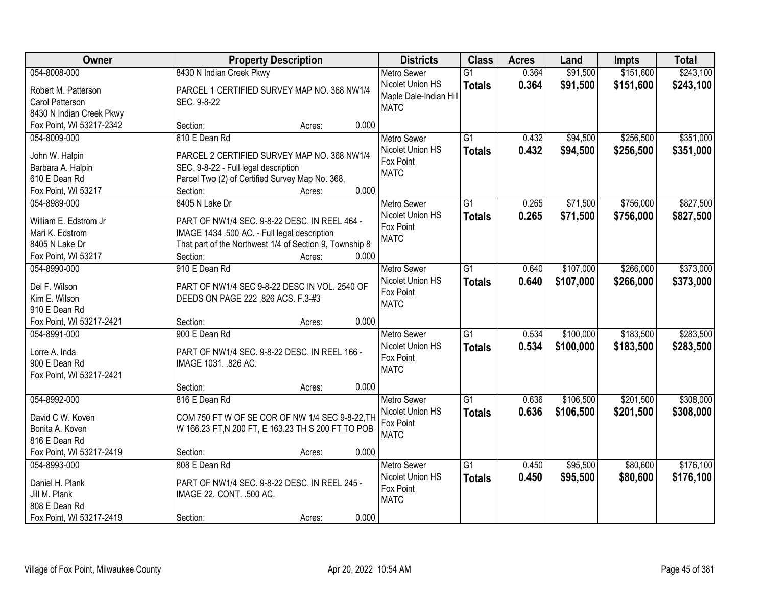| Owner                    |                                                         | <b>Property Description</b> | <b>Districts</b>       | <b>Class</b>    | <b>Acres</b> | Land      | <b>Impts</b> | <b>Total</b> |
|--------------------------|---------------------------------------------------------|-----------------------------|------------------------|-----------------|--------------|-----------|--------------|--------------|
| 054-8008-000             | 8430 N Indian Creek Pkwy                                |                             | <b>Metro Sewer</b>     | $\overline{G1}$ | 0.364        | \$91,500  | \$151,600    | \$243,100    |
| Robert M. Patterson      | PARCEL 1 CERTIFIED SURVEY MAP NO. 368 NW1/4             |                             | Nicolet Union HS       | <b>Totals</b>   | 0.364        | \$91,500  | \$151,600    | \$243,100    |
| Carol Patterson          | SEC. 9-8-22                                             |                             | Maple Dale-Indian Hill |                 |              |           |              |              |
| 8430 N Indian Creek Pkwy |                                                         |                             | <b>MATC</b>            |                 |              |           |              |              |
| Fox Point, WI 53217-2342 | Section:                                                | 0.000<br>Acres:             |                        |                 |              |           |              |              |
| 054-8009-000             | 610 E Dean Rd                                           |                             | <b>Metro Sewer</b>     | $\overline{G1}$ | 0.432        | \$94,500  | \$256,500    | \$351,000    |
|                          |                                                         |                             | Nicolet Union HS       | <b>Totals</b>   | 0.432        | \$94,500  | \$256,500    | \$351,000    |
| John W. Halpin           | PARCEL 2 CERTIFIED SURVEY MAP NO. 368 NW1/4             |                             | Fox Point              |                 |              |           |              |              |
| Barbara A. Halpin        | SEC. 9-8-22 - Full legal description                    |                             | <b>MATC</b>            |                 |              |           |              |              |
| 610 E Dean Rd            | Parcel Two (2) of Certified Survey Map No. 368,         | 0.000                       |                        |                 |              |           |              |              |
| Fox Point, WI 53217      | Section:                                                | Acres:                      |                        |                 |              |           |              |              |
| 054-8989-000             | 8405 N Lake Dr                                          |                             | Metro Sewer            | G1              | 0.265        | \$71,500  | \$756,000    | \$827,500    |
| William E. Edstrom Jr    | PART OF NW1/4 SEC. 9-8-22 DESC. IN REEL 464 -           |                             | Nicolet Union HS       | <b>Totals</b>   | 0.265        | \$71,500  | \$756,000    | \$827,500    |
| Mari K. Edstrom          | IMAGE 1434 .500 AC. - Full legal description            |                             | Fox Point              |                 |              |           |              |              |
| 8405 N Lake Dr           | That part of the Northwest 1/4 of Section 9, Township 8 |                             | <b>MATC</b>            |                 |              |           |              |              |
| Fox Point, WI 53217      | Section:                                                | 0.000<br>Acres:             |                        |                 |              |           |              |              |
| 054-8990-000             | 910 E Dean Rd                                           |                             | <b>Metro Sewer</b>     | G1              | 0.640        | \$107,000 | \$266,000    | \$373,000    |
|                          |                                                         |                             | Nicolet Union HS       | <b>Totals</b>   | 0.640        | \$107,000 | \$266,000    | \$373,000    |
| Del F. Wilson            | PART OF NW1/4 SEC 9-8-22 DESC IN VOL. 2540 OF           |                             | Fox Point              |                 |              |           |              |              |
| Kim E. Wilson            | DEEDS ON PAGE 222 .826 ACS. F.3-#3                      |                             | <b>MATC</b>            |                 |              |           |              |              |
| 910 E Dean Rd            |                                                         |                             |                        |                 |              |           |              |              |
| Fox Point, WI 53217-2421 | Section:                                                | 0.000<br>Acres:             |                        |                 |              |           |              |              |
| 054-8991-000             | 900 E Dean Rd                                           |                             | <b>Metro Sewer</b>     | $\overline{G1}$ | 0.534        | \$100,000 | \$183,500    | \$283,500    |
| Lorre A. Inda            | PART OF NW1/4 SEC. 9-8-22 DESC. IN REEL 166 -           |                             | Nicolet Union HS       | <b>Totals</b>   | 0.534        | \$100,000 | \$183,500    | \$283,500    |
| 900 E Dean Rd            | IMAGE 1031. .826 AC.                                    |                             | Fox Point              |                 |              |           |              |              |
| Fox Point, WI 53217-2421 |                                                         |                             | <b>MATC</b>            |                 |              |           |              |              |
|                          | Section:                                                | 0.000<br>Acres:             |                        |                 |              |           |              |              |
| 054-8992-000             | 816 E Dean Rd                                           |                             | <b>Metro Sewer</b>     | G1              | 0.636        | \$106,500 | \$201,500    | \$308,000    |
| David C W. Koven         | COM 750 FT W OF SE COR OF NW 1/4 SEC 9-8-22, TH         |                             | Nicolet Union HS       | <b>Totals</b>   | 0.636        | \$106,500 | \$201,500    | \$308,000    |
| Bonita A. Koven          | W 166.23 FT, N 200 FT, E 163.23 TH S 200 FT TO POB      |                             | Fox Point              |                 |              |           |              |              |
| 816 E Dean Rd            |                                                         |                             | <b>MATC</b>            |                 |              |           |              |              |
| Fox Point, WI 53217-2419 | Section:                                                | 0.000<br>Acres:             |                        |                 |              |           |              |              |
| 054-8993-000             | 808 E Dean Rd                                           |                             | <b>Metro Sewer</b>     | $\overline{G1}$ | 0.450        | \$95,500  | \$80,600     | \$176,100    |
|                          |                                                         |                             | Nicolet Union HS       |                 |              |           |              |              |
| Daniel H. Plank          | PART OF NW1/4 SEC. 9-8-22 DESC. IN REEL 245 -           |                             | Fox Point              | <b>Totals</b>   | 0.450        | \$95,500  | \$80,600     | \$176,100    |
| Jill M. Plank            | IMAGE 22. CONT. .500 AC.                                |                             | <b>MATC</b>            |                 |              |           |              |              |
| 808 E Dean Rd            |                                                         |                             |                        |                 |              |           |              |              |
| Fox Point, WI 53217-2419 | Section:                                                | 0.000<br>Acres:             |                        |                 |              |           |              |              |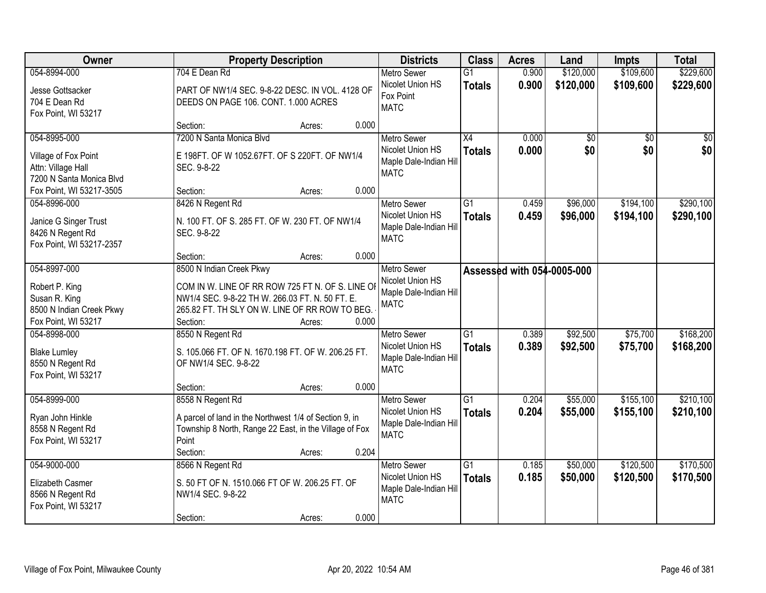| Owner                                     | <b>Property Description</b>                                                                       | <b>Districts</b>                      | <b>Class</b>    | <b>Acres</b>               | Land      | <b>Impts</b>    | <b>Total</b> |
|-------------------------------------------|---------------------------------------------------------------------------------------------------|---------------------------------------|-----------------|----------------------------|-----------|-----------------|--------------|
| 054-8994-000                              | 704 E Dean Rd                                                                                     | <b>Metro Sewer</b>                    | $\overline{G1}$ | 0.900                      | \$120,000 | \$109,600       | \$229,600    |
| Jesse Gottsacker                          | PART OF NW1/4 SEC. 9-8-22 DESC. IN VOL. 4128 OF                                                   | Nicolet Union HS                      | <b>Totals</b>   | 0.900                      | \$120,000 | \$109,600       | \$229,600    |
| 704 E Dean Rd                             | DEEDS ON PAGE 106. CONT. 1.000 ACRES                                                              | Fox Point                             |                 |                            |           |                 |              |
| Fox Point, WI 53217                       |                                                                                                   | <b>MATC</b>                           |                 |                            |           |                 |              |
|                                           | 0.000<br>Section:<br>Acres:                                                                       |                                       |                 |                            |           |                 |              |
| 054-8995-000                              | 7200 N Santa Monica Blvd                                                                          | <b>Metro Sewer</b>                    | $\overline{X4}$ | 0.000                      | \$0       | $\overline{50}$ | \$0          |
| Village of Fox Point                      | E 198FT. OF W 1052.67FT. OF S 220FT. OF NW1/4                                                     | Nicolet Union HS                      | <b>Totals</b>   | 0.000                      | \$0       | \$0             | \$0          |
| Attn: Village Hall                        | SEC. 9-8-22                                                                                       | Maple Dale-Indian Hill                |                 |                            |           |                 |              |
| 7200 N Santa Monica Blvd                  |                                                                                                   | <b>MATC</b>                           |                 |                            |           |                 |              |
| Fox Point, WI 53217-3505                  | 0.000<br>Section:<br>Acres:                                                                       |                                       |                 |                            |           |                 |              |
| 054-8996-000                              | 8426 N Regent Rd                                                                                  | Metro Sewer                           | G1              | 0.459                      | \$96,000  | \$194,100       | \$290,100    |
| Janice G Singer Trust                     | N. 100 FT. OF S. 285 FT. OF W. 230 FT. OF NW1/4                                                   | Nicolet Union HS                      | <b>Totals</b>   | 0.459                      | \$96,000  | \$194,100       | \$290,100    |
| 8426 N Regent Rd                          | SEC. 9-8-22                                                                                       | Maple Dale-Indian Hill                |                 |                            |           |                 |              |
| Fox Point, WI 53217-2357                  |                                                                                                   | <b>MATC</b>                           |                 |                            |           |                 |              |
|                                           | 0.000<br>Section:<br>Acres:                                                                       |                                       |                 |                            |           |                 |              |
| 054-8997-000                              | 8500 N Indian Creek Pkwy                                                                          | <b>Metro Sewer</b>                    |                 | Assessed with 054-0005-000 |           |                 |              |
|                                           |                                                                                                   | Nicolet Union HS                      |                 |                            |           |                 |              |
| Robert P. King                            | COM IN W. LINE OF RR ROW 725 FT N. OF S. LINE OI                                                  | Maple Dale-Indian Hill                |                 |                            |           |                 |              |
| Susan R. King<br>8500 N Indian Creek Pkwy | NW1/4 SEC. 9-8-22 TH W. 266.03 FT. N. 50 FT. E.<br>265.82 FT. TH SLY ON W. LINE OF RR ROW TO BEG. | <b>MATC</b>                           |                 |                            |           |                 |              |
| Fox Point, WI 53217                       | Section:<br>0.000<br>Acres:                                                                       |                                       |                 |                            |           |                 |              |
| 054-8998-000                              | 8550 N Regent Rd                                                                                  | Metro Sewer                           | $\overline{G1}$ | 0.389                      | \$92,500  | \$75,700        | \$168,200    |
|                                           |                                                                                                   | Nicolet Union HS                      | <b>Totals</b>   | 0.389                      | \$92,500  | \$75,700        | \$168,200    |
| <b>Blake Lumley</b>                       | S. 105.066 FT. OF N. 1670.198 FT. OF W. 206.25 FT.                                                | Maple Dale-Indian Hill                |                 |                            |           |                 |              |
| 8550 N Regent Rd                          | OF NW1/4 SEC. 9-8-22                                                                              | <b>MATC</b>                           |                 |                            |           |                 |              |
| Fox Point, WI 53217                       |                                                                                                   |                                       |                 |                            |           |                 |              |
|                                           | 0.000<br>Section:<br>Acres:                                                                       |                                       |                 |                            |           |                 |              |
| 054-8999-000                              | 8558 N Regent Rd                                                                                  | <b>Metro Sewer</b>                    | $\overline{G1}$ | 0.204                      | \$55,000  | \$155,100       | \$210,100    |
| Ryan John Hinkle                          | A parcel of land in the Northwest 1/4 of Section 9, in                                            | Nicolet Union HS                      | <b>Totals</b>   | 0.204                      | \$55,000  | \$155,100       | \$210,100    |
| 8558 N Regent Rd                          | Township 8 North, Range 22 East, in the Village of Fox                                            | Maple Dale-Indian Hill<br><b>MATC</b> |                 |                            |           |                 |              |
| Fox Point, WI 53217                       | Point                                                                                             |                                       |                 |                            |           |                 |              |
|                                           | 0.204<br>Section:<br>Acres:                                                                       |                                       |                 |                            |           |                 |              |
| 054-9000-000                              | 8566 N Regent Rd                                                                                  | <b>Metro Sewer</b>                    | $\overline{G1}$ | 0.185                      | \$50,000  | \$120,500       | \$170,500    |
| Elizabeth Casmer                          | S. 50 FT OF N. 1510.066 FT OF W. 206.25 FT. OF                                                    | Nicolet Union HS                      | <b>Totals</b>   | 0.185                      | \$50,000  | \$120,500       | \$170,500    |
| 8566 N Regent Rd                          | NW1/4 SEC. 9-8-22                                                                                 | Maple Dale-Indian Hill                |                 |                            |           |                 |              |
| Fox Point, WI 53217                       |                                                                                                   | <b>MATC</b>                           |                 |                            |           |                 |              |
|                                           | 0.000<br>Section:<br>Acres:                                                                       |                                       |                 |                            |           |                 |              |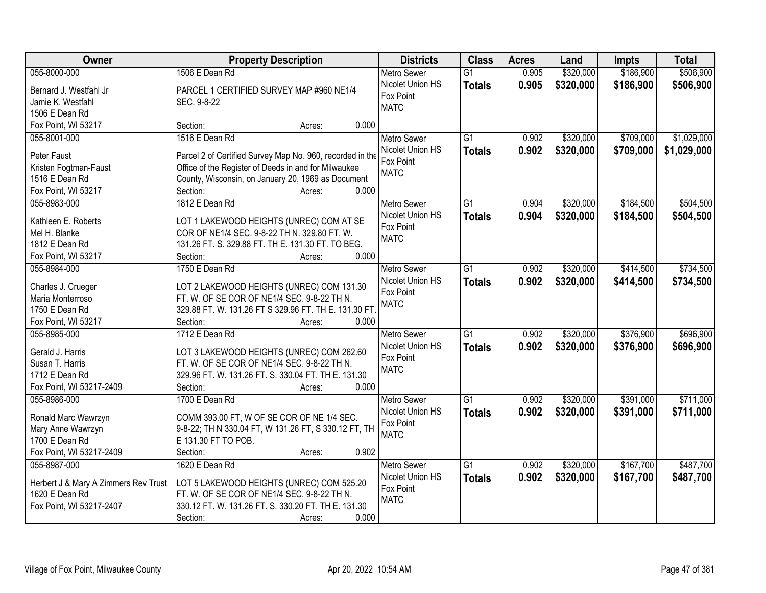| Owner                                | <b>Property Description</b>                               | <b>Districts</b>   | <b>Class</b>    | <b>Acres</b> | Land      | <b>Impts</b> | <b>Total</b> |
|--------------------------------------|-----------------------------------------------------------|--------------------|-----------------|--------------|-----------|--------------|--------------|
| 055-8000-000                         | 1506 E Dean Rd                                            | <b>Metro Sewer</b> | $\overline{G1}$ | 0.905        | \$320,000 | \$186,900    | \$506,900    |
| Bernard J. Westfahl Jr               | PARCEL 1 CERTIFIED SURVEY MAP #960 NE1/4                  | Nicolet Union HS   | <b>Totals</b>   | 0.905        | \$320,000 | \$186,900    | \$506,900    |
| Jamie K. Westfahl                    | SEC. 9-8-22                                               | Fox Point          |                 |              |           |              |              |
| 1506 E Dean Rd                       |                                                           | <b>MATC</b>        |                 |              |           |              |              |
| Fox Point, WI 53217                  | 0.000<br>Section:<br>Acres:                               |                    |                 |              |           |              |              |
| 055-8001-000                         | 1516 E Dean Rd                                            | <b>Metro Sewer</b> | $\overline{G1}$ | 0.902        | \$320,000 | \$709,000    | \$1,029,000  |
|                                      |                                                           | Nicolet Union HS   | <b>Totals</b>   | 0.902        | \$320,000 | \$709,000    | \$1,029,000  |
| Peter Faust                          | Parcel 2 of Certified Survey Map No. 960, recorded in the | Fox Point          |                 |              |           |              |              |
| Kristen Fogtman-Faust                | Office of the Register of Deeds in and for Milwaukee      | <b>MATC</b>        |                 |              |           |              |              |
| 1516 E Dean Rd                       | County, Wisconsin, on January 20, 1969 as Document        |                    |                 |              |           |              |              |
| Fox Point, WI 53217                  | 0.000<br>Section:<br>Acres:                               |                    |                 |              |           |              |              |
| 055-8983-000                         | 1812 E Dean Rd                                            | Metro Sewer        | G1              | 0.904        | \$320,000 | \$184,500    | \$504,500    |
| Kathleen E. Roberts                  | LOT 1 LAKEWOOD HEIGHTS (UNREC) COM AT SE                  | Nicolet Union HS   | <b>Totals</b>   | 0.904        | \$320,000 | \$184,500    | \$504,500    |
| Mel H. Blanke                        | COR OF NE1/4 SEC. 9-8-22 TH N. 329.80 FT. W.              | Fox Point          |                 |              |           |              |              |
| 1812 E Dean Rd                       | 131.26 FT. S. 329.88 FT. TH E. 131.30 FT. TO BEG.         | <b>MATC</b>        |                 |              |           |              |              |
| Fox Point, WI 53217                  | Section:<br>0.000<br>Acres:                               |                    |                 |              |           |              |              |
| 055-8984-000                         | 1750 E Dean Rd                                            | <b>Metro Sewer</b> | G1              | 0.902        | \$320,000 | \$414,500    | \$734,500    |
|                                      |                                                           | Nicolet Union HS   | <b>Totals</b>   | 0.902        | \$320,000 | \$414,500    | \$734,500    |
| Charles J. Crueger                   | LOT 2 LAKEWOOD HEIGHTS (UNREC) COM 131.30                 | Fox Point          |                 |              |           |              |              |
| Maria Monterroso                     | FT. W. OF SE COR OF NE1/4 SEC. 9-8-22 TH N.               | <b>MATC</b>        |                 |              |           |              |              |
| 1750 E Dean Rd                       | 329.88 FT. W. 131.26 FT S 329.96 FT. TH E. 131.30 FT.     |                    |                 |              |           |              |              |
| Fox Point, WI 53217                  | Section:<br>0.000<br>Acres:                               |                    |                 |              |           |              |              |
| 055-8985-000                         | 1712 E Dean Rd                                            | <b>Metro Sewer</b> | $\overline{G1}$ | 0.902        | \$320,000 | \$376,900    | \$696,900    |
| Gerald J. Harris                     | LOT 3 LAKEWOOD HEIGHTS (UNREC) COM 262.60                 | Nicolet Union HS   | <b>Totals</b>   | 0.902        | \$320,000 | \$376,900    | \$696,900    |
| Susan T. Harris                      | FT. W. OF SE COR OF NE1/4 SEC. 9-8-22 TH N.               | Fox Point          |                 |              |           |              |              |
| 1712 E Dean Rd                       | 329.96 FT. W. 131.26 FT. S. 330.04 FT. TH E. 131.30       | <b>MATC</b>        |                 |              |           |              |              |
| Fox Point, WI 53217-2409             | 0.000<br>Section:<br>Acres:                               |                    |                 |              |           |              |              |
| 055-8986-000                         | 1700 E Dean Rd                                            | <b>Metro Sewer</b> | G1              | 0.902        | \$320,000 | \$391,000    | \$711,000    |
|                                      |                                                           | Nicolet Union HS   | <b>Totals</b>   | 0.902        | \$320,000 | \$391,000    | \$711,000    |
| Ronald Marc Wawrzyn                  | COMM 393.00 FT, W OF SE COR OF NE 1/4 SEC.                | Fox Point          |                 |              |           |              |              |
| Mary Anne Wawrzyn                    | 9-8-22; TH N 330.04 FT, W 131.26 FT, S 330.12 FT, TH      | <b>MATC</b>        |                 |              |           |              |              |
| 1700 E Dean Rd                       | E 131.30 FT TO POB.                                       |                    |                 |              |           |              |              |
| Fox Point, WI 53217-2409             | 0.902<br>Section:<br>Acres:                               |                    |                 |              |           |              |              |
| 055-8987-000                         | 1620 E Dean Rd                                            | <b>Metro Sewer</b> | $\overline{G1}$ | 0.902        | \$320,000 | \$167,700    | \$487,700    |
| Herbert J & Mary A Zimmers Rev Trust | LOT 5 LAKEWOOD HEIGHTS (UNREC) COM 525.20                 | Nicolet Union HS   | <b>Totals</b>   | 0.902        | \$320,000 | \$167,700    | \$487,700    |
| 1620 E Dean Rd                       | FT. W. OF SE COR OF NE1/4 SEC. 9-8-22 TH N.               | Fox Point          |                 |              |           |              |              |
| Fox Point, WI 53217-2407             | 330.12 FT. W. 131.26 FT. S. 330.20 FT. TH E. 131.30       | <b>MATC</b>        |                 |              |           |              |              |
|                                      | 0.000<br>Section:<br>Acres:                               |                    |                 |              |           |              |              |
|                                      |                                                           |                    |                 |              |           |              |              |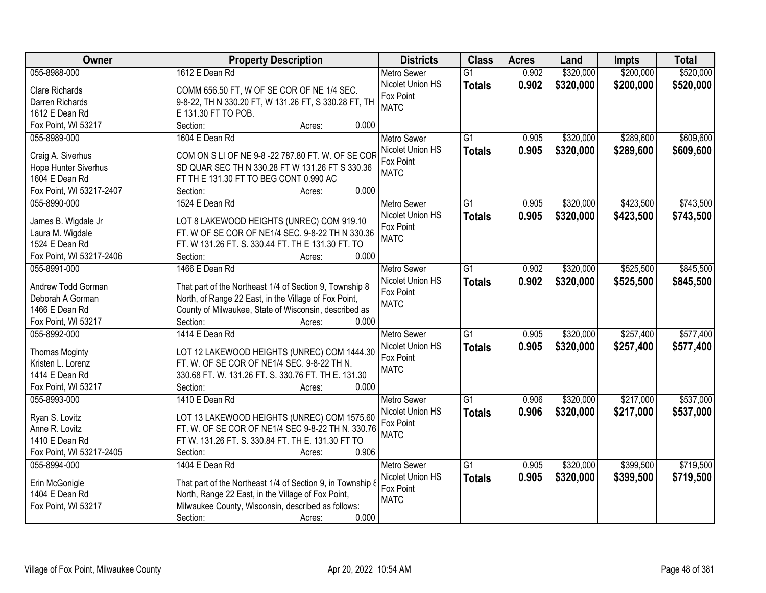| Owner                            | <b>Property Description</b>                                                                                      | <b>Districts</b>   | <b>Class</b>    | <b>Acres</b> | Land      | <b>Impts</b> | <b>Total</b> |
|----------------------------------|------------------------------------------------------------------------------------------------------------------|--------------------|-----------------|--------------|-----------|--------------|--------------|
| 055-8988-000                     | 1612 E Dean Rd                                                                                                   | <b>Metro Sewer</b> | $\overline{G1}$ | 0.902        | \$320,000 | \$200,000    | \$520,000    |
| Clare Richards                   | COMM 656.50 FT, W OF SE COR OF NE 1/4 SEC.                                                                       | Nicolet Union HS   | <b>Totals</b>   | 0.902        | \$320,000 | \$200,000    | \$520,000    |
| Darren Richards                  | 9-8-22, TH N 330.20 FT, W 131.26 FT, S 330.28 FT, TH                                                             | Fox Point          |                 |              |           |              |              |
| 1612 E Dean Rd                   | E 131.30 FT TO POB.                                                                                              | <b>MATC</b>        |                 |              |           |              |              |
| Fox Point, WI 53217              | Section:<br>0.000<br>Acres:                                                                                      |                    |                 |              |           |              |              |
| 055-8989-000                     | 1604 E Dean Rd                                                                                                   | <b>Metro Sewer</b> | $\overline{G1}$ | 0.905        | \$320,000 | \$289,600    | \$609,600    |
|                                  |                                                                                                                  | Nicolet Union HS   | <b>Totals</b>   | 0.905        | \$320,000 | \$289,600    | \$609,600    |
| Craig A. Siverhus                | COM ON S LI OF NE 9-8 -22 787.80 FT. W. OF SE COR                                                                | Fox Point          |                 |              |           |              |              |
| Hope Hunter Siverhus             | SD QUAR SEC TH N 330.28 FT W 131.26 FT S 330.36                                                                  | <b>MATC</b>        |                 |              |           |              |              |
| 1604 E Dean Rd                   | FT TH E 131.30 FT TO BEG CONT 0.990 AC                                                                           |                    |                 |              |           |              |              |
| Fox Point, WI 53217-2407         | 0.000<br>Section:<br>Acres:                                                                                      |                    |                 |              |           |              |              |
| 055-8990-000                     | 1524 E Dean Rd                                                                                                   | Metro Sewer        | $\overline{G1}$ | 0.905        | \$320,000 | \$423,500    | \$743,500    |
| James B. Wigdale Jr              | LOT 8 LAKEWOOD HEIGHTS (UNREC) COM 919.10                                                                        | Nicolet Union HS   | <b>Totals</b>   | 0.905        | \$320,000 | \$423,500    | \$743,500    |
| Laura M. Wigdale                 | FT. W OF SE COR OF NE1/4 SEC. 9-8-22 TH N 330.36                                                                 | Fox Point          |                 |              |           |              |              |
| 1524 E Dean Rd                   | FT. W 131.26 FT. S. 330.44 FT. TH E 131.30 FT. TO                                                                | <b>MATC</b>        |                 |              |           |              |              |
| Fox Point, WI 53217-2406         | 0.000<br>Section:<br>Acres:                                                                                      |                    |                 |              |           |              |              |
| 055-8991-000                     | 1466 E Dean Rd                                                                                                   | <b>Metro Sewer</b> | G1              | 0.902        | \$320,000 | \$525,500    | \$845,500    |
|                                  |                                                                                                                  | Nicolet Union HS   | <b>Totals</b>   | 0.902        | \$320,000 | \$525,500    | \$845,500    |
| Andrew Todd Gorman               | That part of the Northeast 1/4 of Section 9, Township 8                                                          | Fox Point          |                 |              |           |              |              |
| Deborah A Gorman                 | North, of Range 22 East, in the Village of Fox Point,                                                            | <b>MATC</b>        |                 |              |           |              |              |
| 1466 E Dean Rd                   | County of Milwaukee, State of Wisconsin, described as                                                            |                    |                 |              |           |              |              |
| Fox Point, WI 53217              | Section:<br>0.000<br>Acres:                                                                                      |                    |                 |              |           |              |              |
| 055-8992-000                     | 1414 E Dean Rd                                                                                                   | <b>Metro Sewer</b> | $\overline{G1}$ | 0.905        | \$320,000 | \$257,400    | \$577,400    |
| <b>Thomas Mcginty</b>            | LOT 12 LAKEWOOD HEIGHTS (UNREC) COM 1444.30                                                                      | Nicolet Union HS   | <b>Totals</b>   | 0.905        | \$320,000 | \$257,400    | \$577,400    |
| Kristen L. Lorenz                | FT. W. OF SE COR OF NE1/4 SEC. 9-8-22 TH N.                                                                      | Fox Point          |                 |              |           |              |              |
| 1414 E Dean Rd                   | 330.68 FT. W. 131.26 FT. S. 330.76 FT. TH E. 131.30                                                              | <b>MATC</b>        |                 |              |           |              |              |
| Fox Point, WI 53217              | 0.000<br>Section:<br>Acres:                                                                                      |                    |                 |              |           |              |              |
| 055-8993-000                     | 1410 E Dean Rd                                                                                                   | <b>Metro Sewer</b> | G1              | 0.906        | \$320,000 | \$217,000    | \$537,000    |
|                                  |                                                                                                                  | Nicolet Union HS   |                 |              |           |              |              |
| Ryan S. Lovitz                   | LOT 13 LAKEWOOD HEIGHTS (UNREC) COM 1575.60                                                                      | Fox Point          | <b>Totals</b>   | 0.906        | \$320,000 | \$217,000    | \$537,000    |
| Anne R. Lovitz                   | FT. W. OF SE COR OF NE1/4 SEC 9-8-22 TH N. 330.76                                                                | <b>MATC</b>        |                 |              |           |              |              |
| 1410 E Dean Rd                   | FT W. 131.26 FT. S. 330.84 FT. TH E. 131.30 FT TO                                                                |                    |                 |              |           |              |              |
| Fox Point, WI 53217-2405         | 0.906<br>Section:<br>Acres:                                                                                      |                    |                 |              |           |              |              |
| 055-8994-000                     | 1404 E Dean Rd                                                                                                   | <b>Metro Sewer</b> | $\overline{G1}$ | 0.905        | \$320,000 | \$399,500    | \$719,500    |
|                                  |                                                                                                                  | Nicolet Union HS   | <b>Totals</b>   | 0.905        | \$320,000 | \$399,500    | \$719,500    |
| Erin McGonigle<br>1404 E Dean Rd | That part of the Northeast 1/4 of Section 9, in Township 8<br>North, Range 22 East, in the Village of Fox Point, | Fox Point          |                 |              |           |              |              |
|                                  | Milwaukee County, Wisconsin, described as follows:                                                               | <b>MATC</b>        |                 |              |           |              |              |
| Fox Point, WI 53217              | 0.000                                                                                                            |                    |                 |              |           |              |              |
|                                  | Section:<br>Acres:                                                                                               |                    |                 |              |           |              |              |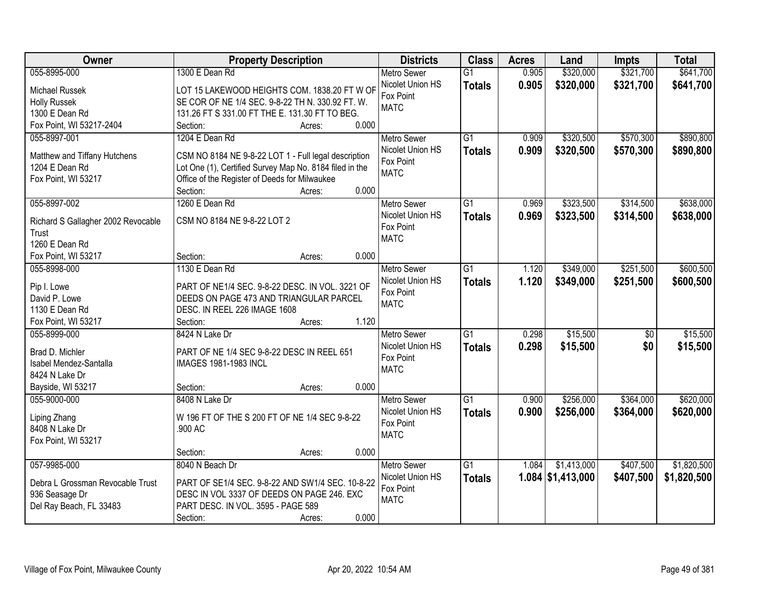| Owner                              | <b>Property Description</b>                             | <b>Districts</b>   | <b>Class</b>    | <b>Acres</b> | Land                | <b>Impts</b> | <b>Total</b> |
|------------------------------------|---------------------------------------------------------|--------------------|-----------------|--------------|---------------------|--------------|--------------|
| 055-8995-000                       | 1300 E Dean Rd                                          | <b>Metro Sewer</b> | $\overline{G1}$ | 0.905        | \$320,000           | \$321,700    | \$641,700    |
| Michael Russek                     | LOT 15 LAKEWOOD HEIGHTS COM. 1838.20 FT W OF            | Nicolet Union HS   | <b>Totals</b>   | 0.905        | \$320,000           | \$321,700    | \$641,700    |
| <b>Holly Russek</b>                | SE COR OF NE 1/4 SEC. 9-8-22 TH N. 330.92 FT. W.        | Fox Point          |                 |              |                     |              |              |
| 1300 E Dean Rd                     | 131.26 FT S 331.00 FT THE E. 131.30 FT TO BEG.          | <b>MATC</b>        |                 |              |                     |              |              |
| Fox Point, WI 53217-2404           | 0.000<br>Section:<br>Acres:                             |                    |                 |              |                     |              |              |
| 055-8997-001                       | 1204 E Dean Rd                                          | <b>Metro Sewer</b> | $\overline{G1}$ | 0.909        | \$320,500           | \$570,300    | \$890,800    |
|                                    |                                                         | Nicolet Union HS   | <b>Totals</b>   | 0.909        | \$320,500           | \$570,300    | \$890,800    |
| Matthew and Tiffany Hutchens       | CSM NO 8184 NE 9-8-22 LOT 1 - Full legal description    | Fox Point          |                 |              |                     |              |              |
| 1204 E Dean Rd                     | Lot One (1), Certified Survey Map No. 8184 filed in the | <b>MATC</b>        |                 |              |                     |              |              |
| Fox Point, WI 53217                | Office of the Register of Deeds for Milwaukee           |                    |                 |              |                     |              |              |
|                                    | 0.000<br>Section:<br>Acres:                             |                    |                 |              |                     |              |              |
| 055-8997-002                       | 1260 E Dean Rd                                          | <b>Metro Sewer</b> | G1              | 0.969        | \$323,500           | \$314,500    | \$638,000    |
| Richard S Gallagher 2002 Revocable | CSM NO 8184 NE 9-8-22 LOT 2                             | Nicolet Union HS   | <b>Totals</b>   | 0.969        | \$323,500           | \$314,500    | \$638,000    |
| Trust                              |                                                         | Fox Point          |                 |              |                     |              |              |
| 1260 E Dean Rd                     |                                                         | <b>MATC</b>        |                 |              |                     |              |              |
| Fox Point, WI 53217                | 0.000<br>Section:<br>Acres:                             |                    |                 |              |                     |              |              |
| 055-8998-000                       | 1130 E Dean Rd                                          | <b>Metro Sewer</b> | $\overline{G1}$ | 1.120        | \$349,000           | \$251,500    | \$600,500    |
|                                    |                                                         | Nicolet Union HS   |                 | 1.120        | \$349,000           | \$251,500    | \$600,500    |
| Pip I. Lowe                        | PART OF NE1/4 SEC. 9-8-22 DESC. IN VOL. 3221 OF         | Fox Point          | <b>Totals</b>   |              |                     |              |              |
| David P. Lowe                      | DEEDS ON PAGE 473 AND TRIANGULAR PARCEL                 | <b>MATC</b>        |                 |              |                     |              |              |
| 1130 E Dean Rd                     | DESC. IN REEL 226 IMAGE 1608                            |                    |                 |              |                     |              |              |
| Fox Point, WI 53217                | 1.120<br>Section:<br>Acres:                             |                    |                 |              |                     |              |              |
| 055-8999-000                       | 8424 N Lake Dr                                          | Metro Sewer        | $\overline{G1}$ | 0.298        | \$15,500            | \$0          | \$15,500     |
| Brad D. Michler                    | PART OF NE 1/4 SEC 9-8-22 DESC IN REEL 651              | Nicolet Union HS   | <b>Totals</b>   | 0.298        | \$15,500            | \$0          | \$15,500     |
| Isabel Mendez-Santalla             | IMAGES 1981-1983 INCL                                   | Fox Point          |                 |              |                     |              |              |
| 8424 N Lake Dr                     |                                                         | <b>MATC</b>        |                 |              |                     |              |              |
| Bayside, WI 53217                  | 0.000<br>Section:                                       |                    |                 |              |                     |              |              |
| 055-9000-000                       | Acres:                                                  |                    | $\overline{G1}$ |              |                     | \$364,000    | \$620,000    |
|                                    | 8408 N Lake Dr                                          | Metro Sewer        |                 | 0.900        | \$256,000           |              |              |
| Liping Zhang                       | W 196 FT OF THE S 200 FT OF NE 1/4 SEC 9-8-22           | Nicolet Union HS   | <b>Totals</b>   | 0.900        | \$256,000           | \$364,000    | \$620,000    |
| 8408 N Lake Dr                     | .900 AC                                                 | Fox Point          |                 |              |                     |              |              |
| Fox Point, WI 53217                |                                                         | <b>MATC</b>        |                 |              |                     |              |              |
|                                    | 0.000<br>Section:<br>Acres:                             |                    |                 |              |                     |              |              |
| 057-9985-000                       | 8040 N Beach Dr                                         | <b>Metro Sewer</b> | $\overline{G1}$ | 1.084        | \$1,413,000         | \$407,500    | \$1,820,500  |
|                                    |                                                         | Nicolet Union HS   | <b>Totals</b>   |              | $1.084$ \$1,413,000 | \$407,500    | \$1,820,500  |
| Debra L Grossman Revocable Trust   | PART OF SE1/4 SEC. 9-8-22 AND SW1/4 SEC. 10-8-22        | Fox Point          |                 |              |                     |              |              |
| 936 Seasage Dr                     | DESC IN VOL 3337 OF DEEDS ON PAGE 246. EXC              | <b>MATC</b>        |                 |              |                     |              |              |
| Del Ray Beach, FL 33483            | PART DESC. IN VOL. 3595 - PAGE 589                      |                    |                 |              |                     |              |              |
|                                    | 0.000<br>Section:<br>Acres:                             |                    |                 |              |                     |              |              |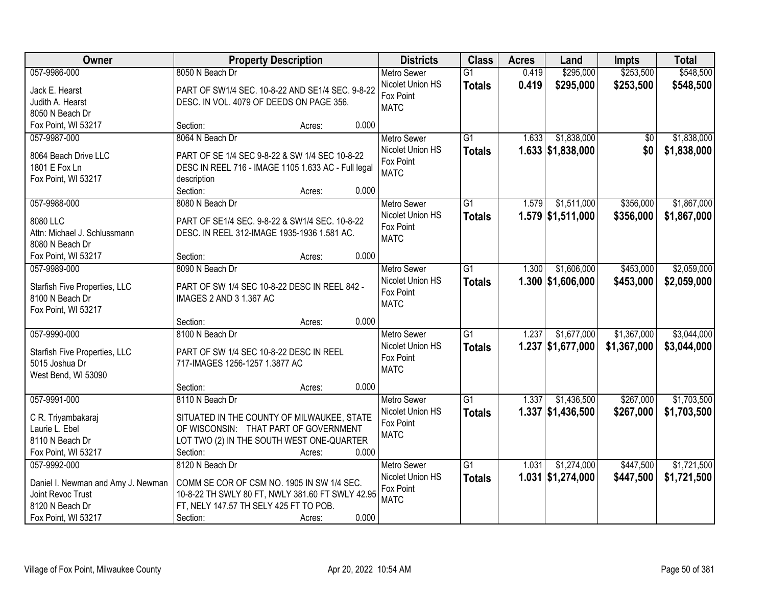| Owner                                 | <b>Property Description</b>                                                         | <b>Districts</b>   | <b>Class</b>    | <b>Acres</b> | Land                | <b>Impts</b> | <b>Total</b> |
|---------------------------------------|-------------------------------------------------------------------------------------|--------------------|-----------------|--------------|---------------------|--------------|--------------|
| 057-9986-000                          | 8050 N Beach Dr                                                                     | <b>Metro Sewer</b> | $\overline{G1}$ | 0.419        | \$295,000           | \$253,500    | \$548,500    |
| Jack E. Hearst                        | PART OF SW1/4 SEC. 10-8-22 AND SE1/4 SEC. 9-8-22                                    | Nicolet Union HS   | <b>Totals</b>   | 0.419        | \$295,000           | \$253,500    | \$548,500    |
| Judith A. Hearst                      | DESC. IN VOL. 4079 OF DEEDS ON PAGE 356.                                            | Fox Point          |                 |              |                     |              |              |
| 8050 N Beach Dr                       |                                                                                     | <b>MATC</b>        |                 |              |                     |              |              |
| Fox Point, WI 53217                   | 0.000<br>Section:<br>Acres:                                                         |                    |                 |              |                     |              |              |
| 057-9987-000                          | 8064 N Beach Dr                                                                     | Metro Sewer        | $\overline{G1}$ | 1.633        | \$1,838,000         | \$0          | \$1,838,000  |
|                                       |                                                                                     | Nicolet Union HS   | <b>Totals</b>   |              | 1.633   \$1,838,000 | \$0          | \$1,838,000  |
| 8064 Beach Drive LLC<br>1801 E Fox Ln | PART OF SE 1/4 SEC 9-8-22 & SW 1/4 SEC 10-8-22                                      | Fox Point          |                 |              |                     |              |              |
| Fox Point, WI 53217                   | DESC IN REEL 716 - IMAGE 1105 1.633 AC - Full legal<br>description                  | <b>MATC</b>        |                 |              |                     |              |              |
|                                       | 0.000<br>Section:<br>Acres:                                                         |                    |                 |              |                     |              |              |
| 057-9988-000                          | 8080 N Beach Dr                                                                     | Metro Sewer        | $\overline{G1}$ | 1.579        | \$1,511,000         | \$356,000    | \$1,867,000  |
|                                       |                                                                                     | Nicolet Union HS   | <b>Totals</b>   |              | $1.579$ \$1,511,000 | \$356,000    | \$1,867,000  |
| 8080 LLC                              | PART OF SE1/4 SEC. 9-8-22 & SW1/4 SEC. 10-8-22                                      | Fox Point          |                 |              |                     |              |              |
| Attn: Michael J. Schlussmann          | DESC. IN REEL 312-IMAGE 1935-1936 1.581 AC.                                         | <b>MATC</b>        |                 |              |                     |              |              |
| 8080 N Beach Dr                       |                                                                                     |                    |                 |              |                     |              |              |
| Fox Point, WI 53217                   | 0.000<br>Section:<br>Acres:                                                         |                    |                 |              |                     |              |              |
| 057-9989-000                          | 8090 N Beach Dr                                                                     | <b>Metro Sewer</b> | $\overline{G1}$ | 1.300        | \$1,606,000         | \$453,000    | \$2,059,000  |
| Starfish Five Properties, LLC         | PART OF SW 1/4 SEC 10-8-22 DESC IN REEL 842 -                                       | Nicolet Union HS   | <b>Totals</b>   |              | $1.300$ \$1,606,000 | \$453,000    | \$2,059,000  |
| 8100 N Beach Dr                       | IMAGES 2 AND 3 1.367 AC                                                             | Fox Point          |                 |              |                     |              |              |
| Fox Point, WI 53217                   |                                                                                     | <b>MATC</b>        |                 |              |                     |              |              |
|                                       | 0.000<br>Section:<br>Acres:                                                         |                    |                 |              |                     |              |              |
| 057-9990-000                          | 8100 N Beach Dr                                                                     | <b>Metro Sewer</b> | $\overline{G1}$ | 1.237        | \$1,677,000         | \$1,367,000  | \$3,044,000  |
| Starfish Five Properties, LLC         | PART OF SW 1/4 SEC 10-8-22 DESC IN REEL                                             | Nicolet Union HS   | <b>Totals</b>   |              | $1.237$ \$1,677,000 | \$1,367,000  | \$3,044,000  |
| 5015 Joshua Dr                        | 717-IMAGES 1256-1257 1.3877 AC                                                      | Fox Point          |                 |              |                     |              |              |
| West Bend, WI 53090                   |                                                                                     | <b>MATC</b>        |                 |              |                     |              |              |
|                                       | 0.000<br>Section:<br>Acres:                                                         |                    |                 |              |                     |              |              |
| 057-9991-000                          | 8110 N Beach Dr                                                                     | Metro Sewer        | $\overline{G1}$ | 1.337        | \$1,436,500         | \$267,000    | \$1,703,500  |
|                                       |                                                                                     | Nicolet Union HS   | <b>Totals</b>   |              | $1.337$ \$1,436,500 | \$267,000    | \$1,703,500  |
| C R. Triyambakaraj<br>Laurie L. Ebel  | SITUATED IN THE COUNTY OF MILWAUKEE, STATE<br>OF WISCONSIN: THAT PART OF GOVERNMENT | Fox Point          |                 |              |                     |              |              |
| 8110 N Beach Dr                       | LOT TWO (2) IN THE SOUTH WEST ONE-QUARTER                                           | <b>MATC</b>        |                 |              |                     |              |              |
| Fox Point, WI 53217                   | 0.000<br>Section:<br>Acres:                                                         |                    |                 |              |                     |              |              |
| 057-9992-000                          | 8120 N Beach Dr                                                                     | <b>Metro Sewer</b> | $\overline{G1}$ | 1.031        | \$1,274,000         | \$447,500    | \$1,721,500  |
|                                       |                                                                                     | Nicolet Union HS   | <b>Totals</b>   |              | $1.031$ \$1,274,000 | \$447,500    | \$1,721,500  |
| Daniel I. Newman and Amy J. Newman    | COMM SE COR OF CSM NO. 1905 IN SW 1/4 SEC.                                          | Fox Point          |                 |              |                     |              |              |
| Joint Revoc Trust                     | 10-8-22 TH SWLY 80 FT, NWLY 381.60 FT SWLY 42.95                                    | <b>MATC</b>        |                 |              |                     |              |              |
| 8120 N Beach Dr                       | FT, NELY 147.57 TH SELY 425 FT TO POB.                                              |                    |                 |              |                     |              |              |
| Fox Point, WI 53217                   | 0.000<br>Section:<br>Acres:                                                         |                    |                 |              |                     |              |              |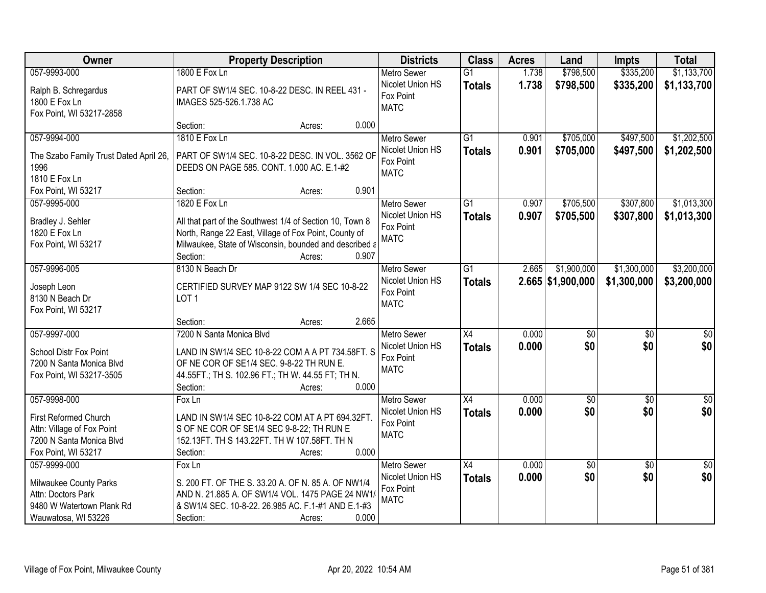| Owner                                           | <b>Property Description</b>                                                                   | <b>Districts</b>   | <b>Class</b>    | <b>Acres</b> | Land                | <b>Impts</b>    | <b>Total</b>    |
|-------------------------------------------------|-----------------------------------------------------------------------------------------------|--------------------|-----------------|--------------|---------------------|-----------------|-----------------|
| 057-9993-000                                    | 1800 E Fox Ln                                                                                 | <b>Metro Sewer</b> | $\overline{G1}$ | 1.738        | \$798,500           | \$335,200       | \$1,133,700     |
| Ralph B. Schregardus                            | PART OF SW1/4 SEC. 10-8-22 DESC. IN REEL 431 -                                                | Nicolet Union HS   | <b>Totals</b>   | 1.738        | \$798,500           | \$335,200       | \$1,133,700     |
| 1800 E Fox Ln                                   | IMAGES 525-526.1.738 AC                                                                       | Fox Point          |                 |              |                     |                 |                 |
| Fox Point, WI 53217-2858                        |                                                                                               | <b>MATC</b>        |                 |              |                     |                 |                 |
|                                                 | 0.000<br>Section:<br>Acres:                                                                   |                    |                 |              |                     |                 |                 |
| 057-9994-000                                    | 1810 E Fox Ln                                                                                 | <b>Metro Sewer</b> | $\overline{G1}$ | 0.901        | \$705,000           | \$497,500       | \$1,202,500     |
|                                                 |                                                                                               | Nicolet Union HS   | <b>Totals</b>   | 0.901        | \$705,000           | \$497,500       | \$1,202,500     |
| The Szabo Family Trust Dated April 26,<br>1996  | PART OF SW1/4 SEC. 10-8-22 DESC. IN VOL. 3562 OF<br>DEEDS ON PAGE 585. CONT. 1.000 AC. E.1-#2 | Fox Point          |                 |              |                     |                 |                 |
| 1810 E Fox Ln                                   |                                                                                               | <b>MATC</b>        |                 |              |                     |                 |                 |
| Fox Point, WI 53217                             | 0.901<br>Section:<br>Acres:                                                                   |                    |                 |              |                     |                 |                 |
| 057-9995-000                                    | 1820 E Fox Ln                                                                                 | <b>Metro Sewer</b> | $\overline{G1}$ | 0.907        | \$705,500           | \$307,800       | \$1,013,300     |
|                                                 |                                                                                               | Nicolet Union HS   | <b>Totals</b>   | 0.907        | \$705,500           | \$307,800       | \$1,013,300     |
| Bradley J. Sehler                               | All that part of the Southwest 1/4 of Section 10, Town 8                                      | Fox Point          |                 |              |                     |                 |                 |
| 1820 E Fox Ln                                   | North, Range 22 East, Village of Fox Point, County of                                         | <b>MATC</b>        |                 |              |                     |                 |                 |
| Fox Point, WI 53217                             | Milwaukee, State of Wisconsin, bounded and described a                                        |                    |                 |              |                     |                 |                 |
|                                                 | Section:<br>0.907<br>Acres:                                                                   |                    |                 |              |                     |                 |                 |
| 057-9996-005                                    | 8130 N Beach Dr                                                                               | <b>Metro Sewer</b> | $\overline{G1}$ | 2.665        | \$1,900,000         | \$1,300,000     | \$3,200,000     |
| Joseph Leon                                     | CERTIFIED SURVEY MAP 9122 SW 1/4 SEC 10-8-22                                                  | Nicolet Union HS   | <b>Totals</b>   |              | $2.665$ \$1,900,000 | \$1,300,000     | \$3,200,000     |
| 8130 N Beach Dr                                 | LOT <sub>1</sub>                                                                              | Fox Point          |                 |              |                     |                 |                 |
| Fox Point, WI 53217                             |                                                                                               | <b>MATC</b>        |                 |              |                     |                 |                 |
|                                                 | 2.665<br>Section:<br>Acres:                                                                   |                    |                 |              |                     |                 |                 |
| 057-9997-000                                    | 7200 N Santa Monica Blvd                                                                      | Metro Sewer        | $\overline{X4}$ | 0.000        | $\overline{50}$     | $\overline{50}$ | \$0             |
| <b>School Distr Fox Point</b>                   | LAND IN SW1/4 SEC 10-8-22 COM A A PT 734.58FT. S                                              | Nicolet Union HS   | <b>Totals</b>   | 0.000        | \$0                 | \$0             | \$0             |
| 7200 N Santa Monica Blvd                        | OF NE COR OF SE1/4 SEC. 9-8-22 TH RUN E.                                                      | Fox Point          |                 |              |                     |                 |                 |
| Fox Point, WI 53217-3505                        | 44.55FT.; TH S. 102.96 FT.; TH W. 44.55 FT; TH N.                                             | <b>MATC</b>        |                 |              |                     |                 |                 |
|                                                 | 0.000<br>Section:<br>Acres:                                                                   |                    |                 |              |                     |                 |                 |
| 057-9998-000                                    | $F$ ox Ln                                                                                     | Metro Sewer        | $\overline{X4}$ | 0.000        | $\sqrt{50}$         | $\overline{50}$ | $\overline{30}$ |
|                                                 |                                                                                               | Nicolet Union HS   | <b>Totals</b>   | 0.000        | \$0                 | \$0             | \$0             |
| First Reformed Church                           | LAND IN SW1/4 SEC 10-8-22 COM AT A PT 694.32FT.                                               | Fox Point          |                 |              |                     |                 |                 |
| Attn: Village of Fox Point                      | S OF NE COR OF SE1/4 SEC 9-8-22; TH RUN E                                                     | <b>MATC</b>        |                 |              |                     |                 |                 |
| 7200 N Santa Monica Blvd<br>Fox Point, WI 53217 | 152.13FT. TH S 143.22FT. TH W 107.58FT. TH N<br>0.000<br>Section:                             |                    |                 |              |                     |                 |                 |
| 057-9999-000                                    | Acres:<br>Fox Ln                                                                              | <b>Metro Sewer</b> | $\overline{X4}$ | 0.000        | \$0                 | $\overline{30}$ | $\overline{50}$ |
|                                                 |                                                                                               | Nicolet Union HS   |                 |              | \$0                 | \$0             | \$0             |
| Milwaukee County Parks                          | S. 200 FT. OF THE S. 33.20 A. OF N. 85 A. OF NW1/4                                            | Fox Point          | <b>Totals</b>   | 0.000        |                     |                 |                 |
| Attn: Doctors Park                              | AND N. 21.885 A. OF SW1/4 VOL. 1475 PAGE 24 NW1.                                              | <b>MATC</b>        |                 |              |                     |                 |                 |
| 9480 W Watertown Plank Rd                       | & SW1/4 SEC. 10-8-22. 26.985 AC. F.1-#1 AND E.1-#3                                            |                    |                 |              |                     |                 |                 |
| Wauwatosa, WI 53226                             | 0.000<br>Section:<br>Acres:                                                                   |                    |                 |              |                     |                 |                 |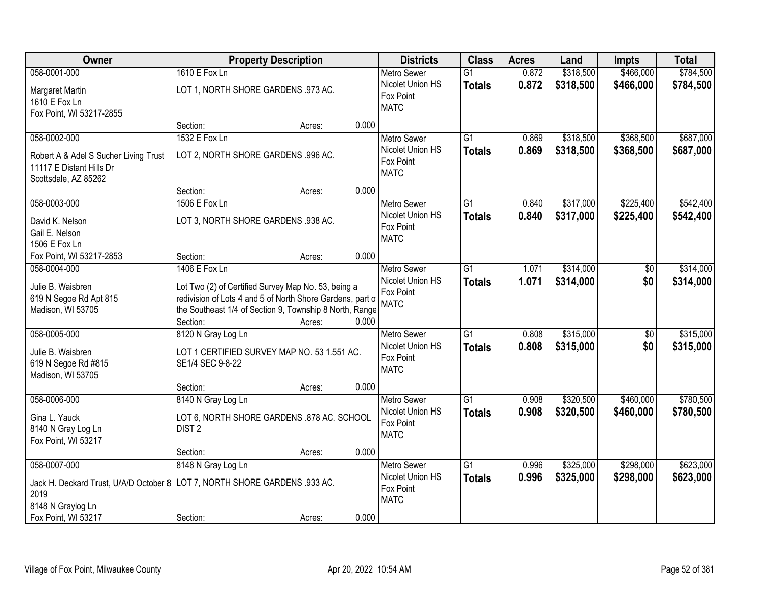| Owner                                                                      | <b>Property Description</b>                               |        | <b>Districts</b> | <b>Class</b>                  | <b>Acres</b>    | Land  | <b>Impts</b> | <b>Total</b>    |           |
|----------------------------------------------------------------------------|-----------------------------------------------------------|--------|------------------|-------------------------------|-----------------|-------|--------------|-----------------|-----------|
| 058-0001-000                                                               | 1610 E Fox Ln                                             |        |                  | <b>Metro Sewer</b>            | $\overline{G1}$ | 0.872 | \$318,500    | \$466,000       | \$784,500 |
| Margaret Martin                                                            | LOT 1, NORTH SHORE GARDENS .973 AC.                       |        |                  | Nicolet Union HS<br>Fox Point | <b>Totals</b>   | 0.872 | \$318,500    | \$466,000       | \$784,500 |
| 1610 E Fox Ln                                                              |                                                           |        |                  | <b>MATC</b>                   |                 |       |              |                 |           |
| Fox Point, WI 53217-2855                                                   |                                                           |        |                  |                               |                 |       |              |                 |           |
|                                                                            | Section:                                                  | Acres: | 0.000            |                               |                 |       |              |                 |           |
| 058-0002-000                                                               | 1532 E Fox Ln                                             |        |                  | <b>Metro Sewer</b>            | $\overline{G1}$ | 0.869 | \$318,500    | \$368,500       | \$687,000 |
| Robert A & Adel S Sucher Living Trust                                      | LOT 2, NORTH SHORE GARDENS .996 AC.                       |        |                  | Nicolet Union HS              | <b>Totals</b>   | 0.869 | \$318,500    | \$368,500       | \$687,000 |
| 11117 E Distant Hills Dr                                                   |                                                           |        |                  | Fox Point                     |                 |       |              |                 |           |
| Scottsdale, AZ 85262                                                       |                                                           |        |                  | <b>MATC</b>                   |                 |       |              |                 |           |
|                                                                            | Section:                                                  | Acres: | 0.000            |                               |                 |       |              |                 |           |
| 058-0003-000                                                               | 1506 E Fox Ln                                             |        |                  | Metro Sewer                   | $\overline{G1}$ | 0.840 | \$317,000    | \$225,400       | \$542,400 |
| David K. Nelson                                                            | LOT 3, NORTH SHORE GARDENS .938 AC.                       |        |                  | Nicolet Union HS              | <b>Totals</b>   | 0.840 | \$317,000    | \$225,400       | \$542,400 |
| Gail E. Nelson                                                             |                                                           |        |                  | Fox Point                     |                 |       |              |                 |           |
| 1506 E Fox Ln                                                              |                                                           |        |                  | <b>MATC</b>                   |                 |       |              |                 |           |
| Fox Point, WI 53217-2853                                                   | Section:                                                  | Acres: | 0.000            |                               |                 |       |              |                 |           |
| 058-0004-000                                                               | 1406 E Fox Ln                                             |        |                  | <b>Metro Sewer</b>            | $\overline{G1}$ | 1.071 | \$314,000    | \$0             | \$314,000 |
|                                                                            |                                                           |        |                  | Nicolet Union HS              | <b>Totals</b>   | 1.071 | \$314,000    | \$0             | \$314,000 |
| Julie B. Waisbren                                                          | Lot Two (2) of Certified Survey Map No. 53, being a       |        |                  | Fox Point                     |                 |       |              |                 |           |
| 619 N Segoe Rd Apt 815                                                     | redivision of Lots 4 and 5 of North Shore Gardens, part o |        |                  | <b>MATC</b>                   |                 |       |              |                 |           |
| Madison, WI 53705                                                          | the Southeast 1/4 of Section 9, Township 8 North, Range   |        |                  |                               |                 |       |              |                 |           |
|                                                                            | Section:                                                  | Acres: | 0.000            |                               |                 |       |              |                 |           |
| 058-0005-000                                                               | 8120 N Gray Log Ln                                        |        |                  | Metro Sewer                   | $\overline{G1}$ | 0.808 | \$315,000    | $\overline{50}$ | \$315,000 |
| Julie B. Waisbren                                                          | LOT 1 CERTIFIED SURVEY MAP NO. 53 1.551 AC.               |        |                  | Nicolet Union HS              | <b>Totals</b>   | 0.808 | \$315,000    | \$0             | \$315,000 |
| 619 N Segoe Rd #815                                                        | SE1/4 SEC 9-8-22                                          |        |                  | Fox Point                     |                 |       |              |                 |           |
| Madison, WI 53705                                                          |                                                           |        |                  | <b>MATC</b>                   |                 |       |              |                 |           |
|                                                                            | Section:                                                  | Acres: | 0.000            |                               |                 |       |              |                 |           |
| 058-0006-000                                                               | 8140 N Gray Log Ln                                        |        |                  | <b>Metro Sewer</b>            | $\overline{G1}$ | 0.908 | \$320,500    | \$460,000       | \$780,500 |
| Gina L. Yauck                                                              | LOT 6, NORTH SHORE GARDENS .878 AC. SCHOOL                |        |                  | Nicolet Union HS              | <b>Totals</b>   | 0.908 | \$320,500    | \$460,000       | \$780,500 |
| 8140 N Gray Log Ln                                                         | DIST <sub>2</sub>                                         |        |                  | Fox Point                     |                 |       |              |                 |           |
| Fox Point, WI 53217                                                        |                                                           |        |                  | <b>MATC</b>                   |                 |       |              |                 |           |
|                                                                            | Section:                                                  | Acres: | 0.000            |                               |                 |       |              |                 |           |
| 058-0007-000                                                               | 8148 N Gray Log Ln                                        |        |                  | <b>Metro Sewer</b>            | $\overline{G1}$ | 0.996 | \$325,000    | \$298,000       | \$623,000 |
|                                                                            |                                                           |        |                  | Nicolet Union HS              | <b>Totals</b>   | 0.996 | \$325,000    | \$298,000       | \$623,000 |
| Jack H. Deckard Trust, U/A/D October 8 LOT 7, NORTH SHORE GARDENS .933 AC. |                                                           |        |                  | Fox Point                     |                 |       |              |                 |           |
| 2019                                                                       |                                                           |        |                  | <b>MATC</b>                   |                 |       |              |                 |           |
| 8148 N Graylog Ln                                                          |                                                           |        |                  |                               |                 |       |              |                 |           |
| Fox Point, WI 53217                                                        | Section:                                                  | Acres: | 0.000            |                               |                 |       |              |                 |           |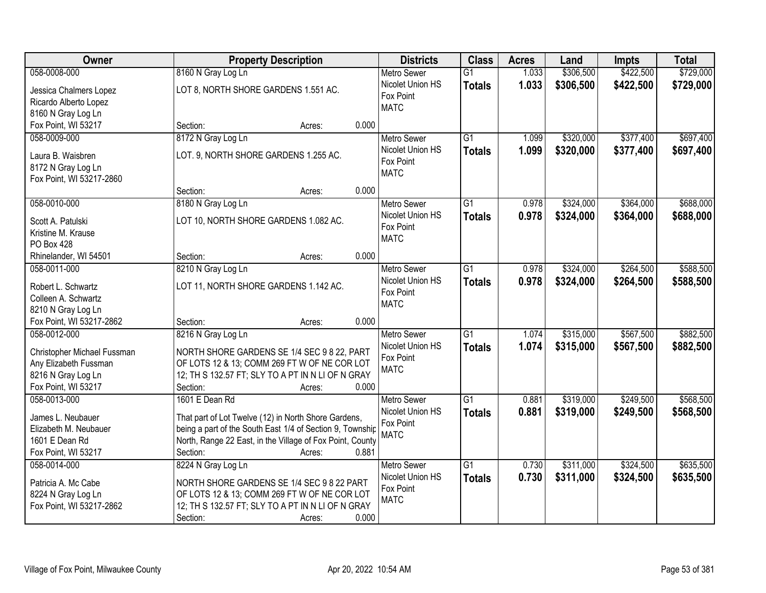| Owner                                   | <b>Property Description</b>                                                    | <b>Districts</b>                       | <b>Class</b>    | <b>Acres</b> | Land      | <b>Impts</b> | <b>Total</b> |
|-----------------------------------------|--------------------------------------------------------------------------------|----------------------------------------|-----------------|--------------|-----------|--------------|--------------|
| 058-0008-000                            | 8160 N Gray Log Ln                                                             | <b>Metro Sewer</b>                     | $\overline{G1}$ | 1.033        | \$306,500 | \$422,500    | \$729,000    |
| Jessica Chalmers Lopez                  | LOT 8, NORTH SHORE GARDENS 1.551 AC.                                           | Nicolet Union HS                       | <b>Totals</b>   | 1.033        | \$306,500 | \$422,500    | \$729,000    |
| Ricardo Alberto Lopez                   |                                                                                | Fox Point                              |                 |              |           |              |              |
| 8160 N Gray Log Ln                      |                                                                                | <b>MATC</b>                            |                 |              |           |              |              |
| Fox Point, WI 53217                     | 0.000<br>Section:<br>Acres:                                                    |                                        |                 |              |           |              |              |
| 058-0009-000                            | 8172 N Gray Log Ln                                                             | <b>Metro Sewer</b>                     | $\overline{G1}$ | 1.099        | \$320,000 | \$377,400    | \$697,400    |
| Laura B. Waisbren                       | LOT. 9, NORTH SHORE GARDENS 1.255 AC.                                          | Nicolet Union HS                       | <b>Totals</b>   | 1.099        | \$320,000 | \$377,400    | \$697,400    |
| 8172 N Gray Log Ln                      |                                                                                | Fox Point                              |                 |              |           |              |              |
| Fox Point, WI 53217-2860                |                                                                                | <b>MATC</b>                            |                 |              |           |              |              |
|                                         | 0.000<br>Section:<br>Acres:                                                    |                                        |                 |              |           |              |              |
| 058-0010-000                            | 8180 N Gray Log Ln                                                             | <b>Metro Sewer</b>                     | $\overline{G1}$ | 0.978        | \$324,000 | \$364,000    | \$688,000    |
|                                         |                                                                                | Nicolet Union HS                       | <b>Totals</b>   | 0.978        | \$324,000 | \$364,000    | \$688,000    |
| Scott A. Patulski                       | LOT 10, NORTH SHORE GARDENS 1.082 AC.                                          | Fox Point                              |                 |              |           |              |              |
| Kristine M. Krause                      |                                                                                | <b>MATC</b>                            |                 |              |           |              |              |
| <b>PO Box 428</b>                       | 0.000                                                                          |                                        |                 |              |           |              |              |
| Rhinelander, WI 54501<br>058-0011-000   | Section:<br>Acres:                                                             |                                        |                 |              |           |              |              |
|                                         | 8210 N Gray Log Ln                                                             | <b>Metro Sewer</b><br>Nicolet Union HS | G1              | 0.978        | \$324,000 | \$264,500    | \$588,500    |
| Robert L. Schwartz                      | LOT 11, NORTH SHORE GARDENS 1.142 AC.                                          | Fox Point                              | <b>Totals</b>   | 0.978        | \$324,000 | \$264,500    | \$588,500    |
| Colleen A. Schwartz                     |                                                                                | <b>MATC</b>                            |                 |              |           |              |              |
| 8210 N Gray Log Ln                      |                                                                                |                                        |                 |              |           |              |              |
| Fox Point, WI 53217-2862                | 0.000<br>Section:<br>Acres:                                                    |                                        |                 |              |           |              |              |
| 058-0012-000                            | 8216 N Gray Log Ln                                                             | <b>Metro Sewer</b>                     | $\overline{G1}$ | 1.074        | \$315,000 | \$567,500    | \$882,500    |
| Christopher Michael Fussman             | NORTH SHORE GARDENS SE 1/4 SEC 9 8 22, PART                                    | Nicolet Union HS                       | <b>Totals</b>   | 1.074        | \$315,000 | \$567,500    | \$882,500    |
| Any Elizabeth Fussman                   | OF LOTS 12 & 13; COMM 269 FT W OF NE COR LOT                                   | Fox Point                              |                 |              |           |              |              |
| 8216 N Gray Log Ln                      | 12; TH S 132.57 FT; SLY TO A PT IN N LI OF N GRAY                              | <b>MATC</b>                            |                 |              |           |              |              |
| Fox Point, WI 53217                     | Section:<br>0.000<br>Acres:                                                    |                                        |                 |              |           |              |              |
| 058-0013-000                            | 1601 E Dean Rd                                                                 | <b>Metro Sewer</b>                     | $\overline{G1}$ | 0.881        | \$319,000 | \$249,500    | \$568,500    |
|                                         |                                                                                | Nicolet Union HS                       | <b>Totals</b>   | 0.881        | \$319,000 | \$249,500    | \$568,500    |
| James L. Neubauer                       | That part of Lot Twelve (12) in North Shore Gardens,                           | Fox Point                              |                 |              |           |              |              |
| Elizabeth M. Neubauer<br>1601 E Dean Rd | being a part of the South East 1/4 of Section 9, Township                      | <b>MATC</b>                            |                 |              |           |              |              |
| Fox Point, WI 53217                     | North, Range 22 East, in the Village of Fox Point, County<br>0.881<br>Section: |                                        |                 |              |           |              |              |
| 058-0014-000                            | Acres:                                                                         |                                        | $\overline{G1}$ | 0.730        | \$311,000 | \$324,500    | \$635,500    |
|                                         | 8224 N Gray Log Ln                                                             | <b>Metro Sewer</b><br>Nicolet Union HS |                 |              |           |              |              |
| Patricia A. Mc Cabe                     | NORTH SHORE GARDENS SE 1/4 SEC 9 8 22 PART                                     | Fox Point                              | <b>Totals</b>   | 0.730        | \$311,000 | \$324,500    | \$635,500    |
| 8224 N Gray Log Ln                      | OF LOTS 12 & 13; COMM 269 FT W OF NE COR LOT                                   | <b>MATC</b>                            |                 |              |           |              |              |
| Fox Point, WI 53217-2862                | 12; TH S 132.57 FT; SLY TO A PT IN N LI OF N GRAY                              |                                        |                 |              |           |              |              |
|                                         | Section:<br>0.000<br>Acres:                                                    |                                        |                 |              |           |              |              |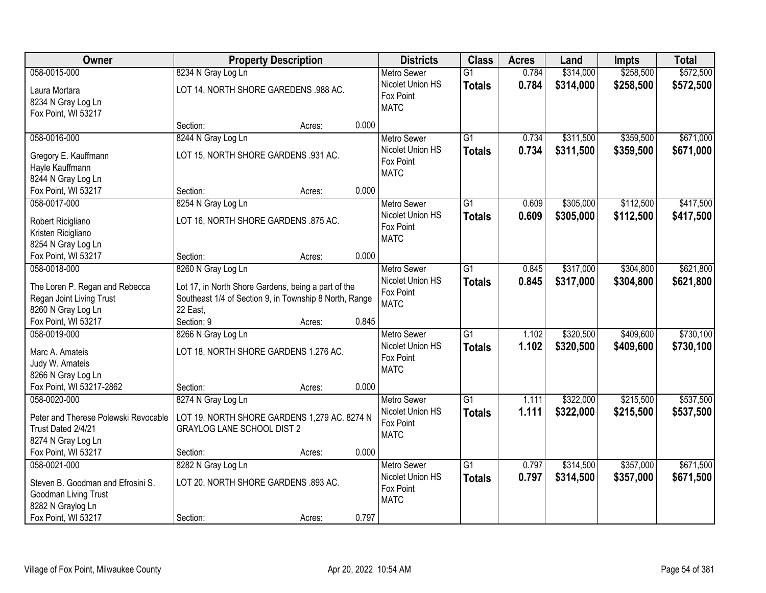| Owner                                                                                            |                                                                                                               | <b>Property Description</b> |       |                                                                    | <b>Class</b>                     | <b>Acres</b>   | Land                   | <b>Impts</b>           | <b>Total</b>           |
|--------------------------------------------------------------------------------------------------|---------------------------------------------------------------------------------------------------------------|-----------------------------|-------|--------------------------------------------------------------------|----------------------------------|----------------|------------------------|------------------------|------------------------|
| 058-0015-000                                                                                     | 8234 N Gray Log Ln                                                                                            |                             |       | <b>Metro Sewer</b>                                                 | $\overline{G1}$                  | 0.784          | \$314,000              | \$258,500              | \$572,500              |
| Laura Mortara<br>8234 N Gray Log Ln<br>Fox Point, WI 53217                                       | LOT 14, NORTH SHORE GAREDENS .988 AC.                                                                         |                             |       | Nicolet Union HS<br>Fox Point<br><b>MATC</b>                       | <b>Totals</b>                    | 0.784          | \$314,000              | \$258,500              | \$572,500              |
|                                                                                                  | Section:                                                                                                      | Acres:                      | 0.000 |                                                                    |                                  |                |                        |                        |                        |
| 058-0016-000<br>Gregory E. Kauffmann<br>Hayle Kauffmann                                          | 8244 N Gray Log Ln<br>LOT 15, NORTH SHORE GARDENS .931 AC.                                                    |                             |       | <b>Metro Sewer</b><br>Nicolet Union HS<br>Fox Point                | $\overline{G1}$<br><b>Totals</b> | 0.734<br>0.734 | \$311,500<br>\$311,500 | \$359,500<br>\$359,500 | \$671,000<br>\$671,000 |
| 8244 N Gray Log Ln                                                                               |                                                                                                               |                             |       | <b>MATC</b>                                                        |                                  |                |                        |                        |                        |
| Fox Point, WI 53217                                                                              | Section:                                                                                                      | Acres:                      | 0.000 |                                                                    |                                  |                |                        |                        |                        |
| 058-0017-000                                                                                     | 8254 N Gray Log Ln                                                                                            |                             |       | <b>Metro Sewer</b>                                                 | G1                               | 0.609          | \$305,000              | \$112,500              | \$417,500              |
| Robert Ricigliano<br>Kristen Ricigliano<br>8254 N Gray Log Ln                                    | LOT 16, NORTH SHORE GARDENS .875 AC.                                                                          |                             |       | Nicolet Union HS<br>Fox Point<br><b>MATC</b>                       | <b>Totals</b>                    | 0.609          | \$305,000              | \$112,500              | \$417,500              |
| Fox Point, WI 53217                                                                              | Section:                                                                                                      | Acres:                      | 0.000 |                                                                    |                                  |                |                        |                        |                        |
| 058-0018-000                                                                                     | 8260 N Gray Log Ln                                                                                            |                             |       | <b>Metro Sewer</b>                                                 | G1                               | 0.845          | \$317,000              | \$304,800              | \$621,800              |
| The Loren P. Regan and Rebecca                                                                   | Lot 17, in North Shore Gardens, being a part of the<br>Southeast 1/4 of Section 9, in Township 8 North, Range |                             |       | Nicolet Union HS<br>Fox Point                                      | <b>Totals</b>                    | 0.845          | \$317,000              | \$304,800              | \$621,800              |
| Regan Joint Living Trust<br>8260 N Gray Log Ln                                                   | 22 East,                                                                                                      |                             |       | <b>MATC</b>                                                        |                                  |                |                        |                        |                        |
| Fox Point, WI 53217                                                                              | Section: 9                                                                                                    | Acres:                      | 0.845 |                                                                    |                                  |                |                        |                        |                        |
| 058-0019-000<br>Marc A. Amateis                                                                  | 8266 N Gray Log Ln<br>LOT 18, NORTH SHORE GARDENS 1.276 AC.                                                   |                             |       | <b>Metro Sewer</b><br>Nicolet Union HS<br>Fox Point                | $\overline{G1}$<br><b>Totals</b> | 1.102<br>1.102 | \$320,500<br>\$320,500 | \$409,600<br>\$409,600 | \$730,100<br>\$730,100 |
| Judy W. Amateis                                                                                  |                                                                                                               |                             |       | <b>MATC</b>                                                        |                                  |                |                        |                        |                        |
| 8266 N Gray Log Ln                                                                               |                                                                                                               |                             |       |                                                                    |                                  |                |                        |                        |                        |
| Fox Point, WI 53217-2862                                                                         | Section:                                                                                                      | Acres:                      | 0.000 |                                                                    |                                  |                |                        |                        |                        |
| 058-0020-000<br>Peter and Therese Polewski Revocable<br>Trust Dated 2/4/21<br>8274 N Gray Log Ln | 8274 N Gray Log Ln<br>LOT 19, NORTH SHORE GARDENS 1,279 AC. 8274 N<br><b>GRAYLOG LANE SCHOOL DIST 2</b>       |                             |       | <b>Metro Sewer</b><br>Nicolet Union HS<br>Fox Point<br><b>MATC</b> | $\overline{G1}$<br><b>Totals</b> | 1.111<br>1.111 | \$322,000<br>\$322,000 | \$215,500<br>\$215,500 | \$537,500<br>\$537,500 |
| Fox Point, WI 53217                                                                              | Section:                                                                                                      | Acres:                      | 0.000 |                                                                    |                                  |                |                        |                        |                        |
| 058-0021-000                                                                                     | 8282 N Gray Log Ln                                                                                            |                             |       | <b>Metro Sewer</b>                                                 | $\overline{G1}$                  | 0.797          | \$314,500              | \$357,000              | \$671,500              |
| Steven B. Goodman and Efrosini S.<br>Goodman Living Trust<br>8282 N Graylog Ln                   | LOT 20, NORTH SHORE GARDENS .893 AC.                                                                          |                             |       | Nicolet Union HS<br>Fox Point<br><b>MATC</b>                       | <b>Totals</b>                    | 0.797          | \$314,500              | \$357,000              | \$671,500              |
| Fox Point, WI 53217                                                                              | Section:                                                                                                      | Acres:                      | 0.797 |                                                                    |                                  |                |                        |                        |                        |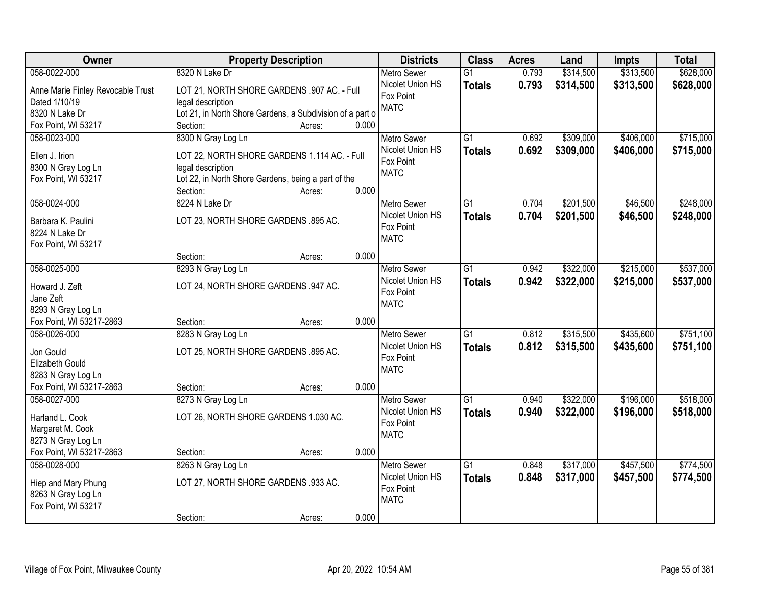| Owner                             | <b>Property Description</b>                                              | <b>Districts</b>              | <b>Class</b>    | <b>Acres</b> | Land      | <b>Impts</b> | <b>Total</b> |
|-----------------------------------|--------------------------------------------------------------------------|-------------------------------|-----------------|--------------|-----------|--------------|--------------|
| 058-0022-000                      | 8320 N Lake Dr                                                           | <b>Metro Sewer</b>            | $\overline{G1}$ | 0.793        | \$314,500 | \$313,500    | \$628,000    |
| Anne Marie Finley Revocable Trust | LOT 21, NORTH SHORE GARDENS .907 AC. - Full                              | Nicolet Union HS              | <b>Totals</b>   | 0.793        | \$314,500 | \$313,500    | \$628,000    |
| Dated 1/10/19                     | legal description                                                        | Fox Point                     |                 |              |           |              |              |
| 8320 N Lake Dr                    | Lot 21, in North Shore Gardens, a Subdivision of a part o                | <b>MATC</b>                   |                 |              |           |              |              |
| Fox Point, WI 53217               | 0.000<br>Section:<br>Acres:                                              |                               |                 |              |           |              |              |
| 058-0023-000                      | 8300 N Gray Log Ln                                                       | <b>Metro Sewer</b>            | G1              | 0.692        | \$309,000 | \$406,000    | \$715,000    |
|                                   |                                                                          | Nicolet Union HS              | <b>Totals</b>   | 0.692        | \$309,000 | \$406,000    | \$715,000    |
| Ellen J. Irion                    | LOT 22, NORTH SHORE GARDENS 1.114 AC. - Full                             | Fox Point                     |                 |              |           |              |              |
| 8300 N Gray Log Ln                | legal description                                                        | <b>MATC</b>                   |                 |              |           |              |              |
| Fox Point, WI 53217               | Lot 22, in North Shore Gardens, being a part of the<br>0.000<br>Section: |                               |                 |              |           |              |              |
| 058-0024-000                      | Acres:<br>8224 N Lake Dr                                                 | Metro Sewer                   | $\overline{G1}$ | 0.704        | \$201,500 | \$46,500     | \$248,000    |
|                                   |                                                                          | Nicolet Union HS              |                 |              |           |              |              |
| Barbara K. Paulini                | LOT 23, NORTH SHORE GARDENS .895 AC.                                     | Fox Point                     | <b>Totals</b>   | 0.704        | \$201,500 | \$46,500     | \$248,000    |
| 8224 N Lake Dr                    |                                                                          | <b>MATC</b>                   |                 |              |           |              |              |
| Fox Point, WI 53217               |                                                                          |                               |                 |              |           |              |              |
|                                   | 0.000<br>Section:<br>Acres:                                              |                               |                 |              |           |              |              |
| 058-0025-000                      | 8293 N Gray Log Ln                                                       | <b>Metro Sewer</b>            | $\overline{G1}$ | 0.942        | \$322,000 | \$215,000    | \$537,000    |
| Howard J. Zeft                    | LOT 24, NORTH SHORE GARDENS .947 AC.                                     | Nicolet Union HS              | <b>Totals</b>   | 0.942        | \$322,000 | \$215,000    | \$537,000    |
| Jane Zeft                         |                                                                          | Fox Point                     |                 |              |           |              |              |
| 8293 N Gray Log Ln                |                                                                          | <b>MATC</b>                   |                 |              |           |              |              |
| Fox Point, WI 53217-2863          | 0.000<br>Section:<br>Acres:                                              |                               |                 |              |           |              |              |
| 058-0026-000                      | 8283 N Gray Log Ln                                                       | <b>Metro Sewer</b>            | $\overline{G1}$ | 0.812        | \$315,500 | \$435,600    | \$751,100    |
|                                   |                                                                          | Nicolet Union HS              | <b>Totals</b>   | 0.812        | \$315,500 | \$435,600    | \$751,100    |
| Jon Gould                         | LOT 25, NORTH SHORE GARDENS .895 AC.                                     | Fox Point                     |                 |              |           |              |              |
| Elizabeth Gould                   |                                                                          | <b>MATC</b>                   |                 |              |           |              |              |
| 8283 N Gray Log Ln                |                                                                          |                               |                 |              |           |              |              |
| Fox Point, WI 53217-2863          | 0.000<br>Section:<br>Acres:                                              |                               |                 |              |           |              |              |
| 058-0027-000                      | 8273 N Gray Log Ln                                                       | <b>Metro Sewer</b>            | $\overline{G1}$ | 0.940        | \$322,000 | \$196,000    | \$518,000    |
| Harland L. Cook                   | LOT 26, NORTH SHORE GARDENS 1.030 AC.                                    | Nicolet Union HS<br>Fox Point | <b>Totals</b>   | 0.940        | \$322,000 | \$196,000    | \$518,000    |
| Margaret M. Cook                  |                                                                          | <b>MATC</b>                   |                 |              |           |              |              |
| 8273 N Gray Log Ln                |                                                                          |                               |                 |              |           |              |              |
| Fox Point, WI 53217-2863          | 0.000<br>Section:<br>Acres:                                              |                               |                 |              |           |              |              |
| 058-0028-000                      | 8263 N Gray Log Ln                                                       | <b>Metro Sewer</b>            | $\overline{G1}$ | 0.848        | \$317,000 | \$457,500    | \$774,500    |
| Hiep and Mary Phung               | LOT 27, NORTH SHORE GARDENS .933 AC.                                     | Nicolet Union HS              | <b>Totals</b>   | 0.848        | \$317,000 | \$457,500    | \$774,500    |
| 8263 N Gray Log Ln                |                                                                          | Fox Point                     |                 |              |           |              |              |
| Fox Point, WI 53217               |                                                                          | <b>MATC</b>                   |                 |              |           |              |              |
|                                   | 0.000<br>Section:<br>Acres:                                              |                               |                 |              |           |              |              |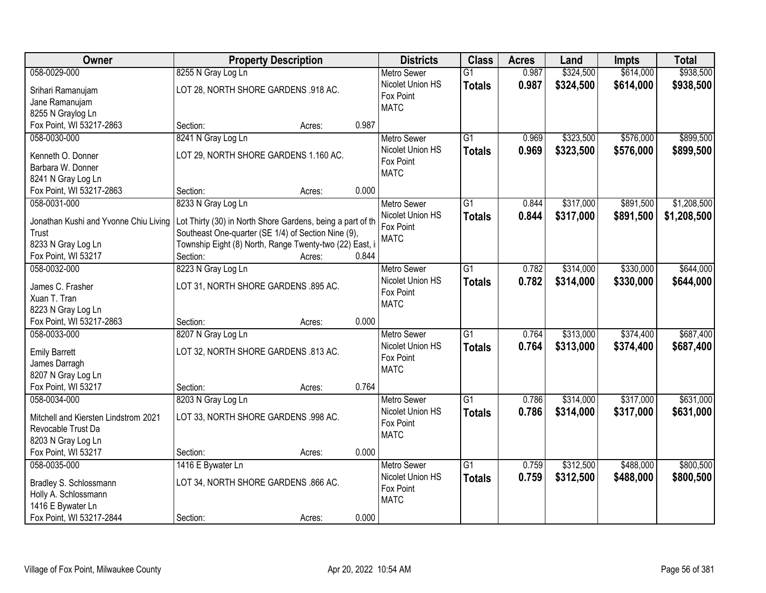| Owner                                  | <b>Property Description</b>                                | <b>Districts</b>   | <b>Class</b>    | <b>Acres</b> | Land      | <b>Impts</b> | <b>Total</b> |
|----------------------------------------|------------------------------------------------------------|--------------------|-----------------|--------------|-----------|--------------|--------------|
| 058-0029-000                           | 8255 N Gray Log Ln                                         | <b>Metro Sewer</b> | $\overline{G1}$ | 0.987        | \$324,500 | \$614,000    | \$938,500    |
| Srihari Ramanujam                      | LOT 28, NORTH SHORE GARDENS .918 AC.                       | Nicolet Union HS   | <b>Totals</b>   | 0.987        | \$324,500 | \$614,000    | \$938,500    |
| Jane Ramanujam                         |                                                            | Fox Point          |                 |              |           |              |              |
| 8255 N Graylog Ln                      |                                                            | <b>MATC</b>        |                 |              |           |              |              |
| Fox Point, WI 53217-2863               | 0.987<br>Section:<br>Acres:                                |                    |                 |              |           |              |              |
| 058-0030-000                           | 8241 N Gray Log Ln                                         | <b>Metro Sewer</b> | $\overline{G1}$ | 0.969        | \$323,500 | \$576,000    | \$899,500    |
|                                        | LOT 29, NORTH SHORE GARDENS 1.160 AC.                      | Nicolet Union HS   | <b>Totals</b>   | 0.969        | \$323,500 | \$576,000    | \$899,500    |
| Kenneth O. Donner<br>Barbara W. Donner |                                                            | Fox Point          |                 |              |           |              |              |
| 8241 N Gray Log Ln                     |                                                            | <b>MATC</b>        |                 |              |           |              |              |
| Fox Point, WI 53217-2863               | 0.000<br>Section:<br>Acres:                                |                    |                 |              |           |              |              |
| 058-0031-000                           | 8233 N Gray Log Ln                                         | <b>Metro Sewer</b> | G1              | 0.844        | \$317,000 | \$891,500    | \$1,208,500  |
|                                        |                                                            | Nicolet Union HS   |                 |              |           |              |              |
| Jonathan Kushi and Yvonne Chiu Living  | Lot Thirty (30) in North Shore Gardens, being a part of th | Fox Point          | <b>Totals</b>   | 0.844        | \$317,000 | \$891,500    | \$1,208,500  |
| Trust                                  | Southeast One-quarter (SE 1/4) of Section Nine (9),        | <b>MATC</b>        |                 |              |           |              |              |
| 8233 N Gray Log Ln                     | Township Eight (8) North, Range Twenty-two (22) East, i    |                    |                 |              |           |              |              |
| Fox Point, WI 53217                    | Section:<br>0.844<br>Acres:                                |                    |                 |              |           |              |              |
| 058-0032-000                           | 8223 N Gray Log Ln                                         | <b>Metro Sewer</b> | G1              | 0.782        | \$314,000 | \$330,000    | \$644,000    |
| James C. Frasher                       | LOT 31, NORTH SHORE GARDENS .895 AC.                       | Nicolet Union HS   | <b>Totals</b>   | 0.782        | \$314,000 | \$330,000    | \$644,000    |
| Xuan T. Tran                           |                                                            | Fox Point          |                 |              |           |              |              |
| 8223 N Gray Log Ln                     |                                                            | <b>MATC</b>        |                 |              |           |              |              |
| Fox Point, WI 53217-2863               | 0.000<br>Section:<br>Acres:                                |                    |                 |              |           |              |              |
| 058-0033-000                           | 8207 N Gray Log Ln                                         | <b>Metro Sewer</b> | $\overline{G1}$ | 0.764        | \$313,000 | \$374,400    | \$687,400    |
|                                        |                                                            | Nicolet Union HS   | Totals          | 0.764        | \$313,000 | \$374,400    | \$687,400    |
| <b>Emily Barrett</b>                   | LOT 32, NORTH SHORE GARDENS .813 AC.                       | Fox Point          |                 |              |           |              |              |
| James Darragh                          |                                                            | <b>MATC</b>        |                 |              |           |              |              |
| 8207 N Gray Log Ln                     |                                                            |                    |                 |              |           |              |              |
| Fox Point, WI 53217                    | 0.764<br>Section:<br>Acres:                                |                    |                 |              |           |              |              |
| 058-0034-000                           | 8203 N Gray Log Ln                                         | <b>Metro Sewer</b> | $\overline{G1}$ | 0.786        | \$314,000 | \$317,000    | \$631,000    |
| Mitchell and Kiersten Lindstrom 2021   | LOT 33, NORTH SHORE GARDENS .998 AC.                       | Nicolet Union HS   | <b>Totals</b>   | 0.786        | \$314,000 | \$317,000    | \$631,000    |
| Revocable Trust Da                     |                                                            | Fox Point          |                 |              |           |              |              |
| 8203 N Gray Log Ln                     |                                                            | <b>MATC</b>        |                 |              |           |              |              |
| Fox Point, WI 53217                    | 0.000<br>Section:<br>Acres:                                |                    |                 |              |           |              |              |
| 058-0035-000                           | 1416 E Bywater Ln                                          | <b>Metro Sewer</b> | $\overline{G1}$ | 0.759        | \$312,500 | \$488,000    | \$800,500    |
|                                        |                                                            | Nicolet Union HS   | <b>Totals</b>   | 0.759        | \$312,500 | \$488,000    | \$800,500    |
| Bradley S. Schlossmann                 | LOT 34, NORTH SHORE GARDENS .866 AC.                       | Fox Point          |                 |              |           |              |              |
| Holly A. Schlossmann                   |                                                            | <b>MATC</b>        |                 |              |           |              |              |
| 1416 E Bywater Ln                      |                                                            |                    |                 |              |           |              |              |
| Fox Point, WI 53217-2844               | 0.000<br>Section:<br>Acres:                                |                    |                 |              |           |              |              |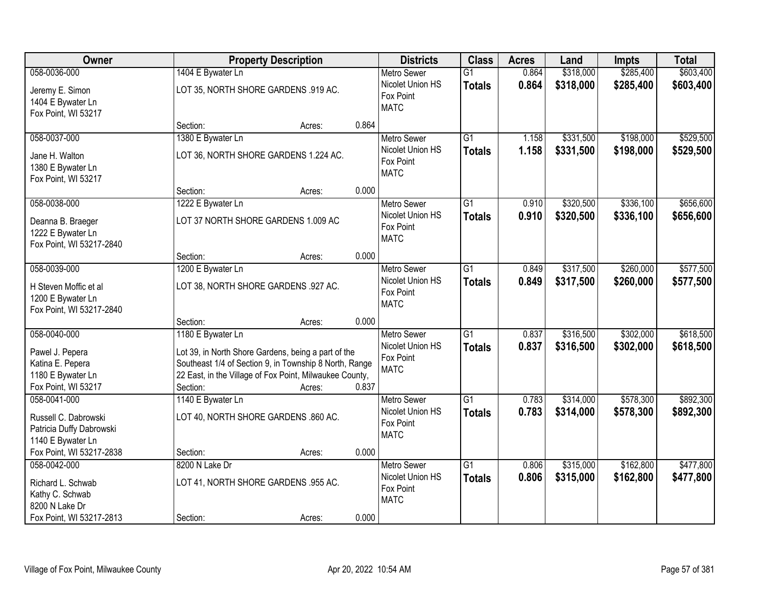| Owner                                                                  |                                      | <b>Property Description</b>                             |       |                                              | <b>Class</b>    | <b>Acres</b> | Land      | <b>Impts</b> | <b>Total</b> |
|------------------------------------------------------------------------|--------------------------------------|---------------------------------------------------------|-------|----------------------------------------------|-----------------|--------------|-----------|--------------|--------------|
| 058-0036-000                                                           | 1404 E Bywater Ln                    |                                                         |       | <b>Metro Sewer</b>                           | $\overline{G1}$ | 0.864        | \$318,000 | \$285,400    | \$603,400    |
| Jeremy E. Simon<br>1404 E Bywater Ln<br>Fox Point, WI 53217            | LOT 35, NORTH SHORE GARDENS .919 AC. |                                                         |       | Nicolet Union HS<br>Fox Point<br><b>MATC</b> | <b>Totals</b>   | 0.864        | \$318,000 | \$285,400    | \$603,400    |
|                                                                        | Section:                             | Acres:                                                  | 0.864 |                                              |                 |              |           |              |              |
| 058-0037-000                                                           | 1380 E Bywater Ln                    |                                                         |       | <b>Metro Sewer</b>                           | $\overline{G1}$ | 1.158        | \$331,500 | \$198,000    | \$529,500    |
| Jane H. Walton<br>1380 E Bywater Ln<br>Fox Point, WI 53217             |                                      | LOT 36, NORTH SHORE GARDENS 1.224 AC.                   |       | Nicolet Union HS<br>Fox Point<br><b>MATC</b> | <b>Totals</b>   | 1.158        | \$331,500 | \$198,000    | \$529,500    |
|                                                                        | Section:                             | Acres:                                                  | 0.000 |                                              |                 |              |           |              |              |
| 058-0038-000                                                           | 1222 E Bywater Ln                    |                                                         |       | Metro Sewer                                  | G1              | 0.910        | \$320,500 | \$336,100    | \$656,600    |
| Deanna B. Braeger<br>1222 E Bywater Ln<br>Fox Point, WI 53217-2840     | LOT 37 NORTH SHORE GARDENS 1.009 AC  |                                                         |       | Nicolet Union HS<br>Fox Point<br><b>MATC</b> | <b>Totals</b>   | 0.910        | \$320,500 | \$336,100    | \$656,600    |
|                                                                        | Section:                             | Acres:                                                  | 0.000 |                                              |                 |              |           |              |              |
| 058-0039-000                                                           | 1200 E Bywater Ln                    |                                                         |       | <b>Metro Sewer</b>                           | $\overline{G1}$ | 0.849        | \$317,500 | \$260,000    | \$577,500    |
| H Steven Moffic et al<br>1200 E Bywater Ln<br>Fox Point, WI 53217-2840 | LOT 38, NORTH SHORE GARDENS .927 AC. |                                                         |       | Nicolet Union HS<br>Fox Point<br><b>MATC</b> | <b>Totals</b>   | 0.849        | \$317,500 | \$260,000    | \$577,500    |
|                                                                        | Section:                             | Acres:                                                  | 0.000 |                                              |                 |              |           |              |              |
| 058-0040-000                                                           | 1180 E Bywater Ln                    |                                                         |       | <b>Metro Sewer</b>                           | $\overline{G1}$ | 0.837        | \$316,500 | \$302,000    | \$618,500    |
| Pawel J. Pepera                                                        |                                      | Lot 39, in North Shore Gardens, being a part of the     |       | Nicolet Union HS                             | <b>Totals</b>   | 0.837        | \$316,500 | \$302,000    | \$618,500    |
| Katina E. Pepera                                                       |                                      | Southeast 1/4 of Section 9, in Township 8 North, Range  |       | Fox Point<br><b>MATC</b>                     |                 |              |           |              |              |
| 1180 E Bywater Ln                                                      |                                      | 22 East, in the Village of Fox Point, Milwaukee County, |       |                                              |                 |              |           |              |              |
| Fox Point, WI 53217                                                    | Section:                             | Acres:                                                  | 0.837 |                                              |                 |              |           |              |              |
| 058-0041-000                                                           | 1140 E Bywater Ln                    |                                                         |       | <b>Metro Sewer</b>                           | $\overline{G1}$ | 0.783        | \$314,000 | \$578,300    | \$892,300    |
| Russell C. Dabrowski<br>Patricia Duffy Dabrowski<br>1140 E Bywater Ln  | LOT 40, NORTH SHORE GARDENS .860 AC. |                                                         |       | Nicolet Union HS<br>Fox Point<br><b>MATC</b> | <b>Totals</b>   | 0.783        | \$314,000 | \$578,300    | \$892,300    |
| Fox Point, WI 53217-2838                                               | Section:                             | Acres:                                                  | 0.000 |                                              |                 |              |           |              |              |
| 058-0042-000                                                           | 8200 N Lake Dr                       |                                                         |       | Metro Sewer                                  | $\overline{G1}$ | 0.806        | \$315,000 | \$162,800    | \$477,800    |
| Richard L. Schwab<br>Kathy C. Schwab<br>8200 N Lake Dr                 | LOT 41, NORTH SHORE GARDENS .955 AC. |                                                         |       | Nicolet Union HS<br>Fox Point<br><b>MATC</b> | <b>Totals</b>   | 0.806        | \$315,000 | \$162,800    | \$477,800    |
| Fox Point, WI 53217-2813                                               | Section:                             | Acres:                                                  | 0.000 |                                              |                 |              |           |              |              |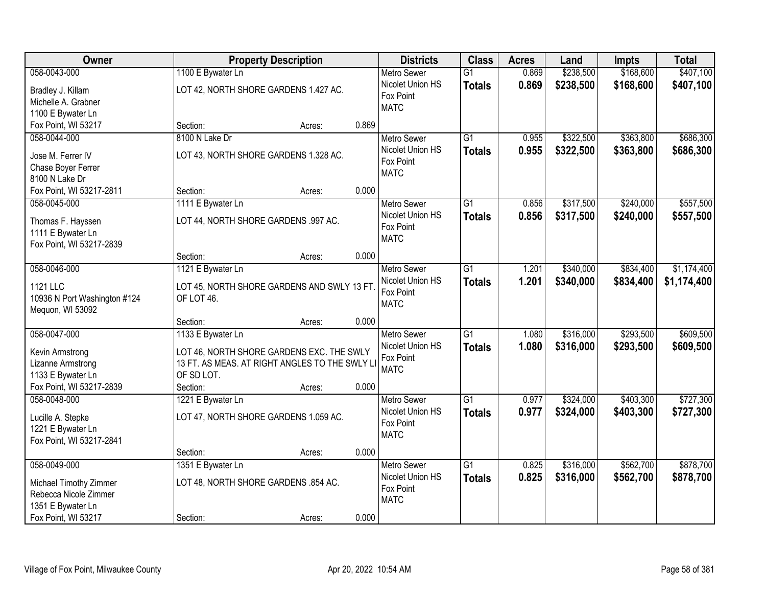| Owner                        | <b>Property Description</b>          |                                                |       | <b>Districts</b>   | <b>Class</b>    | <b>Acres</b> | Land      | <b>Impts</b> | <b>Total</b> |
|------------------------------|--------------------------------------|------------------------------------------------|-------|--------------------|-----------------|--------------|-----------|--------------|--------------|
| 058-0043-000                 | 1100 E Bywater Ln                    |                                                |       | <b>Metro Sewer</b> | $\overline{G1}$ | 0.869        | \$238,500 | \$168,600    | \$407,100    |
| Bradley J. Killam            |                                      | LOT 42, NORTH SHORE GARDENS 1.427 AC.          |       | Nicolet Union HS   | <b>Totals</b>   | 0.869        | \$238,500 | \$168,600    | \$407,100    |
| Michelle A. Grabner          |                                      |                                                |       | Fox Point          |                 |              |           |              |              |
| 1100 E Bywater Ln            |                                      |                                                |       | <b>MATC</b>        |                 |              |           |              |              |
| Fox Point, WI 53217          | Section:                             | Acres:                                         | 0.869 |                    |                 |              |           |              |              |
| 058-0044-000                 | 8100 N Lake Dr                       |                                                |       | <b>Metro Sewer</b> | $\overline{G1}$ | 0.955        | \$322,500 | \$363,800    | \$686,300    |
|                              |                                      |                                                |       | Nicolet Union HS   | <b>Totals</b>   | 0.955        | \$322,500 | \$363,800    | \$686,300    |
| Jose M. Ferrer IV            |                                      | LOT 43, NORTH SHORE GARDENS 1.328 AC.          |       | Fox Point          |                 |              |           |              |              |
| Chase Boyer Ferrer           |                                      |                                                |       | <b>MATC</b>        |                 |              |           |              |              |
| 8100 N Lake Dr               |                                      |                                                |       |                    |                 |              |           |              |              |
| Fox Point, WI 53217-2811     | Section:                             | Acres:                                         | 0.000 |                    |                 |              |           |              |              |
| 058-0045-000                 | 1111 E Bywater Ln                    |                                                |       | <b>Metro Sewer</b> | G1              | 0.856        | \$317,500 | \$240,000    | \$557,500    |
| Thomas F. Hayssen            | LOT 44, NORTH SHORE GARDENS .997 AC. |                                                |       | Nicolet Union HS   | <b>Totals</b>   | 0.856        | \$317,500 | \$240,000    | \$557,500    |
| 1111 E Bywater Ln            |                                      |                                                |       | Fox Point          |                 |              |           |              |              |
| Fox Point, WI 53217-2839     |                                      |                                                |       | <b>MATC</b>        |                 |              |           |              |              |
|                              | Section:                             | Acres:                                         | 0.000 |                    |                 |              |           |              |              |
| 058-0046-000                 | 1121 E Bywater Ln                    |                                                |       | <b>Metro Sewer</b> | G1              | 1.201        | \$340,000 | \$834,400    | \$1,174,400  |
| 1121 LLC                     |                                      | LOT 45, NORTH SHORE GARDENS AND SWLY 13 FT     |       | Nicolet Union HS   | <b>Totals</b>   | 1.201        | \$340,000 | \$834,400    | \$1,174,400  |
| 10936 N Port Washington #124 | OF LOT 46.                           |                                                |       | Fox Point          |                 |              |           |              |              |
| Mequon, WI 53092             |                                      |                                                |       | <b>MATC</b>        |                 |              |           |              |              |
|                              | Section:                             | Acres:                                         | 0.000 |                    |                 |              |           |              |              |
| 058-0047-000                 | 1133 E Bywater Ln                    |                                                |       | <b>Metro Sewer</b> | $\overline{G1}$ | 1.080        | \$316,000 | \$293,500    | \$609,500    |
|                              |                                      |                                                |       | Nicolet Union HS   | <b>Totals</b>   | 1.080        | \$316,000 | \$293,500    | \$609,500    |
| Kevin Armstrong              |                                      | LOT 46, NORTH SHORE GARDENS EXC. THE SWLY      |       | Fox Point          |                 |              |           |              |              |
| Lizanne Armstrong            |                                      | 13 FT. AS MEAS. AT RIGHT ANGLES TO THE SWLY LI |       | <b>MATC</b>        |                 |              |           |              |              |
| 1133 E Bywater Ln            | OF SD LOT.                           |                                                |       |                    |                 |              |           |              |              |
| Fox Point, WI 53217-2839     | Section:                             | Acres:                                         | 0.000 |                    |                 |              |           |              |              |
| 058-0048-000                 | 1221 E Bywater Ln                    |                                                |       | Metro Sewer        | $\overline{G1}$ | 0.977        | \$324,000 | \$403,300    | \$727,300    |
| Lucille A. Stepke            |                                      | LOT 47, NORTH SHORE GARDENS 1.059 AC.          |       | Nicolet Union HS   | <b>Totals</b>   | 0.977        | \$324,000 | \$403,300    | \$727,300    |
| 1221 E Bywater Ln            |                                      |                                                |       | Fox Point          |                 |              |           |              |              |
| Fox Point, WI 53217-2841     |                                      |                                                |       | <b>MATC</b>        |                 |              |           |              |              |
|                              | Section:                             | Acres:                                         | 0.000 |                    |                 |              |           |              |              |
| 058-0049-000                 | 1351 E Bywater Ln                    |                                                |       | <b>Metro Sewer</b> | $\overline{G1}$ | 0.825        | \$316,000 | \$562,700    | \$878,700    |
|                              |                                      |                                                |       | Nicolet Union HS   | <b>Totals</b>   | 0.825        | \$316,000 | \$562,700    | \$878,700    |
| Michael Timothy Zimmer       | LOT 48, NORTH SHORE GARDENS .854 AC. |                                                |       | Fox Point          |                 |              |           |              |              |
| Rebecca Nicole Zimmer        |                                      |                                                |       | <b>MATC</b>        |                 |              |           |              |              |
| 1351 E Bywater Ln            |                                      |                                                |       |                    |                 |              |           |              |              |
| Fox Point, WI 53217          | Section:                             | Acres:                                         | 0.000 |                    |                 |              |           |              |              |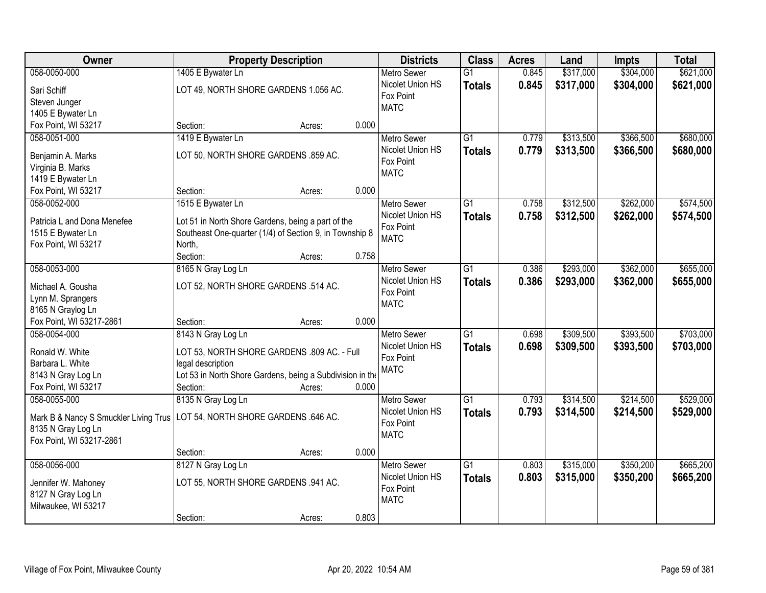| Owner                                  | <b>Property Description</b>                               |        |       | <b>Districts</b>              | <b>Class</b>    | <b>Acres</b> | Land      | <b>Impts</b> | <b>Total</b> |
|----------------------------------------|-----------------------------------------------------------|--------|-------|-------------------------------|-----------------|--------------|-----------|--------------|--------------|
| 058-0050-000                           | 1405 E Bywater Ln                                         |        |       | <b>Metro Sewer</b>            | $\overline{G1}$ | 0.845        | \$317,000 | \$304,000    | \$621,000    |
| Sari Schiff                            | LOT 49, NORTH SHORE GARDENS 1.056 AC.                     |        |       | Nicolet Union HS              | <b>Totals</b>   | 0.845        | \$317,000 | \$304,000    | \$621,000    |
| Steven Junger                          |                                                           |        |       | Fox Point                     |                 |              |           |              |              |
| 1405 E Bywater Ln                      |                                                           |        |       | <b>MATC</b>                   |                 |              |           |              |              |
| Fox Point, WI 53217                    | Section:                                                  | Acres: | 0.000 |                               |                 |              |           |              |              |
| 058-0051-000                           | 1419 E Bywater Ln                                         |        |       | <b>Metro Sewer</b>            | $\overline{G1}$ | 0.779        | \$313,500 | \$366,500    | \$680,000    |
|                                        | LOT 50, NORTH SHORE GARDENS .859 AC.                      |        |       | Nicolet Union HS              | <b>Totals</b>   | 0.779        | \$313,500 | \$366,500    | \$680,000    |
| Benjamin A. Marks<br>Virginia B. Marks |                                                           |        |       | Fox Point                     |                 |              |           |              |              |
| 1419 E Bywater Ln                      |                                                           |        |       | <b>MATC</b>                   |                 |              |           |              |              |
| Fox Point, WI 53217                    | Section:                                                  | Acres: | 0.000 |                               |                 |              |           |              |              |
| 058-0052-000                           | 1515 E Bywater Ln                                         |        |       | Metro Sewer                   | $\overline{G1}$ | 0.758        | \$312,500 | \$262,000    | \$574,500    |
|                                        |                                                           |        |       | Nicolet Union HS              | <b>Totals</b>   | 0.758        | \$312,500 | \$262,000    | \$574,500    |
| Patricia L and Dona Menefee            | Lot 51 in North Shore Gardens, being a part of the        |        |       | Fox Point                     |                 |              |           |              |              |
| 1515 E Bywater Ln                      | Southeast One-quarter (1/4) of Section 9, in Township 8   |        |       | <b>MATC</b>                   |                 |              |           |              |              |
| Fox Point, WI 53217                    | North,                                                    |        |       |                               |                 |              |           |              |              |
|                                        | Section:                                                  | Acres: | 0.758 |                               |                 |              |           |              |              |
| 058-0053-000                           | 8165 N Gray Log Ln                                        |        |       | <b>Metro Sewer</b>            | G1              | 0.386        | \$293,000 | \$362,000    | \$655,000    |
| Michael A. Gousha                      | LOT 52, NORTH SHORE GARDENS .514 AC.                      |        |       | Nicolet Union HS              | <b>Totals</b>   | 0.386        | \$293,000 | \$362,000    | \$655,000    |
| Lynn M. Sprangers                      |                                                           |        |       | Fox Point<br><b>MATC</b>      |                 |              |           |              |              |
| 8165 N Graylog Ln                      |                                                           |        |       |                               |                 |              |           |              |              |
| Fox Point, WI 53217-2861               | Section:                                                  | Acres: | 0.000 |                               |                 |              |           |              |              |
| 058-0054-000                           | 8143 N Gray Log Ln                                        |        |       | <b>Metro Sewer</b>            | $\overline{G1}$ | 0.698        | \$309,500 | \$393,500    | \$703,000    |
| Ronald W. White                        | LOT 53, NORTH SHORE GARDENS .809 AC. - Full               |        |       | Nicolet Union HS              | <b>Totals</b>   | 0.698        | \$309,500 | \$393,500    | \$703,000    |
| Barbara L. White                       | legal description                                         |        |       | Fox Point                     |                 |              |           |              |              |
| 8143 N Gray Log Ln                     | Lot 53 in North Shore Gardens, being a Subdivision in the |        |       | <b>MATC</b>                   |                 |              |           |              |              |
| Fox Point, WI 53217                    | Section:                                                  | Acres: | 0.000 |                               |                 |              |           |              |              |
| 058-0055-000                           | 8135 N Gray Log Ln                                        |        |       | <b>Metro Sewer</b>            | $\overline{G1}$ | 0.793        | \$314,500 | \$214,500    | \$529,000    |
|                                        |                                                           |        |       | Nicolet Union HS              | <b>Totals</b>   | 0.793        | \$314,500 | \$214,500    | \$529,000    |
| Mark B & Nancy S Smuckler Living Trus  | LOT 54, NORTH SHORE GARDENS .646 AC.                      |        |       | Fox Point                     |                 |              |           |              |              |
| 8135 N Gray Log Ln                     |                                                           |        |       | <b>MATC</b>                   |                 |              |           |              |              |
| Fox Point, WI 53217-2861               |                                                           |        |       |                               |                 |              |           |              |              |
|                                        | Section:                                                  | Acres: | 0.000 |                               |                 |              |           |              |              |
| 058-0056-000                           | 8127 N Gray Log Ln                                        |        |       | <b>Metro Sewer</b>            | $\overline{G1}$ | 0.803        | \$315,000 | \$350,200    | \$665,200    |
| Jennifer W. Mahoney                    | LOT 55, NORTH SHORE GARDENS .941 AC.                      |        |       | Nicolet Union HS<br>Fox Point | <b>Totals</b>   | 0.803        | \$315,000 | \$350,200    | \$665,200    |
| 8127 N Gray Log Ln                     |                                                           |        |       | <b>MATC</b>                   |                 |              |           |              |              |
| Milwaukee, WI 53217                    |                                                           |        |       |                               |                 |              |           |              |              |
|                                        | Section:                                                  | Acres: | 0.803 |                               |                 |              |           |              |              |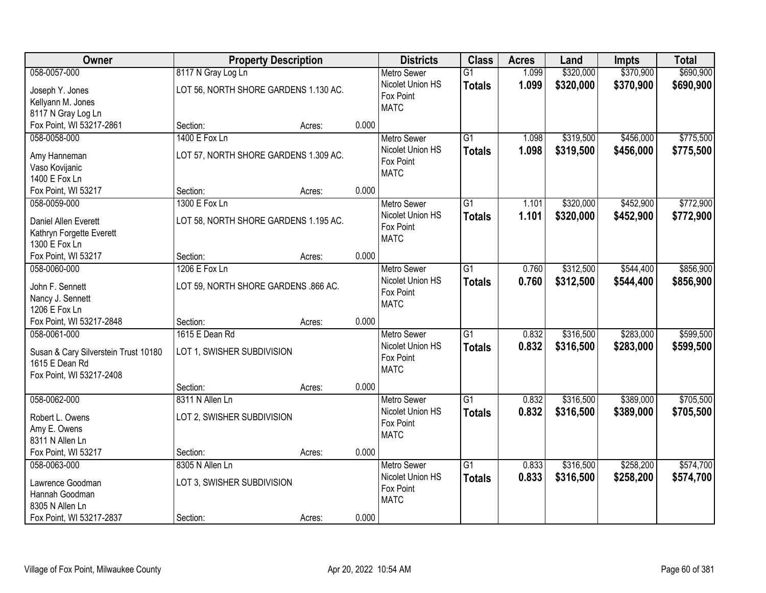| Owner                                     | <b>Property Description</b>           |        |       | <b>Districts</b>                             | <b>Class</b>    | <b>Acres</b> | Land      | <b>Impts</b> | <b>Total</b> |
|-------------------------------------------|---------------------------------------|--------|-------|----------------------------------------------|-----------------|--------------|-----------|--------------|--------------|
| 058-0057-000                              | 8117 N Gray Log Ln                    |        |       | <b>Metro Sewer</b>                           | $\overline{G1}$ | 1.099        | \$320,000 | \$370,900    | \$690,900    |
| Joseph Y. Jones<br>Kellyann M. Jones      | LOT 56, NORTH SHORE GARDENS 1.130 AC. |        |       | Nicolet Union HS<br>Fox Point<br><b>MATC</b> | <b>Totals</b>   | 1.099        | \$320,000 | \$370,900    | \$690,900    |
| 8117 N Gray Log Ln                        |                                       |        |       |                                              |                 |              |           |              |              |
| Fox Point, WI 53217-2861                  | Section:                              | Acres: | 0.000 |                                              |                 |              |           |              |              |
| 058-0058-000                              | 1400 E Fox Ln                         |        |       | <b>Metro Sewer</b>                           | $\overline{G1}$ | 1.098        | \$319,500 | \$456,000    | \$775,500    |
| Amy Hanneman                              | LOT 57, NORTH SHORE GARDENS 1.309 AC. |        |       | Nicolet Union HS                             | <b>Totals</b>   | 1.098        | \$319,500 | \$456,000    | \$775,500    |
| Vaso Kovijanic                            |                                       |        |       | Fox Point                                    |                 |              |           |              |              |
| 1400 E Fox Ln                             |                                       |        |       | <b>MATC</b>                                  |                 |              |           |              |              |
| Fox Point, WI 53217                       | Section:                              | Acres: | 0.000 |                                              |                 |              |           |              |              |
| 058-0059-000                              | 1300 E Fox Ln                         |        |       | <b>Metro Sewer</b>                           | G1              | 1.101        | \$320,000 | \$452,900    | \$772,900    |
|                                           |                                       |        |       | Nicolet Union HS                             | <b>Totals</b>   | 1.101        | \$320,000 | \$452,900    | \$772,900    |
| Daniel Allen Everett                      | LOT 58, NORTH SHORE GARDENS 1.195 AC. |        |       | Fox Point                                    |                 |              |           |              |              |
| Kathryn Forgette Everett<br>1300 E Fox Ln |                                       |        |       | <b>MATC</b>                                  |                 |              |           |              |              |
| Fox Point, WI 53217                       | Section:                              | Acres: | 0.000 |                                              |                 |              |           |              |              |
| 058-0060-000                              | 1206 E Fox Ln                         |        |       | <b>Metro Sewer</b>                           | G1              | 0.760        | \$312,500 | \$544,400    | \$856,900    |
|                                           |                                       |        |       | Nicolet Union HS                             | <b>Totals</b>   | 0.760        | \$312,500 | \$544,400    | \$856,900    |
| John F. Sennett                           | LOT 59, NORTH SHORE GARDENS .866 AC.  |        |       | Fox Point                                    |                 |              |           |              |              |
| Nancy J. Sennett                          |                                       |        |       | <b>MATC</b>                                  |                 |              |           |              |              |
| 1206 E Fox Ln                             |                                       |        |       |                                              |                 |              |           |              |              |
| Fox Point, WI 53217-2848                  | Section:                              | Acres: | 0.000 |                                              |                 |              |           |              |              |
| 058-0061-000                              | 1615 E Dean Rd                        |        |       | <b>Metro Sewer</b>                           | $\overline{G1}$ | 0.832        | \$316,500 | \$283,000    | \$599,500    |
| Susan & Cary Silverstein Trust 10180      | LOT 1, SWISHER SUBDIVISION            |        |       | Nicolet Union HS                             | <b>Totals</b>   | 0.832        | \$316,500 | \$283,000    | \$599,500    |
| 1615 E Dean Rd                            |                                       |        |       | Fox Point                                    |                 |              |           |              |              |
| Fox Point, WI 53217-2408                  |                                       |        |       | <b>MATC</b>                                  |                 |              |           |              |              |
|                                           | Section:                              | Acres: | 0.000 |                                              |                 |              |           |              |              |
| 058-0062-000                              | 8311 N Allen Ln                       |        |       | <b>Metro Sewer</b>                           | $\overline{G1}$ | 0.832        | \$316,500 | \$389,000    | \$705,500    |
| Robert L. Owens                           | LOT 2, SWISHER SUBDIVISION            |        |       | Nicolet Union HS                             | <b>Totals</b>   | 0.832        | \$316,500 | \$389,000    | \$705,500    |
| Amy E. Owens                              |                                       |        |       | Fox Point                                    |                 |              |           |              |              |
| 8311 N Allen Ln                           |                                       |        |       | <b>MATC</b>                                  |                 |              |           |              |              |
| Fox Point, WI 53217                       | Section:                              | Acres: | 0.000 |                                              |                 |              |           |              |              |
| 058-0063-000                              | 8305 N Allen Ln                       |        |       | <b>Metro Sewer</b>                           | $\overline{G1}$ | 0.833        | \$316,500 | \$258,200    | \$574,700    |
|                                           |                                       |        |       | Nicolet Union HS                             | <b>Totals</b>   | 0.833        | \$316,500 | \$258,200    | \$574,700    |
| Lawrence Goodman                          | LOT 3, SWISHER SUBDIVISION            |        |       | Fox Point                                    |                 |              |           |              |              |
| Hannah Goodman                            |                                       |        |       | <b>MATC</b>                                  |                 |              |           |              |              |
| 8305 N Allen Ln                           |                                       |        |       |                                              |                 |              |           |              |              |
| Fox Point, WI 53217-2837                  | Section:                              | Acres: | 0.000 |                                              |                 |              |           |              |              |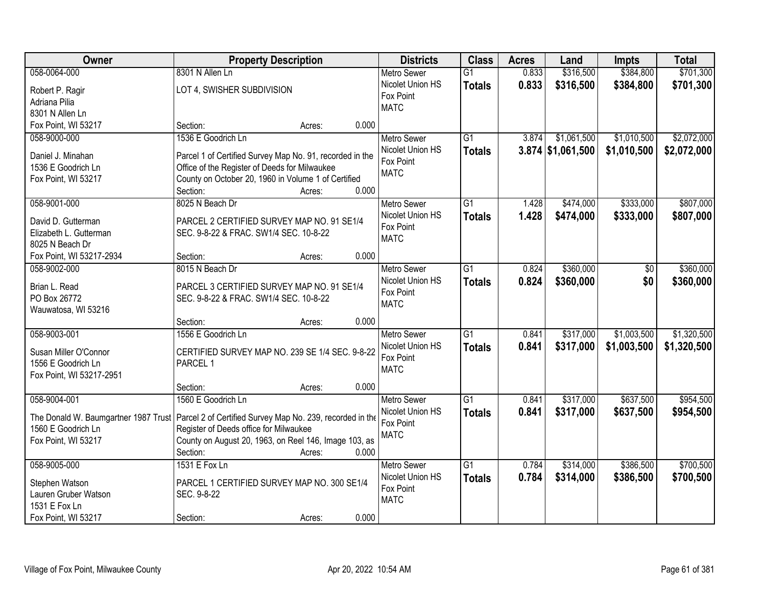| Owner                    | <b>Property Description</b>                                                                      |       | <b>Districts</b>   | <b>Class</b>    | <b>Acres</b> | Land                | <b>Impts</b> | <b>Total</b> |
|--------------------------|--------------------------------------------------------------------------------------------------|-------|--------------------|-----------------|--------------|---------------------|--------------|--------------|
| 058-0064-000             | 8301 N Allen Ln                                                                                  |       | <b>Metro Sewer</b> | $\overline{G1}$ | 0.833        | \$316,500           | \$384,800    | \$701,300    |
| Robert P. Ragir          | LOT 4, SWISHER SUBDIVISION                                                                       |       | Nicolet Union HS   | <b>Totals</b>   | 0.833        | \$316,500           | \$384,800    | \$701,300    |
| Adriana Pilia            |                                                                                                  |       | Fox Point          |                 |              |                     |              |              |
| 8301 N Allen Ln          |                                                                                                  |       | <b>MATC</b>        |                 |              |                     |              |              |
| Fox Point, WI 53217      | Section:<br>Acres:                                                                               | 0.000 |                    |                 |              |                     |              |              |
| 058-9000-000             | 1536 E Goodrich Ln                                                                               |       | <b>Metro Sewer</b> | $\overline{G1}$ | 3.874        | \$1,061,500         | \$1,010,500  | \$2,072,000  |
|                          |                                                                                                  |       | Nicolet Union HS   | <b>Totals</b>   |              | $3.874$ \$1,061,500 | \$1,010,500  | \$2,072,000  |
| Daniel J. Minahan        | Parcel 1 of Certified Survey Map No. 91, recorded in the                                         |       | Fox Point          |                 |              |                     |              |              |
| 1536 E Goodrich Ln       | Office of the Register of Deeds for Milwaukee                                                    |       | <b>MATC</b>        |                 |              |                     |              |              |
| Fox Point, WI 53217      | County on October 20, 1960 in Volume 1 of Certified                                              |       |                    |                 |              |                     |              |              |
|                          | Section:<br>Acres:                                                                               | 0.000 |                    |                 |              |                     |              |              |
| 058-9001-000             | 8025 N Beach Dr                                                                                  |       | <b>Metro Sewer</b> | G1              | 1.428        | \$474,000           | \$333,000    | \$807,000    |
| David D. Gutterman       | PARCEL 2 CERTIFIED SURVEY MAP NO. 91 SE1/4                                                       |       | Nicolet Union HS   | <b>Totals</b>   | 1.428        | \$474,000           | \$333,000    | \$807,000    |
| Elizabeth L. Gutterman   | SEC. 9-8-22 & FRAC. SW1/4 SEC. 10-8-22                                                           |       | Fox Point          |                 |              |                     |              |              |
| 8025 N Beach Dr          |                                                                                                  |       | <b>MATC</b>        |                 |              |                     |              |              |
| Fox Point, WI 53217-2934 | Section:<br>Acres:                                                                               | 0.000 |                    |                 |              |                     |              |              |
| 058-9002-000             | 8015 N Beach Dr                                                                                  |       | <b>Metro Sewer</b> | G1              | 0.824        | \$360,000           | \$0          | \$360,000    |
|                          |                                                                                                  |       | Nicolet Union HS   | <b>Totals</b>   | 0.824        | \$360,000           | \$0          | \$360,000    |
| Brian L. Read            | PARCEL 3 CERTIFIED SURVEY MAP NO. 91 SE1/4                                                       |       | Fox Point          |                 |              |                     |              |              |
| PO Box 26772             | SEC. 9-8-22 & FRAC. SW1/4 SEC. 10-8-22                                                           |       | <b>MATC</b>        |                 |              |                     |              |              |
| Wauwatosa, WI 53216      |                                                                                                  |       |                    |                 |              |                     |              |              |
|                          | Section:<br>Acres:                                                                               | 0.000 |                    |                 |              |                     |              |              |
| 058-9003-001             | 1556 E Goodrich Ln                                                                               |       | <b>Metro Sewer</b> | $\overline{G1}$ | 0.841        | \$317,000           | \$1,003,500  | \$1,320,500  |
| Susan Miller O'Connor    | CERTIFIED SURVEY MAP NO. 239 SE 1/4 SEC. 9-8-22                                                  |       | Nicolet Union HS   | <b>Totals</b>   | 0.841        | \$317,000           | \$1,003,500  | \$1,320,500  |
| 1556 E Goodrich Ln       | PARCEL 1                                                                                         |       | Fox Point          |                 |              |                     |              |              |
| Fox Point, WI 53217-2951 |                                                                                                  |       | <b>MATC</b>        |                 |              |                     |              |              |
|                          | Section:<br>Acres:                                                                               | 0.000 |                    |                 |              |                     |              |              |
| 058-9004-001             | 1560 E Goodrich Ln                                                                               |       | <b>Metro Sewer</b> | $\overline{G1}$ | 0.841        | \$317,000           | \$637,500    | \$954,500    |
|                          | The Donald W. Baumgartner 1987 Trust   Parcel 2 of Certified Survey Map No. 239, recorded in the |       | Nicolet Union HS   | <b>Totals</b>   | 0.841        | \$317,000           | \$637,500    | \$954,500    |
| 1560 E Goodrich Ln       | Register of Deeds office for Milwaukee                                                           |       | Fox Point          |                 |              |                     |              |              |
| Fox Point, WI 53217      | County on August 20, 1963, on Reel 146, Image 103, as                                            |       | <b>MATC</b>        |                 |              |                     |              |              |
|                          | Section:<br>Acres:                                                                               | 0.000 |                    |                 |              |                     |              |              |
| 058-9005-000             | 1531 E Fox Ln                                                                                    |       | <b>Metro Sewer</b> | $\overline{G1}$ | 0.784        | \$314,000           | \$386,500    | \$700,500    |
|                          |                                                                                                  |       | Nicolet Union HS   |                 | 0.784        | \$314,000           | \$386,500    |              |
| Stephen Watson           | PARCEL 1 CERTIFIED SURVEY MAP NO. 300 SE1/4                                                      |       | Fox Point          | <b>Totals</b>   |              |                     |              | \$700,500    |
| Lauren Gruber Watson     | SEC. 9-8-22                                                                                      |       | <b>MATC</b>        |                 |              |                     |              |              |
| 1531 E Fox Ln            |                                                                                                  |       |                    |                 |              |                     |              |              |
| Fox Point, WI 53217      | Section:<br>Acres:                                                                               | 0.000 |                    |                 |              |                     |              |              |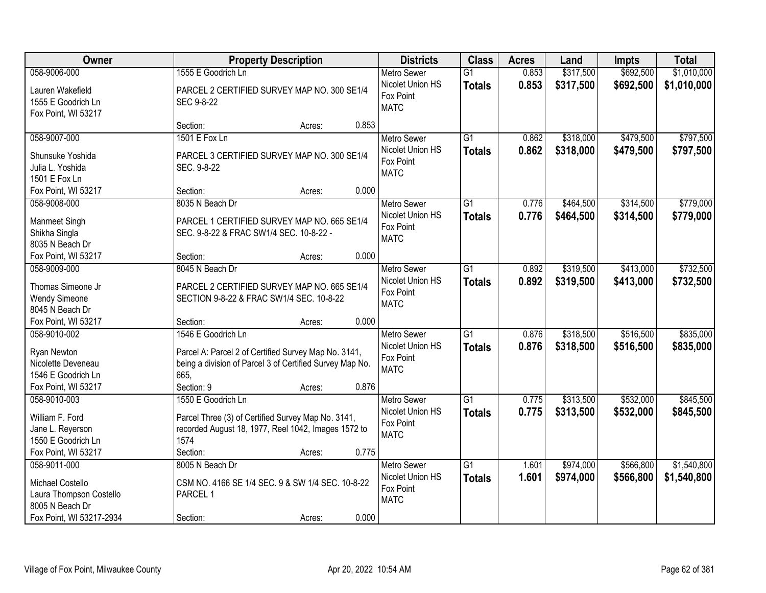| Owner                                                                                          |                                                                                                                                                              | <b>Property Description</b> |       | <b>Districts</b>                                                   | <b>Class</b>                     | <b>Acres</b>   | Land                   | <b>Impts</b>           | <b>Total</b>           |
|------------------------------------------------------------------------------------------------|--------------------------------------------------------------------------------------------------------------------------------------------------------------|-----------------------------|-------|--------------------------------------------------------------------|----------------------------------|----------------|------------------------|------------------------|------------------------|
| 058-9006-000                                                                                   | 1555 E Goodrich Ln                                                                                                                                           |                             |       | <b>Metro Sewer</b>                                                 | $\overline{G1}$                  | 0.853          | \$317,500              | \$692,500              | \$1,010,000            |
| Lauren Wakefield<br>1555 E Goodrich Ln<br>Fox Point, WI 53217                                  | PARCEL 2 CERTIFIED SURVEY MAP NO. 300 SE1/4<br>SEC 9-8-22                                                                                                    |                             |       | Nicolet Union HS<br>Fox Point<br><b>MATC</b>                       | <b>Totals</b>                    | 0.853          | \$317,500              | \$692,500              | \$1,010,000            |
|                                                                                                | Section:                                                                                                                                                     | Acres:                      | 0.853 |                                                                    |                                  |                |                        |                        |                        |
| 058-9007-000<br>Shunsuke Yoshida<br>Julia L. Yoshida<br>1501 E Fox Ln                          | 1501 E Fox Ln<br>PARCEL 3 CERTIFIED SURVEY MAP NO. 300 SE1/4<br>SEC. 9-8-22                                                                                  |                             |       | <b>Metro Sewer</b><br>Nicolet Union HS<br>Fox Point<br><b>MATC</b> | $\overline{G1}$<br><b>Totals</b> | 0.862<br>0.862 | \$318,000<br>\$318,000 | \$479,500<br>\$479,500 | \$797,500<br>\$797,500 |
| Fox Point, WI 53217                                                                            | Section:                                                                                                                                                     | Acres:                      | 0.000 |                                                                    |                                  |                |                        |                        |                        |
| 058-9008-000<br>Manmeet Singh<br>Shikha Singla<br>8035 N Beach Dr                              | 8035 N Beach Dr<br>PARCEL 1 CERTIFIED SURVEY MAP NO. 665 SE1/4<br>SEC. 9-8-22 & FRAC SW1/4 SEC. 10-8-22 -                                                    |                             |       | <b>Metro Sewer</b><br>Nicolet Union HS<br>Fox Point<br><b>MATC</b> | $\overline{G1}$<br><b>Totals</b> | 0.776<br>0.776 | \$464,500<br>\$464,500 | \$314,500<br>\$314,500 | \$779,000<br>\$779,000 |
| Fox Point, WI 53217                                                                            | Section:                                                                                                                                                     | Acres:                      | 0.000 |                                                                    |                                  |                |                        |                        |                        |
| 058-9009-000<br>Thomas Simeone Jr<br><b>Wendy Simeone</b><br>8045 N Beach Dr                   | 8045 N Beach Dr<br>PARCEL 2 CERTIFIED SURVEY MAP NO. 665 SE1/4<br>SECTION 9-8-22 & FRAC SW1/4 SEC. 10-8-22                                                   |                             |       | <b>Metro Sewer</b><br>Nicolet Union HS<br>Fox Point<br><b>MATC</b> | G1<br><b>Totals</b>              | 0.892<br>0.892 | \$319,500<br>\$319,500 | \$413,000<br>\$413,000 | \$732,500<br>\$732,500 |
| Fox Point, WI 53217                                                                            | Section:                                                                                                                                                     | Acres:                      | 0.000 |                                                                    |                                  |                |                        |                        |                        |
| 058-9010-002<br>Ryan Newton<br>Nicolette Deveneau<br>1546 E Goodrich Ln<br>Fox Point, WI 53217 | 1546 E Goodrich Ln<br>Parcel A: Parcel 2 of Certified Survey Map No. 3141,<br>being a division of Parcel 3 of Certified Survey Map No.<br>665.<br>Section: 9 | Acres:                      | 0.876 | <b>Metro Sewer</b><br>Nicolet Union HS<br>Fox Point<br><b>MATC</b> | $\overline{G1}$<br><b>Totals</b> | 0.876<br>0.876 | \$318,500<br>\$318,500 | \$516,500<br>\$516,500 | \$835,000<br>\$835,000 |
| 058-9010-003                                                                                   | 1550 E Goodrich Ln                                                                                                                                           |                             |       | <b>Metro Sewer</b>                                                 | $\overline{G1}$                  | 0.775          | \$313,500              | \$532,000              | \$845,500              |
| William F. Ford<br>Jane L. Reyerson<br>1550 E Goodrich Ln<br>Fox Point, WI 53217               | Parcel Three (3) of Certified Survey Map No. 3141,<br>recorded August 18, 1977, Reel 1042, Images 1572 to<br>1574<br>Section:                                | Acres:                      | 0.775 | Nicolet Union HS<br>Fox Point<br><b>MATC</b>                       | <b>Totals</b>                    | 0.775          | \$313,500              | \$532,000              | \$845,500              |
| 058-9011-000                                                                                   | 8005 N Beach Dr                                                                                                                                              |                             |       | <b>Metro Sewer</b>                                                 | $\overline{G1}$                  | 1.601          | \$974,000              | \$566,800              | \$1,540,800            |
| Michael Costello<br>Laura Thompson Costello<br>8005 N Beach Dr<br>Fox Point, WI 53217-2934     | CSM NO. 4166 SE 1/4 SEC. 9 & SW 1/4 SEC. 10-8-22<br>PARCEL 1<br>Section:                                                                                     | Acres:                      | 0.000 | Nicolet Union HS<br>Fox Point<br><b>MATC</b>                       | <b>Totals</b>                    | 1.601          | \$974,000              | \$566,800              | \$1,540,800            |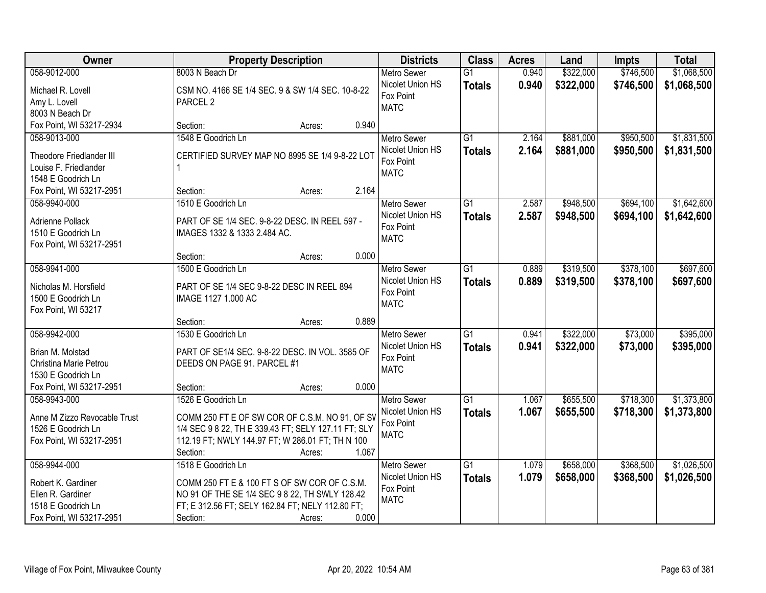| Owner                        | <b>Property Description</b>                         | <b>Districts</b>              | <b>Class</b>    | <b>Acres</b> | Land      | <b>Impts</b> | <b>Total</b> |
|------------------------------|-----------------------------------------------------|-------------------------------|-----------------|--------------|-----------|--------------|--------------|
| 058-9012-000                 | 8003 N Beach Dr                                     | <b>Metro Sewer</b>            | $\overline{G1}$ | 0.940        | \$322,000 | \$746,500    | \$1,068,500  |
| Michael R. Lovell            | CSM NO. 4166 SE 1/4 SEC. 9 & SW 1/4 SEC. 10-8-22    | Nicolet Union HS              | <b>Totals</b>   | 0.940        | \$322,000 | \$746,500    | \$1,068,500  |
| Amy L. Lovell                | PARCEL <sub>2</sub>                                 | Fox Point                     |                 |              |           |              |              |
| 8003 N Beach Dr              |                                                     | <b>MATC</b>                   |                 |              |           |              |              |
| Fox Point, WI 53217-2934     | 0.940<br>Section:<br>Acres:                         |                               |                 |              |           |              |              |
| 058-9013-000                 | 1548 E Goodrich Ln                                  | <b>Metro Sewer</b>            | $\overline{G1}$ | 2.164        | \$881,000 | \$950,500    | \$1,831,500  |
|                              |                                                     | Nicolet Union HS              | <b>Totals</b>   | 2.164        | \$881,000 | \$950,500    | \$1,831,500  |
| Theodore Friedlander III     | CERTIFIED SURVEY MAP NO 8995 SE 1/4 9-8-22 LOT      | Fox Point                     |                 |              |           |              |              |
| Louise F. Friedlander        |                                                     | <b>MATC</b>                   |                 |              |           |              |              |
| 1548 E Goodrich Ln           |                                                     |                               |                 |              |           |              |              |
| Fox Point, WI 53217-2951     | 2.164<br>Section:<br>Acres:                         |                               |                 |              |           |              |              |
| 058-9940-000                 | 1510 E Goodrich Ln                                  | Metro Sewer                   | G1              | 2.587        | \$948,500 | \$694,100    | \$1,642,600  |
| Adrienne Pollack             | PART OF SE 1/4 SEC. 9-8-22 DESC. IN REEL 597 -      | Nicolet Union HS              | <b>Totals</b>   | 2.587        | \$948,500 | \$694,100    | \$1,642,600  |
| 1510 E Goodrich Ln           | IMAGES 1332 & 1333 2.484 AC.                        | Fox Point                     |                 |              |           |              |              |
| Fox Point, WI 53217-2951     |                                                     | <b>MATC</b>                   |                 |              |           |              |              |
|                              | 0.000<br>Section:<br>Acres:                         |                               |                 |              |           |              |              |
| 058-9941-000                 | 1500 E Goodrich Ln                                  | <b>Metro Sewer</b>            | $\overline{G1}$ | 0.889        | \$319,500 | \$378,100    | \$697,600    |
|                              |                                                     | Nicolet Union HS              | <b>Totals</b>   | 0.889        | \$319,500 | \$378,100    | \$697,600    |
| Nicholas M. Horsfield        | PART OF SE 1/4 SEC 9-8-22 DESC IN REEL 894          | Fox Point                     |                 |              |           |              |              |
| 1500 E Goodrich Ln           | IMAGE 1127 1.000 AC                                 | <b>MATC</b>                   |                 |              |           |              |              |
| Fox Point, WI 53217          |                                                     |                               |                 |              |           |              |              |
|                              | 0.889<br>Section:<br>Acres:                         |                               |                 |              |           |              |              |
| 058-9942-000                 | 1530 E Goodrich Ln                                  | Metro Sewer                   | $\overline{G1}$ | 0.941        | \$322,000 | \$73,000     | \$395,000    |
| Brian M. Molstad             | PART OF SE1/4 SEC. 9-8-22 DESC. IN VOL. 3585 OF     | Nicolet Union HS              | <b>Totals</b>   | 0.941        | \$322,000 | \$73,000     | \$395,000    |
| Christina Marie Petrou       | DEEDS ON PAGE 91. PARCEL #1                         | Fox Point                     |                 |              |           |              |              |
| 1530 E Goodrich Ln           |                                                     | <b>MATC</b>                   |                 |              |           |              |              |
| Fox Point, WI 53217-2951     | 0.000<br>Section:<br>Acres:                         |                               |                 |              |           |              |              |
| 058-9943-000                 | 1526 E Goodrich Ln                                  | <b>Metro Sewer</b>            | $\overline{G1}$ | 1.067        | \$655,500 | \$718,300    | \$1,373,800  |
| Anne M Zizzo Revocable Trust | COMM 250 FT E OF SW COR OF C.S.M. NO 91, OF SV      | Nicolet Union HS              | <b>Totals</b>   | 1.067        | \$655,500 | \$718,300    | \$1,373,800  |
| 1526 E Goodrich Ln           | 1/4 SEC 9 8 22, TH E 339.43 FT; SELY 127.11 FT; SLY | Fox Point                     |                 |              |           |              |              |
| Fox Point, WI 53217-2951     | 112.19 FT; NWLY 144.97 FT; W 286.01 FT; TH N 100    | <b>MATC</b>                   |                 |              |           |              |              |
|                              | 1.067<br>Section:<br>Acres:                         |                               |                 |              |           |              |              |
| 058-9944-000                 | 1518 E Goodrich Ln                                  | <b>Metro Sewer</b>            | $\overline{G1}$ | 1.079        | \$658,000 | \$368,500    | \$1,026,500  |
|                              |                                                     |                               |                 |              |           |              |              |
| Robert K. Gardiner           | COMM 250 FT E & 100 FT S OF SW COR OF C.S.M.        | Nicolet Union HS<br>Fox Point | <b>Totals</b>   | 1.079        | \$658,000 | \$368,500    | \$1,026,500  |
| Ellen R. Gardiner            | NO 91 OF THE SE 1/4 SEC 9 8 22, TH SWLY 128.42      | <b>MATC</b>                   |                 |              |           |              |              |
| 1518 E Goodrich Ln           | FT; E 312.56 FT; SELY 162.84 FT; NELY 112.80 FT;    |                               |                 |              |           |              |              |
| Fox Point, WI 53217-2951     | 0.000<br>Section:<br>Acres:                         |                               |                 |              |           |              |              |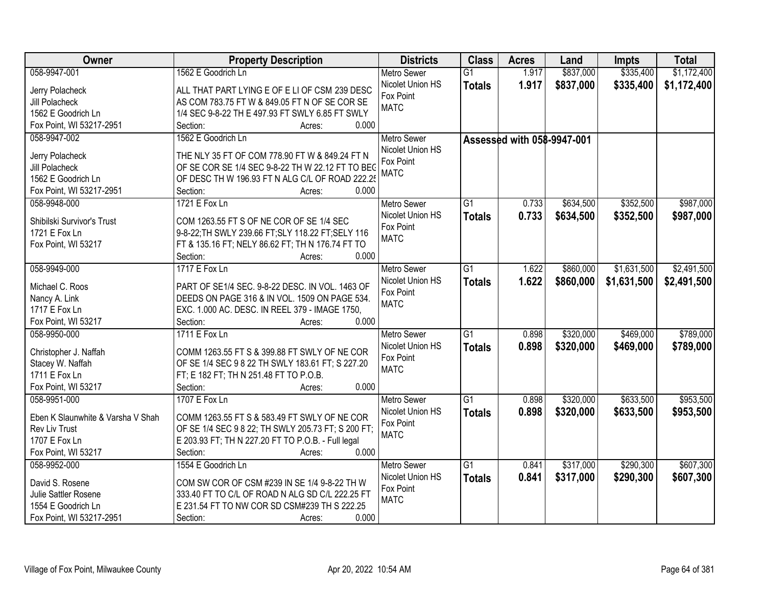| Owner                             | <b>Property Description</b>                               | <b>Districts</b>   | <b>Class</b>    | <b>Acres</b>               | Land      | <b>Impts</b> | <b>Total</b> |
|-----------------------------------|-----------------------------------------------------------|--------------------|-----------------|----------------------------|-----------|--------------|--------------|
| 058-9947-001                      | 1562 E Goodrich Ln                                        | <b>Metro Sewer</b> | $\overline{G1}$ | 1.917                      | \$837,000 | \$335,400    | \$1,172,400  |
| Jerry Polacheck                   | ALL THAT PART LYING E OF E LI OF CSM 239 DESC             | Nicolet Union HS   | <b>Totals</b>   | 1.917                      | \$837,000 | \$335,400    | \$1,172,400  |
| Jill Polacheck                    | AS COM 783.75 FT W & 849.05 FT N OF SE COR SE             | Fox Point          |                 |                            |           |              |              |
| 1562 E Goodrich Ln                | 1/4 SEC 9-8-22 TH E 497.93 FT SWLY 6.85 FT SWLY           | <b>MATC</b>        |                 |                            |           |              |              |
| Fox Point, WI 53217-2951          | 0.000<br>Section:<br>Acres:                               |                    |                 |                            |           |              |              |
| 058-9947-002                      | 1562 E Goodrich Ln                                        | <b>Metro Sewer</b> |                 |                            |           |              |              |
|                                   |                                                           | Nicolet Union HS   |                 | Assessed with 058-9947-001 |           |              |              |
| Jerry Polacheck                   | THE NLY 35 FT OF COM 778.90 FT W & 849.24 FT N            | Fox Point          |                 |                            |           |              |              |
| Jill Polacheck                    | OF SE COR SE 1/4 SEC 9-8-22 TH W 22.12 FT TO BEC          | <b>MATC</b>        |                 |                            |           |              |              |
| 1562 E Goodrich Ln                | OF DESC TH W 196.93 FT N ALG C/L OF ROAD 222.25           |                    |                 |                            |           |              |              |
| Fox Point, WI 53217-2951          | 0.000<br>Section:<br>Acres:                               |                    |                 |                            |           |              |              |
| 058-9948-000                      | 1721 E Fox Ln                                             | Metro Sewer        | G1              | 0.733                      | \$634,500 | \$352,500    | \$987,000    |
|                                   | COM 1263.55 FT S OF NE COR OF SE 1/4 SEC                  | Nicolet Union HS   | <b>Totals</b>   | 0.733                      | \$634,500 | \$352,500    | \$987,000    |
| Shibilski Survivor's Trust        |                                                           | Fox Point          |                 |                            |           |              |              |
| 1721 E Fox Ln                     | 9-8-22; TH SWLY 239.66 FT; SLY 118.22 FT; SELY 116        | <b>MATC</b>        |                 |                            |           |              |              |
| Fox Point, WI 53217               | FT & 135.16 FT; NELY 86.62 FT; TH N 176.74 FT TO<br>0.000 |                    |                 |                            |           |              |              |
|                                   | Section:<br>Acres:                                        |                    |                 |                            |           |              |              |
| 058-9949-000                      | 1717 E Fox Ln                                             | <b>Metro Sewer</b> | G1              | 1.622                      | \$860,000 | \$1,631,500  | \$2,491,500  |
| Michael C. Roos                   | PART OF SE1/4 SEC. 9-8-22 DESC. IN VOL. 1463 OF           | Nicolet Union HS   | <b>Totals</b>   | 1.622                      | \$860,000 | \$1,631,500  | \$2,491,500  |
| Nancy A. Link                     | DEEDS ON PAGE 316 & IN VOL. 1509 ON PAGE 534.             | Fox Point          |                 |                            |           |              |              |
| 1717 E Fox Ln                     | EXC. 1.000 AC. DESC. IN REEL 379 - IMAGE 1750,            | <b>MATC</b>        |                 |                            |           |              |              |
| Fox Point, WI 53217               | Section:<br>0.000<br>Acres:                               |                    |                 |                            |           |              |              |
| 058-9950-000                      | 1711 E Fox Ln                                             | <b>Metro Sewer</b> | $\overline{G1}$ | 0.898                      | \$320,000 | \$469,000    | \$789,000    |
|                                   |                                                           | Nicolet Union HS   | <b>Totals</b>   | 0.898                      | \$320,000 | \$469,000    | \$789,000    |
| Christopher J. Naffah             | COMM 1263.55 FT S & 399.88 FT SWLY OF NE COR              | Fox Point          |                 |                            |           |              |              |
| Stacey W. Naffah                  | OF SE 1/4 SEC 9 8 22 TH SWLY 183.61 FT; S 227.20          | <b>MATC</b>        |                 |                            |           |              |              |
| 1711 E Fox Ln                     | FT; E 182 FT; TH N 251.48 FT TO P.O.B.                    |                    |                 |                            |           |              |              |
| Fox Point, WI 53217               | Section:<br>0.000<br>Acres:                               |                    |                 |                            |           |              |              |
| 058-9951-000                      | 1707 E Fox Ln                                             | <b>Metro Sewer</b> | G1              | 0.898                      | \$320,000 | \$633,500    | \$953,500    |
| Eben K Slaunwhite & Varsha V Shah | COMM 1263.55 FT S & 583.49 FT SWLY OF NE COR              | Nicolet Union HS   | <b>Totals</b>   | 0.898                      | \$320,000 | \$633,500    | \$953,500    |
| Rev Liv Trust                     | OF SE 1/4 SEC 9 8 22; TH SWLY 205.73 FT; S 200 FT;        | Fox Point          |                 |                            |           |              |              |
| 1707 E Fox Ln                     | E 203.93 FT; TH N 227.20 FT TO P.O.B. - Full legal        | <b>MATC</b>        |                 |                            |           |              |              |
| Fox Point, WI 53217               | 0.000<br>Section:<br>Acres:                               |                    |                 |                            |           |              |              |
| 058-9952-000                      | 1554 E Goodrich Ln                                        | <b>Metro Sewer</b> | $\overline{G1}$ | 0.841                      | \$317,000 | \$290,300    | \$607,300    |
|                                   |                                                           | Nicolet Union HS   | <b>Totals</b>   | 0.841                      | \$317,000 | \$290,300    | \$607,300    |
| David S. Rosene                   | COM SW COR OF CSM #239 IN SE 1/4 9-8-22 TH W              | Fox Point          |                 |                            |           |              |              |
| Julie Sattler Rosene              | 333.40 FT TO C/L OF ROAD N ALG SD C/L 222.25 FT           | <b>MATC</b>        |                 |                            |           |              |              |
| 1554 E Goodrich Ln                | E 231.54 FT TO NW COR SD CSM#239 TH S 222.25              |                    |                 |                            |           |              |              |
| Fox Point, WI 53217-2951          | 0.000<br>Section:<br>Acres:                               |                    |                 |                            |           |              |              |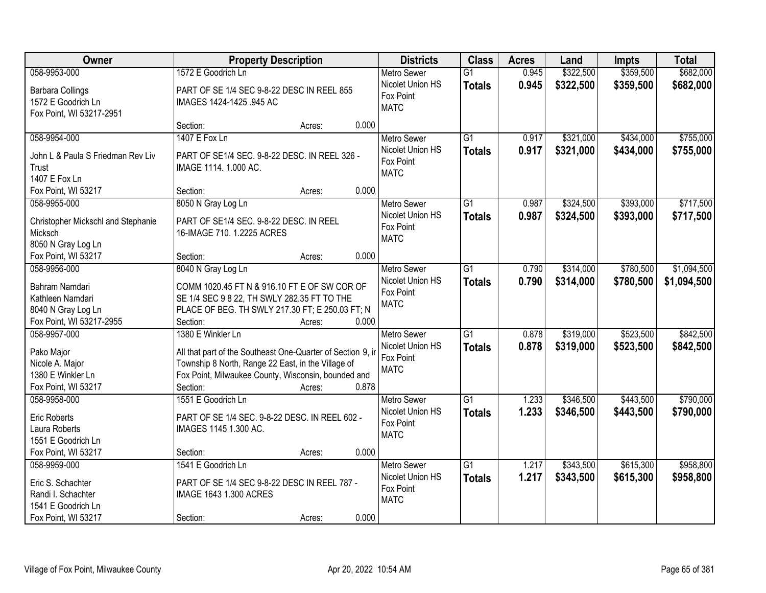| Owner                              | <b>Property Description</b>                                 |        |       | <b>Districts</b>         | <b>Class</b>    | <b>Acres</b> | Land      | <b>Impts</b> | <b>Total</b> |
|------------------------------------|-------------------------------------------------------------|--------|-------|--------------------------|-----------------|--------------|-----------|--------------|--------------|
| 058-9953-000                       | 1572 E Goodrich Ln                                          |        |       | <b>Metro Sewer</b>       | $\overline{G1}$ | 0.945        | \$322,500 | \$359,500    | \$682,000    |
| <b>Barbara Collings</b>            | PART OF SE 1/4 SEC 9-8-22 DESC IN REEL 855                  |        |       | Nicolet Union HS         | <b>Totals</b>   | 0.945        | \$322,500 | \$359,500    | \$682,000    |
| 1572 E Goodrich Ln                 | IMAGES 1424-1425 .945 AC                                    |        |       | Fox Point                |                 |              |           |              |              |
| Fox Point, WI 53217-2951           |                                                             |        |       | <b>MATC</b>              |                 |              |           |              |              |
|                                    | Section:                                                    | Acres: | 0.000 |                          |                 |              |           |              |              |
| 058-9954-000                       | 1407 E Fox Ln                                               |        |       | <b>Metro Sewer</b>       | $\overline{G1}$ | 0.917        | \$321,000 | \$434,000    | \$755,000    |
| John L & Paula S Friedman Rev Liv  | PART OF SE1/4 SEC. 9-8-22 DESC. IN REEL 326 -               |        |       | Nicolet Union HS         | <b>Totals</b>   | 0.917        | \$321,000 | \$434,000    | \$755,000    |
| Trust                              | IMAGE 1114. 1.000 AC.                                       |        |       | Fox Point                |                 |              |           |              |              |
| 1407 E Fox Ln                      |                                                             |        |       | <b>MATC</b>              |                 |              |           |              |              |
| Fox Point, WI 53217                | Section:                                                    | Acres: | 0.000 |                          |                 |              |           |              |              |
| 058-9955-000                       | 8050 N Gray Log Ln                                          |        |       | Metro Sewer              | $\overline{G1}$ | 0.987        | \$324,500 | \$393,000    | \$717,500    |
|                                    |                                                             |        |       | Nicolet Union HS         | <b>Totals</b>   | 0.987        | \$324,500 | \$393,000    | \$717,500    |
| Christopher Mickschl and Stephanie | PART OF SE1/4 SEC. 9-8-22 DESC. IN REEL                     |        |       | Fox Point                |                 |              |           |              |              |
| Micksch                            | 16-IMAGE 710. 1.2225 ACRES                                  |        |       | <b>MATC</b>              |                 |              |           |              |              |
| 8050 N Gray Log Ln                 |                                                             |        |       |                          |                 |              |           |              |              |
| Fox Point, WI 53217                | Section:                                                    | Acres: | 0.000 |                          |                 |              |           |              |              |
| 058-9956-000                       | 8040 N Gray Log Ln                                          |        |       | <b>Metro Sewer</b>       | $\overline{G1}$ | 0.790        | \$314,000 | \$780,500    | \$1,094,500  |
| Bahram Namdari                     | COMM 1020.45 FT N & 916.10 FT E OF SW COR OF                |        |       | Nicolet Union HS         | <b>Totals</b>   | 0.790        | \$314,000 | \$780,500    | \$1,094,500  |
| Kathleen Namdari                   | SE 1/4 SEC 9 8 22, TH SWLY 282.35 FT TO THE                 |        |       | Fox Point<br><b>MATC</b> |                 |              |           |              |              |
| 8040 N Gray Log Ln                 | PLACE OF BEG. TH SWLY 217.30 FT; E 250.03 FT; N             |        |       |                          |                 |              |           |              |              |
| Fox Point, WI 53217-2955           | Section:                                                    | Acres: | 0.000 |                          |                 |              |           |              |              |
| 058-9957-000                       | 1380 E Winkler Ln                                           |        |       | <b>Metro Sewer</b>       | $\overline{G1}$ | 0.878        | \$319,000 | \$523,500    | \$842,500    |
| Pako Major                         | All that part of the Southeast One-Quarter of Section 9, ir |        |       | Nicolet Union HS         | <b>Totals</b>   | 0.878        | \$319,000 | \$523,500    | \$842,500    |
| Nicole A. Major                    | Township 8 North, Range 22 East, in the Village of          |        |       | Fox Point                |                 |              |           |              |              |
| 1380 E Winkler Ln                  | Fox Point, Milwaukee County, Wisconsin, bounded and         |        |       | <b>MATC</b>              |                 |              |           |              |              |
| Fox Point, WI 53217                | Section:                                                    | Acres: | 0.878 |                          |                 |              |           |              |              |
| 058-9958-000                       | 1551 E Goodrich Ln                                          |        |       | <b>Metro Sewer</b>       | $\overline{G1}$ | 1.233        | \$346,500 | \$443,500    | \$790,000    |
|                                    |                                                             |        |       | Nicolet Union HS         | <b>Totals</b>   | 1.233        | \$346,500 | \$443,500    | \$790,000    |
| <b>Eric Roberts</b>                | PART OF SE 1/4 SEC. 9-8-22 DESC. IN REEL 602 -              |        |       | Fox Point                |                 |              |           |              |              |
| Laura Roberts                      | IMAGES 1145 1.300 AC.                                       |        |       | <b>MATC</b>              |                 |              |           |              |              |
| 1551 E Goodrich Ln                 |                                                             |        |       |                          |                 |              |           |              |              |
| Fox Point, WI 53217                | Section:                                                    | Acres: | 0.000 |                          |                 |              |           |              |              |
| 058-9959-000                       | 1541 E Goodrich Ln                                          |        |       | <b>Metro Sewer</b>       | $\overline{G1}$ | 1.217        | \$343,500 | \$615,300    | \$958,800    |
| Eric S. Schachter                  | PART OF SE 1/4 SEC 9-8-22 DESC IN REEL 787 -                |        |       | Nicolet Union HS         | <b>Totals</b>   | 1.217        | \$343,500 | \$615,300    | \$958,800    |
| Randi I. Schachter                 | IMAGE 1643 1.300 ACRES                                      |        |       | Fox Point<br><b>MATC</b> |                 |              |           |              |              |
| 1541 E Goodrich Ln                 |                                                             |        |       |                          |                 |              |           |              |              |
| Fox Point, WI 53217                | Section:                                                    | Acres: | 0.000 |                          |                 |              |           |              |              |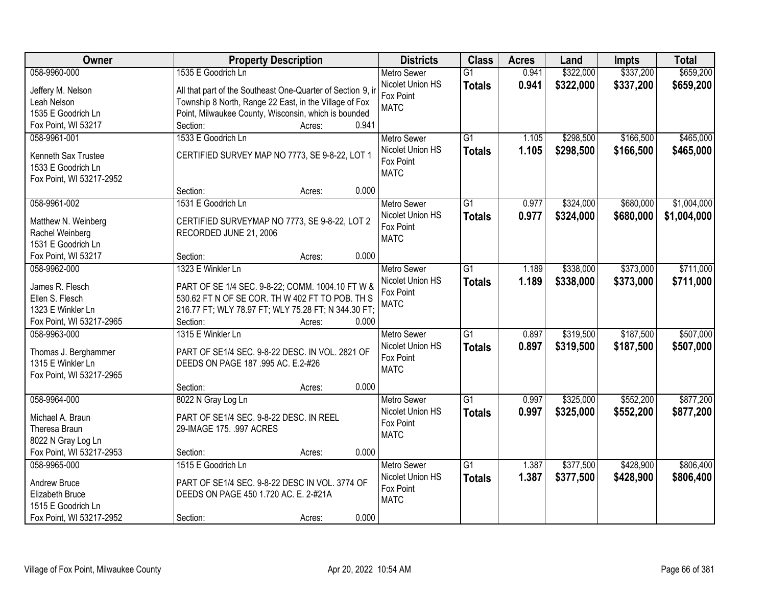| \$337,200<br>\$659,200<br>058-9960-000<br>1535 E Goodrich Ln<br>\$322,000<br><b>Metro Sewer</b><br>$\overline{G1}$<br>0.941<br>Nicolet Union HS<br>0.941<br>\$322,000<br>\$337,200<br><b>Totals</b><br>All that part of the Southeast One-Quarter of Section 9, in<br>Jeffery M. Nelson<br>Fox Point<br>Township 8 North, Range 22 East, in the Village of Fox<br>Leah Nelson<br><b>MATC</b><br>Point, Milwaukee County, Wisconsin, which is bounded<br>1535 E Goodrich Ln<br>0.941<br>Fox Point, WI 53217<br>Section:<br>Acres:<br>1533 E Goodrich Ln<br>$\overline{G1}$<br>\$298,500<br>\$166,500<br>058-9961-001<br><b>Metro Sewer</b><br>1.105<br>1.105<br>Nicolet Union HS<br>\$298,500<br>\$166,500<br><b>Totals</b><br>CERTIFIED SURVEY MAP NO 7773, SE 9-8-22, LOT 1<br>Kenneth Sax Trustee<br>Fox Point<br>1533 E Goodrich Ln<br><b>MATC</b><br>Fox Point, WI 53217-2952<br>0.000<br>Section:<br>Acres:<br>058-9961-002<br>\$324,000<br>\$680,000<br>1531 E Goodrich Ln<br><b>Metro Sewer</b><br>G1<br>0.977<br>Nicolet Union HS<br>0.977<br>\$324,000<br>\$680,000<br><b>Totals</b><br>CERTIFIED SURVEYMAP NO 7773, SE 9-8-22, LOT 2<br>Matthew N. Weinberg<br>Fox Point<br>Rachel Weinberg<br>RECORDED JUNE 21, 2006<br><b>MATC</b><br>1531 E Goodrich Ln<br>0.000<br>Fox Point, WI 53217<br>Section:<br>Acres:<br>1323 E Winkler Ln<br>\$338,000<br>\$373,000<br>$\overline{G1}$<br>058-9962-000<br><b>Metro Sewer</b><br>1.189<br>Nicolet Union HS<br>1.189<br>\$338,000<br>\$373,000<br><b>Totals</b><br>James R. Flesch<br>PART OF SE 1/4 SEC. 9-8-22; COMM. 1004.10 FT W &<br>Fox Point<br>Ellen S. Flesch<br>530.62 FT N OF SE COR. TH W 402 FT TO POB. TH S<br><b>MATC</b><br>216.77 FT; WLY 78.97 FT; WLY 75.28 FT; N 344.30 FT;<br>1323 E Winkler Ln<br>Fox Point, WI 53217-2965<br>Section:<br>0.000<br>Acres:<br>1315 E Winkler Ln<br>$\overline{G1}$<br>\$319,500<br>\$187,500<br>058-9963-000<br>0.897<br>Metro Sewer<br>\$187,500<br>Nicolet Union HS<br><b>Totals</b><br>0.897<br>\$319,500<br>Thomas J. Berghammer<br>PART OF SE1/4 SEC. 9-8-22 DESC. IN VOL. 2821 OF<br>Fox Point<br>1315 E Winkler Ln<br>DEEDS ON PAGE 187 .995 AC. E.2-#26<br><b>MATC</b><br>Fox Point, WI 53217-2965<br>0.000<br>Section:<br>Acres:<br>$\overline{G1}$<br>\$552,200<br>058-9964-000<br>8022 N Gray Log Ln<br>\$325,000<br><b>Metro Sewer</b><br>0.997<br>Nicolet Union HS<br>0.997<br>\$325,000<br>\$552,200<br><b>Totals</b><br>Michael A. Braun<br>PART OF SE1/4 SEC. 9-8-22 DESC. IN REEL<br>Fox Point<br>Theresa Braun<br>29-IMAGE 175. .997 ACRES<br><b>MATC</b><br>8022 N Gray Log Ln | Owner                    | <b>Property Description</b> | <b>Districts</b> | <b>Class</b> | <b>Acres</b> | Land | <b>Impts</b> | <b>Total</b> |
|------------------------------------------------------------------------------------------------------------------------------------------------------------------------------------------------------------------------------------------------------------------------------------------------------------------------------------------------------------------------------------------------------------------------------------------------------------------------------------------------------------------------------------------------------------------------------------------------------------------------------------------------------------------------------------------------------------------------------------------------------------------------------------------------------------------------------------------------------------------------------------------------------------------------------------------------------------------------------------------------------------------------------------------------------------------------------------------------------------------------------------------------------------------------------------------------------------------------------------------------------------------------------------------------------------------------------------------------------------------------------------------------------------------------------------------------------------------------------------------------------------------------------------------------------------------------------------------------------------------------------------------------------------------------------------------------------------------------------------------------------------------------------------------------------------------------------------------------------------------------------------------------------------------------------------------------------------------------------------------------------------------------------------------------------------------------------------------------------------------------------------------------------------------------------------------------------------------------------------------------------------------------------------------------------------------------------------------------------------------------------------------------------------------------------------------------------------------------------------------------------------------------------------------------------------------------------------------------------------|--------------------------|-----------------------------|------------------|--------------|--------------|------|--------------|--------------|
|                                                                                                                                                                                                                                                                                                                                                                                                                                                                                                                                                                                                                                                                                                                                                                                                                                                                                                                                                                                                                                                                                                                                                                                                                                                                                                                                                                                                                                                                                                                                                                                                                                                                                                                                                                                                                                                                                                                                                                                                                                                                                                                                                                                                                                                                                                                                                                                                                                                                                                                                                                                                            |                          |                             |                  |              |              |      |              |              |
|                                                                                                                                                                                                                                                                                                                                                                                                                                                                                                                                                                                                                                                                                                                                                                                                                                                                                                                                                                                                                                                                                                                                                                                                                                                                                                                                                                                                                                                                                                                                                                                                                                                                                                                                                                                                                                                                                                                                                                                                                                                                                                                                                                                                                                                                                                                                                                                                                                                                                                                                                                                                            |                          |                             |                  |              |              |      |              | \$659,200    |
| \$465,000<br>\$465,000<br>\$1,004,000<br>\$1,004,000<br>\$711,000<br>\$711,000                                                                                                                                                                                                                                                                                                                                                                                                                                                                                                                                                                                                                                                                                                                                                                                                                                                                                                                                                                                                                                                                                                                                                                                                                                                                                                                                                                                                                                                                                                                                                                                                                                                                                                                                                                                                                                                                                                                                                                                                                                                                                                                                                                                                                                                                                                                                                                                                                                                                                                                             |                          |                             |                  |              |              |      |              |              |
|                                                                                                                                                                                                                                                                                                                                                                                                                                                                                                                                                                                                                                                                                                                                                                                                                                                                                                                                                                                                                                                                                                                                                                                                                                                                                                                                                                                                                                                                                                                                                                                                                                                                                                                                                                                                                                                                                                                                                                                                                                                                                                                                                                                                                                                                                                                                                                                                                                                                                                                                                                                                            |                          |                             |                  |              |              |      |              |              |
|                                                                                                                                                                                                                                                                                                                                                                                                                                                                                                                                                                                                                                                                                                                                                                                                                                                                                                                                                                                                                                                                                                                                                                                                                                                                                                                                                                                                                                                                                                                                                                                                                                                                                                                                                                                                                                                                                                                                                                                                                                                                                                                                                                                                                                                                                                                                                                                                                                                                                                                                                                                                            |                          |                             |                  |              |              |      |              |              |
|                                                                                                                                                                                                                                                                                                                                                                                                                                                                                                                                                                                                                                                                                                                                                                                                                                                                                                                                                                                                                                                                                                                                                                                                                                                                                                                                                                                                                                                                                                                                                                                                                                                                                                                                                                                                                                                                                                                                                                                                                                                                                                                                                                                                                                                                                                                                                                                                                                                                                                                                                                                                            |                          |                             |                  |              |              |      |              |              |
|                                                                                                                                                                                                                                                                                                                                                                                                                                                                                                                                                                                                                                                                                                                                                                                                                                                                                                                                                                                                                                                                                                                                                                                                                                                                                                                                                                                                                                                                                                                                                                                                                                                                                                                                                                                                                                                                                                                                                                                                                                                                                                                                                                                                                                                                                                                                                                                                                                                                                                                                                                                                            |                          |                             |                  |              |              |      |              |              |
|                                                                                                                                                                                                                                                                                                                                                                                                                                                                                                                                                                                                                                                                                                                                                                                                                                                                                                                                                                                                                                                                                                                                                                                                                                                                                                                                                                                                                                                                                                                                                                                                                                                                                                                                                                                                                                                                                                                                                                                                                                                                                                                                                                                                                                                                                                                                                                                                                                                                                                                                                                                                            |                          |                             |                  |              |              |      |              |              |
|                                                                                                                                                                                                                                                                                                                                                                                                                                                                                                                                                                                                                                                                                                                                                                                                                                                                                                                                                                                                                                                                                                                                                                                                                                                                                                                                                                                                                                                                                                                                                                                                                                                                                                                                                                                                                                                                                                                                                                                                                                                                                                                                                                                                                                                                                                                                                                                                                                                                                                                                                                                                            |                          |                             |                  |              |              |      |              |              |
|                                                                                                                                                                                                                                                                                                                                                                                                                                                                                                                                                                                                                                                                                                                                                                                                                                                                                                                                                                                                                                                                                                                                                                                                                                                                                                                                                                                                                                                                                                                                                                                                                                                                                                                                                                                                                                                                                                                                                                                                                                                                                                                                                                                                                                                                                                                                                                                                                                                                                                                                                                                                            |                          |                             |                  |              |              |      |              |              |
|                                                                                                                                                                                                                                                                                                                                                                                                                                                                                                                                                                                                                                                                                                                                                                                                                                                                                                                                                                                                                                                                                                                                                                                                                                                                                                                                                                                                                                                                                                                                                                                                                                                                                                                                                                                                                                                                                                                                                                                                                                                                                                                                                                                                                                                                                                                                                                                                                                                                                                                                                                                                            |                          |                             |                  |              |              |      |              |              |
|                                                                                                                                                                                                                                                                                                                                                                                                                                                                                                                                                                                                                                                                                                                                                                                                                                                                                                                                                                                                                                                                                                                                                                                                                                                                                                                                                                                                                                                                                                                                                                                                                                                                                                                                                                                                                                                                                                                                                                                                                                                                                                                                                                                                                                                                                                                                                                                                                                                                                                                                                                                                            |                          |                             |                  |              |              |      |              |              |
|                                                                                                                                                                                                                                                                                                                                                                                                                                                                                                                                                                                                                                                                                                                                                                                                                                                                                                                                                                                                                                                                                                                                                                                                                                                                                                                                                                                                                                                                                                                                                                                                                                                                                                                                                                                                                                                                                                                                                                                                                                                                                                                                                                                                                                                                                                                                                                                                                                                                                                                                                                                                            |                          |                             |                  |              |              |      |              |              |
|                                                                                                                                                                                                                                                                                                                                                                                                                                                                                                                                                                                                                                                                                                                                                                                                                                                                                                                                                                                                                                                                                                                                                                                                                                                                                                                                                                                                                                                                                                                                                                                                                                                                                                                                                                                                                                                                                                                                                                                                                                                                                                                                                                                                                                                                                                                                                                                                                                                                                                                                                                                                            |                          |                             |                  |              |              |      |              |              |
|                                                                                                                                                                                                                                                                                                                                                                                                                                                                                                                                                                                                                                                                                                                                                                                                                                                                                                                                                                                                                                                                                                                                                                                                                                                                                                                                                                                                                                                                                                                                                                                                                                                                                                                                                                                                                                                                                                                                                                                                                                                                                                                                                                                                                                                                                                                                                                                                                                                                                                                                                                                                            |                          |                             |                  |              |              |      |              |              |
|                                                                                                                                                                                                                                                                                                                                                                                                                                                                                                                                                                                                                                                                                                                                                                                                                                                                                                                                                                                                                                                                                                                                                                                                                                                                                                                                                                                                                                                                                                                                                                                                                                                                                                                                                                                                                                                                                                                                                                                                                                                                                                                                                                                                                                                                                                                                                                                                                                                                                                                                                                                                            |                          |                             |                  |              |              |      |              |              |
|                                                                                                                                                                                                                                                                                                                                                                                                                                                                                                                                                                                                                                                                                                                                                                                                                                                                                                                                                                                                                                                                                                                                                                                                                                                                                                                                                                                                                                                                                                                                                                                                                                                                                                                                                                                                                                                                                                                                                                                                                                                                                                                                                                                                                                                                                                                                                                                                                                                                                                                                                                                                            |                          |                             |                  |              |              |      |              |              |
|                                                                                                                                                                                                                                                                                                                                                                                                                                                                                                                                                                                                                                                                                                                                                                                                                                                                                                                                                                                                                                                                                                                                                                                                                                                                                                                                                                                                                                                                                                                                                                                                                                                                                                                                                                                                                                                                                                                                                                                                                                                                                                                                                                                                                                                                                                                                                                                                                                                                                                                                                                                                            |                          |                             |                  |              |              |      |              |              |
| \$507,000<br>\$507,000<br>\$877,200<br>\$877,200                                                                                                                                                                                                                                                                                                                                                                                                                                                                                                                                                                                                                                                                                                                                                                                                                                                                                                                                                                                                                                                                                                                                                                                                                                                                                                                                                                                                                                                                                                                                                                                                                                                                                                                                                                                                                                                                                                                                                                                                                                                                                                                                                                                                                                                                                                                                                                                                                                                                                                                                                           |                          |                             |                  |              |              |      |              |              |
|                                                                                                                                                                                                                                                                                                                                                                                                                                                                                                                                                                                                                                                                                                                                                                                                                                                                                                                                                                                                                                                                                                                                                                                                                                                                                                                                                                                                                                                                                                                                                                                                                                                                                                                                                                                                                                                                                                                                                                                                                                                                                                                                                                                                                                                                                                                                                                                                                                                                                                                                                                                                            |                          |                             |                  |              |              |      |              |              |
|                                                                                                                                                                                                                                                                                                                                                                                                                                                                                                                                                                                                                                                                                                                                                                                                                                                                                                                                                                                                                                                                                                                                                                                                                                                                                                                                                                                                                                                                                                                                                                                                                                                                                                                                                                                                                                                                                                                                                                                                                                                                                                                                                                                                                                                                                                                                                                                                                                                                                                                                                                                                            |                          |                             |                  |              |              |      |              |              |
|                                                                                                                                                                                                                                                                                                                                                                                                                                                                                                                                                                                                                                                                                                                                                                                                                                                                                                                                                                                                                                                                                                                                                                                                                                                                                                                                                                                                                                                                                                                                                                                                                                                                                                                                                                                                                                                                                                                                                                                                                                                                                                                                                                                                                                                                                                                                                                                                                                                                                                                                                                                                            |                          |                             |                  |              |              |      |              |              |
|                                                                                                                                                                                                                                                                                                                                                                                                                                                                                                                                                                                                                                                                                                                                                                                                                                                                                                                                                                                                                                                                                                                                                                                                                                                                                                                                                                                                                                                                                                                                                                                                                                                                                                                                                                                                                                                                                                                                                                                                                                                                                                                                                                                                                                                                                                                                                                                                                                                                                                                                                                                                            |                          |                             |                  |              |              |      |              |              |
|                                                                                                                                                                                                                                                                                                                                                                                                                                                                                                                                                                                                                                                                                                                                                                                                                                                                                                                                                                                                                                                                                                                                                                                                                                                                                                                                                                                                                                                                                                                                                                                                                                                                                                                                                                                                                                                                                                                                                                                                                                                                                                                                                                                                                                                                                                                                                                                                                                                                                                                                                                                                            |                          |                             |                  |              |              |      |              |              |
|                                                                                                                                                                                                                                                                                                                                                                                                                                                                                                                                                                                                                                                                                                                                                                                                                                                                                                                                                                                                                                                                                                                                                                                                                                                                                                                                                                                                                                                                                                                                                                                                                                                                                                                                                                                                                                                                                                                                                                                                                                                                                                                                                                                                                                                                                                                                                                                                                                                                                                                                                                                                            |                          |                             |                  |              |              |      |              |              |
|                                                                                                                                                                                                                                                                                                                                                                                                                                                                                                                                                                                                                                                                                                                                                                                                                                                                                                                                                                                                                                                                                                                                                                                                                                                                                                                                                                                                                                                                                                                                                                                                                                                                                                                                                                                                                                                                                                                                                                                                                                                                                                                                                                                                                                                                                                                                                                                                                                                                                                                                                                                                            |                          |                             |                  |              |              |      |              |              |
|                                                                                                                                                                                                                                                                                                                                                                                                                                                                                                                                                                                                                                                                                                                                                                                                                                                                                                                                                                                                                                                                                                                                                                                                                                                                                                                                                                                                                                                                                                                                                                                                                                                                                                                                                                                                                                                                                                                                                                                                                                                                                                                                                                                                                                                                                                                                                                                                                                                                                                                                                                                                            |                          |                             |                  |              |              |      |              |              |
|                                                                                                                                                                                                                                                                                                                                                                                                                                                                                                                                                                                                                                                                                                                                                                                                                                                                                                                                                                                                                                                                                                                                                                                                                                                                                                                                                                                                                                                                                                                                                                                                                                                                                                                                                                                                                                                                                                                                                                                                                                                                                                                                                                                                                                                                                                                                                                                                                                                                                                                                                                                                            |                          |                             |                  |              |              |      |              |              |
|                                                                                                                                                                                                                                                                                                                                                                                                                                                                                                                                                                                                                                                                                                                                                                                                                                                                                                                                                                                                                                                                                                                                                                                                                                                                                                                                                                                                                                                                                                                                                                                                                                                                                                                                                                                                                                                                                                                                                                                                                                                                                                                                                                                                                                                                                                                                                                                                                                                                                                                                                                                                            |                          |                             |                  |              |              |      |              |              |
|                                                                                                                                                                                                                                                                                                                                                                                                                                                                                                                                                                                                                                                                                                                                                                                                                                                                                                                                                                                                                                                                                                                                                                                                                                                                                                                                                                                                                                                                                                                                                                                                                                                                                                                                                                                                                                                                                                                                                                                                                                                                                                                                                                                                                                                                                                                                                                                                                                                                                                                                                                                                            |                          |                             |                  |              |              |      |              |              |
|                                                                                                                                                                                                                                                                                                                                                                                                                                                                                                                                                                                                                                                                                                                                                                                                                                                                                                                                                                                                                                                                                                                                                                                                                                                                                                                                                                                                                                                                                                                                                                                                                                                                                                                                                                                                                                                                                                                                                                                                                                                                                                                                                                                                                                                                                                                                                                                                                                                                                                                                                                                                            |                          |                             |                  |              |              |      |              |              |
|                                                                                                                                                                                                                                                                                                                                                                                                                                                                                                                                                                                                                                                                                                                                                                                                                                                                                                                                                                                                                                                                                                                                                                                                                                                                                                                                                                                                                                                                                                                                                                                                                                                                                                                                                                                                                                                                                                                                                                                                                                                                                                                                                                                                                                                                                                                                                                                                                                                                                                                                                                                                            |                          |                             |                  |              |              |      |              |              |
|                                                                                                                                                                                                                                                                                                                                                                                                                                                                                                                                                                                                                                                                                                                                                                                                                                                                                                                                                                                                                                                                                                                                                                                                                                                                                                                                                                                                                                                                                                                                                                                                                                                                                                                                                                                                                                                                                                                                                                                                                                                                                                                                                                                                                                                                                                                                                                                                                                                                                                                                                                                                            | Fox Point, WI 53217-2953 | 0.000<br>Section:<br>Acres: |                  |              |              |      |              |              |
| \$377,500<br>\$428,900<br>\$806,400<br>058-9965-000<br>1515 E Goodrich Ln<br>$\overline{G1}$<br>1.387<br><b>Metro Sewer</b>                                                                                                                                                                                                                                                                                                                                                                                                                                                                                                                                                                                                                                                                                                                                                                                                                                                                                                                                                                                                                                                                                                                                                                                                                                                                                                                                                                                                                                                                                                                                                                                                                                                                                                                                                                                                                                                                                                                                                                                                                                                                                                                                                                                                                                                                                                                                                                                                                                                                                |                          |                             |                  |              |              |      |              |              |
| Nicolet Union HS<br>1.387<br>\$377,500<br>\$428,900<br>\$806,400<br><b>Totals</b><br>Andrew Bruce<br>PART OF SE1/4 SEC. 9-8-22 DESC IN VOL. 3774 OF                                                                                                                                                                                                                                                                                                                                                                                                                                                                                                                                                                                                                                                                                                                                                                                                                                                                                                                                                                                                                                                                                                                                                                                                                                                                                                                                                                                                                                                                                                                                                                                                                                                                                                                                                                                                                                                                                                                                                                                                                                                                                                                                                                                                                                                                                                                                                                                                                                                        |                          |                             |                  |              |              |      |              |              |
| Fox Point<br>Elizabeth Bruce<br>DEEDS ON PAGE 450 1.720 AC. E. 2-#21A                                                                                                                                                                                                                                                                                                                                                                                                                                                                                                                                                                                                                                                                                                                                                                                                                                                                                                                                                                                                                                                                                                                                                                                                                                                                                                                                                                                                                                                                                                                                                                                                                                                                                                                                                                                                                                                                                                                                                                                                                                                                                                                                                                                                                                                                                                                                                                                                                                                                                                                                      |                          |                             |                  |              |              |      |              |              |
| <b>MATC</b><br>1515 E Goodrich Ln                                                                                                                                                                                                                                                                                                                                                                                                                                                                                                                                                                                                                                                                                                                                                                                                                                                                                                                                                                                                                                                                                                                                                                                                                                                                                                                                                                                                                                                                                                                                                                                                                                                                                                                                                                                                                                                                                                                                                                                                                                                                                                                                                                                                                                                                                                                                                                                                                                                                                                                                                                          |                          |                             |                  |              |              |      |              |              |
| 0.000<br>Fox Point, WI 53217-2952<br>Section:<br>Acres:                                                                                                                                                                                                                                                                                                                                                                                                                                                                                                                                                                                                                                                                                                                                                                                                                                                                                                                                                                                                                                                                                                                                                                                                                                                                                                                                                                                                                                                                                                                                                                                                                                                                                                                                                                                                                                                                                                                                                                                                                                                                                                                                                                                                                                                                                                                                                                                                                                                                                                                                                    |                          |                             |                  |              |              |      |              |              |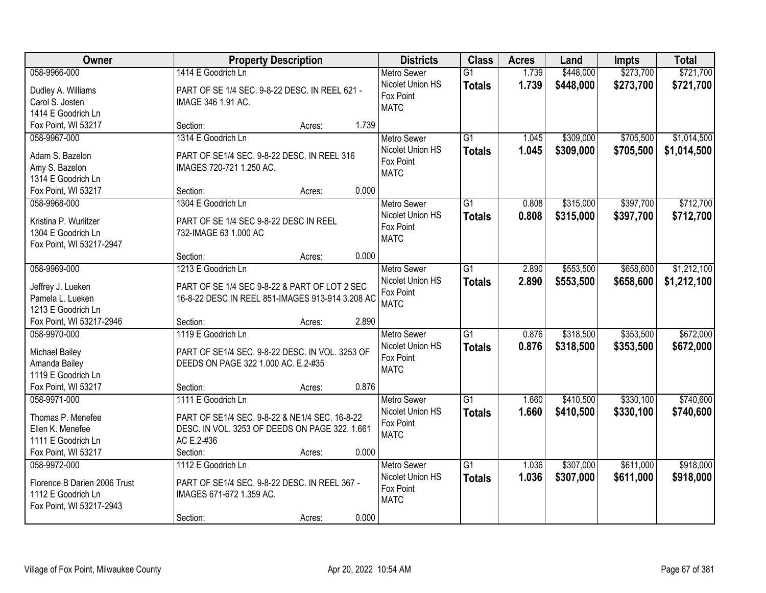| Owner                                | <b>Property Description</b>                      |       | <b>Districts</b>   | <b>Class</b>    | <b>Acres</b> | Land      | <b>Impts</b> | <b>Total</b> |
|--------------------------------------|--------------------------------------------------|-------|--------------------|-----------------|--------------|-----------|--------------|--------------|
| 058-9966-000                         | 1414 E Goodrich Ln                               |       | <b>Metro Sewer</b> | $\overline{G1}$ | 1.739        | \$448,000 | \$273,700    | \$721,700    |
| Dudley A. Williams                   | PART OF SE 1/4 SEC. 9-8-22 DESC. IN REEL 621 -   |       | Nicolet Union HS   | <b>Totals</b>   | 1.739        | \$448,000 | \$273,700    | \$721,700    |
| Carol S. Josten                      | IMAGE 346 1.91 AC.                               |       | Fox Point          |                 |              |           |              |              |
| 1414 E Goodrich Ln                   |                                                  |       | <b>MATC</b>        |                 |              |           |              |              |
| Fox Point, WI 53217                  | Section:<br>Acres:                               | 1.739 |                    |                 |              |           |              |              |
| 058-9967-000                         | 1314 E Goodrich Ln                               |       | <b>Metro Sewer</b> | $\overline{G1}$ | 1.045        | \$309,000 | \$705,500    | \$1,014,500  |
|                                      |                                                  |       | Nicolet Union HS   | <b>Totals</b>   | 1.045        | \$309,000 | \$705,500    | \$1,014,500  |
| Adam S. Bazelon                      | PART OF SE1/4 SEC, 9-8-22 DESC, IN REEL 316      |       | Fox Point          |                 |              |           |              |              |
| Amy S. Bazelon<br>1314 E Goodrich Ln | IMAGES 720-721 1.250 AC.                         |       | <b>MATC</b>        |                 |              |           |              |              |
| Fox Point, WI 53217                  | Section:                                         | 0.000 |                    |                 |              |           |              |              |
| 058-9968-000                         | Acres:<br>1304 E Goodrich Ln                     |       | Metro Sewer        | G1              | 0.808        | \$315,000 | \$397,700    | \$712,700    |
|                                      |                                                  |       | Nicolet Union HS   |                 |              |           |              |              |
| Kristina P. Wurlitzer                | PART OF SE 1/4 SEC 9-8-22 DESC IN REEL           |       | Fox Point          | <b>Totals</b>   | 0.808        | \$315,000 | \$397,700    | \$712,700    |
| 1304 E Goodrich Ln                   | 732-IMAGE 63 1.000 AC                            |       | <b>MATC</b>        |                 |              |           |              |              |
| Fox Point, WI 53217-2947             |                                                  |       |                    |                 |              |           |              |              |
|                                      | Section:<br>Acres:                               | 0.000 |                    |                 |              |           |              |              |
| 058-9969-000                         | 1213 E Goodrich Ln                               |       | <b>Metro Sewer</b> | G1              | 2.890        | \$553,500 | \$658,600    | \$1,212,100  |
| Jeffrey J. Lueken                    | PART OF SE 1/4 SEC 9-8-22 & PART OF LOT 2 SEC    |       | Nicolet Union HS   | <b>Totals</b>   | 2.890        | \$553,500 | \$658,600    | \$1,212,100  |
| Pamela L. Lueken                     | 16-8-22 DESC IN REEL 851-IMAGES 913-914 3.208 AC |       | Fox Point          |                 |              |           |              |              |
| 1213 E Goodrich Ln                   |                                                  |       | <b>MATC</b>        |                 |              |           |              |              |
| Fox Point, WI 53217-2946             | Section:<br>Acres:                               | 2.890 |                    |                 |              |           |              |              |
| 058-9970-000                         | 1119 E Goodrich Ln                               |       | <b>Metro Sewer</b> | $\overline{G1}$ | 0.876        | \$318,500 | \$353,500    | \$672,000    |
|                                      |                                                  |       | Nicolet Union HS   | <b>Totals</b>   | 0.876        | \$318,500 | \$353,500    | \$672,000    |
| <b>Michael Bailey</b>                | PART OF SE1/4 SEC. 9-8-22 DESC. IN VOL. 3253 OF  |       | Fox Point          |                 |              |           |              |              |
| Amanda Bailey                        | DEEDS ON PAGE 322 1.000 AC. E.2-#35              |       | <b>MATC</b>        |                 |              |           |              |              |
| 1119 E Goodrich Ln                   |                                                  |       |                    |                 |              |           |              |              |
| Fox Point, WI 53217                  | Section:<br>Acres:                               | 0.876 |                    |                 |              |           |              |              |
| 058-9971-000                         | 1111 E Goodrich Ln                               |       | <b>Metro Sewer</b> | G1              | 1.660        | \$410,500 | \$330,100    | \$740,600    |
| Thomas P. Menefee                    | PART OF SE1/4 SEC. 9-8-22 & NE1/4 SEC. 16-8-22   |       | Nicolet Union HS   | <b>Totals</b>   | 1.660        | \$410,500 | \$330,100    | \$740,600    |
| Ellen K. Menefee                     | DESC. IN VOL. 3253 OF DEEDS ON PAGE 322. 1.661   |       | Fox Point          |                 |              |           |              |              |
| 1111 E Goodrich Ln                   | AC E.2-#36                                       |       | <b>MATC</b>        |                 |              |           |              |              |
| Fox Point, WI 53217                  | Section:<br>Acres:                               | 0.000 |                    |                 |              |           |              |              |
| 058-9972-000                         | 1112 E Goodrich Ln                               |       | <b>Metro Sewer</b> | $\overline{G1}$ | 1.036        | \$307,000 | \$611,000    | \$918,000    |
|                                      |                                                  |       | Nicolet Union HS   | <b>Totals</b>   | 1.036        | \$307,000 | \$611,000    | \$918,000    |
| Florence B Darien 2006 Trust         | PART OF SE1/4 SEC. 9-8-22 DESC. IN REEL 367 -    |       | Fox Point          |                 |              |           |              |              |
| 1112 E Goodrich Ln                   | IMAGES 671-672 1.359 AC.                         |       | <b>MATC</b>        |                 |              |           |              |              |
| Fox Point, WI 53217-2943             |                                                  |       |                    |                 |              |           |              |              |
|                                      | Section:<br>Acres:                               | 0.000 |                    |                 |              |           |              |              |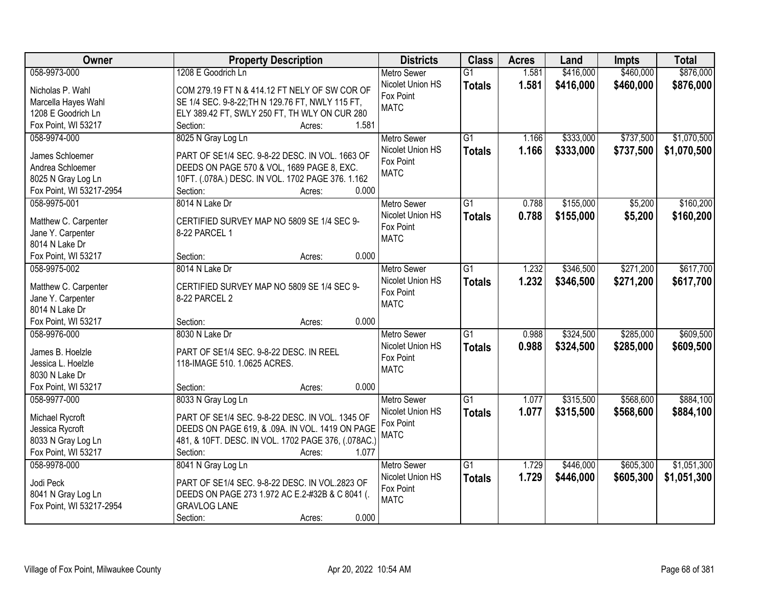| Owner                    | <b>Property Description</b>                                | <b>Districts</b>         | <b>Class</b>    | <b>Acres</b> | Land      | <b>Impts</b> | <b>Total</b> |
|--------------------------|------------------------------------------------------------|--------------------------|-----------------|--------------|-----------|--------------|--------------|
| 058-9973-000             | 1208 E Goodrich Ln                                         | <b>Metro Sewer</b>       | $\overline{G1}$ | 1.581        | \$416,000 | \$460,000    | \$876,000    |
| Nicholas P. Wahl         | COM 279.19 FT N & 414.12 FT NELY OF SW COR OF              | Nicolet Union HS         | <b>Totals</b>   | 1.581        | \$416,000 | \$460,000    | \$876,000    |
| Marcella Hayes Wahl      | SE 1/4 SEC. 9-8-22; TH N 129.76 FT, NWLY 115 FT,           | Fox Point                |                 |              |           |              |              |
| 1208 E Goodrich Ln       | ELY 389.42 FT, SWLY 250 FT, TH WLY ON CUR 280              | <b>MATC</b>              |                 |              |           |              |              |
| Fox Point, WI 53217      | 1.581<br>Section:<br>Acres:                                |                          |                 |              |           |              |              |
| 058-9974-000             | 8025 N Gray Log Ln                                         | <b>Metro Sewer</b>       | $\overline{G1}$ | 1.166        | \$333,000 | \$737,500    | \$1,070,500  |
|                          |                                                            | Nicolet Union HS         | <b>Totals</b>   | 1.166        | \$333,000 | \$737,500    | \$1,070,500  |
| James Schloemer          | PART OF SE1/4 SEC. 9-8-22 DESC. IN VOL. 1663 OF            | Fox Point                |                 |              |           |              |              |
| Andrea Schloemer         | DEEDS ON PAGE 570 & VOL, 1689 PAGE 8, EXC.                 | <b>MATC</b>              |                 |              |           |              |              |
| 8025 N Gray Log Ln       | 10FT. (.078A.) DESC. IN VOL. 1702 PAGE 376. 1.162<br>0.000 |                          |                 |              |           |              |              |
| Fox Point, WI 53217-2954 | Section:<br>Acres:                                         |                          |                 |              |           |              |              |
| 058-9975-001             | 8014 N Lake Dr                                             | <b>Metro Sewer</b>       | G1              | 0.788        | \$155,000 | \$5,200      | \$160,200    |
| Matthew C. Carpenter     | CERTIFIED SURVEY MAP NO 5809 SE 1/4 SEC 9-                 | Nicolet Union HS         | <b>Totals</b>   | 0.788        | \$155,000 | \$5,200      | \$160,200    |
| Jane Y. Carpenter        | 8-22 PARCEL 1                                              | Fox Point<br><b>MATC</b> |                 |              |           |              |              |
| 8014 N Lake Dr           |                                                            |                          |                 |              |           |              |              |
| Fox Point, WI 53217      | 0.000<br>Section:<br>Acres:                                |                          |                 |              |           |              |              |
| 058-9975-002             | 8014 N Lake Dr                                             | <b>Metro Sewer</b>       | G1              | 1.232        | \$346,500 | \$271,200    | \$617,700    |
| Matthew C. Carpenter     | CERTIFIED SURVEY MAP NO 5809 SE 1/4 SEC 9-                 | Nicolet Union HS         | <b>Totals</b>   | 1.232        | \$346,500 | \$271,200    | \$617,700    |
| Jane Y. Carpenter        | 8-22 PARCEL 2                                              | Fox Point                |                 |              |           |              |              |
| 8014 N Lake Dr           |                                                            | <b>MATC</b>              |                 |              |           |              |              |
| Fox Point, WI 53217      | 0.000<br>Section:<br>Acres:                                |                          |                 |              |           |              |              |
| 058-9976-000             | 8030 N Lake Dr                                             | <b>Metro Sewer</b>       | $\overline{G1}$ | 0.988        | \$324,500 | \$285,000    | \$609,500    |
|                          |                                                            | Nicolet Union HS         | <b>Totals</b>   | 0.988        | \$324,500 | \$285,000    | \$609,500    |
| James B. Hoelzle         | PART OF SE1/4 SEC. 9-8-22 DESC. IN REEL                    | Fox Point                |                 |              |           |              |              |
| Jessica L. Hoelzle       | 118-IMAGE 510. 1.0625 ACRES.                               | <b>MATC</b>              |                 |              |           |              |              |
| 8030 N Lake Dr           |                                                            |                          |                 |              |           |              |              |
| Fox Point, WI 53217      | 0.000<br>Section:<br>Acres:                                |                          |                 |              |           |              |              |
| 058-9977-000             | 8033 N Gray Log Ln                                         | <b>Metro Sewer</b>       | $\overline{G1}$ | 1.077        | \$315,500 | \$568,600    | \$884,100    |
| Michael Rycroft          | PART OF SE1/4 SEC. 9-8-22 DESC. IN VOL. 1345 OF            | Nicolet Union HS         | <b>Totals</b>   | 1.077        | \$315,500 | \$568,600    | \$884,100    |
| Jessica Rycroft          | DEEDS ON PAGE 619, & .09A. IN VOL. 1419 ON PAGE            | Fox Point                |                 |              |           |              |              |
| 8033 N Gray Log Ln       | 481, & 10FT. DESC. IN VOL. 1702 PAGE 376, (.078AC.)        | <b>MATC</b>              |                 |              |           |              |              |
| Fox Point, WI 53217      | 1.077<br>Section:<br>Acres:                                |                          |                 |              |           |              |              |
| 058-9978-000             | 8041 N Gray Log Ln                                         | <b>Metro Sewer</b>       | $\overline{G1}$ | 1.729        | \$446,000 | \$605,300    | \$1,051,300  |
|                          |                                                            | Nicolet Union HS         | <b>Totals</b>   | 1.729        | \$446,000 | \$605,300    | \$1,051,300  |
| Jodi Peck                | PART OF SE1/4 SEC. 9-8-22 DESC. IN VOL.2823 OF             | Fox Point                |                 |              |           |              |              |
| 8041 N Gray Log Ln       | DEEDS ON PAGE 273 1.972 AC E.2-#32B & C 8041 (.            | <b>MATC</b>              |                 |              |           |              |              |
| Fox Point, WI 53217-2954 | <b>GRAVLOG LANE</b>                                        |                          |                 |              |           |              |              |
|                          | 0.000<br>Section:<br>Acres:                                |                          |                 |              |           |              |              |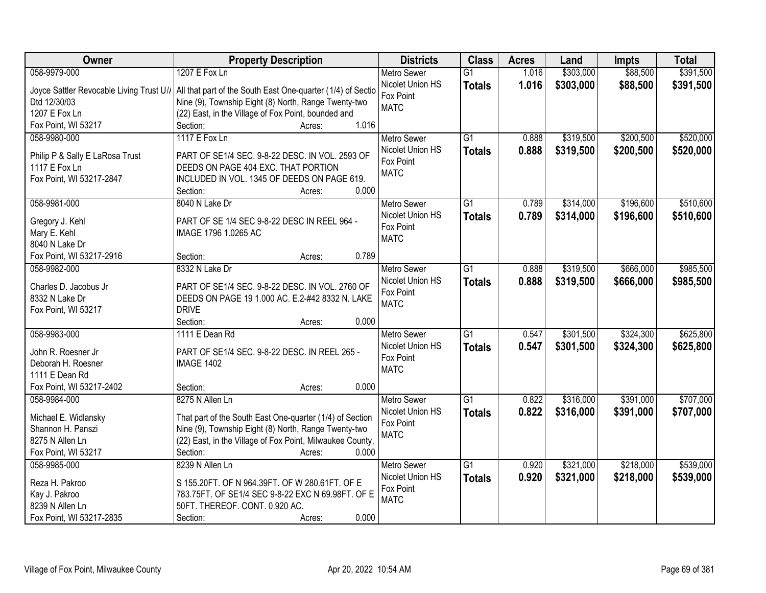| Owner                                    | <b>Property Description</b>                                 | <b>Districts</b>   | <b>Class</b>    | <b>Acres</b> | Land      | <b>Impts</b> | <b>Total</b> |
|------------------------------------------|-------------------------------------------------------------|--------------------|-----------------|--------------|-----------|--------------|--------------|
| 058-9979-000                             | 1207 E Fox Ln                                               | <b>Metro Sewer</b> | $\overline{G1}$ | 1.016        | \$303,000 | \$88,500     | \$391,500    |
| Joyce Sattler Revocable Living Trust U// | All that part of the South East One-quarter (1/4) of Sectio | Nicolet Union HS   | <b>Totals</b>   | 1.016        | \$303,000 | \$88,500     | \$391,500    |
| Dtd 12/30/03                             | Nine (9), Township Eight (8) North, Range Twenty-two        | Fox Point          |                 |              |           |              |              |
| 1207 E Fox Ln                            | (22) East, in the Village of Fox Point, bounded and         | <b>MATC</b>        |                 |              |           |              |              |
| Fox Point, WI 53217                      | 1.016<br>Section:<br>Acres:                                 |                    |                 |              |           |              |              |
| 058-9980-000                             | 1117 E Fox Ln                                               | Metro Sewer        | $\overline{G1}$ | 0.888        | \$319,500 | \$200,500    | \$520,000    |
|                                          |                                                             | Nicolet Union HS   | <b>Totals</b>   | 0.888        | \$319,500 | \$200,500    | \$520,000    |
| Philip P & Sally E LaRosa Trust          | PART OF SE1/4 SEC. 9-8-22 DESC. IN VOL. 2593 OF             | Fox Point          |                 |              |           |              |              |
| 1117 E Fox Ln                            | DEEDS ON PAGE 404 EXC. THAT PORTION                         | <b>MATC</b>        |                 |              |           |              |              |
| Fox Point, WI 53217-2847                 | INCLUDED IN VOL. 1345 OF DEEDS ON PAGE 619.                 |                    |                 |              |           |              |              |
|                                          | 0.000<br>Section:<br>Acres:                                 |                    |                 |              |           |              |              |
| 058-9981-000                             | 8040 N Lake Dr                                              | <b>Metro Sewer</b> | $\overline{G1}$ | 0.789        | \$314,000 | \$196,600    | \$510,600    |
| Gregory J. Kehl                          | PART OF SE 1/4 SEC 9-8-22 DESC IN REEL 964 -                | Nicolet Union HS   | <b>Totals</b>   | 0.789        | \$314,000 | \$196,600    | \$510,600    |
| Mary E. Kehl                             | IMAGE 1796 1.0265 AC                                        | Fox Point          |                 |              |           |              |              |
| 8040 N Lake Dr                           |                                                             | <b>MATC</b>        |                 |              |           |              |              |
| Fox Point, WI 53217-2916                 | 0.789<br>Section:<br>Acres:                                 |                    |                 |              |           |              |              |
| 058-9982-000                             | 8332 N Lake Dr                                              | <b>Metro Sewer</b> | $\overline{G1}$ | 0.888        | \$319,500 | \$666,000    | \$985,500    |
|                                          |                                                             | Nicolet Union HS   |                 | 0.888        | \$319,500 | \$666,000    | \$985,500    |
| Charles D. Jacobus Jr                    | PART OF SE1/4 SEC. 9-8-22 DESC. IN VOL. 2760 OF             | Fox Point          | <b>Totals</b>   |              |           |              |              |
| 8332 N Lake Dr                           | DEEDS ON PAGE 19 1.000 AC. E.2-#42 8332 N. LAKE             | <b>MATC</b>        |                 |              |           |              |              |
| Fox Point, WI 53217                      | <b>DRIVE</b>                                                |                    |                 |              |           |              |              |
|                                          | 0.000<br>Section:<br>Acres:                                 |                    |                 |              |           |              |              |
| 058-9983-000                             | 1111 E Dean Rd                                              | <b>Metro Sewer</b> | $\overline{G1}$ | 0.547        | \$301,500 | \$324,300    | \$625,800    |
| John R. Roesner Jr                       | PART OF SE1/4 SEC. 9-8-22 DESC. IN REEL 265 -               | Nicolet Union HS   | <b>Totals</b>   | 0.547        | \$301,500 | \$324,300    | \$625,800    |
| Deborah H. Roesner                       | <b>IMAGE 1402</b>                                           | Fox Point          |                 |              |           |              |              |
| 1111 E Dean Rd                           |                                                             | <b>MATC</b>        |                 |              |           |              |              |
| Fox Point, WI 53217-2402                 | 0.000<br>Section:<br>Acres:                                 |                    |                 |              |           |              |              |
| 058-9984-000                             | 8275 N Allen Ln                                             | Metro Sewer        | $\overline{G1}$ | 0.822        | \$316,000 | \$391,000    | \$707,000    |
|                                          |                                                             | Nicolet Union HS   |                 |              |           |              |              |
| Michael E. Widlansky                     | That part of the South East One-quarter (1/4) of Section    | Fox Point          | <b>Totals</b>   | 0.822        | \$316,000 | \$391,000    | \$707,000    |
| Shannon H. Panszi                        | Nine (9), Township Eight (8) North, Range Twenty-two        | <b>MATC</b>        |                 |              |           |              |              |
| 8275 N Allen Ln                          | (22) East, in the Village of Fox Point, Milwaukee County,   |                    |                 |              |           |              |              |
| Fox Point, WI 53217                      | 0.000<br>Section:<br>Acres:                                 |                    |                 |              |           |              |              |
| 058-9985-000                             | 8239 N Allen Ln                                             | <b>Metro Sewer</b> | $\overline{G1}$ | 0.920        | \$321,000 | \$218,000    | \$539,000    |
| Reza H. Pakroo                           | S 155.20FT. OF N 964.39FT. OF W 280.61FT. OF E              | Nicolet Union HS   | <b>Totals</b>   | 0.920        | \$321,000 | \$218,000    | \$539,000    |
|                                          | 783.75FT. OF SE1/4 SEC 9-8-22 EXC N 69.98FT. OF E           | Fox Point          |                 |              |           |              |              |
| Kay J. Pakroo<br>8239 N Allen Ln         | 50FT. THEREOF. CONT. 0.920 AC.                              | <b>MATC</b>        |                 |              |           |              |              |
| Fox Point, WI 53217-2835                 | 0.000<br>Section:                                           |                    |                 |              |           |              |              |
|                                          | Acres:                                                      |                    |                 |              |           |              |              |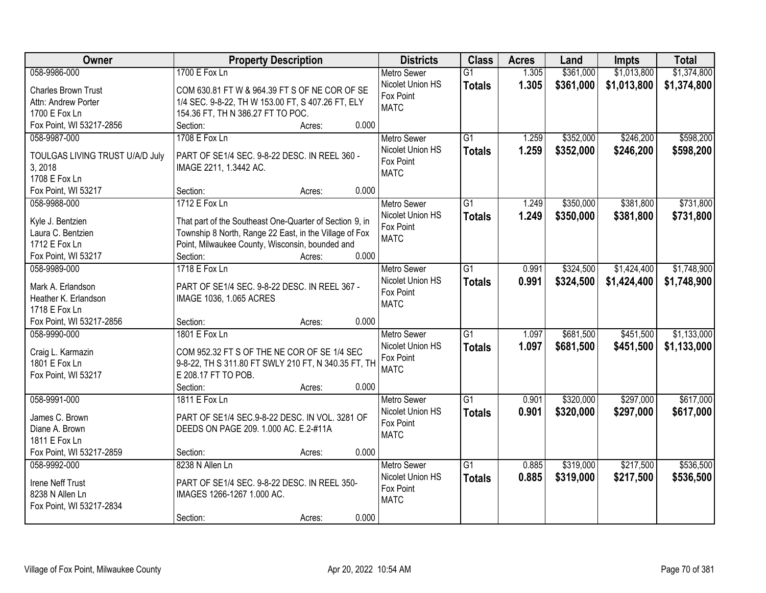| Owner                                 | <b>Property Description</b>                             | <b>Districts</b>              | <b>Class</b>    | <b>Acres</b> | Land      | <b>Impts</b> | <b>Total</b> |
|---------------------------------------|---------------------------------------------------------|-------------------------------|-----------------|--------------|-----------|--------------|--------------|
| 058-9986-000                          | 1700 E Fox Ln                                           | <b>Metro Sewer</b>            | $\overline{G1}$ | 1.305        | \$361,000 | \$1,013,800  | \$1,374,800  |
| <b>Charles Brown Trust</b>            | COM 630.81 FT W & 964.39 FT S OF NE COR OF SE           | Nicolet Union HS              | <b>Totals</b>   | 1.305        | \$361,000 | \$1,013,800  | \$1,374,800  |
| Attn: Andrew Porter                   | 1/4 SEC. 9-8-22, TH W 153.00 FT, S 407.26 FT, ELY       | Fox Point                     |                 |              |           |              |              |
| 1700 E Fox Ln                         | 154.36 FT, TH N 386.27 FT TO POC.                       | <b>MATC</b>                   |                 |              |           |              |              |
| Fox Point, WI 53217-2856              | 0.000<br>Section:<br>Acres:                             |                               |                 |              |           |              |              |
| 058-9987-000                          | 1708 E Fox Ln                                           | <b>Metro Sewer</b>            | $\overline{G1}$ | 1.259        | \$352,000 | \$246,200    | \$598,200    |
|                                       |                                                         | Nicolet Union HS              | <b>Totals</b>   | 1.259        | \$352,000 | \$246,200    | \$598,200    |
| TOULGAS LIVING TRUST U/A/D July       | PART OF SE1/4 SEC. 9-8-22 DESC. IN REEL 360 -           | Fox Point                     |                 |              |           |              |              |
| 3, 2018                               | IMAGE 2211, 1.3442 AC.                                  | <b>MATC</b>                   |                 |              |           |              |              |
| 1708 E Fox Ln                         |                                                         |                               |                 |              |           |              |              |
| Fox Point, WI 53217                   | 0.000<br>Section:<br>Acres:                             |                               |                 |              |           |              |              |
| 058-9988-000                          | 1712 E Fox Ln                                           | Metro Sewer                   | G1              | 1.249        | \$350,000 | \$381,800    | \$731,800    |
| Kyle J. Bentzien                      | That part of the Southeast One-Quarter of Section 9, in | Nicolet Union HS              | <b>Totals</b>   | 1.249        | \$350,000 | \$381,800    | \$731,800    |
| Laura C. Bentzien                     | Township 8 North, Range 22 East, in the Village of Fox  | Fox Point                     |                 |              |           |              |              |
| 1712 E Fox Ln                         | Point, Milwaukee County, Wisconsin, bounded and         | <b>MATC</b>                   |                 |              |           |              |              |
| Fox Point, WI 53217                   | 0.000<br>Section:<br>Acres:                             |                               |                 |              |           |              |              |
| 058-9989-000                          | 1718 E Fox Ln                                           | <b>Metro Sewer</b>            | G1              | 0.991        | \$324,500 | \$1,424,400  | \$1,748,900  |
|                                       |                                                         | Nicolet Union HS              | <b>Totals</b>   | 0.991        | \$324,500 | \$1,424,400  | \$1,748,900  |
| Mark A. Erlandson                     | PART OF SE1/4 SEC. 9-8-22 DESC. IN REEL 367 -           | Fox Point                     |                 |              |           |              |              |
| Heather K. Erlandson<br>1718 E Fox Ln | IMAGE 1036, 1.065 ACRES                                 | <b>MATC</b>                   |                 |              |           |              |              |
| Fox Point, WI 53217-2856              | 0.000<br>Section:                                       |                               |                 |              |           |              |              |
| 058-9990-000                          | Acres:<br>1801 E Fox Ln                                 |                               | $\overline{G1}$ | 1.097        | \$681,500 | \$451,500    | \$1,133,000  |
|                                       |                                                         | <b>Metro Sewer</b>            |                 |              |           |              |              |
| Craig L. Karmazin                     | COM 952.32 FT S OF THE NE COR OF SE 1/4 SEC             | Nicolet Union HS<br>Fox Point | <b>Totals</b>   | 1.097        | \$681,500 | \$451,500    | \$1,133,000  |
| 1801 E Fox Ln                         | 9-8-22, TH S 311.80 FT SWLY 210 FT, N 340.35 FT, TH     | <b>MATC</b>                   |                 |              |           |              |              |
| Fox Point, WI 53217                   | E 208.17 FT TO POB.                                     |                               |                 |              |           |              |              |
|                                       | Section:<br>0.000<br>Acres:                             |                               |                 |              |           |              |              |
| 058-9991-000                          | 1811 E Fox Ln                                           | Metro Sewer                   | $\overline{G1}$ | 0.901        | \$320,000 | \$297,000    | \$617,000    |
| James C. Brown                        | PART OF SE1/4 SEC.9-8-22 DESC. IN VOL. 3281 OF          | Nicolet Union HS              | <b>Totals</b>   | 0.901        | \$320,000 | \$297,000    | \$617,000    |
| Diane A. Brown                        | DEEDS ON PAGE 209. 1.000 AC. E.2-#11A                   | Fox Point                     |                 |              |           |              |              |
| 1811 E Fox Ln                         |                                                         | <b>MATC</b>                   |                 |              |           |              |              |
| Fox Point, WI 53217-2859              | 0.000<br>Section:<br>Acres:                             |                               |                 |              |           |              |              |
| 058-9992-000                          | 8238 N Allen Ln                                         | <b>Metro Sewer</b>            | $\overline{G1}$ | 0.885        | \$319,000 | \$217,500    | \$536,500    |
|                                       |                                                         | Nicolet Union HS              | <b>Totals</b>   | 0.885        | \$319,000 | \$217,500    | \$536,500    |
| Irene Neff Trust                      | PART OF SE1/4 SEC. 9-8-22 DESC. IN REEL 350-            | Fox Point                     |                 |              |           |              |              |
| 8238 N Allen Ln                       | IMAGES 1266-1267 1.000 AC.                              | <b>MATC</b>                   |                 |              |           |              |              |
| Fox Point, WI 53217-2834              |                                                         |                               |                 |              |           |              |              |
|                                       | 0.000<br>Section:<br>Acres:                             |                               |                 |              |           |              |              |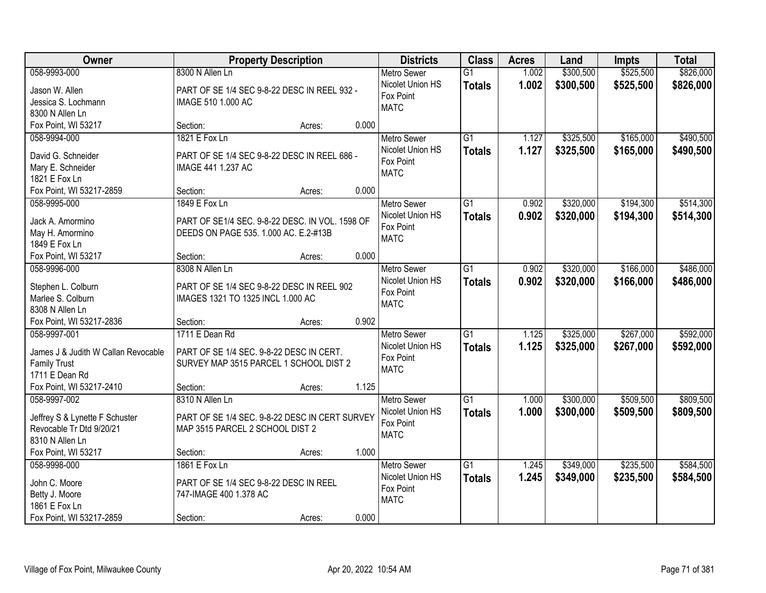| Owner                                   |                                                 | <b>Property Description</b> |       | <b>Districts</b>   | <b>Class</b>    | <b>Acres</b> | Land      | <b>Impts</b> | <b>Total</b> |
|-----------------------------------------|-------------------------------------------------|-----------------------------|-------|--------------------|-----------------|--------------|-----------|--------------|--------------|
| 058-9993-000                            | 8300 N Allen Ln                                 |                             |       | <b>Metro Sewer</b> | $\overline{G1}$ | 1.002        | \$300,500 | \$525,500    | \$826,000    |
| Jason W. Allen                          | PART OF SE 1/4 SEC 9-8-22 DESC IN REEL 932 -    |                             |       | Nicolet Union HS   | <b>Totals</b>   | 1.002        | \$300,500 | \$525,500    | \$826,000    |
| Jessica S. Lochmann                     | IMAGE 510 1.000 AC                              |                             |       | Fox Point          |                 |              |           |              |              |
| 8300 N Allen Ln                         |                                                 |                             |       | <b>MATC</b>        |                 |              |           |              |              |
| Fox Point, WI 53217                     | Section:                                        | Acres:                      | 0.000 |                    |                 |              |           |              |              |
| 058-9994-000                            | 1821 E Fox Ln                                   |                             |       | Metro Sewer        | $\overline{G1}$ | 1.127        | \$325,500 | \$165,000    | \$490,500    |
|                                         |                                                 |                             |       | Nicolet Union HS   | <b>Totals</b>   | 1.127        | \$325,500 | \$165,000    | \$490,500    |
| David G. Schneider                      | PART OF SE 1/4 SEC 9-8-22 DESC IN REEL 686 -    |                             |       | Fox Point          |                 |              |           |              |              |
| Mary E. Schneider                       | IMAGE 441 1.237 AC                              |                             |       | <b>MATC</b>        |                 |              |           |              |              |
| 1821 E Fox Ln                           |                                                 |                             |       |                    |                 |              |           |              |              |
| Fox Point, WI 53217-2859                | Section:                                        | Acres:                      | 0.000 |                    |                 |              |           |              |              |
| 058-9995-000                            | 1849 E Fox Ln                                   |                             |       | <b>Metro Sewer</b> | G1              | 0.902        | \$320,000 | \$194,300    | \$514,300    |
| Jack A. Amormino                        | PART OF SE1/4 SEC. 9-8-22 DESC. IN VOL. 1598 OF |                             |       | Nicolet Union HS   | <b>Totals</b>   | 0.902        | \$320,000 | \$194,300    | \$514,300    |
| May H. Amormino                         | DEEDS ON PAGE 535. 1.000 AC. E.2-#13B           |                             |       | Fox Point          |                 |              |           |              |              |
| 1849 E Fox Ln                           |                                                 |                             |       | <b>MATC</b>        |                 |              |           |              |              |
| Fox Point, WI 53217                     | Section:                                        | Acres:                      | 0.000 |                    |                 |              |           |              |              |
| 058-9996-000                            | 8308 N Allen Ln                                 |                             |       | <b>Metro Sewer</b> | $\overline{G1}$ | 0.902        | \$320,000 | \$166,000    | \$486,000    |
|                                         | PART OF SE 1/4 SEC 9-8-22 DESC IN REEL 902      |                             |       | Nicolet Union HS   | <b>Totals</b>   | 0.902        | \$320,000 | \$166,000    | \$486,000    |
| Stephen L. Colburn<br>Marlee S. Colburn | IMAGES 1321 TO 1325 INCL 1.000 AC               |                             |       | Fox Point          |                 |              |           |              |              |
| 8308 N Allen Ln                         |                                                 |                             |       | <b>MATC</b>        |                 |              |           |              |              |
| Fox Point, WI 53217-2836                | Section:                                        | Acres:                      | 0.902 |                    |                 |              |           |              |              |
| 058-9997-001                            | 1711 E Dean Rd                                  |                             |       | <b>Metro Sewer</b> | $\overline{G1}$ | 1.125        | \$325,000 | \$267,000    | \$592,000    |
|                                         |                                                 |                             |       | Nicolet Union HS   | <b>Totals</b>   | 1.125        | \$325,000 | \$267,000    | \$592,000    |
| James J & Judith W Callan Revocable     | PART OF SE 1/4 SEC. 9-8-22 DESC IN CERT.        |                             |       | Fox Point          |                 |              |           |              |              |
| <b>Family Trust</b>                     | SURVEY MAP 3515 PARCEL 1 SCHOOL DIST 2          |                             |       | <b>MATC</b>        |                 |              |           |              |              |
| 1711 E Dean Rd                          |                                                 |                             |       |                    |                 |              |           |              |              |
| Fox Point, WI 53217-2410                | Section:                                        | Acres:                      | 1.125 |                    |                 |              |           |              |              |
| 058-9997-002                            | 8310 N Allen Ln                                 |                             |       | <b>Metro Sewer</b> | $\overline{G1}$ | 1.000        | \$300,000 | \$509,500    | \$809,500    |
| Jeffrey S & Lynette F Schuster          | PART OF SE 1/4 SEC. 9-8-22 DESC IN CERT SURVEY  |                             |       | Nicolet Union HS   | <b>Totals</b>   | 1.000        | \$300,000 | \$509,500    | \$809,500    |
| Revocable Tr Dtd 9/20/21                | MAP 3515 PARCEL 2 SCHOOL DIST 2                 |                             |       | Fox Point          |                 |              |           |              |              |
| 8310 N Allen Ln                         |                                                 |                             |       | <b>MATC</b>        |                 |              |           |              |              |
| Fox Point, WI 53217                     | Section:                                        | Acres:                      | 1.000 |                    |                 |              |           |              |              |
| 058-9998-000                            | 1861 E Fox Ln                                   |                             |       | <b>Metro Sewer</b> | $\overline{G1}$ | 1.245        | \$349,000 | \$235,500    | \$584,500    |
|                                         |                                                 |                             |       | Nicolet Union HS   | <b>Totals</b>   | 1.245        | \$349,000 | \$235,500    | \$584,500    |
| John C. Moore                           | PART OF SE 1/4 SEC 9-8-22 DESC IN REEL          |                             |       | Fox Point          |                 |              |           |              |              |
| Betty J. Moore                          | 747-IMAGE 400 1.378 AC                          |                             |       | <b>MATC</b>        |                 |              |           |              |              |
| 1861 E Fox Ln                           |                                                 |                             |       |                    |                 |              |           |              |              |
| Fox Point, WI 53217-2859                | Section:                                        | Acres:                      | 0.000 |                    |                 |              |           |              |              |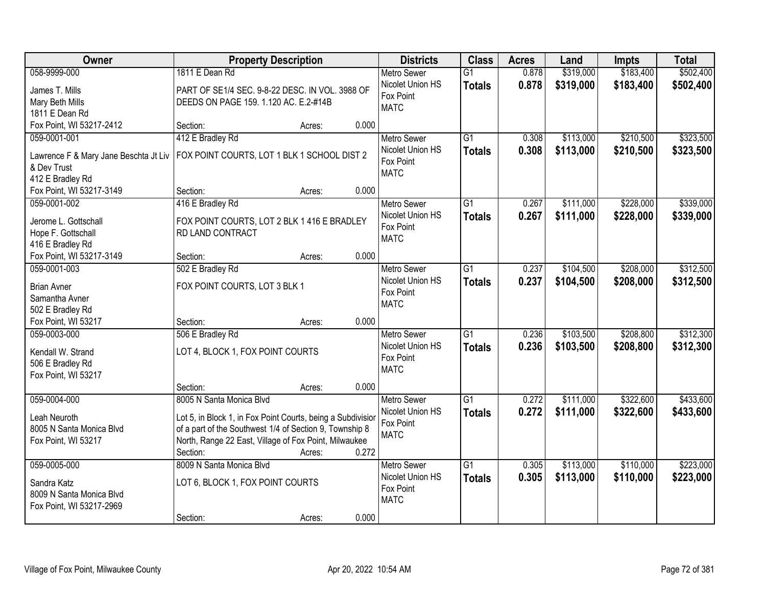| Owner                                        | <b>Property Description</b>                                 |        |       | <b>Districts</b>              | <b>Class</b>    | <b>Acres</b> | Land      | <b>Impts</b> | <b>Total</b> |
|----------------------------------------------|-------------------------------------------------------------|--------|-------|-------------------------------|-----------------|--------------|-----------|--------------|--------------|
| 058-9999-000                                 | 1811 E Dean Rd                                              |        |       | <b>Metro Sewer</b>            | $\overline{G1}$ | 0.878        | \$319,000 | \$183,400    | \$502,400    |
| James T. Mills                               | PART OF SE1/4 SEC. 9-8-22 DESC. IN VOL. 3988 OF             |        |       | Nicolet Union HS              | <b>Totals</b>   | 0.878        | \$319,000 | \$183,400    | \$502,400    |
| Mary Beth Mills                              | DEEDS ON PAGE 159. 1.120 AC. E.2-#14B                       |        |       | Fox Point                     |                 |              |           |              |              |
| 1811 E Dean Rd                               |                                                             |        |       | <b>MATC</b>                   |                 |              |           |              |              |
| Fox Point, WI 53217-2412                     | Section:                                                    | Acres: | 0.000 |                               |                 |              |           |              |              |
| 059-0001-001                                 | 412 E Bradley Rd                                            |        |       | <b>Metro Sewer</b>            | $\overline{G1}$ | 0.308        | \$113,000 | \$210,500    | \$323,500    |
| Lawrence F & Mary Jane Beschta Jt Liv        | FOX POINT COURTS, LOT 1 BLK 1 SCHOOL DIST 2                 |        |       | Nicolet Union HS              | <b>Totals</b>   | 0.308        | \$113,000 | \$210,500    | \$323,500    |
| & Dev Trust                                  |                                                             |        |       | Fox Point                     |                 |              |           |              |              |
| 412 E Bradley Rd                             |                                                             |        |       | <b>MATC</b>                   |                 |              |           |              |              |
| Fox Point, WI 53217-3149                     | Section:                                                    | Acres: | 0.000 |                               |                 |              |           |              |              |
| 059-0001-002                                 | 416 E Bradley Rd                                            |        |       | Metro Sewer                   | $\overline{G1}$ | 0.267        | \$111,000 | \$228,000    | \$339,000    |
|                                              |                                                             |        |       | Nicolet Union HS              | <b>Totals</b>   | 0.267        | \$111,000 | \$228,000    | \$339,000    |
| Jerome L. Gottschall                         | FOX POINT COURTS, LOT 2 BLK 1 416 E BRADLEY                 |        |       | Fox Point                     |                 |              |           |              |              |
| Hope F. Gottschall                           | RD LAND CONTRACT                                            |        |       | <b>MATC</b>                   |                 |              |           |              |              |
| 416 E Bradley Rd<br>Fox Point, WI 53217-3149 | Section:                                                    | Acres: | 0.000 |                               |                 |              |           |              |              |
| 059-0001-003                                 | 502 E Bradley Rd                                            |        |       | <b>Metro Sewer</b>            | $\overline{G1}$ | 0.237        | \$104,500 | \$208,000    | \$312,500    |
|                                              |                                                             |        |       | Nicolet Union HS              | <b>Totals</b>   | 0.237        | \$104,500 | \$208,000    | \$312,500    |
| <b>Brian Avner</b>                           | FOX POINT COURTS, LOT 3 BLK 1                               |        |       | Fox Point                     |                 |              |           |              |              |
| Samantha Avner                               |                                                             |        |       | <b>MATC</b>                   |                 |              |           |              |              |
| 502 E Bradley Rd                             |                                                             |        |       |                               |                 |              |           |              |              |
| Fox Point, WI 53217                          | Section:                                                    | Acres: | 0.000 |                               |                 |              |           |              |              |
| 059-0003-000                                 | 506 E Bradley Rd                                            |        |       | Metro Sewer                   | $\overline{G1}$ | 0.236        | \$103,500 | \$208,800    | \$312,300    |
| Kendall W. Strand                            | LOT 4, BLOCK 1, FOX POINT COURTS                            |        |       | Nicolet Union HS<br>Fox Point | <b>Totals</b>   | 0.236        | \$103,500 | \$208,800    | \$312,300    |
| 506 E Bradley Rd                             |                                                             |        |       | <b>MATC</b>                   |                 |              |           |              |              |
| Fox Point, WI 53217                          |                                                             |        |       |                               |                 |              |           |              |              |
|                                              | Section:                                                    | Acres: | 0.000 |                               |                 |              |           |              |              |
| 059-0004-000                                 | 8005 N Santa Monica Blvd                                    |        |       | <b>Metro Sewer</b>            | $\overline{G1}$ | 0.272        | \$111,000 | \$322,600    | \$433,600    |
| Leah Neuroth                                 | Lot 5, in Block 1, in Fox Point Courts, being a Subdivisior |        |       | Nicolet Union HS              | <b>Totals</b>   | 0.272        | \$111,000 | \$322,600    | \$433,600    |
| 8005 N Santa Monica Blvd                     | of a part of the Southwest 1/4 of Section 9, Township 8     |        |       | Fox Point                     |                 |              |           |              |              |
| Fox Point, WI 53217                          | North, Range 22 East, Village of Fox Point, Milwaukee       |        |       | <b>MATC</b>                   |                 |              |           |              |              |
|                                              | Section:                                                    | Acres: | 0.272 |                               |                 |              |           |              |              |
| 059-0005-000                                 | 8009 N Santa Monica Blvd                                    |        |       | <b>Metro Sewer</b>            | $\overline{G1}$ | 0.305        | \$113,000 | \$110,000    | \$223,000    |
| Sandra Katz                                  | LOT 6, BLOCK 1, FOX POINT COURTS                            |        |       | Nicolet Union HS              | <b>Totals</b>   | 0.305        | \$113,000 | \$110,000    | \$223,000    |
| 8009 N Santa Monica Blvd                     |                                                             |        |       | Fox Point                     |                 |              |           |              |              |
| Fox Point, WI 53217-2969                     |                                                             |        |       | <b>MATC</b>                   |                 |              |           |              |              |
|                                              | Section:                                                    | Acres: | 0.000 |                               |                 |              |           |              |              |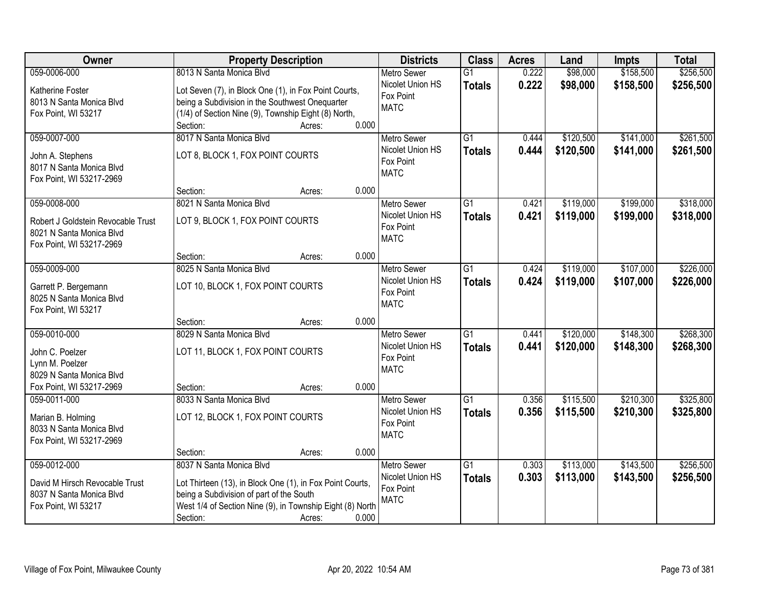| Owner                                                          | <b>Property Description</b>                               | <b>Districts</b>   | <b>Class</b>    | <b>Acres</b> | Land      | <b>Impts</b> | <b>Total</b> |
|----------------------------------------------------------------|-----------------------------------------------------------|--------------------|-----------------|--------------|-----------|--------------|--------------|
| 059-0006-000                                                   | 8013 N Santa Monica Blvd                                  | <b>Metro Sewer</b> | $\overline{G1}$ | 0.222        | \$98,000  | \$158,500    | \$256,500    |
| Katherine Foster                                               | Lot Seven (7), in Block One (1), in Fox Point Courts,     | Nicolet Union HS   | <b>Totals</b>   | 0.222        | \$98,000  | \$158,500    | \$256,500    |
| 8013 N Santa Monica Blvd                                       | being a Subdivision in the Southwest Onequarter           | Fox Point          |                 |              |           |              |              |
| Fox Point, WI 53217                                            | (1/4) of Section Nine (9), Township Eight (8) North,      | <b>MATC</b>        |                 |              |           |              |              |
|                                                                | 0.000<br>Section:<br>Acres:                               |                    |                 |              |           |              |              |
| 059-0007-000                                                   | 8017 N Santa Monica Blvd                                  | <b>Metro Sewer</b> | $\overline{G1}$ | 0.444        | \$120,500 | \$141,000    | \$261,500    |
| John A. Stephens                                               | LOT 8, BLOCK 1, FOX POINT COURTS                          | Nicolet Union HS   | <b>Totals</b>   | 0.444        | \$120,500 | \$141,000    | \$261,500    |
| 8017 N Santa Monica Blvd                                       |                                                           | Fox Point          |                 |              |           |              |              |
| Fox Point, WI 53217-2969                                       |                                                           | <b>MATC</b>        |                 |              |           |              |              |
|                                                                | 0.000<br>Section:<br>Acres:                               |                    |                 |              |           |              |              |
| 059-0008-000                                                   | 8021 N Santa Monica Blvd                                  | <b>Metro Sewer</b> | G1              | 0.421        | \$119,000 | \$199,000    | \$318,000    |
|                                                                |                                                           | Nicolet Union HS   | <b>Totals</b>   | 0.421        | \$119,000 | \$199,000    | \$318,000    |
| Robert J Goldstein Revocable Trust<br>8021 N Santa Monica Blvd | LOT 9, BLOCK 1, FOX POINT COURTS                          | Fox Point          |                 |              |           |              |              |
| Fox Point, WI 53217-2969                                       |                                                           | <b>MATC</b>        |                 |              |           |              |              |
|                                                                | 0.000<br>Section:<br>Acres:                               |                    |                 |              |           |              |              |
| 059-0009-000                                                   | 8025 N Santa Monica Blvd                                  | <b>Metro Sewer</b> | G1              | 0.424        | \$119,000 | \$107,000    | \$226,000    |
|                                                                |                                                           | Nicolet Union HS   | <b>Totals</b>   | 0.424        | \$119,000 | \$107,000    | \$226,000    |
| Garrett P. Bergemann                                           | LOT 10, BLOCK 1, FOX POINT COURTS                         | Fox Point          |                 |              |           |              |              |
| 8025 N Santa Monica Blvd<br>Fox Point, WI 53217                |                                                           | <b>MATC</b>        |                 |              |           |              |              |
|                                                                | 0.000<br>Section:<br>Acres:                               |                    |                 |              |           |              |              |
| 059-0010-000                                                   | 8029 N Santa Monica Blvd                                  | <b>Metro Sewer</b> | $\overline{G1}$ | 0.441        | \$120,000 | \$148,300    | \$268,300    |
|                                                                |                                                           | Nicolet Union HS   | <b>Totals</b>   | 0.441        | \$120,000 | \$148,300    | \$268,300    |
| John C. Poelzer                                                | LOT 11, BLOCK 1, FOX POINT COURTS                         | Fox Point          |                 |              |           |              |              |
| Lynn M. Poelzer<br>8029 N Santa Monica Blvd                    |                                                           | <b>MATC</b>        |                 |              |           |              |              |
| Fox Point, WI 53217-2969                                       | 0.000<br>Section:<br>Acres:                               |                    |                 |              |           |              |              |
| 059-0011-000                                                   | 8033 N Santa Monica Blvd                                  | Metro Sewer        | $\overline{G1}$ | 0.356        | \$115,500 | \$210,300    | \$325,800    |
|                                                                |                                                           | Nicolet Union HS   | <b>Totals</b>   | 0.356        | \$115,500 | \$210,300    | \$325,800    |
| Marian B. Holming                                              | LOT 12, BLOCK 1, FOX POINT COURTS                         | Fox Point          |                 |              |           |              |              |
| 8033 N Santa Monica Blvd                                       |                                                           | <b>MATC</b>        |                 |              |           |              |              |
| Fox Point, WI 53217-2969                                       | 0.000                                                     |                    |                 |              |           |              |              |
| 059-0012-000                                                   | Section:<br>Acres:<br>8037 N Santa Monica Blvd            | <b>Metro Sewer</b> | $\overline{G1}$ | 0.303        | \$113,000 | \$143,500    | \$256,500    |
|                                                                |                                                           | Nicolet Union HS   | <b>Totals</b>   | 0.303        | \$113,000 | \$143,500    | \$256,500    |
| David M Hirsch Revocable Trust                                 | Lot Thirteen (13), in Block One (1), in Fox Point Courts, | Fox Point          |                 |              |           |              |              |
| 8037 N Santa Monica Blvd                                       | being a Subdivision of part of the South                  | <b>MATC</b>        |                 |              |           |              |              |
| Fox Point, WI 53217                                            | West 1/4 of Section Nine (9), in Township Eight (8) North |                    |                 |              |           |              |              |
|                                                                | Section:<br>0.000<br>Acres:                               |                    |                 |              |           |              |              |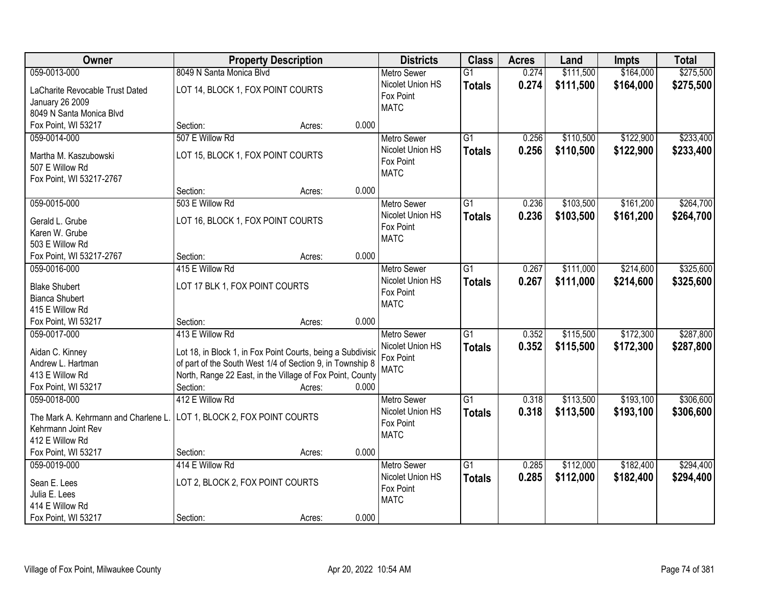| Owner                                                                                                                | <b>Property Description</b>                                                                                                                                                                                                             | <b>Districts</b>                                                   | <b>Class</b>                     | <b>Acres</b>   | Land                   | Impts                  | <b>Total</b>           |
|----------------------------------------------------------------------------------------------------------------------|-----------------------------------------------------------------------------------------------------------------------------------------------------------------------------------------------------------------------------------------|--------------------------------------------------------------------|----------------------------------|----------------|------------------------|------------------------|------------------------|
| 059-0013-000                                                                                                         | 8049 N Santa Monica Blvd                                                                                                                                                                                                                | <b>Metro Sewer</b>                                                 | $\overline{G1}$                  | 0.274          | \$111,500              | \$164,000              | \$275,500              |
| LaCharite Revocable Trust Dated<br><b>January 26 2009</b><br>8049 N Santa Monica Blvd                                | LOT 14, BLOCK 1, FOX POINT COURTS                                                                                                                                                                                                       | Nicolet Union HS<br>Fox Point<br><b>MATC</b>                       | <b>Totals</b>                    | 0.274          | \$111,500              | \$164,000              | \$275,500              |
| Fox Point, WI 53217                                                                                                  | 0.000<br>Section:<br>Acres:                                                                                                                                                                                                             |                                                                    |                                  |                |                        |                        |                        |
| 059-0014-000<br>Martha M. Kaszubowski<br>507 E Willow Rd<br>Fox Point, WI 53217-2767                                 | 507 E Willow Rd<br>LOT 15, BLOCK 1, FOX POINT COURTS                                                                                                                                                                                    | <b>Metro Sewer</b><br>Nicolet Union HS<br>Fox Point<br><b>MATC</b> | $\overline{G1}$<br><b>Totals</b> | 0.256<br>0.256 | \$110,500<br>\$110,500 | \$122,900<br>\$122,900 | \$233,400<br>\$233,400 |
|                                                                                                                      | 0.000<br>Section:<br>Acres:                                                                                                                                                                                                             |                                                                    |                                  |                |                        |                        |                        |
| 059-0015-000<br>Gerald L. Grube<br>Karen W. Grube<br>503 E Willow Rd                                                 | 503 E Willow Rd<br>LOT 16, BLOCK 1, FOX POINT COURTS                                                                                                                                                                                    | <b>Metro Sewer</b><br>Nicolet Union HS<br>Fox Point<br><b>MATC</b> | G1<br><b>Totals</b>              | 0.236<br>0.236 | \$103,500<br>\$103,500 | \$161,200<br>\$161,200 | \$264,700<br>\$264,700 |
| Fox Point, WI 53217-2767                                                                                             | 0.000<br>Section:<br>Acres:                                                                                                                                                                                                             |                                                                    |                                  |                |                        |                        |                        |
| 059-0016-000<br><b>Blake Shubert</b><br><b>Bianca Shubert</b><br>415 E Willow Rd                                     | 415 E Willow Rd<br>LOT 17 BLK 1, FOX POINT COURTS                                                                                                                                                                                       | <b>Metro Sewer</b><br>Nicolet Union HS<br>Fox Point<br><b>MATC</b> | G1<br><b>Totals</b>              | 0.267<br>0.267 | \$111,000<br>\$111,000 | \$214,600<br>\$214,600 | \$325,600<br>\$325,600 |
| Fox Point, WI 53217                                                                                                  | 0.000<br>Section:<br>Acres:                                                                                                                                                                                                             |                                                                    |                                  |                |                        |                        |                        |
| 059-0017-000<br>Aidan C. Kinney<br>Andrew L. Hartman<br>413 E Willow Rd<br>Fox Point, WI 53217                       | 413 E Willow Rd<br>Lot 18, in Block 1, in Fox Point Courts, being a Subdivisio<br>of part of the South West 1/4 of Section 9, in Township 8<br>North, Range 22 East, in the Village of Fox Point, County<br>0.000<br>Section:<br>Acres: | Metro Sewer<br>Nicolet Union HS<br>Fox Point<br><b>MATC</b>        | $\overline{G1}$<br><b>Totals</b> | 0.352<br>0.352 | \$115,500<br>\$115,500 | \$172,300<br>\$172,300 | \$287,800<br>\$287,800 |
| 059-0018-000<br>The Mark A. Kehrmann and Charlene L.<br>Kehrmann Joint Rev<br>412 E Willow Rd<br>Fox Point, WI 53217 | 412 E Willow Rd<br>LOT 1, BLOCK 2, FOX POINT COURTS<br>0.000<br>Section:<br>Acres:                                                                                                                                                      | Metro Sewer<br>Nicolet Union HS<br>Fox Point<br><b>MATC</b>        | $\overline{G1}$<br><b>Totals</b> | 0.318<br>0.318 | \$113,500<br>\$113,500 | \$193,100<br>\$193,100 | \$306,600<br>\$306,600 |
| 059-0019-000<br>Sean E. Lees<br>Julia E. Lees<br>414 E Willow Rd<br>Fox Point, WI 53217                              | 414 E Willow Rd<br>LOT 2, BLOCK 2, FOX POINT COURTS<br>0.000<br>Section:<br>Acres:                                                                                                                                                      | <b>Metro Sewer</b><br>Nicolet Union HS<br>Fox Point<br><b>MATC</b> | $\overline{G1}$<br><b>Totals</b> | 0.285<br>0.285 | \$112,000<br>\$112,000 | \$182,400<br>\$182,400 | \$294,400<br>\$294,400 |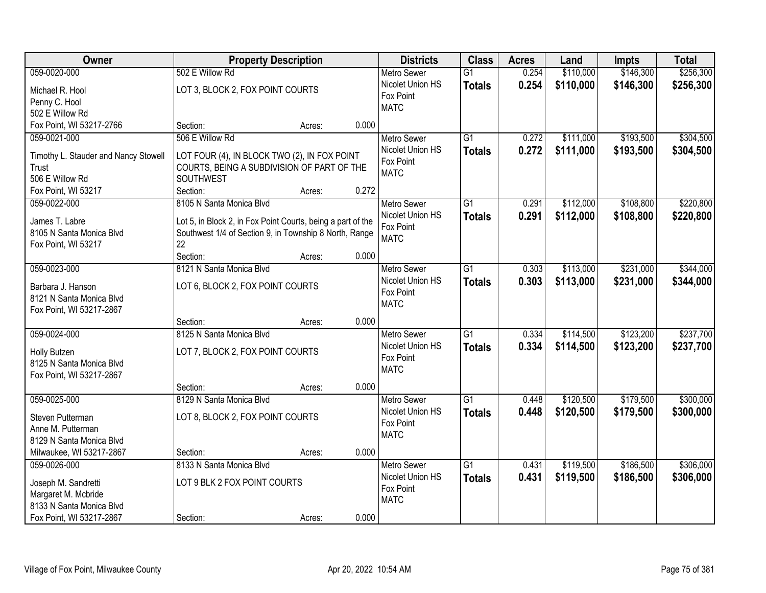| Owner                                                | <b>Property Description</b>                                                                                           |        |       | <b>Districts</b>   | <b>Class</b>    | <b>Acres</b> | Land      | Impts     | <b>Total</b> |
|------------------------------------------------------|-----------------------------------------------------------------------------------------------------------------------|--------|-------|--------------------|-----------------|--------------|-----------|-----------|--------------|
| 059-0020-000                                         | 502 E Willow Rd                                                                                                       |        |       | <b>Metro Sewer</b> | $\overline{G1}$ | 0.254        | \$110,000 | \$146,300 | \$256,300    |
| Michael R. Hool                                      | LOT 3, BLOCK 2, FOX POINT COURTS                                                                                      |        |       | Nicolet Union HS   | <b>Totals</b>   | 0.254        | \$110,000 | \$146,300 | \$256,300    |
| Penny C. Hool                                        |                                                                                                                       |        |       | Fox Point          |                 |              |           |           |              |
| 502 E Willow Rd                                      |                                                                                                                       |        |       | <b>MATC</b>        |                 |              |           |           |              |
| Fox Point, WI 53217-2766                             | Section:                                                                                                              | Acres: | 0.000 |                    |                 |              |           |           |              |
| 059-0021-000                                         | 506 E Willow Rd                                                                                                       |        |       | <b>Metro Sewer</b> | $\overline{G1}$ | 0.272        | \$111,000 | \$193,500 | \$304,500    |
| Timothy L. Stauder and Nancy Stowell                 | LOT FOUR (4), IN BLOCK TWO (2), IN FOX POINT                                                                          |        |       | Nicolet Union HS   | <b>Totals</b>   | 0.272        | \$111,000 | \$193,500 | \$304,500    |
| Trust                                                | COURTS, BEING A SUBDIVISION OF PART OF THE                                                                            |        |       | Fox Point          |                 |              |           |           |              |
| 506 E Willow Rd                                      | SOUTHWEST                                                                                                             |        |       | <b>MATC</b>        |                 |              |           |           |              |
| Fox Point, WI 53217                                  | Section:                                                                                                              | Acres: | 0.272 |                    |                 |              |           |           |              |
| 059-0022-000                                         | 8105 N Santa Monica Blvd                                                                                              |        |       | <b>Metro Sewer</b> | G <sub>1</sub>  | 0.291        | \$112,000 | \$108,800 | \$220,800    |
| James T. Labre                                       |                                                                                                                       |        |       | Nicolet Union HS   | <b>Totals</b>   | 0.291        | \$112,000 | \$108,800 | \$220,800    |
| 8105 N Santa Monica Blvd                             | Lot 5, in Block 2, in Fox Point Courts, being a part of the<br>Southwest 1/4 of Section 9, in Township 8 North, Range |        |       | Fox Point          |                 |              |           |           |              |
| Fox Point, WI 53217                                  | 22                                                                                                                    |        |       | <b>MATC</b>        |                 |              |           |           |              |
|                                                      | Section:                                                                                                              | Acres: | 0.000 |                    |                 |              |           |           |              |
| 059-0023-000                                         | 8121 N Santa Monica Blvd                                                                                              |        |       | <b>Metro Sewer</b> | G1              | 0.303        | \$113,000 | \$231,000 | \$344,000    |
|                                                      |                                                                                                                       |        |       | Nicolet Union HS   | <b>Totals</b>   | 0.303        | \$113,000 | \$231,000 | \$344,000    |
| Barbara J. Hanson<br>8121 N Santa Monica Blvd        | LOT 6, BLOCK 2, FOX POINT COURTS                                                                                      |        |       | Fox Point          |                 |              |           |           |              |
| Fox Point, WI 53217-2867                             |                                                                                                                       |        |       | <b>MATC</b>        |                 |              |           |           |              |
|                                                      | Section:                                                                                                              | Acres: | 0.000 |                    |                 |              |           |           |              |
| 059-0024-000                                         | 8125 N Santa Monica Blvd                                                                                              |        |       | <b>Metro Sewer</b> | $\overline{G1}$ | 0.334        | \$114,500 | \$123,200 | \$237,700    |
|                                                      |                                                                                                                       |        |       | Nicolet Union HS   | <b>Totals</b>   | 0.334        | \$114,500 | \$123,200 | \$237,700    |
| Holly Butzen<br>8125 N Santa Monica Blvd             | LOT 7, BLOCK 2, FOX POINT COURTS                                                                                      |        |       | Fox Point          |                 |              |           |           |              |
| Fox Point, WI 53217-2867                             |                                                                                                                       |        |       | <b>MATC</b>        |                 |              |           |           |              |
|                                                      | Section:                                                                                                              | Acres: | 0.000 |                    |                 |              |           |           |              |
| 059-0025-000                                         | 8129 N Santa Monica Blvd                                                                                              |        |       | Metro Sewer        | $\overline{G1}$ | 0.448        | \$120,500 | \$179,500 | \$300,000    |
|                                                      |                                                                                                                       |        |       | Nicolet Union HS   | <b>Totals</b>   | 0.448        | \$120,500 | \$179,500 | \$300,000    |
| Steven Putterman                                     | LOT 8, BLOCK 2, FOX POINT COURTS                                                                                      |        |       | Fox Point          |                 |              |           |           |              |
| Anne M. Putterman                                    |                                                                                                                       |        |       | <b>MATC</b>        |                 |              |           |           |              |
| 8129 N Santa Monica Blvd<br>Milwaukee, WI 53217-2867 | Section:                                                                                                              | Acres: | 0.000 |                    |                 |              |           |           |              |
| 059-0026-000                                         | 8133 N Santa Monica Blvd                                                                                              |        |       | <b>Metro Sewer</b> | $\overline{G1}$ | 0.431        | \$119,500 | \$186,500 | \$306,000    |
|                                                      |                                                                                                                       |        |       | Nicolet Union HS   | <b>Totals</b>   | 0.431        | \$119,500 | \$186,500 | \$306,000    |
| Joseph M. Sandretti                                  | LOT 9 BLK 2 FOX POINT COURTS                                                                                          |        |       | Fox Point          |                 |              |           |           |              |
| Margaret M. Mcbride                                  |                                                                                                                       |        |       | <b>MATC</b>        |                 |              |           |           |              |
| 8133 N Santa Monica Blvd                             |                                                                                                                       |        |       |                    |                 |              |           |           |              |
| Fox Point, WI 53217-2867                             | Section:                                                                                                              | Acres: | 0.000 |                    |                 |              |           |           |              |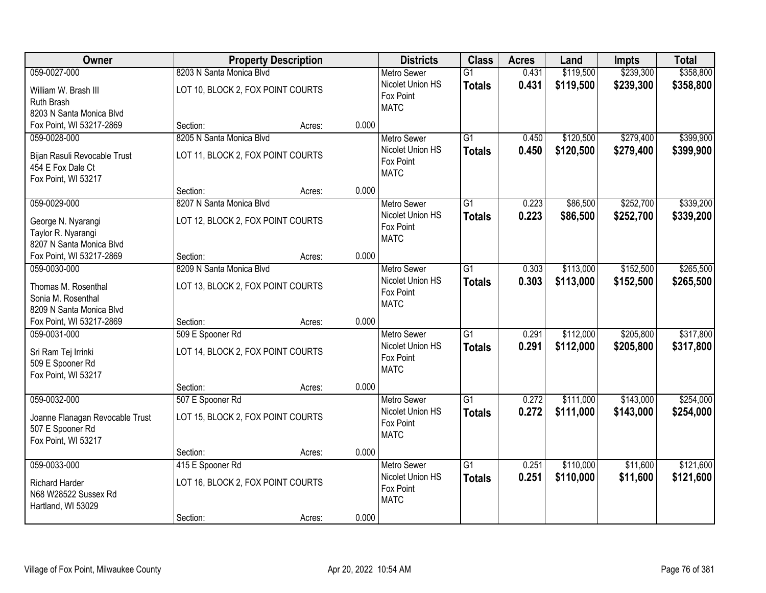| Owner                           | <b>Property Description</b>       |        | <b>Districts</b>   | <b>Class</b>    | <b>Acres</b> | Land      | Impts     | <b>Total</b> |
|---------------------------------|-----------------------------------|--------|--------------------|-----------------|--------------|-----------|-----------|--------------|
| 059-0027-000                    | 8203 N Santa Monica Blvd          |        | <b>Metro Sewer</b> | $\overline{G1}$ | 0.431        | \$119,500 | \$239,300 | \$358,800    |
| William W. Brash III            | LOT 10, BLOCK 2, FOX POINT COURTS |        | Nicolet Union HS   | <b>Totals</b>   | 0.431        | \$119,500 | \$239,300 | \$358,800    |
| Ruth Brash                      |                                   |        | Fox Point          |                 |              |           |           |              |
| 8203 N Santa Monica Blvd        |                                   |        | <b>MATC</b>        |                 |              |           |           |              |
| Fox Point, WI 53217-2869        | Section:                          | Acres: | 0.000              |                 |              |           |           |              |
| 059-0028-000                    | 8205 N Santa Monica Blvd          |        | <b>Metro Sewer</b> | $\overline{G1}$ | 0.450        | \$120,500 | \$279,400 | \$399,900    |
| Bijan Rasuli Revocable Trust    | LOT 11, BLOCK 2, FOX POINT COURTS |        | Nicolet Union HS   | <b>Totals</b>   | 0.450        | \$120,500 | \$279,400 | \$399,900    |
| 454 E Fox Dale Ct               |                                   |        | Fox Point          |                 |              |           |           |              |
| Fox Point, WI 53217             |                                   |        | <b>MATC</b>        |                 |              |           |           |              |
|                                 | Section:                          | Acres: | 0.000              |                 |              |           |           |              |
| 059-0029-000                    | 8207 N Santa Monica Blvd          |        | <b>Metro Sewer</b> | G1              | 0.223        | \$86,500  | \$252,700 | \$339,200    |
| George N. Nyarangi              | LOT 12, BLOCK 2, FOX POINT COURTS |        | Nicolet Union HS   | <b>Totals</b>   | 0.223        | \$86,500  | \$252,700 | \$339,200    |
| Taylor R. Nyarangi              |                                   |        | Fox Point          |                 |              |           |           |              |
| 8207 N Santa Monica Blvd        |                                   |        | <b>MATC</b>        |                 |              |           |           |              |
| Fox Point, WI 53217-2869        | Section:                          | Acres: | 0.000              |                 |              |           |           |              |
| 059-0030-000                    | 8209 N Santa Monica Blvd          |        | <b>Metro Sewer</b> | G1              | 0.303        | \$113,000 | \$152,500 | \$265,500    |
| Thomas M. Rosenthal             | LOT 13, BLOCK 2, FOX POINT COURTS |        | Nicolet Union HS   | <b>Totals</b>   | 0.303        | \$113,000 | \$152,500 | \$265,500    |
| Sonia M. Rosenthal              |                                   |        | Fox Point          |                 |              |           |           |              |
| 8209 N Santa Monica Blvd        |                                   |        | <b>MATC</b>        |                 |              |           |           |              |
| Fox Point, WI 53217-2869        | Section:                          | Acres: | 0.000              |                 |              |           |           |              |
| 059-0031-000                    | 509 E Spooner Rd                  |        | <b>Metro Sewer</b> | $\overline{G1}$ | 0.291        | \$112,000 | \$205,800 | \$317,800    |
|                                 |                                   |        | Nicolet Union HS   | <b>Totals</b>   | 0.291        | \$112,000 | \$205,800 | \$317,800    |
| Sri Ram Tej Irrinki             | LOT 14, BLOCK 2, FOX POINT COURTS |        | Fox Point          |                 |              |           |           |              |
| 509 E Spooner Rd                |                                   |        | <b>MATC</b>        |                 |              |           |           |              |
| Fox Point, WI 53217             | Section:                          | Acres: | 0.000              |                 |              |           |           |              |
| 059-0032-000                    | 507 E Spooner Rd                  |        | Metro Sewer        | $\overline{G1}$ | 0.272        | \$111,000 | \$143,000 | \$254,000    |
|                                 |                                   |        | Nicolet Union HS   | <b>Totals</b>   | 0.272        | \$111,000 | \$143,000 | \$254,000    |
| Joanne Flanagan Revocable Trust | LOT 15, BLOCK 2, FOX POINT COURTS |        | Fox Point          |                 |              |           |           |              |
| 507 E Spooner Rd                |                                   |        | <b>MATC</b>        |                 |              |           |           |              |
| Fox Point, WI 53217             |                                   |        | 0.000              |                 |              |           |           |              |
| 059-0033-000                    | Section:<br>415 E Spooner Rd      | Acres: | <b>Metro Sewer</b> | $\overline{G1}$ | 0.251        | \$110,000 | \$11,600  | \$121,600    |
|                                 |                                   |        | Nicolet Union HS   | <b>Totals</b>   | 0.251        | \$110,000 | \$11,600  | \$121,600    |
| <b>Richard Harder</b>           | LOT 16, BLOCK 2, FOX POINT COURTS |        | Fox Point          |                 |              |           |           |              |
| N68 W28522 Sussex Rd            |                                   |        | <b>MATC</b>        |                 |              |           |           |              |
| Hartland, WI 53029              |                                   |        |                    |                 |              |           |           |              |
|                                 | Section:                          | Acres: | 0.000              |                 |              |           |           |              |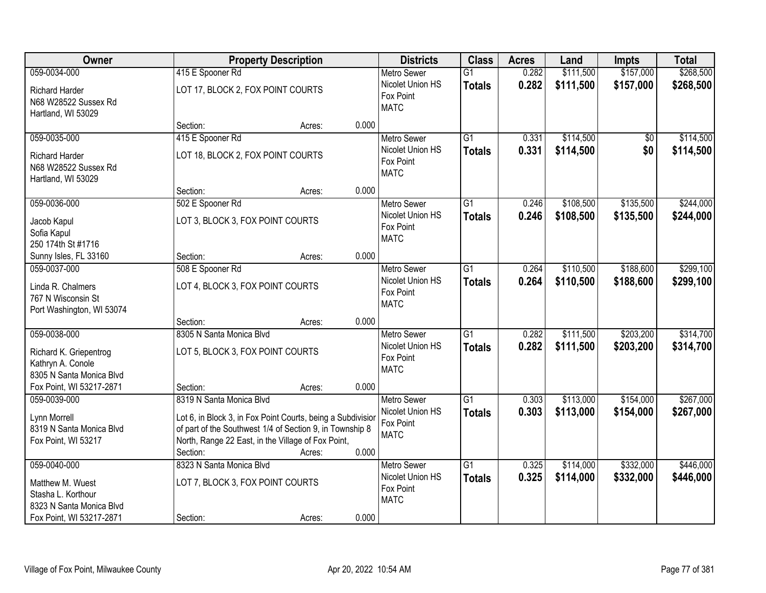| Owner                                                                                          |                                                                                                                                                                                           | <b>Property Description</b> |       | <b>Districts</b>                                                   | <b>Class</b>                     | <b>Acres</b>   | Land                   | Impts                  | <b>Total</b>           |
|------------------------------------------------------------------------------------------------|-------------------------------------------------------------------------------------------------------------------------------------------------------------------------------------------|-----------------------------|-------|--------------------------------------------------------------------|----------------------------------|----------------|------------------------|------------------------|------------------------|
| 059-0034-000                                                                                   | 415 E Spooner Rd                                                                                                                                                                          |                             |       | <b>Metro Sewer</b>                                                 | $\overline{G1}$                  | 0.282          | \$111,500              | \$157,000              | \$268,500              |
| <b>Richard Harder</b><br>N68 W28522 Sussex Rd<br>Hartland, WI 53029                            | LOT 17, BLOCK 2, FOX POINT COURTS                                                                                                                                                         |                             |       | Nicolet Union HS<br>Fox Point<br><b>MATC</b>                       | <b>Totals</b>                    | 0.282          | \$111,500              | \$157,000              | \$268,500              |
|                                                                                                | Section:                                                                                                                                                                                  | Acres:                      | 0.000 |                                                                    |                                  |                |                        |                        |                        |
| 059-0035-000                                                                                   | 415 E Spooner Rd                                                                                                                                                                          |                             |       | <b>Metro Sewer</b>                                                 | $\overline{G1}$                  | 0.331          | \$114,500              | \$0                    | \$114,500              |
| <b>Richard Harder</b><br>N68 W28522 Sussex Rd<br>Hartland, WI 53029                            | LOT 18, BLOCK 2, FOX POINT COURTS                                                                                                                                                         |                             |       | Nicolet Union HS<br>Fox Point<br><b>MATC</b>                       | <b>Totals</b>                    | 0.331          | \$114,500              | \$0                    | \$114,500              |
|                                                                                                | Section:                                                                                                                                                                                  | Acres:                      | 0.000 |                                                                    |                                  |                |                        |                        |                        |
| 059-0036-000                                                                                   | 502 E Spooner Rd                                                                                                                                                                          |                             |       | Metro Sewer                                                        | $\overline{G1}$                  | 0.246          | \$108,500              | \$135,500              | \$244,000              |
| Jacob Kapul<br>Sofia Kapul<br>250 174th St #1716                                               | LOT 3, BLOCK 3, FOX POINT COURTS                                                                                                                                                          |                             |       | Nicolet Union HS<br>Fox Point<br><b>MATC</b>                       | <b>Totals</b>                    | 0.246          | \$108,500              | \$135,500              | \$244,000              |
| Sunny Isles, FL 33160                                                                          | Section:                                                                                                                                                                                  | Acres:                      | 0.000 |                                                                    |                                  |                |                        |                        |                        |
| 059-0037-000                                                                                   | 508 E Spooner Rd                                                                                                                                                                          |                             |       | <b>Metro Sewer</b>                                                 | $\overline{G1}$                  | 0.264          | \$110,500              | \$188,600              | \$299,100              |
| Linda R. Chalmers<br>767 N Wisconsin St<br>Port Washington, WI 53074                           | LOT 4, BLOCK 3, FOX POINT COURTS                                                                                                                                                          |                             |       | Nicolet Union HS<br>Fox Point<br><b>MATC</b>                       | <b>Totals</b>                    | 0.264          | \$110,500              | \$188,600              | \$299,100              |
|                                                                                                | Section:                                                                                                                                                                                  | Acres:                      | 0.000 |                                                                    |                                  |                |                        |                        |                        |
| 059-0038-000<br>Richard K. Griepentrog<br>Kathryn A. Conole<br>8305 N Santa Monica Blvd        | 8305 N Santa Monica Blvd<br>LOT 5, BLOCK 3, FOX POINT COURTS                                                                                                                              |                             |       | <b>Metro Sewer</b><br>Nicolet Union HS<br>Fox Point<br><b>MATC</b> | $\overline{G1}$<br><b>Totals</b> | 0.282<br>0.282 | \$111,500<br>\$111,500 | \$203,200<br>\$203,200 | \$314,700<br>\$314,700 |
| Fox Point, WI 53217-2871                                                                       | Section:                                                                                                                                                                                  | Acres:                      | 0.000 |                                                                    |                                  |                |                        |                        |                        |
| 059-0039-000                                                                                   | 8319 N Santa Monica Blvd                                                                                                                                                                  |                             |       | <b>Metro Sewer</b>                                                 | $\overline{G1}$                  | 0.303          | \$113,000              | \$154,000              | \$267,000              |
| Lynn Morrell<br>8319 N Santa Monica Blvd<br>Fox Point, WI 53217                                | Lot 6, in Block 3, in Fox Point Courts, being a Subdivisior<br>of part of the Southwest 1/4 of Section 9, in Township 8<br>North, Range 22 East, in the Village of Fox Point,<br>Section: | Acres:                      | 0.000 | Nicolet Union HS<br>Fox Point<br><b>MATC</b>                       | <b>Totals</b>                    | 0.303          | \$113,000              | \$154,000              | \$267,000              |
| 059-0040-000                                                                                   | 8323 N Santa Monica Blvd                                                                                                                                                                  |                             |       | <b>Metro Sewer</b>                                                 | $\overline{G1}$                  | 0.325          | \$114,000              | \$332,000              | \$446,000              |
| Matthew M. Wuest<br>Stasha L. Korthour<br>8323 N Santa Monica Blvd<br>Fox Point, WI 53217-2871 | LOT 7, BLOCK 3, FOX POINT COURTS<br>Section:                                                                                                                                              | Acres:                      | 0.000 | Nicolet Union HS<br>Fox Point<br><b>MATC</b>                       | <b>Totals</b>                    | 0.325          | \$114,000              | \$332,000              | \$446,000              |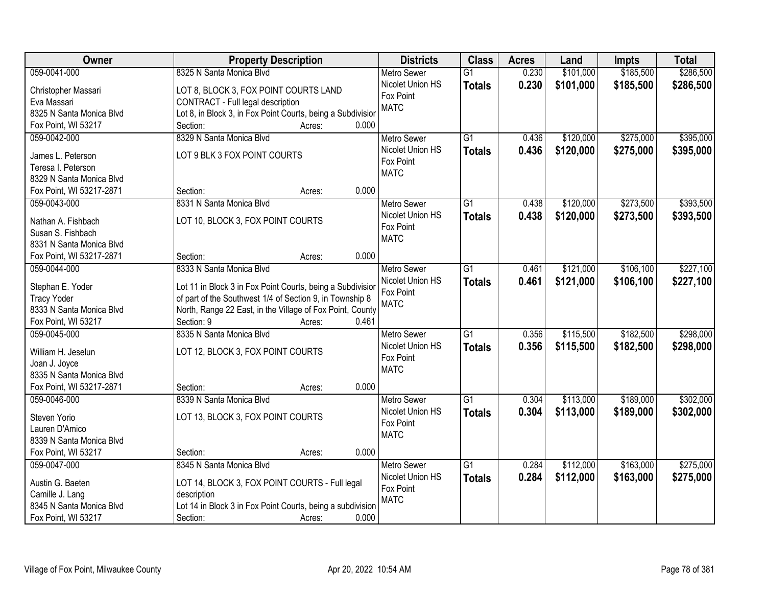| Owner                    | <b>Property Description</b>                                 | <b>Districts</b>   | <b>Class</b>    | <b>Acres</b> | Land      | Impts     | <b>Total</b> |
|--------------------------|-------------------------------------------------------------|--------------------|-----------------|--------------|-----------|-----------|--------------|
| 059-0041-000             | 8325 N Santa Monica Blvd                                    | <b>Metro Sewer</b> | $\overline{G1}$ | 0.230        | \$101,000 | \$185,500 | \$286,500    |
| Christopher Massari      | LOT 8, BLOCK 3, FOX POINT COURTS LAND                       | Nicolet Union HS   | <b>Totals</b>   | 0.230        | \$101,000 | \$185,500 | \$286,500    |
| Eva Massari              | CONTRACT - Full legal description                           | Fox Point          |                 |              |           |           |              |
| 8325 N Santa Monica Blvd | Lot 8, in Block 3, in Fox Point Courts, being a Subdivision | <b>MATC</b>        |                 |              |           |           |              |
| Fox Point, WI 53217      | 0.000<br>Section:<br>Acres:                                 |                    |                 |              |           |           |              |
| 059-0042-000             | 8329 N Santa Monica Blvd                                    | <b>Metro Sewer</b> | $\overline{G1}$ | 0.436        | \$120,000 | \$275,000 | \$395,000    |
|                          |                                                             | Nicolet Union HS   | <b>Totals</b>   | 0.436        | \$120,000 | \$275,000 | \$395,000    |
| James L. Peterson        | LOT 9 BLK 3 FOX POINT COURTS                                | Fox Point          |                 |              |           |           |              |
| Teresa I. Peterson       |                                                             | <b>MATC</b>        |                 |              |           |           |              |
| 8329 N Santa Monica Blvd |                                                             |                    |                 |              |           |           |              |
| Fox Point, WI 53217-2871 | 0.000<br>Section:<br>Acres:                                 |                    |                 |              |           |           |              |
| 059-0043-000             | 8331 N Santa Monica Blvd                                    | <b>Metro Sewer</b> | $\overline{G1}$ | 0.438        | \$120,000 | \$273,500 | \$393,500    |
| Nathan A. Fishbach       | LOT 10, BLOCK 3, FOX POINT COURTS                           | Nicolet Union HS   | <b>Totals</b>   | 0.438        | \$120,000 | \$273,500 | \$393,500    |
| Susan S. Fishbach        |                                                             | Fox Point          |                 |              |           |           |              |
| 8331 N Santa Monica Blvd |                                                             | <b>MATC</b>        |                 |              |           |           |              |
| Fox Point, WI 53217-2871 | 0.000<br>Section:<br>Acres:                                 |                    |                 |              |           |           |              |
| 059-0044-000             | 8333 N Santa Monica Blvd                                    | <b>Metro Sewer</b> | G1              | 0.461        | \$121,000 | \$106,100 | \$227,100    |
|                          |                                                             | Nicolet Union HS   | <b>Totals</b>   | 0.461        | \$121,000 | \$106,100 | \$227,100    |
| Stephan E. Yoder         | Lot 11 in Block 3 in Fox Point Courts, being a Subdivisior  | Fox Point          |                 |              |           |           |              |
| <b>Tracy Yoder</b>       | of part of the Southwest 1/4 of Section 9, in Township 8    | <b>MATC</b>        |                 |              |           |           |              |
| 8333 N Santa Monica Blvd | North, Range 22 East, in the Village of Fox Point, County   |                    |                 |              |           |           |              |
| Fox Point, WI 53217      | 0.461<br>Section: 9<br>Acres:                               |                    |                 |              |           |           |              |
| 059-0045-000             | 8335 N Santa Monica Blvd                                    | <b>Metro Sewer</b> | $\overline{G1}$ | 0.356        | \$115,500 | \$182,500 | \$298,000    |
| William H. Jeselun       | LOT 12, BLOCK 3, FOX POINT COURTS                           | Nicolet Union HS   | <b>Totals</b>   | 0.356        | \$115,500 | \$182,500 | \$298,000    |
| Joan J. Joyce            |                                                             | Fox Point          |                 |              |           |           |              |
| 8335 N Santa Monica Blvd |                                                             | <b>MATC</b>        |                 |              |           |           |              |
| Fox Point, WI 53217-2871 | 0.000<br>Section:<br>Acres:                                 |                    |                 |              |           |           |              |
| 059-0046-000             | 8339 N Santa Monica Blvd                                    | <b>Metro Sewer</b> | G1              | 0.304        | \$113,000 | \$189,000 | \$302,000    |
|                          |                                                             | Nicolet Union HS   |                 | 0.304        |           |           |              |
| Steven Yorio             | LOT 13, BLOCK 3, FOX POINT COURTS                           | Fox Point          | <b>Totals</b>   |              | \$113,000 | \$189,000 | \$302,000    |
| Lauren D'Amico           |                                                             | <b>MATC</b>        |                 |              |           |           |              |
| 8339 N Santa Monica Blvd |                                                             |                    |                 |              |           |           |              |
| Fox Point, WI 53217      | 0.000<br>Section:<br>Acres:                                 |                    |                 |              |           |           |              |
| 059-0047-000             | 8345 N Santa Monica Blvd                                    | <b>Metro Sewer</b> | $\overline{G1}$ | 0.284        | \$112,000 | \$163,000 | \$275,000    |
| Austin G. Baeten         | LOT 14, BLOCK 3, FOX POINT COURTS - Full legal              | Nicolet Union HS   | <b>Totals</b>   | 0.284        | \$112,000 | \$163,000 | \$275,000    |
| Camille J. Lang          | description                                                 | Fox Point          |                 |              |           |           |              |
| 8345 N Santa Monica Blvd | Lot 14 in Block 3 in Fox Point Courts, being a subdivision  | <b>MATC</b>        |                 |              |           |           |              |
| Fox Point, WI 53217      | 0.000<br>Section:<br>Acres:                                 |                    |                 |              |           |           |              |
|                          |                                                             |                    |                 |              |           |           |              |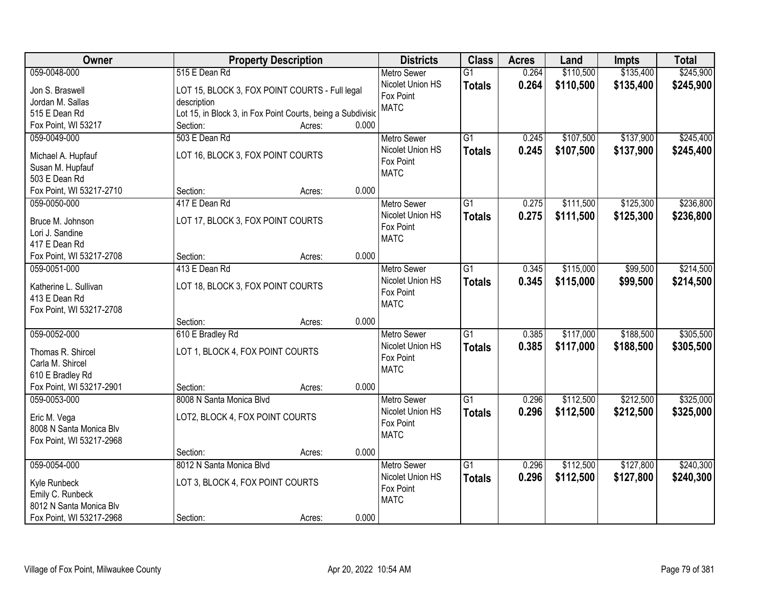| Owner                                  | <b>Property Description</b>                                 |       | <b>Districts</b>         | <b>Class</b>    | <b>Acres</b> | Land      | <b>Impts</b> | <b>Total</b> |
|----------------------------------------|-------------------------------------------------------------|-------|--------------------------|-----------------|--------------|-----------|--------------|--------------|
| 059-0048-000                           | 515 E Dean Rd                                               |       | <b>Metro Sewer</b>       | $\overline{G1}$ | 0.264        | \$110,500 | \$135,400    | \$245,900    |
| Jon S. Braswell                        | LOT 15, BLOCK 3, FOX POINT COURTS - Full legal              |       | Nicolet Union HS         | <b>Totals</b>   | 0.264        | \$110,500 | \$135,400    | \$245,900    |
| Jordan M. Sallas                       | description                                                 |       | Fox Point                |                 |              |           |              |              |
| 515 E Dean Rd                          | Lot 15, in Block 3, in Fox Point Courts, being a Subdivisio |       | <b>MATC</b>              |                 |              |           |              |              |
| Fox Point, WI 53217                    | Section:<br>Acres:                                          | 0.000 |                          |                 |              |           |              |              |
| 059-0049-000                           | 503 E Dean Rd                                               |       | <b>Metro Sewer</b>       | $\overline{G1}$ | 0.245        | \$107,500 | \$137,900    | \$245,400    |
|                                        |                                                             |       | Nicolet Union HS         | <b>Totals</b>   | 0.245        | \$107,500 | \$137,900    | \$245,400    |
| Michael A. Hupfauf                     | LOT 16, BLOCK 3, FOX POINT COURTS                           |       | Fox Point                |                 |              |           |              |              |
| Susan M. Hupfauf                       |                                                             |       | <b>MATC</b>              |                 |              |           |              |              |
| 503 E Dean Rd                          |                                                             |       |                          |                 |              |           |              |              |
| Fox Point, WI 53217-2710               | Section:<br>Acres:                                          | 0.000 |                          |                 |              |           |              |              |
| 059-0050-000                           | 417 E Dean Rd                                               |       | Metro Sewer              | G1              | 0.275        | \$111,500 | \$125,300    | \$236,800    |
| Bruce M. Johnson                       | LOT 17, BLOCK 3, FOX POINT COURTS                           |       | Nicolet Union HS         | <b>Totals</b>   | 0.275        | \$111,500 | \$125,300    | \$236,800    |
| Lori J. Sandine                        |                                                             |       | Fox Point<br><b>MATC</b> |                 |              |           |              |              |
| 417 E Dean Rd                          |                                                             |       |                          |                 |              |           |              |              |
| Fox Point, WI 53217-2708               | Section:<br>Acres:                                          | 0.000 |                          |                 |              |           |              |              |
| 059-0051-000                           | 413 E Dean Rd                                               |       | <b>Metro Sewer</b>       | G1              | 0.345        | \$115,000 | \$99,500     | \$214,500    |
|                                        |                                                             |       | Nicolet Union HS         | <b>Totals</b>   | 0.345        | \$115,000 | \$99,500     | \$214,500    |
| Katherine L. Sullivan<br>413 E Dean Rd | LOT 18, BLOCK 3, FOX POINT COURTS                           |       | Fox Point                |                 |              |           |              |              |
|                                        |                                                             |       | <b>MATC</b>              |                 |              |           |              |              |
| Fox Point, WI 53217-2708               | Section:                                                    | 0.000 |                          |                 |              |           |              |              |
| 059-0052-000                           | Acres:<br>610 E Bradley Rd                                  |       | <b>Metro Sewer</b>       | $\overline{G1}$ | 0.385        | \$117,000 | \$188,500    | \$305,500    |
|                                        |                                                             |       | Nicolet Union HS         |                 |              |           |              |              |
| Thomas R. Shircel                      | LOT 1, BLOCK 4, FOX POINT COURTS                            |       | Fox Point                | <b>Totals</b>   | 0.385        | \$117,000 | \$188,500    | \$305,500    |
| Carla M. Shircel                       |                                                             |       | <b>MATC</b>              |                 |              |           |              |              |
| 610 E Bradley Rd                       |                                                             |       |                          |                 |              |           |              |              |
| Fox Point, WI 53217-2901               | Section:<br>Acres:                                          | 0.000 |                          |                 |              |           |              |              |
| 059-0053-000                           | 8008 N Santa Monica Blvd                                    |       | <b>Metro Sewer</b>       | $\overline{G1}$ | 0.296        | \$112,500 | \$212,500    | \$325,000    |
| Eric M. Vega                           | LOT2, BLOCK 4, FOX POINT COURTS                             |       | Nicolet Union HS         | <b>Totals</b>   | 0.296        | \$112,500 | \$212,500    | \$325,000    |
| 8008 N Santa Monica Blv                |                                                             |       | Fox Point                |                 |              |           |              |              |
| Fox Point, WI 53217-2968               |                                                             |       | <b>MATC</b>              |                 |              |           |              |              |
|                                        | Section:<br>Acres:                                          | 0.000 |                          |                 |              |           |              |              |
| 059-0054-000                           | 8012 N Santa Monica Blvd                                    |       | <b>Metro Sewer</b>       | $\overline{G1}$ | 0.296        | \$112,500 | \$127,800    | \$240,300    |
|                                        |                                                             |       | Nicolet Union HS         | <b>Totals</b>   | 0.296        | \$112,500 | \$127,800    | \$240,300    |
| Kyle Runbeck                           | LOT 3, BLOCK 4, FOX POINT COURTS                            |       | Fox Point                |                 |              |           |              |              |
| Emily C. Runbeck                       |                                                             |       | <b>MATC</b>              |                 |              |           |              |              |
| 8012 N Santa Monica Blv                |                                                             |       |                          |                 |              |           |              |              |
| Fox Point, WI 53217-2968               | Section:<br>Acres:                                          | 0.000 |                          |                 |              |           |              |              |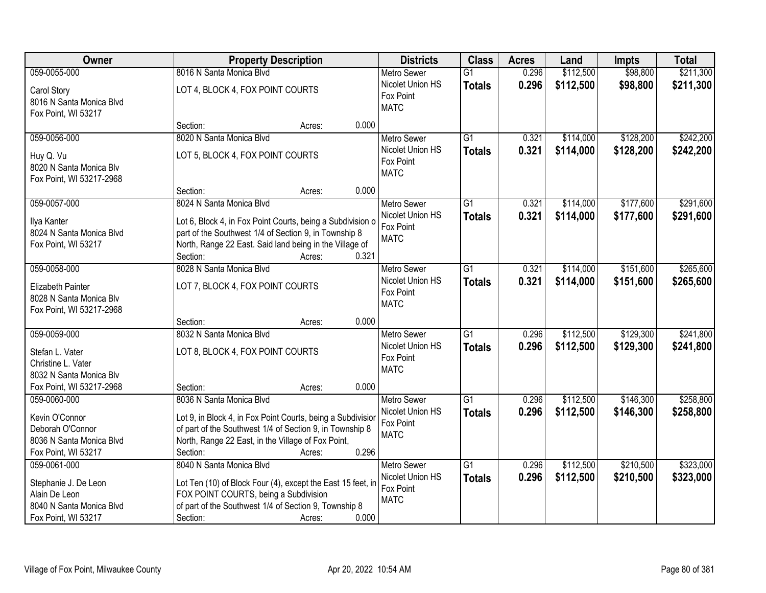| Owner                                                                                                    | <b>Property Description</b>                                                                                                                                                                                     | <b>Districts</b>                                                            | <b>Class</b>                     | <b>Acres</b>   | Land                   | <b>Impts</b>           | <b>Total</b>           |
|----------------------------------------------------------------------------------------------------------|-----------------------------------------------------------------------------------------------------------------------------------------------------------------------------------------------------------------|-----------------------------------------------------------------------------|----------------------------------|----------------|------------------------|------------------------|------------------------|
| 059-0055-000                                                                                             | 8016 N Santa Monica Blvd                                                                                                                                                                                        | <b>Metro Sewer</b>                                                          | $\overline{G1}$                  | 0.296          | \$112,500              | \$98,800               | \$211,300              |
| Carol Story<br>8016 N Santa Monica Blvd<br>Fox Point, WI 53217                                           | LOT 4, BLOCK 4, FOX POINT COURTS                                                                                                                                                                                | Nicolet Union HS<br>Fox Point<br><b>MATC</b>                                | <b>Totals</b>                    | 0.296          | \$112,500              | \$98,800               | \$211,300              |
|                                                                                                          | 0.000<br>Section:<br>Acres:                                                                                                                                                                                     |                                                                             |                                  |                |                        |                        |                        |
| 059-0056-000                                                                                             | 8020 N Santa Monica Blvd                                                                                                                                                                                        | <b>Metro Sewer</b>                                                          | $\overline{G1}$                  | 0.321          | \$114,000              | \$128,200              | \$242,200              |
| Huy Q. Vu<br>8020 N Santa Monica Blv<br>Fox Point, WI 53217-2968                                         | LOT 5, BLOCK 4, FOX POINT COURTS                                                                                                                                                                                | Nicolet Union HS<br>Fox Point<br><b>MATC</b>                                | <b>Totals</b>                    | 0.321          | \$114,000              | \$128,200              | \$242,200              |
|                                                                                                          | Section:<br>Acres:                                                                                                                                                                                              | 0.000                                                                       |                                  |                |                        |                        |                        |
| 059-0057-000                                                                                             | 8024 N Santa Monica Blvd                                                                                                                                                                                        | <b>Metro Sewer</b>                                                          | $\overline{G1}$                  | 0.321          | \$114,000              | \$177,600              | \$291,600              |
| Ilya Kanter<br>8024 N Santa Monica Blvd<br>Fox Point, WI 53217                                           | Lot 6, Block 4, in Fox Point Courts, being a Subdivision o<br>part of the Southwest 1/4 of Section 9, in Township 8<br>North, Range 22 East. Said land being in the Village of<br>Section:<br>0.321<br>Acres:   | Nicolet Union HS<br>Fox Point<br><b>MATC</b>                                | <b>Totals</b>                    | 0.321          | \$114,000              | \$177,600              | \$291,600              |
| 059-0058-000                                                                                             | 8028 N Santa Monica Blvd                                                                                                                                                                                        | <b>Metro Sewer</b>                                                          | G1                               | 0.321          | \$114,000              | \$151,600              | \$265,600              |
| Elizabeth Painter<br>8028 N Santa Monica Blv<br>Fox Point, WI 53217-2968                                 | LOT 7, BLOCK 4, FOX POINT COURTS                                                                                                                                                                                | Nicolet Union HS<br>Fox Point<br><b>MATC</b>                                | <b>Totals</b>                    | 0.321          | \$114,000              | \$151,600              | \$265,600              |
|                                                                                                          | 0.000<br>Section:<br>Acres:                                                                                                                                                                                     |                                                                             |                                  |                |                        |                        |                        |
| 059-0059-000<br>Stefan L. Vater<br>Christine L. Vater<br>8032 N Santa Monica Blv                         | 8032 N Santa Monica Blvd<br>LOT 8, BLOCK 4, FOX POINT COURTS                                                                                                                                                    | Metro Sewer<br>Nicolet Union HS<br>Fox Point<br><b>MATC</b>                 | $\overline{G1}$<br><b>Totals</b> | 0.296<br>0.296 | \$112,500<br>\$112,500 | \$129,300<br>\$129,300 | \$241,800<br>\$241,800 |
| Fox Point, WI 53217-2968                                                                                 | Section:<br>Acres:                                                                                                                                                                                              | 0.000                                                                       |                                  |                |                        |                        |                        |
| 059-0060-000<br>Kevin O'Connor<br>Deborah O'Connor<br>8036 N Santa Monica Blvd                           | 8036 N Santa Monica Blvd<br>Lot 9, in Block 4, in Fox Point Courts, being a Subdivision<br>of part of the Southwest 1/4 of Section 9, in Township 8<br>North, Range 22 East, in the Village of Fox Point,       | Metro Sewer<br>Nicolet Union HS<br>Fox Point<br><b>MATC</b>                 | $\overline{G1}$<br><b>Totals</b> | 0.296<br>0.296 | \$112,500<br>\$112,500 | \$146,300<br>\$146,300 | \$258,800<br>\$258,800 |
| Fox Point, WI 53217                                                                                      | Section:<br>Acres:                                                                                                                                                                                              | 0.296                                                                       |                                  |                |                        |                        |                        |
| 059-0061-000<br>Stephanie J. De Leon<br>Alain De Leon<br>8040 N Santa Monica Blvd<br>Fox Point, WI 53217 | 8040 N Santa Monica Blvd<br>Lot Ten (10) of Block Four (4), except the East 15 feet, in<br>FOX POINT COURTS, being a Subdivision<br>of part of the Southwest 1/4 of Section 9, Township 8<br>Section:<br>Acres: | <b>Metro Sewer</b><br>Nicolet Union HS<br>Fox Point<br><b>MATC</b><br>0.000 | $\overline{G1}$<br><b>Totals</b> | 0.296<br>0.296 | \$112,500<br>\$112,500 | \$210,500<br>\$210,500 | \$323,000<br>\$323,000 |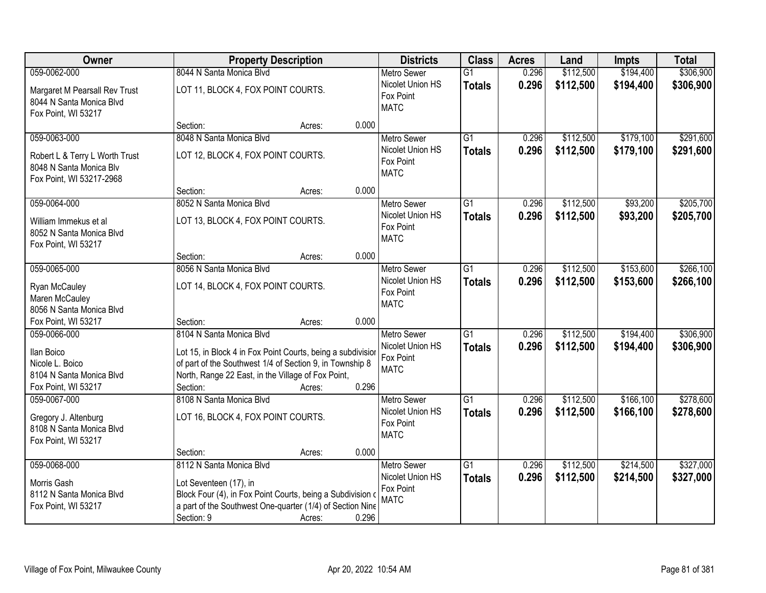| Owner                                                                                                 | <b>Property Description</b>                                                                                                                                                                                           |                 | <b>Districts</b>                                                   | <b>Class</b>                     | <b>Acres</b>   | Land                   | <b>Impts</b>           | <b>Total</b>           |
|-------------------------------------------------------------------------------------------------------|-----------------------------------------------------------------------------------------------------------------------------------------------------------------------------------------------------------------------|-----------------|--------------------------------------------------------------------|----------------------------------|----------------|------------------------|------------------------|------------------------|
| 059-0062-000                                                                                          | 8044 N Santa Monica Blvd                                                                                                                                                                                              |                 | <b>Metro Sewer</b>                                                 | $\overline{G1}$                  | 0.296          | \$112,500              | \$194,400              | \$306,900              |
| Margaret M Pearsall Rev Trust<br>8044 N Santa Monica Blvd<br>Fox Point, WI 53217                      | LOT 11, BLOCK 4, FOX POINT COURTS.                                                                                                                                                                                    |                 | Nicolet Union HS<br>Fox Point<br><b>MATC</b>                       | <b>Totals</b>                    | 0.296          | \$112,500              | \$194,400              | \$306,900              |
|                                                                                                       | Section:                                                                                                                                                                                                              | 0.000<br>Acres: |                                                                    |                                  |                |                        |                        |                        |
| 059-0063-000<br>Robert L & Terry L Worth Trust<br>8048 N Santa Monica Blv<br>Fox Point, WI 53217-2968 | 8048 N Santa Monica Blvd<br>LOT 12, BLOCK 4, FOX POINT COURTS.                                                                                                                                                        |                 | <b>Metro Sewer</b><br>Nicolet Union HS<br>Fox Point<br><b>MATC</b> | $\overline{G1}$<br><b>Totals</b> | 0.296<br>0.296 | \$112,500<br>\$112,500 | \$179,100<br>\$179,100 | \$291,600<br>\$291,600 |
|                                                                                                       | Section:                                                                                                                                                                                                              | 0.000<br>Acres: |                                                                    |                                  |                |                        |                        |                        |
| 059-0064-000<br>William Immekus et al<br>8052 N Santa Monica Blvd<br>Fox Point, WI 53217              | 8052 N Santa Monica Blvd<br>LOT 13, BLOCK 4, FOX POINT COURTS.                                                                                                                                                        |                 | Metro Sewer<br>Nicolet Union HS<br>Fox Point<br><b>MATC</b>        | $\overline{G1}$<br><b>Totals</b> | 0.296<br>0.296 | \$112,500<br>\$112,500 | \$93,200<br>\$93,200   | \$205,700<br>\$205,700 |
|                                                                                                       | Section:                                                                                                                                                                                                              | 0.000<br>Acres: |                                                                    |                                  |                |                        |                        |                        |
| 059-0065-000<br>Ryan McCauley<br>Maren McCauley<br>8056 N Santa Monica Blvd                           | 8056 N Santa Monica Blvd<br>LOT 14, BLOCK 4, FOX POINT COURTS.                                                                                                                                                        |                 | <b>Metro Sewer</b><br>Nicolet Union HS<br>Fox Point<br><b>MATC</b> | G1<br><b>Totals</b>              | 0.296<br>0.296 | \$112,500<br>\$112,500 | \$153,600<br>\$153,600 | \$266,100<br>\$266,100 |
| Fox Point, WI 53217                                                                                   | Section:                                                                                                                                                                                                              | 0.000<br>Acres: |                                                                    |                                  |                |                        |                        |                        |
| 059-0066-000<br>Ilan Boico<br>Nicole L. Boico<br>8104 N Santa Monica Blvd<br>Fox Point, WI 53217      | 8104 N Santa Monica Blvd<br>Lot 15, in Block 4 in Fox Point Courts, being a subdivision<br>of part of the Southwest 1/4 of Section 9, in Township 8<br>North, Range 22 East, in the Village of Fox Point,<br>Section: | 0.296<br>Acres: | <b>Metro Sewer</b><br>Nicolet Union HS<br>Fox Point<br><b>MATC</b> | $\overline{G1}$<br>Totals        | 0.296<br>0.296 | \$112,500<br>\$112,500 | \$194,400<br>\$194,400 | \$306,900<br>\$306,900 |
| 059-0067-000<br>Gregory J. Altenburg<br>8108 N Santa Monica Blvd<br>Fox Point, WI 53217               | 8108 N Santa Monica Blvd<br>LOT 16, BLOCK 4, FOX POINT COURTS.<br>Section:                                                                                                                                            | 0.000<br>Acres: | <b>Metro Sewer</b><br>Nicolet Union HS<br>Fox Point<br><b>MATC</b> | $\overline{G1}$<br><b>Totals</b> | 0.296<br>0.296 | \$112,500<br>\$112,500 | \$166,100<br>\$166,100 | \$278,600<br>\$278,600 |
| 059-0068-000                                                                                          | 8112 N Santa Monica Blvd                                                                                                                                                                                              |                 | <b>Metro Sewer</b>                                                 | G1                               | 0.296          | \$112,500              | \$214,500              | \$327,000              |
| Morris Gash<br>8112 N Santa Monica Blvd<br>Fox Point, WI 53217                                        | Lot Seventeen (17), in<br>Block Four (4), in Fox Point Courts, being a Subdivision of<br>a part of the Southwest One-quarter (1/4) of Section Nine<br>Section: 9                                                      | 0.296<br>Acres: | Nicolet Union HS<br>Fox Point<br><b>MATC</b>                       | <b>Totals</b>                    | 0.296          | \$112,500              | \$214,500              | \$327,000              |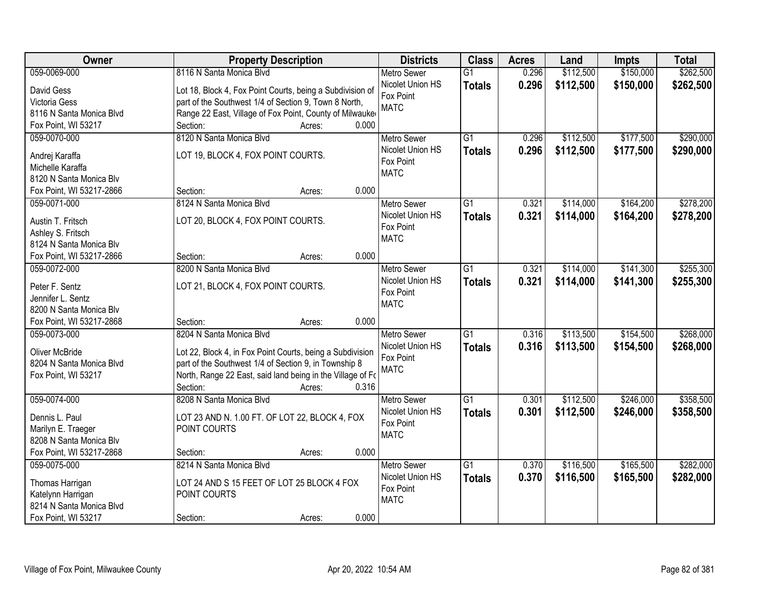| Owner                    | <b>Property Description</b>                                |                 | <b>Districts</b>         | <b>Class</b>    | <b>Acres</b> | Land      | Impts     | <b>Total</b> |
|--------------------------|------------------------------------------------------------|-----------------|--------------------------|-----------------|--------------|-----------|-----------|--------------|
| 059-0069-000             | 8116 N Santa Monica Blvd                                   |                 | <b>Metro Sewer</b>       | $\overline{G1}$ | 0.296        | \$112,500 | \$150,000 | \$262,500    |
| David Gess               | Lot 18, Block 4, Fox Point Courts, being a Subdivision of  |                 | Nicolet Union HS         | <b>Totals</b>   | 0.296        | \$112,500 | \$150,000 | \$262,500    |
| Victoria Gess            | part of the Southwest 1/4 of Section 9, Town 8 North,      |                 | Fox Point                |                 |              |           |           |              |
| 8116 N Santa Monica Blvd | Range 22 East, Village of Fox Point, County of Milwauke    |                 | <b>MATC</b>              |                 |              |           |           |              |
| Fox Point, WI 53217      | Section:                                                   | 0.000<br>Acres: |                          |                 |              |           |           |              |
| 059-0070-000             | 8120 N Santa Monica Blvd                                   |                 | <b>Metro Sewer</b>       | $\overline{G1}$ | 0.296        | \$112,500 | \$177,500 | \$290,000    |
|                          |                                                            |                 | Nicolet Union HS         | <b>Totals</b>   | 0.296        | \$112,500 | \$177,500 | \$290,000    |
| Andrej Karaffa           | LOT 19, BLOCK 4, FOX POINT COURTS.                         |                 | Fox Point                |                 |              |           |           |              |
| Michelle Karaffa         |                                                            |                 | <b>MATC</b>              |                 |              |           |           |              |
| 8120 N Santa Monica Blv  |                                                            | 0.000           |                          |                 |              |           |           |              |
| Fox Point, WI 53217-2866 | Section:                                                   | Acres:          |                          |                 |              |           |           |              |
| 059-0071-000             | 8124 N Santa Monica Blvd                                   |                 | <b>Metro Sewer</b>       | G1              | 0.321        | \$114,000 | \$164,200 | \$278,200    |
| Austin T. Fritsch        | LOT 20, BLOCK 4, FOX POINT COURTS.                         |                 | Nicolet Union HS         | <b>Totals</b>   | 0.321        | \$114,000 | \$164,200 | \$278,200    |
| Ashley S. Fritsch        |                                                            |                 | Fox Point<br><b>MATC</b> |                 |              |           |           |              |
| 8124 N Santa Monica Blv  |                                                            |                 |                          |                 |              |           |           |              |
| Fox Point, WI 53217-2866 | Section:                                                   | 0.000<br>Acres: |                          |                 |              |           |           |              |
| 059-0072-000             | 8200 N Santa Monica Blvd                                   |                 | <b>Metro Sewer</b>       | G1              | 0.321        | \$114,000 | \$141,300 | \$255,300    |
| Peter F. Sentz           | LOT 21, BLOCK 4, FOX POINT COURTS.                         |                 | Nicolet Union HS         | <b>Totals</b>   | 0.321        | \$114,000 | \$141,300 | \$255,300    |
| Jennifer L. Sentz        |                                                            |                 | Fox Point                |                 |              |           |           |              |
| 8200 N Santa Monica Blv  |                                                            |                 | <b>MATC</b>              |                 |              |           |           |              |
| Fox Point, WI 53217-2868 | Section:                                                   | 0.000<br>Acres: |                          |                 |              |           |           |              |
| 059-0073-000             | 8204 N Santa Monica Blvd                                   |                 | <b>Metro Sewer</b>       | $\overline{G1}$ | 0.316        | \$113,500 | \$154,500 | \$268,000    |
|                          |                                                            |                 | Nicolet Union HS         | <b>Totals</b>   | 0.316        | \$113,500 | \$154,500 | \$268,000    |
| <b>Oliver McBride</b>    | Lot 22, Block 4, in Fox Point Courts, being a Subdivision  |                 | Fox Point                |                 |              |           |           |              |
| 8204 N Santa Monica Blvd | part of the Southwest 1/4 of Section 9, in Township 8      |                 | <b>MATC</b>              |                 |              |           |           |              |
| Fox Point, WI 53217      | North, Range 22 East, said land being in the Village of Fo |                 |                          |                 |              |           |           |              |
|                          | Section:                                                   | 0.316<br>Acres: |                          |                 |              |           |           |              |
| 059-0074-000             | 8208 N Santa Monica Blvd                                   |                 | <b>Metro Sewer</b>       | $\overline{G1}$ | 0.301        | \$112,500 | \$246,000 | \$358,500    |
| Dennis L. Paul           | LOT 23 AND N. 1.00 FT. OF LOT 22, BLOCK 4, FOX             |                 | Nicolet Union HS         | <b>Totals</b>   | 0.301        | \$112,500 | \$246,000 | \$358,500    |
| Marilyn E. Traeger       | POINT COURTS                                               |                 | Fox Point<br><b>MATC</b> |                 |              |           |           |              |
| 8208 N Santa Monica Blv  |                                                            |                 |                          |                 |              |           |           |              |
| Fox Point, WI 53217-2868 | Section:                                                   | 0.000<br>Acres: |                          |                 |              |           |           |              |
| 059-0075-000             | 8214 N Santa Monica Blvd                                   |                 | <b>Metro Sewer</b>       | $\overline{G1}$ | 0.370        | \$116,500 | \$165,500 | \$282,000    |
| Thomas Harrigan          | LOT 24 AND S 15 FEET OF LOT 25 BLOCK 4 FOX                 |                 | Nicolet Union HS         | <b>Totals</b>   | 0.370        | \$116,500 | \$165,500 | \$282,000    |
| Katelynn Harrigan        | POINT COURTS                                               |                 | Fox Point                |                 |              |           |           |              |
| 8214 N Santa Monica Blvd |                                                            |                 | <b>MATC</b>              |                 |              |           |           |              |
| Fox Point, WI 53217      | Section:                                                   | 0.000<br>Acres: |                          |                 |              |           |           |              |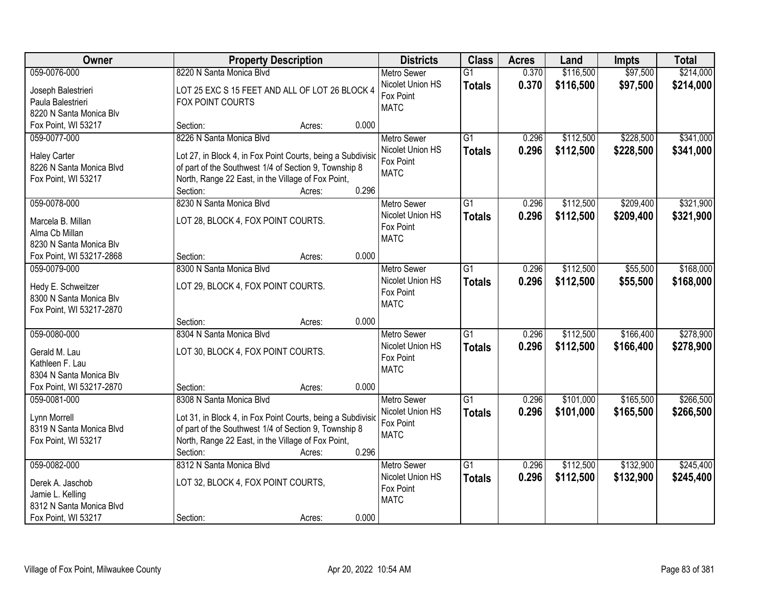| Owner                    | <b>Property Description</b>                                 | <b>Districts</b>              | <b>Class</b>    | <b>Acres</b> | Land      | <b>Impts</b> | <b>Total</b> |
|--------------------------|-------------------------------------------------------------|-------------------------------|-----------------|--------------|-----------|--------------|--------------|
| 059-0076-000             | 8220 N Santa Monica Blvd                                    | <b>Metro Sewer</b>            | $\overline{G1}$ | 0.370        | \$116,500 | \$97,500     | \$214,000    |
| Joseph Balestrieri       | LOT 25 EXC S 15 FEET AND ALL OF LOT 26 BLOCK 4              | Nicolet Union HS              | <b>Totals</b>   | 0.370        | \$116,500 | \$97,500     | \$214,000    |
| Paula Balestrieri        | FOX POINT COURTS                                            | Fox Point                     |                 |              |           |              |              |
| 8220 N Santa Monica Blv  |                                                             | <b>MATC</b>                   |                 |              |           |              |              |
| Fox Point, WI 53217      | 0.000<br>Section:<br>Acres:                                 |                               |                 |              |           |              |              |
| 059-0077-000             | 8226 N Santa Monica Blvd                                    | <b>Metro Sewer</b>            | $\overline{G1}$ | 0.296        | \$112,500 | \$228,500    | \$341,000    |
|                          |                                                             | Nicolet Union HS              | <b>Totals</b>   | 0.296        | \$112,500 | \$228,500    | \$341,000    |
| <b>Haley Carter</b>      | Lot 27, in Block 4, in Fox Point Courts, being a Subdivisic | Fox Point                     |                 |              |           |              |              |
| 8226 N Santa Monica Blvd | of part of the Southwest 1/4 of Section 9, Township 8       | <b>MATC</b>                   |                 |              |           |              |              |
| Fox Point, WI 53217      | North, Range 22 East, in the Village of Fox Point,<br>0.296 |                               |                 |              |           |              |              |
|                          | Section:<br>Acres:                                          |                               |                 |              |           |              |              |
| 059-0078-000             | 8230 N Santa Monica Blvd                                    | <b>Metro Sewer</b>            | G1              | 0.296        | \$112,500 | \$209,400    | \$321,900    |
| Marcela B. Millan        | LOT 28, BLOCK 4, FOX POINT COURTS.                          | Nicolet Union HS              | <b>Totals</b>   | 0.296        | \$112,500 | \$209,400    | \$321,900    |
| Alma Cb Millan           |                                                             | Fox Point                     |                 |              |           |              |              |
| 8230 N Santa Monica Blv  |                                                             | <b>MATC</b>                   |                 |              |           |              |              |
| Fox Point, WI 53217-2868 | 0.000<br>Section:<br>Acres:                                 |                               |                 |              |           |              |              |
| 059-0079-000             | 8300 N Santa Monica Blvd                                    | <b>Metro Sewer</b>            | G1              | 0.296        | \$112,500 | \$55,500     | \$168,000    |
|                          |                                                             | Nicolet Union HS              | <b>Totals</b>   | 0.296        | \$112,500 | \$55,500     | \$168,000    |
| Hedy E. Schweitzer       | LOT 29, BLOCK 4, FOX POINT COURTS.                          | Fox Point                     |                 |              |           |              |              |
| 8300 N Santa Monica Blv  |                                                             | <b>MATC</b>                   |                 |              |           |              |              |
| Fox Point, WI 53217-2870 | 0.000<br>Section:                                           |                               |                 |              |           |              |              |
| 059-0080-000             | Acres:<br>8304 N Santa Monica Blvd                          |                               | $\overline{G1}$ | 0.296        | \$112,500 | \$166,400    | \$278,900    |
|                          |                                                             | <b>Metro Sewer</b>            |                 |              |           |              |              |
| Gerald M. Lau            | LOT 30, BLOCK 4, FOX POINT COURTS.                          | Nicolet Union HS<br>Fox Point | <b>Totals</b>   | 0.296        | \$112,500 | \$166,400    | \$278,900    |
| Kathleen F. Lau          |                                                             | <b>MATC</b>                   |                 |              |           |              |              |
| 8304 N Santa Monica Blv  |                                                             |                               |                 |              |           |              |              |
| Fox Point, WI 53217-2870 | 0.000<br>Section:<br>Acres:                                 |                               |                 |              |           |              |              |
| 059-0081-000             | 8308 N Santa Monica Blvd                                    | <b>Metro Sewer</b>            | $\overline{G1}$ | 0.296        | \$101,000 | \$165,500    | \$266,500    |
| Lynn Morrell             | Lot 31, in Block 4, in Fox Point Courts, being a Subdivisio | Nicolet Union HS              | <b>Totals</b>   | 0.296        | \$101,000 | \$165,500    | \$266,500    |
| 8319 N Santa Monica Blvd | of part of the Southwest 1/4 of Section 9, Township 8       | Fox Point                     |                 |              |           |              |              |
| Fox Point, WI 53217      | North, Range 22 East, in the Village of Fox Point,          | <b>MATC</b>                   |                 |              |           |              |              |
|                          | 0.296<br>Section:<br>Acres:                                 |                               |                 |              |           |              |              |
| 059-0082-000             | 8312 N Santa Monica Blvd                                    | <b>Metro Sewer</b>            | $\overline{G1}$ | 0.296        | \$112,500 | \$132,900    | \$245,400    |
|                          |                                                             | Nicolet Union HS              | <b>Totals</b>   | 0.296        | \$112,500 | \$132,900    | \$245,400    |
| Derek A. Jaschob         | LOT 32, BLOCK 4, FOX POINT COURTS,                          | Fox Point                     |                 |              |           |              |              |
| Jamie L. Kelling         |                                                             | <b>MATC</b>                   |                 |              |           |              |              |
| 8312 N Santa Monica Blvd |                                                             |                               |                 |              |           |              |              |
| Fox Point, WI 53217      | 0.000<br>Section:<br>Acres:                                 |                               |                 |              |           |              |              |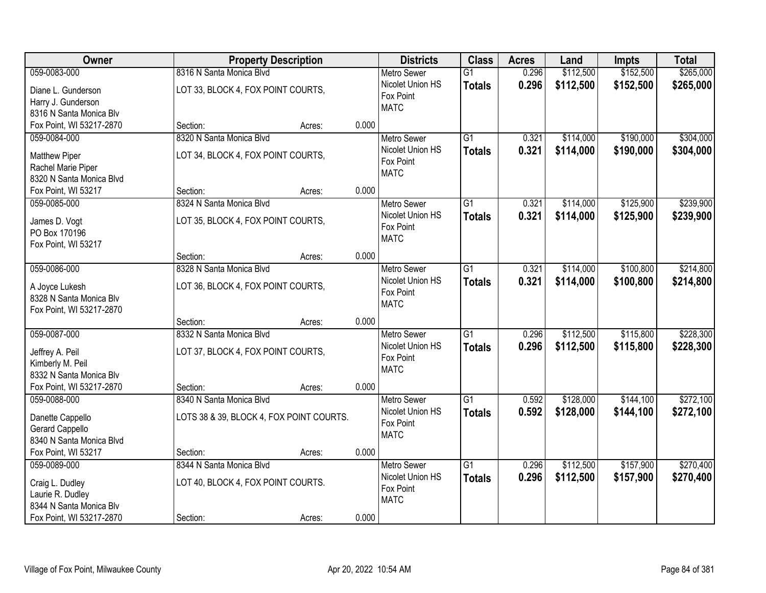| Owner                    | <b>Property Description</b>              |                 | <b>Districts</b>   | <b>Class</b>    | <b>Acres</b> | Land      | <b>Impts</b> | <b>Total</b> |
|--------------------------|------------------------------------------|-----------------|--------------------|-----------------|--------------|-----------|--------------|--------------|
| 059-0083-000             | 8316 N Santa Monica Blvd                 |                 | <b>Metro Sewer</b> | $\overline{G1}$ | 0.296        | \$112,500 | \$152,500    | \$265,000    |
| Diane L. Gunderson       | LOT 33, BLOCK 4, FOX POINT COURTS,       |                 | Nicolet Union HS   | <b>Totals</b>   | 0.296        | \$112,500 | \$152,500    | \$265,000    |
| Harry J. Gunderson       |                                          |                 | Fox Point          |                 |              |           |              |              |
| 8316 N Santa Monica Blv  |                                          |                 | <b>MATC</b>        |                 |              |           |              |              |
| Fox Point, WI 53217-2870 | Section:                                 | 0.000<br>Acres: |                    |                 |              |           |              |              |
| 059-0084-000             | 8320 N Santa Monica Blvd                 |                 | <b>Metro Sewer</b> | G1              | 0.321        | \$114,000 | \$190,000    | \$304,000    |
| <b>Matthew Piper</b>     | LOT 34, BLOCK 4, FOX POINT COURTS,       |                 | Nicolet Union HS   | <b>Totals</b>   | 0.321        | \$114,000 | \$190,000    | \$304,000    |
| Rachel Marie Piper       |                                          |                 | Fox Point          |                 |              |           |              |              |
| 8320 N Santa Monica Blvd |                                          |                 | <b>MATC</b>        |                 |              |           |              |              |
| Fox Point, WI 53217      | Section:                                 | 0.000<br>Acres: |                    |                 |              |           |              |              |
| 059-0085-000             | 8324 N Santa Monica Blvd                 |                 | Metro Sewer        | G1              | 0.321        | \$114,000 | \$125,900    | \$239,900    |
| James D. Vogt            | LOT 35, BLOCK 4, FOX POINT COURTS,       |                 | Nicolet Union HS   | <b>Totals</b>   | 0.321        | \$114,000 | \$125,900    | \$239,900    |
| PO Box 170196            |                                          |                 | Fox Point          |                 |              |           |              |              |
| Fox Point, WI 53217      |                                          |                 | <b>MATC</b>        |                 |              |           |              |              |
|                          | Section:                                 | 0.000<br>Acres: |                    |                 |              |           |              |              |
| 059-0086-000             | 8328 N Santa Monica Blvd                 |                 | <b>Metro Sewer</b> | $\overline{G1}$ | 0.321        | \$114,000 | \$100,800    | \$214,800    |
| A Joyce Lukesh           | LOT 36, BLOCK 4, FOX POINT COURTS,       |                 | Nicolet Union HS   | <b>Totals</b>   | 0.321        | \$114,000 | \$100,800    | \$214,800    |
| 8328 N Santa Monica Blv  |                                          |                 | Fox Point          |                 |              |           |              |              |
| Fox Point, WI 53217-2870 |                                          |                 | <b>MATC</b>        |                 |              |           |              |              |
|                          | Section:                                 | 0.000<br>Acres: |                    |                 |              |           |              |              |
| 059-0087-000             | 8332 N Santa Monica Blyd                 |                 | Metro Sewer        | $\overline{G1}$ | 0.296        | \$112,500 | \$115,800    | \$228,300    |
| Jeffrey A. Peil          | LOT 37, BLOCK 4, FOX POINT COURTS,       |                 | Nicolet Union HS   | <b>Totals</b>   | 0.296        | \$112,500 | \$115,800    | \$228,300    |
| Kimberly M. Peil         |                                          |                 | Fox Point          |                 |              |           |              |              |
| 8332 N Santa Monica Blv  |                                          |                 | <b>MATC</b>        |                 |              |           |              |              |
| Fox Point, WI 53217-2870 | Section:                                 | 0.000<br>Acres: |                    |                 |              |           |              |              |
| 059-0088-000             | 8340 N Santa Monica Blvd                 |                 | Metro Sewer        | $\overline{G1}$ | 0.592        | \$128,000 | \$144,100    | \$272,100    |
| Danette Cappello         | LOTS 38 & 39, BLOCK 4, FOX POINT COURTS. |                 | Nicolet Union HS   | <b>Totals</b>   | 0.592        | \$128,000 | \$144,100    | \$272,100    |
| Gerard Cappello          |                                          |                 | Fox Point          |                 |              |           |              |              |
| 8340 N Santa Monica Blvd |                                          |                 | <b>MATC</b>        |                 |              |           |              |              |
| Fox Point, WI 53217      | Section:                                 | 0.000<br>Acres: |                    |                 |              |           |              |              |
| 059-0089-000             | 8344 N Santa Monica Blvd                 |                 | <b>Metro Sewer</b> | $\overline{G1}$ | 0.296        | \$112,500 | \$157,900    | \$270,400    |
| Craig L. Dudley          | LOT 40, BLOCK 4, FOX POINT COURTS.       |                 | Nicolet Union HS   | <b>Totals</b>   | 0.296        | \$112,500 | \$157,900    | \$270,400    |
| Laurie R. Dudley         |                                          |                 | Fox Point          |                 |              |           |              |              |
| 8344 N Santa Monica Blv  |                                          |                 | <b>MATC</b>        |                 |              |           |              |              |
| Fox Point, WI 53217-2870 | Section:                                 | 0.000<br>Acres: |                    |                 |              |           |              |              |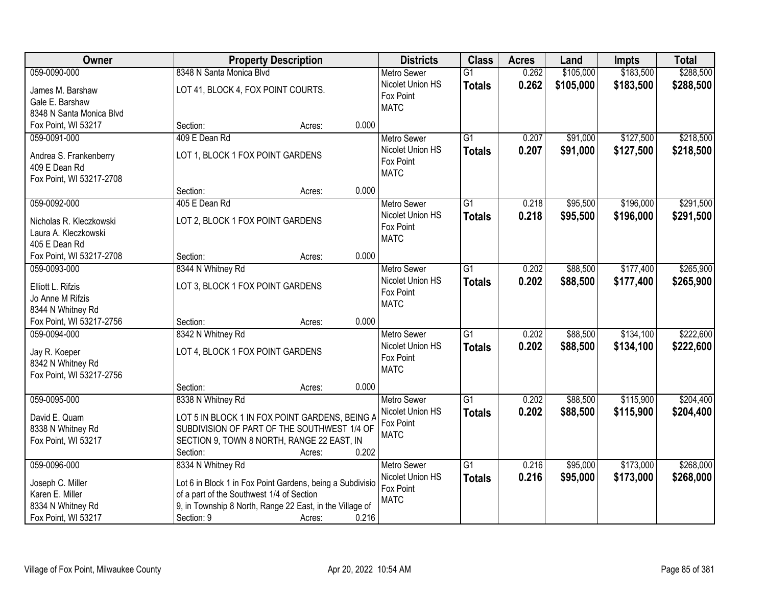| Owner                                    | <b>Property Description</b>                                       | <b>Districts</b>   | <b>Class</b>    | <b>Acres</b> | Land      | Impts     | <b>Total</b> |
|------------------------------------------|-------------------------------------------------------------------|--------------------|-----------------|--------------|-----------|-----------|--------------|
| 059-0090-000                             | 8348 N Santa Monica Blvd                                          | <b>Metro Sewer</b> | $\overline{G1}$ | 0.262        | \$105,000 | \$183,500 | \$288,500    |
| James M. Barshaw                         | LOT 41, BLOCK 4, FOX POINT COURTS.                                | Nicolet Union HS   | <b>Totals</b>   | 0.262        | \$105,000 | \$183,500 | \$288,500    |
| Gale E. Barshaw                          |                                                                   | Fox Point          |                 |              |           |           |              |
| 8348 N Santa Monica Blvd                 |                                                                   | <b>MATC</b>        |                 |              |           |           |              |
| Fox Point, WI 53217                      | 0.000<br>Section:<br>Acres:                                       |                    |                 |              |           |           |              |
| 059-0091-000                             | 409 E Dean Rd                                                     | <b>Metro Sewer</b> | $\overline{G1}$ | 0.207        | \$91,000  | \$127,500 | \$218,500    |
| Andrea S. Frankenberry                   | LOT 1, BLOCK 1 FOX POINT GARDENS                                  | Nicolet Union HS   | <b>Totals</b>   | 0.207        | \$91,000  | \$127,500 | \$218,500    |
| 409 E Dean Rd                            |                                                                   | Fox Point          |                 |              |           |           |              |
| Fox Point, WI 53217-2708                 |                                                                   | <b>MATC</b>        |                 |              |           |           |              |
|                                          | 0.000<br>Section:<br>Acres:                                       |                    |                 |              |           |           |              |
| 059-0092-000                             | 405 E Dean Rd                                                     | <b>Metro Sewer</b> | $\overline{G1}$ | 0.218        | \$95,500  | \$196,000 | \$291,500    |
|                                          |                                                                   | Nicolet Union HS   | <b>Totals</b>   | 0.218        | \$95,500  | \$196,000 | \$291,500    |
| Nicholas R. Kleczkowski                  | LOT 2, BLOCK 1 FOX POINT GARDENS                                  | Fox Point          |                 |              |           |           |              |
| Laura A. Kleczkowski                     |                                                                   | <b>MATC</b>        |                 |              |           |           |              |
| 405 E Dean Rd                            | 0.000<br>Section:                                                 |                    |                 |              |           |           |              |
| Fox Point, WI 53217-2708<br>059-0093-000 | Acres:<br>8344 N Whitney Rd                                       | <b>Metro Sewer</b> | G1              | 0.202        | \$88,500  | \$177,400 | \$265,900    |
|                                          |                                                                   | Nicolet Union HS   |                 | 0.202        |           |           |              |
| Elliott L. Rifzis                        | LOT 3, BLOCK 1 FOX POINT GARDENS                                  | Fox Point          | <b>Totals</b>   |              | \$88,500  | \$177,400 | \$265,900    |
| Jo Anne M Rifzis                         |                                                                   | <b>MATC</b>        |                 |              |           |           |              |
| 8344 N Whitney Rd                        |                                                                   |                    |                 |              |           |           |              |
| Fox Point, WI 53217-2756                 | 0.000<br>Section:<br>Acres:                                       |                    |                 |              |           |           |              |
| 059-0094-000                             | 8342 N Whitney Rd                                                 | <b>Metro Sewer</b> | $\overline{G1}$ | 0.202        | \$88,500  | \$134,100 | \$222,600    |
| Jay R. Koeper                            | LOT 4, BLOCK 1 FOX POINT GARDENS                                  | Nicolet Union HS   | <b>Totals</b>   | 0.202        | \$88,500  | \$134,100 | \$222,600    |
| 8342 N Whitney Rd                        |                                                                   | Fox Point          |                 |              |           |           |              |
| Fox Point, WI 53217-2756                 |                                                                   | <b>MATC</b>        |                 |              |           |           |              |
|                                          | Section:<br>0.000<br>Acres:                                       |                    |                 |              |           |           |              |
| 059-0095-000                             | 8338 N Whitney Rd                                                 | <b>Metro Sewer</b> | $\overline{G1}$ | 0.202        | \$88,500  | \$115,900 | \$204,400    |
| David E. Quam                            | LOT 5 IN BLOCK 1 IN FOX POINT GARDENS, BEING A                    | Nicolet Union HS   | <b>Totals</b>   | 0.202        | \$88,500  | \$115,900 | \$204,400    |
| 8338 N Whitney Rd                        | SUBDIVISION OF PART OF THE SOUTHWEST 1/4 OF                       | Fox Point          |                 |              |           |           |              |
| Fox Point, WI 53217                      | SECTION 9, TOWN 8 NORTH, RANGE 22 EAST, IN                        | <b>MATC</b>        |                 |              |           |           |              |
|                                          | 0.202<br>Section:<br>Acres:                                       |                    |                 |              |           |           |              |
| 059-0096-000                             | 8334 N Whitney Rd                                                 | <b>Metro Sewer</b> | $\overline{G1}$ | 0.216        | \$95,000  | \$173,000 | \$268,000    |
|                                          |                                                                   | Nicolet Union HS   | <b>Totals</b>   | 0.216        | \$95,000  | \$173,000 | \$268,000    |
| Joseph C. Miller                         | Lot 6 in Block 1 in Fox Point Gardens, being a Subdivisio         | Fox Point          |                 |              |           |           |              |
| Karen E. Miller                          | of a part of the Southwest 1/4 of Section                         | <b>MATC</b>        |                 |              |           |           |              |
| 8334 N Whitney Rd                        | 9, in Township 8 North, Range 22 East, in the Village of<br>0.216 |                    |                 |              |           |           |              |
| Fox Point, WI 53217                      | Section: 9<br>Acres:                                              |                    |                 |              |           |           |              |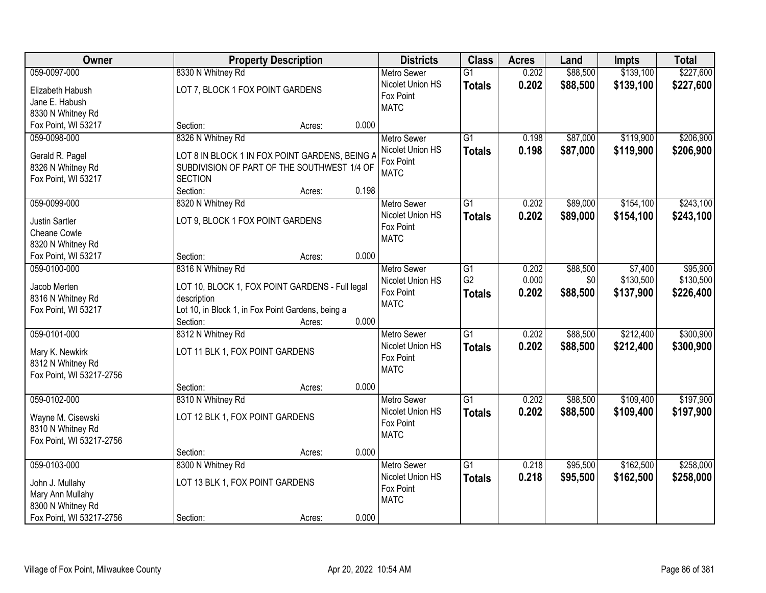| Owner                    |                                                   | <b>Property Description</b> |       |                    | <b>Class</b>    | <b>Acres</b> | Land     | Impts     | <b>Total</b> |
|--------------------------|---------------------------------------------------|-----------------------------|-------|--------------------|-----------------|--------------|----------|-----------|--------------|
| 059-0097-000             | 8330 N Whitney Rd                                 |                             |       | <b>Metro Sewer</b> | $\overline{G1}$ | 0.202        | \$88,500 | \$139,100 | \$227,600    |
| Elizabeth Habush         | LOT 7, BLOCK 1 FOX POINT GARDENS                  |                             |       | Nicolet Union HS   | <b>Totals</b>   | 0.202        | \$88,500 | \$139,100 | \$227,600    |
| Jane E. Habush           |                                                   |                             |       | Fox Point          |                 |              |          |           |              |
| 8330 N Whitney Rd        |                                                   |                             |       | <b>MATC</b>        |                 |              |          |           |              |
| Fox Point, WI 53217      | Section:                                          | Acres:                      | 0.000 |                    |                 |              |          |           |              |
| 059-0098-000             | 8326 N Whitney Rd                                 |                             |       | <b>Metro Sewer</b> | $\overline{G1}$ | 0.198        | \$87,000 | \$119,900 | \$206,900    |
|                          |                                                   |                             |       | Nicolet Union HS   | <b>Totals</b>   | 0.198        | \$87,000 | \$119,900 | \$206,900    |
| Gerald R. Pagel          | LOT 8 IN BLOCK 1 IN FOX POINT GARDENS, BEING A    |                             |       | Fox Point          |                 |              |          |           |              |
| 8326 N Whitney Rd        | SUBDIVISION OF PART OF THE SOUTHWEST 1/4 OF       |                             |       | <b>MATC</b>        |                 |              |          |           |              |
| Fox Point, WI 53217      | <b>SECTION</b>                                    |                             |       |                    |                 |              |          |           |              |
|                          | Section:                                          | Acres:                      | 0.198 |                    |                 |              |          |           |              |
| 059-0099-000             | 8320 N Whitney Rd                                 |                             |       | <b>Metro Sewer</b> | G1              | 0.202        | \$89,000 | \$154,100 | \$243,100    |
| <b>Justin Sartler</b>    | LOT 9, BLOCK 1 FOX POINT GARDENS                  |                             |       | Nicolet Union HS   | <b>Totals</b>   | 0.202        | \$89,000 | \$154,100 | \$243,100    |
| Cheane Cowle             |                                                   |                             |       | Fox Point          |                 |              |          |           |              |
| 8320 N Whitney Rd        |                                                   |                             |       | <b>MATC</b>        |                 |              |          |           |              |
| Fox Point, WI 53217      | Section:                                          | Acres:                      | 0.000 |                    |                 |              |          |           |              |
| 059-0100-000             | 8316 N Whitney Rd                                 |                             |       | <b>Metro Sewer</b> | G1              | 0.202        | \$88,500 | \$7,400   | \$95,900     |
|                          |                                                   |                             |       | Nicolet Union HS   | G <sub>2</sub>  | 0.000        | \$0      | \$130,500 | \$130,500    |
| Jacob Merten             | LOT 10, BLOCK 1, FOX POINT GARDENS - Full legal   |                             |       | Fox Point          | <b>Totals</b>   | 0.202        | \$88,500 | \$137,900 | \$226,400    |
| 8316 N Whitney Rd        | description                                       |                             |       | <b>MATC</b>        |                 |              |          |           |              |
| Fox Point, WI 53217      | Lot 10, in Block 1, in Fox Point Gardens, being a |                             |       |                    |                 |              |          |           |              |
|                          | Section:                                          | Acres:                      | 0.000 |                    |                 |              |          |           |              |
| 059-0101-000             | 8312 N Whitney Rd                                 |                             |       | <b>Metro Sewer</b> | $\overline{G1}$ | 0.202        | \$88,500 | \$212,400 | \$300,900    |
| Mary K. Newkirk          | LOT 11 BLK 1, FOX POINT GARDENS                   |                             |       | Nicolet Union HS   | <b>Totals</b>   | 0.202        | \$88,500 | \$212,400 | \$300,900    |
| 8312 N Whitney Rd        |                                                   |                             |       | Fox Point          |                 |              |          |           |              |
| Fox Point, WI 53217-2756 |                                                   |                             |       | <b>MATC</b>        |                 |              |          |           |              |
|                          | Section:                                          | Acres:                      | 0.000 |                    |                 |              |          |           |              |
| 059-0102-000             | 8310 N Whitney Rd                                 |                             |       | Metro Sewer        | $\overline{G1}$ | 0.202        | \$88,500 | \$109,400 | \$197,900    |
| Wayne M. Cisewski        | LOT 12 BLK 1, FOX POINT GARDENS                   |                             |       | Nicolet Union HS   | <b>Totals</b>   | 0.202        | \$88,500 | \$109,400 | \$197,900    |
| 8310 N Whitney Rd        |                                                   |                             |       | Fox Point          |                 |              |          |           |              |
| Fox Point, WI 53217-2756 |                                                   |                             |       | <b>MATC</b>        |                 |              |          |           |              |
|                          | Section:                                          | Acres:                      | 0.000 |                    |                 |              |          |           |              |
| 059-0103-000             | 8300 N Whitney Rd                                 |                             |       | <b>Metro Sewer</b> | $\overline{G1}$ | 0.218        | \$95,500 | \$162,500 | \$258,000    |
|                          |                                                   |                             |       | Nicolet Union HS   | <b>Totals</b>   | 0.218        | \$95,500 | \$162,500 | \$258,000    |
| John J. Mullahy          | LOT 13 BLK 1, FOX POINT GARDENS                   |                             |       | Fox Point          |                 |              |          |           |              |
| Mary Ann Mullahy         |                                                   |                             |       | <b>MATC</b>        |                 |              |          |           |              |
| 8300 N Whitney Rd        |                                                   |                             |       |                    |                 |              |          |           |              |
| Fox Point, WI 53217-2756 | Section:                                          | Acres:                      | 0.000 |                    |                 |              |          |           |              |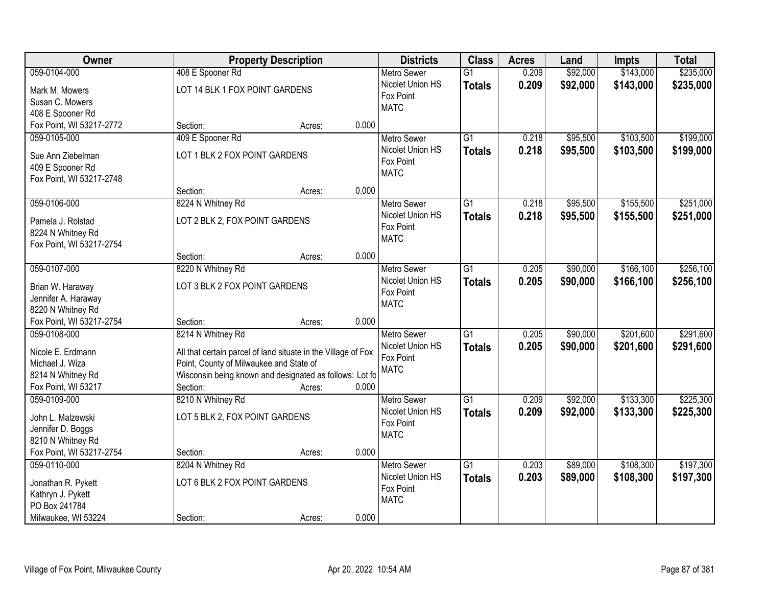| Owner                                         | <b>Property Description</b>                                   |                 | <b>Districts</b>              | <b>Class</b>    | <b>Acres</b> | Land     | Impts     | <b>Total</b> |
|-----------------------------------------------|---------------------------------------------------------------|-----------------|-------------------------------|-----------------|--------------|----------|-----------|--------------|
| 059-0104-000                                  | 408 E Spooner Rd                                              |                 | <b>Metro Sewer</b>            | $\overline{G1}$ | 0.209        | \$92,000 | \$143,000 | \$235,000    |
| Mark M. Mowers                                | LOT 14 BLK 1 FOX POINT GARDENS                                |                 | Nicolet Union HS              | <b>Totals</b>   | 0.209        | \$92,000 | \$143,000 | \$235,000    |
| Susan C. Mowers                               |                                                               |                 | Fox Point                     |                 |              |          |           |              |
| 408 E Spooner Rd                              |                                                               |                 | <b>MATC</b>                   |                 |              |          |           |              |
| Fox Point, WI 53217-2772                      | Section:                                                      | 0.000<br>Acres: |                               |                 |              |          |           |              |
| 059-0105-000                                  | 409 E Spooner Rd                                              |                 | <b>Metro Sewer</b>            | $\overline{G1}$ | 0.218        | \$95,500 | \$103,500 | \$199,000    |
|                                               |                                                               |                 | Nicolet Union HS              | <b>Totals</b>   | 0.218        | \$95,500 | \$103,500 | \$199,000    |
| Sue Ann Ziebelman                             | LOT 1 BLK 2 FOX POINT GARDENS                                 |                 | Fox Point                     |                 |              |          |           |              |
| 409 E Spooner Rd                              |                                                               |                 | <b>MATC</b>                   |                 |              |          |           |              |
| Fox Point, WI 53217-2748                      |                                                               |                 |                               |                 |              |          |           |              |
|                                               | Section:                                                      | 0.000<br>Acres: |                               |                 |              |          |           |              |
| 059-0106-000                                  | 8224 N Whitney Rd                                             |                 | Metro Sewer                   | G1              | 0.218        | \$95,500 | \$155,500 | \$251,000    |
| Pamela J. Rolstad                             | LOT 2 BLK 2, FOX POINT GARDENS                                |                 | Nicolet Union HS              | <b>Totals</b>   | 0.218        | \$95,500 | \$155,500 | \$251,000    |
| 8224 N Whitney Rd                             |                                                               |                 | Fox Point                     |                 |              |          |           |              |
| Fox Point, WI 53217-2754                      |                                                               |                 | <b>MATC</b>                   |                 |              |          |           |              |
|                                               | Section:                                                      | 0.000<br>Acres: |                               |                 |              |          |           |              |
| 059-0107-000                                  | 8220 N Whitney Rd                                             |                 | <b>Metro Sewer</b>            | G1              | 0.205        | \$90,000 | \$166,100 | \$256,100    |
|                                               |                                                               |                 | Nicolet Union HS              | <b>Totals</b>   | 0.205        | \$90,000 | \$166,100 | \$256,100    |
| Brian W. Haraway                              | LOT 3 BLK 2 FOX POINT GARDENS                                 |                 | Fox Point                     |                 |              |          |           |              |
| Jennifer A. Haraway                           |                                                               |                 | <b>MATC</b>                   |                 |              |          |           |              |
| 8220 N Whitney Rd<br>Fox Point, WI 53217-2754 | Section:                                                      | 0.000           |                               |                 |              |          |           |              |
| 059-0108-000                                  | 8214 N Whitney Rd                                             | Acres:          |                               | $\overline{G1}$ | 0.205        | \$90,000 | \$201,600 | \$291,600    |
|                                               |                                                               |                 | <b>Metro Sewer</b>            |                 |              |          |           |              |
| Nicole E. Erdmann                             | All that certain parcel of land situate in the Village of Fox |                 | Nicolet Union HS<br>Fox Point | <b>Totals</b>   | 0.205        | \$90,000 | \$201,600 | \$291,600    |
| Michael J. Wiza                               | Point, County of Milwaukee and State of                       |                 | <b>MATC</b>                   |                 |              |          |           |              |
| 8214 N Whitney Rd                             | Wisconsin being known and designated as follows: Lot fo       |                 |                               |                 |              |          |           |              |
| Fox Point, WI 53217                           | Section:                                                      | 0.000<br>Acres: |                               |                 |              |          |           |              |
| 059-0109-000                                  | 8210 N Whitney Rd                                             |                 | <b>Metro Sewer</b>            | $\overline{G1}$ | 0.209        | \$92,000 | \$133,300 | \$225,300    |
| John L. Malzewski                             | LOT 5 BLK 2, FOX POINT GARDENS                                |                 | Nicolet Union HS              | <b>Totals</b>   | 0.209        | \$92,000 | \$133,300 | \$225,300    |
| Jennifer D. Boggs                             |                                                               |                 | Fox Point                     |                 |              |          |           |              |
| 8210 N Whitney Rd                             |                                                               |                 | <b>MATC</b>                   |                 |              |          |           |              |
| Fox Point, WI 53217-2754                      | Section:                                                      | 0.000<br>Acres: |                               |                 |              |          |           |              |
| 059-0110-000                                  | 8204 N Whitney Rd                                             |                 | <b>Metro Sewer</b>            | $\overline{G1}$ | 0.203        | \$89,000 | \$108,300 | \$197,300    |
|                                               |                                                               |                 | Nicolet Union HS              | <b>Totals</b>   | 0.203        | \$89,000 | \$108,300 | \$197,300    |
| Jonathan R. Pykett                            | LOT 6 BLK 2 FOX POINT GARDENS                                 |                 | Fox Point                     |                 |              |          |           |              |
| Kathryn J. Pykett                             |                                                               |                 | <b>MATC</b>                   |                 |              |          |           |              |
| PO Box 241784                                 |                                                               |                 |                               |                 |              |          |           |              |
| Milwaukee, WI 53224                           | Section:                                                      | 0.000<br>Acres: |                               |                 |              |          |           |              |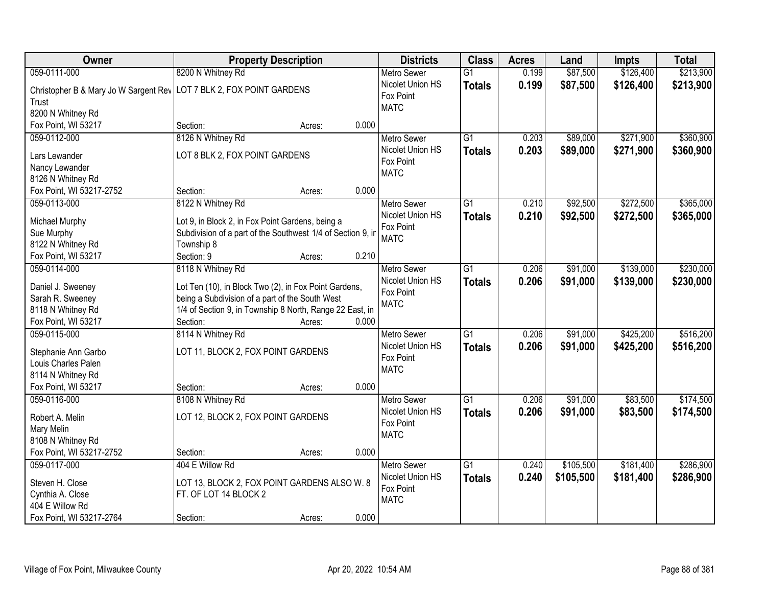| Owner                                                                | <b>Property Description</b>                                 |       | <b>Districts</b>              | <b>Class</b>    | <b>Acres</b> | Land      | <b>Impts</b> | <b>Total</b> |
|----------------------------------------------------------------------|-------------------------------------------------------------|-------|-------------------------------|-----------------|--------------|-----------|--------------|--------------|
| 059-0111-000                                                         | 8200 N Whitney Rd                                           |       | <b>Metro Sewer</b>            | $\overline{G1}$ | 0.199        | \$87,500  | \$126,400    | \$213,900    |
| Christopher B & Mary Jo W Sargent Rev LOT 7 BLK 2, FOX POINT GARDENS |                                                             |       | Nicolet Union HS              | <b>Totals</b>   | 0.199        | \$87,500  | \$126,400    | \$213,900    |
| Trust                                                                |                                                             |       | Fox Point                     |                 |              |           |              |              |
| 8200 N Whitney Rd                                                    |                                                             |       | <b>MATC</b>                   |                 |              |           |              |              |
| Fox Point, WI 53217                                                  | Section:<br>Acres:                                          | 0.000 |                               |                 |              |           |              |              |
| 059-0112-000                                                         | 8126 N Whitney Rd                                           |       | <b>Metro Sewer</b>            | $\overline{G1}$ | 0.203        | \$89,000  | \$271,900    | \$360,900    |
|                                                                      |                                                             |       | Nicolet Union HS              | <b>Totals</b>   | 0.203        | \$89,000  | \$271,900    | \$360,900    |
| Lars Lewander                                                        | LOT 8 BLK 2, FOX POINT GARDENS                              |       | Fox Point                     |                 |              |           |              |              |
| Nancy Lewander                                                       |                                                             |       | <b>MATC</b>                   |                 |              |           |              |              |
| 8126 N Whitney Rd                                                    |                                                             |       |                               |                 |              |           |              |              |
| Fox Point, WI 53217-2752                                             | Section:<br>Acres:                                          | 0.000 |                               |                 |              |           |              |              |
| 059-0113-000                                                         | 8122 N Whitney Rd                                           |       | <b>Metro Sewer</b>            | G1              | 0.210        | \$92,500  | \$272,500    | \$365,000    |
| Michael Murphy                                                       | Lot 9, in Block 2, in Fox Point Gardens, being a            |       | Nicolet Union HS              | <b>Totals</b>   | 0.210        | \$92,500  | \$272,500    | \$365,000    |
| Sue Murphy                                                           | Subdivision of a part of the Southwest 1/4 of Section 9, in |       | Fox Point                     |                 |              |           |              |              |
| 8122 N Whitney Rd                                                    | Township 8                                                  |       | <b>MATC</b>                   |                 |              |           |              |              |
| Fox Point, WI 53217                                                  | Section: 9<br>Acres:                                        | 0.210 |                               |                 |              |           |              |              |
| 059-0114-000                                                         | 8118 N Whitney Rd                                           |       | <b>Metro Sewer</b>            | $\overline{G1}$ | 0.206        | \$91,000  | \$139,000    | \$230,000    |
|                                                                      |                                                             |       | Nicolet Union HS              | <b>Totals</b>   | 0.206        | \$91,000  | \$139,000    | \$230,000    |
| Daniel J. Sweeney                                                    | Lot Ten (10), in Block Two (2), in Fox Point Gardens,       |       | Fox Point                     |                 |              |           |              |              |
| Sarah R. Sweeney                                                     | being a Subdivision of a part of the South West             |       | <b>MATC</b>                   |                 |              |           |              |              |
| 8118 N Whitney Rd                                                    | 1/4 of Section 9, in Township 8 North, Range 22 East, in    |       |                               |                 |              |           |              |              |
| Fox Point, WI 53217                                                  | Section:<br>Acres:                                          | 0.000 |                               |                 |              |           |              |              |
| 059-0115-000                                                         | 8114 N Whitney Rd                                           |       | Metro Sewer                   | $\overline{G1}$ | 0.206        | \$91,000  | \$425,200    | \$516,200    |
| Stephanie Ann Garbo                                                  | LOT 11, BLOCK 2, FOX POINT GARDENS                          |       | Nicolet Union HS<br>Fox Point | <b>Totals</b>   | 0.206        | \$91,000  | \$425,200    | \$516,200    |
| Louis Charles Palen                                                  |                                                             |       | <b>MATC</b>                   |                 |              |           |              |              |
| 8114 N Whitney Rd                                                    |                                                             |       |                               |                 |              |           |              |              |
| Fox Point, WI 53217                                                  | Section:<br>Acres:                                          | 0.000 |                               |                 |              |           |              |              |
| 059-0116-000                                                         | 8108 N Whitney Rd                                           |       | Metro Sewer                   | $\overline{G1}$ | 0.206        | \$91,000  | \$83,500     | \$174,500    |
| Robert A. Melin                                                      | LOT 12, BLOCK 2, FOX POINT GARDENS                          |       | Nicolet Union HS              | <b>Totals</b>   | 0.206        | \$91,000  | \$83,500     | \$174,500    |
| Mary Melin                                                           |                                                             |       | Fox Point                     |                 |              |           |              |              |
| 8108 N Whitney Rd                                                    |                                                             |       | <b>MATC</b>                   |                 |              |           |              |              |
| Fox Point, WI 53217-2752                                             | Section:<br>Acres:                                          | 0.000 |                               |                 |              |           |              |              |
| 059-0117-000                                                         | 404 E Willow Rd                                             |       | <b>Metro Sewer</b>            | $\overline{G1}$ | 0.240        | \$105,500 | \$181,400    | \$286,900    |
|                                                                      |                                                             |       | Nicolet Union HS              | <b>Totals</b>   | 0.240        | \$105,500 | \$181,400    | \$286,900    |
| Steven H. Close                                                      | LOT 13, BLOCK 2, FOX POINT GARDENS ALSO W. 8                |       | Fox Point                     |                 |              |           |              |              |
| Cynthia A. Close                                                     | FT. OF LOT 14 BLOCK 2                                       |       | <b>MATC</b>                   |                 |              |           |              |              |
| 404 E Willow Rd                                                      |                                                             |       |                               |                 |              |           |              |              |
| Fox Point, WI 53217-2764                                             | Section:<br>Acres:                                          | 0.000 |                               |                 |              |           |              |              |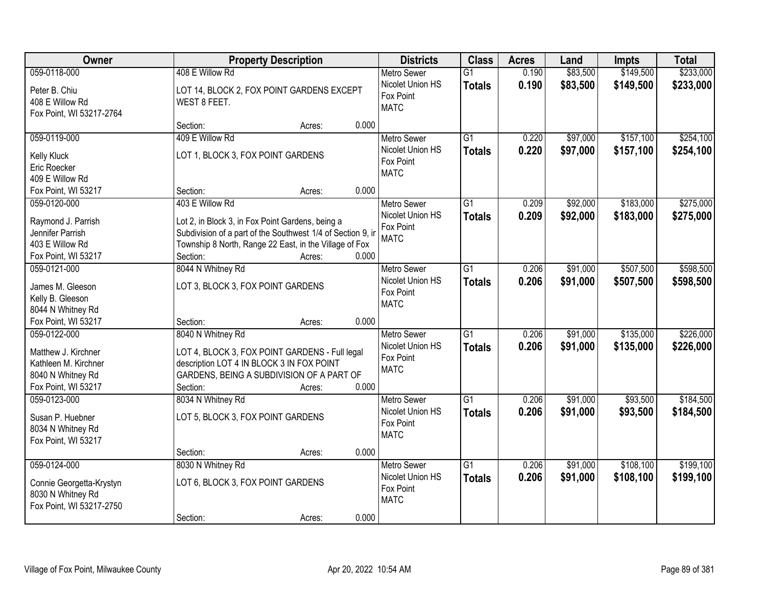| Owner                                                                                                   |                                                                                                                                                                                                          | <b>Property Description</b> |       |                                                                    | <b>Class</b>                     | <b>Acres</b>   | Land                 | Impts                  | <b>Total</b>           |
|---------------------------------------------------------------------------------------------------------|----------------------------------------------------------------------------------------------------------------------------------------------------------------------------------------------------------|-----------------------------|-------|--------------------------------------------------------------------|----------------------------------|----------------|----------------------|------------------------|------------------------|
| 059-0118-000<br>Peter B. Chiu<br>408 E Willow Rd<br>Fox Point, WI 53217-2764                            | 408 E Willow Rd<br>LOT 14, BLOCK 2, FOX POINT GARDENS EXCEPT<br>WEST 8 FEET.                                                                                                                             |                             |       | <b>Metro Sewer</b><br>Nicolet Union HS<br>Fox Point<br><b>MATC</b> | $\overline{G1}$<br><b>Totals</b> | 0.190<br>0.190 | \$83,500<br>\$83,500 | \$149,500<br>\$149,500 | \$233,000<br>\$233,000 |
|                                                                                                         | Section:                                                                                                                                                                                                 | Acres:                      | 0.000 |                                                                    |                                  |                |                      |                        |                        |
| 059-0119-000<br>Kelly Kluck<br>Eric Roecker<br>409 E Willow Rd                                          | 409 E Willow Rd<br>LOT 1, BLOCK 3, FOX POINT GARDENS                                                                                                                                                     |                             |       | <b>Metro Sewer</b><br>Nicolet Union HS<br>Fox Point<br><b>MATC</b> | $\overline{G1}$<br><b>Totals</b> | 0.220<br>0.220 | \$97,000<br>\$97,000 | \$157,100<br>\$157,100 | \$254,100<br>\$254,100 |
| Fox Point, WI 53217                                                                                     | Section:                                                                                                                                                                                                 | Acres:                      | 0.000 |                                                                    |                                  |                |                      |                        |                        |
| 059-0120-000<br>Raymond J. Parrish<br>Jennifer Parrish<br>403 E Willow Rd<br>Fox Point, WI 53217        | 403 E Willow Rd<br>Lot 2, in Block 3, in Fox Point Gardens, being a<br>Subdivision of a part of the Southwest 1/4 of Section 9, in<br>Township 8 North, Range 22 East, in the Village of Fox<br>Section: | Acres:                      | 0.000 | <b>Metro Sewer</b><br>Nicolet Union HS<br>Fox Point<br><b>MATC</b> | G1<br><b>Totals</b>              | 0.209<br>0.209 | \$92,000<br>\$92,000 | \$183,000<br>\$183,000 | \$275,000<br>\$275,000 |
| 059-0121-000                                                                                            | 8044 N Whitney Rd                                                                                                                                                                                        |                             |       | <b>Metro Sewer</b>                                                 | G1                               | 0.206          | \$91,000             | \$507,500              | \$598,500              |
| James M. Gleeson<br>Kelly B. Gleeson<br>8044 N Whitney Rd                                               | LOT 3, BLOCK 3, FOX POINT GARDENS                                                                                                                                                                        |                             |       | Nicolet Union HS<br>Fox Point<br><b>MATC</b>                       | <b>Totals</b>                    | 0.206          | \$91,000             | \$507,500              | \$598,500              |
| Fox Point, WI 53217                                                                                     | Section:                                                                                                                                                                                                 | Acres:                      | 0.000 |                                                                    |                                  |                |                      |                        |                        |
| 059-0122-000<br>Matthew J. Kirchner<br>Kathleen M. Kirchner<br>8040 N Whitney Rd<br>Fox Point, WI 53217 | 8040 N Whitney Rd<br>LOT 4, BLOCK 3, FOX POINT GARDENS - Full legal<br>description LOT 4 IN BLOCK 3 IN FOX POINT<br>GARDENS, BEING A SUBDIVISION OF A PART OF<br>Section:                                | Acres:                      | 0.000 | <b>Metro Sewer</b><br>Nicolet Union HS<br>Fox Point<br><b>MATC</b> | $\overline{G1}$<br><b>Totals</b> | 0.206<br>0.206 | \$91,000<br>\$91,000 | \$135,000<br>\$135,000 | \$226,000<br>\$226,000 |
| 059-0123-000<br>Susan P. Huebner<br>8034 N Whitney Rd<br>Fox Point, WI 53217                            | 8034 N Whitney Rd<br>LOT 5, BLOCK 3, FOX POINT GARDENS<br>Section:                                                                                                                                       | Acres:                      | 0.000 | <b>Metro Sewer</b><br>Nicolet Union HS<br>Fox Point<br><b>MATC</b> | $\overline{G1}$<br><b>Totals</b> | 0.206<br>0.206 | \$91,000<br>\$91,000 | \$93,500<br>\$93,500   | \$184,500<br>\$184,500 |
| 059-0124-000                                                                                            | 8030 N Whitney Rd                                                                                                                                                                                        |                             |       | <b>Metro Sewer</b>                                                 | $\overline{G1}$                  | 0.206          | \$91,000             | \$108,100              | \$199,100              |
| Connie Georgetta-Krystyn<br>8030 N Whitney Rd<br>Fox Point, WI 53217-2750                               | LOT 6, BLOCK 3, FOX POINT GARDENS                                                                                                                                                                        |                             |       | Nicolet Union HS<br>Fox Point<br><b>MATC</b>                       | <b>Totals</b>                    | 0.206          | \$91,000             | \$108,100              | \$199,100              |
|                                                                                                         | Section:                                                                                                                                                                                                 | Acres:                      | 0.000 |                                                                    |                                  |                |                      |                        |                        |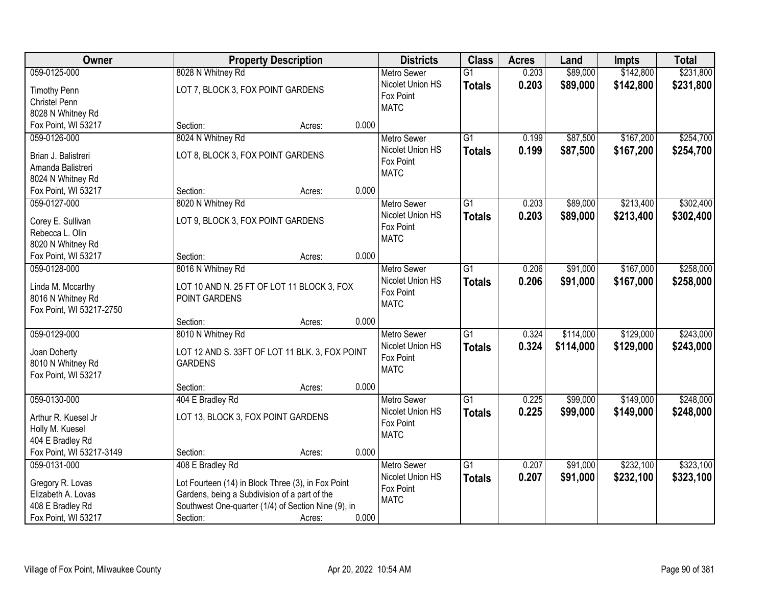| Owner                    | <b>Property Description</b>                         |        |       | <b>Districts</b>   | <b>Class</b>    | <b>Acres</b> | Land      | <b>Impts</b> | <b>Total</b> |
|--------------------------|-----------------------------------------------------|--------|-------|--------------------|-----------------|--------------|-----------|--------------|--------------|
| 059-0125-000             | 8028 N Whitney Rd                                   |        |       | <b>Metro Sewer</b> | $\overline{G1}$ | 0.203        | \$89,000  | \$142,800    | \$231,800    |
| <b>Timothy Penn</b>      | LOT 7, BLOCK 3, FOX POINT GARDENS                   |        |       | Nicolet Union HS   | <b>Totals</b>   | 0.203        | \$89,000  | \$142,800    | \$231,800    |
| Christel Penn            |                                                     |        |       | Fox Point          |                 |              |           |              |              |
| 8028 N Whitney Rd        |                                                     |        |       | <b>MATC</b>        |                 |              |           |              |              |
| Fox Point, WI 53217      | Section:                                            | Acres: | 0.000 |                    |                 |              |           |              |              |
| 059-0126-000             | 8024 N Whitney Rd                                   |        |       | <b>Metro Sewer</b> | $\overline{G1}$ | 0.199        | \$87,500  | \$167,200    | \$254,700    |
| Brian J. Balistreri      | LOT 8, BLOCK 3, FOX POINT GARDENS                   |        |       | Nicolet Union HS   | <b>Totals</b>   | 0.199        | \$87,500  | \$167,200    | \$254,700    |
|                          |                                                     |        |       | Fox Point          |                 |              |           |              |              |
| Amanda Balistreri        |                                                     |        |       | <b>MATC</b>        |                 |              |           |              |              |
| 8024 N Whitney Rd        |                                                     |        | 0.000 |                    |                 |              |           |              |              |
| Fox Point, WI 53217      | Section:                                            | Acres: |       |                    |                 |              |           |              |              |
| 059-0127-000             | 8020 N Whitney Rd                                   |        |       | <b>Metro Sewer</b> | $\overline{G1}$ | 0.203        | \$89,000  | \$213,400    | \$302,400    |
| Corey E. Sullivan        | LOT 9, BLOCK 3, FOX POINT GARDENS                   |        |       | Nicolet Union HS   | Totals          | 0.203        | \$89,000  | \$213,400    | \$302,400    |
| Rebecca L. Olin          |                                                     |        |       | Fox Point          |                 |              |           |              |              |
| 8020 N Whitney Rd        |                                                     |        |       | <b>MATC</b>        |                 |              |           |              |              |
| Fox Point, WI 53217      | Section:                                            | Acres: | 0.000 |                    |                 |              |           |              |              |
| 059-0128-000             | 8016 N Whitney Rd                                   |        |       | <b>Metro Sewer</b> | $\overline{G1}$ | 0.206        | \$91,000  | \$167,000    | \$258,000    |
|                          |                                                     |        |       | Nicolet Union HS   | <b>Totals</b>   | 0.206        | \$91,000  | \$167,000    | \$258,000    |
| Linda M. Mccarthy        | LOT 10 AND N. 25 FT OF LOT 11 BLOCK 3, FOX          |        |       | Fox Point          |                 |              |           |              |              |
| 8016 N Whitney Rd        | POINT GARDENS                                       |        |       | <b>MATC</b>        |                 |              |           |              |              |
| Fox Point, WI 53217-2750 |                                                     |        |       |                    |                 |              |           |              |              |
|                          | Section:                                            | Acres: | 0.000 |                    |                 |              |           |              |              |
| 059-0129-000             | 8010 N Whitney Rd                                   |        |       | <b>Metro Sewer</b> | $\overline{G1}$ | 0.324        | \$114,000 | \$129,000    | \$243,000    |
| Joan Doherty             | LOT 12 AND S. 33FT OF LOT 11 BLK. 3, FOX POINT      |        |       | Nicolet Union HS   | <b>Totals</b>   | 0.324        | \$114,000 | \$129,000    | \$243,000    |
| 8010 N Whitney Rd        | <b>GARDENS</b>                                      |        |       | Fox Point          |                 |              |           |              |              |
| Fox Point, WI 53217      |                                                     |        |       | <b>MATC</b>        |                 |              |           |              |              |
|                          | Section:                                            | Acres: | 0.000 |                    |                 |              |           |              |              |
| 059-0130-000             | 404 E Bradley Rd                                    |        |       | Metro Sewer        | $\overline{G1}$ | 0.225        | \$99,000  | \$149,000    | \$248,000    |
| Arthur R. Kuesel Jr      | LOT 13, BLOCK 3, FOX POINT GARDENS                  |        |       | Nicolet Union HS   | <b>Totals</b>   | 0.225        | \$99,000  | \$149,000    | \$248,000    |
|                          |                                                     |        |       | Fox Point          |                 |              |           |              |              |
| Holly M. Kuesel          |                                                     |        |       | <b>MATC</b>        |                 |              |           |              |              |
| 404 E Bradley Rd         |                                                     |        |       |                    |                 |              |           |              |              |
| Fox Point, WI 53217-3149 | Section:                                            | Acres: | 0.000 |                    |                 |              |           |              |              |
| 059-0131-000             | 408 E Bradley Rd                                    |        |       | <b>Metro Sewer</b> | $\overline{G1}$ | 0.207        | \$91,000  | \$232,100    | \$323,100    |
| Gregory R. Lovas         | Lot Fourteen (14) in Block Three (3), in Fox Point  |        |       | Nicolet Union HS   | <b>Totals</b>   | 0.207        | \$91,000  | \$232,100    | \$323,100    |
| Elizabeth A. Lovas       | Gardens, being a Subdivision of a part of the       |        |       | Fox Point          |                 |              |           |              |              |
| 408 E Bradley Rd         | Southwest One-quarter (1/4) of Section Nine (9), in |        |       | <b>MATC</b>        |                 |              |           |              |              |
| Fox Point, WI 53217      | Section:                                            | Acres: | 0.000 |                    |                 |              |           |              |              |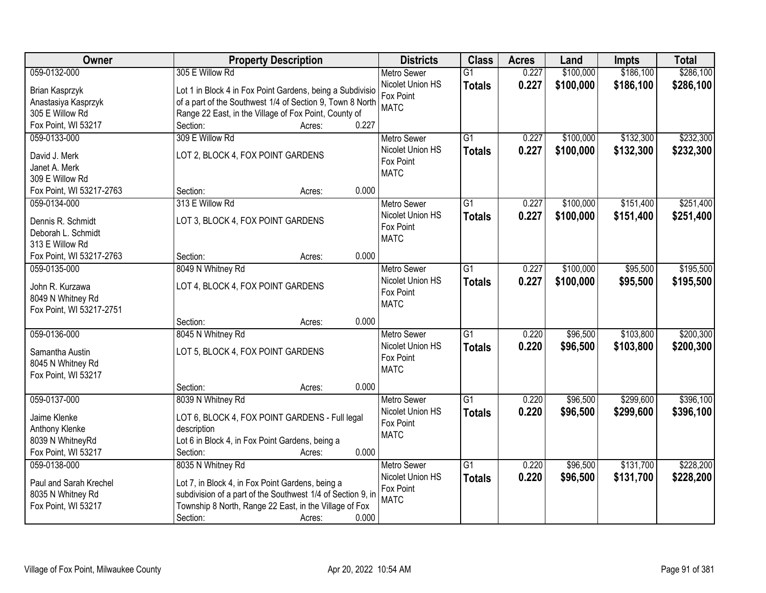| <b>Owner</b>                         | <b>Property Description</b>                                 | <b>Districts</b>         | <b>Class</b>    | <b>Acres</b> | Land      | <b>Impts</b> | <b>Total</b> |
|--------------------------------------|-------------------------------------------------------------|--------------------------|-----------------|--------------|-----------|--------------|--------------|
| 059-0132-000                         | 305 E Willow Rd                                             | <b>Metro Sewer</b>       | $\overline{G1}$ | 0.227        | \$100,000 | \$186,100    | \$286,100    |
| Brian Kasprzyk                       | Lot 1 in Block 4 in Fox Point Gardens, being a Subdivisio   | Nicolet Union HS         | <b>Totals</b>   | 0.227        | \$100,000 | \$186,100    | \$286,100    |
| Anastasiya Kasprzyk                  | of a part of the Southwest 1/4 of Section 9, Town 8 North   | Fox Point                |                 |              |           |              |              |
| 305 E Willow Rd                      | Range 22 East, in the Village of Fox Point, County of       | <b>MATC</b>              |                 |              |           |              |              |
| Fox Point, WI 53217                  | 0.227<br>Section:<br>Acres:                                 |                          |                 |              |           |              |              |
| 059-0133-000                         | 309 E Willow Rd                                             | <b>Metro Sewer</b>       | $\overline{G1}$ | 0.227        | \$100,000 | \$132,300    | \$232,300    |
|                                      |                                                             | Nicolet Union HS         | <b>Totals</b>   | 0.227        | \$100,000 | \$132,300    | \$232,300    |
| David J. Merk                        | LOT 2, BLOCK 4, FOX POINT GARDENS                           | Fox Point                |                 |              |           |              |              |
| Janet A. Merk                        |                                                             | <b>MATC</b>              |                 |              |           |              |              |
| 309 E Willow Rd                      | 0.000                                                       |                          |                 |              |           |              |              |
| Fox Point, WI 53217-2763             | Section:<br>Acres:                                          |                          |                 |              |           |              |              |
| 059-0134-000                         | 313 E Willow Rd                                             | Metro Sewer              | $\overline{G1}$ | 0.227        | \$100,000 | \$151,400    | \$251,400    |
| Dennis R. Schmidt                    | LOT 3, BLOCK 4, FOX POINT GARDENS                           | Nicolet Union HS         | <b>Totals</b>   | 0.227        | \$100,000 | \$151,400    | \$251,400    |
| Deborah L. Schmidt                   |                                                             | Fox Point<br><b>MATC</b> |                 |              |           |              |              |
| 313 E Willow Rd                      |                                                             |                          |                 |              |           |              |              |
| Fox Point, WI 53217-2763             | 0.000<br>Section:<br>Acres:                                 |                          |                 |              |           |              |              |
| 059-0135-000                         | 8049 N Whitney Rd                                           | <b>Metro Sewer</b>       | $\overline{G1}$ | 0.227        | \$100,000 | \$95,500     | \$195,500    |
|                                      | LOT 4, BLOCK 4, FOX POINT GARDENS                           | Nicolet Union HS         | <b>Totals</b>   | 0.227        | \$100,000 | \$95,500     | \$195,500    |
| John R. Kurzawa<br>8049 N Whitney Rd |                                                             | Fox Point                |                 |              |           |              |              |
| Fox Point, WI 53217-2751             |                                                             | <b>MATC</b>              |                 |              |           |              |              |
|                                      | 0.000<br>Section:<br>Acres:                                 |                          |                 |              |           |              |              |
| 059-0136-000                         | 8045 N Whitney Rd                                           | <b>Metro Sewer</b>       | $\overline{G1}$ | 0.220        | \$96,500  | \$103,800    | \$200,300    |
|                                      |                                                             | Nicolet Union HS         |                 | 0.220        |           | \$103,800    |              |
| Samantha Austin                      | LOT 5, BLOCK 4, FOX POINT GARDENS                           | Fox Point                | <b>Totals</b>   |              | \$96,500  |              | \$200,300    |
| 8045 N Whitney Rd                    |                                                             | <b>MATC</b>              |                 |              |           |              |              |
| Fox Point, WI 53217                  |                                                             |                          |                 |              |           |              |              |
|                                      | 0.000<br>Section:<br>Acres:                                 |                          |                 |              |           |              |              |
| 059-0137-000                         | 8039 N Whitney Rd                                           | Metro Sewer              | $\overline{G1}$ | 0.220        | \$96,500  | \$299,600    | \$396,100    |
| Jaime Klenke                         | LOT 6, BLOCK 4, FOX POINT GARDENS - Full legal              | Nicolet Union HS         | <b>Totals</b>   | 0.220        | \$96,500  | \$299,600    | \$396,100    |
| Anthony Klenke                       | description                                                 | Fox Point                |                 |              |           |              |              |
| 8039 N WhitneyRd                     | Lot 6 in Block 4, in Fox Point Gardens, being a             | <b>MATC</b>              |                 |              |           |              |              |
| Fox Point, WI 53217                  | 0.000<br>Section:<br>Acres:                                 |                          |                 |              |           |              |              |
| 059-0138-000                         | 8035 N Whitney Rd                                           | <b>Metro Sewer</b>       | $\overline{G1}$ | 0.220        | \$96,500  | \$131,700    | \$228,200    |
|                                      |                                                             | Nicolet Union HS         | <b>Totals</b>   | 0.220        | \$96,500  | \$131,700    | \$228,200    |
| Paul and Sarah Krechel               | Lot 7, in Block 4, in Fox Point Gardens, being a            | Fox Point                |                 |              |           |              |              |
| 8035 N Whitney Rd                    | subdivision of a part of the Southwest 1/4 of Section 9, in | <b>MATC</b>              |                 |              |           |              |              |
| Fox Point, WI 53217                  | Township 8 North, Range 22 East, in the Village of Fox      |                          |                 |              |           |              |              |
|                                      | 0.000<br>Section:<br>Acres:                                 |                          |                 |              |           |              |              |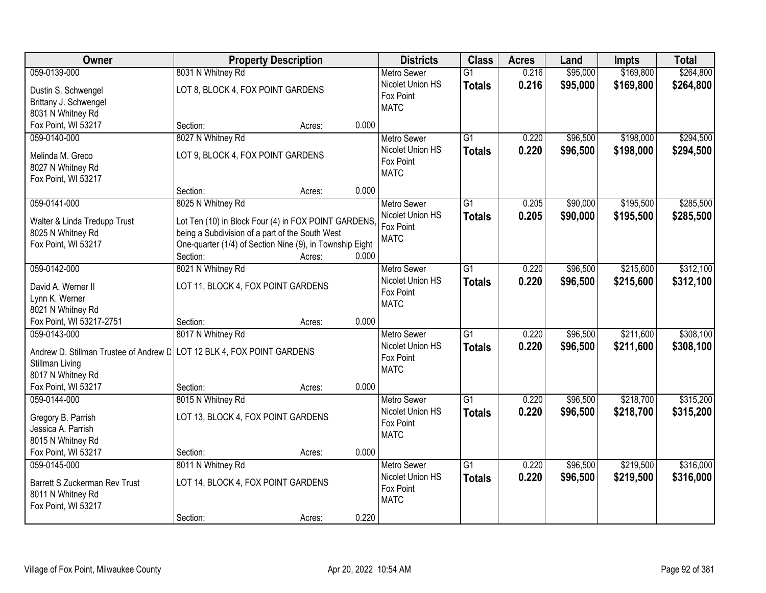| 8031 N Whitney Rd<br>\$264,800<br>059-0139-000<br>$\overline{G1}$<br>0.216<br>\$95,000<br>\$169,800<br><b>Metro Sewer</b><br>0.216<br>Nicolet Union HS<br>\$95,000<br>\$169,800<br>\$264,800<br><b>Totals</b><br>LOT 8, BLOCK 4, FOX POINT GARDENS<br>Dustin S. Schwengel<br>Fox Point<br>Brittany J. Schwengel<br><b>MATC</b><br>8031 N Whitney Rd<br>Fox Point, WI 53217<br>0.000<br>Section:<br>Acres:<br>8027 N Whitney Rd<br>$\overline{G1}$<br>\$96,500<br>\$198,000<br>059-0140-000<br><b>Metro Sewer</b><br>0.220<br>0.220<br>\$198,000<br>Nicolet Union HS<br>\$96,500<br><b>Totals</b><br>LOT 9, BLOCK 4, FOX POINT GARDENS<br>Melinda M. Greco<br>Fox Point<br>8027 N Whitney Rd<br><b>MATC</b><br>Fox Point, WI 53217<br>0.000<br>Section:<br>Acres:<br>059-0141-000<br>8025 N Whitney Rd<br>$\overline{G1}$<br>\$90,000<br>\$195,500<br>Metro Sewer<br>0.205<br>Nicolet Union HS<br>0.205<br>\$90,000<br>\$195,500<br><b>Totals</b><br>Walter & Linda Tredupp Trust<br>Lot Ten (10) in Block Four (4) in FOX POINT GARDENS<br>Fox Point<br>8025 N Whitney Rd<br>being a Subdivision of a part of the South West<br><b>MATC</b><br>One-quarter (1/4) of Section Nine (9), in Township Eight<br>Fox Point, WI 53217<br>0.000<br>Section:<br>Acres:<br>059-0142-000<br>8021 N Whitney Rd<br>\$96,500<br>\$215,600<br>G1<br>0.220<br><b>Metro Sewer</b><br>Nicolet Union HS<br>0.220<br>\$96,500<br>\$215,600<br><b>Totals</b><br>David A. Werner II<br>LOT 11, BLOCK 4, FOX POINT GARDENS<br>Fox Point<br>Lynn K. Werner<br><b>MATC</b><br>8021 N Whitney Rd<br>Fox Point, WI 53217-2751<br>0.000<br>Section:<br>Acres:<br>\$211,600<br>059-0143-000<br>8017 N Whitney Rd<br>$\overline{G1}$<br>0.220<br>\$96,500<br><b>Metro Sewer</b><br>0.220<br>Nicolet Union HS<br>\$96,500<br>\$211,600<br><b>Totals</b><br>Andrew D. Stillman Trustee of Andrew D   LOT 12 BLK 4, FOX POINT GARDENS<br>Fox Point<br>Stillman Living<br><b>MATC</b><br>8017 N Whitney Rd<br>Fox Point, WI 53217<br>Section:<br>0.000<br>Acres:<br>$\overline{G1}$<br>059-0144-000<br>8015 N Whitney Rd<br>0.220<br>\$96,500<br>\$218,700<br>Metro Sewer<br>0.220<br>Nicolet Union HS<br>\$96,500<br>\$218,700<br><b>Totals</b><br>Gregory B. Parrish<br>LOT 13, BLOCK 4, FOX POINT GARDENS<br>Fox Point<br>Jessica A. Parrish<br><b>MATC</b><br>8015 N Whitney Rd<br>Fox Point, WI 53217<br>0.000<br>Section:<br>Acres: | <b>Owner</b> | <b>Property Description</b> | <b>Districts</b>   | <b>Class</b>    | <b>Acres</b> | Land     | <b>Impts</b> | <b>Total</b> |
|---------------------------------------------------------------------------------------------------------------------------------------------------------------------------------------------------------------------------------------------------------------------------------------------------------------------------------------------------------------------------------------------------------------------------------------------------------------------------------------------------------------------------------------------------------------------------------------------------------------------------------------------------------------------------------------------------------------------------------------------------------------------------------------------------------------------------------------------------------------------------------------------------------------------------------------------------------------------------------------------------------------------------------------------------------------------------------------------------------------------------------------------------------------------------------------------------------------------------------------------------------------------------------------------------------------------------------------------------------------------------------------------------------------------------------------------------------------------------------------------------------------------------------------------------------------------------------------------------------------------------------------------------------------------------------------------------------------------------------------------------------------------------------------------------------------------------------------------------------------------------------------------------------------------------------------------------------------------------------------------------------------------------------------------------------------------------------------------------------------------------------------------------------------------------------------------------------------------------------------------------------------------------------------------------------------------------------------------------------------------------------------------------------|--------------|-----------------------------|--------------------|-----------------|--------------|----------|--------------|--------------|
|                                                                                                                                                                                                                                                                                                                                                                                                                                                                                                                                                                                                                                                                                                                                                                                                                                                                                                                                                                                                                                                                                                                                                                                                                                                                                                                                                                                                                                                                                                                                                                                                                                                                                                                                                                                                                                                                                                                                                                                                                                                                                                                                                                                                                                                                                                                                                                                                         |              |                             |                    |                 |              |          |              |              |
|                                                                                                                                                                                                                                                                                                                                                                                                                                                                                                                                                                                                                                                                                                                                                                                                                                                                                                                                                                                                                                                                                                                                                                                                                                                                                                                                                                                                                                                                                                                                                                                                                                                                                                                                                                                                                                                                                                                                                                                                                                                                                                                                                                                                                                                                                                                                                                                                         |              |                             |                    |                 |              |          |              |              |
|                                                                                                                                                                                                                                                                                                                                                                                                                                                                                                                                                                                                                                                                                                                                                                                                                                                                                                                                                                                                                                                                                                                                                                                                                                                                                                                                                                                                                                                                                                                                                                                                                                                                                                                                                                                                                                                                                                                                                                                                                                                                                                                                                                                                                                                                                                                                                                                                         |              |                             |                    |                 |              |          |              |              |
|                                                                                                                                                                                                                                                                                                                                                                                                                                                                                                                                                                                                                                                                                                                                                                                                                                                                                                                                                                                                                                                                                                                                                                                                                                                                                                                                                                                                                                                                                                                                                                                                                                                                                                                                                                                                                                                                                                                                                                                                                                                                                                                                                                                                                                                                                                                                                                                                         |              |                             |                    |                 |              |          |              |              |
|                                                                                                                                                                                                                                                                                                                                                                                                                                                                                                                                                                                                                                                                                                                                                                                                                                                                                                                                                                                                                                                                                                                                                                                                                                                                                                                                                                                                                                                                                                                                                                                                                                                                                                                                                                                                                                                                                                                                                                                                                                                                                                                                                                                                                                                                                                                                                                                                         |              |                             |                    |                 |              |          |              |              |
| \$294,500<br>\$285,500<br>\$285,500<br>\$312,100<br>\$312,100<br>\$308,100                                                                                                                                                                                                                                                                                                                                                                                                                                                                                                                                                                                                                                                                                                                                                                                                                                                                                                                                                                                                                                                                                                                                                                                                                                                                                                                                                                                                                                                                                                                                                                                                                                                                                                                                                                                                                                                                                                                                                                                                                                                                                                                                                                                                                                                                                                                              |              |                             |                    |                 |              |          |              | \$294,500    |
|                                                                                                                                                                                                                                                                                                                                                                                                                                                                                                                                                                                                                                                                                                                                                                                                                                                                                                                                                                                                                                                                                                                                                                                                                                                                                                                                                                                                                                                                                                                                                                                                                                                                                                                                                                                                                                                                                                                                                                                                                                                                                                                                                                                                                                                                                                                                                                                                         |              |                             |                    |                 |              |          |              |              |
|                                                                                                                                                                                                                                                                                                                                                                                                                                                                                                                                                                                                                                                                                                                                                                                                                                                                                                                                                                                                                                                                                                                                                                                                                                                                                                                                                                                                                                                                                                                                                                                                                                                                                                                                                                                                                                                                                                                                                                                                                                                                                                                                                                                                                                                                                                                                                                                                         |              |                             |                    |                 |              |          |              |              |
|                                                                                                                                                                                                                                                                                                                                                                                                                                                                                                                                                                                                                                                                                                                                                                                                                                                                                                                                                                                                                                                                                                                                                                                                                                                                                                                                                                                                                                                                                                                                                                                                                                                                                                                                                                                                                                                                                                                                                                                                                                                                                                                                                                                                                                                                                                                                                                                                         |              |                             |                    |                 |              |          |              |              |
|                                                                                                                                                                                                                                                                                                                                                                                                                                                                                                                                                                                                                                                                                                                                                                                                                                                                                                                                                                                                                                                                                                                                                                                                                                                                                                                                                                                                                                                                                                                                                                                                                                                                                                                                                                                                                                                                                                                                                                                                                                                                                                                                                                                                                                                                                                                                                                                                         |              |                             |                    |                 |              |          |              |              |
|                                                                                                                                                                                                                                                                                                                                                                                                                                                                                                                                                                                                                                                                                                                                                                                                                                                                                                                                                                                                                                                                                                                                                                                                                                                                                                                                                                                                                                                                                                                                                                                                                                                                                                                                                                                                                                                                                                                                                                                                                                                                                                                                                                                                                                                                                                                                                                                                         |              |                             |                    |                 |              |          |              |              |
|                                                                                                                                                                                                                                                                                                                                                                                                                                                                                                                                                                                                                                                                                                                                                                                                                                                                                                                                                                                                                                                                                                                                                                                                                                                                                                                                                                                                                                                                                                                                                                                                                                                                                                                                                                                                                                                                                                                                                                                                                                                                                                                                                                                                                                                                                                                                                                                                         |              |                             |                    |                 |              |          |              |              |
|                                                                                                                                                                                                                                                                                                                                                                                                                                                                                                                                                                                                                                                                                                                                                                                                                                                                                                                                                                                                                                                                                                                                                                                                                                                                                                                                                                                                                                                                                                                                                                                                                                                                                                                                                                                                                                                                                                                                                                                                                                                                                                                                                                                                                                                                                                                                                                                                         |              |                             |                    |                 |              |          |              |              |
|                                                                                                                                                                                                                                                                                                                                                                                                                                                                                                                                                                                                                                                                                                                                                                                                                                                                                                                                                                                                                                                                                                                                                                                                                                                                                                                                                                                                                                                                                                                                                                                                                                                                                                                                                                                                                                                                                                                                                                                                                                                                                                                                                                                                                                                                                                                                                                                                         |              |                             |                    |                 |              |          |              |              |
|                                                                                                                                                                                                                                                                                                                                                                                                                                                                                                                                                                                                                                                                                                                                                                                                                                                                                                                                                                                                                                                                                                                                                                                                                                                                                                                                                                                                                                                                                                                                                                                                                                                                                                                                                                                                                                                                                                                                                                                                                                                                                                                                                                                                                                                                                                                                                                                                         |              |                             |                    |                 |              |          |              |              |
|                                                                                                                                                                                                                                                                                                                                                                                                                                                                                                                                                                                                                                                                                                                                                                                                                                                                                                                                                                                                                                                                                                                                                                                                                                                                                                                                                                                                                                                                                                                                                                                                                                                                                                                                                                                                                                                                                                                                                                                                                                                                                                                                                                                                                                                                                                                                                                                                         |              |                             |                    |                 |              |          |              |              |
|                                                                                                                                                                                                                                                                                                                                                                                                                                                                                                                                                                                                                                                                                                                                                                                                                                                                                                                                                                                                                                                                                                                                                                                                                                                                                                                                                                                                                                                                                                                                                                                                                                                                                                                                                                                                                                                                                                                                                                                                                                                                                                                                                                                                                                                                                                                                                                                                         |              |                             |                    |                 |              |          |              |              |
| \$308,100<br>\$315,200<br>\$315,200                                                                                                                                                                                                                                                                                                                                                                                                                                                                                                                                                                                                                                                                                                                                                                                                                                                                                                                                                                                                                                                                                                                                                                                                                                                                                                                                                                                                                                                                                                                                                                                                                                                                                                                                                                                                                                                                                                                                                                                                                                                                                                                                                                                                                                                                                                                                                                     |              |                             |                    |                 |              |          |              |              |
|                                                                                                                                                                                                                                                                                                                                                                                                                                                                                                                                                                                                                                                                                                                                                                                                                                                                                                                                                                                                                                                                                                                                                                                                                                                                                                                                                                                                                                                                                                                                                                                                                                                                                                                                                                                                                                                                                                                                                                                                                                                                                                                                                                                                                                                                                                                                                                                                         |              |                             |                    |                 |              |          |              |              |
|                                                                                                                                                                                                                                                                                                                                                                                                                                                                                                                                                                                                                                                                                                                                                                                                                                                                                                                                                                                                                                                                                                                                                                                                                                                                                                                                                                                                                                                                                                                                                                                                                                                                                                                                                                                                                                                                                                                                                                                                                                                                                                                                                                                                                                                                                                                                                                                                         |              |                             |                    |                 |              |          |              |              |
|                                                                                                                                                                                                                                                                                                                                                                                                                                                                                                                                                                                                                                                                                                                                                                                                                                                                                                                                                                                                                                                                                                                                                                                                                                                                                                                                                                                                                                                                                                                                                                                                                                                                                                                                                                                                                                                                                                                                                                                                                                                                                                                                                                                                                                                                                                                                                                                                         |              |                             |                    |                 |              |          |              |              |
|                                                                                                                                                                                                                                                                                                                                                                                                                                                                                                                                                                                                                                                                                                                                                                                                                                                                                                                                                                                                                                                                                                                                                                                                                                                                                                                                                                                                                                                                                                                                                                                                                                                                                                                                                                                                                                                                                                                                                                                                                                                                                                                                                                                                                                                                                                                                                                                                         |              |                             |                    |                 |              |          |              |              |
|                                                                                                                                                                                                                                                                                                                                                                                                                                                                                                                                                                                                                                                                                                                                                                                                                                                                                                                                                                                                                                                                                                                                                                                                                                                                                                                                                                                                                                                                                                                                                                                                                                                                                                                                                                                                                                                                                                                                                                                                                                                                                                                                                                                                                                                                                                                                                                                                         |              |                             |                    |                 |              |          |              |              |
|                                                                                                                                                                                                                                                                                                                                                                                                                                                                                                                                                                                                                                                                                                                                                                                                                                                                                                                                                                                                                                                                                                                                                                                                                                                                                                                                                                                                                                                                                                                                                                                                                                                                                                                                                                                                                                                                                                                                                                                                                                                                                                                                                                                                                                                                                                                                                                                                         |              |                             |                    |                 |              |          |              |              |
|                                                                                                                                                                                                                                                                                                                                                                                                                                                                                                                                                                                                                                                                                                                                                                                                                                                                                                                                                                                                                                                                                                                                                                                                                                                                                                                                                                                                                                                                                                                                                                                                                                                                                                                                                                                                                                                                                                                                                                                                                                                                                                                                                                                                                                                                                                                                                                                                         |              |                             |                    |                 |              |          |              |              |
|                                                                                                                                                                                                                                                                                                                                                                                                                                                                                                                                                                                                                                                                                                                                                                                                                                                                                                                                                                                                                                                                                                                                                                                                                                                                                                                                                                                                                                                                                                                                                                                                                                                                                                                                                                                                                                                                                                                                                                                                                                                                                                                                                                                                                                                                                                                                                                                                         |              |                             |                    |                 |              |          |              |              |
|                                                                                                                                                                                                                                                                                                                                                                                                                                                                                                                                                                                                                                                                                                                                                                                                                                                                                                                                                                                                                                                                                                                                                                                                                                                                                                                                                                                                                                                                                                                                                                                                                                                                                                                                                                                                                                                                                                                                                                                                                                                                                                                                                                                                                                                                                                                                                                                                         |              |                             |                    |                 |              |          |              |              |
|                                                                                                                                                                                                                                                                                                                                                                                                                                                                                                                                                                                                                                                                                                                                                                                                                                                                                                                                                                                                                                                                                                                                                                                                                                                                                                                                                                                                                                                                                                                                                                                                                                                                                                                                                                                                                                                                                                                                                                                                                                                                                                                                                                                                                                                                                                                                                                                                         |              |                             |                    |                 |              |          |              |              |
|                                                                                                                                                                                                                                                                                                                                                                                                                                                                                                                                                                                                                                                                                                                                                                                                                                                                                                                                                                                                                                                                                                                                                                                                                                                                                                                                                                                                                                                                                                                                                                                                                                                                                                                                                                                                                                                                                                                                                                                                                                                                                                                                                                                                                                                                                                                                                                                                         |              |                             |                    |                 |              |          |              |              |
|                                                                                                                                                                                                                                                                                                                                                                                                                                                                                                                                                                                                                                                                                                                                                                                                                                                                                                                                                                                                                                                                                                                                                                                                                                                                                                                                                                                                                                                                                                                                                                                                                                                                                                                                                                                                                                                                                                                                                                                                                                                                                                                                                                                                                                                                                                                                                                                                         |              |                             |                    |                 |              |          |              |              |
|                                                                                                                                                                                                                                                                                                                                                                                                                                                                                                                                                                                                                                                                                                                                                                                                                                                                                                                                                                                                                                                                                                                                                                                                                                                                                                                                                                                                                                                                                                                                                                                                                                                                                                                                                                                                                                                                                                                                                                                                                                                                                                                                                                                                                                                                                                                                                                                                         | 059-0145-000 | 8011 N Whitney Rd           | <b>Metro Sewer</b> | $\overline{G1}$ | 0.220        | \$96,500 | \$219,500    | \$316,000    |
| Nicolet Union HS<br>0.220<br>\$316,000<br>\$96,500<br>\$219,500<br><b>Totals</b>                                                                                                                                                                                                                                                                                                                                                                                                                                                                                                                                                                                                                                                                                                                                                                                                                                                                                                                                                                                                                                                                                                                                                                                                                                                                                                                                                                                                                                                                                                                                                                                                                                                                                                                                                                                                                                                                                                                                                                                                                                                                                                                                                                                                                                                                                                                        |              |                             |                    |                 |              |          |              |              |
| LOT 14, BLOCK 4, FOX POINT GARDENS<br><b>Barrett S Zuckerman Rev Trust</b><br>Fox Point                                                                                                                                                                                                                                                                                                                                                                                                                                                                                                                                                                                                                                                                                                                                                                                                                                                                                                                                                                                                                                                                                                                                                                                                                                                                                                                                                                                                                                                                                                                                                                                                                                                                                                                                                                                                                                                                                                                                                                                                                                                                                                                                                                                                                                                                                                                 |              |                             |                    |                 |              |          |              |              |
| 8011 N Whitney Rd<br><b>MATC</b><br>Fox Point, WI 53217                                                                                                                                                                                                                                                                                                                                                                                                                                                                                                                                                                                                                                                                                                                                                                                                                                                                                                                                                                                                                                                                                                                                                                                                                                                                                                                                                                                                                                                                                                                                                                                                                                                                                                                                                                                                                                                                                                                                                                                                                                                                                                                                                                                                                                                                                                                                                 |              |                             |                    |                 |              |          |              |              |
| 0.220<br>Section:<br>Acres:                                                                                                                                                                                                                                                                                                                                                                                                                                                                                                                                                                                                                                                                                                                                                                                                                                                                                                                                                                                                                                                                                                                                                                                                                                                                                                                                                                                                                                                                                                                                                                                                                                                                                                                                                                                                                                                                                                                                                                                                                                                                                                                                                                                                                                                                                                                                                                             |              |                             |                    |                 |              |          |              |              |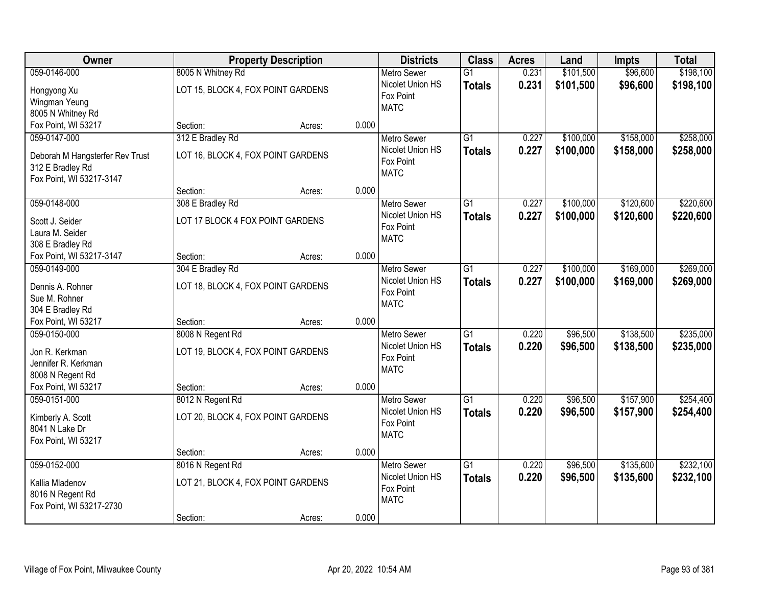| Owner                           |                                    | <b>Property Description</b> |       | <b>Districts</b>   | <b>Class</b>    | <b>Acres</b> | Land      | <b>Impts</b> | <b>Total</b> |
|---------------------------------|------------------------------------|-----------------------------|-------|--------------------|-----------------|--------------|-----------|--------------|--------------|
| 059-0146-000                    | 8005 N Whitney Rd                  |                             |       | <b>Metro Sewer</b> | $\overline{G1}$ | 0.231        | \$101,500 | \$96,600     | \$198,100    |
| Hongyong Xu                     | LOT 15, BLOCK 4, FOX POINT GARDENS |                             |       | Nicolet Union HS   | <b>Totals</b>   | 0.231        | \$101,500 | \$96,600     | \$198,100    |
| Wingman Yeung                   |                                    |                             |       | Fox Point          |                 |              |           |              |              |
| 8005 N Whitney Rd               |                                    |                             |       | <b>MATC</b>        |                 |              |           |              |              |
| Fox Point, WI 53217             | Section:                           | Acres:                      | 0.000 |                    |                 |              |           |              |              |
| 059-0147-000                    | 312 E Bradley Rd                   |                             |       | <b>Metro Sewer</b> | $\overline{G1}$ | 0.227        | \$100,000 | \$158,000    | \$258,000    |
|                                 |                                    |                             |       | Nicolet Union HS   | <b>Totals</b>   | 0.227        | \$100,000 | \$158,000    | \$258,000    |
| Deborah M Hangsterfer Rev Trust | LOT 16, BLOCK 4, FOX POINT GARDENS |                             |       | Fox Point          |                 |              |           |              |              |
| 312 E Bradley Rd                |                                    |                             |       | <b>MATC</b>        |                 |              |           |              |              |
| Fox Point, WI 53217-3147        | Section:                           | Acres:                      | 0.000 |                    |                 |              |           |              |              |
| 059-0148-000                    | 308 E Bradley Rd                   |                             |       | <b>Metro Sewer</b> | $\overline{G1}$ | 0.227        | \$100,000 | \$120,600    | \$220,600    |
|                                 |                                    |                             |       | Nicolet Union HS   |                 |              |           |              |              |
| Scott J. Seider                 | LOT 17 BLOCK 4 FOX POINT GARDENS   |                             |       | Fox Point          | <b>Totals</b>   | 0.227        | \$100,000 | \$120,600    | \$220,600    |
| Laura M. Seider                 |                                    |                             |       | <b>MATC</b>        |                 |              |           |              |              |
| 308 E Bradley Rd                |                                    |                             |       |                    |                 |              |           |              |              |
| Fox Point, WI 53217-3147        | Section:                           | Acres:                      | 0.000 |                    |                 |              |           |              |              |
| 059-0149-000                    | 304 E Bradley Rd                   |                             |       | <b>Metro Sewer</b> | $\overline{G1}$ | 0.227        | \$100,000 | \$169,000    | \$269,000    |
| Dennis A. Rohner                | LOT 18, BLOCK 4, FOX POINT GARDENS |                             |       | Nicolet Union HS   | <b>Totals</b>   | 0.227        | \$100,000 | \$169,000    | \$269,000    |
| Sue M. Rohner                   |                                    |                             |       | Fox Point          |                 |              |           |              |              |
| 304 E Bradley Rd                |                                    |                             |       | <b>MATC</b>        |                 |              |           |              |              |
| Fox Point, WI 53217             | Section:                           | Acres:                      | 0.000 |                    |                 |              |           |              |              |
| 059-0150-000                    | 8008 N Regent Rd                   |                             |       | <b>Metro Sewer</b> | $\overline{G1}$ | 0.220        | \$96,500  | \$138,500    | \$235,000    |
|                                 |                                    |                             |       | Nicolet Union HS   | <b>Totals</b>   | 0.220        | \$96,500  | \$138,500    | \$235,000    |
| Jon R. Kerkman                  | LOT 19, BLOCK 4, FOX POINT GARDENS |                             |       | Fox Point          |                 |              |           |              |              |
| Jennifer R. Kerkman             |                                    |                             |       | <b>MATC</b>        |                 |              |           |              |              |
| 8008 N Regent Rd                |                                    |                             |       |                    |                 |              |           |              |              |
| Fox Point, WI 53217             | Section:                           | Acres:                      | 0.000 |                    |                 |              |           |              |              |
| 059-0151-000                    | 8012 N Regent Rd                   |                             |       | <b>Metro Sewer</b> | $\overline{G1}$ | 0.220        | \$96,500  | \$157,900    | \$254,400    |
| Kimberly A. Scott               | LOT 20, BLOCK 4, FOX POINT GARDENS |                             |       | Nicolet Union HS   | <b>Totals</b>   | 0.220        | \$96,500  | \$157,900    | \$254,400    |
| 8041 N Lake Dr                  |                                    |                             |       | Fox Point          |                 |              |           |              |              |
| Fox Point, WI 53217             |                                    |                             |       | <b>MATC</b>        |                 |              |           |              |              |
|                                 | Section:                           | Acres:                      | 0.000 |                    |                 |              |           |              |              |
| 059-0152-000                    | 8016 N Regent Rd                   |                             |       | <b>Metro Sewer</b> | $\overline{G1}$ | 0.220        | \$96,500  | \$135,600    | \$232,100    |
|                                 |                                    |                             |       | Nicolet Union HS   | <b>Totals</b>   | 0.220        | \$96,500  | \$135,600    | \$232,100    |
| Kallia Mladenov                 | LOT 21, BLOCK 4, FOX POINT GARDENS |                             |       | Fox Point          |                 |              |           |              |              |
| 8016 N Regent Rd                |                                    |                             |       | <b>MATC</b>        |                 |              |           |              |              |
| Fox Point, WI 53217-2730        |                                    |                             | 0.000 |                    |                 |              |           |              |              |
|                                 | Section:                           | Acres:                      |       |                    |                 |              |           |              |              |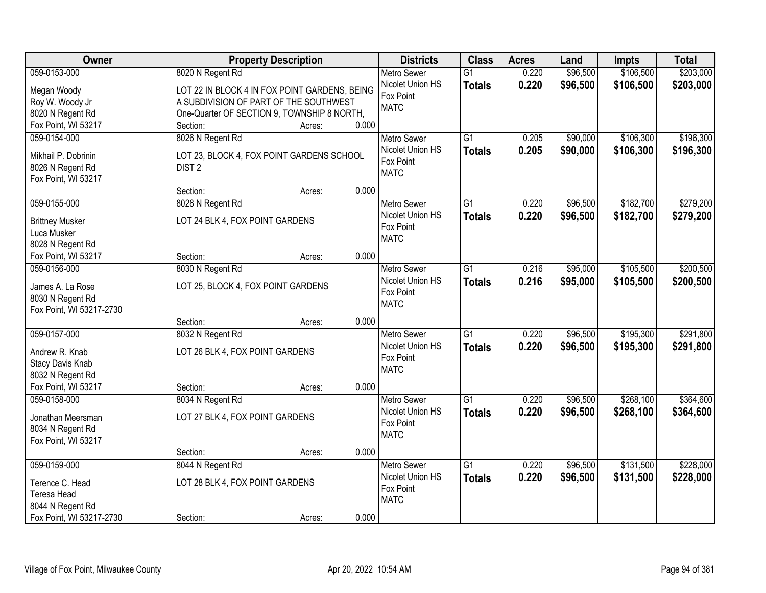| Owner                    |                                               | <b>Property Description</b> |       | <b>Districts</b>              | <b>Class</b>    | <b>Acres</b> | Land     | Impts     | <b>Total</b> |
|--------------------------|-----------------------------------------------|-----------------------------|-------|-------------------------------|-----------------|--------------|----------|-----------|--------------|
| 059-0153-000             | 8020 N Regent Rd                              |                             |       | <b>Metro Sewer</b>            | $\overline{G1}$ | 0.220        | \$96,500 | \$106,500 | \$203,000    |
| Megan Woody              | LOT 22 IN BLOCK 4 IN FOX POINT GARDENS, BEING |                             |       | Nicolet Union HS              | <b>Totals</b>   | 0.220        | \$96,500 | \$106,500 | \$203,000    |
| Roy W. Woody Jr          | A SUBDIVISION OF PART OF THE SOUTHWEST        |                             |       | Fox Point                     |                 |              |          |           |              |
| 8020 N Regent Rd         | One-Quarter OF SECTION 9, TOWNSHIP 8 NORTH,   |                             |       | <b>MATC</b>                   |                 |              |          |           |              |
| Fox Point, WI 53217      | Section:                                      | Acres:                      | 0.000 |                               |                 |              |          |           |              |
| 059-0154-000             | 8026 N Regent Rd                              |                             |       | <b>Metro Sewer</b>            | $\overline{G1}$ | 0.205        | \$90,000 | \$106,300 | \$196,300    |
|                          |                                               |                             |       | Nicolet Union HS              | <b>Totals</b>   | 0.205        | \$90,000 | \$106,300 | \$196,300    |
| Mikhail P. Dobrinin      | LOT 23, BLOCK 4, FOX POINT GARDENS SCHOOL     |                             |       | Fox Point                     |                 |              |          |           |              |
| 8026 N Regent Rd         | DIST <sub>2</sub>                             |                             |       | <b>MATC</b>                   |                 |              |          |           |              |
| Fox Point, WI 53217      |                                               |                             |       |                               |                 |              |          |           |              |
|                          | Section:                                      | Acres:                      | 0.000 |                               |                 |              |          |           |              |
| 059-0155-000             | 8028 N Regent Rd                              |                             |       | <b>Metro Sewer</b>            | G1              | 0.220        | \$96,500 | \$182,700 | \$279,200    |
| <b>Brittney Musker</b>   | LOT 24 BLK 4, FOX POINT GARDENS               |                             |       | Nicolet Union HS              | <b>Totals</b>   | 0.220        | \$96,500 | \$182,700 | \$279,200    |
| Luca Musker              |                                               |                             |       | Fox Point                     |                 |              |          |           |              |
| 8028 N Regent Rd         |                                               |                             |       | <b>MATC</b>                   |                 |              |          |           |              |
| Fox Point, WI 53217      | Section:                                      | Acres:                      | 0.000 |                               |                 |              |          |           |              |
| 059-0156-000             | 8030 N Regent Rd                              |                             |       | <b>Metro Sewer</b>            | G1              | 0.216        | \$95,000 | \$105,500 | \$200,500    |
|                          |                                               |                             |       | Nicolet Union HS              | <b>Totals</b>   | 0.216        | \$95,000 | \$105,500 | \$200,500    |
| James A. La Rose         | LOT 25, BLOCK 4, FOX POINT GARDENS            |                             |       | Fox Point                     |                 |              |          |           |              |
| 8030 N Regent Rd         |                                               |                             |       | <b>MATC</b>                   |                 |              |          |           |              |
| Fox Point, WI 53217-2730 |                                               |                             |       |                               |                 |              |          |           |              |
|                          | Section:                                      | Acres:                      | 0.000 |                               |                 |              |          |           |              |
| 059-0157-000             | 8032 N Regent Rd                              |                             |       | Metro Sewer                   | $\overline{G1}$ | 0.220        | \$96,500 | \$195,300 | \$291,800    |
| Andrew R. Knab           | LOT 26 BLK 4, FOX POINT GARDENS               |                             |       | Nicolet Union HS              | <b>Totals</b>   | 0.220        | \$96,500 | \$195,300 | \$291,800    |
| Stacy Davis Knab         |                                               |                             |       | Fox Point                     |                 |              |          |           |              |
| 8032 N Regent Rd         |                                               |                             |       | <b>MATC</b>                   |                 |              |          |           |              |
| Fox Point, WI 53217      | Section:                                      | Acres:                      | 0.000 |                               |                 |              |          |           |              |
| 059-0158-000             | 8034 N Regent Rd                              |                             |       | Metro Sewer                   | $\overline{G1}$ | 0.220        | \$96,500 | \$268,100 | \$364,600    |
|                          |                                               |                             |       | Nicolet Union HS              | <b>Totals</b>   | 0.220        | \$96,500 | \$268,100 | \$364,600    |
| Jonathan Meersman        | LOT 27 BLK 4, FOX POINT GARDENS               |                             |       | Fox Point                     |                 |              |          |           |              |
| 8034 N Regent Rd         |                                               |                             |       | <b>MATC</b>                   |                 |              |          |           |              |
| Fox Point, WI 53217      |                                               |                             | 0.000 |                               |                 |              |          |           |              |
| 059-0159-000             | Section:                                      | Acres:                      |       |                               | $\overline{G1}$ | 0.220        | \$96,500 | \$131,500 | \$228,000    |
|                          | 8044 N Regent Rd                              |                             |       | <b>Metro Sewer</b>            |                 |              |          |           |              |
| Terence C. Head          | LOT 28 BLK 4, FOX POINT GARDENS               |                             |       | Nicolet Union HS<br>Fox Point | <b>Totals</b>   | 0.220        | \$96,500 | \$131,500 | \$228,000    |
| Teresa Head              |                                               |                             |       | <b>MATC</b>                   |                 |              |          |           |              |
| 8044 N Regent Rd         |                                               |                             |       |                               |                 |              |          |           |              |
| Fox Point, WI 53217-2730 | Section:                                      | Acres:                      | 0.000 |                               |                 |              |          |           |              |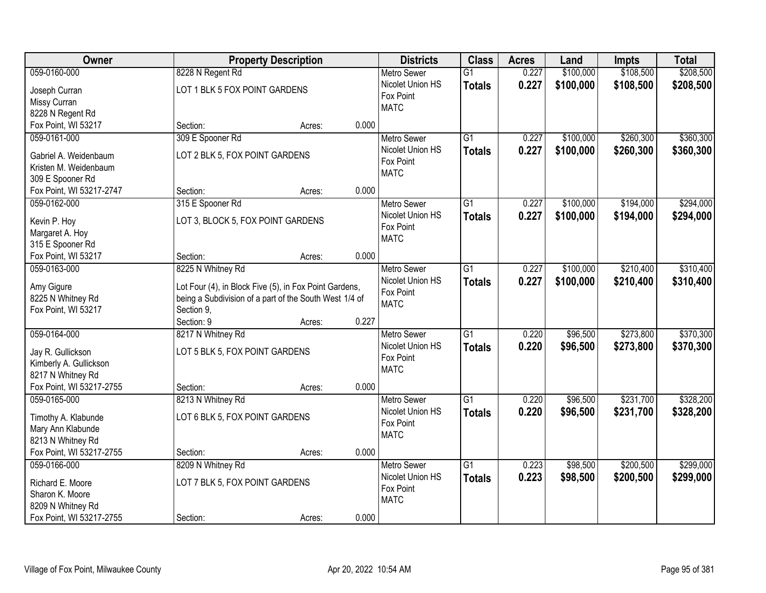| Owner                                    | <b>Property Description</b>                            |        |       | <b>Districts</b>         | <b>Class</b>    | <b>Acres</b> | Land      | <b>Impts</b> | <b>Total</b> |
|------------------------------------------|--------------------------------------------------------|--------|-------|--------------------------|-----------------|--------------|-----------|--------------|--------------|
| 059-0160-000                             | 8228 N Regent Rd                                       |        |       | <b>Metro Sewer</b>       | $\overline{G1}$ | 0.227        | \$100,000 | \$108,500    | \$208,500    |
| Joseph Curran                            | LOT 1 BLK 5 FOX POINT GARDENS                          |        |       | Nicolet Union HS         | <b>Totals</b>   | 0.227        | \$100,000 | \$108,500    | \$208,500    |
| Missy Curran                             |                                                        |        |       | Fox Point                |                 |              |           |              |              |
| 8228 N Regent Rd                         |                                                        |        |       | <b>MATC</b>              |                 |              |           |              |              |
| Fox Point, WI 53217                      | Section:                                               | Acres: | 0.000 |                          |                 |              |           |              |              |
| 059-0161-000                             | 309 E Spooner Rd                                       |        |       | <b>Metro Sewer</b>       | $\overline{G1}$ | 0.227        | \$100,000 | \$260,300    | \$360,300    |
| Gabriel A. Weidenbaum                    | LOT 2 BLK 5, FOX POINT GARDENS                         |        |       | Nicolet Union HS         | <b>Totals</b>   | 0.227        | \$100,000 | \$260,300    | \$360,300    |
| Kristen M. Weidenbaum                    |                                                        |        |       | Fox Point                |                 |              |           |              |              |
| 309 E Spooner Rd                         |                                                        |        |       | <b>MATC</b>              |                 |              |           |              |              |
| Fox Point, WI 53217-2747                 | Section:                                               | Acres: | 0.000 |                          |                 |              |           |              |              |
| 059-0162-000                             | 315 E Spooner Rd                                       |        |       | Metro Sewer              | $\overline{G1}$ | 0.227        | \$100,000 | \$194,000    | \$294,000    |
|                                          |                                                        |        |       | Nicolet Union HS         | <b>Totals</b>   | 0.227        | \$100,000 | \$194,000    | \$294,000    |
| Kevin P. Hoy                             | LOT 3, BLOCK 5, FOX POINT GARDENS                      |        |       | Fox Point                |                 |              |           |              |              |
| Margaret A. Hoy                          |                                                        |        |       | <b>MATC</b>              |                 |              |           |              |              |
| 315 E Spooner Rd                         |                                                        |        |       |                          |                 |              |           |              |              |
| Fox Point, WI 53217                      | Section:                                               | Acres: | 0.000 |                          |                 |              |           |              |              |
| 059-0163-000                             | 8225 N Whitney Rd                                      |        |       | <b>Metro Sewer</b>       | G1              | 0.227        | \$100,000 | \$210,400    | \$310,400    |
| Amy Gigure                               | Lot Four (4), in Block Five (5), in Fox Point Gardens, |        |       | Nicolet Union HS         | <b>Totals</b>   | 0.227        | \$100,000 | \$210,400    | \$310,400    |
| 8225 N Whitney Rd                        | being a Subdivision of a part of the South West 1/4 of |        |       | Fox Point<br><b>MATC</b> |                 |              |           |              |              |
| Fox Point, WI 53217                      | Section 9,                                             |        |       |                          |                 |              |           |              |              |
|                                          | Section: 9                                             | Acres: | 0.227 |                          |                 |              |           |              |              |
| 059-0164-000                             | 8217 N Whitney Rd                                      |        |       | <b>Metro Sewer</b>       | $\overline{G1}$ | 0.220        | \$96,500  | \$273,800    | \$370,300    |
| Jay R. Gullickson                        | LOT 5 BLK 5, FOX POINT GARDENS                         |        |       | Nicolet Union HS         | Totals          | 0.220        | \$96,500  | \$273,800    | \$370,300    |
| Kimberly A. Gullickson                   |                                                        |        |       | Fox Point                |                 |              |           |              |              |
| 8217 N Whitney Rd                        |                                                        |        |       | <b>MATC</b>              |                 |              |           |              |              |
| Fox Point, WI 53217-2755                 | Section:                                               | Acres: | 0.000 |                          |                 |              |           |              |              |
| 059-0165-000                             | 8213 N Whitney Rd                                      |        |       | <b>Metro Sewer</b>       | $\overline{G1}$ | 0.220        | \$96,500  | \$231,700    | \$328,200    |
|                                          |                                                        |        |       | Nicolet Union HS         | <b>Totals</b>   | 0.220        | \$96,500  | \$231,700    | \$328,200    |
| Timothy A. Klabunde<br>Mary Ann Klabunde | LOT 6 BLK 5, FOX POINT GARDENS                         |        |       | Fox Point                |                 |              |           |              |              |
| 8213 N Whitney Rd                        |                                                        |        |       | <b>MATC</b>              |                 |              |           |              |              |
| Fox Point, WI 53217-2755                 | Section:                                               | Acres: | 0.000 |                          |                 |              |           |              |              |
| 059-0166-000                             | 8209 N Whitney Rd                                      |        |       | <b>Metro Sewer</b>       | $\overline{G1}$ | 0.223        | \$98,500  | \$200,500    | \$299,000    |
|                                          |                                                        |        |       | Nicolet Union HS         | <b>Totals</b>   | 0.223        | \$98,500  | \$200,500    | \$299,000    |
| Richard E. Moore                         | LOT 7 BLK 5, FOX POINT GARDENS                         |        |       | Fox Point                |                 |              |           |              |              |
| Sharon K. Moore                          |                                                        |        |       | <b>MATC</b>              |                 |              |           |              |              |
| 8209 N Whitney Rd                        |                                                        |        |       |                          |                 |              |           |              |              |
| Fox Point, WI 53217-2755                 | Section:                                               | Acres: | 0.000 |                          |                 |              |           |              |              |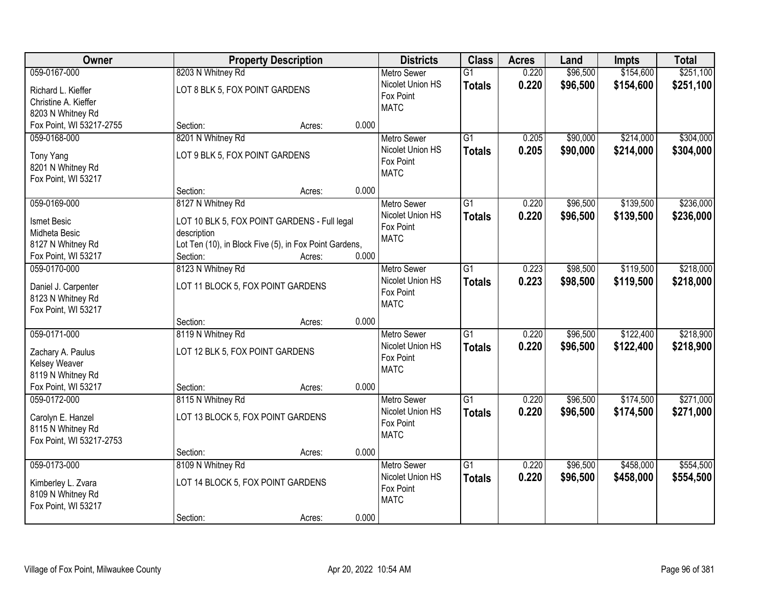| Owner                                    | <b>Property Description</b>                            | <b>Districts</b>   | <b>Class</b>    | <b>Acres</b> | Land     | Impts     | <b>Total</b> |
|------------------------------------------|--------------------------------------------------------|--------------------|-----------------|--------------|----------|-----------|--------------|
| 059-0167-000                             | 8203 N Whitney Rd                                      | <b>Metro Sewer</b> | $\overline{G1}$ | 0.220        | \$96,500 | \$154,600 | \$251,100    |
| Richard L. Kieffer                       | LOT 8 BLK 5, FOX POINT GARDENS                         | Nicolet Union HS   | <b>Totals</b>   | 0.220        | \$96,500 | \$154,600 | \$251,100    |
| Christine A. Kieffer                     |                                                        | Fox Point          |                 |              |          |           |              |
| 8203 N Whitney Rd                        |                                                        | <b>MATC</b>        |                 |              |          |           |              |
| Fox Point, WI 53217-2755                 | 0.000<br>Section:<br>Acres:                            |                    |                 |              |          |           |              |
| 059-0168-000                             | 8201 N Whitney Rd                                      | <b>Metro Sewer</b> | $\overline{G1}$ | 0.205        | \$90,000 | \$214,000 | \$304,000    |
| Tony Yang                                | LOT 9 BLK 5, FOX POINT GARDENS                         | Nicolet Union HS   | <b>Totals</b>   | 0.205        | \$90,000 | \$214,000 | \$304,000    |
| 8201 N Whitney Rd                        |                                                        | Fox Point          |                 |              |          |           |              |
| Fox Point, WI 53217                      |                                                        | <b>MATC</b>        |                 |              |          |           |              |
|                                          | 0.000<br>Section:<br>Acres:                            |                    |                 |              |          |           |              |
| 059-0169-000                             | 8127 N Whitney Rd                                      | Metro Sewer        | $\overline{G1}$ | 0.220        | \$96,500 | \$139,500 | \$236,000    |
| <b>Ismet Besic</b>                       | LOT 10 BLK 5, FOX POINT GARDENS - Full legal           | Nicolet Union HS   | <b>Totals</b>   | 0.220        | \$96,500 | \$139,500 | \$236,000    |
| Midheta Besic                            | description                                            | Fox Point          |                 |              |          |           |              |
| 8127 N Whitney Rd                        | Lot Ten (10), in Block Five (5), in Fox Point Gardens, | <b>MATC</b>        |                 |              |          |           |              |
| Fox Point, WI 53217                      | 0.000<br>Section:<br>Acres:                            |                    |                 |              |          |           |              |
| 059-0170-000                             | 8123 N Whitney Rd                                      | <b>Metro Sewer</b> | $\overline{G1}$ | 0.223        | \$98,500 | \$119,500 | \$218,000    |
|                                          | LOT 11 BLOCK 5, FOX POINT GARDENS                      | Nicolet Union HS   | <b>Totals</b>   | 0.223        | \$98,500 | \$119,500 | \$218,000    |
| Daniel J. Carpenter<br>8123 N Whitney Rd |                                                        | Fox Point          |                 |              |          |           |              |
| Fox Point, WI 53217                      |                                                        | <b>MATC</b>        |                 |              |          |           |              |
|                                          | 0.000<br>Section:<br>Acres:                            |                    |                 |              |          |           |              |
| 059-0171-000                             | 8119 N Whitney Rd                                      | Metro Sewer        | $\overline{G1}$ | 0.220        | \$96,500 | \$122,400 | \$218,900    |
|                                          |                                                        | Nicolet Union HS   | <b>Totals</b>   | 0.220        | \$96,500 | \$122,400 | \$218,900    |
| Zachary A. Paulus<br>Kelsey Weaver       | LOT 12 BLK 5, FOX POINT GARDENS                        | Fox Point          |                 |              |          |           |              |
| 8119 N Whitney Rd                        |                                                        | <b>MATC</b>        |                 |              |          |           |              |
| Fox Point, WI 53217                      | 0.000<br>Section:<br>Acres:                            |                    |                 |              |          |           |              |
| 059-0172-000                             | 8115 N Whitney Rd                                      | <b>Metro Sewer</b> | $\overline{G1}$ | 0.220        | \$96,500 | \$174,500 | \$271,000    |
|                                          |                                                        | Nicolet Union HS   | <b>Totals</b>   | 0.220        | \$96,500 | \$174,500 | \$271,000    |
| Carolyn E. Hanzel                        | LOT 13 BLOCK 5, FOX POINT GARDENS                      | Fox Point          |                 |              |          |           |              |
| 8115 N Whitney Rd                        |                                                        | <b>MATC</b>        |                 |              |          |           |              |
| Fox Point, WI 53217-2753                 | 0.000<br>Section:<br>Acres:                            |                    |                 |              |          |           |              |
| 059-0173-000                             | 8109 N Whitney Rd                                      | <b>Metro Sewer</b> | $\overline{G1}$ | 0.220        | \$96,500 | \$458,000 | \$554,500    |
|                                          |                                                        | Nicolet Union HS   | <b>Totals</b>   | 0.220        | \$96,500 | \$458,000 | \$554,500    |
| Kimberley L. Zvara                       | LOT 14 BLOCK 5, FOX POINT GARDENS                      | Fox Point          |                 |              |          |           |              |
| 8109 N Whitney Rd                        |                                                        | <b>MATC</b>        |                 |              |          |           |              |
| Fox Point, WI 53217                      |                                                        |                    |                 |              |          |           |              |
|                                          | 0.000<br>Section:<br>Acres:                            |                    |                 |              |          |           |              |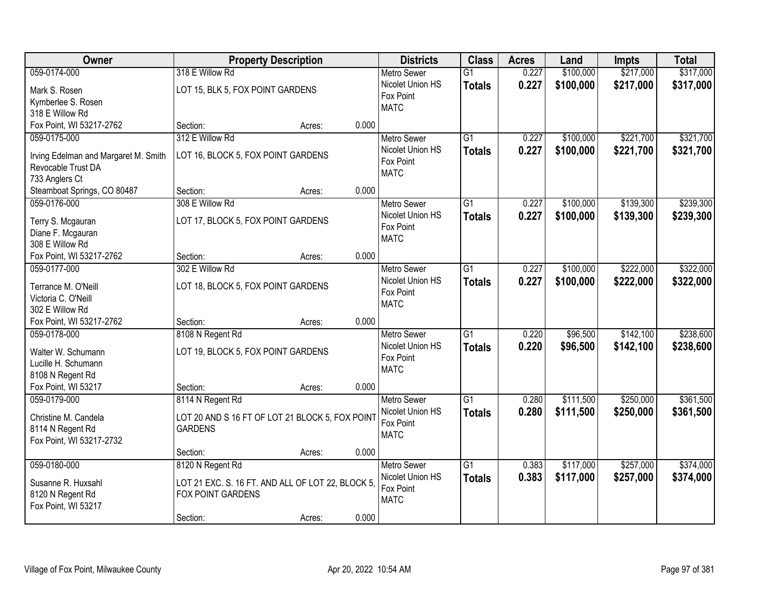| Owner                                                      |                                                   | <b>Property Description</b> |       | <b>Districts</b>         | <b>Class</b>    | <b>Acres</b> | Land      | <b>Impts</b> | <b>Total</b> |
|------------------------------------------------------------|---------------------------------------------------|-----------------------------|-------|--------------------------|-----------------|--------------|-----------|--------------|--------------|
| 059-0174-000                                               | 318 E Willow Rd                                   |                             |       | <b>Metro Sewer</b>       | $\overline{G1}$ | 0.227        | \$100,000 | \$217,000    | \$317,000    |
| Mark S. Rosen                                              | LOT 15, BLK 5, FOX POINT GARDENS                  |                             |       | Nicolet Union HS         | <b>Totals</b>   | 0.227        | \$100,000 | \$217,000    | \$317,000    |
| Kymberlee S. Rosen                                         |                                                   |                             |       | Fox Point                |                 |              |           |              |              |
| 318 E Willow Rd                                            |                                                   |                             |       | <b>MATC</b>              |                 |              |           |              |              |
| Fox Point, WI 53217-2762                                   | Section:                                          | Acres:                      | 0.000 |                          |                 |              |           |              |              |
| 059-0175-000                                               | 312 E Willow Rd                                   |                             |       | <b>Metro Sewer</b>       | $\overline{G1}$ | 0.227        | \$100,000 | \$221,700    | \$321,700    |
|                                                            | LOT 16, BLOCK 5, FOX POINT GARDENS                |                             |       | Nicolet Union HS         | <b>Totals</b>   | 0.227        | \$100,000 | \$221,700    | \$321,700    |
| Irving Edelman and Margaret M. Smith<br>Revocable Trust DA |                                                   |                             |       | Fox Point                |                 |              |           |              |              |
| 733 Anglers Ct                                             |                                                   |                             |       | <b>MATC</b>              |                 |              |           |              |              |
| Steamboat Springs, CO 80487                                | Section:                                          | Acres:                      | 0.000 |                          |                 |              |           |              |              |
| 059-0176-000                                               | 308 E Willow Rd                                   |                             |       | Metro Sewer              | $\overline{G1}$ | 0.227        | \$100,000 | \$139,300    | \$239,300    |
|                                                            |                                                   |                             |       | Nicolet Union HS         | <b>Totals</b>   | 0.227        | \$100,000 | \$139,300    | \$239,300    |
| Terry S. Mcgauran                                          | LOT 17, BLOCK 5, FOX POINT GARDENS                |                             |       | Fox Point                |                 |              |           |              |              |
| Diane F. Mcgauran                                          |                                                   |                             |       | <b>MATC</b>              |                 |              |           |              |              |
| 308 E Willow Rd                                            |                                                   |                             |       |                          |                 |              |           |              |              |
| Fox Point, WI 53217-2762                                   | Section:                                          | Acres:                      | 0.000 |                          |                 |              |           |              |              |
| 059-0177-000                                               | 302 E Willow Rd                                   |                             |       | <b>Metro Sewer</b>       | $\overline{G1}$ | 0.227        | \$100,000 | \$222,000    | \$322,000    |
| Terrance M. O'Neill                                        | LOT 18, BLOCK 5, FOX POINT GARDENS                |                             |       | Nicolet Union HS         | <b>Totals</b>   | 0.227        | \$100,000 | \$222,000    | \$322,000    |
| Victoria C. O'Neill                                        |                                                   |                             |       | Fox Point                |                 |              |           |              |              |
| 302 E Willow Rd                                            |                                                   |                             |       | <b>MATC</b>              |                 |              |           |              |              |
| Fox Point, WI 53217-2762                                   | Section:                                          | Acres:                      | 0.000 |                          |                 |              |           |              |              |
| 059-0178-000                                               | 8108 N Regent Rd                                  |                             |       | <b>Metro Sewer</b>       | $\overline{G1}$ | 0.220        | \$96,500  | \$142,100    | \$238,600    |
|                                                            |                                                   |                             |       | Nicolet Union HS         | <b>Totals</b>   | 0.220        | \$96,500  | \$142,100    | \$238,600    |
| Walter W. Schumann                                         | LOT 19, BLOCK 5, FOX POINT GARDENS                |                             |       | Fox Point                |                 |              |           |              |              |
| Lucille H. Schumann                                        |                                                   |                             |       | <b>MATC</b>              |                 |              |           |              |              |
| 8108 N Regent Rd                                           |                                                   |                             | 0.000 |                          |                 |              |           |              |              |
| Fox Point, WI 53217                                        | Section:                                          | Acres:                      |       |                          |                 |              |           |              |              |
| 059-0179-000                                               | 8114 N Regent Rd                                  |                             |       | Metro Sewer              | G1              | 0.280        | \$111,500 | \$250,000    | \$361,500    |
| Christine M. Candela                                       | LOT 20 AND S 16 FT OF LOT 21 BLOCK 5, FOX POINT   |                             |       | Nicolet Union HS         | <b>Totals</b>   | 0.280        | \$111,500 | \$250,000    | \$361,500    |
| 8114 N Regent Rd                                           | <b>GARDENS</b>                                    |                             |       | Fox Point<br><b>MATC</b> |                 |              |           |              |              |
| Fox Point, WI 53217-2732                                   |                                                   |                             |       |                          |                 |              |           |              |              |
|                                                            | Section:                                          | Acres:                      | 0.000 |                          |                 |              |           |              |              |
| 059-0180-000                                               | 8120 N Regent Rd                                  |                             |       | <b>Metro Sewer</b>       | $\overline{G1}$ | 0.383        | \$117,000 | \$257,000    | \$374,000    |
| Susanne R. Huxsahl                                         | LOT 21 EXC. S. 16 FT. AND ALL OF LOT 22, BLOCK 5, |                             |       | Nicolet Union HS         | <b>Totals</b>   | 0.383        | \$117,000 | \$257,000    | \$374,000    |
| 8120 N Regent Rd                                           | FOX POINT GARDENS                                 |                             |       | Fox Point                |                 |              |           |              |              |
| Fox Point, WI 53217                                        |                                                   |                             |       | <b>MATC</b>              |                 |              |           |              |              |
|                                                            | Section:                                          | Acres:                      | 0.000 |                          |                 |              |           |              |              |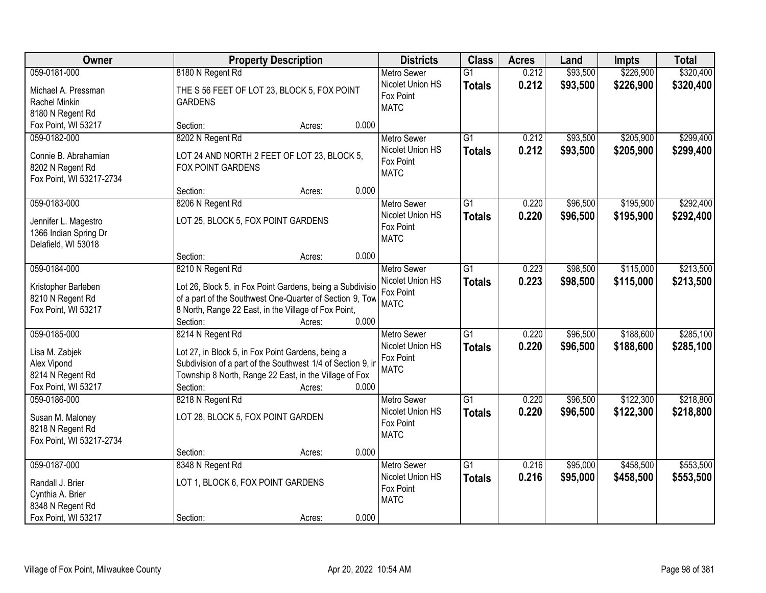| Owner                                   | <b>Property Description</b>                                                                                           |                 | <b>Districts</b>              | <b>Class</b>    | <b>Acres</b> | Land     | Impts     | <b>Total</b> |
|-----------------------------------------|-----------------------------------------------------------------------------------------------------------------------|-----------------|-------------------------------|-----------------|--------------|----------|-----------|--------------|
| 059-0181-000                            | 8180 N Regent Rd                                                                                                      |                 | <b>Metro Sewer</b>            | $\overline{G1}$ | 0.212        | \$93,500 | \$226,900 | \$320,400    |
| Michael A. Pressman                     | THE S 56 FEET OF LOT 23, BLOCK 5, FOX POINT                                                                           |                 | Nicolet Union HS              | <b>Totals</b>   | 0.212        | \$93,500 | \$226,900 | \$320,400    |
| Rachel Minkin                           | <b>GARDENS</b>                                                                                                        |                 | Fox Point<br><b>MATC</b>      |                 |              |          |           |              |
| 8180 N Regent Rd                        |                                                                                                                       |                 |                               |                 |              |          |           |              |
| Fox Point, WI 53217                     | Section:                                                                                                              | 0.000<br>Acres: |                               |                 |              |          |           |              |
| 059-0182-000                            | 8202 N Regent Rd                                                                                                      |                 | <b>Metro Sewer</b>            | $\overline{G1}$ | 0.212        | \$93,500 | \$205,900 | \$299,400    |
| Connie B. Abrahamian                    | LOT 24 AND NORTH 2 FEET OF LOT 23, BLOCK 5,                                                                           |                 | Nicolet Union HS              | <b>Totals</b>   | 0.212        | \$93,500 | \$205,900 | \$299,400    |
| 8202 N Regent Rd                        | <b>FOX POINT GARDENS</b>                                                                                              |                 | Fox Point                     |                 |              |          |           |              |
| Fox Point, WI 53217-2734                |                                                                                                                       |                 | <b>MATC</b>                   |                 |              |          |           |              |
|                                         | Section:                                                                                                              | 0.000<br>Acres: |                               |                 |              |          |           |              |
| 059-0183-000                            | 8206 N Regent Rd                                                                                                      |                 | Metro Sewer                   | $\overline{G1}$ | 0.220        | \$96,500 | \$195,900 | \$292,400    |
| Jennifer L. Magestro                    | LOT 25, BLOCK 5, FOX POINT GARDENS                                                                                    |                 | Nicolet Union HS              | <b>Totals</b>   | 0.220        | \$96,500 | \$195,900 | \$292,400    |
| 1366 Indian Spring Dr                   |                                                                                                                       |                 | Fox Point                     |                 |              |          |           |              |
| Delafield, WI 53018                     |                                                                                                                       |                 | <b>MATC</b>                   |                 |              |          |           |              |
|                                         | Section:                                                                                                              | 0.000<br>Acres: |                               |                 |              |          |           |              |
| 059-0184-000                            | 8210 N Regent Rd                                                                                                      |                 | <b>Metro Sewer</b>            | $\overline{G1}$ | 0.223        | \$98,500 | \$115,000 | \$213,500    |
|                                         |                                                                                                                       |                 | Nicolet Union HS              | <b>Totals</b>   | 0.223        | \$98,500 | \$115,000 | \$213,500    |
| Kristopher Barleben<br>8210 N Regent Rd | Lot 26, Block 5, in Fox Point Gardens, being a Subdivisio<br>of a part of the Southwest One-Quarter of Section 9, Tow |                 | Fox Point                     |                 |              |          |           |              |
| Fox Point, WI 53217                     | 8 North, Range 22 East, in the Village of Fox Point,                                                                  |                 | <b>MATC</b>                   |                 |              |          |           |              |
|                                         | Section:                                                                                                              | 0.000<br>Acres: |                               |                 |              |          |           |              |
| 059-0185-000                            | 8214 N Regent Rd                                                                                                      |                 | <b>Metro Sewer</b>            | $\overline{G1}$ | 0.220        | \$96,500 | \$188,600 | \$285,100    |
|                                         |                                                                                                                       |                 | Nicolet Union HS              | <b>Totals</b>   | 0.220        | \$96,500 | \$188,600 | \$285,100    |
| Lisa M. Zabjek                          | Lot 27, in Block 5, in Fox Point Gardens, being a                                                                     |                 | Fox Point                     |                 |              |          |           |              |
| Alex Vipond                             | Subdivision of a part of the Southwest 1/4 of Section 9, in                                                           |                 | <b>MATC</b>                   |                 |              |          |           |              |
| 8214 N Regent Rd<br>Fox Point, WI 53217 | Township 8 North, Range 22 East, in the Village of Fox<br>Section:                                                    | 0.000<br>Acres: |                               |                 |              |          |           |              |
| 059-0186-000                            | 8218 N Regent Rd                                                                                                      |                 | <b>Metro Sewer</b>            | $\overline{G1}$ | 0.220        | \$96,500 | \$122,300 | \$218,800    |
|                                         |                                                                                                                       |                 | Nicolet Union HS              | <b>Totals</b>   | 0.220        | \$96,500 | \$122,300 | \$218,800    |
| Susan M. Maloney                        | LOT 28, BLOCK 5, FOX POINT GARDEN                                                                                     |                 | Fox Point                     |                 |              |          |           |              |
| 8218 N Regent Rd                        |                                                                                                                       |                 | <b>MATC</b>                   |                 |              |          |           |              |
| Fox Point, WI 53217-2734                |                                                                                                                       |                 |                               |                 |              |          |           |              |
|                                         | Section:                                                                                                              | 0.000<br>Acres: |                               |                 |              |          |           |              |
| 059-0187-000                            | 8348 N Regent Rd                                                                                                      |                 | <b>Metro Sewer</b>            | $\overline{G1}$ | 0.216        | \$95,000 | \$458,500 | \$553,500    |
| Randall J. Brier                        | LOT 1, BLOCK 6, FOX POINT GARDENS                                                                                     |                 | Nicolet Union HS<br>Fox Point | <b>Totals</b>   | 0.216        | \$95,000 | \$458,500 | \$553,500    |
| Cynthia A. Brier                        |                                                                                                                       |                 | <b>MATC</b>                   |                 |              |          |           |              |
| 8348 N Regent Rd                        |                                                                                                                       |                 |                               |                 |              |          |           |              |
| Fox Point, WI 53217                     | Section:                                                                                                              | 0.000<br>Acres: |                               |                 |              |          |           |              |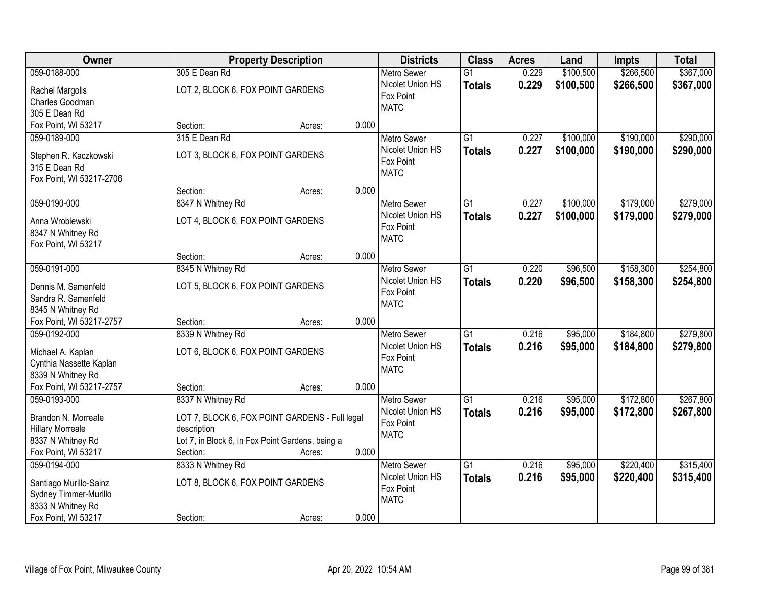| \$266,500<br>\$367,000<br>059-0188-000<br>0.229<br>\$100,500<br>305 E Dean Rd<br>$\overline{G1}$<br><b>Metro Sewer</b><br>0.229<br>Nicolet Union HS<br>\$100,500<br>\$266,500<br>\$367,000<br><b>Totals</b><br>LOT 2, BLOCK 6, FOX POINT GARDENS<br>Rachel Margolis<br>Fox Point<br>Charles Goodman<br><b>MATC</b><br>305 E Dean Rd<br>0.000<br>Fox Point, WI 53217<br>Section:<br>Acres:<br>\$290,000<br>315 E Dean Rd<br>$\overline{G1}$<br>0.227<br>\$100,000<br>\$190,000<br>059-0189-000<br><b>Metro Sewer</b><br>0.227<br>\$100,000<br>\$190,000<br>Nicolet Union HS<br>\$290,000<br><b>Totals</b><br>LOT 3, BLOCK 6, FOX POINT GARDENS<br>Stephen R. Kaczkowski<br>Fox Point<br>315 E Dean Rd<br><b>MATC</b><br>Fox Point, WI 53217-2706<br>0.000<br>Section:<br>Acres:<br>059-0190-000<br>\$100,000<br>\$179,000<br>\$279,000<br>8347 N Whitney Rd<br><b>Metro Sewer</b><br>G1<br>0.227<br>Nicolet Union HS<br>0.227<br>\$100,000<br>\$179,000<br>\$279,000<br><b>Totals</b><br>LOT 4, BLOCK 6, FOX POINT GARDENS<br>Anna Wroblewski<br>Fox Point<br>8347 N Whitney Rd<br><b>MATC</b><br>Fox Point, WI 53217<br>0.000<br>Section:<br>Acres:<br>\$158,300<br>059-0191-000<br>8345 N Whitney Rd<br>$\overline{G1}$<br>\$96,500<br>\$254,800<br><b>Metro Sewer</b><br>0.220<br>Nicolet Union HS<br>0.220<br>\$96,500<br>\$158,300<br>\$254,800<br><b>Totals</b><br>LOT 5, BLOCK 6, FOX POINT GARDENS<br>Dennis M. Samenfeld<br>Fox Point<br>Sandra R. Samenfeld<br><b>MATC</b><br>8345 N Whitney Rd<br>Fox Point, WI 53217-2757<br>0.000<br>Section:<br>Acres:<br>\$279,800<br>059-0192-000<br>8339 N Whitney Rd<br>$\overline{G1}$<br>0.216<br>\$95,000<br>\$184,800<br><b>Metro Sewer</b><br>0.216<br>Nicolet Union HS<br>\$95,000<br>\$184,800<br>\$279,800<br><b>Totals</b><br>LOT 6, BLOCK 6, FOX POINT GARDENS<br>Michael A. Kaplan<br>Fox Point<br>Cynthia Nassette Kaplan<br><b>MATC</b><br>8339 N Whitney Rd<br>Fox Point, WI 53217-2757<br>0.000<br>Section:<br>Acres:<br>$\overline{G1}$<br>\$172,800<br>\$267,800<br>059-0193-000<br>8337 N Whitney Rd<br>0.216<br>\$95,000<br><b>Metro Sewer</b><br>Nicolet Union HS<br>0.216<br>\$95,000<br>\$172,800<br>\$267,800<br><b>Totals</b><br>Brandon N. Morreale<br>LOT 7, BLOCK 6, FOX POINT GARDENS - Full legal<br>Fox Point<br><b>Hillary Morreale</b><br>description<br><b>MATC</b><br>8337 N Whitney Rd<br>Lot 7, in Block 6, in Fox Point Gardens, being a<br>0.000<br>Fox Point, WI 53217<br>Section:<br>Acres:<br>\$220,400<br>\$315,400<br>059-0194-000<br>8333 N Whitney Rd<br>$\overline{G1}$<br>0.216<br>\$95,000<br><b>Metro Sewer</b> | <b>Owner</b> | <b>Property Description</b> | <b>Districts</b> | <b>Class</b>  | <b>Acres</b> | Land     | Impts     | <b>Total</b> |
|-------------------------------------------------------------------------------------------------------------------------------------------------------------------------------------------------------------------------------------------------------------------------------------------------------------------------------------------------------------------------------------------------------------------------------------------------------------------------------------------------------------------------------------------------------------------------------------------------------------------------------------------------------------------------------------------------------------------------------------------------------------------------------------------------------------------------------------------------------------------------------------------------------------------------------------------------------------------------------------------------------------------------------------------------------------------------------------------------------------------------------------------------------------------------------------------------------------------------------------------------------------------------------------------------------------------------------------------------------------------------------------------------------------------------------------------------------------------------------------------------------------------------------------------------------------------------------------------------------------------------------------------------------------------------------------------------------------------------------------------------------------------------------------------------------------------------------------------------------------------------------------------------------------------------------------------------------------------------------------------------------------------------------------------------------------------------------------------------------------------------------------------------------------------------------------------------------------------------------------------------------------------------------------------------------------------------------------------------------------------------------------------------------------------------------------------------------------------------------------------------------------------------------------------------------------------------------------------------------------------|--------------|-----------------------------|------------------|---------------|--------------|----------|-----------|--------------|
|                                                                                                                                                                                                                                                                                                                                                                                                                                                                                                                                                                                                                                                                                                                                                                                                                                                                                                                                                                                                                                                                                                                                                                                                                                                                                                                                                                                                                                                                                                                                                                                                                                                                                                                                                                                                                                                                                                                                                                                                                                                                                                                                                                                                                                                                                                                                                                                                                                                                                                                                                                                                                   |              |                             |                  |               |              |          |           |              |
|                                                                                                                                                                                                                                                                                                                                                                                                                                                                                                                                                                                                                                                                                                                                                                                                                                                                                                                                                                                                                                                                                                                                                                                                                                                                                                                                                                                                                                                                                                                                                                                                                                                                                                                                                                                                                                                                                                                                                                                                                                                                                                                                                                                                                                                                                                                                                                                                                                                                                                                                                                                                                   |              |                             |                  |               |              |          |           |              |
|                                                                                                                                                                                                                                                                                                                                                                                                                                                                                                                                                                                                                                                                                                                                                                                                                                                                                                                                                                                                                                                                                                                                                                                                                                                                                                                                                                                                                                                                                                                                                                                                                                                                                                                                                                                                                                                                                                                                                                                                                                                                                                                                                                                                                                                                                                                                                                                                                                                                                                                                                                                                                   |              |                             |                  |               |              |          |           |              |
|                                                                                                                                                                                                                                                                                                                                                                                                                                                                                                                                                                                                                                                                                                                                                                                                                                                                                                                                                                                                                                                                                                                                                                                                                                                                                                                                                                                                                                                                                                                                                                                                                                                                                                                                                                                                                                                                                                                                                                                                                                                                                                                                                                                                                                                                                                                                                                                                                                                                                                                                                                                                                   |              |                             |                  |               |              |          |           |              |
|                                                                                                                                                                                                                                                                                                                                                                                                                                                                                                                                                                                                                                                                                                                                                                                                                                                                                                                                                                                                                                                                                                                                                                                                                                                                                                                                                                                                                                                                                                                                                                                                                                                                                                                                                                                                                                                                                                                                                                                                                                                                                                                                                                                                                                                                                                                                                                                                                                                                                                                                                                                                                   |              |                             |                  |               |              |          |           |              |
|                                                                                                                                                                                                                                                                                                                                                                                                                                                                                                                                                                                                                                                                                                                                                                                                                                                                                                                                                                                                                                                                                                                                                                                                                                                                                                                                                                                                                                                                                                                                                                                                                                                                                                                                                                                                                                                                                                                                                                                                                                                                                                                                                                                                                                                                                                                                                                                                                                                                                                                                                                                                                   |              |                             |                  |               |              |          |           |              |
|                                                                                                                                                                                                                                                                                                                                                                                                                                                                                                                                                                                                                                                                                                                                                                                                                                                                                                                                                                                                                                                                                                                                                                                                                                                                                                                                                                                                                                                                                                                                                                                                                                                                                                                                                                                                                                                                                                                                                                                                                                                                                                                                                                                                                                                                                                                                                                                                                                                                                                                                                                                                                   |              |                             |                  |               |              |          |           |              |
|                                                                                                                                                                                                                                                                                                                                                                                                                                                                                                                                                                                                                                                                                                                                                                                                                                                                                                                                                                                                                                                                                                                                                                                                                                                                                                                                                                                                                                                                                                                                                                                                                                                                                                                                                                                                                                                                                                                                                                                                                                                                                                                                                                                                                                                                                                                                                                                                                                                                                                                                                                                                                   |              |                             |                  |               |              |          |           |              |
|                                                                                                                                                                                                                                                                                                                                                                                                                                                                                                                                                                                                                                                                                                                                                                                                                                                                                                                                                                                                                                                                                                                                                                                                                                                                                                                                                                                                                                                                                                                                                                                                                                                                                                                                                                                                                                                                                                                                                                                                                                                                                                                                                                                                                                                                                                                                                                                                                                                                                                                                                                                                                   |              |                             |                  |               |              |          |           |              |
|                                                                                                                                                                                                                                                                                                                                                                                                                                                                                                                                                                                                                                                                                                                                                                                                                                                                                                                                                                                                                                                                                                                                                                                                                                                                                                                                                                                                                                                                                                                                                                                                                                                                                                                                                                                                                                                                                                                                                                                                                                                                                                                                                                                                                                                                                                                                                                                                                                                                                                                                                                                                                   |              |                             |                  |               |              |          |           |              |
|                                                                                                                                                                                                                                                                                                                                                                                                                                                                                                                                                                                                                                                                                                                                                                                                                                                                                                                                                                                                                                                                                                                                                                                                                                                                                                                                                                                                                                                                                                                                                                                                                                                                                                                                                                                                                                                                                                                                                                                                                                                                                                                                                                                                                                                                                                                                                                                                                                                                                                                                                                                                                   |              |                             |                  |               |              |          |           |              |
|                                                                                                                                                                                                                                                                                                                                                                                                                                                                                                                                                                                                                                                                                                                                                                                                                                                                                                                                                                                                                                                                                                                                                                                                                                                                                                                                                                                                                                                                                                                                                                                                                                                                                                                                                                                                                                                                                                                                                                                                                                                                                                                                                                                                                                                                                                                                                                                                                                                                                                                                                                                                                   |              |                             |                  |               |              |          |           |              |
|                                                                                                                                                                                                                                                                                                                                                                                                                                                                                                                                                                                                                                                                                                                                                                                                                                                                                                                                                                                                                                                                                                                                                                                                                                                                                                                                                                                                                                                                                                                                                                                                                                                                                                                                                                                                                                                                                                                                                                                                                                                                                                                                                                                                                                                                                                                                                                                                                                                                                                                                                                                                                   |              |                             |                  |               |              |          |           |              |
|                                                                                                                                                                                                                                                                                                                                                                                                                                                                                                                                                                                                                                                                                                                                                                                                                                                                                                                                                                                                                                                                                                                                                                                                                                                                                                                                                                                                                                                                                                                                                                                                                                                                                                                                                                                                                                                                                                                                                                                                                                                                                                                                                                                                                                                                                                                                                                                                                                                                                                                                                                                                                   |              |                             |                  |               |              |          |           |              |
|                                                                                                                                                                                                                                                                                                                                                                                                                                                                                                                                                                                                                                                                                                                                                                                                                                                                                                                                                                                                                                                                                                                                                                                                                                                                                                                                                                                                                                                                                                                                                                                                                                                                                                                                                                                                                                                                                                                                                                                                                                                                                                                                                                                                                                                                                                                                                                                                                                                                                                                                                                                                                   |              |                             |                  |               |              |          |           |              |
|                                                                                                                                                                                                                                                                                                                                                                                                                                                                                                                                                                                                                                                                                                                                                                                                                                                                                                                                                                                                                                                                                                                                                                                                                                                                                                                                                                                                                                                                                                                                                                                                                                                                                                                                                                                                                                                                                                                                                                                                                                                                                                                                                                                                                                                                                                                                                                                                                                                                                                                                                                                                                   |              |                             |                  |               |              |          |           |              |
|                                                                                                                                                                                                                                                                                                                                                                                                                                                                                                                                                                                                                                                                                                                                                                                                                                                                                                                                                                                                                                                                                                                                                                                                                                                                                                                                                                                                                                                                                                                                                                                                                                                                                                                                                                                                                                                                                                                                                                                                                                                                                                                                                                                                                                                                                                                                                                                                                                                                                                                                                                                                                   |              |                             |                  |               |              |          |           |              |
|                                                                                                                                                                                                                                                                                                                                                                                                                                                                                                                                                                                                                                                                                                                                                                                                                                                                                                                                                                                                                                                                                                                                                                                                                                                                                                                                                                                                                                                                                                                                                                                                                                                                                                                                                                                                                                                                                                                                                                                                                                                                                                                                                                                                                                                                                                                                                                                                                                                                                                                                                                                                                   |              |                             |                  |               |              |          |           |              |
|                                                                                                                                                                                                                                                                                                                                                                                                                                                                                                                                                                                                                                                                                                                                                                                                                                                                                                                                                                                                                                                                                                                                                                                                                                                                                                                                                                                                                                                                                                                                                                                                                                                                                                                                                                                                                                                                                                                                                                                                                                                                                                                                                                                                                                                                                                                                                                                                                                                                                                                                                                                                                   |              |                             |                  |               |              |          |           |              |
|                                                                                                                                                                                                                                                                                                                                                                                                                                                                                                                                                                                                                                                                                                                                                                                                                                                                                                                                                                                                                                                                                                                                                                                                                                                                                                                                                                                                                                                                                                                                                                                                                                                                                                                                                                                                                                                                                                                                                                                                                                                                                                                                                                                                                                                                                                                                                                                                                                                                                                                                                                                                                   |              |                             |                  |               |              |          |           |              |
|                                                                                                                                                                                                                                                                                                                                                                                                                                                                                                                                                                                                                                                                                                                                                                                                                                                                                                                                                                                                                                                                                                                                                                                                                                                                                                                                                                                                                                                                                                                                                                                                                                                                                                                                                                                                                                                                                                                                                                                                                                                                                                                                                                                                                                                                                                                                                                                                                                                                                                                                                                                                                   |              |                             |                  |               |              |          |           |              |
|                                                                                                                                                                                                                                                                                                                                                                                                                                                                                                                                                                                                                                                                                                                                                                                                                                                                                                                                                                                                                                                                                                                                                                                                                                                                                                                                                                                                                                                                                                                                                                                                                                                                                                                                                                                                                                                                                                                                                                                                                                                                                                                                                                                                                                                                                                                                                                                                                                                                                                                                                                                                                   |              |                             |                  |               |              |          |           |              |
|                                                                                                                                                                                                                                                                                                                                                                                                                                                                                                                                                                                                                                                                                                                                                                                                                                                                                                                                                                                                                                                                                                                                                                                                                                                                                                                                                                                                                                                                                                                                                                                                                                                                                                                                                                                                                                                                                                                                                                                                                                                                                                                                                                                                                                                                                                                                                                                                                                                                                                                                                                                                                   |              |                             |                  |               |              |          |           |              |
|                                                                                                                                                                                                                                                                                                                                                                                                                                                                                                                                                                                                                                                                                                                                                                                                                                                                                                                                                                                                                                                                                                                                                                                                                                                                                                                                                                                                                                                                                                                                                                                                                                                                                                                                                                                                                                                                                                                                                                                                                                                                                                                                                                                                                                                                                                                                                                                                                                                                                                                                                                                                                   |              |                             |                  |               |              |          |           |              |
|                                                                                                                                                                                                                                                                                                                                                                                                                                                                                                                                                                                                                                                                                                                                                                                                                                                                                                                                                                                                                                                                                                                                                                                                                                                                                                                                                                                                                                                                                                                                                                                                                                                                                                                                                                                                                                                                                                                                                                                                                                                                                                                                                                                                                                                                                                                                                                                                                                                                                                                                                                                                                   |              |                             |                  |               |              |          |           |              |
|                                                                                                                                                                                                                                                                                                                                                                                                                                                                                                                                                                                                                                                                                                                                                                                                                                                                                                                                                                                                                                                                                                                                                                                                                                                                                                                                                                                                                                                                                                                                                                                                                                                                                                                                                                                                                                                                                                                                                                                                                                                                                                                                                                                                                                                                                                                                                                                                                                                                                                                                                                                                                   |              |                             |                  |               |              |          |           |              |
|                                                                                                                                                                                                                                                                                                                                                                                                                                                                                                                                                                                                                                                                                                                                                                                                                                                                                                                                                                                                                                                                                                                                                                                                                                                                                                                                                                                                                                                                                                                                                                                                                                                                                                                                                                                                                                                                                                                                                                                                                                                                                                                                                                                                                                                                                                                                                                                                                                                                                                                                                                                                                   |              |                             |                  |               |              |          |           |              |
|                                                                                                                                                                                                                                                                                                                                                                                                                                                                                                                                                                                                                                                                                                                                                                                                                                                                                                                                                                                                                                                                                                                                                                                                                                                                                                                                                                                                                                                                                                                                                                                                                                                                                                                                                                                                                                                                                                                                                                                                                                                                                                                                                                                                                                                                                                                                                                                                                                                                                                                                                                                                                   |              |                             |                  |               |              |          |           |              |
|                                                                                                                                                                                                                                                                                                                                                                                                                                                                                                                                                                                                                                                                                                                                                                                                                                                                                                                                                                                                                                                                                                                                                                                                                                                                                                                                                                                                                                                                                                                                                                                                                                                                                                                                                                                                                                                                                                                                                                                                                                                                                                                                                                                                                                                                                                                                                                                                                                                                                                                                                                                                                   |              |                             |                  |               |              |          |           |              |
|                                                                                                                                                                                                                                                                                                                                                                                                                                                                                                                                                                                                                                                                                                                                                                                                                                                                                                                                                                                                                                                                                                                                                                                                                                                                                                                                                                                                                                                                                                                                                                                                                                                                                                                                                                                                                                                                                                                                                                                                                                                                                                                                                                                                                                                                                                                                                                                                                                                                                                                                                                                                                   |              |                             |                  |               |              |          |           |              |
|                                                                                                                                                                                                                                                                                                                                                                                                                                                                                                                                                                                                                                                                                                                                                                                                                                                                                                                                                                                                                                                                                                                                                                                                                                                                                                                                                                                                                                                                                                                                                                                                                                                                                                                                                                                                                                                                                                                                                                                                                                                                                                                                                                                                                                                                                                                                                                                                                                                                                                                                                                                                                   |              |                             |                  |               |              |          |           |              |
|                                                                                                                                                                                                                                                                                                                                                                                                                                                                                                                                                                                                                                                                                                                                                                                                                                                                                                                                                                                                                                                                                                                                                                                                                                                                                                                                                                                                                                                                                                                                                                                                                                                                                                                                                                                                                                                                                                                                                                                                                                                                                                                                                                                                                                                                                                                                                                                                                                                                                                                                                                                                                   |              |                             |                  |               |              |          |           |              |
|                                                                                                                                                                                                                                                                                                                                                                                                                                                                                                                                                                                                                                                                                                                                                                                                                                                                                                                                                                                                                                                                                                                                                                                                                                                                                                                                                                                                                                                                                                                                                                                                                                                                                                                                                                                                                                                                                                                                                                                                                                                                                                                                                                                                                                                                                                                                                                                                                                                                                                                                                                                                                   |              |                             |                  |               |              |          |           |              |
|                                                                                                                                                                                                                                                                                                                                                                                                                                                                                                                                                                                                                                                                                                                                                                                                                                                                                                                                                                                                                                                                                                                                                                                                                                                                                                                                                                                                                                                                                                                                                                                                                                                                                                                                                                                                                                                                                                                                                                                                                                                                                                                                                                                                                                                                                                                                                                                                                                                                                                                                                                                                                   |              |                             | Nicolet Union HS | <b>Totals</b> | 0.216        | \$95,000 | \$220,400 | \$315,400    |
| LOT 8, BLOCK 6, FOX POINT GARDENS<br>Santiago Murillo-Sainz<br>Fox Point                                                                                                                                                                                                                                                                                                                                                                                                                                                                                                                                                                                                                                                                                                                                                                                                                                                                                                                                                                                                                                                                                                                                                                                                                                                                                                                                                                                                                                                                                                                                                                                                                                                                                                                                                                                                                                                                                                                                                                                                                                                                                                                                                                                                                                                                                                                                                                                                                                                                                                                                          |              |                             |                  |               |              |          |           |              |
| Sydney Timmer-Murillo<br><b>MATC</b><br>8333 N Whitney Rd                                                                                                                                                                                                                                                                                                                                                                                                                                                                                                                                                                                                                                                                                                                                                                                                                                                                                                                                                                                                                                                                                                                                                                                                                                                                                                                                                                                                                                                                                                                                                                                                                                                                                                                                                                                                                                                                                                                                                                                                                                                                                                                                                                                                                                                                                                                                                                                                                                                                                                                                                         |              |                             |                  |               |              |          |           |              |
| 0.000<br>Fox Point, WI 53217<br>Section:<br>Acres:                                                                                                                                                                                                                                                                                                                                                                                                                                                                                                                                                                                                                                                                                                                                                                                                                                                                                                                                                                                                                                                                                                                                                                                                                                                                                                                                                                                                                                                                                                                                                                                                                                                                                                                                                                                                                                                                                                                                                                                                                                                                                                                                                                                                                                                                                                                                                                                                                                                                                                                                                                |              |                             |                  |               |              |          |           |              |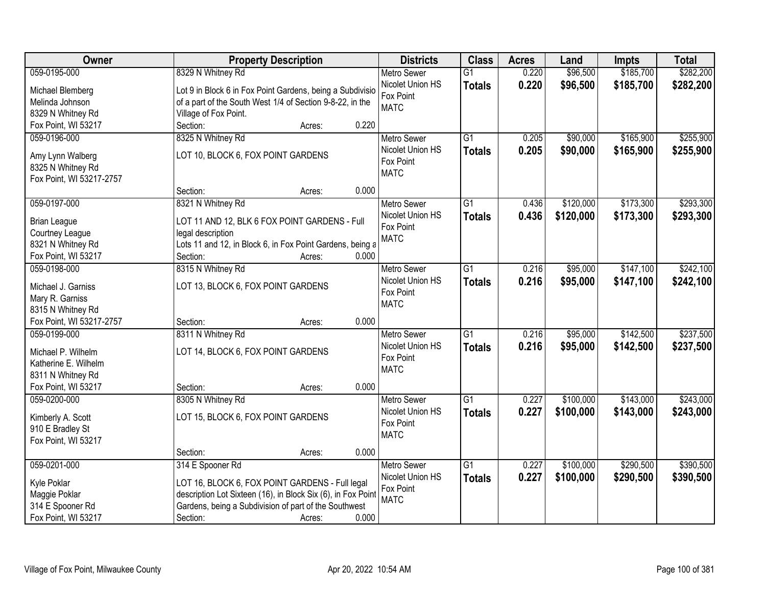| Owner                                         | <b>Property Description</b>                                  |                 | <b>Districts</b>              | <b>Class</b>    | <b>Acres</b> | Land      | Impts     | <b>Total</b> |
|-----------------------------------------------|--------------------------------------------------------------|-----------------|-------------------------------|-----------------|--------------|-----------|-----------|--------------|
| 059-0195-000                                  | 8329 N Whitney Rd                                            |                 | <b>Metro Sewer</b>            | $\overline{G1}$ | 0.220        | \$96,500  | \$185,700 | \$282,200    |
| Michael Blemberg                              | Lot 9 in Block 6 in Fox Point Gardens, being a Subdivisio    |                 | Nicolet Union HS              | <b>Totals</b>   | 0.220        | \$96,500  | \$185,700 | \$282,200    |
| Melinda Johnson                               | of a part of the South West 1/4 of Section 9-8-22, in the    |                 | Fox Point                     |                 |              |           |           |              |
| 8329 N Whitney Rd                             | Village of Fox Point.                                        |                 | <b>MATC</b>                   |                 |              |           |           |              |
| Fox Point, WI 53217                           | Section:                                                     | 0.220<br>Acres: |                               |                 |              |           |           |              |
| 059-0196-000                                  | 8325 N Whitney Rd                                            |                 | <b>Metro Sewer</b>            | $\overline{G1}$ | 0.205        | \$90,000  | \$165,900 | \$255,900    |
|                                               |                                                              |                 | Nicolet Union HS              | <b>Totals</b>   | 0.205        | \$90,000  | \$165,900 | \$255,900    |
| Amy Lynn Walberg                              | LOT 10, BLOCK 6, FOX POINT GARDENS                           |                 | Fox Point                     |                 |              |           |           |              |
| 8325 N Whitney Rd                             |                                                              |                 | <b>MATC</b>                   |                 |              |           |           |              |
| Fox Point, WI 53217-2757                      |                                                              | 0.000           |                               |                 |              |           |           |              |
|                                               | Section:                                                     | Acres:          |                               |                 |              |           |           |              |
| 059-0197-000                                  | 8321 N Whitney Rd                                            |                 | <b>Metro Sewer</b>            | $\overline{G1}$ | 0.436        | \$120,000 | \$173,300 | \$293,300    |
| <b>Brian League</b>                           | LOT 11 AND 12, BLK 6 FOX POINT GARDENS - Full                |                 | Nicolet Union HS              | <b>Totals</b>   | 0.436        | \$120,000 | \$173,300 | \$293,300    |
| Courtney League                               | legal description                                            |                 | Fox Point                     |                 |              |           |           |              |
| 8321 N Whitney Rd                             | Lots 11 and 12, in Block 6, in Fox Point Gardens, being a    |                 | <b>MATC</b>                   |                 |              |           |           |              |
| Fox Point, WI 53217                           | Section:                                                     | 0.000<br>Acres: |                               |                 |              |           |           |              |
| 059-0198-000                                  | 8315 N Whitney Rd                                            |                 | <b>Metro Sewer</b>            | G1              | 0.216        | \$95,000  | \$147,100 | \$242,100    |
|                                               |                                                              |                 | Nicolet Union HS              | <b>Totals</b>   | 0.216        | \$95,000  | \$147,100 | \$242,100    |
| Michael J. Garniss                            | LOT 13, BLOCK 6, FOX POINT GARDENS                           |                 | Fox Point                     |                 |              |           |           |              |
| Mary R. Garniss                               |                                                              |                 | <b>MATC</b>                   |                 |              |           |           |              |
| 8315 N Whitney Rd<br>Fox Point, WI 53217-2757 |                                                              | 0.000           |                               |                 |              |           |           |              |
| 059-0199-000                                  | Section:<br>8311 N Whitney Rd                                | Acres:          |                               | $\overline{G1}$ | 0.216        | \$95,000  | \$142,500 | \$237,500    |
|                                               |                                                              |                 | Metro Sewer                   |                 |              |           |           |              |
| Michael P. Wilhelm                            | LOT 14, BLOCK 6, FOX POINT GARDENS                           |                 | Nicolet Union HS<br>Fox Point | <b>Totals</b>   | 0.216        | \$95,000  | \$142,500 | \$237,500    |
| Katherine E. Wilhelm                          |                                                              |                 | <b>MATC</b>                   |                 |              |           |           |              |
| 8311 N Whitney Rd                             |                                                              |                 |                               |                 |              |           |           |              |
| Fox Point, WI 53217                           | Section:                                                     | 0.000<br>Acres: |                               |                 |              |           |           |              |
| 059-0200-000                                  | 8305 N Whitney Rd                                            |                 | Metro Sewer                   | $\overline{G1}$ | 0.227        | \$100,000 | \$143,000 | \$243,000    |
| Kimberly A. Scott                             | LOT 15, BLOCK 6, FOX POINT GARDENS                           |                 | Nicolet Union HS              | <b>Totals</b>   | 0.227        | \$100,000 | \$143,000 | \$243,000    |
| 910 E Bradley St                              |                                                              |                 | Fox Point                     |                 |              |           |           |              |
| Fox Point, WI 53217                           |                                                              |                 | <b>MATC</b>                   |                 |              |           |           |              |
|                                               | Section:                                                     | 0.000<br>Acres: |                               |                 |              |           |           |              |
| 059-0201-000                                  | 314 E Spooner Rd                                             |                 | <b>Metro Sewer</b>            | $\overline{G1}$ | 0.227        | \$100,000 | \$290,500 | \$390,500    |
|                                               |                                                              |                 | Nicolet Union HS              |                 | 0.227        |           |           |              |
| Kyle Poklar                                   | LOT 16, BLOCK 6, FOX POINT GARDENS - Full legal              |                 | Fox Point                     | <b>Totals</b>   |              | \$100,000 | \$290,500 | \$390,500    |
| Maggie Poklar                                 | description Lot Sixteen (16), in Block Six (6), in Fox Point |                 | <b>MATC</b>                   |                 |              |           |           |              |
| 314 E Spooner Rd                              | Gardens, being a Subdivision of part of the Southwest        |                 |                               |                 |              |           |           |              |
| Fox Point, WI 53217                           | Section:                                                     | 0.000<br>Acres: |                               |                 |              |           |           |              |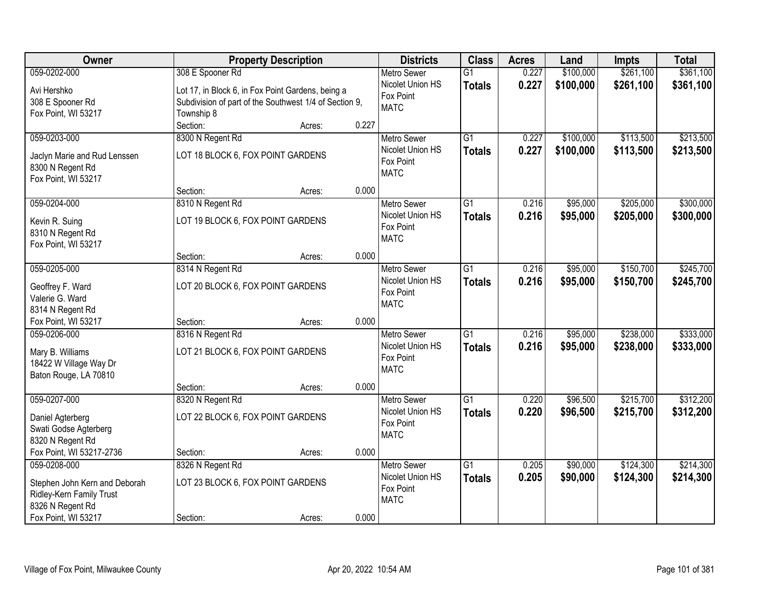| <b>Owner</b>                            |                                                        | <b>Property Description</b> |       | <b>Districts</b>                       | <b>Class</b>    | <b>Acres</b> | Land      | Impts     | <b>Total</b> |
|-----------------------------------------|--------------------------------------------------------|-----------------------------|-------|----------------------------------------|-----------------|--------------|-----------|-----------|--------------|
| 059-0202-000                            | 308 E Spooner Rd                                       |                             |       | <b>Metro Sewer</b>                     | $\overline{G1}$ | 0.227        | \$100,000 | \$261,100 | \$361,100    |
| Avi Hershko                             | Lot 17, in Block 6, in Fox Point Gardens, being a      |                             |       | Nicolet Union HS                       | <b>Totals</b>   | 0.227        | \$100,000 | \$261,100 | \$361,100    |
| 308 E Spooner Rd                        | Subdivision of part of the Southwest 1/4 of Section 9, |                             |       | Fox Point                              |                 |              |           |           |              |
| Fox Point, WI 53217                     | Township 8                                             |                             |       | <b>MATC</b>                            |                 |              |           |           |              |
|                                         | Section:                                               | Acres:                      | 0.227 |                                        |                 |              |           |           |              |
| 059-0203-000                            | 8300 N Regent Rd                                       |                             |       | <b>Metro Sewer</b>                     | $\overline{G1}$ | 0.227        | \$100,000 | \$113,500 | \$213,500    |
|                                         | LOT 18 BLOCK 6, FOX POINT GARDENS                      |                             |       | Nicolet Union HS                       | <b>Totals</b>   | 0.227        | \$100,000 | \$113,500 | \$213,500    |
| Jaclyn Marie and Rud Lenssen            |                                                        |                             |       | Fox Point                              |                 |              |           |           |              |
| 8300 N Regent Rd<br>Fox Point, WI 53217 |                                                        |                             |       | <b>MATC</b>                            |                 |              |           |           |              |
|                                         | Section:                                               | Acres:                      | 0.000 |                                        |                 |              |           |           |              |
| 059-0204-000                            | 8310 N Regent Rd                                       |                             |       | <b>Metro Sewer</b>                     | $\overline{G1}$ | 0.216        | \$95,000  | \$205,000 | \$300,000    |
|                                         |                                                        |                             |       | Nicolet Union HS                       | <b>Totals</b>   | 0.216        | \$95,000  | \$205,000 | \$300,000    |
| Kevin R. Suing                          | LOT 19 BLOCK 6, FOX POINT GARDENS                      |                             |       | Fox Point                              |                 |              |           |           |              |
| 8310 N Regent Rd                        |                                                        |                             |       | <b>MATC</b>                            |                 |              |           |           |              |
| Fox Point, WI 53217                     |                                                        |                             |       |                                        |                 |              |           |           |              |
|                                         | Section:                                               | Acres:                      | 0.000 |                                        |                 |              |           |           |              |
| 059-0205-000                            | 8314 N Regent Rd                                       |                             |       | <b>Metro Sewer</b><br>Nicolet Union HS | G1              | 0.216        | \$95,000  | \$150,700 | \$245,700    |
| Geoffrey F. Ward                        | LOT 20 BLOCK 6, FOX POINT GARDENS                      |                             |       | Fox Point                              | <b>Totals</b>   | 0.216        | \$95,000  | \$150,700 | \$245,700    |
| Valerie G. Ward                         |                                                        |                             |       | <b>MATC</b>                            |                 |              |           |           |              |
| 8314 N Regent Rd                        |                                                        |                             |       |                                        |                 |              |           |           |              |
| Fox Point, WI 53217                     | Section:                                               | Acres:                      | 0.000 |                                        |                 |              |           |           |              |
| 059-0206-000                            | 8316 N Regent Rd                                       |                             |       | <b>Metro Sewer</b>                     | $\overline{G1}$ | 0.216        | \$95,000  | \$238,000 | \$333,000    |
| Mary B. Williams                        | LOT 21 BLOCK 6, FOX POINT GARDENS                      |                             |       | Nicolet Union HS                       | <b>Totals</b>   | 0.216        | \$95,000  | \$238,000 | \$333,000    |
| 18422 W Village Way Dr                  |                                                        |                             |       | Fox Point                              |                 |              |           |           |              |
| Baton Rouge, LA 70810                   |                                                        |                             |       | <b>MATC</b>                            |                 |              |           |           |              |
|                                         | Section:                                               | Acres:                      | 0.000 |                                        |                 |              |           |           |              |
| 059-0207-000                            | 8320 N Regent Rd                                       |                             |       | <b>Metro Sewer</b>                     | G1              | 0.220        | \$96,500  | \$215,700 | \$312,200    |
| Daniel Agterberg                        | LOT 22 BLOCK 6, FOX POINT GARDENS                      |                             |       | Nicolet Union HS                       | <b>Totals</b>   | 0.220        | \$96,500  | \$215,700 | \$312,200    |
| Swati Godse Agterberg                   |                                                        |                             |       | Fox Point                              |                 |              |           |           |              |
| 8320 N Regent Rd                        |                                                        |                             |       | <b>MATC</b>                            |                 |              |           |           |              |
| Fox Point, WI 53217-2736                | Section:                                               | Acres:                      | 0.000 |                                        |                 |              |           |           |              |
| 059-0208-000                            | 8326 N Regent Rd                                       |                             |       | <b>Metro Sewer</b>                     | $\overline{G1}$ | 0.205        | \$90,000  | \$124,300 | \$214,300    |
|                                         |                                                        |                             |       | Nicolet Union HS                       | <b>Totals</b>   | 0.205        | \$90,000  | \$124,300 | \$214,300    |
| Stephen John Kern and Deborah           | LOT 23 BLOCK 6, FOX POINT GARDENS                      |                             |       | Fox Point                              |                 |              |           |           |              |
| Ridley-Kern Family Trust                |                                                        |                             |       | <b>MATC</b>                            |                 |              |           |           |              |
| 8326 N Regent Rd                        |                                                        |                             | 0.000 |                                        |                 |              |           |           |              |
| Fox Point, WI 53217                     | Section:                                               | Acres:                      |       |                                        |                 |              |           |           |              |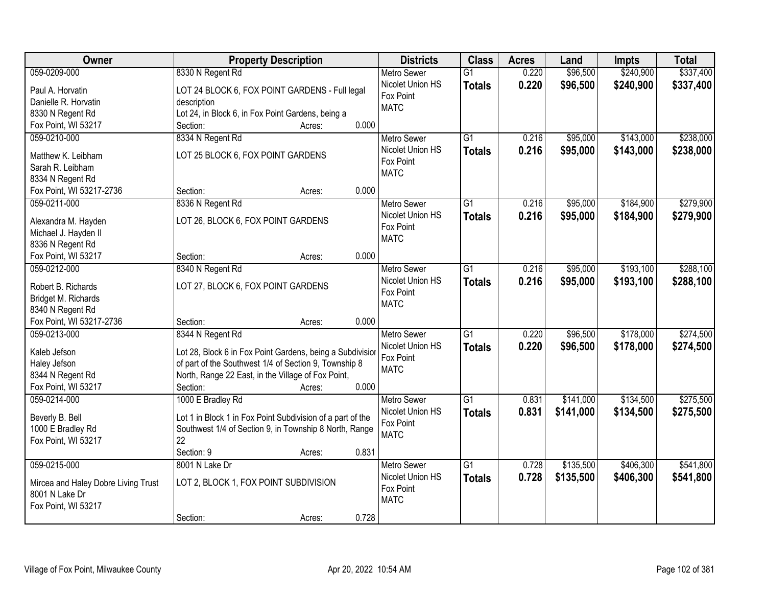| Owner                               | <b>Property Description</b>                                                                                        | <b>Districts</b>   | <b>Class</b>    | <b>Acres</b> | Land      | Impts     | <b>Total</b> |
|-------------------------------------|--------------------------------------------------------------------------------------------------------------------|--------------------|-----------------|--------------|-----------|-----------|--------------|
| 059-0209-000                        | 8330 N Regent Rd                                                                                                   | <b>Metro Sewer</b> | $\overline{G1}$ | 0.220        | \$96,500  | \$240,900 | \$337,400    |
| Paul A. Horvatin                    | LOT 24 BLOCK 6, FOX POINT GARDENS - Full legal                                                                     | Nicolet Union HS   | <b>Totals</b>   | 0.220        | \$96,500  | \$240,900 | \$337,400    |
| Danielle R. Horvatin                | description                                                                                                        | Fox Point          |                 |              |           |           |              |
| 8330 N Regent Rd                    | Lot 24, in Block 6, in Fox Point Gardens, being a                                                                  | <b>MATC</b>        |                 |              |           |           |              |
| Fox Point, WI 53217                 | 0.000<br>Section:<br>Acres:                                                                                        |                    |                 |              |           |           |              |
| 059-0210-000                        | 8334 N Regent Rd                                                                                                   | <b>Metro Sewer</b> | $\overline{G1}$ | 0.216        | \$95,000  | \$143,000 | \$238,000    |
| Matthew K. Leibham                  | LOT 25 BLOCK 6, FOX POINT GARDENS                                                                                  | Nicolet Union HS   | <b>Totals</b>   | 0.216        | \$95,000  | \$143,000 | \$238,000    |
| Sarah R. Leibham                    |                                                                                                                    | Fox Point          |                 |              |           |           |              |
| 8334 N Regent Rd                    |                                                                                                                    | <b>MATC</b>        |                 |              |           |           |              |
| Fox Point, WI 53217-2736            | 0.000<br>Section:<br>Acres:                                                                                        |                    |                 |              |           |           |              |
| 059-0211-000                        | 8336 N Regent Rd                                                                                                   | <b>Metro Sewer</b> | $\overline{G1}$ | 0.216        | \$95,000  | \$184,900 | \$279,900    |
|                                     |                                                                                                                    | Nicolet Union HS   | <b>Totals</b>   | 0.216        | \$95,000  | \$184,900 | \$279,900    |
| Alexandra M. Hayden                 | LOT 26, BLOCK 6, FOX POINT GARDENS                                                                                 | Fox Point          |                 |              |           |           |              |
| Michael J. Hayden II                |                                                                                                                    | <b>MATC</b>        |                 |              |           |           |              |
| 8336 N Regent Rd                    |                                                                                                                    |                    |                 |              |           |           |              |
| Fox Point, WI 53217                 | 0.000<br>Section:<br>Acres:                                                                                        |                    |                 |              |           |           |              |
| 059-0212-000                        | 8340 N Regent Rd                                                                                                   | <b>Metro Sewer</b> | $\overline{G1}$ | 0.216        | \$95,000  | \$193,100 | \$288,100    |
| Robert B. Richards                  | LOT 27, BLOCK 6, FOX POINT GARDENS                                                                                 | Nicolet Union HS   | <b>Totals</b>   | 0.216        | \$95,000  | \$193,100 | \$288,100    |
| Bridget M. Richards                 |                                                                                                                    | Fox Point          |                 |              |           |           |              |
| 8340 N Regent Rd                    |                                                                                                                    | <b>MATC</b>        |                 |              |           |           |              |
| Fox Point, WI 53217-2736            | 0.000<br>Section:<br>Acres:                                                                                        |                    |                 |              |           |           |              |
| 059-0213-000                        | 8344 N Regent Rd                                                                                                   | <b>Metro Sewer</b> | $\overline{G1}$ | 0.220        | \$96,500  | \$178,000 | \$274,500    |
|                                     |                                                                                                                    | Nicolet Union HS   | <b>Totals</b>   | 0.220        | \$96,500  | \$178,000 | \$274,500    |
| Kaleb Jefson<br>Haley Jefson        | Lot 28, Block 6 in Fox Point Gardens, being a Subdivision<br>of part of the Southwest 1/4 of Section 9, Township 8 | Fox Point          |                 |              |           |           |              |
| 8344 N Regent Rd                    | North, Range 22 East, in the Village of Fox Point,                                                                 | <b>MATC</b>        |                 |              |           |           |              |
| Fox Point, WI 53217                 | 0.000<br>Section:<br>Acres:                                                                                        |                    |                 |              |           |           |              |
| 059-0214-000                        | 1000 E Bradley Rd                                                                                                  | <b>Metro Sewer</b> | $\overline{G1}$ | 0.831        | \$141,000 | \$134,500 | \$275,500    |
|                                     |                                                                                                                    | Nicolet Union HS   |                 | 0.831        | \$141,000 | \$134,500 | \$275,500    |
| Beverly B. Bell                     | Lot 1 in Block 1 in Fox Point Subdivision of a part of the                                                         | Fox Point          | <b>Totals</b>   |              |           |           |              |
| 1000 E Bradley Rd                   | Southwest 1/4 of Section 9, in Township 8 North, Range                                                             | <b>MATC</b>        |                 |              |           |           |              |
| Fox Point, WI 53217                 | 22                                                                                                                 |                    |                 |              |           |           |              |
|                                     | 0.831<br>Section: 9<br>Acres:                                                                                      |                    |                 |              |           |           |              |
| 059-0215-000                        | 8001 N Lake Dr                                                                                                     | <b>Metro Sewer</b> | $\overline{G1}$ | 0.728        | \$135,500 | \$406,300 | \$541,800    |
| Mircea and Haley Dobre Living Trust | LOT 2, BLOCK 1, FOX POINT SUBDIVISION                                                                              | Nicolet Union HS   | <b>Totals</b>   | 0.728        | \$135,500 | \$406,300 | \$541,800    |
| 8001 N Lake Dr                      |                                                                                                                    | Fox Point          |                 |              |           |           |              |
| Fox Point, WI 53217                 |                                                                                                                    | <b>MATC</b>        |                 |              |           |           |              |
|                                     | 0.728<br>Section:<br>Acres:                                                                                        |                    |                 |              |           |           |              |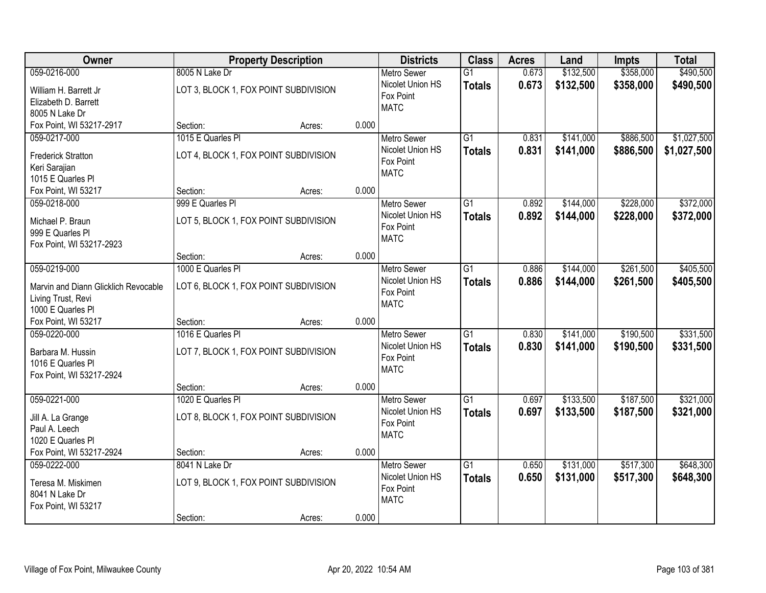| Owner                                  | <b>Property Description</b>           |       | <b>Districts</b>   | <b>Class</b>    | <b>Acres</b> | Land      | <b>Impts</b> | <b>Total</b> |
|----------------------------------------|---------------------------------------|-------|--------------------|-----------------|--------------|-----------|--------------|--------------|
| 059-0216-000                           | 8005 N Lake Dr                        |       | <b>Metro Sewer</b> | $\overline{G1}$ | 0.673        | \$132,500 | \$358,000    | \$490,500    |
| William H. Barrett Jr                  | LOT 3, BLOCK 1, FOX POINT SUBDIVISION |       | Nicolet Union HS   | <b>Totals</b>   | 0.673        | \$132,500 | \$358,000    | \$490,500    |
| Elizabeth D. Barrett                   |                                       |       | Fox Point          |                 |              |           |              |              |
| 8005 N Lake Dr                         |                                       |       | <b>MATC</b>        |                 |              |           |              |              |
| Fox Point, WI 53217-2917               | Section:<br>Acres:                    | 0.000 |                    |                 |              |           |              |              |
| 059-0217-000                           | 1015 E Quarles PI                     |       | <b>Metro Sewer</b> | $\overline{G1}$ | 0.831        | \$141,000 | \$886,500    | \$1,027,500  |
| <b>Frederick Stratton</b>              | LOT 4, BLOCK 1, FOX POINT SUBDIVISION |       | Nicolet Union HS   | <b>Totals</b>   | 0.831        | \$141,000 | \$886,500    | \$1,027,500  |
| Keri Sarajian                          |                                       |       | Fox Point          |                 |              |           |              |              |
| 1015 E Quarles PI                      |                                       |       | <b>MATC</b>        |                 |              |           |              |              |
| Fox Point, WI 53217                    | Section:<br>Acres:                    | 0.000 |                    |                 |              |           |              |              |
| 059-0218-000                           | 999 E Quarles Pl                      |       | Metro Sewer        | $\overline{G1}$ | 0.892        | \$144,000 | \$228,000    | \$372,000    |
| Michael P. Braun                       | LOT 5, BLOCK 1, FOX POINT SUBDIVISION |       | Nicolet Union HS   | <b>Totals</b>   | 0.892        | \$144,000 | \$228,000    | \$372,000    |
| 999 E Quarles PI                       |                                       |       | Fox Point          |                 |              |           |              |              |
| Fox Point, WI 53217-2923               |                                       |       | <b>MATC</b>        |                 |              |           |              |              |
|                                        | Section:<br>Acres:                    | 0.000 |                    |                 |              |           |              |              |
| 059-0219-000                           | 1000 E Quarles PI                     |       | <b>Metro Sewer</b> | $\overline{G1}$ | 0.886        | \$144,000 | \$261,500    | \$405,500    |
| Marvin and Diann Glicklich Revocable   | LOT 6, BLOCK 1, FOX POINT SUBDIVISION |       | Nicolet Union HS   | <b>Totals</b>   | 0.886        | \$144,000 | \$261,500    | \$405,500    |
| Living Trust, Revi                     |                                       |       | Fox Point          |                 |              |           |              |              |
| 1000 E Quarles PI                      |                                       |       | <b>MATC</b>        |                 |              |           |              |              |
| Fox Point, WI 53217                    | Section:<br>Acres:                    | 0.000 |                    |                 |              |           |              |              |
| 059-0220-000                           | 1016 E Quarles PI                     |       | <b>Metro Sewer</b> | $\overline{G1}$ | 0.830        | \$141,000 | \$190,500    | \$331,500    |
|                                        |                                       |       | Nicolet Union HS   | <b>Totals</b>   | 0.830        | \$141,000 | \$190,500    | \$331,500    |
| Barbara M. Hussin<br>1016 E Quarles PI | LOT 7, BLOCK 1, FOX POINT SUBDIVISION |       | Fox Point          |                 |              |           |              |              |
| Fox Point, WI 53217-2924               |                                       |       | <b>MATC</b>        |                 |              |           |              |              |
|                                        | Section:<br>Acres:                    | 0.000 |                    |                 |              |           |              |              |
| 059-0221-000                           | 1020 E Quarles PI                     |       | <b>Metro Sewer</b> | $\overline{G1}$ | 0.697        | \$133,500 | \$187,500    | \$321,000    |
|                                        |                                       |       | Nicolet Union HS   | <b>Totals</b>   | 0.697        | \$133,500 | \$187,500    | \$321,000    |
| Jill A. La Grange<br>Paul A. Leech     | LOT 8, BLOCK 1, FOX POINT SUBDIVISION |       | Fox Point          |                 |              |           |              |              |
| 1020 E Quarles PI                      |                                       |       | <b>MATC</b>        |                 |              |           |              |              |
| Fox Point, WI 53217-2924               | Section:<br>Acres:                    | 0.000 |                    |                 |              |           |              |              |
| 059-0222-000                           | 8041 N Lake Dr                        |       | <b>Metro Sewer</b> | $\overline{G1}$ | 0.650        | \$131,000 | \$517,300    | \$648,300    |
|                                        |                                       |       | Nicolet Union HS   | <b>Totals</b>   | 0.650        | \$131,000 | \$517,300    | \$648,300    |
| Teresa M. Miskimen<br>8041 N Lake Dr   | LOT 9, BLOCK 1, FOX POINT SUBDIVISION |       | Fox Point          |                 |              |           |              |              |
| Fox Point, WI 53217                    |                                       |       | <b>MATC</b>        |                 |              |           |              |              |
|                                        | Section:<br>Acres:                    | 0.000 |                    |                 |              |           |              |              |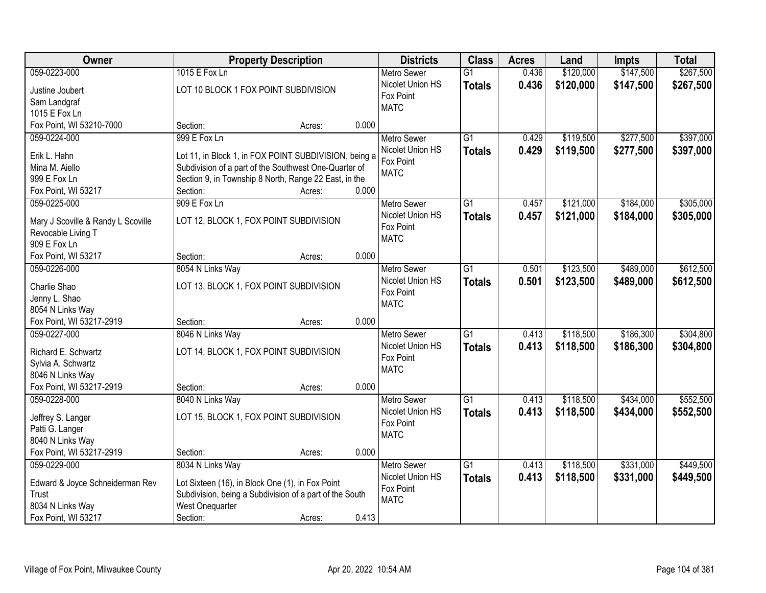| Owner                                                    |                                                         | <b>Property Description</b> |       | <b>Districts</b>              | <b>Class</b>    | <b>Acres</b> | Land      | <b>Impts</b> | <b>Total</b> |
|----------------------------------------------------------|---------------------------------------------------------|-----------------------------|-------|-------------------------------|-----------------|--------------|-----------|--------------|--------------|
| 059-0223-000                                             | 1015 E Fox Ln                                           |                             |       | <b>Metro Sewer</b>            | $\overline{G1}$ | 0.436        | \$120,000 | \$147,500    | \$267,500    |
| Justine Joubert                                          | LOT 10 BLOCK 1 FOX POINT SUBDIVISION                    |                             |       | Nicolet Union HS              | <b>Totals</b>   | 0.436        | \$120,000 | \$147,500    | \$267,500    |
| Sam Landgraf                                             |                                                         |                             |       | Fox Point                     |                 |              |           |              |              |
| 1015 E Fox Ln                                            |                                                         |                             |       | <b>MATC</b>                   |                 |              |           |              |              |
| Fox Point, WI 53210-7000                                 | Section:                                                | Acres:                      | 0.000 |                               |                 |              |           |              |              |
| 059-0224-000                                             | 999 E Fox Ln                                            |                             |       | <b>Metro Sewer</b>            | $\overline{G1}$ | 0.429        | \$119,500 | \$277,500    | \$397,000    |
| Erik L. Hahn                                             | Lot 11, in Block 1, in FOX POINT SUBDIVISION, being a   |                             |       | Nicolet Union HS              | <b>Totals</b>   | 0.429        | \$119,500 | \$277,500    | \$397,000    |
| Mina M. Aiello                                           | Subdivision of a part of the Southwest One-Quarter of   |                             |       | Fox Point                     |                 |              |           |              |              |
| 999 E Fox Ln                                             | Section 9, in Township 8 North, Range 22 East, in the   |                             |       | <b>MATC</b>                   |                 |              |           |              |              |
| Fox Point, WI 53217                                      | Section:                                                | Acres:                      | 0.000 |                               |                 |              |           |              |              |
| 059-0225-000                                             | 909 E Fox Ln                                            |                             |       | Metro Sewer                   | $\overline{G1}$ | 0.457        | \$121,000 | \$184,000    | \$305,000    |
|                                                          |                                                         |                             |       | Nicolet Union HS              | <b>Totals</b>   | 0.457        | \$121,000 | \$184,000    | \$305,000    |
| Mary J Scoville & Randy L Scoville<br>Revocable Living T | LOT 12, BLOCK 1, FOX POINT SUBDIVISION                  |                             |       | Fox Point                     |                 |              |           |              |              |
| 909 E Fox Ln                                             |                                                         |                             |       | <b>MATC</b>                   |                 |              |           |              |              |
| Fox Point, WI 53217                                      | Section:                                                | Acres:                      | 0.000 |                               |                 |              |           |              |              |
| 059-0226-000                                             | 8054 N Links Way                                        |                             |       | <b>Metro Sewer</b>            | $\overline{G1}$ | 0.501        | \$123,500 | \$489,000    | \$612,500    |
|                                                          |                                                         |                             |       | Nicolet Union HS              | <b>Totals</b>   | 0.501        | \$123,500 | \$489,000    | \$612,500    |
| Charlie Shao                                             | LOT 13, BLOCK 1, FOX POINT SUBDIVISION                  |                             |       | Fox Point                     |                 |              |           |              |              |
| Jenny L. Shao                                            |                                                         |                             |       | <b>MATC</b>                   |                 |              |           |              |              |
| 8054 N Links Way<br>Fox Point, WI 53217-2919             | Section:                                                |                             | 0.000 |                               |                 |              |           |              |              |
| 059-0227-000                                             | 8046 N Links Way                                        | Acres:                      |       | <b>Metro Sewer</b>            | $\overline{G1}$ | 0.413        | \$118,500 | \$186,300    | \$304,800    |
|                                                          |                                                         |                             |       | Nicolet Union HS              | <b>Totals</b>   | 0.413        | \$118,500 | \$186,300    | \$304,800    |
| Richard E. Schwartz                                      | LOT 14, BLOCK 1, FOX POINT SUBDIVISION                  |                             |       | Fox Point                     |                 |              |           |              |              |
| Sylvia A. Schwartz                                       |                                                         |                             |       | <b>MATC</b>                   |                 |              |           |              |              |
| 8046 N Links Way                                         |                                                         |                             |       |                               |                 |              |           |              |              |
| Fox Point, WI 53217-2919                                 | Section:                                                | Acres:                      | 0.000 |                               |                 |              |           |              |              |
| 059-0228-000                                             | 8040 N Links Way                                        |                             |       | Metro Sewer                   | $\overline{G1}$ | 0.413        | \$118,500 | \$434,000    | \$552,500    |
| Jeffrey S. Langer                                        | LOT 15, BLOCK 1, FOX POINT SUBDIVISION                  |                             |       | Nicolet Union HS<br>Fox Point | <b>Totals</b>   | 0.413        | \$118,500 | \$434,000    | \$552,500    |
| Patti G. Langer                                          |                                                         |                             |       | <b>MATC</b>                   |                 |              |           |              |              |
| 8040 N Links Way                                         |                                                         |                             |       |                               |                 |              |           |              |              |
| Fox Point, WI 53217-2919                                 | Section:                                                | Acres:                      | 0.000 |                               |                 |              |           |              |              |
| 059-0229-000                                             | 8034 N Links Way                                        |                             |       | <b>Metro Sewer</b>            | $\overline{G1}$ | 0.413        | \$118,500 | \$331,000    | \$449,500    |
| Edward & Joyce Schneiderman Rev                          | Lot Sixteen (16), in Block One (1), in Fox Point        |                             |       | Nicolet Union HS              | <b>Totals</b>   | 0.413        | \$118,500 | \$331,000    | \$449,500    |
| Trust                                                    | Subdivision, being a Subdivision of a part of the South |                             |       | Fox Point                     |                 |              |           |              |              |
| 8034 N Links Way                                         | West Onequarter                                         |                             |       | <b>MATC</b>                   |                 |              |           |              |              |
| Fox Point, WI 53217                                      | Section:                                                | Acres:                      | 0.413 |                               |                 |              |           |              |              |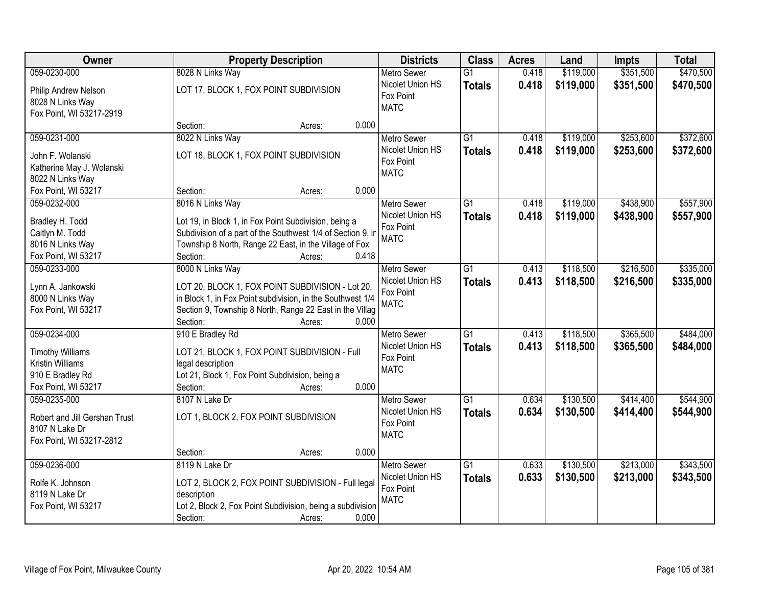| Owner                         | <b>Property Description</b>                                 | <b>Districts</b>              | <b>Class</b>    | <b>Acres</b> | Land      | <b>Impts</b> | <b>Total</b> |
|-------------------------------|-------------------------------------------------------------|-------------------------------|-----------------|--------------|-----------|--------------|--------------|
| 059-0230-000                  | 8028 N Links Way                                            | <b>Metro Sewer</b>            | $\overline{G1}$ | 0.418        | \$119,000 | \$351,500    | \$470,500    |
| Philip Andrew Nelson          | LOT 17, BLOCK 1, FOX POINT SUBDIVISION                      | Nicolet Union HS              | <b>Totals</b>   | 0.418        | \$119,000 | \$351,500    | \$470,500    |
| 8028 N Links Way              |                                                             | Fox Point                     |                 |              |           |              |              |
| Fox Point, WI 53217-2919      |                                                             | <b>MATC</b>                   |                 |              |           |              |              |
|                               | 0.000<br>Section:<br>Acres:                                 |                               |                 |              |           |              |              |
| 059-0231-000                  | 8022 N Links Way                                            | <b>Metro Sewer</b>            | $\overline{G1}$ | 0.418        | \$119,000 | \$253,600    | \$372,600    |
| John F. Wolanski              | LOT 18, BLOCK 1, FOX POINT SUBDIVISION                      | Nicolet Union HS              | <b>Totals</b>   | 0.418        | \$119,000 | \$253,600    | \$372,600    |
| Katherine May J. Wolanski     |                                                             | Fox Point                     |                 |              |           |              |              |
| 8022 N Links Way              |                                                             | <b>MATC</b>                   |                 |              |           |              |              |
| Fox Point, WI 53217           | 0.000<br>Section:<br>Acres:                                 |                               |                 |              |           |              |              |
| 059-0232-000                  | 8016 N Links Way                                            | Metro Sewer                   | $\overline{G1}$ | 0.418        | \$119,000 | \$438,900    | \$557,900    |
|                               |                                                             | Nicolet Union HS              | <b>Totals</b>   | 0.418        | \$119,000 | \$438,900    | \$557,900    |
| Bradley H. Todd               | Lot 19, in Block 1, in Fox Point Subdivision, being a       | Fox Point                     |                 |              |           |              |              |
| Caitlyn M. Todd               | Subdivision of a part of the Southwest 1/4 of Section 9, in | <b>MATC</b>                   |                 |              |           |              |              |
| 8016 N Links Way              | Township 8 North, Range 22 East, in the Village of Fox      |                               |                 |              |           |              |              |
| Fox Point, WI 53217           | Section:<br>0.418<br>Acres:                                 |                               |                 |              |           |              |              |
| 059-0233-000                  | 8000 N Links Way                                            | <b>Metro Sewer</b>            | G1              | 0.413        | \$118,500 | \$216,500    | \$335,000    |
| Lynn A. Jankowski             | LOT 20, BLOCK 1, FOX POINT SUBDIVISION - Lot 20,            | Nicolet Union HS              | <b>Totals</b>   | 0.413        | \$118,500 | \$216,500    | \$335,000    |
| 8000 N Links Way              | in Block 1, in Fox Point subdivision, in the Southwest 1/4  | Fox Point<br><b>MATC</b>      |                 |              |           |              |              |
| Fox Point, WI 53217           | Section 9, Township 8 North, Range 22 East in the Villag    |                               |                 |              |           |              |              |
|                               | Section:<br>0.000<br>Acres:                                 |                               |                 |              |           |              |              |
| 059-0234-000                  | 910 E Bradley Rd                                            | <b>Metro Sewer</b>            | $\overline{G1}$ | 0.413        | \$118,500 | \$365,500    | \$484,000    |
| <b>Timothy Williams</b>       | LOT 21, BLOCK 1, FOX POINT SUBDIVISION - Full               | Nicolet Union HS              | <b>Totals</b>   | 0.413        | \$118,500 | \$365,500    | \$484,000    |
| <b>Kristin Williams</b>       | legal description                                           | Fox Point                     |                 |              |           |              |              |
| 910 E Bradley Rd              | Lot 21, Block 1, Fox Point Subdivision, being a             | <b>MATC</b>                   |                 |              |           |              |              |
| Fox Point, WI 53217           | 0.000<br>Section:<br>Acres:                                 |                               |                 |              |           |              |              |
| 059-0235-000                  | 8107 N Lake Dr                                              | <b>Metro Sewer</b>            | G1              | 0.634        | \$130,500 | \$414,400    | \$544,900    |
|                               |                                                             | Nicolet Union HS              | <b>Totals</b>   | 0.634        | \$130,500 | \$414,400    | \$544,900    |
| Robert and Jill Gershan Trust | LOT 1, BLOCK 2, FOX POINT SUBDIVISION                       | Fox Point                     |                 |              |           |              |              |
| 8107 N Lake Dr                |                                                             | <b>MATC</b>                   |                 |              |           |              |              |
| Fox Point, WI 53217-2812      |                                                             |                               |                 |              |           |              |              |
|                               | 0.000<br>Section:<br>Acres:                                 |                               |                 |              |           |              |              |
| 059-0236-000                  | 8119 N Lake Dr                                              | <b>Metro Sewer</b>            | $\overline{G1}$ | 0.633        | \$130,500 | \$213,000    | \$343,500    |
| Rolfe K. Johnson              | LOT 2, BLOCK 2, FOX POINT SUBDIVISION - Full legal          | Nicolet Union HS<br>Fox Point | <b>Totals</b>   | 0.633        | \$130,500 | \$213,000    | \$343,500    |
| 8119 N Lake Dr                | description                                                 | <b>MATC</b>                   |                 |              |           |              |              |
| Fox Point, WI 53217           | Lot 2, Block 2, Fox Point Subdivision, being a subdivision  |                               |                 |              |           |              |              |
|                               | Section:<br>0.000<br>Acres:                                 |                               |                 |              |           |              |              |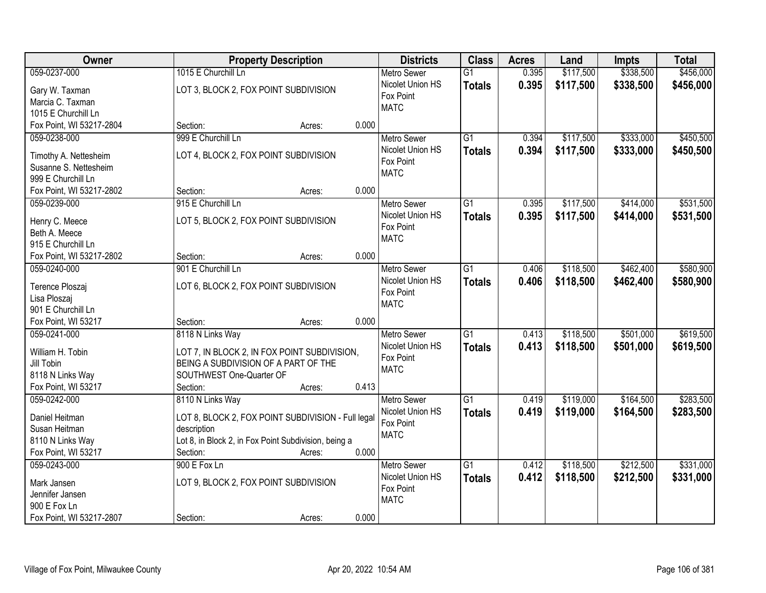| Owner                    | <b>Property Description</b>                          | <b>Districts</b>   | <b>Class</b>    | <b>Acres</b> | Land      | <b>Impts</b> | <b>Total</b> |
|--------------------------|------------------------------------------------------|--------------------|-----------------|--------------|-----------|--------------|--------------|
| 059-0237-000             | 1015 E Churchill Ln                                  | <b>Metro Sewer</b> | $\overline{G1}$ | 0.395        | \$117,500 | \$338,500    | \$456,000    |
| Gary W. Taxman           | LOT 3, BLOCK 2, FOX POINT SUBDIVISION                | Nicolet Union HS   | <b>Totals</b>   | 0.395        | \$117,500 | \$338,500    | \$456,000    |
| Marcia C. Taxman         |                                                      | Fox Point          |                 |              |           |              |              |
| 1015 E Churchill Ln      |                                                      | <b>MATC</b>        |                 |              |           |              |              |
| Fox Point, WI 53217-2804 | 0.000<br>Section:<br>Acres:                          |                    |                 |              |           |              |              |
| 059-0238-000             | 999 E Churchill Ln                                   | <b>Metro Sewer</b> | $\overline{G1}$ | 0.394        | \$117,500 | \$333,000    | \$450,500    |
|                          |                                                      | Nicolet Union HS   | <b>Totals</b>   | 0.394        | \$117,500 | \$333,000    | \$450,500    |
| Timothy A. Nettesheim    | LOT 4, BLOCK 2, FOX POINT SUBDIVISION                | Fox Point          |                 |              |           |              |              |
| Susanne S. Nettesheim    |                                                      | <b>MATC</b>        |                 |              |           |              |              |
| 999 E Churchill Ln       |                                                      |                    |                 |              |           |              |              |
| Fox Point, WI 53217-2802 | 0.000<br>Section:<br>Acres:                          |                    |                 |              |           |              |              |
| 059-0239-000             | 915 E Churchill Ln                                   | <b>Metro Sewer</b> | G1              | 0.395        | \$117,500 | \$414,000    | \$531,500    |
| Henry C. Meece           | LOT 5, BLOCK 2, FOX POINT SUBDIVISION                | Nicolet Union HS   | <b>Totals</b>   | 0.395        | \$117,500 | \$414,000    | \$531,500    |
| Beth A. Meece            |                                                      | Fox Point          |                 |              |           |              |              |
| 915 E Churchill Ln       |                                                      | <b>MATC</b>        |                 |              |           |              |              |
| Fox Point, WI 53217-2802 | 0.000<br>Section:<br>Acres:                          |                    |                 |              |           |              |              |
| 059-0240-000             | 901 E Churchill Ln                                   | <b>Metro Sewer</b> | G1              | 0.406        | \$118,500 | \$462,400    | \$580,900    |
|                          |                                                      | Nicolet Union HS   | <b>Totals</b>   | 0.406        | \$118,500 | \$462,400    | \$580,900    |
| Terence Ploszaj          | LOT 6, BLOCK 2, FOX POINT SUBDIVISION                | Fox Point          |                 |              |           |              |              |
| Lisa Ploszaj             |                                                      | <b>MATC</b>        |                 |              |           |              |              |
| 901 E Churchill Ln       |                                                      |                    |                 |              |           |              |              |
| Fox Point, WI 53217      | 0.000<br>Section:<br>Acres:                          |                    |                 |              |           |              |              |
| 059-0241-000             | 8118 N Links Way                                     | <b>Metro Sewer</b> | $\overline{G1}$ | 0.413        | \$118,500 | \$501,000    | \$619,500    |
| William H. Tobin         | LOT 7, IN BLOCK 2, IN FOX POINT SUBDIVISION,         | Nicolet Union HS   | <b>Totals</b>   | 0.413        | \$118,500 | \$501,000    | \$619,500    |
| Jill Tobin               | BEING A SUBDIVISION OF A PART OF THE                 | Fox Point          |                 |              |           |              |              |
| 8118 N Links Way         | SOUTHWEST One-Quarter OF                             | <b>MATC</b>        |                 |              |           |              |              |
| Fox Point, WI 53217      | Section:<br>0.413<br>Acres:                          |                    |                 |              |           |              |              |
| 059-0242-000             | 8110 N Links Way                                     | <b>Metro Sewer</b> | $\overline{G1}$ | 0.419        | \$119,000 | \$164,500    | \$283,500    |
|                          |                                                      | Nicolet Union HS   | <b>Totals</b>   | 0.419        | \$119,000 | \$164,500    | \$283,500    |
| Daniel Heitman           | LOT 8, BLOCK 2, FOX POINT SUBDIVISION - Full legal   | Fox Point          |                 |              |           |              |              |
| Susan Heitman            | description                                          | <b>MATC</b>        |                 |              |           |              |              |
| 8110 N Links Way         | Lot 8, in Block 2, in Fox Point Subdivision, being a |                    |                 |              |           |              |              |
| Fox Point, WI 53217      | 0.000<br>Section:<br>Acres:                          |                    |                 |              |           |              |              |
| 059-0243-000             | 900 E Fox Ln                                         | <b>Metro Sewer</b> | $\overline{G1}$ | 0.412        | \$118,500 | \$212,500    | \$331,000    |
| Mark Jansen              | LOT 9, BLOCK 2, FOX POINT SUBDIVISION                | Nicolet Union HS   | <b>Totals</b>   | 0.412        | \$118,500 | \$212,500    | \$331,000    |
| Jennifer Jansen          |                                                      | Fox Point          |                 |              |           |              |              |
| 900 E Fox Ln             |                                                      | <b>MATC</b>        |                 |              |           |              |              |
| Fox Point, WI 53217-2807 | 0.000<br>Section:<br>Acres:                          |                    |                 |              |           |              |              |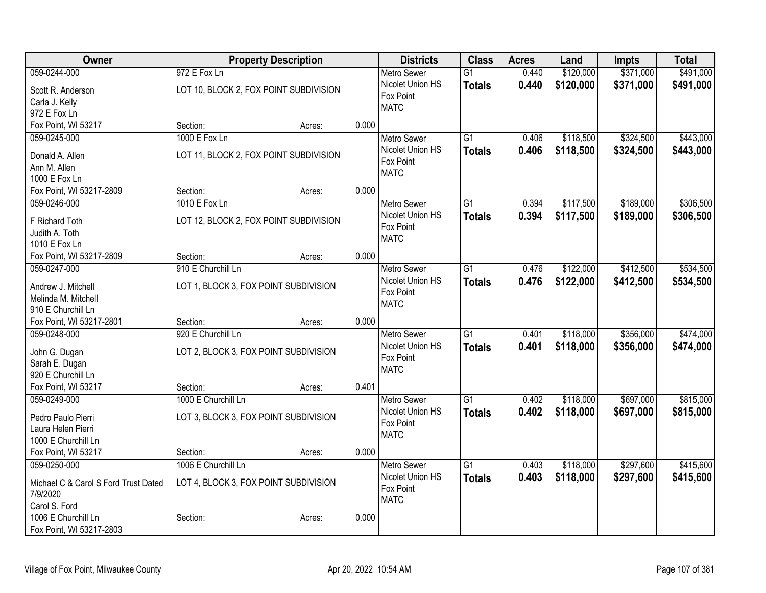| Owner                                | <b>Property Description</b>            |        |       | <b>Districts</b>              | <b>Class</b>    | <b>Acres</b> | Land      | <b>Impts</b> | <b>Total</b> |
|--------------------------------------|----------------------------------------|--------|-------|-------------------------------|-----------------|--------------|-----------|--------------|--------------|
| 059-0244-000                         | 972 E Fox Ln                           |        |       | <b>Metro Sewer</b>            | $\overline{G1}$ | 0.440        | \$120,000 | \$371,000    | \$491,000    |
| Scott R. Anderson                    | LOT 10, BLOCK 2, FOX POINT SUBDIVISION |        |       | Nicolet Union HS              | <b>Totals</b>   | 0.440        | \$120,000 | \$371,000    | \$491,000    |
| Carla J. Kelly                       |                                        |        |       | Fox Point                     |                 |              |           |              |              |
| 972 E Fox Ln                         |                                        |        |       | <b>MATC</b>                   |                 |              |           |              |              |
| Fox Point, WI 53217                  | Section:                               | Acres: | 0.000 |                               |                 |              |           |              |              |
| 059-0245-000                         | 1000 E Fox Ln                          |        |       | <b>Metro Sewer</b>            | $\overline{G1}$ | 0.406        | \$118,500 | \$324,500    | \$443,000    |
| Donald A. Allen                      | LOT 11, BLOCK 2, FOX POINT SUBDIVISION |        |       | Nicolet Union HS              | <b>Totals</b>   | 0.406        | \$118,500 | \$324,500    | \$443,000    |
| Ann M. Allen                         |                                        |        |       | Fox Point                     |                 |              |           |              |              |
| 1000 E Fox Ln                        |                                        |        |       | <b>MATC</b>                   |                 |              |           |              |              |
| Fox Point, WI 53217-2809             | Section:                               | Acres: | 0.000 |                               |                 |              |           |              |              |
| 059-0246-000                         | 1010 E Fox Ln                          |        |       | <b>Metro Sewer</b>            | G1              | 0.394        | \$117,500 | \$189,000    | \$306,500    |
|                                      |                                        |        |       | Nicolet Union HS              | <b>Totals</b>   | 0.394        | \$117,500 | \$189,000    | \$306,500    |
| F Richard Toth                       | LOT 12, BLOCK 2, FOX POINT SUBDIVISION |        |       | Fox Point                     |                 |              |           |              |              |
| Judith A. Toth                       |                                        |        |       | <b>MATC</b>                   |                 |              |           |              |              |
| 1010 E Fox Ln                        |                                        |        |       |                               |                 |              |           |              |              |
| Fox Point, WI 53217-2809             | Section:                               | Acres: | 0.000 |                               |                 |              |           |              |              |
| 059-0247-000                         | 910 E Churchill Ln                     |        |       | <b>Metro Sewer</b>            | $\overline{G1}$ | 0.476        | \$122,000 | \$412,500    | \$534,500    |
| Andrew J. Mitchell                   | LOT 1, BLOCK 3, FOX POINT SUBDIVISION  |        |       | Nicolet Union HS<br>Fox Point | <b>Totals</b>   | 0.476        | \$122,000 | \$412,500    | \$534,500    |
| Melinda M. Mitchell                  |                                        |        |       | <b>MATC</b>                   |                 |              |           |              |              |
| 910 E Churchill Ln                   |                                        |        |       |                               |                 |              |           |              |              |
| Fox Point, WI 53217-2801             | Section:                               | Acres: | 0.000 |                               |                 |              |           |              |              |
| 059-0248-000                         | 920 E Churchill Ln                     |        |       | <b>Metro Sewer</b>            | $\overline{G1}$ | 0.401        | \$118,000 | \$356,000    | \$474,000    |
| John G. Dugan                        | LOT 2, BLOCK 3, FOX POINT SUBDIVISION  |        |       | Nicolet Union HS              | <b>Totals</b>   | 0.401        | \$118,000 | \$356,000    | \$474,000    |
| Sarah E. Dugan                       |                                        |        |       | Fox Point                     |                 |              |           |              |              |
| 920 E Churchill Ln                   |                                        |        |       | <b>MATC</b>                   |                 |              |           |              |              |
| Fox Point, WI 53217                  | Section:                               | Acres: | 0.401 |                               |                 |              |           |              |              |
| 059-0249-000                         | 1000 E Churchill Ln                    |        |       | <b>Metro Sewer</b>            | G1              | 0.402        | \$118,000 | \$697,000    | \$815,000    |
| Pedro Paulo Pierri                   |                                        |        |       | Nicolet Union HS              | <b>Totals</b>   | 0.402        | \$118,000 | \$697,000    | \$815,000    |
| Laura Helen Pierri                   | LOT 3, BLOCK 3, FOX POINT SUBDIVISION  |        |       | Fox Point                     |                 |              |           |              |              |
| 1000 E Churchill Ln                  |                                        |        |       | <b>MATC</b>                   |                 |              |           |              |              |
| Fox Point, WI 53217                  | Section:                               | Acres: | 0.000 |                               |                 |              |           |              |              |
| 059-0250-000                         | 1006 E Churchill Ln                    |        |       | Metro Sewer                   | $\overline{G1}$ | 0.403        | \$118,000 | \$297,600    | \$415,600    |
|                                      |                                        |        |       | Nicolet Union HS              | <b>Totals</b>   | 0.403        | \$118,000 | \$297,600    | \$415,600    |
| Michael C & Carol S Ford Trust Dated | LOT 4, BLOCK 3, FOX POINT SUBDIVISION  |        |       | Fox Point                     |                 |              |           |              |              |
| 7/9/2020                             |                                        |        |       | <b>MATC</b>                   |                 |              |           |              |              |
| Carol S. Ford                        |                                        |        |       |                               |                 |              |           |              |              |
| 1006 E Churchill Ln                  | Section:                               | Acres: | 0.000 |                               |                 |              |           |              |              |
| Fox Point, WI 53217-2803             |                                        |        |       |                               |                 |              |           |              |              |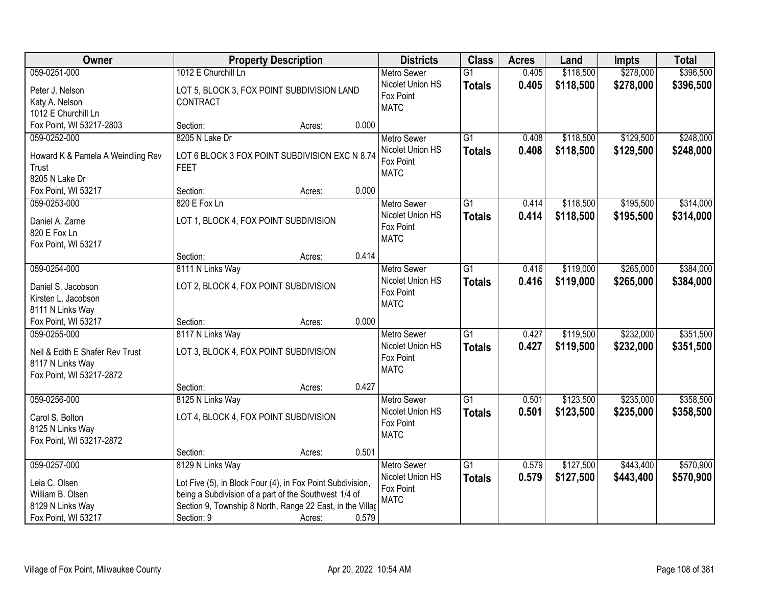| 059-0251-000<br>1012 E Churchill Ln<br>0.405<br>\$118,500<br>\$278,000<br><b>Metro Sewer</b><br>$\overline{G1}$                                     | \$396,500 |
|-----------------------------------------------------------------------------------------------------------------------------------------------------|-----------|
| Nicolet Union HS<br>0.405<br>\$118,500<br>\$278,000<br><b>Totals</b><br>LOT 5, BLOCK 3, FOX POINT SUBDIVISION LAND<br>Peter J. Nelson               | \$396,500 |
| Fox Point<br>Katy A. Nelson<br>CONTRACT                                                                                                             |           |
| <b>MATC</b><br>1012 E Churchill Ln                                                                                                                  |           |
| Fox Point, WI 53217-2803<br>0.000<br>Section:<br>Acres:                                                                                             |           |
| \$129,500<br>059-0252-000<br>8205 N Lake Dr<br>$\overline{G1}$<br>0.408<br>\$118,500<br><b>Metro Sewer</b>                                          | \$248,000 |
| 0.408<br>\$118,500<br>\$129,500<br>Nicolet Union HS<br><b>Totals</b>                                                                                | \$248,000 |
| Howard K & Pamela A Weindling Rev<br>LOT 6 BLOCK 3 FOX POINT SUBDIVISION EXC N 8.74<br>Fox Point                                                    |           |
| Trust<br><b>FEET</b><br><b>MATC</b><br>8205 N Lake Dr                                                                                               |           |
| 0.000<br>Fox Point, WI 53217<br>Section:                                                                                                            |           |
| Acres:<br>\$118,500<br>\$195,500<br>059-0253-000<br>820 E Fox Ln<br>$\overline{G1}$<br><b>Metro Sewer</b><br>0.414                                  | \$314,000 |
| Nicolet Union HS                                                                                                                                    |           |
| 0.414<br>\$118,500<br>\$195,500<br><b>Totals</b><br>Daniel A. Zarne<br>LOT 1, BLOCK 4, FOX POINT SUBDIVISION<br>Fox Point                           | \$314,000 |
| 820 E Fox Ln<br><b>MATC</b>                                                                                                                         |           |
| Fox Point, WI 53217                                                                                                                                 |           |
| 0.414<br>Section:<br>Acres:                                                                                                                         |           |
| 059-0254-000<br>8111 N Links Way<br>$\overline{G1}$<br>\$119,000<br>\$265,000<br><b>Metro Sewer</b><br>0.416                                        | \$384,000 |
| Nicolet Union HS<br>0.416<br>\$119,000<br>\$265,000<br><b>Totals</b><br>LOT 2, BLOCK 4, FOX POINT SUBDIVISION<br>Daniel S. Jacobson                 | \$384,000 |
| Fox Point<br>Kirsten L. Jacobson                                                                                                                    |           |
| <b>MATC</b><br>8111 N Links Way                                                                                                                     |           |
| 0.000<br>Fox Point, WI 53217<br>Section:<br>Acres:                                                                                                  |           |
| \$232,000<br>8117 N Links Way<br>$\overline{G1}$<br>0.427<br>\$119,500<br>059-0255-000<br><b>Metro Sewer</b>                                        | \$351,500 |
| 0.427<br>\$119,500<br>Nicolet Union HS<br>Totals<br>\$232,000                                                                                       | \$351,500 |
| LOT 3, BLOCK 4, FOX POINT SUBDIVISION<br>Neil & Edith E Shafer Rev Trust<br>Fox Point                                                               |           |
| 8117 N Links Way<br><b>MATC</b>                                                                                                                     |           |
| Fox Point, WI 53217-2872                                                                                                                            |           |
| 0.427<br>Section:<br>Acres:                                                                                                                         |           |
| $\overline{G1}$<br>\$123,500<br>\$235,000<br>059-0256-000<br>8125 N Links Way<br>Metro Sewer<br>0.501                                               | \$358,500 |
| Nicolet Union HS<br>0.501<br>\$123,500<br>\$235,000<br><b>Totals</b><br>Carol S. Bolton<br>LOT 4, BLOCK 4, FOX POINT SUBDIVISION                    | \$358,500 |
| Fox Point<br>8125 N Links Way<br><b>MATC</b>                                                                                                        |           |
| Fox Point, WI 53217-2872                                                                                                                            |           |
| 0.501<br>Section:<br>Acres:                                                                                                                         |           |
| 059-0257-000<br>8129 N Links Way<br>$\overline{G1}$<br>\$127,500<br>\$443,400<br><b>Metro Sewer</b><br>0.579                                        | \$570,900 |
| Nicolet Union HS<br>0.579<br>\$127,500<br>\$443,400<br><b>Totals</b><br>Leia C. Olsen<br>Lot Five (5), in Block Four (4), in Fox Point Subdivision, | \$570,900 |
| Fox Point<br>William B. Olsen<br>being a Subdivision of a part of the Southwest 1/4 of                                                              |           |
| <b>MATC</b><br>Section 9, Township 8 North, Range 22 East, in the Villag<br>8129 N Links Way                                                        |           |
| 0.579<br>Fox Point, WI 53217<br>Section: 9<br>Acres:                                                                                                |           |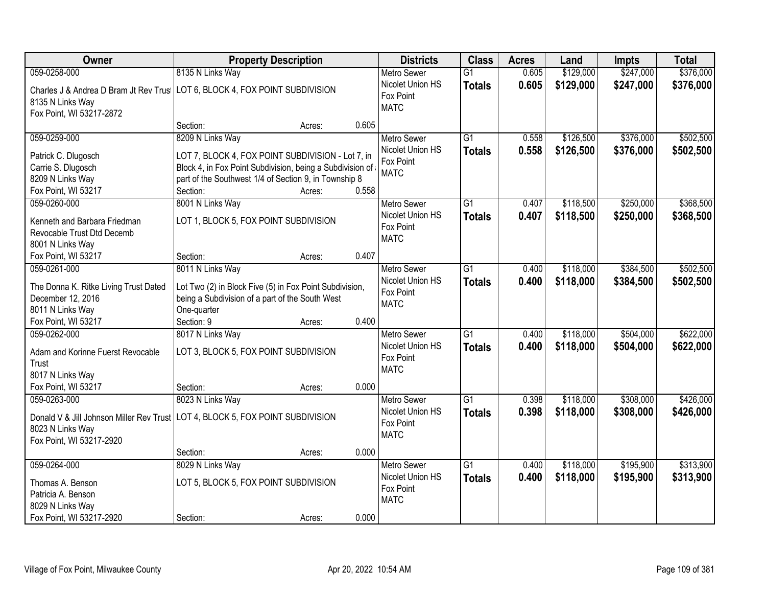| Owner<br><b>Districts</b><br><b>Class</b><br><b>Property Description</b><br><b>Acres</b><br>Land                                                                                                                     | <b>Impts</b> | <b>Total</b> |
|----------------------------------------------------------------------------------------------------------------------------------------------------------------------------------------------------------------------|--------------|--------------|
| 8135 N Links Way<br>0.605<br>\$129,000<br>059-0258-000<br>$\overline{G1}$<br><b>Metro Sewer</b>                                                                                                                      | \$247,000    | \$376,000    |
| Nicolet Union HS<br>0.605<br>\$129,000<br><b>Totals</b><br>Charles J & Andrea D Bram Jt Rev Trus   LOT 6, BLOCK 4, FOX POINT SUBDIVISION<br>Fox Point<br>8135 N Links Way<br><b>MATC</b><br>Fox Point, WI 53217-2872 | \$247,000    | \$376,000    |
| 0.605<br>Section:<br>Acres:                                                                                                                                                                                          |              |              |
| 8209 N Links Way<br>$\overline{G1}$<br>\$126,500<br>059-0259-000<br>0.558<br><b>Metro Sewer</b><br>Nicolet Union HS                                                                                                  | \$376,000    | \$502,500    |
| 0.558<br>\$126,500<br><b>Totals</b><br>LOT 7, BLOCK 4, FOX POINT SUBDIVISION - Lot 7, in<br>Patrick C. Dlugosch<br>Fox Point                                                                                         | \$376,000    | \$502,500    |
| Carrie S. Dlugosch<br>Block 4, in Fox Point Subdivision, being a Subdivision of<br><b>MATC</b>                                                                                                                       |              |              |
| 8209 N Links Way<br>part of the Southwest 1/4 of Section 9, in Township 8                                                                                                                                            |              |              |
| 0.558<br>Fox Point, WI 53217<br>Section:<br>Acres:                                                                                                                                                                   |              |              |
| 8001 N Links Way<br>059-0260-000<br>G1<br>\$118,500<br><b>Metro Sewer</b><br>0.407                                                                                                                                   | \$250,000    | \$368,500    |
| Nicolet Union HS<br>0.407<br>\$118,500<br><b>Totals</b><br>LOT 1, BLOCK 5, FOX POINT SUBDIVISION<br>Kenneth and Barbara Friedman                                                                                     | \$250,000    | \$368,500    |
| Fox Point<br>Revocable Trust Dtd Decemb                                                                                                                                                                              |              |              |
| <b>MATC</b><br>8001 N Links Way                                                                                                                                                                                      |              |              |
| 0.407<br>Fox Point, WI 53217<br>Section:<br>Acres:                                                                                                                                                                   |              |              |
| 059-0261-000<br>8011 N Links Way<br>\$118,000<br>G1<br><b>Metro Sewer</b><br>0.400                                                                                                                                   | \$384,500    | \$502,500    |
| Nicolet Union HS<br>0.400<br>\$118,000<br><b>Totals</b>                                                                                                                                                              | \$384,500    | \$502,500    |
| The Donna K. Ritke Living Trust Dated<br>Lot Two (2) in Block Five (5) in Fox Point Subdivision,<br>Fox Point                                                                                                        |              |              |
| December 12, 2016<br>being a Subdivision of a part of the South West<br><b>MATC</b>                                                                                                                                  |              |              |
| 8011 N Links Way<br>One-quarter                                                                                                                                                                                      |              |              |
| 0.400<br>Fox Point, WI 53217<br>Section: 9<br>Acres:                                                                                                                                                                 |              |              |
| 059-0262-000<br>8017 N Links Way<br>$\overline{G1}$<br>0.400<br>\$118,000<br>Metro Sewer                                                                                                                             | \$504,000    | \$622,000    |
| Nicolet Union HS<br>0.400<br>\$118,000<br><b>Totals</b><br>LOT 3, BLOCK 5, FOX POINT SUBDIVISION<br>Adam and Korinne Fuerst Revocable                                                                                | \$504,000    | \$622,000    |
| Fox Point<br>Trust                                                                                                                                                                                                   |              |              |
| <b>MATC</b><br>8017 N Links Way                                                                                                                                                                                      |              |              |
| Fox Point, WI 53217<br>0.000<br>Section:<br>Acres:                                                                                                                                                                   |              |              |
| $\overline{G1}$<br>059-0263-000<br>8023 N Links Way<br>0.398<br>\$118,000<br><b>Metro Sewer</b>                                                                                                                      | \$308,000    | \$426,000    |
| Nicolet Union HS<br>0.398<br>\$118,000                                                                                                                                                                               | \$308,000    |              |
| <b>Totals</b><br>Donald V & Jill Johnson Miller Rev Trust LOT 4, BLOCK 5, FOX POINT SUBDIVISION<br>Fox Point                                                                                                         |              | \$426,000    |
| 8023 N Links Way<br><b>MATC</b>                                                                                                                                                                                      |              |              |
| Fox Point, WI 53217-2920                                                                                                                                                                                             |              |              |
| 0.000<br>Section:<br>Acres:                                                                                                                                                                                          |              |              |
| $\overline{G1}$<br>\$118,000<br>059-0264-000<br>8029 N Links Way<br>0.400<br><b>Metro Sewer</b>                                                                                                                      | \$195,900    | \$313,900    |
| Nicolet Union HS<br>0.400<br>\$118,000<br><b>Totals</b><br>LOT 5, BLOCK 5, FOX POINT SUBDIVISION<br>Thomas A. Benson                                                                                                 | \$195,900    | \$313,900    |
| Fox Point<br>Patricia A. Benson                                                                                                                                                                                      |              |              |
| <b>MATC</b><br>8029 N Links Way                                                                                                                                                                                      |              |              |
| 0.000<br>Fox Point, WI 53217-2920<br>Section:<br>Acres:                                                                                                                                                              |              |              |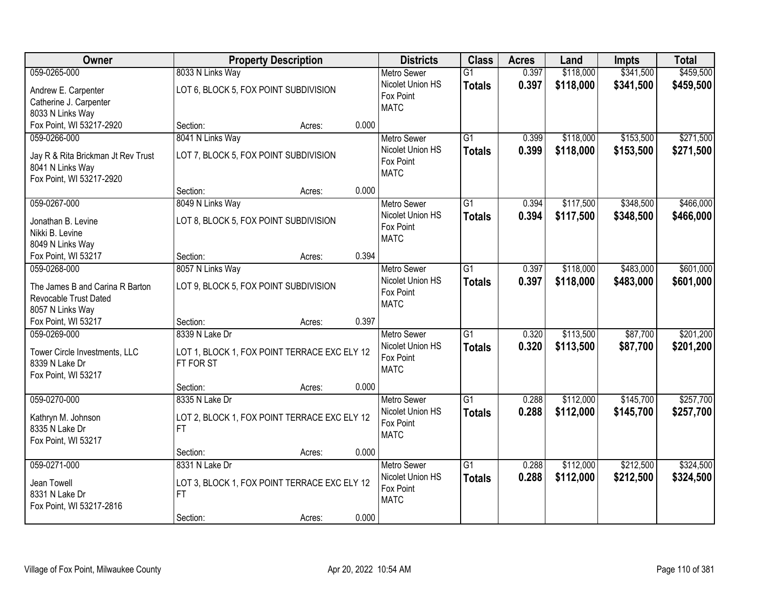| Owner                                           |                                                           | <b>Property Description</b> |       | <b>Districts</b>   | <b>Class</b>    | <b>Acres</b> | Land      | <b>Impts</b> | <b>Total</b> |
|-------------------------------------------------|-----------------------------------------------------------|-----------------------------|-------|--------------------|-----------------|--------------|-----------|--------------|--------------|
| 059-0265-000                                    | 8033 N Links Way                                          |                             |       | <b>Metro Sewer</b> | $\overline{G1}$ | 0.397        | \$118,000 | \$341,500    | \$459,500    |
| Andrew E. Carpenter                             | LOT 6, BLOCK 5, FOX POINT SUBDIVISION                     |                             |       | Nicolet Union HS   | <b>Totals</b>   | 0.397        | \$118,000 | \$341,500    | \$459,500    |
| Catherine J. Carpenter                          |                                                           |                             |       | Fox Point          |                 |              |           |              |              |
| 8033 N Links Way                                |                                                           |                             |       | <b>MATC</b>        |                 |              |           |              |              |
| Fox Point, WI 53217-2920                        | Section:                                                  | Acres:                      | 0.000 |                    |                 |              |           |              |              |
| 059-0266-000                                    | 8041 N Links Way                                          |                             |       | <b>Metro Sewer</b> | $\overline{G1}$ | 0.399        | \$118,000 | \$153,500    | \$271,500    |
| Jay R & Rita Brickman Jt Rev Trust              | LOT 7, BLOCK 5, FOX POINT SUBDIVISION                     |                             |       | Nicolet Union HS   | <b>Totals</b>   | 0.399        | \$118,000 | \$153,500    | \$271,500    |
| 8041 N Links Way                                |                                                           |                             |       | Fox Point          |                 |              |           |              |              |
| Fox Point, WI 53217-2920                        |                                                           |                             |       | <b>MATC</b>        |                 |              |           |              |              |
|                                                 | Section:                                                  | Acres:                      | 0.000 |                    |                 |              |           |              |              |
| 059-0267-000                                    | 8049 N Links Way                                          |                             |       | Metro Sewer        | G1              | 0.394        | \$117,500 | \$348,500    | \$466,000    |
| Jonathan B. Levine                              | LOT 8, BLOCK 5, FOX POINT SUBDIVISION                     |                             |       | Nicolet Union HS   | <b>Totals</b>   | 0.394        | \$117,500 | \$348,500    | \$466,000    |
| Nikki B. Levine                                 |                                                           |                             |       | Fox Point          |                 |              |           |              |              |
| 8049 N Links Way                                |                                                           |                             |       | <b>MATC</b>        |                 |              |           |              |              |
| Fox Point, WI 53217                             | Section:                                                  | Acres:                      | 0.394 |                    |                 |              |           |              |              |
| 059-0268-000                                    | 8057 N Links Way                                          |                             |       | <b>Metro Sewer</b> | G1              | 0.397        | \$118,000 | \$483,000    | \$601,000    |
| The James B and Carina R Barton                 | LOT 9, BLOCK 5, FOX POINT SUBDIVISION                     |                             |       | Nicolet Union HS   | <b>Totals</b>   | 0.397        | \$118,000 | \$483,000    | \$601,000    |
| Revocable Trust Dated                           |                                                           |                             |       | Fox Point          |                 |              |           |              |              |
| 8057 N Links Way                                |                                                           |                             |       | <b>MATC</b>        |                 |              |           |              |              |
| Fox Point, WI 53217                             | Section:                                                  | Acres:                      | 0.397 |                    |                 |              |           |              |              |
| 059-0269-000                                    | 8339 N Lake Dr                                            |                             |       | <b>Metro Sewer</b> | $\overline{G1}$ | 0.320        | \$113,500 | \$87,700     | \$201,200    |
|                                                 |                                                           |                             |       | Nicolet Union HS   | <b>Totals</b>   | 0.320        | \$113,500 | \$87,700     | \$201,200    |
| Tower Circle Investments, LLC<br>8339 N Lake Dr | LOT 1, BLOCK 1, FOX POINT TERRACE EXC ELY 12<br>FT FOR ST |                             |       | Fox Point          |                 |              |           |              |              |
| Fox Point, WI 53217                             |                                                           |                             |       | <b>MATC</b>        |                 |              |           |              |              |
|                                                 | Section:                                                  | Acres:                      | 0.000 |                    |                 |              |           |              |              |
| 059-0270-000                                    | 8335 N Lake Dr                                            |                             |       | Metro Sewer        | $\overline{G1}$ | 0.288        | \$112,000 | \$145,700    | \$257,700    |
| Kathryn M. Johnson                              | LOT 2, BLOCK 1, FOX POINT TERRACE EXC ELY 12              |                             |       | Nicolet Union HS   | <b>Totals</b>   | 0.288        | \$112,000 | \$145,700    | \$257,700    |
| 8335 N Lake Dr                                  | FT.                                                       |                             |       | Fox Point          |                 |              |           |              |              |
| Fox Point, WI 53217                             |                                                           |                             |       | <b>MATC</b>        |                 |              |           |              |              |
|                                                 | Section:                                                  | Acres:                      | 0.000 |                    |                 |              |           |              |              |
| 059-0271-000                                    | 8331 N Lake Dr                                            |                             |       | <b>Metro Sewer</b> | $\overline{G1}$ | 0.288        | \$112,000 | \$212,500    | \$324,500    |
|                                                 |                                                           |                             |       | Nicolet Union HS   | <b>Totals</b>   | 0.288        | \$112,000 | \$212,500    | \$324,500    |
| Jean Towell<br>8331 N Lake Dr                   | LOT 3, BLOCK 1, FOX POINT TERRACE EXC ELY 12<br>FT.       |                             |       | Fox Point          |                 |              |           |              |              |
| Fox Point, WI 53217-2816                        |                                                           |                             |       | <b>MATC</b>        |                 |              |           |              |              |
|                                                 | Section:                                                  | Acres:                      | 0.000 |                    |                 |              |           |              |              |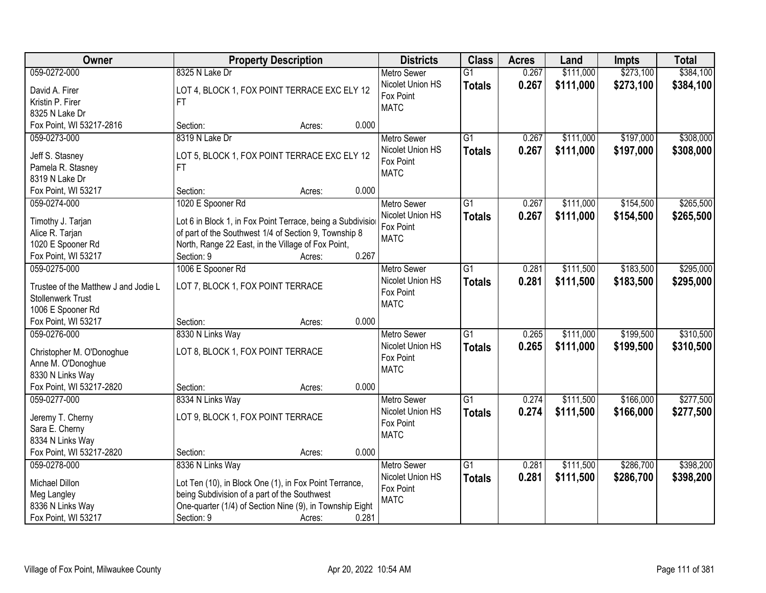| \$384,100<br>059-0272-000<br>8325 N Lake Dr<br>0.267<br>\$111,000<br>\$273,100<br>$\overline{G1}$<br><b>Metro Sewer</b><br>0.267<br>Nicolet Union HS<br>\$111,000<br>\$273,100<br>\$384,100<br><b>Totals</b><br>LOT 4, BLOCK 1, FOX POINT TERRACE EXC ELY 12<br>David A. Firer<br>Fox Point<br>Kristin P. Firer<br>FT. |
|------------------------------------------------------------------------------------------------------------------------------------------------------------------------------------------------------------------------------------------------------------------------------------------------------------------------|
|                                                                                                                                                                                                                                                                                                                        |
|                                                                                                                                                                                                                                                                                                                        |
|                                                                                                                                                                                                                                                                                                                        |
| <b>MATC</b><br>8325 N Lake Dr                                                                                                                                                                                                                                                                                          |
| 0.000<br>Fox Point, WI 53217-2816<br>Section:<br>Acres:                                                                                                                                                                                                                                                                |
| \$308,000<br>8319 N Lake Dr<br>$\overline{G1}$<br>\$111,000<br>\$197,000<br>059-0273-000<br><b>Metro Sewer</b><br>0.267                                                                                                                                                                                                |
| 0.267<br>\$197,000<br>Nicolet Union HS<br>\$111,000<br>\$308,000<br><b>Totals</b>                                                                                                                                                                                                                                      |
| Jeff S. Stasney<br>LOT 5, BLOCK 1, FOX POINT TERRACE EXC ELY 12<br>Fox Point<br>Pamela R. Stasney                                                                                                                                                                                                                      |
| FT.<br><b>MATC</b><br>8319 N Lake Dr                                                                                                                                                                                                                                                                                   |
| 0.000<br>Fox Point, WI 53217<br>Section:<br>Acres:                                                                                                                                                                                                                                                                     |
| \$154,500<br>\$265,500<br>059-0274-000<br>1020 E Spooner Rd<br>$\overline{G1}$<br>0.267<br>\$111,000<br><b>Metro Sewer</b>                                                                                                                                                                                             |
| Nicolet Union HS<br>0.267<br>\$111,000<br>\$154,500<br>\$265,500                                                                                                                                                                                                                                                       |
| <b>Totals</b><br>Lot 6 in Block 1, in Fox Point Terrace, being a Subdivisio<br>Timothy J. Tarjan<br>Fox Point                                                                                                                                                                                                          |
| Alice R. Tarjan<br>of part of the Southwest 1/4 of Section 9, Township 8<br><b>MATC</b>                                                                                                                                                                                                                                |
| North, Range 22 East, in the Village of Fox Point,<br>1020 E Spooner Rd                                                                                                                                                                                                                                                |
| 0.267<br>Section: 9<br>Fox Point, WI 53217<br>Acres:                                                                                                                                                                                                                                                                   |
| 1006 E Spooner Rd<br>$\overline{G1}$<br>\$111,500<br>\$183,500<br>\$295,000<br>059-0275-000<br><b>Metro Sewer</b><br>0.281                                                                                                                                                                                             |
| Nicolet Union HS<br>0.281<br>\$111,500<br>\$183,500<br>\$295,000<br><b>Totals</b><br>LOT 7, BLOCK 1, FOX POINT TERRACE<br>Trustee of the Matthew J and Jodie L                                                                                                                                                         |
| Fox Point<br><b>Stollenwerk Trust</b>                                                                                                                                                                                                                                                                                  |
| <b>MATC</b><br>1006 E Spooner Rd                                                                                                                                                                                                                                                                                       |
| 0.000<br>Fox Point, WI 53217<br>Section:<br>Acres:                                                                                                                                                                                                                                                                     |
| $\overline{G1}$<br>\$111,000<br>\$199,500<br>\$310,500<br>059-0276-000<br>8330 N Links Way<br>0.265<br><b>Metro Sewer</b>                                                                                                                                                                                              |
| Nicolet Union HS<br>0.265<br>\$111,000<br>\$199,500<br><b>Totals</b><br>\$310,500                                                                                                                                                                                                                                      |
| LOT 8, BLOCK 1, FOX POINT TERRACE<br>Christopher M. O'Donoghue<br>Fox Point                                                                                                                                                                                                                                            |
| Anne M. O'Donoghue<br><b>MATC</b>                                                                                                                                                                                                                                                                                      |
| 8330 N Links Way                                                                                                                                                                                                                                                                                                       |
| Fox Point, WI 53217-2820<br>0.000<br>Section:<br>Acres:                                                                                                                                                                                                                                                                |
| G1<br>\$166,000<br>\$277,500<br>059-0277-000<br>8334 N Links Way<br>Metro Sewer<br>0.274<br>\$111,500                                                                                                                                                                                                                  |
| 0.274<br>Nicolet Union HS<br>\$111,500<br>\$166,000<br>\$277,500<br><b>Totals</b><br>LOT 9, BLOCK 1, FOX POINT TERRACE<br>Jeremy T. Cherny                                                                                                                                                                             |
| Fox Point<br>Sara E. Cherny                                                                                                                                                                                                                                                                                            |
| <b>MATC</b><br>8334 N Links Way                                                                                                                                                                                                                                                                                        |
| Fox Point, WI 53217-2820<br>0.000<br>Section:<br>Acres:                                                                                                                                                                                                                                                                |
| \$111,500<br>\$286,700<br>\$398,200<br>059-0278-000<br>8336 N Links Way<br><b>Metro Sewer</b><br>G1<br>0.281                                                                                                                                                                                                           |
| Nicolet Union HS<br>0.281<br>\$398,200<br>\$111,500<br>\$286,700<br><b>Totals</b><br>Michael Dillon<br>Lot Ten (10), in Block One (1), in Fox Point Terrance,                                                                                                                                                          |
| Fox Point<br>being Subdivision of a part of the Southwest<br>Meg Langley                                                                                                                                                                                                                                               |
| <b>MATC</b><br>8336 N Links Way<br>One-quarter (1/4) of Section Nine (9), in Township Eight                                                                                                                                                                                                                            |
| 0.281<br>Fox Point, WI 53217<br>Section: 9<br>Acres:                                                                                                                                                                                                                                                                   |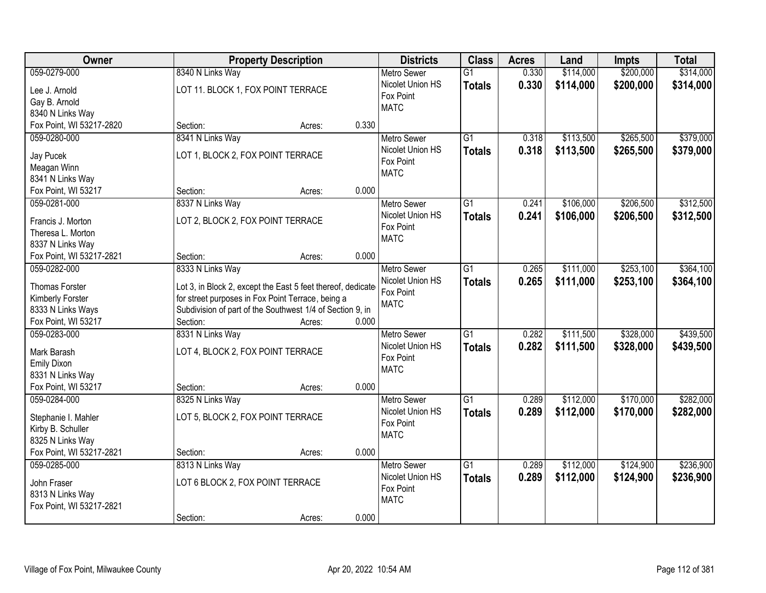| \$200,000<br>059-0279-000<br>8340 N Links Way<br>0.330<br>\$114,000<br>$\overline{G1}$<br><b>Metro Sewer</b><br>Nicolet Union HS<br>0.330<br>\$114,000<br>\$200,000<br><b>Totals</b><br>LOT 11. BLOCK 1, FOX POINT TERRACE<br>Lee J. Arnold<br>Fox Point | \$314,000<br>\$314,000 |
|----------------------------------------------------------------------------------------------------------------------------------------------------------------------------------------------------------------------------------------------------------|------------------------|
|                                                                                                                                                                                                                                                          |                        |
|                                                                                                                                                                                                                                                          |                        |
| Gay B. Arnold                                                                                                                                                                                                                                            |                        |
| <b>MATC</b><br>8340 N Links Way                                                                                                                                                                                                                          |                        |
| Fox Point, WI 53217-2820<br>0.330<br>Section:<br>Acres:                                                                                                                                                                                                  |                        |
| $\overline{G1}$<br>\$113,500<br>\$265,500<br>059-0280-000<br>8341 N Links Way<br>0.318<br><b>Metro Sewer</b>                                                                                                                                             | \$379,000              |
| Nicolet Union HS<br>0.318<br>\$113,500<br>\$265,500<br><b>Totals</b>                                                                                                                                                                                     | \$379,000              |
| LOT 1, BLOCK 2, FOX POINT TERRACE<br>Jay Pucek<br>Fox Point                                                                                                                                                                                              |                        |
| Meagan Winn<br><b>MATC</b>                                                                                                                                                                                                                               |                        |
| 8341 N Links Way                                                                                                                                                                                                                                         |                        |
| 0.000<br>Fox Point, WI 53217<br>Section:<br>Acres:                                                                                                                                                                                                       |                        |
| 059-0281-000<br>8337 N Links Way<br>\$106,000<br>\$206,500<br>Metro Sewer<br>G1<br>0.241                                                                                                                                                                 | \$312,500              |
| Nicolet Union HS<br>0.241<br>\$106,000<br>\$206,500<br><b>Totals</b><br>LOT 2, BLOCK 2, FOX POINT TERRACE<br>Francis J. Morton                                                                                                                           | \$312,500              |
| Fox Point<br>Theresa L. Morton                                                                                                                                                                                                                           |                        |
| <b>MATC</b><br>8337 N Links Way                                                                                                                                                                                                                          |                        |
| 0.000<br>Fox Point, WI 53217-2821<br>Section:<br>Acres:                                                                                                                                                                                                  |                        |
| $\overline{G1}$<br>\$111,000<br>\$253,100<br>059-0282-000<br>8333 N Links Way<br><b>Metro Sewer</b><br>0.265                                                                                                                                             | \$364,100              |
| Nicolet Union HS<br>0.265<br>\$111,000<br>\$253,100<br><b>Totals</b>                                                                                                                                                                                     | \$364,100              |
| <b>Thomas Forster</b><br>Lot 3, in Block 2, except the East 5 feet thereof, dedicate<br>Fox Point                                                                                                                                                        |                        |
| for street purposes in Fox Point Terrace, being a<br>Kimberly Forster<br><b>MATC</b>                                                                                                                                                                     |                        |
| 8333 N Links Ways<br>Subdivision of part of the Southwest 1/4 of Section 9, in                                                                                                                                                                           |                        |
| Fox Point, WI 53217<br>Section:<br>0.000<br>Acres:                                                                                                                                                                                                       |                        |
| $\overline{G1}$<br>\$328,000<br>059-0283-000<br>8331 N Links Way<br>0.282<br>\$111,500<br><b>Metro Sewer</b>                                                                                                                                             | \$439,500              |
| Nicolet Union HS<br>0.282<br>\$328,000<br>\$111,500<br><b>Totals</b><br>LOT 4, BLOCK 2, FOX POINT TERRACE<br>Mark Barash                                                                                                                                 | \$439,500              |
| Fox Point<br><b>Emily Dixon</b>                                                                                                                                                                                                                          |                        |
| <b>MATC</b><br>8331 N Links Way                                                                                                                                                                                                                          |                        |
| Fox Point, WI 53217<br>0.000<br>Section:<br>Acres:                                                                                                                                                                                                       |                        |
| 059-0284-000<br>8325 N Links Way<br>$\overline{G1}$<br>\$112,000<br>\$170,000<br><b>Metro Sewer</b><br>0.289                                                                                                                                             | \$282,000              |
| Nicolet Union HS<br>0.289<br>\$112,000<br>\$170,000<br><b>Totals</b>                                                                                                                                                                                     | \$282,000              |
| LOT 5, BLOCK 2, FOX POINT TERRACE<br>Stephanie I. Mahler<br>Fox Point                                                                                                                                                                                    |                        |
| Kirby B. Schuller<br><b>MATC</b>                                                                                                                                                                                                                         |                        |
| 8325 N Links Way                                                                                                                                                                                                                                         |                        |
| Fox Point, WI 53217-2821<br>0.000<br>Section:<br>Acres:                                                                                                                                                                                                  |                        |
| $\overline{G1}$<br>\$112,000<br>\$124,900<br>059-0285-000<br>8313 N Links Way<br>0.289<br><b>Metro Sewer</b>                                                                                                                                             | \$236,900              |
| Nicolet Union HS<br>0.289<br>\$112,000<br>\$124,900<br><b>Totals</b><br>LOT 6 BLOCK 2, FOX POINT TERRACE<br>John Fraser                                                                                                                                  | \$236,900              |
| Fox Point<br>8313 N Links Way                                                                                                                                                                                                                            |                        |
| <b>MATC</b><br>Fox Point, WI 53217-2821                                                                                                                                                                                                                  |                        |
| 0.000<br>Section:<br>Acres:                                                                                                                                                                                                                              |                        |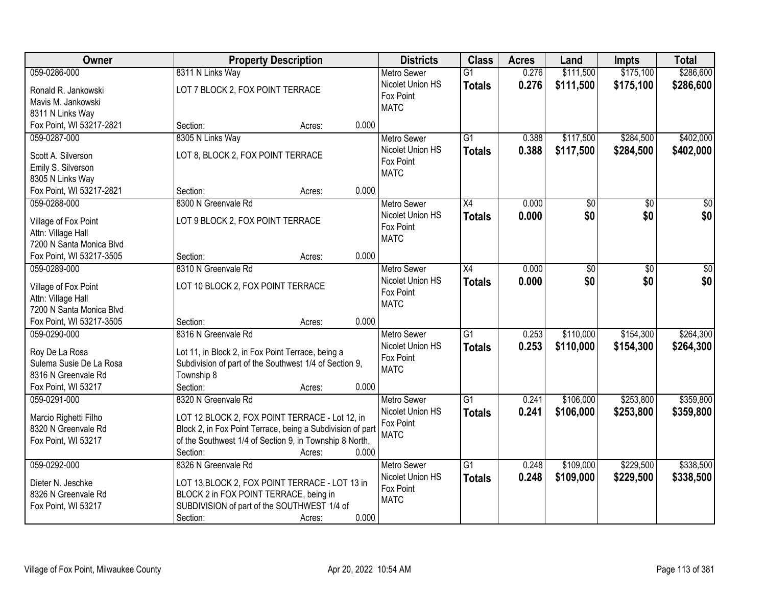| Owner                                     | <b>Property Description</b>                                                                                 | <b>Districts</b>         | <b>Class</b>    | <b>Acres</b> | Land      | <b>Impts</b> | <b>Total</b> |
|-------------------------------------------|-------------------------------------------------------------------------------------------------------------|--------------------------|-----------------|--------------|-----------|--------------|--------------|
| 059-0286-000                              | 8311 N Links Way                                                                                            | <b>Metro Sewer</b>       | $\overline{G1}$ | 0.276        | \$111,500 | \$175,100    | \$286,600    |
| Ronald R. Jankowski                       | LOT 7 BLOCK 2, FOX POINT TERRACE                                                                            | Nicolet Union HS         | <b>Totals</b>   | 0.276        | \$111,500 | \$175,100    | \$286,600    |
| Mavis M. Jankowski                        |                                                                                                             | Fox Point<br><b>MATC</b> |                 |              |           |              |              |
| 8311 N Links Way                          |                                                                                                             |                          |                 |              |           |              |              |
| Fox Point, WI 53217-2821                  | 0.000<br>Section:<br>Acres:                                                                                 |                          |                 |              |           |              |              |
| 059-0287-000                              | 8305 N Links Way                                                                                            | <b>Metro Sewer</b>       | $\overline{G1}$ | 0.388        | \$117,500 | \$284,500    | \$402,000    |
| Scott A. Silverson                        | LOT 8, BLOCK 2, FOX POINT TERRACE                                                                           | Nicolet Union HS         | <b>Totals</b>   | 0.388        | \$117,500 | \$284,500    | \$402,000    |
| Emily S. Silverson                        |                                                                                                             | Fox Point                |                 |              |           |              |              |
| 8305 N Links Way                          |                                                                                                             | <b>MATC</b>              |                 |              |           |              |              |
| Fox Point, WI 53217-2821                  | 0.000<br>Section:<br>Acres:                                                                                 |                          |                 |              |           |              |              |
| 059-0288-000                              | 8300 N Greenvale Rd                                                                                         | <b>Metro Sewer</b>       | X4              | 0.000        | \$0       | \$0          | \$0          |
|                                           |                                                                                                             | Nicolet Union HS         | <b>Totals</b>   | 0.000        | \$0       | \$0          | \$0          |
| Village of Fox Point                      | LOT 9 BLOCK 2, FOX POINT TERRACE                                                                            | Fox Point                |                 |              |           |              |              |
| Attn: Village Hall                        |                                                                                                             | <b>MATC</b>              |                 |              |           |              |              |
| 7200 N Santa Monica Blvd                  |                                                                                                             |                          |                 |              |           |              |              |
| Fox Point, WI 53217-3505                  | 0.000<br>Section:<br>Acres:                                                                                 |                          |                 |              |           |              |              |
| 059-0289-000                              | 8310 N Greenvale Rd                                                                                         | <b>Metro Sewer</b>       | X4              | 0.000        | \$0       | \$0          | \$0          |
| Village of Fox Point                      | LOT 10 BLOCK 2, FOX POINT TERRACE                                                                           | Nicolet Union HS         | <b>Totals</b>   | 0.000        | \$0       | \$0          | \$0          |
| Attn: Village Hall                        |                                                                                                             | Fox Point                |                 |              |           |              |              |
| 7200 N Santa Monica Blvd                  |                                                                                                             | <b>MATC</b>              |                 |              |           |              |              |
| Fox Point, WI 53217-3505                  | 0.000<br>Section:<br>Acres:                                                                                 |                          |                 |              |           |              |              |
| 059-0290-000                              | 8316 N Greenvale Rd                                                                                         | <b>Metro Sewer</b>       | $\overline{G1}$ | 0.253        | \$110,000 | \$154,300    | \$264,300    |
|                                           |                                                                                                             | Nicolet Union HS         | Totals          | 0.253        | \$110,000 | \$154,300    | \$264,300    |
| Roy De La Rosa<br>Sulema Susie De La Rosa | Lot 11, in Block 2, in Fox Point Terrace, being a<br>Subdivision of part of the Southwest 1/4 of Section 9, | Fox Point                |                 |              |           |              |              |
| 8316 N Greenvale Rd                       | Township 8                                                                                                  | <b>MATC</b>              |                 |              |           |              |              |
| Fox Point, WI 53217                       | Section:<br>0.000<br>Acres:                                                                                 |                          |                 |              |           |              |              |
| 059-0291-000                              | 8320 N Greenvale Rd                                                                                         | Metro Sewer              | $\overline{G1}$ | 0.241        | \$106,000 | \$253,800    | \$359,800    |
|                                           |                                                                                                             | Nicolet Union HS         | <b>Totals</b>   | 0.241        | \$106,000 | \$253,800    | \$359,800    |
| Marcio Righetti Filho                     | LOT 12 BLOCK 2, FOX POINT TERRACE - Lot 12, in                                                              | Fox Point                |                 |              |           |              |              |
| 8320 N Greenvale Rd                       | Block 2, in Fox Point Terrace, being a Subdivision of part                                                  | <b>MATC</b>              |                 |              |           |              |              |
| Fox Point, WI 53217                       | of the Southwest 1/4 of Section 9, in Township 8 North,                                                     |                          |                 |              |           |              |              |
|                                           | 0.000<br>Section:<br>Acres:                                                                                 |                          |                 |              |           |              |              |
| 059-0292-000                              | 8326 N Greenvale Rd                                                                                         | <b>Metro Sewer</b>       | $\overline{G1}$ | 0.248        | \$109,000 | \$229,500    | \$338,500    |
| Dieter N. Jeschke                         | LOT 13, BLOCK 2, FOX POINT TERRACE - LOT 13 in                                                              | Nicolet Union HS         | <b>Totals</b>   | 0.248        | \$109,000 | \$229,500    | \$338,500    |
| 8326 N Greenvale Rd                       | BLOCK 2 in FOX POINT TERRACE, being in                                                                      | Fox Point                |                 |              |           |              |              |
| Fox Point, WI 53217                       | SUBDIVISION of part of the SOUTHWEST 1/4 of                                                                 | <b>MATC</b>              |                 |              |           |              |              |
|                                           | 0.000<br>Section:<br>Acres:                                                                                 |                          |                 |              |           |              |              |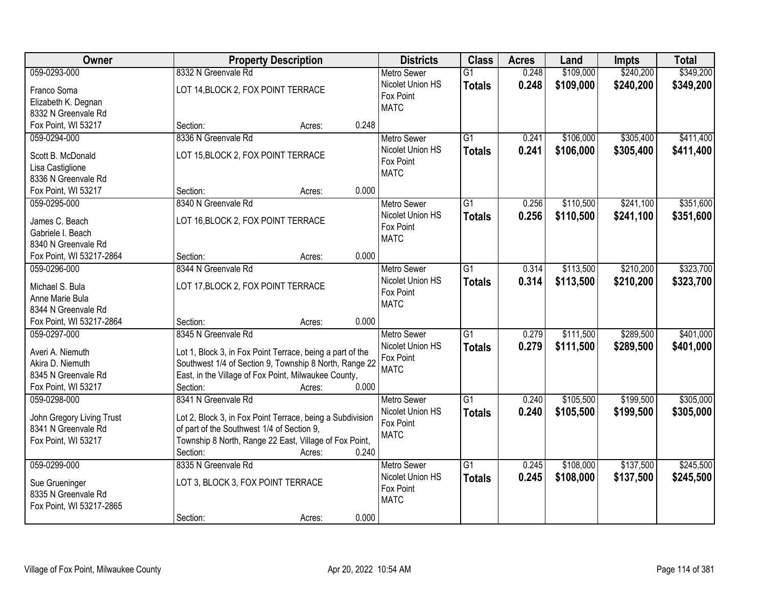| \$240,200<br>\$349,200<br>059-0293-000<br>8332 N Greenvale Rd<br>\$109,000<br><b>Metro Sewer</b><br>$\overline{G1}$<br>0.248<br>Nicolet Union HS<br>0.248<br>\$109,000<br>\$240,200<br><b>Totals</b><br>LOT 14, BLOCK 2, FOX POINT TERRACE<br>Franco Soma<br>Fox Point<br>Elizabeth K. Degnan<br><b>MATC</b><br>8332 N Greenvale Rd<br>Fox Point, WI 53217<br>0.248<br>Section:<br>Acres:<br>\$305,400<br>059-0294-000<br>8336 N Greenvale Rd<br>$\overline{G1}$<br>0.241<br>\$106,000<br><b>Metro Sewer</b><br>Nicolet Union HS<br>0.241<br>\$106,000<br>\$305,400<br><b>Totals</b><br>LOT 15, BLOCK 2, FOX POINT TERRACE<br>Scott B. McDonald<br>Fox Point<br>Lisa Castiglione<br><b>MATC</b><br>8336 N Greenvale Rd<br>0.000<br>Fox Point, WI 53217<br>Section:<br>Acres:<br>$\overline{G1}$<br>\$110,500<br>\$241,100<br>059-0295-000<br>8340 N Greenvale Rd<br>Metro Sewer<br>0.256<br>Nicolet Union HS<br>0.256<br>\$110,500<br>\$241,100<br><b>Totals</b><br>LOT 16, BLOCK 2, FOX POINT TERRACE<br>James C. Beach<br>Fox Point<br>Gabriele I. Beach<br><b>MATC</b><br>8340 N Greenvale Rd<br>Fox Point, WI 53217-2864<br>0.000<br>Section:<br>Acres:<br>\$113,500<br>\$210,200<br>8344 N Greenvale Rd<br>$\overline{G1}$<br>059-0296-000<br><b>Metro Sewer</b><br>0.314<br>Nicolet Union HS<br>0.314<br>\$113,500<br>\$210,200<br><b>Totals</b><br>LOT 17, BLOCK 2, FOX POINT TERRACE<br>Michael S. Bula<br>Fox Point<br>Anne Marie Bula<br><b>MATC</b><br>8344 N Greenvale Rd<br>Fox Point, WI 53217-2864<br>0.000<br>Section:<br>Acres:<br>$\overline{G1}$<br>\$289,500<br>8345 N Greenvale Rd<br>0.279<br>\$111,500<br>059-0297-000<br><b>Metro Sewer</b><br>0.279<br>\$111,500<br>\$289,500<br>Nicolet Union HS<br><b>Totals</b><br>Averi A. Niemuth<br>Lot 1, Block 3, in Fox Point Terrace, being a part of the<br>Fox Point<br>Southwest 1/4 of Section 9, Township 8 North, Range 22<br>Akira D. Niemuth<br><b>MATC</b><br>East, in the Village of Fox Point, Milwaukee County,<br>8345 N Greenvale Rd<br>Fox Point, WI 53217<br>0.000<br>Section:<br>Acres:<br>8341 N Greenvale Rd<br>\$199,500<br>059-0298-000<br>$\overline{G1}$<br>\$105,500<br><b>Metro Sewer</b><br>0.240<br>Nicolet Union HS<br>0.240<br>\$105,500<br>\$199,500<br><b>Totals</b><br>John Gregory Living Trust<br>Lot 2, Block 3, in Fox Point Terrace, being a Subdivision<br>Fox Point<br>of part of the Southwest 1/4 of Section 9,<br>8341 N Greenvale Rd<br><b>MATC</b><br>Township 8 North, Range 22 East, Village of Fox Point,<br>Fox Point, WI 53217<br>0.240<br>Section:<br>Acres:<br>$\overline{G1}$<br>\$137,500<br>059-0299-000<br>8335 N Greenvale Rd<br>\$108,000<br><b>Metro Sewer</b><br>0.245<br>Nicolet Union HS<br>0.245<br>\$137,500<br>\$108,000<br><b>Totals</b><br>LOT 3, BLOCK 3, FOX POINT TERRACE<br>Sue Grueninger<br>Fox Point<br>8335 N Greenvale Rd<br><b>MATC</b><br>Fox Point, WI 53217-2865 | <b>Owner</b> | <b>Property Description</b> | <b>Districts</b> | <b>Class</b> | <b>Acres</b> | Land | <b>Impts</b> | <b>Total</b> |
|--------------------------------------------------------------------------------------------------------------------------------------------------------------------------------------------------------------------------------------------------------------------------------------------------------------------------------------------------------------------------------------------------------------------------------------------------------------------------------------------------------------------------------------------------------------------------------------------------------------------------------------------------------------------------------------------------------------------------------------------------------------------------------------------------------------------------------------------------------------------------------------------------------------------------------------------------------------------------------------------------------------------------------------------------------------------------------------------------------------------------------------------------------------------------------------------------------------------------------------------------------------------------------------------------------------------------------------------------------------------------------------------------------------------------------------------------------------------------------------------------------------------------------------------------------------------------------------------------------------------------------------------------------------------------------------------------------------------------------------------------------------------------------------------------------------------------------------------------------------------------------------------------------------------------------------------------------------------------------------------------------------------------------------------------------------------------------------------------------------------------------------------------------------------------------------------------------------------------------------------------------------------------------------------------------------------------------------------------------------------------------------------------------------------------------------------------------------------------------------------------------------------------------------------------------------------------------------------------------------------------------------------------------------------------------------------------------------------------------------------------------------------------------------------------------------------------------------------------------------------------------------------------------------------|--------------|-----------------------------|------------------|--------------|--------------|------|--------------|--------------|
|                                                                                                                                                                                                                                                                                                                                                                                                                                                                                                                                                                                                                                                                                                                                                                                                                                                                                                                                                                                                                                                                                                                                                                                                                                                                                                                                                                                                                                                                                                                                                                                                                                                                                                                                                                                                                                                                                                                                                                                                                                                                                                                                                                                                                                                                                                                                                                                                                                                                                                                                                                                                                                                                                                                                                                                                                                                                                                                    |              |                             |                  |              |              |      |              |              |
| \$411,400<br>\$323,700<br>\$323,700<br>\$401,000<br>\$305,000<br>\$305,000<br>\$245,500<br>\$245,500                                                                                                                                                                                                                                                                                                                                                                                                                                                                                                                                                                                                                                                                                                                                                                                                                                                                                                                                                                                                                                                                                                                                                                                                                                                                                                                                                                                                                                                                                                                                                                                                                                                                                                                                                                                                                                                                                                                                                                                                                                                                                                                                                                                                                                                                                                                                                                                                                                                                                                                                                                                                                                                                                                                                                                                                               |              |                             |                  |              |              |      |              | \$349,200    |
|                                                                                                                                                                                                                                                                                                                                                                                                                                                                                                                                                                                                                                                                                                                                                                                                                                                                                                                                                                                                                                                                                                                                                                                                                                                                                                                                                                                                                                                                                                                                                                                                                                                                                                                                                                                                                                                                                                                                                                                                                                                                                                                                                                                                                                                                                                                                                                                                                                                                                                                                                                                                                                                                                                                                                                                                                                                                                                                    |              |                             |                  |              |              |      |              |              |
|                                                                                                                                                                                                                                                                                                                                                                                                                                                                                                                                                                                                                                                                                                                                                                                                                                                                                                                                                                                                                                                                                                                                                                                                                                                                                                                                                                                                                                                                                                                                                                                                                                                                                                                                                                                                                                                                                                                                                                                                                                                                                                                                                                                                                                                                                                                                                                                                                                                                                                                                                                                                                                                                                                                                                                                                                                                                                                                    |              |                             |                  |              |              |      |              |              |
| \$411,400<br>\$351,600<br>\$351,600<br>\$401,000                                                                                                                                                                                                                                                                                                                                                                                                                                                                                                                                                                                                                                                                                                                                                                                                                                                                                                                                                                                                                                                                                                                                                                                                                                                                                                                                                                                                                                                                                                                                                                                                                                                                                                                                                                                                                                                                                                                                                                                                                                                                                                                                                                                                                                                                                                                                                                                                                                                                                                                                                                                                                                                                                                                                                                                                                                                                   |              |                             |                  |              |              |      |              |              |
|                                                                                                                                                                                                                                                                                                                                                                                                                                                                                                                                                                                                                                                                                                                                                                                                                                                                                                                                                                                                                                                                                                                                                                                                                                                                                                                                                                                                                                                                                                                                                                                                                                                                                                                                                                                                                                                                                                                                                                                                                                                                                                                                                                                                                                                                                                                                                                                                                                                                                                                                                                                                                                                                                                                                                                                                                                                                                                                    |              |                             |                  |              |              |      |              |              |
|                                                                                                                                                                                                                                                                                                                                                                                                                                                                                                                                                                                                                                                                                                                                                                                                                                                                                                                                                                                                                                                                                                                                                                                                                                                                                                                                                                                                                                                                                                                                                                                                                                                                                                                                                                                                                                                                                                                                                                                                                                                                                                                                                                                                                                                                                                                                                                                                                                                                                                                                                                                                                                                                                                                                                                                                                                                                                                                    |              |                             |                  |              |              |      |              |              |
|                                                                                                                                                                                                                                                                                                                                                                                                                                                                                                                                                                                                                                                                                                                                                                                                                                                                                                                                                                                                                                                                                                                                                                                                                                                                                                                                                                                                                                                                                                                                                                                                                                                                                                                                                                                                                                                                                                                                                                                                                                                                                                                                                                                                                                                                                                                                                                                                                                                                                                                                                                                                                                                                                                                                                                                                                                                                                                                    |              |                             |                  |              |              |      |              |              |
|                                                                                                                                                                                                                                                                                                                                                                                                                                                                                                                                                                                                                                                                                                                                                                                                                                                                                                                                                                                                                                                                                                                                                                                                                                                                                                                                                                                                                                                                                                                                                                                                                                                                                                                                                                                                                                                                                                                                                                                                                                                                                                                                                                                                                                                                                                                                                                                                                                                                                                                                                                                                                                                                                                                                                                                                                                                                                                                    |              |                             |                  |              |              |      |              |              |
|                                                                                                                                                                                                                                                                                                                                                                                                                                                                                                                                                                                                                                                                                                                                                                                                                                                                                                                                                                                                                                                                                                                                                                                                                                                                                                                                                                                                                                                                                                                                                                                                                                                                                                                                                                                                                                                                                                                                                                                                                                                                                                                                                                                                                                                                                                                                                                                                                                                                                                                                                                                                                                                                                                                                                                                                                                                                                                                    |              |                             |                  |              |              |      |              |              |
|                                                                                                                                                                                                                                                                                                                                                                                                                                                                                                                                                                                                                                                                                                                                                                                                                                                                                                                                                                                                                                                                                                                                                                                                                                                                                                                                                                                                                                                                                                                                                                                                                                                                                                                                                                                                                                                                                                                                                                                                                                                                                                                                                                                                                                                                                                                                                                                                                                                                                                                                                                                                                                                                                                                                                                                                                                                                                                                    |              |                             |                  |              |              |      |              |              |
|                                                                                                                                                                                                                                                                                                                                                                                                                                                                                                                                                                                                                                                                                                                                                                                                                                                                                                                                                                                                                                                                                                                                                                                                                                                                                                                                                                                                                                                                                                                                                                                                                                                                                                                                                                                                                                                                                                                                                                                                                                                                                                                                                                                                                                                                                                                                                                                                                                                                                                                                                                                                                                                                                                                                                                                                                                                                                                                    |              |                             |                  |              |              |      |              |              |
|                                                                                                                                                                                                                                                                                                                                                                                                                                                                                                                                                                                                                                                                                                                                                                                                                                                                                                                                                                                                                                                                                                                                                                                                                                                                                                                                                                                                                                                                                                                                                                                                                                                                                                                                                                                                                                                                                                                                                                                                                                                                                                                                                                                                                                                                                                                                                                                                                                                                                                                                                                                                                                                                                                                                                                                                                                                                                                                    |              |                             |                  |              |              |      |              |              |
|                                                                                                                                                                                                                                                                                                                                                                                                                                                                                                                                                                                                                                                                                                                                                                                                                                                                                                                                                                                                                                                                                                                                                                                                                                                                                                                                                                                                                                                                                                                                                                                                                                                                                                                                                                                                                                                                                                                                                                                                                                                                                                                                                                                                                                                                                                                                                                                                                                                                                                                                                                                                                                                                                                                                                                                                                                                                                                                    |              |                             |                  |              |              |      |              |              |
|                                                                                                                                                                                                                                                                                                                                                                                                                                                                                                                                                                                                                                                                                                                                                                                                                                                                                                                                                                                                                                                                                                                                                                                                                                                                                                                                                                                                                                                                                                                                                                                                                                                                                                                                                                                                                                                                                                                                                                                                                                                                                                                                                                                                                                                                                                                                                                                                                                                                                                                                                                                                                                                                                                                                                                                                                                                                                                                    |              |                             |                  |              |              |      |              |              |
|                                                                                                                                                                                                                                                                                                                                                                                                                                                                                                                                                                                                                                                                                                                                                                                                                                                                                                                                                                                                                                                                                                                                                                                                                                                                                                                                                                                                                                                                                                                                                                                                                                                                                                                                                                                                                                                                                                                                                                                                                                                                                                                                                                                                                                                                                                                                                                                                                                                                                                                                                                                                                                                                                                                                                                                                                                                                                                                    |              |                             |                  |              |              |      |              |              |
|                                                                                                                                                                                                                                                                                                                                                                                                                                                                                                                                                                                                                                                                                                                                                                                                                                                                                                                                                                                                                                                                                                                                                                                                                                                                                                                                                                                                                                                                                                                                                                                                                                                                                                                                                                                                                                                                                                                                                                                                                                                                                                                                                                                                                                                                                                                                                                                                                                                                                                                                                                                                                                                                                                                                                                                                                                                                                                                    |              |                             |                  |              |              |      |              |              |
|                                                                                                                                                                                                                                                                                                                                                                                                                                                                                                                                                                                                                                                                                                                                                                                                                                                                                                                                                                                                                                                                                                                                                                                                                                                                                                                                                                                                                                                                                                                                                                                                                                                                                                                                                                                                                                                                                                                                                                                                                                                                                                                                                                                                                                                                                                                                                                                                                                                                                                                                                                                                                                                                                                                                                                                                                                                                                                                    |              |                             |                  |              |              |      |              |              |
|                                                                                                                                                                                                                                                                                                                                                                                                                                                                                                                                                                                                                                                                                                                                                                                                                                                                                                                                                                                                                                                                                                                                                                                                                                                                                                                                                                                                                                                                                                                                                                                                                                                                                                                                                                                                                                                                                                                                                                                                                                                                                                                                                                                                                                                                                                                                                                                                                                                                                                                                                                                                                                                                                                                                                                                                                                                                                                                    |              |                             |                  |              |              |      |              |              |
|                                                                                                                                                                                                                                                                                                                                                                                                                                                                                                                                                                                                                                                                                                                                                                                                                                                                                                                                                                                                                                                                                                                                                                                                                                                                                                                                                                                                                                                                                                                                                                                                                                                                                                                                                                                                                                                                                                                                                                                                                                                                                                                                                                                                                                                                                                                                                                                                                                                                                                                                                                                                                                                                                                                                                                                                                                                                                                                    |              |                             |                  |              |              |      |              |              |
|                                                                                                                                                                                                                                                                                                                                                                                                                                                                                                                                                                                                                                                                                                                                                                                                                                                                                                                                                                                                                                                                                                                                                                                                                                                                                                                                                                                                                                                                                                                                                                                                                                                                                                                                                                                                                                                                                                                                                                                                                                                                                                                                                                                                                                                                                                                                                                                                                                                                                                                                                                                                                                                                                                                                                                                                                                                                                                                    |              |                             |                  |              |              |      |              |              |
|                                                                                                                                                                                                                                                                                                                                                                                                                                                                                                                                                                                                                                                                                                                                                                                                                                                                                                                                                                                                                                                                                                                                                                                                                                                                                                                                                                                                                                                                                                                                                                                                                                                                                                                                                                                                                                                                                                                                                                                                                                                                                                                                                                                                                                                                                                                                                                                                                                                                                                                                                                                                                                                                                                                                                                                                                                                                                                                    |              |                             |                  |              |              |      |              |              |
|                                                                                                                                                                                                                                                                                                                                                                                                                                                                                                                                                                                                                                                                                                                                                                                                                                                                                                                                                                                                                                                                                                                                                                                                                                                                                                                                                                                                                                                                                                                                                                                                                                                                                                                                                                                                                                                                                                                                                                                                                                                                                                                                                                                                                                                                                                                                                                                                                                                                                                                                                                                                                                                                                                                                                                                                                                                                                                                    |              |                             |                  |              |              |      |              |              |
|                                                                                                                                                                                                                                                                                                                                                                                                                                                                                                                                                                                                                                                                                                                                                                                                                                                                                                                                                                                                                                                                                                                                                                                                                                                                                                                                                                                                                                                                                                                                                                                                                                                                                                                                                                                                                                                                                                                                                                                                                                                                                                                                                                                                                                                                                                                                                                                                                                                                                                                                                                                                                                                                                                                                                                                                                                                                                                                    |              |                             |                  |              |              |      |              |              |
|                                                                                                                                                                                                                                                                                                                                                                                                                                                                                                                                                                                                                                                                                                                                                                                                                                                                                                                                                                                                                                                                                                                                                                                                                                                                                                                                                                                                                                                                                                                                                                                                                                                                                                                                                                                                                                                                                                                                                                                                                                                                                                                                                                                                                                                                                                                                                                                                                                                                                                                                                                                                                                                                                                                                                                                                                                                                                                                    |              |                             |                  |              |              |      |              |              |
|                                                                                                                                                                                                                                                                                                                                                                                                                                                                                                                                                                                                                                                                                                                                                                                                                                                                                                                                                                                                                                                                                                                                                                                                                                                                                                                                                                                                                                                                                                                                                                                                                                                                                                                                                                                                                                                                                                                                                                                                                                                                                                                                                                                                                                                                                                                                                                                                                                                                                                                                                                                                                                                                                                                                                                                                                                                                                                                    |              |                             |                  |              |              |      |              |              |
|                                                                                                                                                                                                                                                                                                                                                                                                                                                                                                                                                                                                                                                                                                                                                                                                                                                                                                                                                                                                                                                                                                                                                                                                                                                                                                                                                                                                                                                                                                                                                                                                                                                                                                                                                                                                                                                                                                                                                                                                                                                                                                                                                                                                                                                                                                                                                                                                                                                                                                                                                                                                                                                                                                                                                                                                                                                                                                                    |              |                             |                  |              |              |      |              |              |
|                                                                                                                                                                                                                                                                                                                                                                                                                                                                                                                                                                                                                                                                                                                                                                                                                                                                                                                                                                                                                                                                                                                                                                                                                                                                                                                                                                                                                                                                                                                                                                                                                                                                                                                                                                                                                                                                                                                                                                                                                                                                                                                                                                                                                                                                                                                                                                                                                                                                                                                                                                                                                                                                                                                                                                                                                                                                                                                    |              |                             |                  |              |              |      |              |              |
|                                                                                                                                                                                                                                                                                                                                                                                                                                                                                                                                                                                                                                                                                                                                                                                                                                                                                                                                                                                                                                                                                                                                                                                                                                                                                                                                                                                                                                                                                                                                                                                                                                                                                                                                                                                                                                                                                                                                                                                                                                                                                                                                                                                                                                                                                                                                                                                                                                                                                                                                                                                                                                                                                                                                                                                                                                                                                                                    |              |                             |                  |              |              |      |              |              |
|                                                                                                                                                                                                                                                                                                                                                                                                                                                                                                                                                                                                                                                                                                                                                                                                                                                                                                                                                                                                                                                                                                                                                                                                                                                                                                                                                                                                                                                                                                                                                                                                                                                                                                                                                                                                                                                                                                                                                                                                                                                                                                                                                                                                                                                                                                                                                                                                                                                                                                                                                                                                                                                                                                                                                                                                                                                                                                                    |              |                             |                  |              |              |      |              |              |
|                                                                                                                                                                                                                                                                                                                                                                                                                                                                                                                                                                                                                                                                                                                                                                                                                                                                                                                                                                                                                                                                                                                                                                                                                                                                                                                                                                                                                                                                                                                                                                                                                                                                                                                                                                                                                                                                                                                                                                                                                                                                                                                                                                                                                                                                                                                                                                                                                                                                                                                                                                                                                                                                                                                                                                                                                                                                                                                    |              |                             |                  |              |              |      |              |              |
|                                                                                                                                                                                                                                                                                                                                                                                                                                                                                                                                                                                                                                                                                                                                                                                                                                                                                                                                                                                                                                                                                                                                                                                                                                                                                                                                                                                                                                                                                                                                                                                                                                                                                                                                                                                                                                                                                                                                                                                                                                                                                                                                                                                                                                                                                                                                                                                                                                                                                                                                                                                                                                                                                                                                                                                                                                                                                                                    |              |                             |                  |              |              |      |              |              |
|                                                                                                                                                                                                                                                                                                                                                                                                                                                                                                                                                                                                                                                                                                                                                                                                                                                                                                                                                                                                                                                                                                                                                                                                                                                                                                                                                                                                                                                                                                                                                                                                                                                                                                                                                                                                                                                                                                                                                                                                                                                                                                                                                                                                                                                                                                                                                                                                                                                                                                                                                                                                                                                                                                                                                                                                                                                                                                                    |              |                             |                  |              |              |      |              |              |
|                                                                                                                                                                                                                                                                                                                                                                                                                                                                                                                                                                                                                                                                                                                                                                                                                                                                                                                                                                                                                                                                                                                                                                                                                                                                                                                                                                                                                                                                                                                                                                                                                                                                                                                                                                                                                                                                                                                                                                                                                                                                                                                                                                                                                                                                                                                                                                                                                                                                                                                                                                                                                                                                                                                                                                                                                                                                                                                    |              |                             |                  |              |              |      |              |              |
|                                                                                                                                                                                                                                                                                                                                                                                                                                                                                                                                                                                                                                                                                                                                                                                                                                                                                                                                                                                                                                                                                                                                                                                                                                                                                                                                                                                                                                                                                                                                                                                                                                                                                                                                                                                                                                                                                                                                                                                                                                                                                                                                                                                                                                                                                                                                                                                                                                                                                                                                                                                                                                                                                                                                                                                                                                                                                                                    |              |                             |                  |              |              |      |              |              |
|                                                                                                                                                                                                                                                                                                                                                                                                                                                                                                                                                                                                                                                                                                                                                                                                                                                                                                                                                                                                                                                                                                                                                                                                                                                                                                                                                                                                                                                                                                                                                                                                                                                                                                                                                                                                                                                                                                                                                                                                                                                                                                                                                                                                                                                                                                                                                                                                                                                                                                                                                                                                                                                                                                                                                                                                                                                                                                                    |              | 0.000<br>Section:<br>Acres: |                  |              |              |      |              |              |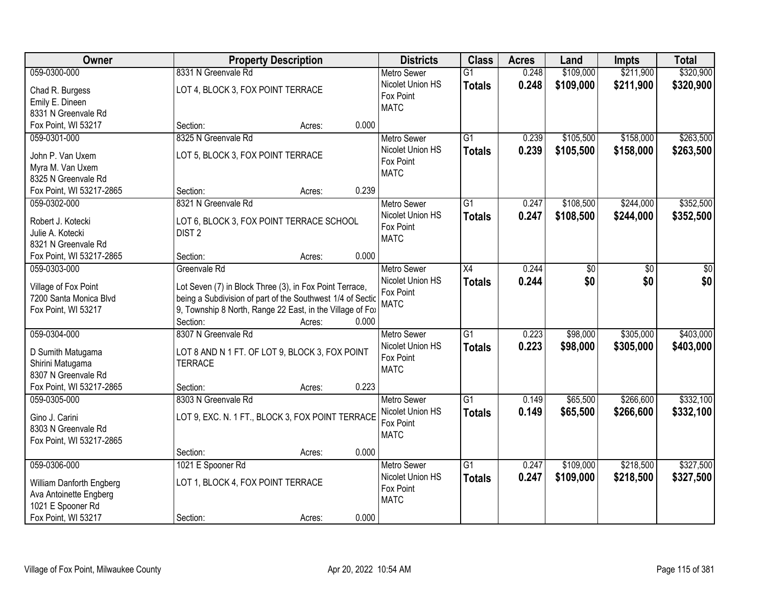| Owner                                          | <b>Property Description</b>                                                                                           | <b>Districts</b>         | <b>Class</b>    | <b>Acres</b> | Land      | <b>Impts</b> | <b>Total</b> |
|------------------------------------------------|-----------------------------------------------------------------------------------------------------------------------|--------------------------|-----------------|--------------|-----------|--------------|--------------|
| 059-0300-000                                   | 8331 N Greenvale Rd                                                                                                   | <b>Metro Sewer</b>       | $\overline{G1}$ | 0.248        | \$109,000 | \$211,900    | \$320,900    |
| Chad R. Burgess                                | LOT 4, BLOCK 3, FOX POINT TERRACE                                                                                     | Nicolet Union HS         | <b>Totals</b>   | 0.248        | \$109,000 | \$211,900    | \$320,900    |
| Emily E. Dineen                                |                                                                                                                       | Fox Point                |                 |              |           |              |              |
| 8331 N Greenvale Rd                            |                                                                                                                       | <b>MATC</b>              |                 |              |           |              |              |
| Fox Point, WI 53217                            | 0.000<br>Section:<br>Acres:                                                                                           |                          |                 |              |           |              |              |
| 059-0301-000                                   | 8325 N Greenvale Rd                                                                                                   | <b>Metro Sewer</b>       | $\overline{G1}$ | 0.239        | \$105,500 | \$158,000    | \$263,500    |
|                                                |                                                                                                                       | Nicolet Union HS         | <b>Totals</b>   | 0.239        | \$105,500 | \$158,000    | \$263,500    |
| John P. Van Uxem                               | LOT 5, BLOCK 3, FOX POINT TERRACE                                                                                     | Fox Point                |                 |              |           |              |              |
| Myra M. Van Uxem                               |                                                                                                                       | <b>MATC</b>              |                 |              |           |              |              |
| 8325 N Greenvale Rd                            | 0.239                                                                                                                 |                          |                 |              |           |              |              |
| Fox Point, WI 53217-2865                       | Section:<br>Acres:                                                                                                    |                          |                 |              |           |              |              |
| 059-0302-000                                   | 8321 N Greenvale Rd                                                                                                   | <b>Metro Sewer</b>       | G1              | 0.247        | \$108,500 | \$244,000    | \$352,500    |
| Robert J. Kotecki                              | LOT 6, BLOCK 3, FOX POINT TERRACE SCHOOL                                                                              | Nicolet Union HS         | <b>Totals</b>   | 0.247        | \$108,500 | \$244,000    | \$352,500    |
| Julie A. Kotecki                               | DIST <sub>2</sub>                                                                                                     | Fox Point<br><b>MATC</b> |                 |              |           |              |              |
| 8321 N Greenvale Rd                            |                                                                                                                       |                          |                 |              |           |              |              |
| Fox Point, WI 53217-2865                       | 0.000<br>Section:<br>Acres:                                                                                           |                          |                 |              |           |              |              |
| 059-0303-000                                   | Greenvale Rd                                                                                                          | <b>Metro Sewer</b>       | X4              | 0.244        | \$0       | \$0          | \$0          |
|                                                |                                                                                                                       | Nicolet Union HS         | <b>Totals</b>   | 0.244        | \$0       | \$0          | \$0          |
| Village of Fox Point<br>7200 Santa Monica Blvd | Lot Seven (7) in Block Three (3), in Fox Point Terrace,<br>being a Subdivision of part of the Southwest 1/4 of Sectic | Fox Point                |                 |              |           |              |              |
| Fox Point, WI 53217                            | 9, Township 8 North, Range 22 East, in the Village of Fox                                                             | <b>MATC</b>              |                 |              |           |              |              |
|                                                | Section:<br>0.000<br>Acres:                                                                                           |                          |                 |              |           |              |              |
| 059-0304-000                                   | 8307 N Greenvale Rd                                                                                                   | <b>Metro Sewer</b>       | $\overline{G1}$ | 0.223        | \$98,000  | \$305,000    | \$403,000    |
|                                                |                                                                                                                       | Nicolet Union HS         |                 |              |           |              |              |
| D Sumith Matugama                              | LOT 8 AND N 1 FT. OF LOT 9, BLOCK 3, FOX POINT                                                                        | Fox Point                | <b>Totals</b>   | 0.223        | \$98,000  | \$305,000    | \$403,000    |
| Shirini Matugama                               | <b>TERRACE</b>                                                                                                        | <b>MATC</b>              |                 |              |           |              |              |
| 8307 N Greenvale Rd                            |                                                                                                                       |                          |                 |              |           |              |              |
| Fox Point, WI 53217-2865                       | 0.223<br>Section:<br>Acres:                                                                                           |                          |                 |              |           |              |              |
| 059-0305-000                                   | 8303 N Greenvale Rd                                                                                                   | <b>Metro Sewer</b>       | $\overline{G1}$ | 0.149        | \$65,500  | \$266,600    | \$332,100    |
| Gino J. Carini                                 | LOT 9, EXC. N. 1 FT., BLOCK 3, FOX POINT TERRACE                                                                      | Nicolet Union HS         | <b>Totals</b>   | 0.149        | \$65,500  | \$266,600    | \$332,100    |
| 8303 N Greenvale Rd                            |                                                                                                                       | Fox Point                |                 |              |           |              |              |
| Fox Point, WI 53217-2865                       |                                                                                                                       | <b>MATC</b>              |                 |              |           |              |              |
|                                                | 0.000<br>Section:<br>Acres:                                                                                           |                          |                 |              |           |              |              |
| 059-0306-000                                   | 1021 E Spooner Rd                                                                                                     | <b>Metro Sewer</b>       | $\overline{G1}$ | 0.247        | \$109,000 | \$218,500    | \$327,500    |
|                                                |                                                                                                                       | Nicolet Union HS         | <b>Totals</b>   | 0.247        | \$109,000 | \$218,500    | \$327,500    |
| William Danforth Engberg                       | LOT 1, BLOCK 4, FOX POINT TERRACE                                                                                     | Fox Point                |                 |              |           |              |              |
| Ava Antoinette Engberg                         |                                                                                                                       | <b>MATC</b>              |                 |              |           |              |              |
| 1021 E Spooner Rd                              |                                                                                                                       |                          |                 |              |           |              |              |
| Fox Point, WI 53217                            | 0.000<br>Section:<br>Acres:                                                                                           |                          |                 |              |           |              |              |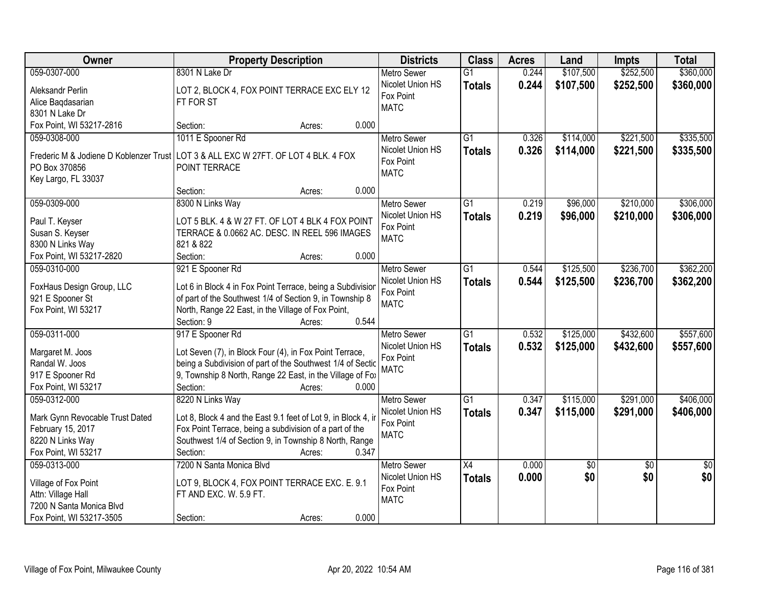| <b>Owner</b>                    | <b>Property Description</b>                                                        | <b>Districts</b>   | <b>Class</b>    | <b>Acres</b> | Land      | <b>Impts</b>    | <b>Total</b>    |
|---------------------------------|------------------------------------------------------------------------------------|--------------------|-----------------|--------------|-----------|-----------------|-----------------|
| 059-0307-000                    | 8301 N Lake Dr                                                                     | <b>Metro Sewer</b> | $\overline{G1}$ | 0.244        | \$107,500 | \$252,500       | \$360,000       |
| Aleksandr Perlin                | LOT 2, BLOCK 4, FOX POINT TERRACE EXC ELY 12                                       | Nicolet Union HS   | <b>Totals</b>   | 0.244        | \$107,500 | \$252,500       | \$360,000       |
| Alice Baqdasarian               | FT FOR ST                                                                          | Fox Point          |                 |              |           |                 |                 |
| 8301 N Lake Dr                  |                                                                                    | <b>MATC</b>        |                 |              |           |                 |                 |
| Fox Point, WI 53217-2816        | 0.000<br>Section:<br>Acres:                                                        |                    |                 |              |           |                 |                 |
| 059-0308-000                    | 1011 E Spooner Rd                                                                  | <b>Metro Sewer</b> | $\overline{G1}$ | 0.326        | \$114,000 | \$221,500       | \$335,500       |
|                                 |                                                                                    | Nicolet Union HS   | <b>Totals</b>   | 0.326        | \$114,000 | \$221,500       | \$335,500       |
|                                 | Frederic M & Jodiene D Koblenzer Trust LOT 3 & ALL EXC W 27FT. OF LOT 4 BLK. 4 FOX | Fox Point          |                 |              |           |                 |                 |
| PO Box 370856                   | POINT TERRACE                                                                      | <b>MATC</b>        |                 |              |           |                 |                 |
| Key Largo, FL 33037             | 0.000<br>Section:                                                                  |                    |                 |              |           |                 |                 |
| 059-0309-000                    | Acres:<br>8300 N Links Way                                                         | <b>Metro Sewer</b> | $\overline{G1}$ | 0.219        | \$96,000  | \$210,000       | \$306,000       |
|                                 |                                                                                    | Nicolet Union HS   |                 |              |           |                 |                 |
| Paul T. Keyser                  | LOT 5 BLK. 4 & W 27 FT. OF LOT 4 BLK 4 FOX POINT                                   | Fox Point          | <b>Totals</b>   | 0.219        | \$96,000  | \$210,000       | \$306,000       |
| Susan S. Keyser                 | TERRACE & 0.0662 AC. DESC. IN REEL 596 IMAGES                                      | <b>MATC</b>        |                 |              |           |                 |                 |
| 8300 N Links Way                | 821 & 822                                                                          |                    |                 |              |           |                 |                 |
| Fox Point, WI 53217-2820        | Section:<br>0.000<br>Acres:                                                        |                    |                 |              |           |                 |                 |
| 059-0310-000                    | 921 E Spooner Rd                                                                   | <b>Metro Sewer</b> | G1              | 0.544        | \$125,500 | \$236,700       | \$362,200       |
| FoxHaus Design Group, LLC       | Lot 6 in Block 4 in Fox Point Terrace, being a Subdivisior                         | Nicolet Union HS   | <b>Totals</b>   | 0.544        | \$125,500 | \$236,700       | \$362,200       |
| 921 E Spooner St                | of part of the Southwest 1/4 of Section 9, in Township 8                           | Fox Point          |                 |              |           |                 |                 |
| Fox Point, WI 53217             | North, Range 22 East, in the Village of Fox Point,                                 | <b>MATC</b>        |                 |              |           |                 |                 |
|                                 | 0.544<br>Section: 9<br>Acres:                                                      |                    |                 |              |           |                 |                 |
| 059-0311-000                    | 917 E Spooner Rd                                                                   | <b>Metro Sewer</b> | $\overline{G1}$ | 0.532        | \$125,000 | \$432,600       | \$557,600       |
|                                 |                                                                                    | Nicolet Union HS   | <b>Totals</b>   | 0.532        | \$125,000 | \$432,600       | \$557,600       |
| Margaret M. Joos                | Lot Seven (7), in Block Four (4), in Fox Point Terrace,                            | Fox Point          |                 |              |           |                 |                 |
| Randal W. Joos                  | being a Subdivision of part of the Southwest 1/4 of Sectic                         | <b>MATC</b>        |                 |              |           |                 |                 |
| 917 E Spooner Rd                | 9, Township 8 North, Range 22 East, in the Village of Fox                          |                    |                 |              |           |                 |                 |
| Fox Point, WI 53217             | Section:<br>0.000<br>Acres:                                                        |                    |                 |              |           |                 |                 |
| 059-0312-000                    | 8220 N Links Way                                                                   | <b>Metro Sewer</b> | $\overline{G1}$ | 0.347        | \$115,000 | \$291,000       | \$406,000       |
| Mark Gynn Revocable Trust Dated | Lot 8, Block 4 and the East 9.1 feet of Lot 9, in Block 4, in                      | Nicolet Union HS   | <b>Totals</b>   | 0.347        | \$115,000 | \$291,000       | \$406,000       |
| February 15, 2017               | Fox Point Terrace, being a subdivision of a part of the                            | Fox Point          |                 |              |           |                 |                 |
| 8220 N Links Way                | Southwest 1/4 of Section 9, in Township 8 North, Range                             | <b>MATC</b>        |                 |              |           |                 |                 |
| Fox Point, WI 53217             | 0.347<br>Section:<br>Acres:                                                        |                    |                 |              |           |                 |                 |
| 059-0313-000                    | 7200 N Santa Monica Blvd                                                           | <b>Metro Sewer</b> | $\overline{X4}$ | 0.000        | \$0       | $\overline{50}$ | $\overline{50}$ |
|                                 |                                                                                    | Nicolet Union HS   | <b>Totals</b>   | 0.000        | \$0       | \$0             | \$0             |
| Village of Fox Point            | LOT 9, BLOCK 4, FOX POINT TERRACE EXC. E. 9.1                                      | Fox Point          |                 |              |           |                 |                 |
| Attn: Village Hall              | FT AND EXC. W. 5.9 FT.                                                             | <b>MATC</b>        |                 |              |           |                 |                 |
| 7200 N Santa Monica Blvd        |                                                                                    |                    |                 |              |           |                 |                 |
| Fox Point, WI 53217-3505        | 0.000<br>Section:<br>Acres:                                                        |                    |                 |              |           |                 |                 |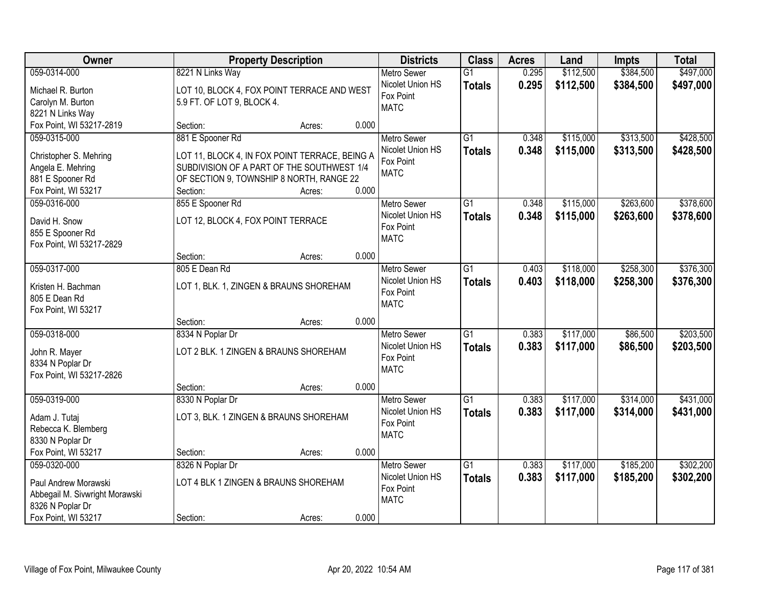| Owner                                        |                                                | <b>Property Description</b> |       | <b>Districts</b>                       | <b>Class</b>    | <b>Acres</b> | Land      | <b>Impts</b> | <b>Total</b> |
|----------------------------------------------|------------------------------------------------|-----------------------------|-------|----------------------------------------|-----------------|--------------|-----------|--------------|--------------|
| 059-0314-000                                 | 8221 N Links Way                               |                             |       | <b>Metro Sewer</b>                     | $\overline{G1}$ | 0.295        | \$112,500 | \$384,500    | \$497,000    |
| Michael R. Burton                            | LOT 10, BLOCK 4, FOX POINT TERRACE AND WEST    |                             |       | Nicolet Union HS                       | <b>Totals</b>   | 0.295        | \$112,500 | \$384,500    | \$497,000    |
| Carolyn M. Burton                            | 5.9 FT. OF LOT 9, BLOCK 4.                     |                             |       | Fox Point                              |                 |              |           |              |              |
| 8221 N Links Way                             |                                                |                             |       | <b>MATC</b>                            |                 |              |           |              |              |
| Fox Point, WI 53217-2819                     | Section:                                       | Acres:                      | 0.000 |                                        |                 |              |           |              |              |
| 059-0315-000                                 | 881 E Spooner Rd                               |                             |       | <b>Metro Sewer</b>                     | $\overline{G1}$ | 0.348        | \$115,000 | \$313,500    | \$428,500    |
| Christopher S. Mehring                       | LOT 11, BLOCK 4, IN FOX POINT TERRACE, BEING A |                             |       | Nicolet Union HS                       | <b>Totals</b>   | 0.348        | \$115,000 | \$313,500    | \$428,500    |
| Angela E. Mehring                            | SUBDIVISION OF A PART OF THE SOUTHWEST 1/4     |                             |       | Fox Point                              |                 |              |           |              |              |
| 881 E Spooner Rd                             | OF SECTION 9, TOWNSHIP 8 NORTH, RANGE 22       |                             |       | <b>MATC</b>                            |                 |              |           |              |              |
| Fox Point, WI 53217                          | Section:                                       | Acres:                      | 0.000 |                                        |                 |              |           |              |              |
| 059-0316-000                                 | 855 E Spooner Rd                               |                             |       | Metro Sewer                            | G1              | 0.348        | \$115,000 | \$263,600    | \$378,600    |
|                                              |                                                |                             |       | Nicolet Union HS                       | <b>Totals</b>   | 0.348        | \$115,000 | \$263,600    | \$378,600    |
| David H. Snow                                | LOT 12, BLOCK 4, FOX POINT TERRACE             |                             |       | Fox Point                              |                 |              |           |              |              |
| 855 E Spooner Rd<br>Fox Point, WI 53217-2829 |                                                |                             |       | <b>MATC</b>                            |                 |              |           |              |              |
|                                              | Section:                                       | Acres:                      | 0.000 |                                        |                 |              |           |              |              |
| 059-0317-000                                 | 805 E Dean Rd                                  |                             |       | <b>Metro Sewer</b>                     | $\overline{G1}$ | 0.403        | \$118,000 | \$258,300    | \$376,300    |
|                                              |                                                |                             |       | Nicolet Union HS                       | <b>Totals</b>   | 0.403        | \$118,000 | \$258,300    | \$376,300    |
| Kristen H. Bachman                           | LOT 1, BLK. 1, ZINGEN & BRAUNS SHOREHAM        |                             |       | Fox Point                              |                 |              |           |              |              |
| 805 E Dean Rd                                |                                                |                             |       | <b>MATC</b>                            |                 |              |           |              |              |
| Fox Point, WI 53217                          |                                                |                             |       |                                        |                 |              |           |              |              |
| 059-0318-000                                 | Section:<br>8334 N Poplar Dr                   | Acres:                      | 0.000 |                                        | $\overline{G1}$ | 0.383        |           | \$86,500     | \$203,500    |
|                                              |                                                |                             |       | <b>Metro Sewer</b><br>Nicolet Union HS |                 |              | \$117,000 |              |              |
| John R. Mayer                                | LOT 2 BLK. 1 ZINGEN & BRAUNS SHOREHAM          |                             |       | Fox Point                              | <b>Totals</b>   | 0.383        | \$117,000 | \$86,500     | \$203,500    |
| 8334 N Poplar Dr                             |                                                |                             |       | <b>MATC</b>                            |                 |              |           |              |              |
| Fox Point, WI 53217-2826                     |                                                |                             |       |                                        |                 |              |           |              |              |
|                                              | Section:                                       | Acres:                      | 0.000 |                                        |                 |              |           |              |              |
| 059-0319-000                                 | 8330 N Poplar Dr                               |                             |       | <b>Metro Sewer</b>                     | $\overline{G1}$ | 0.383        | \$117,000 | \$314,000    | \$431,000    |
| Adam J. Tutaj                                | LOT 3, BLK. 1 ZINGEN & BRAUNS SHOREHAM         |                             |       | Nicolet Union HS                       | <b>Totals</b>   | 0.383        | \$117,000 | \$314,000    | \$431,000    |
| Rebecca K. Blemberg                          |                                                |                             |       | Fox Point<br><b>MATC</b>               |                 |              |           |              |              |
| 8330 N Poplar Dr                             |                                                |                             |       |                                        |                 |              |           |              |              |
| Fox Point, WI 53217                          | Section:                                       | Acres:                      | 0.000 |                                        |                 |              |           |              |              |
| 059-0320-000                                 | 8326 N Poplar Dr                               |                             |       | <b>Metro Sewer</b>                     | $\overline{G1}$ | 0.383        | \$117,000 | \$185,200    | \$302,200    |
| Paul Andrew Morawski                         | LOT 4 BLK 1 ZINGEN & BRAUNS SHOREHAM           |                             |       | Nicolet Union HS                       | <b>Totals</b>   | 0.383        | \$117,000 | \$185,200    | \$302,200    |
| Abbegail M. Sivwright Morawski               |                                                |                             |       | Fox Point                              |                 |              |           |              |              |
| 8326 N Poplar Dr                             |                                                |                             |       | <b>MATC</b>                            |                 |              |           |              |              |
| Fox Point, WI 53217                          | Section:                                       | Acres:                      | 0.000 |                                        |                 |              |           |              |              |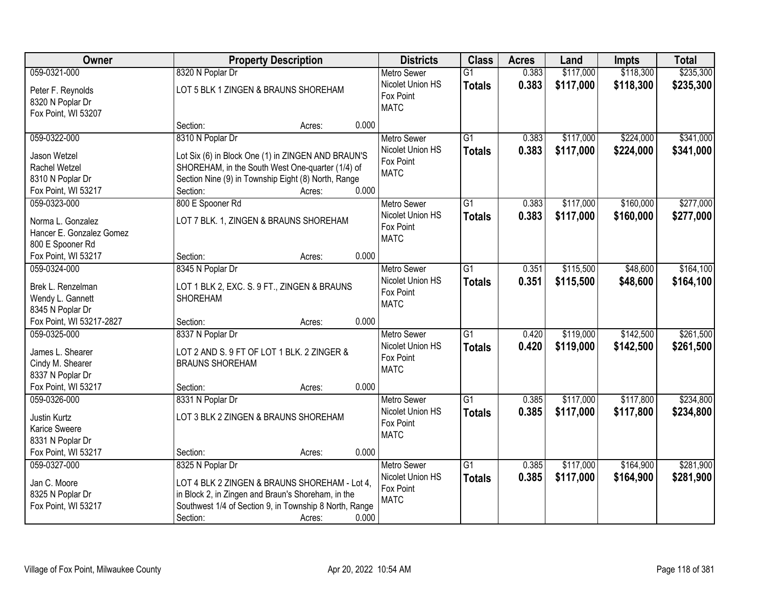| Owner                                   |                                                        | <b>Property Description</b> |       | <b>Districts</b>                       | <b>Class</b>    | <b>Acres</b> | Land      | <b>Impts</b> | <b>Total</b> |
|-----------------------------------------|--------------------------------------------------------|-----------------------------|-------|----------------------------------------|-----------------|--------------|-----------|--------------|--------------|
| 059-0321-000                            | 8320 N Poplar Dr                                       |                             |       | <b>Metro Sewer</b>                     | $\overline{G1}$ | 0.383        | \$117,000 | \$118,300    | \$235,300    |
| Peter F. Reynolds                       | LOT 5 BLK 1 ZINGEN & BRAUNS SHOREHAM                   |                             |       | Nicolet Union HS                       | <b>Totals</b>   | 0.383        | \$117,000 | \$118,300    | \$235,300    |
| 8320 N Poplar Dr                        |                                                        |                             |       | Fox Point                              |                 |              |           |              |              |
| Fox Point, WI 53207                     |                                                        |                             |       | <b>MATC</b>                            |                 |              |           |              |              |
|                                         | Section:                                               | Acres:                      | 0.000 |                                        |                 |              |           |              |              |
| 059-0322-000                            | 8310 N Poplar Dr                                       |                             |       | <b>Metro Sewer</b>                     | $\overline{G1}$ | 0.383        | \$117,000 | \$224,000    | \$341,000    |
| Jason Wetzel                            | Lot Six (6) in Block One (1) in ZINGEN AND BRAUN'S     |                             |       | Nicolet Union HS                       | <b>Totals</b>   | 0.383        | \$117,000 | \$224,000    | \$341,000    |
| Rachel Wetzel                           | SHOREHAM, in the South West One-quarter (1/4) of       |                             |       | Fox Point                              |                 |              |           |              |              |
| 8310 N Poplar Dr                        | Section Nine (9) in Township Eight (8) North, Range    |                             |       | <b>MATC</b>                            |                 |              |           |              |              |
| Fox Point, WI 53217                     | Section:                                               | Acres:                      | 0.000 |                                        |                 |              |           |              |              |
| 059-0323-000                            | 800 E Spooner Rd                                       |                             |       | <b>Metro Sewer</b>                     | G1              | 0.383        | \$117,000 | \$160,000    | \$277,000    |
|                                         |                                                        |                             |       | Nicolet Union HS                       | <b>Totals</b>   | 0.383        | \$117,000 | \$160,000    | \$277,000    |
| Norma L. Gonzalez                       | LOT 7 BLK. 1, ZINGEN & BRAUNS SHOREHAM                 |                             |       | Fox Point                              |                 |              |           |              |              |
| Hancer E. Gonzalez Gomez                |                                                        |                             |       | <b>MATC</b>                            |                 |              |           |              |              |
| 800 E Spooner Rd                        |                                                        |                             |       |                                        |                 |              |           |              |              |
| Fox Point, WI 53217                     | Section:                                               | Acres:                      | 0.000 |                                        |                 |              |           |              |              |
| 059-0324-000                            | 8345 N Poplar Dr                                       |                             |       | <b>Metro Sewer</b>                     | $\overline{G1}$ | 0.351        | \$115,500 | \$48,600     | \$164,100    |
| Brek L. Renzelman                       | LOT 1 BLK 2, EXC. S. 9 FT., ZINGEN & BRAUNS            |                             |       | Nicolet Union HS                       | <b>Totals</b>   | 0.351        | \$115,500 | \$48,600     | \$164,100    |
| Wendy L. Gannett                        | <b>SHOREHAM</b>                                        |                             |       | Fox Point<br><b>MATC</b>               |                 |              |           |              |              |
| 8345 N Poplar Dr                        |                                                        |                             |       |                                        |                 |              |           |              |              |
| Fox Point, WI 53217-2827                | Section:                                               | Acres:                      | 0.000 |                                        |                 |              |           |              |              |
| 059-0325-000                            | 8337 N Poplar Dr                                       |                             |       | <b>Metro Sewer</b>                     | $\overline{G1}$ | 0.420        | \$119,000 | \$142,500    | \$261,500    |
| James L. Shearer                        | LOT 2 AND S. 9 FT OF LOT 1 BLK. 2 ZINGER &             |                             |       | Nicolet Union HS                       | <b>Totals</b>   | 0.420        | \$119,000 | \$142,500    | \$261,500    |
| Cindy M. Shearer                        | <b>BRAUNS SHOREHAM</b>                                 |                             |       | Fox Point                              |                 |              |           |              |              |
| 8337 N Poplar Dr                        |                                                        |                             |       | <b>MATC</b>                            |                 |              |           |              |              |
| Fox Point, WI 53217                     | Section:                                               | Acres:                      | 0.000 |                                        |                 |              |           |              |              |
| 059-0326-000                            | 8331 N Poplar Dr                                       |                             |       | <b>Metro Sewer</b>                     | $\overline{G1}$ | 0.385        | \$117,000 | \$117,800    | \$234,800    |
|                                         |                                                        |                             |       | Nicolet Union HS                       | <b>Totals</b>   | 0.385        | \$117,000 | \$117,800    | \$234,800    |
| Justin Kurtz                            | LOT 3 BLK 2 ZINGEN & BRAUNS SHOREHAM                   |                             |       | Fox Point                              |                 |              |           |              |              |
| Karice Sweere                           |                                                        |                             |       | <b>MATC</b>                            |                 |              |           |              |              |
| 8331 N Poplar Dr<br>Fox Point, WI 53217 | Section:                                               |                             | 0.000 |                                        |                 |              |           |              |              |
| 059-0327-000                            |                                                        | Acres:                      |       |                                        | $\overline{G1}$ | 0.385        | \$117,000 | \$164,900    | \$281,900    |
|                                         | 8325 N Poplar Dr                                       |                             |       | <b>Metro Sewer</b><br>Nicolet Union HS |                 |              |           |              |              |
| Jan C. Moore                            | LOT 4 BLK 2 ZINGEN & BRAUNS SHOREHAM - Lot 4,          |                             |       | Fox Point                              | <b>Totals</b>   | 0.385        | \$117,000 | \$164,900    | \$281,900    |
| 8325 N Poplar Dr                        | in Block 2, in Zingen and Braun's Shoreham, in the     |                             |       | <b>MATC</b>                            |                 |              |           |              |              |
| Fox Point, WI 53217                     | Southwest 1/4 of Section 9, in Township 8 North, Range |                             |       |                                        |                 |              |           |              |              |
|                                         | Section:                                               | Acres:                      | 0.000 |                                        |                 |              |           |              |              |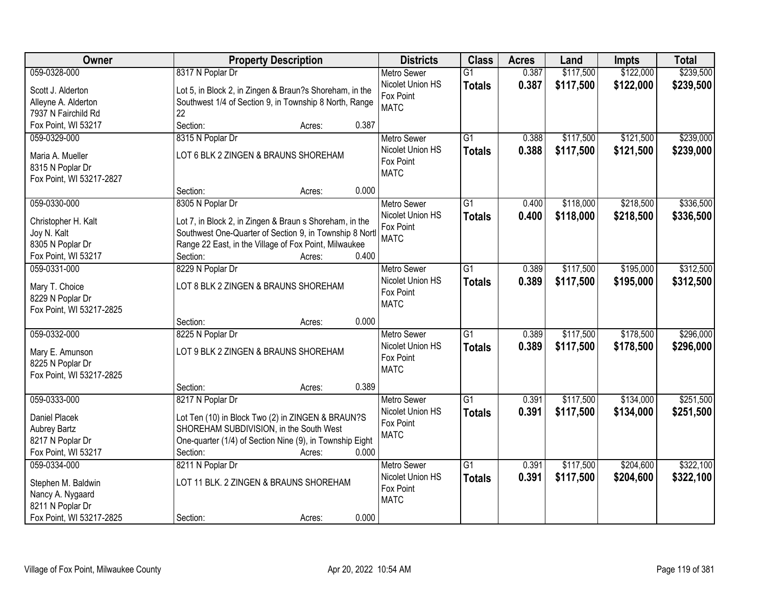| 059-0328-000<br>8317 N Poplar Dr<br>0.387<br>\$117,500<br>\$122,000<br><b>Metro Sewer</b><br>$\overline{G1}$<br>Nicolet Union HS<br>0.387<br>\$117,500<br>\$122,000<br><b>Totals</b><br>Lot 5, in Block 2, in Zingen & Braun?s Shoreham, in the<br>Scott J. Alderton | \$239,500<br>\$239,500 |
|----------------------------------------------------------------------------------------------------------------------------------------------------------------------------------------------------------------------------------------------------------------------|------------------------|
|                                                                                                                                                                                                                                                                      |                        |
|                                                                                                                                                                                                                                                                      |                        |
| Fox Point<br>Southwest 1/4 of Section 9, in Township 8 North, Range<br>Alleyne A. Alderton                                                                                                                                                                           |                        |
| <b>MATC</b><br>22<br>7937 N Fairchild Rd                                                                                                                                                                                                                             |                        |
| Fox Point, WI 53217<br>Section:<br>0.387<br>Acres:                                                                                                                                                                                                                   |                        |
| 8315 N Poplar Dr<br>$\overline{G1}$<br>\$117,500<br>\$121,500<br>059-0329-000<br>0.388<br><b>Metro Sewer</b>                                                                                                                                                         | \$239,000              |
| Nicolet Union HS<br>0.388<br>\$117,500<br>\$121,500<br><b>Totals</b>                                                                                                                                                                                                 | \$239,000              |
| LOT 6 BLK 2 ZINGEN & BRAUNS SHOREHAM<br>Maria A. Mueller<br>Fox Point                                                                                                                                                                                                |                        |
| 8315 N Poplar Dr<br><b>MATC</b>                                                                                                                                                                                                                                      |                        |
| Fox Point, WI 53217-2827<br>0.000                                                                                                                                                                                                                                    |                        |
| Section:<br>Acres:                                                                                                                                                                                                                                                   |                        |
| \$218,500<br>059-0330-000<br>8305 N Poplar Dr<br>G1<br>\$118,000<br><b>Metro Sewer</b><br>0.400                                                                                                                                                                      | \$336,500              |
| Nicolet Union HS<br>0.400<br>\$118,000<br>\$218,500<br><b>Totals</b><br>Lot 7, in Block 2, in Zingen & Braun s Shoreham, in the<br>Christopher H. Kalt                                                                                                               | \$336,500              |
| Fox Point<br>Southwest One-Quarter of Section 9, in Township 8 Nortl<br>Joy N. Kalt<br><b>MATC</b>                                                                                                                                                                   |                        |
| Range 22 East, in the Village of Fox Point, Milwaukee<br>8305 N Poplar Dr                                                                                                                                                                                            |                        |
| 0.400<br>Fox Point, WI 53217<br>Section:<br>Acres:                                                                                                                                                                                                                   |                        |
| \$117,500<br>\$195,000<br>059-0331-000<br>8229 N Poplar Dr<br>G1<br>0.389<br><b>Metro Sewer</b>                                                                                                                                                                      | \$312,500              |
| Nicolet Union HS<br>0.389<br>\$117,500<br>\$195,000<br><b>Totals</b><br>Mary T. Choice<br>LOT 8 BLK 2 ZINGEN & BRAUNS SHOREHAM                                                                                                                                       | \$312,500              |
| Fox Point<br>8229 N Poplar Dr                                                                                                                                                                                                                                        |                        |
| <b>MATC</b><br>Fox Point, WI 53217-2825                                                                                                                                                                                                                              |                        |
| 0.000<br>Section:<br>Acres:                                                                                                                                                                                                                                          |                        |
| 059-0332-000<br>8225 N Poplar Dr<br>$\overline{G1}$<br>0.389<br>\$117,500<br>\$178,500<br><b>Metro Sewer</b>                                                                                                                                                         | \$296,000              |
| Nicolet Union HS<br>0.389<br>\$117,500<br>\$178,500<br><b>Totals</b>                                                                                                                                                                                                 | \$296,000              |
| LOT 9 BLK 2 ZINGEN & BRAUNS SHOREHAM<br>Mary E. Amunson<br>Fox Point                                                                                                                                                                                                 |                        |
| 8225 N Poplar Dr<br><b>MATC</b>                                                                                                                                                                                                                                      |                        |
| Fox Point, WI 53217-2825                                                                                                                                                                                                                                             |                        |
| 0.389<br>Section:<br>Acres:                                                                                                                                                                                                                                          |                        |
| $\overline{G1}$<br>\$134,000<br>059-0333-000<br>8217 N Poplar Dr<br>0.391<br>\$117,500<br>Metro Sewer                                                                                                                                                                | \$251,500              |
| Nicolet Union HS<br>0.391<br>\$117,500<br>\$134,000<br><b>Totals</b><br>Daniel Placek<br>Lot Ten (10) in Block Two (2) in ZINGEN & BRAUN?S                                                                                                                           | \$251,500              |
| Fox Point<br>SHOREHAM SUBDIVISION, in the South West<br><b>Aubrey Bartz</b><br><b>MATC</b>                                                                                                                                                                           |                        |
| 8217 N Poplar Dr<br>One-quarter (1/4) of Section Nine (9), in Township Eight                                                                                                                                                                                         |                        |
| 0.000<br>Fox Point, WI 53217<br>Section:<br>Acres:                                                                                                                                                                                                                   |                        |
| \$204,600<br>059-0334-000<br>8211 N Poplar Dr<br>$\overline{G1}$<br>0.391<br>\$117,500<br><b>Metro Sewer</b>                                                                                                                                                         | \$322,100              |
| Nicolet Union HS<br>0.391<br>\$117,500<br>\$204,600<br><b>Totals</b><br>LOT 11 BLK. 2 ZINGEN & BRAUNS SHOREHAM<br>Stephen M. Baldwin                                                                                                                                 | \$322,100              |
| Fox Point<br>Nancy A. Nygaard                                                                                                                                                                                                                                        |                        |
| <b>MATC</b><br>8211 N Poplar Dr                                                                                                                                                                                                                                      |                        |
| 0.000<br>Fox Point, WI 53217-2825<br>Section:<br>Acres:                                                                                                                                                                                                              |                        |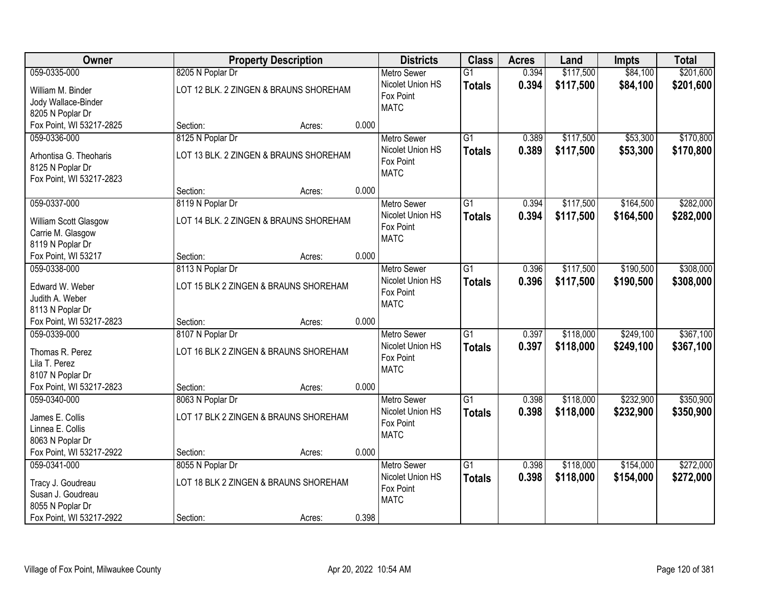| <b>Owner</b>                                                   |                  | <b>Property Description</b>            |       | <b>Districts</b>                                    | <b>Class</b>                     | <b>Acres</b>   | Land                   | <b>Impts</b>           | <b>Total</b>           |
|----------------------------------------------------------------|------------------|----------------------------------------|-------|-----------------------------------------------------|----------------------------------|----------------|------------------------|------------------------|------------------------|
| 059-0335-000                                                   | 8205 N Poplar Dr |                                        |       | <b>Metro Sewer</b>                                  | $\overline{G1}$                  | 0.394          | \$117,500              | \$84,100               | \$201,600              |
| William M. Binder<br>Jody Wallace-Binder<br>8205 N Poplar Dr   |                  | LOT 12 BLK. 2 ZINGEN & BRAUNS SHOREHAM |       | Nicolet Union HS<br>Fox Point<br><b>MATC</b>        | <b>Totals</b>                    | 0.394          | \$117,500              | \$84,100               | \$201,600              |
| Fox Point, WI 53217-2825                                       | Section:         | Acres:                                 | 0.000 |                                                     |                                  |                |                        |                        |                        |
| 059-0336-000<br>Arhontisa G. Theoharis                         | 8125 N Poplar Dr | LOT 13 BLK. 2 ZINGEN & BRAUNS SHOREHAM |       | <b>Metro Sewer</b><br>Nicolet Union HS<br>Fox Point | $\overline{G1}$<br><b>Totals</b> | 0.389<br>0.389 | \$117,500<br>\$117,500 | \$53,300<br>\$53,300   | \$170,800<br>\$170,800 |
| 8125 N Poplar Dr<br>Fox Point, WI 53217-2823                   | Section:         | Acres:                                 | 0.000 | <b>MATC</b>                                         |                                  |                |                        |                        |                        |
| 059-0337-000                                                   | 8119 N Poplar Dr |                                        |       | <b>Metro Sewer</b>                                  | G1                               | 0.394          | \$117,500              | \$164,500              | \$282,000              |
| William Scott Glasgow<br>Carrie M. Glasgow<br>8119 N Poplar Dr |                  | LOT 14 BLK. 2 ZINGEN & BRAUNS SHOREHAM |       | Nicolet Union HS<br>Fox Point<br><b>MATC</b>        | <b>Totals</b>                    | 0.394          | \$117,500              | \$164,500              | \$282,000              |
| Fox Point, WI 53217                                            | Section:         | Acres:                                 | 0.000 |                                                     |                                  |                |                        |                        |                        |
| 059-0338-000                                                   | 8113 N Poplar Dr |                                        |       | <b>Metro Sewer</b>                                  | G1                               | 0.396          | \$117,500              | \$190,500              | \$308,000              |
| Edward W. Weber<br>Judith A. Weber                             |                  | LOT 15 BLK 2 ZINGEN & BRAUNS SHOREHAM  |       | Nicolet Union HS<br>Fox Point<br><b>MATC</b>        | <b>Totals</b>                    | 0.396          | \$117,500              | \$190,500              | \$308,000              |
| 8113 N Poplar Dr<br>Fox Point, WI 53217-2823                   | Section:         | Acres:                                 | 0.000 |                                                     |                                  |                |                        |                        |                        |
| 059-0339-000<br>Thomas R. Perez                                | 8107 N Poplar Dr | LOT 16 BLK 2 ZINGEN & BRAUNS SHOREHAM  |       | <b>Metro Sewer</b><br>Nicolet Union HS              | $\overline{G1}$<br>Totals        | 0.397<br>0.397 | \$118,000<br>\$118,000 | \$249,100<br>\$249,100 | \$367,100<br>\$367,100 |
| Lila T. Perez<br>8107 N Poplar Dr                              |                  |                                        |       | Fox Point<br><b>MATC</b>                            |                                  |                |                        |                        |                        |
| Fox Point, WI 53217-2823                                       | Section:         | Acres:                                 | 0.000 |                                                     |                                  |                |                        |                        |                        |
| 059-0340-000                                                   | 8063 N Poplar Dr |                                        |       | Metro Sewer                                         | $\overline{G1}$                  | 0.398          | \$118,000              | \$232,900              | \$350,900              |
| James E. Collis<br>Linnea E. Collis<br>8063 N Poplar Dr        |                  | LOT 17 BLK 2 ZINGEN & BRAUNS SHOREHAM  |       | Nicolet Union HS<br>Fox Point<br><b>MATC</b>        | <b>Totals</b>                    | 0.398          | \$118,000              | \$232,900              | \$350,900              |
| Fox Point, WI 53217-2922                                       | Section:         | Acres:                                 | 0.000 |                                                     |                                  |                |                        |                        |                        |
| 059-0341-000                                                   | 8055 N Poplar Dr |                                        |       | <b>Metro Sewer</b>                                  | $\overline{G1}$                  | 0.398          | \$118,000              | \$154,000              | \$272,000              |
| Tracy J. Goudreau<br>Susan J. Goudreau<br>8055 N Poplar Dr     |                  | LOT 18 BLK 2 ZINGEN & BRAUNS SHOREHAM  |       | Nicolet Union HS<br>Fox Point<br><b>MATC</b>        | <b>Totals</b>                    | 0.398          | \$118,000              | \$154,000              | \$272,000              |
| Fox Point, WI 53217-2922                                       | Section:         | Acres:                                 | 0.398 |                                                     |                                  |                |                        |                        |                        |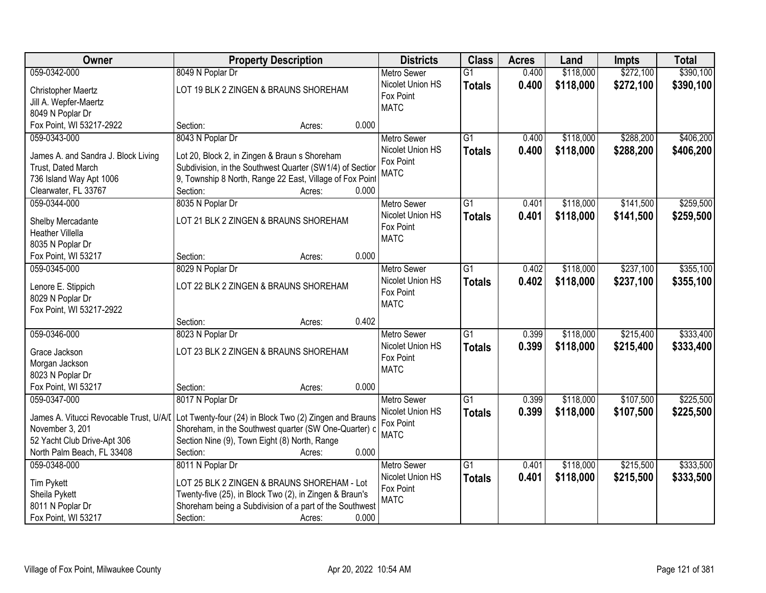| Owner                                                     | <b>Property Description</b>                                                                                                                              | <b>Districts</b>   | <b>Class</b>    | <b>Acres</b> | Land      | <b>Impts</b> | <b>Total</b> |
|-----------------------------------------------------------|----------------------------------------------------------------------------------------------------------------------------------------------------------|--------------------|-----------------|--------------|-----------|--------------|--------------|
| 059-0342-000                                              | 8049 N Poplar Dr                                                                                                                                         | <b>Metro Sewer</b> | $\overline{G1}$ | 0.400        | \$118,000 | \$272,100    | \$390,100    |
| Christopher Maertz                                        | LOT 19 BLK 2 ZINGEN & BRAUNS SHOREHAM                                                                                                                    | Nicolet Union HS   | <b>Totals</b>   | 0.400        | \$118,000 | \$272,100    | \$390,100    |
| Jill A. Wepfer-Maertz                                     |                                                                                                                                                          | Fox Point          |                 |              |           |              |              |
| 8049 N Poplar Dr                                          |                                                                                                                                                          | <b>MATC</b>        |                 |              |           |              |              |
| Fox Point, WI 53217-2922                                  | 0.000<br>Section:<br>Acres:                                                                                                                              |                    |                 |              |           |              |              |
| 059-0343-000                                              | 8043 N Poplar Dr                                                                                                                                         | <b>Metro Sewer</b> | $\overline{G1}$ | 0.400        | \$118,000 | \$288,200    | \$406,200    |
|                                                           |                                                                                                                                                          | Nicolet Union HS   | <b>Totals</b>   | 0.400        | \$118,000 | \$288,200    | \$406,200    |
| James A. and Sandra J. Block Living                       | Lot 20, Block 2, in Zingen & Braun s Shoreham                                                                                                            | Fox Point          |                 |              |           |              |              |
| Trust, Dated March                                        | Subdivision, in the Southwest Quarter (SW1/4) of Section                                                                                                 | <b>MATC</b>        |                 |              |           |              |              |
| 736 Island Way Apt 1006                                   | 9, Township 8 North, Range 22 East, Village of Fox Point                                                                                                 |                    |                 |              |           |              |              |
| Clearwater, FL 33767                                      | Section:<br>0.000<br>Acres:                                                                                                                              |                    |                 |              |           |              |              |
| 059-0344-000                                              | 8035 N Poplar Dr                                                                                                                                         | <b>Metro Sewer</b> | G1              | 0.401        | \$118,000 | \$141,500    | \$259,500    |
| Shelby Mercadante                                         | LOT 21 BLK 2 ZINGEN & BRAUNS SHOREHAM                                                                                                                    | Nicolet Union HS   | <b>Totals</b>   | 0.401        | \$118,000 | \$141,500    | \$259,500    |
| <b>Heather Villella</b>                                   |                                                                                                                                                          | Fox Point          |                 |              |           |              |              |
| 8035 N Poplar Dr                                          |                                                                                                                                                          | <b>MATC</b>        |                 |              |           |              |              |
| Fox Point, WI 53217                                       | 0.000<br>Section:<br>Acres:                                                                                                                              |                    |                 |              |           |              |              |
| 059-0345-000                                              | 8029 N Poplar Dr                                                                                                                                         | <b>Metro Sewer</b> | G1              | 0.402        | \$118,000 | \$237,100    | \$355,100    |
|                                                           |                                                                                                                                                          | Nicolet Union HS   | <b>Totals</b>   | 0.402        | \$118,000 | \$237,100    | \$355,100    |
| Lenore E. Stippich                                        | LOT 22 BLK 2 ZINGEN & BRAUNS SHOREHAM                                                                                                                    | Fox Point          |                 |              |           |              |              |
| 8029 N Poplar Dr                                          |                                                                                                                                                          | <b>MATC</b>        |                 |              |           |              |              |
| Fox Point, WI 53217-2922                                  |                                                                                                                                                          |                    |                 |              |           |              |              |
|                                                           | 0.402<br>Section:<br>Acres:                                                                                                                              |                    |                 |              |           |              |              |
| 059-0346-000                                              | 8023 N Poplar Dr                                                                                                                                         | Metro Sewer        | $\overline{G1}$ | 0.399        | \$118,000 | \$215,400    | \$333,400    |
| Grace Jackson                                             | LOT 23 BLK 2 ZINGEN & BRAUNS SHOREHAM                                                                                                                    | Nicolet Union HS   | <b>Totals</b>   | 0.399        | \$118,000 | \$215,400    | \$333,400    |
| Morgan Jackson                                            |                                                                                                                                                          | Fox Point          |                 |              |           |              |              |
| 8023 N Poplar Dr                                          |                                                                                                                                                          | <b>MATC</b>        |                 |              |           |              |              |
| Fox Point, WI 53217                                       | 0.000<br>Section:<br>Acres:                                                                                                                              |                    |                 |              |           |              |              |
| 059-0347-000                                              | 8017 N Poplar Dr                                                                                                                                         | <b>Metro Sewer</b> | $\overline{G1}$ | 0.399        | \$118,000 | \$107,500    | \$225,500    |
|                                                           |                                                                                                                                                          | Nicolet Union HS   | <b>Totals</b>   | 0.399        | \$118,000 | \$107,500    | \$225,500    |
|                                                           | James A. Vitucci Revocable Trust, U/A/I Lot Twenty-four (24) in Block Two (2) Zingen and Brauns<br>Shoreham, in the Southwest quarter (SW One-Quarter) o | Fox Point          |                 |              |           |              |              |
| November 3, 201                                           |                                                                                                                                                          | <b>MATC</b>        |                 |              |           |              |              |
| 52 Yacht Club Drive-Apt 306<br>North Palm Beach, FL 33408 | Section Nine (9), Town Eight (8) North, Range<br>0.000<br>Section:                                                                                       |                    |                 |              |           |              |              |
| 059-0348-000                                              | Acres:<br>8011 N Poplar Dr                                                                                                                               | <b>Metro Sewer</b> | $\overline{G1}$ | 0.401        | \$118,000 | \$215,500    | \$333,500    |
|                                                           |                                                                                                                                                          | Nicolet Union HS   |                 |              |           |              |              |
| <b>Tim Pykett</b>                                         | LOT 25 BLK 2 ZINGEN & BRAUNS SHOREHAM - Lot                                                                                                              | Fox Point          | <b>Totals</b>   | 0.401        | \$118,000 | \$215,500    | \$333,500    |
| Sheila Pykett                                             | Twenty-five (25), in Block Two (2), in Zingen & Braun's                                                                                                  | <b>MATC</b>        |                 |              |           |              |              |
| 8011 N Poplar Dr                                          | Shoreham being a Subdivision of a part of the Southwest                                                                                                  |                    |                 |              |           |              |              |
| Fox Point, WI 53217                                       | 0.000<br>Section:<br>Acres:                                                                                                                              |                    |                 |              |           |              |              |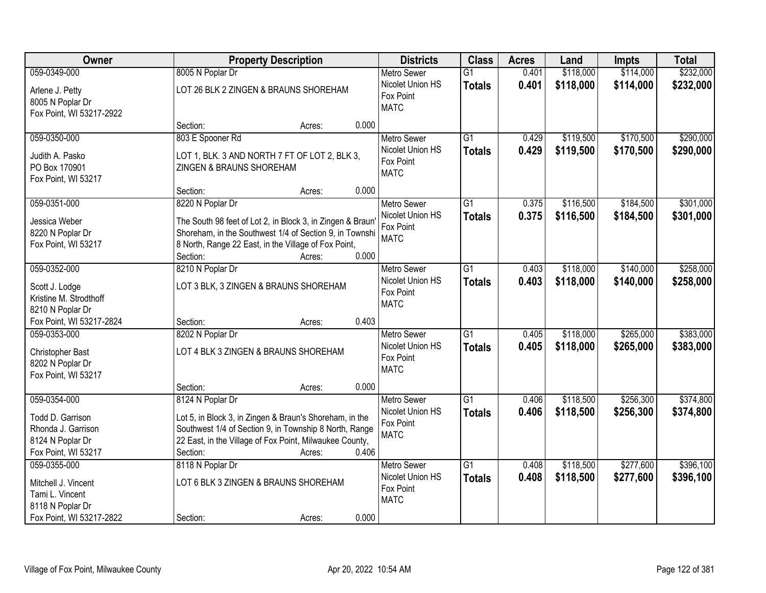| Owner                                                                                                  | <b>Property Description</b>                                                                                                                                                                                                     | <b>Districts</b>                                                   | <b>Class</b>                     | <b>Acres</b>   | Land                   | <b>Impts</b>           | <b>Total</b>           |
|--------------------------------------------------------------------------------------------------------|---------------------------------------------------------------------------------------------------------------------------------------------------------------------------------------------------------------------------------|--------------------------------------------------------------------|----------------------------------|----------------|------------------------|------------------------|------------------------|
| 059-0349-000                                                                                           | 8005 N Poplar Dr                                                                                                                                                                                                                | <b>Metro Sewer</b>                                                 | $\overline{G1}$                  | 0.401          | \$118,000              | \$114,000              | \$232,000              |
| Arlene J. Petty<br>8005 N Poplar Dr<br>Fox Point, WI 53217-2922                                        | LOT 26 BLK 2 ZINGEN & BRAUNS SHOREHAM                                                                                                                                                                                           | Nicolet Union HS<br>Fox Point<br><b>MATC</b>                       | <b>Totals</b>                    | 0.401          | \$118,000              | \$114,000              | \$232,000              |
|                                                                                                        | 0.000<br>Section:<br>Acres:                                                                                                                                                                                                     |                                                                    |                                  |                |                        |                        |                        |
| 059-0350-000<br>Judith A. Pasko<br>PO Box 170901                                                       | 803 E Spooner Rd<br>LOT 1, BLK. 3 AND NORTH 7 FT OF LOT 2, BLK 3,<br>ZINGEN & BRAUNS SHOREHAM                                                                                                                                   | <b>Metro Sewer</b><br>Nicolet Union HS<br>Fox Point<br><b>MATC</b> | $\overline{G1}$<br><b>Totals</b> | 0.429<br>0.429 | \$119,500<br>\$119,500 | \$170,500<br>\$170,500 | \$290,000<br>\$290,000 |
| Fox Point, WI 53217                                                                                    | 0.000<br>Section:<br>Acres:                                                                                                                                                                                                     |                                                                    |                                  |                |                        |                        |                        |
| 059-0351-000                                                                                           | 8220 N Poplar Dr                                                                                                                                                                                                                | <b>Metro Sewer</b>                                                 | G1                               | 0.375          | \$116,500              | \$184,500              | \$301,000              |
| Jessica Weber<br>8220 N Poplar Dr<br>Fox Point, WI 53217                                               | The South 98 feet of Lot 2, in Block 3, in Zingen & Braun<br>Shoreham, in the Southwest 1/4 of Section 9, in Townshi<br>8 North, Range 22 East, in the Village of Fox Point,<br>0.000<br>Section:<br>Acres:                     | Nicolet Union HS<br>Fox Point<br><b>MATC</b>                       | <b>Totals</b>                    | 0.375          | \$116,500              | \$184,500              | \$301,000              |
| 059-0352-000                                                                                           | 8210 N Poplar Dr                                                                                                                                                                                                                | <b>Metro Sewer</b>                                                 | G1                               | 0.403          | \$118,000              | \$140,000              | \$258,000              |
| Scott J. Lodge<br>Kristine M. Strodthoff<br>8210 N Poplar Dr                                           | LOT 3 BLK, 3 ZINGEN & BRAUNS SHOREHAM                                                                                                                                                                                           | Nicolet Union HS<br>Fox Point<br><b>MATC</b>                       | <b>Totals</b>                    | 0.403          | \$118,000              | \$140,000              | \$258,000              |
| Fox Point, WI 53217-2824                                                                               | 0.403<br>Section:<br>Acres:                                                                                                                                                                                                     |                                                                    |                                  |                |                        |                        |                        |
| 059-0353-000<br>Christopher Bast<br>8202 N Poplar Dr<br>Fox Point, WI 53217                            | 8202 N Poplar Dr<br>LOT 4 BLK 3 ZINGEN & BRAUNS SHOREHAM                                                                                                                                                                        | Metro Sewer<br>Nicolet Union HS<br>Fox Point<br><b>MATC</b>        | $\overline{G1}$<br><b>Totals</b> | 0.405<br>0.405 | \$118,000<br>\$118,000 | \$265,000<br>\$265,000 | \$383,000<br>\$383,000 |
|                                                                                                        | 0.000<br>Section:<br>Acres:                                                                                                                                                                                                     |                                                                    |                                  |                |                        |                        |                        |
| 059-0354-000<br>Todd D. Garrison<br>Rhonda J. Garrison<br>8124 N Poplar Dr<br>Fox Point, WI 53217      | 8124 N Poplar Dr<br>Lot 5, in Block 3, in Zingen & Braun's Shoreham, in the<br>Southwest 1/4 of Section 9, in Township 8 North, Range<br>22 East, in the Village of Fox Point, Milwaukee County,<br>0.406<br>Section:<br>Acres: | Metro Sewer<br>Nicolet Union HS<br>Fox Point<br><b>MATC</b>        | $\overline{G1}$<br><b>Totals</b> | 0.406<br>0.406 | \$118,500<br>\$118,500 | \$256,300<br>\$256,300 | \$374,800<br>\$374,800 |
| 059-0355-000<br>Mitchell J. Vincent<br>Tami L. Vincent<br>8118 N Poplar Dr<br>Fox Point, WI 53217-2822 | 8118 N Poplar Dr<br>LOT 6 BLK 3 ZINGEN & BRAUNS SHOREHAM<br>0.000<br>Section:<br>Acres:                                                                                                                                         | <b>Metro Sewer</b><br>Nicolet Union HS<br>Fox Point<br><b>MATC</b> | $\overline{G1}$<br><b>Totals</b> | 0.408<br>0.408 | \$118,500<br>\$118,500 | \$277,600<br>\$277,600 | \$396,100<br>\$396,100 |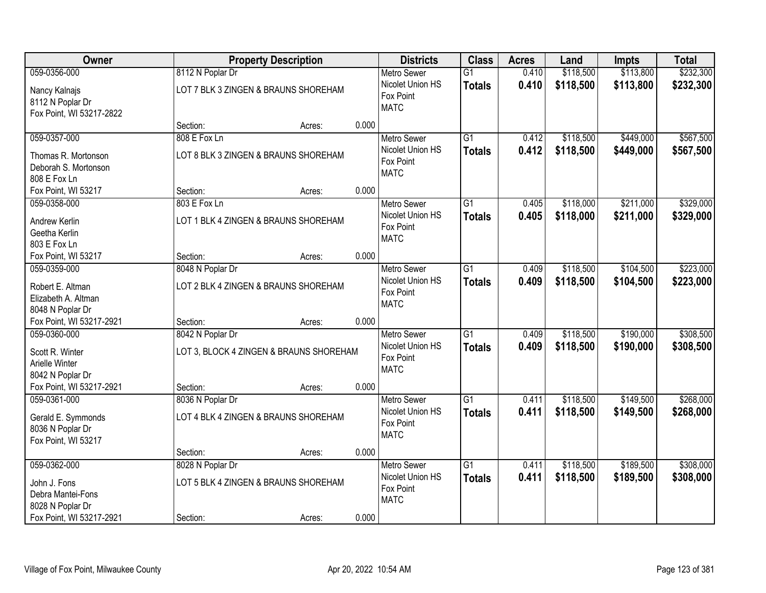| Owner                                                                                             |                              | <b>Property Description</b>                    |       | <b>Districts</b>                                                   | <b>Class</b>                     | <b>Acres</b>   | Land                   | <b>Impts</b>           | <b>Total</b>           |
|---------------------------------------------------------------------------------------------------|------------------------------|------------------------------------------------|-------|--------------------------------------------------------------------|----------------------------------|----------------|------------------------|------------------------|------------------------|
| 059-0356-000                                                                                      | 8112 N Poplar Dr             |                                                |       | <b>Metro Sewer</b>                                                 | $\overline{G1}$                  | 0.410          | \$118,500              | \$113,800              | \$232,300              |
| Nancy Kalnajs<br>8112 N Poplar Dr<br>Fox Point, WI 53217-2822                                     |                              | LOT 7 BLK 3 ZINGEN & BRAUNS SHOREHAM           |       | Nicolet Union HS<br>Fox Point<br><b>MATC</b>                       | <b>Totals</b>                    | 0.410          | \$118,500              | \$113,800              | \$232,300              |
|                                                                                                   | Section:                     | Acres:                                         | 0.000 |                                                                    |                                  |                |                        |                        |                        |
| 059-0357-000<br>Thomas R. Mortonson<br>Deborah S. Mortonson<br>808 E Fox Ln                       | 808 E Fox Ln                 | LOT 8 BLK 3 ZINGEN & BRAUNS SHOREHAM           |       | <b>Metro Sewer</b><br>Nicolet Union HS<br>Fox Point<br><b>MATC</b> | $\overline{G1}$<br><b>Totals</b> | 0.412<br>0.412 | \$118,500<br>\$118,500 | \$449,000<br>\$449,000 | \$567,500<br>\$567,500 |
| Fox Point, WI 53217                                                                               | Section:                     | Acres:                                         | 0.000 |                                                                    |                                  |                |                        |                        |                        |
| 059-0358-000<br>Andrew Kerlin<br>Geetha Kerlin<br>803 E Fox Ln                                    | 803 E Fox Ln                 | LOT 1 BLK 4 ZINGEN & BRAUNS SHOREHAM           |       | Metro Sewer<br>Nicolet Union HS<br>Fox Point<br><b>MATC</b>        | $\overline{G1}$<br><b>Totals</b> | 0.405<br>0.405 | \$118,000<br>\$118,000 | \$211,000<br>\$211,000 | \$329,000<br>\$329,000 |
| Fox Point, WI 53217                                                                               | Section:                     | Acres:                                         | 0.000 |                                                                    |                                  |                |                        |                        |                        |
| 059-0359-000<br>Robert E. Altman<br>Elizabeth A. Altman<br>8048 N Poplar Dr                       | 8048 N Poplar Dr             | LOT 2 BLK 4 ZINGEN & BRAUNS SHOREHAM           |       | <b>Metro Sewer</b><br>Nicolet Union HS<br>Fox Point<br><b>MATC</b> | $\overline{G1}$<br><b>Totals</b> | 0.409<br>0.409 | \$118,500<br>\$118,500 | \$104,500<br>\$104,500 | \$223,000<br>\$223,000 |
| Fox Point, WI 53217-2921                                                                          | Section:                     | Acres:                                         | 0.000 |                                                                    |                                  |                |                        |                        |                        |
| 059-0360-000<br>Scott R. Winter<br>Arielle Winter<br>8042 N Poplar Dr                             | 8042 N Poplar Dr             | LOT 3, BLOCK 4 ZINGEN & BRAUNS SHOREHAM        |       | Metro Sewer<br>Nicolet Union HS<br>Fox Point<br><b>MATC</b>        | $\overline{G1}$<br><b>Totals</b> | 0.409<br>0.409 | \$118,500<br>\$118,500 | \$190,000<br>\$190,000 | \$308,500<br>\$308,500 |
| Fox Point, WI 53217-2921<br>059-0361-000                                                          | Section:<br>8036 N Poplar Dr | Acres:                                         | 0.000 | <b>Metro Sewer</b>                                                 | $\overline{G1}$                  | 0.411          | \$118,500              | \$149,500              | \$268,000              |
| Gerald E. Symmonds<br>8036 N Poplar Dr<br>Fox Point, WI 53217                                     |                              | LOT 4 BLK 4 ZINGEN & BRAUNS SHOREHAM           |       | Nicolet Union HS<br>Fox Point<br><b>MATC</b>                       | <b>Totals</b>                    | 0.411          | \$118,500              | \$149,500              | \$268,000              |
|                                                                                                   | Section:                     | Acres:                                         | 0.000 |                                                                    |                                  |                |                        |                        |                        |
| 059-0362-000<br>John J. Fons<br>Debra Mantei-Fons<br>8028 N Poplar Dr<br>Fox Point, WI 53217-2921 | 8028 N Poplar Dr<br>Section: | LOT 5 BLK 4 ZINGEN & BRAUNS SHOREHAM<br>Acres: | 0.000 | <b>Metro Sewer</b><br>Nicolet Union HS<br>Fox Point<br><b>MATC</b> | $\overline{G1}$<br><b>Totals</b> | 0.411<br>0.411 | \$118,500<br>\$118,500 | \$189,500<br>\$189,500 | \$308,000<br>\$308,000 |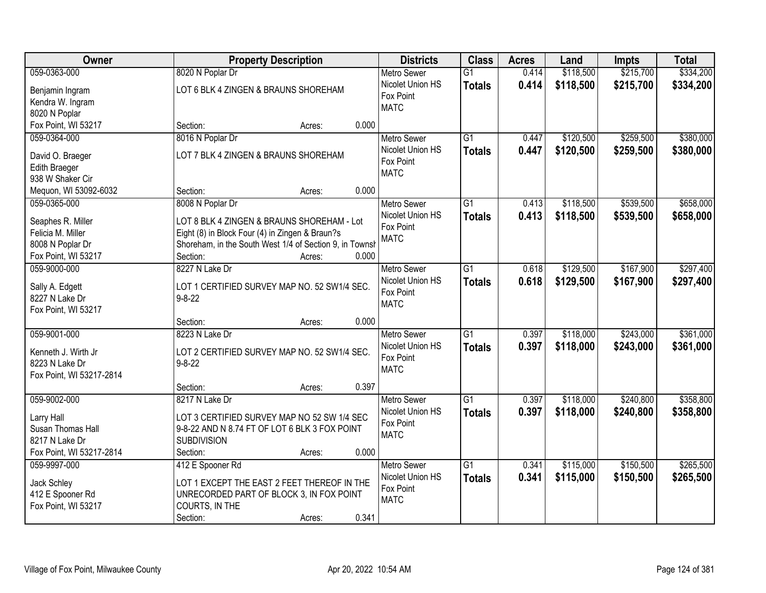| <b>Owner</b>                                                                                  | <b>Property Description</b>                                                                                                                                                    |       | <b>Districts</b>                                                   | <b>Class</b>                     | <b>Acres</b>   | Land                   | <b>Impts</b>           | <b>Total</b>           |
|-----------------------------------------------------------------------------------------------|--------------------------------------------------------------------------------------------------------------------------------------------------------------------------------|-------|--------------------------------------------------------------------|----------------------------------|----------------|------------------------|------------------------|------------------------|
| 059-0363-000                                                                                  | 8020 N Poplar Dr                                                                                                                                                               |       | <b>Metro Sewer</b>                                                 | $\overline{G1}$                  | 0.414          | \$118,500              | \$215,700              | \$334,200              |
| Benjamin Ingram<br>Kendra W. Ingram<br>8020 N Poplar                                          | LOT 6 BLK 4 ZINGEN & BRAUNS SHOREHAM                                                                                                                                           |       | Nicolet Union HS<br>Fox Point<br><b>MATC</b>                       | <b>Totals</b>                    | 0.414          | \$118,500              | \$215,700              | \$334,200              |
| Fox Point, WI 53217                                                                           | Section:<br>Acres:                                                                                                                                                             | 0.000 |                                                                    |                                  |                |                        |                        |                        |
| 059-0364-000                                                                                  | 8016 N Poplar Dr                                                                                                                                                               |       | <b>Metro Sewer</b>                                                 | $\overline{G1}$                  | 0.447          | \$120,500              | \$259,500              | \$380,000              |
| David O. Braeger<br>Edith Braeger<br>938 W Shaker Cir                                         | LOT 7 BLK 4 ZINGEN & BRAUNS SHOREHAM                                                                                                                                           |       | Nicolet Union HS<br>Fox Point<br><b>MATC</b>                       | <b>Totals</b>                    | 0.447          | \$120,500              | \$259,500              | \$380,000              |
| Mequon, WI 53092-6032                                                                         | Section:<br>Acres:                                                                                                                                                             | 0.000 |                                                                    |                                  |                |                        |                        |                        |
| 059-0365-000                                                                                  | 8008 N Poplar Dr                                                                                                                                                               |       | <b>Metro Sewer</b>                                                 | G1                               | 0.413          | \$118,500              | \$539,500              | \$658,000              |
| Seaphes R. Miller<br>Felicia M. Miller<br>8008 N Poplar Dr<br>Fox Point, WI 53217             | LOT 8 BLK 4 ZINGEN & BRAUNS SHOREHAM - Lot<br>Eight (8) in Block Four (4) in Zingen & Braun?s<br>Shoreham, in the South West 1/4 of Section 9, in Townsh<br>Section:<br>Acres: | 0.000 | Nicolet Union HS<br>Fox Point<br><b>MATC</b>                       | <b>Totals</b>                    | 0.413          | \$118,500              | \$539,500              | \$658,000              |
| 059-9000-000                                                                                  | 8227 N Lake Dr                                                                                                                                                                 |       | <b>Metro Sewer</b>                                                 | G1                               | 0.618          | \$129,500              | \$167,900              | \$297,400              |
| Sally A. Edgett<br>8227 N Lake Dr<br>Fox Point, WI 53217                                      | LOT 1 CERTIFIED SURVEY MAP NO. 52 SW1/4 SEC.<br>$9 - 8 - 22$                                                                                                                   |       | Nicolet Union HS<br>Fox Point<br><b>MATC</b>                       | <b>Totals</b>                    | 0.618          | \$129,500              | \$167,900              | \$297,400              |
|                                                                                               | Section:<br>Acres:                                                                                                                                                             | 0.000 |                                                                    |                                  |                |                        |                        |                        |
| 059-9001-000<br>Kenneth J. Wirth Jr<br>8223 N Lake Dr<br>Fox Point, WI 53217-2814             | 8223 N Lake Dr<br>LOT 2 CERTIFIED SURVEY MAP NO. 52 SW1/4 SEC.<br>$9 - 8 - 22$                                                                                                 |       | <b>Metro Sewer</b><br>Nicolet Union HS<br>Fox Point<br><b>MATC</b> | $\overline{G1}$<br><b>Totals</b> | 0.397<br>0.397 | \$118,000<br>\$118,000 | \$243,000<br>\$243,000 | \$361,000<br>\$361,000 |
|                                                                                               | Section:<br>Acres:                                                                                                                                                             | 0.397 |                                                                    |                                  |                |                        |                        |                        |
| 059-9002-000<br>Larry Hall<br>Susan Thomas Hall<br>8217 N Lake Dr<br>Fox Point, WI 53217-2814 | 8217 N Lake Dr<br>LOT 3 CERTIFIED SURVEY MAP NO 52 SW 1/4 SEC<br>9-8-22 AND N 8.74 FT OF LOT 6 BLK 3 FOX POINT<br><b>SUBDIVISION</b><br>Section:                               | 0.000 | Metro Sewer<br>Nicolet Union HS<br>Fox Point<br><b>MATC</b>        | $\overline{G1}$<br><b>Totals</b> | 0.397<br>0.397 | \$118,000<br>\$118,000 | \$240,800<br>\$240,800 | \$358,800<br>\$358,800 |
| 059-9997-000                                                                                  | Acres:<br>412 E Spooner Rd                                                                                                                                                     |       | Metro Sewer                                                        | $\overline{G1}$                  | 0.341          | \$115,000              | \$150,500              | \$265,500              |
| Jack Schley<br>412 E Spooner Rd<br>Fox Point, WI 53217                                        | LOT 1 EXCEPT THE EAST 2 FEET THEREOF IN THE<br>UNRECORDED PART OF BLOCK 3, IN FOX POINT<br>COURTS, IN THE<br>Section:<br>Acres:                                                | 0.341 | Nicolet Union HS<br>Fox Point<br><b>MATC</b>                       | <b>Totals</b>                    | 0.341          | \$115,000              | \$150,500              | \$265,500              |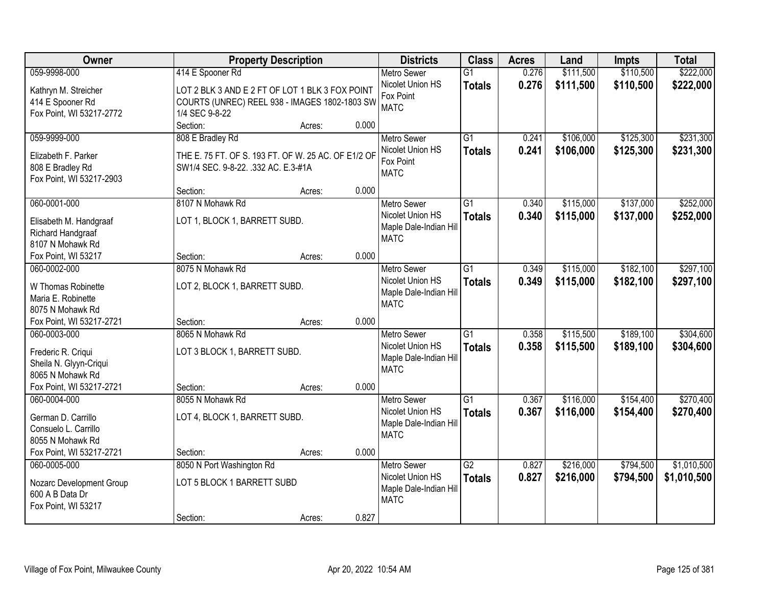| Owner                                      | <b>Property Description</b>                         |                 | <b>Districts</b>                       | <b>Class</b>    | <b>Acres</b> | Land      | <b>Impts</b> | <b>Total</b> |
|--------------------------------------------|-----------------------------------------------------|-----------------|----------------------------------------|-----------------|--------------|-----------|--------------|--------------|
| 059-9998-000                               | 414 E Spooner Rd                                    |                 | <b>Metro Sewer</b>                     | $\overline{G1}$ | 0.276        | \$111,500 | \$110,500    | \$222,000    |
| Kathryn M. Streicher                       | LOT 2 BLK 3 AND E 2 FT OF LOT 1 BLK 3 FOX POINT     |                 | Nicolet Union HS                       | <b>Totals</b>   | 0.276        | \$111,500 | \$110,500    | \$222,000    |
| 414 E Spooner Rd                           | COURTS (UNREC) REEL 938 - IMAGES 1802-1803 SW       |                 | Fox Point                              |                 |              |           |              |              |
| Fox Point, WI 53217-2772                   | 1/4 SEC 9-8-22                                      |                 | <b>MATC</b>                            |                 |              |           |              |              |
|                                            | Section:                                            | 0.000<br>Acres: |                                        |                 |              |           |              |              |
| 059-9999-000                               | 808 E Bradley Rd                                    |                 | <b>Metro Sewer</b>                     | $\overline{G1}$ | 0.241        | \$106,000 | \$125,300    | \$231,300    |
| Elizabeth F. Parker                        | THE E. 75 FT. OF S. 193 FT. OF W. 25 AC. OF E1/2 OF |                 | Nicolet Union HS                       | <b>Totals</b>   | 0.241        | \$106,000 | \$125,300    | \$231,300    |
| 808 E Bradley Rd                           | SW1/4 SEC. 9-8-22. .332 AC. E.3-#1A                 |                 | Fox Point                              |                 |              |           |              |              |
| Fox Point, WI 53217-2903                   |                                                     |                 | <b>MATC</b>                            |                 |              |           |              |              |
|                                            | Section:                                            | 0.000<br>Acres: |                                        |                 |              |           |              |              |
| 060-0001-000                               | 8107 N Mohawk Rd                                    |                 | <b>Metro Sewer</b>                     | G1              | 0.340        | \$115,000 | \$137,000    | \$252,000    |
| Elisabeth M. Handgraaf                     | LOT 1, BLOCK 1, BARRETT SUBD.                       |                 | Nicolet Union HS                       | <b>Totals</b>   | 0.340        | \$115,000 | \$137,000    | \$252,000    |
| Richard Handgraaf                          |                                                     |                 | Maple Dale-Indian Hill                 |                 |              |           |              |              |
| 8107 N Mohawk Rd                           |                                                     |                 | <b>MATC</b>                            |                 |              |           |              |              |
| Fox Point, WI 53217                        | Section:                                            | 0.000<br>Acres: |                                        |                 |              |           |              |              |
| 060-0002-000                               | 8075 N Mohawk Rd                                    |                 | <b>Metro Sewer</b>                     | G1              | 0.349        | \$115,000 | \$182,100    | \$297,100    |
|                                            |                                                     |                 | Nicolet Union HS                       | <b>Totals</b>   | 0.349        | \$115,000 | \$182,100    | \$297,100    |
| W Thomas Robinette<br>Maria E. Robinette   | LOT 2, BLOCK 1, BARRETT SUBD.                       |                 | Maple Dale-Indian Hill                 |                 |              |           |              |              |
| 8075 N Mohawk Rd                           |                                                     |                 | <b>MATC</b>                            |                 |              |           |              |              |
| Fox Point, WI 53217-2721                   | Section:                                            | 0.000<br>Acres: |                                        |                 |              |           |              |              |
| 060-0003-000                               | 8065 N Mohawk Rd                                    |                 | <b>Metro Sewer</b>                     | $\overline{G1}$ | 0.358        | \$115,500 | \$189,100    | \$304,600    |
|                                            |                                                     |                 | Nicolet Union HS                       | <b>Totals</b>   | 0.358        | \$115,500 | \$189,100    | \$304,600    |
| Frederic R. Criqui                         | LOT 3 BLOCK 1, BARRETT SUBD.                        |                 | Maple Dale-Indian Hill                 |                 |              |           |              |              |
| Sheila N. Glyyn-Criqui<br>8065 N Mohawk Rd |                                                     |                 | <b>MATC</b>                            |                 |              |           |              |              |
| Fox Point, WI 53217-2721                   | Section:                                            | 0.000<br>Acres: |                                        |                 |              |           |              |              |
| 060-0004-000                               | 8055 N Mohawk Rd                                    |                 | Metro Sewer                            | $\overline{G1}$ | 0.367        | \$116,000 | \$154,400    | \$270,400    |
|                                            |                                                     |                 | Nicolet Union HS                       | <b>Totals</b>   | 0.367        | \$116,000 | \$154,400    | \$270,400    |
| German D. Carrillo                         | LOT 4, BLOCK 1, BARRETT SUBD.                       |                 | Maple Dale-Indian Hill                 |                 |              |           |              |              |
| Consuelo L. Carrillo                       |                                                     |                 | <b>MATC</b>                            |                 |              |           |              |              |
| 8055 N Mohawk Rd                           |                                                     |                 |                                        |                 |              |           |              |              |
| Fox Point, WI 53217-2721                   | Section:                                            | 0.000<br>Acres: |                                        |                 |              |           |              |              |
| 060-0005-000                               | 8050 N Port Washington Rd                           |                 | <b>Metro Sewer</b><br>Nicolet Union HS | $\overline{G2}$ | 0.827        | \$216,000 | \$794,500    | \$1,010,500  |
| Nozarc Development Group                   | LOT 5 BLOCK 1 BARRETT SUBD                          |                 | Maple Dale-Indian Hill                 | <b>Totals</b>   | 0.827        | \$216,000 | \$794,500    | \$1,010,500  |
| 600 A B Data Dr                            |                                                     |                 | <b>MATC</b>                            |                 |              |           |              |              |
| Fox Point, WI 53217                        |                                                     |                 |                                        |                 |              |           |              |              |
|                                            | Section:                                            | 0.827<br>Acres: |                                        |                 |              |           |              |              |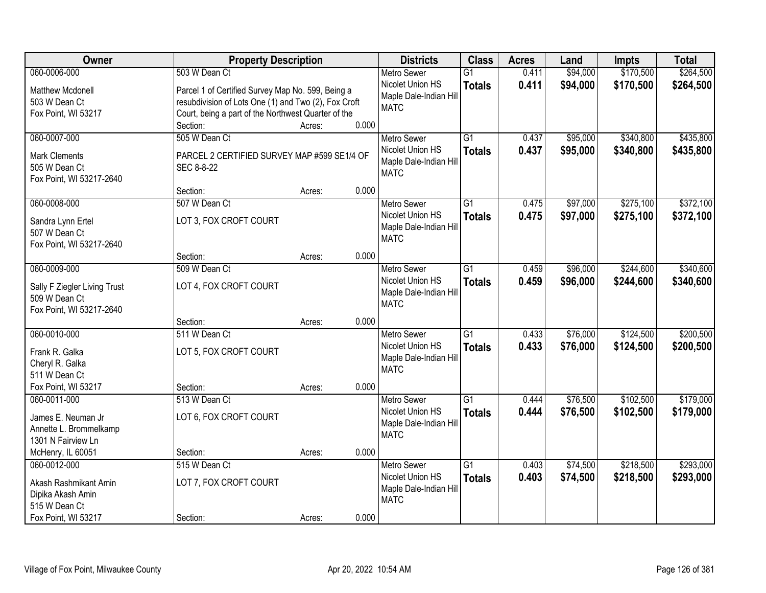| Owner                              | <b>Property Description</b>                          |        |       | <b>Districts</b>       | <b>Class</b>    | <b>Acres</b> | Land     | <b>Impts</b> | <b>Total</b> |
|------------------------------------|------------------------------------------------------|--------|-------|------------------------|-----------------|--------------|----------|--------------|--------------|
| 060-0006-000                       | 503 W Dean Ct                                        |        |       | <b>Metro Sewer</b>     | $\overline{G1}$ | 0.411        | \$94,000 | \$170,500    | \$264,500    |
| <b>Matthew Mcdonell</b>            | Parcel 1 of Certified Survey Map No. 599, Being a    |        |       | Nicolet Union HS       | <b>Totals</b>   | 0.411        | \$94,000 | \$170,500    | \$264,500    |
| 503 W Dean Ct                      | resubdivision of Lots One (1) and Two (2), Fox Croft |        |       | Maple Dale-Indian Hill |                 |              |          |              |              |
| Fox Point, WI 53217                | Court, being a part of the Northwest Quarter of the  |        |       | <b>MATC</b>            |                 |              |          |              |              |
|                                    | Section:                                             | Acres: | 0.000 |                        |                 |              |          |              |              |
| 060-0007-000                       | 505 W Dean Ct                                        |        |       | <b>Metro Sewer</b>     | $\overline{G1}$ | 0.437        | \$95,000 | \$340,800    | \$435,800    |
| <b>Mark Clements</b>               | PARCEL 2 CERTIFIED SURVEY MAP #599 SE1/4 OF          |        |       | Nicolet Union HS       | <b>Totals</b>   | 0.437        | \$95,000 | \$340,800    | \$435,800    |
| 505 W Dean Ct                      | SEC 8-8-22                                           |        |       | Maple Dale-Indian Hill |                 |              |          |              |              |
| Fox Point, WI 53217-2640           |                                                      |        |       | <b>MATC</b>            |                 |              |          |              |              |
|                                    | Section:                                             | Acres: | 0.000 |                        |                 |              |          |              |              |
| 060-0008-000                       | 507 W Dean Ct                                        |        |       | <b>Metro Sewer</b>     | G1              | 0.475        | \$97,000 | \$275,100    | \$372,100    |
|                                    | LOT 3, FOX CROFT COURT                               |        |       | Nicolet Union HS       | <b>Totals</b>   | 0.475        | \$97,000 | \$275,100    | \$372,100    |
| Sandra Lynn Ertel<br>507 W Dean Ct |                                                      |        |       | Maple Dale-Indian Hill |                 |              |          |              |              |
| Fox Point, WI 53217-2640           |                                                      |        |       | <b>MATC</b>            |                 |              |          |              |              |
|                                    | Section:                                             | Acres: | 0.000 |                        |                 |              |          |              |              |
| 060-0009-000                       | 509 W Dean Ct                                        |        |       | <b>Metro Sewer</b>     | $\overline{G1}$ | 0.459        | \$96,000 | \$244,600    | \$340,600    |
|                                    |                                                      |        |       | Nicolet Union HS       | <b>Totals</b>   | 0.459        | \$96,000 | \$244,600    | \$340,600    |
| Sally F Ziegler Living Trust       | LOT 4, FOX CROFT COURT                               |        |       | Maple Dale-Indian Hill |                 |              |          |              |              |
| 509 W Dean Ct                      |                                                      |        |       | <b>MATC</b>            |                 |              |          |              |              |
| Fox Point, WI 53217-2640           | Section:                                             | Acres: | 0.000 |                        |                 |              |          |              |              |
| 060-0010-000                       | 511 W Dean Ct                                        |        |       | <b>Metro Sewer</b>     | $\overline{G1}$ | 0.433        | \$76,000 | \$124,500    | \$200,500    |
|                                    |                                                      |        |       | Nicolet Union HS       |                 |              |          |              |              |
| Frank R. Galka                     | LOT 5, FOX CROFT COURT                               |        |       | Maple Dale-Indian Hill | <b>Totals</b>   | 0.433        | \$76,000 | \$124,500    | \$200,500    |
| Cheryl R. Galka                    |                                                      |        |       | <b>MATC</b>            |                 |              |          |              |              |
| 511 W Dean Ct                      |                                                      |        |       |                        |                 |              |          |              |              |
| Fox Point, WI 53217                | Section:                                             | Acres: | 0.000 |                        |                 |              |          |              |              |
| 060-0011-000                       | 513 W Dean Ct                                        |        |       | Metro Sewer            | $\overline{G1}$ | 0.444        | \$76,500 | \$102,500    | \$179,000    |
| James E. Neuman Jr                 | LOT 6, FOX CROFT COURT                               |        |       | Nicolet Union HS       | <b>Totals</b>   | 0.444        | \$76,500 | \$102,500    | \$179,000    |
| Annette L. Brommelkamp             |                                                      |        |       | Maple Dale-Indian Hill |                 |              |          |              |              |
| 1301 N Fairview Ln                 |                                                      |        |       | <b>MATC</b>            |                 |              |          |              |              |
| McHenry, IL 60051                  | Section:                                             | Acres: | 0.000 |                        |                 |              |          |              |              |
| 060-0012-000                       | 515 W Dean Ct                                        |        |       | <b>Metro Sewer</b>     | $\overline{G1}$ | 0.403        | \$74,500 | \$218,500    | \$293,000    |
| Akash Rashmikant Amin              | LOT 7, FOX CROFT COURT                               |        |       | Nicolet Union HS       | <b>Totals</b>   | 0.403        | \$74,500 | \$218,500    | \$293,000    |
| Dipika Akash Amin                  |                                                      |        |       | Maple Dale-Indian Hill |                 |              |          |              |              |
| 515 W Dean Ct                      |                                                      |        |       | <b>MATC</b>            |                 |              |          |              |              |
| Fox Point, WI 53217                | Section:                                             | Acres: | 0.000 |                        |                 |              |          |              |              |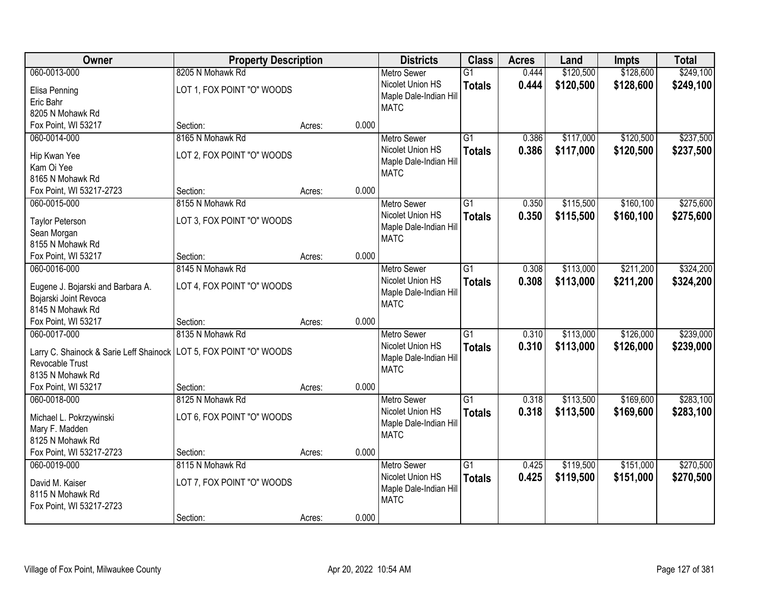| Owner                                                                | <b>Property Description</b> |        | <b>Districts</b>       | <b>Class</b>    | <b>Acres</b> | Land      | <b>Impts</b> | <b>Total</b> |
|----------------------------------------------------------------------|-----------------------------|--------|------------------------|-----------------|--------------|-----------|--------------|--------------|
| 060-0013-000                                                         | 8205 N Mohawk Rd            |        | <b>Metro Sewer</b>     | $\overline{G1}$ | 0.444        | \$120,500 | \$128,600    | \$249,100    |
| Elisa Penning                                                        | LOT 1, FOX POINT "O" WOODS  |        | Nicolet Union HS       | <b>Totals</b>   | 0.444        | \$120,500 | \$128,600    | \$249,100    |
| Eric Bahr                                                            |                             |        | Maple Dale-Indian Hill |                 |              |           |              |              |
| 8205 N Mohawk Rd                                                     |                             |        | <b>MATC</b>            |                 |              |           |              |              |
| Fox Point, WI 53217                                                  | Section:                    | Acres: | 0.000                  |                 |              |           |              |              |
| 060-0014-000                                                         | 8165 N Mohawk Rd            |        | <b>Metro Sewer</b>     | $\overline{G1}$ | 0.386        | \$117,000 | \$120,500    | \$237,500    |
|                                                                      |                             |        | Nicolet Union HS       | <b>Totals</b>   | 0.386        | \$117,000 | \$120,500    | \$237,500    |
| Hip Kwan Yee                                                         | LOT 2, FOX POINT "O" WOODS  |        | Maple Dale-Indian Hill |                 |              |           |              |              |
| Kam Oi Yee                                                           |                             |        | <b>MATC</b>            |                 |              |           |              |              |
| 8165 N Mohawk Rd                                                     |                             |        |                        |                 |              |           |              |              |
| Fox Point, WI 53217-2723                                             | Section:                    | Acres: | 0.000                  |                 |              |           |              |              |
| 060-0015-000                                                         | 8155 N Mohawk Rd            |        | Metro Sewer            | $\overline{G1}$ | 0.350        | \$115,500 | \$160, 100   | \$275,600    |
| <b>Taylor Peterson</b>                                               | LOT 3, FOX POINT "O" WOODS  |        | Nicolet Union HS       | <b>Totals</b>   | 0.350        | \$115,500 | \$160,100    | \$275,600    |
| Sean Morgan                                                          |                             |        | Maple Dale-Indian Hill |                 |              |           |              |              |
| 8155 N Mohawk Rd                                                     |                             |        | <b>MATC</b>            |                 |              |           |              |              |
| Fox Point, WI 53217                                                  | Section:                    | Acres: | 0.000                  |                 |              |           |              |              |
| 060-0016-000                                                         | 8145 N Mohawk Rd            |        | <b>Metro Sewer</b>     | $\overline{G1}$ | 0.308        | \$113,000 | \$211,200    | \$324,200    |
|                                                                      |                             |        | Nicolet Union HS       | <b>Totals</b>   | 0.308        | \$113,000 | \$211,200    | \$324,200    |
| Eugene J. Bojarski and Barbara A.                                    | LOT 4, FOX POINT "O" WOODS  |        | Maple Dale-Indian Hill |                 |              |           |              |              |
| Bojarski Joint Revoca                                                |                             |        | <b>MATC</b>            |                 |              |           |              |              |
| 8145 N Mohawk Rd                                                     |                             |        |                        |                 |              |           |              |              |
| Fox Point, WI 53217                                                  | Section:                    | Acres: | 0.000                  |                 |              |           |              |              |
| 060-0017-000                                                         | 8135 N Mohawk Rd            |        | <b>Metro Sewer</b>     | $\overline{G1}$ | 0.310        | \$113,000 | \$126,000    | \$239,000    |
| Larry C. Shainock & Sarie Leff Shainock   LOT 5, FOX POINT "O" WOODS |                             |        | Nicolet Union HS       | <b>Totals</b>   | 0.310        | \$113,000 | \$126,000    | \$239,000    |
| Revocable Trust                                                      |                             |        | Maple Dale-Indian Hill |                 |              |           |              |              |
| 8135 N Mohawk Rd                                                     |                             |        | <b>MATC</b>            |                 |              |           |              |              |
| Fox Point, WI 53217                                                  | Section:                    | Acres: | 0.000                  |                 |              |           |              |              |
| 060-0018-000                                                         | 8125 N Mohawk Rd            |        | <b>Metro Sewer</b>     | $\overline{G1}$ | 0.318        | \$113,500 | \$169,600    | \$283,100    |
| Michael L. Pokrzywinski                                              | LOT 6, FOX POINT "O" WOODS  |        | Nicolet Union HS       | <b>Totals</b>   | 0.318        | \$113,500 | \$169,600    | \$283,100    |
| Mary F. Madden                                                       |                             |        | Maple Dale-Indian Hill |                 |              |           |              |              |
| 8125 N Mohawk Rd                                                     |                             |        | <b>MATC</b>            |                 |              |           |              |              |
| Fox Point, WI 53217-2723                                             | Section:                    | Acres: | 0.000                  |                 |              |           |              |              |
| 060-0019-000                                                         | 8115 N Mohawk Rd            |        | <b>Metro Sewer</b>     | $\overline{G1}$ | 0.425        | \$119,500 | \$151,000    | \$270,500    |
|                                                                      |                             |        | Nicolet Union HS       | <b>Totals</b>   | 0.425        | \$119,500 | \$151,000    | \$270,500    |
| David M. Kaiser                                                      | LOT 7, FOX POINT "O" WOODS  |        | Maple Dale-Indian Hill |                 |              |           |              |              |
| 8115 N Mohawk Rd                                                     |                             |        | <b>MATC</b>            |                 |              |           |              |              |
| Fox Point, WI 53217-2723                                             |                             |        |                        |                 |              |           |              |              |
|                                                                      | Section:                    | Acres: | 0.000                  |                 |              |           |              |              |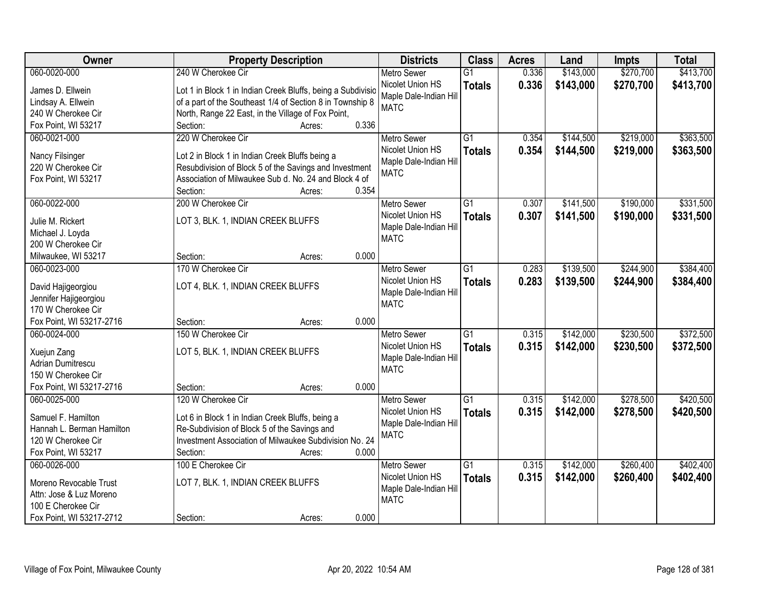| Owner                                       | <b>Property Description</b>                                 | <b>Districts</b>       | <b>Class</b>    | <b>Acres</b> | Land      | <b>Impts</b> | <b>Total</b> |
|---------------------------------------------|-------------------------------------------------------------|------------------------|-----------------|--------------|-----------|--------------|--------------|
| 060-0020-000                                | 240 W Cherokee Cir                                          | <b>Metro Sewer</b>     | $\overline{G1}$ | 0.336        | \$143,000 | \$270,700    | \$413,700    |
| James D. Ellwein                            | Lot 1 in Block 1 in Indian Creek Bluffs, being a Subdivisio | Nicolet Union HS       | <b>Totals</b>   | 0.336        | \$143,000 | \$270,700    | \$413,700    |
| Lindsay A. Ellwein                          | of a part of the Southeast 1/4 of Section 8 in Township 8   | Maple Dale-Indian Hill |                 |              |           |              |              |
| 240 W Cherokee Cir                          | North, Range 22 East, in the Village of Fox Point,          | <b>MATC</b>            |                 |              |           |              |              |
| Fox Point, WI 53217                         | 0.336<br>Section:<br>Acres:                                 |                        |                 |              |           |              |              |
| 060-0021-000                                | 220 W Cherokee Cir                                          | <b>Metro Sewer</b>     | $\overline{G1}$ | 0.354        | \$144,500 | \$219,000    | \$363,500    |
|                                             |                                                             | Nicolet Union HS       | <b>Totals</b>   | 0.354        | \$144,500 | \$219,000    | \$363,500    |
| Nancy Filsinger                             | Lot 2 in Block 1 in Indian Creek Bluffs being a             | Maple Dale-Indian Hill |                 |              |           |              |              |
| 220 W Cherokee Cir                          | Resubdivision of Block 5 of the Savings and Investment      | <b>MATC</b>            |                 |              |           |              |              |
| Fox Point, WI 53217                         | Association of Milwaukee Sub d. No. 24 and Block 4 of       |                        |                 |              |           |              |              |
|                                             | 0.354<br>Section:<br>Acres:                                 |                        |                 |              |           |              |              |
| 060-0022-000                                | 200 W Cherokee Cir                                          | <b>Metro Sewer</b>     | G1              | 0.307        | \$141,500 | \$190,000    | \$331,500    |
| Julie M. Rickert                            | LOT 3, BLK. 1, INDIAN CREEK BLUFFS                          | Nicolet Union HS       | <b>Totals</b>   | 0.307        | \$141,500 | \$190,000    | \$331,500    |
| Michael J. Loyda                            |                                                             | Maple Dale-Indian Hill |                 |              |           |              |              |
| 200 W Cherokee Cir                          |                                                             | <b>MATC</b>            |                 |              |           |              |              |
| Milwaukee, WI 53217                         | 0.000<br>Section:<br>Acres:                                 |                        |                 |              |           |              |              |
| 060-0023-000                                | 170 W Cherokee Cir                                          | <b>Metro Sewer</b>     | G1              | 0.283        | \$139,500 | \$244,900    | \$384,400    |
|                                             |                                                             | Nicolet Union HS       | <b>Totals</b>   | 0.283        | \$139,500 | \$244,900    | \$384,400    |
| David Hajigeorgiou                          | LOT 4, BLK. 1, INDIAN CREEK BLUFFS                          | Maple Dale-Indian Hill |                 |              |           |              |              |
| Jennifer Hajigeorgiou<br>170 W Cherokee Cir |                                                             | <b>MATC</b>            |                 |              |           |              |              |
| Fox Point, WI 53217-2716                    | 0.000<br>Section:<br>Acres:                                 |                        |                 |              |           |              |              |
| 060-0024-000                                | 150 W Cherokee Cir                                          | <b>Metro Sewer</b>     | $\overline{G1}$ | 0.315        | \$142,000 | \$230,500    | \$372,500    |
|                                             |                                                             | Nicolet Union HS       |                 | 0.315        | \$142,000 | \$230,500    |              |
| Xuejun Zang                                 | LOT 5, BLK. 1, INDIAN CREEK BLUFFS                          | Maple Dale-Indian Hill | <b>Totals</b>   |              |           |              | \$372,500    |
| <b>Adrian Dumitrescu</b>                    |                                                             | <b>MATC</b>            |                 |              |           |              |              |
| 150 W Cherokee Cir                          |                                                             |                        |                 |              |           |              |              |
| Fox Point, WI 53217-2716                    | 0.000<br>Section:<br>Acres:                                 |                        |                 |              |           |              |              |
| 060-0025-000                                | 120 W Cherokee Cir                                          | <b>Metro Sewer</b>     | $\overline{G1}$ | 0.315        | \$142,000 | \$278,500    | \$420,500    |
| Samuel F. Hamilton                          | Lot 6 in Block 1 in Indian Creek Bluffs, being a            | Nicolet Union HS       | <b>Totals</b>   | 0.315        | \$142,000 | \$278,500    | \$420,500    |
| Hannah L. Berman Hamilton                   | Re-Subdivision of Block 5 of the Savings and                | Maple Dale-Indian Hill |                 |              |           |              |              |
| 120 W Cherokee Cir                          | Investment Association of Milwaukee Subdivision No. 24      | <b>MATC</b>            |                 |              |           |              |              |
| Fox Point, WI 53217                         | 0.000<br>Section:<br>Acres:                                 |                        |                 |              |           |              |              |
| 060-0026-000                                | 100 E Cherokee Cir                                          | <b>Metro Sewer</b>     | $\overline{G1}$ | 0.315        | \$142,000 | \$260,400    | \$402,400    |
|                                             |                                                             | Nicolet Union HS       | <b>Totals</b>   | 0.315        | \$142,000 | \$260,400    | \$402,400    |
| Moreno Revocable Trust                      | LOT 7, BLK. 1, INDIAN CREEK BLUFFS                          | Maple Dale-Indian Hill |                 |              |           |              |              |
| Attn: Jose & Luz Moreno                     |                                                             | <b>MATC</b>            |                 |              |           |              |              |
| 100 E Cherokee Cir                          |                                                             |                        |                 |              |           |              |              |
| Fox Point, WI 53217-2712                    | 0.000<br>Section:<br>Acres:                                 |                        |                 |              |           |              |              |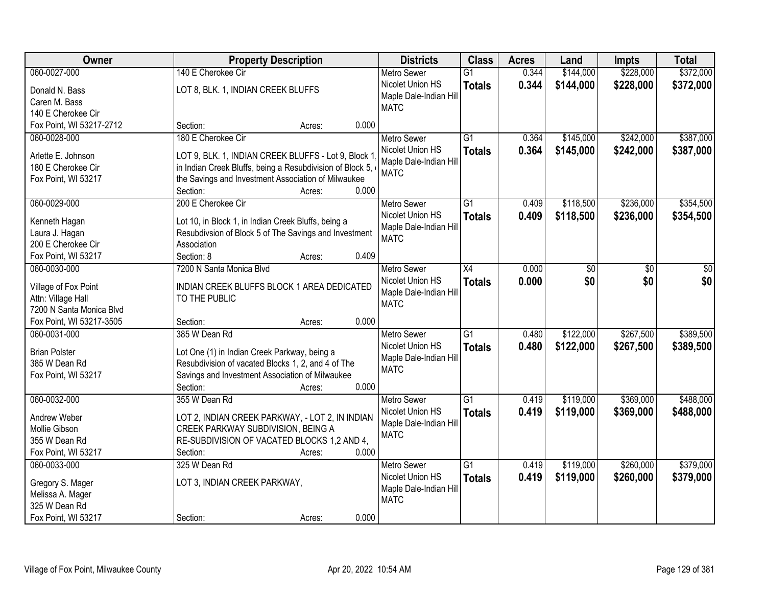| Owner                    | <b>Property Description</b>                                                           | <b>Districts</b>                       | <b>Class</b>    | <b>Acres</b> | Land      | <b>Impts</b> | <b>Total</b> |
|--------------------------|---------------------------------------------------------------------------------------|----------------------------------------|-----------------|--------------|-----------|--------------|--------------|
| 060-0027-000             | 140 E Cherokee Cir                                                                    | <b>Metro Sewer</b>                     | $\overline{G1}$ | 0.344        | \$144,000 | \$228,000    | \$372,000    |
| Donald N. Bass           | LOT 8, BLK. 1, INDIAN CREEK BLUFFS                                                    | Nicolet Union HS                       | <b>Totals</b>   | 0.344        | \$144,000 | \$228,000    | \$372,000    |
| Caren M. Bass            |                                                                                       | Maple Dale-Indian Hill                 |                 |              |           |              |              |
| 140 E Cherokee Cir       |                                                                                       | <b>MATC</b>                            |                 |              |           |              |              |
| Fox Point, WI 53217-2712 | 0.000<br>Section:<br>Acres:                                                           |                                        |                 |              |           |              |              |
| 060-0028-000             | 180 E Cherokee Cir                                                                    | <b>Metro Sewer</b>                     | $\overline{G1}$ | 0.364        | \$145,000 | \$242,000    | \$387,000    |
|                          |                                                                                       | Nicolet Union HS                       | <b>Totals</b>   | 0.364        | \$145,000 | \$242,000    | \$387,000    |
| Arlette E. Johnson       | LOT 9, BLK. 1, INDIAN CREEK BLUFFS - Lot 9, Block 1                                   | Maple Dale-Indian Hill                 |                 |              |           |              |              |
| 180 E Cherokee Cir       | in Indian Creek Bluffs, being a Resubdivision of Block 5,                             | <b>MATC</b>                            |                 |              |           |              |              |
| Fox Point, WI 53217      | the Savings and Investment Association of Milwaukee                                   |                                        |                 |              |           |              |              |
|                          | 0.000<br>Section:<br>Acres:                                                           |                                        |                 |              |           |              |              |
| 060-0029-000             | 200 E Cherokee Cir                                                                    | <b>Metro Sewer</b>                     | $\overline{G1}$ | 0.409        | \$118,500 | \$236,000    | \$354,500    |
| Kenneth Hagan            | Lot 10, in Block 1, in Indian Creek Bluffs, being a                                   | Nicolet Union HS                       | <b>Totals</b>   | 0.409        | \$118,500 | \$236,000    | \$354,500    |
| Laura J. Hagan           | Resubdivsion of Block 5 of The Savings and Investment                                 | Maple Dale-Indian Hill                 |                 |              |           |              |              |
| 200 E Cherokee Cir       | Association                                                                           | <b>MATC</b>                            |                 |              |           |              |              |
| Fox Point, WI 53217      | Section: 8<br>0.409<br>Acres:                                                         |                                        |                 |              |           |              |              |
| 060-0030-000             | 7200 N Santa Monica Blvd                                                              | <b>Metro Sewer</b>                     | $\overline{X4}$ | 0.000        | \$0       | \$0          | \$0          |
|                          |                                                                                       | Nicolet Union HS                       | <b>Totals</b>   | 0.000        | \$0       | \$0          | \$0          |
| Village of Fox Point     | INDIAN CREEK BLUFFS BLOCK 1 AREA DEDICATED                                            | Maple Dale-Indian Hill                 |                 |              |           |              |              |
| Attn: Village Hall       | TO THE PUBLIC                                                                         | <b>MATC</b>                            |                 |              |           |              |              |
| 7200 N Santa Monica Blvd |                                                                                       |                                        |                 |              |           |              |              |
| Fox Point, WI 53217-3505 | 0.000<br>Section:<br>Acres:                                                           |                                        |                 |              |           |              |              |
| 060-0031-000             | 385 W Dean Rd                                                                         | <b>Metro Sewer</b>                     | $\overline{G1}$ | 0.480        | \$122,000 | \$267,500    | \$389,500    |
| <b>Brian Polster</b>     | Lot One (1) in Indian Creek Parkway, being a                                          | Nicolet Union HS                       | <b>Totals</b>   | 0.480        | \$122,000 | \$267,500    | \$389,500    |
| 385 W Dean Rd            | Resubdivision of vacated Blocks 1, 2, and 4 of The                                    | Maple Dale-Indian Hill                 |                 |              |           |              |              |
| Fox Point, WI 53217      | Savings and Investment Association of Milwaukee                                       | <b>MATC</b>                            |                 |              |           |              |              |
|                          | 0.000<br>Section:<br>Acres:                                                           |                                        |                 |              |           |              |              |
| 060-0032-000             | 355 W Dean Rd                                                                         | <b>Metro Sewer</b>                     | $\overline{G1}$ | 0.419        | \$119,000 | \$369,000    | \$488,000    |
| Andrew Weber             |                                                                                       | Nicolet Union HS                       | <b>Totals</b>   | 0.419        | \$119,000 | \$369,000    | \$488,000    |
| Mollie Gibson            | LOT 2, INDIAN CREEK PARKWAY, - LOT 2, IN INDIAN<br>CREEK PARKWAY SUBDIVISION, BEING A | Maple Dale-Indian Hill                 |                 |              |           |              |              |
| 355 W Dean Rd            | RE-SUBDIVISION OF VACATED BLOCKS 1,2 AND 4,                                           | <b>MATC</b>                            |                 |              |           |              |              |
| Fox Point, WI 53217      | 0.000<br>Section:<br>Acres:                                                           |                                        |                 |              |           |              |              |
| 060-0033-000             | 325 W Dean Rd                                                                         |                                        | $\overline{G1}$ | 0.419        | \$119,000 | \$260,000    | \$379,000    |
|                          |                                                                                       | <b>Metro Sewer</b><br>Nicolet Union HS |                 |              |           |              |              |
| Gregory S. Mager         | LOT 3, INDIAN CREEK PARKWAY,                                                          |                                        | <b>Totals</b>   | 0.419        | \$119,000 | \$260,000    | \$379,000    |
| Melissa A. Mager         |                                                                                       | Maple Dale-Indian Hill<br><b>MATC</b>  |                 |              |           |              |              |
| 325 W Dean Rd            |                                                                                       |                                        |                 |              |           |              |              |
| Fox Point, WI 53217      | 0.000<br>Section:<br>Acres:                                                           |                                        |                 |              |           |              |              |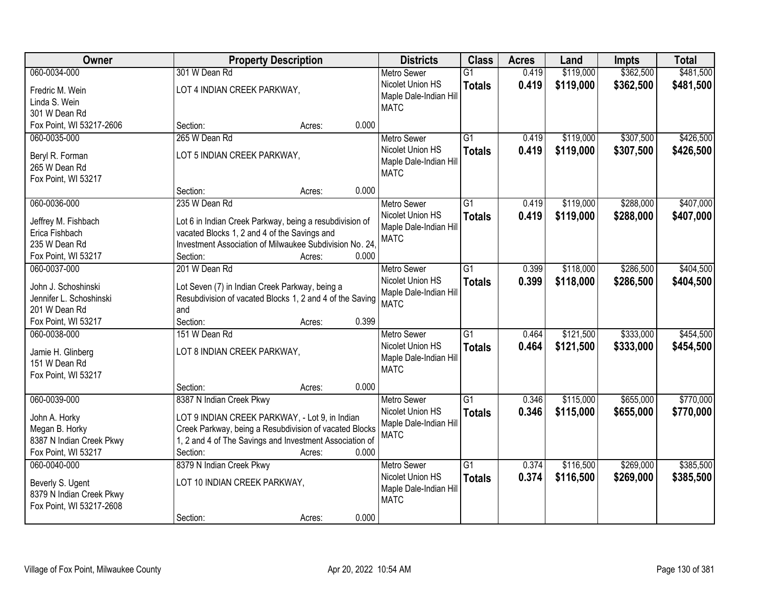| \$362,500<br>060-0034-000<br>\$119,000<br>301 W Dean Rd<br>$\overline{G1}$<br>0.419<br><b>Metro Sewer</b>                                     | \$481,500 |
|-----------------------------------------------------------------------------------------------------------------------------------------------|-----------|
|                                                                                                                                               |           |
| Nicolet Union HS<br>0.419<br>\$119,000<br>\$362,500<br><b>Totals</b><br>LOT 4 INDIAN CREEK PARKWAY,<br>Fredric M. Wein                        | \$481,500 |
| Maple Dale-Indian Hill<br>Linda S. Wein                                                                                                       |           |
| <b>MATC</b><br>301 W Dean Rd                                                                                                                  |           |
| 0.000<br>Fox Point, WI 53217-2606<br>Section:<br>Acres:                                                                                       |           |
| $\overline{G1}$<br>\$119,000<br>\$307,500<br>060-0035-000<br>265 W Dean Rd<br>0.419<br><b>Metro Sewer</b>                                     | \$426,500 |
| Nicolet Union HS<br>0.419<br>\$119,000<br>\$307,500<br><b>Totals</b><br>LOT 5 INDIAN CREEK PARKWAY,                                           | \$426,500 |
| Beryl R. Forman<br>Maple Dale-Indian Hill                                                                                                     |           |
| 265 W Dean Rd<br><b>MATC</b><br>Fox Point, WI 53217                                                                                           |           |
| 0.000<br>Section:<br>Acres:                                                                                                                   |           |
| \$288,000<br>060-0036-000<br>235 W Dean Rd<br>G1<br>\$119,000<br><b>Metro Sewer</b><br>0.419                                                  | \$407,000 |
| Nicolet Union HS<br>0.419<br>\$119,000<br>\$288,000<br><b>Totals</b>                                                                          | \$407,000 |
| Jeffrey M. Fishbach<br>Lot 6 in Indian Creek Parkway, being a resubdivision of<br>Maple Dale-Indian Hill                                      |           |
| vacated Blocks 1, 2 and 4 of the Savings and<br>Erica Fishbach<br><b>MATC</b>                                                                 |           |
| 235 W Dean Rd<br>Investment Association of Milwaukee Subdivision No. 24.                                                                      |           |
| Fox Point, WI 53217<br>Section:<br>0.000<br>Acres:                                                                                            |           |
| 201 W Dean Rd<br>\$118,000<br>\$286,500<br>060-0037-000<br>G1<br>0.399<br><b>Metro Sewer</b>                                                  | \$404,500 |
| Nicolet Union HS<br>0.399<br>\$118,000<br>\$286,500<br><b>Totals</b><br>John J. Schoshinski<br>Lot Seven (7) in Indian Creek Parkway, being a | \$404,500 |
| Maple Dale-Indian Hill<br>Resubdivision of vacated Blocks 1, 2 and 4 of the Saving<br>Jennifer L. Schoshinski                                 |           |
| <b>MATC</b><br>201 W Dean Rd<br>and                                                                                                           |           |
| 0.399<br>Fox Point, WI 53217<br>Section:<br>Acres:                                                                                            |           |
| \$333,000<br>060-0038-000<br>151 W Dean Rd<br>$\overline{G1}$<br>0.464<br>\$121,500<br><b>Metro Sewer</b>                                     | \$454,500 |
| Nicolet Union HS<br>0.464<br>\$121,500<br>\$333,000<br><b>Totals</b>                                                                          | \$454,500 |
| LOT 8 INDIAN CREEK PARKWAY,<br>Jamie H. Glinberg<br>Maple Dale-Indian Hill                                                                    |           |
| 151 W Dean Rd<br><b>MATC</b>                                                                                                                  |           |
| Fox Point, WI 53217                                                                                                                           |           |
| 0.000<br>Section:<br>Acres:                                                                                                                   |           |
| $\overline{G1}$<br>\$655,000<br>060-0039-000<br>8387 N Indian Creek Pkwy<br>\$115,000<br><b>Metro Sewer</b><br>0.346                          | \$770,000 |
| 0.346<br>Nicolet Union HS<br>\$115,000<br>\$655,000<br><b>Totals</b><br>LOT 9 INDIAN CREEK PARKWAY, - Lot 9, in Indian<br>John A. Horky       | \$770,000 |
| Maple Dale-Indian Hill<br>Creek Parkway, being a Resubdivision of vacated Blocks<br>Megan B. Horky<br><b>MATC</b>                             |           |
| 1, 2 and 4 of The Savings and Investment Association of<br>8387 N Indian Creek Pkwy                                                           |           |
| Fox Point, WI 53217<br>0.000<br>Section:<br>Acres:                                                                                            |           |
| 060-0040-000<br>\$116,500<br>\$269,000<br>8379 N Indian Creek Pkwy<br>$\overline{G1}$<br>0.374<br><b>Metro Sewer</b>                          | \$385,500 |
| Nicolet Union HS<br>0.374<br>\$116,500<br>\$269,000<br><b>Totals</b><br>LOT 10 INDIAN CREEK PARKWAY,<br>Beverly S. Ugent                      | \$385,500 |
| Maple Dale-Indian Hill<br>8379 N Indian Creek Pkwy                                                                                            |           |
| <b>MATC</b><br>Fox Point, WI 53217-2608                                                                                                       |           |
| 0.000<br>Section:<br>Acres:                                                                                                                   |           |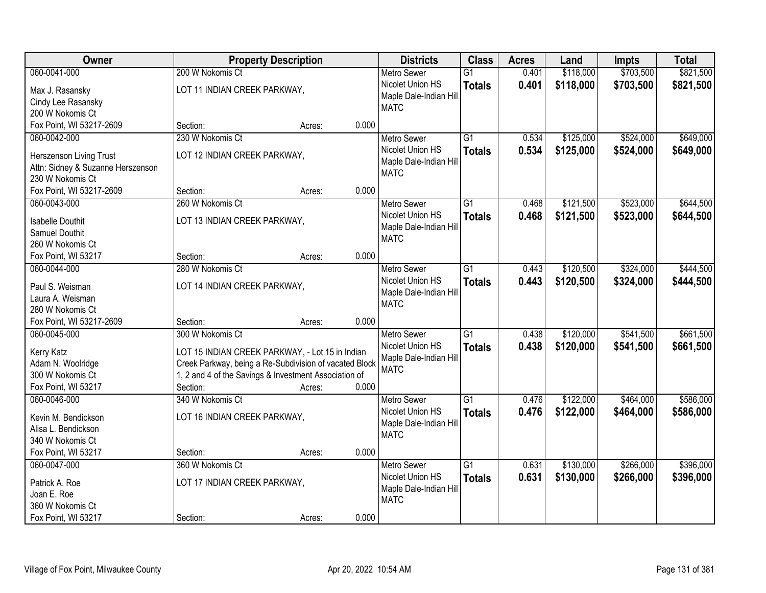| Owner                                                 | <b>Property Description</b>                            |        |       | <b>Districts</b>                       | <b>Class</b>    | <b>Acres</b> | Land      | <b>Impts</b> | <b>Total</b> |
|-------------------------------------------------------|--------------------------------------------------------|--------|-------|----------------------------------------|-----------------|--------------|-----------|--------------|--------------|
| 060-0041-000                                          | 200 W Nokomis Ct                                       |        |       | <b>Metro Sewer</b>                     | $\overline{G1}$ | 0.401        | \$118,000 | \$703,500    | \$821,500    |
| Max J. Rasansky                                       | LOT 11 INDIAN CREEK PARKWAY,                           |        |       | Nicolet Union HS                       | <b>Totals</b>   | 0.401        | \$118,000 | \$703,500    | \$821,500    |
| Cindy Lee Rasansky                                    |                                                        |        |       | Maple Dale-Indian Hill                 |                 |              |           |              |              |
| 200 W Nokomis Ct                                      |                                                        |        |       | <b>MATC</b>                            |                 |              |           |              |              |
| Fox Point, WI 53217-2609                              | Section:                                               | Acres: | 0.000 |                                        |                 |              |           |              |              |
| 060-0042-000                                          | 230 W Nokomis Ct                                       |        |       | <b>Metro Sewer</b>                     | $\overline{G1}$ | 0.534        | \$125,000 | \$524,000    | \$649,000    |
|                                                       |                                                        |        |       | Nicolet Union HS                       | <b>Totals</b>   | 0.534        | \$125,000 | \$524,000    | \$649,000    |
| Herszenson Living Trust                               | LOT 12 INDIAN CREEK PARKWAY,                           |        |       | Maple Dale-Indian Hill                 |                 |              |           |              |              |
| Attn: Sidney & Suzanne Herszenson<br>230 W Nokomis Ct |                                                        |        |       | <b>MATC</b>                            |                 |              |           |              |              |
| Fox Point, WI 53217-2609                              | Section:                                               |        | 0.000 |                                        |                 |              |           |              |              |
| 060-0043-000                                          | 260 W Nokomis Ct                                       | Acres: |       |                                        | G1              | 0.468        |           | \$523,000    | \$644,500    |
|                                                       |                                                        |        |       | <b>Metro Sewer</b><br>Nicolet Union HS |                 |              | \$121,500 |              |              |
| <b>Isabelle Douthit</b>                               | LOT 13 INDIAN CREEK PARKWAY,                           |        |       |                                        | <b>Totals</b>   | 0.468        | \$121,500 | \$523,000    | \$644,500    |
| Samuel Douthit                                        |                                                        |        |       | Maple Dale-Indian Hill<br><b>MATC</b>  |                 |              |           |              |              |
| 260 W Nokomis Ct                                      |                                                        |        |       |                                        |                 |              |           |              |              |
| Fox Point, WI 53217                                   | Section:                                               | Acres: | 0.000 |                                        |                 |              |           |              |              |
| 060-0044-000                                          | 280 W Nokomis Ct                                       |        |       | <b>Metro Sewer</b>                     | G1              | 0.443        | \$120,500 | \$324,000    | \$444,500    |
| Paul S. Weisman                                       | LOT 14 INDIAN CREEK PARKWAY,                           |        |       | Nicolet Union HS                       | <b>Totals</b>   | 0.443        | \$120,500 | \$324,000    | \$444,500    |
| Laura A. Weisman                                      |                                                        |        |       | Maple Dale-Indian Hill                 |                 |              |           |              |              |
| 280 W Nokomis Ct                                      |                                                        |        |       | <b>MATC</b>                            |                 |              |           |              |              |
| Fox Point, WI 53217-2609                              | Section:                                               | Acres: | 0.000 |                                        |                 |              |           |              |              |
| 060-0045-000                                          | 300 W Nokomis Ct                                       |        |       | <b>Metro Sewer</b>                     | $\overline{G1}$ | 0.438        | \$120,000 | \$541,500    | \$661,500    |
|                                                       |                                                        |        |       | Nicolet Union HS                       |                 |              |           |              |              |
| Kerry Katz                                            | LOT 15 INDIAN CREEK PARKWAY, - Lot 15 in Indian        |        |       | Maple Dale-Indian Hill                 | <b>Totals</b>   | 0.438        | \$120,000 | \$541,500    | \$661,500    |
| Adam N. Woolridge                                     | Creek Parkway, being a Re-Subdivision of vacated Block |        |       | <b>MATC</b>                            |                 |              |           |              |              |
| 300 W Nokomis Ct                                      | 1, 2 and 4 of the Savings & Investment Association of  |        |       |                                        |                 |              |           |              |              |
| Fox Point, WI 53217                                   | Section:                                               | Acres: | 0.000 |                                        |                 |              |           |              |              |
| 060-0046-000                                          | 340 W Nokomis Ct                                       |        |       | Metro Sewer                            | $\overline{G1}$ | 0.476        | \$122,000 | \$464,000    | \$586,000    |
| Kevin M. Bendickson                                   | LOT 16 INDIAN CREEK PARKWAY,                           |        |       | Nicolet Union HS                       | <b>Totals</b>   | 0.476        | \$122,000 | \$464,000    | \$586,000    |
| Alisa L. Bendickson                                   |                                                        |        |       | Maple Dale-Indian Hill                 |                 |              |           |              |              |
| 340 W Nokomis Ct                                      |                                                        |        |       | <b>MATC</b>                            |                 |              |           |              |              |
| Fox Point, WI 53217                                   | Section:                                               | Acres: | 0.000 |                                        |                 |              |           |              |              |
| 060-0047-000                                          | 360 W Nokomis Ct                                       |        |       | <b>Metro Sewer</b>                     | $\overline{G1}$ | 0.631        | \$130,000 | \$266,000    | \$396,000    |
|                                                       |                                                        |        |       | Nicolet Union HS                       | <b>Totals</b>   | 0.631        | \$130,000 | \$266,000    | \$396,000    |
| Patrick A. Roe                                        | LOT 17 INDIAN CREEK PARKWAY,                           |        |       | Maple Dale-Indian Hill                 |                 |              |           |              |              |
| Joan E. Roe                                           |                                                        |        |       | <b>MATC</b>                            |                 |              |           |              |              |
| 360 W Nokomis Ct                                      |                                                        |        |       |                                        |                 |              |           |              |              |
| Fox Point, WI 53217                                   | Section:                                               | Acres: | 0.000 |                                        |                 |              |           |              |              |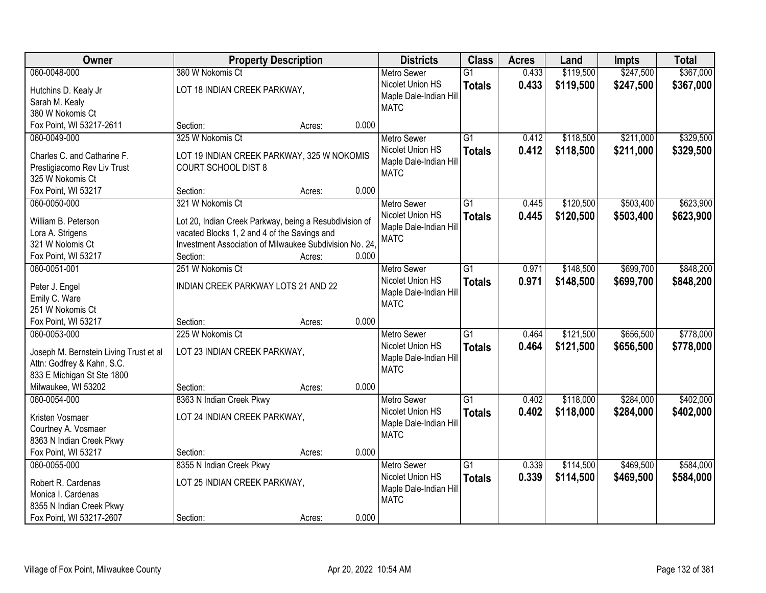| Owner                                  | <b>Property Description</b>                                              |                 | <b>Districts</b>       | <b>Class</b>    | <b>Acres</b> | Land      | <b>Impts</b> | <b>Total</b> |
|----------------------------------------|--------------------------------------------------------------------------|-----------------|------------------------|-----------------|--------------|-----------|--------------|--------------|
| 060-0048-000                           | 380 W Nokomis Ct                                                         |                 | <b>Metro Sewer</b>     | $\overline{G1}$ | 0.433        | \$119,500 | \$247,500    | \$367,000    |
| Hutchins D. Kealy Jr                   | LOT 18 INDIAN CREEK PARKWAY,                                             |                 | Nicolet Union HS       | <b>Totals</b>   | 0.433        | \$119,500 | \$247,500    | \$367,000    |
| Sarah M. Kealy                         |                                                                          |                 | Maple Dale-Indian Hill |                 |              |           |              |              |
| 380 W Nokomis Ct                       |                                                                          |                 | <b>MATC</b>            |                 |              |           |              |              |
| Fox Point, WI 53217-2611               | Section:                                                                 | 0.000<br>Acres: |                        |                 |              |           |              |              |
| 060-0049-000                           | 325 W Nokomis Ct                                                         |                 | <b>Metro Sewer</b>     | $\overline{G1}$ | 0.412        | \$118,500 | \$211,000    | \$329,500    |
| Charles C. and Catharine F.            |                                                                          |                 | Nicolet Union HS       | <b>Totals</b>   | 0.412        | \$118,500 | \$211,000    | \$329,500    |
| Prestigiacomo Rev Liv Trust            | LOT 19 INDIAN CREEK PARKWAY, 325 W NOKOMIS<br><b>COURT SCHOOL DIST 8</b> |                 | Maple Dale-Indian Hill |                 |              |           |              |              |
| 325 W Nokomis Ct                       |                                                                          |                 | <b>MATC</b>            |                 |              |           |              |              |
| Fox Point, WI 53217                    | Section:                                                                 | 0.000<br>Acres: |                        |                 |              |           |              |              |
| 060-0050-000                           | 321 W Nokomis Ct                                                         |                 | <b>Metro Sewer</b>     | G1              | 0.445        | \$120,500 | \$503,400    | \$623,900    |
|                                        |                                                                          |                 | Nicolet Union HS       | <b>Totals</b>   | 0.445        | \$120,500 | \$503,400    | \$623,900    |
| William B. Peterson                    | Lot 20, Indian Creek Parkway, being a Resubdivision of                   |                 | Maple Dale-Indian Hill |                 |              |           |              |              |
| Lora A. Strigens                       | vacated Blocks 1, 2 and 4 of the Savings and                             |                 | <b>MATC</b>            |                 |              |           |              |              |
| 321 W Nolomis Ct                       | Investment Association of Milwaukee Subdivision No. 24.                  |                 |                        |                 |              |           |              |              |
| Fox Point, WI 53217                    | Section:                                                                 | 0.000<br>Acres: |                        |                 |              |           |              |              |
| 060-0051-001                           | 251 W Nokomis Ct                                                         |                 | <b>Metro Sewer</b>     | G1              | 0.971        | \$148,500 | \$699,700    | \$848,200    |
| Peter J. Engel                         | INDIAN CREEK PARKWAY LOTS 21 AND 22                                      |                 | Nicolet Union HS       | <b>Totals</b>   | 0.971        | \$148,500 | \$699,700    | \$848,200    |
| Emily C. Ware                          |                                                                          |                 | Maple Dale-Indian Hill |                 |              |           |              |              |
| 251 W Nokomis Ct                       |                                                                          |                 | <b>MATC</b>            |                 |              |           |              |              |
| Fox Point, WI 53217                    | Section:                                                                 | 0.000<br>Acres: |                        |                 |              |           |              |              |
| 060-0053-000                           | 225 W Nokomis Ct                                                         |                 | <b>Metro Sewer</b>     | $\overline{G1}$ | 0.464        | \$121,500 | \$656,500    | \$778,000    |
| Joseph M. Bernstein Living Trust et al | LOT 23 INDIAN CREEK PARKWAY,                                             |                 | Nicolet Union HS       | <b>Totals</b>   | 0.464        | \$121,500 | \$656,500    | \$778,000    |
| Attn: Godfrey & Kahn, S.C.             |                                                                          |                 | Maple Dale-Indian Hill |                 |              |           |              |              |
| 833 E Michigan St Ste 1800             |                                                                          |                 | <b>MATC</b>            |                 |              |           |              |              |
| Milwaukee, WI 53202                    | Section:                                                                 | 0.000<br>Acres: |                        |                 |              |           |              |              |
| 060-0054-000                           | 8363 N Indian Creek Pkwy                                                 |                 | <b>Metro Sewer</b>     | $\overline{G1}$ | 0.402        | \$118,000 | \$284,000    | \$402,000    |
|                                        |                                                                          |                 | Nicolet Union HS       | <b>Totals</b>   | 0.402        | \$118,000 | \$284,000    | \$402,000    |
| Kristen Vosmaer                        | LOT 24 INDIAN CREEK PARKWAY,                                             |                 | Maple Dale-Indian Hill |                 |              |           |              |              |
| Courtney A. Vosmaer                    |                                                                          |                 | <b>MATC</b>            |                 |              |           |              |              |
| 8363 N Indian Creek Pkwy               |                                                                          |                 |                        |                 |              |           |              |              |
| Fox Point, WI 53217                    | Section:                                                                 | 0.000<br>Acres: |                        |                 |              |           |              |              |
| 060-0055-000                           | 8355 N Indian Creek Pkwy                                                 |                 | <b>Metro Sewer</b>     | $\overline{G1}$ | 0.339        | \$114,500 | \$469,500    | \$584,000    |
| Robert R. Cardenas                     | LOT 25 INDIAN CREEK PARKWAY,                                             |                 | Nicolet Union HS       | <b>Totals</b>   | 0.339        | \$114,500 | \$469,500    | \$584,000    |
| Monica I. Cardenas                     |                                                                          |                 | Maple Dale-Indian Hill |                 |              |           |              |              |
| 8355 N Indian Creek Pkwy               |                                                                          |                 | <b>MATC</b>            |                 |              |           |              |              |
| Fox Point, WI 53217-2607               | Section:                                                                 | 0.000<br>Acres: |                        |                 |              |           |              |              |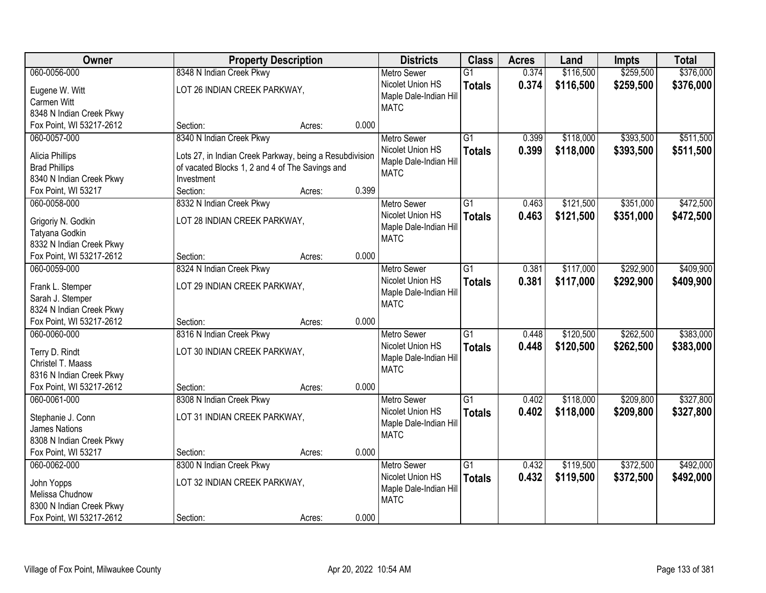| Owner                                                |                                                         | <b>Property Description</b> |       | <b>Districts</b>                      | <b>Class</b>    | <b>Acres</b> | Land      | <b>Impts</b> | <b>Total</b> |
|------------------------------------------------------|---------------------------------------------------------|-----------------------------|-------|---------------------------------------|-----------------|--------------|-----------|--------------|--------------|
| 060-0056-000                                         | 8348 N Indian Creek Pkwy                                |                             |       | <b>Metro Sewer</b>                    | $\overline{G1}$ | 0.374        | \$116,500 | \$259,500    | \$376,000    |
| Eugene W. Witt                                       | LOT 26 INDIAN CREEK PARKWAY,                            |                             |       | Nicolet Union HS                      | <b>Totals</b>   | 0.374        | \$116,500 | \$259,500    | \$376,000    |
| Carmen Witt                                          |                                                         |                             |       | Maple Dale-Indian Hill                |                 |              |           |              |              |
| 8348 N Indian Creek Pkwy                             |                                                         |                             |       | <b>MATC</b>                           |                 |              |           |              |              |
| Fox Point, WI 53217-2612                             | Section:                                                | Acres:                      | 0.000 |                                       |                 |              |           |              |              |
| 060-0057-000                                         | 8340 N Indian Creek Pkwy                                |                             |       | <b>Metro Sewer</b>                    | $\overline{G1}$ | 0.399        | \$118,000 | \$393,500    | \$511,500    |
| Alicia Phillips                                      | Lots 27, in Indian Creek Parkway, being a Resubdivision |                             |       | Nicolet Union HS                      | <b>Totals</b>   | 0.399        | \$118,000 | \$393,500    | \$511,500    |
| <b>Brad Phillips</b>                                 | of vacated Blocks 1, 2 and 4 of The Savings and         |                             |       | Maple Dale-Indian Hill                |                 |              |           |              |              |
| 8340 N Indian Creek Pkwy                             | Investment                                              |                             |       | <b>MATC</b>                           |                 |              |           |              |              |
| Fox Point, WI 53217                                  | Section:                                                | Acres:                      | 0.399 |                                       |                 |              |           |              |              |
| 060-0058-000                                         | 8332 N Indian Creek Pkwy                                |                             |       | <b>Metro Sewer</b>                    | G1              | 0.463        | \$121,500 | \$351,000    | \$472,500    |
|                                                      |                                                         |                             |       | Nicolet Union HS                      | <b>Totals</b>   | 0.463        | \$121,500 | \$351,000    | \$472,500    |
| Grigoriy N. Godkin                                   | LOT 28 INDIAN CREEK PARKWAY,                            |                             |       | Maple Dale-Indian Hill                |                 |              |           |              |              |
| Tatyana Godkin                                       |                                                         |                             |       | <b>MATC</b>                           |                 |              |           |              |              |
| 8332 N Indian Creek Pkwy                             |                                                         |                             |       |                                       |                 |              |           |              |              |
| Fox Point, WI 53217-2612                             | Section:                                                | Acres:                      | 0.000 |                                       |                 |              |           |              |              |
| 060-0059-000                                         | 8324 N Indian Creek Pkwy                                |                             |       | <b>Metro Sewer</b>                    | G1              | 0.381        | \$117,000 | \$292,900    | \$409,900    |
| Frank L. Stemper                                     | LOT 29 INDIAN CREEK PARKWAY,                            |                             |       | Nicolet Union HS                      | <b>Totals</b>   | 0.381        | \$117,000 | \$292,900    | \$409,900    |
| Sarah J. Stemper                                     |                                                         |                             |       | Maple Dale-Indian Hill                |                 |              |           |              |              |
| 8324 N Indian Creek Pkwy                             |                                                         |                             |       | <b>MATC</b>                           |                 |              |           |              |              |
| Fox Point, WI 53217-2612                             | Section:                                                | Acres:                      | 0.000 |                                       |                 |              |           |              |              |
| 060-0060-000                                         | 8316 N Indian Creek Pkwy                                |                             |       | <b>Metro Sewer</b>                    | $\overline{G1}$ | 0.448        | \$120,500 | \$262,500    | \$383,000    |
|                                                      |                                                         |                             |       | Nicolet Union HS                      | <b>Totals</b>   | 0.448        | \$120,500 | \$262,500    | \$383,000    |
| Terry D. Rindt                                       | LOT 30 INDIAN CREEK PARKWAY,                            |                             |       | Maple Dale-Indian Hill                |                 |              |           |              |              |
| Christel T. Maass                                    |                                                         |                             |       | <b>MATC</b>                           |                 |              |           |              |              |
| 8316 N Indian Creek Pkwy<br>Fox Point, WI 53217-2612 |                                                         |                             | 0.000 |                                       |                 |              |           |              |              |
| 060-0061-000                                         | Section:<br>8308 N Indian Creek Pkwy                    | Acres:                      |       |                                       | $\overline{G1}$ | 0.402        | \$118,000 | \$209,800    | \$327,800    |
|                                                      |                                                         |                             |       | <b>Metro Sewer</b>                    |                 |              |           |              |              |
| Stephanie J. Conn                                    | LOT 31 INDIAN CREEK PARKWAY,                            |                             |       | Nicolet Union HS                      | <b>Totals</b>   | 0.402        | \$118,000 | \$209,800    | \$327,800    |
| James Nations                                        |                                                         |                             |       | Maple Dale-Indian Hill<br><b>MATC</b> |                 |              |           |              |              |
| 8308 N Indian Creek Pkwy                             |                                                         |                             |       |                                       |                 |              |           |              |              |
| Fox Point, WI 53217                                  | Section:                                                | Acres:                      | 0.000 |                                       |                 |              |           |              |              |
| 060-0062-000                                         | 8300 N Indian Creek Pkwy                                |                             |       | <b>Metro Sewer</b>                    | $\overline{G1}$ | 0.432        | \$119,500 | \$372,500    | \$492,000    |
| John Yopps                                           | LOT 32 INDIAN CREEK PARKWAY,                            |                             |       | Nicolet Union HS                      | <b>Totals</b>   | 0.432        | \$119,500 | \$372,500    | \$492,000    |
| Melissa Chudnow                                      |                                                         |                             |       | Maple Dale-Indian Hill                |                 |              |           |              |              |
| 8300 N Indian Creek Pkwy                             |                                                         |                             |       | <b>MATC</b>                           |                 |              |           |              |              |
| Fox Point, WI 53217-2612                             | Section:                                                | Acres:                      | 0.000 |                                       |                 |              |           |              |              |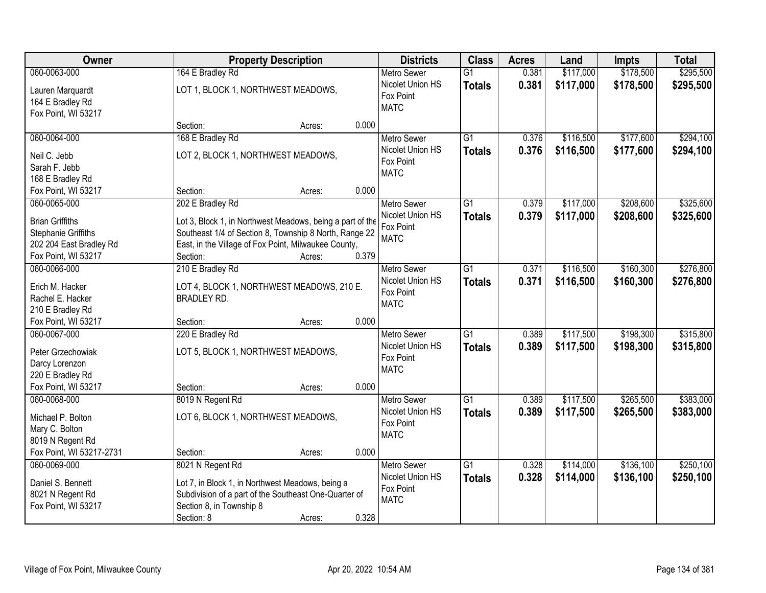| Owner                    |                                                           | <b>Property Description</b> |                    |                 | <b>Acres</b> | Land      | <b>Impts</b> | <b>Total</b> |
|--------------------------|-----------------------------------------------------------|-----------------------------|--------------------|-----------------|--------------|-----------|--------------|--------------|
| 060-0063-000             | 164 E Bradley Rd                                          |                             | <b>Metro Sewer</b> | $\overline{G1}$ | 0.381        | \$117,000 | \$178,500    | \$295,500    |
| Lauren Marquardt         | LOT 1, BLOCK 1, NORTHWEST MEADOWS,                        |                             | Nicolet Union HS   | <b>Totals</b>   | 0.381        | \$117,000 | \$178,500    | \$295,500    |
| 164 E Bradley Rd         |                                                           |                             | Fox Point          |                 |              |           |              |              |
| Fox Point, WI 53217      |                                                           |                             | <b>MATC</b>        |                 |              |           |              |              |
|                          | Section:<br>Acres:                                        | 0.000                       |                    |                 |              |           |              |              |
| 060-0064-000             | 168 E Bradley Rd                                          |                             | <b>Metro Sewer</b> | $\overline{G1}$ | 0.376        | \$116,500 | \$177,600    | \$294,100    |
| Neil C. Jebb             | LOT 2, BLOCK 1, NORTHWEST MEADOWS,                        |                             | Nicolet Union HS   | <b>Totals</b>   | 0.376        | \$116,500 | \$177,600    | \$294,100    |
| Sarah F. Jebb            |                                                           |                             | Fox Point          |                 |              |           |              |              |
| 168 E Bradley Rd         |                                                           |                             | <b>MATC</b>        |                 |              |           |              |              |
| Fox Point, WI 53217      | Section:<br>Acres:                                        | 0.000                       |                    |                 |              |           |              |              |
| 060-0065-000             | 202 E Bradley Rd                                          |                             | Metro Sewer        | G1              | 0.379        | \$117,000 | \$208,600    | \$325,600    |
| <b>Brian Griffiths</b>   | Lot 3, Block 1, in Northwest Meadows, being a part of the |                             | Nicolet Union HS   | <b>Totals</b>   | 0.379        | \$117,000 | \$208,600    | \$325,600    |
| Stephanie Griffiths      | Southeast 1/4 of Section 8, Township 8 North, Range 22    |                             | Fox Point          |                 |              |           |              |              |
| 202 204 East Bradley Rd  | East, in the Village of Fox Point, Milwaukee County,      |                             | <b>MATC</b>        |                 |              |           |              |              |
| Fox Point, WI 53217      | Section:<br>Acres:                                        | 0.379                       |                    |                 |              |           |              |              |
| 060-0066-000             | 210 E Bradley Rd                                          |                             | <b>Metro Sewer</b> | G1              | 0.371        | \$116,500 | \$160,300    | \$276,800    |
|                          |                                                           |                             | Nicolet Union HS   | <b>Totals</b>   | 0.371        | \$116,500 | \$160,300    | \$276,800    |
| Erich M. Hacker          | LOT 4, BLOCK 1, NORTHWEST MEADOWS, 210 E.                 |                             | Fox Point          |                 |              |           |              |              |
| Rachel E. Hacker         | <b>BRADLEY RD.</b>                                        |                             | <b>MATC</b>        |                 |              |           |              |              |
| 210 E Bradley Rd         |                                                           |                             |                    |                 |              |           |              |              |
| Fox Point, WI 53217      | Section:<br>Acres:                                        | 0.000                       |                    |                 |              |           |              |              |
| 060-0067-000             | 220 E Bradley Rd                                          |                             | <b>Metro Sewer</b> | $\overline{G1}$ | 0.389        | \$117,500 | \$198,300    | \$315,800    |
| Peter Grzechowiak        | LOT 5, BLOCK 1, NORTHWEST MEADOWS,                        |                             | Nicolet Union HS   | <b>Totals</b>   | 0.389        | \$117,500 | \$198,300    | \$315,800    |
| Darcy Lorenzon           |                                                           |                             | Fox Point          |                 |              |           |              |              |
| 220 E Bradley Rd         |                                                           |                             | <b>MATC</b>        |                 |              |           |              |              |
| Fox Point, WI 53217      | Section:<br>Acres:                                        | 0.000                       |                    |                 |              |           |              |              |
| 060-0068-000             | 8019 N Regent Rd                                          |                             | <b>Metro Sewer</b> | G1              | 0.389        | \$117,500 | \$265,500    | \$383,000    |
| Michael P. Bolton        | LOT 6, BLOCK 1, NORTHWEST MEADOWS,                        |                             | Nicolet Union HS   | <b>Totals</b>   | 0.389        | \$117,500 | \$265,500    | \$383,000    |
| Mary C. Bolton           |                                                           |                             | Fox Point          |                 |              |           |              |              |
| 8019 N Regent Rd         |                                                           |                             | <b>MATC</b>        |                 |              |           |              |              |
| Fox Point, WI 53217-2731 | Section:<br>Acres:                                        | 0.000                       |                    |                 |              |           |              |              |
| 060-0069-000             | 8021 N Regent Rd                                          |                             | <b>Metro Sewer</b> | $\overline{G1}$ | 0.328        | \$114,000 | \$136,100    | \$250,100    |
|                          |                                                           |                             | Nicolet Union HS   | <b>Totals</b>   | 0.328        | \$114,000 | \$136,100    | \$250,100    |
| Daniel S. Bennett        | Lot 7, in Block 1, in Northwest Meadows, being a          |                             | Fox Point          |                 |              |           |              |              |
| 8021 N Regent Rd         | Subdivision of a part of the Southeast One-Quarter of     |                             | <b>MATC</b>        |                 |              |           |              |              |
| Fox Point, WI 53217      | Section 8, in Township 8                                  |                             |                    |                 |              |           |              |              |
|                          | Section: 8<br>Acres:                                      | 0.328                       |                    |                 |              |           |              |              |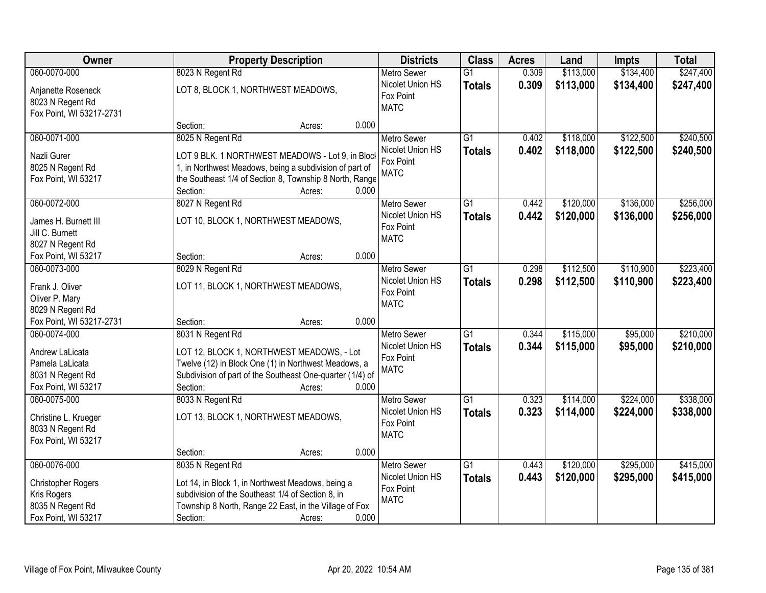| Owner                                                                                         |                                                                                                                                                                                                       | <b>Property Description</b> |       |                                                                    | <b>Class</b>                     | <b>Acres</b>   | Land                   | <b>Impts</b>           | <b>Total</b>           |
|-----------------------------------------------------------------------------------------------|-------------------------------------------------------------------------------------------------------------------------------------------------------------------------------------------------------|-----------------------------|-------|--------------------------------------------------------------------|----------------------------------|----------------|------------------------|------------------------|------------------------|
| 060-0070-000                                                                                  | 8023 N Regent Rd                                                                                                                                                                                      |                             |       | <b>Metro Sewer</b>                                                 | $\overline{G1}$                  | 0.309          | \$113,000              | \$134,400              | \$247,400              |
| Anjanette Roseneck<br>8023 N Regent Rd<br>Fox Point, WI 53217-2731                            | LOT 8, BLOCK 1, NORTHWEST MEADOWS,                                                                                                                                                                    |                             |       | Nicolet Union HS<br>Fox Point<br><b>MATC</b>                       | <b>Totals</b>                    | 0.309          | \$113,000              | \$134,400              | \$247,400              |
|                                                                                               | Section:                                                                                                                                                                                              | Acres:                      | 0.000 |                                                                    |                                  |                |                        |                        |                        |
| 060-0071-000<br>Nazli Gurer<br>8025 N Regent Rd<br>Fox Point, WI 53217                        | 8025 N Regent Rd<br>LOT 9 BLK. 1 NORTHWEST MEADOWS - Lot 9, in Bloc<br>1, in Northwest Meadows, being a subdivision of part of<br>the Southeast 1/4 of Section 8, Township 8 North, Range<br>Section: | Acres:                      | 0.000 | <b>Metro Sewer</b><br>Nicolet Union HS<br>Fox Point<br><b>MATC</b> | $\overline{G1}$<br><b>Totals</b> | 0.402<br>0.402 | \$118,000<br>\$118,000 | \$122,500<br>\$122,500 | \$240,500<br>\$240,500 |
| 060-0072-000                                                                                  | 8027 N Regent Rd                                                                                                                                                                                      |                             |       | <b>Metro Sewer</b>                                                 | G1                               | 0.442          | \$120,000              | \$136,000              | \$256,000              |
| James H. Burnett III<br>Jill C. Burnett<br>8027 N Regent Rd                                   | LOT 10, BLOCK 1, NORTHWEST MEADOWS,                                                                                                                                                                   |                             |       | Nicolet Union HS<br>Fox Point<br><b>MATC</b>                       | <b>Totals</b>                    | 0.442          | \$120,000              | \$136,000              | \$256,000              |
| Fox Point, WI 53217                                                                           | Section:                                                                                                                                                                                              | Acres:                      | 0.000 |                                                                    |                                  |                |                        |                        |                        |
| 060-0073-000<br>Frank J. Oliver<br>Oliver P. Mary<br>8029 N Regent Rd                         | 8029 N Regent Rd<br>LOT 11, BLOCK 1, NORTHWEST MEADOWS,                                                                                                                                               |                             |       | <b>Metro Sewer</b><br>Nicolet Union HS<br>Fox Point<br><b>MATC</b> | $\overline{G1}$<br><b>Totals</b> | 0.298<br>0.298 | \$112,500<br>\$112,500 | \$110,900<br>\$110,900 | \$223,400<br>\$223,400 |
| Fox Point, WI 53217-2731                                                                      | Section:                                                                                                                                                                                              | Acres:                      | 0.000 |                                                                    |                                  |                |                        |                        |                        |
| 060-0074-000<br>Andrew LaLicata<br>Pamela LaLicata<br>8031 N Regent Rd<br>Fox Point, WI 53217 | 8031 N Regent Rd<br>LOT 12, BLOCK 1, NORTHWEST MEADOWS, - Lot<br>Twelve (12) in Block One (1) in Northwest Meadows, a<br>Subdivision of part of the Southeast One-quarter (1/4) of<br>Section:        | Acres:                      | 0.000 | <b>Metro Sewer</b><br>Nicolet Union HS<br>Fox Point<br><b>MATC</b> | $\overline{G1}$<br><b>Totals</b> | 0.344<br>0.344 | \$115,000<br>\$115,000 | \$95,000<br>\$95,000   | \$210,000<br>\$210,000 |
| 060-0075-000<br>Christine L. Krueger<br>8033 N Regent Rd<br>Fox Point, WI 53217               | 8033 N Regent Rd<br>LOT 13, BLOCK 1, NORTHWEST MEADOWS,<br>Section:                                                                                                                                   | Acres:                      | 0.000 | <b>Metro Sewer</b><br>Nicolet Union HS<br>Fox Point<br><b>MATC</b> | $\overline{G1}$<br><b>Totals</b> | 0.323<br>0.323 | \$114,000<br>\$114,000 | \$224,000<br>\$224,000 | \$338,000<br>\$338,000 |
| 060-0076-000                                                                                  | 8035 N Regent Rd                                                                                                                                                                                      |                             |       | <b>Metro Sewer</b>                                                 | $\overline{G1}$                  | 0.443          | \$120,000              | \$295,000              | \$415,000              |
| <b>Christopher Rogers</b><br>Kris Rogers<br>8035 N Regent Rd<br>Fox Point, WI 53217           | Lot 14, in Block 1, in Northwest Meadows, being a<br>subdivision of the Southeast 1/4 of Section 8, in<br>Township 8 North, Range 22 East, in the Village of Fox<br>Section:                          | Acres:                      | 0.000 | Nicolet Union HS<br>Fox Point<br><b>MATC</b>                       | <b>Totals</b>                    | 0.443          | \$120,000              | \$295,000              | \$415,000              |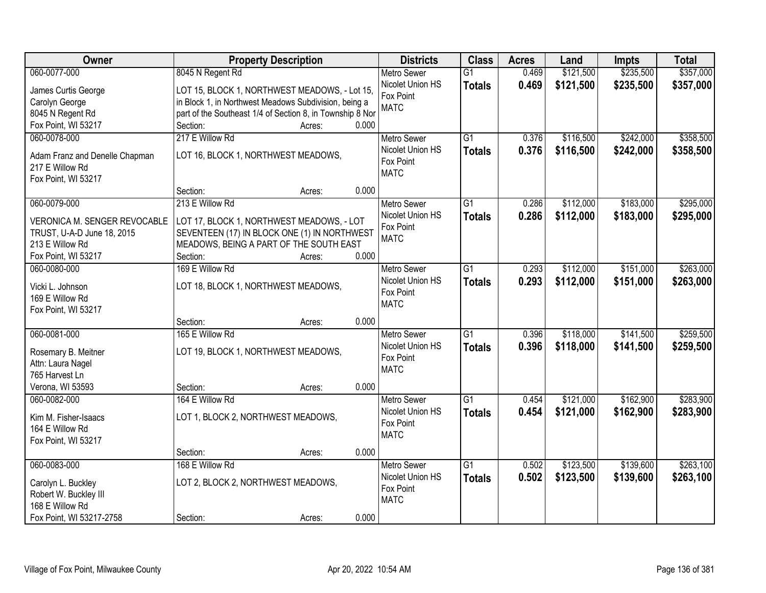| \$235,500<br>\$357,000<br>060-0077-000<br>8045 N Regent Rd<br>0.469<br>\$121,500<br><b>Metro Sewer</b><br>$\overline{G1}$<br>Nicolet Union HS<br>0.469<br>\$121,500<br>\$235,500<br>\$357,000<br><b>Totals</b><br>LOT 15, BLOCK 1, NORTHWEST MEADOWS, - Lot 15,<br>James Curtis George<br>Fox Point<br>in Block 1, in Northwest Meadows Subdivision, being a<br>Carolyn George<br><b>MATC</b><br>8045 N Regent Rd<br>part of the Southeast 1/4 of Section 8, in Township 8 Nor<br>0.000<br>Fox Point, WI 53217<br>Section:<br>Acres:<br>217 E Willow Rd<br>$\overline{G1}$<br>\$116,500<br>\$242,000<br>\$358,500<br>060-0078-000<br>0.376<br><b>Metro Sewer</b><br>0.376<br>Nicolet Union HS<br>\$116,500<br>\$242,000<br>\$358,500<br><b>Totals</b><br>LOT 16, BLOCK 1, NORTHWEST MEADOWS,<br>Adam Franz and Denelle Chapman<br>Fox Point<br>217 E Willow Rd<br><b>MATC</b><br>Fox Point, WI 53217<br>0.000<br>Section:<br>Acres:<br>\$183,000<br>\$295,000<br>060-0079-000<br>213 E Willow Rd<br>G1<br>0.286<br>\$112,000<br><b>Metro Sewer</b><br>Nicolet Union HS<br>0.286<br>\$112,000<br>\$183,000<br>\$295,000<br><b>Totals</b><br>VERONICA M. SENGER REVOCABLE<br>LOT 17, BLOCK 1, NORTHWEST MEADOWS, - LOT<br>Fox Point<br>SEVENTEEN (17) IN BLOCK ONE (1) IN NORTHWEST<br>TRUST, U-A-D June 18, 2015<br><b>MATC</b><br>213 E Willow Rd<br>MEADOWS, BEING A PART OF THE SOUTH EAST<br>Fox Point, WI 53217<br>Section:<br>0.000<br>Acres:<br>169 E Willow Rd<br>\$112,000<br>\$151,000<br>\$263,000<br>060-0080-000<br>G1<br>0.293<br><b>Metro Sewer</b><br>Nicolet Union HS<br>0.293<br>\$112,000<br>\$151,000<br>\$263,000<br><b>Totals</b><br>LOT 18, BLOCK 1, NORTHWEST MEADOWS,<br>Vicki L. Johnson<br>Fox Point<br>169 E Willow Rd<br><b>MATC</b><br>Fox Point, WI 53217<br>0.000<br>Section:<br>Acres:<br>\$141,500<br>060-0081-000<br>165 E Willow Rd<br>$\overline{G1}$<br>0.396<br>\$118,000<br><b>Metro Sewer</b><br>Nicolet Union HS<br>0.396<br>\$118,000<br>\$141,500<br><b>Totals</b><br>LOT 19, BLOCK 1, NORTHWEST MEADOWS,<br>Rosemary B. Meitner<br>Fox Point<br>Attn: Laura Nagel<br><b>MATC</b><br>765 Harvest Ln<br>Verona, WI 53593<br>0.000<br>Section:<br>Acres:<br>$\overline{G1}$<br>\$162,900<br>060-0082-000<br>164 E Willow Rd<br>\$121,000<br><b>Metro Sewer</b><br>0.454<br>Nicolet Union HS<br>0.454<br>\$121,000<br>\$162,900<br><b>Totals</b><br>LOT 1, BLOCK 2, NORTHWEST MEADOWS,<br>Kim M. Fisher-Isaacs<br>Fox Point<br>164 E Willow Rd<br><b>MATC</b><br>Fox Point, WI 53217<br>0.000<br>Section:<br>Acres:<br>060-0083-000<br>168 E Willow Rd<br>\$123,500<br>\$139,600<br>$\overline{G1}$<br>0.502<br><b>Metro Sewer</b><br>Nicolet Union HS<br>0.502<br>\$139,600<br>\$123,500<br><b>Totals</b><br>LOT 2, BLOCK 2, NORTHWEST MEADOWS,<br>Carolyn L. Buckley<br>Fox Point<br>Robert W. Buckley III<br><b>MATC</b><br>168 E Willow Rd | Owner                    | <b>Property Description</b> | <b>Districts</b> | <b>Class</b> | <b>Acres</b> | Land | <b>Impts</b> | <b>Total</b> |
|----------------------------------------------------------------------------------------------------------------------------------------------------------------------------------------------------------------------------------------------------------------------------------------------------------------------------------------------------------------------------------------------------------------------------------------------------------------------------------------------------------------------------------------------------------------------------------------------------------------------------------------------------------------------------------------------------------------------------------------------------------------------------------------------------------------------------------------------------------------------------------------------------------------------------------------------------------------------------------------------------------------------------------------------------------------------------------------------------------------------------------------------------------------------------------------------------------------------------------------------------------------------------------------------------------------------------------------------------------------------------------------------------------------------------------------------------------------------------------------------------------------------------------------------------------------------------------------------------------------------------------------------------------------------------------------------------------------------------------------------------------------------------------------------------------------------------------------------------------------------------------------------------------------------------------------------------------------------------------------------------------------------------------------------------------------------------------------------------------------------------------------------------------------------------------------------------------------------------------------------------------------------------------------------------------------------------------------------------------------------------------------------------------------------------------------------------------------------------------------------------------------------------------------------------------------------------------------------------------------------------------------------------------------------------------------------------------------------------------------------------------------------------------------------------------------------------------------------------------------------------------------|--------------------------|-----------------------------|------------------|--------------|--------------|------|--------------|--------------|
|                                                                                                                                                                                                                                                                                                                                                                                                                                                                                                                                                                                                                                                                                                                                                                                                                                                                                                                                                                                                                                                                                                                                                                                                                                                                                                                                                                                                                                                                                                                                                                                                                                                                                                                                                                                                                                                                                                                                                                                                                                                                                                                                                                                                                                                                                                                                                                                                                                                                                                                                                                                                                                                                                                                                                                                                                                                                                        |                          |                             |                  |              |              |      |              |              |
|                                                                                                                                                                                                                                                                                                                                                                                                                                                                                                                                                                                                                                                                                                                                                                                                                                                                                                                                                                                                                                                                                                                                                                                                                                                                                                                                                                                                                                                                                                                                                                                                                                                                                                                                                                                                                                                                                                                                                                                                                                                                                                                                                                                                                                                                                                                                                                                                                                                                                                                                                                                                                                                                                                                                                                                                                                                                                        |                          |                             |                  |              |              |      |              |              |
|                                                                                                                                                                                                                                                                                                                                                                                                                                                                                                                                                                                                                                                                                                                                                                                                                                                                                                                                                                                                                                                                                                                                                                                                                                                                                                                                                                                                                                                                                                                                                                                                                                                                                                                                                                                                                                                                                                                                                                                                                                                                                                                                                                                                                                                                                                                                                                                                                                                                                                                                                                                                                                                                                                                                                                                                                                                                                        |                          |                             |                  |              |              |      |              |              |
|                                                                                                                                                                                                                                                                                                                                                                                                                                                                                                                                                                                                                                                                                                                                                                                                                                                                                                                                                                                                                                                                                                                                                                                                                                                                                                                                                                                                                                                                                                                                                                                                                                                                                                                                                                                                                                                                                                                                                                                                                                                                                                                                                                                                                                                                                                                                                                                                                                                                                                                                                                                                                                                                                                                                                                                                                                                                                        |                          |                             |                  |              |              |      |              |              |
|                                                                                                                                                                                                                                                                                                                                                                                                                                                                                                                                                                                                                                                                                                                                                                                                                                                                                                                                                                                                                                                                                                                                                                                                                                                                                                                                                                                                                                                                                                                                                                                                                                                                                                                                                                                                                                                                                                                                                                                                                                                                                                                                                                                                                                                                                                                                                                                                                                                                                                                                                                                                                                                                                                                                                                                                                                                                                        |                          |                             |                  |              |              |      |              |              |
|                                                                                                                                                                                                                                                                                                                                                                                                                                                                                                                                                                                                                                                                                                                                                                                                                                                                                                                                                                                                                                                                                                                                                                                                                                                                                                                                                                                                                                                                                                                                                                                                                                                                                                                                                                                                                                                                                                                                                                                                                                                                                                                                                                                                                                                                                                                                                                                                                                                                                                                                                                                                                                                                                                                                                                                                                                                                                        |                          |                             |                  |              |              |      |              |              |
|                                                                                                                                                                                                                                                                                                                                                                                                                                                                                                                                                                                                                                                                                                                                                                                                                                                                                                                                                                                                                                                                                                                                                                                                                                                                                                                                                                                                                                                                                                                                                                                                                                                                                                                                                                                                                                                                                                                                                                                                                                                                                                                                                                                                                                                                                                                                                                                                                                                                                                                                                                                                                                                                                                                                                                                                                                                                                        |                          |                             |                  |              |              |      |              |              |
|                                                                                                                                                                                                                                                                                                                                                                                                                                                                                                                                                                                                                                                                                                                                                                                                                                                                                                                                                                                                                                                                                                                                                                                                                                                                                                                                                                                                                                                                                                                                                                                                                                                                                                                                                                                                                                                                                                                                                                                                                                                                                                                                                                                                                                                                                                                                                                                                                                                                                                                                                                                                                                                                                                                                                                                                                                                                                        |                          |                             |                  |              |              |      |              |              |
|                                                                                                                                                                                                                                                                                                                                                                                                                                                                                                                                                                                                                                                                                                                                                                                                                                                                                                                                                                                                                                                                                                                                                                                                                                                                                                                                                                                                                                                                                                                                                                                                                                                                                                                                                                                                                                                                                                                                                                                                                                                                                                                                                                                                                                                                                                                                                                                                                                                                                                                                                                                                                                                                                                                                                                                                                                                                                        |                          |                             |                  |              |              |      |              |              |
|                                                                                                                                                                                                                                                                                                                                                                                                                                                                                                                                                                                                                                                                                                                                                                                                                                                                                                                                                                                                                                                                                                                                                                                                                                                                                                                                                                                                                                                                                                                                                                                                                                                                                                                                                                                                                                                                                                                                                                                                                                                                                                                                                                                                                                                                                                                                                                                                                                                                                                                                                                                                                                                                                                                                                                                                                                                                                        |                          |                             |                  |              |              |      |              |              |
|                                                                                                                                                                                                                                                                                                                                                                                                                                                                                                                                                                                                                                                                                                                                                                                                                                                                                                                                                                                                                                                                                                                                                                                                                                                                                                                                                                                                                                                                                                                                                                                                                                                                                                                                                                                                                                                                                                                                                                                                                                                                                                                                                                                                                                                                                                                                                                                                                                                                                                                                                                                                                                                                                                                                                                                                                                                                                        |                          |                             |                  |              |              |      |              |              |
|                                                                                                                                                                                                                                                                                                                                                                                                                                                                                                                                                                                                                                                                                                                                                                                                                                                                                                                                                                                                                                                                                                                                                                                                                                                                                                                                                                                                                                                                                                                                                                                                                                                                                                                                                                                                                                                                                                                                                                                                                                                                                                                                                                                                                                                                                                                                                                                                                                                                                                                                                                                                                                                                                                                                                                                                                                                                                        |                          |                             |                  |              |              |      |              |              |
|                                                                                                                                                                                                                                                                                                                                                                                                                                                                                                                                                                                                                                                                                                                                                                                                                                                                                                                                                                                                                                                                                                                                                                                                                                                                                                                                                                                                                                                                                                                                                                                                                                                                                                                                                                                                                                                                                                                                                                                                                                                                                                                                                                                                                                                                                                                                                                                                                                                                                                                                                                                                                                                                                                                                                                                                                                                                                        |                          |                             |                  |              |              |      |              |              |
|                                                                                                                                                                                                                                                                                                                                                                                                                                                                                                                                                                                                                                                                                                                                                                                                                                                                                                                                                                                                                                                                                                                                                                                                                                                                                                                                                                                                                                                                                                                                                                                                                                                                                                                                                                                                                                                                                                                                                                                                                                                                                                                                                                                                                                                                                                                                                                                                                                                                                                                                                                                                                                                                                                                                                                                                                                                                                        |                          |                             |                  |              |              |      |              |              |
|                                                                                                                                                                                                                                                                                                                                                                                                                                                                                                                                                                                                                                                                                                                                                                                                                                                                                                                                                                                                                                                                                                                                                                                                                                                                                                                                                                                                                                                                                                                                                                                                                                                                                                                                                                                                                                                                                                                                                                                                                                                                                                                                                                                                                                                                                                                                                                                                                                                                                                                                                                                                                                                                                                                                                                                                                                                                                        |                          |                             |                  |              |              |      |              |              |
|                                                                                                                                                                                                                                                                                                                                                                                                                                                                                                                                                                                                                                                                                                                                                                                                                                                                                                                                                                                                                                                                                                                                                                                                                                                                                                                                                                                                                                                                                                                                                                                                                                                                                                                                                                                                                                                                                                                                                                                                                                                                                                                                                                                                                                                                                                                                                                                                                                                                                                                                                                                                                                                                                                                                                                                                                                                                                        |                          |                             |                  |              |              |      |              |              |
|                                                                                                                                                                                                                                                                                                                                                                                                                                                                                                                                                                                                                                                                                                                                                                                                                                                                                                                                                                                                                                                                                                                                                                                                                                                                                                                                                                                                                                                                                                                                                                                                                                                                                                                                                                                                                                                                                                                                                                                                                                                                                                                                                                                                                                                                                                                                                                                                                                                                                                                                                                                                                                                                                                                                                                                                                                                                                        |                          |                             |                  |              |              |      |              |              |
|                                                                                                                                                                                                                                                                                                                                                                                                                                                                                                                                                                                                                                                                                                                                                                                                                                                                                                                                                                                                                                                                                                                                                                                                                                                                                                                                                                                                                                                                                                                                                                                                                                                                                                                                                                                                                                                                                                                                                                                                                                                                                                                                                                                                                                                                                                                                                                                                                                                                                                                                                                                                                                                                                                                                                                                                                                                                                        |                          |                             |                  |              |              |      |              |              |
| \$259,500<br>\$259,500<br>\$283,900<br>\$283,900<br>\$263,100<br>\$263,100                                                                                                                                                                                                                                                                                                                                                                                                                                                                                                                                                                                                                                                                                                                                                                                                                                                                                                                                                                                                                                                                                                                                                                                                                                                                                                                                                                                                                                                                                                                                                                                                                                                                                                                                                                                                                                                                                                                                                                                                                                                                                                                                                                                                                                                                                                                                                                                                                                                                                                                                                                                                                                                                                                                                                                                                             |                          |                             |                  |              |              |      |              |              |
|                                                                                                                                                                                                                                                                                                                                                                                                                                                                                                                                                                                                                                                                                                                                                                                                                                                                                                                                                                                                                                                                                                                                                                                                                                                                                                                                                                                                                                                                                                                                                                                                                                                                                                                                                                                                                                                                                                                                                                                                                                                                                                                                                                                                                                                                                                                                                                                                                                                                                                                                                                                                                                                                                                                                                                                                                                                                                        |                          |                             |                  |              |              |      |              |              |
|                                                                                                                                                                                                                                                                                                                                                                                                                                                                                                                                                                                                                                                                                                                                                                                                                                                                                                                                                                                                                                                                                                                                                                                                                                                                                                                                                                                                                                                                                                                                                                                                                                                                                                                                                                                                                                                                                                                                                                                                                                                                                                                                                                                                                                                                                                                                                                                                                                                                                                                                                                                                                                                                                                                                                                                                                                                                                        |                          |                             |                  |              |              |      |              |              |
|                                                                                                                                                                                                                                                                                                                                                                                                                                                                                                                                                                                                                                                                                                                                                                                                                                                                                                                                                                                                                                                                                                                                                                                                                                                                                                                                                                                                                                                                                                                                                                                                                                                                                                                                                                                                                                                                                                                                                                                                                                                                                                                                                                                                                                                                                                                                                                                                                                                                                                                                                                                                                                                                                                                                                                                                                                                                                        |                          |                             |                  |              |              |      |              |              |
|                                                                                                                                                                                                                                                                                                                                                                                                                                                                                                                                                                                                                                                                                                                                                                                                                                                                                                                                                                                                                                                                                                                                                                                                                                                                                                                                                                                                                                                                                                                                                                                                                                                                                                                                                                                                                                                                                                                                                                                                                                                                                                                                                                                                                                                                                                                                                                                                                                                                                                                                                                                                                                                                                                                                                                                                                                                                                        |                          |                             |                  |              |              |      |              |              |
|                                                                                                                                                                                                                                                                                                                                                                                                                                                                                                                                                                                                                                                                                                                                                                                                                                                                                                                                                                                                                                                                                                                                                                                                                                                                                                                                                                                                                                                                                                                                                                                                                                                                                                                                                                                                                                                                                                                                                                                                                                                                                                                                                                                                                                                                                                                                                                                                                                                                                                                                                                                                                                                                                                                                                                                                                                                                                        |                          |                             |                  |              |              |      |              |              |
|                                                                                                                                                                                                                                                                                                                                                                                                                                                                                                                                                                                                                                                                                                                                                                                                                                                                                                                                                                                                                                                                                                                                                                                                                                                                                                                                                                                                                                                                                                                                                                                                                                                                                                                                                                                                                                                                                                                                                                                                                                                                                                                                                                                                                                                                                                                                                                                                                                                                                                                                                                                                                                                                                                                                                                                                                                                                                        |                          |                             |                  |              |              |      |              |              |
|                                                                                                                                                                                                                                                                                                                                                                                                                                                                                                                                                                                                                                                                                                                                                                                                                                                                                                                                                                                                                                                                                                                                                                                                                                                                                                                                                                                                                                                                                                                                                                                                                                                                                                                                                                                                                                                                                                                                                                                                                                                                                                                                                                                                                                                                                                                                                                                                                                                                                                                                                                                                                                                                                                                                                                                                                                                                                        |                          |                             |                  |              |              |      |              |              |
|                                                                                                                                                                                                                                                                                                                                                                                                                                                                                                                                                                                                                                                                                                                                                                                                                                                                                                                                                                                                                                                                                                                                                                                                                                                                                                                                                                                                                                                                                                                                                                                                                                                                                                                                                                                                                                                                                                                                                                                                                                                                                                                                                                                                                                                                                                                                                                                                                                                                                                                                                                                                                                                                                                                                                                                                                                                                                        |                          |                             |                  |              |              |      |              |              |
|                                                                                                                                                                                                                                                                                                                                                                                                                                                                                                                                                                                                                                                                                                                                                                                                                                                                                                                                                                                                                                                                                                                                                                                                                                                                                                                                                                                                                                                                                                                                                                                                                                                                                                                                                                                                                                                                                                                                                                                                                                                                                                                                                                                                                                                                                                                                                                                                                                                                                                                                                                                                                                                                                                                                                                                                                                                                                        |                          |                             |                  |              |              |      |              |              |
|                                                                                                                                                                                                                                                                                                                                                                                                                                                                                                                                                                                                                                                                                                                                                                                                                                                                                                                                                                                                                                                                                                                                                                                                                                                                                                                                                                                                                                                                                                                                                                                                                                                                                                                                                                                                                                                                                                                                                                                                                                                                                                                                                                                                                                                                                                                                                                                                                                                                                                                                                                                                                                                                                                                                                                                                                                                                                        |                          |                             |                  |              |              |      |              |              |
|                                                                                                                                                                                                                                                                                                                                                                                                                                                                                                                                                                                                                                                                                                                                                                                                                                                                                                                                                                                                                                                                                                                                                                                                                                                                                                                                                                                                                                                                                                                                                                                                                                                                                                                                                                                                                                                                                                                                                                                                                                                                                                                                                                                                                                                                                                                                                                                                                                                                                                                                                                                                                                                                                                                                                                                                                                                                                        |                          |                             |                  |              |              |      |              |              |
|                                                                                                                                                                                                                                                                                                                                                                                                                                                                                                                                                                                                                                                                                                                                                                                                                                                                                                                                                                                                                                                                                                                                                                                                                                                                                                                                                                                                                                                                                                                                                                                                                                                                                                                                                                                                                                                                                                                                                                                                                                                                                                                                                                                                                                                                                                                                                                                                                                                                                                                                                                                                                                                                                                                                                                                                                                                                                        |                          |                             |                  |              |              |      |              |              |
|                                                                                                                                                                                                                                                                                                                                                                                                                                                                                                                                                                                                                                                                                                                                                                                                                                                                                                                                                                                                                                                                                                                                                                                                                                                                                                                                                                                                                                                                                                                                                                                                                                                                                                                                                                                                                                                                                                                                                                                                                                                                                                                                                                                                                                                                                                                                                                                                                                                                                                                                                                                                                                                                                                                                                                                                                                                                                        |                          |                             |                  |              |              |      |              |              |
|                                                                                                                                                                                                                                                                                                                                                                                                                                                                                                                                                                                                                                                                                                                                                                                                                                                                                                                                                                                                                                                                                                                                                                                                                                                                                                                                                                                                                                                                                                                                                                                                                                                                                                                                                                                                                                                                                                                                                                                                                                                                                                                                                                                                                                                                                                                                                                                                                                                                                                                                                                                                                                                                                                                                                                                                                                                                                        |                          |                             |                  |              |              |      |              |              |
|                                                                                                                                                                                                                                                                                                                                                                                                                                                                                                                                                                                                                                                                                                                                                                                                                                                                                                                                                                                                                                                                                                                                                                                                                                                                                                                                                                                                                                                                                                                                                                                                                                                                                                                                                                                                                                                                                                                                                                                                                                                                                                                                                                                                                                                                                                                                                                                                                                                                                                                                                                                                                                                                                                                                                                                                                                                                                        |                          |                             |                  |              |              |      |              |              |
|                                                                                                                                                                                                                                                                                                                                                                                                                                                                                                                                                                                                                                                                                                                                                                                                                                                                                                                                                                                                                                                                                                                                                                                                                                                                                                                                                                                                                                                                                                                                                                                                                                                                                                                                                                                                                                                                                                                                                                                                                                                                                                                                                                                                                                                                                                                                                                                                                                                                                                                                                                                                                                                                                                                                                                                                                                                                                        |                          |                             |                  |              |              |      |              |              |
|                                                                                                                                                                                                                                                                                                                                                                                                                                                                                                                                                                                                                                                                                                                                                                                                                                                                                                                                                                                                                                                                                                                                                                                                                                                                                                                                                                                                                                                                                                                                                                                                                                                                                                                                                                                                                                                                                                                                                                                                                                                                                                                                                                                                                                                                                                                                                                                                                                                                                                                                                                                                                                                                                                                                                                                                                                                                                        |                          |                             |                  |              |              |      |              |              |
|                                                                                                                                                                                                                                                                                                                                                                                                                                                                                                                                                                                                                                                                                                                                                                                                                                                                                                                                                                                                                                                                                                                                                                                                                                                                                                                                                                                                                                                                                                                                                                                                                                                                                                                                                                                                                                                                                                                                                                                                                                                                                                                                                                                                                                                                                                                                                                                                                                                                                                                                                                                                                                                                                                                                                                                                                                                                                        | Fox Point, WI 53217-2758 | 0.000<br>Section:<br>Acres: |                  |              |              |      |              |              |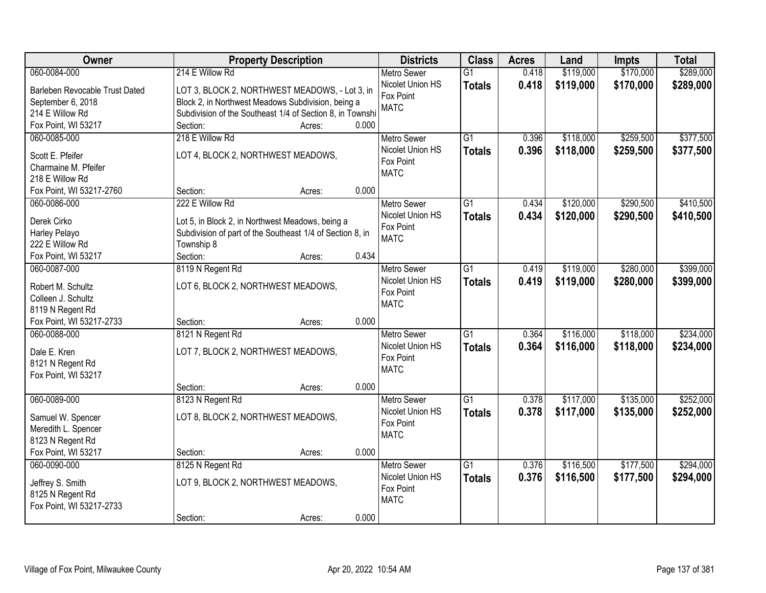| Owner                          | <b>Property Description</b>                               | <b>Districts</b>                       | <b>Class</b>    | <b>Acres</b> | Land      | <b>Impts</b> | <b>Total</b> |
|--------------------------------|-----------------------------------------------------------|----------------------------------------|-----------------|--------------|-----------|--------------|--------------|
| 060-0084-000                   | 214 E Willow Rd                                           | <b>Metro Sewer</b>                     | $\overline{G1}$ | 0.418        | \$119,000 | \$170,000    | \$289,000    |
| Barleben Revocable Trust Dated | LOT 3, BLOCK 2, NORTHWEST MEADOWS, - Lot 3, in            | Nicolet Union HS                       | <b>Totals</b>   | 0.418        | \$119,000 | \$170,000    | \$289,000    |
| September 6, 2018              | Block 2, in Northwest Meadows Subdivision, being a        | Fox Point                              |                 |              |           |              |              |
| 214 E Willow Rd                | Subdivision of the Southeast 1/4 of Section 8, in Townshi | <b>MATC</b>                            |                 |              |           |              |              |
| Fox Point, WI 53217            | 0.000<br>Section:<br>Acres:                               |                                        |                 |              |           |              |              |
| 060-0085-000                   | 218 E Willow Rd                                           | <b>Metro Sewer</b>                     | $\overline{G1}$ | 0.396        | \$118,000 | \$259,500    | \$377,500    |
| Scott E. Pfeifer               | LOT 4, BLOCK 2, NORTHWEST MEADOWS,                        | Nicolet Union HS                       | <b>Totals</b>   | 0.396        | \$118,000 | \$259,500    | \$377,500    |
| Charmaine M. Pfeifer           |                                                           | Fox Point                              |                 |              |           |              |              |
| 218 E Willow Rd                |                                                           | <b>MATC</b>                            |                 |              |           |              |              |
| Fox Point, WI 53217-2760       | 0.000<br>Section:<br>Acres:                               |                                        |                 |              |           |              |              |
| 060-0086-000                   | 222 E Willow Rd                                           | <b>Metro Sewer</b>                     | G1              | 0.434        | \$120,000 | \$290,500    | \$410,500    |
|                                |                                                           | Nicolet Union HS                       | <b>Totals</b>   | 0.434        | \$120,000 | \$290,500    | \$410,500    |
| Derek Cirko                    | Lot 5, in Block 2, in Northwest Meadows, being a          | Fox Point                              |                 |              |           |              |              |
| Harley Pelayo                  | Subdivision of part of the Southeast 1/4 of Section 8, in | <b>MATC</b>                            |                 |              |           |              |              |
| 222 E Willow Rd                | Township 8<br>0.434                                       |                                        |                 |              |           |              |              |
| Fox Point, WI 53217            | Section:<br>Acres:                                        |                                        |                 |              |           |              |              |
| 060-0087-000                   | 8119 N Regent Rd                                          | <b>Metro Sewer</b><br>Nicolet Union HS | G1              | 0.419        | \$119,000 | \$280,000    | \$399,000    |
| Robert M. Schultz              | LOT 6, BLOCK 2, NORTHWEST MEADOWS,                        | Fox Point                              | <b>Totals</b>   | 0.419        | \$119,000 | \$280,000    | \$399,000    |
| Colleen J. Schultz             |                                                           | <b>MATC</b>                            |                 |              |           |              |              |
| 8119 N Regent Rd               |                                                           |                                        |                 |              |           |              |              |
| Fox Point, WI 53217-2733       | 0.000<br>Section:<br>Acres:                               |                                        |                 |              |           |              |              |
| 060-0088-000                   | 8121 N Regent Rd                                          | <b>Metro Sewer</b>                     | $\overline{G1}$ | 0.364        | \$116,000 | \$118,000    | \$234,000    |
| Dale E. Kren                   | LOT 7, BLOCK 2, NORTHWEST MEADOWS,                        | Nicolet Union HS                       | <b>Totals</b>   | 0.364        | \$116,000 | \$118,000    | \$234,000    |
| 8121 N Regent Rd               |                                                           | Fox Point                              |                 |              |           |              |              |
| Fox Point, WI 53217            |                                                           | <b>MATC</b>                            |                 |              |           |              |              |
|                                | 0.000<br>Section:<br>Acres:                               |                                        |                 |              |           |              |              |
| 060-0089-000                   | 8123 N Regent Rd                                          | <b>Metro Sewer</b>                     | $\overline{G1}$ | 0.378        | \$117,000 | \$135,000    | \$252,000    |
| Samuel W. Spencer              | LOT 8, BLOCK 2, NORTHWEST MEADOWS,                        | Nicolet Union HS                       | <b>Totals</b>   | 0.378        | \$117,000 | \$135,000    | \$252,000    |
| Meredith L. Spencer            |                                                           | Fox Point                              |                 |              |           |              |              |
| 8123 N Regent Rd               |                                                           | <b>MATC</b>                            |                 |              |           |              |              |
| Fox Point, WI 53217            | 0.000<br>Section:<br>Acres:                               |                                        |                 |              |           |              |              |
| 060-0090-000                   | 8125 N Regent Rd                                          | <b>Metro Sewer</b>                     | $\overline{G1}$ | 0.376        | \$116,500 | \$177,500    | \$294,000    |
|                                |                                                           | Nicolet Union HS                       | <b>Totals</b>   | 0.376        | \$116,500 | \$177,500    | \$294,000    |
| Jeffrey S. Smith               | LOT 9, BLOCK 2, NORTHWEST MEADOWS,                        | Fox Point                              |                 |              |           |              |              |
| 8125 N Regent Rd               |                                                           | <b>MATC</b>                            |                 |              |           |              |              |
| Fox Point, WI 53217-2733       |                                                           |                                        |                 |              |           |              |              |
|                                | 0.000<br>Section:<br>Acres:                               |                                        |                 |              |           |              |              |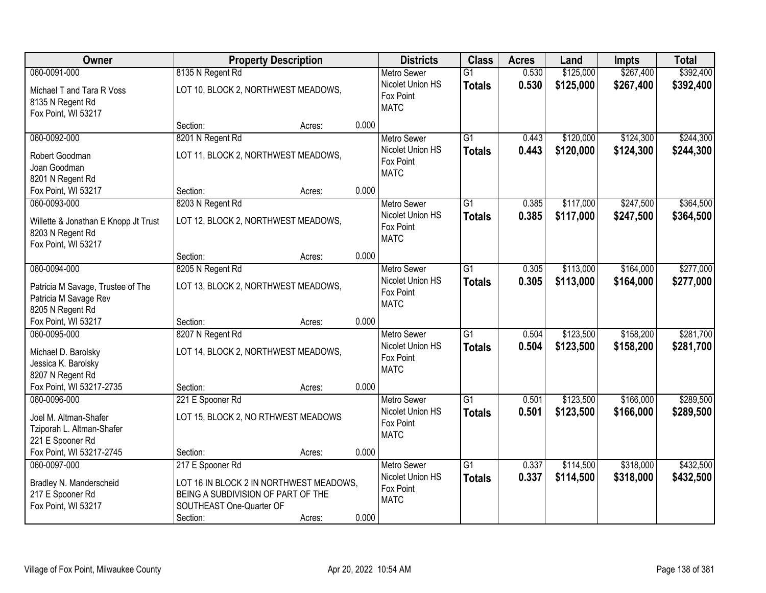| Owner                                                                                                      | <b>Property Description</b>                                                                                                               |        |       | <b>Districts</b>                                                   | <b>Class</b>                     | <b>Acres</b>   | Land                   | <b>Impts</b>           | <b>Total</b>           |
|------------------------------------------------------------------------------------------------------------|-------------------------------------------------------------------------------------------------------------------------------------------|--------|-------|--------------------------------------------------------------------|----------------------------------|----------------|------------------------|------------------------|------------------------|
| 060-0091-000                                                                                               | 8135 N Regent Rd                                                                                                                          |        |       | <b>Metro Sewer</b>                                                 | $\overline{G1}$                  | 0.530          | \$125,000              | \$267,400              | \$392,400              |
| Michael T and Tara R Voss<br>8135 N Regent Rd<br>Fox Point, WI 53217                                       | LOT 10, BLOCK 2, NORTHWEST MEADOWS,                                                                                                       |        |       | Nicolet Union HS<br>Fox Point<br><b>MATC</b>                       | <b>Totals</b>                    | 0.530          | \$125,000              | \$267,400              | \$392,400              |
|                                                                                                            | Section:                                                                                                                                  | Acres: | 0.000 |                                                                    |                                  |                |                        |                        |                        |
| 060-0092-000<br>Robert Goodman<br>Joan Goodman<br>8201 N Regent Rd                                         | 8201 N Regent Rd<br>LOT 11, BLOCK 2, NORTHWEST MEADOWS,                                                                                   |        |       | <b>Metro Sewer</b><br>Nicolet Union HS<br>Fox Point<br><b>MATC</b> | $\overline{G1}$<br><b>Totals</b> | 0.443<br>0.443 | \$120,000<br>\$120,000 | \$124,300<br>\$124,300 | \$244,300<br>\$244,300 |
| Fox Point, WI 53217                                                                                        | Section:                                                                                                                                  | Acres: | 0.000 |                                                                    |                                  |                |                        |                        |                        |
| 060-0093-000<br>Willette & Jonathan E Knopp Jt Trust<br>8203 N Regent Rd<br>Fox Point, WI 53217            | 8203 N Regent Rd<br>LOT 12, BLOCK 2, NORTHWEST MEADOWS,                                                                                   |        |       | <b>Metro Sewer</b><br>Nicolet Union HS<br>Fox Point<br><b>MATC</b> | G1<br><b>Totals</b>              | 0.385<br>0.385 | \$117,000<br>\$117,000 | \$247,500<br>\$247,500 | \$364,500<br>\$364,500 |
|                                                                                                            | Section:                                                                                                                                  | Acres: | 0.000 |                                                                    |                                  |                |                        |                        |                        |
| 060-0094-000<br>Patricia M Savage, Trustee of The<br>Patricia M Savage Rev<br>8205 N Regent Rd             | 8205 N Regent Rd<br>LOT 13, BLOCK 2, NORTHWEST MEADOWS,                                                                                   |        |       | <b>Metro Sewer</b><br>Nicolet Union HS<br>Fox Point<br><b>MATC</b> | G1<br><b>Totals</b>              | 0.305<br>0.305 | \$113,000<br>\$113,000 | \$164,000<br>\$164,000 | \$277,000<br>\$277,000 |
| Fox Point, WI 53217                                                                                        | Section:                                                                                                                                  | Acres: | 0.000 |                                                                    |                                  |                |                        |                        |                        |
| 060-0095-000<br>Michael D. Barolsky<br>Jessica K. Barolsky<br>8207 N Regent Rd<br>Fox Point, WI 53217-2735 | 8207 N Regent Rd<br>LOT 14, BLOCK 2, NORTHWEST MEADOWS,<br>Section:                                                                       | Acres: | 0.000 | <b>Metro Sewer</b><br>Nicolet Union HS<br>Fox Point<br><b>MATC</b> | $\overline{G1}$<br><b>Totals</b> | 0.504<br>0.504 | \$123,500<br>\$123,500 | \$158,200<br>\$158,200 | \$281,700<br>\$281,700 |
| 060-0096-000                                                                                               | 221 E Spooner Rd                                                                                                                          |        |       | Metro Sewer                                                        | $\overline{G1}$                  | 0.501          | \$123,500              | \$166,000              | \$289,500              |
| Joel M. Altman-Shafer<br>Tziporah L. Altman-Shafer<br>221 E Spooner Rd                                     | LOT 15, BLOCK 2, NO RTHWEST MEADOWS                                                                                                       |        |       | Nicolet Union HS<br>Fox Point<br><b>MATC</b>                       | <b>Totals</b>                    | 0.501          | \$123,500              | \$166,000              | \$289,500              |
| Fox Point, WI 53217-2745                                                                                   | Section:                                                                                                                                  | Acres: | 0.000 |                                                                    |                                  |                |                        |                        |                        |
| 060-0097-000<br>Bradley N. Manderscheid<br>217 E Spooner Rd<br>Fox Point, WI 53217                         | 217 E Spooner Rd<br>LOT 16 IN BLOCK 2 IN NORTHWEST MEADOWS,<br>BEING A SUBDIVISION OF PART OF THE<br>SOUTHEAST One-Quarter OF<br>Section: | Acres: | 0.000 | <b>Metro Sewer</b><br>Nicolet Union HS<br>Fox Point<br><b>MATC</b> | $\overline{G1}$<br><b>Totals</b> | 0.337<br>0.337 | \$114,500<br>\$114,500 | \$318,000<br>\$318,000 | \$432,500<br>\$432,500 |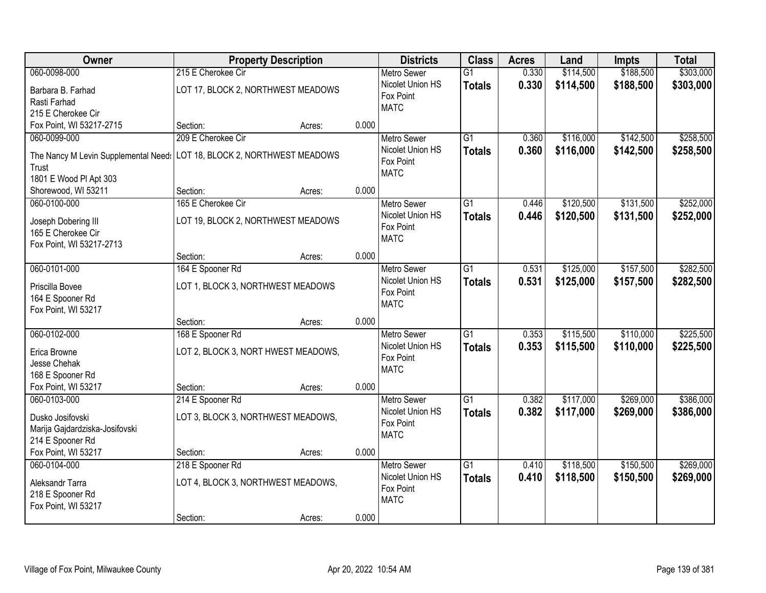| Owner                                | <b>Property Description</b>         |        |       | <b>Districts</b>         | <b>Class</b>    | <b>Acres</b> | Land      | <b>Impts</b> | <b>Total</b> |
|--------------------------------------|-------------------------------------|--------|-------|--------------------------|-----------------|--------------|-----------|--------------|--------------|
| 060-0098-000                         | 215 E Cherokee Cir                  |        |       | <b>Metro Sewer</b>       | $\overline{G1}$ | 0.330        | \$114,500 | \$188,500    | \$303,000    |
| Barbara B. Farhad                    | LOT 17, BLOCK 2, NORTHWEST MEADOWS  |        |       | Nicolet Union HS         | <b>Totals</b>   | 0.330        | \$114,500 | \$188,500    | \$303,000    |
| Rasti Farhad                         |                                     |        |       | Fox Point                |                 |              |           |              |              |
| 215 E Cherokee Cir                   |                                     |        |       | <b>MATC</b>              |                 |              |           |              |              |
| Fox Point, WI 53217-2715             | Section:                            | Acres: | 0.000 |                          |                 |              |           |              |              |
| 060-0099-000                         | 209 E Cherokee Cir                  |        |       | <b>Metro Sewer</b>       | $\overline{G1}$ | 0.360        | \$116,000 | \$142,500    | \$258,500    |
|                                      |                                     |        |       | Nicolet Union HS         | <b>Totals</b>   | 0.360        | \$116,000 | \$142,500    | \$258,500    |
| The Nancy M Levin Supplemental Need: | LOT 18, BLOCK 2, NORTHWEST MEADOWS  |        |       | Fox Point                |                 |              |           |              |              |
| Trust                                |                                     |        |       | <b>MATC</b>              |                 |              |           |              |              |
| 1801 E Wood PI Apt 303               |                                     |        |       |                          |                 |              |           |              |              |
| Shorewood, WI 53211                  | Section:                            | Acres: | 0.000 |                          |                 |              |           |              |              |
| 060-0100-000                         | 165 E Cherokee Cir                  |        |       | Metro Sewer              | G1              | 0.446        | \$120,500 | \$131,500    | \$252,000    |
| Joseph Dobering III                  | LOT 19, BLOCK 2, NORTHWEST MEADOWS  |        |       | Nicolet Union HS         | <b>Totals</b>   | 0.446        | \$120,500 | \$131,500    | \$252,000    |
| 165 E Cherokee Cir                   |                                     |        |       | Fox Point<br><b>MATC</b> |                 |              |           |              |              |
| Fox Point, WI 53217-2713             |                                     |        |       |                          |                 |              |           |              |              |
|                                      | Section:                            | Acres: | 0.000 |                          |                 |              |           |              |              |
| 060-0101-000                         | 164 E Spooner Rd                    |        |       | <b>Metro Sewer</b>       | G1              | 0.531        | \$125,000 | \$157,500    | \$282,500    |
| Priscilla Bovee                      | LOT 1, BLOCK 3, NORTHWEST MEADOWS   |        |       | Nicolet Union HS         | <b>Totals</b>   | 0.531        | \$125,000 | \$157,500    | \$282,500    |
| 164 E Spooner Rd                     |                                     |        |       | Fox Point                |                 |              |           |              |              |
| Fox Point, WI 53217                  |                                     |        |       | <b>MATC</b>              |                 |              |           |              |              |
|                                      | Section:                            | Acres: | 0.000 |                          |                 |              |           |              |              |
| 060-0102-000                         | 168 E Spooner Rd                    |        |       | <b>Metro Sewer</b>       | $\overline{G1}$ | 0.353        | \$115,500 | \$110,000    | \$225,500    |
|                                      |                                     |        |       | Nicolet Union HS         | <b>Totals</b>   | 0.353        | \$115,500 | \$110,000    | \$225,500    |
| Erica Browne                         | LOT 2, BLOCK 3, NORT HWEST MEADOWS, |        |       | Fox Point                |                 |              |           |              |              |
| Jesse Chehak                         |                                     |        |       | <b>MATC</b>              |                 |              |           |              |              |
| 168 E Spooner Rd                     |                                     |        |       |                          |                 |              |           |              |              |
| Fox Point, WI 53217                  | Section:                            | Acres: | 0.000 |                          |                 |              |           |              |              |
| 060-0103-000                         | 214 E Spooner Rd                    |        |       | <b>Metro Sewer</b>       | $\overline{G1}$ | 0.382        | \$117,000 | \$269,000    | \$386,000    |
| Dusko Josifovski                     | LOT 3, BLOCK 3, NORTHWEST MEADOWS,  |        |       | Nicolet Union HS         | <b>Totals</b>   | 0.382        | \$117,000 | \$269,000    | \$386,000    |
| Marija Gajdardziska-Josifovski       |                                     |        |       | Fox Point                |                 |              |           |              |              |
| 214 E Spooner Rd                     |                                     |        |       | <b>MATC</b>              |                 |              |           |              |              |
| Fox Point, WI 53217                  | Section:                            | Acres: | 0.000 |                          |                 |              |           |              |              |
| 060-0104-000                         | 218 E Spooner Rd                    |        |       | <b>Metro Sewer</b>       | $\overline{G1}$ | 0.410        | \$118,500 | \$150,500    | \$269,000    |
|                                      |                                     |        |       | Nicolet Union HS         | <b>Totals</b>   | 0.410        | \$118,500 | \$150,500    | \$269,000    |
| Aleksandr Tarra                      | LOT 4, BLOCK 3, NORTHWEST MEADOWS,  |        |       | Fox Point                |                 |              |           |              |              |
| 218 E Spooner Rd                     |                                     |        |       | <b>MATC</b>              |                 |              |           |              |              |
| Fox Point, WI 53217                  |                                     |        |       |                          |                 |              |           |              |              |
|                                      | Section:                            | Acres: | 0.000 |                          |                 |              |           |              |              |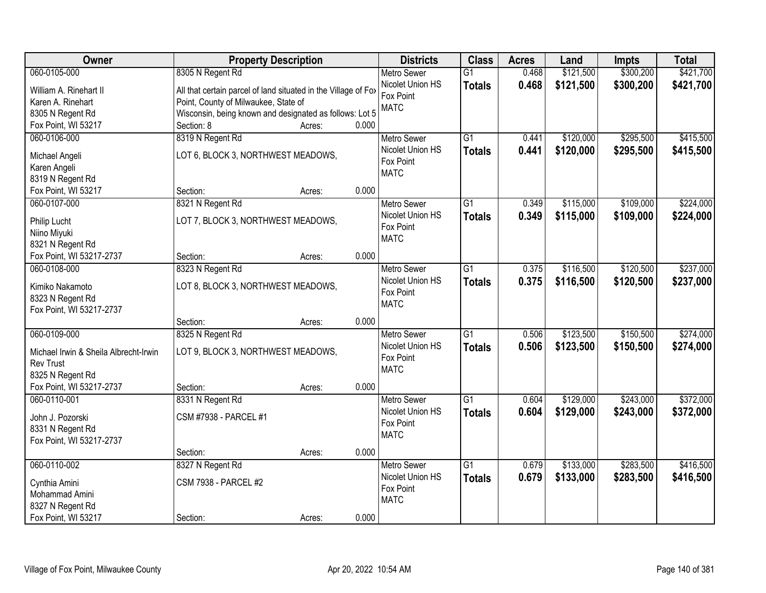| <b>Owner</b>                          | <b>Property Description</b>                                    |                 | <b>Districts</b>         | <b>Class</b>    | <b>Acres</b> | Land      | <b>Impts</b> | <b>Total</b> |
|---------------------------------------|----------------------------------------------------------------|-----------------|--------------------------|-----------------|--------------|-----------|--------------|--------------|
| 060-0105-000                          | 8305 N Regent Rd                                               |                 | <b>Metro Sewer</b>       | $\overline{G1}$ | 0.468        | \$121,500 | \$300,200    | \$421,700    |
| William A. Rinehart II                | All that certain parcel of land situated in the Village of Fox |                 | Nicolet Union HS         | <b>Totals</b>   | 0.468        | \$121,500 | \$300,200    | \$421,700    |
| Karen A. Rinehart                     | Point, County of Milwaukee, State of                           |                 | Fox Point                |                 |              |           |              |              |
| 8305 N Regent Rd                      | Wisconsin, being known and designated as follows: Lot 5        |                 | <b>MATC</b>              |                 |              |           |              |              |
| Fox Point, WI 53217                   | Section: 8                                                     | 0.000<br>Acres: |                          |                 |              |           |              |              |
| 060-0106-000                          | 8319 N Regent Rd                                               |                 | <b>Metro Sewer</b>       | $\overline{G1}$ | 0.441        | \$120,000 | \$295,500    | \$415,500    |
|                                       |                                                                |                 | Nicolet Union HS         | <b>Totals</b>   | 0.441        | \$120,000 | \$295,500    | \$415,500    |
| Michael Angeli                        | LOT 6, BLOCK 3, NORTHWEST MEADOWS,                             |                 | Fox Point                |                 |              |           |              |              |
| Karen Angeli                          |                                                                |                 | <b>MATC</b>              |                 |              |           |              |              |
| 8319 N Regent Rd                      |                                                                |                 |                          |                 |              |           |              |              |
| Fox Point, WI 53217                   | Section:                                                       | 0.000<br>Acres: |                          |                 |              |           |              |              |
| 060-0107-000                          | 8321 N Regent Rd                                               |                 | <b>Metro Sewer</b>       | G1              | 0.349        | \$115,000 | \$109,000    | \$224,000    |
| Philip Lucht                          | LOT 7, BLOCK 3, NORTHWEST MEADOWS,                             |                 | Nicolet Union HS         | <b>Totals</b>   | 0.349        | \$115,000 | \$109,000    | \$224,000    |
| Niino Miyuki                          |                                                                |                 | Fox Point<br><b>MATC</b> |                 |              |           |              |              |
| 8321 N Regent Rd                      |                                                                |                 |                          |                 |              |           |              |              |
| Fox Point, WI 53217-2737              | Section:                                                       | 0.000<br>Acres: |                          |                 |              |           |              |              |
| 060-0108-000                          | 8323 N Regent Rd                                               |                 | <b>Metro Sewer</b>       | G1              | 0.375        | \$116,500 | \$120,500    | \$237,000    |
| Kimiko Nakamoto                       | LOT 8, BLOCK 3, NORTHWEST MEADOWS,                             |                 | Nicolet Union HS         | <b>Totals</b>   | 0.375        | \$116,500 | \$120,500    | \$237,000    |
| 8323 N Regent Rd                      |                                                                |                 | Fox Point                |                 |              |           |              |              |
| Fox Point, WI 53217-2737              |                                                                |                 | <b>MATC</b>              |                 |              |           |              |              |
|                                       | Section:                                                       | 0.000<br>Acres: |                          |                 |              |           |              |              |
| 060-0109-000                          | 8325 N Regent Rd                                               |                 | <b>Metro Sewer</b>       | $\overline{G1}$ | 0.506        | \$123,500 | \$150,500    | \$274,000    |
|                                       |                                                                |                 | Nicolet Union HS         | <b>Totals</b>   | 0.506        | \$123,500 | \$150,500    | \$274,000    |
| Michael Irwin & Sheila Albrecht-Irwin | LOT 9, BLOCK 3, NORTHWEST MEADOWS,                             |                 | Fox Point                |                 |              |           |              |              |
| <b>Rev Trust</b>                      |                                                                |                 | <b>MATC</b>              |                 |              |           |              |              |
| 8325 N Regent Rd                      |                                                                |                 |                          |                 |              |           |              |              |
| Fox Point, WI 53217-2737              | Section:                                                       | 0.000<br>Acres: |                          |                 |              |           |              |              |
| 060-0110-001                          | 8331 N Regent Rd                                               |                 | Metro Sewer              | $\overline{G1}$ | 0.604        | \$129,000 | \$243,000    | \$372,000    |
| John J. Pozorski                      | CSM #7938 - PARCEL #1                                          |                 | Nicolet Union HS         | <b>Totals</b>   | 0.604        | \$129,000 | \$243,000    | \$372,000    |
| 8331 N Regent Rd                      |                                                                |                 | Fox Point                |                 |              |           |              |              |
| Fox Point, WI 53217-2737              |                                                                |                 | <b>MATC</b>              |                 |              |           |              |              |
|                                       | Section:                                                       | 0.000<br>Acres: |                          |                 |              |           |              |              |
| 060-0110-002                          | 8327 N Regent Rd                                               |                 | <b>Metro Sewer</b>       | $\overline{G1}$ | 0.679        | \$133,000 | \$283,500    | \$416,500    |
|                                       |                                                                |                 | Nicolet Union HS         | <b>Totals</b>   | 0.679        | \$133,000 | \$283,500    | \$416,500    |
| Cynthia Amini                         | <b>CSM 7938 - PARCEL #2</b>                                    |                 | Fox Point                |                 |              |           |              |              |
| Mohammad Amini                        |                                                                |                 | <b>MATC</b>              |                 |              |           |              |              |
| 8327 N Regent Rd                      |                                                                |                 |                          |                 |              |           |              |              |
| Fox Point, WI 53217                   | Section:                                                       | 0.000<br>Acres: |                          |                 |              |           |              |              |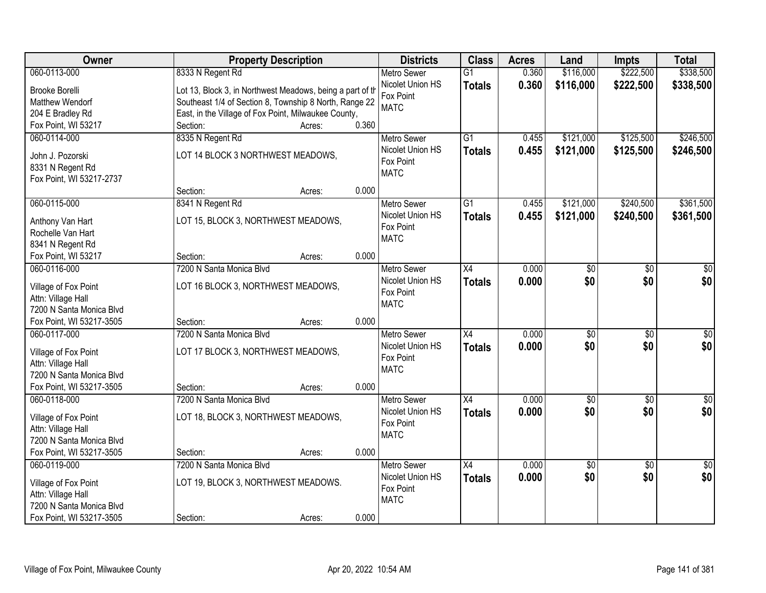| Owner                                          | <b>Property Description</b>                               |                 | <b>Districts</b>   | <b>Class</b>    | <b>Acres</b> | Land            | <b>Impts</b>    | <b>Total</b>    |
|------------------------------------------------|-----------------------------------------------------------|-----------------|--------------------|-----------------|--------------|-----------------|-----------------|-----------------|
| 060-0113-000                                   | 8333 N Regent Rd                                          |                 | <b>Metro Sewer</b> | $\overline{G1}$ | 0.360        | \$116,000       | \$222,500       | \$338,500       |
| <b>Brooke Borelli</b>                          | Lot 13, Block 3, in Northwest Meadows, being a part of th |                 | Nicolet Union HS   | <b>Totals</b>   | 0.360        | \$116,000       | \$222,500       | \$338,500       |
| Matthew Wendorf                                | Southeast 1/4 of Section 8, Township 8 North, Range 22    |                 | Fox Point          |                 |              |                 |                 |                 |
| 204 E Bradley Rd                               | East, in the Village of Fox Point, Milwaukee County,      |                 | <b>MATC</b>        |                 |              |                 |                 |                 |
| Fox Point, WI 53217                            | Section:                                                  | 0.360<br>Acres: |                    |                 |              |                 |                 |                 |
| 060-0114-000                                   | 8335 N Regent Rd                                          |                 | <b>Metro Sewer</b> | $\overline{G1}$ | 0.455        | \$121,000       | \$125,500       | \$246,500       |
|                                                |                                                           |                 | Nicolet Union HS   | <b>Totals</b>   | 0.455        | \$121,000       | \$125,500       | \$246,500       |
| John J. Pozorski                               | LOT 14 BLOCK 3 NORTHWEST MEADOWS,                         |                 | Fox Point          |                 |              |                 |                 |                 |
| 8331 N Regent Rd                               |                                                           |                 | <b>MATC</b>        |                 |              |                 |                 |                 |
| Fox Point, WI 53217-2737                       |                                                           |                 |                    |                 |              |                 |                 |                 |
|                                                | Section:                                                  | 0.000<br>Acres: |                    |                 |              |                 |                 |                 |
| 060-0115-000                                   | 8341 N Regent Rd                                          |                 | <b>Metro Sewer</b> | G <sub>1</sub>  | 0.455        | \$121,000       | \$240,500       | \$361,500       |
| Anthony Van Hart                               | LOT 15, BLOCK 3, NORTHWEST MEADOWS,                       |                 | Nicolet Union HS   | <b>Totals</b>   | 0.455        | \$121,000       | \$240,500       | \$361,500       |
| Rochelle Van Hart                              |                                                           |                 | Fox Point          |                 |              |                 |                 |                 |
| 8341 N Regent Rd                               |                                                           |                 | <b>MATC</b>        |                 |              |                 |                 |                 |
| Fox Point, WI 53217                            | Section:                                                  | 0.000<br>Acres: |                    |                 |              |                 |                 |                 |
| 060-0116-000                                   | 7200 N Santa Monica Blvd                                  |                 | <b>Metro Sewer</b> | X4              | 0.000        | \$0             | \$0             | \$0             |
|                                                |                                                           |                 | Nicolet Union HS   | <b>Totals</b>   | 0.000        | \$0             | \$0             | \$0             |
| Village of Fox Point                           | LOT 16 BLOCK 3, NORTHWEST MEADOWS,                        |                 | Fox Point          |                 |              |                 |                 |                 |
| Attn: Village Hall<br>7200 N Santa Monica Blvd |                                                           |                 | <b>MATC</b>        |                 |              |                 |                 |                 |
| Fox Point, WI 53217-3505                       | Section:                                                  | 0.000<br>Acres: |                    |                 |              |                 |                 |                 |
| 060-0117-000                                   | 7200 N Santa Monica Blvd                                  |                 | <b>Metro Sewer</b> | $\overline{X4}$ | 0.000        | $\overline{50}$ | $\overline{50}$ | $\overline{50}$ |
|                                                |                                                           |                 | Nicolet Union HS   |                 | 0.000        | \$0             | \$0             | \$0             |
| Village of Fox Point                           | LOT 17 BLOCK 3, NORTHWEST MEADOWS,                        |                 | Fox Point          | <b>Totals</b>   |              |                 |                 |                 |
| Attn: Village Hall                             |                                                           |                 | <b>MATC</b>        |                 |              |                 |                 |                 |
| 7200 N Santa Monica Blvd                       |                                                           |                 |                    |                 |              |                 |                 |                 |
| Fox Point, WI 53217-3505                       | Section:                                                  | 0.000<br>Acres: |                    |                 |              |                 |                 |                 |
| 060-0118-000                                   | 7200 N Santa Monica Blvd                                  |                 | <b>Metro Sewer</b> | X4              | 0.000        | $\overline{60}$ | $\overline{50}$ | $\overline{50}$ |
| Village of Fox Point                           | LOT 18, BLOCK 3, NORTHWEST MEADOWS,                       |                 | Nicolet Union HS   | <b>Totals</b>   | 0.000        | \$0             | \$0             | \$0             |
| Attn: Village Hall                             |                                                           |                 | Fox Point          |                 |              |                 |                 |                 |
| 7200 N Santa Monica Blvd                       |                                                           |                 | <b>MATC</b>        |                 |              |                 |                 |                 |
| Fox Point, WI 53217-3505                       | Section:                                                  | 0.000<br>Acres: |                    |                 |              |                 |                 |                 |
| 060-0119-000                                   | 7200 N Santa Monica Blvd                                  |                 | <b>Metro Sewer</b> | X4              | 0.000        | $\sqrt{$0}$     | $\overline{50}$ | $\overline{50}$ |
|                                                |                                                           |                 | Nicolet Union HS   | <b>Totals</b>   | 0.000        | \$0             | \$0             | \$0             |
| Village of Fox Point                           | LOT 19, BLOCK 3, NORTHWEST MEADOWS.                       |                 | Fox Point          |                 |              |                 |                 |                 |
| Attn: Village Hall                             |                                                           |                 | <b>MATC</b>        |                 |              |                 |                 |                 |
| 7200 N Santa Monica Blvd                       |                                                           |                 |                    |                 |              |                 |                 |                 |
| Fox Point, WI 53217-3505                       | Section:                                                  | 0.000<br>Acres: |                    |                 |              |                 |                 |                 |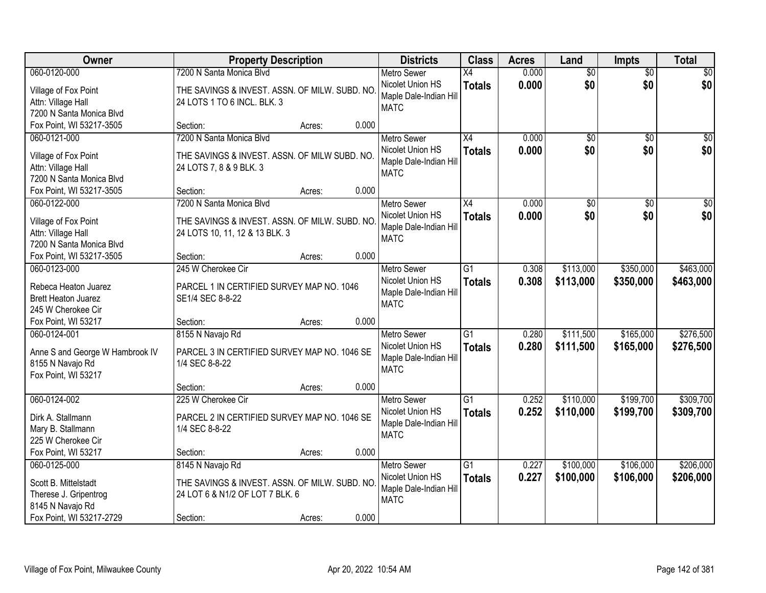| Owner                                          | <b>Property Description</b>                   |        |       | <b>Districts</b>                      | <b>Class</b>    | <b>Acres</b> | Land            | <b>Impts</b>    | <b>Total</b> |
|------------------------------------------------|-----------------------------------------------|--------|-------|---------------------------------------|-----------------|--------------|-----------------|-----------------|--------------|
| 060-0120-000                                   | 7200 N Santa Monica Blvd                      |        |       | <b>Metro Sewer</b>                    | $\overline{X4}$ | 0.000        | $\overline{50}$ | $\overline{50}$ | \$0          |
| Village of Fox Point                           | THE SAVINGS & INVEST. ASSN. OF MILW. SUBD. NO |        |       | Nicolet Union HS                      | <b>Totals</b>   | 0.000        | \$0             | \$0             | \$0          |
| Attn: Village Hall                             | 24 LOTS 1 TO 6 INCL. BLK. 3                   |        |       | Maple Dale-Indian Hill                |                 |              |                 |                 |              |
| 7200 N Santa Monica Blvd                       |                                               |        |       | <b>MATC</b>                           |                 |              |                 |                 |              |
| Fox Point, WI 53217-3505                       | Section:                                      | Acres: | 0.000 |                                       |                 |              |                 |                 |              |
| 060-0121-000                                   | 7200 N Santa Monica Blyd                      |        |       | <b>Metro Sewer</b>                    | X4              | 0.000        | $\overline{50}$ | \$0             | \$0          |
| Village of Fox Point                           | THE SAVINGS & INVEST. ASSN. OF MILW SUBD. NO. |        |       | Nicolet Union HS                      | <b>Totals</b>   | 0.000        | \$0             | \$0             | \$0          |
| Attn: Village Hall                             | 24 LOTS 7, 8 & 9 BLK. 3                       |        |       | Maple Dale-Indian Hill                |                 |              |                 |                 |              |
| 7200 N Santa Monica Blvd                       |                                               |        |       | <b>MATC</b>                           |                 |              |                 |                 |              |
| Fox Point, WI 53217-3505                       | Section:                                      | Acres: | 0.000 |                                       |                 |              |                 |                 |              |
| 060-0122-000                                   | 7200 N Santa Monica Blvd                      |        |       | <b>Metro Sewer</b>                    | X4              | 0.000        | $\overline{50}$ | \$0             | $\sqrt{50}$  |
|                                                |                                               |        |       | Nicolet Union HS                      | <b>Totals</b>   | 0.000        | \$0             | \$0             | \$0          |
| Village of Fox Point                           | THE SAVINGS & INVEST. ASSN. OF MILW. SUBD. NO |        |       | Maple Dale-Indian Hill                |                 |              |                 |                 |              |
| Attn: Village Hall<br>7200 N Santa Monica Blvd | 24 LOTS 10, 11, 12 & 13 BLK. 3                |        |       | <b>MATC</b>                           |                 |              |                 |                 |              |
| Fox Point, WI 53217-3505                       | Section:                                      | Acres: | 0.000 |                                       |                 |              |                 |                 |              |
| 060-0123-000                                   | 245 W Cherokee Cir                            |        |       | <b>Metro Sewer</b>                    | $\overline{G1}$ | 0.308        | \$113,000       | \$350,000       | \$463,000    |
|                                                |                                               |        |       | Nicolet Union HS                      | <b>Totals</b>   | 0.308        | \$113,000       | \$350,000       | \$463,000    |
| Rebeca Heaton Juarez                           | PARCEL 1 IN CERTIFIED SURVEY MAP NO. 1046     |        |       | Maple Dale-Indian Hill                |                 |              |                 |                 |              |
| <b>Brett Heaton Juarez</b>                     | SE1/4 SEC 8-8-22                              |        |       | <b>MATC</b>                           |                 |              |                 |                 |              |
| 245 W Cherokee Cir                             |                                               |        |       |                                       |                 |              |                 |                 |              |
| Fox Point, WI 53217                            | Section:                                      | Acres: | 0.000 |                                       |                 |              |                 |                 |              |
| 060-0124-001                                   | 8155 N Navajo Rd                              |        |       | <b>Metro Sewer</b>                    | $\overline{G1}$ | 0.280        | \$111,500       | \$165,000       | \$276,500    |
| Anne S and George W Hambrook IV                | PARCEL 3 IN CERTIFIED SURVEY MAP NO. 1046 SE  |        |       | Nicolet Union HS                      | <b>Totals</b>   | 0.280        | \$111,500       | \$165,000       | \$276,500    |
| 8155 N Navajo Rd                               | 1/4 SEC 8-8-22                                |        |       | Maple Dale-Indian Hill<br><b>MATC</b> |                 |              |                 |                 |              |
| Fox Point, WI 53217                            |                                               |        |       |                                       |                 |              |                 |                 |              |
|                                                | Section:                                      | Acres: | 0.000 |                                       |                 |              |                 |                 |              |
| 060-0124-002                                   | 225 W Cherokee Cir                            |        |       | Metro Sewer                           | $\overline{G1}$ | 0.252        | \$110,000       | \$199,700       | \$309,700    |
| Dirk A. Stallmann                              | PARCEL 2 IN CERTIFIED SURVEY MAP NO. 1046 SE  |        |       | Nicolet Union HS                      | <b>Totals</b>   | 0.252        | \$110,000       | \$199,700       | \$309,700    |
| Mary B. Stallmann                              | 1/4 SEC 8-8-22                                |        |       | Maple Dale-Indian Hill                |                 |              |                 |                 |              |
| 225 W Cherokee Cir                             |                                               |        |       | <b>MATC</b>                           |                 |              |                 |                 |              |
| Fox Point, WI 53217                            | Section:                                      | Acres: | 0.000 |                                       |                 |              |                 |                 |              |
| 060-0125-000                                   | 8145 N Navajo Rd                              |        |       | <b>Metro Sewer</b>                    | $\overline{G1}$ | 0.227        | \$100,000       | \$106,000       | \$206,000    |
| Scott B. Mittelstadt                           | THE SAVINGS & INVEST. ASSN. OF MILW. SUBD. NO |        |       | Nicolet Union HS                      | <b>Totals</b>   | 0.227        | \$100,000       | \$106,000       | \$206,000    |
| Therese J. Gripentrog                          | 24 LOT 6 & N1/2 OF LOT 7 BLK. 6               |        |       | Maple Dale-Indian Hill                |                 |              |                 |                 |              |
| 8145 N Navajo Rd                               |                                               |        |       | <b>MATC</b>                           |                 |              |                 |                 |              |
| Fox Point, WI 53217-2729                       | Section:                                      | Acres: | 0.000 |                                       |                 |              |                 |                 |              |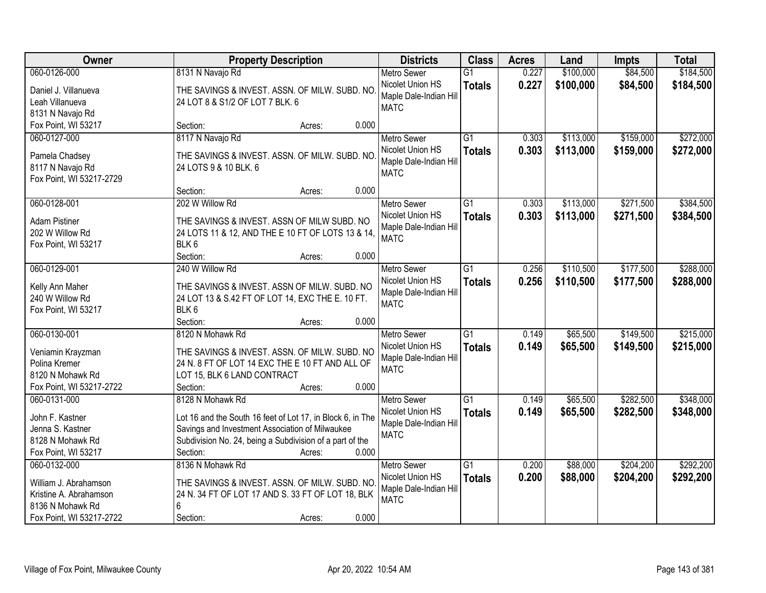| Owner                              | <b>Property Description</b>                                                                      | <b>Districts</b>                           | <b>Class</b>    | <b>Acres</b> | Land      | <b>Impts</b> | <b>Total</b> |
|------------------------------------|--------------------------------------------------------------------------------------------------|--------------------------------------------|-----------------|--------------|-----------|--------------|--------------|
| 060-0126-000                       | 8131 N Navajo Rd                                                                                 | <b>Metro Sewer</b>                         | $\overline{G1}$ | 0.227        | \$100,000 | \$84,500     | \$184,500    |
| Daniel J. Villanueva               | THE SAVINGS & INVEST. ASSN. OF MILW. SUBD. NO                                                    | Nicolet Union HS                           | <b>Totals</b>   | 0.227        | \$100,000 | \$84,500     | \$184,500    |
| Leah Villanueva                    | 24 LOT 8 & S1/2 OF LOT 7 BLK. 6                                                                  | Maple Dale-Indian Hill                     |                 |              |           |              |              |
| 8131 N Navajo Rd                   |                                                                                                  | <b>MATC</b>                                |                 |              |           |              |              |
| Fox Point, WI 53217                | 0.000<br>Section:<br>Acres:                                                                      |                                            |                 |              |           |              |              |
| 060-0127-000                       | 8117 N Navajo Rd                                                                                 | <b>Metro Sewer</b>                         | $\overline{G1}$ | 0.303        | \$113,000 | \$159,000    | \$272,000    |
| Pamela Chadsey                     | THE SAVINGS & INVEST. ASSN. OF MILW. SUBD. NO                                                    | Nicolet Union HS                           | <b>Totals</b>   | 0.303        | \$113,000 | \$159,000    | \$272,000    |
| 8117 N Navajo Rd                   | 24 LOTS 9 & 10 BLK. 6                                                                            | Maple Dale-Indian Hill                     |                 |              |           |              |              |
| Fox Point, WI 53217-2729           |                                                                                                  | <b>MATC</b>                                |                 |              |           |              |              |
|                                    | 0.000<br>Section:<br>Acres:                                                                      |                                            |                 |              |           |              |              |
| 060-0128-001                       | 202 W Willow Rd                                                                                  | <b>Metro Sewer</b>                         | $\overline{G1}$ | 0.303        | \$113,000 | \$271,500    | \$384,500    |
| <b>Adam Pistiner</b>               | THE SAVINGS & INVEST. ASSN OF MILW SUBD. NO                                                      | Nicolet Union HS                           | <b>Totals</b>   | 0.303        | \$113,000 | \$271,500    | \$384,500    |
| 202 W Willow Rd                    | 24 LOTS 11 & 12, AND THE E 10 FT OF LOTS 13 & 14,                                                | Maple Dale-Indian Hill                     |                 |              |           |              |              |
| Fox Point, WI 53217                | BLK <sub>6</sub>                                                                                 | <b>MATC</b>                                |                 |              |           |              |              |
|                                    | Section:<br>0.000<br>Acres:                                                                      |                                            |                 |              |           |              |              |
| 060-0129-001                       | 240 W Willow Rd                                                                                  | <b>Metro Sewer</b>                         | G1              | 0.256        | \$110,500 | \$177,500    | \$288,000    |
|                                    |                                                                                                  | Nicolet Union HS                           | <b>Totals</b>   | 0.256        | \$110,500 | \$177,500    | \$288,000    |
| Kelly Ann Maher<br>240 W Willow Rd | THE SAVINGS & INVEST. ASSN OF MILW. SUBD. NO<br>24 LOT 13 & S.42 FT OF LOT 14, EXC THE E. 10 FT. | Maple Dale-Indian Hill                     |                 |              |           |              |              |
| Fox Point, WI 53217                | BLK 6                                                                                            | <b>MATC</b>                                |                 |              |           |              |              |
|                                    | Section:<br>0.000<br>Acres:                                                                      |                                            |                 |              |           |              |              |
| 060-0130-001                       | 8120 N Mohawk Rd                                                                                 | <b>Metro Sewer</b>                         | $\overline{G1}$ | 0.149        | \$65,500  | \$149,500    | \$215,000    |
|                                    |                                                                                                  | Nicolet Union HS                           | <b>Totals</b>   | 0.149        | \$65,500  | \$149,500    | \$215,000    |
| Veniamin Krayzman                  | THE SAVINGS & INVEST. ASSN. OF MILW. SUBD. NO                                                    | Maple Dale-Indian Hill                     |                 |              |           |              |              |
| Polina Kremer                      | 24 N. 8 FT OF LOT 14 EXC THE E 10 FT AND ALL OF                                                  | <b>MATC</b>                                |                 |              |           |              |              |
| 8120 N Mohawk Rd                   | LOT 15, BLK 6 LAND CONTRACT                                                                      |                                            |                 |              |           |              |              |
| Fox Point, WI 53217-2722           | Section:<br>0.000<br>Acres:                                                                      |                                            |                 |              |           |              |              |
| 060-0131-000                       | 8128 N Mohawk Rd                                                                                 | <b>Metro Sewer</b>                         | $\overline{G1}$ | 0.149        | \$65,500  | \$282,500    | \$348,000    |
| John F. Kastner                    | Lot 16 and the South 16 feet of Lot 17, in Block 6, in The                                       | Nicolet Union HS<br>Maple Dale-Indian Hill | <b>Totals</b>   | 0.149        | \$65,500  | \$282,500    | \$348,000    |
| Jenna S. Kastner                   | Savings and Investment Association of Milwaukee                                                  | <b>MATC</b>                                |                 |              |           |              |              |
| 8128 N Mohawk Rd                   | Subdivision No. 24, being a Subdivision of a part of the                                         |                                            |                 |              |           |              |              |
| Fox Point, WI 53217                | 0.000<br>Section:<br>Acres:                                                                      |                                            |                 |              |           |              |              |
| 060-0132-000                       | 8136 N Mohawk Rd                                                                                 | <b>Metro Sewer</b>                         | G1              | 0.200        | \$88,000  | \$204,200    | \$292,200    |
| William J. Abrahamson              | THE SAVINGS & INVEST. ASSN. OF MILW. SUBD. NO                                                    | Nicolet Union HS                           | <b>Totals</b>   | 0.200        | \$88,000  | \$204,200    | \$292,200    |
| Kristine A. Abrahamson             | 24 N. 34 FT OF LOT 17 AND S. 33 FT OF LOT 18, BLK                                                | Maple Dale-Indian Hil                      |                 |              |           |              |              |
| 8136 N Mohawk Rd                   | 6                                                                                                | <b>MATC</b>                                |                 |              |           |              |              |
| Fox Point, WI 53217-2722           | 0.000<br>Section:<br>Acres:                                                                      |                                            |                 |              |           |              |              |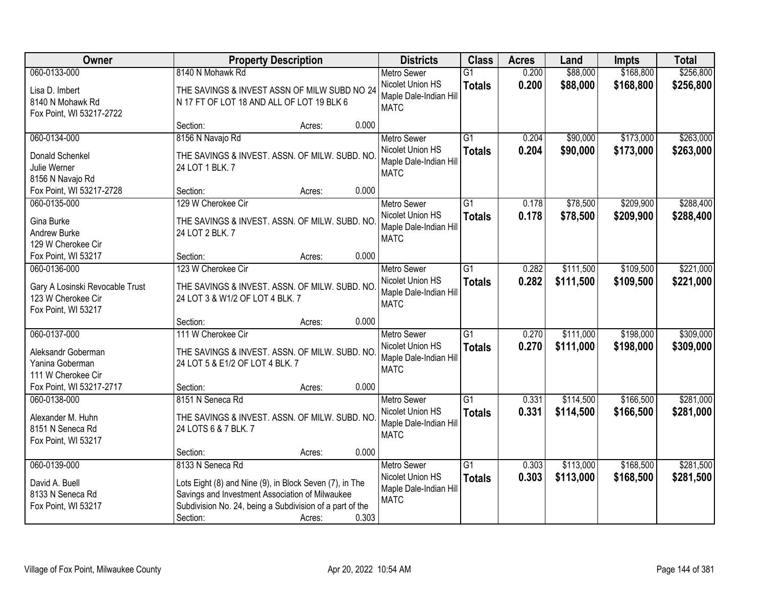| Owner                              | <b>Property Description</b>                                                                                |                 | <b>Districts</b>                           | <b>Class</b>    | <b>Acres</b> | Land      | Impts     | <b>Total</b> |
|------------------------------------|------------------------------------------------------------------------------------------------------------|-----------------|--------------------------------------------|-----------------|--------------|-----------|-----------|--------------|
| 060-0133-000                       | 8140 N Mohawk Rd                                                                                           |                 | <b>Metro Sewer</b>                         | $\overline{G1}$ | 0.200        | \$88,000  | \$168,800 | \$256,800    |
| Lisa D. Imbert<br>8140 N Mohawk Rd | THE SAVINGS & INVEST ASSN OF MILW SUBD NO 24<br>N 17 FT OF LOT 18 AND ALL OF LOT 19 BLK 6                  |                 | Nicolet Union HS<br>Maple Dale-Indian Hill | <b>Totals</b>   | 0.200        | \$88,000  | \$168,800 | \$256,800    |
| Fox Point, WI 53217-2722           |                                                                                                            |                 | <b>MATC</b>                                |                 |              |           |           |              |
|                                    | Section:                                                                                                   | 0.000<br>Acres: |                                            |                 |              |           |           |              |
| 060-0134-000                       | 8156 N Navajo Rd                                                                                           |                 | <b>Metro Sewer</b>                         | $\overline{G1}$ | 0.204        | \$90,000  | \$173,000 | \$263,000    |
| Donald Schenkel                    | THE SAVINGS & INVEST. ASSN. OF MILW. SUBD. NO                                                              |                 | Nicolet Union HS                           | <b>Totals</b>   | 0.204        | \$90,000  | \$173,000 | \$263,000    |
| Julie Werner                       | 24 LOT 1 BLK, 7                                                                                            |                 | Maple Dale-Indian Hill                     |                 |              |           |           |              |
| 8156 N Navajo Rd                   |                                                                                                            |                 | <b>MATC</b>                                |                 |              |           |           |              |
| Fox Point, WI 53217-2728           | Section:                                                                                                   | 0.000<br>Acres: |                                            |                 |              |           |           |              |
| 060-0135-000                       | 129 W Cherokee Cir                                                                                         |                 | <b>Metro Sewer</b>                         | G1              | 0.178        | \$78,500  | \$209,900 | \$288,400    |
| Gina Burke                         | THE SAVINGS & INVEST. ASSN. OF MILW. SUBD. NO                                                              |                 | Nicolet Union HS                           | <b>Totals</b>   | 0.178        | \$78,500  | \$209,900 | \$288,400    |
| Andrew Burke                       | 24 LOT 2 BLK. 7                                                                                            |                 | Maple Dale-Indian Hill                     |                 |              |           |           |              |
| 129 W Cherokee Cir                 |                                                                                                            |                 | <b>MATC</b>                                |                 |              |           |           |              |
| Fox Point, WI 53217                | Section:                                                                                                   | 0.000<br>Acres: |                                            |                 |              |           |           |              |
| 060-0136-000                       | 123 W Cherokee Cir                                                                                         |                 | <b>Metro Sewer</b>                         | $\overline{G1}$ | 0.282        | \$111,500 | \$109,500 | \$221,000    |
| Gary A Losinski Revocable Trust    | THE SAVINGS & INVEST. ASSN. OF MILW. SUBD. NO                                                              |                 | Nicolet Union HS                           | <b>Totals</b>   | 0.282        | \$111,500 | \$109,500 | \$221,000    |
| 123 W Cherokee Cir                 | 24 LOT 3 & W1/2 OF LOT 4 BLK. 7                                                                            |                 | Maple Dale-Indian Hill                     |                 |              |           |           |              |
| Fox Point, WI 53217                |                                                                                                            |                 | <b>MATC</b>                                |                 |              |           |           |              |
|                                    | Section:                                                                                                   | 0.000<br>Acres: |                                            |                 |              |           |           |              |
| 060-0137-000                       | 111 W Cherokee Cir                                                                                         |                 | <b>Metro Sewer</b>                         | $\overline{G1}$ | 0.270        | \$111,000 | \$198,000 | \$309,000    |
| Aleksandr Goberman                 |                                                                                                            |                 | Nicolet Union HS                           | <b>Totals</b>   | 0.270        | \$111,000 | \$198,000 | \$309,000    |
| Yanina Goberman                    | THE SAVINGS & INVEST. ASSN. OF MILW. SUBD. NO<br>24 LOT 5 & E1/2 OF LOT 4 BLK. 7                           |                 | Maple Dale-Indian Hill                     |                 |              |           |           |              |
| 111 W Cherokee Cir                 |                                                                                                            |                 | <b>MATC</b>                                |                 |              |           |           |              |
| Fox Point, WI 53217-2717           | Section:                                                                                                   | 0.000<br>Acres: |                                            |                 |              |           |           |              |
| 060-0138-000                       | 8151 N Seneca Rd                                                                                           |                 | Metro Sewer                                | $\overline{G1}$ | 0.331        | \$114,500 | \$166,500 | \$281,000    |
| Alexander M. Huhn                  | THE SAVINGS & INVEST. ASSN. OF MILW. SUBD. NO                                                              |                 | Nicolet Union HS                           | <b>Totals</b>   | 0.331        | \$114,500 | \$166,500 | \$281,000    |
| 8151 N Seneca Rd                   | 24 LOTS 6 & 7 BLK. 7                                                                                       |                 | Maple Dale-Indian Hill                     |                 |              |           |           |              |
| Fox Point, WI 53217                |                                                                                                            |                 | <b>MATC</b>                                |                 |              |           |           |              |
|                                    | Section:                                                                                                   | 0.000<br>Acres: |                                            |                 |              |           |           |              |
| 060-0139-000                       | 8133 N Seneca Rd                                                                                           |                 | <b>Metro Sewer</b>                         | $\overline{G1}$ | 0.303        | \$113,000 | \$168,500 | \$281,500    |
|                                    |                                                                                                            |                 | Nicolet Union HS                           | <b>Totals</b>   | 0.303        | \$113,000 | \$168,500 | \$281,500    |
| David A. Buell<br>8133 N Seneca Rd | Lots Eight (8) and Nine (9), in Block Seven (7), in The<br>Savings and Investment Association of Milwaukee |                 | Maple Dale-Indian Hill                     |                 |              |           |           |              |
| Fox Point, WI 53217                | Subdivision No. 24, being a Subdivision of a part of the                                                   |                 | <b>MATC</b>                                |                 |              |           |           |              |
|                                    | Section:                                                                                                   | 0.303<br>Acres: |                                            |                 |              |           |           |              |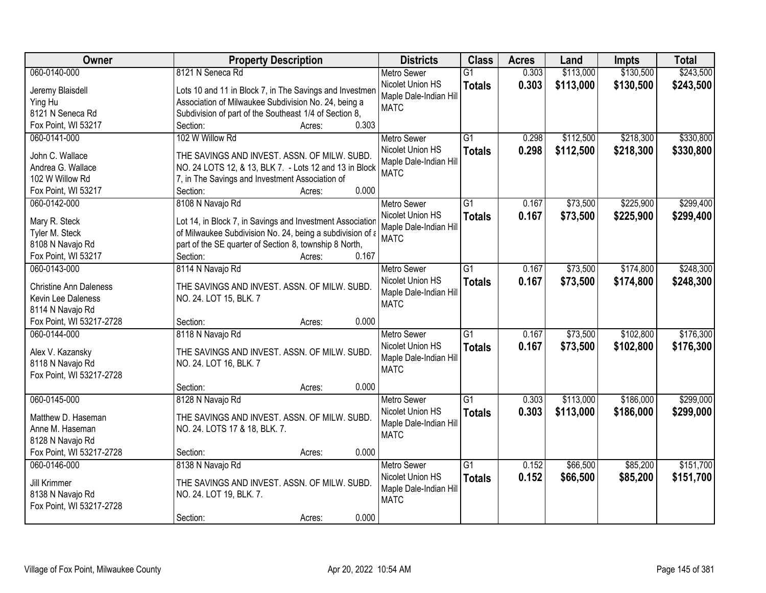| Owner                         | <b>Property Description</b>                               | <b>Districts</b>       | <b>Class</b>    | <b>Acres</b> | Land      | <b>Impts</b> | <b>Total</b> |
|-------------------------------|-----------------------------------------------------------|------------------------|-----------------|--------------|-----------|--------------|--------------|
| 060-0140-000                  | 8121 N Seneca Rd                                          | <b>Metro Sewer</b>     | $\overline{G1}$ | 0.303        | \$113,000 | \$130,500    | \$243,500    |
| Jeremy Blaisdell              | Lots 10 and 11 in Block 7, in The Savings and Investmen   | Nicolet Union HS       | <b>Totals</b>   | 0.303        | \$113,000 | \$130,500    | \$243,500    |
| Ying Hu                       | Association of Milwaukee Subdivision No. 24, being a      | Maple Dale-Indian Hill |                 |              |           |              |              |
| 8121 N Seneca Rd              | Subdivision of part of the Southeast 1/4 of Section 8,    | <b>MATC</b>            |                 |              |           |              |              |
| Fox Point, WI 53217           | 0.303<br>Section:<br>Acres:                               |                        |                 |              |           |              |              |
| 060-0141-000                  | 102 W Willow Rd                                           | <b>Metro Sewer</b>     | $\overline{G1}$ | 0.298        | \$112,500 | \$218,300    | \$330,800    |
|                               |                                                           | Nicolet Union HS       | <b>Totals</b>   | 0.298        | \$112,500 | \$218,300    | \$330,800    |
| John C. Wallace               | THE SAVINGS AND INVEST. ASSN. OF MILW. SUBD.              | Maple Dale-Indian Hill |                 |              |           |              |              |
| Andrea G. Wallace             | NO. 24 LOTS 12, & 13, BLK 7. - Lots 12 and 13 in Block    | <b>MATC</b>            |                 |              |           |              |              |
| 102 W Willow Rd               | 7, in The Savings and Investment Association of           |                        |                 |              |           |              |              |
| Fox Point, WI 53217           | 0.000<br>Section:<br>Acres:                               |                        |                 |              |           |              |              |
| 060-0142-000                  | 8108 N Navajo Rd                                          | <b>Metro Sewer</b>     | G1              | 0.167        | \$73,500  | \$225,900    | \$299,400    |
| Mary R. Steck                 | Lot 14, in Block 7, in Savings and Investment Association | Nicolet Union HS       | <b>Totals</b>   | 0.167        | \$73,500  | \$225,900    | \$299,400    |
| Tyler M. Steck                | of Milwaukee Subdivision No. 24, being a subdivision of a | Maple Dale-Indian Hill |                 |              |           |              |              |
| 8108 N Navajo Rd              | part of the SE quarter of Section 8, township 8 North,    | <b>MATC</b>            |                 |              |           |              |              |
| Fox Point, WI 53217           | 0.167<br>Section:<br>Acres:                               |                        |                 |              |           |              |              |
| 060-0143-000                  | 8114 N Navajo Rd                                          | <b>Metro Sewer</b>     | $\overline{G1}$ | 0.167        | \$73,500  | \$174,800    | \$248,300    |
|                               |                                                           | Nicolet Union HS       | <b>Totals</b>   | 0.167        | \$73,500  | \$174,800    | \$248,300    |
| <b>Christine Ann Daleness</b> | THE SAVINGS AND INVEST. ASSN. OF MILW. SUBD.              | Maple Dale-Indian Hill |                 |              |           |              |              |
| Kevin Lee Daleness            | NO. 24. LOT 15, BLK. 7                                    | <b>MATC</b>            |                 |              |           |              |              |
| 8114 N Navajo Rd              |                                                           |                        |                 |              |           |              |              |
| Fox Point, WI 53217-2728      | 0.000<br>Section:<br>Acres:                               |                        |                 |              |           |              |              |
| 060-0144-000                  | 8118 N Navajo Rd                                          | <b>Metro Sewer</b>     | $\overline{G1}$ | 0.167        | \$73,500  | \$102,800    | \$176,300    |
| Alex V. Kazansky              | THE SAVINGS AND INVEST. ASSN. OF MILW. SUBD.              | Nicolet Union HS       | <b>Totals</b>   | 0.167        | \$73,500  | \$102,800    | \$176,300    |
| 8118 N Navajo Rd              | NO. 24. LOT 16, BLK. 7                                    | Maple Dale-Indian Hill |                 |              |           |              |              |
| Fox Point, WI 53217-2728      |                                                           | <b>MATC</b>            |                 |              |           |              |              |
|                               | Section:<br>0.000<br>Acres:                               |                        |                 |              |           |              |              |
| 060-0145-000                  | 8128 N Navajo Rd                                          | <b>Metro Sewer</b>     | $\overline{G1}$ | 0.303        | \$113,000 | \$186,000    | \$299,000    |
|                               |                                                           | Nicolet Union HS       |                 |              |           |              |              |
| Matthew D. Haseman            | THE SAVINGS AND INVEST. ASSN. OF MILW. SUBD.              | Maple Dale-Indian Hill | <b>Totals</b>   | 0.303        | \$113,000 | \$186,000    | \$299,000    |
| Anne M. Haseman               | NO. 24. LOTS 17 & 18, BLK. 7.                             | <b>MATC</b>            |                 |              |           |              |              |
| 8128 N Navajo Rd              |                                                           |                        |                 |              |           |              |              |
| Fox Point, WI 53217-2728      | 0.000<br>Section:<br>Acres:                               |                        |                 |              |           |              |              |
| 060-0146-000                  | 8138 N Navajo Rd                                          | <b>Metro Sewer</b>     | $\overline{G1}$ | 0.152        | \$66,500  | \$85,200     | \$151,700    |
| Jill Krimmer                  | THE SAVINGS AND INVEST. ASSN. OF MILW. SUBD.              | Nicolet Union HS       | <b>Totals</b>   | 0.152        | \$66,500  | \$85,200     | \$151,700    |
| 8138 N Navajo Rd              | NO. 24. LOT 19, BLK. 7.                                   | Maple Dale-Indian Hill |                 |              |           |              |              |
| Fox Point, WI 53217-2728      |                                                           | <b>MATC</b>            |                 |              |           |              |              |
|                               | 0.000<br>Section:<br>Acres:                               |                        |                 |              |           |              |              |
|                               |                                                           |                        |                 |              |           |              |              |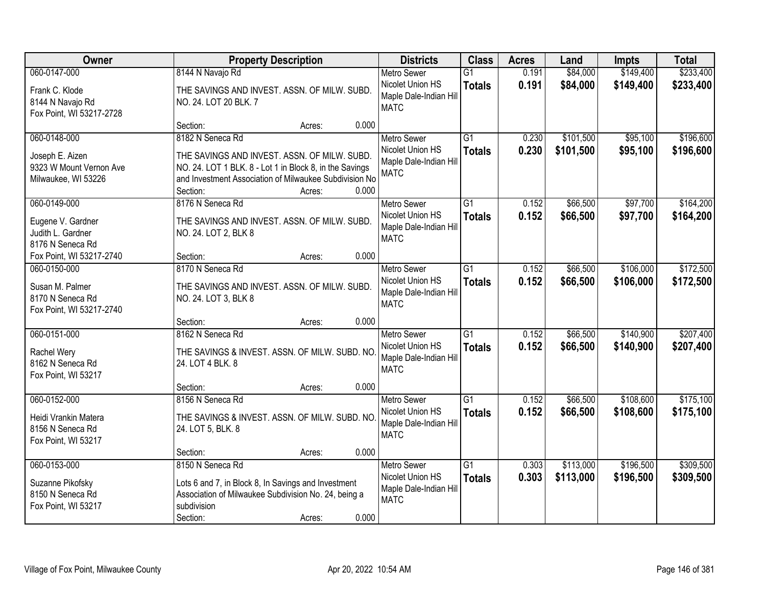| Owner                                                                             | <b>Property Description</b>                                                                                                                                                                                          | <b>Districts</b>                                                                | <b>Class</b>                     | <b>Acres</b>   | Land                   | <b>Impts</b>           | <b>Total</b>           |
|-----------------------------------------------------------------------------------|----------------------------------------------------------------------------------------------------------------------------------------------------------------------------------------------------------------------|---------------------------------------------------------------------------------|----------------------------------|----------------|------------------------|------------------------|------------------------|
| 060-0147-000                                                                      | 8144 N Navajo Rd                                                                                                                                                                                                     | <b>Metro Sewer</b>                                                              | $\overline{G1}$                  | 0.191          | \$84,000               | \$149,400              | \$233,400              |
| Frank C. Klode<br>8144 N Navajo Rd<br>Fox Point, WI 53217-2728                    | THE SAVINGS AND INVEST. ASSN. OF MILW. SUBD.<br>NO. 24. LOT 20 BLK. 7                                                                                                                                                | Nicolet Union HS<br>Maple Dale-Indian Hill<br><b>MATC</b>                       | <b>Totals</b>                    | 0.191          | \$84,000               | \$149,400              | \$233,400              |
|                                                                                   | 0.000<br>Section:<br>Acres:                                                                                                                                                                                          |                                                                                 |                                  |                |                        |                        |                        |
| 060-0148-000<br>Joseph E. Aizen<br>9323 W Mount Vernon Ave<br>Milwaukee, WI 53226 | 8182 N Seneca Rd<br>THE SAVINGS AND INVEST. ASSN. OF MILW. SUBD.<br>NO. 24. LOT 1 BLK. 8 - Lot 1 in Block 8, in the Savings<br>and Investment Association of Milwaukee Subdivision No<br>0.000<br>Section:<br>Acres: | <b>Metro Sewer</b><br>Nicolet Union HS<br>Maple Dale-Indian Hill<br><b>MATC</b> | $\overline{G1}$<br><b>Totals</b> | 0.230<br>0.230 | \$101,500<br>\$101,500 | \$95,100<br>\$95,100   | \$196,600<br>\$196,600 |
| 060-0149-000                                                                      | 8176 N Seneca Rd                                                                                                                                                                                                     | <b>Metro Sewer</b>                                                              | G1                               | 0.152          | \$66,500               | \$97,700               | \$164,200              |
| Eugene V. Gardner<br>Judith L. Gardner<br>8176 N Seneca Rd                        | THE SAVINGS AND INVEST. ASSN. OF MILW. SUBD.<br>NO. 24. LOT 2, BLK 8                                                                                                                                                 | Nicolet Union HS<br>Maple Dale-Indian Hill<br><b>MATC</b>                       | <b>Totals</b>                    | 0.152          | \$66,500               | \$97,700               | \$164,200              |
| Fox Point, WI 53217-2740                                                          | 0.000<br>Section:<br>Acres:                                                                                                                                                                                          |                                                                                 |                                  |                |                        |                        |                        |
| 060-0150-000                                                                      | 8170 N Seneca Rd                                                                                                                                                                                                     | <b>Metro Sewer</b>                                                              | G1                               | 0.152          | \$66,500               | \$106,000              | \$172,500              |
| Susan M. Palmer<br>8170 N Seneca Rd<br>Fox Point, WI 53217-2740                   | THE SAVINGS AND INVEST. ASSN. OF MILW. SUBD.<br>NO. 24. LOT 3, BLK 8                                                                                                                                                 | Nicolet Union HS<br>Maple Dale-Indian Hill<br><b>MATC</b>                       | <b>Totals</b>                    | 0.152          | \$66,500               | \$106,000              | \$172,500              |
|                                                                                   | 0.000<br>Section:<br>Acres:                                                                                                                                                                                          |                                                                                 |                                  |                |                        |                        |                        |
| 060-0151-000<br>Rachel Wery<br>8162 N Seneca Rd<br>Fox Point, WI 53217            | 8162 N Seneca Rd<br>THE SAVINGS & INVEST. ASSN. OF MILW. SUBD. NO<br>24. LOT 4 BLK. 8                                                                                                                                | <b>Metro Sewer</b><br>Nicolet Union HS<br>Maple Dale-Indian Hill<br><b>MATC</b> | $\overline{G1}$<br><b>Totals</b> | 0.152<br>0.152 | \$66,500<br>\$66,500   | \$140,900<br>\$140,900 | \$207,400<br>\$207,400 |
|                                                                                   | 0.000<br>Section:<br>Acres:                                                                                                                                                                                          |                                                                                 |                                  |                |                        |                        |                        |
| 060-0152-000<br>Heidi Vrankin Matera<br>8156 N Seneca Rd<br>Fox Point, WI 53217   | 8156 N Seneca Rd<br>THE SAVINGS & INVEST. ASSN. OF MILW. SUBD. NO<br>24. LOT 5, BLK. 8                                                                                                                               | Metro Sewer<br>Nicolet Union HS<br>Maple Dale-Indian Hill<br><b>MATC</b>        | $\overline{G1}$<br><b>Totals</b> | 0.152<br>0.152 | \$66,500<br>\$66,500   | \$108,600<br>\$108,600 | \$175,100<br>\$175,100 |
|                                                                                   | 0.000<br>Section:<br>Acres:                                                                                                                                                                                          |                                                                                 |                                  |                |                        |                        |                        |
| 060-0153-000<br>Suzanne Pikofsky<br>8150 N Seneca Rd<br>Fox Point, WI 53217       | 8150 N Seneca Rd<br>Lots 6 and 7, in Block 8, In Savings and Investment<br>Association of Milwaukee Subdivision No. 24, being a<br>subdivision<br>0.000<br>Section:<br>Acres:                                        | <b>Metro Sewer</b><br>Nicolet Union HS<br>Maple Dale-Indian Hill<br><b>MATC</b> | $\overline{G1}$<br><b>Totals</b> | 0.303<br>0.303 | \$113,000<br>\$113,000 | \$196,500<br>\$196,500 | \$309,500<br>\$309,500 |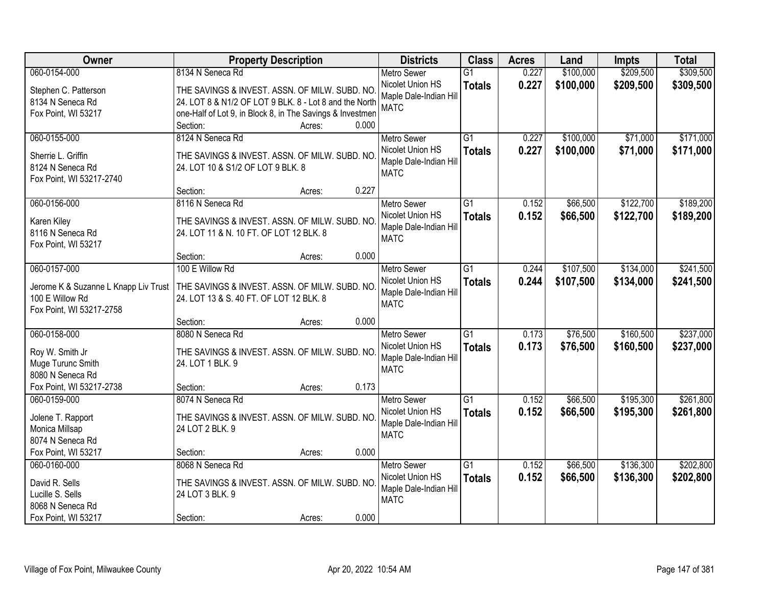| Owner                                | <b>Property Description</b>                               |       | <b>Districts</b>                      | <b>Class</b>    | <b>Acres</b> | Land      | <b>Impts</b> | <b>Total</b> |
|--------------------------------------|-----------------------------------------------------------|-------|---------------------------------------|-----------------|--------------|-----------|--------------|--------------|
| 060-0154-000                         | 8134 N Seneca Rd                                          |       | <b>Metro Sewer</b>                    | $\overline{G1}$ | 0.227        | \$100,000 | \$209,500    | \$309,500    |
| Stephen C. Patterson                 | THE SAVINGS & INVEST. ASSN. OF MILW. SUBD. NO             |       | Nicolet Union HS                      | <b>Totals</b>   | 0.227        | \$100,000 | \$209,500    | \$309,500    |
| 8134 N Seneca Rd                     | 24. LOT 8 & N1/2 OF LOT 9 BLK. 8 - Lot 8 and the North    |       | Maple Dale-Indian Hill                |                 |              |           |              |              |
| Fox Point, WI 53217                  | one-Half of Lot 9, in Block 8, in The Savings & Investmen |       | <b>MATC</b>                           |                 |              |           |              |              |
|                                      | Section:<br>Acres:                                        | 0.000 |                                       |                 |              |           |              |              |
| 060-0155-000                         | 8124 N Seneca Rd                                          |       | <b>Metro Sewer</b>                    | $\overline{G1}$ | 0.227        | \$100,000 | \$71,000     | \$171,000    |
| Sherrie L. Griffin                   | THE SAVINGS & INVEST. ASSN. OF MILW. SUBD. NO             |       | Nicolet Union HS                      | <b>Totals</b>   | 0.227        | \$100,000 | \$71,000     | \$171,000    |
| 8124 N Seneca Rd                     | 24. LOT 10 & S1/2 OF LOT 9 BLK. 8                         |       | Maple Dale-Indian Hill                |                 |              |           |              |              |
| Fox Point, WI 53217-2740             |                                                           |       | <b>MATC</b>                           |                 |              |           |              |              |
|                                      | Section:<br>Acres:                                        | 0.227 |                                       |                 |              |           |              |              |
| 060-0156-000                         | 8116 N Seneca Rd                                          |       | <b>Metro Sewer</b>                    | $\overline{G1}$ | 0.152        | \$66,500  | \$122,700    | \$189,200    |
|                                      |                                                           |       | Nicolet Union HS                      | <b>Totals</b>   | 0.152        | \$66,500  | \$122,700    | \$189,200    |
| Karen Kiley                          | THE SAVINGS & INVEST. ASSN. OF MILW. SUBD. NO             |       | Maple Dale-Indian Hill                |                 |              |           |              |              |
| 8116 N Seneca Rd                     | 24. LOT 11 & N. 10 FT. OF LOT 12 BLK. 8                   |       | <b>MATC</b>                           |                 |              |           |              |              |
| Fox Point, WI 53217                  | Section:<br>Acres:                                        | 0.000 |                                       |                 |              |           |              |              |
| 060-0157-000                         | 100 E Willow Rd                                           |       | <b>Metro Sewer</b>                    | $\overline{G1}$ | 0.244        | \$107,500 | \$134,000    | \$241,500    |
|                                      |                                                           |       | Nicolet Union HS                      | <b>Totals</b>   | 0.244        | \$107,500 | \$134,000    | \$241,500    |
| Jerome K & Suzanne L Knapp Liv Trust | THE SAVINGS & INVEST. ASSN. OF MILW. SUBD. NO             |       | Maple Dale-Indian Hill                |                 |              |           |              |              |
| 100 E Willow Rd                      | 24. LOT 13 & S. 40 FT. OF LOT 12 BLK. 8                   |       | <b>MATC</b>                           |                 |              |           |              |              |
| Fox Point, WI 53217-2758             |                                                           |       |                                       |                 |              |           |              |              |
|                                      | Section:<br>Acres:                                        | 0.000 |                                       |                 |              |           |              |              |
| 060-0158-000                         | 8080 N Seneca Rd                                          |       | <b>Metro Sewer</b>                    | $\overline{G1}$ | 0.173        | \$76,500  | \$160,500    | \$237,000    |
| Roy W. Smith Jr                      | THE SAVINGS & INVEST. ASSN. OF MILW. SUBD. NO             |       | Nicolet Union HS                      | <b>Totals</b>   | 0.173        | \$76,500  | \$160,500    | \$237,000    |
| Muge Turunc Smith                    | 24. LOT 1 BLK. 9                                          |       | Maple Dale-Indian Hill<br><b>MATC</b> |                 |              |           |              |              |
| 8080 N Seneca Rd                     |                                                           |       |                                       |                 |              |           |              |              |
| Fox Point, WI 53217-2738             | Section:<br>Acres:                                        | 0.173 |                                       |                 |              |           |              |              |
| 060-0159-000                         | 8074 N Seneca Rd                                          |       | Metro Sewer                           | $\overline{G1}$ | 0.152        | \$66,500  | \$195,300    | \$261,800    |
| Jolene T. Rapport                    | THE SAVINGS & INVEST. ASSN. OF MILW. SUBD. NO             |       | Nicolet Union HS                      | <b>Totals</b>   | 0.152        | \$66,500  | \$195,300    | \$261,800    |
| Monica Millsap                       | 24 LOT 2 BLK. 9                                           |       | Maple Dale-Indian Hill                |                 |              |           |              |              |
| 8074 N Seneca Rd                     |                                                           |       | <b>MATC</b>                           |                 |              |           |              |              |
| Fox Point, WI 53217                  | Section:<br>Acres:                                        | 0.000 |                                       |                 |              |           |              |              |
| 060-0160-000                         | 8068 N Seneca Rd                                          |       | <b>Metro Sewer</b>                    | $\overline{G1}$ | 0.152        | \$66,500  | \$136,300    | \$202,800    |
| David R. Sells                       | THE SAVINGS & INVEST. ASSN. OF MILW. SUBD. NO             |       | Nicolet Union HS                      | <b>Totals</b>   | 0.152        | \$66,500  | \$136,300    | \$202,800    |
| Lucille S. Sells                     | 24 LOT 3 BLK. 9                                           |       | Maple Dale-Indian Hill                |                 |              |           |              |              |
| 8068 N Seneca Rd                     |                                                           |       | <b>MATC</b>                           |                 |              |           |              |              |
| Fox Point, WI 53217                  | Section:<br>Acres:                                        | 0.000 |                                       |                 |              |           |              |              |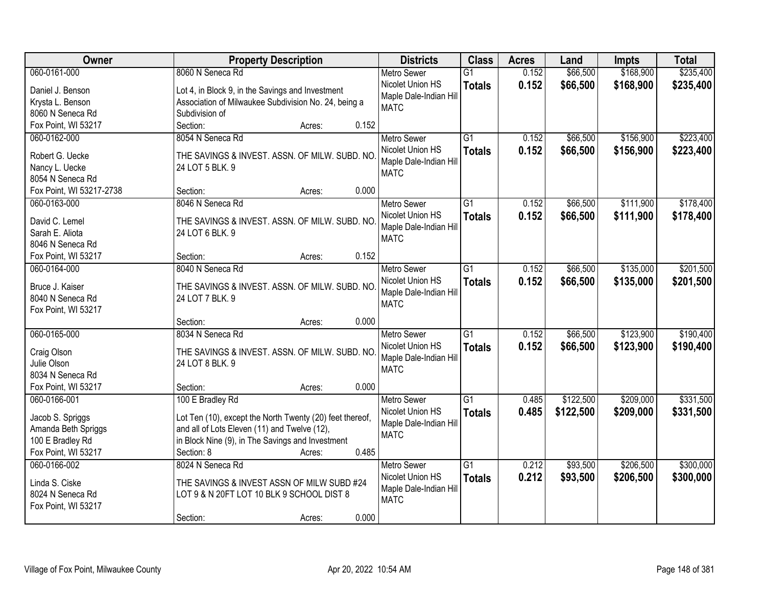| Owner                              | <b>Property Description</b>                              | <b>Districts</b>       | <b>Class</b>    | <b>Acres</b> | Land      | <b>Impts</b> | <b>Total</b> |
|------------------------------------|----------------------------------------------------------|------------------------|-----------------|--------------|-----------|--------------|--------------|
| 060-0161-000                       | 8060 N Seneca Rd                                         | <b>Metro Sewer</b>     | $\overline{G1}$ | 0.152        | \$66,500  | \$168,900    | \$235,400    |
| Daniel J. Benson                   | Lot 4, in Block 9, in the Savings and Investment         | Nicolet Union HS       | <b>Totals</b>   | 0.152        | \$66,500  | \$168,900    | \$235,400    |
| Krysta L. Benson                   | Association of Milwaukee Subdivision No. 24, being a     | Maple Dale-Indian Hill |                 |              |           |              |              |
| 8060 N Seneca Rd                   | Subdivision of                                           | <b>MATC</b>            |                 |              |           |              |              |
| Fox Point, WI 53217                | Section:<br>0.152<br>Acres:                              |                        |                 |              |           |              |              |
| 060-0162-000                       | 8054 N Seneca Rd                                         | <b>Metro Sewer</b>     | $\overline{G1}$ | 0.152        | \$66,500  | \$156,900    | \$223,400    |
|                                    |                                                          | Nicolet Union HS       | <b>Totals</b>   | 0.152        | \$66,500  | \$156,900    | \$223,400    |
| Robert G. Uecke                    | THE SAVINGS & INVEST. ASSN. OF MILW. SUBD. NO            | Maple Dale-Indian Hill |                 |              |           |              |              |
| Nancy L. Uecke<br>8054 N Seneca Rd | 24 LOT 5 BLK. 9                                          | <b>MATC</b>            |                 |              |           |              |              |
| Fox Point, WI 53217-2738           | 0.000<br>Section:<br>Acres:                              |                        |                 |              |           |              |              |
| 060-0163-000                       | 8046 N Seneca Rd                                         | <b>Metro Sewer</b>     | $\overline{G1}$ | 0.152        | \$66,500  | \$111,900    | \$178,400    |
|                                    |                                                          | Nicolet Union HS       |                 |              |           |              |              |
| David C. Lemel                     | THE SAVINGS & INVEST. ASSN. OF MILW. SUBD. NO            | Maple Dale-Indian Hill | <b>Totals</b>   | 0.152        | \$66,500  | \$111,900    | \$178,400    |
| Sarah E. Aliota                    | 24 LOT 6 BLK. 9                                          | <b>MATC</b>            |                 |              |           |              |              |
| 8046 N Seneca Rd                   |                                                          |                        |                 |              |           |              |              |
| Fox Point, WI 53217                | 0.152<br>Section:<br>Acres:                              |                        |                 |              |           |              |              |
| 060-0164-000                       | 8040 N Seneca Rd                                         | <b>Metro Sewer</b>     | $\overline{G1}$ | 0.152        | \$66,500  | \$135,000    | \$201,500    |
| Bruce J. Kaiser                    | THE SAVINGS & INVEST. ASSN. OF MILW. SUBD. NO.           | Nicolet Union HS       | <b>Totals</b>   | 0.152        | \$66,500  | \$135,000    | \$201,500    |
| 8040 N Seneca Rd                   | 24 LOT 7 BLK. 9                                          | Maple Dale-Indian Hill |                 |              |           |              |              |
| Fox Point, WI 53217                |                                                          | <b>MATC</b>            |                 |              |           |              |              |
|                                    | 0.000<br>Section:<br>Acres:                              |                        |                 |              |           |              |              |
| 060-0165-000                       | 8034 N Seneca Rd                                         | Metro Sewer            | $\overline{G1}$ | 0.152        | \$66,500  | \$123,900    | \$190,400    |
|                                    |                                                          | Nicolet Union HS       | <b>Totals</b>   | 0.152        | \$66,500  | \$123,900    | \$190,400    |
| Craig Olson                        | THE SAVINGS & INVEST. ASSN. OF MILW. SUBD. NO            | Maple Dale-Indian Hill |                 |              |           |              |              |
| Julie Olson                        | 24 LOT 8 BLK. 9                                          | <b>MATC</b>            |                 |              |           |              |              |
| 8034 N Seneca Rd                   |                                                          |                        |                 |              |           |              |              |
| Fox Point, WI 53217                | Section:<br>0.000<br>Acres:                              |                        |                 |              |           |              |              |
| 060-0166-001                       | 100 E Bradley Rd                                         | <b>Metro Sewer</b>     | $\overline{G1}$ | 0.485        | \$122,500 | \$209,000    | \$331,500    |
| Jacob S. Spriggs                   | Lot Ten (10), except the North Twenty (20) feet thereof, | Nicolet Union HS       | <b>Totals</b>   | 0.485        | \$122,500 | \$209,000    | \$331,500    |
| Amanda Beth Spriggs                | and all of Lots Eleven (11) and Twelve (12),             | Maple Dale-Indian Hill |                 |              |           |              |              |
| 100 E Bradley Rd                   | in Block Nine (9), in The Savings and Investment         | <b>MATC</b>            |                 |              |           |              |              |
| Fox Point, WI 53217                | 0.485<br>Section: 8<br>Acres:                            |                        |                 |              |           |              |              |
| 060-0166-002                       | 8024 N Seneca Rd                                         | <b>Metro Sewer</b>     | $\overline{G1}$ | 0.212        | \$93,500  | \$206,500    | \$300,000    |
|                                    |                                                          | Nicolet Union HS       | <b>Totals</b>   | 0.212        | \$93,500  | \$206,500    | \$300,000    |
| Linda S. Ciske                     | THE SAVINGS & INVEST ASSN OF MILW SUBD #24               | Maple Dale-Indian Hill |                 |              |           |              |              |
| 8024 N Seneca Rd                   | LOT 9 & N 20FT LOT 10 BLK 9 SCHOOL DIST 8                | <b>MATC</b>            |                 |              |           |              |              |
| Fox Point, WI 53217                |                                                          |                        |                 |              |           |              |              |
|                                    | 0.000<br>Section:<br>Acres:                              |                        |                 |              |           |              |              |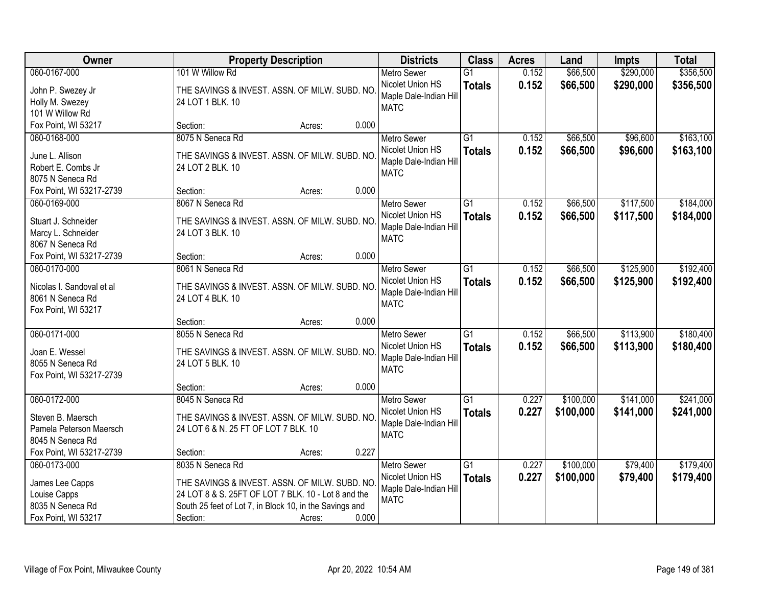| Owner                     | <b>Property Description</b>                             |                 | <b>Districts</b>                      | <b>Class</b>    | <b>Acres</b> | Land      | <b>Impts</b> | <b>Total</b> |
|---------------------------|---------------------------------------------------------|-----------------|---------------------------------------|-----------------|--------------|-----------|--------------|--------------|
| 060-0167-000              | 101 W Willow Rd                                         |                 | <b>Metro Sewer</b>                    | $\overline{G1}$ | 0.152        | \$66,500  | \$290,000    | \$356,500    |
| John P. Swezey Jr         | THE SAVINGS & INVEST. ASSN. OF MILW. SUBD. NO           |                 | Nicolet Union HS                      | <b>Totals</b>   | 0.152        | \$66,500  | \$290,000    | \$356,500    |
| Holly M. Swezey           | 24 LOT 1 BLK. 10                                        |                 | Maple Dale-Indian Hill                |                 |              |           |              |              |
| 101 W Willow Rd           |                                                         |                 | <b>MATC</b>                           |                 |              |           |              |              |
| Fox Point, WI 53217       | Section:                                                | 0.000<br>Acres: |                                       |                 |              |           |              |              |
| 060-0168-000              | 8075 N Seneca Rd                                        |                 | <b>Metro Sewer</b>                    | $\overline{G1}$ | 0.152        | \$66,500  | \$96,600     | \$163,100    |
| June L. Allison           | THE SAVINGS & INVEST. ASSN. OF MILW. SUBD. NO           |                 | Nicolet Union HS                      | <b>Totals</b>   | 0.152        | \$66,500  | \$96,600     | \$163,100    |
| Robert E. Combs Jr        | 24 LOT 2 BLK. 10                                        |                 | Maple Dale-Indian Hill                |                 |              |           |              |              |
| 8075 N Seneca Rd          |                                                         |                 | <b>MATC</b>                           |                 |              |           |              |              |
| Fox Point, WI 53217-2739  | Section:                                                | 0.000<br>Acres: |                                       |                 |              |           |              |              |
| 060-0169-000              | 8067 N Seneca Rd                                        |                 | Metro Sewer                           | $\overline{G1}$ | 0.152        | \$66,500  | \$117,500    | \$184,000    |
| Stuart J. Schneider       | THE SAVINGS & INVEST. ASSN. OF MILW. SUBD. NO           |                 | Nicolet Union HS                      | <b>Totals</b>   | 0.152        | \$66,500  | \$117,500    | \$184,000    |
| Marcy L. Schneider        | 24 LOT 3 BLK. 10                                        |                 | Maple Dale-Indian Hill                |                 |              |           |              |              |
| 8067 N Seneca Rd          |                                                         |                 | <b>MATC</b>                           |                 |              |           |              |              |
| Fox Point, WI 53217-2739  | Section:                                                | 0.000<br>Acres: |                                       |                 |              |           |              |              |
| 060-0170-000              | 8061 N Seneca Rd                                        |                 | <b>Metro Sewer</b>                    | $\overline{G1}$ | 0.152        | \$66,500  | \$125,900    | \$192,400    |
|                           |                                                         |                 | Nicolet Union HS                      | <b>Totals</b>   | 0.152        | \$66,500  | \$125,900    | \$192,400    |
| Nicolas I. Sandoval et al | THE SAVINGS & INVEST. ASSN. OF MILW. SUBD. NO           |                 | Maple Dale-Indian Hill                |                 |              |           |              |              |
| 8061 N Seneca Rd          | 24 LOT 4 BLK. 10                                        |                 | <b>MATC</b>                           |                 |              |           |              |              |
| Fox Point, WI 53217       | Section:                                                | 0.000<br>Acres: |                                       |                 |              |           |              |              |
| 060-0171-000              | 8055 N Seneca Rd                                        |                 | <b>Metro Sewer</b>                    | $\overline{G1}$ | 0.152        | \$66,500  | \$113,900    | \$180,400    |
|                           |                                                         |                 | Nicolet Union HS                      | <b>Totals</b>   | 0.152        | \$66,500  | \$113,900    | \$180,400    |
| Joan E. Wessel            | THE SAVINGS & INVEST. ASSN. OF MILW. SUBD. NO           |                 | Maple Dale-Indian Hill                |                 |              |           |              |              |
| 8055 N Seneca Rd          | 24 LOT 5 BLK. 10                                        |                 | <b>MATC</b>                           |                 |              |           |              |              |
| Fox Point, WI 53217-2739  |                                                         |                 |                                       |                 |              |           |              |              |
|                           | Section:                                                | 0.000<br>Acres: |                                       |                 |              |           |              |              |
| 060-0172-000              | 8045 N Seneca Rd                                        |                 | Metro Sewer                           | G1              | 0.227        | \$100,000 | \$141,000    | \$241,000    |
| Steven B. Maersch         | THE SAVINGS & INVEST. ASSN. OF MILW. SUBD. NO           |                 | Nicolet Union HS                      | <b>Totals</b>   | 0.227        | \$100,000 | \$141,000    | \$241,000    |
| Pamela Peterson Maersch   | 24 LOT 6 & N. 25 FT OF LOT 7 BLK. 10                    |                 | Maple Dale-Indian Hill<br><b>MATC</b> |                 |              |           |              |              |
| 8045 N Seneca Rd          |                                                         |                 |                                       |                 |              |           |              |              |
| Fox Point, WI 53217-2739  | Section:                                                | 0.227<br>Acres: |                                       |                 |              |           |              |              |
| 060-0173-000              | 8035 N Seneca Rd                                        |                 | <b>Metro Sewer</b>                    | $\overline{G1}$ | 0.227        | \$100,000 | \$79,400     | \$179,400    |
| James Lee Capps           | THE SAVINGS & INVEST. ASSN. OF MILW. SUBD. NO           |                 | Nicolet Union HS                      | <b>Totals</b>   | 0.227        | \$100,000 | \$79,400     | \$179,400    |
| Louise Capps              | 24 LOT 8 & S. 25FT OF LOT 7 BLK. 10 - Lot 8 and the     |                 | Maple Dale-Indian Hill                |                 |              |           |              |              |
| 8035 N Seneca Rd          | South 25 feet of Lot 7, in Block 10, in the Savings and |                 | <b>MATC</b>                           |                 |              |           |              |              |
| Fox Point, WI 53217       | Section:                                                | 0.000<br>Acres: |                                       |                 |              |           |              |              |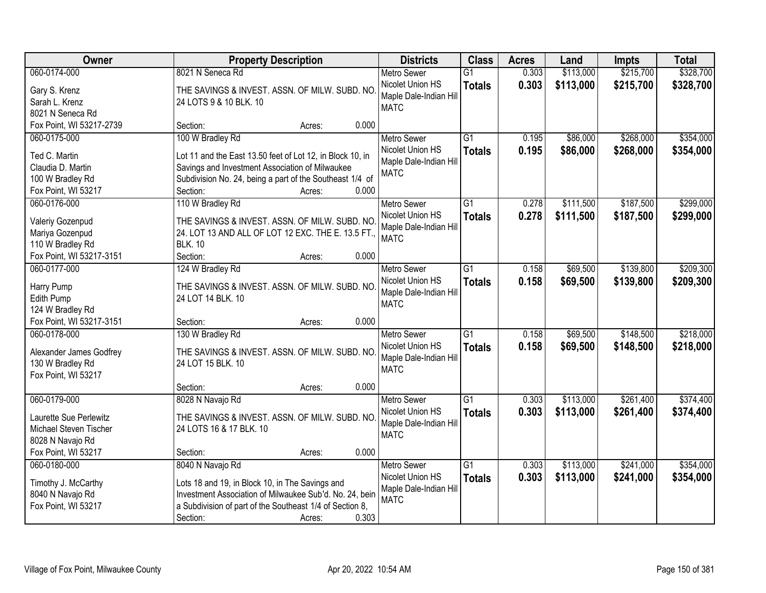| Owner                                            | <b>Property Description</b>                                       | <b>Districts</b>       | <b>Class</b>    | <b>Acres</b> | Land      | <b>Impts</b> | <b>Total</b> |
|--------------------------------------------------|-------------------------------------------------------------------|------------------------|-----------------|--------------|-----------|--------------|--------------|
| 060-0174-000                                     | 8021 N Seneca Rd                                                  | <b>Metro Sewer</b>     | $\overline{G1}$ | 0.303        | \$113,000 | \$215,700    | \$328,700    |
| Gary S. Krenz                                    | THE SAVINGS & INVEST. ASSN. OF MILW. SUBD. NO                     | Nicolet Union HS       | <b>Totals</b>   | 0.303        | \$113,000 | \$215,700    | \$328,700    |
| Sarah L. Krenz                                   | 24 LOTS 9 & 10 BLK. 10                                            | Maple Dale-Indian Hill |                 |              |           |              |              |
| 8021 N Seneca Rd                                 |                                                                   | <b>MATC</b>            |                 |              |           |              |              |
| Fox Point, WI 53217-2739                         | 0.000<br>Section:<br>Acres:                                       |                        |                 |              |           |              |              |
| 060-0175-000                                     | 100 W Bradley Rd                                                  | <b>Metro Sewer</b>     | $\overline{G1}$ | 0.195        | \$86,000  | \$268,000    | \$354,000    |
|                                                  |                                                                   | Nicolet Union HS       | <b>Totals</b>   | 0.195        | \$86,000  | \$268,000    | \$354,000    |
| Ted C. Martin<br>Claudia D. Martin               | Lot 11 and the East 13.50 feet of Lot 12, in Block 10, in         | Maple Dale-Indian Hill |                 |              |           |              |              |
|                                                  | Savings and Investment Association of Milwaukee                   | <b>MATC</b>            |                 |              |           |              |              |
| 100 W Bradley Rd                                 | Subdivision No. 24, being a part of the Southeast 1/4 of<br>0.000 |                        |                 |              |           |              |              |
| Fox Point, WI 53217                              | Section:<br>Acres:                                                |                        |                 |              |           |              |              |
| 060-0176-000                                     | 110 W Bradley Rd                                                  | Metro Sewer            | $\overline{G1}$ | 0.278        | \$111,500 | \$187,500    | \$299,000    |
| Valeriy Gozenpud                                 | THE SAVINGS & INVEST. ASSN. OF MILW. SUBD. NO                     | Nicolet Union HS       | <b>Totals</b>   | 0.278        | \$111,500 | \$187,500    | \$299,000    |
| Mariya Gozenpud                                  | 24. LOT 13 AND ALL OF LOT 12 EXC. THE E. 13.5 FT.,                | Maple Dale-Indian Hill |                 |              |           |              |              |
| 110 W Bradley Rd                                 | <b>BLK. 10</b>                                                    | <b>MATC</b>            |                 |              |           |              |              |
| Fox Point, WI 53217-3151                         | Section:<br>0.000<br>Acres:                                       |                        |                 |              |           |              |              |
| 060-0177-000                                     | 124 W Bradley Rd                                                  | <b>Metro Sewer</b>     | $\overline{G1}$ | 0.158        | \$69,500  | \$139,800    | \$209,300    |
|                                                  |                                                                   | Nicolet Union HS       | <b>Totals</b>   | 0.158        | \$69,500  | \$139,800    | \$209,300    |
| Harry Pump                                       | THE SAVINGS & INVEST. ASSN. OF MILW. SUBD. NO                     | Maple Dale-Indian Hill |                 |              |           |              |              |
| Edith Pump                                       | 24 LOT 14 BLK. 10                                                 | <b>MATC</b>            |                 |              |           |              |              |
| 124 W Bradley Rd                                 |                                                                   |                        |                 |              |           |              |              |
| Fox Point, WI 53217-3151                         | 0.000<br>Section:<br>Acres:                                       |                        |                 |              |           |              |              |
| 060-0178-000                                     | 130 W Bradley Rd                                                  | <b>Metro Sewer</b>     | $\overline{G1}$ | 0.158        | \$69,500  | \$148,500    | \$218,000    |
| Alexander James Godfrey                          | THE SAVINGS & INVEST. ASSN. OF MILW. SUBD. NO                     | Nicolet Union HS       | <b>Totals</b>   | 0.158        | \$69,500  | \$148,500    | \$218,000    |
| 130 W Bradley Rd                                 | 24 LOT 15 BLK. 10                                                 | Maple Dale-Indian Hill |                 |              |           |              |              |
| Fox Point, WI 53217                              |                                                                   | <b>MATC</b>            |                 |              |           |              |              |
|                                                  | 0.000<br>Section:<br>Acres:                                       |                        |                 |              |           |              |              |
| 060-0179-000                                     | 8028 N Navajo Rd                                                  | Metro Sewer            | $\overline{G1}$ | 0.303        | \$113,000 | \$261,400    | \$374,400    |
|                                                  | THE SAVINGS & INVEST. ASSN. OF MILW. SUBD. NO                     | Nicolet Union HS       | <b>Totals</b>   | 0.303        | \$113,000 | \$261,400    | \$374,400    |
| Laurette Sue Perlewitz<br>Michael Steven Tischer | 24 LOTS 16 & 17 BLK. 10                                           | Maple Dale-Indian Hill |                 |              |           |              |              |
|                                                  |                                                                   | <b>MATC</b>            |                 |              |           |              |              |
| 8028 N Navajo Rd<br>Fox Point, WI 53217          | 0.000                                                             |                        |                 |              |           |              |              |
|                                                  | Section:<br>Acres:                                                |                        |                 |              |           |              |              |
| 060-0180-000                                     | 8040 N Navajo Rd                                                  | <b>Metro Sewer</b>     | $\overline{G1}$ | 0.303        | \$113,000 | \$241,000    | \$354,000    |
| Timothy J. McCarthy                              | Lots 18 and 19, in Block 10, in The Savings and                   | Nicolet Union HS       | <b>Totals</b>   | 0.303        | \$113,000 | \$241,000    | \$354,000    |
| 8040 N Navajo Rd                                 | Investment Association of Milwaukee Sub'd. No. 24, bein           | Maple Dale-Indian Hill |                 |              |           |              |              |
| Fox Point, WI 53217                              | a Subdivision of part of the Southeast 1/4 of Section 8,          | <b>MATC</b>            |                 |              |           |              |              |
|                                                  | 0.303<br>Section:<br>Acres:                                       |                        |                 |              |           |              |              |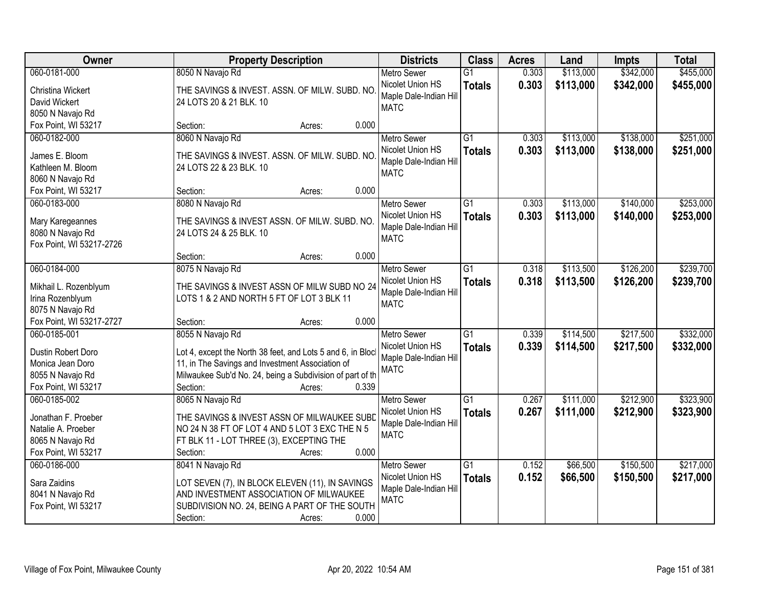| Owner                    | <b>Property Description</b>                                 | <b>Districts</b>                           | <b>Class</b>    | <b>Acres</b> | Land      | <b>Impts</b> | <b>Total</b> |
|--------------------------|-------------------------------------------------------------|--------------------------------------------|-----------------|--------------|-----------|--------------|--------------|
| 060-0181-000             | 8050 N Navajo Rd                                            | <b>Metro Sewer</b>                         | $\overline{G1}$ | 0.303        | \$113,000 | \$342,000    | \$455,000    |
| Christina Wickert        | THE SAVINGS & INVEST. ASSN. OF MILW. SUBD. NO               | Nicolet Union HS                           | <b>Totals</b>   | 0.303        | \$113,000 | \$342,000    | \$455,000    |
| David Wickert            | 24 LOTS 20 & 21 BLK. 10                                     | Maple Dale-Indian Hill                     |                 |              |           |              |              |
| 8050 N Navajo Rd         |                                                             | <b>MATC</b>                                |                 |              |           |              |              |
| Fox Point, WI 53217      | 0.000<br>Section:<br>Acres:                                 |                                            |                 |              |           |              |              |
| 060-0182-000             | 8060 N Navajo Rd                                            | <b>Metro Sewer</b>                         | $\overline{G1}$ | 0.303        | \$113,000 | \$138,000    | \$251,000    |
| James E. Bloom           | THE SAVINGS & INVEST. ASSN. OF MILW. SUBD. NO               | Nicolet Union HS                           | <b>Totals</b>   | 0.303        | \$113,000 | \$138,000    | \$251,000    |
| Kathleen M. Bloom        | 24 LOTS 22 & 23 BLK. 10                                     | Maple Dale-Indian Hill                     |                 |              |           |              |              |
| 8060 N Navajo Rd         |                                                             | <b>MATC</b>                                |                 |              |           |              |              |
| Fox Point, WI 53217      | 0.000<br>Section:<br>Acres:                                 |                                            |                 |              |           |              |              |
| 060-0183-000             | 8080 N Navajo Rd                                            | <b>Metro Sewer</b>                         | G1              | 0.303        | \$113,000 | \$140,000    | \$253,000    |
|                          |                                                             | Nicolet Union HS                           | <b>Totals</b>   | 0.303        | \$113,000 | \$140,000    | \$253,000    |
| Mary Karegeannes         | THE SAVINGS & INVEST ASSN. OF MILW. SUBD. NO.               | Maple Dale-Indian Hill                     |                 |              |           |              |              |
| 8080 N Navajo Rd         | 24 LOTS 24 & 25 BLK. 10                                     | <b>MATC</b>                                |                 |              |           |              |              |
| Fox Point, WI 53217-2726 |                                                             |                                            |                 |              |           |              |              |
|                          | 0.000<br>Section:<br>Acres:                                 |                                            |                 |              |           |              |              |
| 060-0184-000             | 8075 N Navajo Rd                                            | <b>Metro Sewer</b>                         | G1              | 0.318        | \$113,500 | \$126,200    | \$239,700    |
| Mikhail L. Rozenblyum    | THE SAVINGS & INVEST ASSN OF MILW SUBD NO 24                | Nicolet Union HS<br>Maple Dale-Indian Hill | <b>Totals</b>   | 0.318        | \$113,500 | \$126,200    | \$239,700    |
| Irina Rozenblyum         | LOTS 1 & 2 AND NORTH 5 FT OF LOT 3 BLK 11                   | <b>MATC</b>                                |                 |              |           |              |              |
| 8075 N Navajo Rd         |                                                             |                                            |                 |              |           |              |              |
| Fox Point, WI 53217-2727 | 0.000<br>Section:<br>Acres:                                 |                                            |                 |              |           |              |              |
| 060-0185-001             | 8055 N Navajo Rd                                            | <b>Metro Sewer</b>                         | $\overline{G1}$ | 0.339        | \$114,500 | \$217,500    | \$332,000    |
| Dustin Robert Doro       | Lot 4, except the North 38 feet, and Lots 5 and 6, in Block | Nicolet Union HS                           | <b>Totals</b>   | 0.339        | \$114,500 | \$217,500    | \$332,000    |
| Monica Jean Doro         | 11, in The Savings and Investment Association of            | Maple Dale-Indian Hill                     |                 |              |           |              |              |
| 8055 N Navajo Rd         | Milwaukee Sub'd No. 24, being a Subdivision of part of th   | <b>MATC</b>                                |                 |              |           |              |              |
| Fox Point, WI 53217      | 0.339<br>Section:<br>Acres:                                 |                                            |                 |              |           |              |              |
| 060-0185-002             | 8065 N Navajo Rd                                            | <b>Metro Sewer</b>                         | $\overline{G1}$ | 0.267        | \$111,000 | \$212,900    | \$323,900    |
| Jonathan F. Proeber      | THE SAVINGS & INVEST ASSN OF MILWAUKEE SUBD                 | Nicolet Union HS                           | <b>Totals</b>   | 0.267        | \$111,000 | \$212,900    | \$323,900    |
| Natalie A. Proeber       | NO 24 N 38 FT OF LOT 4 AND 5 LOT 3 EXC THE N 5              | Maple Dale-Indian Hill                     |                 |              |           |              |              |
| 8065 N Navajo Rd         | FT BLK 11 - LOT THREE (3), EXCEPTING THE                    | <b>MATC</b>                                |                 |              |           |              |              |
| Fox Point, WI 53217      | 0.000<br>Section:<br>Acres:                                 |                                            |                 |              |           |              |              |
| 060-0186-000             | 8041 N Navajo Rd                                            | <b>Metro Sewer</b>                         | $\overline{G1}$ | 0.152        | \$66,500  | \$150,500    | \$217,000    |
|                          |                                                             | Nicolet Union HS                           | <b>Totals</b>   | 0.152        | \$66,500  | \$150,500    | \$217,000    |
| Sara Zaidins             | LOT SEVEN (7), IN BLOCK ELEVEN (11), IN SAVINGS             | Maple Dale-Indian Hill                     |                 |              |           |              |              |
| 8041 N Navajo Rd         | AND INVESTMENT ASSOCIATION OF MILWAUKEE                     | <b>MATC</b>                                |                 |              |           |              |              |
| Fox Point, WI 53217      | SUBDIVISION NO. 24, BEING A PART OF THE SOUTH               |                                            |                 |              |           |              |              |
|                          | 0.000<br>Section:<br>Acres:                                 |                                            |                 |              |           |              |              |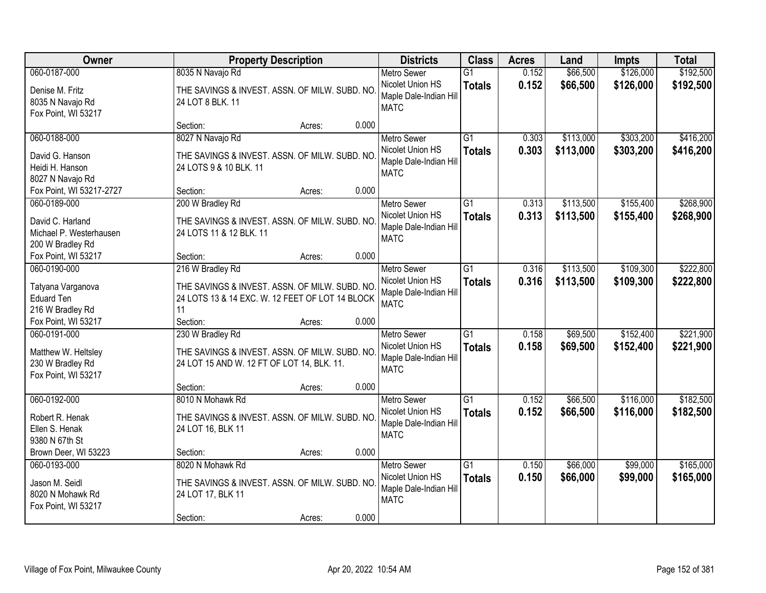| Owner                                                                           | <b>Property Description</b>                                                                                                |       | <b>Districts</b>                                                                | <b>Class</b>                     | <b>Acres</b>   | Land                   | <b>Impts</b>           | <b>Total</b>           |
|---------------------------------------------------------------------------------|----------------------------------------------------------------------------------------------------------------------------|-------|---------------------------------------------------------------------------------|----------------------------------|----------------|------------------------|------------------------|------------------------|
| 060-0187-000                                                                    | 8035 N Navajo Rd                                                                                                           |       | <b>Metro Sewer</b>                                                              | $\overline{G1}$                  | 0.152          | \$66,500               | \$126,000              | \$192,500              |
| Denise M. Fritz<br>8035 N Navajo Rd<br>Fox Point, WI 53217                      | THE SAVINGS & INVEST. ASSN. OF MILW. SUBD. NO<br>24 LOT 8 BLK. 11                                                          |       | Nicolet Union HS<br>Maple Dale-Indian Hill<br><b>MATC</b>                       | <b>Totals</b>                    | 0.152          | \$66,500               | \$126,000              | \$192,500              |
|                                                                                 | Section:<br>Acres:                                                                                                         | 0.000 |                                                                                 |                                  |                |                        |                        |                        |
| 060-0188-000<br>David G. Hanson<br>Heidi H. Hanson<br>8027 N Navajo Rd          | 8027 N Navajo Rd<br>THE SAVINGS & INVEST. ASSN. OF MILW. SUBD. NO<br>24 LOTS 9 & 10 BLK. 11                                |       | <b>Metro Sewer</b><br>Nicolet Union HS<br>Maple Dale-Indian Hill<br><b>MATC</b> | $\overline{G1}$<br><b>Totals</b> | 0.303<br>0.303 | \$113,000<br>\$113,000 | \$303,200<br>\$303,200 | \$416,200<br>\$416,200 |
| Fox Point, WI 53217-2727                                                        | Section:<br>Acres:                                                                                                         | 0.000 |                                                                                 |                                  |                |                        |                        |                        |
| 060-0189-000<br>David C. Harland<br>Michael P. Westerhausen<br>200 W Bradley Rd | 200 W Bradley Rd<br>THE SAVINGS & INVEST. ASSN. OF MILW. SUBD. NO<br>24 LOTS 11 & 12 BLK. 11                               |       | <b>Metro Sewer</b><br>Nicolet Union HS<br>Maple Dale-Indian Hill<br><b>MATC</b> | $\overline{G1}$<br><b>Totals</b> | 0.313<br>0.313 | \$113,500<br>\$113,500 | \$155,400<br>\$155,400 | \$268,900<br>\$268,900 |
| Fox Point, WI 53217                                                             | Section:<br>Acres:                                                                                                         | 0.000 |                                                                                 |                                  |                |                        |                        |                        |
| 060-0190-000<br>Tatyana Varganova<br><b>Eduard Ten</b><br>216 W Bradley Rd      | 216 W Bradley Rd<br>THE SAVINGS & INVEST. ASSN. OF MILW. SUBD. NO<br>24 LOTS 13 & 14 EXC. W. 12 FEET OF LOT 14 BLOCK<br>11 |       | <b>Metro Sewer</b><br>Nicolet Union HS<br>Maple Dale-Indian Hill<br><b>MATC</b> | $\overline{G1}$<br><b>Totals</b> | 0.316<br>0.316 | \$113,500<br>\$113,500 | \$109,300<br>\$109,300 | \$222,800<br>\$222,800 |
| Fox Point, WI 53217                                                             | Section:<br>Acres:                                                                                                         | 0.000 |                                                                                 |                                  |                |                        |                        |                        |
| 060-0191-000<br>Matthew W. Heltsley<br>230 W Bradley Rd<br>Fox Point, WI 53217  | 230 W Bradley Rd<br>THE SAVINGS & INVEST. ASSN. OF MILW. SUBD. NO<br>24 LOT 15 AND W. 12 FT OF LOT 14, BLK. 11.            |       | <b>Metro Sewer</b><br>Nicolet Union HS<br>Maple Dale-Indian Hill<br><b>MATC</b> | $\overline{G1}$<br><b>Totals</b> | 0.158<br>0.158 | \$69,500<br>\$69,500   | \$152,400<br>\$152,400 | \$221,900<br>\$221,900 |
|                                                                                 | Section:<br>Acres:                                                                                                         | 0.000 |                                                                                 |                                  |                |                        |                        |                        |
| 060-0192-000<br>Robert R. Henak<br>Ellen S. Henak<br>9380 N 67th St             | 8010 N Mohawk Rd<br>THE SAVINGS & INVEST. ASSN. OF MILW. SUBD. NO<br>24 LOT 16, BLK 11                                     |       | Metro Sewer<br>Nicolet Union HS<br>Maple Dale-Indian Hill<br><b>MATC</b>        | G1<br><b>Totals</b>              | 0.152<br>0.152 | \$66,500<br>\$66,500   | \$116,000<br>\$116,000 | \$182,500<br>\$182,500 |
| Brown Deer, WI 53223                                                            | Section:<br>Acres:                                                                                                         | 0.000 |                                                                                 |                                  |                |                        |                        |                        |
| 060-0193-000<br>Jason M. Seidl<br>8020 N Mohawk Rd<br>Fox Point, WI 53217       | 8020 N Mohawk Rd<br>THE SAVINGS & INVEST. ASSN. OF MILW. SUBD. NO<br>24 LOT 17, BLK 11<br>Section:<br>Acres:               | 0.000 | <b>Metro Sewer</b><br>Nicolet Union HS<br>Maple Dale-Indian Hill<br><b>MATC</b> | G1<br><b>Totals</b>              | 0.150<br>0.150 | \$66,000<br>\$66,000   | \$99,000<br>\$99,000   | \$165,000<br>\$165,000 |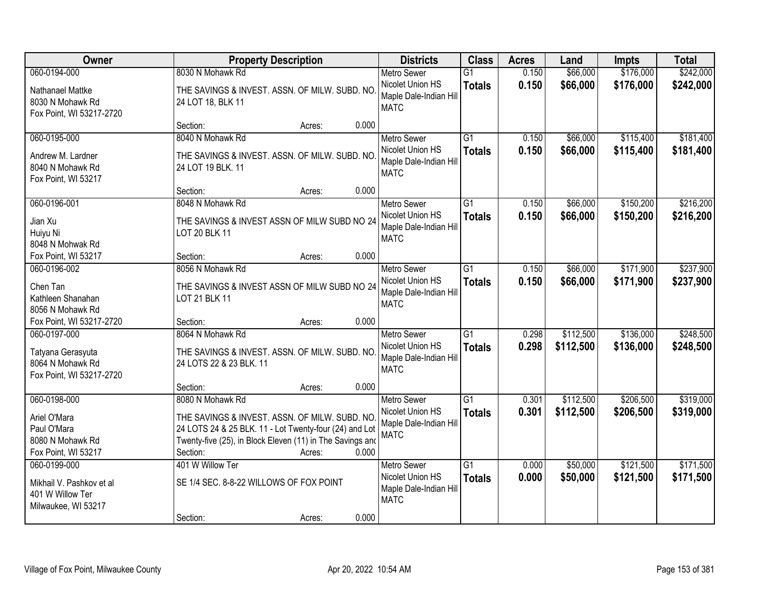| Owner                                                                                  | <b>Property Description</b>                                                                                                                                                                                             | <b>Districts</b>                                                                | <b>Class</b>                     | <b>Acres</b>   | Land                   | <b>Impts</b>           | <b>Total</b>           |
|----------------------------------------------------------------------------------------|-------------------------------------------------------------------------------------------------------------------------------------------------------------------------------------------------------------------------|---------------------------------------------------------------------------------|----------------------------------|----------------|------------------------|------------------------|------------------------|
| 060-0194-000                                                                           | 8030 N Mohawk Rd                                                                                                                                                                                                        | <b>Metro Sewer</b>                                                              | $\overline{G1}$                  | 0.150          | \$66,000               | \$176,000              | \$242,000              |
| Nathanael Mattke<br>8030 N Mohawk Rd<br>Fox Point, WI 53217-2720                       | THE SAVINGS & INVEST. ASSN. OF MILW. SUBD. NO<br>24 LOT 18, BLK 11                                                                                                                                                      | Nicolet Union HS<br>Maple Dale-Indian Hill<br><b>MATC</b>                       | <b>Totals</b>                    | 0.150          | \$66,000               | \$176,000              | \$242,000              |
|                                                                                        | 0.000<br>Section:<br>Acres:                                                                                                                                                                                             |                                                                                 |                                  |                |                        |                        |                        |
| 060-0195-000<br>Andrew M. Lardner<br>8040 N Mohawk Rd                                  | 8040 N Mohawk Rd<br>THE SAVINGS & INVEST. ASSN. OF MILW. SUBD. NO<br>24 LOT 19 BLK. 11                                                                                                                                  | <b>Metro Sewer</b><br>Nicolet Union HS<br>Maple Dale-Indian Hill                | $\overline{G1}$<br><b>Totals</b> | 0.150<br>0.150 | \$66,000<br>\$66,000   | \$115,400<br>\$115,400 | \$181,400<br>\$181,400 |
| Fox Point, WI 53217                                                                    | 0.000<br>Section:<br>Acres:                                                                                                                                                                                             | <b>MATC</b>                                                                     |                                  |                |                        |                        |                        |
| 060-0196-001                                                                           | 8048 N Mohawk Rd                                                                                                                                                                                                        | <b>Metro Sewer</b>                                                              | G1                               | 0.150          | \$66,000               | \$150,200              | \$216,200              |
| Jian Xu<br>Huiyu Ni<br>8048 N Mohwak Rd                                                | THE SAVINGS & INVEST ASSN OF MILW SUBD NO 24<br>LOT 20 BLK 11                                                                                                                                                           | Nicolet Union HS<br>Maple Dale-Indian Hill<br><b>MATC</b>                       | <b>Totals</b>                    | 0.150          | \$66,000               | \$150,200              | \$216,200              |
| Fox Point, WI 53217                                                                    | 0.000<br>Section:<br>Acres:                                                                                                                                                                                             |                                                                                 |                                  |                |                        |                        |                        |
| 060-0196-002                                                                           | 8056 N Mohawk Rd                                                                                                                                                                                                        | <b>Metro Sewer</b>                                                              | G1                               | 0.150          | \$66,000               | \$171,900              | \$237,900              |
| Chen Tan<br>Kathleen Shanahan<br>8056 N Mohawk Rd                                      | THE SAVINGS & INVEST ASSN OF MILW SUBD NO 24<br>LOT 21 BLK 11                                                                                                                                                           | Nicolet Union HS<br>Maple Dale-Indian Hill<br><b>MATC</b>                       | <b>Totals</b>                    | 0.150          | \$66,000               | \$171,900              | \$237,900              |
| Fox Point, WI 53217-2720                                                               | 0.000<br>Section:<br>Acres:                                                                                                                                                                                             |                                                                                 |                                  |                |                        |                        |                        |
| 060-0197-000<br>Tatyana Gerasyuta<br>8064 N Mohawk Rd<br>Fox Point, WI 53217-2720      | 8064 N Mohawk Rd<br>THE SAVINGS & INVEST. ASSN. OF MILW. SUBD. NO<br>24 LOTS 22 & 23 BLK. 11                                                                                                                            | <b>Metro Sewer</b><br>Nicolet Union HS<br>Maple Dale-Indian Hill<br><b>MATC</b> | $\overline{G1}$<br><b>Totals</b> | 0.298<br>0.298 | \$112,500<br>\$112,500 | \$136,000<br>\$136,000 | \$248,500<br>\$248,500 |
|                                                                                        | 0.000<br>Section:<br>Acres:                                                                                                                                                                                             |                                                                                 |                                  |                |                        |                        |                        |
| 060-0198-000<br>Ariel O'Mara<br>Paul O'Mara<br>8080 N Mohawk Rd<br>Fox Point, WI 53217 | 8080 N Mohawk Rd<br>THE SAVINGS & INVEST. ASSN. OF MILW. SUBD. NO<br>24 LOTS 24 & 25 BLK. 11 - Lot Twenty-four (24) and Lot<br>Twenty-five (25), in Block Eleven (11) in The Savings and<br>0.000<br>Section:<br>Acres: | Metro Sewer<br>Nicolet Union HS<br>Maple Dale-Indian Hill<br><b>MATC</b>        | $\overline{G1}$<br><b>Totals</b> | 0.301<br>0.301 | \$112,500<br>\$112,500 | \$206,500<br>\$206,500 | \$319,000<br>\$319,000 |
| 060-0199-000<br>Mikhail V. Pashkov et al<br>401 W Willow Ter<br>Milwaukee, WI 53217    | 401 W Willow Ter<br>SE 1/4 SEC. 8-8-22 WILLOWS OF FOX POINT<br>0.000<br>Section:<br>Acres:                                                                                                                              | <b>Metro Sewer</b><br>Nicolet Union HS<br>Maple Dale-Indian Hill<br><b>MATC</b> | $\overline{G1}$<br><b>Totals</b> | 0.000<br>0.000 | \$50,000<br>\$50,000   | \$121,500<br>\$121,500 | \$171,500<br>\$171,500 |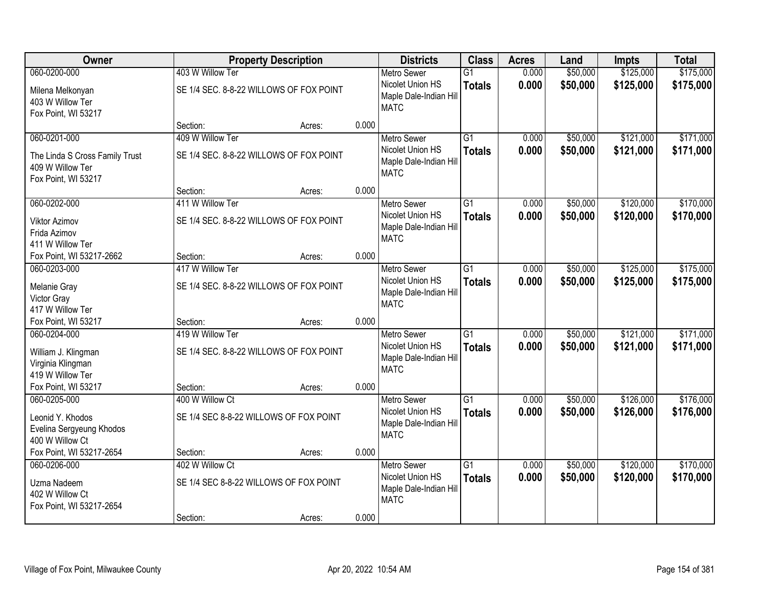| Owner                                                                                     |                                                             | <b>Property Description</b> |       | <b>Districts</b>                                                                | <b>Class</b>                     | <b>Acres</b>   | Land                 | <b>Impts</b>           | <b>Total</b>           |
|-------------------------------------------------------------------------------------------|-------------------------------------------------------------|-----------------------------|-------|---------------------------------------------------------------------------------|----------------------------------|----------------|----------------------|------------------------|------------------------|
| 060-0200-000                                                                              | 403 W Willow Ter                                            |                             |       | <b>Metro Sewer</b>                                                              | $\overline{G1}$                  | 0.000          | \$50,000             | \$125,000              | \$175,000              |
| Milena Melkonyan<br>403 W Willow Ter<br>Fox Point, WI 53217                               | SE 1/4 SEC. 8-8-22 WILLOWS OF FOX POINT                     |                             |       | Nicolet Union HS<br>Maple Dale-Indian Hill<br><b>MATC</b>                       | <b>Totals</b>                    | 0.000          | \$50,000             | \$125,000              | \$175,000              |
|                                                                                           | Section:                                                    | Acres:                      | 0.000 |                                                                                 |                                  |                |                      |                        |                        |
| 060-0201-000<br>The Linda S Cross Family Trust<br>409 W Willow Ter<br>Fox Point, WI 53217 | 409 W Willow Ter<br>SE 1/4 SEC. 8-8-22 WILLOWS OF FOX POINT |                             |       | <b>Metro Sewer</b><br>Nicolet Union HS<br>Maple Dale-Indian Hill<br><b>MATC</b> | $\overline{G1}$<br><b>Totals</b> | 0.000<br>0.000 | \$50,000<br>\$50,000 | \$121,000<br>\$121,000 | \$171,000<br>\$171,000 |
|                                                                                           | Section:                                                    | Acres:                      | 0.000 |                                                                                 |                                  |                |                      |                        |                        |
| 060-0202-000                                                                              | 411 W Willow Ter                                            |                             |       | <b>Metro Sewer</b>                                                              | G1                               | 0.000          | \$50,000             | \$120,000              | \$170,000              |
| <b>Viktor Azimov</b><br>Frida Azimov<br>411 W Willow Ter                                  | SE 1/4 SEC. 8-8-22 WILLOWS OF FOX POINT                     |                             |       | Nicolet Union HS<br>Maple Dale-Indian Hill<br><b>MATC</b>                       | <b>Totals</b>                    | 0.000          | \$50,000             | \$120,000              | \$170,000              |
| Fox Point, WI 53217-2662                                                                  | Section:                                                    | Acres:                      | 0.000 |                                                                                 |                                  |                |                      |                        |                        |
| 060-0203-000                                                                              | 417 W Willow Ter                                            |                             |       | <b>Metro Sewer</b>                                                              | G1                               | 0.000          | \$50,000             | \$125,000              | \$175,000              |
| Melanie Gray<br>Victor Gray<br>417 W Willow Ter                                           | SE 1/4 SEC. 8-8-22 WILLOWS OF FOX POINT                     |                             |       | Nicolet Union HS<br>Maple Dale-Indian Hill<br><b>MATC</b>                       | <b>Totals</b>                    | 0.000          | \$50,000             | \$125,000              | \$175,000              |
| Fox Point, WI 53217                                                                       | Section:                                                    | Acres:                      | 0.000 |                                                                                 |                                  |                |                      |                        |                        |
| 060-0204-000<br>William J. Klingman<br>Virginia Klingman<br>419 W Willow Ter              | 419 W Willow Ter<br>SE 1/4 SEC. 8-8-22 WILLOWS OF FOX POINT |                             |       | <b>Metro Sewer</b><br>Nicolet Union HS<br>Maple Dale-Indian Hill<br><b>MATC</b> | $\overline{G1}$<br><b>Totals</b> | 0.000<br>0.000 | \$50,000<br>\$50,000 | \$121,000<br>\$121,000 | \$171,000<br>\$171,000 |
| Fox Point, WI 53217                                                                       | Section:                                                    | Acres:                      | 0.000 |                                                                                 |                                  |                |                      |                        |                        |
| 060-0205-000<br>Leonid Y. Khodos<br>Evelina Sergyeung Khodos<br>400 W Willow Ct           | 400 W Willow Ct<br>SE 1/4 SEC 8-8-22 WILLOWS OF FOX POINT   |                             |       | <b>Metro Sewer</b><br>Nicolet Union HS<br>Maple Dale-Indian Hill<br><b>MATC</b> | $\overline{G1}$<br><b>Totals</b> | 0.000<br>0.000 | \$50,000<br>\$50,000 | \$126,000<br>\$126,000 | \$176,000<br>\$176,000 |
| Fox Point, WI 53217-2654                                                                  | Section:                                                    | Acres:                      | 0.000 |                                                                                 |                                  |                |                      |                        |                        |
| 060-0206-000<br>Uzma Nadeem<br>402 W Willow Ct<br>Fox Point, WI 53217-2654                | 402 W Willow Ct<br>SE 1/4 SEC 8-8-22 WILLOWS OF FOX POINT   |                             |       | <b>Metro Sewer</b><br>Nicolet Union HS<br>Maple Dale-Indian Hill<br><b>MATC</b> | $\overline{G1}$<br><b>Totals</b> | 0.000<br>0.000 | \$50,000<br>\$50,000 | \$120,000<br>\$120,000 | \$170,000<br>\$170,000 |
|                                                                                           | Section:                                                    | Acres:                      | 0.000 |                                                                                 |                                  |                |                      |                        |                        |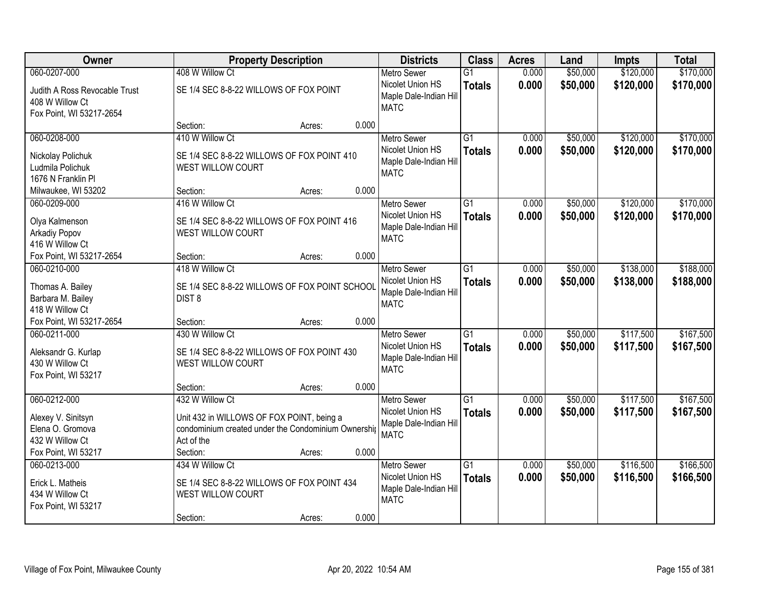| Owner                                                                         | <b>Property Description</b>                                                                                                       |        |       | <b>Districts</b>                                                                | <b>Class</b>                     | <b>Acres</b>   | Land                 | <b>Impts</b>           | <b>Total</b>           |
|-------------------------------------------------------------------------------|-----------------------------------------------------------------------------------------------------------------------------------|--------|-------|---------------------------------------------------------------------------------|----------------------------------|----------------|----------------------|------------------------|------------------------|
| 060-0207-000                                                                  | 408 W Willow Ct                                                                                                                   |        |       | <b>Metro Sewer</b>                                                              | $\overline{G1}$                  | 0.000          | \$50,000             | \$120,000              | \$170,000              |
| Judith A Ross Revocable Trust<br>408 W Willow Ct<br>Fox Point, WI 53217-2654  | SE 1/4 SEC 8-8-22 WILLOWS OF FOX POINT                                                                                            |        |       | Nicolet Union HS<br>Maple Dale-Indian Hill<br><b>MATC</b>                       | <b>Totals</b>                    | 0.000          | \$50,000             | \$120,000              | \$170,000              |
|                                                                               | Section:                                                                                                                          | Acres: | 0.000 |                                                                                 |                                  |                |                      |                        |                        |
| 060-0208-000                                                                  | 410 W Willow Ct                                                                                                                   |        |       | <b>Metro Sewer</b>                                                              | $\overline{G1}$                  | 0.000          | \$50,000             | \$120,000              | \$170,000              |
| Nickolay Polichuk<br>Ludmila Polichuk<br>1676 N Franklin Pl                   | SE 1/4 SEC 8-8-22 WILLOWS OF FOX POINT 410<br>WEST WILLOW COURT                                                                   |        |       | Nicolet Union HS<br>Maple Dale-Indian Hill<br><b>MATC</b>                       | <b>Totals</b>                    | 0.000          | \$50,000             | \$120,000              | \$170,000              |
| Milwaukee, WI 53202                                                           | Section:                                                                                                                          | Acres: | 0.000 |                                                                                 |                                  |                |                      |                        |                        |
| 060-0209-000                                                                  | 416 W Willow Ct                                                                                                                   |        |       | <b>Metro Sewer</b>                                                              | G1                               | 0.000          | \$50,000             | \$120,000              | \$170,000              |
| Olya Kalmenson<br>Arkadiy Popov<br>416 W Willow Ct                            | SE 1/4 SEC 8-8-22 WILLOWS OF FOX POINT 416<br>WEST WILLOW COURT                                                                   |        |       | Nicolet Union HS<br>Maple Dale-Indian Hill<br><b>MATC</b>                       | <b>Totals</b>                    | 0.000          | \$50,000             | \$120,000              | \$170,000              |
| Fox Point, WI 53217-2654                                                      | Section:                                                                                                                          | Acres: | 0.000 |                                                                                 |                                  |                |                      |                        |                        |
| 060-0210-000                                                                  | 418 W Willow Ct                                                                                                                   |        |       | <b>Metro Sewer</b>                                                              | G1                               | 0.000          | \$50,000             | \$138,000              | \$188,000              |
| Thomas A. Bailey<br>Barbara M. Bailey<br>418 W Willow Ct                      | SE 1/4 SEC 8-8-22 WILLOWS OF FOX POINT SCHOOL<br>DIST <sub>8</sub>                                                                |        |       | Nicolet Union HS<br>Maple Dale-Indian Hill<br><b>MATC</b>                       | <b>Totals</b>                    | 0.000          | \$50,000             | \$138,000              | \$188,000              |
| Fox Point, WI 53217-2654                                                      | Section:                                                                                                                          | Acres: | 0.000 |                                                                                 |                                  |                |                      |                        |                        |
| 060-0211-000<br>Aleksandr G. Kurlap<br>430 W Willow Ct<br>Fox Point, WI 53217 | 430 W Willow Ct<br>SE 1/4 SEC 8-8-22 WILLOWS OF FOX POINT 430<br>WEST WILLOW COURT                                                |        |       | <b>Metro Sewer</b><br>Nicolet Union HS<br>Maple Dale-Indian Hill<br><b>MATC</b> | $\overline{G1}$<br><b>Totals</b> | 0.000<br>0.000 | \$50,000<br>\$50,000 | \$117,500<br>\$117,500 | \$167,500<br>\$167,500 |
|                                                                               | Section:                                                                                                                          | Acres: | 0.000 |                                                                                 |                                  |                |                      |                        |                        |
| 060-0212-000<br>Alexey V. Sinitsyn<br>Elena O. Gromova<br>432 W Willow Ct     | 432 W Willow Ct<br>Unit 432 in WILLOWS OF FOX POINT, being a<br>condominium created under the Condominium Ownership<br>Act of the |        |       | <b>Metro Sewer</b><br>Nicolet Union HS<br>Maple Dale-Indian Hill<br><b>MATC</b> | $\overline{G1}$<br><b>Totals</b> | 0.000<br>0.000 | \$50,000<br>\$50,000 | \$117,500<br>\$117,500 | \$167,500<br>\$167,500 |
| Fox Point, WI 53217                                                           | Section:                                                                                                                          | Acres: | 0.000 |                                                                                 |                                  |                |                      |                        |                        |
| 060-0213-000<br>Erick L. Matheis<br>434 W Willow Ct<br>Fox Point, WI 53217    | 434 W Willow Ct<br>SE 1/4 SEC 8-8-22 WILLOWS OF FOX POINT 434<br>WEST WILLOW COURT<br>Section:                                    | Acres: | 0.000 | <b>Metro Sewer</b><br>Nicolet Union HS<br>Maple Dale-Indian Hill<br><b>MATC</b> | $\overline{G1}$<br><b>Totals</b> | 0.000<br>0.000 | \$50,000<br>\$50,000 | \$116,500<br>\$116,500 | \$166,500<br>\$166,500 |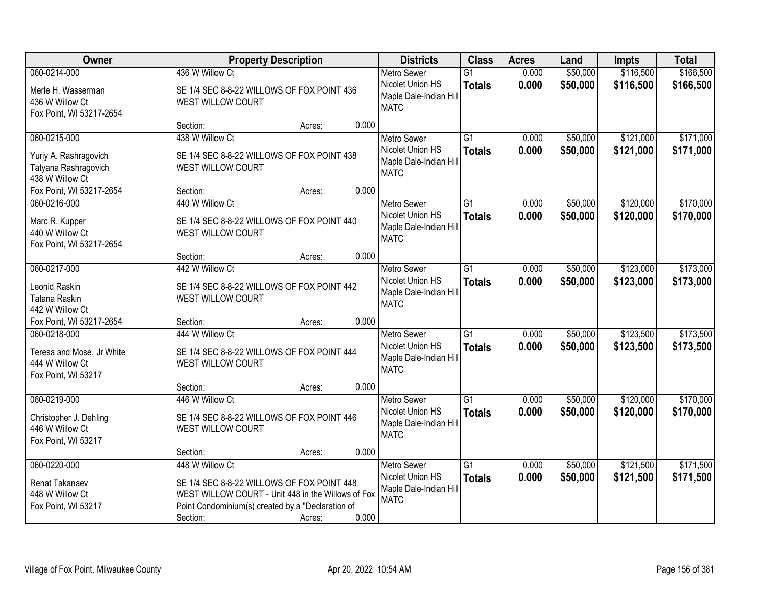| Owner                                                            | <b>Property Description</b>                                                                                                                           |        | <b>Districts</b>                                          | <b>Class</b>                     | <b>Acres</b>   | Land                 | <b>Impts</b>           | <b>Total</b>           |
|------------------------------------------------------------------|-------------------------------------------------------------------------------------------------------------------------------------------------------|--------|-----------------------------------------------------------|----------------------------------|----------------|----------------------|------------------------|------------------------|
| 060-0214-000<br>Merle H. Wasserman                               | 436 W Willow Ct<br>SE 1/4 SEC 8-8-22 WILLOWS OF FOX POINT 436                                                                                         |        | <b>Metro Sewer</b><br>Nicolet Union HS                    | $\overline{G1}$<br><b>Totals</b> | 0.000<br>0.000 | \$50,000<br>\$50,000 | \$116,500<br>\$116,500 | \$166,500<br>\$166,500 |
| 436 W Willow Ct<br>Fox Point, WI 53217-2654                      | WEST WILLOW COURT                                                                                                                                     |        | Maple Dale-Indian Hill<br><b>MATC</b>                     |                                  |                |                      |                        |                        |
|                                                                  | Section:                                                                                                                                              | Acres: | 0.000                                                     |                                  |                |                      |                        |                        |
| 060-0215-000                                                     | 438 W Willow Ct                                                                                                                                       |        | <b>Metro Sewer</b>                                        | $\overline{G1}$                  | 0.000          | \$50,000             | \$121,000              | \$171,000              |
| Yuriy A. Rashragovich<br>Tatyana Rashragovich<br>438 W Willow Ct | SE 1/4 SEC 8-8-22 WILLOWS OF FOX POINT 438<br>WEST WILLOW COURT                                                                                       |        | Nicolet Union HS<br>Maple Dale-Indian Hill<br><b>MATC</b> | <b>Totals</b>                    | 0.000          | \$50,000             | \$121,000              | \$171,000              |
| Fox Point, WI 53217-2654                                         | Section:                                                                                                                                              | Acres: | 0.000                                                     |                                  |                |                      |                        |                        |
| 060-0216-000                                                     | 440 W Willow Ct                                                                                                                                       |        | <b>Metro Sewer</b>                                        | G1                               | 0.000          | \$50,000             | \$120,000              | \$170,000              |
| Marc R. Kupper<br>440 W Willow Ct<br>Fox Point, WI 53217-2654    | SE 1/4 SEC 8-8-22 WILLOWS OF FOX POINT 440<br>WEST WILLOW COURT                                                                                       |        | Nicolet Union HS<br>Maple Dale-Indian Hill<br><b>MATC</b> | <b>Totals</b>                    | 0.000          | \$50,000             | \$120,000              | \$170,000              |
|                                                                  | Section:                                                                                                                                              | Acres: | 0.000                                                     |                                  |                |                      |                        |                        |
| 060-0217-000                                                     | 442 W Willow Ct                                                                                                                                       |        | <b>Metro Sewer</b>                                        | G1                               | 0.000          | \$50,000             | \$123,000              | \$173,000              |
| Leonid Raskin<br>Tatana Raskin<br>442 W Willow Ct                | SE 1/4 SEC 8-8-22 WILLOWS OF FOX POINT 442<br>WEST WILLOW COURT                                                                                       |        | Nicolet Union HS<br>Maple Dale-Indian Hill<br><b>MATC</b> | <b>Totals</b>                    | 0.000          | \$50,000             | \$123,000              | \$173,000              |
| Fox Point, WI 53217-2654                                         | Section:                                                                                                                                              | Acres: | 0.000                                                     |                                  |                |                      |                        |                        |
| 060-0218-000                                                     | 444 W Willow Ct                                                                                                                                       |        | <b>Metro Sewer</b>                                        | $\overline{G1}$                  | 0.000          | \$50,000             | \$123,500              | \$173,500              |
| Teresa and Mose, Jr White<br>444 W Willow Ct                     | SE 1/4 SEC 8-8-22 WILLOWS OF FOX POINT 444<br>WEST WILLOW COURT                                                                                       |        | Nicolet Union HS<br>Maple Dale-Indian Hill<br><b>MATC</b> | <b>Totals</b>                    | 0.000          | \$50,000             | \$123,500              | \$173,500              |
| Fox Point, WI 53217                                              |                                                                                                                                                       |        |                                                           |                                  |                |                      |                        |                        |
| 060-0219-000                                                     | Section:<br>446 W Willow Ct                                                                                                                           | Acres: | 0.000<br><b>Metro Sewer</b>                               | $\overline{G1}$                  | 0.000          | \$50,000             | \$120,000              | \$170,000              |
| Christopher J. Dehling<br>446 W Willow Ct<br>Fox Point, WI 53217 | SE 1/4 SEC 8-8-22 WILLOWS OF FOX POINT 446<br>WEST WILLOW COURT                                                                                       |        | Nicolet Union HS<br>Maple Dale-Indian Hill<br><b>MATC</b> | <b>Totals</b>                    | 0.000          | \$50,000             | \$120,000              | \$170,000              |
|                                                                  | Section:                                                                                                                                              | Acres: | 0.000                                                     |                                  |                |                      |                        |                        |
| 060-0220-000                                                     | 448 W Willow Ct                                                                                                                                       |        | <b>Metro Sewer</b>                                        | $\overline{G1}$                  | 0.000          | \$50,000             | \$121,500              | \$171,500              |
| Renat Takanaev<br>448 W Willow Ct<br>Fox Point, WI 53217         | SE 1/4 SEC 8-8-22 WILLOWS OF FOX POINT 448<br>WEST WILLOW COURT - Unit 448 in the Willows of Fox<br>Point Condominium(s) created by a "Declaration of |        | Nicolet Union HS<br>Maple Dale-Indian Hill<br><b>MATC</b> | <b>Totals</b>                    | 0.000          | \$50,000             | \$121,500              | \$171,500              |
|                                                                  | Section:                                                                                                                                              | Acres: | 0.000                                                     |                                  |                |                      |                        |                        |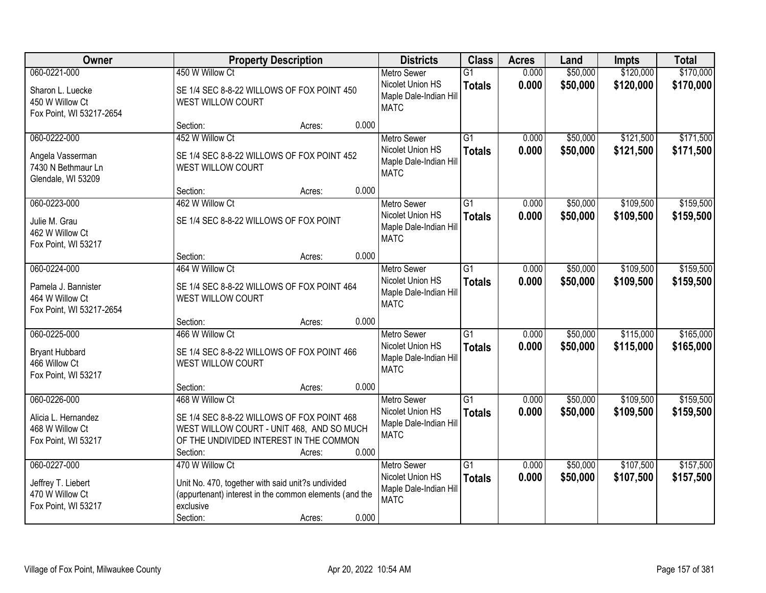| Owner                                                                              | <b>Property Description</b>                                                                                                                                                          | <b>Districts</b>                                                                | <b>Class</b>                     | <b>Acres</b>   | Land                 | <b>Impts</b>           | <b>Total</b>           |
|------------------------------------------------------------------------------------|--------------------------------------------------------------------------------------------------------------------------------------------------------------------------------------|---------------------------------------------------------------------------------|----------------------------------|----------------|----------------------|------------------------|------------------------|
| 060-0221-000<br>Sharon L. Luecke<br>450 W Willow Ct<br>Fox Point, WI 53217-2654    | 450 W Willow Ct<br>SE 1/4 SEC 8-8-22 WILLOWS OF FOX POINT 450<br>WEST WILLOW COURT                                                                                                   | <b>Metro Sewer</b><br>Nicolet Union HS<br>Maple Dale-Indian Hill<br><b>MATC</b> | $\overline{G1}$<br><b>Totals</b> | 0.000<br>0.000 | \$50,000<br>\$50,000 | \$120,000<br>\$120,000 | \$170,000<br>\$170,000 |
|                                                                                    | 0.000<br>Section:<br>Acres:                                                                                                                                                          |                                                                                 |                                  |                |                      |                        |                        |
| 060-0222-000<br>Angela Vasserman<br>7430 N Bethmaur Ln<br>Glendale, WI 53209       | 452 W Willow Ct<br>SE 1/4 SEC 8-8-22 WILLOWS OF FOX POINT 452<br>WEST WILLOW COURT                                                                                                   | <b>Metro Sewer</b><br>Nicolet Union HS<br>Maple Dale-Indian Hill<br><b>MATC</b> | $\overline{G1}$<br><b>Totals</b> | 0.000<br>0.000 | \$50,000<br>\$50,000 | \$121,500<br>\$121,500 | \$171,500<br>\$171,500 |
|                                                                                    | 0.000<br>Section:<br>Acres:                                                                                                                                                          |                                                                                 |                                  |                |                      |                        |                        |
| 060-0223-000<br>Julie M. Grau<br>462 W Willow Ct<br>Fox Point, WI 53217            | 462 W Willow Ct<br>SE 1/4 SEC 8-8-22 WILLOWS OF FOX POINT                                                                                                                            | <b>Metro Sewer</b><br>Nicolet Union HS<br>Maple Dale-Indian Hill<br><b>MATC</b> | G1<br><b>Totals</b>              | 0.000<br>0.000 | \$50,000<br>\$50,000 | \$109,500<br>\$109,500 | \$159,500<br>\$159,500 |
|                                                                                    | 0.000<br>Section:<br>Acres:                                                                                                                                                          |                                                                                 |                                  |                |                      |                        |                        |
| 060-0224-000<br>Pamela J. Bannister<br>464 W Willow Ct<br>Fox Point, WI 53217-2654 | 464 W Willow Ct<br>SE 1/4 SEC 8-8-22 WILLOWS OF FOX POINT 464<br>WEST WILLOW COURT                                                                                                   | <b>Metro Sewer</b><br>Nicolet Union HS<br>Maple Dale-Indian Hill<br><b>MATC</b> | G1<br><b>Totals</b>              | 0.000<br>0.000 | \$50,000<br>\$50,000 | \$109,500<br>\$109,500 | \$159,500<br>\$159,500 |
|                                                                                    | 0.000<br>Section:<br>Acres:                                                                                                                                                          |                                                                                 |                                  |                |                      |                        |                        |
| 060-0225-000<br><b>Bryant Hubbard</b><br>466 Willow Ct<br>Fox Point, WI 53217      | 466 W Willow Ct<br>SE 1/4 SEC 8-8-22 WILLOWS OF FOX POINT 466<br><b>WEST WILLOW COURT</b>                                                                                            | <b>Metro Sewer</b><br>Nicolet Union HS<br>Maple Dale-Indian Hill<br><b>MATC</b> | $\overline{G1}$<br><b>Totals</b> | 0.000<br>0.000 | \$50,000<br>\$50,000 | \$115,000<br>\$115,000 | \$165,000<br>\$165,000 |
|                                                                                    | 0.000<br>Section:<br>Acres:                                                                                                                                                          |                                                                                 |                                  |                |                      |                        |                        |
| 060-0226-000<br>Alicia L. Hernandez<br>468 W Willow Ct<br>Fox Point, WI 53217      | 468 W Willow Ct<br>SE 1/4 SEC 8-8-22 WILLOWS OF FOX POINT 468<br>WEST WILLOW COURT - UNIT 468, AND SO MUCH<br>OF THE UNDIVIDED INTEREST IN THE COMMON<br>0.000<br>Section:<br>Acres: | <b>Metro Sewer</b><br>Nicolet Union HS<br>Maple Dale-Indian Hill<br><b>MATC</b> | $\overline{G1}$<br><b>Totals</b> | 0.000<br>0.000 | \$50,000<br>\$50,000 | \$109,500<br>\$109,500 | \$159,500<br>\$159,500 |
| 060-0227-000<br>Jeffrey T. Liebert<br>470 W Willow Ct<br>Fox Point, WI 53217       | 470 W Willow Ct<br>Unit No. 470, together with said unit?s undivided<br>(appurtenant) interest in the common elements (and the<br>exclusive<br>0.000<br>Section:<br>Acres:           | <b>Metro Sewer</b><br>Nicolet Union HS<br>Maple Dale-Indian Hill<br><b>MATC</b> | $\overline{G1}$<br><b>Totals</b> | 0.000<br>0.000 | \$50,000<br>\$50,000 | \$107,500<br>\$107,500 | \$157,500<br>\$157,500 |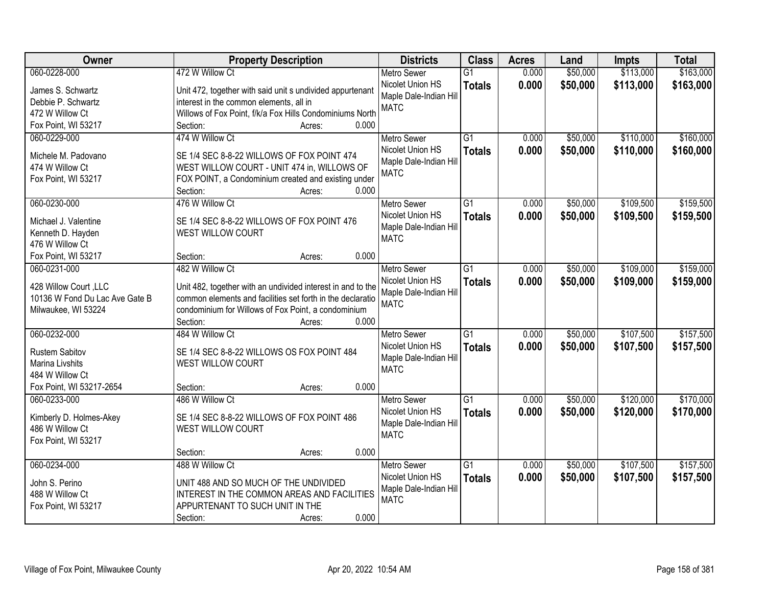| Owner                          | <b>Property Description</b>                                 | <b>Districts</b>       | <b>Class</b>    | <b>Acres</b> | Land     | <b>Impts</b> | <b>Total</b> |
|--------------------------------|-------------------------------------------------------------|------------------------|-----------------|--------------|----------|--------------|--------------|
| 060-0228-000                   | 472 W Willow Ct                                             | <b>Metro Sewer</b>     | $\overline{G1}$ | 0.000        | \$50,000 | \$113,000    | \$163,000    |
| James S. Schwartz              | Unit 472, together with said unit s undivided appurtenant   | Nicolet Union HS       | <b>Totals</b>   | 0.000        | \$50,000 | \$113,000    | \$163,000    |
| Debbie P. Schwartz             | interest in the common elements, all in                     | Maple Dale-Indian Hill |                 |              |          |              |              |
| 472 W Willow Ct                | Willows of Fox Point, f/k/a Fox Hills Condominiums North    | <b>MATC</b>            |                 |              |          |              |              |
| Fox Point, WI 53217            | 0.000<br>Section:<br>Acres:                                 |                        |                 |              |          |              |              |
| 060-0229-000                   | 474 W Willow Ct                                             | <b>Metro Sewer</b>     | $\overline{G1}$ | 0.000        | \$50,000 | \$110,000    | \$160,000    |
|                                |                                                             | Nicolet Union HS       | <b>Totals</b>   | 0.000        | \$50,000 | \$110,000    | \$160,000    |
| Michele M. Padovano            | SE 1/4 SEC 8-8-22 WILLOWS OF FOX POINT 474                  | Maple Dale-Indian Hill |                 |              |          |              |              |
| 474 W Willow Ct                | WEST WILLOW COURT - UNIT 474 in, WILLOWS OF                 | <b>MATC</b>            |                 |              |          |              |              |
| Fox Point, WI 53217            | FOX POINT, a Condominium created and existing under         |                        |                 |              |          |              |              |
|                                | 0.000<br>Section:<br>Acres:                                 |                        |                 |              |          |              |              |
| 060-0230-000                   | 476 W Willow Ct                                             | <b>Metro Sewer</b>     | G1              | 0.000        | \$50,000 | \$109,500    | \$159,500    |
| Michael J. Valentine           | SE 1/4 SEC 8-8-22 WILLOWS OF FOX POINT 476                  | Nicolet Union HS       | <b>Totals</b>   | 0.000        | \$50,000 | \$109,500    | \$159,500    |
| Kenneth D. Hayden              | WEST WILLOW COURT                                           | Maple Dale-Indian Hill |                 |              |          |              |              |
| 476 W Willow Ct                |                                                             | <b>MATC</b>            |                 |              |          |              |              |
| Fox Point, WI 53217            | 0.000<br>Section:<br>Acres:                                 |                        |                 |              |          |              |              |
| 060-0231-000                   | 482 W Willow Ct                                             | <b>Metro Sewer</b>     | G1              | 0.000        | \$50,000 | \$109,000    | \$159,000    |
|                                |                                                             | Nicolet Union HS       | <b>Totals</b>   | 0.000        | \$50,000 | \$109,000    | \$159,000    |
| 428 Willow Court, LLC          | Unit 482, together with an undivided interest in and to the | Maple Dale-Indian Hill |                 |              |          |              |              |
| 10136 W Fond Du Lac Ave Gate B | common elements and facilities set forth in the declaratio  | <b>MATC</b>            |                 |              |          |              |              |
| Milwaukee, WI 53224            | condominium for Willows of Fox Point, a condominium         |                        |                 |              |          |              |              |
|                                | 0.000<br>Section:<br>Acres:                                 |                        |                 |              |          |              |              |
| 060-0232-000                   | 484 W Willow Ct                                             | <b>Metro Sewer</b>     | $\overline{G1}$ | 0.000        | \$50,000 | \$107,500    | \$157,500    |
| <b>Rustem Sabitov</b>          | SE 1/4 SEC 8-8-22 WILLOWS OS FOX POINT 484                  | Nicolet Union HS       | <b>Totals</b>   | 0.000        | \$50,000 | \$107,500    | \$157,500    |
| Marina Livshits                | <b>WEST WILLOW COURT</b>                                    | Maple Dale-Indian Hill |                 |              |          |              |              |
| 484 W Willow Ct                |                                                             | <b>MATC</b>            |                 |              |          |              |              |
| Fox Point, WI 53217-2654       | 0.000<br>Section:<br>Acres:                                 |                        |                 |              |          |              |              |
| 060-0233-000                   | 486 W Willow Ct                                             | <b>Metro Sewer</b>     | $\overline{G1}$ | 0.000        | \$50,000 | \$120,000    | \$170,000    |
|                                |                                                             | Nicolet Union HS       | <b>Totals</b>   | 0.000        | \$50,000 | \$120,000    | \$170,000    |
| Kimberly D. Holmes-Akey        | SE 1/4 SEC 8-8-22 WILLOWS OF FOX POINT 486                  | Maple Dale-Indian Hill |                 |              |          |              |              |
| 486 W Willow Ct                | WEST WILLOW COURT                                           | <b>MATC</b>            |                 |              |          |              |              |
| Fox Point, WI 53217            |                                                             |                        |                 |              |          |              |              |
|                                | 0.000<br>Section:<br>Acres:                                 |                        |                 |              |          |              |              |
| 060-0234-000                   | 488 W Willow Ct                                             | <b>Metro Sewer</b>     | $\overline{G1}$ | 0.000        | \$50,000 | \$107,500    | \$157,500    |
| John S. Perino                 | UNIT 488 AND SO MUCH OF THE UNDIVIDED                       | Nicolet Union HS       | <b>Totals</b>   | 0.000        | \$50,000 | \$107,500    | \$157,500    |
| 488 W Willow Ct                | INTEREST IN THE COMMON AREAS AND FACILITIES                 | Maple Dale-Indian Hill |                 |              |          |              |              |
| Fox Point, WI 53217            | APPURTENANT TO SUCH UNIT IN THE                             | <b>MATC</b>            |                 |              |          |              |              |
|                                | 0.000<br>Section:<br>Acres:                                 |                        |                 |              |          |              |              |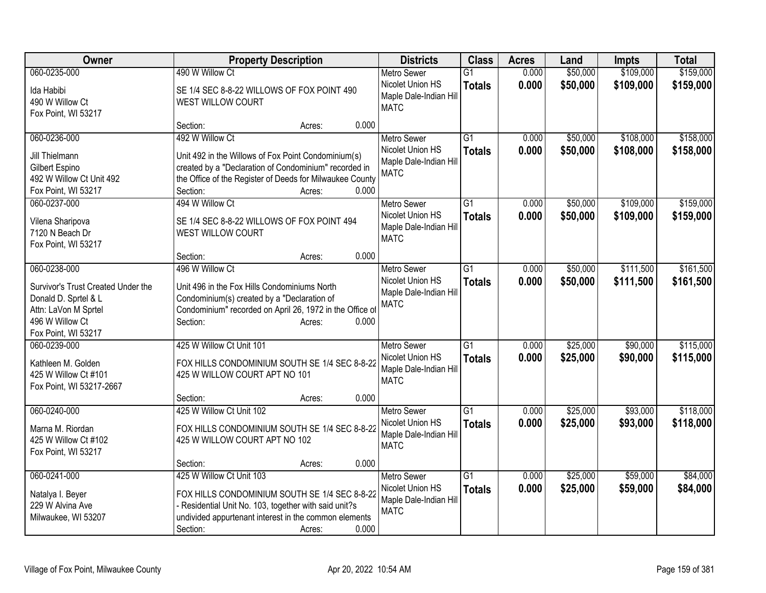| Owner                                      | <b>Property Description</b>                                                                                       | <b>Districts</b>                       | <b>Class</b>    | <b>Acres</b> | Land     | Impts     | <b>Total</b> |
|--------------------------------------------|-------------------------------------------------------------------------------------------------------------------|----------------------------------------|-----------------|--------------|----------|-----------|--------------|
| 060-0235-000                               | 490 W Willow Ct                                                                                                   | <b>Metro Sewer</b>                     | $\overline{G1}$ | 0.000        | \$50,000 | \$109,000 | \$159,000    |
| Ida Habibi                                 | SE 1/4 SEC 8-8-22 WILLOWS OF FOX POINT 490                                                                        | Nicolet Union HS                       | <b>Totals</b>   | 0.000        | \$50,000 | \$109,000 | \$159,000    |
| 490 W Willow Ct                            | WEST WILLOW COURT                                                                                                 | Maple Dale-Indian Hill                 |                 |              |          |           |              |
| Fox Point, WI 53217                        |                                                                                                                   | <b>MATC</b>                            |                 |              |          |           |              |
|                                            | 0.000<br>Section:<br>Acres:                                                                                       |                                        |                 |              |          |           |              |
| 060-0236-000                               | 492 W Willow Ct                                                                                                   | <b>Metro Sewer</b>                     | $\overline{G1}$ | 0.000        | \$50,000 | \$108,000 | \$158,000    |
|                                            |                                                                                                                   | Nicolet Union HS                       | <b>Totals</b>   | 0.000        | \$50,000 | \$108,000 | \$158,000    |
| Jill Thielmann                             | Unit 492 in the Willows of Fox Point Condominium(s)                                                               | Maple Dale-Indian Hill                 |                 |              |          |           |              |
| Gilbert Espino<br>492 W Willow Ct Unit 492 | created by a "Declaration of Condominium" recorded in<br>the Office of the Register of Deeds for Milwaukee County | <b>MATC</b>                            |                 |              |          |           |              |
| Fox Point, WI 53217                        | 0.000<br>Section:<br>Acres:                                                                                       |                                        |                 |              |          |           |              |
| 060-0237-000                               | 494 W Willow Ct                                                                                                   |                                        | $\overline{G1}$ | 0.000        | \$50,000 | \$109,000 | \$159,000    |
|                                            |                                                                                                                   | <b>Metro Sewer</b><br>Nicolet Union HS |                 |              |          |           |              |
| Vilena Sharipova                           | SE 1/4 SEC 8-8-22 WILLOWS OF FOX POINT 494                                                                        | Maple Dale-Indian Hill                 | <b>Totals</b>   | 0.000        | \$50,000 | \$109,000 | \$159,000    |
| 7120 N Beach Dr                            | WEST WILLOW COURT                                                                                                 | <b>MATC</b>                            |                 |              |          |           |              |
| Fox Point, WI 53217                        |                                                                                                                   |                                        |                 |              |          |           |              |
|                                            | 0.000<br>Section:<br>Acres:                                                                                       |                                        |                 |              |          |           |              |
| 060-0238-000                               | 496 W Willow Ct                                                                                                   | <b>Metro Sewer</b>                     | G1              | 0.000        | \$50,000 | \$111,500 | \$161,500    |
| Survivor's Trust Created Under the         | Unit 496 in the Fox Hills Condominiums North                                                                      | Nicolet Union HS                       | <b>Totals</b>   | 0.000        | \$50,000 | \$111,500 | \$161,500    |
| Donald D. Sprtel & L                       | Condominium(s) created by a "Declaration of                                                                       | Maple Dale-Indian Hill                 |                 |              |          |           |              |
| Attn: LaVon M Sprtel                       | Condominium" recorded on April 26, 1972 in the Office of                                                          | <b>MATC</b>                            |                 |              |          |           |              |
| 496 W Willow Ct                            | 0.000<br>Section:<br>Acres:                                                                                       |                                        |                 |              |          |           |              |
| Fox Point, WI 53217                        |                                                                                                                   |                                        |                 |              |          |           |              |
| 060-0239-000                               | 425 W Willow Ct Unit 101                                                                                          | <b>Metro Sewer</b>                     | G1              | 0.000        | \$25,000 | \$90,000  | \$115,000    |
|                                            |                                                                                                                   | Nicolet Union HS                       | <b>Totals</b>   | 0.000        | \$25,000 | \$90,000  | \$115,000    |
| Kathleen M. Golden                         | FOX HILLS CONDOMINIUM SOUTH SE 1/4 SEC 8-8-22                                                                     | Maple Dale-Indian Hill                 |                 |              |          |           |              |
| 425 W Willow Ct #101                       | 425 W WILLOW COURT APT NO 101                                                                                     | <b>MATC</b>                            |                 |              |          |           |              |
| Fox Point, WI 53217-2667                   |                                                                                                                   |                                        |                 |              |          |           |              |
|                                            | 0.000<br>Section:<br>Acres:                                                                                       |                                        |                 |              |          |           |              |
| 060-0240-000                               | 425 W Willow Ct Unit 102                                                                                          | Metro Sewer                            | $\overline{G1}$ | 0.000        | \$25,000 | \$93,000  | \$118,000    |
| Marna M. Riordan                           | FOX HILLS CONDOMINIUM SOUTH SE 1/4 SEC 8-8-22                                                                     | Nicolet Union HS                       | <b>Totals</b>   | 0.000        | \$25,000 | \$93,000  | \$118,000    |
| 425 W Willow Ct #102                       | 425 W WILLOW COURT APT NO 102                                                                                     | Maple Dale-Indian Hill                 |                 |              |          |           |              |
| Fox Point, WI 53217                        |                                                                                                                   | <b>MATC</b>                            |                 |              |          |           |              |
|                                            | 0.000<br>Section:<br>Acres:                                                                                       |                                        |                 |              |          |           |              |
| 060-0241-000                               | 425 W Willow Ct Unit 103                                                                                          | <b>Metro Sewer</b>                     | $\overline{G1}$ | 0.000        | \$25,000 | \$59,000  | \$84,000     |
|                                            | FOX HILLS CONDOMINIUM SOUTH SE 1/4 SEC 8-8-22                                                                     | Nicolet Union HS                       | <b>Totals</b>   | 0.000        | \$25,000 | \$59,000  | \$84,000     |
| Natalya I. Beyer<br>229 W Alvina Ave       | - Residential Unit No. 103, together with said unit?s                                                             | Maple Dale-Indian Hill                 |                 |              |          |           |              |
| Milwaukee, WI 53207                        | undivided appurtenant interest in the common elements                                                             | <b>MATC</b>                            |                 |              |          |           |              |
|                                            | 0.000<br>Section:<br>Acres:                                                                                       |                                        |                 |              |          |           |              |
|                                            |                                                                                                                   |                                        |                 |              |          |           |              |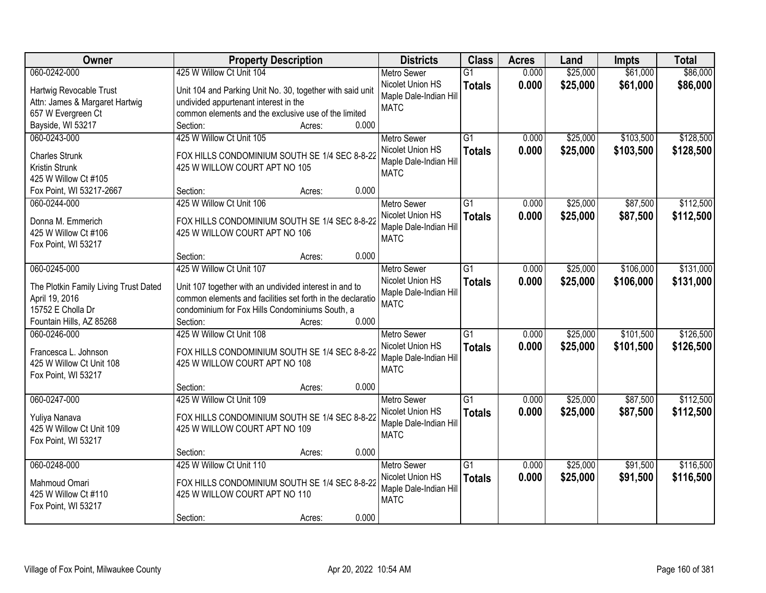| Owner                                     | <b>Property Description</b>                                                    | <b>Districts</b>                       | <b>Class</b>    | <b>Acres</b> | Land     | <b>Impts</b> | <b>Total</b> |
|-------------------------------------------|--------------------------------------------------------------------------------|----------------------------------------|-----------------|--------------|----------|--------------|--------------|
| 060-0242-000                              | 425 W Willow Ct Unit 104                                                       | <b>Metro Sewer</b>                     | $\overline{G1}$ | 0.000        | \$25,000 | \$61,000     | \$86,000     |
| Hartwig Revocable Trust                   | Unit 104 and Parking Unit No. 30, together with said unit                      | Nicolet Union HS                       | <b>Totals</b>   | 0.000        | \$25,000 | \$61,000     | \$86,000     |
| Attn: James & Margaret Hartwig            | undivided appurtenant interest in the                                          | Maple Dale-Indian Hill                 |                 |              |          |              |              |
| 657 W Evergreen Ct                        | common elements and the exclusive use of the limited                           | <b>MATC</b>                            |                 |              |          |              |              |
| Bayside, WI 53217                         | 0.000<br>Section:<br>Acres:                                                    |                                        |                 |              |          |              |              |
| 060-0243-000                              | 425 W Willow Ct Unit 105                                                       | <b>Metro Sewer</b>                     | $\overline{G1}$ | 0.000        | \$25,000 | \$103,500    | \$128,500    |
| <b>Charles Strunk</b>                     | FOX HILLS CONDOMINIUM SOUTH SE 1/4 SEC 8-8-22                                  | Nicolet Union HS                       | <b>Totals</b>   | 0.000        | \$25,000 | \$103,500    | \$128,500    |
| Kristin Strunk                            | 425 W WILLOW COURT APT NO 105                                                  | Maple Dale-Indian Hill                 |                 |              |          |              |              |
| 425 W Willow Ct #105                      |                                                                                | <b>MATC</b>                            |                 |              |          |              |              |
| Fox Point, WI 53217-2667                  | 0.000<br>Section:<br>Acres:                                                    |                                        |                 |              |          |              |              |
| 060-0244-000                              | 425 W Willow Ct Unit 106                                                       | <b>Metro Sewer</b>                     | G1              | 0.000        | \$25,000 | \$87,500     | \$112,500    |
|                                           |                                                                                | Nicolet Union HS                       | <b>Totals</b>   | 0.000        | \$25,000 | \$87,500     | \$112,500    |
| Donna M. Emmerich<br>425 W Willow Ct #106 | FOX HILLS CONDOMINIUM SOUTH SE 1/4 SEC 8-8-22<br>425 W WILLOW COURT APT NO 106 | Maple Dale-Indian Hill                 |                 |              |          |              |              |
| Fox Point, WI 53217                       |                                                                                | <b>MATC</b>                            |                 |              |          |              |              |
|                                           | 0.000<br>Section:<br>Acres:                                                    |                                        |                 |              |          |              |              |
| 060-0245-000                              | 425 W Willow Ct Unit 107                                                       | <b>Metro Sewer</b>                     | G1              | 0.000        | \$25,000 | \$106,000    | \$131,000    |
|                                           |                                                                                | Nicolet Union HS                       | <b>Totals</b>   | 0.000        | \$25,000 | \$106,000    | \$131,000    |
| The Plotkin Family Living Trust Dated     | Unit 107 together with an undivided interest in and to                         | Maple Dale-Indian Hill                 |                 |              |          |              |              |
| April 19, 2016<br>15752 E Cholla Dr       | common elements and facilities set forth in the declaratio                     | <b>MATC</b>                            |                 |              |          |              |              |
| Fountain Hills, AZ 85268                  | condominium for Fox Hills Condominiums South, a<br>0.000<br>Section:<br>Acres: |                                        |                 |              |          |              |              |
| 060-0246-000                              | 425 W Willow Ct Unit 108                                                       | <b>Metro Sewer</b>                     | $\overline{G1}$ | 0.000        | \$25,000 | \$101,500    | \$126,500    |
|                                           |                                                                                | Nicolet Union HS                       | <b>Totals</b>   | 0.000        | \$25,000 | \$101,500    | \$126,500    |
| Francesca L. Johnson                      | FOX HILLS CONDOMINIUM SOUTH SE 1/4 SEC 8-8-22                                  | Maple Dale-Indian Hill                 |                 |              |          |              |              |
| 425 W Willow Ct Unit 108                  | 425 W WILLOW COURT APT NO 108                                                  | <b>MATC</b>                            |                 |              |          |              |              |
| Fox Point, WI 53217                       |                                                                                |                                        |                 |              |          |              |              |
|                                           | 0.000<br>Section:<br>Acres:                                                    |                                        |                 |              |          |              |              |
| 060-0247-000                              | 425 W Willow Ct Unit 109                                                       | <b>Metro Sewer</b><br>Nicolet Union HS | $\overline{G1}$ | 0.000        | \$25,000 | \$87,500     | \$112,500    |
| Yuliya Nanava                             | FOX HILLS CONDOMINIUM SOUTH SE 1/4 SEC 8-8-22                                  | Maple Dale-Indian Hill                 | <b>Totals</b>   | 0.000        | \$25,000 | \$87,500     | \$112,500    |
| 425 W Willow Ct Unit 109                  | 425 W WILLOW COURT APT NO 109                                                  | <b>MATC</b>                            |                 |              |          |              |              |
| Fox Point, WI 53217                       |                                                                                |                                        |                 |              |          |              |              |
|                                           | 0.000<br>Section:<br>Acres:                                                    |                                        |                 |              |          |              |              |
| 060-0248-000                              | 425 W Willow Ct Unit 110                                                       | <b>Metro Sewer</b>                     | $\overline{G1}$ | 0.000        | \$25,000 | \$91,500     | \$116,500    |
| Mahmoud Omari                             | FOX HILLS CONDOMINIUM SOUTH SE 1/4 SEC 8-8-22                                  | Nicolet Union HS                       | <b>Totals</b>   | 0.000        | \$25,000 | \$91,500     | \$116,500    |
| 425 W Willow Ct #110                      | 425 W WILLOW COURT APT NO 110                                                  | Maple Dale-Indian Hill                 |                 |              |          |              |              |
| Fox Point, WI 53217                       |                                                                                | <b>MATC</b>                            |                 |              |          |              |              |
|                                           | 0.000<br>Section:<br>Acres:                                                    |                                        |                 |              |          |              |              |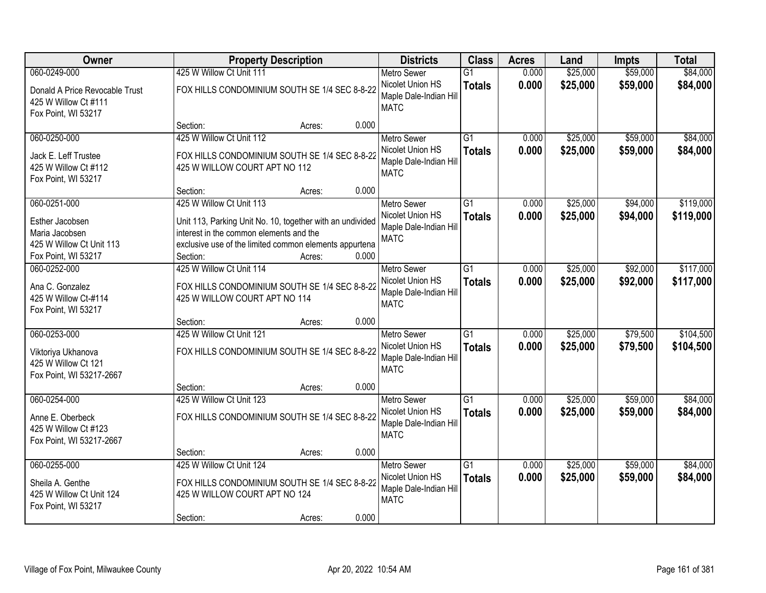| Owner                                                                                 |                                                                                                                                                                            | <b>Property Description</b> |       | <b>Districts</b>                                                                | <b>Class</b>                     | <b>Acres</b>   | Land                 | <b>Impts</b>         | <b>Total</b>           |
|---------------------------------------------------------------------------------------|----------------------------------------------------------------------------------------------------------------------------------------------------------------------------|-----------------------------|-------|---------------------------------------------------------------------------------|----------------------------------|----------------|----------------------|----------------------|------------------------|
| 060-0249-000                                                                          | 425 W Willow Ct Unit 111                                                                                                                                                   |                             |       | <b>Metro Sewer</b>                                                              | $\overline{G1}$                  | 0.000          | \$25,000             | \$59,000             | \$84,000               |
| Donald A Price Revocable Trust<br>425 W Willow Ct #111<br>Fox Point, WI 53217         | FOX HILLS CONDOMINIUM SOUTH SE 1/4 SEC 8-8-22                                                                                                                              |                             |       | Nicolet Union HS<br>Maple Dale-Indian Hill<br><b>MATC</b>                       | <b>Totals</b>                    | 0.000          | \$25,000             | \$59,000             | \$84,000               |
|                                                                                       | Section:                                                                                                                                                                   | Acres:                      | 0.000 |                                                                                 |                                  |                |                      |                      |                        |
| 060-0250-000<br>Jack E. Leff Trustee<br>425 W Willow Ct #112                          | 425 W Willow Ct Unit 112<br>FOX HILLS CONDOMINIUM SOUTH SE 1/4 SEC 8-8-22<br>425 W WILLOW COURT APT NO 112                                                                 |                             |       | <b>Metro Sewer</b><br>Nicolet Union HS<br>Maple Dale-Indian Hill                | $\overline{G1}$<br><b>Totals</b> | 0.000<br>0.000 | \$25,000<br>\$25,000 | \$59,000<br>\$59,000 | \$84,000<br>\$84,000   |
| Fox Point, WI 53217                                                                   | Section:                                                                                                                                                                   | Acres:                      | 0.000 | <b>MATC</b>                                                                     |                                  |                |                      |                      |                        |
| 060-0251-000                                                                          | 425 W Willow Ct Unit 113                                                                                                                                                   |                             |       | <b>Metro Sewer</b>                                                              | $\overline{G1}$                  | 0.000          | \$25,000             | \$94,000             | \$119,000              |
| Esther Jacobsen<br>Maria Jacobsen<br>425 W Willow Ct Unit 113<br>Fox Point, WI 53217  | Unit 113, Parking Unit No. 10, together with an undivided<br>interest in the common elements and the<br>exclusive use of the limited common elements appurtena<br>Section: | Acres:                      | 0.000 | Nicolet Union HS<br>Maple Dale-Indian Hill<br><b>MATC</b>                       | <b>Totals</b>                    | 0.000          | \$25,000             | \$94,000             | \$119,000              |
| 060-0252-000                                                                          | 425 W Willow Ct Unit 114                                                                                                                                                   |                             |       | <b>Metro Sewer</b>                                                              | $\overline{G1}$                  | 0.000          | \$25,000             | \$92,000             | \$117,000              |
| Ana C. Gonzalez<br>425 W Willow Ct-#114<br>Fox Point, WI 53217                        | FOX HILLS CONDOMINIUM SOUTH SE 1/4 SEC 8-8-22<br>425 W WILLOW COURT APT NO 114                                                                                             |                             |       | Nicolet Union HS<br>Maple Dale-Indian Hill<br><b>MATC</b>                       | <b>Totals</b>                    | 0.000          | \$25,000             | \$92,000             | \$117,000              |
|                                                                                       | Section:                                                                                                                                                                   | Acres:                      | 0.000 |                                                                                 |                                  |                |                      |                      |                        |
| 060-0253-000<br>Viktoriya Ukhanova<br>425 W Willow Ct 121<br>Fox Point, WI 53217-2667 | 425 W Willow Ct Unit 121<br>FOX HILLS CONDOMINIUM SOUTH SE 1/4 SEC 8-8-22                                                                                                  |                             |       | <b>Metro Sewer</b><br>Nicolet Union HS<br>Maple Dale-Indian Hill<br><b>MATC</b> | $\overline{G1}$<br><b>Totals</b> | 0.000<br>0.000 | \$25,000<br>\$25,000 | \$79,500<br>\$79,500 | \$104,500<br>\$104,500 |
|                                                                                       | Section:                                                                                                                                                                   | Acres:                      | 0.000 |                                                                                 |                                  |                |                      |                      |                        |
| 060-0254-000                                                                          | 425 W Willow Ct Unit 123                                                                                                                                                   |                             |       | <b>Metro Sewer</b>                                                              | $\overline{G1}$                  | 0.000          | \$25,000             | \$59,000             | \$84,000               |
| Anne E. Oberbeck<br>425 W Willow Ct #123<br>Fox Point, WI 53217-2667                  | FOX HILLS CONDOMINIUM SOUTH SE 1/4 SEC 8-8-22                                                                                                                              |                             |       | Nicolet Union HS<br>Maple Dale-Indian Hill<br><b>MATC</b>                       | <b>Totals</b>                    | 0.000          | \$25,000             | \$59,000             | \$84,000               |
|                                                                                       | Section:                                                                                                                                                                   | Acres:                      | 0.000 |                                                                                 |                                  |                |                      |                      |                        |
| 060-0255-000<br>Sheila A. Genthe<br>425 W Willow Ct Unit 124<br>Fox Point, WI 53217   | 425 W Willow Ct Unit 124<br>FOX HILLS CONDOMINIUM SOUTH SE 1/4 SEC 8-8-22<br>425 W WILLOW COURT APT NO 124                                                                 |                             |       | <b>Metro Sewer</b><br>Nicolet Union HS<br>Maple Dale-Indian Hill<br><b>MATC</b> | $\overline{G1}$<br><b>Totals</b> | 0.000<br>0.000 | \$25,000<br>\$25,000 | \$59,000<br>\$59,000 | \$84,000<br>\$84,000   |
|                                                                                       | Section:                                                                                                                                                                   | Acres:                      | 0.000 |                                                                                 |                                  |                |                      |                      |                        |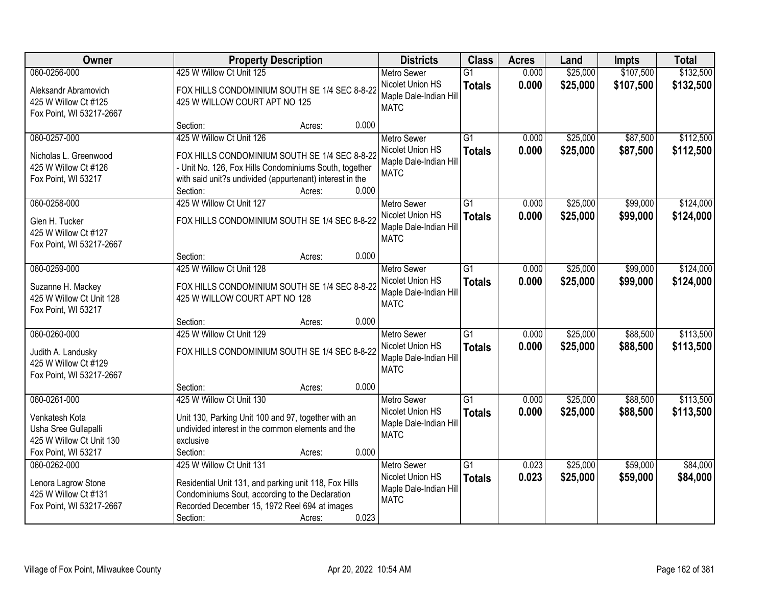| Owner                                                                                                     | <b>Property Description</b>                                                                                                                                                                                           |       | <b>Districts</b>                                                                | <b>Class</b>                     | <b>Acres</b>   | Land                 | <b>Impts</b>         | <b>Total</b>           |
|-----------------------------------------------------------------------------------------------------------|-----------------------------------------------------------------------------------------------------------------------------------------------------------------------------------------------------------------------|-------|---------------------------------------------------------------------------------|----------------------------------|----------------|----------------------|----------------------|------------------------|
| 060-0256-000                                                                                              | 425 W Willow Ct Unit 125                                                                                                                                                                                              |       | <b>Metro Sewer</b>                                                              | $\overline{G1}$                  | 0.000          | \$25,000             | \$107,500            | \$132,500              |
| Aleksandr Abramovich<br>425 W Willow Ct #125<br>Fox Point, WI 53217-2667                                  | FOX HILLS CONDOMINIUM SOUTH SE 1/4 SEC 8-8-22<br>425 W WILLOW COURT APT NO 125                                                                                                                                        |       | Nicolet Union HS<br>Maple Dale-Indian Hill<br><b>MATC</b>                       | <b>Totals</b>                    | 0.000          | \$25,000             | \$107,500            | \$132,500              |
|                                                                                                           | Section:<br>Acres:                                                                                                                                                                                                    | 0.000 |                                                                                 |                                  |                |                      |                      |                        |
| 060-0257-000<br>Nicholas L. Greenwood<br>425 W Willow Ct #126<br>Fox Point, WI 53217                      | 425 W Willow Ct Unit 126<br>FOX HILLS CONDOMINIUM SOUTH SE 1/4 SEC 8-8-22<br>- Unit No. 126, Fox Hills Condominiums South, together<br>with said unit?s undivided (appurtenant) interest in the<br>Section:<br>Acres: | 0.000 | <b>Metro Sewer</b><br>Nicolet Union HS<br>Maple Dale-Indian Hill<br><b>MATC</b> | $\overline{G1}$<br><b>Totals</b> | 0.000<br>0.000 | \$25,000<br>\$25,000 | \$87,500<br>\$87,500 | \$112,500<br>\$112,500 |
| 060-0258-000                                                                                              | 425 W Willow Ct Unit 127                                                                                                                                                                                              |       | <b>Metro Sewer</b>                                                              | $\overline{G1}$                  | 0.000          | \$25,000             | \$99,000             | \$124,000              |
| Glen H. Tucker<br>425 W Willow Ct #127<br>Fox Point, WI 53217-2667                                        | FOX HILLS CONDOMINIUM SOUTH SE 1/4 SEC 8-8-22                                                                                                                                                                         |       | Nicolet Union HS<br>Maple Dale-Indian Hill<br><b>MATC</b>                       | <b>Totals</b>                    | 0.000          | \$25,000             | \$99,000             | \$124,000              |
|                                                                                                           | Section:<br>Acres:                                                                                                                                                                                                    | 0.000 |                                                                                 |                                  |                |                      |                      |                        |
| 060-0259-000                                                                                              | 425 W Willow Ct Unit 128                                                                                                                                                                                              |       | <b>Metro Sewer</b>                                                              | $\overline{G1}$                  | 0.000          | \$25,000             | \$99,000             | \$124,000              |
| Suzanne H. Mackey<br>425 W Willow Ct Unit 128<br>Fox Point, WI 53217                                      | FOX HILLS CONDOMINIUM SOUTH SE 1/4 SEC 8-8-22<br>425 W WILLOW COURT APT NO 128                                                                                                                                        |       | Nicolet Union HS<br>Maple Dale-Indian Hill<br><b>MATC</b>                       | <b>Totals</b>                    | 0.000          | \$25,000             | \$99,000             | \$124,000              |
|                                                                                                           | Section:<br>Acres:                                                                                                                                                                                                    | 0.000 |                                                                                 |                                  |                |                      |                      |                        |
| 060-0260-000<br>Judith A. Landusky<br>425 W Willow Ct #129<br>Fox Point, WI 53217-2667                    | 425 W Willow Ct Unit 129<br>FOX HILLS CONDOMINIUM SOUTH SE 1/4 SEC 8-8-22                                                                                                                                             |       | <b>Metro Sewer</b><br>Nicolet Union HS<br>Maple Dale-Indian Hill<br><b>MATC</b> | $\overline{G1}$<br><b>Totals</b> | 0.000<br>0.000 | \$25,000<br>\$25,000 | \$88,500<br>\$88,500 | \$113,500<br>\$113,500 |
|                                                                                                           | Section:<br>Acres:                                                                                                                                                                                                    | 0.000 |                                                                                 |                                  |                |                      |                      |                        |
| 060-0261-000<br>Venkatesh Kota<br>Usha Sree Gullapalli<br>425 W Willow Ct Unit 130<br>Fox Point, WI 53217 | 425 W Willow Ct Unit 130<br>Unit 130, Parking Unit 100 and 97, together with an<br>undivided interest in the common elements and the<br>exclusive<br>Section:<br>Acres:                                               | 0.000 | Metro Sewer<br>Nicolet Union HS<br>Maple Dale-Indian Hill<br><b>MATC</b>        | G1<br><b>Totals</b>              | 0.000<br>0.000 | \$25,000<br>\$25,000 | \$88,500<br>\$88,500 | \$113,500<br>\$113,500 |
| 060-0262-000                                                                                              | 425 W Willow Ct Unit 131                                                                                                                                                                                              |       | <b>Metro Sewer</b>                                                              | G1                               | 0.023          | \$25,000             | \$59,000             | \$84,000               |
| Lenora Lagrow Stone<br>425 W Willow Ct #131<br>Fox Point, WI 53217-2667                                   | Residential Unit 131, and parking unit 118, Fox Hills<br>Condominiums Sout, according to the Declaration<br>Recorded December 15, 1972 Reel 694 at images<br>Section:<br>Acres:                                       | 0.023 | Nicolet Union HS<br>Maple Dale-Indian Hill<br><b>MATC</b>                       | <b>Totals</b>                    | 0.023          | \$25,000             | \$59,000             | \$84,000               |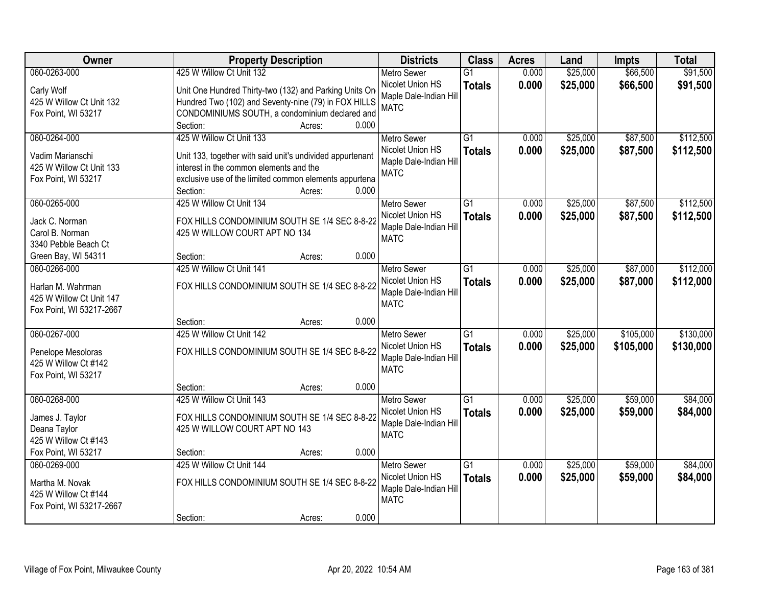| Owner                                                                                     | <b>Property Description</b>                                                                                                                                                                            |                 | <b>Districts</b>                                                                | <b>Class</b>                     | <b>Acres</b>   | Land                 | <b>Impts</b>           | <b>Total</b>           |
|-------------------------------------------------------------------------------------------|--------------------------------------------------------------------------------------------------------------------------------------------------------------------------------------------------------|-----------------|---------------------------------------------------------------------------------|----------------------------------|----------------|----------------------|------------------------|------------------------|
| 060-0263-000                                                                              | 425 W Willow Ct Unit 132                                                                                                                                                                               |                 | <b>Metro Sewer</b>                                                              | $\overline{G1}$                  | 0.000          | \$25,000             | \$66,500               | \$91,500               |
| Carly Wolf<br>425 W Willow Ct Unit 132<br>Fox Point, WI 53217                             | Unit One Hundred Thirty-two (132) and Parking Units On<br>Hundred Two (102) and Seventy-nine (79) in FOX HILLS<br>CONDOMINIUMS SOUTH, a condominium declared and                                       | 0.000           | Nicolet Union HS<br>Maple Dale-Indian Hill<br><b>MATC</b>                       | <b>Totals</b>                    | 0.000          | \$25,000             | \$66,500               | \$91,500               |
|                                                                                           | Section:                                                                                                                                                                                               | Acres:          |                                                                                 |                                  |                |                      |                        |                        |
| 060-0264-000<br>Vadim Marianschi<br>425 W Willow Ct Unit 133<br>Fox Point, WI 53217       | 425 W Willow Ct Unit 133<br>Unit 133, together with said unit's undivided appurtenant<br>interest in the common elements and the<br>exclusive use of the limited common elements appurtena<br>Section: | 0.000<br>Acres: | <b>Metro Sewer</b><br>Nicolet Union HS<br>Maple Dale-Indian Hill<br><b>MATC</b> | $\overline{G1}$<br><b>Totals</b> | 0.000<br>0.000 | \$25,000<br>\$25,000 | \$87,500<br>\$87,500   | \$112,500<br>\$112,500 |
| 060-0265-000                                                                              | 425 W Willow Ct Unit 134                                                                                                                                                                               |                 | <b>Metro Sewer</b>                                                              | G1                               | 0.000          | \$25,000             | \$87,500               | \$112,500              |
| Jack C. Norman<br>Carol B. Norman<br>3340 Pebble Beach Ct                                 | FOX HILLS CONDOMINIUM SOUTH SE 1/4 SEC 8-8-22<br>425 W WILLOW COURT APT NO 134                                                                                                                         |                 | Nicolet Union HS<br>Maple Dale-Indian Hill<br><b>MATC</b>                       | <b>Totals</b>                    | 0.000          | \$25,000             | \$87,500               | \$112,500              |
| Green Bay, WI 54311                                                                       | Section:                                                                                                                                                                                               | 0.000<br>Acres: |                                                                                 |                                  |                |                      |                        |                        |
| 060-0266-000<br>Harlan M. Wahrman<br>425 W Willow Ct Unit 147<br>Fox Point, WI 53217-2667 | 425 W Willow Ct Unit 141<br>FOX HILLS CONDOMINIUM SOUTH SE 1/4 SEC 8-8-22                                                                                                                              |                 | <b>Metro Sewer</b><br>Nicolet Union HS<br>Maple Dale-Indian Hill<br><b>MATC</b> | G1<br><b>Totals</b>              | 0.000<br>0.000 | \$25,000<br>\$25,000 | \$87,000<br>\$87,000   | \$112,000<br>\$112,000 |
|                                                                                           | Section:                                                                                                                                                                                               | 0.000<br>Acres: |                                                                                 |                                  |                |                      |                        |                        |
| 060-0267-000<br>Penelope Mesoloras<br>425 W Willow Ct #142<br>Fox Point, WI 53217         | 425 W Willow Ct Unit 142<br>FOX HILLS CONDOMINIUM SOUTH SE 1/4 SEC 8-8-22                                                                                                                              |                 | <b>Metro Sewer</b><br>Nicolet Union HS<br>Maple Dale-Indian Hill<br><b>MATC</b> | $\overline{G1}$<br><b>Totals</b> | 0.000<br>0.000 | \$25,000<br>\$25,000 | \$105,000<br>\$105,000 | \$130,000<br>\$130,000 |
|                                                                                           | Section:                                                                                                                                                                                               | 0.000<br>Acres: |                                                                                 |                                  |                |                      |                        |                        |
| 060-0268-000<br>James J. Taylor<br>Deana Taylor<br>425 W Willow Ct #143                   | 425 W Willow Ct Unit 143<br>FOX HILLS CONDOMINIUM SOUTH SE 1/4 SEC 8-8-22<br>425 W WILLOW COURT APT NO 143                                                                                             |                 | <b>Metro Sewer</b><br>Nicolet Union HS<br>Maple Dale-Indian Hill<br><b>MATC</b> | $\overline{G1}$<br><b>Totals</b> | 0.000<br>0.000 | \$25,000<br>\$25,000 | \$59,000<br>\$59,000   | \$84,000<br>\$84,000   |
| Fox Point, WI 53217                                                                       | Section:                                                                                                                                                                                               | 0.000<br>Acres: |                                                                                 |                                  |                |                      |                        |                        |
| 060-0269-000<br>Martha M. Novak<br>425 W Willow Ct #144<br>Fox Point, WI 53217-2667       | 425 W Willow Ct Unit 144<br>FOX HILLS CONDOMINIUM SOUTH SE 1/4 SEC 8-8-22<br>Section:                                                                                                                  | 0.000<br>Acres: | <b>Metro Sewer</b><br>Nicolet Union HS<br>Maple Dale-Indian Hill<br><b>MATC</b> | $\overline{G1}$<br><b>Totals</b> | 0.000<br>0.000 | \$25,000<br>\$25,000 | \$59,000<br>\$59,000   | \$84,000<br>\$84,000   |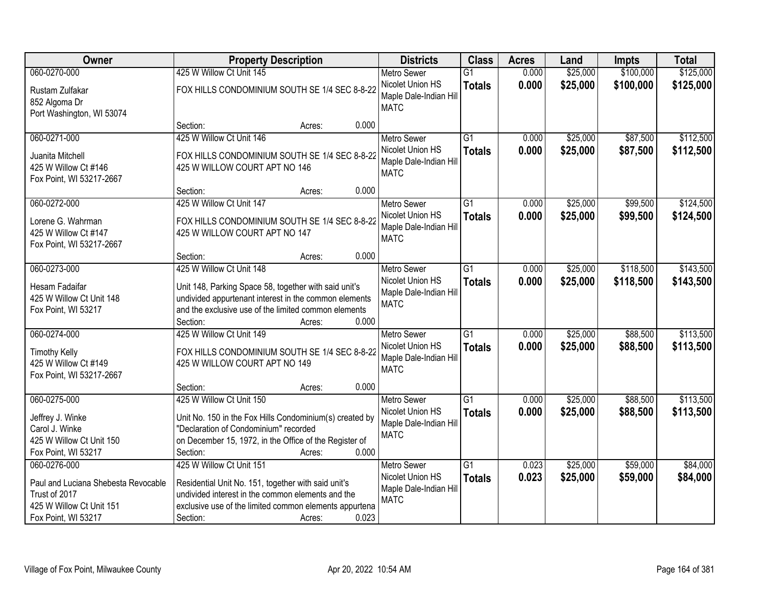| Owner                                                                                                                   | <b>Property Description</b>                                                                                                                                                                                                   | <b>Districts</b>                                                                | <b>Class</b>                     | <b>Acres</b>   | Land                 | <b>Impts</b>           | <b>Total</b>           |
|-------------------------------------------------------------------------------------------------------------------------|-------------------------------------------------------------------------------------------------------------------------------------------------------------------------------------------------------------------------------|---------------------------------------------------------------------------------|----------------------------------|----------------|----------------------|------------------------|------------------------|
| 060-0270-000                                                                                                            | 425 W Willow Ct Unit 145                                                                                                                                                                                                      | <b>Metro Sewer</b>                                                              | $\overline{G1}$                  | 0.000          | \$25,000             | \$100,000              | \$125,000              |
| Rustam Zulfakar<br>852 Algoma Dr<br>Port Washington, WI 53074                                                           | FOX HILLS CONDOMINIUM SOUTH SE 1/4 SEC 8-8-22                                                                                                                                                                                 | Nicolet Union HS<br>Maple Dale-Indian Hill<br><b>MATC</b>                       | <b>Totals</b>                    | 0.000          | \$25,000             | \$100,000              | \$125,000              |
|                                                                                                                         | 0.000<br>Section:<br>Acres:                                                                                                                                                                                                   |                                                                                 |                                  |                |                      |                        |                        |
| 060-0271-000<br>Juanita Mitchell<br>425 W Willow Ct #146<br>Fox Point, WI 53217-2667                                    | 425 W Willow Ct Unit 146<br>FOX HILLS CONDOMINIUM SOUTH SE 1/4 SEC 8-8-22<br>425 W WILLOW COURT APT NO 146                                                                                                                    | <b>Metro Sewer</b><br>Nicolet Union HS<br>Maple Dale-Indian Hill<br><b>MATC</b> | $\overline{G1}$<br><b>Totals</b> | 0.000<br>0.000 | \$25,000<br>\$25,000 | \$87,500<br>\$87,500   | \$112,500<br>\$112,500 |
|                                                                                                                         | 0.000<br>Section:<br>Acres:                                                                                                                                                                                                   |                                                                                 |                                  |                |                      |                        |                        |
| 060-0272-000<br>Lorene G. Wahrman<br>425 W Willow Ct #147<br>Fox Point, WI 53217-2667                                   | 425 W Willow Ct Unit 147<br>FOX HILLS CONDOMINIUM SOUTH SE 1/4 SEC 8-8-22<br>425 W WILLOW COURT APT NO 147                                                                                                                    | Metro Sewer<br>Nicolet Union HS<br>Maple Dale-Indian Hill<br><b>MATC</b>        | G1<br><b>Totals</b>              | 0.000<br>0.000 | \$25,000<br>\$25,000 | \$99,500<br>\$99,500   | \$124,500<br>\$124,500 |
|                                                                                                                         | 0.000<br>Section:<br>Acres:                                                                                                                                                                                                   |                                                                                 |                                  |                |                      |                        |                        |
| 060-0273-000<br>Hesam Fadaifar<br>425 W Willow Ct Unit 148<br>Fox Point, WI 53217                                       | 425 W Willow Ct Unit 148<br>Unit 148, Parking Space 58, together with said unit's<br>undivided appurtenant interest in the common elements<br>and the exclusive use of the limited common elements                            | <b>Metro Sewer</b><br>Nicolet Union HS<br>Maple Dale-Indian Hill<br><b>MATC</b> | $\overline{G1}$<br><b>Totals</b> | 0.000<br>0.000 | \$25,000<br>\$25,000 | \$118,500<br>\$118,500 | \$143,500<br>\$143,500 |
|                                                                                                                         | 0.000<br>Section:<br>Acres:                                                                                                                                                                                                   |                                                                                 |                                  |                |                      |                        |                        |
| 060-0274-000<br><b>Timothy Kelly</b><br>425 W Willow Ct #149<br>Fox Point, WI 53217-2667                                | 425 W Willow Ct Unit 149<br>FOX HILLS CONDOMINIUM SOUTH SE 1/4 SEC 8-8-22<br>425 W WILLOW COURT APT NO 149                                                                                                                    | Metro Sewer<br>Nicolet Union HS<br>Maple Dale-Indian Hill<br><b>MATC</b>        | $\overline{G1}$<br><b>Totals</b> | 0.000<br>0.000 | \$25,000<br>\$25,000 | \$88,500<br>\$88,500   | \$113,500<br>\$113,500 |
|                                                                                                                         | 0.000<br>Section:<br>Acres:                                                                                                                                                                                                   |                                                                                 |                                  |                |                      |                        |                        |
| 060-0275-000<br>Jeffrey J. Winke<br>Carol J. Winke<br>425 W Willow Ct Unit 150<br>Fox Point, WI 53217                   | 425 W Willow Ct Unit 150<br>Unit No. 150 in the Fox Hills Condominium(s) created by<br>"Declaration of Condominium" recorded<br>on December 15, 1972, in the Office of the Register of<br>0.000<br>Section:<br>Acres:         | Metro Sewer<br>Nicolet Union HS<br>Maple Dale-Indian Hill<br><b>MATC</b>        | $\overline{G1}$<br><b>Totals</b> | 0.000<br>0.000 | \$25,000<br>\$25,000 | \$88,500<br>\$88,500   | \$113,500<br>\$113,500 |
| 060-0276-000<br>Paul and Luciana Shebesta Revocable<br>Trust of 2017<br>425 W Willow Ct Unit 151<br>Fox Point, WI 53217 | 425 W Willow Ct Unit 151<br>Residential Unit No. 151, together with said unit's<br>undivided interest in the common elements and the<br>exclusive use of the limited common elements appurtena<br>0.023<br>Section:<br>Acres: | <b>Metro Sewer</b><br>Nicolet Union HS<br>Maple Dale-Indian Hill<br><b>MATC</b> | $\overline{G1}$<br><b>Totals</b> | 0.023<br>0.023 | \$25,000<br>\$25,000 | \$59,000<br>\$59,000   | \$84,000<br>\$84,000   |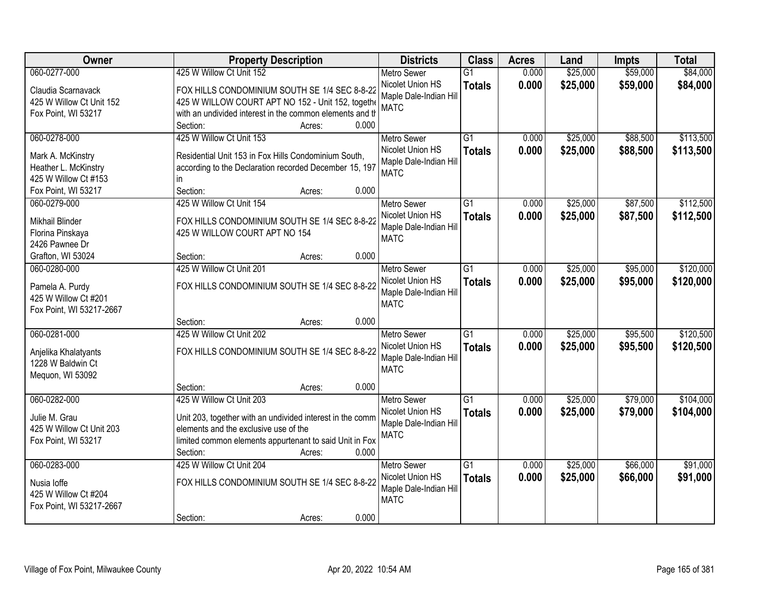| Owner                                     | <b>Property Description</b>                                                                                    | <b>Districts</b>       | <b>Class</b>    | <b>Acres</b> | Land     | <b>Impts</b> | <b>Total</b> |
|-------------------------------------------|----------------------------------------------------------------------------------------------------------------|------------------------|-----------------|--------------|----------|--------------|--------------|
| 060-0277-000                              | 425 W Willow Ct Unit 152                                                                                       | <b>Metro Sewer</b>     | $\overline{G1}$ | 0.000        | \$25,000 | \$59,000     | \$84,000     |
| Claudia Scarnavack                        | FOX HILLS CONDOMINIUM SOUTH SE 1/4 SEC 8-8-22                                                                  | Nicolet Union HS       | <b>Totals</b>   | 0.000        | \$25,000 | \$59,000     | \$84,000     |
| 425 W Willow Ct Unit 152                  | 425 W WILLOW COURT APT NO 152 - Unit 152, togethe                                                              | Maple Dale-Indian Hill |                 |              |          |              |              |
| Fox Point, WI 53217                       | with an undivided interest in the common elements and th                                                       | <b>MATC</b>            |                 |              |          |              |              |
|                                           | 0.000<br>Section:<br>Acres:                                                                                    |                        |                 |              |          |              |              |
| 060-0278-000                              | 425 W Willow Ct Unit 153                                                                                       | <b>Metro Sewer</b>     | $\overline{G1}$ | 0.000        | \$25,000 | \$88,500     | \$113,500    |
|                                           |                                                                                                                | Nicolet Union HS       | <b>Totals</b>   | 0.000        | \$25,000 | \$88,500     | \$113,500    |
| Mark A. McKinstry<br>Heather L. McKinstry | Residential Unit 153 in Fox Hills Condominium South,<br>according to the Declaration recorded December 15, 197 | Maple Dale-Indian Hill |                 |              |          |              |              |
| 425 W Willow Ct #153                      | in.                                                                                                            | <b>MATC</b>            |                 |              |          |              |              |
| Fox Point, WI 53217                       | Section:<br>0.000<br>Acres:                                                                                    |                        |                 |              |          |              |              |
| 060-0279-000                              | 425 W Willow Ct Unit 154                                                                                       | Metro Sewer            | G1              | 0.000        | \$25,000 | \$87,500     | \$112,500    |
|                                           |                                                                                                                | Nicolet Union HS       | <b>Totals</b>   | 0.000        | \$25,000 | \$87,500     | \$112,500    |
| Mikhail Blinder                           | FOX HILLS CONDOMINIUM SOUTH SE 1/4 SEC 8-8-22                                                                  | Maple Dale-Indian Hill |                 |              |          |              |              |
| Florina Pinskaya                          | 425 W WILLOW COURT APT NO 154                                                                                  | <b>MATC</b>            |                 |              |          |              |              |
| 2426 Pawnee Dr                            |                                                                                                                |                        |                 |              |          |              |              |
| Grafton, WI 53024                         | 0.000<br>Section:<br>Acres:                                                                                    |                        |                 |              |          |              |              |
| 060-0280-000                              | 425 W Willow Ct Unit 201                                                                                       | <b>Metro Sewer</b>     | G1              | 0.000        | \$25,000 | \$95,000     | \$120,000    |
| Pamela A. Purdy                           | FOX HILLS CONDOMINIUM SOUTH SE 1/4 SEC 8-8-22                                                                  | Nicolet Union HS       | <b>Totals</b>   | 0.000        | \$25,000 | \$95,000     | \$120,000    |
| 425 W Willow Ct #201                      |                                                                                                                | Maple Dale-Indian Hill |                 |              |          |              |              |
| Fox Point, WI 53217-2667                  |                                                                                                                | <b>MATC</b>            |                 |              |          |              |              |
|                                           | 0.000<br>Section:<br>Acres:                                                                                    |                        |                 |              |          |              |              |
| 060-0281-000                              | 425 W Willow Ct Unit 202                                                                                       | <b>Metro Sewer</b>     | $\overline{G1}$ | 0.000        | \$25,000 | \$95,500     | \$120,500    |
| Anjelika Khalatyants                      | FOX HILLS CONDOMINIUM SOUTH SE 1/4 SEC 8-8-22                                                                  | Nicolet Union HS       | <b>Totals</b>   | 0.000        | \$25,000 | \$95,500     | \$120,500    |
| 1228 W Baldwin Ct                         |                                                                                                                | Maple Dale-Indian Hill |                 |              |          |              |              |
| Mequon, WI 53092                          |                                                                                                                | <b>MATC</b>            |                 |              |          |              |              |
|                                           | 0.000<br>Section:<br>Acres:                                                                                    |                        |                 |              |          |              |              |
| 060-0282-000                              | 425 W Willow Ct Unit 203                                                                                       | Metro Sewer            | $\overline{G1}$ | 0.000        | \$25,000 | \$79,000     | \$104,000    |
|                                           |                                                                                                                | Nicolet Union HS       | <b>Totals</b>   | 0.000        | \$25,000 | \$79,000     | \$104,000    |
| Julie M. Grau<br>425 W Willow Ct Unit 203 | Unit 203, together with an undivided interest in the comm<br>elements and the exclusive use of the             | Maple Dale-Indian Hill |                 |              |          |              |              |
| Fox Point, WI 53217                       | limited common elements appurtenant to said Unit in Fox                                                        | <b>MATC</b>            |                 |              |          |              |              |
|                                           | 0.000<br>Section:<br>Acres:                                                                                    |                        |                 |              |          |              |              |
| 060-0283-000                              | 425 W Willow Ct Unit 204                                                                                       | <b>Metro Sewer</b>     | $\overline{G1}$ | 0.000        | \$25,000 | \$66,000     | \$91,000     |
|                                           |                                                                                                                | Nicolet Union HS       | <b>Totals</b>   | 0.000        | \$25,000 | \$66,000     | \$91,000     |
| Nusia loffe                               | FOX HILLS CONDOMINIUM SOUTH SE 1/4 SEC 8-8-22                                                                  | Maple Dale-Indian Hill |                 |              |          |              |              |
| 425 W Willow Ct #204                      |                                                                                                                | <b>MATC</b>            |                 |              |          |              |              |
| Fox Point, WI 53217-2667                  |                                                                                                                |                        |                 |              |          |              |              |
|                                           | 0.000<br>Section:<br>Acres:                                                                                    |                        |                 |              |          |              |              |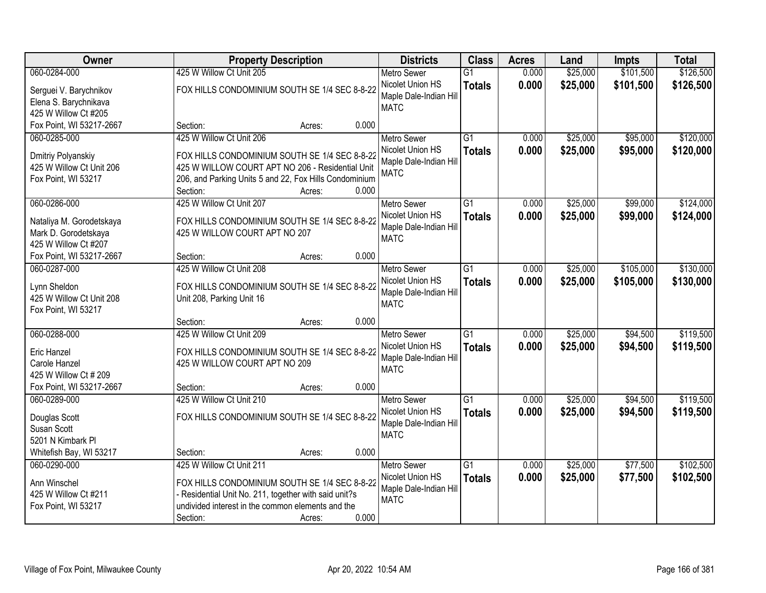| Owner                    |                                                        | <b>Property Description</b> |       | <b>Districts</b>       | <b>Class</b>    | <b>Acres</b> | Land     | <b>Impts</b> | <b>Total</b> |
|--------------------------|--------------------------------------------------------|-----------------------------|-------|------------------------|-----------------|--------------|----------|--------------|--------------|
| 060-0284-000             | 425 W Willow Ct Unit 205                               |                             |       | <b>Metro Sewer</b>     | $\overline{G1}$ | 0.000        | \$25,000 | \$101,500    | \$126,500    |
| Serguei V. Barychnikov   | FOX HILLS CONDOMINIUM SOUTH SE 1/4 SEC 8-8-22          |                             |       | Nicolet Union HS       | <b>Totals</b>   | 0.000        | \$25,000 | \$101,500    | \$126,500    |
| Elena S. Barychnikava    |                                                        |                             |       | Maple Dale-Indian Hill |                 |              |          |              |              |
| 425 W Willow Ct #205     |                                                        |                             |       | <b>MATC</b>            |                 |              |          |              |              |
| Fox Point, WI 53217-2667 | Section:                                               | Acres:                      | 0.000 |                        |                 |              |          |              |              |
| 060-0285-000             | 425 W Willow Ct Unit 206                               |                             |       | <b>Metro Sewer</b>     | $\overline{G1}$ | 0.000        | \$25,000 | \$95,000     | \$120,000    |
| Dmitriy Polyanskiy       | FOX HILLS CONDOMINIUM SOUTH SE 1/4 SEC 8-8-22          |                             |       | Nicolet Union HS       | <b>Totals</b>   | 0.000        | \$25,000 | \$95,000     | \$120,000    |
| 425 W Willow Ct Unit 206 | 425 W WILLOW COURT APT NO 206 - Residential Unit       |                             |       | Maple Dale-Indian Hill |                 |              |          |              |              |
| Fox Point, WI 53217      | 206, and Parking Units 5 and 22, Fox Hills Condominium |                             |       | <b>MATC</b>            |                 |              |          |              |              |
|                          | Section:                                               | Acres:                      | 0.000 |                        |                 |              |          |              |              |
| 060-0286-000             | 425 W Willow Ct Unit 207                               |                             |       | <b>Metro Sewer</b>     | G1              | 0.000        | \$25,000 | \$99,000     | \$124,000    |
| Nataliya M. Gorodetskaya | FOX HILLS CONDOMINIUM SOUTH SE 1/4 SEC 8-8-22          |                             |       | Nicolet Union HS       | <b>Totals</b>   | 0.000        | \$25,000 | \$99,000     | \$124,000    |
| Mark D. Gorodetskaya     | 425 W WILLOW COURT APT NO 207                          |                             |       | Maple Dale-Indian Hill |                 |              |          |              |              |
| 425 W Willow Ct #207     |                                                        |                             |       | <b>MATC</b>            |                 |              |          |              |              |
| Fox Point, WI 53217-2667 | Section:                                               | Acres:                      | 0.000 |                        |                 |              |          |              |              |
| 060-0287-000             | 425 W Willow Ct Unit 208                               |                             |       | <b>Metro Sewer</b>     | G1              | 0.000        | \$25,000 | \$105,000    | \$130,000    |
| Lynn Sheldon             | FOX HILLS CONDOMINIUM SOUTH SE 1/4 SEC 8-8-22          |                             |       | Nicolet Union HS       | <b>Totals</b>   | 0.000        | \$25,000 | \$105,000    | \$130,000    |
| 425 W Willow Ct Unit 208 | Unit 208, Parking Unit 16                              |                             |       | Maple Dale-Indian Hill |                 |              |          |              |              |
| Fox Point, WI 53217      |                                                        |                             |       | <b>MATC</b>            |                 |              |          |              |              |
|                          | Section:                                               | Acres:                      | 0.000 |                        |                 |              |          |              |              |
| 060-0288-000             | 425 W Willow Ct Unit 209                               |                             |       | <b>Metro Sewer</b>     | $\overline{G1}$ | 0.000        | \$25,000 | \$94,500     | \$119,500    |
| <b>Eric Hanzel</b>       | FOX HILLS CONDOMINIUM SOUTH SE 1/4 SEC 8-8-22          |                             |       | Nicolet Union HS       | <b>Totals</b>   | 0.000        | \$25,000 | \$94,500     | \$119,500    |
| Carole Hanzel            | 425 W WILLOW COURT APT NO 209                          |                             |       | Maple Dale-Indian Hill |                 |              |          |              |              |
| 425 W Willow Ct # 209    |                                                        |                             |       | <b>MATC</b>            |                 |              |          |              |              |
| Fox Point, WI 53217-2667 | Section:                                               | Acres:                      | 0.000 |                        |                 |              |          |              |              |
| 060-0289-000             | 425 W Willow Ct Unit 210                               |                             |       | <b>Metro Sewer</b>     | $\overline{G1}$ | 0.000        | \$25,000 | \$94,500     | \$119,500    |
| Douglas Scott            | FOX HILLS CONDOMINIUM SOUTH SE 1/4 SEC 8-8-22          |                             |       | Nicolet Union HS       | <b>Totals</b>   | 0.000        | \$25,000 | \$94,500     | \$119,500    |
| Susan Scott              |                                                        |                             |       | Maple Dale-Indian Hill |                 |              |          |              |              |
| 5201 N Kimbark PI        |                                                        |                             |       | <b>MATC</b>            |                 |              |          |              |              |
| Whitefish Bay, WI 53217  | Section:                                               | Acres:                      | 0.000 |                        |                 |              |          |              |              |
| 060-0290-000             | 425 W Willow Ct Unit 211                               |                             |       | <b>Metro Sewer</b>     | $\overline{G1}$ | 0.000        | \$25,000 | \$77,500     | \$102,500    |
| Ann Winschel             | FOX HILLS CONDOMINIUM SOUTH SE 1/4 SEC 8-8-22          |                             |       | Nicolet Union HS       | <b>Totals</b>   | 0.000        | \$25,000 | \$77,500     | \$102,500    |
| 425 W Willow Ct #211     | - Residential Unit No. 211, together with said unit?s  |                             |       | Maple Dale-Indian Hill |                 |              |          |              |              |
| Fox Point, WI 53217      | undivided interest in the common elements and the      |                             |       | <b>MATC</b>            |                 |              |          |              |              |
|                          | Section:                                               | Acres:                      | 0.000 |                        |                 |              |          |              |              |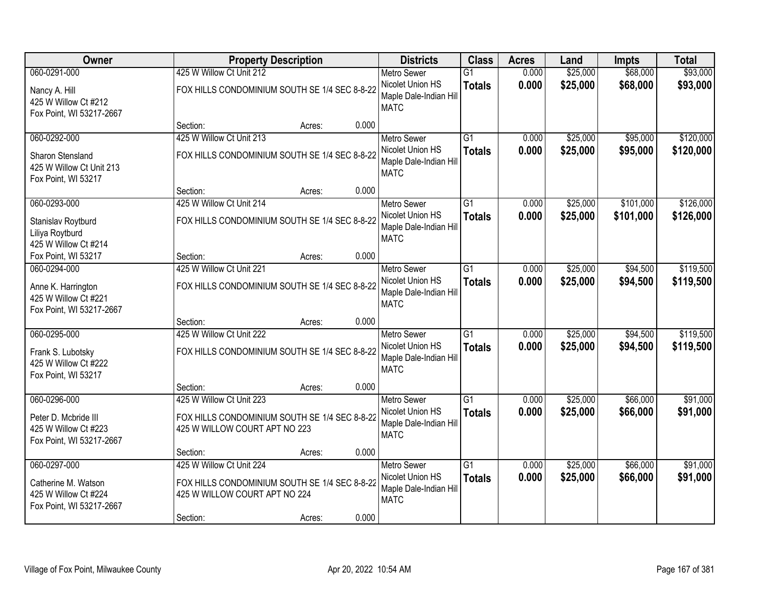| Owner                                                                            |                                                                           | <b>Property Description</b>                   |       | <b>Districts</b>                                                                | <b>Class</b>                     | <b>Acres</b>   | Land                 | <b>Impts</b>         | <b>Total</b>           |
|----------------------------------------------------------------------------------|---------------------------------------------------------------------------|-----------------------------------------------|-------|---------------------------------------------------------------------------------|----------------------------------|----------------|----------------------|----------------------|------------------------|
| 060-0291-000                                                                     | 425 W Willow Ct Unit 212                                                  |                                               |       | <b>Metro Sewer</b>                                                              | $\overline{G1}$                  | 0.000          | \$25,000             | \$68,000             | \$93,000               |
| Nancy A. Hill<br>425 W Willow Ct #212<br>Fox Point, WI 53217-2667                | FOX HILLS CONDOMINIUM SOUTH SE 1/4 SEC 8-8-22                             |                                               |       | Nicolet Union HS<br>Maple Dale-Indian Hill<br><b>MATC</b>                       | <b>Totals</b>                    | 0.000          | \$25,000             | \$68,000             | \$93,000               |
|                                                                                  | Section:                                                                  | Acres:                                        | 0.000 |                                                                                 |                                  |                |                      |                      |                        |
| 060-0292-000                                                                     | 425 W Willow Ct Unit 213                                                  |                                               |       | <b>Metro Sewer</b>                                                              | $\overline{G1}$                  | 0.000          | \$25,000             | \$95,000             | \$120,000              |
| <b>Sharon Stensland</b><br>425 W Willow Ct Unit 213<br>Fox Point, WI 53217       |                                                                           | FOX HILLS CONDOMINIUM SOUTH SE 1/4 SEC 8-8-22 |       | Nicolet Union HS<br>Maple Dale-Indian Hill<br><b>MATC</b>                       | <b>Totals</b>                    | 0.000          | \$25,000             | \$95,000             | \$120,000              |
|                                                                                  | Section:                                                                  | Acres:                                        | 0.000 |                                                                                 |                                  |                |                      |                      |                        |
| 060-0293-000                                                                     | 425 W Willow Ct Unit 214                                                  |                                               |       | Metro Sewer                                                                     | $\overline{G1}$                  | 0.000          | \$25,000             | \$101,000            | \$126,000              |
| Stanislav Roytburd<br>Liliya Roytburd<br>425 W Willow Ct #214                    |                                                                           | FOX HILLS CONDOMINIUM SOUTH SE 1/4 SEC 8-8-22 |       | Nicolet Union HS<br>Maple Dale-Indian Hill<br><b>MATC</b>                       | <b>Totals</b>                    | 0.000          | \$25,000             | \$101,000            | \$126,000              |
| Fox Point, WI 53217                                                              | Section:                                                                  | Acres:                                        | 0.000 |                                                                                 |                                  |                |                      |                      |                        |
| 060-0294-000                                                                     | 425 W Willow Ct Unit 221                                                  |                                               |       | <b>Metro Sewer</b>                                                              | $\overline{G1}$                  | 0.000          | \$25,000             | \$94,500             | \$119,500              |
| Anne K. Harrington<br>425 W Willow Ct #221<br>Fox Point, WI 53217-2667           |                                                                           | FOX HILLS CONDOMINIUM SOUTH SE 1/4 SEC 8-8-22 |       | Nicolet Union HS<br>Maple Dale-Indian Hill<br><b>MATC</b>                       | <b>Totals</b>                    | 0.000          | \$25,000             | \$94,500             | \$119,500              |
|                                                                                  | Section:                                                                  | Acres:                                        | 0.000 |                                                                                 |                                  |                |                      |                      |                        |
| 060-0295-000<br>Frank S. Lubotsky<br>425 W Willow Ct #222<br>Fox Point, WI 53217 | 425 W Willow Ct Unit 222<br>FOX HILLS CONDOMINIUM SOUTH SE 1/4 SEC 8-8-22 |                                               |       | <b>Metro Sewer</b><br>Nicolet Union HS<br>Maple Dale-Indian Hill<br><b>MATC</b> | $\overline{G1}$<br><b>Totals</b> | 0.000<br>0.000 | \$25,000<br>\$25,000 | \$94,500<br>\$94,500 | \$119,500<br>\$119,500 |
|                                                                                  | Section:                                                                  | Acres:                                        | 0.000 |                                                                                 |                                  |                |                      |                      |                        |
| 060-0296-000                                                                     | 425 W Willow Ct Unit 223                                                  |                                               |       | <b>Metro Sewer</b>                                                              | $\overline{G1}$                  | 0.000          | \$25,000             | \$66,000             | \$91,000               |
| Peter D. Mcbride III<br>425 W Willow Ct #223<br>Fox Point, WI 53217-2667         | 425 W WILLOW COURT APT NO 223                                             | FOX HILLS CONDOMINIUM SOUTH SE 1/4 SEC 8-8-22 |       | Nicolet Union HS<br>Maple Dale-Indian Hill<br><b>MATC</b>                       | <b>Totals</b>                    | 0.000          | \$25,000             | \$66,000             | \$91,000               |
|                                                                                  | Section:                                                                  | Acres:                                        | 0.000 |                                                                                 |                                  |                |                      |                      |                        |
| 060-0297-000                                                                     | 425 W Willow Ct Unit 224                                                  |                                               |       | <b>Metro Sewer</b>                                                              | $\overline{G1}$                  | 0.000          | \$25,000             | \$66,000             | \$91,000               |
| Catherine M. Watson<br>425 W Willow Ct #224<br>Fox Point, WI 53217-2667          | 425 W WILLOW COURT APT NO 224                                             | FOX HILLS CONDOMINIUM SOUTH SE 1/4 SEC 8-8-22 |       | Nicolet Union HS<br>Maple Dale-Indian Hill<br><b>MATC</b>                       | <b>Totals</b>                    | 0.000          | \$25,000             | \$66,000             | \$91,000               |
|                                                                                  | Section:                                                                  | Acres:                                        | 0.000 |                                                                                 |                                  |                |                      |                      |                        |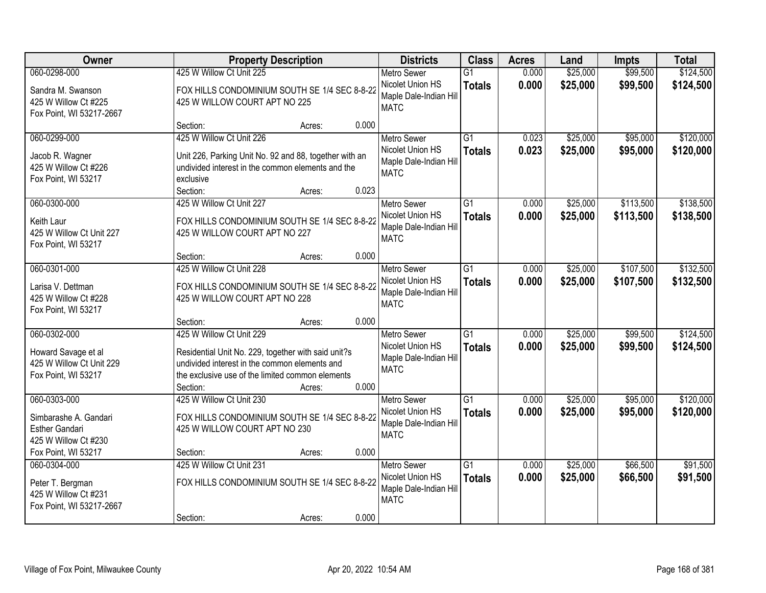| Owner                                                                                  |                                                                                                                                                                                                  | <b>Property Description</b> |       | <b>Districts</b>                                                                | <b>Class</b>                     | <b>Acres</b>   | Land                 | <b>Impts</b>           | <b>Total</b>           |
|----------------------------------------------------------------------------------------|--------------------------------------------------------------------------------------------------------------------------------------------------------------------------------------------------|-----------------------------|-------|---------------------------------------------------------------------------------|----------------------------------|----------------|----------------------|------------------------|------------------------|
| 060-0298-000<br>Sandra M. Swanson<br>425 W Willow Ct #225<br>Fox Point, WI 53217-2667  | 425 W Willow Ct Unit 225<br>FOX HILLS CONDOMINIUM SOUTH SE 1/4 SEC 8-8-22<br>425 W WILLOW COURT APT NO 225                                                                                       |                             |       | <b>Metro Sewer</b><br>Nicolet Union HS<br>Maple Dale-Indian Hill<br><b>MATC</b> | $\overline{G1}$<br><b>Totals</b> | 0.000<br>0.000 | \$25,000<br>\$25,000 | \$99,500<br>\$99,500   | \$124,500<br>\$124,500 |
|                                                                                        | Section:                                                                                                                                                                                         | Acres:                      | 0.000 |                                                                                 |                                  |                |                      |                        |                        |
| 060-0299-000<br>Jacob R. Wagner<br>425 W Willow Ct #226<br>Fox Point, WI 53217         | 425 W Willow Ct Unit 226<br>Unit 226, Parking Unit No. 92 and 88, together with an<br>undivided interest in the common elements and the<br>exclusive<br>Section:                                 | Acres:                      | 0.023 | <b>Metro Sewer</b><br>Nicolet Union HS<br>Maple Dale-Indian Hill<br><b>MATC</b> | $\overline{G1}$<br><b>Totals</b> | 0.023<br>0.023 | \$25,000<br>\$25,000 | \$95,000<br>\$95,000   | \$120,000<br>\$120,000 |
| 060-0300-000<br>Keith Laur<br>425 W Willow Ct Unit 227<br>Fox Point, WI 53217          | 425 W Willow Ct Unit 227<br>FOX HILLS CONDOMINIUM SOUTH SE 1/4 SEC 8-8-22<br>425 W WILLOW COURT APT NO 227                                                                                       |                             |       | Metro Sewer<br>Nicolet Union HS<br>Maple Dale-Indian Hill<br><b>MATC</b>        | $\overline{G1}$<br><b>Totals</b> | 0.000<br>0.000 | \$25,000<br>\$25,000 | \$113,500<br>\$113,500 | \$138,500<br>\$138,500 |
|                                                                                        | Section:                                                                                                                                                                                         | Acres:                      | 0.000 |                                                                                 |                                  |                |                      |                        |                        |
| 060-0301-000<br>Larisa V. Dettman<br>425 W Willow Ct #228<br>Fox Point, WI 53217       | 425 W Willow Ct Unit 228<br>FOX HILLS CONDOMINIUM SOUTH SE 1/4 SEC 8-8-22<br>425 W WILLOW COURT APT NO 228                                                                                       |                             |       | <b>Metro Sewer</b><br>Nicolet Union HS<br>Maple Dale-Indian Hill<br><b>MATC</b> | $\overline{G1}$<br><b>Totals</b> | 0.000<br>0.000 | \$25,000<br>\$25,000 | \$107,500<br>\$107,500 | \$132,500<br>\$132,500 |
|                                                                                        | Section:                                                                                                                                                                                         | Acres:                      | 0.000 |                                                                                 |                                  |                |                      |                        |                        |
| 060-0302-000<br>Howard Savage et al<br>425 W Willow Ct Unit 229<br>Fox Point, WI 53217 | 425 W Willow Ct Unit 229<br>Residential Unit No. 229, together with said unit?s<br>undivided interest in the common elements and<br>the exclusive use of the limited common elements<br>Section: | Acres:                      | 0.000 | <b>Metro Sewer</b><br>Nicolet Union HS<br>Maple Dale-Indian Hill<br><b>MATC</b> | $\overline{G1}$<br><b>Totals</b> | 0.000<br>0.000 | \$25,000<br>\$25,000 | \$99,500<br>\$99,500   | \$124,500<br>\$124,500 |
| 060-0303-000<br>Simbarashe A. Gandari<br><b>Esther Gandari</b><br>425 W Willow Ct #230 | 425 W Willow Ct Unit 230<br>FOX HILLS CONDOMINIUM SOUTH SE 1/4 SEC 8-8-22<br>425 W WILLOW COURT APT NO 230                                                                                       |                             |       | Metro Sewer<br>Nicolet Union HS<br>Maple Dale-Indian Hill<br><b>MATC</b>        | $\overline{G1}$<br><b>Totals</b> | 0.000<br>0.000 | \$25,000<br>\$25,000 | \$95,000<br>\$95,000   | \$120,000<br>\$120,000 |
| Fox Point, WI 53217<br>060-0304-000                                                    | Section:<br>425 W Willow Ct Unit 231                                                                                                                                                             | Acres:                      | 0.000 | <b>Metro Sewer</b>                                                              | $\overline{G1}$                  | 0.000          | \$25,000             | \$66,500               | \$91,500               |
| Peter T. Bergman<br>425 W Willow Ct #231<br>Fox Point, WI 53217-2667                   | FOX HILLS CONDOMINIUM SOUTH SE 1/4 SEC 8-8-22<br>Section:                                                                                                                                        |                             | 0.000 | Nicolet Union HS<br>Maple Dale-Indian Hill<br><b>MATC</b>                       | <b>Totals</b>                    | 0.000          | \$25,000             | \$66,500               | \$91,500               |
|                                                                                        |                                                                                                                                                                                                  | Acres:                      |       |                                                                                 |                                  |                |                      |                        |                        |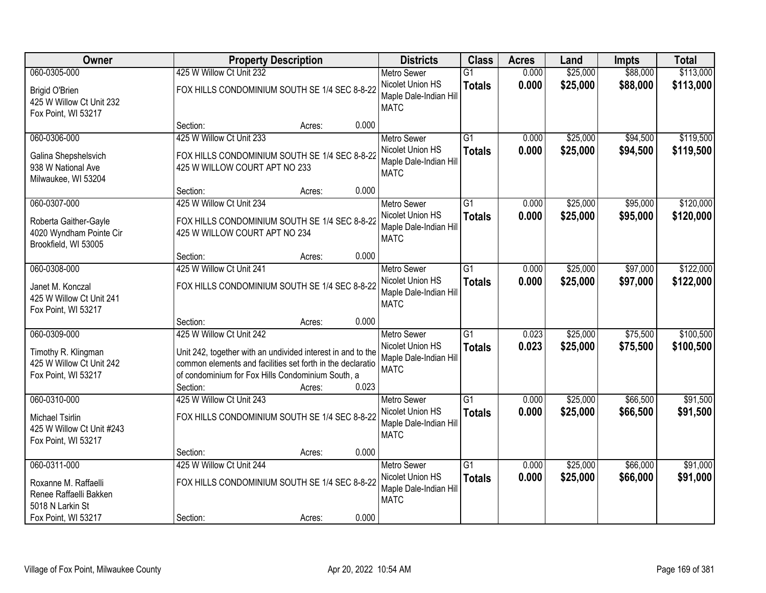| Owner                                                                                  |                                                           | <b>Property Description</b>                                                                                                                                                              |       |                                                                                 | <b>Class</b>                     | <b>Acres</b>   | Land                 | <b>Impts</b>         | <b>Total</b>           |
|----------------------------------------------------------------------------------------|-----------------------------------------------------------|------------------------------------------------------------------------------------------------------------------------------------------------------------------------------------------|-------|---------------------------------------------------------------------------------|----------------------------------|----------------|----------------------|----------------------|------------------------|
| 060-0305-000                                                                           | 425 W Willow Ct Unit 232                                  |                                                                                                                                                                                          |       | <b>Metro Sewer</b>                                                              | $\overline{G1}$                  | 0.000          | \$25,000             | \$88,000             | \$113,000              |
| <b>Brigid O'Brien</b><br>425 W Willow Ct Unit 232<br>Fox Point, WI 53217               |                                                           | FOX HILLS CONDOMINIUM SOUTH SE 1/4 SEC 8-8-22                                                                                                                                            |       | Nicolet Union HS<br>Maple Dale-Indian Hill<br><b>MATC</b>                       | <b>Totals</b>                    | 0.000          | \$25,000             | \$88,000             | \$113,000              |
|                                                                                        | Section:                                                  | Acres:                                                                                                                                                                                   | 0.000 |                                                                                 |                                  |                |                      |                      |                        |
| 060-0306-000<br>Galina Shepshelsvich<br>938 W National Ave<br>Milwaukee, WI 53204      | 425 W Willow Ct Unit 233<br>425 W WILLOW COURT APT NO 233 | FOX HILLS CONDOMINIUM SOUTH SE 1/4 SEC 8-8-22                                                                                                                                            |       | <b>Metro Sewer</b><br>Nicolet Union HS<br>Maple Dale-Indian Hill<br><b>MATC</b> | $\overline{G1}$<br><b>Totals</b> | 0.000<br>0.000 | \$25,000<br>\$25,000 | \$94,500<br>\$94,500 | \$119,500<br>\$119,500 |
|                                                                                        | Section:                                                  | Acres:                                                                                                                                                                                   | 0.000 |                                                                                 |                                  |                |                      |                      |                        |
| 060-0307-000                                                                           | 425 W Willow Ct Unit 234                                  |                                                                                                                                                                                          |       | Metro Sewer                                                                     | $\overline{G1}$                  | 0.000          | \$25,000             | \$95,000             | \$120,000              |
| Roberta Gaither-Gayle<br>4020 Wyndham Pointe Cir<br>Brookfield, WI 53005               | 425 W WILLOW COURT APT NO 234                             | FOX HILLS CONDOMINIUM SOUTH SE 1/4 SEC 8-8-22                                                                                                                                            |       | Nicolet Union HS<br>Maple Dale-Indian Hill<br><b>MATC</b>                       | <b>Totals</b>                    | 0.000          | \$25,000             | \$95,000             | \$120,000              |
|                                                                                        | Section:                                                  | Acres:                                                                                                                                                                                   | 0.000 |                                                                                 |                                  |                |                      |                      |                        |
| 060-0308-000                                                                           | 425 W Willow Ct Unit 241                                  |                                                                                                                                                                                          |       | <b>Metro Sewer</b>                                                              | $\overline{G1}$                  | 0.000          | \$25,000             | \$97,000             | \$122,000              |
| Janet M. Konczal<br>425 W Willow Ct Unit 241<br>Fox Point, WI 53217                    |                                                           | FOX HILLS CONDOMINIUM SOUTH SE 1/4 SEC 8-8-22                                                                                                                                            |       | Nicolet Union HS<br>Maple Dale-Indian Hill<br><b>MATC</b>                       | <b>Totals</b>                    | 0.000          | \$25,000             | \$97,000             | \$122,000              |
|                                                                                        | Section:                                                  | Acres:                                                                                                                                                                                   | 0.000 |                                                                                 |                                  |                |                      |                      |                        |
| 060-0309-000<br>Timothy R. Klingman<br>425 W Willow Ct Unit 242<br>Fox Point, WI 53217 | 425 W Willow Ct Unit 242<br>Section:                      | Unit 242, together with an undivided interest in and to the<br>common elements and facilities set forth in the declaratio<br>of condominium for Fox Hills Condominium South, a<br>Acres: | 0.023 | <b>Metro Sewer</b><br>Nicolet Union HS<br>Maple Dale-Indian Hill<br><b>MATC</b> | $\overline{G1}$<br><b>Totals</b> | 0.023<br>0.023 | \$25,000<br>\$25,000 | \$75,500<br>\$75,500 | \$100,500<br>\$100,500 |
| 060-0310-000                                                                           | 425 W Willow Ct Unit 243                                  |                                                                                                                                                                                          |       | Metro Sewer                                                                     | $\overline{G1}$                  | 0.000          | \$25,000             | \$66,500             | \$91,500               |
| Michael Tsirlin<br>425 W Willow Ct Unit #243<br>Fox Point, WI 53217                    |                                                           | FOX HILLS CONDOMINIUM SOUTH SE 1/4 SEC 8-8-22                                                                                                                                            |       | Nicolet Union HS<br>Maple Dale-Indian Hill<br><b>MATC</b>                       | <b>Totals</b>                    | 0.000          | \$25,000             | \$66,500             | \$91,500               |
|                                                                                        | Section:                                                  | Acres:                                                                                                                                                                                   | 0.000 |                                                                                 |                                  |                |                      |                      |                        |
| 060-0311-000                                                                           | 425 W Willow Ct Unit 244                                  |                                                                                                                                                                                          |       | <b>Metro Sewer</b>                                                              | $\overline{G1}$                  | 0.000          | \$25,000             | \$66,000             | \$91,000               |
| Roxanne M. Raffaelli<br>Renee Raffaelli Bakken<br>5018 N Larkin St                     |                                                           | FOX HILLS CONDOMINIUM SOUTH SE 1/4 SEC 8-8-22                                                                                                                                            |       | Nicolet Union HS<br>Maple Dale-Indian Hill<br><b>MATC</b>                       | <b>Totals</b>                    | 0.000          | \$25,000             | \$66,000             | \$91,000               |
| Fox Point, WI 53217                                                                    | Section:                                                  | Acres:                                                                                                                                                                                   | 0.000 |                                                                                 |                                  |                |                      |                      |                        |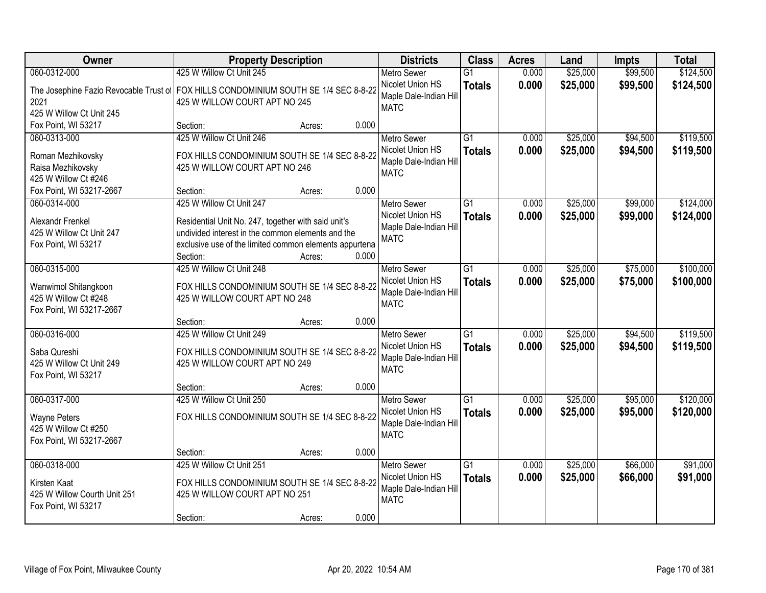| Owner                                                                                                      | <b>Property Description</b>                                                                                                                                                              | <b>Districts</b> | <b>Class</b>                                                                    | <b>Acres</b>                     | Land           | <b>Impts</b>         | <b>Total</b>         |                        |
|------------------------------------------------------------------------------------------------------------|------------------------------------------------------------------------------------------------------------------------------------------------------------------------------------------|------------------|---------------------------------------------------------------------------------|----------------------------------|----------------|----------------------|----------------------|------------------------|
| 060-0312-000<br>2021<br>425 W Willow Ct Unit 245                                                           | 425 W Willow Ct Unit 245<br>The Josephine Fazio Revocable Trust of FOX HILLS CONDOMINIUM SOUTH SE 1/4 SEC 8-8-22<br>425 W WILLOW COURT APT NO 245                                        |                  | <b>Metro Sewer</b><br>Nicolet Union HS<br>Maple Dale-Indian Hill<br><b>MATC</b> | $\overline{G1}$<br><b>Totals</b> | 0.000<br>0.000 | \$25,000<br>\$25,000 | \$99,500<br>\$99,500 | \$124,500<br>\$124,500 |
| Fox Point, WI 53217                                                                                        | Section:<br>Acres:                                                                                                                                                                       | 0.000            |                                                                                 |                                  |                |                      |                      |                        |
| 060-0313-000<br>Roman Mezhikovsky<br>Raisa Mezhikovsky<br>425 W Willow Ct #246<br>Fox Point, WI 53217-2667 | 425 W Willow Ct Unit 246<br>FOX HILLS CONDOMINIUM SOUTH SE 1/4 SEC 8-8-22<br>425 W WILLOW COURT APT NO 246<br>Section:<br>Acres:                                                         | 0.000            | <b>Metro Sewer</b><br>Nicolet Union HS<br>Maple Dale-Indian Hill<br><b>MATC</b> | $\overline{G1}$<br><b>Totals</b> | 0.000<br>0.000 | \$25,000<br>\$25,000 | \$94,500<br>\$94,500 | \$119,500<br>\$119,500 |
| 060-0314-000                                                                                               | 425 W Willow Ct Unit 247                                                                                                                                                                 |                  | <b>Metro Sewer</b>                                                              | G1                               | 0.000          | \$25,000             | \$99,000             | \$124,000              |
| Alexandr Frenkel<br>425 W Willow Ct Unit 247<br>Fox Point, WI 53217                                        | Residential Unit No. 247, together with said unit's<br>undivided interest in the common elements and the<br>exclusive use of the limited common elements appurtena<br>Section:<br>Acres: | 0.000            | Nicolet Union HS<br>Maple Dale-Indian Hill<br><b>MATC</b>                       | <b>Totals</b>                    | 0.000          | \$25,000             | \$99,000             | \$124,000              |
| 060-0315-000                                                                                               | 425 W Willow Ct Unit 248                                                                                                                                                                 |                  | <b>Metro Sewer</b>                                                              | G1                               | 0.000          | \$25,000             | \$75,000             | \$100,000              |
| Wanwimol Shitangkoon<br>425 W Willow Ct #248<br>Fox Point, WI 53217-2667                                   | FOX HILLS CONDOMINIUM SOUTH SE 1/4 SEC 8-8-22<br>425 W WILLOW COURT APT NO 248                                                                                                           |                  | Nicolet Union HS<br>Maple Dale-Indian Hill<br><b>MATC</b>                       | <b>Totals</b>                    | 0.000          | \$25,000             | \$75,000             | \$100,000              |
|                                                                                                            | Section:<br>Acres:                                                                                                                                                                       | 0.000            |                                                                                 |                                  |                |                      |                      |                        |
| 060-0316-000<br>Saba Qureshi<br>425 W Willow Ct Unit 249<br>Fox Point, WI 53217                            | 425 W Willow Ct Unit 249<br>FOX HILLS CONDOMINIUM SOUTH SE 1/4 SEC 8-8-22<br>425 W WILLOW COURT APT NO 249<br>Section:<br>Acres:                                                         | 0.000            | <b>Metro Sewer</b><br>Nicolet Union HS<br>Maple Dale-Indian Hill<br><b>MATC</b> | $\overline{G1}$<br><b>Totals</b> | 0.000<br>0.000 | \$25,000<br>\$25,000 | \$94,500<br>\$94,500 | \$119,500<br>\$119,500 |
| 060-0317-000                                                                                               | 425 W Willow Ct Unit 250                                                                                                                                                                 |                  | <b>Metro Sewer</b>                                                              | $\overline{G1}$                  | 0.000          | \$25,000             | \$95,000             | \$120,000              |
| <b>Wayne Peters</b><br>425 W Willow Ct #250<br>Fox Point, WI 53217-2667                                    | FOX HILLS CONDOMINIUM SOUTH SE 1/4 SEC 8-8-22                                                                                                                                            |                  | Nicolet Union HS<br>Maple Dale-Indian Hill<br><b>MATC</b>                       | <b>Totals</b>                    | 0.000          | \$25,000             | \$95,000             | \$120,000              |
|                                                                                                            | Section:<br>Acres:                                                                                                                                                                       | 0.000            |                                                                                 |                                  |                |                      |                      |                        |
| 060-0318-000<br>Kirsten Kaat<br>425 W Willow Courth Unit 251<br>Fox Point, WI 53217                        | 425 W Willow Ct Unit 251<br>FOX HILLS CONDOMINIUM SOUTH SE 1/4 SEC 8-8-22<br>425 W WILLOW COURT APT NO 251<br>Section:<br>Acres:                                                         | 0.000            | <b>Metro Sewer</b><br>Nicolet Union HS<br>Maple Dale-Indian Hill<br><b>MATC</b> | $\overline{G1}$<br><b>Totals</b> | 0.000<br>0.000 | \$25,000<br>\$25,000 | \$66,000<br>\$66,000 | \$91,000<br>\$91,000   |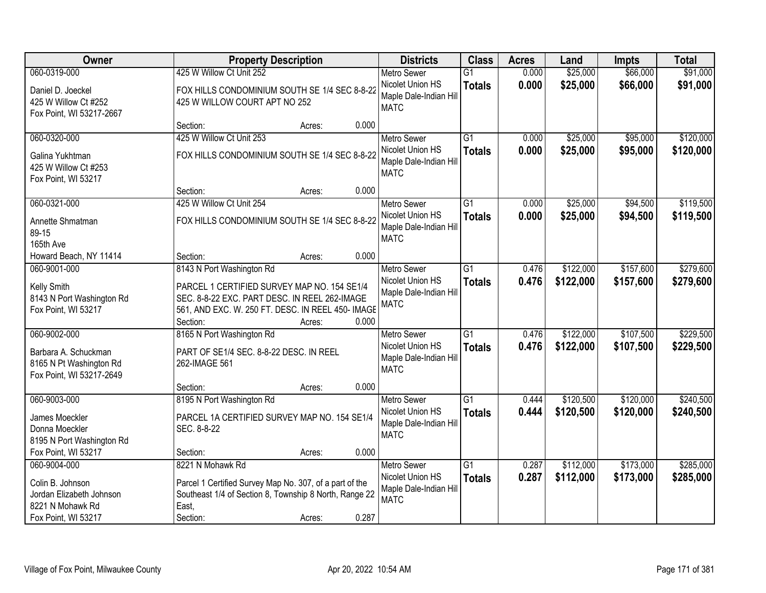| Owner                                                                       |                                                                                                                                                               | <b>Property Description</b> |       |                                                                  | <b>Class</b>                     | <b>Acres</b>   | Land                   | <b>Impts</b>         | <b>Total</b>           |
|-----------------------------------------------------------------------------|---------------------------------------------------------------------------------------------------------------------------------------------------------------|-----------------------------|-------|------------------------------------------------------------------|----------------------------------|----------------|------------------------|----------------------|------------------------|
| 060-0319-000                                                                | 425 W Willow Ct Unit 252                                                                                                                                      |                             |       | <b>Metro Sewer</b>                                               | $\overline{G1}$                  | 0.000          | \$25,000               | \$66,000             | \$91,000               |
| Daniel D. Joeckel<br>425 W Willow Ct #252<br>Fox Point, WI 53217-2667       | FOX HILLS CONDOMINIUM SOUTH SE 1/4 SEC 8-8-22<br>425 W WILLOW COURT APT NO 252                                                                                |                             |       | Nicolet Union HS<br>Maple Dale-Indian Hill<br><b>MATC</b>        | <b>Totals</b>                    | 0.000          | \$25,000               | \$66,000             | \$91,000               |
|                                                                             | Section:                                                                                                                                                      | Acres:                      | 0.000 |                                                                  |                                  |                |                        |                      |                        |
| 060-0320-000<br>Galina Yukhtman                                             | 425 W Willow Ct Unit 253<br>FOX HILLS CONDOMINIUM SOUTH SE 1/4 SEC 8-8-22                                                                                     |                             |       | <b>Metro Sewer</b><br>Nicolet Union HS<br>Maple Dale-Indian Hill | $\overline{G1}$<br><b>Totals</b> | 0.000<br>0.000 | \$25,000<br>\$25,000   | \$95,000<br>\$95,000 | \$120,000<br>\$120,000 |
| 425 W Willow Ct #253<br>Fox Point, WI 53217                                 | Section:                                                                                                                                                      | Acres:                      | 0.000 | <b>MATC</b>                                                      |                                  |                |                        |                      |                        |
| 060-0321-000                                                                | 425 W Willow Ct Unit 254                                                                                                                                      |                             |       | Metro Sewer                                                      | $\overline{G1}$                  | 0.000          | \$25,000               | \$94,500             | \$119,500              |
| Annette Shmatman<br>89-15<br>165th Ave                                      | FOX HILLS CONDOMINIUM SOUTH SE 1/4 SEC 8-8-22                                                                                                                 |                             |       | Nicolet Union HS<br>Maple Dale-Indian Hill<br><b>MATC</b>        | <b>Totals</b>                    | 0.000          | \$25,000               | \$94,500             | \$119,500              |
| Howard Beach, NY 11414                                                      | Section:                                                                                                                                                      | Acres:                      | 0.000 |                                                                  |                                  |                |                        |                      |                        |
| 060-9001-000                                                                | 8143 N Port Washington Rd                                                                                                                                     |                             |       | <b>Metro Sewer</b>                                               | G1                               | 0.476          | \$122,000              | \$157,600            | \$279,600              |
| Kelly Smith<br>8143 N Port Washington Rd<br>Fox Point, WI 53217             | PARCEL 1 CERTIFIED SURVEY MAP NO. 154 SE1/4<br>SEC. 8-8-22 EXC. PART DESC. IN REEL 262-IMAGE<br>561, AND EXC. W. 250 FT. DESC. IN REEL 450- IMAGE<br>Section: | Acres:                      | 0.000 | Nicolet Union HS<br>Maple Dale-Indian Hill<br><b>MATC</b>        | <b>Totals</b>                    | 0.476          | \$122,000              | \$157,600            | \$279,600              |
| 060-9002-000                                                                | 8165 N Port Washington Rd                                                                                                                                     |                             |       | <b>Metro Sewer</b>                                               | $\overline{G1}$                  | 0.476          | \$122,000              | \$107,500            | \$229,500              |
| Barbara A. Schuckman<br>8165 N Pt Washington Rd<br>Fox Point, WI 53217-2649 | PART OF SE1/4 SEC. 8-8-22 DESC. IN REEL<br>262-IMAGE 561                                                                                                      |                             |       | Nicolet Union HS<br>Maple Dale-Indian Hill<br><b>MATC</b>        | <b>Totals</b>                    | 0.476          | \$122,000              | \$107,500            | \$229,500              |
|                                                                             | Section:                                                                                                                                                      | Acres:                      | 0.000 |                                                                  |                                  |                |                        |                      |                        |
| 060-9003-000                                                                | 8195 N Port Washington Rd                                                                                                                                     |                             |       | Metro Sewer                                                      | G1                               | 0.444          | \$120,500              | \$120,000            | \$240,500              |
| James Moeckler<br>Donna Moeckler<br>8195 N Port Washington Rd               | PARCEL 1A CERTIFIED SURVEY MAP NO. 154 SE1/4<br>SEC. 8-8-22                                                                                                   |                             |       | Nicolet Union HS<br>Maple Dale-Indian Hill<br><b>MATC</b>        | <b>Totals</b>                    | 0.444          | \$120,500              | \$120,000            | \$240,500              |
| Fox Point, WI 53217                                                         | Section:                                                                                                                                                      | Acres:                      | 0.000 |                                                                  |                                  |                |                        |                      |                        |
| 060-9004-000                                                                | 8221 N Mohawk Rd                                                                                                                                              |                             |       | <b>Metro Sewer</b>                                               | $\overline{G1}$                  | 0.287          |                        | \$173,000            | \$285,000              |
| Colin B. Johnson<br>Jordan Elizabeth Johnson<br>8221 N Mohawk Rd            | Parcel 1 Certified Survey Map No. 307, of a part of the<br>Southeast 1/4 of Section 8, Township 8 North, Range 22<br>East,                                    |                             |       | Maple Dale-Indian Hill<br><b>MATC</b>                            |                                  |                |                        |                      | \$285,000              |
| Fox Point, WI 53217                                                         | Section:                                                                                                                                                      | Acres:                      | 0.287 | Nicolet Union HS                                                 | <b>Totals</b>                    | 0.287          | \$112,000<br>\$112,000 | \$173,000            |                        |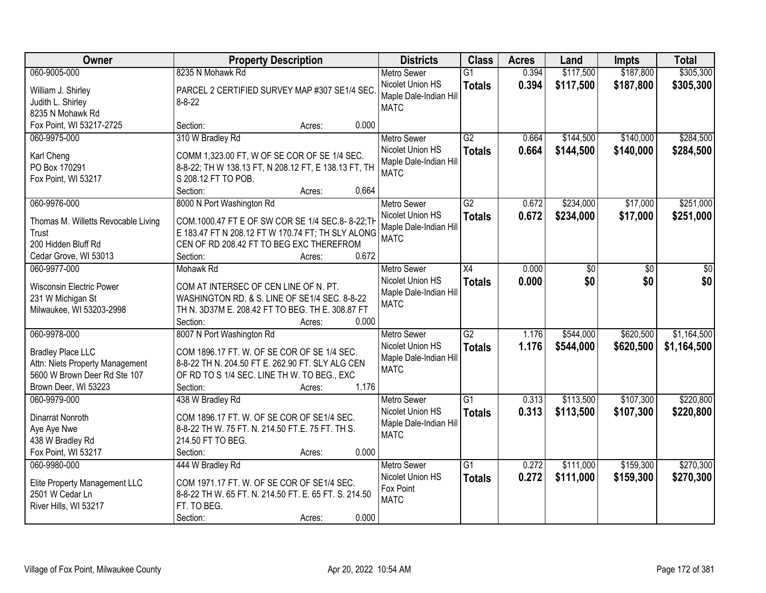| Owner                                                                                                                               | <b>Property Description</b>                                                                                                                                                                                | <b>Districts</b>                                                                | <b>Class</b>                     | <b>Acres</b>   | Land                   | <b>Impts</b>           | <b>Total</b>               |
|-------------------------------------------------------------------------------------------------------------------------------------|------------------------------------------------------------------------------------------------------------------------------------------------------------------------------------------------------------|---------------------------------------------------------------------------------|----------------------------------|----------------|------------------------|------------------------|----------------------------|
| 060-9005-000                                                                                                                        | 8235 N Mohawk Rd                                                                                                                                                                                           | <b>Metro Sewer</b>                                                              | $\overline{G1}$                  | 0.394          | \$117,500              | \$187,800              | \$305,300                  |
| William J. Shirley<br>Judith L. Shirley<br>8235 N Mohawk Rd                                                                         | PARCEL 2 CERTIFIED SURVEY MAP #307 SE1/4 SEC.<br>$8 - 8 - 22$                                                                                                                                              | Nicolet Union HS<br>Maple Dale-Indian Hill<br><b>MATC</b>                       | <b>Totals</b>                    | 0.394          | \$117,500              | \$187,800              | \$305,300                  |
| Fox Point, WI 53217-2725                                                                                                            | 0.000<br>Section:<br>Acres:                                                                                                                                                                                |                                                                                 |                                  |                |                        |                        |                            |
| 060-9975-000<br>Karl Cheng<br>PO Box 170291<br>Fox Point, WI 53217                                                                  | 310 W Bradley Rd<br>COMM 1,323.00 FT, W OF SE COR OF SE 1/4 SEC.<br>8-8-22; TH W 138.13 FT, N 208.12 FT, E 138.13 FT, TH<br>S 208.12 FT TO POB.<br>0.664<br>Section:<br>Acres:                             | <b>Metro Sewer</b><br>Nicolet Union HS<br>Maple Dale-Indian Hill<br><b>MATC</b> | G2<br><b>Totals</b>              | 0.664<br>0.664 | \$144,500<br>\$144,500 | \$140,000<br>\$140,000 | \$284,500<br>\$284,500     |
| 060-9976-000                                                                                                                        | 8000 N Port Washington Rd                                                                                                                                                                                  | <b>Metro Sewer</b>                                                              | G2                               | 0.672          | \$234,000              | \$17,000               | \$251,000                  |
| Thomas M. Willetts Revocable Living<br>Trust<br>200 Hidden Bluff Rd<br>Cedar Grove, WI 53013                                        | COM.1000.47 FT E OF SW COR SE 1/4 SEC.8-8-22; TH<br>E 183.47 FT N 208.12 FT W 170.74 FT; TH SLY ALONG<br>CEN OF RD 208.42 FT TO BEG EXC THEREFROM<br>0.672<br>Section:<br>Acres:                           | Nicolet Union HS<br>Maple Dale-Indian Hill<br><b>MATC</b>                       | <b>Totals</b>                    | 0.672          | \$234,000              | \$17,000               | \$251,000                  |
| 060-9977-000                                                                                                                        | Mohawk Rd                                                                                                                                                                                                  | <b>Metro Sewer</b>                                                              | X4                               | 0.000          | \$0                    | \$0                    | \$0                        |
| <b>Wisconsin Electric Power</b><br>231 W Michigan St<br>Milwaukee, WI 53203-2998                                                    | COM AT INTERSEC OF CEN LINE OF N. PT.<br>WASHINGTON RD. & S. LINE OF SE1/4 SEC. 8-8-22<br>TH N. 3D37M E. 208.42 FT TO BEG. TH E. 308.87 FT<br>Section:<br>0.000<br>Acres:                                  | Nicolet Union HS<br>Maple Dale-Indian Hill<br><b>MATC</b>                       | <b>Totals</b>                    | 0.000          | \$0                    | \$0                    | \$0                        |
| 060-9978-000<br><b>Bradley Place LLC</b><br>Attn: Niets Property Management<br>5600 W Brown Deer Rd Ste 107<br>Brown Deer, WI 53223 | 8007 N Port Washington Rd<br>COM 1896.17 FT. W. OF SE COR OF SE 1/4 SEC.<br>8-8-22 TH N. 204.50 FT E. 262.90 FT. SLY ALG CEN<br>OF RD TO S 1/4 SEC. LINE TH W. TO BEG., EXC<br>1.176<br>Section:<br>Acres: | <b>Metro Sewer</b><br>Nicolet Union HS<br>Maple Dale-Indian Hill<br><b>MATC</b> | $\overline{G2}$<br><b>Totals</b> | 1.176<br>1.176 | \$544,000<br>\$544,000 | \$620,500<br>\$620,500 | \$1,164,500<br>\$1,164,500 |
| 060-9979-000                                                                                                                        | 438 W Bradley Rd                                                                                                                                                                                           | <b>Metro Sewer</b>                                                              | $\overline{G1}$                  | 0.313          | \$113,500              | \$107,300              | \$220,800                  |
| Dinarrat Nonroth<br>Aye Aye Nwe<br>438 W Bradley Rd<br>Fox Point, WI 53217                                                          | COM 1896.17 FT. W. OF SE COR OF SE1/4 SEC.<br>8-8-22 TH W. 75 FT. N. 214.50 FT.E. 75 FT. TH S.<br>214.50 FT TO BEG.<br>0.000<br>Section:<br>Acres:                                                         | Nicolet Union HS<br>Maple Dale-Indian Hill<br><b>MATC</b>                       | <b>Totals</b>                    | 0.313          | \$113,500              | \$107,300              | \$220,800                  |
| 060-9980-000                                                                                                                        | 444 W Bradley Rd                                                                                                                                                                                           | <b>Metro Sewer</b>                                                              | $\overline{G1}$                  | 0.272          | \$111,000              | \$159,300              | \$270,300                  |
| Elite Property Management LLC<br>2501 W Cedar Ln<br>River Hills, WI 53217                                                           | COM 1971.17 FT. W. OF SE COR OF SE1/4 SEC.<br>8-8-22 TH W. 65 FT. N. 214.50 FT. E. 65 FT. S. 214.50<br>FT. TO BEG.<br>0.000<br>Section:<br>Acres:                                                          | Nicolet Union HS<br>Fox Point<br><b>MATC</b>                                    | <b>Totals</b>                    | 0.272          | \$111,000              | \$159,300              | \$270,300                  |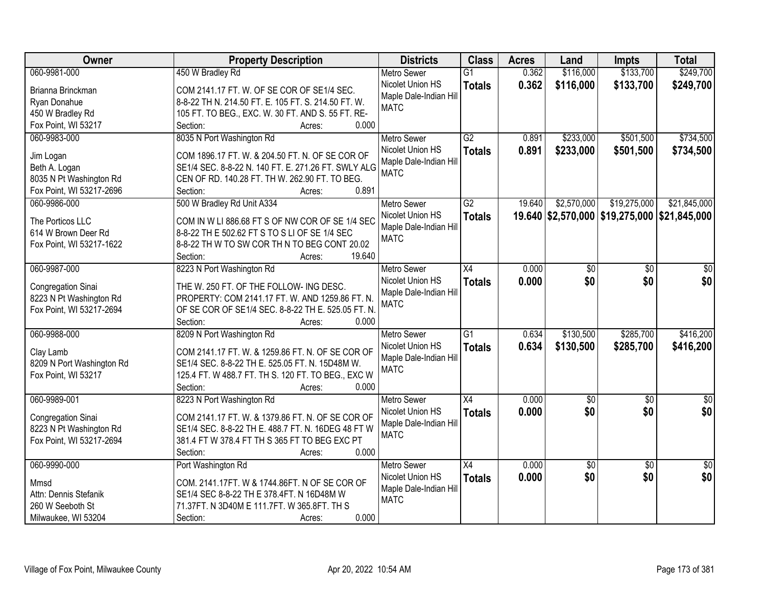| Owner                     | <b>Property Description</b>                         | <b>Districts</b>       | <b>Class</b>    | <b>Acres</b> | Land            | <b>Impts</b>                                 | <b>Total</b>    |
|---------------------------|-----------------------------------------------------|------------------------|-----------------|--------------|-----------------|----------------------------------------------|-----------------|
| 060-9981-000              | 450 W Bradley Rd                                    | <b>Metro Sewer</b>     | $\overline{G1}$ | 0.362        | \$116,000       | \$133,700                                    | \$249,700       |
| Brianna Brinckman         | COM 2141.17 FT. W. OF SE COR OF SE1/4 SEC.          | Nicolet Union HS       | <b>Totals</b>   | 0.362        | \$116,000       | \$133,700                                    | \$249,700       |
| Ryan Donahue              | 8-8-22 TH N. 214.50 FT. E. 105 FT. S. 214.50 FT. W. | Maple Dale-Indian Hill |                 |              |                 |                                              |                 |
| 450 W Bradley Rd          | 105 FT. TO BEG., EXC. W. 30 FT. AND S. 55 FT. RE-   | <b>MATC</b>            |                 |              |                 |                                              |                 |
| Fox Point, WI 53217       | 0.000<br>Section:<br>Acres:                         |                        |                 |              |                 |                                              |                 |
| 060-9983-000              | 8035 N Port Washington Rd                           | <b>Metro Sewer</b>     | G2              | 0.891        | \$233,000       | \$501,500                                    | \$734,500       |
|                           |                                                     | Nicolet Union HS       | <b>Totals</b>   | 0.891        | \$233,000       | \$501,500                                    | \$734,500       |
| Jim Logan                 | COM 1896.17 FT. W. & 204.50 FT. N. OF SE COR OF     | Maple Dale-Indian Hill |                 |              |                 |                                              |                 |
| Beth A. Logan             | SE1/4 SEC. 8-8-22 N. 140 FT. E. 271.26 FT. SWLY ALG | <b>MATC</b>            |                 |              |                 |                                              |                 |
| 8035 N Pt Washington Rd   | CEN OF RD. 140.28 FT. TH W. 262.90 FT. TO BEG.      |                        |                 |              |                 |                                              |                 |
| Fox Point, WI 53217-2696  | 0.891<br>Section:<br>Acres:                         |                        |                 |              |                 |                                              |                 |
| 060-9986-000              | 500 W Bradley Rd Unit A334                          | <b>Metro Sewer</b>     | G2              | 19.640       | \$2,570,000     | \$19,275,000                                 | \$21,845,000    |
| The Porticos LLC          | COM IN W LI 886.68 FT S OF NW COR OF SE 1/4 SEC     | Nicolet Union HS       | <b>Totals</b>   |              |                 | 19.640 \$2,570,000 \$19,275,000 \$21,845,000 |                 |
| 614 W Brown Deer Rd       | 8-8-22 TH E 502.62 FT S TO S LI OF SE 1/4 SEC       | Maple Dale-Indian Hill |                 |              |                 |                                              |                 |
| Fox Point, WI 53217-1622  | 8-8-22 TH W TO SW COR TH N TO BEG CONT 20.02        | <b>MATC</b>            |                 |              |                 |                                              |                 |
|                           | 19.640<br>Section:<br>Acres:                        |                        |                 |              |                 |                                              |                 |
| 060-9987-000              | 8223 N Port Washington Rd                           | <b>Metro Sewer</b>     | X4              | 0.000        | \$0             | \$0                                          | \$0             |
|                           |                                                     | Nicolet Union HS       |                 | 0.000        | \$0             | \$0                                          | \$0             |
| Congregation Sinai        | THE W. 250 FT. OF THE FOLLOW- ING DESC.             | Maple Dale-Indian Hill | <b>Totals</b>   |              |                 |                                              |                 |
| 8223 N Pt Washington Rd   | PROPERTY: COM 2141.17 FT. W. AND 1259.86 FT. N.     | <b>MATC</b>            |                 |              |                 |                                              |                 |
| Fox Point, WI 53217-2694  | OF SE COR OF SE1/4 SEC. 8-8-22 TH E. 525.05 FT. N.  |                        |                 |              |                 |                                              |                 |
|                           | Section:<br>0.000<br>Acres:                         |                        |                 |              |                 |                                              |                 |
| 060-9988-000              | 8209 N Port Washington Rd                           | <b>Metro Sewer</b>     | $\overline{G1}$ | 0.634        | \$130,500       | \$285,700                                    | \$416,200       |
| Clay Lamb                 | COM 2141.17 FT. W. & 1259.86 FT. N. OF SE COR OF    | Nicolet Union HS       | <b>Totals</b>   | 0.634        | \$130,500       | \$285,700                                    | \$416,200       |
| 8209 N Port Washington Rd | SE1/4 SEC. 8-8-22 TH E. 525.05 FT. N. 15D48M W.     | Maple Dale-Indian Hill |                 |              |                 |                                              |                 |
| Fox Point, WI 53217       | 125.4 FT. W 488.7 FT. TH S. 120 FT. TO BEG., EXC W  | <b>MATC</b>            |                 |              |                 |                                              |                 |
|                           | Section:<br>0.000<br>Acres:                         |                        |                 |              |                 |                                              |                 |
| 060-9989-001              | 8223 N Port Washington Rd                           | Metro Sewer            | $\overline{X4}$ | 0.000        | $\overline{50}$ | $\overline{50}$                              | $\overline{50}$ |
|                           |                                                     | Nicolet Union HS       |                 |              | \$0             | \$0                                          | \$0             |
| Congregation Sinai        | COM 2141.17 FT. W. & 1379.86 FT. N. OF SE COR OF    | Maple Dale-Indian Hill | <b>Totals</b>   | 0.000        |                 |                                              |                 |
| 8223 N Pt Washington Rd   | SE1/4 SEC. 8-8-22 TH E. 488.7 FT. N. 16DEG 48 FT W  | <b>MATC</b>            |                 |              |                 |                                              |                 |
| Fox Point, WI 53217-2694  | 381.4 FT W 378.4 FT TH S 365 FT TO BEG EXC PT       |                        |                 |              |                 |                                              |                 |
|                           | 0.000<br>Section:<br>Acres:                         |                        |                 |              |                 |                                              |                 |
| 060-9990-000              | Port Washington Rd                                  | <b>Metro Sewer</b>     | $\overline{X4}$ | 0.000        | $\overline{50}$ | $\overline{50}$                              | $\overline{50}$ |
| Mmsd                      | COM. 2141.17FT. W & 1744.86FT. N OF SE COR OF       | Nicolet Union HS       | <b>Totals</b>   | 0.000        | \$0             | \$0                                          | \$0             |
| Attn: Dennis Stefanik     | SE1/4 SEC 8-8-22 TH E 378.4FT. N 16D48M W           | Maple Dale-Indian Hill |                 |              |                 |                                              |                 |
| 260 W Seeboth St          | 71.37FT. N 3D40M E 111.7FT. W 365.8FT. TH S         | <b>MATC</b>            |                 |              |                 |                                              |                 |
| Milwaukee, WI 53204       | 0.000<br>Section:<br>Acres:                         |                        |                 |              |                 |                                              |                 |
|                           |                                                     |                        |                 |              |                 |                                              |                 |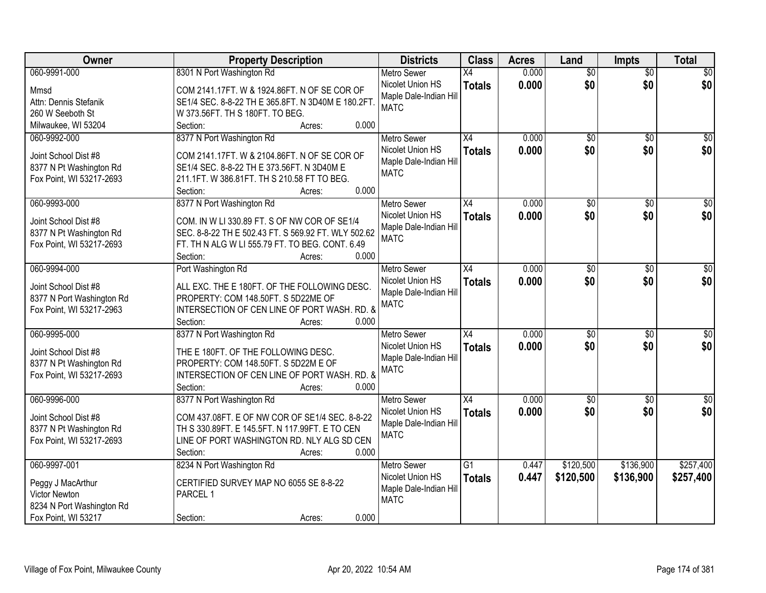| Owner                     | <b>Property Description</b>                         | <b>Districts</b>       | <b>Class</b>    | <b>Acres</b> | Land            | <b>Impts</b>    | <b>Total</b>    |
|---------------------------|-----------------------------------------------------|------------------------|-----------------|--------------|-----------------|-----------------|-----------------|
| 060-9991-000              | 8301 N Port Washington Rd                           | <b>Metro Sewer</b>     | X4              | 0.000        | $\overline{50}$ | $\overline{50}$ | \$0             |
| Mmsd                      | COM 2141.17FT. W & 1924.86FT. N OF SE COR OF        | Nicolet Union HS       | <b>Totals</b>   | 0.000        | \$0             | \$0             | \$0             |
| Attn: Dennis Stefanik     | SE1/4 SEC. 8-8-22 TH E 365.8FT. N 3D40M E 180.2FT   | Maple Dale-Indian Hill |                 |              |                 |                 |                 |
| 260 W Seeboth St          | W 373.56FT. TH S 180FT. TO BEG.                     | <b>MATC</b>            |                 |              |                 |                 |                 |
| Milwaukee, WI 53204       | 0.000<br>Section:<br>Acres:                         |                        |                 |              |                 |                 |                 |
| 060-9992-000              | 8377 N Port Washington Rd                           | <b>Metro Sewer</b>     | $\overline{X4}$ | 0.000        | $\overline{50}$ | $\overline{50}$ | \$0             |
|                           |                                                     | Nicolet Union HS       | <b>Totals</b>   | 0.000        | \$0             | \$0             | \$0             |
| Joint School Dist #8      | COM 2141.17FT. W & 2104.86FT. N OF SE COR OF        | Maple Dale-Indian Hill |                 |              |                 |                 |                 |
| 8377 N Pt Washington Rd   | SE1/4 SEC. 8-8-22 TH E 373.56FT. N 3D40M E          | <b>MATC</b>            |                 |              |                 |                 |                 |
| Fox Point, WI 53217-2693  | 211.1FT. W 386.81FT. TH S 210.58 FT TO BEG.         |                        |                 |              |                 |                 |                 |
|                           | 0.000<br>Section:<br>Acres:                         |                        |                 |              |                 |                 |                 |
| 060-9993-000              | 8377 N Port Washington Rd                           | <b>Metro Sewer</b>     | $\overline{X4}$ | 0.000        | $\overline{50}$ | \$0             | $\overline{50}$ |
| Joint School Dist #8      | COM. IN W LI 330.89 FT. S OF NW COR OF SE1/4        | Nicolet Union HS       | <b>Totals</b>   | 0.000        | \$0             | \$0             | \$0             |
| 8377 N Pt Washington Rd   | SEC. 8-8-22 TH E 502.43 FT. S 569.92 FT. WLY 502.62 | Maple Dale-Indian Hill |                 |              |                 |                 |                 |
| Fox Point, WI 53217-2693  | FT. TH N ALG W LI 555.79 FT. TO BEG. CONT. 6.49     | <b>MATC</b>            |                 |              |                 |                 |                 |
|                           | 0.000<br>Section:<br>Acres:                         |                        |                 |              |                 |                 |                 |
| 060-9994-000              | Port Washington Rd                                  | <b>Metro Sewer</b>     | $\overline{X4}$ | 0.000        | $\overline{50}$ | \$0             | $\sqrt{50}$     |
|                           |                                                     | Nicolet Union HS       | <b>Totals</b>   | 0.000        | \$0             | \$0             | \$0             |
| Joint School Dist #8      | ALL EXC. THE E 180FT. OF THE FOLLOWING DESC.        | Maple Dale-Indian Hill |                 |              |                 |                 |                 |
| 8377 N Port Washington Rd | PROPERTY: COM 148.50FT. S 5D22ME OF                 | <b>MATC</b>            |                 |              |                 |                 |                 |
| Fox Point, WI 53217-2963  | INTERSECTION OF CEN LINE OF PORT WASH. RD. &        |                        |                 |              |                 |                 |                 |
|                           | 0.000<br>Section:<br>Acres:                         |                        |                 |              |                 |                 |                 |
| 060-9995-000              | 8377 N Port Washington Rd                           | <b>Metro Sewer</b>     | $\overline{X4}$ | 0.000        | $\overline{50}$ | $\overline{30}$ | $\sqrt{50}$     |
| Joint School Dist #8      | THE E 180FT. OF THE FOLLOWING DESC.                 | Nicolet Union HS       | <b>Totals</b>   | 0.000        | \$0             | \$0             | \$0             |
| 8377 N Pt Washington Rd   | PROPERTY: COM 148.50FT. S 5D22M E OF                | Maple Dale-Indian Hill |                 |              |                 |                 |                 |
| Fox Point, WI 53217-2693  | INTERSECTION OF CEN LINE OF PORT WASH. RD. &        | <b>MATC</b>            |                 |              |                 |                 |                 |
|                           | 0.000<br>Section:<br>Acres:                         |                        |                 |              |                 |                 |                 |
| 060-9996-000              | 8377 N Port Washington Rd                           | Metro Sewer            | X4              | 0.000        | $\overline{50}$ | \$0             | \$0             |
|                           |                                                     | Nicolet Union HS       | <b>Totals</b>   | 0.000        | \$0             | \$0             | \$0             |
| Joint School Dist #8      | COM 437.08FT. E OF NW COR OF SE1/4 SEC. 8-8-22      | Maple Dale-Indian Hill |                 |              |                 |                 |                 |
| 8377 N Pt Washington Rd   | TH S 330.89FT. E 145.5FT. N 117.99FT. E TO CEN      | <b>MATC</b>            |                 |              |                 |                 |                 |
| Fox Point, WI 53217-2693  | LINE OF PORT WASHINGTON RD. NLY ALG SD CEN          |                        |                 |              |                 |                 |                 |
|                           | 0.000<br>Section:<br>Acres:                         |                        |                 |              |                 |                 |                 |
| 060-9997-001              | 8234 N Port Washington Rd                           | <b>Metro Sewer</b>     | $\overline{G1}$ | 0.447        | \$120,500       | \$136,900       | \$257,400       |
| Peggy J MacArthur         | CERTIFIED SURVEY MAP NO 6055 SE 8-8-22              | Nicolet Union HS       | <b>Totals</b>   | 0.447        | \$120,500       | \$136,900       | \$257,400       |
| Victor Newton             | PARCEL 1                                            | Maple Dale-Indian Hill |                 |              |                 |                 |                 |
| 8234 N Port Washington Rd |                                                     | <b>MATC</b>            |                 |              |                 |                 |                 |
| Fox Point, WI 53217       | 0.000<br>Section:<br>Acres:                         |                        |                 |              |                 |                 |                 |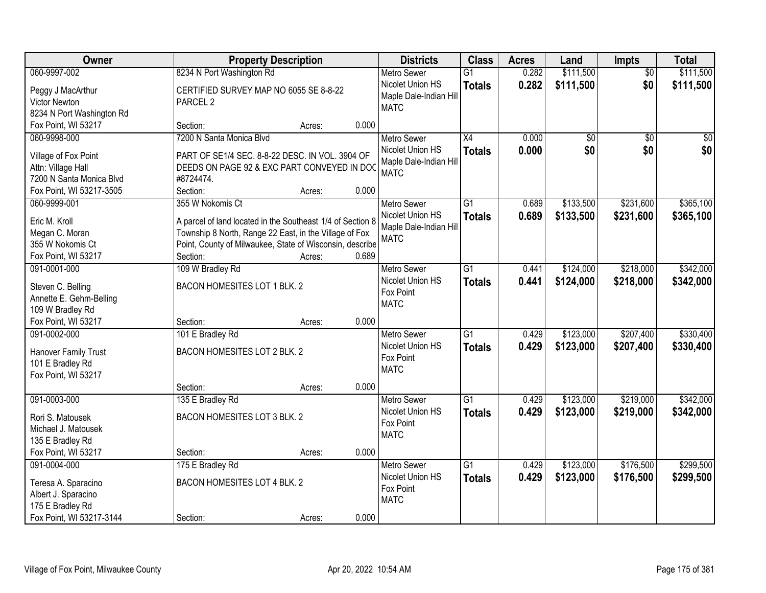| Owner                                     |                                                               | <b>Property Description</b> |       |                                            | <b>Class</b>    | <b>Acres</b> | Land            | Impts           | <b>Total</b>    |
|-------------------------------------------|---------------------------------------------------------------|-----------------------------|-------|--------------------------------------------|-----------------|--------------|-----------------|-----------------|-----------------|
| 060-9997-002                              | 8234 N Port Washington Rd                                     |                             |       | <b>Metro Sewer</b>                         | $\overline{G1}$ | 0.282        | \$111,500       | $\overline{50}$ | \$111,500       |
| Peggy J MacArthur<br><b>Victor Newton</b> | CERTIFIED SURVEY MAP NO 6055 SE 8-8-22<br>PARCEL <sub>2</sub> |                             |       | Nicolet Union HS<br>Maple Dale-Indian Hill | <b>Totals</b>   | 0.282        | \$111,500       | \$0             | \$111,500       |
| 8234 N Port Washington Rd                 |                                                               |                             |       | <b>MATC</b>                                |                 |              |                 |                 |                 |
| Fox Point, WI 53217                       | Section:                                                      | Acres:                      | 0.000 |                                            |                 |              |                 |                 |                 |
| 060-9998-000                              | 7200 N Santa Monica Blvd                                      |                             |       | <b>Metro Sewer</b>                         | $\overline{X4}$ | 0.000        | $\overline{50}$ | $\overline{50}$ | $\overline{50}$ |
| Village of Fox Point                      | PART OF SE1/4 SEC. 8-8-22 DESC. IN VOL. 3904 OF               |                             |       | Nicolet Union HS                           | <b>Totals</b>   | 0.000        | \$0             | \$0             | \$0             |
| Attn: Village Hall                        | DEEDS ON PAGE 92 & EXC PART CONVEYED IN DOC                   |                             |       | Maple Dale-Indian Hill                     |                 |              |                 |                 |                 |
| 7200 N Santa Monica Blvd                  | #8724474.                                                     |                             |       | <b>MATC</b>                                |                 |              |                 |                 |                 |
| Fox Point, WI 53217-3505                  | Section:                                                      | Acres:                      | 0.000 |                                            |                 |              |                 |                 |                 |
| 060-9999-001                              | 355 W Nokomis Ct                                              |                             |       | Metro Sewer                                | G1              | 0.689        | \$133,500       | \$231,600       | \$365,100       |
|                                           |                                                               |                             |       | Nicolet Union HS                           | <b>Totals</b>   | 0.689        | \$133,500       | \$231,600       | \$365,100       |
| Eric M. Kroll                             | A parcel of land located in the Southeast 1/4 of Section 8    |                             |       | Maple Dale-Indian Hill                     |                 |              |                 |                 |                 |
| Megan C. Moran                            | Township 8 North, Range 22 East, in the Village of Fox        |                             |       | <b>MATC</b>                                |                 |              |                 |                 |                 |
| 355 W Nokomis Ct                          | Point, County of Milwaukee, State of Wisconsin, describe      |                             |       |                                            |                 |              |                 |                 |                 |
| Fox Point, WI 53217                       | Section:                                                      | Acres:                      | 0.689 |                                            |                 |              |                 |                 |                 |
| 091-0001-000                              | 109 W Bradley Rd                                              |                             |       | <b>Metro Sewer</b>                         | $\overline{G1}$ | 0.441        | \$124,000       | \$218,000       | \$342,000       |
| Steven C. Belling                         | BACON HOMESITES LOT 1 BLK. 2                                  |                             |       | Nicolet Union HS                           | <b>Totals</b>   | 0.441        | \$124,000       | \$218,000       | \$342,000       |
| Annette E. Gehm-Belling                   |                                                               |                             |       | Fox Point<br><b>MATC</b>                   |                 |              |                 |                 |                 |
| 109 W Bradley Rd                          |                                                               |                             |       |                                            |                 |              |                 |                 |                 |
| Fox Point, WI 53217                       | Section:                                                      | Acres:                      | 0.000 |                                            |                 |              |                 |                 |                 |
| 091-0002-000                              | 101 E Bradley Rd                                              |                             |       | <b>Metro Sewer</b>                         | $\overline{G1}$ | 0.429        | \$123,000       | \$207,400       | \$330,400       |
| Hanover Family Trust                      | BACON HOMESITES LOT 2 BLK. 2                                  |                             |       | Nicolet Union HS                           | <b>Totals</b>   | 0.429        | \$123,000       | \$207,400       | \$330,400       |
| 101 E Bradley Rd                          |                                                               |                             |       | Fox Point                                  |                 |              |                 |                 |                 |
| Fox Point, WI 53217                       |                                                               |                             |       | <b>MATC</b>                                |                 |              |                 |                 |                 |
|                                           | Section:                                                      | Acres:                      | 0.000 |                                            |                 |              |                 |                 |                 |
| 091-0003-000                              | 135 E Bradley Rd                                              |                             |       | Metro Sewer                                | $\overline{G1}$ | 0.429        | \$123,000       | \$219,000       | \$342,000       |
| Rori S. Matousek                          | BACON HOMESITES LOT 3 BLK. 2                                  |                             |       | Nicolet Union HS                           | <b>Totals</b>   | 0.429        | \$123,000       | \$219,000       | \$342,000       |
| Michael J. Matousek                       |                                                               |                             |       | Fox Point                                  |                 |              |                 |                 |                 |
| 135 E Bradley Rd                          |                                                               |                             |       | <b>MATC</b>                                |                 |              |                 |                 |                 |
| Fox Point, WI 53217                       | Section:                                                      | Acres:                      | 0.000 |                                            |                 |              |                 |                 |                 |
| 091-0004-000                              | 175 E Bradley Rd                                              |                             |       | <b>Metro Sewer</b>                         | $\overline{G1}$ | 0.429        | \$123,000       | \$176,500       | \$299,500       |
|                                           |                                                               |                             |       | Nicolet Union HS                           | <b>Totals</b>   | 0.429        | \$123,000       | \$176,500       | \$299,500       |
| Teresa A. Sparacino                       | <b>BACON HOMESITES LOT 4 BLK. 2</b>                           |                             |       | Fox Point                                  |                 |              |                 |                 |                 |
| Albert J. Sparacino                       |                                                               |                             |       | <b>MATC</b>                                |                 |              |                 |                 |                 |
| 175 E Bradley Rd                          |                                                               |                             |       |                                            |                 |              |                 |                 |                 |
| Fox Point, WI 53217-3144                  | Section:                                                      | Acres:                      | 0.000 |                                            |                 |              |                 |                 |                 |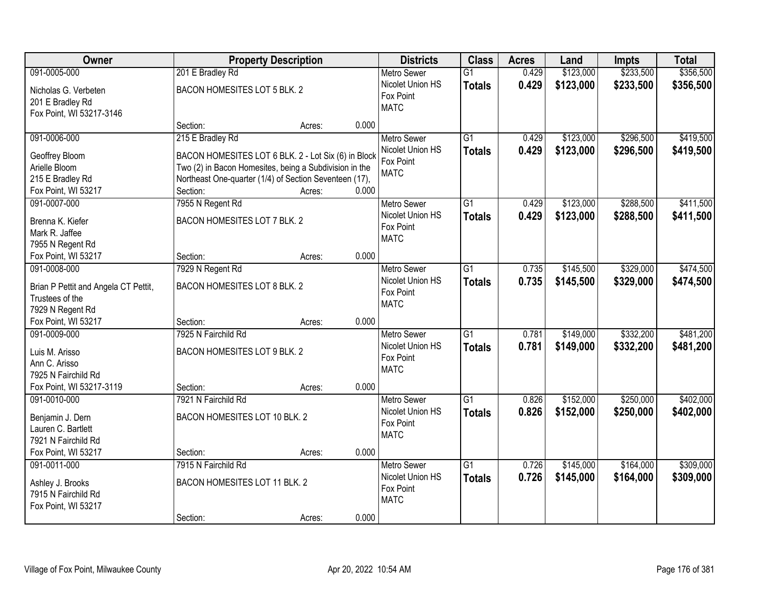| Owner                                   | <b>Property Description</b>                            |        | <b>Districts</b> | <b>Class</b>       | <b>Acres</b>    | Land  | <b>Impts</b> | <b>Total</b> |           |
|-----------------------------------------|--------------------------------------------------------|--------|------------------|--------------------|-----------------|-------|--------------|--------------|-----------|
| 091-0005-000                            | 201 E Bradley Rd                                       |        |                  | <b>Metro Sewer</b> | $\overline{G1}$ | 0.429 | \$123,000    | \$233,500    | \$356,500 |
| Nicholas G. Verbeten                    | BACON HOMESITES LOT 5 BLK. 2                           |        |                  | Nicolet Union HS   | <b>Totals</b>   | 0.429 | \$123,000    | \$233,500    | \$356,500 |
| 201 E Bradley Rd                        |                                                        |        |                  | Fox Point          |                 |       |              |              |           |
| Fox Point, WI 53217-3146                |                                                        |        |                  | <b>MATC</b>        |                 |       |              |              |           |
|                                         | Section:                                               | Acres: | 0.000            |                    |                 |       |              |              |           |
| 091-0006-000                            | 215 E Bradley Rd                                       |        |                  | <b>Metro Sewer</b> | $\overline{G1}$ | 0.429 | \$123,000    | \$296,500    | \$419,500 |
| Geoffrey Bloom                          | BACON HOMESITES LOT 6 BLK. 2 - Lot Six (6) in Block    |        |                  | Nicolet Union HS   | <b>Totals</b>   | 0.429 | \$123,000    | \$296,500    | \$419,500 |
| Arielle Bloom                           | Two (2) in Bacon Homesites, being a Subdivision in the |        |                  | Fox Point          |                 |       |              |              |           |
| 215 E Bradley Rd                        | Northeast One-quarter (1/4) of Section Seventeen (17), |        |                  | <b>MATC</b>        |                 |       |              |              |           |
| Fox Point, WI 53217                     | Section:                                               | Acres: | 0.000            |                    |                 |       |              |              |           |
| 091-0007-000                            | 7955 N Regent Rd                                       |        |                  | <b>Metro Sewer</b> | $\overline{G1}$ | 0.429 | \$123,000    | \$288,500    | \$411,500 |
|                                         |                                                        |        |                  | Nicolet Union HS   | <b>Totals</b>   | 0.429 | \$123,000    | \$288,500    | \$411,500 |
| Brenna K. Kiefer                        | BACON HOMESITES LOT 7 BLK. 2                           |        |                  | Fox Point          |                 |       |              |              |           |
| Mark R. Jaffee                          |                                                        |        |                  | <b>MATC</b>        |                 |       |              |              |           |
| 7955 N Regent Rd                        |                                                        |        |                  |                    |                 |       |              |              |           |
| Fox Point, WI 53217                     | Section:                                               | Acres: | 0.000            |                    |                 |       |              |              |           |
| 091-0008-000                            | 7929 N Regent Rd                                       |        |                  | <b>Metro Sewer</b> | $\overline{G1}$ | 0.735 | \$145,500    | \$329,000    | \$474,500 |
| Brian P Pettit and Angela CT Pettit,    | BACON HOMESITES LOT 8 BLK. 2                           |        |                  | Nicolet Union HS   | <b>Totals</b>   | 0.735 | \$145,500    | \$329,000    | \$474,500 |
| Trustees of the                         |                                                        |        |                  | Fox Point          |                 |       |              |              |           |
| 7929 N Regent Rd                        |                                                        |        |                  | <b>MATC</b>        |                 |       |              |              |           |
| Fox Point, WI 53217                     | Section:                                               | Acres: | 0.000            |                    |                 |       |              |              |           |
| 091-0009-000                            | 7925 N Fairchild Rd                                    |        |                  | <b>Metro Sewer</b> | $\overline{G1}$ | 0.781 | \$149,000    | \$332,200    | \$481,200 |
|                                         |                                                        |        |                  | Nicolet Union HS   | <b>Totals</b>   | 0.781 | \$149,000    | \$332,200    | \$481,200 |
| Luis M. Arisso                          | BACON HOMESITES LOT 9 BLK. 2                           |        |                  | Fox Point          |                 |       |              |              |           |
| Ann C. Arisso                           |                                                        |        |                  | <b>MATC</b>        |                 |       |              |              |           |
| 7925 N Fairchild Rd                     |                                                        |        |                  |                    |                 |       |              |              |           |
| Fox Point, WI 53217-3119                | Section:                                               | Acres: | 0.000            |                    |                 |       |              |              |           |
| 091-0010-000                            | 7921 N Fairchild Rd                                    |        |                  | <b>Metro Sewer</b> | $\overline{G1}$ | 0.826 | \$152,000    | \$250,000    | \$402,000 |
| Benjamin J. Dern                        | BACON HOMESITES LOT 10 BLK. 2                          |        |                  | Nicolet Union HS   | <b>Totals</b>   | 0.826 | \$152,000    | \$250,000    | \$402,000 |
| Lauren C. Bartlett                      |                                                        |        |                  | Fox Point          |                 |       |              |              |           |
| 7921 N Fairchild Rd                     |                                                        |        |                  | <b>MATC</b>        |                 |       |              |              |           |
| Fox Point, WI 53217                     | Section:                                               | Acres: | 0.000            |                    |                 |       |              |              |           |
| 091-0011-000                            | 7915 N Fairchild Rd                                    |        |                  | <b>Metro Sewer</b> | $\overline{G1}$ | 0.726 | \$145,000    | \$164,000    | \$309,000 |
|                                         | BACON HOMESITES LOT 11 BLK. 2                          |        |                  | Nicolet Union HS   | <b>Totals</b>   | 0.726 | \$145,000    | \$164,000    | \$309,000 |
| Ashley J. Brooks<br>7915 N Fairchild Rd |                                                        |        |                  | Fox Point          |                 |       |              |              |           |
| Fox Point, WI 53217                     |                                                        |        |                  | <b>MATC</b>        |                 |       |              |              |           |
|                                         | Section:                                               | Acres: | 0.000            |                    |                 |       |              |              |           |
|                                         |                                                        |        |                  |                    |                 |       |              |              |           |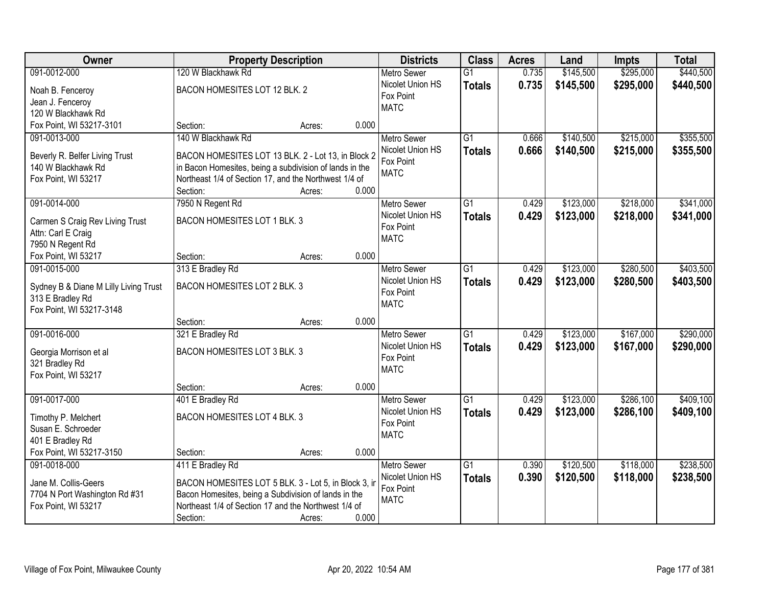| Owner                                 | <b>Property Description</b>                                       |        |       | <b>Districts</b>   | <b>Class</b>    | <b>Acres</b> | Land      | <b>Impts</b> | <b>Total</b> |
|---------------------------------------|-------------------------------------------------------------------|--------|-------|--------------------|-----------------|--------------|-----------|--------------|--------------|
| 091-0012-000                          | 120 W Blackhawk Rd                                                |        |       | <b>Metro Sewer</b> | $\overline{G1}$ | 0.735        | \$145,500 | \$295,000    | \$440,500    |
| Noah B. Fenceroy                      | BACON HOMESITES LOT 12 BLK. 2                                     |        |       | Nicolet Union HS   | <b>Totals</b>   | 0.735        | \$145,500 | \$295,000    | \$440,500    |
| Jean J. Fenceroy                      |                                                                   |        |       | Fox Point          |                 |              |           |              |              |
| 120 W Blackhawk Rd                    |                                                                   |        |       | <b>MATC</b>        |                 |              |           |              |              |
| Fox Point, WI 53217-3101              | Section:                                                          | Acres: | 0.000 |                    |                 |              |           |              |              |
| 091-0013-000                          | 140 W Blackhawk Rd                                                |        |       | <b>Metro Sewer</b> | $\overline{G1}$ | 0.666        | \$140,500 | \$215,000    | \$355,500    |
|                                       |                                                                   |        |       | Nicolet Union HS   | <b>Totals</b>   | 0.666        | \$140,500 | \$215,000    | \$355,500    |
| Beverly R. Belfer Living Trust        | BACON HOMESITES LOT 13 BLK. 2 - Lot 13, in Block 2                |        |       | Fox Point          |                 |              |           |              |              |
| 140 W Blackhawk Rd                    | in Bacon Homesites, being a subdivision of lands in the           |        |       | <b>MATC</b>        |                 |              |           |              |              |
| Fox Point, WI 53217                   | Northeast 1/4 of Section 17, and the Northwest 1/4 of<br>Section: | Acres: | 0.000 |                    |                 |              |           |              |              |
| 091-0014-000                          | 7950 N Regent Rd                                                  |        |       | <b>Metro Sewer</b> | $\overline{G1}$ | 0.429        | \$123,000 | \$218,000    | \$341,000    |
|                                       |                                                                   |        |       | Nicolet Union HS   |                 |              |           |              |              |
| Carmen S Craig Rev Living Trust       | BACON HOMESITES LOT 1 BLK. 3                                      |        |       | Fox Point          | <b>Totals</b>   | 0.429        | \$123,000 | \$218,000    | \$341,000    |
| Attn: Carl E Craig                    |                                                                   |        |       | <b>MATC</b>        |                 |              |           |              |              |
| 7950 N Regent Rd                      |                                                                   |        |       |                    |                 |              |           |              |              |
| Fox Point, WI 53217                   | Section:                                                          | Acres: | 0.000 |                    |                 |              |           |              |              |
| 091-0015-000                          | 313 E Bradley Rd                                                  |        |       | <b>Metro Sewer</b> | $\overline{G1}$ | 0.429        | \$123,000 | \$280,500    | \$403,500    |
| Sydney B & Diane M Lilly Living Trust | BACON HOMESITES LOT 2 BLK. 3                                      |        |       | Nicolet Union HS   | <b>Totals</b>   | 0.429        | \$123,000 | \$280,500    | \$403,500    |
| 313 E Bradley Rd                      |                                                                   |        |       | Fox Point          |                 |              |           |              |              |
| Fox Point, WI 53217-3148              |                                                                   |        |       | <b>MATC</b>        |                 |              |           |              |              |
|                                       | Section:                                                          | Acres: | 0.000 |                    |                 |              |           |              |              |
| 091-0016-000                          | 321 E Bradley Rd                                                  |        |       | <b>Metro Sewer</b> | $\overline{G1}$ | 0.429        | \$123,000 | \$167,000    | \$290,000    |
|                                       |                                                                   |        |       | Nicolet Union HS   | <b>Totals</b>   | 0.429        | \$123,000 | \$167,000    | \$290,000    |
| Georgia Morrison et al                | BACON HOMESITES LOT 3 BLK. 3                                      |        |       | Fox Point          |                 |              |           |              |              |
| 321 Bradley Rd                        |                                                                   |        |       | <b>MATC</b>        |                 |              |           |              |              |
| Fox Point, WI 53217                   | Section:                                                          |        | 0.000 |                    |                 |              |           |              |              |
| 091-0017-000                          | 401 E Bradley Rd                                                  | Acres: |       | <b>Metro Sewer</b> | G1              | 0.429        | \$123,000 | \$286,100    | \$409,100    |
|                                       |                                                                   |        |       | Nicolet Union HS   |                 | 0.429        |           |              |              |
| Timothy P. Melchert                   | BACON HOMESITES LOT 4 BLK. 3                                      |        |       | Fox Point          | <b>Totals</b>   |              | \$123,000 | \$286,100    | \$409,100    |
| Susan E. Schroeder                    |                                                                   |        |       | <b>MATC</b>        |                 |              |           |              |              |
| 401 E Bradley Rd                      |                                                                   |        |       |                    |                 |              |           |              |              |
| Fox Point, WI 53217-3150              | Section:                                                          | Acres: | 0.000 |                    |                 |              |           |              |              |
| 091-0018-000                          | 411 E Bradley Rd                                                  |        |       | <b>Metro Sewer</b> | $\overline{G1}$ | 0.390        | \$120,500 | \$118,000    | \$238,500    |
| Jane M. Collis-Geers                  | BACON HOMESITES LOT 5 BLK. 3 - Lot 5, in Block 3, in              |        |       | Nicolet Union HS   | <b>Totals</b>   | 0.390        | \$120,500 | \$118,000    | \$238,500    |
| 7704 N Port Washington Rd #31         | Bacon Homesites, being a Subdivision of lands in the              |        |       | Fox Point          |                 |              |           |              |              |
| Fox Point, WI 53217                   | Northeast 1/4 of Section 17 and the Northwest 1/4 of              |        |       | <b>MATC</b>        |                 |              |           |              |              |
|                                       | Section:                                                          | Acres: | 0.000 |                    |                 |              |           |              |              |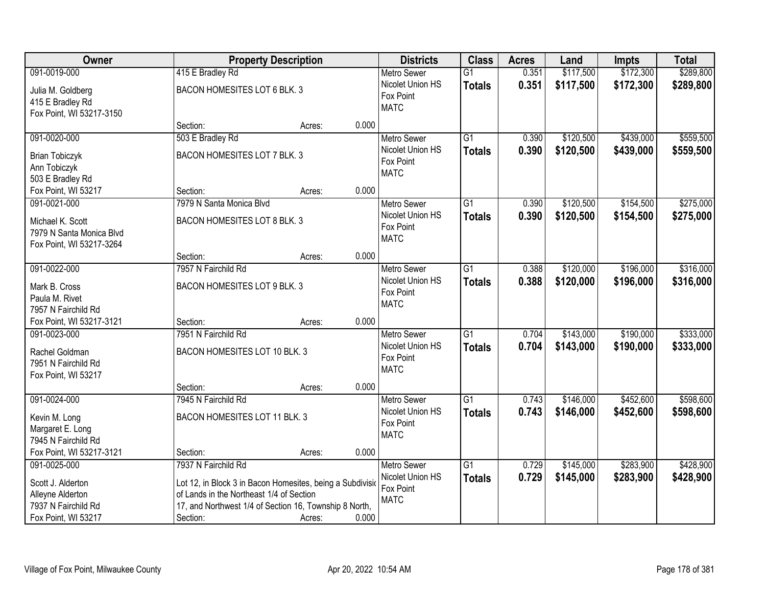| <b>Owner</b>                          |                                                           | <b>Property Description</b> |       | <b>Districts</b>   | <b>Class</b>    | <b>Acres</b> | Land      | <b>Impts</b> | <b>Total</b> |
|---------------------------------------|-----------------------------------------------------------|-----------------------------|-------|--------------------|-----------------|--------------|-----------|--------------|--------------|
| 091-0019-000                          | 415 E Bradley Rd                                          |                             |       | <b>Metro Sewer</b> | $\overline{G1}$ | 0.351        | \$117,500 | \$172,300    | \$289,800    |
| Julia M. Goldberg                     | BACON HOMESITES LOT 6 BLK. 3                              |                             |       | Nicolet Union HS   | <b>Totals</b>   | 0.351        | \$117,500 | \$172,300    | \$289,800    |
| 415 E Bradley Rd                      |                                                           |                             |       | Fox Point          |                 |              |           |              |              |
| Fox Point, WI 53217-3150              |                                                           |                             |       | <b>MATC</b>        |                 |              |           |              |              |
|                                       | Section:                                                  | Acres:                      | 0.000 |                    |                 |              |           |              |              |
| 091-0020-000                          | 503 E Bradley Rd                                          |                             |       | <b>Metro Sewer</b> | $\overline{G1}$ | 0.390        | \$120,500 | \$439,000    | \$559,500    |
| <b>Brian Tobiczyk</b>                 | BACON HOMESITES LOT 7 BLK. 3                              |                             |       | Nicolet Union HS   | <b>Totals</b>   | 0.390        | \$120,500 | \$439,000    | \$559,500    |
| Ann Tobiczyk                          |                                                           |                             |       | Fox Point          |                 |              |           |              |              |
| 503 E Bradley Rd                      |                                                           |                             |       | <b>MATC</b>        |                 |              |           |              |              |
| Fox Point, WI 53217                   | Section:                                                  | Acres:                      | 0.000 |                    |                 |              |           |              |              |
| 091-0021-000                          | 7979 N Santa Monica Blvd                                  |                             |       | Metro Sewer        | $\overline{G1}$ | 0.390        | \$120,500 | \$154,500    | \$275,000    |
| Michael K. Scott                      | BACON HOMESITES LOT 8 BLK. 3                              |                             |       | Nicolet Union HS   | <b>Totals</b>   | 0.390        | \$120,500 | \$154,500    | \$275,000    |
| 7979 N Santa Monica Blvd              |                                                           |                             |       | Fox Point          |                 |              |           |              |              |
| Fox Point, WI 53217-3264              |                                                           |                             |       | <b>MATC</b>        |                 |              |           |              |              |
|                                       | Section:                                                  | Acres:                      | 0.000 |                    |                 |              |           |              |              |
| 091-0022-000                          | 7957 N Fairchild Rd                                       |                             |       | <b>Metro Sewer</b> | $\overline{G1}$ | 0.388        | \$120,000 | \$196,000    | \$316,000    |
| Mark B. Cross                         | BACON HOMESITES LOT 9 BLK. 3                              |                             |       | Nicolet Union HS   | <b>Totals</b>   | 0.388        | \$120,000 | \$196,000    | \$316,000    |
| Paula M. Rivet                        |                                                           |                             |       | Fox Point          |                 |              |           |              |              |
| 7957 N Fairchild Rd                   |                                                           |                             |       | <b>MATC</b>        |                 |              |           |              |              |
| Fox Point, WI 53217-3121              | Section:                                                  | Acres:                      | 0.000 |                    |                 |              |           |              |              |
| 091-0023-000                          | 7951 N Fairchild Rd                                       |                             |       | <b>Metro Sewer</b> | $\overline{G1}$ | 0.704        | \$143,000 | \$190,000    | \$333,000    |
|                                       | BACON HOMESITES LOT 10 BLK. 3                             |                             |       | Nicolet Union HS   | <b>Totals</b>   | 0.704        | \$143,000 | \$190,000    | \$333,000    |
| Rachel Goldman<br>7951 N Fairchild Rd |                                                           |                             |       | Fox Point          |                 |              |           |              |              |
| Fox Point, WI 53217                   |                                                           |                             |       | <b>MATC</b>        |                 |              |           |              |              |
|                                       | Section:                                                  | Acres:                      | 0.000 |                    |                 |              |           |              |              |
| 091-0024-000                          | 7945 N Fairchild Rd                                       |                             |       | Metro Sewer        | G1              | 0.743        | \$146,000 | \$452,600    | \$598,600    |
| Kevin M. Long                         | BACON HOMESITES LOT 11 BLK. 3                             |                             |       | Nicolet Union HS   | <b>Totals</b>   | 0.743        | \$146,000 | \$452,600    | \$598,600    |
| Margaret E. Long                      |                                                           |                             |       | Fox Point          |                 |              |           |              |              |
| 7945 N Fairchild Rd                   |                                                           |                             |       | <b>MATC</b>        |                 |              |           |              |              |
| Fox Point, WI 53217-3121              | Section:                                                  | Acres:                      | 0.000 |                    |                 |              |           |              |              |
| 091-0025-000                          | 7937 N Fairchild Rd                                       |                             |       | <b>Metro Sewer</b> | $\overline{G1}$ | 0.729        | \$145,000 | \$283,900    | \$428,900    |
| Scott J. Alderton                     | Lot 12, in Block 3 in Bacon Homesites, being a Subdivisio |                             |       | Nicolet Union HS   | <b>Totals</b>   | 0.729        | \$145,000 | \$283,900    | \$428,900    |
| Alleyne Alderton                      | of Lands in the Northeast 1/4 of Section                  |                             |       | Fox Point          |                 |              |           |              |              |
| 7937 N Fairchild Rd                   | 17, and Northwest 1/4 of Section 16, Township 8 North,    |                             |       | <b>MATC</b>        |                 |              |           |              |              |
| Fox Point, WI 53217                   | Section:                                                  | Acres:                      | 0.000 |                    |                 |              |           |              |              |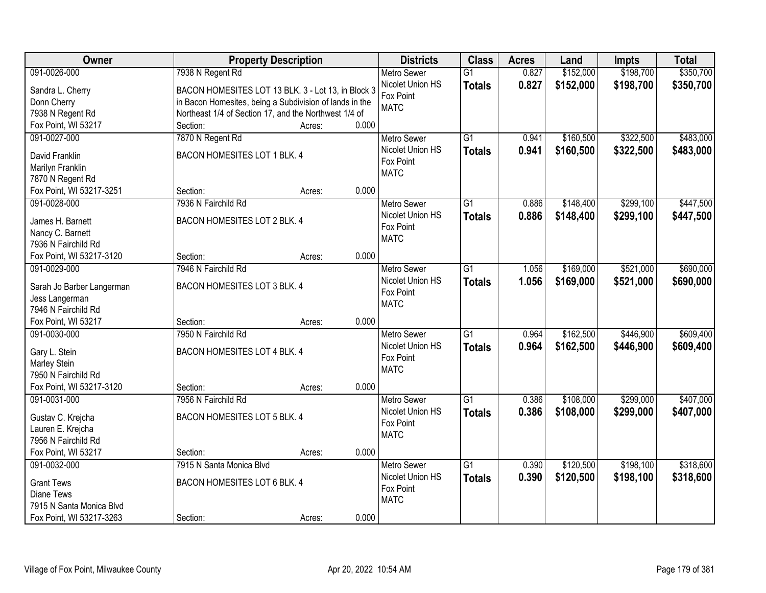| Owner                           | <b>Property Description</b>                             |                 | <b>Districts</b>              | <b>Class</b>    | <b>Acres</b> | Land      | <b>Impts</b> | <b>Total</b> |
|---------------------------------|---------------------------------------------------------|-----------------|-------------------------------|-----------------|--------------|-----------|--------------|--------------|
| 091-0026-000                    | 7938 N Regent Rd                                        |                 | <b>Metro Sewer</b>            | $\overline{G1}$ | 0.827        | \$152,000 | \$198,700    | \$350,700    |
| Sandra L. Cherry                | BACON HOMESITES LOT 13 BLK. 3 - Lot 13, in Block 3      |                 | Nicolet Union HS              | <b>Totals</b>   | 0.827        | \$152,000 | \$198,700    | \$350,700    |
| Donn Cherry                     | in Bacon Homesites, being a Subdivision of lands in the |                 | Fox Point                     |                 |              |           |              |              |
| 7938 N Regent Rd                | Northeast 1/4 of Section 17, and the Northwest 1/4 of   |                 | <b>MATC</b>                   |                 |              |           |              |              |
| Fox Point, WI 53217             | Section:                                                | 0.000<br>Acres: |                               |                 |              |           |              |              |
| 091-0027-000                    | 7870 N Regent Rd                                        |                 | <b>Metro Sewer</b>            | $\overline{G1}$ | 0.941        | \$160,500 | \$322,500    | \$483,000    |
|                                 |                                                         |                 | Nicolet Union HS              | <b>Totals</b>   | 0.941        | \$160,500 | \$322,500    | \$483,000    |
| David Franklin                  | BACON HOMESITES LOT 1 BLK. 4                            |                 | Fox Point                     |                 |              |           |              |              |
| Marilyn Franklin                |                                                         |                 | <b>MATC</b>                   |                 |              |           |              |              |
| 7870 N Regent Rd                |                                                         | 0.000           |                               |                 |              |           |              |              |
| Fox Point, WI 53217-3251        | Section:                                                | Acres:          |                               |                 |              |           |              |              |
| 091-0028-000                    | 7936 N Fairchild Rd                                     |                 | <b>Metro Sewer</b>            | G1              | 0.886        | \$148,400 | \$299,100    | \$447,500    |
| James H. Barnett                | BACON HOMESITES LOT 2 BLK. 4                            |                 | Nicolet Union HS<br>Fox Point | <b>Totals</b>   | 0.886        | \$148,400 | \$299,100    | \$447,500    |
| Nancy C. Barnett                |                                                         |                 | <b>MATC</b>                   |                 |              |           |              |              |
| 7936 N Fairchild Rd             |                                                         |                 |                               |                 |              |           |              |              |
| Fox Point, WI 53217-3120        | Section:                                                | 0.000<br>Acres: |                               |                 |              |           |              |              |
| 091-0029-000                    | 7946 N Fairchild Rd                                     |                 | <b>Metro Sewer</b>            | $\overline{G1}$ | 1.056        | \$169,000 | \$521,000    | \$690,000    |
| Sarah Jo Barber Langerman       | BACON HOMESITES LOT 3 BLK. 4                            |                 | Nicolet Union HS              | <b>Totals</b>   | 1.056        | \$169,000 | \$521,000    | \$690,000    |
| Jess Langerman                  |                                                         |                 | Fox Point                     |                 |              |           |              |              |
| 7946 N Fairchild Rd             |                                                         |                 | <b>MATC</b>                   |                 |              |           |              |              |
| Fox Point, WI 53217             | Section:                                                | 0.000<br>Acres: |                               |                 |              |           |              |              |
| 091-0030-000                    | 7950 N Fairchild Rd                                     |                 | <b>Metro Sewer</b>            | $\overline{G1}$ | 0.964        | \$162,500 | \$446,900    | \$609,400    |
|                                 |                                                         |                 | Nicolet Union HS              | <b>Totals</b>   | 0.964        | \$162,500 | \$446,900    | \$609,400    |
| Gary L. Stein                   | BACON HOMESITES LOT 4 BLK. 4                            |                 | Fox Point                     |                 |              |           |              |              |
| Marley Stein                    |                                                         |                 | <b>MATC</b>                   |                 |              |           |              |              |
| 7950 N Fairchild Rd             |                                                         |                 |                               |                 |              |           |              |              |
| Fox Point, WI 53217-3120        | Section:                                                | 0.000<br>Acres: |                               |                 |              |           |              |              |
| 091-0031-000                    | 7956 N Fairchild Rd                                     |                 | <b>Metro Sewer</b>            | $\overline{G1}$ | 0.386        | \$108,000 | \$299,000    | \$407,000    |
| Gustav C. Krejcha               | BACON HOMESITES LOT 5 BLK. 4                            |                 | Nicolet Union HS              | <b>Totals</b>   | 0.386        | \$108,000 | \$299,000    | \$407,000    |
| Lauren E. Krejcha               |                                                         |                 | Fox Point                     |                 |              |           |              |              |
| 7956 N Fairchild Rd             |                                                         |                 | <b>MATC</b>                   |                 |              |           |              |              |
| Fox Point, WI 53217             | Section:                                                | 0.000<br>Acres: |                               |                 |              |           |              |              |
| 091-0032-000                    | 7915 N Santa Monica Blvd                                |                 | <b>Metro Sewer</b>            | $\overline{G1}$ | 0.390        | \$120,500 | \$198,100    | \$318,600    |
|                                 | BACON HOMESITES LOT 6 BLK. 4                            |                 | Nicolet Union HS              | <b>Totals</b>   | 0.390        | \$120,500 | \$198,100    | \$318,600    |
| <b>Grant Tews</b><br>Diane Tews |                                                         |                 | Fox Point                     |                 |              |           |              |              |
| 7915 N Santa Monica Blvd        |                                                         |                 | <b>MATC</b>                   |                 |              |           |              |              |
|                                 |                                                         |                 |                               |                 |              |           |              |              |
| Fox Point, WI 53217-3263        | Section:                                                | 0.000<br>Acres: |                               |                 |              |           |              |              |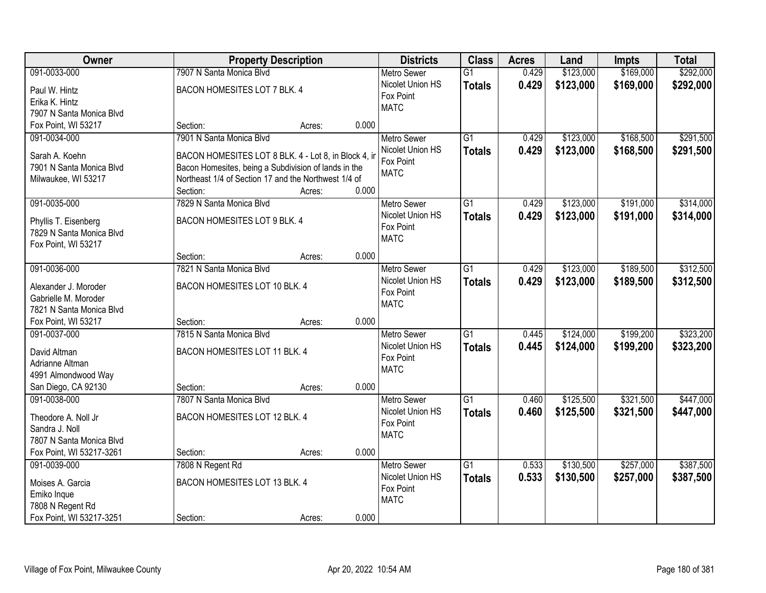| Owner                                      |                                                                                                              | <b>Property Description</b> |       |                          | <b>Class</b>    | <b>Acres</b> | Land      | <b>Impts</b> | <b>Total</b> |
|--------------------------------------------|--------------------------------------------------------------------------------------------------------------|-----------------------------|-------|--------------------------|-----------------|--------------|-----------|--------------|--------------|
| 091-0033-000                               | 7907 N Santa Monica Blvd                                                                                     |                             |       | <b>Metro Sewer</b>       | $\overline{G1}$ | 0.429        | \$123,000 | \$169,000    | \$292,000    |
| Paul W. Hintz                              | BACON HOMESITES LOT 7 BLK. 4                                                                                 |                             |       | Nicolet Union HS         | <b>Totals</b>   | 0.429        | \$123,000 | \$169,000    | \$292,000    |
| Erika K. Hintz                             |                                                                                                              |                             |       | Fox Point                |                 |              |           |              |              |
| 7907 N Santa Monica Blvd                   |                                                                                                              |                             |       | <b>MATC</b>              |                 |              |           |              |              |
| Fox Point, WI 53217                        | Section:                                                                                                     | Acres:                      | 0.000 |                          |                 |              |           |              |              |
| 091-0034-000                               | 7901 N Santa Monica Blvd                                                                                     |                             |       | Metro Sewer              | $\overline{G1}$ | 0.429        | \$123,000 | \$168,500    | \$291,500    |
|                                            |                                                                                                              |                             |       | Nicolet Union HS         | <b>Totals</b>   | 0.429        | \$123,000 | \$168,500    | \$291,500    |
| Sarah A. Koehn<br>7901 N Santa Monica Blvd | BACON HOMESITES LOT 8 BLK. 4 - Lot 8, in Block 4, in                                                         |                             |       | Fox Point                |                 |              |           |              |              |
| Milwaukee, WI 53217                        | Bacon Homesites, being a Subdivision of lands in the<br>Northeast 1/4 of Section 17 and the Northwest 1/4 of |                             |       | <b>MATC</b>              |                 |              |           |              |              |
|                                            | Section:                                                                                                     | Acres:                      | 0.000 |                          |                 |              |           |              |              |
| 091-0035-000                               | 7829 N Santa Monica Blvd                                                                                     |                             |       | Metro Sewer              | $\overline{G1}$ | 0.429        | \$123,000 | \$191,000    | \$314,000    |
|                                            |                                                                                                              |                             |       | Nicolet Union HS         | <b>Totals</b>   | 0.429        | \$123,000 | \$191,000    | \$314,000    |
| Phyllis T. Eisenberg                       | BACON HOMESITES LOT 9 BLK. 4                                                                                 |                             |       | Fox Point                |                 |              |           |              |              |
| 7829 N Santa Monica Blvd                   |                                                                                                              |                             |       | <b>MATC</b>              |                 |              |           |              |              |
| Fox Point, WI 53217                        |                                                                                                              |                             |       |                          |                 |              |           |              |              |
|                                            | Section:                                                                                                     | Acres:                      | 0.000 |                          |                 |              |           |              |              |
| 091-0036-000                               | 7821 N Santa Monica Blvd                                                                                     |                             |       | <b>Metro Sewer</b>       | $\overline{G1}$ | 0.429        | \$123,000 | \$189,500    | \$312,500    |
| Alexander J. Moroder                       | BACON HOMESITES LOT 10 BLK. 4                                                                                |                             |       | Nicolet Union HS         | <b>Totals</b>   | 0.429        | \$123,000 | \$189,500    | \$312,500    |
| Gabrielle M. Moroder                       |                                                                                                              |                             |       | Fox Point<br><b>MATC</b> |                 |              |           |              |              |
| 7821 N Santa Monica Blvd                   |                                                                                                              |                             |       |                          |                 |              |           |              |              |
| Fox Point, WI 53217                        | Section:                                                                                                     | Acres:                      | 0.000 |                          |                 |              |           |              |              |
| 091-0037-000                               | 7815 N Santa Monica Blvd                                                                                     |                             |       | <b>Metro Sewer</b>       | $\overline{G1}$ | 0.445        | \$124,000 | \$199,200    | \$323,200    |
| David Altman                               | BACON HOMESITES LOT 11 BLK. 4                                                                                |                             |       | Nicolet Union HS         | <b>Totals</b>   | 0.445        | \$124,000 | \$199,200    | \$323,200    |
| Adrianne Altman                            |                                                                                                              |                             |       | Fox Point                |                 |              |           |              |              |
| 4991 Almondwood Way                        |                                                                                                              |                             |       | <b>MATC</b>              |                 |              |           |              |              |
| San Diego, CA 92130                        | Section:                                                                                                     | Acres:                      | 0.000 |                          |                 |              |           |              |              |
| 091-0038-000                               | 7807 N Santa Monica Blvd                                                                                     |                             |       | <b>Metro Sewer</b>       | $\overline{G1}$ | 0.460        | \$125,500 | \$321,500    | \$447,000    |
|                                            |                                                                                                              |                             |       | Nicolet Union HS         | <b>Totals</b>   | 0.460        | \$125,500 | \$321,500    | \$447,000    |
| Theodore A. Noll Jr                        | BACON HOMESITES LOT 12 BLK. 4                                                                                |                             |       | Fox Point                |                 |              |           |              |              |
| Sandra J. Noll<br>7807 N Santa Monica Blvd |                                                                                                              |                             |       | <b>MATC</b>              |                 |              |           |              |              |
| Fox Point, WI 53217-3261                   | Section:                                                                                                     | Acres:                      | 0.000 |                          |                 |              |           |              |              |
| 091-0039-000                               | 7808 N Regent Rd                                                                                             |                             |       | Metro Sewer              | $\overline{G1}$ | 0.533        | \$130,500 | \$257,000    | \$387,500    |
|                                            |                                                                                                              |                             |       | Nicolet Union HS         | <b>Totals</b>   | 0.533        | \$130,500 | \$257,000    | \$387,500    |
| Moises A. Garcia                           | BACON HOMESITES LOT 13 BLK. 4                                                                                |                             |       | Fox Point                |                 |              |           |              |              |
| Emiko Inque                                |                                                                                                              |                             |       | <b>MATC</b>              |                 |              |           |              |              |
| 7808 N Regent Rd                           |                                                                                                              |                             |       |                          |                 |              |           |              |              |
| Fox Point, WI 53217-3251                   | Section:                                                                                                     | Acres:                      | 0.000 |                          |                 |              |           |              |              |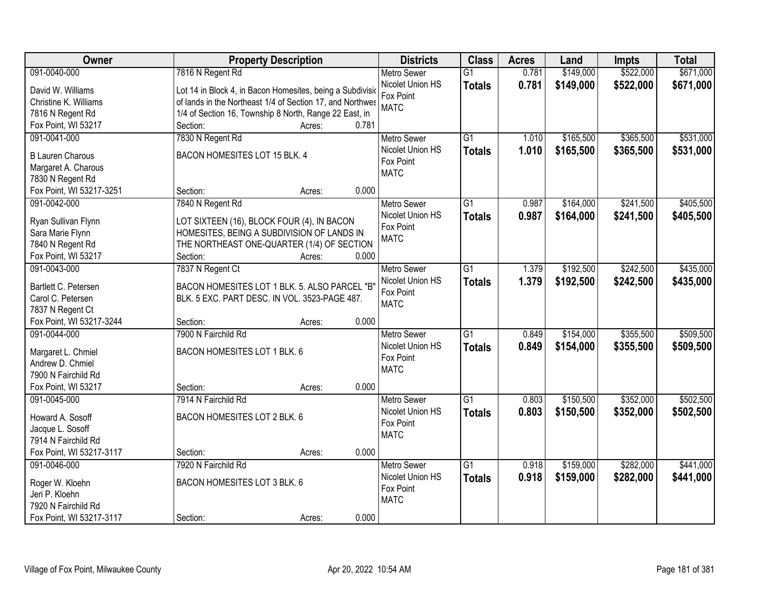| Owner                    | <b>Property Description</b>                               | <b>Districts</b>   | <b>Class</b>    | <b>Acres</b> | Land      | <b>Impts</b> | <b>Total</b> |
|--------------------------|-----------------------------------------------------------|--------------------|-----------------|--------------|-----------|--------------|--------------|
| 091-0040-000             | 7816 N Regent Rd                                          | <b>Metro Sewer</b> | $\overline{G1}$ | 0.781        | \$149,000 | \$522,000    | \$671,000    |
| David W. Williams        | Lot 14 in Block 4, in Bacon Homesites, being a Subdivisio | Nicolet Union HS   | <b>Totals</b>   | 0.781        | \$149,000 | \$522,000    | \$671,000    |
| Christine K. Williams    | of lands in the Northeast 1/4 of Section 17, and Northwes | Fox Point          |                 |              |           |              |              |
| 7816 N Regent Rd         | 1/4 of Section 16, Township 8 North, Range 22 East, in    | <b>MATC</b>        |                 |              |           |              |              |
| Fox Point, WI 53217      | 0.781<br>Section:<br>Acres:                               |                    |                 |              |           |              |              |
| 091-0041-000             | 7830 N Regent Rd                                          | <b>Metro Sewer</b> | $\overline{G1}$ | 1.010        | \$165,500 | \$365,500    | \$531,000    |
|                          |                                                           | Nicolet Union HS   | <b>Totals</b>   | 1.010        | \$165,500 | \$365,500    | \$531,000    |
| <b>B Lauren Charous</b>  | BACON HOMESITES LOT 15 BLK. 4                             | Fox Point          |                 |              |           |              |              |
| Margaret A. Charous      |                                                           | <b>MATC</b>        |                 |              |           |              |              |
| 7830 N Regent Rd         |                                                           |                    |                 |              |           |              |              |
| Fox Point, WI 53217-3251 | 0.000<br>Section:<br>Acres:                               |                    |                 |              |           |              |              |
| 091-0042-000             | 7840 N Regent Rd                                          | <b>Metro Sewer</b> | G1              | 0.987        | \$164,000 | \$241,500    | \$405,500    |
| Ryan Sullivan Flynn      | LOT SIXTEEN (16), BLOCK FOUR (4), IN BACON                | Nicolet Union HS   | <b>Totals</b>   | 0.987        | \$164,000 | \$241,500    | \$405,500    |
| Sara Marie Flynn         | HOMESITES, BEING A SUBDIVISION OF LANDS IN                | Fox Point          |                 |              |           |              |              |
| 7840 N Regent Rd         | THE NORTHEAST ONE-QUARTER (1/4) OF SECTION                | <b>MATC</b>        |                 |              |           |              |              |
| Fox Point, WI 53217      | Section:<br>0.000<br>Acres:                               |                    |                 |              |           |              |              |
| 091-0043-000             | 7837 N Regent Ct                                          | <b>Metro Sewer</b> | G1              | 1.379        | \$192,500 | \$242,500    | \$435,000    |
|                          |                                                           | Nicolet Union HS   | <b>Totals</b>   | 1.379        | \$192,500 | \$242,500    | \$435,000    |
| Bartlett C. Petersen     | BACON HOMESITES LOT 1 BLK. 5. ALSO PARCEL "B"             | Fox Point          |                 |              |           |              |              |
| Carol C. Petersen        | BLK. 5 EXC. PART DESC. IN VOL. 3523-PAGE 487.             | <b>MATC</b>        |                 |              |           |              |              |
| 7837 N Regent Ct         |                                                           |                    |                 |              |           |              |              |
| Fox Point, WI 53217-3244 | 0.000<br>Section:<br>Acres:                               |                    |                 |              |           |              |              |
| 091-0044-000             | 7900 N Fairchild Rd                                       | Metro Sewer        | $\overline{G1}$ | 0.849        | \$154,000 | \$355,500    | \$509,500    |
| Margaret L. Chmiel       | BACON HOMESITES LOT 1 BLK. 6                              | Nicolet Union HS   | <b>Totals</b>   | 0.849        | \$154,000 | \$355,500    | \$509,500    |
| Andrew D. Chmiel         |                                                           | Fox Point          |                 |              |           |              |              |
| 7900 N Fairchild Rd      |                                                           | <b>MATC</b>        |                 |              |           |              |              |
| Fox Point, WI 53217      | 0.000<br>Section:<br>Acres:                               |                    |                 |              |           |              |              |
| 091-0045-000             | 7914 N Fairchild Rd                                       | <b>Metro Sewer</b> | $\overline{G1}$ | 0.803        | \$150,500 | \$352,000    | \$502,500    |
|                          |                                                           | Nicolet Union HS   | <b>Totals</b>   | 0.803        | \$150,500 | \$352,000    | \$502,500    |
| Howard A. Sosoff         | BACON HOMESITES LOT 2 BLK. 6                              | Fox Point          |                 |              |           |              |              |
| Jacque L. Sosoff         |                                                           | <b>MATC</b>        |                 |              |           |              |              |
| 7914 N Fairchild Rd      |                                                           |                    |                 |              |           |              |              |
| Fox Point, WI 53217-3117 | 0.000<br>Section:<br>Acres:                               |                    |                 |              |           |              |              |
| 091-0046-000             | 7920 N Fairchild Rd                                       | <b>Metro Sewer</b> | $\overline{G1}$ | 0.918        | \$159,000 | \$282,000    | \$441,000    |
| Roger W. Kloehn          | BACON HOMESITES LOT 3 BLK. 6                              | Nicolet Union HS   | <b>Totals</b>   | 0.918        | \$159,000 | \$282,000    | \$441,000    |
| Jeri P. Kloehn           |                                                           | Fox Point          |                 |              |           |              |              |
| 7920 N Fairchild Rd      |                                                           | <b>MATC</b>        |                 |              |           |              |              |
| Fox Point, WI 53217-3117 | 0.000<br>Section:<br>Acres:                               |                    |                 |              |           |              |              |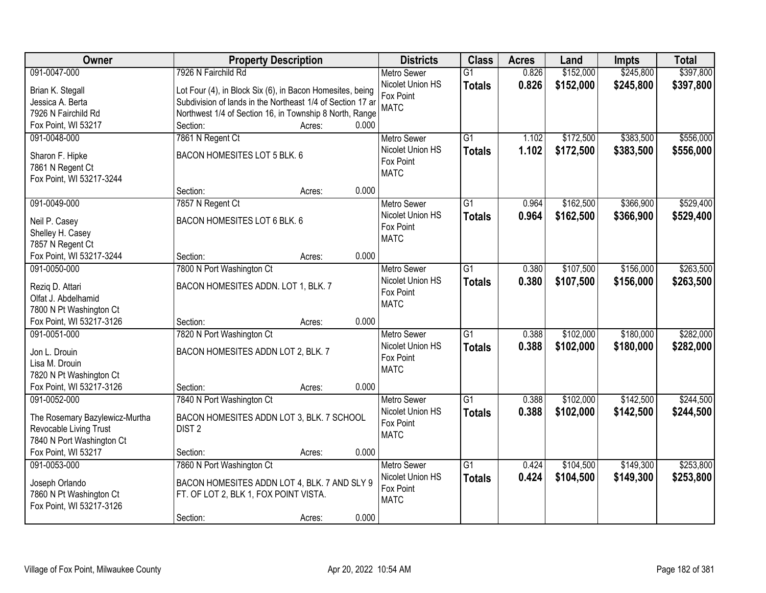| <b>Owner</b>                   | <b>Property Description</b>                                |                 | <b>Districts</b>              | <b>Class</b>    | <b>Acres</b> | Land      | <b>Impts</b> | <b>Total</b> |
|--------------------------------|------------------------------------------------------------|-----------------|-------------------------------|-----------------|--------------|-----------|--------------|--------------|
| 091-0047-000                   | 7926 N Fairchild Rd                                        |                 | <b>Metro Sewer</b>            | $\overline{G1}$ | 0.826        | \$152,000 | \$245,800    | \$397,800    |
| Brian K. Stegall               | Lot Four (4), in Block Six (6), in Bacon Homesites, being  |                 | Nicolet Union HS              | <b>Totals</b>   | 0.826        | \$152,000 | \$245,800    | \$397,800    |
| Jessica A. Berta               | Subdivision of lands in the Northeast 1/4 of Section 17 ar |                 | Fox Point                     |                 |              |           |              |              |
| 7926 N Fairchild Rd            | Northwest 1/4 of Section 16, in Township 8 North, Range    |                 | <b>MATC</b>                   |                 |              |           |              |              |
| Fox Point, WI 53217            | Section:                                                   | 0.000<br>Acres: |                               |                 |              |           |              |              |
| 091-0048-000                   | 7861 N Regent Ct                                           |                 | <b>Metro Sewer</b>            | $\overline{G1}$ | 1.102        | \$172,500 | \$383,500    | \$556,000    |
|                                |                                                            |                 | Nicolet Union HS              | <b>Totals</b>   | 1.102        | \$172,500 | \$383,500    | \$556,000    |
| Sharon F. Hipke                | BACON HOMESITES LOT 5 BLK. 6                               |                 | Fox Point                     |                 |              |           |              |              |
| 7861 N Regent Ct               |                                                            |                 | <b>MATC</b>                   |                 |              |           |              |              |
| Fox Point, WI 53217-3244       |                                                            | 0.000           |                               |                 |              |           |              |              |
|                                | Section:                                                   | Acres:          |                               |                 |              |           |              |              |
| 091-0049-000                   | 7857 N Regent Ct                                           |                 | Metro Sewer                   | G1              | 0.964        | \$162,500 | \$366,900    | \$529,400    |
| Neil P. Casey                  | BACON HOMESITES LOT 6 BLK. 6                               |                 | Nicolet Union HS<br>Fox Point | <b>Totals</b>   | 0.964        | \$162,500 | \$366,900    | \$529,400    |
| Shelley H. Casey               |                                                            |                 | <b>MATC</b>                   |                 |              |           |              |              |
| 7857 N Regent Ct               |                                                            |                 |                               |                 |              |           |              |              |
| Fox Point, WI 53217-3244       | Section:                                                   | 0.000<br>Acres: |                               |                 |              |           |              |              |
| 091-0050-000                   | 7800 N Port Washington Ct                                  |                 | <b>Metro Sewer</b>            | $\overline{G1}$ | 0.380        | \$107,500 | \$156,000    | \$263,500    |
| Rezig D. Attari                | BACON HOMESITES ADDN. LOT 1, BLK. 7                        |                 | Nicolet Union HS              | <b>Totals</b>   | 0.380        | \$107,500 | \$156,000    | \$263,500    |
| Olfat J. Abdelhamid            |                                                            |                 | Fox Point                     |                 |              |           |              |              |
| 7800 N Pt Washington Ct        |                                                            |                 | <b>MATC</b>                   |                 |              |           |              |              |
| Fox Point, WI 53217-3126       | Section:                                                   | 0.000<br>Acres: |                               |                 |              |           |              |              |
| 091-0051-000                   | 7820 N Port Washington Ct                                  |                 | <b>Metro Sewer</b>            | $\overline{G1}$ | 0.388        | \$102,000 | \$180,000    | \$282,000    |
|                                |                                                            |                 | Nicolet Union HS              | <b>Totals</b>   | 0.388        | \$102,000 | \$180,000    | \$282,000    |
| Jon L. Drouin                  | BACON HOMESITES ADDN LOT 2, BLK. 7                         |                 | Fox Point                     |                 |              |           |              |              |
| Lisa M. Drouin                 |                                                            |                 | <b>MATC</b>                   |                 |              |           |              |              |
| 7820 N Pt Washington Ct        |                                                            |                 |                               |                 |              |           |              |              |
| Fox Point, WI 53217-3126       | Section:                                                   | 0.000<br>Acres: |                               |                 |              |           |              |              |
| 091-0052-000                   | 7840 N Port Washington Ct                                  |                 | Metro Sewer                   | $\overline{G1}$ | 0.388        | \$102,000 | \$142,500    | \$244,500    |
| The Rosemary Bazylewicz-Murtha | BACON HOMESITES ADDN LOT 3, BLK. 7 SCHOOL                  |                 | Nicolet Union HS              | <b>Totals</b>   | 0.388        | \$102,000 | \$142,500    | \$244,500    |
| Revocable Living Trust         | DIST <sub>2</sub>                                          |                 | Fox Point                     |                 |              |           |              |              |
| 7840 N Port Washington Ct      |                                                            |                 | <b>MATC</b>                   |                 |              |           |              |              |
| Fox Point, WI 53217            | Section:                                                   | 0.000<br>Acres: |                               |                 |              |           |              |              |
| 091-0053-000                   | 7860 N Port Washington Ct                                  |                 | <b>Metro Sewer</b>            | $\overline{G1}$ | 0.424        | \$104,500 | \$149,300    | \$253,800    |
|                                |                                                            |                 | Nicolet Union HS              | <b>Totals</b>   | 0.424        | \$104,500 | \$149,300    | \$253,800    |
| Joseph Orlando                 | BACON HOMESITES ADDN LOT 4, BLK. 7 AND SLY 9               |                 | Fox Point                     |                 |              |           |              |              |
| 7860 N Pt Washington Ct        | FT. OF LOT 2, BLK 1, FOX POINT VISTA.                      |                 | <b>MATC</b>                   |                 |              |           |              |              |
| Fox Point, WI 53217-3126       |                                                            |                 |                               |                 |              |           |              |              |
|                                | Section:                                                   | 0.000<br>Acres: |                               |                 |              |           |              |              |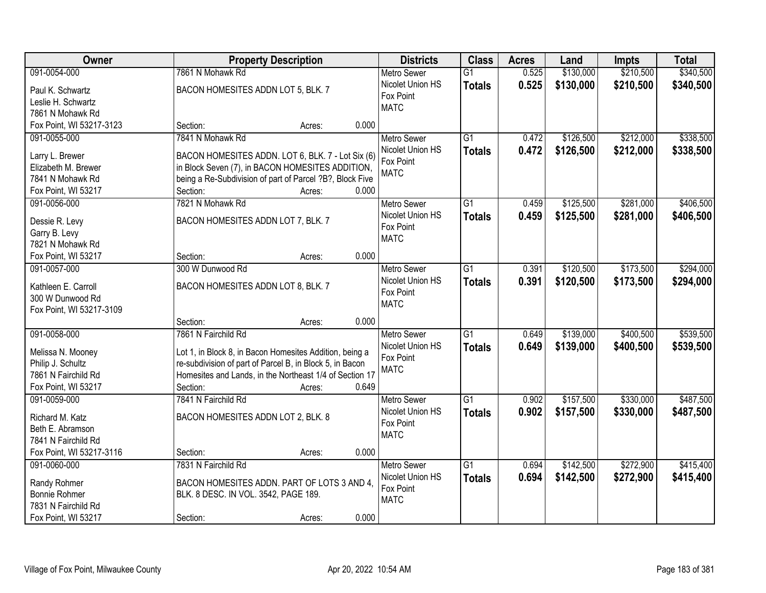| Owner                                |                                                                      | <b>Property Description</b> |       | <b>Districts</b>              | <b>Class</b>    | <b>Acres</b> | Land      | <b>Impts</b> | <b>Total</b> |
|--------------------------------------|----------------------------------------------------------------------|-----------------------------|-------|-------------------------------|-----------------|--------------|-----------|--------------|--------------|
| 091-0054-000                         | 7861 N Mohawk Rd                                                     |                             |       | <b>Metro Sewer</b>            | $\overline{G1}$ | 0.525        | \$130,000 | \$210,500    | \$340,500    |
| Paul K. Schwartz                     | BACON HOMESITES ADDN LOT 5, BLK. 7                                   |                             |       | Nicolet Union HS              | <b>Totals</b>   | 0.525        | \$130,000 | \$210,500    | \$340,500    |
| Leslie H. Schwartz                   |                                                                      |                             |       | Fox Point                     |                 |              |           |              |              |
| 7861 N Mohawk Rd                     |                                                                      |                             |       | <b>MATC</b>                   |                 |              |           |              |              |
| Fox Point, WI 53217-3123             | Section:                                                             | Acres:                      | 0.000 |                               |                 |              |           |              |              |
| 091-0055-000                         | 7841 N Mohawk Rd                                                     |                             |       | <b>Metro Sewer</b>            | $\overline{G1}$ | 0.472        | \$126,500 | \$212,000    | \$338,500    |
|                                      |                                                                      |                             |       | Nicolet Union HS              | <b>Totals</b>   | 0.472        | \$126,500 | \$212,000    | \$338,500    |
| Larry L. Brewer                      | BACON HOMESITES ADDN. LOT 6, BLK. 7 - Lot Six (6)                    |                             |       | Fox Point                     |                 |              |           |              |              |
| Elizabeth M. Brewer                  | in Block Seven (7), in BACON HOMESITES ADDITION,                     |                             |       | <b>MATC</b>                   |                 |              |           |              |              |
| 7841 N Mohawk Rd                     | being a Re-Subdivision of part of Parcel ?B?, Block Five<br>Section: |                             | 0.000 |                               |                 |              |           |              |              |
| Fox Point, WI 53217<br>091-0056-000  | 7821 N Mohawk Rd                                                     | Acres:                      |       |                               | G1              | 0.459        |           | \$281,000    | \$406,500    |
|                                      |                                                                      |                             |       | <b>Metro Sewer</b>            |                 |              | \$125,500 |              |              |
| Dessie R. Levy                       | BACON HOMESITES ADDN LOT 7, BLK. 7                                   |                             |       | Nicolet Union HS<br>Fox Point | <b>Totals</b>   | 0.459        | \$125,500 | \$281,000    | \$406,500    |
| Garry B. Levy                        |                                                                      |                             |       | <b>MATC</b>                   |                 |              |           |              |              |
| 7821 N Mohawk Rd                     |                                                                      |                             |       |                               |                 |              |           |              |              |
| Fox Point, WI 53217                  | Section:                                                             | Acres:                      | 0.000 |                               |                 |              |           |              |              |
| 091-0057-000                         | 300 W Dunwood Rd                                                     |                             |       | <b>Metro Sewer</b>            | G1              | 0.391        | \$120,500 | \$173,500    | \$294,000    |
| Kathleen E. Carroll                  | BACON HOMESITES ADDN LOT 8, BLK. 7                                   |                             |       | Nicolet Union HS              | <b>Totals</b>   | 0.391        | \$120,500 | \$173,500    | \$294,000    |
| 300 W Dunwood Rd                     |                                                                      |                             |       | Fox Point                     |                 |              |           |              |              |
| Fox Point, WI 53217-3109             |                                                                      |                             |       | <b>MATC</b>                   |                 |              |           |              |              |
|                                      | Section:                                                             | Acres:                      | 0.000 |                               |                 |              |           |              |              |
| 091-0058-000                         | 7861 N Fairchild Rd                                                  |                             |       | <b>Metro Sewer</b>            | $\overline{G1}$ | 0.649        | \$139,000 | \$400,500    | \$539,500    |
|                                      |                                                                      |                             |       | Nicolet Union HS              | <b>Totals</b>   | 0.649        | \$139,000 | \$400,500    | \$539,500    |
| Melissa N. Mooney                    | Lot 1, in Block 8, in Bacon Homesites Addition, being a              |                             |       | Fox Point                     |                 |              |           |              |              |
| Philip J. Schultz                    | re-subdivision of part of Parcel B, in Block 5, in Bacon             |                             |       | <b>MATC</b>                   |                 |              |           |              |              |
| 7861 N Fairchild Rd                  | Homesites and Lands, in the Northeast 1/4 of Section 17              |                             |       |                               |                 |              |           |              |              |
| Fox Point, WI 53217                  | Section:                                                             | Acres:                      | 0.649 |                               |                 |              |           |              |              |
| 091-0059-000                         | 7841 N Fairchild Rd                                                  |                             |       | Metro Sewer                   | G1              | 0.902        | \$157,500 | \$330,000    | \$487,500    |
| Richard M. Katz                      | BACON HOMESITES ADDN LOT 2, BLK. 8                                   |                             |       | Nicolet Union HS              | <b>Totals</b>   | 0.902        | \$157,500 | \$330,000    | \$487,500    |
| Beth E. Abramson                     |                                                                      |                             |       | Fox Point                     |                 |              |           |              |              |
| 7841 N Fairchild Rd                  |                                                                      |                             |       | <b>MATC</b>                   |                 |              |           |              |              |
| Fox Point, WI 53217-3116             | Section:                                                             | Acres:                      | 0.000 |                               |                 |              |           |              |              |
| 091-0060-000                         | 7831 N Fairchild Rd                                                  |                             |       | <b>Metro Sewer</b>            | $\overline{G1}$ | 0.694        | \$142,500 | \$272,900    | \$415,400    |
|                                      |                                                                      |                             |       | Nicolet Union HS              | <b>Totals</b>   | 0.694        | \$142,500 | \$272,900    | \$415,400    |
| Randy Rohmer<br><b>Bonnie Rohmer</b> | BACON HOMESITES ADDN. PART OF LOTS 3 AND 4,                          |                             |       | Fox Point                     |                 |              |           |              |              |
| 7831 N Fairchild Rd                  | BLK. 8 DESC. IN VOL. 3542, PAGE 189.                                 |                             |       | <b>MATC</b>                   |                 |              |           |              |              |
| Fox Point, WI 53217                  | Section:                                                             | Acres:                      | 0.000 |                               |                 |              |           |              |              |
|                                      |                                                                      |                             |       |                               |                 |              |           |              |              |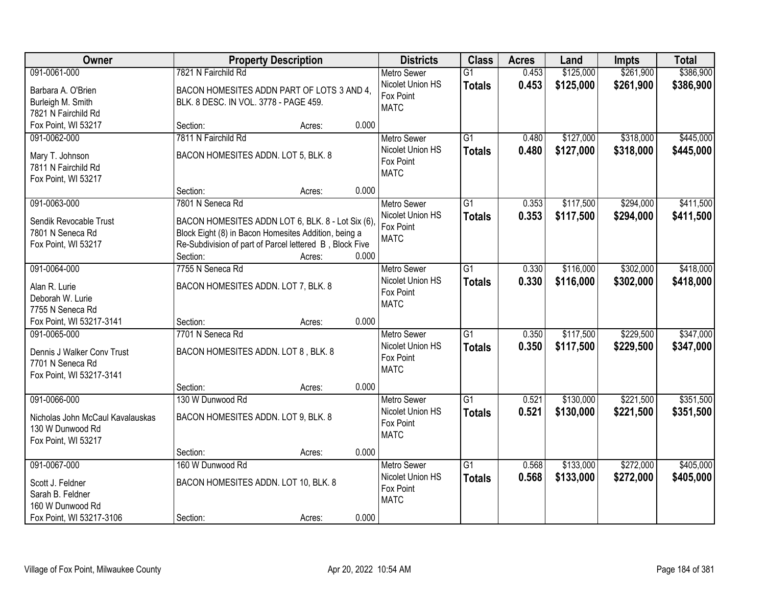| Owner                            | <b>Property Description</b>                             |                 | <b>Districts</b>   | <b>Class</b>    | <b>Acres</b> | Land      | <b>Impts</b> | <b>Total</b> |
|----------------------------------|---------------------------------------------------------|-----------------|--------------------|-----------------|--------------|-----------|--------------|--------------|
| 091-0061-000                     | 7821 N Fairchild Rd                                     |                 | <b>Metro Sewer</b> | $\overline{G1}$ | 0.453        | \$125,000 | \$261,900    | \$386,900    |
| Barbara A. O'Brien               | BACON HOMESITES ADDN PART OF LOTS 3 AND 4,              |                 | Nicolet Union HS   | <b>Totals</b>   | 0.453        | \$125,000 | \$261,900    | \$386,900    |
| Burleigh M. Smith                | BLK. 8 DESC. IN VOL. 3778 - PAGE 459.                   |                 | Fox Point          |                 |              |           |              |              |
| 7821 N Fairchild Rd              |                                                         |                 | <b>MATC</b>        |                 |              |           |              |              |
| Fox Point, WI 53217              | Section:                                                | 0.000<br>Acres: |                    |                 |              |           |              |              |
| 091-0062-000                     | 7811 N Fairchild Rd                                     |                 | <b>Metro Sewer</b> | $\overline{G1}$ | 0.480        | \$127,000 | \$318,000    | \$445,000    |
| Mary T. Johnson                  | BACON HOMESITES ADDN. LOT 5, BLK. 8                     |                 | Nicolet Union HS   | <b>Totals</b>   | 0.480        | \$127,000 | \$318,000    | \$445,000    |
| 7811 N Fairchild Rd              |                                                         |                 | Fox Point          |                 |              |           |              |              |
| Fox Point, WI 53217              |                                                         |                 | <b>MATC</b>        |                 |              |           |              |              |
|                                  | Section:                                                | 0.000<br>Acres: |                    |                 |              |           |              |              |
| 091-0063-000                     | 7801 N Seneca Rd                                        |                 | Metro Sewer        | G1              | 0.353        | \$117,500 | \$294,000    | \$411,500    |
| Sendik Revocable Trust           | BACON HOMESITES ADDN LOT 6, BLK. 8 - Lot Six (6),       |                 | Nicolet Union HS   | <b>Totals</b>   | 0.353        | \$117,500 | \$294,000    | \$411,500    |
| 7801 N Seneca Rd                 | Block Eight (8) in Bacon Homesites Addition, being a    |                 | Fox Point          |                 |              |           |              |              |
| Fox Point, WI 53217              | Re-Subdivision of part of Parcel lettered B, Block Five |                 | <b>MATC</b>        |                 |              |           |              |              |
|                                  | Section:                                                | 0.000<br>Acres: |                    |                 |              |           |              |              |
| 091-0064-000                     | 7755 N Seneca Rd                                        |                 | <b>Metro Sewer</b> | $\overline{G1}$ | 0.330        | \$116,000 | \$302,000    | \$418,000    |
| Alan R. Lurie                    | BACON HOMESITES ADDN. LOT 7, BLK. 8                     |                 | Nicolet Union HS   | <b>Totals</b>   | 0.330        | \$116,000 | \$302,000    | \$418,000    |
| Deborah W. Lurie                 |                                                         |                 | Fox Point          |                 |              |           |              |              |
| 7755 N Seneca Rd                 |                                                         |                 | <b>MATC</b>        |                 |              |           |              |              |
| Fox Point, WI 53217-3141         | Section:                                                | 0.000<br>Acres: |                    |                 |              |           |              |              |
| 091-0065-000                     | 7701 N Seneca Rd                                        |                 | <b>Metro Sewer</b> | $\overline{G1}$ | 0.350        | \$117,500 | \$229,500    | \$347,000    |
| Dennis J Walker Conv Trust       | BACON HOMESITES ADDN. LOT 8, BLK. 8                     |                 | Nicolet Union HS   | <b>Totals</b>   | 0.350        | \$117,500 | \$229,500    | \$347,000    |
| 7701 N Seneca Rd                 |                                                         |                 | Fox Point          |                 |              |           |              |              |
| Fox Point, WI 53217-3141         |                                                         |                 | <b>MATC</b>        |                 |              |           |              |              |
|                                  | Section:                                                | 0.000<br>Acres: |                    |                 |              |           |              |              |
| 091-0066-000                     | 130 W Dunwood Rd                                        |                 | Metro Sewer        | $\overline{G1}$ | 0.521        | \$130,000 | \$221,500    | \$351,500    |
| Nicholas John McCaul Kavalauskas | BACON HOMESITES ADDN. LOT 9, BLK. 8                     |                 | Nicolet Union HS   | <b>Totals</b>   | 0.521        | \$130,000 | \$221,500    | \$351,500    |
| 130 W Dunwood Rd                 |                                                         |                 | Fox Point          |                 |              |           |              |              |
| Fox Point, WI 53217              |                                                         |                 | <b>MATC</b>        |                 |              |           |              |              |
|                                  | Section:                                                | 0.000<br>Acres: |                    |                 |              |           |              |              |
| 091-0067-000                     | 160 W Dunwood Rd                                        |                 | <b>Metro Sewer</b> | $\overline{G1}$ | 0.568        | \$133,000 | \$272,000    | \$405,000    |
| Scott J. Feldner                 | BACON HOMESITES ADDN. LOT 10, BLK. 8                    |                 | Nicolet Union HS   | <b>Totals</b>   | 0.568        | \$133,000 | \$272,000    | \$405,000    |
| Sarah B. Feldner                 |                                                         |                 | Fox Point          |                 |              |           |              |              |
| 160 W Dunwood Rd                 |                                                         |                 | <b>MATC</b>        |                 |              |           |              |              |
| Fox Point, WI 53217-3106         | Section:                                                | 0.000<br>Acres: |                    |                 |              |           |              |              |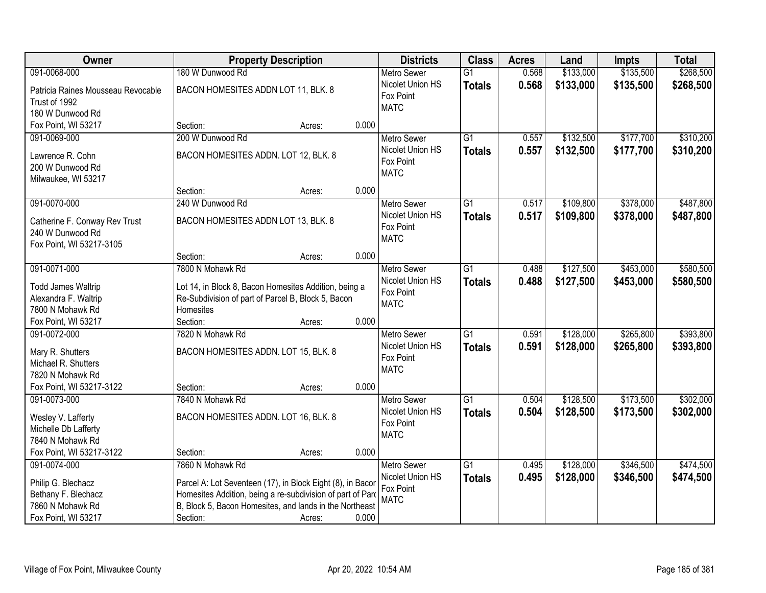| Owner                                        | <b>Property Description</b>                                |                 | <b>Districts</b>              | <b>Class</b>    | <b>Acres</b> | Land      | <b>Impts</b> | <b>Total</b> |
|----------------------------------------------|------------------------------------------------------------|-----------------|-------------------------------|-----------------|--------------|-----------|--------------|--------------|
| 091-0068-000                                 | 180 W Dunwood Rd                                           |                 | <b>Metro Sewer</b>            | $\overline{G1}$ | 0.568        | \$133,000 | \$135,500    | \$268,500    |
| Patricia Raines Mousseau Revocable           | BACON HOMESITES ADDN LOT 11, BLK. 8                        |                 | Nicolet Union HS              | <b>Totals</b>   | 0.568        | \$133,000 | \$135,500    | \$268,500    |
| Trust of 1992                                |                                                            |                 | Fox Point                     |                 |              |           |              |              |
| 180 W Dunwood Rd                             |                                                            |                 | <b>MATC</b>                   |                 |              |           |              |              |
| Fox Point, WI 53217                          | Section:                                                   | 0.000<br>Acres: |                               |                 |              |           |              |              |
| 091-0069-000                                 | 200 W Dunwood Rd                                           |                 | <b>Metro Sewer</b>            | $\overline{G1}$ | 0.557        | \$132,500 | \$177,700    | \$310,200    |
|                                              |                                                            |                 | Nicolet Union HS              | <b>Totals</b>   | 0.557        | \$132,500 | \$177,700    | \$310,200    |
| Lawrence R. Cohn                             | BACON HOMESITES ADDN. LOT 12, BLK. 8                       |                 | Fox Point                     |                 |              |           |              |              |
| 200 W Dunwood Rd                             |                                                            |                 | <b>MATC</b>                   |                 |              |           |              |              |
| Milwaukee, WI 53217                          | Section:                                                   | 0.000           |                               |                 |              |           |              |              |
| 091-0070-000                                 | 240 W Dunwood Rd                                           | Acres:          | <b>Metro Sewer</b>            | G1              | 0.517        | \$109,800 | \$378,000    | \$487,800    |
|                                              |                                                            |                 | Nicolet Union HS              |                 |              |           |              |              |
| Catherine F. Conway Rev Trust                | BACON HOMESITES ADDN LOT 13, BLK. 8                        |                 | Fox Point                     | <b>Totals</b>   | 0.517        | \$109,800 | \$378,000    | \$487,800    |
| 240 W Dunwood Rd                             |                                                            |                 | <b>MATC</b>                   |                 |              |           |              |              |
| Fox Point, WI 53217-3105                     |                                                            |                 |                               |                 |              |           |              |              |
|                                              | Section:                                                   | 0.000<br>Acres: |                               |                 |              |           |              |              |
| 091-0071-000                                 | 7800 N Mohawk Rd                                           |                 | <b>Metro Sewer</b>            | G1              | 0.488        | \$127,500 | \$453,000    | \$580,500    |
| <b>Todd James Waltrip</b>                    | Lot 14, in Block 8, Bacon Homesites Addition, being a      |                 | Nicolet Union HS              | <b>Totals</b>   | 0.488        | \$127,500 | \$453,000    | \$580,500    |
| Alexandra F. Waltrip                         | Re-Subdivision of part of Parcel B, Block 5, Bacon         |                 | Fox Point                     |                 |              |           |              |              |
| 7800 N Mohawk Rd                             | Homesites                                                  |                 | <b>MATC</b>                   |                 |              |           |              |              |
| Fox Point, WI 53217                          | Section:                                                   | 0.000<br>Acres: |                               |                 |              |           |              |              |
| 091-0072-000                                 | 7820 N Mohawk Rd                                           |                 | <b>Metro Sewer</b>            | $\overline{G1}$ | 0.591        | \$128,000 | \$265,800    | \$393,800    |
|                                              |                                                            |                 | Nicolet Union HS              | <b>Totals</b>   | 0.591        | \$128,000 | \$265,800    | \$393,800    |
| Mary R. Shutters                             | BACON HOMESITES ADDN. LOT 15, BLK. 8                       |                 | Fox Point                     |                 |              |           |              |              |
| Michael R. Shutters                          |                                                            |                 | <b>MATC</b>                   |                 |              |           |              |              |
| 7820 N Mohawk Rd<br>Fox Point, WI 53217-3122 | Section:                                                   | 0.000           |                               |                 |              |           |              |              |
| 091-0073-000                                 | 7840 N Mohawk Rd                                           | Acres:          |                               | $\overline{G1}$ | 0.504        | \$128,500 | \$173,500    | \$302,000    |
|                                              |                                                            |                 | Metro Sewer                   |                 |              |           |              |              |
| Wesley V. Lafferty                           | BACON HOMESITES ADDN. LOT 16, BLK. 8                       |                 | Nicolet Union HS<br>Fox Point | <b>Totals</b>   | 0.504        | \$128,500 | \$173,500    | \$302,000    |
| Michelle Db Lafferty                         |                                                            |                 | <b>MATC</b>                   |                 |              |           |              |              |
| 7840 N Mohawk Rd                             |                                                            |                 |                               |                 |              |           |              |              |
| Fox Point, WI 53217-3122                     | Section:                                                   | 0.000<br>Acres: |                               |                 |              |           |              |              |
| 091-0074-000                                 | 7860 N Mohawk Rd                                           |                 | <b>Metro Sewer</b>            | $\overline{G1}$ | 0.495        | \$128,000 | \$346,500    | \$474,500    |
| Philip G. Blechacz                           | Parcel A: Lot Seventeen (17), in Block Eight (8), in Bacor |                 | Nicolet Union HS              | <b>Totals</b>   | 0.495        | \$128,000 | \$346,500    | \$474,500    |
| Bethany F. Blechacz                          | Homesites Addition, being a re-subdivision of part of Pard |                 | Fox Point                     |                 |              |           |              |              |
| 7860 N Mohawk Rd                             | B, Block 5, Bacon Homesites, and lands in the Northeast    |                 | <b>MATC</b>                   |                 |              |           |              |              |
| Fox Point, WI 53217                          | Section:                                                   | 0.000<br>Acres: |                               |                 |              |           |              |              |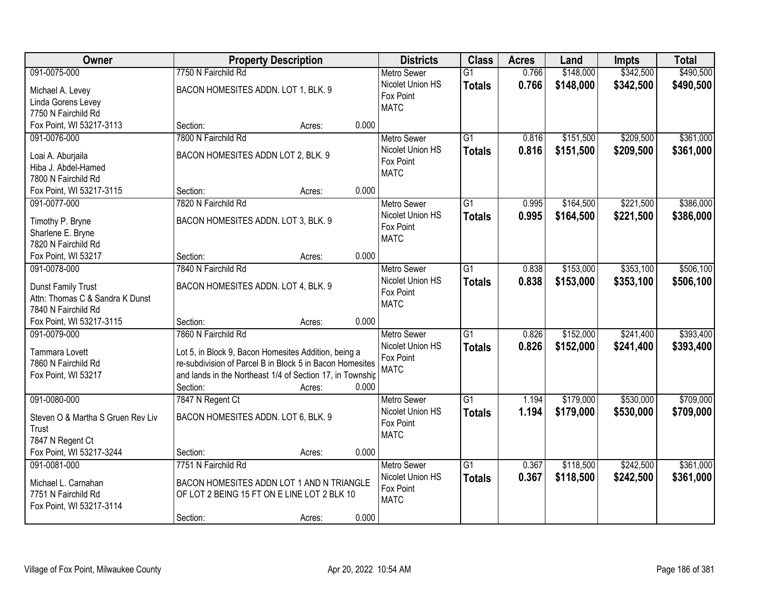| Owner                             | <b>Property Description</b>                               |        |       | <b>Districts</b>         | <b>Class</b>    | <b>Acres</b> | Land      | <b>Impts</b> | <b>Total</b> |
|-----------------------------------|-----------------------------------------------------------|--------|-------|--------------------------|-----------------|--------------|-----------|--------------|--------------|
| 091-0075-000                      | 7750 N Fairchild Rd                                       |        |       | <b>Metro Sewer</b>       | $\overline{G1}$ | 0.766        | \$148,000 | \$342,500    | \$490,500    |
| Michael A. Levey                  | BACON HOMESITES ADDN. LOT 1, BLK. 9                       |        |       | Nicolet Union HS         | <b>Totals</b>   | 0.766        | \$148,000 | \$342,500    | \$490,500    |
| Linda Gorens Levey                |                                                           |        |       | Fox Point                |                 |              |           |              |              |
| 7750 N Fairchild Rd               |                                                           |        |       | <b>MATC</b>              |                 |              |           |              |              |
| Fox Point, WI 53217-3113          | Section:                                                  | Acres: | 0.000 |                          |                 |              |           |              |              |
| 091-0076-000                      | 7800 N Fairchild Rd                                       |        |       | <b>Metro Sewer</b>       | $\overline{G1}$ | 0.816        | \$151,500 | \$209,500    | \$361,000    |
|                                   |                                                           |        |       | Nicolet Union HS         | <b>Totals</b>   | 0.816        | \$151,500 | \$209,500    | \$361,000    |
| Loai A. Aburjaila                 | BACON HOMESITES ADDN LOT 2, BLK. 9                        |        |       | Fox Point                |                 |              |           |              |              |
| Hiba J. Abdel-Hamed               |                                                           |        |       | <b>MATC</b>              |                 |              |           |              |              |
| 7800 N Fairchild Rd               |                                                           |        |       |                          |                 |              |           |              |              |
| Fox Point, WI 53217-3115          | Section:                                                  | Acres: | 0.000 |                          |                 |              |           |              |              |
| 091-0077-000                      | 7820 N Fairchild Rd                                       |        |       | <b>Metro Sewer</b>       | G1              | 0.995        | \$164,500 | \$221,500    | \$386,000    |
| Timothy P. Bryne                  | BACON HOMESITES ADDN. LOT 3, BLK. 9                       |        |       | Nicolet Union HS         | <b>Totals</b>   | 0.995        | \$164,500 | \$221,500    | \$386,000    |
| Sharlene E. Bryne                 |                                                           |        |       | Fox Point                |                 |              |           |              |              |
| 7820 N Fairchild Rd               |                                                           |        |       | <b>MATC</b>              |                 |              |           |              |              |
| Fox Point, WI 53217               | Section:                                                  | Acres: | 0.000 |                          |                 |              |           |              |              |
| 091-0078-000                      | 7840 N Fairchild Rd                                       |        |       | <b>Metro Sewer</b>       | $\overline{G1}$ | 0.838        | \$153,000 | \$353,100    | \$506,100    |
|                                   |                                                           |        |       | Nicolet Union HS         | <b>Totals</b>   | 0.838        | \$153,000 | \$353,100    | \$506,100    |
| Dunst Family Trust                | BACON HOMESITES ADDN. LOT 4, BLK. 9                       |        |       | Fox Point                |                 |              |           |              |              |
| Attn: Thomas C & Sandra K Dunst   |                                                           |        |       | <b>MATC</b>              |                 |              |           |              |              |
| 7840 N Fairchild Rd               |                                                           |        | 0.000 |                          |                 |              |           |              |              |
| Fox Point, WI 53217-3115          | Section:                                                  | Acres: |       |                          |                 |              |           | \$241,400    |              |
| 091-0079-000                      | 7860 N Fairchild Rd                                       |        |       | <b>Metro Sewer</b>       | $\overline{G1}$ | 0.826        | \$152,000 |              | \$393,400    |
| Tammara Lovett                    | Lot 5, in Block 9, Bacon Homesites Addition, being a      |        |       | Nicolet Union HS         | <b>Totals</b>   | 0.826        | \$152,000 | \$241,400    | \$393,400    |
| 7860 N Fairchild Rd               | re-subdivision of Parcel B in Block 5 in Bacon Homesites  |        |       | Fox Point<br><b>MATC</b> |                 |              |           |              |              |
| Fox Point, WI 53217               | and lands in the Northeast 1/4 of Section 17, in Township |        |       |                          |                 |              |           |              |              |
|                                   | Section:                                                  | Acres: | 0.000 |                          |                 |              |           |              |              |
| 091-0080-000                      | 7847 N Regent Ct                                          |        |       | Metro Sewer              | $\overline{G1}$ | 1.194        | \$179,000 | \$530,000    | \$709,000    |
| Steven O & Martha S Gruen Rev Liv | BACON HOMESITES ADDN. LOT 6, BLK. 9                       |        |       | Nicolet Union HS         | <b>Totals</b>   | 1.194        | \$179,000 | \$530,000    | \$709,000    |
| Trust                             |                                                           |        |       | Fox Point                |                 |              |           |              |              |
| 7847 N Regent Ct                  |                                                           |        |       | <b>MATC</b>              |                 |              |           |              |              |
| Fox Point, WI 53217-3244          | Section:                                                  | Acres: | 0.000 |                          |                 |              |           |              |              |
| 091-0081-000                      | 7751 N Fairchild Rd                                       |        |       | <b>Metro Sewer</b>       | $\overline{G1}$ | 0.367        | \$118,500 | \$242,500    | \$361,000    |
|                                   |                                                           |        |       | Nicolet Union HS         |                 | 0.367        | \$118,500 | \$242,500    | \$361,000    |
| Michael L. Carnahan               | BACON HOMESITES ADDN LOT 1 AND N TRIANGLE                 |        |       | Fox Point                | <b>Totals</b>   |              |           |              |              |
| 7751 N Fairchild Rd               | OF LOT 2 BEING 15 FT ON E LINE LOT 2 BLK 10               |        |       | <b>MATC</b>              |                 |              |           |              |              |
| Fox Point, WI 53217-3114          |                                                           |        |       |                          |                 |              |           |              |              |
|                                   | Section:                                                  | Acres: | 0.000 |                          |                 |              |           |              |              |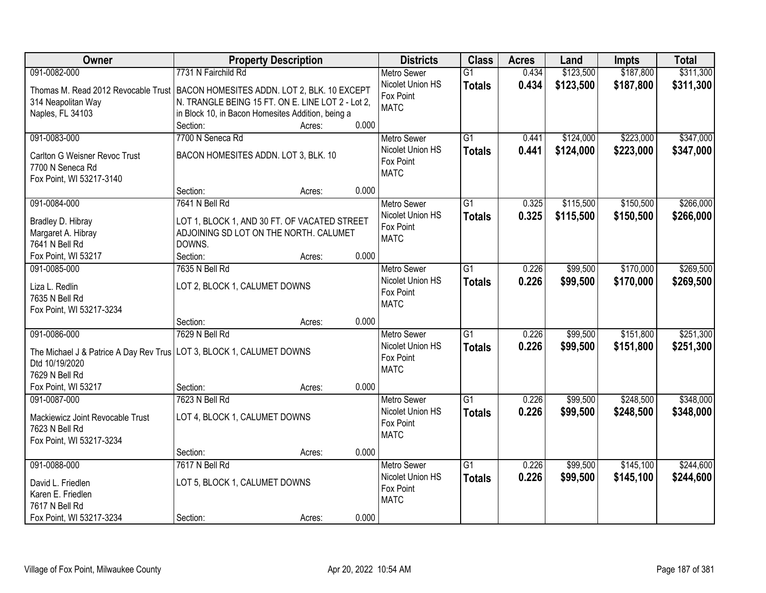| Owner                                                                             | <b>Property Description</b>                       |                 | <b>Districts</b>                       | <b>Class</b>    | <b>Acres</b> | Land      | <b>Impts</b> | <b>Total</b> |
|-----------------------------------------------------------------------------------|---------------------------------------------------|-----------------|----------------------------------------|-----------------|--------------|-----------|--------------|--------------|
| 091-0082-000                                                                      | 7731 N Fairchild Rd                               |                 | <b>Metro Sewer</b>                     | $\overline{G1}$ | 0.434        | \$123,500 | \$187,800    | \$311,300    |
| Thomas M. Read 2012 Revocable Trust   BACON HOMESITES ADDN. LOT 2, BLK. 10 EXCEPT |                                                   |                 | Nicolet Union HS                       | <b>Totals</b>   | 0.434        | \$123,500 | \$187,800    | \$311,300    |
| 314 Neapolitan Way                                                                | N. TRANGLE BEING 15 FT. ON E. LINE LOT 2 - Lot 2, |                 | Fox Point                              |                 |              |           |              |              |
| Naples, FL 34103                                                                  | in Block 10, in Bacon Homesites Addition, being a |                 | <b>MATC</b>                            |                 |              |           |              |              |
|                                                                                   | Section:                                          | 0.000<br>Acres: |                                        |                 |              |           |              |              |
| 091-0083-000                                                                      | 7700 N Seneca Rd                                  |                 | <b>Metro Sewer</b>                     | $\overline{G1}$ | 0.441        | \$124,000 | \$223,000    | \$347,000    |
|                                                                                   | BACON HOMESITES ADDN. LOT 3, BLK. 10              |                 | Nicolet Union HS                       | <b>Totals</b>   | 0.441        | \$124,000 | \$223,000    | \$347,000    |
| Carlton G Weisner Revoc Trust<br>7700 N Seneca Rd                                 |                                                   |                 | Fox Point                              |                 |              |           |              |              |
| Fox Point, WI 53217-3140                                                          |                                                   |                 | <b>MATC</b>                            |                 |              |           |              |              |
|                                                                                   | Section:                                          | 0.000<br>Acres: |                                        |                 |              |           |              |              |
| 091-0084-000                                                                      | 7641 N Bell Rd                                    |                 | Metro Sewer                            | G1              | 0.325        | \$115,500 | \$150,500    | \$266,000    |
|                                                                                   |                                                   |                 | Nicolet Union HS                       | <b>Totals</b>   | 0.325        | \$115,500 | \$150,500    | \$266,000    |
| Bradley D. Hibray                                                                 | LOT 1, BLOCK 1, AND 30 FT. OF VACATED STREET      |                 | Fox Point                              |                 |              |           |              |              |
| Margaret A. Hibray                                                                | ADJOINING SD LOT ON THE NORTH. CALUMET            |                 | <b>MATC</b>                            |                 |              |           |              |              |
| 7641 N Bell Rd                                                                    | DOWNS.                                            |                 |                                        |                 |              |           |              |              |
| Fox Point, WI 53217                                                               | Section:                                          | 0.000<br>Acres: |                                        |                 |              |           |              |              |
| 091-0085-000                                                                      | 7635 N Bell Rd                                    |                 | <b>Metro Sewer</b><br>Nicolet Union HS | $\overline{G1}$ | 0.226        | \$99,500  | \$170,000    | \$269,500    |
| Liza L. Redlin                                                                    | LOT 2, BLOCK 1, CALUMET DOWNS                     |                 | Fox Point                              | <b>Totals</b>   | 0.226        | \$99,500  | \$170,000    | \$269,500    |
| 7635 N Bell Rd                                                                    |                                                   |                 | <b>MATC</b>                            |                 |              |           |              |              |
| Fox Point, WI 53217-3234                                                          |                                                   |                 |                                        |                 |              |           |              |              |
|                                                                                   | Section:                                          | 0.000<br>Acres: |                                        |                 |              |           |              |              |
| 091-0086-000                                                                      | 7629 N Bell Rd                                    |                 | <b>Metro Sewer</b>                     | $\overline{G1}$ | 0.226        | \$99,500  | \$151,800    | \$251,300    |
| The Michael J & Patrice A Day Rev Trus   LOT 3, BLOCK 1, CALUMET DOWNS            |                                                   |                 | Nicolet Union HS                       | <b>Totals</b>   | 0.226        | \$99,500  | \$151,800    | \$251,300    |
| Dtd 10/19/2020                                                                    |                                                   |                 | Fox Point                              |                 |              |           |              |              |
| 7629 N Bell Rd                                                                    |                                                   |                 | <b>MATC</b>                            |                 |              |           |              |              |
| Fox Point, WI 53217                                                               | Section:                                          | 0.000<br>Acres: |                                        |                 |              |           |              |              |
| 091-0087-000                                                                      | 7623 N Bell Rd                                    |                 | Metro Sewer                            | $\overline{G1}$ | 0.226        | \$99,500  | \$248,500    | \$348,000    |
| Mackiewicz Joint Revocable Trust                                                  | LOT 4, BLOCK 1, CALUMET DOWNS                     |                 | Nicolet Union HS                       | <b>Totals</b>   | 0.226        | \$99,500  | \$248,500    | \$348,000    |
| 7623 N Bell Rd                                                                    |                                                   |                 | Fox Point                              |                 |              |           |              |              |
| Fox Point, WI 53217-3234                                                          |                                                   |                 | <b>MATC</b>                            |                 |              |           |              |              |
|                                                                                   | Section:                                          | 0.000<br>Acres: |                                        |                 |              |           |              |              |
| 091-0088-000                                                                      | 7617 N Bell Rd                                    |                 | <b>Metro Sewer</b>                     | $\overline{G1}$ | 0.226        | \$99,500  | \$145,100    | \$244,600    |
|                                                                                   |                                                   |                 | Nicolet Union HS                       | <b>Totals</b>   | 0.226        | \$99,500  | \$145,100    | \$244,600    |
| David L. Friedlen                                                                 | LOT 5, BLOCK 1, CALUMET DOWNS                     |                 | Fox Point                              |                 |              |           |              |              |
| Karen E. Friedlen<br>7617 N Bell Rd                                               |                                                   |                 | <b>MATC</b>                            |                 |              |           |              |              |
| Fox Point, WI 53217-3234                                                          | Section:                                          | 0.000<br>Acres: |                                        |                 |              |           |              |              |
|                                                                                   |                                                   |                 |                                        |                 |              |           |              |              |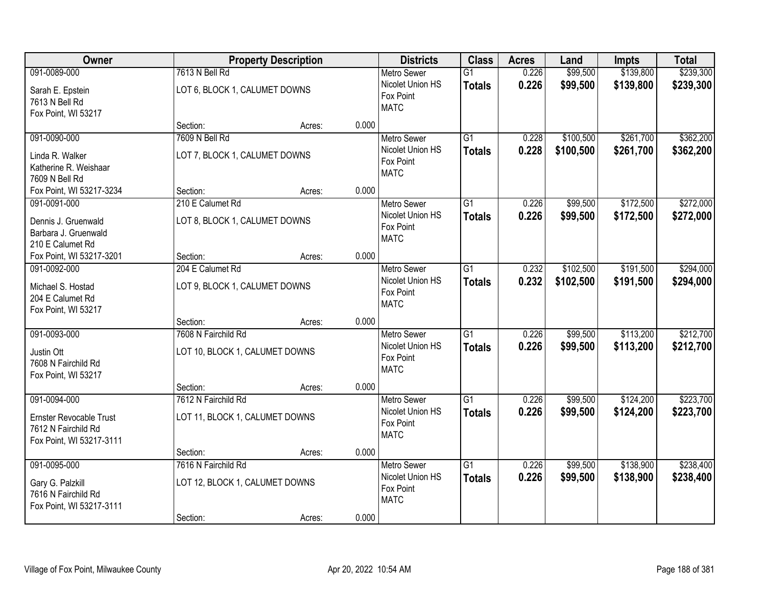| Owner                          |                                | <b>Property Description</b> |       | <b>Districts</b>              | <b>Class</b>    | <b>Acres</b> | Land      | <b>Impts</b> | <b>Total</b> |
|--------------------------------|--------------------------------|-----------------------------|-------|-------------------------------|-----------------|--------------|-----------|--------------|--------------|
| 091-0089-000                   | 7613 N Bell Rd                 |                             |       | <b>Metro Sewer</b>            | $\overline{G1}$ | 0.226        | \$99,500  | \$139,800    | \$239,300    |
| Sarah E. Epstein               | LOT 6, BLOCK 1, CALUMET DOWNS  |                             |       | Nicolet Union HS<br>Fox Point | <b>Totals</b>   | 0.226        | \$99,500  | \$139,800    | \$239,300    |
| 7613 N Bell Rd                 |                                |                             |       | <b>MATC</b>                   |                 |              |           |              |              |
| Fox Point, WI 53217            |                                |                             |       |                               |                 |              |           |              |              |
|                                | Section:                       | Acres:                      | 0.000 |                               |                 |              |           |              |              |
| 091-0090-000                   | 7609 N Bell Rd                 |                             |       | <b>Metro Sewer</b>            | $\overline{G1}$ | 0.228        | \$100,500 | \$261,700    | \$362,200    |
| Linda R. Walker                | LOT 7, BLOCK 1, CALUMET DOWNS  |                             |       | Nicolet Union HS              | <b>Totals</b>   | 0.228        | \$100,500 | \$261,700    | \$362,200    |
| Katherine R. Weishaar          |                                |                             |       | Fox Point<br><b>MATC</b>      |                 |              |           |              |              |
| 7609 N Bell Rd                 |                                |                             |       |                               |                 |              |           |              |              |
| Fox Point, WI 53217-3234       | Section:                       | Acres:                      | 0.000 |                               |                 |              |           |              |              |
| 091-0091-000                   | 210 E Calumet Rd               |                             |       | Metro Sewer                   | G1              | 0.226        | \$99,500  | \$172,500    | \$272,000    |
| Dennis J. Gruenwald            | LOT 8, BLOCK 1, CALUMET DOWNS  |                             |       | Nicolet Union HS              | <b>Totals</b>   | 0.226        | \$99,500  | \$172,500    | \$272,000    |
| Barbara J. Gruenwald           |                                |                             |       | Fox Point                     |                 |              |           |              |              |
| 210 E Calumet Rd               |                                |                             |       | <b>MATC</b>                   |                 |              |           |              |              |
| Fox Point, WI 53217-3201       | Section:                       | Acres:                      | 0.000 |                               |                 |              |           |              |              |
| 091-0092-000                   | 204 E Calumet Rd               |                             |       | <b>Metro Sewer</b>            | $\overline{G1}$ | 0.232        | \$102,500 | \$191,500    | \$294,000    |
| Michael S. Hostad              | LOT 9, BLOCK 1, CALUMET DOWNS  |                             |       | Nicolet Union HS              | <b>Totals</b>   | 0.232        | \$102,500 | \$191,500    | \$294,000    |
| 204 E Calumet Rd               |                                |                             |       | Fox Point                     |                 |              |           |              |              |
| Fox Point, WI 53217            |                                |                             |       | <b>MATC</b>                   |                 |              |           |              |              |
|                                | Section:                       | Acres:                      | 0.000 |                               |                 |              |           |              |              |
| 091-0093-000                   | 7608 N Fairchild Rd            |                             |       | <b>Metro Sewer</b>            | $\overline{G1}$ | 0.226        | \$99,500  | \$113,200    | \$212,700    |
|                                |                                |                             |       | Nicolet Union HS              | <b>Totals</b>   | 0.226        | \$99,500  | \$113,200    | \$212,700    |
| Justin Ott                     | LOT 10, BLOCK 1, CALUMET DOWNS |                             |       | Fox Point                     |                 |              |           |              |              |
| 7608 N Fairchild Rd            |                                |                             |       | <b>MATC</b>                   |                 |              |           |              |              |
| Fox Point, WI 53217            | Section:                       | Acres:                      | 0.000 |                               |                 |              |           |              |              |
| 091-0094-000                   | 7612 N Fairchild Rd            |                             |       | <b>Metro Sewer</b>            | G1              | 0.226        | \$99,500  | \$124,200    | \$223,700    |
|                                |                                |                             |       | Nicolet Union HS              | <b>Totals</b>   | 0.226        | \$99,500  | \$124,200    | \$223,700    |
| <b>Ernster Revocable Trust</b> | LOT 11, BLOCK 1, CALUMET DOWNS |                             |       | Fox Point                     |                 |              |           |              |              |
| 7612 N Fairchild Rd            |                                |                             |       | <b>MATC</b>                   |                 |              |           |              |              |
| Fox Point, WI 53217-3111       |                                |                             |       |                               |                 |              |           |              |              |
|                                | Section:                       | Acres:                      | 0.000 |                               |                 |              |           |              |              |
| 091-0095-000                   | 7616 N Fairchild Rd            |                             |       | <b>Metro Sewer</b>            | G1              | 0.226        | \$99,500  | \$138,900    | \$238,400    |
| Gary G. Palzkill               | LOT 12, BLOCK 1, CALUMET DOWNS |                             |       | Nicolet Union HS<br>Fox Point | <b>Totals</b>   | 0.226        | \$99,500  | \$138,900    | \$238,400    |
| 7616 N Fairchild Rd            |                                |                             |       | <b>MATC</b>                   |                 |              |           |              |              |
| Fox Point, WI 53217-3111       |                                |                             |       |                               |                 |              |           |              |              |
|                                | Section:                       | Acres:                      | 0.000 |                               |                 |              |           |              |              |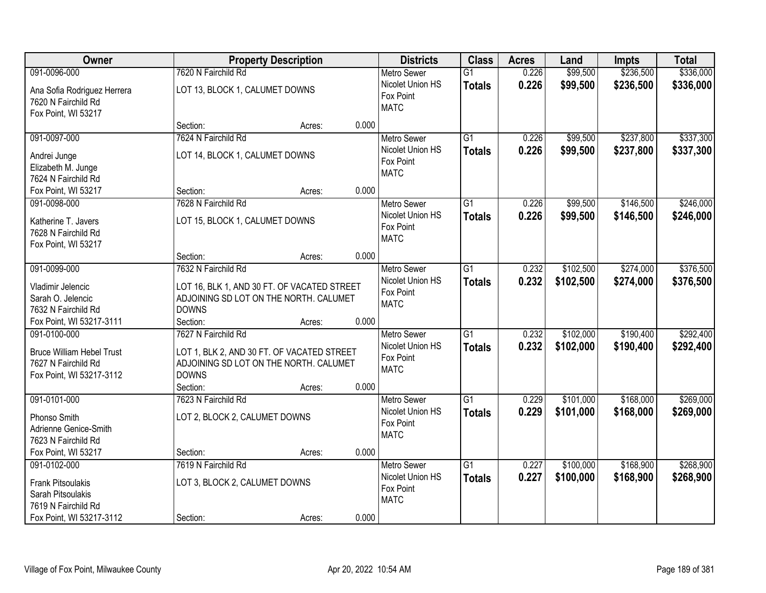| Owner                                                                                               |                                                                                                                                         | <b>Property Description</b> |       | <b>Districts</b>                                                   | <b>Class</b>                     | <b>Acres</b>   | Land                   | <b>Impts</b>           | <b>Total</b>           |
|-----------------------------------------------------------------------------------------------------|-----------------------------------------------------------------------------------------------------------------------------------------|-----------------------------|-------|--------------------------------------------------------------------|----------------------------------|----------------|------------------------|------------------------|------------------------|
| 091-0096-000                                                                                        | 7620 N Fairchild Rd                                                                                                                     |                             |       | <b>Metro Sewer</b>                                                 | $\overline{G1}$                  | 0.226          | \$99,500               | \$236,500              | \$336,000              |
| Ana Sofia Rodriguez Herrera<br>7620 N Fairchild Rd<br>Fox Point, WI 53217                           | LOT 13, BLOCK 1, CALUMET DOWNS                                                                                                          |                             |       | Nicolet Union HS<br>Fox Point<br><b>MATC</b>                       | <b>Totals</b>                    | 0.226          | \$99,500               | \$236,500              | \$336,000              |
|                                                                                                     | Section:                                                                                                                                | Acres:                      | 0.000 |                                                                    |                                  |                |                        |                        |                        |
| 091-0097-000<br>Andrei Junge<br>Elizabeth M. Junge<br>7624 N Fairchild Rd                           | 7624 N Fairchild Rd<br>LOT 14, BLOCK 1, CALUMET DOWNS                                                                                   |                             |       | <b>Metro Sewer</b><br>Nicolet Union HS<br>Fox Point<br><b>MATC</b> | $\overline{G1}$<br><b>Totals</b> | 0.226<br>0.226 | \$99,500<br>\$99,500   | \$237,800<br>\$237,800 | \$337,300<br>\$337,300 |
| Fox Point, WI 53217                                                                                 | Section:                                                                                                                                | Acres:                      | 0.000 |                                                                    |                                  |                |                        |                        |                        |
| 091-0098-000<br>Katherine T. Javers<br>7628 N Fairchild Rd<br>Fox Point, WI 53217                   | 7628 N Fairchild Rd<br>LOT 15, BLOCK 1, CALUMET DOWNS                                                                                   |                             |       | <b>Metro Sewer</b><br>Nicolet Union HS<br>Fox Point<br><b>MATC</b> | G1<br><b>Totals</b>              | 0.226<br>0.226 | \$99,500<br>\$99,500   | \$146,500<br>\$146,500 | \$246,000<br>\$246,000 |
|                                                                                                     | Section:                                                                                                                                | Acres:                      | 0.000 |                                                                    |                                  |                |                        |                        |                        |
| 091-0099-000<br>Vladimir Jelencic<br>Sarah O. Jelencic<br>7632 N Fairchild Rd                       | 7632 N Fairchild Rd<br>LOT 16, BLK 1, AND 30 FT. OF VACATED STREET<br>ADJOINING SD LOT ON THE NORTH. CALUMET<br><b>DOWNS</b>            |                             |       | <b>Metro Sewer</b><br>Nicolet Union HS<br>Fox Point<br><b>MATC</b> | G1<br><b>Totals</b>              | 0.232<br>0.232 | \$102,500<br>\$102,500 | \$274,000<br>\$274,000 | \$376,500<br>\$376,500 |
| Fox Point, WI 53217-3111                                                                            | Section:                                                                                                                                | Acres:                      | 0.000 |                                                                    |                                  |                |                        |                        |                        |
| 091-0100-000<br><b>Bruce William Hebel Trust</b><br>7627 N Fairchild Rd<br>Fox Point, WI 53217-3112 | 7627 N Fairchild Rd<br>LOT 1, BLK 2, AND 30 FT. OF VACATED STREET<br>ADJOINING SD LOT ON THE NORTH. CALUMET<br><b>DOWNS</b><br>Section: | Acres:                      | 0.000 | <b>Metro Sewer</b><br>Nicolet Union HS<br>Fox Point<br><b>MATC</b> | $\overline{G1}$<br><b>Totals</b> | 0.232<br>0.232 | \$102,000<br>\$102,000 | \$190,400<br>\$190,400 | \$292,400<br>\$292,400 |
| 091-0101-000<br>Phonso Smith<br>Adrienne Genice-Smith<br>7623 N Fairchild Rd                        | 7623 N Fairchild Rd<br>LOT 2, BLOCK 2, CALUMET DOWNS                                                                                    |                             |       | <b>Metro Sewer</b><br>Nicolet Union HS<br>Fox Point<br><b>MATC</b> | $\overline{G1}$<br><b>Totals</b> | 0.229<br>0.229 | \$101,000<br>\$101,000 | \$168,000<br>\$168,000 | \$269,000<br>\$269,000 |
| Fox Point, WI 53217<br>091-0102-000                                                                 | Section:<br>7619 N Fairchild Rd                                                                                                         | Acres:                      | 0.000 | <b>Metro Sewer</b>                                                 | $\overline{G1}$                  | 0.227          | \$100,000              | \$168,900              | \$268,900              |
| <b>Frank Pitsoulakis</b><br>Sarah Pitsoulakis<br>7619 N Fairchild Rd<br>Fox Point, WI 53217-3112    | LOT 3, BLOCK 2, CALUMET DOWNS<br>Section:                                                                                               | Acres:                      | 0.000 | Nicolet Union HS<br>Fox Point<br><b>MATC</b>                       | <b>Totals</b>                    | 0.227          | \$100,000              | \$168,900              | \$268,900              |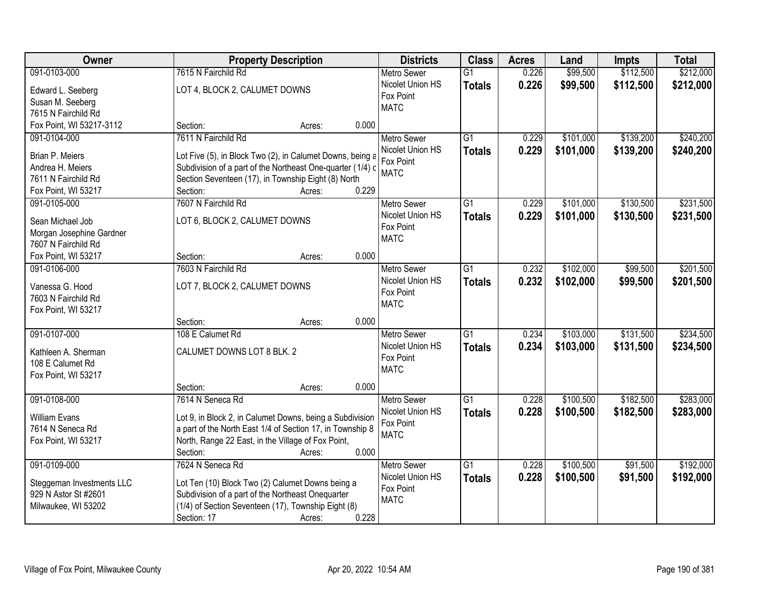| Owner                                             | <b>Property Description</b>                                                                              | <b>Districts</b>   | <b>Class</b>    | <b>Acres</b> | Land      | <b>Impts</b> | <b>Total</b> |
|---------------------------------------------------|----------------------------------------------------------------------------------------------------------|--------------------|-----------------|--------------|-----------|--------------|--------------|
| 091-0103-000                                      | 7615 N Fairchild Rd                                                                                      | <b>Metro Sewer</b> | $\overline{G1}$ | 0.226        | \$99,500  | \$112,500    | \$212,000    |
| Edward L. Seeberg                                 | LOT 4, BLOCK 2, CALUMET DOWNS                                                                            | Nicolet Union HS   | <b>Totals</b>   | 0.226        | \$99,500  | \$112,500    | \$212,000    |
| Susan M. Seeberg                                  |                                                                                                          | Fox Point          |                 |              |           |              |              |
| 7615 N Fairchild Rd                               |                                                                                                          | <b>MATC</b>        |                 |              |           |              |              |
| Fox Point, WI 53217-3112                          | 0.000<br>Section:<br>Acres:                                                                              |                    |                 |              |           |              |              |
| 091-0104-000                                      | 7611 N Fairchild Rd                                                                                      | <b>Metro Sewer</b> | $\overline{G1}$ | 0.229        | \$101,000 | \$139,200    | \$240,200    |
|                                                   |                                                                                                          | Nicolet Union HS   | <b>Totals</b>   | 0.229        | \$101,000 | \$139,200    | \$240,200    |
| Brian P. Meiers                                   | Lot Five (5), in Block Two (2), in Calumet Downs, being a                                                | Fox Point          |                 |              |           |              |              |
| Andrea H. Meiers                                  | Subdivision of a part of the Northeast One-quarter (1/4) c                                               | <b>MATC</b>        |                 |              |           |              |              |
| 7611 N Fairchild Rd<br>Fox Point, WI 53217        | Section Seventeen (17), in Township Eight (8) North<br>0.229<br>Section:<br>Acres:                       |                    |                 |              |           |              |              |
| 091-0105-000                                      | 7607 N Fairchild Rd                                                                                      | <b>Metro Sewer</b> | G1              | 0.229        | \$101,000 | \$130,500    | \$231,500    |
|                                                   |                                                                                                          | Nicolet Union HS   |                 |              |           |              |              |
| Sean Michael Job                                  | LOT 6, BLOCK 2, CALUMET DOWNS                                                                            | Fox Point          | <b>Totals</b>   | 0.229        | \$101,000 | \$130,500    | \$231,500    |
| Morgan Josephine Gardner                          |                                                                                                          | <b>MATC</b>        |                 |              |           |              |              |
| 7607 N Fairchild Rd                               |                                                                                                          |                    |                 |              |           |              |              |
| Fox Point, WI 53217                               | 0.000<br>Section:<br>Acres:                                                                              |                    |                 |              |           |              |              |
| 091-0106-000                                      | 7603 N Fairchild Rd                                                                                      | <b>Metro Sewer</b> | G1              | 0.232        | \$102,000 | \$99,500     | \$201,500    |
| Vanessa G. Hood                                   | LOT 7, BLOCK 2, CALUMET DOWNS                                                                            | Nicolet Union HS   | <b>Totals</b>   | 0.232        | \$102,000 | \$99,500     | \$201,500    |
| 7603 N Fairchild Rd                               |                                                                                                          | Fox Point          |                 |              |           |              |              |
| Fox Point, WI 53217                               |                                                                                                          | <b>MATC</b>        |                 |              |           |              |              |
|                                                   | 0.000<br>Section:<br>Acres:                                                                              |                    |                 |              |           |              |              |
| 091-0107-000                                      | 108 E Calumet Rd                                                                                         | <b>Metro Sewer</b> | $\overline{G1}$ | 0.234        | \$103,000 | \$131,500    | \$234,500    |
|                                                   |                                                                                                          | Nicolet Union HS   | <b>Totals</b>   | 0.234        | \$103,000 | \$131,500    | \$234,500    |
| Kathleen A. Sherman                               | CALUMET DOWNS LOT 8 BLK. 2                                                                               | Fox Point          |                 |              |           |              |              |
| 108 E Calumet Rd                                  |                                                                                                          | <b>MATC</b>        |                 |              |           |              |              |
| Fox Point, WI 53217                               |                                                                                                          |                    |                 |              |           |              |              |
|                                                   | Section:<br>0.000<br>Acres:                                                                              |                    |                 |              |           |              |              |
| 091-0108-000                                      | 7614 N Seneca Rd                                                                                         | <b>Metro Sewer</b> | G1              | 0.228        | \$100,500 | \$182,500    | \$283,000    |
| <b>William Evans</b>                              | Lot 9, in Block 2, in Calumet Downs, being a Subdivision                                                 | Nicolet Union HS   | <b>Totals</b>   | 0.228        | \$100,500 | \$182,500    | \$283,000    |
| 7614 N Seneca Rd                                  | a part of the North East 1/4 of Section 17, in Township 8                                                | Fox Point          |                 |              |           |              |              |
| Fox Point, WI 53217                               | North, Range 22 East, in the Village of Fox Point,                                                       | <b>MATC</b>        |                 |              |           |              |              |
|                                                   | 0.000<br>Section:<br>Acres:                                                                              |                    |                 |              |           |              |              |
| 091-0109-000                                      | 7624 N Seneca Rd                                                                                         | <b>Metro Sewer</b> | $\overline{G1}$ | 0.228        | \$100,500 | \$91,500     | \$192,000    |
|                                                   |                                                                                                          | Nicolet Union HS   | <b>Totals</b>   | 0.228        | \$100,500 | \$91,500     | \$192,000    |
| Steggeman Investments LLC<br>929 N Astor St #2601 | Lot Ten (10) Block Two (2) Calumet Downs being a                                                         | Fox Point          |                 |              |           |              |              |
|                                                   | Subdivision of a part of the Northeast Onequarter<br>(1/4) of Section Seventeen (17), Township Eight (8) | <b>MATC</b>        |                 |              |           |              |              |
| Milwaukee, WI 53202                               | 0.228                                                                                                    |                    |                 |              |           |              |              |
|                                                   | Section: 17<br>Acres:                                                                                    |                    |                 |              |           |              |              |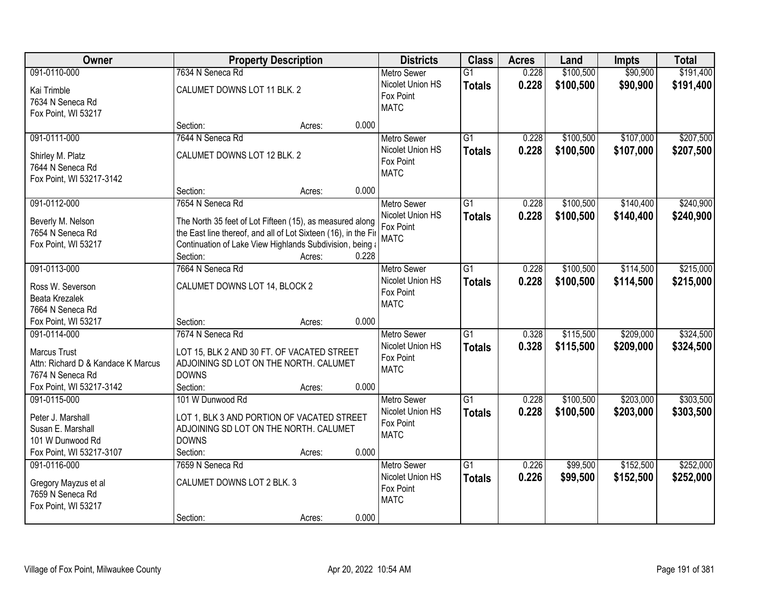| Owner                                                                                                  | <b>Property Description</b>                                                                                                                                                                        |                 | <b>Districts</b>                                                   | <b>Class</b>                     | <b>Acres</b>   | Land                   | <b>Impts</b>           | <b>Total</b>           |
|--------------------------------------------------------------------------------------------------------|----------------------------------------------------------------------------------------------------------------------------------------------------------------------------------------------------|-----------------|--------------------------------------------------------------------|----------------------------------|----------------|------------------------|------------------------|------------------------|
| 091-0110-000                                                                                           | 7634 N Seneca Rd                                                                                                                                                                                   |                 | Metro Sewer                                                        | $\overline{G1}$                  | 0.228          | \$100,500              | \$90,900               | \$191,400              |
| Kai Trimble<br>7634 N Seneca Rd<br>Fox Point, WI 53217                                                 | CALUMET DOWNS LOT 11 BLK. 2                                                                                                                                                                        |                 | Nicolet Union HS<br>Fox Point<br><b>MATC</b>                       | <b>Totals</b>                    | 0.228          | \$100,500              | \$90,900               | \$191,400              |
|                                                                                                        | Section:                                                                                                                                                                                           | 0.000<br>Acres: |                                                                    |                                  |                |                        |                        |                        |
| 091-0111-000<br>Shirley M. Platz<br>7644 N Seneca Rd                                                   | 7644 N Seneca Rd<br>CALUMET DOWNS LOT 12 BLK. 2                                                                                                                                                    |                 | <b>Metro Sewer</b><br>Nicolet Union HS<br>Fox Point                | $\overline{G1}$<br><b>Totals</b> | 0.228<br>0.228 | \$100,500<br>\$100,500 | \$107,000<br>\$107,000 | \$207,500<br>\$207,500 |
| Fox Point, WI 53217-3142                                                                               | Section:                                                                                                                                                                                           | 0.000<br>Acres: | <b>MATC</b>                                                        |                                  |                |                        |                        |                        |
| 091-0112-000                                                                                           | 7654 N Seneca Rd                                                                                                                                                                                   |                 | Metro Sewer                                                        | $\overline{G1}$                  | 0.228          | \$100,500              | \$140,400              | \$240,900              |
| Beverly M. Nelson<br>7654 N Seneca Rd<br>Fox Point, WI 53217                                           | The North 35 feet of Lot Fifteen (15), as measured along<br>the East line thereof, and all of Lot Sixteen (16), in the Fir<br>Continuation of Lake View Highlands Subdivision, being a<br>Section: | 0.228<br>Acres: | Nicolet Union HS<br>Fox Point<br><b>MATC</b>                       | <b>Totals</b>                    | 0.228          | \$100,500              | \$140,400              | \$240,900              |
| 091-0113-000                                                                                           | 7664 N Seneca Rd                                                                                                                                                                                   |                 | <b>Metro Sewer</b>                                                 | $\overline{G1}$                  | 0.228          | \$100,500              | \$114,500              | \$215,000              |
| Ross W. Severson<br><b>Beata Krezalek</b><br>7664 N Seneca Rd                                          | CALUMET DOWNS LOT 14, BLOCK 2                                                                                                                                                                      |                 | Nicolet Union HS<br>Fox Point<br><b>MATC</b>                       | <b>Totals</b>                    | 0.228          | \$100,500              | \$114,500              | \$215,000              |
| Fox Point, WI 53217                                                                                    | Section:                                                                                                                                                                                           | 0.000<br>Acres: |                                                                    |                                  |                |                        |                        |                        |
| 091-0114-000<br>Marcus Trust<br>Attn: Richard D & Kandace K Marcus<br>7674 N Seneca Rd                 | 7674 N Seneca Rd<br>LOT 15, BLK 2 AND 30 FT. OF VACATED STREET<br>ADJOINING SD LOT ON THE NORTH. CALUMET<br><b>DOWNS</b>                                                                           |                 | <b>Metro Sewer</b><br>Nicolet Union HS<br>Fox Point<br><b>MATC</b> | $\overline{G1}$<br><b>Totals</b> | 0.328<br>0.328 | \$115,500<br>\$115,500 | \$209,000<br>\$209,000 | \$324,500<br>\$324,500 |
| Fox Point, WI 53217-3142                                                                               | Section:<br>101 W Dunwood Rd                                                                                                                                                                       | 0.000<br>Acres: |                                                                    |                                  |                |                        |                        |                        |
| 091-0115-000<br>Peter J. Marshall<br>Susan E. Marshall<br>101 W Dunwood Rd<br>Fox Point, WI 53217-3107 | LOT 1, BLK 3 AND PORTION OF VACATED STREET<br>ADJOINING SD LOT ON THE NORTH. CALUMET<br><b>DOWNS</b><br>Section:                                                                                   | 0.000<br>Acres: | <b>Metro Sewer</b><br>Nicolet Union HS<br>Fox Point<br><b>MATC</b> | $\overline{G1}$<br><b>Totals</b> | 0.228<br>0.228 | \$100,500<br>\$100,500 | \$203,000<br>\$203,000 | \$303,500<br>\$303,500 |
| 091-0116-000                                                                                           | 7659 N Seneca Rd                                                                                                                                                                                   |                 | <b>Metro Sewer</b>                                                 | $\overline{G1}$                  | 0.226          | \$99,500               | \$152,500              | \$252,000              |
| Gregory Mayzus et al<br>7659 N Seneca Rd<br>Fox Point, WI 53217                                        | CALUMET DOWNS LOT 2 BLK. 3                                                                                                                                                                         | 0.000           | Nicolet Union HS<br>Fox Point<br><b>MATC</b>                       | <b>Totals</b>                    | 0.226          | \$99,500               | \$152,500              | \$252,000              |
|                                                                                                        | Section:                                                                                                                                                                                           | Acres:          |                                                                    |                                  |                |                        |                        |                        |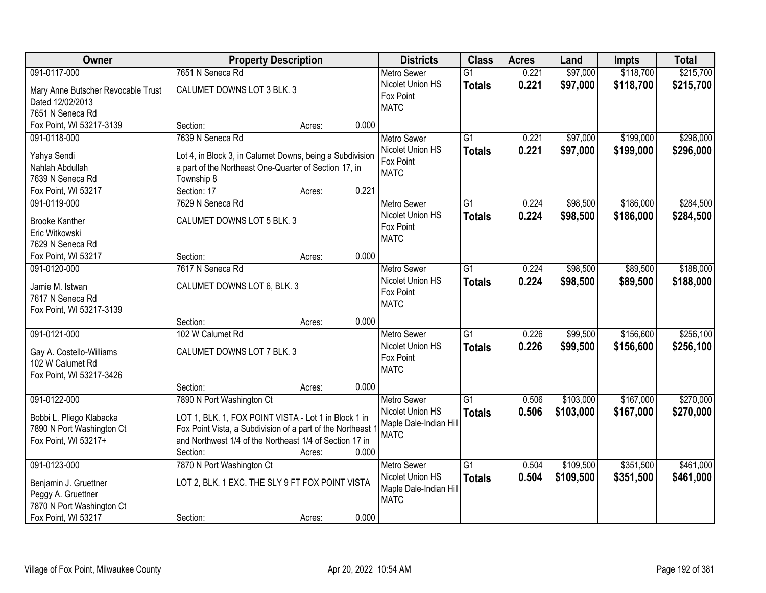| Owner                              | <b>Property Description</b>                               |                 | <b>Districts</b>              | <b>Class</b>    | <b>Acres</b> | Land      | <b>Impts</b> | <b>Total</b> |
|------------------------------------|-----------------------------------------------------------|-----------------|-------------------------------|-----------------|--------------|-----------|--------------|--------------|
| 091-0117-000                       | 7651 N Seneca Rd                                          |                 | <b>Metro Sewer</b>            | $\overline{G1}$ | 0.221        | \$97,000  | \$118,700    | \$215,700    |
| Mary Anne Butscher Revocable Trust | CALUMET DOWNS LOT 3 BLK. 3                                |                 | Nicolet Union HS              | <b>Totals</b>   | 0.221        | \$97,000  | \$118,700    | \$215,700    |
| Dated 12/02/2013                   |                                                           |                 | Fox Point                     |                 |              |           |              |              |
| 7651 N Seneca Rd                   |                                                           |                 | <b>MATC</b>                   |                 |              |           |              |              |
| Fox Point, WI 53217-3139           | Section:                                                  | 0.000<br>Acres: |                               |                 |              |           |              |              |
| 091-0118-000                       | 7639 N Seneca Rd                                          |                 | <b>Metro Sewer</b>            | $\overline{G1}$ | 0.221        | \$97,000  | \$199,000    | \$296,000    |
|                                    |                                                           |                 | Nicolet Union HS              | <b>Totals</b>   | 0.221        | \$97,000  | \$199,000    | \$296,000    |
| Yahya Sendi                        | Lot 4, in Block 3, in Calumet Downs, being a Subdivision  |                 | Fox Point                     |                 |              |           |              |              |
| Nahlah Abdullah                    | a part of the Northeast One-Quarter of Section 17, in     |                 | <b>MATC</b>                   |                 |              |           |              |              |
| 7639 N Seneca Rd                   | Township 8                                                |                 |                               |                 |              |           |              |              |
| Fox Point, WI 53217                | Section: 17                                               | 0.221<br>Acres: |                               |                 |              |           |              |              |
| 091-0119-000                       | 7629 N Seneca Rd                                          |                 | <b>Metro Sewer</b>            | G1              | 0.224        | \$98,500  | \$186,000    | \$284,500    |
| <b>Brooke Kanther</b>              | CALUMET DOWNS LOT 5 BLK. 3                                |                 | Nicolet Union HS              | <b>Totals</b>   | 0.224        | \$98,500  | \$186,000    | \$284,500    |
| Eric Witkowski                     |                                                           |                 | Fox Point                     |                 |              |           |              |              |
| 7629 N Seneca Rd                   |                                                           |                 | <b>MATC</b>                   |                 |              |           |              |              |
| Fox Point, WI 53217                | Section:                                                  | 0.000<br>Acres: |                               |                 |              |           |              |              |
| 091-0120-000                       | 7617 N Seneca Rd                                          |                 | <b>Metro Sewer</b>            | G1              | 0.224        | \$98,500  | \$89,500     | \$188,000    |
|                                    |                                                           |                 | Nicolet Union HS              | <b>Totals</b>   | 0.224        | \$98,500  | \$89,500     | \$188,000    |
| Jamie M. Istwan                    | CALUMET DOWNS LOT 6, BLK. 3                               |                 | Fox Point                     |                 |              |           |              |              |
| 7617 N Seneca Rd                   |                                                           |                 | <b>MATC</b>                   |                 |              |           |              |              |
| Fox Point, WI 53217-3139           |                                                           | 0.000           |                               |                 |              |           |              |              |
| 091-0121-000                       | Section:<br>102 W Calumet Rd                              | Acres:          |                               | $\overline{G1}$ | 0.226        | \$99,500  | \$156,600    | \$256,100    |
|                                    |                                                           |                 | <b>Metro Sewer</b>            |                 |              |           |              |              |
| Gay A. Costello-Williams           | CALUMET DOWNS LOT 7 BLK. 3                                |                 | Nicolet Union HS<br>Fox Point | <b>Totals</b>   | 0.226        | \$99,500  | \$156,600    | \$256,100    |
| 102 W Calumet Rd                   |                                                           |                 | <b>MATC</b>                   |                 |              |           |              |              |
| Fox Point, WI 53217-3426           |                                                           |                 |                               |                 |              |           |              |              |
|                                    | Section:                                                  | 0.000<br>Acres: |                               |                 |              |           |              |              |
| 091-0122-000                       | 7890 N Port Washington Ct                                 |                 | Metro Sewer                   | $\overline{G1}$ | 0.506        | \$103,000 | \$167,000    | \$270,000    |
| Bobbi L. Pliego Klabacka           | LOT 1, BLK. 1, FOX POINT VISTA - Lot 1 in Block 1 in      |                 | Nicolet Union HS              | <b>Totals</b>   | 0.506        | \$103,000 | \$167,000    | \$270,000    |
| 7890 N Port Washington Ct          | Fox Point Vista, a Subdivision of a part of the Northeast |                 | Maple Dale-Indian Hill        |                 |              |           |              |              |
| Fox Point, WI 53217+               | and Northwest 1/4 of the Northeast 1/4 of Section 17 in   |                 | <b>MATC</b>                   |                 |              |           |              |              |
|                                    | Section:                                                  | 0.000<br>Acres: |                               |                 |              |           |              |              |
| 091-0123-000                       | 7870 N Port Washington Ct                                 |                 | <b>Metro Sewer</b>            | $\overline{G1}$ | 0.504        | \$109,500 | \$351,500    | \$461,000    |
|                                    |                                                           |                 | Nicolet Union HS              | <b>Totals</b>   | 0.504        | \$109,500 | \$351,500    | \$461,000    |
| Benjamin J. Gruettner              | LOT 2, BLK. 1 EXC. THE SLY 9 FT FOX POINT VISTA           |                 | Maple Dale-Indian Hill        |                 |              |           |              |              |
| Peggy A. Gruettner                 |                                                           |                 | <b>MATC</b>                   |                 |              |           |              |              |
| 7870 N Port Washington Ct          |                                                           |                 |                               |                 |              |           |              |              |
| Fox Point, WI 53217                | Section:                                                  | 0.000<br>Acres: |                               |                 |              |           |              |              |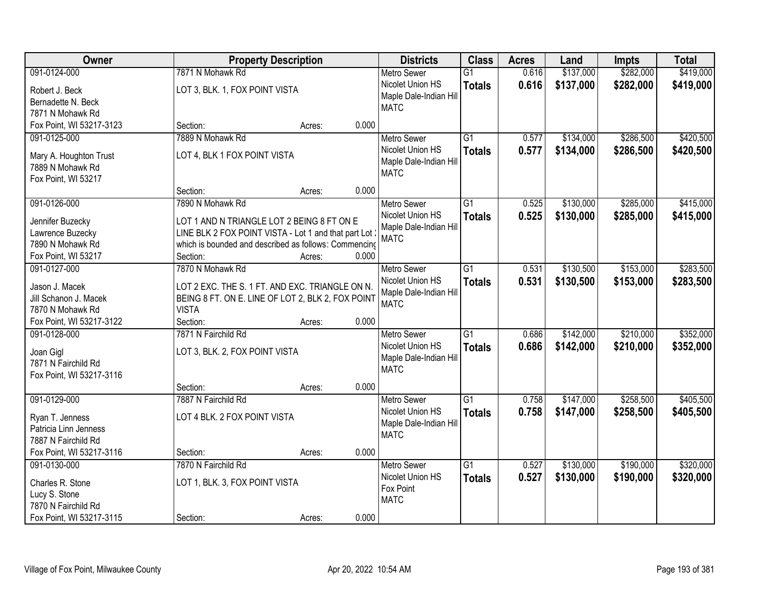| 7871 N Mohawk Rd<br>\$137,000<br>\$282,000<br>091-0124-000<br>$\overline{G1}$<br>0.616<br><b>Metro Sewer</b><br>0.616<br>\$282,000<br>Nicolet Union HS<br>\$137,000<br><b>Totals</b><br>LOT 3, BLK. 1, FOX POINT VISTA<br>Robert J. Beck<br>Maple Dale-Indian Hill<br>Bernadette N. Beck<br><b>MATC</b><br>7871 N Mohawk Rd<br>0.000<br>Fox Point, WI 53217-3123<br>Section:<br>Acres:<br>7889 N Mohawk Rd<br>$\overline{G1}$<br>\$134,000<br>\$286,500<br>091-0125-000<br>0.577<br><b>Metro Sewer</b><br>Nicolet Union HS<br>0.577<br>\$134,000<br>\$286,500<br><b>Totals</b><br>LOT 4, BLK 1 FOX POINT VISTA<br>Mary A. Houghton Trust<br>Maple Dale-Indian Hill<br>7889 N Mohawk Rd<br><b>MATC</b><br>Fox Point, WI 53217 | Owner | <b>Property Description</b> | <b>Districts</b> | <b>Class</b> | <b>Acres</b> | Land | <b>Impts</b> | <b>Total</b> |
|------------------------------------------------------------------------------------------------------------------------------------------------------------------------------------------------------------------------------------------------------------------------------------------------------------------------------------------------------------------------------------------------------------------------------------------------------------------------------------------------------------------------------------------------------------------------------------------------------------------------------------------------------------------------------------------------------------------------------|-------|-----------------------------|------------------|--------------|--------------|------|--------------|--------------|
|                                                                                                                                                                                                                                                                                                                                                                                                                                                                                                                                                                                                                                                                                                                              |       |                             |                  |              |              |      |              | \$419,000    |
|                                                                                                                                                                                                                                                                                                                                                                                                                                                                                                                                                                                                                                                                                                                              |       |                             |                  |              |              |      |              | \$419,000    |
|                                                                                                                                                                                                                                                                                                                                                                                                                                                                                                                                                                                                                                                                                                                              |       |                             |                  |              |              |      |              |              |
|                                                                                                                                                                                                                                                                                                                                                                                                                                                                                                                                                                                                                                                                                                                              |       |                             |                  |              |              |      |              |              |
|                                                                                                                                                                                                                                                                                                                                                                                                                                                                                                                                                                                                                                                                                                                              |       |                             |                  |              |              |      |              |              |
|                                                                                                                                                                                                                                                                                                                                                                                                                                                                                                                                                                                                                                                                                                                              |       |                             |                  |              |              |      |              | \$420,500    |
|                                                                                                                                                                                                                                                                                                                                                                                                                                                                                                                                                                                                                                                                                                                              |       |                             |                  |              |              |      |              | \$420,500    |
|                                                                                                                                                                                                                                                                                                                                                                                                                                                                                                                                                                                                                                                                                                                              |       |                             |                  |              |              |      |              |              |
|                                                                                                                                                                                                                                                                                                                                                                                                                                                                                                                                                                                                                                                                                                                              |       |                             |                  |              |              |      |              |              |
| 0.000<br>Section:<br>Acres:                                                                                                                                                                                                                                                                                                                                                                                                                                                                                                                                                                                                                                                                                                  |       |                             |                  |              |              |      |              |              |
| 091-0126-000<br>G1<br>\$130,000<br>\$285,000<br>7890 N Mohawk Rd<br><b>Metro Sewer</b><br>0.525                                                                                                                                                                                                                                                                                                                                                                                                                                                                                                                                                                                                                              |       |                             |                  |              |              |      |              | \$415,000    |
| Nicolet Union HS<br>0.525<br>\$130,000<br>\$285,000<br><b>Totals</b>                                                                                                                                                                                                                                                                                                                                                                                                                                                                                                                                                                                                                                                         |       |                             |                  |              |              |      |              | \$415,000    |
| Jennifer Buzecky<br>LOT 1 AND N TRIANGLE LOT 2 BEING 8 FT ON E<br>Maple Dale-Indian Hill                                                                                                                                                                                                                                                                                                                                                                                                                                                                                                                                                                                                                                     |       |                             |                  |              |              |      |              |              |
| LINE BLK 2 FOX POINT VISTA - Lot 1 and that part Lot<br>Lawrence Buzecky<br><b>MATC</b><br>7890 N Mohawk Rd<br>which is bounded and described as follows: Commencing                                                                                                                                                                                                                                                                                                                                                                                                                                                                                                                                                         |       |                             |                  |              |              |      |              |              |
| 0.000<br>Fox Point, WI 53217<br>Section:<br>Acres:                                                                                                                                                                                                                                                                                                                                                                                                                                                                                                                                                                                                                                                                           |       |                             |                  |              |              |      |              |              |
| \$130,500<br>\$153,000<br>091-0127-000<br>7870 N Mohawk Rd<br>$\overline{G1}$<br>0.531<br><b>Metro Sewer</b>                                                                                                                                                                                                                                                                                                                                                                                                                                                                                                                                                                                                                 |       |                             |                  |              |              |      |              | \$283,500    |
| Nicolet Union HS<br>0.531<br>\$153,000<br>\$130,500                                                                                                                                                                                                                                                                                                                                                                                                                                                                                                                                                                                                                                                                          |       |                             |                  |              |              |      |              | \$283,500    |
| <b>Totals</b><br>Jason J. Macek<br>LOT 2 EXC. THE S. 1 FT. AND EXC. TRIANGLE ON N.<br>Maple Dale-Indian Hill                                                                                                                                                                                                                                                                                                                                                                                                                                                                                                                                                                                                                 |       |                             |                  |              |              |      |              |              |
| Jill Schanon J. Macek<br>BEING 8 FT. ON E. LINE OF LOT 2, BLK 2, FOX POINT<br><b>MATC</b>                                                                                                                                                                                                                                                                                                                                                                                                                                                                                                                                                                                                                                    |       |                             |                  |              |              |      |              |              |
| <b>VISTA</b><br>7870 N Mohawk Rd                                                                                                                                                                                                                                                                                                                                                                                                                                                                                                                                                                                                                                                                                             |       |                             |                  |              |              |      |              |              |
| Fox Point, WI 53217-3122<br>0.000<br>Section:<br>Acres:                                                                                                                                                                                                                                                                                                                                                                                                                                                                                                                                                                                                                                                                      |       |                             |                  |              |              |      |              |              |
| 7871 N Fairchild Rd<br>$\overline{G1}$<br>\$142,000<br>\$210,000<br>091-0128-000<br>0.686<br><b>Metro Sewer</b>                                                                                                                                                                                                                                                                                                                                                                                                                                                                                                                                                                                                              |       |                             |                  |              |              |      |              | \$352,000    |
| 0.686<br>\$142,000<br>\$210,000<br>Nicolet Union HS<br><b>Totals</b><br>Joan Gigl<br>LOT 3, BLK. 2, FOX POINT VISTA                                                                                                                                                                                                                                                                                                                                                                                                                                                                                                                                                                                                          |       |                             |                  |              |              |      |              | \$352,000    |
| Maple Dale-Indian Hill<br>7871 N Fairchild Rd                                                                                                                                                                                                                                                                                                                                                                                                                                                                                                                                                                                                                                                                                |       |                             |                  |              |              |      |              |              |
| <b>MATC</b><br>Fox Point, WI 53217-3116                                                                                                                                                                                                                                                                                                                                                                                                                                                                                                                                                                                                                                                                                      |       |                             |                  |              |              |      |              |              |
| 0.000<br>Section:<br>Acres:                                                                                                                                                                                                                                                                                                                                                                                                                                                                                                                                                                                                                                                                                                  |       |                             |                  |              |              |      |              |              |
| \$258,500<br>091-0129-000<br>7887 N Fairchild Rd<br>G1<br>0.758<br>\$147,000<br><b>Metro Sewer</b>                                                                                                                                                                                                                                                                                                                                                                                                                                                                                                                                                                                                                           |       |                             |                  |              |              |      |              | \$405,500    |
| Nicolet Union HS<br>0.758<br>\$258,500<br>\$147,000<br><b>Totals</b><br>LOT 4 BLK. 2 FOX POINT VISTA<br>Ryan T. Jenness                                                                                                                                                                                                                                                                                                                                                                                                                                                                                                                                                                                                      |       |                             |                  |              |              |      |              | \$405,500    |
| Maple Dale-Indian Hill<br>Patricia Linn Jenness                                                                                                                                                                                                                                                                                                                                                                                                                                                                                                                                                                                                                                                                              |       |                             |                  |              |              |      |              |              |
| <b>MATC</b><br>7887 N Fairchild Rd                                                                                                                                                                                                                                                                                                                                                                                                                                                                                                                                                                                                                                                                                           |       |                             |                  |              |              |      |              |              |
| 0.000<br>Fox Point, WI 53217-3116<br>Section:<br>Acres:                                                                                                                                                                                                                                                                                                                                                                                                                                                                                                                                                                                                                                                                      |       |                             |                  |              |              |      |              |              |
| \$130,000<br>\$190,000<br>091-0130-000<br>7870 N Fairchild Rd<br>$\overline{G1}$<br>0.527<br><b>Metro Sewer</b>                                                                                                                                                                                                                                                                                                                                                                                                                                                                                                                                                                                                              |       |                             |                  |              |              |      |              | \$320,000    |
| Nicolet Union HS<br>0.527<br>\$130,000<br>\$190,000<br><b>Totals</b><br>LOT 1, BLK. 3, FOX POINT VISTA<br>Charles R. Stone                                                                                                                                                                                                                                                                                                                                                                                                                                                                                                                                                                                                   |       |                             |                  |              |              |      |              | \$320,000    |
| Fox Point<br>Lucy S. Stone                                                                                                                                                                                                                                                                                                                                                                                                                                                                                                                                                                                                                                                                                                   |       |                             |                  |              |              |      |              |              |
| <b>MATC</b><br>7870 N Fairchild Rd                                                                                                                                                                                                                                                                                                                                                                                                                                                                                                                                                                                                                                                                                           |       |                             |                  |              |              |      |              |              |
| 0.000<br>Fox Point, WI 53217-3115<br>Section:<br>Acres:                                                                                                                                                                                                                                                                                                                                                                                                                                                                                                                                                                                                                                                                      |       |                             |                  |              |              |      |              |              |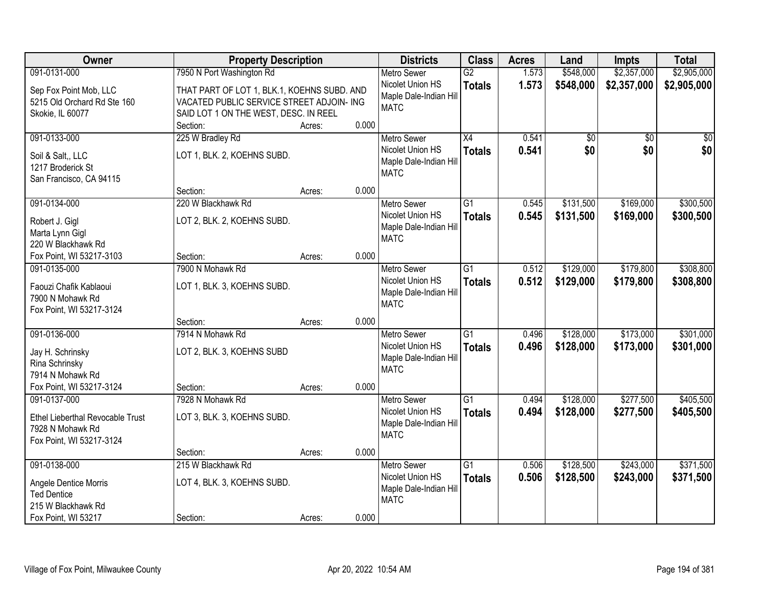| Owner                                       | <b>Property Description</b>                 | <b>Districts</b> | <b>Class</b>           | <b>Acres</b>    | Land  | <b>Impts</b>    | <b>Total</b>    |                 |
|---------------------------------------------|---------------------------------------------|------------------|------------------------|-----------------|-------|-----------------|-----------------|-----------------|
| 091-0131-000                                | 7950 N Port Washington Rd                   |                  | <b>Metro Sewer</b>     | $\overline{G2}$ | 1.573 | \$548,000       | \$2,357,000     | \$2,905,000     |
| Sep Fox Point Mob, LLC                      | THAT PART OF LOT 1, BLK.1, KOEHNS SUBD. AND |                  | Nicolet Union HS       | <b>Totals</b>   | 1.573 | \$548,000       | \$2,357,000     | \$2,905,000     |
| 5215 Old Orchard Rd Ste 160                 | VACATED PUBLIC SERVICE STREET ADJOIN- ING   |                  | Maple Dale-Indian Hill |                 |       |                 |                 |                 |
| Skokie, IL 60077                            | SAID LOT 1 ON THE WEST, DESC. IN REEL       |                  | <b>MATC</b>            |                 |       |                 |                 |                 |
|                                             | Section:                                    | 0.000<br>Acres:  |                        |                 |       |                 |                 |                 |
| 091-0133-000                                | 225 W Bradley Rd                            |                  | <b>Metro Sewer</b>     | $\overline{X4}$ | 0.541 | $\overline{50}$ | $\overline{50}$ | $\overline{50}$ |
| Soil & Salt., LLC                           | LOT 1, BLK. 2, KOEHNS SUBD.                 |                  | Nicolet Union HS       | <b>Totals</b>   | 0.541 | \$0             | \$0             | \$0             |
| 1217 Broderick St                           |                                             |                  | Maple Dale-Indian Hill |                 |       |                 |                 |                 |
| San Francisco, CA 94115                     |                                             |                  | <b>MATC</b>            |                 |       |                 |                 |                 |
|                                             | Section:                                    | 0.000<br>Acres:  |                        |                 |       |                 |                 |                 |
| 091-0134-000                                | 220 W Blackhawk Rd                          |                  | <b>Metro Sewer</b>     | G1              | 0.545 | \$131,500       | \$169,000       | \$300,500       |
|                                             |                                             |                  | Nicolet Union HS       | <b>Totals</b>   | 0.545 | \$131,500       | \$169,000       | \$300,500       |
| Robert J. Gigl                              | LOT 2, BLK. 2, KOEHNS SUBD.                 |                  | Maple Dale-Indian Hill |                 |       |                 |                 |                 |
| Marta Lynn Gigl<br>220 W Blackhawk Rd       |                                             |                  | <b>MATC</b>            |                 |       |                 |                 |                 |
| Fox Point, WI 53217-3103                    | Section:                                    | 0.000<br>Acres:  |                        |                 |       |                 |                 |                 |
| 091-0135-000                                | 7900 N Mohawk Rd                            |                  | <b>Metro Sewer</b>     | G1              | 0.512 | \$129,000       | \$179,800       | \$308,800       |
|                                             |                                             |                  | Nicolet Union HS       | <b>Totals</b>   | 0.512 | \$129,000       | \$179,800       | \$308,800       |
| Faouzi Chafik Kablaoui                      | LOT 1, BLK. 3, KOEHNS SUBD.                 |                  | Maple Dale-Indian Hill |                 |       |                 |                 |                 |
| 7900 N Mohawk Rd                            |                                             |                  | <b>MATC</b>            |                 |       |                 |                 |                 |
| Fox Point, WI 53217-3124                    |                                             |                  |                        |                 |       |                 |                 |                 |
|                                             | Section:                                    | 0.000<br>Acres:  |                        |                 |       |                 |                 |                 |
| 091-0136-000                                | 7914 N Mohawk Rd                            |                  | <b>Metro Sewer</b>     | $\overline{G1}$ | 0.496 | \$128,000       | \$173,000       | \$301,000       |
| Jay H. Schrinsky                            | LOT 2, BLK. 3, KOEHNS SUBD                  |                  | Nicolet Union HS       | <b>Totals</b>   | 0.496 | \$128,000       | \$173,000       | \$301,000       |
| Rina Schrinsky                              |                                             |                  | Maple Dale-Indian Hill |                 |       |                 |                 |                 |
| 7914 N Mohawk Rd                            |                                             |                  | <b>MATC</b>            |                 |       |                 |                 |                 |
| Fox Point, WI 53217-3124                    | Section:                                    | 0.000<br>Acres:  |                        |                 |       |                 |                 |                 |
| 091-0137-000                                | 7928 N Mohawk Rd                            |                  | <b>Metro Sewer</b>     | $\overline{G1}$ | 0.494 | \$128,000       | \$277,500       | \$405,500       |
| Ethel Lieberthal Revocable Trust            | LOT 3, BLK. 3, KOEHNS SUBD.                 |                  | Nicolet Union HS       | <b>Totals</b>   | 0.494 | \$128,000       | \$277,500       | \$405,500       |
| 7928 N Mohawk Rd                            |                                             |                  | Maple Dale-Indian Hill |                 |       |                 |                 |                 |
| Fox Point, WI 53217-3124                    |                                             |                  | <b>MATC</b>            |                 |       |                 |                 |                 |
|                                             | Section:                                    | 0.000<br>Acres:  |                        |                 |       |                 |                 |                 |
| 091-0138-000                                | 215 W Blackhawk Rd                          |                  | <b>Metro Sewer</b>     | $\overline{G1}$ | 0.506 | \$128,500       | \$243,000       | \$371,500       |
|                                             |                                             |                  | Nicolet Union HS       | <b>Totals</b>   | 0.506 | \$128,500       | \$243,000       | \$371,500       |
| Angele Dentice Morris<br><b>Ted Dentice</b> | LOT 4, BLK. 3, KOEHNS SUBD.                 |                  | Maple Dale-Indian Hill |                 |       |                 |                 |                 |
| 215 W Blackhawk Rd                          |                                             |                  | <b>MATC</b>            |                 |       |                 |                 |                 |
|                                             |                                             | 0.000            |                        |                 |       |                 |                 |                 |
| Fox Point, WI 53217                         | Section:                                    | Acres:           |                        |                 |       |                 |                 |                 |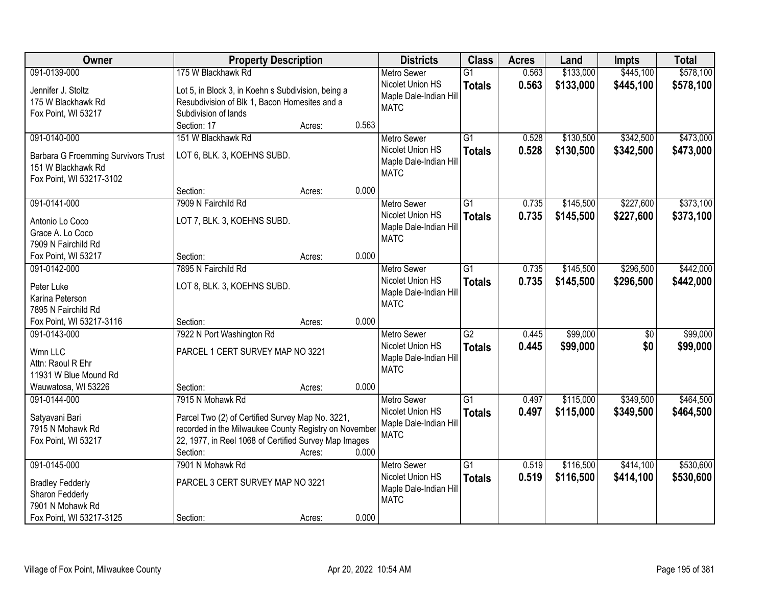| Owner                                      | <b>Property Description</b>                                           |        |       | <b>Districts</b>                           | <b>Class</b>    | <b>Acres</b> | Land      | <b>Impts</b>    | <b>Total</b> |
|--------------------------------------------|-----------------------------------------------------------------------|--------|-------|--------------------------------------------|-----------------|--------------|-----------|-----------------|--------------|
| 091-0139-000                               | 175 W Blackhawk Rd                                                    |        |       | <b>Metro Sewer</b>                         | $\overline{G1}$ | 0.563        | \$133,000 | \$445,100       | \$578,100    |
| Jennifer J. Stoltz                         | Lot 5, in Block 3, in Koehn s Subdivision, being a                    |        |       | Nicolet Union HS<br>Maple Dale-Indian Hill | <b>Totals</b>   | 0.563        | \$133,000 | \$445,100       | \$578,100    |
| 175 W Blackhawk Rd                         | Resubdivision of Blk 1, Bacon Homesites and a<br>Subdivision of lands |        |       | <b>MATC</b>                                |                 |              |           |                 |              |
| Fox Point, WI 53217                        | Section: 17                                                           | Acres: | 0.563 |                                            |                 |              |           |                 |              |
| 091-0140-000                               | 151 W Blackhawk Rd                                                    |        |       |                                            | $\overline{G1}$ | 0.528        | \$130,500 | \$342,500       | \$473,000    |
|                                            |                                                                       |        |       | <b>Metro Sewer</b><br>Nicolet Union HS     |                 |              |           |                 |              |
| <b>Barbara G Froemming Survivors Trust</b> | LOT 6, BLK. 3, KOEHNS SUBD.                                           |        |       |                                            | <b>Totals</b>   | 0.528        | \$130,500 | \$342,500       | \$473,000    |
| 151 W Blackhawk Rd                         |                                                                       |        |       | Maple Dale-Indian Hill<br><b>MATC</b>      |                 |              |           |                 |              |
| Fox Point, WI 53217-3102                   |                                                                       |        |       |                                            |                 |              |           |                 |              |
|                                            | Section:                                                              | Acres: | 0.000 |                                            |                 |              |           |                 |              |
| 091-0141-000                               | 7909 N Fairchild Rd                                                   |        |       | <b>Metro Sewer</b>                         | G1              | 0.735        | \$145,500 | \$227,600       | \$373,100    |
| Antonio Lo Coco                            | LOT 7, BLK. 3, KOEHNS SUBD.                                           |        |       | Nicolet Union HS                           | <b>Totals</b>   | 0.735        | \$145,500 | \$227,600       | \$373,100    |
| Grace A. Lo Coco                           |                                                                       |        |       | Maple Dale-Indian Hill                     |                 |              |           |                 |              |
| 7909 N Fairchild Rd                        |                                                                       |        |       | <b>MATC</b>                                |                 |              |           |                 |              |
| Fox Point, WI 53217                        | Section:                                                              | Acres: | 0.000 |                                            |                 |              |           |                 |              |
| 091-0142-000                               | 7895 N Fairchild Rd                                                   |        |       | <b>Metro Sewer</b>                         | G1              | 0.735        | \$145,500 | \$296,500       | \$442,000    |
|                                            |                                                                       |        |       | Nicolet Union HS                           |                 |              |           |                 |              |
| Peter Luke                                 | LOT 8, BLK. 3, KOEHNS SUBD.                                           |        |       | Maple Dale-Indian Hill                     | <b>Totals</b>   | 0.735        | \$145,500 | \$296,500       | \$442,000    |
| Karina Peterson                            |                                                                       |        |       | <b>MATC</b>                                |                 |              |           |                 |              |
| 7895 N Fairchild Rd                        |                                                                       |        |       |                                            |                 |              |           |                 |              |
| Fox Point, WI 53217-3116                   | Section:                                                              | Acres: | 0.000 |                                            |                 |              |           |                 |              |
| 091-0143-000                               | 7922 N Port Washington Rd                                             |        |       | <b>Metro Sewer</b>                         | $\overline{G2}$ | 0.445        | \$99,000  | $\overline{50}$ | \$99,000     |
| Wmn LLC                                    | PARCEL 1 CERT SURVEY MAP NO 3221                                      |        |       | Nicolet Union HS                           | <b>Totals</b>   | 0.445        | \$99,000  | \$0             | \$99,000     |
| Attn: Raoul R Ehr                          |                                                                       |        |       | Maple Dale-Indian Hill                     |                 |              |           |                 |              |
| 11931 W Blue Mound Rd                      |                                                                       |        |       | <b>MATC</b>                                |                 |              |           |                 |              |
| Wauwatosa, WI 53226                        | Section:                                                              | Acres: | 0.000 |                                            |                 |              |           |                 |              |
| 091-0144-000                               | 7915 N Mohawk Rd                                                      |        |       | Metro Sewer                                | $\overline{G1}$ | 0.497        | \$115,000 | \$349,500       | \$464,500    |
|                                            |                                                                       |        |       | Nicolet Union HS                           | <b>Totals</b>   | 0.497        | \$115,000 | \$349,500       | \$464,500    |
| Satyavani Bari                             | Parcel Two (2) of Certified Survey Map No. 3221,                      |        |       | Maple Dale-Indian Hill                     |                 |              |           |                 |              |
| 7915 N Mohawk Rd                           | recorded in the Milwaukee County Registry on November                 |        |       | <b>MATC</b>                                |                 |              |           |                 |              |
| Fox Point, WI 53217                        | 22, 1977, in Reel 1068 of Certified Survey Map Images                 |        |       |                                            |                 |              |           |                 |              |
|                                            | Section:                                                              | Acres: | 0.000 |                                            |                 |              |           |                 |              |
| 091-0145-000                               | 7901 N Mohawk Rd                                                      |        |       | <b>Metro Sewer</b>                         | $\overline{G1}$ | 0.519        | \$116,500 | \$414,100       | \$530,600    |
| <b>Bradley Fedderly</b>                    | PARCEL 3 CERT SURVEY MAP NO 3221                                      |        |       | Nicolet Union HS                           | <b>Totals</b>   | 0.519        | \$116,500 | \$414,100       | \$530,600    |
| Sharon Fedderly                            |                                                                       |        |       | Maple Dale-Indian Hill                     |                 |              |           |                 |              |
| 7901 N Mohawk Rd                           |                                                                       |        |       | <b>MATC</b>                                |                 |              |           |                 |              |
| Fox Point, WI 53217-3125                   | Section:                                                              | Acres: | 0.000 |                                            |                 |              |           |                 |              |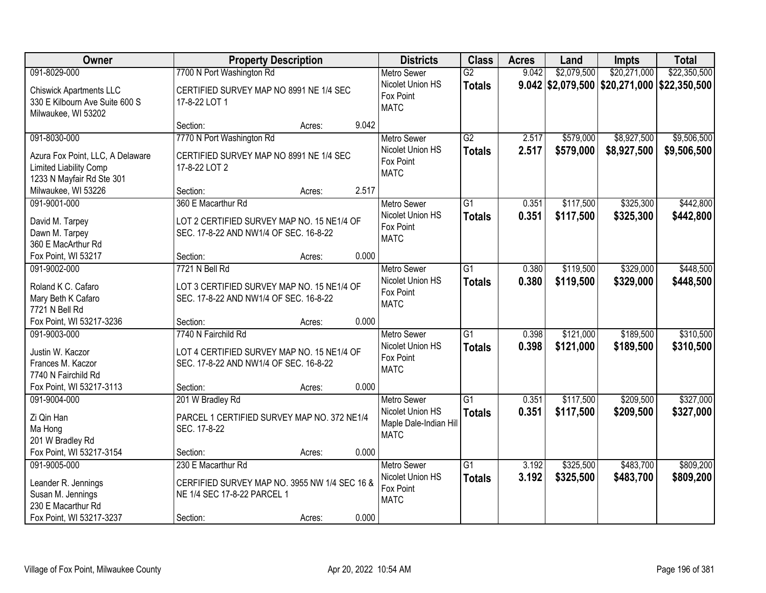| Owner                                                                                                      | <b>Property Description</b>                                                                                    | <b>Districts</b> | <b>Class</b>                                                                    | <b>Acres</b>                     | Land           | Impts                  | <b>Total</b>                                  |                            |
|------------------------------------------------------------------------------------------------------------|----------------------------------------------------------------------------------------------------------------|------------------|---------------------------------------------------------------------------------|----------------------------------|----------------|------------------------|-----------------------------------------------|----------------------------|
| 091-8029-000                                                                                               | 7700 N Port Washington Rd                                                                                      |                  | <b>Metro Sewer</b>                                                              | $\overline{G2}$                  | 9.042          | \$2,079,500            | \$20,271,000                                  | \$22,350,500               |
| <b>Chiswick Apartments LLC</b><br>330 E Kilbourn Ave Suite 600 S<br>Milwaukee, WI 53202                    | CERTIFIED SURVEY MAP NO 8991 NE 1/4 SEC<br>17-8-22 LOT 1                                                       |                  | Nicolet Union HS<br>Fox Point<br><b>MATC</b>                                    | <b>Totals</b>                    |                |                        | $9.042$ \$2,079,500 \$20,271,000 \$22,350,500 |                            |
|                                                                                                            | Section:                                                                                                       | 9.042<br>Acres:  |                                                                                 |                                  |                |                        |                                               |                            |
| 091-8030-000<br>Azura Fox Point, LLC, A Delaware<br>Limited Liability Comp<br>1233 N Mayfair Rd Ste 301    | 7770 N Port Washington Rd<br>CERTIFIED SURVEY MAP NO 8991 NE 1/4 SEC<br>17-8-22 LOT 2                          |                  | Metro Sewer<br>Nicolet Union HS<br>Fox Point<br><b>MATC</b>                     | $\overline{G2}$<br><b>Totals</b> | 2.517<br>2.517 | \$579,000<br>\$579,000 | \$8,927,500<br>\$8,927,500                    | \$9,506,500<br>\$9,506,500 |
| Milwaukee, WI 53226                                                                                        | Section:                                                                                                       | 2.517<br>Acres:  |                                                                                 |                                  |                |                        |                                               |                            |
| 091-9001-000<br>David M. Tarpey<br>Dawn M. Tarpey<br>360 E MacArthur Rd                                    | 360 E Macarthur Rd<br>LOT 2 CERTIFIED SURVEY MAP NO. 15 NE1/4 OF<br>SEC. 17-8-22 AND NW1/4 OF SEC. 16-8-22     |                  | <b>Metro Sewer</b><br>Nicolet Union HS<br>Fox Point<br><b>MATC</b>              | G1<br><b>Totals</b>              | 0.351<br>0.351 | \$117,500<br>\$117,500 | \$325,300<br>\$325,300                        | \$442,800<br>\$442,800     |
| Fox Point, WI 53217                                                                                        | Section:                                                                                                       | 0.000<br>Acres:  |                                                                                 |                                  |                |                        |                                               |                            |
| 091-9002-000<br>Roland K C. Cafaro<br>Mary Beth K Cafaro<br>7721 N Bell Rd                                 | 7721 N Bell Rd<br>LOT 3 CERTIFIED SURVEY MAP NO. 15 NE1/4 OF<br>SEC. 17-8-22 AND NW1/4 OF SEC. 16-8-22         |                  | <b>Metro Sewer</b><br>Nicolet Union HS<br>Fox Point<br><b>MATC</b>              | $\overline{G1}$<br><b>Totals</b> | 0.380<br>0.380 | \$119,500<br>\$119,500 | \$329,000<br>\$329,000                        | \$448,500<br>\$448,500     |
| Fox Point, WI 53217-3236                                                                                   | Section:                                                                                                       | 0.000<br>Acres:  |                                                                                 |                                  |                |                        |                                               |                            |
| 091-9003-000<br>Justin W. Kaczor<br>Frances M. Kaczor<br>7740 N Fairchild Rd                               | 7740 N Fairchild Rd<br>LOT 4 CERTIFIED SURVEY MAP NO. 15 NE1/4 OF<br>SEC. 17-8-22 AND NW1/4 OF SEC. 16-8-22    |                  | <b>Metro Sewer</b><br>Nicolet Union HS<br>Fox Point<br><b>MATC</b>              | $\overline{G1}$<br><b>Totals</b> | 0.398<br>0.398 | \$121,000<br>\$121,000 | \$189,500<br>\$189,500                        | \$310,500<br>\$310,500     |
| Fox Point, WI 53217-3113                                                                                   | Section:                                                                                                       | 0.000<br>Acres:  |                                                                                 |                                  |                |                        |                                               |                            |
| 091-9004-000<br>Zi Qin Han<br>Ma Hong<br>201 W Bradley Rd                                                  | 201 W Bradley Rd<br>PARCEL 1 CERTIFIED SURVEY MAP NO. 372 NE1/4<br>SEC. 17-8-22                                |                  | <b>Metro Sewer</b><br>Nicolet Union HS<br>Maple Dale-Indian Hill<br><b>MATC</b> | $\overline{G1}$<br><b>Totals</b> | 0.351<br>0.351 | \$117,500<br>\$117,500 | \$209,500<br>\$209,500                        | \$327,000<br>\$327,000     |
| Fox Point, WI 53217-3154                                                                                   | Section:                                                                                                       | 0.000<br>Acres:  |                                                                                 |                                  |                |                        |                                               |                            |
| 091-9005-000<br>Leander R. Jennings<br>Susan M. Jennings<br>230 E Macarthur Rd<br>Fox Point, WI 53217-3237 | 230 E Macarthur Rd<br>CERFIFIED SURVEY MAP NO. 3955 NW 1/4 SEC 16 &<br>NE 1/4 SEC 17-8-22 PARCEL 1<br>Section: | 0.000<br>Acres:  | <b>Metro Sewer</b><br>Nicolet Union HS<br>Fox Point<br><b>MATC</b>              | $\overline{G1}$<br><b>Totals</b> | 3.192<br>3.192 | \$325,500<br>\$325,500 | \$483,700<br>\$483,700                        | \$809,200<br>\$809,200     |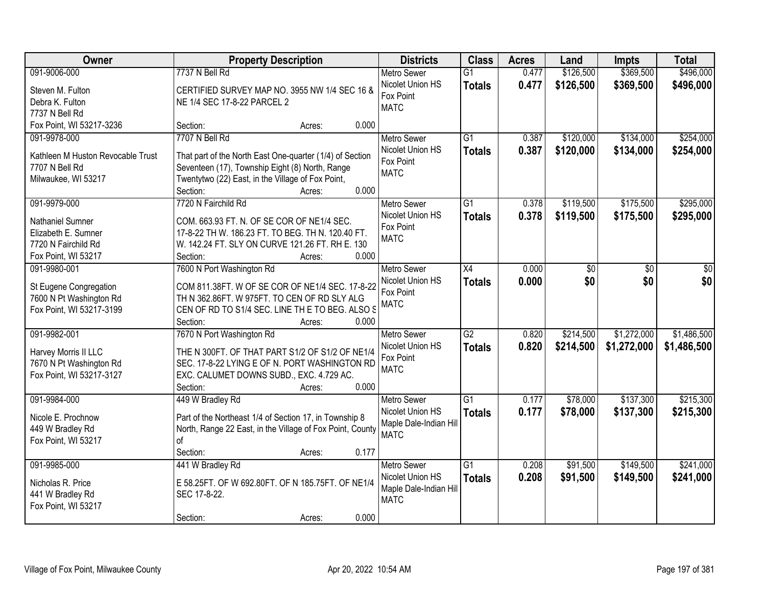| Owner                             | <b>Property Description</b>                               | <b>Districts</b>              | <b>Class</b>    | <b>Acres</b> | Land      | <b>Impts</b> | <b>Total</b> |
|-----------------------------------|-----------------------------------------------------------|-------------------------------|-----------------|--------------|-----------|--------------|--------------|
| 091-9006-000                      | 7737 N Bell Rd                                            | <b>Metro Sewer</b>            | $\overline{G1}$ | 0.477        | \$126,500 | \$369,500    | \$496,000    |
| Steven M. Fulton                  | CERTIFIED SURVEY MAP NO. 3955 NW 1/4 SEC 16 &             | Nicolet Union HS<br>Fox Point | <b>Totals</b>   | 0.477        | \$126,500 | \$369,500    | \$496,000    |
| Debra K. Fulton                   | NE 1/4 SEC 17-8-22 PARCEL 2                               | <b>MATC</b>                   |                 |              |           |              |              |
| 7737 N Bell Rd                    |                                                           |                               |                 |              |           |              |              |
| Fox Point, WI 53217-3236          | 0.000<br>Section:<br>Acres:                               |                               |                 |              |           |              |              |
| 091-9978-000                      | 7707 N Bell Rd                                            | <b>Metro Sewer</b>            | $\overline{G1}$ | 0.387        | \$120,000 | \$134,000    | \$254,000    |
| Kathleen M Huston Revocable Trust | That part of the North East One-quarter (1/4) of Section  | Nicolet Union HS              | <b>Totals</b>   | 0.387        | \$120,000 | \$134,000    | \$254,000    |
| 7707 N Bell Rd                    | Seventeen (17), Township Eight (8) North, Range           | Fox Point                     |                 |              |           |              |              |
| Milwaukee, WI 53217               | Twentytwo (22) East, in the Village of Fox Point,         | <b>MATC</b>                   |                 |              |           |              |              |
|                                   | 0.000<br>Section:<br>Acres:                               |                               |                 |              |           |              |              |
| 091-9979-000                      | 7720 N Fairchild Rd                                       | Metro Sewer                   | $\overline{G1}$ | 0.378        | \$119,500 | \$175,500    | \$295,000    |
| Nathaniel Sumner                  | COM. 663.93 FT. N. OF SE COR OF NE1/4 SEC.                | Nicolet Union HS              | <b>Totals</b>   | 0.378        | \$119,500 | \$175,500    | \$295,000    |
| Elizabeth E. Sumner               | 17-8-22 TH W. 186.23 FT. TO BEG. TH N. 120.40 FT.         | Fox Point                     |                 |              |           |              |              |
| 7720 N Fairchild Rd               | W. 142.24 FT. SLY ON CURVE 121.26 FT. RH E. 130           | <b>MATC</b>                   |                 |              |           |              |              |
| Fox Point, WI 53217               | Section:<br>0.000<br>Acres:                               |                               |                 |              |           |              |              |
| 091-9980-001                      | 7600 N Port Washington Rd                                 | <b>Metro Sewer</b>            | X4              | 0.000        | \$0       | \$0          | \$0          |
|                                   |                                                           | Nicolet Union HS              | <b>Totals</b>   | 0.000        | \$0       | \$0          | \$0          |
| St Eugene Congregation            | COM 811.38FT. W OF SE COR OF NE1/4 SEC. 17-8-22           | Fox Point                     |                 |              |           |              |              |
| 7600 N Pt Washington Rd           | TH N 362.86FT. W 975FT. TO CEN OF RD SLY ALG              | <b>MATC</b>                   |                 |              |           |              |              |
| Fox Point, WI 53217-3199          | CEN OF RD TO S1/4 SEC. LINE TH E TO BEG. ALSO S           |                               |                 |              |           |              |              |
|                                   | Section:<br>0.000<br>Acres:                               |                               |                 |              |           |              |              |
| 091-9982-001                      | 7670 N Port Washington Rd                                 | <b>Metro Sewer</b>            | $\overline{G2}$ | 0.820        | \$214,500 | \$1,272,000  | \$1,486,500  |
| Harvey Morris II LLC              | THE N 300FT. OF THAT PART S1/2 OF S1/2 OF NE1/4           | Nicolet Union HS              | <b>Totals</b>   | 0.820        | \$214,500 | \$1,272,000  | \$1,486,500  |
| 7670 N Pt Washington Rd           | SEC. 17-8-22 LYING E OF N. PORT WASHINGTON RD             | Fox Point                     |                 |              |           |              |              |
| Fox Point, WI 53217-3127          | EXC. CALUMET DOWNS SUBD., EXC. 4.729 AC.                  | <b>MATC</b>                   |                 |              |           |              |              |
|                                   | Section:<br>0.000<br>Acres:                               |                               |                 |              |           |              |              |
| 091-9984-000                      | 449 W Bradley Rd                                          | Metro Sewer                   | G1              | 0.177        | \$78,000  | \$137,300    | \$215,300    |
| Nicole E. Prochnow                | Part of the Northeast 1/4 of Section 17, in Township 8    | Nicolet Union HS              | <b>Totals</b>   | 0.177        | \$78,000  | \$137,300    | \$215,300    |
| 449 W Bradley Rd                  | North, Range 22 East, in the Village of Fox Point, County | Maple Dale-Indian Hill        |                 |              |           |              |              |
| Fox Point, WI 53217               | of                                                        | <b>MATC</b>                   |                 |              |           |              |              |
|                                   | 0.177<br>Section:<br>Acres:                               |                               |                 |              |           |              |              |
| 091-9985-000                      | 441 W Bradley Rd                                          | <b>Metro Sewer</b>            | $\overline{G1}$ | 0.208        | \$91,500  | \$149,500    | \$241,000    |
|                                   |                                                           | Nicolet Union HS              | <b>Totals</b>   | 0.208        | \$91,500  | \$149,500    | \$241,000    |
| Nicholas R. Price                 | E 58.25FT. OF W 692.80FT. OF N 185.75FT. OF NE1/4         | Maple Dale-Indian Hill        |                 |              |           |              |              |
| 441 W Bradley Rd                  | SEC 17-8-22.                                              | <b>MATC</b>                   |                 |              |           |              |              |
| Fox Point, WI 53217               | 0.000                                                     |                               |                 |              |           |              |              |
|                                   | Section:<br>Acres:                                        |                               |                 |              |           |              |              |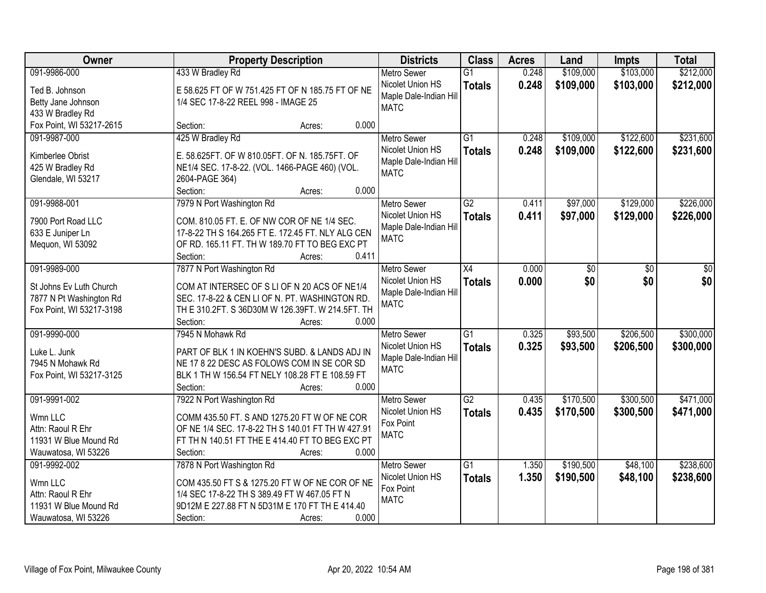| Owner                                | <b>Property Description</b>                       | <b>Districts</b>                      | <b>Class</b>    | <b>Acres</b> | Land      | <b>Impts</b> | <b>Total</b> |
|--------------------------------------|---------------------------------------------------|---------------------------------------|-----------------|--------------|-----------|--------------|--------------|
| 091-9986-000                         | 433 W Bradley Rd                                  | <b>Metro Sewer</b>                    | $\overline{G1}$ | 0.248        | \$109,000 | \$103,000    | \$212,000    |
| Ted B. Johnson                       | E 58.625 FT OF W 751.425 FT OF N 185.75 FT OF NE  | Nicolet Union HS                      | <b>Totals</b>   | 0.248        | \$109,000 | \$103,000    | \$212,000    |
| Betty Jane Johnson                   | 1/4 SEC 17-8-22 REEL 998 - IMAGE 25               | Maple Dale-Indian Hill                |                 |              |           |              |              |
| 433 W Bradley Rd                     |                                                   | <b>MATC</b>                           |                 |              |           |              |              |
| Fox Point, WI 53217-2615             | 0.000<br>Section:<br>Acres:                       |                                       |                 |              |           |              |              |
| 091-9987-000                         | 425 W Bradley Rd                                  | <b>Metro Sewer</b>                    | $\overline{G1}$ | 0.248        | \$109,000 | \$122,600    | \$231,600    |
|                                      | E. 58.625FT. OF W 810.05FT. OF N. 185.75FT. OF    | Nicolet Union HS                      | <b>Totals</b>   | 0.248        | \$109,000 | \$122,600    | \$231,600    |
| Kimberlee Obrist<br>425 W Bradley Rd | NE1/4 SEC. 17-8-22. (VOL. 1466-PAGE 460) (VOL.    | Maple Dale-Indian Hill                |                 |              |           |              |              |
| Glendale, WI 53217                   | 2604-PAGE 364)                                    | <b>MATC</b>                           |                 |              |           |              |              |
|                                      | 0.000<br>Section:<br>Acres:                       |                                       |                 |              |           |              |              |
| 091-9988-001                         | 7979 N Port Washington Rd                         | <b>Metro Sewer</b>                    | $\overline{G2}$ | 0.411        | \$97,000  | \$129,000    | \$226,000    |
|                                      |                                                   | Nicolet Union HS                      | <b>Totals</b>   | 0.411        | \$97,000  | \$129,000    | \$226,000    |
| 7900 Port Road LLC                   | COM. 810.05 FT. E. OF NW COR OF NE 1/4 SEC.       | Maple Dale-Indian Hill                |                 |              |           |              |              |
| 633 E Juniper Ln                     | 17-8-22 TH S 164.265 FT E. 172.45 FT. NLY ALG CEN | <b>MATC</b>                           |                 |              |           |              |              |
| Mequon, WI 53092                     | OF RD. 165.11 FT. TH W 189.70 FT TO BEG EXC PT    |                                       |                 |              |           |              |              |
|                                      | Section:<br>0.411<br>Acres:                       |                                       |                 |              |           |              |              |
| 091-9989-000                         | 7877 N Port Washington Rd                         | <b>Metro Sewer</b>                    | $\overline{X4}$ | 0.000        | \$0       | \$0          | \$0          |
| St Johns Ev Luth Church              | COM AT INTERSEC OF S LI OF N 20 ACS OF NE1/4      | Nicolet Union HS                      | <b>Totals</b>   | 0.000        | \$0       | \$0          | \$0          |
| 7877 N Pt Washington Rd              | SEC. 17-8-22 & CEN LI OF N. PT. WASHINGTON RD.    | Maple Dale-Indian Hill<br><b>MATC</b> |                 |              |           |              |              |
| Fox Point, WI 53217-3198             | TH E 310.2FT. S 36D30M W 126.39FT. W 214.5FT. TH  |                                       |                 |              |           |              |              |
|                                      | 0.000<br>Section:<br>Acres:                       |                                       |                 |              |           |              |              |
| 091-9990-000                         | 7945 N Mohawk Rd                                  | <b>Metro Sewer</b>                    | $\overline{G1}$ | 0.325        | \$93,500  | \$206,500    | \$300,000    |
| Luke L. Junk                         | PART OF BLK 1 IN KOEHN'S SUBD. & LANDS ADJ IN     | Nicolet Union HS                      | <b>Totals</b>   | 0.325        | \$93,500  | \$206,500    | \$300,000    |
| 7945 N Mohawk Rd                     | NE 17 8 22 DESC AS FOLOWS COM IN SE COR SD        | Maple Dale-Indian Hill                |                 |              |           |              |              |
| Fox Point, WI 53217-3125             | BLK 1 TH W 156.54 FT NELY 108.28 FT E 108.59 FT   | <b>MATC</b>                           |                 |              |           |              |              |
|                                      | Section:<br>0.000<br>Acres:                       |                                       |                 |              |           |              |              |
| 091-9991-002                         | 7922 N Port Washington Rd                         | <b>Metro Sewer</b>                    | $\overline{G2}$ | 0.435        | \$170,500 | \$300,500    | \$471,000    |
| Wmn LLC                              | COMM 435.50 FT. S AND 1275.20 FT W OF NE COR      | Nicolet Union HS                      | <b>Totals</b>   | 0.435        | \$170,500 | \$300,500    | \$471,000    |
| Attn: Raoul R Ehr                    | OF NE 1/4 SEC. 17-8-22 TH S 140.01 FT TH W 427.91 | Fox Point                             |                 |              |           |              |              |
| 11931 W Blue Mound Rd                | FT TH N 140.51 FT THE E 414.40 FT TO BEG EXC PT   | <b>MATC</b>                           |                 |              |           |              |              |
| Wauwatosa, WI 53226                  | 0.000<br>Section:<br>Acres:                       |                                       |                 |              |           |              |              |
| 091-9992-002                         | 7878 N Port Washington Rd                         | <b>Metro Sewer</b>                    | $\overline{G1}$ | 1.350        | \$190,500 | \$48,100     | \$238,600    |
|                                      |                                                   | Nicolet Union HS                      | <b>Totals</b>   | 1.350        | \$190,500 | \$48,100     | \$238,600    |
| Wmn LLC                              | COM 435.50 FT S & 1275.20 FT W OF NE COR OF NE    | Fox Point                             |                 |              |           |              |              |
| Attn: Raoul R Ehr                    | 1/4 SEC 17-8-22 TH S 389.49 FT W 467.05 FT N      | <b>MATC</b>                           |                 |              |           |              |              |
| 11931 W Blue Mound Rd                | 9D12M E 227.88 FT N 5D31M E 170 FT TH E 414.40    |                                       |                 |              |           |              |              |
| Wauwatosa, WI 53226                  | 0.000<br>Section:<br>Acres:                       |                                       |                 |              |           |              |              |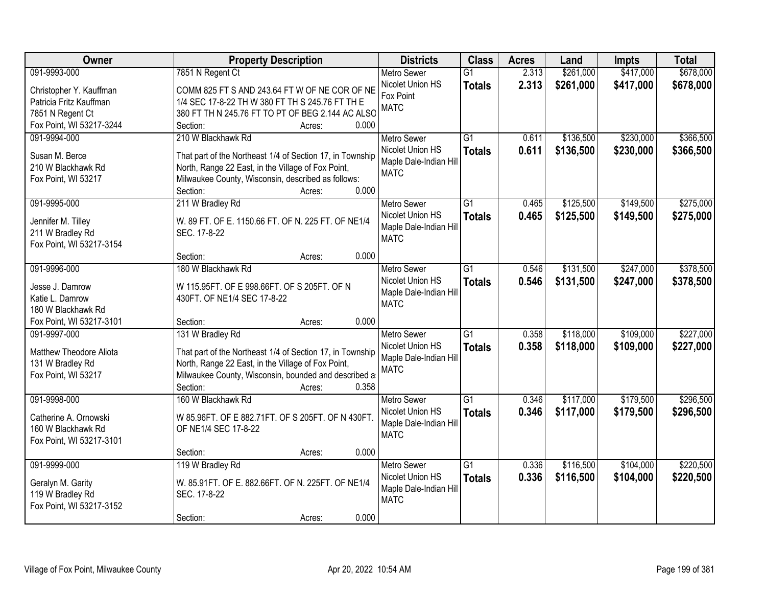| Owner                    | <b>Property Description</b>                                 | <b>Districts</b>                      | <b>Class</b>    | <b>Acres</b> | Land      | <b>Impts</b> | <b>Total</b> |
|--------------------------|-------------------------------------------------------------|---------------------------------------|-----------------|--------------|-----------|--------------|--------------|
| 091-9993-000             | 7851 N Regent Ct                                            | <b>Metro Sewer</b>                    | $\overline{G1}$ | 2.313        | \$261,000 | \$417,000    | \$678,000    |
| Christopher Y. Kauffman  | COMM 825 FT S AND 243.64 FT W OF NE COR OF NE               | Nicolet Union HS                      | <b>Totals</b>   | 2.313        | \$261,000 | \$417,000    | \$678,000    |
| Patricia Fritz Kauffman  | 1/4 SEC 17-8-22 TH W 380 FT TH S 245.76 FT TH E             | Fox Point                             |                 |              |           |              |              |
| 7851 N Regent Ct         | 380 FT TH N 245.76 FT TO PT OF BEG 2.144 AC ALSO            | <b>MATC</b>                           |                 |              |           |              |              |
| Fox Point, WI 53217-3244 | 0.000<br>Section:<br>Acres:                                 |                                       |                 |              |           |              |              |
| 091-9994-000             | 210 W Blackhawk Rd                                          | <b>Metro Sewer</b>                    | $\overline{G1}$ | 0.611        | \$136,500 | \$230,000    | \$366,500    |
|                          |                                                             | Nicolet Union HS                      | <b>Totals</b>   | 0.611        | \$136,500 | \$230,000    | \$366,500    |
| Susan M. Berce           | That part of the Northeast 1/4 of Section 17, in Township   | Maple Dale-Indian Hill                |                 |              |           |              |              |
| 210 W Blackhawk Rd       | North, Range 22 East, in the Village of Fox Point,          | <b>MATC</b>                           |                 |              |           |              |              |
| Fox Point, WI 53217      | Milwaukee County, Wisconsin, described as follows:<br>0.000 |                                       |                 |              |           |              |              |
|                          | Section:<br>Acres:                                          |                                       |                 |              |           |              |              |
| 091-9995-000             | 211 W Bradley Rd                                            | Metro Sewer                           | G1              | 0.465        | \$125,500 | \$149,500    | \$275,000    |
| Jennifer M. Tilley       | W. 89 FT. OF E. 1150.66 FT. OF N. 225 FT. OF NE1/4          | Nicolet Union HS                      | <b>Totals</b>   | 0.465        | \$125,500 | \$149,500    | \$275,000    |
| 211 W Bradley Rd         | SEC. 17-8-22                                                | Maple Dale-Indian Hill<br><b>MATC</b> |                 |              |           |              |              |
| Fox Point, WI 53217-3154 |                                                             |                                       |                 |              |           |              |              |
|                          | 0.000<br>Section:<br>Acres:                                 |                                       |                 |              |           |              |              |
| 091-9996-000             | 180 W Blackhawk Rd                                          | <b>Metro Sewer</b>                    | $\overline{G1}$ | 0.546        | \$131,500 | \$247,000    | \$378,500    |
| Jesse J. Damrow          | W 115.95FT. OF E 998.66FT. OF S 205FT. OF N                 | Nicolet Union HS                      | <b>Totals</b>   | 0.546        | \$131,500 | \$247,000    | \$378,500    |
| Katie L. Damrow          | 430FT. OF NE1/4 SEC 17-8-22                                 | Maple Dale-Indian Hill                |                 |              |           |              |              |
| 180 W Blackhawk Rd       |                                                             | <b>MATC</b>                           |                 |              |           |              |              |
| Fox Point, WI 53217-3101 | 0.000<br>Section:<br>Acres:                                 |                                       |                 |              |           |              |              |
| 091-9997-000             | 131 W Bradley Rd                                            | Metro Sewer                           | $\overline{G1}$ | 0.358        | \$118,000 | \$109,000    | \$227,000    |
|                          |                                                             | Nicolet Union HS                      | <b>Totals</b>   | 0.358        | \$118,000 | \$109,000    | \$227,000    |
| Matthew Theodore Aliota  | That part of the Northeast 1/4 of Section 17, in Township   | Maple Dale-Indian Hill                |                 |              |           |              |              |
| 131 W Bradley Rd         | North, Range 22 East, in the Village of Fox Point,          | <b>MATC</b>                           |                 |              |           |              |              |
| Fox Point, WI 53217      | Milwaukee County, Wisconsin, bounded and described a        |                                       |                 |              |           |              |              |
|                          | Section:<br>0.358<br>Acres:                                 |                                       |                 |              |           |              |              |
| 091-9998-000             | 160 W Blackhawk Rd                                          | <b>Metro Sewer</b>                    | $\overline{G1}$ | 0.346        | \$117,000 | \$179,500    | \$296,500    |
| Catherine A. Ornowski    | W 85.96FT. OF E 882.71FT. OF S 205FT. OF N 430FT.           | Nicolet Union HS                      | <b>Totals</b>   | 0.346        | \$117,000 | \$179,500    | \$296,500    |
| 160 W Blackhawk Rd       | OF NE1/4 SEC 17-8-22                                        | Maple Dale-Indian Hill                |                 |              |           |              |              |
| Fox Point, WI 53217-3101 |                                                             | <b>MATC</b>                           |                 |              |           |              |              |
|                          | 0.000<br>Section:<br>Acres:                                 |                                       |                 |              |           |              |              |
| 091-9999-000             | 119 W Bradley Rd                                            | <b>Metro Sewer</b>                    | $\overline{G1}$ | 0.336        | \$116,500 | \$104,000    | \$220,500    |
| Geralyn M. Garity        | W. 85.91FT. OF E. 882.66FT. OF N. 225FT. OF NE1/4           | Nicolet Union HS                      | <b>Totals</b>   | 0.336        | \$116,500 | \$104,000    | \$220,500    |
| 119 W Bradley Rd         | SEC. 17-8-22                                                | Maple Dale-Indian Hill                |                 |              |           |              |              |
| Fox Point, WI 53217-3152 |                                                             | <b>MATC</b>                           |                 |              |           |              |              |
|                          | 0.000<br>Section:<br>Acres:                                 |                                       |                 |              |           |              |              |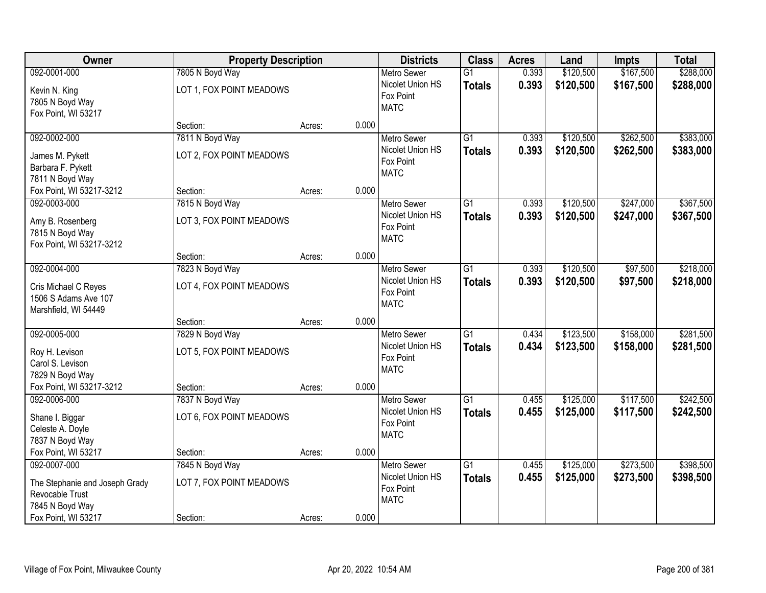| \$167,500<br>092-0001-000<br>7805 N Boyd Way<br>0.393<br>\$120,500<br><b>Metro Sewer</b><br>$\overline{G1}$<br>Nicolet Union HS<br>0.393<br>\$120,500<br>\$167,500<br><b>Totals</b><br>LOT 1, FOX POINT MEADOWS<br>Kevin N. King<br>Fox Point<br>7805 N Boyd Way<br><b>MATC</b><br>Fox Point, WI 53217<br>0.000<br>Section:<br>Acres:<br>092-0002-000<br>7811 N Boyd Way<br>$\overline{G1}$<br>\$120,500<br>\$262,500<br>0.393<br><b>Metro Sewer</b><br>0.393<br>Nicolet Union HS<br>\$120,500<br>\$262,500<br><b>Totals</b><br>LOT 2, FOX POINT MEADOWS<br>James M. Pykett<br>Fox Point<br>Barbara F. Pykett<br><b>MATC</b><br>7811 N Boyd Way<br>0.000<br>Fox Point, WI 53217-3212<br>Section:<br>Acres:<br>\$120,500<br>\$247,000<br>092-0003-000<br>7815 N Boyd Way<br>G1<br>0.393<br><b>Metro Sewer</b><br>Nicolet Union HS<br>0.393<br>\$120,500<br>\$247,000<br><b>Totals</b><br>LOT 3, FOX POINT MEADOWS<br>Amy B. Rosenberg<br>Fox Point<br>7815 N Boyd Way<br><b>MATC</b><br>Fox Point, WI 53217-3212<br>0.000<br>Section:<br>Acres:<br>092-0004-000<br>7823 N Boyd Way<br>\$120,500<br>\$97,500<br><b>Metro Sewer</b><br>G1<br>0.393<br>Nicolet Union HS<br>0.393<br>\$120,500<br>\$97,500<br><b>Totals</b><br>LOT 4, FOX POINT MEADOWS<br>Cris Michael C Reyes<br>Fox Point<br>1506 S Adams Ave 107<br><b>MATC</b><br>Marshfield, WI 54449<br>0.000<br>Section:<br>Acres:<br>\$123,500<br>\$158,000<br>092-0005-000<br>7829 N Boyd Way<br>$\overline{G1}$<br>0.434<br><b>Metro Sewer</b><br>Nicolet Union HS<br>0.434<br>\$123,500<br>\$158,000<br><b>Totals</b><br>LOT 5, FOX POINT MEADOWS<br>Roy H. Levison<br>Fox Point<br>Carol S. Levison<br><b>MATC</b><br>7829 N Boyd Way<br>Fox Point, WI 53217-3212<br>0.000<br>Section:<br>Acres:<br>092-0006-000<br>$\overline{G1}$<br>\$125,000<br>\$117,500<br>7837 N Boyd Way<br>Metro Sewer<br>0.455<br>Nicolet Union HS<br>0.455<br>\$125,000<br>\$117,500<br><b>Totals</b><br>LOT 6, FOX POINT MEADOWS<br>Shane I. Biggar<br>Fox Point<br>Celeste A. Doyle<br><b>MATC</b><br>7837 N Boyd Way<br>0.000<br>Fox Point, WI 53217<br>Section:<br>Acres:<br>092-0007-000<br>7845 N Boyd Way<br>$\overline{G1}$<br>\$125,000<br>\$273,500<br><b>Metro Sewer</b><br>0.455<br>Nicolet Union HS<br>0.455<br>\$125,000<br>\$273,500<br><b>Totals</b><br>LOT 7, FOX POINT MEADOWS<br>The Stephanie and Joseph Grady<br>Fox Point<br>Revocable Trust<br><b>MATC</b><br>7845 N Boyd Way | Owner               | <b>Property Description</b> |  |       | <b>Districts</b> | <b>Class</b> | <b>Acres</b> | Land | <b>Impts</b> | <b>Total</b>           |
|-----------------------------------------------------------------------------------------------------------------------------------------------------------------------------------------------------------------------------------------------------------------------------------------------------------------------------------------------------------------------------------------------------------------------------------------------------------------------------------------------------------------------------------------------------------------------------------------------------------------------------------------------------------------------------------------------------------------------------------------------------------------------------------------------------------------------------------------------------------------------------------------------------------------------------------------------------------------------------------------------------------------------------------------------------------------------------------------------------------------------------------------------------------------------------------------------------------------------------------------------------------------------------------------------------------------------------------------------------------------------------------------------------------------------------------------------------------------------------------------------------------------------------------------------------------------------------------------------------------------------------------------------------------------------------------------------------------------------------------------------------------------------------------------------------------------------------------------------------------------------------------------------------------------------------------------------------------------------------------------------------------------------------------------------------------------------------------------------------------------------------------------------------------------------------------------------------------------------------------------------------------------------------------------------------------------------------------------------------------------------------------------------------------------------------------------|---------------------|-----------------------------|--|-------|------------------|--------------|--------------|------|--------------|------------------------|
|                                                                                                                                                                                                                                                                                                                                                                                                                                                                                                                                                                                                                                                                                                                                                                                                                                                                                                                                                                                                                                                                                                                                                                                                                                                                                                                                                                                                                                                                                                                                                                                                                                                                                                                                                                                                                                                                                                                                                                                                                                                                                                                                                                                                                                                                                                                                                                                                                                         |                     |                             |  |       |                  |              |              |      |              | \$288,000              |
|                                                                                                                                                                                                                                                                                                                                                                                                                                                                                                                                                                                                                                                                                                                                                                                                                                                                                                                                                                                                                                                                                                                                                                                                                                                                                                                                                                                                                                                                                                                                                                                                                                                                                                                                                                                                                                                                                                                                                                                                                                                                                                                                                                                                                                                                                                                                                                                                                                         |                     |                             |  |       |                  |              |              |      |              | \$288,000              |
|                                                                                                                                                                                                                                                                                                                                                                                                                                                                                                                                                                                                                                                                                                                                                                                                                                                                                                                                                                                                                                                                                                                                                                                                                                                                                                                                                                                                                                                                                                                                                                                                                                                                                                                                                                                                                                                                                                                                                                                                                                                                                                                                                                                                                                                                                                                                                                                                                                         |                     |                             |  |       |                  |              |              |      |              |                        |
|                                                                                                                                                                                                                                                                                                                                                                                                                                                                                                                                                                                                                                                                                                                                                                                                                                                                                                                                                                                                                                                                                                                                                                                                                                                                                                                                                                                                                                                                                                                                                                                                                                                                                                                                                                                                                                                                                                                                                                                                                                                                                                                                                                                                                                                                                                                                                                                                                                         |                     |                             |  |       |                  |              |              |      |              | \$383,000<br>\$383,000 |
|                                                                                                                                                                                                                                                                                                                                                                                                                                                                                                                                                                                                                                                                                                                                                                                                                                                                                                                                                                                                                                                                                                                                                                                                                                                                                                                                                                                                                                                                                                                                                                                                                                                                                                                                                                                                                                                                                                                                                                                                                                                                                                                                                                                                                                                                                                                                                                                                                                         |                     |                             |  |       |                  |              |              |      |              |                        |
|                                                                                                                                                                                                                                                                                                                                                                                                                                                                                                                                                                                                                                                                                                                                                                                                                                                                                                                                                                                                                                                                                                                                                                                                                                                                                                                                                                                                                                                                                                                                                                                                                                                                                                                                                                                                                                                                                                                                                                                                                                                                                                                                                                                                                                                                                                                                                                                                                                         |                     |                             |  |       |                  |              |              |      |              | \$367,500<br>\$367,500 |
|                                                                                                                                                                                                                                                                                                                                                                                                                                                                                                                                                                                                                                                                                                                                                                                                                                                                                                                                                                                                                                                                                                                                                                                                                                                                                                                                                                                                                                                                                                                                                                                                                                                                                                                                                                                                                                                                                                                                                                                                                                                                                                                                                                                                                                                                                                                                                                                                                                         |                     |                             |  |       |                  |              |              |      |              |                        |
|                                                                                                                                                                                                                                                                                                                                                                                                                                                                                                                                                                                                                                                                                                                                                                                                                                                                                                                                                                                                                                                                                                                                                                                                                                                                                                                                                                                                                                                                                                                                                                                                                                                                                                                                                                                                                                                                                                                                                                                                                                                                                                                                                                                                                                                                                                                                                                                                                                         |                     |                             |  |       |                  |              |              |      |              | \$218,000<br>\$218,000 |
|                                                                                                                                                                                                                                                                                                                                                                                                                                                                                                                                                                                                                                                                                                                                                                                                                                                                                                                                                                                                                                                                                                                                                                                                                                                                                                                                                                                                                                                                                                                                                                                                                                                                                                                                                                                                                                                                                                                                                                                                                                                                                                                                                                                                                                                                                                                                                                                                                                         |                     |                             |  |       |                  |              |              |      |              |                        |
|                                                                                                                                                                                                                                                                                                                                                                                                                                                                                                                                                                                                                                                                                                                                                                                                                                                                                                                                                                                                                                                                                                                                                                                                                                                                                                                                                                                                                                                                                                                                                                                                                                                                                                                                                                                                                                                                                                                                                                                                                                                                                                                                                                                                                                                                                                                                                                                                                                         |                     |                             |  |       |                  |              |              |      |              | \$281,500<br>\$281,500 |
|                                                                                                                                                                                                                                                                                                                                                                                                                                                                                                                                                                                                                                                                                                                                                                                                                                                                                                                                                                                                                                                                                                                                                                                                                                                                                                                                                                                                                                                                                                                                                                                                                                                                                                                                                                                                                                                                                                                                                                                                                                                                                                                                                                                                                                                                                                                                                                                                                                         |                     |                             |  |       |                  |              |              |      |              |                        |
|                                                                                                                                                                                                                                                                                                                                                                                                                                                                                                                                                                                                                                                                                                                                                                                                                                                                                                                                                                                                                                                                                                                                                                                                                                                                                                                                                                                                                                                                                                                                                                                                                                                                                                                                                                                                                                                                                                                                                                                                                                                                                                                                                                                                                                                                                                                                                                                                                                         |                     |                             |  |       |                  |              |              |      |              | \$242,500<br>\$242,500 |
|                                                                                                                                                                                                                                                                                                                                                                                                                                                                                                                                                                                                                                                                                                                                                                                                                                                                                                                                                                                                                                                                                                                                                                                                                                                                                                                                                                                                                                                                                                                                                                                                                                                                                                                                                                                                                                                                                                                                                                                                                                                                                                                                                                                                                                                                                                                                                                                                                                         |                     |                             |  |       |                  |              |              |      |              |                        |
| Section:<br>Acres:                                                                                                                                                                                                                                                                                                                                                                                                                                                                                                                                                                                                                                                                                                                                                                                                                                                                                                                                                                                                                                                                                                                                                                                                                                                                                                                                                                                                                                                                                                                                                                                                                                                                                                                                                                                                                                                                                                                                                                                                                                                                                                                                                                                                                                                                                                                                                                                                                      | Fox Point, WI 53217 |                             |  | 0.000 |                  |              |              |      |              | \$398,500<br>\$398,500 |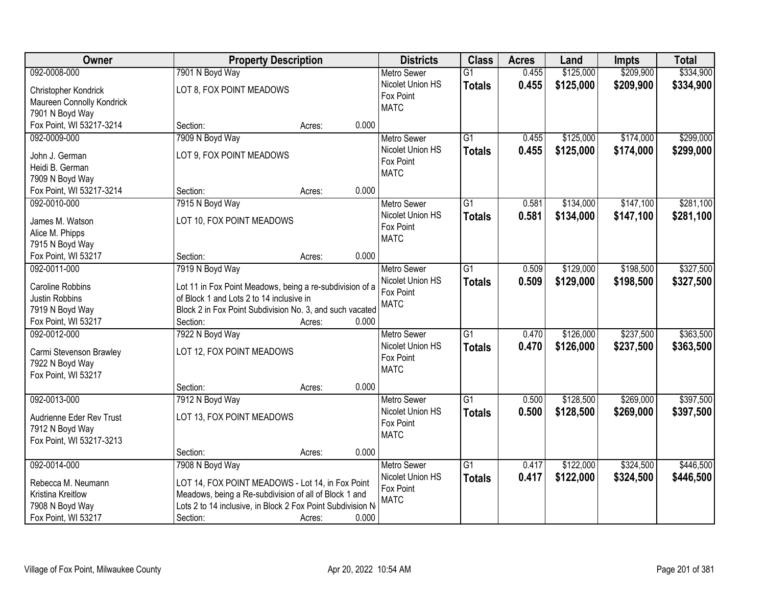| Owner                     |                                                            | <b>Property Description</b> |       |                    | <b>Class</b>    | <b>Acres</b> | Land      | <b>Impts</b> | <b>Total</b> |
|---------------------------|------------------------------------------------------------|-----------------------------|-------|--------------------|-----------------|--------------|-----------|--------------|--------------|
| 092-0008-000              | 7901 N Boyd Way                                            |                             |       | <b>Metro Sewer</b> | $\overline{G1}$ | 0.455        | \$125,000 | \$209,900    | \$334,900    |
| Christopher Kondrick      | LOT 8, FOX POINT MEADOWS                                   |                             |       | Nicolet Union HS   | <b>Totals</b>   | 0.455        | \$125,000 | \$209,900    | \$334,900    |
| Maureen Connolly Kondrick |                                                            |                             |       | Fox Point          |                 |              |           |              |              |
| 7901 N Boyd Way           |                                                            |                             |       | <b>MATC</b>        |                 |              |           |              |              |
| Fox Point, WI 53217-3214  | Section:                                                   | Acres:                      | 0.000 |                    |                 |              |           |              |              |
| 092-0009-000              | 7909 N Boyd Way                                            |                             |       | <b>Metro Sewer</b> | $\overline{G1}$ | 0.455        | \$125,000 | \$174,000    | \$299,000    |
| John J. German            | LOT 9, FOX POINT MEADOWS                                   |                             |       | Nicolet Union HS   | <b>Totals</b>   | 0.455        | \$125,000 | \$174,000    | \$299,000    |
| Heidi B. German           |                                                            |                             |       | Fox Point          |                 |              |           |              |              |
| 7909 N Boyd Way           |                                                            |                             |       | <b>MATC</b>        |                 |              |           |              |              |
| Fox Point, WI 53217-3214  | Section:                                                   | Acres:                      | 0.000 |                    |                 |              |           |              |              |
| 092-0010-000              | 7915 N Boyd Way                                            |                             |       | <b>Metro Sewer</b> | $\overline{G1}$ | 0.581        | \$134,000 | \$147,100    | \$281,100    |
|                           |                                                            |                             |       | Nicolet Union HS   |                 |              |           |              |              |
| James M. Watson           | LOT 10, FOX POINT MEADOWS                                  |                             |       | Fox Point          | <b>Totals</b>   | 0.581        | \$134,000 | \$147,100    | \$281,100    |
| Alice M. Phipps           |                                                            |                             |       | <b>MATC</b>        |                 |              |           |              |              |
| 7915 N Boyd Way           |                                                            |                             |       |                    |                 |              |           |              |              |
| Fox Point, WI 53217       | Section:                                                   | Acres:                      | 0.000 |                    |                 |              |           |              |              |
| 092-0011-000              | 7919 N Boyd Way                                            |                             |       | <b>Metro Sewer</b> | $\overline{G1}$ | 0.509        | \$129,000 | \$198,500    | \$327,500    |
| Caroline Robbins          | Lot 11 in Fox Point Meadows, being a re-subdivision of a   |                             |       | Nicolet Union HS   | <b>Totals</b>   | 0.509        | \$129,000 | \$198,500    | \$327,500    |
| Justin Robbins            | of Block 1 and Lots 2 to 14 inclusive in                   |                             |       | Fox Point          |                 |              |           |              |              |
| 7919 N Boyd Way           | Block 2 in Fox Point Subdivision No. 3, and such vacated   |                             |       | <b>MATC</b>        |                 |              |           |              |              |
| Fox Point, WI 53217       | Section:                                                   | Acres:                      | 0.000 |                    |                 |              |           |              |              |
| 092-0012-000              | 7922 N Boyd Way                                            |                             |       | <b>Metro Sewer</b> | $\overline{G1}$ | 0.470        | \$126,000 | \$237,500    | \$363,500    |
|                           |                                                            |                             |       | Nicolet Union HS   | <b>Totals</b>   | 0.470        | \$126,000 | \$237,500    | \$363,500    |
| Carmi Stevenson Brawley   | LOT 12, FOX POINT MEADOWS                                  |                             |       | Fox Point          |                 |              |           |              |              |
| 7922 N Boyd Way           |                                                            |                             |       | <b>MATC</b>        |                 |              |           |              |              |
| Fox Point, WI 53217       |                                                            |                             |       |                    |                 |              |           |              |              |
|                           | Section:                                                   | Acres:                      | 0.000 |                    |                 |              |           |              |              |
| 092-0013-000              | 7912 N Boyd Way                                            |                             |       | <b>Metro Sewer</b> | G1              | 0.500        | \$128,500 | \$269,000    | \$397,500    |
| Audrienne Eder Rev Trust  | LOT 13, FOX POINT MEADOWS                                  |                             |       | Nicolet Union HS   | <b>Totals</b>   | 0.500        | \$128,500 | \$269,000    | \$397,500    |
| 7912 N Boyd Way           |                                                            |                             |       | Fox Point          |                 |              |           |              |              |
| Fox Point, WI 53217-3213  |                                                            |                             |       | <b>MATC</b>        |                 |              |           |              |              |
|                           | Section:                                                   | Acres:                      | 0.000 |                    |                 |              |           |              |              |
| 092-0014-000              | 7908 N Boyd Way                                            |                             |       | <b>Metro Sewer</b> | $\overline{G1}$ | 0.417        | \$122,000 | \$324,500    | \$446,500    |
|                           |                                                            |                             |       | Nicolet Union HS   | <b>Totals</b>   | 0.417        | \$122,000 | \$324,500    | \$446,500    |
| Rebecca M. Neumann        | LOT 14, FOX POINT MEADOWS - Lot 14, in Fox Point           |                             |       | Fox Point          |                 |              |           |              |              |
| Kristina Kreitlow         | Meadows, being a Re-subdivision of all of Block 1 and      |                             |       | <b>MATC</b>        |                 |              |           |              |              |
| 7908 N Boyd Way           | Lots 2 to 14 inclusive, in Block 2 Fox Point Subdivision N |                             |       |                    |                 |              |           |              |              |
| Fox Point, WI 53217       | Section:                                                   | Acres:                      | 0.000 |                    |                 |              |           |              |              |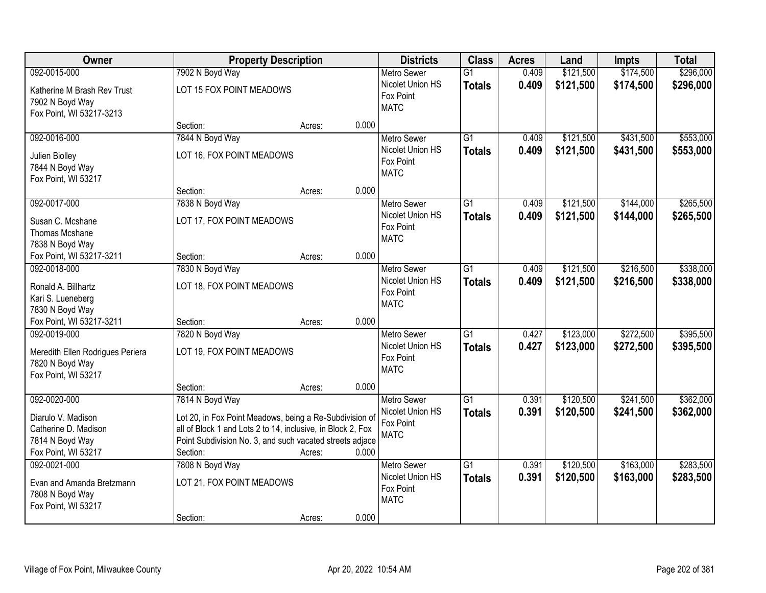| Owner                                                                                      |                                                                                                                                                                                                                   | <b>Property Description</b> |       |                                                                    | <b>Class</b>                     | <b>Acres</b>   | Land                   | <b>Impts</b>           | <b>Total</b>           |
|--------------------------------------------------------------------------------------------|-------------------------------------------------------------------------------------------------------------------------------------------------------------------------------------------------------------------|-----------------------------|-------|--------------------------------------------------------------------|----------------------------------|----------------|------------------------|------------------------|------------------------|
| 092-0015-000                                                                               | 7902 N Boyd Way                                                                                                                                                                                                   |                             |       | <b>Metro Sewer</b>                                                 | $\overline{G1}$                  | 0.409          | \$121,500              | \$174,500              | \$296,000              |
| Katherine M Brash Rev Trust<br>7902 N Boyd Way<br>Fox Point, WI 53217-3213                 | LOT 15 FOX POINT MEADOWS                                                                                                                                                                                          |                             |       | Nicolet Union HS<br>Fox Point<br><b>MATC</b>                       | <b>Totals</b>                    | 0.409          | \$121,500              | \$174,500              | \$296,000              |
|                                                                                            | Section:                                                                                                                                                                                                          | Acres:                      | 0.000 |                                                                    |                                  |                |                        |                        |                        |
| 092-0016-000<br>Julien Biolley<br>7844 N Boyd Way<br>Fox Point, WI 53217                   | 7844 N Boyd Way<br>LOT 16, FOX POINT MEADOWS                                                                                                                                                                      |                             |       | <b>Metro Sewer</b><br>Nicolet Union HS<br>Fox Point<br><b>MATC</b> | $\overline{G1}$<br><b>Totals</b> | 0.409<br>0.409 | \$121,500<br>\$121,500 | \$431,500<br>\$431,500 | \$553,000<br>\$553,000 |
|                                                                                            | Section:                                                                                                                                                                                                          | Acres:                      | 0.000 |                                                                    |                                  |                |                        |                        |                        |
| 092-0017-000<br>Susan C. Mcshane<br>Thomas Mcshane<br>7838 N Boyd Way                      | 7838 N Boyd Way<br>LOT 17, FOX POINT MEADOWS                                                                                                                                                                      |                             |       | <b>Metro Sewer</b><br>Nicolet Union HS<br>Fox Point<br><b>MATC</b> | G1<br><b>Totals</b>              | 0.409<br>0.409 | \$121,500<br>\$121,500 | \$144,000<br>\$144,000 | \$265,500<br>\$265,500 |
| Fox Point, WI 53217-3211                                                                   | Section:                                                                                                                                                                                                          | Acres:                      | 0.000 |                                                                    |                                  |                |                        |                        |                        |
| 092-0018-000<br>Ronald A. Billhartz<br>Kari S. Lueneberg<br>7830 N Boyd Way                | 7830 N Boyd Way<br>LOT 18, FOX POINT MEADOWS                                                                                                                                                                      |                             |       | <b>Metro Sewer</b><br>Nicolet Union HS<br>Fox Point<br><b>MATC</b> | G1<br><b>Totals</b>              | 0.409<br>0.409 | \$121,500<br>\$121,500 | \$216,500<br>\$216,500 | \$338,000<br>\$338,000 |
| Fox Point, WI 53217-3211                                                                   | Section:                                                                                                                                                                                                          | Acres:                      | 0.000 |                                                                    |                                  |                |                        |                        |                        |
| 092-0019-000<br>Meredith Ellen Rodrigues Periera<br>7820 N Boyd Way<br>Fox Point, WI 53217 | 7820 N Boyd Way<br>LOT 19, FOX POINT MEADOWS                                                                                                                                                                      |                             |       | Metro Sewer<br>Nicolet Union HS<br>Fox Point<br><b>MATC</b>        | $\overline{G1}$<br><b>Totals</b> | 0.427<br>0.427 | \$123,000<br>\$123,000 | \$272,500<br>\$272,500 | \$395,500<br>\$395,500 |
| 092-0020-000                                                                               | Section:                                                                                                                                                                                                          | Acres:                      | 0.000 | Metro Sewer                                                        | $\overline{G1}$                  | 0.391          | \$120,500              | \$241,500              | \$362,000              |
| Diarulo V. Madison<br>Catherine D. Madison<br>7814 N Boyd Way<br>Fox Point, WI 53217       | 7814 N Boyd Way<br>Lot 20, in Fox Point Meadows, being a Re-Subdivision of<br>all of Block 1 and Lots 2 to 14, inclusive, in Block 2, Fox<br>Point Subdivision No. 3, and such vacated streets adjace<br>Section: | Acres:                      | 0.000 | Nicolet Union HS<br>Fox Point<br><b>MATC</b>                       | <b>Totals</b>                    | 0.391          | \$120,500              | \$241,500              | \$362,000              |
| 092-0021-000<br>Evan and Amanda Bretzmann<br>7808 N Boyd Way<br>Fox Point, WI 53217        | 7808 N Boyd Way<br>LOT 21, FOX POINT MEADOWS<br>Section:                                                                                                                                                          | Acres:                      | 0.000 | <b>Metro Sewer</b><br>Nicolet Union HS<br>Fox Point<br><b>MATC</b> | $\overline{G1}$<br><b>Totals</b> | 0.391<br>0.391 | \$120,500<br>\$120,500 | \$163,000<br>\$163,000 | \$283,500<br>\$283,500 |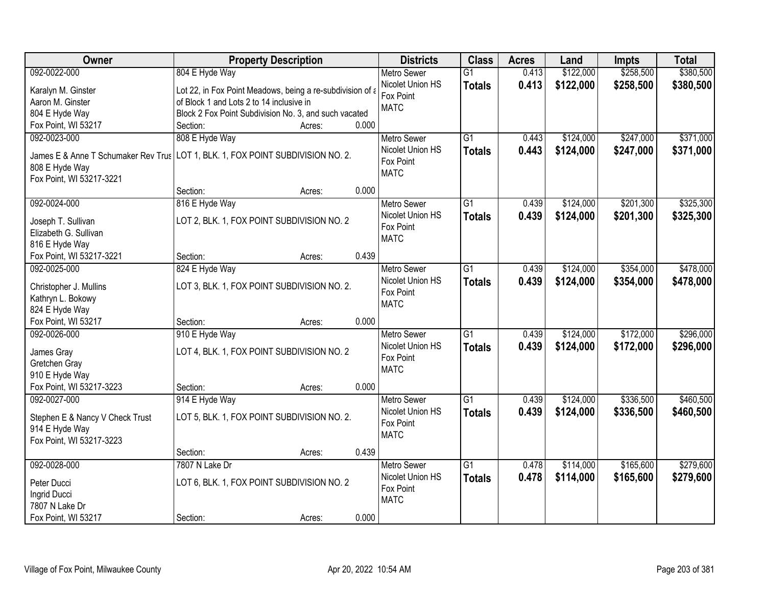| Owner                                 |                                                           | <b>Property Description</b> |       | <b>Districts</b>              | <b>Class</b>    | <b>Acres</b> | Land      | <b>Impts</b> | <b>Total</b> |
|---------------------------------------|-----------------------------------------------------------|-----------------------------|-------|-------------------------------|-----------------|--------------|-----------|--------------|--------------|
| 092-0022-000                          | 804 E Hyde Way                                            |                             |       | <b>Metro Sewer</b>            | $\overline{G1}$ | 0.413        | \$122,000 | \$258,500    | \$380,500    |
| Karalyn M. Ginster                    | Lot 22, in Fox Point Meadows, being a re-subdivision of a |                             |       | Nicolet Union HS              | <b>Totals</b>   | 0.413        | \$122,000 | \$258,500    | \$380,500    |
| Aaron M. Ginster                      | of Block 1 and Lots 2 to 14 inclusive in                  |                             |       | Fox Point                     |                 |              |           |              |              |
| 804 E Hyde Way                        | Block 2 Fox Point Subdivision No. 3, and such vacated     |                             |       | <b>MATC</b>                   |                 |              |           |              |              |
| Fox Point, WI 53217                   | Section:                                                  | Acres:                      | 0.000 |                               |                 |              |           |              |              |
| 092-0023-000                          | 808 E Hyde Way                                            |                             |       | <b>Metro Sewer</b>            | $\overline{G1}$ | 0.443        | \$124,000 | \$247,000    | \$371,000    |
|                                       |                                                           |                             |       | Nicolet Union HS              | <b>Totals</b>   | 0.443        | \$124,000 | \$247,000    | \$371,000    |
| James E & Anne T Schumaker Rev Trus   | LOT 1, BLK. 1, FOX POINT SUBDIVISION NO. 2.               |                             |       | Fox Point                     |                 |              |           |              |              |
| 808 E Hyde Way                        |                                                           |                             |       | <b>MATC</b>                   |                 |              |           |              |              |
| Fox Point, WI 53217-3221              |                                                           |                             |       |                               |                 |              |           |              |              |
|                                       | Section:                                                  | Acres:                      | 0.000 |                               |                 |              |           |              |              |
| 092-0024-000                          | 816 E Hyde Way                                            |                             |       | Metro Sewer                   | $\overline{G1}$ | 0.439        | \$124,000 | \$201,300    | \$325,300    |
| Joseph T. Sullivan                    | LOT 2, BLK. 1, FOX POINT SUBDIVISION NO. 2                |                             |       | Nicolet Union HS              | <b>Totals</b>   | 0.439        | \$124,000 | \$201,300    | \$325,300    |
| Elizabeth G. Sullivan                 |                                                           |                             |       | Fox Point                     |                 |              |           |              |              |
| 816 E Hyde Way                        |                                                           |                             |       | <b>MATC</b>                   |                 |              |           |              |              |
| Fox Point, WI 53217-3221              | Section:                                                  | Acres:                      | 0.439 |                               |                 |              |           |              |              |
| 092-0025-000                          | 824 E Hyde Way                                            |                             |       | <b>Metro Sewer</b>            | $\overline{G1}$ | 0.439        | \$124,000 | \$354,000    | \$478,000    |
|                                       |                                                           |                             |       | Nicolet Union HS              | <b>Totals</b>   | 0.439        | \$124,000 | \$354,000    | \$478,000    |
| Christopher J. Mullins                | LOT 3, BLK. 1, FOX POINT SUBDIVISION NO. 2.               |                             |       | Fox Point                     |                 |              |           |              |              |
| Kathryn L. Bokowy                     |                                                           |                             |       | <b>MATC</b>                   |                 |              |           |              |              |
| 824 E Hyde Way<br>Fox Point, WI 53217 | Section:                                                  |                             | 0.000 |                               |                 |              |           |              |              |
| 092-0026-000                          |                                                           | Acres:                      |       |                               | $\overline{G1}$ | 0.439        |           |              | \$296,000    |
|                                       | 910 E Hyde Way                                            |                             |       | <b>Metro Sewer</b>            |                 |              | \$124,000 | \$172,000    |              |
| James Gray                            | LOT 4, BLK. 1, FOX POINT SUBDIVISION NO. 2                |                             |       | Nicolet Union HS<br>Fox Point | <b>Totals</b>   | 0.439        | \$124,000 | \$172,000    | \$296,000    |
| Gretchen Gray                         |                                                           |                             |       | <b>MATC</b>                   |                 |              |           |              |              |
| 910 E Hyde Way                        |                                                           |                             |       |                               |                 |              |           |              |              |
| Fox Point, WI 53217-3223              | Section:                                                  | Acres:                      | 0.000 |                               |                 |              |           |              |              |
| 092-0027-000                          | 914 E Hyde Way                                            |                             |       | <b>Metro Sewer</b>            | $\overline{G1}$ | 0.439        | \$124,000 | \$336,500    | \$460,500    |
| Stephen E & Nancy V Check Trust       | LOT 5, BLK. 1, FOX POINT SUBDIVISION NO. 2.               |                             |       | Nicolet Union HS              | <b>Totals</b>   | 0.439        | \$124,000 | \$336,500    | \$460,500    |
| 914 E Hyde Way                        |                                                           |                             |       | Fox Point                     |                 |              |           |              |              |
| Fox Point, WI 53217-3223              |                                                           |                             |       | <b>MATC</b>                   |                 |              |           |              |              |
|                                       | Section:                                                  | Acres:                      | 0.439 |                               |                 |              |           |              |              |
| 092-0028-000                          | 7807 N Lake Dr                                            |                             |       | Metro Sewer                   | $\overline{G1}$ | 0.478        | \$114,000 | \$165,600    | \$279,600    |
|                                       |                                                           |                             |       | Nicolet Union HS              | <b>Totals</b>   | 0.478        | \$114,000 | \$165,600    | \$279,600    |
| Peter Ducci                           | LOT 6, BLK. 1, FOX POINT SUBDIVISION NO. 2                |                             |       | Fox Point                     |                 |              |           |              |              |
| Ingrid Ducci                          |                                                           |                             |       | <b>MATC</b>                   |                 |              |           |              |              |
| 7807 N Lake Dr                        |                                                           |                             |       |                               |                 |              |           |              |              |
| Fox Point, WI 53217                   | Section:                                                  | Acres:                      | 0.000 |                               |                 |              |           |              |              |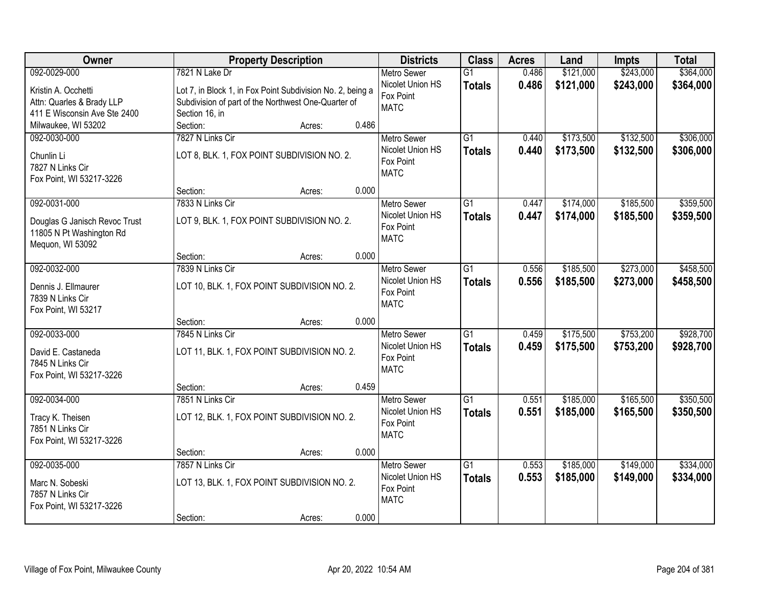| Owner                         |                  | <b>Property Description</b>                                |       | <b>Districts</b>   | <b>Class</b>    | <b>Acres</b> | Land      | <b>Impts</b> | <b>Total</b> |
|-------------------------------|------------------|------------------------------------------------------------|-------|--------------------|-----------------|--------------|-----------|--------------|--------------|
| 092-0029-000                  | 7821 N Lake Dr   |                                                            |       | <b>Metro Sewer</b> | $\overline{G1}$ | 0.486        | \$121,000 | \$243,000    | \$364,000    |
| Kristin A. Occhetti           |                  | Lot 7, in Block 1, in Fox Point Subdivision No. 2, being a |       | Nicolet Union HS   | <b>Totals</b>   | 0.486        | \$121,000 | \$243,000    | \$364,000    |
| Attn: Quarles & Brady LLP     |                  | Subdivision of part of the Northwest One-Quarter of        |       | Fox Point          |                 |              |           |              |              |
| 411 E Wisconsin Ave Ste 2400  | Section 16, in   |                                                            |       | <b>MATC</b>        |                 |              |           |              |              |
| Milwaukee, WI 53202           | Section:         | Acres:                                                     | 0.486 |                    |                 |              |           |              |              |
| 092-0030-000                  | 7827 N Links Cir |                                                            |       | <b>Metro Sewer</b> | $\overline{G1}$ | 0.440        | \$173,500 | \$132,500    | \$306,000    |
| Chunlin Li                    |                  | LOT 8, BLK. 1, FOX POINT SUBDIVISION NO. 2.                |       | Nicolet Union HS   | <b>Totals</b>   | 0.440        | \$173,500 | \$132,500    | \$306,000    |
| 7827 N Links Cir              |                  |                                                            |       | Fox Point          |                 |              |           |              |              |
| Fox Point, WI 53217-3226      |                  |                                                            |       | <b>MATC</b>        |                 |              |           |              |              |
|                               | Section:         | Acres:                                                     | 0.000 |                    |                 |              |           |              |              |
| 092-0031-000                  | 7833 N Links Cir |                                                            |       | <b>Metro Sewer</b> | $\overline{G1}$ | 0.447        | \$174,000 | \$185,500    | \$359,500    |
| Douglas G Janisch Revoc Trust |                  | LOT 9, BLK. 1, FOX POINT SUBDIVISION NO. 2.                |       | Nicolet Union HS   | <b>Totals</b>   | 0.447        | \$174,000 | \$185,500    | \$359,500    |
| 11805 N Pt Washington Rd      |                  |                                                            |       | Fox Point          |                 |              |           |              |              |
| Mequon, WI 53092              |                  |                                                            |       | <b>MATC</b>        |                 |              |           |              |              |
|                               | Section:         | Acres:                                                     | 0.000 |                    |                 |              |           |              |              |
| 092-0032-000                  | 7839 N Links Cir |                                                            |       | <b>Metro Sewer</b> | $\overline{G1}$ | 0.556        | \$185,500 | \$273,000    | \$458,500    |
| Dennis J. Ellmaurer           |                  | LOT 10, BLK. 1, FOX POINT SUBDIVISION NO. 2.               |       | Nicolet Union HS   | <b>Totals</b>   | 0.556        | \$185,500 | \$273,000    | \$458,500    |
| 7839 N Links Cir              |                  |                                                            |       | Fox Point          |                 |              |           |              |              |
| Fox Point, WI 53217           |                  |                                                            |       | <b>MATC</b>        |                 |              |           |              |              |
|                               | Section:         | Acres:                                                     | 0.000 |                    |                 |              |           |              |              |
| 092-0033-000                  | 7845 N Links Cir |                                                            |       | <b>Metro Sewer</b> | $\overline{G1}$ | 0.459        | \$175,500 | \$753,200    | \$928,700    |
| David E. Castaneda            |                  | LOT 11, BLK. 1, FOX POINT SUBDIVISION NO. 2.               |       | Nicolet Union HS   | <b>Totals</b>   | 0.459        | \$175,500 | \$753,200    | \$928,700    |
| 7845 N Links Cir              |                  |                                                            |       | Fox Point          |                 |              |           |              |              |
| Fox Point, WI 53217-3226      |                  |                                                            |       | <b>MATC</b>        |                 |              |           |              |              |
|                               | Section:         | Acres:                                                     | 0.459 |                    |                 |              |           |              |              |
| 092-0034-000                  | 7851 N Links Cir |                                                            |       | Metro Sewer        | $\overline{G1}$ | 0.551        | \$185,000 | \$165,500    | \$350,500    |
| Tracy K. Theisen              |                  | LOT 12, BLK. 1, FOX POINT SUBDIVISION NO. 2.               |       | Nicolet Union HS   | <b>Totals</b>   | 0.551        | \$185,000 | \$165,500    | \$350,500    |
| 7851 N Links Cir              |                  |                                                            |       | Fox Point          |                 |              |           |              |              |
| Fox Point, WI 53217-3226      |                  |                                                            |       | <b>MATC</b>        |                 |              |           |              |              |
|                               | Section:         | Acres:                                                     | 0.000 |                    |                 |              |           |              |              |
| 092-0035-000                  | 7857 N Links Cir |                                                            |       | <b>Metro Sewer</b> | $\overline{G1}$ | 0.553        | \$185,000 | \$149,000    | \$334,000    |
| Marc N. Sobeski               |                  | LOT 13, BLK. 1, FOX POINT SUBDIVISION NO. 2.               |       | Nicolet Union HS   | <b>Totals</b>   | 0.553        | \$185,000 | \$149,000    | \$334,000    |
| 7857 N Links Cir              |                  |                                                            |       | Fox Point          |                 |              |           |              |              |
| Fox Point, WI 53217-3226      |                  |                                                            |       | <b>MATC</b>        |                 |              |           |              |              |
|                               | Section:         | Acres:                                                     | 0.000 |                    |                 |              |           |              |              |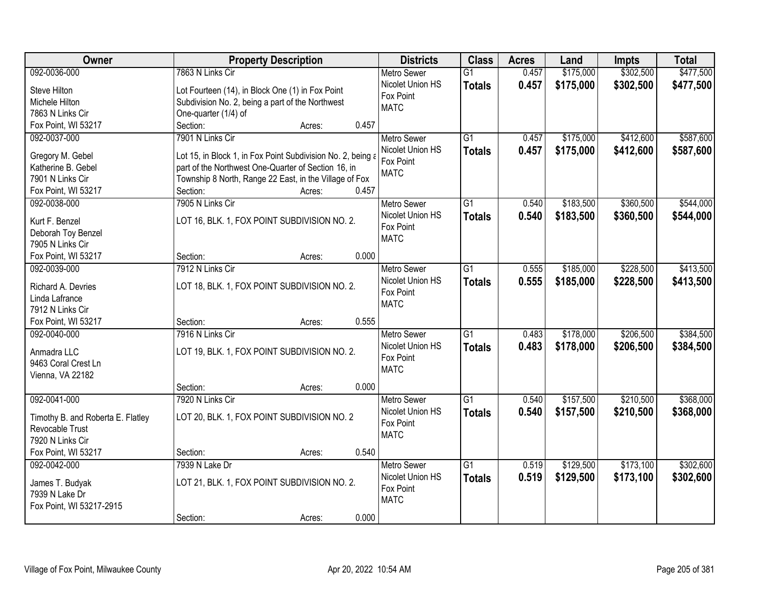| Owner                             | <b>Property Description</b>                                 | <b>Districts</b>   | <b>Class</b>    | <b>Acres</b> | Land      | <b>Impts</b> | <b>Total</b> |
|-----------------------------------|-------------------------------------------------------------|--------------------|-----------------|--------------|-----------|--------------|--------------|
| 092-0036-000                      | 7863 N Links Cir                                            | <b>Metro Sewer</b> | $\overline{G1}$ | 0.457        | \$175,000 | \$302,500    | \$477,500    |
| Steve Hilton                      | Lot Fourteen (14), in Block One (1) in Fox Point            | Nicolet Union HS   | <b>Totals</b>   | 0.457        | \$175,000 | \$302,500    | \$477,500    |
| Michele Hilton                    | Subdivision No. 2, being a part of the Northwest            | Fox Point          |                 |              |           |              |              |
| 7863 N Links Cir                  | One-quarter (1/4) of                                        | <b>MATC</b>        |                 |              |           |              |              |
| Fox Point, WI 53217               | Section:<br>0.457<br>Acres:                                 |                    |                 |              |           |              |              |
| 092-0037-000                      | 7901 N Links Cir                                            | <b>Metro Sewer</b> | $\overline{G1}$ | 0.457        | \$175,000 | \$412,600    | \$587,600    |
|                                   |                                                             | Nicolet Union HS   | <b>Totals</b>   | 0.457        | \$175,000 | \$412,600    | \$587,600    |
| Gregory M. Gebel                  | Lot 15, in Block 1, in Fox Point Subdivision No. 2, being a | Fox Point          |                 |              |           |              |              |
| Katherine B. Gebel                | part of the Northwest One-Quarter of Section 16, in         | <b>MATC</b>        |                 |              |           |              |              |
| 7901 N Links Cir                  | Township 8 North, Range 22 East, in the Village of Fox      |                    |                 |              |           |              |              |
| Fox Point, WI 53217               | 0.457<br>Section:<br>Acres:                                 |                    |                 |              |           |              |              |
| 092-0038-000                      | 7905 N Links Cir                                            | Metro Sewer        | G1              | 0.540        | \$183,500 | \$360,500    | \$544,000    |
| Kurt F. Benzel                    | LOT 16, BLK. 1, FOX POINT SUBDIVISION NO. 2.                | Nicolet Union HS   | <b>Totals</b>   | 0.540        | \$183,500 | \$360,500    | \$544,000    |
| Deborah Toy Benzel                |                                                             | Fox Point          |                 |              |           |              |              |
| 7905 N Links Cir                  |                                                             | <b>MATC</b>        |                 |              |           |              |              |
| Fox Point, WI 53217               | 0.000<br>Section:<br>Acres:                                 |                    |                 |              |           |              |              |
| 092-0039-000                      | 7912 N Links Cir                                            | <b>Metro Sewer</b> | $\overline{G1}$ | 0.555        | \$185,000 | \$228,500    | \$413,500    |
| Richard A. Devries                | LOT 18, BLK. 1, FOX POINT SUBDIVISION NO. 2.                | Nicolet Union HS   | <b>Totals</b>   | 0.555        | \$185,000 | \$228,500    | \$413,500    |
| Linda Lafrance                    |                                                             | Fox Point          |                 |              |           |              |              |
| 7912 N Links Cir                  |                                                             | <b>MATC</b>        |                 |              |           |              |              |
| Fox Point, WI 53217               | 0.555<br>Section:<br>Acres:                                 |                    |                 |              |           |              |              |
| 092-0040-000                      | 7916 N Links Cir                                            | Metro Sewer        | $\overline{G1}$ | 0.483        | \$178,000 | \$206,500    | \$384,500    |
|                                   |                                                             | Nicolet Union HS   | <b>Totals</b>   | 0.483        | \$178,000 | \$206,500    | \$384,500    |
| Anmadra LLC                       | LOT 19, BLK. 1, FOX POINT SUBDIVISION NO. 2.                | Fox Point          |                 |              |           |              |              |
| 9463 Coral Crest Ln               |                                                             | <b>MATC</b>        |                 |              |           |              |              |
| Vienna, VA 22182                  |                                                             |                    |                 |              |           |              |              |
|                                   | 0.000<br>Section:<br>Acres:                                 |                    |                 |              |           |              |              |
| 092-0041-000                      | 7920 N Links Cir                                            | <b>Metro Sewer</b> | $\overline{G1}$ | 0.540        | \$157,500 | \$210,500    | \$368,000    |
| Timothy B. and Roberta E. Flatley | LOT 20, BLK. 1, FOX POINT SUBDIVISION NO. 2                 | Nicolet Union HS   | <b>Totals</b>   | 0.540        | \$157,500 | \$210,500    | \$368,000    |
| Revocable Trust                   |                                                             | Fox Point          |                 |              |           |              |              |
| 7920 N Links Cir                  |                                                             | <b>MATC</b>        |                 |              |           |              |              |
| Fox Point, WI 53217               | 0.540<br>Section:<br>Acres:                                 |                    |                 |              |           |              |              |
| 092-0042-000                      | 7939 N Lake Dr                                              | <b>Metro Sewer</b> | $\overline{G1}$ | 0.519        | \$129,500 | \$173,100    | \$302,600    |
|                                   |                                                             | Nicolet Union HS   | <b>Totals</b>   | 0.519        | \$129,500 | \$173,100    | \$302,600    |
| James T. Budyak                   | LOT 21, BLK. 1, FOX POINT SUBDIVISION NO. 2.                | Fox Point          |                 |              |           |              |              |
| 7939 N Lake Dr                    |                                                             | <b>MATC</b>        |                 |              |           |              |              |
| Fox Point, WI 53217-2915          |                                                             |                    |                 |              |           |              |              |
|                                   | 0.000<br>Section:<br>Acres:                                 |                    |                 |              |           |              |              |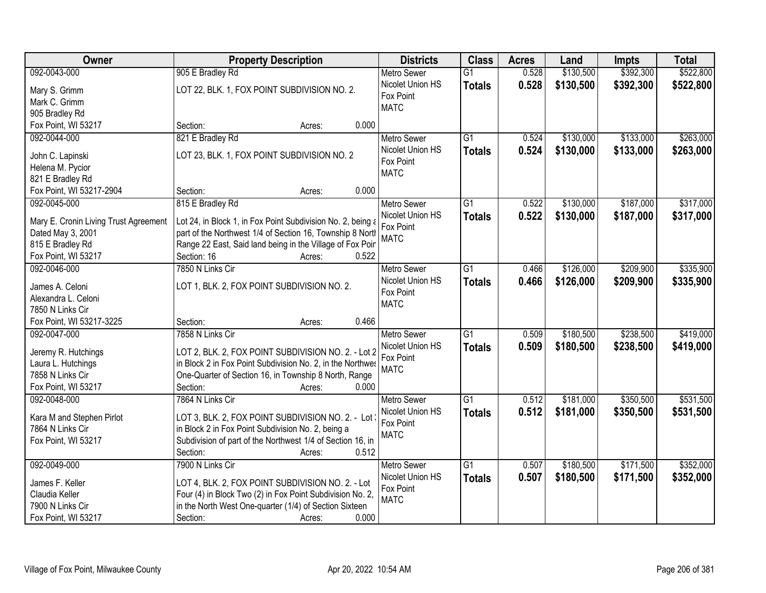| Owner                                  | <b>Property Description</b>                                 | <b>Districts</b>         | <b>Class</b>    | <b>Acres</b> | Land      | <b>Impts</b> | <b>Total</b> |
|----------------------------------------|-------------------------------------------------------------|--------------------------|-----------------|--------------|-----------|--------------|--------------|
| 092-0043-000                           | 905 E Bradley Rd                                            | <b>Metro Sewer</b>       | $\overline{G1}$ | 0.528        | \$130,500 | \$392,300    | \$522,800    |
| Mary S. Grimm                          | LOT 22, BLK. 1, FOX POINT SUBDIVISION NO. 2.                | Nicolet Union HS         | <b>Totals</b>   | 0.528        | \$130,500 | \$392,300    | \$522,800    |
| Mark C. Grimm                          |                                                             | Fox Point                |                 |              |           |              |              |
| 905 Bradley Rd                         |                                                             | <b>MATC</b>              |                 |              |           |              |              |
| Fox Point, WI 53217                    | 0.000<br>Section:<br>Acres:                                 |                          |                 |              |           |              |              |
| 092-0044-000                           | 821 E Bradley Rd                                            | <b>Metro Sewer</b>       | $\overline{G1}$ | 0.524        | \$130,000 | \$133,000    | \$263,000    |
|                                        |                                                             | Nicolet Union HS         | <b>Totals</b>   | 0.524        | \$130,000 | \$133,000    | \$263,000    |
| John C. Lapinski                       | LOT 23, BLK. 1, FOX POINT SUBDIVISION NO. 2                 | Fox Point                |                 |              |           |              |              |
| Helena M. Pycior                       |                                                             | <b>MATC</b>              |                 |              |           |              |              |
| 821 E Bradley Rd                       | 0.000                                                       |                          |                 |              |           |              |              |
| Fox Point, WI 53217-2904               | Section:<br>Acres:                                          |                          |                 |              |           |              |              |
| 092-0045-000                           | 815 E Bradley Rd                                            | <b>Metro Sewer</b>       | $\overline{G1}$ | 0.522        | \$130,000 | \$187,000    | \$317,000    |
| Mary E. Cronin Living Trust Agreement  | Lot 24, in Block 1, in Fox Point Subdivision No. 2, being a | Nicolet Union HS         | <b>Totals</b>   | 0.522        | \$130,000 | \$187,000    | \$317,000    |
| Dated May 3, 2001                      | part of the Northwest 1/4 of Section 16, Township 8 North   | Fox Point<br><b>MATC</b> |                 |              |           |              |              |
| 815 E Bradley Rd                       | Range 22 East, Said land being in the Village of Fox Poir   |                          |                 |              |           |              |              |
| Fox Point, WI 53217                    | Section: 16<br>0.522<br>Acres:                              |                          |                 |              |           |              |              |
| 092-0046-000                           | 7850 N Links Cir                                            | <b>Metro Sewer</b>       | G1              | 0.466        | \$126,000 | \$209,900    | \$335,900    |
|                                        |                                                             | Nicolet Union HS         | <b>Totals</b>   | 0.466        | \$126,000 | \$209,900    | \$335,900    |
| James A. Celoni<br>Alexandra L. Celoni | LOT 1, BLK. 2, FOX POINT SUBDIVISION NO. 2.                 | Fox Point                |                 |              |           |              |              |
| 7850 N Links Cir                       |                                                             | <b>MATC</b>              |                 |              |           |              |              |
| Fox Point, WI 53217-3225               | 0.466<br>Section:<br>Acres:                                 |                          |                 |              |           |              |              |
| 092-0047-000                           | 7858 N Links Cir                                            | <b>Metro Sewer</b>       | $\overline{G1}$ | 0.509        | \$180,500 | \$238,500    | \$419,000    |
|                                        |                                                             | Nicolet Union HS         | <b>Totals</b>   | 0.509        | \$180,500 | \$238,500    | \$419,000    |
| Jeremy R. Hutchings                    | LOT 2, BLK. 2, FOX POINT SUBDIVISION NO. 2. - Lot 2         | Fox Point                |                 |              |           |              |              |
| Laura L. Hutchings                     | in Block 2 in Fox Point Subdivision No. 2, in the Northwes  | <b>MATC</b>              |                 |              |           |              |              |
| 7858 N Links Cir                       | One-Quarter of Section 16, in Township 8 North, Range       |                          |                 |              |           |              |              |
| Fox Point, WI 53217                    | Section:<br>0.000<br>Acres:                                 |                          |                 |              |           |              |              |
| 092-0048-000                           | 7864 N Links Cir                                            | <b>Metro Sewer</b>       | $\overline{G1}$ | 0.512        | \$181,000 | \$350,500    | \$531,500    |
| Kara M and Stephen Pirlot              | LOT 3, BLK. 2, FOX POINT SUBDIVISION NO. 2. - Lot           | Nicolet Union HS         | <b>Totals</b>   | 0.512        | \$181,000 | \$350,500    | \$531,500    |
| 7864 N Links Cir                       | in Block 2 in Fox Point Subdivision No. 2, being a          | Fox Point                |                 |              |           |              |              |
| Fox Point, WI 53217                    | Subdivision of part of the Northwest 1/4 of Section 16, in  | <b>MATC</b>              |                 |              |           |              |              |
|                                        | 0.512<br>Section:<br>Acres:                                 |                          |                 |              |           |              |              |
| 092-0049-000                           | 7900 N Links Cir                                            | <b>Metro Sewer</b>       | $\overline{G1}$ | 0.507        | \$180,500 | \$171,500    | \$352,000    |
|                                        |                                                             | Nicolet Union HS         | <b>Totals</b>   | 0.507        | \$180,500 | \$171,500    | \$352,000    |
| James F. Keller                        | LOT 4, BLK. 2, FOX POINT SUBDIVISION NO. 2. - Lot           | Fox Point                |                 |              |           |              |              |
| Claudia Keller                         | Four (4) in Block Two (2) in Fox Point Subdivision No. 2,   | <b>MATC</b>              |                 |              |           |              |              |
| 7900 N Links Cir                       | in the North West One-quarter (1/4) of Section Sixteen      |                          |                 |              |           |              |              |
| Fox Point, WI 53217                    | 0.000<br>Section:<br>Acres:                                 |                          |                 |              |           |              |              |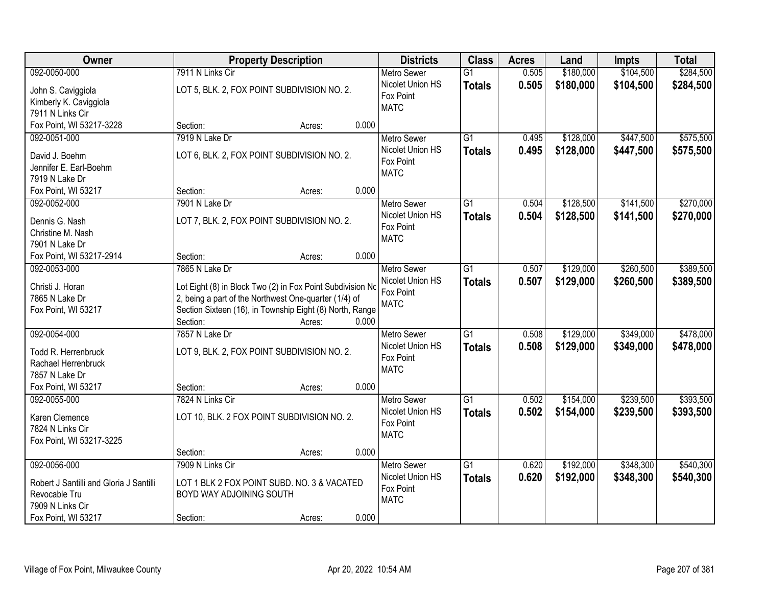| Owner                                   |                          | <b>Property Description</b>                                |       | <b>Districts</b>   | <b>Class</b>    | <b>Acres</b> | Land      | <b>Impts</b> | <b>Total</b> |
|-----------------------------------------|--------------------------|------------------------------------------------------------|-------|--------------------|-----------------|--------------|-----------|--------------|--------------|
| 092-0050-000                            | 7911 N Links Cir         |                                                            |       | <b>Metro Sewer</b> | $\overline{G1}$ | 0.505        | \$180,000 | \$104,500    | \$284,500    |
| John S. Caviggiola                      |                          | LOT 5, BLK. 2, FOX POINT SUBDIVISION NO. 2.                |       | Nicolet Union HS   | <b>Totals</b>   | 0.505        | \$180,000 | \$104,500    | \$284,500    |
| Kimberly K. Caviggiola                  |                          |                                                            |       | Fox Point          |                 |              |           |              |              |
| 7911 N Links Cir                        |                          |                                                            |       | <b>MATC</b>        |                 |              |           |              |              |
| Fox Point, WI 53217-3228                | Section:                 | Acres:                                                     | 0.000 |                    |                 |              |           |              |              |
| 092-0051-000                            | 7919 N Lake Dr           |                                                            |       | <b>Metro Sewer</b> | $\overline{G1}$ | 0.495        | \$128,000 | \$447,500    | \$575,500    |
|                                         |                          |                                                            |       | Nicolet Union HS   | <b>Totals</b>   | 0.495        | \$128,000 | \$447,500    | \$575,500    |
| David J. Boehm                          |                          | LOT 6, BLK. 2, FOX POINT SUBDIVISION NO. 2.                |       | Fox Point          |                 |              |           |              |              |
| Jennifer E. Earl-Boehm                  |                          |                                                            |       | <b>MATC</b>        |                 |              |           |              |              |
| 7919 N Lake Dr<br>Fox Point, WI 53217   | Section:                 | Acres:                                                     | 0.000 |                    |                 |              |           |              |              |
| 092-0052-000                            | 7901 N Lake Dr           |                                                            |       | Metro Sewer        | G1              | 0.504        | \$128,500 | \$141,500    | \$270,000    |
|                                         |                          |                                                            |       | Nicolet Union HS   |                 |              |           |              |              |
| Dennis G. Nash                          |                          | LOT 7, BLK. 2, FOX POINT SUBDIVISION NO. 2.                |       | Fox Point          | <b>Totals</b>   | 0.504        | \$128,500 | \$141,500    | \$270,000    |
| Christine M. Nash                       |                          |                                                            |       | <b>MATC</b>        |                 |              |           |              |              |
| 7901 N Lake Dr                          |                          |                                                            |       |                    |                 |              |           |              |              |
| Fox Point, WI 53217-2914                | Section:                 | Acres:                                                     | 0.000 |                    |                 |              |           |              |              |
| 092-0053-000                            | 7865 N Lake Dr           |                                                            |       | <b>Metro Sewer</b> | $\overline{G1}$ | 0.507        | \$129,000 | \$260,500    | \$389,500    |
| Christi J. Horan                        |                          | Lot Eight (8) in Block Two (2) in Fox Point Subdivision No |       | Nicolet Union HS   | <b>Totals</b>   | 0.507        | \$129,000 | \$260,500    | \$389,500    |
| 7865 N Lake Dr                          |                          | 2, being a part of the Northwest One-quarter (1/4) of      |       | Fox Point          |                 |              |           |              |              |
| Fox Point, WI 53217                     |                          | Section Sixteen (16), in Township Eight (8) North, Range   |       | <b>MATC</b>        |                 |              |           |              |              |
|                                         | Section:                 | Acres:                                                     | 0.000 |                    |                 |              |           |              |              |
| 092-0054-000                            | 7857 N Lake Dr           |                                                            |       | Metro Sewer        | $\overline{G1}$ | 0.508        | \$129,000 | \$349,000    | \$478,000    |
|                                         |                          |                                                            |       | Nicolet Union HS   | <b>Totals</b>   | 0.508        | \$129,000 | \$349,000    | \$478,000    |
| Todd R. Herrenbruck                     |                          | LOT 9, BLK. 2, FOX POINT SUBDIVISION NO. 2.                |       | Fox Point          |                 |              |           |              |              |
| Rachael Herrenbruck                     |                          |                                                            |       | <b>MATC</b>        |                 |              |           |              |              |
| 7857 N Lake Dr                          |                          |                                                            |       |                    |                 |              |           |              |              |
| Fox Point, WI 53217                     | Section:                 | Acres:                                                     | 0.000 |                    |                 |              |           |              |              |
| 092-0055-000                            | 7824 N Links Cir         |                                                            |       | <b>Metro Sewer</b> | $\overline{G1}$ | 0.502        | \$154,000 | \$239,500    | \$393,500    |
| Karen Clemence                          |                          | LOT 10, BLK. 2 FOX POINT SUBDIVISION NO. 2.                |       | Nicolet Union HS   | <b>Totals</b>   | 0.502        | \$154,000 | \$239,500    | \$393,500    |
| 7824 N Links Cir                        |                          |                                                            |       | Fox Point          |                 |              |           |              |              |
| Fox Point, WI 53217-3225                |                          |                                                            |       | <b>MATC</b>        |                 |              |           |              |              |
|                                         | Section:                 | Acres:                                                     | 0.000 |                    |                 |              |           |              |              |
| 092-0056-000                            | 7909 N Links Cir         |                                                            |       | <b>Metro Sewer</b> | $\overline{G1}$ | 0.620        | \$192,000 | \$348,300    | \$540,300    |
|                                         |                          |                                                            |       | Nicolet Union HS   | <b>Totals</b>   | 0.620        | \$192,000 | \$348,300    | \$540,300    |
| Robert J Santilli and Gloria J Santilli |                          | LOT 1 BLK 2 FOX POINT SUBD. NO. 3 & VACATED                |       | Fox Point          |                 |              |           |              |              |
| Revocable Tru                           | BOYD WAY ADJOINING SOUTH |                                                            |       | <b>MATC</b>        |                 |              |           |              |              |
| 7909 N Links Cir                        |                          |                                                            |       |                    |                 |              |           |              |              |
| Fox Point, WI 53217                     | Section:                 | Acres:                                                     | 0.000 |                    |                 |              |           |              |              |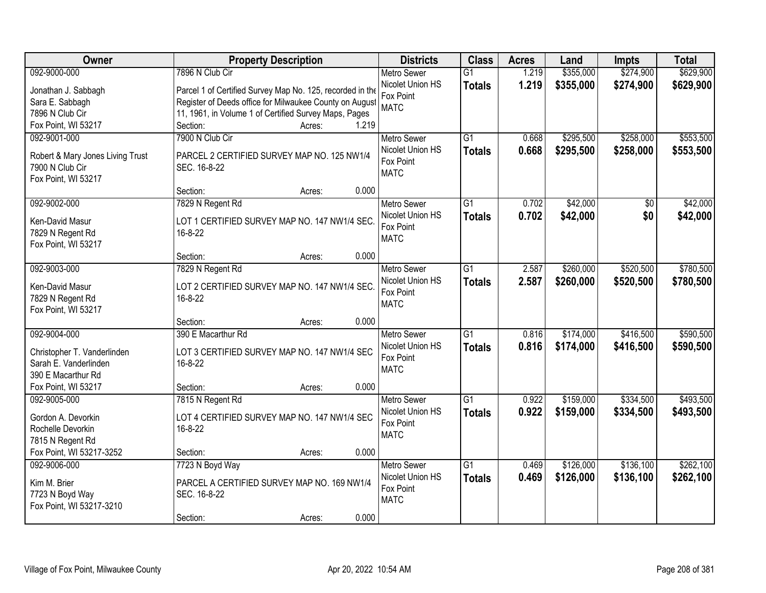| Owner                            | <b>Property Description</b>                               | <b>Districts</b>   | <b>Class</b>    | <b>Acres</b> | Land      | <b>Impts</b> | <b>Total</b> |
|----------------------------------|-----------------------------------------------------------|--------------------|-----------------|--------------|-----------|--------------|--------------|
| 092-9000-000                     | 7896 N Club Cir                                           | <b>Metro Sewer</b> | $\overline{G1}$ | 1.219        | \$355,000 | \$274,900    | \$629,900    |
| Jonathan J. Sabbagh              | Parcel 1 of Certified Survey Map No. 125, recorded in the | Nicolet Union HS   | <b>Totals</b>   | 1.219        | \$355,000 | \$274,900    | \$629,900    |
| Sara E. Sabbagh                  | Register of Deeds office for Milwaukee County on August   | Fox Point          |                 |              |           |              |              |
| 7896 N Club Cir                  | 11, 1961, in Volume 1 of Certified Survey Maps, Pages     | <b>MATC</b>        |                 |              |           |              |              |
| Fox Point, WI 53217              | 1.219<br>Section:<br>Acres:                               |                    |                 |              |           |              |              |
| 092-9001-000                     | 7900 N Club Cir                                           | <b>Metro Sewer</b> | $\overline{G1}$ | 0.668        | \$295,500 | \$258,000    | \$553,500    |
|                                  |                                                           | Nicolet Union HS   | <b>Totals</b>   | 0.668        | \$295,500 | \$258,000    | \$553,500    |
| Robert & Mary Jones Living Trust | PARCEL 2 CERTIFIED SURVEY MAP NO. 125 NW1/4               | Fox Point          |                 |              |           |              |              |
| 7900 N Club Cir                  | SEC. 16-8-22                                              | <b>MATC</b>        |                 |              |           |              |              |
| Fox Point, WI 53217              |                                                           |                    |                 |              |           |              |              |
|                                  | 0.000<br>Section:<br>Acres:                               |                    |                 |              |           |              |              |
| 092-9002-000                     | 7829 N Regent Rd                                          | Metro Sewer        | G1              | 0.702        | \$42,000  | \$0          | \$42,000     |
| Ken-David Masur                  | LOT 1 CERTIFIED SURVEY MAP NO. 147 NW1/4 SEC.             | Nicolet Union HS   | <b>Totals</b>   | 0.702        | \$42,000  | \$0          | \$42,000     |
| 7829 N Regent Rd                 | 16-8-22                                                   | Fox Point          |                 |              |           |              |              |
| Fox Point, WI 53217              |                                                           | <b>MATC</b>        |                 |              |           |              |              |
|                                  | 0.000<br>Section:<br>Acres:                               |                    |                 |              |           |              |              |
| 092-9003-000                     | 7829 N Regent Rd                                          | <b>Metro Sewer</b> | $\overline{G1}$ | 2.587        | \$260,000 | \$520,500    | \$780,500    |
|                                  |                                                           | Nicolet Union HS   | <b>Totals</b>   | 2.587        | \$260,000 | \$520,500    | \$780,500    |
| Ken-David Masur                  | LOT 2 CERTIFIED SURVEY MAP NO. 147 NW1/4 SEC.             | Fox Point          |                 |              |           |              |              |
| 7829 N Regent Rd                 | 16-8-22                                                   | <b>MATC</b>        |                 |              |           |              |              |
| Fox Point, WI 53217              |                                                           |                    |                 |              |           |              |              |
|                                  | 0.000<br>Section:<br>Acres:                               |                    |                 |              |           |              |              |
| 092-9004-000                     | 390 E Macarthur Rd                                        | Metro Sewer        | $\overline{G1}$ | 0.816        | \$174,000 | \$416,500    | \$590,500    |
| Christopher T. Vanderlinden      | LOT 3 CERTIFIED SURVEY MAP NO. 147 NW1/4 SEC              | Nicolet Union HS   | <b>Totals</b>   | 0.816        | \$174,000 | \$416,500    | \$590,500    |
| Sarah E. Vanderlinden            | 16-8-22                                                   | Fox Point          |                 |              |           |              |              |
| 390 E Macarthur Rd               |                                                           | <b>MATC</b>        |                 |              |           |              |              |
| Fox Point, WI 53217              | Section:<br>0.000<br>Acres:                               |                    |                 |              |           |              |              |
| 092-9005-000                     | 7815 N Regent Rd                                          | <b>Metro Sewer</b> | $\overline{G1}$ | 0.922        | \$159,000 | \$334,500    | \$493,500    |
|                                  |                                                           | Nicolet Union HS   | <b>Totals</b>   | 0.922        | \$159,000 | \$334,500    | \$493,500    |
| Gordon A. Devorkin               | LOT 4 CERTIFIED SURVEY MAP NO. 147 NW1/4 SEC              | Fox Point          |                 |              |           |              |              |
| Rochelle Devorkin                | 16-8-22                                                   | <b>MATC</b>        |                 |              |           |              |              |
| 7815 N Regent Rd                 |                                                           |                    |                 |              |           |              |              |
| Fox Point, WI 53217-3252         | 0.000<br>Section:<br>Acres:                               |                    |                 |              |           |              |              |
| 092-9006-000                     | 7723 N Boyd Way                                           | <b>Metro Sewer</b> | $\overline{G1}$ | 0.469        | \$126,000 | \$136,100    | \$262,100    |
| Kim M. Brier                     | PARCEL A CERTIFIED SURVEY MAP NO. 169 NW1/4               | Nicolet Union HS   | <b>Totals</b>   | 0.469        | \$126,000 | \$136,100    | \$262,100    |
| 7723 N Boyd Way                  | SEC. 16-8-22                                              | Fox Point          |                 |              |           |              |              |
| Fox Point, WI 53217-3210         |                                                           | <b>MATC</b>        |                 |              |           |              |              |
|                                  | 0.000<br>Section:<br>Acres:                               |                    |                 |              |           |              |              |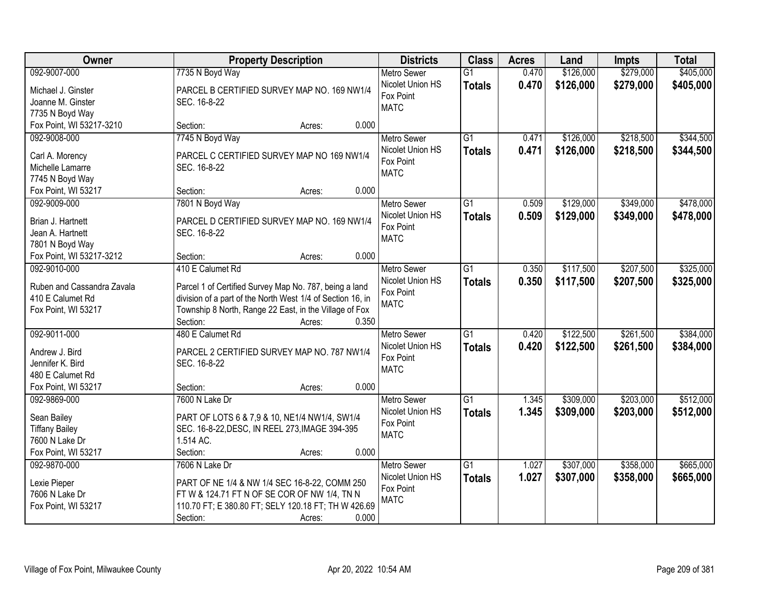| Owner                      | <b>Property Description</b>                                | <b>Districts</b>   | <b>Class</b>    | <b>Acres</b> | Land      | <b>Impts</b> | <b>Total</b> |
|----------------------------|------------------------------------------------------------|--------------------|-----------------|--------------|-----------|--------------|--------------|
| 092-9007-000               | 7735 N Boyd Way                                            | <b>Metro Sewer</b> | $\overline{G1}$ | 0.470        | \$126,000 | \$279,000    | \$405,000    |
| Michael J. Ginster         | PARCEL B CERTIFIED SURVEY MAP NO. 169 NW1/4                | Nicolet Union HS   | <b>Totals</b>   | 0.470        | \$126,000 | \$279,000    | \$405,000    |
| Joanne M. Ginster          | SEC. 16-8-22                                               | Fox Point          |                 |              |           |              |              |
| 7735 N Boyd Way            |                                                            | <b>MATC</b>        |                 |              |           |              |              |
| Fox Point, WI 53217-3210   | 0.000<br>Section:<br>Acres:                                |                    |                 |              |           |              |              |
| 092-9008-000               | 7745 N Boyd Way                                            | <b>Metro Sewer</b> | $\overline{G1}$ | 0.471        | \$126,000 | \$218,500    | \$344,500    |
|                            |                                                            | Nicolet Union HS   | <b>Totals</b>   | 0.471        | \$126,000 | \$218,500    | \$344,500    |
| Carl A. Morency            | PARCEL C CERTIFIED SURVEY MAP NO 169 NW1/4                 | Fox Point          |                 |              |           |              |              |
| Michelle Lamarre           | SEC. 16-8-22                                               | <b>MATC</b>        |                 |              |           |              |              |
| 7745 N Boyd Way            |                                                            |                    |                 |              |           |              |              |
| Fox Point, WI 53217        | 0.000<br>Section:<br>Acres:                                |                    |                 |              |           |              |              |
| 092-9009-000               | 7801 N Boyd Way                                            | <b>Metro Sewer</b> | $\overline{G1}$ | 0.509        | \$129,000 | \$349,000    | \$478,000    |
| Brian J. Hartnett          | PARCEL D CERTIFIED SURVEY MAP NO. 169 NW1/4                | Nicolet Union HS   | <b>Totals</b>   | 0.509        | \$129,000 | \$349,000    | \$478,000    |
| Jean A. Hartnett           | SEC. 16-8-22                                               | Fox Point          |                 |              |           |              |              |
| 7801 N Boyd Way            |                                                            | <b>MATC</b>        |                 |              |           |              |              |
| Fox Point, WI 53217-3212   | 0.000<br>Section:<br>Acres:                                |                    |                 |              |           |              |              |
| 092-9010-000               | 410 E Calumet Rd                                           | <b>Metro Sewer</b> | $\overline{G1}$ | 0.350        | \$117,500 | \$207,500    | \$325,000    |
|                            |                                                            | Nicolet Union HS   | <b>Totals</b>   | 0.350        | \$117,500 | \$207,500    | \$325,000    |
| Ruben and Cassandra Zavala | Parcel 1 of Certified Survey Map No. 787, being a land     | Fox Point          |                 |              |           |              |              |
| 410 E Calumet Rd           | division of a part of the North West 1/4 of Section 16, in | <b>MATC</b>        |                 |              |           |              |              |
| Fox Point, WI 53217        | Township 8 North, Range 22 East, in the Village of Fox     |                    |                 |              |           |              |              |
|                            | 0.350<br>Section:<br>Acres:                                |                    |                 |              |           |              |              |
| 092-9011-000               | 480 E Calumet Rd                                           | Metro Sewer        | $\overline{G1}$ | 0.420        | \$122,500 | \$261,500    | \$384,000    |
|                            |                                                            | Nicolet Union HS   | <b>Totals</b>   | 0.420        | \$122,500 | \$261,500    | \$384,000    |
| Andrew J. Bird             | PARCEL 2 CERTIFIED SURVEY MAP NO. 787 NW1/4                | Fox Point          |                 |              |           |              |              |
| Jennifer K. Bird           | SEC. 16-8-22                                               | <b>MATC</b>        |                 |              |           |              |              |
| 480 E Calumet Rd           |                                                            |                    |                 |              |           |              |              |
| Fox Point, WI 53217        | Section:<br>0.000<br>Acres:                                |                    |                 |              |           |              |              |
| 092-9869-000               | 7600 N Lake Dr                                             | Metro Sewer        | $\overline{G1}$ | 1.345        | \$309,000 | \$203,000    | \$512,000    |
| Sean Bailey                | PART OF LOTS 6 & 7,9 & 10, NE1/4 NW1/4, SW1/4              | Nicolet Union HS   | <b>Totals</b>   | 1.345        | \$309,000 | \$203,000    | \$512,000    |
| <b>Tiffany Bailey</b>      | SEC. 16-8-22, DESC, IN REEL 273, IMAGE 394-395             | Fox Point          |                 |              |           |              |              |
| 7600 N Lake Dr             | 1.514 AC.                                                  | <b>MATC</b>        |                 |              |           |              |              |
| Fox Point, WI 53217        | 0.000<br>Section:<br>Acres:                                |                    |                 |              |           |              |              |
| 092-9870-000               | 7606 N Lake Dr                                             | <b>Metro Sewer</b> | $\overline{G1}$ | 1.027        | \$307,000 | \$358,000    | \$665,000    |
|                            |                                                            | Nicolet Union HS   | <b>Totals</b>   | 1.027        | \$307,000 | \$358,000    | \$665,000    |
| Lexie Pieper               | PART OF NE 1/4 & NW 1/4 SEC 16-8-22, COMM 250              | Fox Point          |                 |              |           |              |              |
| 7606 N Lake Dr             | FT W & 124.71 FT N OF SE COR OF NW 1/4, TN N               | <b>MATC</b>        |                 |              |           |              |              |
| Fox Point, WI 53217        | 110.70 FT; E 380.80 FT; SELY 120.18 FT; TH W 426.69        |                    |                 |              |           |              |              |
|                            | Section:<br>0.000<br>Acres:                                |                    |                 |              |           |              |              |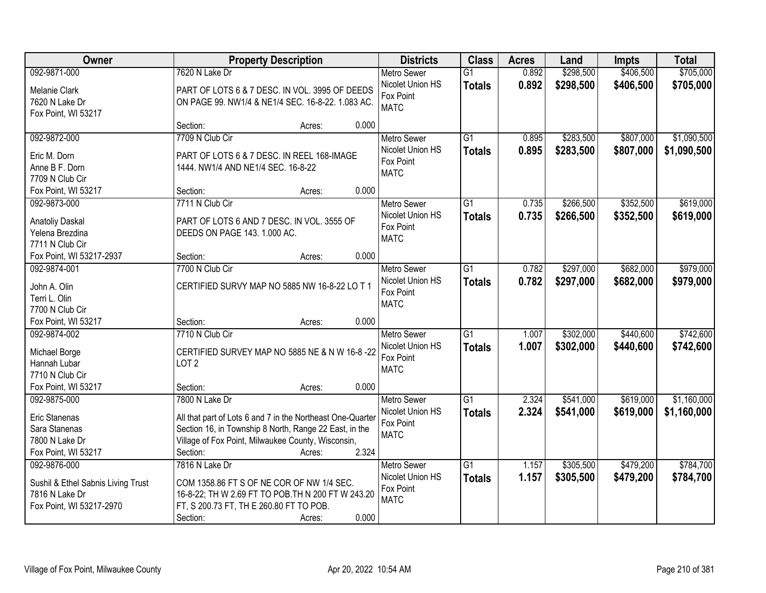| Owner                              |                                                                  | <b>Property Description</b> |       | <b>Districts</b>                       | <b>Class</b>                     | <b>Acres</b>   | Land                   | <b>Impts</b>           | <b>Total</b>           |
|------------------------------------|------------------------------------------------------------------|-----------------------------|-------|----------------------------------------|----------------------------------|----------------|------------------------|------------------------|------------------------|
| 092-9871-000<br>Melanie Clark      | 7620 N Lake Dr<br>PART OF LOTS 6 & 7 DESC. IN VOL. 3995 OF DEEDS |                             |       | <b>Metro Sewer</b><br>Nicolet Union HS | $\overline{G1}$<br><b>Totals</b> | 0.892<br>0.892 | \$298,500<br>\$298,500 | \$406,500<br>\$406,500 | \$705,000<br>\$705,000 |
| 7620 N Lake Dr                     | ON PAGE 99. NW1/4 & NE1/4 SEC. 16-8-22. 1.083 AC.                |                             |       | Fox Point                              |                                  |                |                        |                        |                        |
| Fox Point, WI 53217                |                                                                  |                             |       | <b>MATC</b>                            |                                  |                |                        |                        |                        |
|                                    | Section:                                                         | Acres:                      | 0.000 |                                        |                                  |                |                        |                        |                        |
| 092-9872-000                       | 7709 N Club Cir                                                  |                             |       | <b>Metro Sewer</b>                     | $\overline{G1}$                  | 0.895          | \$283,500              | \$807,000              | \$1,090,500            |
| Eric M. Dorn                       | PART OF LOTS 6 & 7 DESC. IN REEL 168-IMAGE                       |                             |       | Nicolet Union HS                       | <b>Totals</b>                    | 0.895          | \$283,500              | \$807,000              | \$1,090,500            |
| Anne B F. Dorn                     | 1444. NW1/4 AND NE1/4 SEC. 16-8-22                               |                             |       | Fox Point<br><b>MATC</b>               |                                  |                |                        |                        |                        |
| 7709 N Club Cir                    |                                                                  |                             |       |                                        |                                  |                |                        |                        |                        |
| Fox Point, WI 53217                | Section:                                                         | Acres:                      | 0.000 |                                        |                                  |                |                        |                        |                        |
| 092-9873-000                       | 7711 N Club Cir                                                  |                             |       | <b>Metro Sewer</b>                     | $\overline{G1}$                  | 0.735          | \$266,500              | \$352,500              | \$619,000              |
| <b>Anatoliy Daskal</b>             | PART OF LOTS 6 AND 7 DESC. IN VOL. 3555 OF                       |                             |       | Nicolet Union HS                       | <b>Totals</b>                    | 0.735          | \$266,500              | \$352,500              | \$619,000              |
| Yelena Brezdina                    | DEEDS ON PAGE 143. 1.000 AC.                                     |                             |       | Fox Point<br><b>MATC</b>               |                                  |                |                        |                        |                        |
| 7711 N Club Cir                    |                                                                  |                             |       |                                        |                                  |                |                        |                        |                        |
| Fox Point, WI 53217-2937           | Section:                                                         | Acres:                      | 0.000 |                                        |                                  |                |                        |                        |                        |
| 092-9874-001                       | 7700 N Club Cir                                                  |                             |       | <b>Metro Sewer</b>                     | G1                               | 0.782          | \$297,000              | \$682,000              | \$979,000              |
| John A. Olin                       | CERTIFIED SURVY MAP NO 5885 NW 16-8-22 LO T 1                    |                             |       | Nicolet Union HS                       | <b>Totals</b>                    | 0.782          | \$297,000              | \$682,000              | \$979,000              |
| Terri L. Olin                      |                                                                  |                             |       | Fox Point<br><b>MATC</b>               |                                  |                |                        |                        |                        |
| 7700 N Club Cir                    |                                                                  |                             |       |                                        |                                  |                |                        |                        |                        |
| Fox Point, WI 53217                | Section:                                                         | Acres:                      | 0.000 |                                        |                                  |                |                        |                        |                        |
| 092-9874-002                       | 7710 N Club Cir                                                  |                             |       | <b>Metro Sewer</b>                     | $\overline{G1}$                  | 1.007          | \$302,000              | \$440,600              | \$742,600              |
| Michael Borge                      | CERTIFIED SURVEY MAP NO 5885 NE & N W 16-8-22                    |                             |       | Nicolet Union HS                       | <b>Totals</b>                    | 1.007          | \$302,000              | \$440,600              | \$742,600              |
| Hannah Lubar                       | LOT <sub>2</sub>                                                 |                             |       | Fox Point<br><b>MATC</b>               |                                  |                |                        |                        |                        |
| 7710 N Club Cir                    |                                                                  |                             |       |                                        |                                  |                |                        |                        |                        |
| Fox Point, WI 53217                | Section:                                                         | Acres:                      | 0.000 |                                        |                                  |                |                        |                        |                        |
| 092-9875-000                       | 7800 N Lake Dr                                                   |                             |       | <b>Metro Sewer</b>                     | $\overline{G1}$                  | 2.324          | \$541,000              | \$619,000              | \$1,160,000            |
| Eric Stanenas                      | All that part of Lots 6 and 7 in the Northeast One-Quarter       |                             |       | Nicolet Union HS                       | <b>Totals</b>                    | 2.324          | \$541,000              | \$619,000              | \$1,160,000            |
| Sara Stanenas                      | Section 16, in Township 8 North, Range 22 East, in the           |                             |       | Fox Point<br><b>MATC</b>               |                                  |                |                        |                        |                        |
| 7800 N Lake Dr                     | Village of Fox Point, Milwaukee County, Wisconsin,               |                             |       |                                        |                                  |                |                        |                        |                        |
| Fox Point, WI 53217                | Section:                                                         | Acres:                      | 2.324 |                                        |                                  |                |                        |                        |                        |
| 092-9876-000                       | 7816 N Lake Dr                                                   |                             |       | <b>Metro Sewer</b>                     | $\overline{G1}$                  | 1.157          | \$305,500              | \$479,200              | \$784,700              |
| Sushil & Ethel Sabnis Living Trust | COM 1358.86 FT S OF NE COR OF NW 1/4 SEC.                        |                             |       | Nicolet Union HS                       | <b>Totals</b>                    | 1.157          | \$305,500              | \$479,200              | \$784,700              |
| 7816 N Lake Dr                     | 16-8-22; TH W 2.69 FT TO POB.TH N 200 FT W 243.20                |                             |       | Fox Point                              |                                  |                |                        |                        |                        |
| Fox Point, WI 53217-2970           | FT, S 200.73 FT, TH E 260.80 FT TO POB.                          |                             |       | <b>MATC</b>                            |                                  |                |                        |                        |                        |
|                                    | Section:                                                         | Acres:                      | 0.000 |                                        |                                  |                |                        |                        |                        |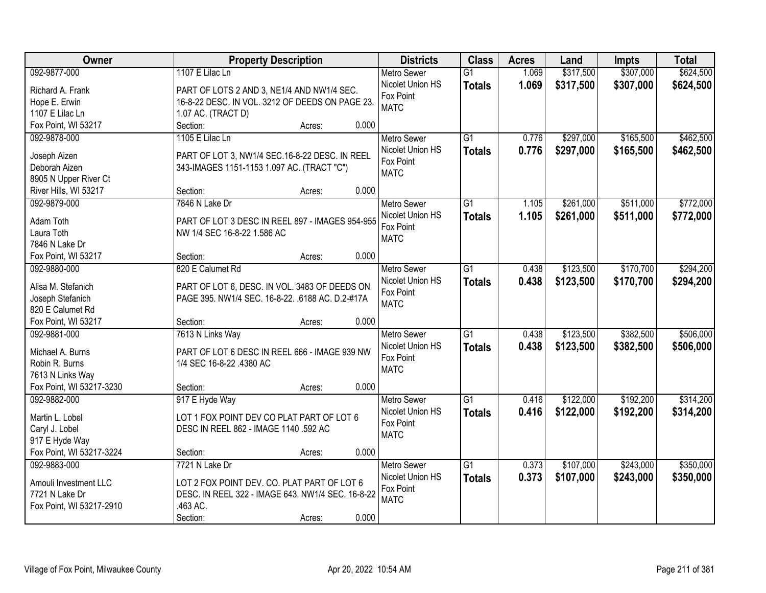| Owner                    | <b>Property Description</b>                       | <b>Districts</b>   | <b>Class</b>    | <b>Acres</b> | Land      | <b>Impts</b> | <b>Total</b> |
|--------------------------|---------------------------------------------------|--------------------|-----------------|--------------|-----------|--------------|--------------|
| 092-9877-000             | 1107 E Lilac Ln                                   | <b>Metro Sewer</b> | $\overline{G1}$ | 1.069        | \$317,500 | \$307,000    | \$624,500    |
| Richard A. Frank         | PART OF LOTS 2 AND 3, NE1/4 AND NW1/4 SEC.        | Nicolet Union HS   | <b>Totals</b>   | 1.069        | \$317,500 | \$307,000    | \$624,500    |
| Hope E. Erwin            | 16-8-22 DESC. IN VOL. 3212 OF DEEDS ON PAGE 23.   | Fox Point          |                 |              |           |              |              |
| 1107 E Lilac Ln          | 1.07 AC. (TRACT D)                                | <b>MATC</b>        |                 |              |           |              |              |
| Fox Point, WI 53217      | Section:<br>0.000<br>Acres:                       |                    |                 |              |           |              |              |
| 092-9878-000             | 1105 E Lilac Ln                                   | <b>Metro Sewer</b> | $\overline{G1}$ | 0.776        | \$297,000 | \$165,500    | \$462,500    |
|                          |                                                   | Nicolet Union HS   | <b>Totals</b>   | 0.776        | \$297,000 | \$165,500    | \$462,500    |
| Joseph Aizen             | PART OF LOT 3, NW1/4 SEC.16-8-22 DESC. IN REEL    | Fox Point          |                 |              |           |              |              |
| Deborah Aizen            | 343-IMAGES 1151-1153 1.097 AC. (TRACT "C")        | <b>MATC</b>        |                 |              |           |              |              |
| 8905 N Upper River Ct    |                                                   |                    |                 |              |           |              |              |
| River Hills, WI 53217    | 0.000<br>Section:<br>Acres:                       |                    |                 |              |           |              |              |
| 092-9879-000             | 7846 N Lake Dr                                    | Metro Sewer        | $\overline{G1}$ | 1.105        | \$261,000 | \$511,000    | \$772,000    |
| Adam Toth                | PART OF LOT 3 DESC IN REEL 897 - IMAGES 954-955   | Nicolet Union HS   | <b>Totals</b>   | 1.105        | \$261,000 | \$511,000    | \$772,000    |
| Laura Toth               | NW 1/4 SEC 16-8-22 1.586 AC                       | Fox Point          |                 |              |           |              |              |
| 7846 N Lake Dr           |                                                   | <b>MATC</b>        |                 |              |           |              |              |
| Fox Point, WI 53217      | 0.000<br>Section:<br>Acres:                       |                    |                 |              |           |              |              |
| 092-9880-000             | 820 E Calumet Rd                                  | <b>Metro Sewer</b> | $\overline{G1}$ | 0.438        | \$123,500 | \$170,700    | \$294,200    |
|                          |                                                   | Nicolet Union HS   |                 | 0.438        |           |              |              |
| Alisa M. Stefanich       | PART OF LOT 6, DESC. IN VOL. 3483 OF DEEDS ON     | Fox Point          | <b>Totals</b>   |              | \$123,500 | \$170,700    | \$294,200    |
| Joseph Stefanich         | PAGE 395. NW1/4 SEC. 16-8-22. .6188 AC. D.2-#17A  | <b>MATC</b>        |                 |              |           |              |              |
| 820 E Calumet Rd         |                                                   |                    |                 |              |           |              |              |
| Fox Point, WI 53217      | 0.000<br>Section:<br>Acres:                       |                    |                 |              |           |              |              |
| 092-9881-000             | 7613 N Links Way                                  | <b>Metro Sewer</b> | $\overline{G1}$ | 0.438        | \$123,500 | \$382,500    | \$506,000    |
|                          | PART OF LOT 6 DESC IN REEL 666 - IMAGE 939 NW     | Nicolet Union HS   | <b>Totals</b>   | 0.438        | \$123,500 | \$382,500    | \$506,000    |
| Michael A. Burns         |                                                   | Fox Point          |                 |              |           |              |              |
| Robin R. Burns           | 1/4 SEC 16-8-22 .4380 AC                          | <b>MATC</b>        |                 |              |           |              |              |
| 7613 N Links Way         | 0.000                                             |                    |                 |              |           |              |              |
| Fox Point, WI 53217-3230 | Section:<br>Acres:                                |                    |                 |              |           |              |              |
| 092-9882-000             | 917 E Hyde Way                                    | <b>Metro Sewer</b> | $\overline{G1}$ | 0.416        | \$122,000 | \$192,200    | \$314,200    |
| Martin L. Lobel          | LOT 1 FOX POINT DEV CO PLAT PART OF LOT 6         | Nicolet Union HS   | <b>Totals</b>   | 0.416        | \$122,000 | \$192,200    | \$314,200    |
| Caryl J. Lobel           | DESC IN REEL 862 - IMAGE 1140 .592 AC             | Fox Point          |                 |              |           |              |              |
| 917 E Hyde Way           |                                                   | <b>MATC</b>        |                 |              |           |              |              |
| Fox Point, WI 53217-3224 | 0.000<br>Section:<br>Acres:                       |                    |                 |              |           |              |              |
| 092-9883-000             | 7721 N Lake Dr                                    | Metro Sewer        | $\overline{G1}$ | 0.373        | \$107,000 | \$243,000    | \$350,000    |
|                          |                                                   | Nicolet Union HS   | <b>Totals</b>   | 0.373        | \$107,000 | \$243,000    | \$350,000    |
| Amouli Investment LLC    | LOT 2 FOX POINT DEV. CO. PLAT PART OF LOT 6       | Fox Point          |                 |              |           |              |              |
| 7721 N Lake Dr           | DESC. IN REEL 322 - IMAGE 643. NW1/4 SEC. 16-8-22 | <b>MATC</b>        |                 |              |           |              |              |
| Fox Point, WI 53217-2910 | .463 AC.                                          |                    |                 |              |           |              |              |
|                          | 0.000<br>Section:<br>Acres:                       |                    |                 |              |           |              |              |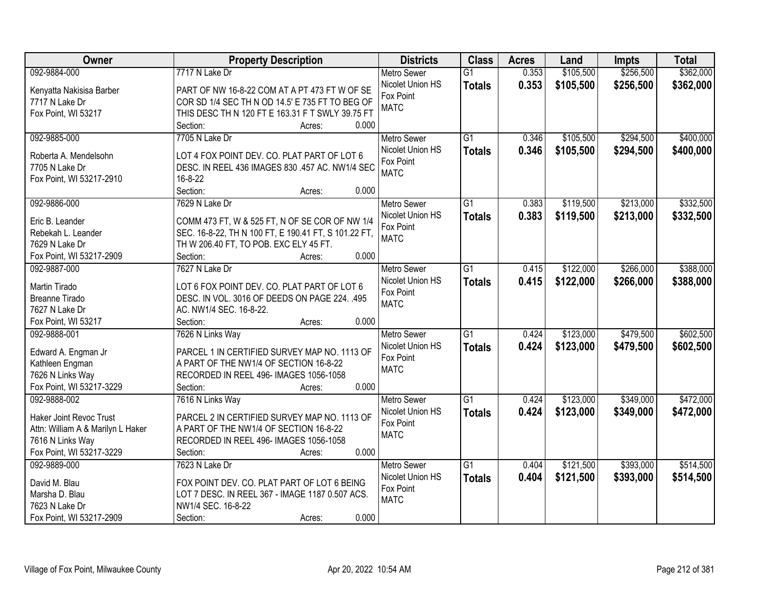| Owner                             | <b>Property Description</b>                          | <b>Districts</b>         | <b>Class</b>    | <b>Acres</b> | Land      | <b>Impts</b> | <b>Total</b> |
|-----------------------------------|------------------------------------------------------|--------------------------|-----------------|--------------|-----------|--------------|--------------|
| 092-9884-000                      | 7717 N Lake Dr                                       | <b>Metro Sewer</b>       | $\overline{G1}$ | 0.353        | \$105,500 | \$256,500    | \$362,000    |
| Kenyatta Nakisisa Barber          | PART OF NW 16-8-22 COM AT A PT 473 FT W OF SE        | Nicolet Union HS         | <b>Totals</b>   | 0.353        | \$105,500 | \$256,500    | \$362,000    |
| 7717 N Lake Dr                    | COR SD 1/4 SEC TH N OD 14.5' E 735 FT TO BEG OF      | Fox Point                |                 |              |           |              |              |
| Fox Point, WI 53217               | THIS DESC TH N 120 FT E 163.31 F T SWLY 39.75 FT     | <b>MATC</b>              |                 |              |           |              |              |
|                                   | 0.000<br>Section:<br>Acres:                          |                          |                 |              |           |              |              |
| 092-9885-000                      | 7705 N Lake Dr                                       | <b>Metro Sewer</b>       | $\overline{G1}$ | 0.346        | \$105,500 | \$294,500    | \$400,000    |
|                                   |                                                      | Nicolet Union HS         | <b>Totals</b>   | 0.346        | \$105,500 | \$294,500    | \$400,000    |
| Roberta A. Mendelsohn             | LOT 4 FOX POINT DEV. CO. PLAT PART OF LOT 6          | Fox Point                |                 |              |           |              |              |
| 7705 N Lake Dr                    | DESC. IN REEL 436 IMAGES 830 .457 AC. NW1/4 SEC      | <b>MATC</b>              |                 |              |           |              |              |
| Fox Point, WI 53217-2910          | 16-8-22                                              |                          |                 |              |           |              |              |
|                                   | 0.000<br>Section:<br>Acres:                          |                          |                 |              |           |              |              |
| 092-9886-000                      | 7629 N Lake Dr                                       | <b>Metro Sewer</b>       | G1              | 0.383        | \$119,500 | \$213,000    | \$332,500    |
| Eric B. Leander                   | COMM 473 FT, W & 525 FT, N OF SE COR OF NW 1/4       | Nicolet Union HS         | <b>Totals</b>   | 0.383        | \$119,500 | \$213,000    | \$332,500    |
| Rebekah L. Leander                | SEC. 16-8-22, TH N 100 FT, E 190.41 FT, S 101.22 FT, | Fox Point                |                 |              |           |              |              |
| 7629 N Lake Dr                    | TH W 206.40 FT, TO POB. EXC ELY 45 FT.               | <b>MATC</b>              |                 |              |           |              |              |
| Fox Point, WI 53217-2909          | 0.000<br>Section:<br>Acres:                          |                          |                 |              |           |              |              |
| 092-9887-000                      | 7627 N Lake Dr                                       | <b>Metro Sewer</b>       | $\overline{G1}$ | 0.415        | \$122,000 | \$266,000    | \$388,000    |
|                                   |                                                      | Nicolet Union HS         | <b>Totals</b>   | 0.415        | \$122,000 | \$266,000    | \$388,000    |
| Martin Tirado                     | LOT 6 FOX POINT DEV. CO. PLAT PART OF LOT 6          | Fox Point                |                 |              |           |              |              |
| <b>Breanne Tirado</b>             | DESC. IN VOL. 3016 OF DEEDS ON PAGE 224. .495        | <b>MATC</b>              |                 |              |           |              |              |
| 7627 N Lake Dr                    | AC. NW1/4 SEC. 16-8-22.                              |                          |                 |              |           |              |              |
| Fox Point, WI 53217               | Section:<br>0.000<br>Acres:                          |                          | $\overline{G1}$ |              |           |              |              |
| 092-9888-001                      | 7626 N Links Way                                     | <b>Metro Sewer</b>       |                 | 0.424        | \$123,000 | \$479,500    | \$602,500    |
| Edward A. Engman Jr               | PARCEL 1 IN CERTIFIED SURVEY MAP NO. 1113 OF         | Nicolet Union HS         | <b>Totals</b>   | 0.424        | \$123,000 | \$479,500    | \$602,500    |
| Kathleen Engman                   | A PART OF THE NW1/4 OF SECTION 16-8-22               | Fox Point<br><b>MATC</b> |                 |              |           |              |              |
| 7626 N Links Way                  | RECORDED IN REEL 496- IMAGES 1056-1058               |                          |                 |              |           |              |              |
| Fox Point, WI 53217-3229          | 0.000<br>Section:<br>Acres:                          |                          |                 |              |           |              |              |
| 092-9888-002                      | 7616 N Links Way                                     | <b>Metro Sewer</b>       | $\overline{G1}$ | 0.424        | \$123,000 | \$349,000    | \$472,000    |
| <b>Haker Joint Revoc Trust</b>    | PARCEL 2 IN CERTIFIED SURVEY MAP NO. 1113 OF         | Nicolet Union HS         | <b>Totals</b>   | 0.424        | \$123,000 | \$349,000    | \$472,000    |
| Attn: William A & Marilyn L Haker | A PART OF THE NW1/4 OF SECTION 16-8-22               | Fox Point                |                 |              |           |              |              |
| 7616 N Links Way                  | RECORDED IN REEL 496- IMAGES 1056-1058               | <b>MATC</b>              |                 |              |           |              |              |
| Fox Point, WI 53217-3229          | 0.000<br>Section:<br>Acres:                          |                          |                 |              |           |              |              |
| 092-9889-000                      | 7623 N Lake Dr                                       | <b>Metro Sewer</b>       | $\overline{G1}$ | 0.404        | \$121,500 | \$393,000    | \$514,500    |
|                                   |                                                      | Nicolet Union HS         | <b>Totals</b>   | 0.404        | \$121,500 | \$393,000    | \$514,500    |
| David M. Blau                     | FOX POINT DEV. CO. PLAT PART OF LOT 6 BEING          | Fox Point                |                 |              |           |              |              |
| Marsha D. Blau                    | LOT 7 DESC. IN REEL 367 - IMAGE 1187 0.507 ACS.      | <b>MATC</b>              |                 |              |           |              |              |
| 7623 N Lake Dr                    | NW1/4 SEC. 16-8-22                                   |                          |                 |              |           |              |              |
| Fox Point, WI 53217-2909          | 0.000<br>Section:<br>Acres:                          |                          |                 |              |           |              |              |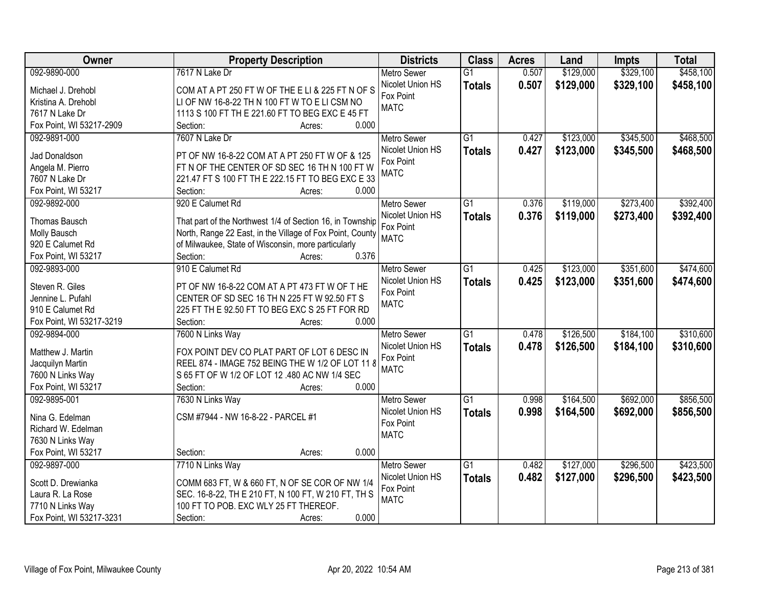| Owner                    | <b>Property Description</b>                               | <b>Districts</b>   | <b>Class</b>    | <b>Acres</b> | Land      | <b>Impts</b> | <b>Total</b> |
|--------------------------|-----------------------------------------------------------|--------------------|-----------------|--------------|-----------|--------------|--------------|
| 092-9890-000             | 7617 N Lake Dr                                            | <b>Metro Sewer</b> | $\overline{G1}$ | 0.507        | \$129,000 | \$329,100    | \$458,100    |
| Michael J. Drehobl       | COM AT A PT 250 FT W OF THE E LI & 225 FT N OF S          | Nicolet Union HS   | <b>Totals</b>   | 0.507        | \$129,000 | \$329,100    | \$458,100    |
| Kristina A. Drehobl      | LI OF NW 16-8-22 TH N 100 FT W TO E LI CSM NO             | Fox Point          |                 |              |           |              |              |
| 7617 N Lake Dr           | 1113 S 100 FT TH E 221.60 FT TO BEG EXC E 45 FT           | <b>MATC</b>        |                 |              |           |              |              |
| Fox Point, WI 53217-2909 | 0.000<br>Section:<br>Acres:                               |                    |                 |              |           |              |              |
| 092-9891-000             | 7607 N Lake Dr                                            | <b>Metro Sewer</b> | $\overline{G1}$ | 0.427        | \$123,000 | \$345,500    | \$468,500    |
|                          |                                                           | Nicolet Union HS   | <b>Totals</b>   | 0.427        | \$123,000 | \$345,500    | \$468,500    |
| Jad Donaldson            | PT OF NW 16-8-22 COM AT A PT 250 FT W OF & 125            | Fox Point          |                 |              |           |              |              |
| Angela M. Pierro         | FT N OF THE CENTER OF SD SEC 16 TH N 100 FT W             | <b>MATC</b>        |                 |              |           |              |              |
| 7607 N Lake Dr           | 221.47 FT S 100 FT TH E 222.15 FT TO BEG EXC E 33         |                    |                 |              |           |              |              |
| Fox Point, WI 53217      | Section:<br>0.000<br>Acres:                               |                    |                 |              |           |              |              |
| 092-9892-000             | 920 E Calumet Rd                                          | <b>Metro Sewer</b> | G1              | 0.376        | \$119,000 | \$273,400    | \$392,400    |
| Thomas Bausch            | That part of the Northwest 1/4 of Section 16, in Township | Nicolet Union HS   | <b>Totals</b>   | 0.376        | \$119,000 | \$273,400    | \$392,400    |
| Molly Bausch             | North, Range 22 East, in the Village of Fox Point, County | Fox Point          |                 |              |           |              |              |
| 920 E Calumet Rd         | of Milwaukee, State of Wisconsin, more particularly       | <b>MATC</b>        |                 |              |           |              |              |
| Fox Point, WI 53217      | 0.376<br>Section:<br>Acres:                               |                    |                 |              |           |              |              |
| 092-9893-000             | 910 E Calumet Rd                                          | <b>Metro Sewer</b> | G1              | 0.425        | \$123,000 | \$351,600    | \$474,600    |
|                          |                                                           | Nicolet Union HS   | <b>Totals</b>   | 0.425        | \$123,000 | \$351,600    | \$474,600    |
| Steven R. Giles          | PT OF NW 16-8-22 COM AT A PT 473 FT W OF THE              | Fox Point          |                 |              |           |              |              |
| Jennine L. Pufahl        | CENTER OF SD SEC 16 TH N 225 FT W 92.50 FT S              | <b>MATC</b>        |                 |              |           |              |              |
| 910 E Calumet Rd         | 225 FT TH E 92.50 FT TO BEG EXC S 25 FT FOR RD            |                    |                 |              |           |              |              |
| Fox Point, WI 53217-3219 | Section:<br>0.000<br>Acres:                               |                    |                 |              |           |              |              |
| 092-9894-000             | 7600 N Links Way                                          | <b>Metro Sewer</b> | $\overline{G1}$ | 0.478        | \$126,500 | \$184,100    | \$310,600    |
| Matthew J. Martin        | FOX POINT DEV CO PLAT PART OF LOT 6 DESC IN               | Nicolet Union HS   | <b>Totals</b>   | 0.478        | \$126,500 | \$184,100    | \$310,600    |
| Jacquilyn Martin         | REEL 874 - IMAGE 752 BEING THE W 1/2 OF LOT 11 8          | Fox Point          |                 |              |           |              |              |
| 7600 N Links Way         | S 65 FT OF W 1/2 OF LOT 12 .480 AC NW 1/4 SEC             | <b>MATC</b>        |                 |              |           |              |              |
| Fox Point, WI 53217      | 0.000<br>Section:<br>Acres:                               |                    |                 |              |           |              |              |
| 092-9895-001             | 7630 N Links Way                                          | Metro Sewer        | $\overline{G1}$ | 0.998        | \$164,500 | \$692,000    | \$856,500    |
|                          |                                                           | Nicolet Union HS   | <b>Totals</b>   | 0.998        | \$164,500 | \$692,000    | \$856,500    |
| Nina G. Edelman          | CSM #7944 - NW 16-8-22 - PARCEL #1                        | Fox Point          |                 |              |           |              |              |
| Richard W. Edelman       |                                                           | <b>MATC</b>        |                 |              |           |              |              |
| 7630 N Links Way         |                                                           |                    |                 |              |           |              |              |
| Fox Point, WI 53217      | 0.000<br>Section:<br>Acres:                               |                    |                 |              |           |              |              |
| 092-9897-000             | 7710 N Links Way                                          | <b>Metro Sewer</b> | $\overline{G1}$ | 0.482        | \$127,000 | \$296,500    | \$423,500    |
| Scott D. Drewianka       | COMM 683 FT, W & 660 FT, N OF SE COR OF NW 1/4            | Nicolet Union HS   | <b>Totals</b>   | 0.482        | \$127,000 | \$296,500    | \$423,500    |
| Laura R. La Rose         | SEC. 16-8-22, TH E 210 FT, N 100 FT, W 210 FT, TH S       | Fox Point          |                 |              |           |              |              |
| 7710 N Links Way         | 100 FT TO POB. EXC WLY 25 FT THEREOF.                     | <b>MATC</b>        |                 |              |           |              |              |
| Fox Point, WI 53217-3231 | 0.000<br>Section:<br>Acres:                               |                    |                 |              |           |              |              |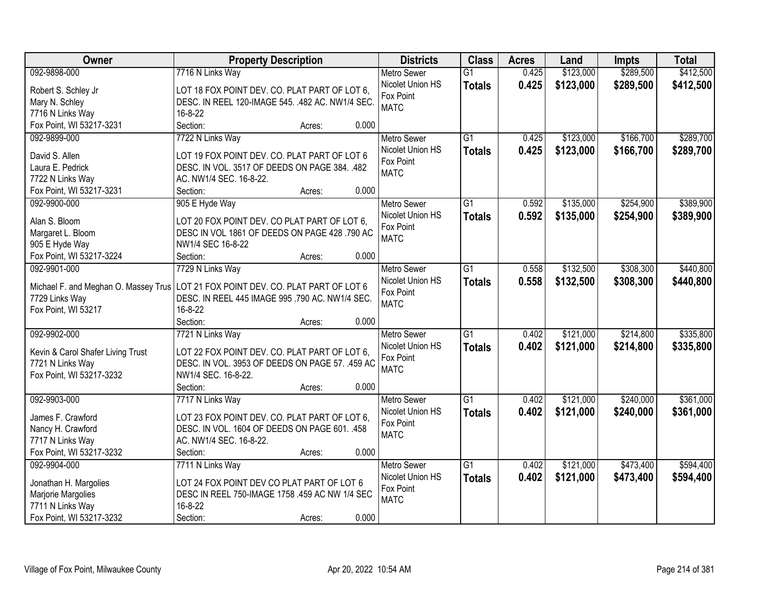| <b>Owner</b>                                | <b>Property Description</b>                      | <b>Districts</b>   | <b>Class</b>    | <b>Acres</b> | Land      | <b>Impts</b> | <b>Total</b> |
|---------------------------------------------|--------------------------------------------------|--------------------|-----------------|--------------|-----------|--------------|--------------|
| 092-9898-000                                | 7716 N Links Way                                 | <b>Metro Sewer</b> | $\overline{G1}$ | 0.425        | \$123,000 | \$289,500    | \$412,500    |
| Robert S. Schley Jr                         | LOT 18 FOX POINT DEV. CO. PLAT PART OF LOT 6,    | Nicolet Union HS   | <b>Totals</b>   | 0.425        | \$123,000 | \$289,500    | \$412,500    |
| Mary N. Schley                              | DESC. IN REEL 120-IMAGE 545. .482 AC. NW1/4 SEC. | Fox Point          |                 |              |           |              |              |
| 7716 N Links Way                            | 16-8-22                                          | <b>MATC</b>        |                 |              |           |              |              |
| Fox Point, WI 53217-3231                    | Section:<br>0.000<br>Acres:                      |                    |                 |              |           |              |              |
| 092-9899-000                                | 7722 N Links Way                                 | <b>Metro Sewer</b> | $\overline{G1}$ | 0.425        | \$123,000 | \$166,700    | \$289,700    |
|                                             |                                                  | Nicolet Union HS   | <b>Totals</b>   | 0.425        | \$123,000 | \$166,700    | \$289,700    |
| David S. Allen                              | LOT 19 FOX POINT DEV. CO. PLAT PART OF LOT 6     | Fox Point          |                 |              |           |              |              |
| Laura E. Pedrick                            | DESC. IN VOL. 3517 OF DEEDS ON PAGE 384. .482    | <b>MATC</b>        |                 |              |           |              |              |
| 7722 N Links Way                            | AC. NW1/4 SEC. 16-8-22.                          |                    |                 |              |           |              |              |
| Fox Point, WI 53217-3231                    | 0.000<br>Section:<br>Acres:                      |                    |                 |              |           |              |              |
| 092-9900-000                                | 905 E Hyde Way                                   | Metro Sewer        | G1              | 0.592        | \$135,000 | \$254,900    | \$389,900    |
| Alan S. Bloom                               | LOT 20 FOX POINT DEV. CO PLAT PART OF LOT 6,     | Nicolet Union HS   | <b>Totals</b>   | 0.592        | \$135,000 | \$254,900    | \$389,900    |
| Margaret L. Bloom                           | DESC IN VOL 1861 OF DEEDS ON PAGE 428 .790 AC    | Fox Point          |                 |              |           |              |              |
| 905 E Hyde Way                              | NW1/4 SEC 16-8-22                                | <b>MATC</b>        |                 |              |           |              |              |
| Fox Point, WI 53217-3224                    | 0.000<br>Section:<br>Acres:                      |                    |                 |              |           |              |              |
| 092-9901-000                                | 7729 N Links Way                                 | <b>Metro Sewer</b> | G1              | 0.558        | \$132,500 | \$308,300    | \$440,800    |
|                                             |                                                  | Nicolet Union HS   | <b>Totals</b>   | 0.558        | \$132,500 | \$308,300    | \$440,800    |
| Michael F. and Meghan O. Massey Trus        | LOT 21 FOX POINT DEV. CO. PLAT PART OF LOT 6     | Fox Point          |                 |              |           |              |              |
| 7729 Links Way                              | DESC. IN REEL 445 IMAGE 995 .790 AC. NW1/4 SEC.  | <b>MATC</b>        |                 |              |           |              |              |
| Fox Point, WI 53217                         | 16-8-22                                          |                    |                 |              |           |              |              |
|                                             | 0.000<br>Section:<br>Acres:                      |                    |                 |              |           |              |              |
| 092-9902-000                                | 7721 N Links Way                                 | <b>Metro Sewer</b> | $\overline{G1}$ | 0.402        | \$121,000 | \$214,800    | \$335,800    |
| Kevin & Carol Shafer Living Trust           | LOT 22 FOX POINT DEV. CO. PLAT PART OF LOT 6,    | Nicolet Union HS   | <b>Totals</b>   | 0.402        | \$121,000 | \$214,800    | \$335,800    |
| 7721 N Links Way                            | DESC. IN VOL. 3953 OF DEEDS ON PAGE 57. .459 AC  | Fox Point          |                 |              |           |              |              |
| Fox Point, WI 53217-3232                    | NW1/4 SEC. 16-8-22.                              | <b>MATC</b>        |                 |              |           |              |              |
|                                             | 0.000<br>Section:<br>Acres:                      |                    |                 |              |           |              |              |
| 092-9903-000                                | 7717 N Links Way                                 | Metro Sewer        | $\overline{G1}$ | 0.402        | \$121,000 | \$240,000    | \$361,000    |
|                                             |                                                  | Nicolet Union HS   |                 |              |           |              |              |
| James F. Crawford                           | LOT 23 FOX POINT DEV. CO. PLAT PART OF LOT 6,    | Fox Point          | <b>Totals</b>   | 0.402        | \$121,000 | \$240,000    | \$361,000    |
| Nancy H. Crawford                           | DESC. IN VOL. 1604 OF DEEDS ON PAGE 601. .458    | <b>MATC</b>        |                 |              |           |              |              |
| 7717 N Links Way                            | AC. NW1/4 SEC. 16-8-22.                          |                    |                 |              |           |              |              |
| Fox Point, WI 53217-3232                    | 0.000<br>Section:<br>Acres:                      |                    |                 |              |           |              |              |
| 092-9904-000                                | 7711 N Links Way                                 | <b>Metro Sewer</b> | $\overline{G1}$ | 0.402        | \$121,000 | \$473,400    | \$594,400    |
|                                             | LOT 24 FOX POINT DEV CO PLAT PART OF LOT 6       | Nicolet Union HS   | <b>Totals</b>   | 0.402        | \$121,000 | \$473,400    | \$594,400    |
| Jonathan H. Margolies<br>Marjorie Margolies | DESC IN REEL 750-IMAGE 1758 .459 AC NW 1/4 SEC   | Fox Point          |                 |              |           |              |              |
| 7711 N Links Way                            | 16-8-22                                          | <b>MATC</b>        |                 |              |           |              |              |
|                                             | 0.000                                            |                    |                 |              |           |              |              |
| Fox Point, WI 53217-3232                    | Section:<br>Acres:                               |                    |                 |              |           |              |              |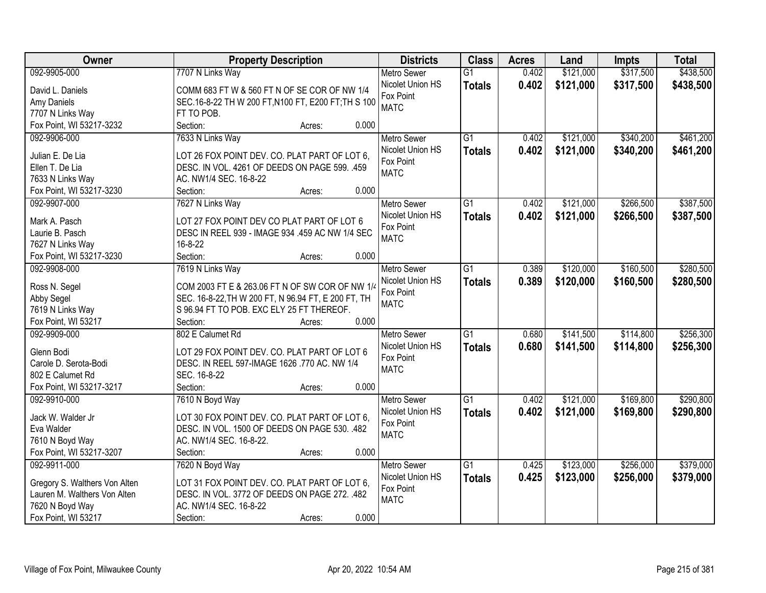| Owner                         | <b>Property Description</b>                         | <b>Districts</b>   | <b>Class</b>    | <b>Acres</b> | Land      | <b>Impts</b> | <b>Total</b> |
|-------------------------------|-----------------------------------------------------|--------------------|-----------------|--------------|-----------|--------------|--------------|
| 092-9905-000                  | 7707 N Links Way                                    | <b>Metro Sewer</b> | $\overline{G1}$ | 0.402        | \$121,000 | \$317,500    | \$438,500    |
| David L. Daniels              | COMM 683 FT W & 560 FT N OF SE COR OF NW 1/4        | Nicolet Union HS   | <b>Totals</b>   | 0.402        | \$121,000 | \$317,500    | \$438,500    |
| Amy Daniels                   | SEC.16-8-22 TH W 200 FT, N100 FT, E200 FT; TH S 100 | Fox Point          |                 |              |           |              |              |
| 7707 N Links Way              | FT TO POB.                                          | <b>MATC</b>        |                 |              |           |              |              |
| Fox Point, WI 53217-3232      | 0.000<br>Section:<br>Acres:                         |                    |                 |              |           |              |              |
| 092-9906-000                  | 7633 N Links Way                                    | <b>Metro Sewer</b> | $\overline{G1}$ | 0.402        | \$121,000 | \$340,200    | \$461,200    |
|                               |                                                     | Nicolet Union HS   | <b>Totals</b>   | 0.402        | \$121,000 | \$340,200    | \$461,200    |
| Julian E. De Lia              | LOT 26 FOX POINT DEV. CO. PLAT PART OF LOT 6,       | Fox Point          |                 |              |           |              |              |
| Ellen T. De Lia               | DESC. IN VOL. 4261 OF DEEDS ON PAGE 599. .459       | <b>MATC</b>        |                 |              |           |              |              |
| 7633 N Links Way              | AC. NW1/4 SEC. 16-8-22                              |                    |                 |              |           |              |              |
| Fox Point, WI 53217-3230      | 0.000<br>Section:<br>Acres:                         |                    |                 |              |           |              |              |
| 092-9907-000                  | 7627 N Links Way                                    | Metro Sewer        | $\overline{G1}$ | 0.402        | \$121,000 | \$266,500    | \$387,500    |
| Mark A. Pasch                 | LOT 27 FOX POINT DEV CO PLAT PART OF LOT 6          | Nicolet Union HS   | <b>Totals</b>   | 0.402        | \$121,000 | \$266,500    | \$387,500    |
| Laurie B. Pasch               | DESC IN REEL 939 - IMAGE 934 .459 AC NW 1/4 SEC     | Fox Point          |                 |              |           |              |              |
| 7627 N Links Way              | $16 - 8 - 22$                                       | <b>MATC</b>        |                 |              |           |              |              |
| Fox Point, WI 53217-3230      | Section:<br>0.000<br>Acres:                         |                    |                 |              |           |              |              |
| 092-9908-000                  | 7619 N Links Way                                    | <b>Metro Sewer</b> | $\overline{G1}$ | 0.389        | \$120,000 | \$160,500    | \$280,500    |
|                               |                                                     | Nicolet Union HS   |                 | 0.389        | \$120,000 | \$160,500    | \$280,500    |
| Ross N. Segel                 | COM 2003 FT E & 263.06 FT N OF SW COR OF NW 1/4     | Fox Point          | <b>Totals</b>   |              |           |              |              |
| Abby Segel                    | SEC. 16-8-22, TH W 200 FT, N 96.94 FT, E 200 FT, TH | <b>MATC</b>        |                 |              |           |              |              |
| 7619 N Links Way              | S 96.94 FT TO POB. EXC ELY 25 FT THEREOF.           |                    |                 |              |           |              |              |
| Fox Point, WI 53217           | 0.000<br>Section:<br>Acres:                         |                    |                 |              |           |              |              |
| 092-9909-000                  | 802 E Calumet Rd                                    | <b>Metro Sewer</b> | $\overline{G1}$ | 0.680        | \$141,500 | \$114,800    | \$256,300    |
| Glenn Bodi                    | LOT 29 FOX POINT DEV. CO. PLAT PART OF LOT 6        | Nicolet Union HS   | <b>Totals</b>   | 0.680        | \$141,500 | \$114,800    | \$256,300    |
| Carole D. Serota-Bodi         | DESC. IN REEL 597-IMAGE 1626 .770 AC. NW 1/4        | Fox Point          |                 |              |           |              |              |
| 802 E Calumet Rd              | SEC. 16-8-22                                        | <b>MATC</b>        |                 |              |           |              |              |
| Fox Point, WI 53217-3217      | Section:<br>0.000<br>Acres:                         |                    |                 |              |           |              |              |
| 092-9910-000                  | 7610 N Boyd Way                                     | <b>Metro Sewer</b> | $\overline{G1}$ | 0.402        | \$121,000 | \$169,800    | \$290,800    |
|                               |                                                     | Nicolet Union HS   |                 | 0.402        | \$121,000 | \$169,800    | \$290,800    |
| Jack W. Walder Jr             | LOT 30 FOX POINT DEV. CO. PLAT PART OF LOT 6,       | Fox Point          | <b>Totals</b>   |              |           |              |              |
| Eva Walder                    | DESC. IN VOL. 1500 OF DEEDS ON PAGE 530. .482       | <b>MATC</b>        |                 |              |           |              |              |
| 7610 N Boyd Way               | AC. NW1/4 SEC. 16-8-22.                             |                    |                 |              |           |              |              |
| Fox Point, WI 53217-3207      | 0.000<br>Section:<br>Acres:                         |                    |                 |              |           |              |              |
| 092-9911-000                  | 7620 N Boyd Way                                     | <b>Metro Sewer</b> | $\overline{G1}$ | 0.425        | \$123,000 | \$256,000    | \$379,000    |
| Gregory S. Walthers Von Alten | LOT 31 FOX POINT DEV. CO. PLAT PART OF LOT 6,       | Nicolet Union HS   | <b>Totals</b>   | 0.425        | \$123,000 | \$256,000    | \$379,000    |
| Lauren M. Walthers Von Alten  | DESC. IN VOL. 3772 OF DEEDS ON PAGE 272. .482       | Fox Point          |                 |              |           |              |              |
| 7620 N Boyd Way               | AC. NW1/4 SEC. 16-8-22                              | <b>MATC</b>        |                 |              |           |              |              |
| Fox Point, WI 53217           | 0.000<br>Section:<br>Acres:                         |                    |                 |              |           |              |              |
|                               |                                                     |                    |                 |              |           |              |              |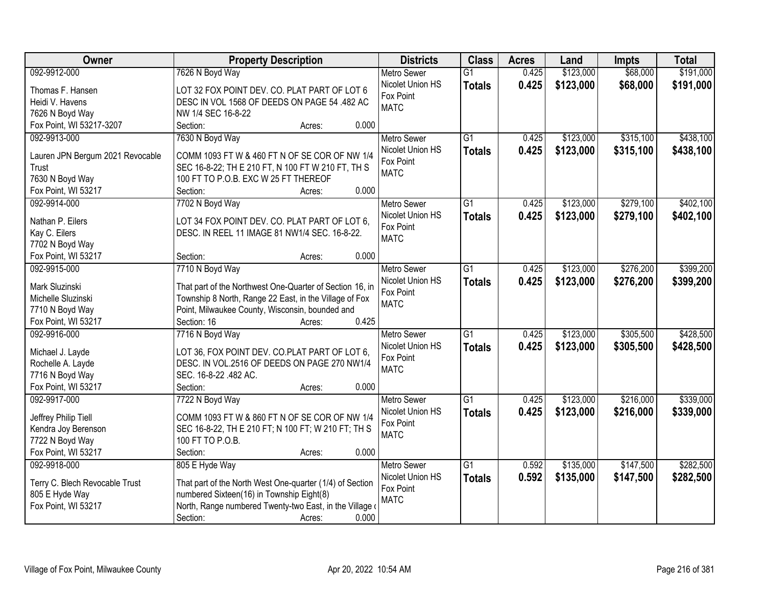| Owner                               | <b>Property Description</b>                              | <b>Districts</b>              | <b>Class</b>    | <b>Acres</b> | Land      | <b>Impts</b> | <b>Total</b> |
|-------------------------------------|----------------------------------------------------------|-------------------------------|-----------------|--------------|-----------|--------------|--------------|
| 092-9912-000                        | 7626 N Boyd Way                                          | <b>Metro Sewer</b>            | $\overline{G1}$ | 0.425        | \$123,000 | \$68,000     | \$191,000    |
| Thomas F. Hansen                    | LOT 32 FOX POINT DEV. CO. PLAT PART OF LOT 6             | Nicolet Union HS              | <b>Totals</b>   | 0.425        | \$123,000 | \$68,000     | \$191,000    |
| Heidi V. Havens                     | DESC IN VOL 1568 OF DEEDS ON PAGE 54 .482 AC             | Fox Point                     |                 |              |           |              |              |
| 7626 N Boyd Way                     | NW 1/4 SEC 16-8-22                                       | <b>MATC</b>                   |                 |              |           |              |              |
| Fox Point, WI 53217-3207            | Section:<br>0.000<br>Acres:                              |                               |                 |              |           |              |              |
| 092-9913-000                        | 7630 N Boyd Way                                          | <b>Metro Sewer</b>            | $\overline{G1}$ | 0.425        | \$123,000 | \$315,100    | \$438,100    |
|                                     |                                                          | Nicolet Union HS              | <b>Totals</b>   | 0.425        | \$123,000 | \$315,100    | \$438,100    |
| Lauren JPN Bergum 2021 Revocable    | COMM 1093 FT W & 460 FT N OF SE COR OF NW 1/4            | Fox Point                     |                 |              |           |              |              |
| Trust                               | SEC 16-8-22; TH E 210 FT, N 100 FT W 210 FT, TH S        | <b>MATC</b>                   |                 |              |           |              |              |
| 7630 N Boyd Way                     | 100 FT TO P.O.B. EXC W 25 FT THEREOF<br>0.000            |                               |                 |              |           |              |              |
| Fox Point, WI 53217<br>092-9914-000 | Section:<br>Acres:                                       |                               | $\overline{G1}$ | 0.425        |           | \$279,100    | \$402,100    |
|                                     | 7702 N Boyd Way                                          | <b>Metro Sewer</b>            |                 |              | \$123,000 |              |              |
| Nathan P. Eilers                    | LOT 34 FOX POINT DEV. CO. PLAT PART OF LOT 6.            | Nicolet Union HS<br>Fox Point | <b>Totals</b>   | 0.425        | \$123,000 | \$279,100    | \$402,100    |
| Kay C. Eilers                       | DESC. IN REEL 11 IMAGE 81 NW1/4 SEC. 16-8-22.            | <b>MATC</b>                   |                 |              |           |              |              |
| 7702 N Boyd Way                     |                                                          |                               |                 |              |           |              |              |
| Fox Point, WI 53217                 | 0.000<br>Section:<br>Acres:                              |                               |                 |              |           |              |              |
| 092-9915-000                        | 7710 N Boyd Way                                          | <b>Metro Sewer</b>            | G1              | 0.425        | \$123,000 | \$276,200    | \$399,200    |
| Mark Sluzinski                      | That part of the Northwest One-Quarter of Section 16, in | Nicolet Union HS              | <b>Totals</b>   | 0.425        | \$123,000 | \$276,200    | \$399,200    |
| Michelle Sluzinski                  | Township 8 North, Range 22 East, in the Village of Fox   | Fox Point                     |                 |              |           |              |              |
| 7710 N Boyd Way                     | Point, Milwaukee County, Wisconsin, bounded and          | <b>MATC</b>                   |                 |              |           |              |              |
| Fox Point, WI 53217                 | 0.425<br>Section: 16<br>Acres:                           |                               |                 |              |           |              |              |
| 092-9916-000                        | 7716 N Boyd Way                                          | <b>Metro Sewer</b>            | $\overline{G1}$ | 0.425        | \$123,000 | \$305,500    | \$428,500    |
|                                     |                                                          | Nicolet Union HS              | <b>Totals</b>   | 0.425        | \$123,000 | \$305,500    | \$428,500    |
| Michael J. Layde                    | LOT 36, FOX POINT DEV. CO.PLAT PART OF LOT 6,            | Fox Point                     |                 |              |           |              |              |
| Rochelle A. Layde                   | DESC. IN VOL.2516 OF DEEDS ON PAGE 270 NW1/4             | <b>MATC</b>                   |                 |              |           |              |              |
| 7716 N Boyd Way                     | SEC. 16-8-22 .482 AC.                                    |                               |                 |              |           |              |              |
| Fox Point, WI 53217                 | Section:<br>0.000<br>Acres:                              |                               |                 |              |           |              |              |
| 092-9917-000                        | 7722 N Boyd Way                                          | <b>Metro Sewer</b>            | $\overline{G1}$ | 0.425        | \$123,000 | \$216,000    | \$339,000    |
| Jeffrey Philip Tiell                | COMM 1093 FT W & 860 FT N OF SE COR OF NW 1/4            | Nicolet Union HS              | <b>Totals</b>   | 0.425        | \$123,000 | \$216,000    | \$339,000    |
| Kendra Joy Berenson                 | SEC 16-8-22, TH E 210 FT; N 100 FT; W 210 FT; TH S       | Fox Point                     |                 |              |           |              |              |
| 7722 N Boyd Way                     | 100 FT TO P.O.B.                                         | <b>MATC</b>                   |                 |              |           |              |              |
| Fox Point, WI 53217                 | 0.000<br>Section:<br>Acres:                              |                               |                 |              |           |              |              |
| 092-9918-000                        | 805 E Hyde Way                                           | <b>Metro Sewer</b>            | $\overline{G1}$ | 0.592        | \$135,000 | \$147,500    | \$282,500    |
|                                     |                                                          | Nicolet Union HS              | <b>Totals</b>   | 0.592        | \$135,000 | \$147,500    | \$282,500    |
| Terry C. Blech Revocable Trust      | That part of the North West One-quarter (1/4) of Section | Fox Point                     |                 |              |           |              |              |
| 805 E Hyde Way                      | numbered Sixteen(16) in Township Eight(8)                | <b>MATC</b>                   |                 |              |           |              |              |
| Fox Point, WI 53217                 | North, Range numbered Twenty-two East, in the Village of |                               |                 |              |           |              |              |
|                                     | 0.000<br>Section:<br>Acres:                              |                               |                 |              |           |              |              |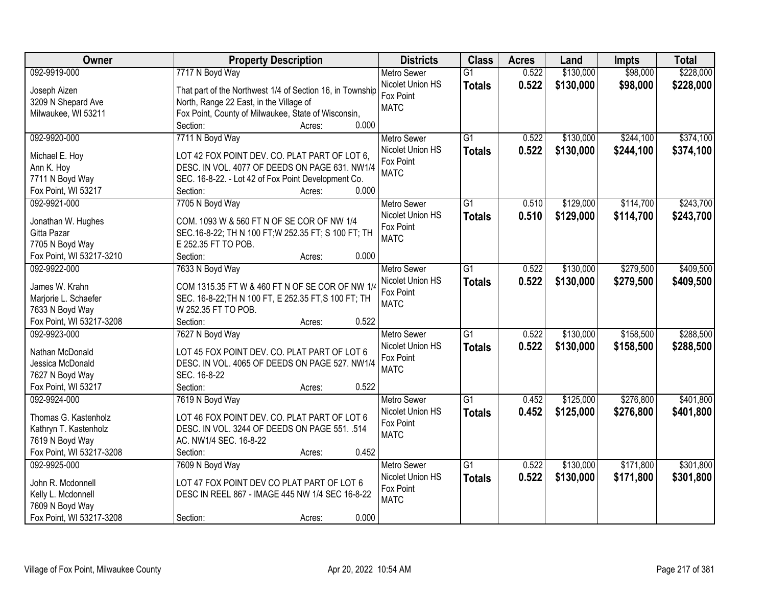| Owner                    | <b>Property Description</b>                               | <b>Districts</b>   | <b>Class</b>    | <b>Acres</b> | Land      | <b>Impts</b> | <b>Total</b> |
|--------------------------|-----------------------------------------------------------|--------------------|-----------------|--------------|-----------|--------------|--------------|
| 092-9919-000             | 7717 N Boyd Way                                           | <b>Metro Sewer</b> | $\overline{G1}$ | 0.522        | \$130,000 | \$98,000     | \$228,000    |
| Joseph Aizen             | That part of the Northwest 1/4 of Section 16, in Township | Nicolet Union HS   | <b>Totals</b>   | 0.522        | \$130,000 | \$98,000     | \$228,000    |
| 3209 N Shepard Ave       | North, Range 22 East, in the Village of                   | Fox Point          |                 |              |           |              |              |
| Milwaukee, WI 53211      | Fox Point, County of Milwaukee, State of Wisconsin,       | <b>MATC</b>        |                 |              |           |              |              |
|                          | 0.000<br>Section:<br>Acres:                               |                    |                 |              |           |              |              |
| 092-9920-000             | 7711 N Boyd Way                                           | <b>Metro Sewer</b> | $\overline{G1}$ | 0.522        | \$130,000 | \$244,100    | \$374,100    |
|                          |                                                           | Nicolet Union HS   | <b>Totals</b>   | 0.522        | \$130,000 | \$244,100    | \$374,100    |
| Michael E. Hoy           | LOT 42 FOX POINT DEV. CO. PLAT PART OF LOT 6,             | Fox Point          |                 |              |           |              |              |
| Ann K. Hoy               | DESC. IN VOL. 4077 OF DEEDS ON PAGE 631. NW1/4            | <b>MATC</b>        |                 |              |           |              |              |
| 7711 N Boyd Way          | SEC. 16-8-22. - Lot 42 of Fox Point Development Co.       |                    |                 |              |           |              |              |
| Fox Point, WI 53217      | 0.000<br>Section:<br>Acres:                               |                    |                 |              |           |              |              |
| 092-9921-000             | 7705 N Boyd Way                                           | <b>Metro Sewer</b> | G1              | 0.510        | \$129,000 | \$114,700    | \$243,700    |
| Jonathan W. Hughes       | COM. 1093 W & 560 FT N OF SE COR OF NW 1/4                | Nicolet Union HS   | <b>Totals</b>   | 0.510        | \$129,000 | \$114,700    | \$243,700    |
| Gitta Pazar              | SEC.16-8-22; TH N 100 FT; W 252.35 FT; S 100 FT; TH       | Fox Point          |                 |              |           |              |              |
| 7705 N Boyd Way          | E 252.35 FT TO POB.                                       | <b>MATC</b>        |                 |              |           |              |              |
| Fox Point, WI 53217-3210 | 0.000<br>Section:<br>Acres:                               |                    |                 |              |           |              |              |
| 092-9922-000             | 7633 N Boyd Way                                           | <b>Metro Sewer</b> | $\overline{G1}$ | 0.522        | \$130,000 | \$279,500    | \$409,500    |
|                          |                                                           | Nicolet Union HS   | <b>Totals</b>   | 0.522        | \$130,000 | \$279,500    | \$409,500    |
| James W. Krahn           | COM 1315.35 FT W & 460 FT N OF SE COR OF NW 1/4           | Fox Point          |                 |              |           |              |              |
| Marjorie L. Schaefer     | SEC. 16-8-22; TH N 100 FT, E 252.35 FT, S 100 FT; TH      | <b>MATC</b>        |                 |              |           |              |              |
| 7633 N Boyd Way          | W 252.35 FT TO POB.                                       |                    |                 |              |           |              |              |
| Fox Point, WI 53217-3208 | 0.522<br>Section:<br>Acres:                               |                    |                 |              |           |              |              |
| 092-9923-000             | 7627 N Boyd Way                                           | <b>Metro Sewer</b> | $\overline{G1}$ | 0.522        | \$130,000 | \$158,500    | \$288,500    |
| Nathan McDonald          | LOT 45 FOX POINT DEV. CO. PLAT PART OF LOT 6              | Nicolet Union HS   | <b>Totals</b>   | 0.522        | \$130,000 | \$158,500    | \$288,500    |
| Jessica McDonald         | DESC. IN VOL. 4065 OF DEEDS ON PAGE 527. NW1/4            | Fox Point          |                 |              |           |              |              |
| 7627 N Boyd Way          | SEC. 16-8-22                                              | <b>MATC</b>        |                 |              |           |              |              |
| Fox Point, WI 53217      | Section:<br>0.522<br>Acres:                               |                    |                 |              |           |              |              |
| 092-9924-000             | 7619 N Boyd Way                                           | <b>Metro Sewer</b> | $\overline{G1}$ | 0.452        | \$125,000 | \$276,800    | \$401,800    |
|                          |                                                           | Nicolet Union HS   | <b>Totals</b>   | 0.452        | \$125,000 | \$276,800    | \$401,800    |
| Thomas G. Kastenholz     | LOT 46 FOX POINT DEV. CO. PLAT PART OF LOT 6              | Fox Point          |                 |              |           |              |              |
| Kathryn T. Kastenholz    | DESC. IN VOL. 3244 OF DEEDS ON PAGE 551. .514             | <b>MATC</b>        |                 |              |           |              |              |
| 7619 N Boyd Way          | AC. NW1/4 SEC. 16-8-22                                    |                    |                 |              |           |              |              |
| Fox Point, WI 53217-3208 | 0.452<br>Section:<br>Acres:                               |                    |                 |              |           |              |              |
| 092-9925-000             | 7609 N Boyd Way                                           | <b>Metro Sewer</b> | $\overline{G1}$ | 0.522        | \$130,000 | \$171,800    | \$301,800    |
| John R. Mcdonnell        | LOT 47 FOX POINT DEV CO PLAT PART OF LOT 6                | Nicolet Union HS   | <b>Totals</b>   | 0.522        | \$130,000 | \$171,800    | \$301,800    |
| Kelly L. Mcdonnell       | DESC IN REEL 867 - IMAGE 445 NW 1/4 SEC 16-8-22           | Fox Point          |                 |              |           |              |              |
| 7609 N Boyd Way          |                                                           | <b>MATC</b>        |                 |              |           |              |              |
| Fox Point, WI 53217-3208 | 0.000<br>Section:<br>Acres:                               |                    |                 |              |           |              |              |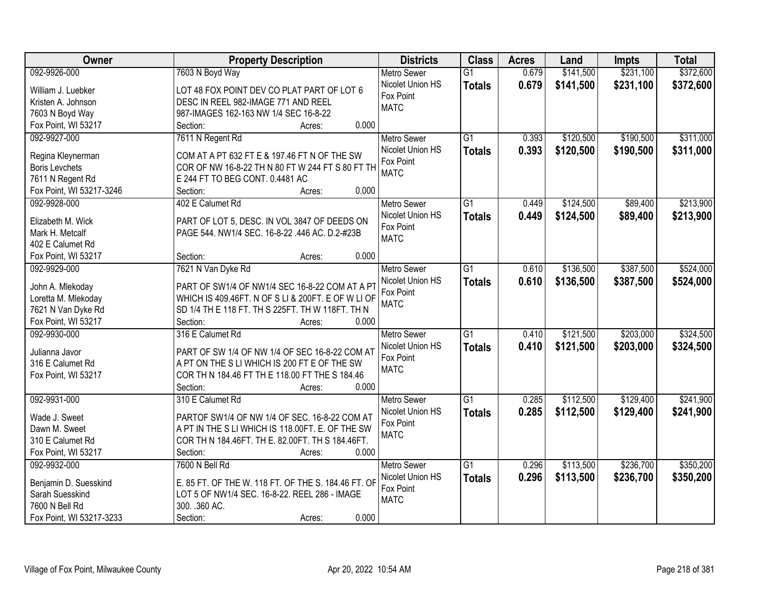| Owner                                   | <b>Property Description</b>                         | <b>Districts</b>         | <b>Class</b>    | <b>Acres</b> | Land      | <b>Impts</b> | <b>Total</b> |
|-----------------------------------------|-----------------------------------------------------|--------------------------|-----------------|--------------|-----------|--------------|--------------|
| 092-9926-000                            | 7603 N Boyd Way                                     | <b>Metro Sewer</b>       | $\overline{G1}$ | 0.679        | \$141,500 | \$231,100    | \$372,600    |
| William J. Luebker                      | LOT 48 FOX POINT DEV CO PLAT PART OF LOT 6          | Nicolet Union HS         | <b>Totals</b>   | 0.679        | \$141,500 | \$231,100    | \$372,600    |
| Kristen A. Johnson                      | DESC IN REEL 982-IMAGE 771 AND REEL                 | Fox Point                |                 |              |           |              |              |
| 7603 N Boyd Way                         | 987-IMAGES 162-163 NW 1/4 SEC 16-8-22               | <b>MATC</b>              |                 |              |           |              |              |
| Fox Point, WI 53217                     | 0.000<br>Section:<br>Acres:                         |                          |                 |              |           |              |              |
| 092-9927-000                            | 7611 N Regent Rd                                    | <b>Metro Sewer</b>       | $\overline{G1}$ | 0.393        | \$120,500 | \$190,500    | \$311,000    |
|                                         |                                                     | Nicolet Union HS         | <b>Totals</b>   | 0.393        | \$120,500 | \$190,500    | \$311,000    |
| Regina Kleynerman                       | COM AT A PT 632 FT E & 197.46 FT N OF THE SW        | Fox Point                |                 |              |           |              |              |
| <b>Boris Levchets</b>                   | COR OF NW 16-8-22 TH N 80 FT W 244 FT S 80 FT TH    | <b>MATC</b>              |                 |              |           |              |              |
| 7611 N Regent Rd                        | E 244 FT TO BEG CONT. 0.4481 AC                     |                          |                 |              |           |              |              |
| Fox Point, WI 53217-3246                | 0.000<br>Section:<br>Acres:                         |                          |                 |              |           |              |              |
| 092-9928-000                            | 402 E Calumet Rd                                    | <b>Metro Sewer</b>       | $\overline{G1}$ | 0.449        | \$124,500 | \$89,400     | \$213,900    |
| Elizabeth M. Wick                       | PART OF LOT 5, DESC. IN VOL 3847 OF DEEDS ON        | Nicolet Union HS         | <b>Totals</b>   | 0.449        | \$124,500 | \$89,400     | \$213,900    |
| Mark H. Metcalf                         | PAGE 544. NW1/4 SEC. 16-8-22 .446 AC. D.2-#23B      | Fox Point<br><b>MATC</b> |                 |              |           |              |              |
| 402 E Calumet Rd                        |                                                     |                          |                 |              |           |              |              |
| Fox Point, WI 53217                     | 0.000<br>Section:<br>Acres:                         |                          |                 |              |           |              |              |
| 092-9929-000                            | 7621 N Van Dyke Rd                                  | <b>Metro Sewer</b>       | G1              | 0.610        | \$136,500 | \$387,500    | \$524,000    |
|                                         | PART OF SW1/4 OF NW1/4 SEC 16-8-22 COM AT A PT      | Nicolet Union HS         | <b>Totals</b>   | 0.610        | \$136,500 | \$387,500    | \$524,000    |
| John A. Mlekoday<br>Loretta M. Mlekoday | WHICH IS 409.46FT. N OF S LI & 200FT. E OF W LI OF  | Fox Point                |                 |              |           |              |              |
| 7621 N Van Dyke Rd                      | SD 1/4 TH E 118 FT. TH S 225FT. TH W 118FT. TH N    | <b>MATC</b>              |                 |              |           |              |              |
| Fox Point, WI 53217                     | Section:<br>0.000<br>Acres:                         |                          |                 |              |           |              |              |
| 092-9930-000                            | 316 E Calumet Rd                                    | <b>Metro Sewer</b>       | $\overline{G1}$ | 0.410        | \$121,500 | \$203,000    | \$324,500    |
|                                         |                                                     | Nicolet Union HS         | <b>Totals</b>   | 0.410        | \$121,500 | \$203,000    | \$324,500    |
| Julianna Javor                          | PART OF SW 1/4 OF NW 1/4 OF SEC 16-8-22 COM AT      | Fox Point                |                 |              |           |              |              |
| 316 E Calumet Rd                        | A PT ON THE S LI WHICH IS 200 FT E OF THE SW        | <b>MATC</b>              |                 |              |           |              |              |
| Fox Point, WI 53217                     | COR TH N 184.46 FT TH E 118.00 FT THE S 184.46      |                          |                 |              |           |              |              |
|                                         | Section:<br>0.000<br>Acres:                         |                          |                 |              |           |              |              |
| 092-9931-000                            | 310 E Calumet Rd                                    | <b>Metro Sewer</b>       | $\overline{G1}$ | 0.285        | \$112,500 | \$129,400    | \$241,900    |
| Wade J. Sweet                           | PARTOF SW1/4 OF NW 1/4 OF SEC. 16-8-22 COM AT       | Nicolet Union HS         | <b>Totals</b>   | 0.285        | \$112,500 | \$129,400    | \$241,900    |
| Dawn M. Sweet                           | A PT IN THE S LI WHICH IS 118.00FT. E. OF THE SW    | Fox Point                |                 |              |           |              |              |
| 310 E Calumet Rd                        | COR TH N 184.46FT. TH E. 82.00FT. TH S 184.46FT.    | <b>MATC</b>              |                 |              |           |              |              |
| Fox Point, WI 53217                     | 0.000<br>Section:<br>Acres:                         |                          |                 |              |           |              |              |
| 092-9932-000                            | 7600 N Bell Rd                                      | <b>Metro Sewer</b>       | $\overline{G1}$ | 0.296        | \$113,500 | \$236,700    | \$350,200    |
|                                         |                                                     | Nicolet Union HS         | <b>Totals</b>   | 0.296        | \$113,500 | \$236,700    | \$350,200    |
| Benjamin D. Suesskind                   | E. 85 FT. OF THE W. 118 FT. OF THE S. 184.46 FT. OF | Fox Point                |                 |              |           |              |              |
| Sarah Suesskind<br>7600 N Bell Rd       | LOT 5 OF NW1/4 SEC. 16-8-22. REEL 286 - IMAGE       | <b>MATC</b>              |                 |              |           |              |              |
|                                         | 300. . 360 AC.<br>0.000                             |                          |                 |              |           |              |              |
| Fox Point, WI 53217-3233                | Section:<br>Acres:                                  |                          |                 |              |           |              |              |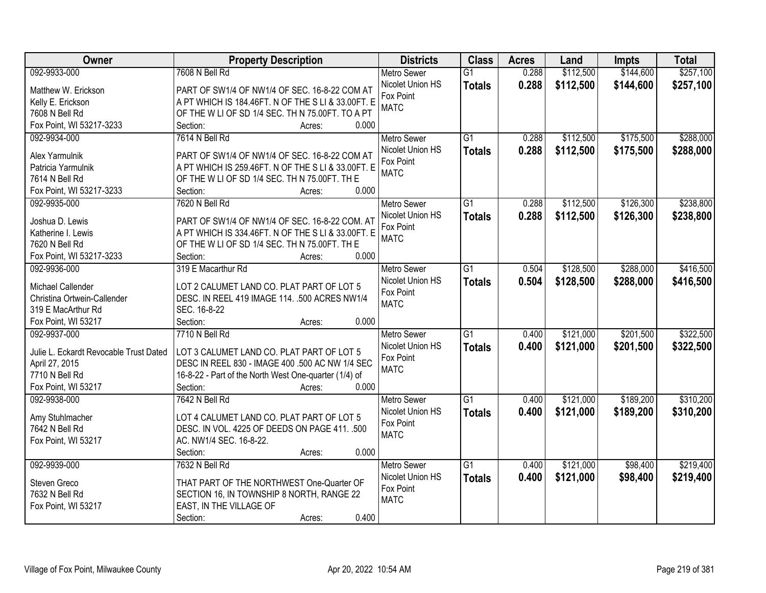| Owner                                  | <b>Property Description</b>                           | <b>Districts</b>   | <b>Class</b>    | <b>Acres</b> | Land      | <b>Impts</b> | <b>Total</b> |
|----------------------------------------|-------------------------------------------------------|--------------------|-----------------|--------------|-----------|--------------|--------------|
| 092-9933-000                           | 7608 N Bell Rd                                        | <b>Metro Sewer</b> | $\overline{G1}$ | 0.288        | \$112,500 | \$144,600    | \$257,100    |
| Matthew W. Erickson                    | PART OF SW1/4 OF NW1/4 OF SEC. 16-8-22 COM AT         | Nicolet Union HS   | <b>Totals</b>   | 0.288        | \$112,500 | \$144,600    | \$257,100    |
| Kelly E. Erickson                      | A PT WHICH IS 184.46FT. N OF THE S LI & 33.00FT. E    | Fox Point          |                 |              |           |              |              |
| 7608 N Bell Rd                         | OF THE W LI OF SD 1/4 SEC. TH N 75.00FT. TO A PT      | <b>MATC</b>        |                 |              |           |              |              |
| Fox Point, WI 53217-3233               | 0.000<br>Section:<br>Acres:                           |                    |                 |              |           |              |              |
| 092-9934-000                           | 7614 N Bell Rd                                        | <b>Metro Sewer</b> | $\overline{G1}$ | 0.288        | \$112,500 | \$175,500    | \$288,000    |
|                                        |                                                       | Nicolet Union HS   | <b>Totals</b>   | 0.288        | \$112,500 | \$175,500    | \$288,000    |
| Alex Yarmulnik                         | PART OF SW1/4 OF NW1/4 OF SEC. 16-8-22 COM AT         | Fox Point          |                 |              |           |              |              |
| Patricia Yarmulnik                     | A PT WHICH IS 259.46FT. N OF THE S LI & 33.00FT. E    | <b>MATC</b>        |                 |              |           |              |              |
| 7614 N Bell Rd                         | OF THE W LI OF SD 1/4 SEC. TH N 75.00FT. TH E         |                    |                 |              |           |              |              |
| Fox Point, WI 53217-3233               | 0.000<br>Section:<br>Acres:                           |                    |                 |              |           |              |              |
| 092-9935-000                           | 7620 N Bell Rd                                        | Metro Sewer        | G1              | 0.288        | \$112,500 | \$126,300    | \$238,800    |
| Joshua D. Lewis                        | PART OF SW1/4 OF NW1/4 OF SEC. 16-8-22 COM. AT        | Nicolet Union HS   | <b>Totals</b>   | 0.288        | \$112,500 | \$126,300    | \$238,800    |
| Katherine I. Lewis                     | A PT WHICH IS 334.46FT. N OF THE S LI & 33.00FT. E    | Fox Point          |                 |              |           |              |              |
| 7620 N Bell Rd                         | OF THE W LI OF SD 1/4 SEC. TH N 75.00FT. TH E         | <b>MATC</b>        |                 |              |           |              |              |
| Fox Point, WI 53217-3233               | Section:<br>0.000<br>Acres:                           |                    |                 |              |           |              |              |
| 092-9936-000                           | 319 E Macarthur Rd                                    | <b>Metro Sewer</b> | G1              | 0.504        | \$128,500 | \$288,000    | \$416,500    |
|                                        |                                                       | Nicolet Union HS   |                 | 0.504        | \$128,500 | \$288,000    |              |
| Michael Callender                      | LOT 2 CALUMET LAND CO. PLAT PART OF LOT 5             | Fox Point          | <b>Totals</b>   |              |           |              | \$416,500    |
| Christina Ortwein-Callender            | DESC. IN REEL 419 IMAGE 114. .500 ACRES NW1/4         | <b>MATC</b>        |                 |              |           |              |              |
| 319 E MacArthur Rd                     | SEC. 16-8-22                                          |                    |                 |              |           |              |              |
| Fox Point, WI 53217                    | 0.000<br>Section:<br>Acres:                           |                    |                 |              |           |              |              |
| 092-9937-000                           | 7710 N Bell Rd                                        | <b>Metro Sewer</b> | $\overline{G1}$ | 0.400        | \$121,000 | \$201,500    | \$322,500    |
| Julie L. Eckardt Revocable Trust Dated | LOT 3 CALUMET LAND CO. PLAT PART OF LOT 5             | Nicolet Union HS   | <b>Totals</b>   | 0.400        | \$121,000 | \$201,500    | \$322,500    |
| April 27, 2015                         | DESC IN REEL 830 - IMAGE 400 .500 AC NW 1/4 SEC       | Fox Point          |                 |              |           |              |              |
| 7710 N Bell Rd                         | 16-8-22 - Part of the North West One-quarter (1/4) of | <b>MATC</b>        |                 |              |           |              |              |
| Fox Point, WI 53217                    | Section:<br>0.000                                     |                    |                 |              |           |              |              |
|                                        | Acres:                                                |                    |                 |              |           |              |              |
| 092-9938-000                           | 7642 N Bell Rd                                        | <b>Metro Sewer</b> | $\overline{G1}$ | 0.400        | \$121,000 | \$189,200    | \$310,200    |
| Amy Stuhlmacher                        | LOT 4 CALUMET LAND CO. PLAT PART OF LOT 5             | Nicolet Union HS   | <b>Totals</b>   | 0.400        | \$121,000 | \$189,200    | \$310,200    |
| 7642 N Bell Rd                         | DESC. IN VOL. 4225 OF DEEDS ON PAGE 411. .500         | Fox Point          |                 |              |           |              |              |
| Fox Point, WI 53217                    | AC. NW1/4 SEC. 16-8-22.                               | <b>MATC</b>        |                 |              |           |              |              |
|                                        | 0.000<br>Section:<br>Acres:                           |                    |                 |              |           |              |              |
| 092-9939-000                           | 7632 N Bell Rd                                        | <b>Metro Sewer</b> | $\overline{G1}$ | 0.400        | \$121,000 | \$98,400     | \$219,400    |
|                                        |                                                       | Nicolet Union HS   | <b>Totals</b>   | 0.400        | \$121,000 | \$98,400     | \$219,400    |
| Steven Greco                           | THAT PART OF THE NORTHWEST One-Quarter OF             | Fox Point          |                 |              |           |              |              |
| 7632 N Bell Rd                         | SECTION 16, IN TOWNSHIP 8 NORTH, RANGE 22             | <b>MATC</b>        |                 |              |           |              |              |
| Fox Point, WI 53217                    | EAST, IN THE VILLAGE OF                               |                    |                 |              |           |              |              |
|                                        | 0.400<br>Section:<br>Acres:                           |                    |                 |              |           |              |              |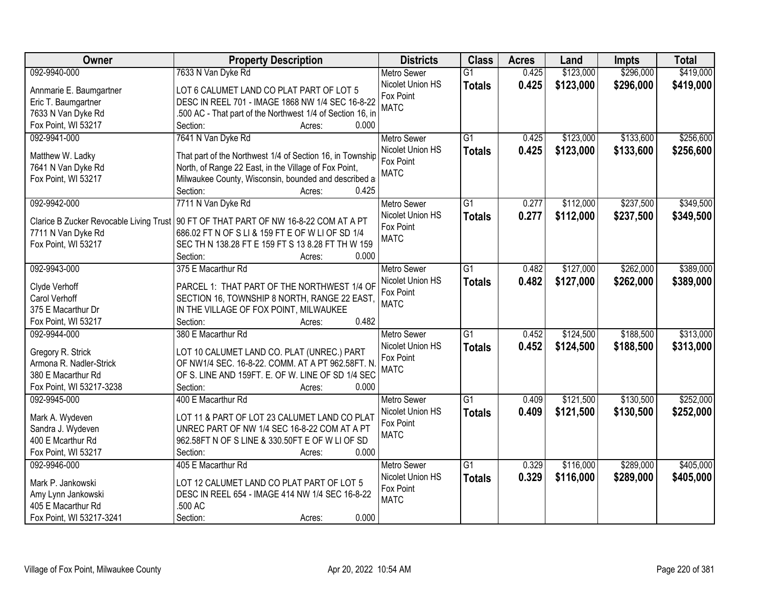| Owner                                     | <b>Property Description</b>                                                            | <b>Districts</b>              | <b>Class</b>    | <b>Acres</b> | Land      | <b>Impts</b> | <b>Total</b> |
|-------------------------------------------|----------------------------------------------------------------------------------------|-------------------------------|-----------------|--------------|-----------|--------------|--------------|
| 092-9940-000                              | 7633 N Van Dyke Rd                                                                     | <b>Metro Sewer</b>            | $\overline{G1}$ | 0.425        | \$123,000 | \$296,000    | \$419,000    |
| Annmarie E. Baumgartner                   | LOT 6 CALUMET LAND CO PLAT PART OF LOT 5                                               | Nicolet Union HS              | <b>Totals</b>   | 0.425        | \$123,000 | \$296,000    | \$419,000    |
| Eric T. Baumgartner                       | DESC IN REEL 701 - IMAGE 1868 NW 1/4 SEC 16-8-22                                       | Fox Point                     |                 |              |           |              |              |
| 7633 N Van Dyke Rd                        | .500 AC - That part of the Northwest 1/4 of Section 16, in                             | <b>MATC</b>                   |                 |              |           |              |              |
| Fox Point, WI 53217                       | 0.000<br>Section:<br>Acres:                                                            |                               |                 |              |           |              |              |
| 092-9941-000                              | 7641 N Van Dyke Rd                                                                     | <b>Metro Sewer</b>            | $\overline{G1}$ | 0.425        | \$123,000 | \$133,600    | \$256,600    |
|                                           |                                                                                        | Nicolet Union HS              | <b>Totals</b>   | 0.425        | \$123,000 | \$133,600    | \$256,600    |
| Matthew W. Ladky                          | That part of the Northwest 1/4 of Section 16, in Township                              | Fox Point                     |                 |              |           |              |              |
| 7641 N Van Dyke Rd                        | North, of Range 22 East, in the Village of Fox Point,                                  | <b>MATC</b>                   |                 |              |           |              |              |
| Fox Point, WI 53217                       | Milwaukee County, Wisconsin, bounded and described a<br>0.425                          |                               |                 |              |           |              |              |
| 092-9942-000                              | Section:<br>Acres:<br>7711 N Van Dyke Rd                                               |                               |                 |              | \$112,000 | \$237,500    | \$349,500    |
|                                           |                                                                                        | <b>Metro Sewer</b>            | G1              | 0.277        |           |              |              |
|                                           | Clarice B Zucker Revocable Living Trust   90 FT OF THAT PART OF NW 16-8-22 COM AT A PT | Nicolet Union HS              | <b>Totals</b>   | 0.277        | \$112,000 | \$237,500    | \$349,500    |
| 7711 N Van Dyke Rd                        | 686.02 FT N OF S LI & 159 FT E OF W LI OF SD 1/4                                       | Fox Point<br><b>MATC</b>      |                 |              |           |              |              |
| Fox Point, WI 53217                       | SEC TH N 138.28 FT E 159 FT S 13 8.28 FT TH W 159                                      |                               |                 |              |           |              |              |
|                                           | Section:<br>0.000<br>Acres:                                                            |                               |                 |              |           |              |              |
| 092-9943-000                              | 375 E Macarthur Rd                                                                     | <b>Metro Sewer</b>            | $\overline{G1}$ | 0.482        | \$127,000 | \$262,000    | \$389,000    |
|                                           |                                                                                        | Nicolet Union HS              | <b>Totals</b>   | 0.482        | \$127,000 | \$262,000    | \$389,000    |
| Clyde Verhoff                             | PARCEL 1: THAT PART OF THE NORTHWEST 1/4 OF                                            | Fox Point                     |                 |              |           |              |              |
| Carol Verhoff                             | SECTION 16, TOWNSHIP 8 NORTH, RANGE 22 EAST,                                           | <b>MATC</b>                   |                 |              |           |              |              |
| 375 E Macarthur Dr<br>Fox Point, WI 53217 | IN THE VILLAGE OF FOX POINT, MILWAUKEE<br>0.482                                        |                               |                 |              |           |              |              |
|                                           | Section:<br>Acres:                                                                     |                               | $\overline{G1}$ | 0.452        |           | \$188,500    |              |
| 092-9944-000                              | 380 E Macarthur Rd                                                                     | <b>Metro Sewer</b>            |                 |              | \$124,500 |              | \$313,000    |
| Gregory R. Strick                         | LOT 10 CALUMET LAND CO. PLAT (UNREC.) PART                                             | Nicolet Union HS<br>Fox Point | <b>Totals</b>   | 0.452        | \$124,500 | \$188,500    | \$313,000    |
| Armona R. Nadler-Strick                   | OF NW1/4 SEC. 16-8-22. COMM. AT A PT 962.58FT. N                                       |                               |                 |              |           |              |              |
| 380 E Macarthur Rd                        | OF S. LINE AND 159FT. E. OF W. LINE OF SD 1/4 SEC                                      | <b>MATC</b>                   |                 |              |           |              |              |
| Fox Point, WI 53217-3238                  | Section:<br>0.000<br>Acres:                                                            |                               |                 |              |           |              |              |
| 092-9945-000                              | 400 E Macarthur Rd                                                                     | <b>Metro Sewer</b>            | $\overline{G1}$ | 0.409        | \$121,500 | \$130,500    | \$252,000    |
| Mark A. Wydeven                           | LOT 11 & PART OF LOT 23 CALUMET LAND CO PLAT                                           | Nicolet Union HS              | <b>Totals</b>   | 0.409        | \$121,500 | \$130,500    | \$252,000    |
|                                           | UNREC PART OF NW 1/4 SEC 16-8-22 COM AT A PT                                           | Fox Point                     |                 |              |           |              |              |
| Sandra J. Wydeven<br>400 E Mcarthur Rd    | 962.58FT N OF S LINE & 330.50FT E OF W LI OF SD                                        | <b>MATC</b>                   |                 |              |           |              |              |
| Fox Point, WI 53217                       | 0.000<br>Section:                                                                      |                               |                 |              |           |              |              |
| 092-9946-000                              | Acres:<br>405 E Macarthur Rd                                                           | <b>Metro Sewer</b>            | $\overline{G1}$ | 0.329        | \$116,000 | \$289,000    | \$405,000    |
|                                           |                                                                                        | Nicolet Union HS              |                 |              |           |              |              |
| Mark P. Jankowski                         | LOT 12 CALUMET LAND CO PLAT PART OF LOT 5                                              | Fox Point                     | <b>Totals</b>   | 0.329        | \$116,000 | \$289,000    | \$405,000    |
| Amy Lynn Jankowski                        | DESC IN REEL 654 - IMAGE 414 NW 1/4 SEC 16-8-22                                        | <b>MATC</b>                   |                 |              |           |              |              |
| 405 E Macarthur Rd                        | .500 AC                                                                                |                               |                 |              |           |              |              |
| Fox Point, WI 53217-3241                  | 0.000<br>Section:<br>Acres:                                                            |                               |                 |              |           |              |              |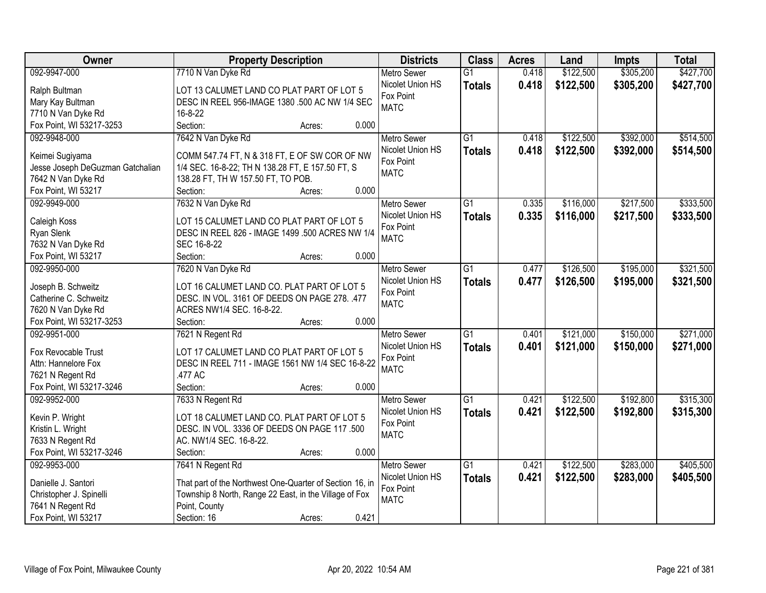| Owner                                       | <b>Property Description</b>                                                                 | <b>Districts</b>         | <b>Class</b>    | <b>Acres</b> | Land      | <b>Impts</b> | <b>Total</b> |
|---------------------------------------------|---------------------------------------------------------------------------------------------|--------------------------|-----------------|--------------|-----------|--------------|--------------|
| 092-9947-000                                | 7710 N Van Dyke Rd                                                                          | <b>Metro Sewer</b>       | $\overline{G1}$ | 0.418        | \$122,500 | \$305,200    | \$427,700    |
| Ralph Bultman                               | LOT 13 CALUMET LAND CO PLAT PART OF LOT 5                                                   | Nicolet Union HS         | <b>Totals</b>   | 0.418        | \$122,500 | \$305,200    | \$427,700    |
| Mary Kay Bultman                            | DESC IN REEL 956-IMAGE 1380 .500 AC NW 1/4 SEC                                              | Fox Point                |                 |              |           |              |              |
| 7710 N Van Dyke Rd                          | 16-8-22                                                                                     | <b>MATC</b>              |                 |              |           |              |              |
| Fox Point, WI 53217-3253                    | Section:<br>0.000<br>Acres:                                                                 |                          |                 |              |           |              |              |
| 092-9948-000                                | 7642 N Van Dyke Rd                                                                          | <b>Metro Sewer</b>       | $\overline{G1}$ | 0.418        | \$122,500 | \$392,000    | \$514,500    |
|                                             |                                                                                             | Nicolet Union HS         | <b>Totals</b>   | 0.418        | \$122,500 | \$392,000    | \$514,500    |
| Keimei Sugiyama                             | COMM 547.74 FT, N & 318 FT, E OF SW COR OF NW                                               | Fox Point                |                 |              |           |              |              |
| Jesse Joseph DeGuzman Gatchalian            | 1/4 SEC. 16-8-22; TH N 138.28 FT, E 157.50 FT, S                                            | <b>MATC</b>              |                 |              |           |              |              |
| 7642 N Van Dyke Rd                          | 138.28 FT, TH W 157.50 FT, TO POB.                                                          |                          |                 |              |           |              |              |
| Fox Point, WI 53217                         | 0.000<br>Section:<br>Acres:                                                                 |                          |                 |              |           |              |              |
| 092-9949-000                                | 7632 N Van Dyke Rd                                                                          | <b>Metro Sewer</b>       | $\overline{G1}$ | 0.335        | \$116,000 | \$217,500    | \$333,500    |
| Caleigh Koss                                | LOT 15 CALUMET LAND CO PLAT PART OF LOT 5                                                   | Nicolet Union HS         | <b>Totals</b>   | 0.335        | \$116,000 | \$217,500    | \$333,500    |
| Ryan Slenk                                  | DESC IN REEL 826 - IMAGE 1499 .500 ACRES NW 1/4                                             | Fox Point<br><b>MATC</b> |                 |              |           |              |              |
| 7632 N Van Dyke Rd                          | SEC 16-8-22                                                                                 |                          |                 |              |           |              |              |
| Fox Point, WI 53217                         | Section:<br>0.000<br>Acres:                                                                 |                          |                 |              |           |              |              |
| 092-9950-000                                | 7620 N Van Dyke Rd                                                                          | <b>Metro Sewer</b>       | G1              | 0.477        | \$126,500 | \$195,000    | \$321,500    |
|                                             |                                                                                             | Nicolet Union HS         | <b>Totals</b>   | 0.477        | \$126,500 | \$195,000    | \$321,500    |
| Joseph B. Schweitz<br>Catherine C. Schweitz | LOT 16 CALUMET LAND CO. PLAT PART OF LOT 5<br>DESC. IN VOL. 3161 OF DEEDS ON PAGE 278. .477 | Fox Point                |                 |              |           |              |              |
| 7620 N Van Dyke Rd                          | ACRES NW1/4 SEC. 16-8-22.                                                                   | <b>MATC</b>              |                 |              |           |              |              |
| Fox Point, WI 53217-3253                    | 0.000<br>Section:<br>Acres:                                                                 |                          |                 |              |           |              |              |
| 092-9951-000                                | 7621 N Regent Rd                                                                            | <b>Metro Sewer</b>       | $\overline{G1}$ | 0.401        | \$121,000 | \$150,000    | \$271,000    |
|                                             |                                                                                             | Nicolet Union HS         |                 | 0.401        |           |              |              |
| Fox Revocable Trust                         | LOT 17 CALUMET LAND CO PLAT PART OF LOT 5                                                   | Fox Point                | <b>Totals</b>   |              | \$121,000 | \$150,000    | \$271,000    |
| Attn: Hannelore Fox                         | DESC IN REEL 711 - IMAGE 1561 NW 1/4 SEC 16-8-22                                            | <b>MATC</b>              |                 |              |           |              |              |
| 7621 N Regent Rd                            | .477 AC                                                                                     |                          |                 |              |           |              |              |
| Fox Point, WI 53217-3246                    | Section:<br>0.000<br>Acres:                                                                 |                          |                 |              |           |              |              |
| 092-9952-000                                | 7633 N Regent Rd                                                                            | <b>Metro Sewer</b>       | $\overline{G1}$ | 0.421        | \$122,500 | \$192,800    | \$315,300    |
| Kevin P. Wright                             | LOT 18 CALUMET LAND CO. PLAT PART OF LOT 5                                                  | Nicolet Union HS         | <b>Totals</b>   | 0.421        | \$122,500 | \$192,800    | \$315,300    |
| Kristin L. Wright                           | DESC. IN VOL. 3336 OF DEEDS ON PAGE 117 .500                                                | Fox Point                |                 |              |           |              |              |
| 7633 N Regent Rd                            | AC. NW1/4 SEC. 16-8-22.                                                                     | <b>MATC</b>              |                 |              |           |              |              |
| Fox Point, WI 53217-3246                    | 0.000<br>Section:<br>Acres:                                                                 |                          |                 |              |           |              |              |
| 092-9953-000                                | 7641 N Regent Rd                                                                            | <b>Metro Sewer</b>       | $\overline{G1}$ | 0.421        | \$122,500 | \$283,000    | \$405,500    |
|                                             |                                                                                             | Nicolet Union HS         | <b>Totals</b>   | 0.421        | \$122,500 | \$283,000    | \$405,500    |
| Danielle J. Santori                         | That part of the Northwest One-Quarter of Section 16, in                                    | Fox Point                |                 |              |           |              |              |
| Christopher J. Spinelli                     | Township 8 North, Range 22 East, in the Village of Fox                                      | <b>MATC</b>              |                 |              |           |              |              |
| 7641 N Regent Rd                            | Point, County                                                                               |                          |                 |              |           |              |              |
| Fox Point, WI 53217                         | 0.421<br>Section: 16<br>Acres:                                                              |                          |                 |              |           |              |              |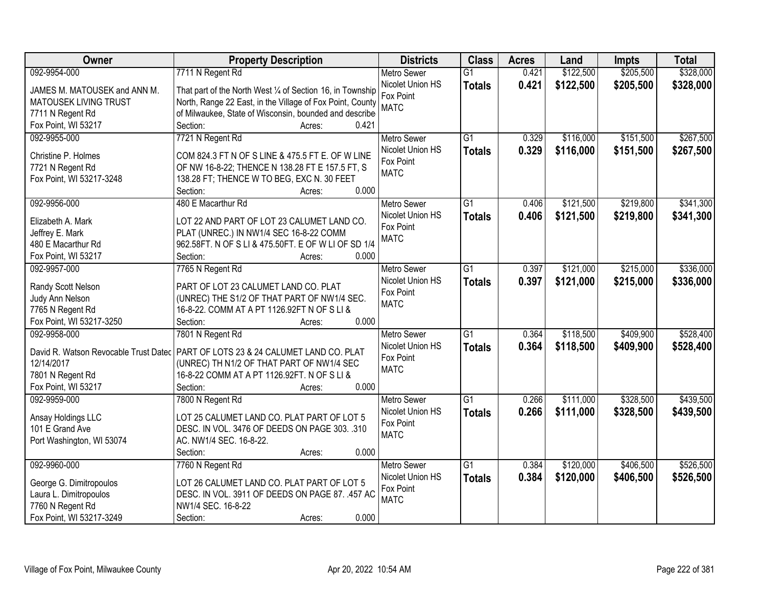| Owner                        | <b>Property Description</b>                                                        | <b>Districts</b>   | <b>Class</b>    | <b>Acres</b> | Land      | <b>Impts</b> | <b>Total</b> |
|------------------------------|------------------------------------------------------------------------------------|--------------------|-----------------|--------------|-----------|--------------|--------------|
| 092-9954-000                 | 7711 N Regent Rd                                                                   | <b>Metro Sewer</b> | $\overline{G1}$ | 0.421        | \$122,500 | \$205,500    | \$328,000    |
| JAMES M. MATOUSEK and ANN M. | That part of the North West 1/4 of Section 16, in Township                         | Nicolet Union HS   | <b>Totals</b>   | 0.421        | \$122,500 | \$205,500    | \$328,000    |
| MATOUSEK LIVING TRUST        | North, Range 22 East, in the Village of Fox Point, County                          | Fox Point          |                 |              |           |              |              |
| 7711 N Regent Rd             | of Milwaukee, State of Wisconsin, bounded and describe                             | <b>MATC</b>        |                 |              |           |              |              |
| Fox Point, WI 53217          | Section:<br>0.421<br>Acres:                                                        |                    |                 |              |           |              |              |
| 092-9955-000                 | 7721 N Regent Rd                                                                   | <b>Metro Sewer</b> | $\overline{G1}$ | 0.329        | \$116,000 | \$151,500    | \$267,500    |
|                              |                                                                                    | Nicolet Union HS   | <b>Totals</b>   | 0.329        | \$116,000 | \$151,500    | \$267,500    |
| Christine P. Holmes          | COM 824.3 FT N OF S LINE & 475.5 FT E. OF W LINE                                   | Fox Point          |                 |              |           |              |              |
| 7721 N Regent Rd             | OF NW 16-8-22; THENCE N 138.28 FT E 157.5 FT, S                                    | <b>MATC</b>        |                 |              |           |              |              |
| Fox Point, WI 53217-3248     | 138.28 FT; THENCE W TO BEG, EXC N. 30 FEET                                         |                    |                 |              |           |              |              |
|                              | 0.000<br>Section:<br>Acres:                                                        |                    |                 |              |           |              |              |
| 092-9956-000                 | 480 E Macarthur Rd                                                                 | Metro Sewer        | G1              | 0.406        | \$121,500 | \$219,800    | \$341,300    |
| Elizabeth A. Mark            | LOT 22 AND PART OF LOT 23 CALUMET LAND CO.                                         | Nicolet Union HS   | <b>Totals</b>   | 0.406        | \$121,500 | \$219,800    | \$341,300    |
| Jeffrey E. Mark              | PLAT (UNREC.) IN NW1/4 SEC 16-8-22 COMM                                            | Fox Point          |                 |              |           |              |              |
| 480 E Macarthur Rd           | 962.58FT. N OF S LI & 475.50FT. E OF W LI OF SD 1/4                                | <b>MATC</b>        |                 |              |           |              |              |
| Fox Point, WI 53217          | Section:<br>0.000<br>Acres:                                                        |                    |                 |              |           |              |              |
| 092-9957-000                 | 7765 N Regent Rd                                                                   | <b>Metro Sewer</b> | $\overline{G1}$ | 0.397        | \$121,000 | \$215,000    | \$336,000    |
|                              |                                                                                    | Nicolet Union HS   |                 | 0.397        | \$121,000 | \$215,000    | \$336,000    |
| Randy Scott Nelson           | PART OF LOT 23 CALUMET LAND CO. PLAT                                               | Fox Point          | <b>Totals</b>   |              |           |              |              |
| Judy Ann Nelson              | (UNREC) THE S1/2 OF THAT PART OF NW1/4 SEC.                                        | <b>MATC</b>        |                 |              |           |              |              |
| 7765 N Regent Rd             | 16-8-22. COMM AT A PT 1126.92FT N OF S LI &                                        |                    |                 |              |           |              |              |
| Fox Point, WI 53217-3250     | 0.000<br>Section:<br>Acres:                                                        |                    |                 |              |           |              |              |
| 092-9958-000                 | 7801 N Regent Rd                                                                   | Metro Sewer        | $\overline{G1}$ | 0.364        | \$118,500 | \$409,900    | \$528,400    |
|                              | David R. Watson Revocable Trust Datec   PART OF LOTS 23 & 24 CALUMET LAND CO. PLAT | Nicolet Union HS   | <b>Totals</b>   | 0.364        | \$118,500 | \$409,900    | \$528,400    |
| 12/14/2017                   | (UNREC) TH N1/2 OF THAT PART OF NW1/4 SEC                                          | Fox Point          |                 |              |           |              |              |
| 7801 N Regent Rd             | 16-8-22 COMM AT A PT 1126.92FT. N OF S LI &                                        | <b>MATC</b>        |                 |              |           |              |              |
| Fox Point, WI 53217          | 0.000<br>Section:                                                                  |                    |                 |              |           |              |              |
| 092-9959-000                 | Acres:                                                                             |                    | $\overline{G1}$ | 0.266        | \$111,000 | \$328,500    | \$439,500    |
|                              | 7800 N Regent Rd                                                                   | <b>Metro Sewer</b> |                 |              |           |              |              |
| Ansay Holdings LLC           | LOT 25 CALUMET LAND CO. PLAT PART OF LOT 5                                         | Nicolet Union HS   | <b>Totals</b>   | 0.266        | \$111,000 | \$328,500    | \$439,500    |
| 101 E Grand Ave              | DESC. IN VOL. 3476 OF DEEDS ON PAGE 303. .310                                      | Fox Point          |                 |              |           |              |              |
| Port Washington, WI 53074    | AC. NW1/4 SEC. 16-8-22.                                                            | <b>MATC</b>        |                 |              |           |              |              |
|                              | 0.000<br>Section:<br>Acres:                                                        |                    |                 |              |           |              |              |
| 092-9960-000                 | 7760 N Regent Rd                                                                   | <b>Metro Sewer</b> | $\overline{G1}$ | 0.384        | \$120,000 | \$406,500    | \$526,500    |
|                              |                                                                                    | Nicolet Union HS   | <b>Totals</b>   | 0.384        | \$120,000 | \$406,500    | \$526,500    |
| George G. Dimitropoulos      | LOT 26 CALUMET LAND CO. PLAT PART OF LOT 5                                         | Fox Point          |                 |              |           |              |              |
| Laura L. Dimitropoulos       | DESC. IN VOL. 3911 OF DEEDS ON PAGE 87. .457 AC                                    | <b>MATC</b>        |                 |              |           |              |              |
| 7760 N Regent Rd             | NW1/4 SEC. 16-8-22                                                                 |                    |                 |              |           |              |              |
| Fox Point, WI 53217-3249     | 0.000<br>Section:<br>Acres:                                                        |                    |                 |              |           |              |              |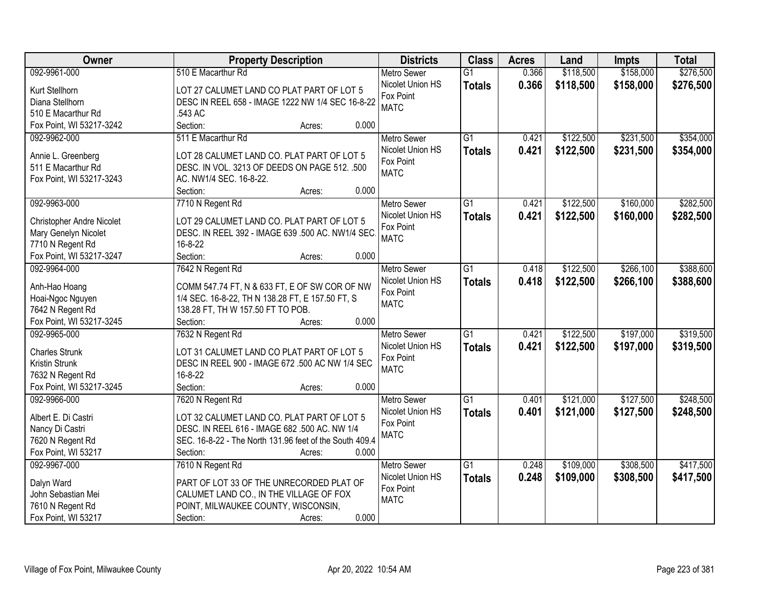| Owner                            | <b>Property Description</b>                             | <b>Districts</b>   | <b>Class</b>    | <b>Acres</b> | Land      | <b>Impts</b> | <b>Total</b> |
|----------------------------------|---------------------------------------------------------|--------------------|-----------------|--------------|-----------|--------------|--------------|
| 092-9961-000                     | 510 E Macarthur Rd                                      | <b>Metro Sewer</b> | $\overline{G1}$ | 0.366        | \$118,500 | \$158,000    | \$276,500    |
| Kurt Stellhorn                   | LOT 27 CALUMET LAND CO PLAT PART OF LOT 5               | Nicolet Union HS   | <b>Totals</b>   | 0.366        | \$118,500 | \$158,000    | \$276,500    |
| Diana Stellhorn                  | DESC IN REEL 658 - IMAGE 1222 NW 1/4 SEC 16-8-22        | Fox Point          |                 |              |           |              |              |
| 510 E Macarthur Rd               | .543 AC                                                 | <b>MATC</b>        |                 |              |           |              |              |
| Fox Point, WI 53217-3242         | Section:<br>0.000<br>Acres:                             |                    |                 |              |           |              |              |
| 092-9962-000                     | 511 E Macarthur Rd                                      | <b>Metro Sewer</b> | $\overline{G1}$ | 0.421        | \$122,500 | \$231,500    | \$354,000    |
|                                  |                                                         | Nicolet Union HS   | <b>Totals</b>   | 0.421        | \$122,500 | \$231,500    | \$354,000    |
| Annie L. Greenberg               | LOT 28 CALUMET LAND CO. PLAT PART OF LOT 5              | Fox Point          |                 |              |           |              |              |
| 511 E Macarthur Rd               | DESC. IN VOL. 3213 OF DEEDS ON PAGE 512. .500           | <b>MATC</b>        |                 |              |           |              |              |
| Fox Point, WI 53217-3243         | AC. NW1/4 SEC. 16-8-22.                                 |                    |                 |              |           |              |              |
|                                  | 0.000<br>Section:<br>Acres:                             |                    |                 |              |           |              |              |
| 092-9963-000                     | 7710 N Regent Rd                                        | <b>Metro Sewer</b> | G1              | 0.421        | \$122,500 | \$160,000    | \$282,500    |
| <b>Christopher Andre Nicolet</b> | LOT 29 CALUMET LAND CO. PLAT PART OF LOT 5              | Nicolet Union HS   | <b>Totals</b>   | 0.421        | \$122,500 | \$160,000    | \$282,500    |
| Mary Genelyn Nicolet             | DESC. IN REEL 392 - IMAGE 639 .500 AC. NW1/4 SEC.       | Fox Point          |                 |              |           |              |              |
| 7710 N Regent Rd                 | 16-8-22                                                 | <b>MATC</b>        |                 |              |           |              |              |
| Fox Point, WI 53217-3247         | Section:<br>0.000<br>Acres:                             |                    |                 |              |           |              |              |
| 092-9964-000                     | 7642 N Regent Rd                                        | <b>Metro Sewer</b> | $\overline{G1}$ | 0.418        | \$122,500 | \$266,100    | \$388,600    |
|                                  |                                                         | Nicolet Union HS   | <b>Totals</b>   | 0.418        | \$122,500 | \$266,100    | \$388,600    |
| Anh-Hao Hoang                    | COMM 547.74 FT, N & 633 FT, E OF SW COR OF NW           | Fox Point          |                 |              |           |              |              |
| Hoai-Ngoc Nguyen                 | 1/4 SEC. 16-8-22, TH N 138.28 FT, E 157.50 FT, S        | <b>MATC</b>        |                 |              |           |              |              |
| 7642 N Regent Rd                 | 138.28 FT, TH W 157.50 FT TO POB.                       |                    |                 |              |           |              |              |
| Fox Point, WI 53217-3245         | 0.000<br>Section:<br>Acres:                             |                    |                 |              |           |              |              |
| 092-9965-000                     | 7632 N Regent Rd                                        | <b>Metro Sewer</b> | $\overline{G1}$ | 0.421        | \$122,500 | \$197,000    | \$319,500    |
| <b>Charles Strunk</b>            | LOT 31 CALUMET LAND CO PLAT PART OF LOT 5               | Nicolet Union HS   | <b>Totals</b>   | 0.421        | \$122,500 | \$197,000    | \$319,500    |
| Kristin Strunk                   | DESC IN REEL 900 - IMAGE 672 .500 AC NW 1/4 SEC         | Fox Point          |                 |              |           |              |              |
| 7632 N Regent Rd                 | 16-8-22                                                 | <b>MATC</b>        |                 |              |           |              |              |
| Fox Point, WI 53217-3245         | Section:<br>0.000<br>Acres:                             |                    |                 |              |           |              |              |
| 092-9966-000                     | 7620 N Regent Rd                                        | Metro Sewer        | $\overline{G1}$ | 0.401        | \$121,000 | \$127,500    | \$248,500    |
|                                  |                                                         | Nicolet Union HS   | <b>Totals</b>   | 0.401        | \$121,000 | \$127,500    | \$248,500    |
| Albert E. Di Castri              | LOT 32 CALUMET LAND CO. PLAT PART OF LOT 5              | Fox Point          |                 |              |           |              |              |
| Nancy Di Castri                  | DESC. IN REEL 616 - IMAGE 682 .500 AC. NW 1/4           | <b>MATC</b>        |                 |              |           |              |              |
| 7620 N Regent Rd                 | SEC. 16-8-22 - The North 131.96 feet of the South 409.4 |                    |                 |              |           |              |              |
| Fox Point, WI 53217              | 0.000<br>Section:<br>Acres:                             |                    |                 |              |           |              |              |
| 092-9967-000                     | 7610 N Regent Rd                                        | <b>Metro Sewer</b> | $\overline{G1}$ | 0.248        | \$109,000 | \$308,500    | \$417,500    |
| Dalyn Ward                       | PART OF LOT 33 OF THE UNRECORDED PLAT OF                | Nicolet Union HS   | <b>Totals</b>   | 0.248        | \$109,000 | \$308,500    | \$417,500    |
| John Sebastian Mei               | CALUMET LAND CO., IN THE VILLAGE OF FOX                 | Fox Point          |                 |              |           |              |              |
| 7610 N Regent Rd                 | POINT, MILWAUKEE COUNTY, WISCONSIN,                     | <b>MATC</b>        |                 |              |           |              |              |
| Fox Point, WI 53217              | 0.000<br>Section:<br>Acres:                             |                    |                 |              |           |              |              |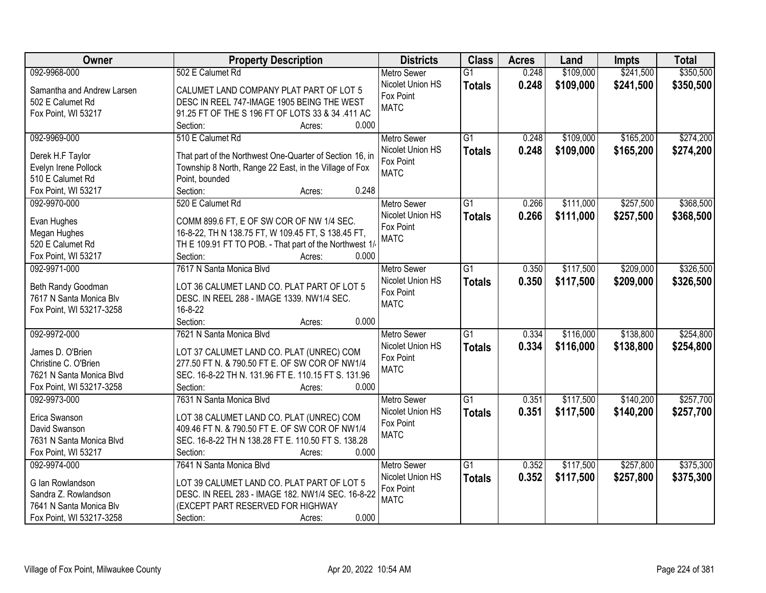| Owner                      | <b>Property Description</b>                              | <b>Districts</b>   | <b>Class</b>    | <b>Acres</b> | Land      | <b>Impts</b> | <b>Total</b> |
|----------------------------|----------------------------------------------------------|--------------------|-----------------|--------------|-----------|--------------|--------------|
| 092-9968-000               | 502 E Calumet Rd                                         | <b>Metro Sewer</b> | $\overline{G1}$ | 0.248        | \$109,000 | \$241,500    | \$350,500    |
| Samantha and Andrew Larsen | CALUMET LAND COMPANY PLAT PART OF LOT 5                  | Nicolet Union HS   | <b>Totals</b>   | 0.248        | \$109,000 | \$241,500    | \$350,500    |
| 502 E Calumet Rd           | DESC IN REEL 747-IMAGE 1905 BEING THE WEST               | Fox Point          |                 |              |           |              |              |
| Fox Point, WI 53217        | 91.25 FT OF THE S 196 FT OF LOTS 33 & 34 .411 AC         | <b>MATC</b>        |                 |              |           |              |              |
|                            | Section:<br>0.000<br>Acres:                              |                    |                 |              |           |              |              |
| 092-9969-000               | 510 E Calumet Rd                                         | Metro Sewer        | $\overline{G1}$ | 0.248        | \$109,000 | \$165,200    | \$274,200    |
|                            |                                                          | Nicolet Union HS   | <b>Totals</b>   | 0.248        | \$109,000 | \$165,200    | \$274,200    |
| Derek H.F Taylor           | That part of the Northwest One-Quarter of Section 16, in | Fox Point          |                 |              |           |              |              |
| Evelyn Irene Pollock       | Township 8 North, Range 22 East, in the Village of Fox   | <b>MATC</b>        |                 |              |           |              |              |
| 510 E Calumet Rd           | Point, bounded                                           |                    |                 |              |           |              |              |
| Fox Point, WI 53217        | 0.248<br>Section:<br>Acres:                              |                    |                 |              |           |              |              |
| 092-9970-000               | 520 E Calumet Rd                                         | Metro Sewer        | $\overline{G1}$ | 0.266        | \$111,000 | \$257,500    | \$368,500    |
| Evan Hughes                | COMM 899.6 FT, E OF SW COR OF NW 1/4 SEC.                | Nicolet Union HS   | <b>Totals</b>   | 0.266        | \$111,000 | \$257,500    | \$368,500    |
| Megan Hughes               | 16-8-22, TH N 138.75 FT, W 109.45 FT, S 138.45 FT,       | Fox Point          |                 |              |           |              |              |
| 520 E Calumet Rd           | TH E 109.91 FT TO POB. - That part of the Northwest 1/   | <b>MATC</b>        |                 |              |           |              |              |
| Fox Point, WI 53217        | 0.000<br>Section:<br>Acres:                              |                    |                 |              |           |              |              |
| 092-9971-000               | 7617 N Santa Monica Blvd                                 | <b>Metro Sewer</b> | G1              | 0.350        | \$117,500 | \$209,000    | \$326,500    |
|                            |                                                          | Nicolet Union HS   | <b>Totals</b>   | 0.350        | \$117,500 | \$209,000    | \$326,500    |
| Beth Randy Goodman         | LOT 36 CALUMET LAND CO. PLAT PART OF LOT 5               | Fox Point          |                 |              |           |              |              |
| 7617 N Santa Monica Blv    | DESC. IN REEL 288 - IMAGE 1339. NW1/4 SEC.               | <b>MATC</b>        |                 |              |           |              |              |
| Fox Point, WI 53217-3258   | 16-8-22                                                  |                    |                 |              |           |              |              |
|                            | 0.000<br>Section:<br>Acres:                              |                    |                 |              |           |              |              |
| 092-9972-000               | 7621 N Santa Monica Blvd                                 | <b>Metro Sewer</b> | $\overline{G1}$ | 0.334        | \$116,000 | \$138,800    | \$254,800    |
| James D. O'Brien           | LOT 37 CALUMET LAND CO. PLAT (UNREC) COM                 | Nicolet Union HS   | <b>Totals</b>   | 0.334        | \$116,000 | \$138,800    | \$254,800    |
| Christine C. O'Brien       | 277.50 FT N. & 790.50 FT E. OF SW COR OF NW1/4           | Fox Point          |                 |              |           |              |              |
| 7621 N Santa Monica Blvd   | SEC. 16-8-22 TH N. 131.96 FT E. 110.15 FT S. 131.96      | <b>MATC</b>        |                 |              |           |              |              |
| Fox Point, WI 53217-3258   | Section:<br>0.000<br>Acres:                              |                    |                 |              |           |              |              |
| 092-9973-000               | 7631 N Santa Monica Blvd                                 | Metro Sewer        | $\overline{G1}$ | 0.351        | \$117,500 | \$140,200    | \$257,700    |
|                            |                                                          | Nicolet Union HS   | <b>Totals</b>   | 0.351        | \$117,500 | \$140,200    | \$257,700    |
| Erica Swanson              | LOT 38 CALUMET LAND CO. PLAT (UNREC) COM                 | Fox Point          |                 |              |           |              |              |
| David Swanson              | 409.46 FT N. & 790.50 FT E. OF SW COR OF NW1/4           | <b>MATC</b>        |                 |              |           |              |              |
| 7631 N Santa Monica Blvd   | SEC. 16-8-22 TH N 138.28 FT E. 110.50 FT S. 138.28       |                    |                 |              |           |              |              |
| Fox Point, WI 53217        | 0.000<br>Section:<br>Acres:                              |                    |                 |              |           |              |              |
| 092-9974-000               | 7641 N Santa Monica Blvd                                 | <b>Metro Sewer</b> | $\overline{G1}$ | 0.352        | \$117,500 | \$257,800    | \$375,300    |
| G Ian Rowlandson           | LOT 39 CALUMET LAND CO. PLAT PART OF LOT 5               | Nicolet Union HS   | <b>Totals</b>   | 0.352        | \$117,500 | \$257,800    | \$375,300    |
| Sandra Z. Rowlandson       | DESC. IN REEL 283 - IMAGE 182. NW1/4 SEC. 16-8-22        | Fox Point          |                 |              |           |              |              |
| 7641 N Santa Monica Blv    | (EXCEPT PART RESERVED FOR HIGHWAY                        | <b>MATC</b>        |                 |              |           |              |              |
| Fox Point, WI 53217-3258   | 0.000<br>Section:<br>Acres:                              |                    |                 |              |           |              |              |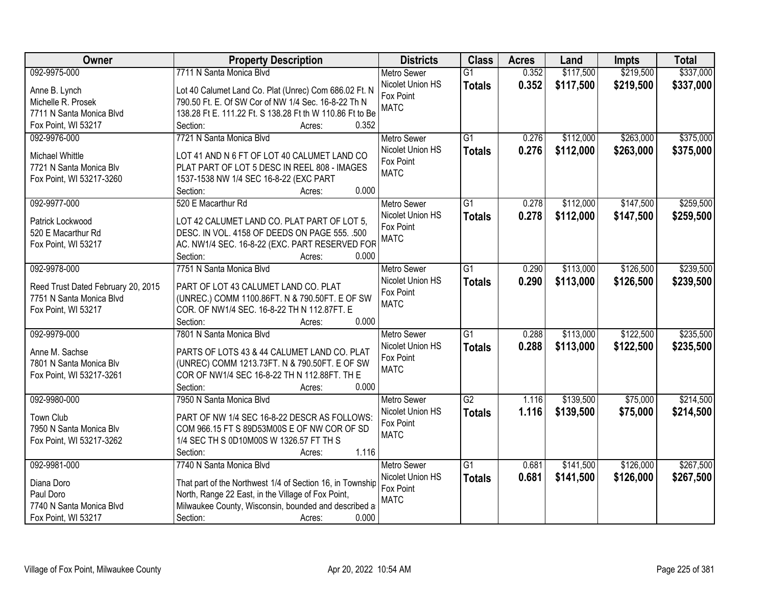| Owner                                                          | <b>Property Description</b>                                                            | <b>Districts</b>   | <b>Class</b>    | <b>Acres</b> | Land      | <b>Impts</b> | <b>Total</b> |
|----------------------------------------------------------------|----------------------------------------------------------------------------------------|--------------------|-----------------|--------------|-----------|--------------|--------------|
| 092-9975-000                                                   | 7711 N Santa Monica Blvd                                                               | <b>Metro Sewer</b> | $\overline{G1}$ | 0.352        | \$117,500 | \$219,500    | \$337,000    |
| Anne B. Lynch                                                  | Lot 40 Calumet Land Co. Plat (Unrec) Com 686.02 Ft. N                                  | Nicolet Union HS   | <b>Totals</b>   | 0.352        | \$117,500 | \$219,500    | \$337,000    |
| Michelle R. Prosek                                             | 790.50 Ft. E. Of SW Cor of NW 1/4 Sec. 16-8-22 Th N                                    | Fox Point          |                 |              |           |              |              |
| 7711 N Santa Monica Blvd                                       | 138.28 Ft E. 111.22 Ft. S 138.28 Ft th W 110.86 Ft to Be                               | <b>MATC</b>        |                 |              |           |              |              |
| Fox Point, WI 53217                                            | 0.352<br>Section:<br>Acres:                                                            |                    |                 |              |           |              |              |
| 092-9976-000                                                   | 7721 N Santa Monica Blvd                                                               | <b>Metro Sewer</b> | $\overline{G1}$ | 0.276        | \$112,000 | \$263,000    | \$375,000    |
|                                                                |                                                                                        | Nicolet Union HS   | <b>Totals</b>   | 0.276        | \$112,000 | \$263,000    | \$375,000    |
| <b>Michael Whittle</b>                                         | LOT 41 AND N 6 FT OF LOT 40 CALUMET LAND CO                                            | Fox Point          |                 |              |           |              |              |
| 7721 N Santa Monica Blv                                        | PLAT PART OF LOT 5 DESC IN REEL 808 - IMAGES                                           | <b>MATC</b>        |                 |              |           |              |              |
| Fox Point, WI 53217-3260                                       | 1537-1538 NW 1/4 SEC 16-8-22 (EXC PART<br>0.000                                        |                    |                 |              |           |              |              |
|                                                                | Section:<br>Acres:                                                                     |                    |                 |              |           |              |              |
| 092-9977-000                                                   | 520 E Macarthur Rd                                                                     | <b>Metro Sewer</b> | $\overline{G1}$ | 0.278        | \$112,000 | \$147,500    | \$259,500    |
| Patrick Lockwood                                               | LOT 42 CALUMET LAND CO. PLAT PART OF LOT 5,                                            | Nicolet Union HS   | <b>Totals</b>   | 0.278        | \$112,000 | \$147,500    | \$259,500    |
| 520 E Macarthur Rd                                             | DESC. IN VOL. 4158 OF DEEDS ON PAGE 555. .500                                          | Fox Point          |                 |              |           |              |              |
| Fox Point, WI 53217                                            | AC. NW1/4 SEC. 16-8-22 (EXC. PART RESERVED FOR                                         | <b>MATC</b>        |                 |              |           |              |              |
|                                                                | Section:<br>0.000<br>Acres:                                                            |                    |                 |              |           |              |              |
| 092-9978-000                                                   | 7751 N Santa Monica Blvd                                                               | <b>Metro Sewer</b> | G1              | 0.290        | \$113,000 | \$126,500    | \$239,500    |
|                                                                |                                                                                        | Nicolet Union HS   | <b>Totals</b>   | 0.290        | \$113,000 | \$126,500    | \$239,500    |
| Reed Trust Dated February 20, 2015<br>7751 N Santa Monica Blvd | PART OF LOT 43 CALUMET LAND CO. PLAT<br>(UNREC.) COMM 1100.86FT. N & 790.50FT. E OF SW | Fox Point          |                 |              |           |              |              |
| Fox Point, WI 53217                                            | COR. OF NW1/4 SEC. 16-8-22 TH N 112.87FT. E                                            | <b>MATC</b>        |                 |              |           |              |              |
|                                                                | 0.000<br>Section:<br>Acres:                                                            |                    |                 |              |           |              |              |
| 092-9979-000                                                   | 7801 N Santa Monica Blvd                                                               | <b>Metro Sewer</b> | $\overline{G1}$ | 0.288        | \$113,000 | \$122,500    | \$235,500    |
|                                                                |                                                                                        | Nicolet Union HS   |                 | 0.288        | \$113,000 | \$122,500    | \$235,500    |
| Anne M. Sachse                                                 | PARTS OF LOTS 43 & 44 CALUMET LAND CO. PLAT                                            | Fox Point          | <b>Totals</b>   |              |           |              |              |
| 7801 N Santa Monica Blv                                        | (UNREC) COMM 1213.73FT. N & 790.50FT. E OF SW                                          | <b>MATC</b>        |                 |              |           |              |              |
| Fox Point, WI 53217-3261                                       | COR OF NW1/4 SEC 16-8-22 TH N 112.88FT. TH E                                           |                    |                 |              |           |              |              |
|                                                                | 0.000<br>Section:<br>Acres:                                                            |                    |                 |              |           |              |              |
| 092-9980-000                                                   | 7950 N Santa Monica Blvd                                                               | <b>Metro Sewer</b> | $\overline{G2}$ | 1.116        | \$139,500 | \$75,000     | \$214,500    |
| Town Club                                                      | PART OF NW 1/4 SEC 16-8-22 DESCR AS FOLLOWS:                                           | Nicolet Union HS   | <b>Totals</b>   | 1.116        | \$139,500 | \$75,000     | \$214,500    |
| 7950 N Santa Monica Blv                                        | COM 966.15 FT S 89D53M00S E OF NW COR OF SD                                            | Fox Point          |                 |              |           |              |              |
| Fox Point, WI 53217-3262                                       | 1/4 SEC TH S 0D10M00S W 1326.57 FT TH S                                                | <b>MATC</b>        |                 |              |           |              |              |
|                                                                | 1.116<br>Section:<br>Acres:                                                            |                    |                 |              |           |              |              |
| 092-9981-000                                                   | 7740 N Santa Monica Blvd                                                               | <b>Metro Sewer</b> | $\overline{G1}$ | 0.681        | \$141,500 | \$126,000    | \$267,500    |
|                                                                |                                                                                        | Nicolet Union HS   | <b>Totals</b>   | 0.681        | \$141,500 | \$126,000    | \$267,500    |
| Diana Doro                                                     | That part of the Northwest 1/4 of Section 16, in Township                              | Fox Point          |                 |              |           |              |              |
| Paul Doro                                                      | North, Range 22 East, in the Village of Fox Point,                                     | <b>MATC</b>        |                 |              |           |              |              |
| 7740 N Santa Monica Blvd                                       | Milwaukee County, Wisconsin, bounded and described a                                   |                    |                 |              |           |              |              |
| Fox Point, WI 53217                                            | 0.000<br>Section:<br>Acres:                                                            |                    |                 |              |           |              |              |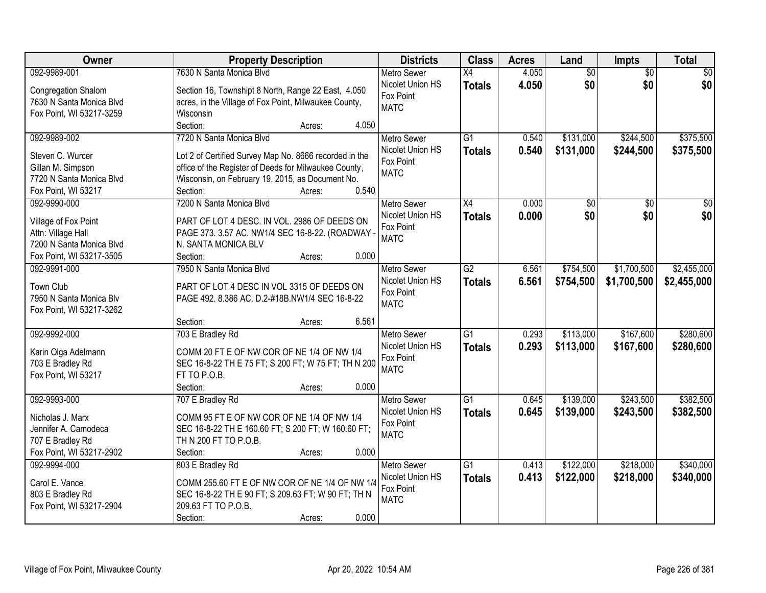| 092-9989-001<br>7630 N Santa Monica Blvd<br>4.050<br>$\overline{50}$<br>\$0<br><b>Metro Sewer</b><br>$\overline{X4}$<br>$\overline{50}$<br>\$0<br>\$0<br>\$0<br>Nicolet Union HS<br>4.050<br><b>Totals</b><br>Section 16, Townshipt 8 North, Range 22 East, 4.050<br>Congregation Shalom<br>Fox Point<br>7630 N Santa Monica Blvd<br>acres, in the Village of Fox Point, Milwaukee County,<br><b>MATC</b><br>Fox Point, WI 53217-3259<br>Wisconsin<br>Section:<br>4.050<br>Acres: |
|-----------------------------------------------------------------------------------------------------------------------------------------------------------------------------------------------------------------------------------------------------------------------------------------------------------------------------------------------------------------------------------------------------------------------------------------------------------------------------------|
|                                                                                                                                                                                                                                                                                                                                                                                                                                                                                   |
|                                                                                                                                                                                                                                                                                                                                                                                                                                                                                   |
|                                                                                                                                                                                                                                                                                                                                                                                                                                                                                   |
|                                                                                                                                                                                                                                                                                                                                                                                                                                                                                   |
| 7720 N Santa Monica Blvd<br>$\overline{G1}$<br>\$244,500<br>\$375,500<br>092-9989-002<br>0.540<br>\$131,000<br><b>Metro Sewer</b>                                                                                                                                                                                                                                                                                                                                                 |
| Nicolet Union HS<br>0.540<br>\$131,000<br>\$375,500<br>\$244,500<br><b>Totals</b><br>Lot 2 of Certified Survey Map No. 8666 recorded in the<br>Steven C. Wurcer                                                                                                                                                                                                                                                                                                                   |
| Fox Point<br>office of the Register of Deeds for Milwaukee County,<br>Gillan M. Simpson                                                                                                                                                                                                                                                                                                                                                                                           |
| <b>MATC</b><br>Wisconsin, on February 19, 2015, as Document No.<br>7720 N Santa Monica Blvd                                                                                                                                                                                                                                                                                                                                                                                       |
| 0.540<br>Section:<br>Fox Point, WI 53217<br>Acres:                                                                                                                                                                                                                                                                                                                                                                                                                                |
| 092-9990-000<br>7200 N Santa Monica Blvd<br>X4<br>0.000<br>\$0<br>\$0<br><b>Metro Sewer</b><br>\$0                                                                                                                                                                                                                                                                                                                                                                                |
| \$0<br>\$0 <br>\$0<br>Nicolet Union HS<br>0.000<br><b>Totals</b>                                                                                                                                                                                                                                                                                                                                                                                                                  |
| PART OF LOT 4 DESC. IN VOL. 2986 OF DEEDS ON<br>Village of Fox Point<br>Fox Point                                                                                                                                                                                                                                                                                                                                                                                                 |
| Attn: Village Hall<br>PAGE 373. 3.57 AC. NW1/4 SEC 16-8-22. (ROADWAY -<br><b>MATC</b><br>N. SANTA MONICA BLV<br>7200 N Santa Monica Blvd                                                                                                                                                                                                                                                                                                                                          |
| Fox Point, WI 53217-3505<br>Section:<br>0.000<br>Acres:                                                                                                                                                                                                                                                                                                                                                                                                                           |
| 7950 N Santa Monica Blvd<br>$\overline{G2}$<br>\$754,500<br>\$1,700,500<br>\$2,455,000<br>092-9991-000<br><b>Metro Sewer</b><br>6.561                                                                                                                                                                                                                                                                                                                                             |
| Nicolet Union HS<br>6.561<br>\$754,500<br>\$1,700,500<br>\$2,455,000<br><b>Totals</b>                                                                                                                                                                                                                                                                                                                                                                                             |
| Town Club<br>PART OF LOT 4 DESC IN VOL 3315 OF DEEDS ON<br>Fox Point                                                                                                                                                                                                                                                                                                                                                                                                              |
| 7950 N Santa Monica Blv<br>PAGE 492. 8.386 AC. D.2-#18B.NW1/4 SEC 16-8-22<br><b>MATC</b>                                                                                                                                                                                                                                                                                                                                                                                          |
| Fox Point, WI 53217-3262                                                                                                                                                                                                                                                                                                                                                                                                                                                          |
| 6.561<br>Section:<br>Acres:                                                                                                                                                                                                                                                                                                                                                                                                                                                       |
| \$167,600<br>\$280,600<br>092-9992-000<br>703 E Bradley Rd<br>$\overline{G1}$<br>0.293<br>\$113,000<br><b>Metro Sewer</b>                                                                                                                                                                                                                                                                                                                                                         |
| 0.293<br>\$113,000<br>\$167,600<br>\$280,600<br>Nicolet Union HS<br><b>Totals</b><br>Karin Olga Adelmann<br>COMM 20 FT E OF NW COR OF NE 1/4 OF NW 1/4                                                                                                                                                                                                                                                                                                                            |
| Fox Point<br>SEC 16-8-22 TH E 75 FT; S 200 FT; W 75 FT; TH N 200<br>703 E Bradley Rd<br><b>MATC</b>                                                                                                                                                                                                                                                                                                                                                                               |
| Fox Point, WI 53217<br>FT TO P.O.B.                                                                                                                                                                                                                                                                                                                                                                                                                                               |
| Section:<br>0.000<br>Acres:                                                                                                                                                                                                                                                                                                                                                                                                                                                       |
| $\overline{G1}$<br>\$243,500<br>\$382,500<br>092-9993-000<br>707 E Bradley Rd<br>\$139,000<br>Metro Sewer<br>0.645                                                                                                                                                                                                                                                                                                                                                                |
| Nicolet Union HS<br>0.645<br>\$139,000<br>\$243,500<br>\$382,500<br><b>Totals</b><br>COMM 95 FT E OF NW COR OF NE 1/4 OF NW 1/4<br>Nicholas J. Marx                                                                                                                                                                                                                                                                                                                               |
| Fox Point<br>SEC 16-8-22 TH E 160.60 FT; S 200 FT; W 160.60 FT;<br>Jennifer A. Camodeca                                                                                                                                                                                                                                                                                                                                                                                           |
| <b>MATC</b><br>TH N 200 FT TO P.O.B.<br>707 E Bradley Rd                                                                                                                                                                                                                                                                                                                                                                                                                          |
| 0.000<br>Fox Point, WI 53217-2902<br>Section:<br>Acres:                                                                                                                                                                                                                                                                                                                                                                                                                           |
| 092-9994-000<br>$\overline{G1}$<br>\$122,000<br>\$218,000<br>\$340,000<br>803 E Bradley Rd<br>0.413<br><b>Metro Sewer</b>                                                                                                                                                                                                                                                                                                                                                         |
| Nicolet Union HS<br>0.413<br>\$122,000<br>\$340,000<br>\$218,000<br><b>Totals</b><br>COMM 255.60 FT E OF NW COR OF NE 1/4 OF NW 1/4                                                                                                                                                                                                                                                                                                                                               |
| Carol E. Vance<br>Fox Point<br>803 E Bradley Rd<br>SEC 16-8-22 TH E 90 FT; S 209.63 FT; W 90 FT; TH N                                                                                                                                                                                                                                                                                                                                                                             |
| <b>MATC</b><br>Fox Point, WI 53217-2904<br>209.63 FT TO P.O.B.                                                                                                                                                                                                                                                                                                                                                                                                                    |
| 0.000<br>Section:<br>Acres:                                                                                                                                                                                                                                                                                                                                                                                                                                                       |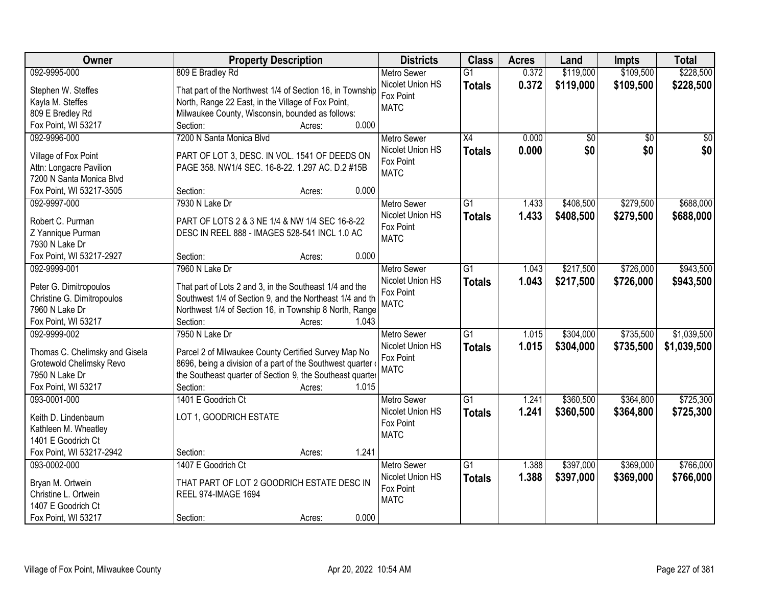| Owner                                                | <b>Property Description</b>                                                                                         | <b>Districts</b>         | <b>Class</b>    | <b>Acres</b> | Land      | <b>Impts</b>    | <b>Total</b> |
|------------------------------------------------------|---------------------------------------------------------------------------------------------------------------------|--------------------------|-----------------|--------------|-----------|-----------------|--------------|
| 092-9995-000                                         | 809 E Bradley Rd                                                                                                    | <b>Metro Sewer</b>       | $\overline{G1}$ | 0.372        | \$119,000 | \$109,500       | \$228,500    |
| Stephen W. Steffes                                   | That part of the Northwest 1/4 of Section 16, in Township                                                           | Nicolet Union HS         | <b>Totals</b>   | 0.372        | \$119,000 | \$109,500       | \$228,500    |
| Kayla M. Steffes                                     | North, Range 22 East, in the Village of Fox Point,                                                                  | Fox Point                |                 |              |           |                 |              |
| 809 E Bredley Rd                                     | Milwaukee County, Wisconsin, bounded as follows:                                                                    | <b>MATC</b>              |                 |              |           |                 |              |
| Fox Point, WI 53217                                  | 0.000<br>Section:<br>Acres:                                                                                         |                          |                 |              |           |                 |              |
| 092-9996-000                                         | 7200 N Santa Monica Blvd                                                                                            | <b>Metro Sewer</b>       | $\overline{X4}$ | 0.000        | \$0       | $\overline{50}$ | \$0          |
|                                                      |                                                                                                                     | Nicolet Union HS         | <b>Totals</b>   | 0.000        | \$0       | \$0             | \$0          |
| Village of Fox Point                                 | PART OF LOT 3, DESC. IN VOL. 1541 OF DEEDS ON                                                                       | Fox Point                |                 |              |           |                 |              |
| Attn: Longacre Pavilion                              | PAGE 358. NW1/4 SEC. 16-8-22. 1.297 AC. D.2 #15B                                                                    | <b>MATC</b>              |                 |              |           |                 |              |
| 7200 N Santa Monica Blvd                             |                                                                                                                     |                          |                 |              |           |                 |              |
| Fox Point, WI 53217-3505                             | 0.000<br>Section:<br>Acres:                                                                                         |                          |                 |              |           |                 |              |
| 092-9997-000                                         | 7930 N Lake Dr                                                                                                      | <b>Metro Sewer</b>       | $\overline{G1}$ | 1.433        | \$408,500 | \$279,500       | \$688,000    |
| Robert C. Purman                                     | PART OF LOTS 2 & 3 NE 1/4 & NW 1/4 SEC 16-8-22                                                                      | Nicolet Union HS         | <b>Totals</b>   | 1.433        | \$408,500 | \$279,500       | \$688,000    |
| Z Yannique Purman                                    | DESC IN REEL 888 - IMAGES 528-541 INCL 1.0 AC                                                                       | Fox Point<br><b>MATC</b> |                 |              |           |                 |              |
| 7930 N Lake Dr                                       |                                                                                                                     |                          |                 |              |           |                 |              |
| Fox Point, WI 53217-2927                             | 0.000<br>Section:<br>Acres:                                                                                         |                          |                 |              |           |                 |              |
| 092-9999-001                                         | 7960 N Lake Dr                                                                                                      | <b>Metro Sewer</b>       | G1              | 1.043        | \$217,500 | \$726,000       | \$943,500    |
|                                                      |                                                                                                                     | Nicolet Union HS         | <b>Totals</b>   | 1.043        | \$217,500 | \$726,000       | \$943,500    |
| Peter G. Dimitropoulos<br>Christine G. Dimitropoulos | That part of Lots 2 and 3, in the Southeast 1/4 and the<br>Southwest 1/4 of Section 9, and the Northeast 1/4 and th | Fox Point                |                 |              |           |                 |              |
| 7960 N Lake Dr                                       | Northwest 1/4 of Section 16, in Township 8 North, Range                                                             | <b>MATC</b>              |                 |              |           |                 |              |
| Fox Point, WI 53217                                  | Section:<br>1.043<br>Acres:                                                                                         |                          |                 |              |           |                 |              |
| 092-9999-002                                         | 7950 N Lake Dr                                                                                                      | <b>Metro Sewer</b>       | $\overline{G1}$ | 1.015        | \$304,000 | \$735,500       | \$1,039,500  |
|                                                      |                                                                                                                     | Nicolet Union HS         | <b>Totals</b>   | 1.015        | \$304,000 | \$735,500       | \$1,039,500  |
| Thomas C. Chelimsky and Gisela                       | Parcel 2 of Milwaukee County Certified Survey Map No                                                                | Fox Point                |                 |              |           |                 |              |
| Grotewold Chelimsky Revo                             | 8696, being a division of a part of the Southwest quarter                                                           | <b>MATC</b>              |                 |              |           |                 |              |
| 7950 N Lake Dr                                       | the Southeast quarter of Section 9, the Southeast quarter                                                           |                          |                 |              |           |                 |              |
| Fox Point, WI 53217                                  | 1.015<br>Section:<br>Acres:                                                                                         |                          |                 |              |           |                 |              |
| 093-0001-000                                         | 1401 E Goodrich Ct                                                                                                  | <b>Metro Sewer</b>       | $\overline{G1}$ | 1.241        | \$360,500 | \$364,800       | \$725,300    |
| Keith D. Lindenbaum                                  | LOT 1, GOODRICH ESTATE                                                                                              | Nicolet Union HS         | <b>Totals</b>   | 1.241        | \$360,500 | \$364,800       | \$725,300    |
| Kathleen M. Wheatley                                 |                                                                                                                     | Fox Point                |                 |              |           |                 |              |
| 1401 E Goodrich Ct                                   |                                                                                                                     | <b>MATC</b>              |                 |              |           |                 |              |
| Fox Point, WI 53217-2942                             | 1.241<br>Section:<br>Acres:                                                                                         |                          |                 |              |           |                 |              |
| 093-0002-000                                         | 1407 E Goodrich Ct                                                                                                  | <b>Metro Sewer</b>       | $\overline{G1}$ | 1.388        | \$397,000 | \$369,000       | \$766,000    |
|                                                      |                                                                                                                     | Nicolet Union HS         | <b>Totals</b>   | 1.388        | \$397,000 | \$369,000       | \$766,000    |
| Bryan M. Ortwein                                     | THAT PART OF LOT 2 GOODRICH ESTATE DESC IN                                                                          | Fox Point                |                 |              |           |                 |              |
| Christine L. Ortwein                                 | <b>REEL 974-IMAGE 1694</b>                                                                                          | <b>MATC</b>              |                 |              |           |                 |              |
| 1407 E Goodrich Ct                                   |                                                                                                                     |                          |                 |              |           |                 |              |
| Fox Point, WI 53217                                  | 0.000<br>Section:<br>Acres:                                                                                         |                          |                 |              |           |                 |              |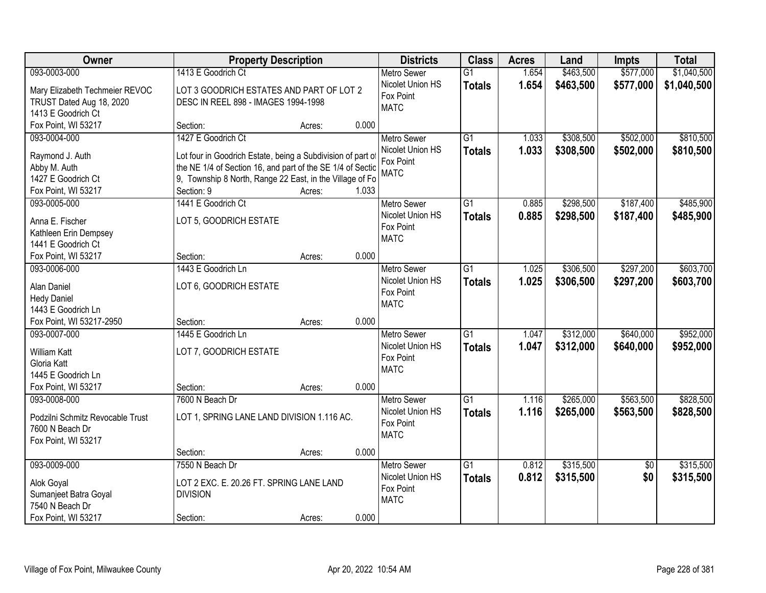| <b>Owner</b>                             |                                                             | <b>Property Description</b> |       | <b>Districts</b>   | <b>Class</b>    | <b>Acres</b> | Land      | <b>Impts</b>    | <b>Total</b> |
|------------------------------------------|-------------------------------------------------------------|-----------------------------|-------|--------------------|-----------------|--------------|-----------|-----------------|--------------|
| 093-0003-000                             | 1413 E Goodrich Ct                                          |                             |       | <b>Metro Sewer</b> | $\overline{G1}$ | 1.654        | \$463,500 | \$577,000       | \$1,040,500  |
| Mary Elizabeth Techmeier REVOC           | LOT 3 GOODRICH ESTATES AND PART OF LOT 2                    |                             |       | Nicolet Union HS   | <b>Totals</b>   | 1.654        | \$463,500 | \$577,000       | \$1,040,500  |
| TRUST Dated Aug 18, 2020                 | DESC IN REEL 898 - IMAGES 1994-1998                         |                             |       | Fox Point          |                 |              |           |                 |              |
| 1413 E Goodrich Ct                       |                                                             |                             |       | <b>MATC</b>        |                 |              |           |                 |              |
| Fox Point, WI 53217                      | Section:                                                    | Acres:                      | 0.000 |                    |                 |              |           |                 |              |
| 093-0004-000                             | 1427 E Goodrich Ct                                          |                             |       | <b>Metro Sewer</b> | $\overline{G1}$ | 1.033        | \$308,500 | \$502,000       | \$810,500    |
|                                          |                                                             |                             |       | Nicolet Union HS   | <b>Totals</b>   | 1.033        | \$308,500 | \$502,000       | \$810,500    |
| Raymond J. Auth                          | Lot four in Goodrich Estate, being a Subdivision of part of |                             |       | Fox Point          |                 |              |           |                 |              |
| Abby M. Auth                             | the NE 1/4 of Section 16, and part of the SE 1/4 of Sectio  |                             |       | <b>MATC</b>        |                 |              |           |                 |              |
| 1427 E Goodrich Ct                       | 9, Township 8 North, Range 22 East, in the Village of Fo    |                             |       |                    |                 |              |           |                 |              |
| Fox Point, WI 53217                      | Section: 9                                                  | Acres:                      | 1.033 |                    |                 |              |           |                 |              |
| 093-0005-000                             | 1441 E Goodrich Ct                                          |                             |       | Metro Sewer        | G1              | 0.885        | \$298,500 | \$187,400       | \$485,900    |
| Anna E. Fischer                          | LOT 5, GOODRICH ESTATE                                      |                             |       | Nicolet Union HS   | <b>Totals</b>   | 0.885        | \$298,500 | \$187,400       | \$485,900    |
| Kathleen Erin Dempsey                    |                                                             |                             |       | Fox Point          |                 |              |           |                 |              |
| 1441 E Goodrich Ct                       |                                                             |                             |       | <b>MATC</b>        |                 |              |           |                 |              |
| Fox Point, WI 53217                      | Section:                                                    | Acres:                      | 0.000 |                    |                 |              |           |                 |              |
| 093-0006-000                             | 1443 E Goodrich Ln                                          |                             |       | Metro Sewer        | $\overline{G1}$ | 1.025        | \$306,500 | \$297,200       | \$603,700    |
|                                          |                                                             |                             |       | Nicolet Union HS   | <b>Totals</b>   | 1.025        | \$306,500 | \$297,200       | \$603,700    |
| Alan Daniel                              | LOT 6, GOODRICH ESTATE                                      |                             |       | Fox Point          |                 |              |           |                 |              |
| <b>Hedy Daniel</b><br>1443 E Goodrich Ln |                                                             |                             |       | <b>MATC</b>        |                 |              |           |                 |              |
| Fox Point, WI 53217-2950                 | Section:                                                    | Acres:                      | 0.000 |                    |                 |              |           |                 |              |
| 093-0007-000                             | 1445 E Goodrich Ln                                          |                             |       | <b>Metro Sewer</b> | $\overline{G1}$ | 1.047        | \$312,000 | \$640,000       | \$952,000    |
|                                          |                                                             |                             |       | Nicolet Union HS   |                 |              |           |                 |              |
| <b>William Katt</b>                      | LOT 7, GOODRICH ESTATE                                      |                             |       | Fox Point          | <b>Totals</b>   | 1.047        | \$312,000 | \$640,000       | \$952,000    |
| Gloria Katt                              |                                                             |                             |       | <b>MATC</b>        |                 |              |           |                 |              |
| 1445 E Goodrich Ln                       |                                                             |                             |       |                    |                 |              |           |                 |              |
| Fox Point, WI 53217                      | Section:                                                    | Acres:                      | 0.000 |                    |                 |              |           |                 |              |
| 093-0008-000                             | 7600 N Beach Dr                                             |                             |       | Metro Sewer        | $\overline{G1}$ | 1.116        | \$265,000 | \$563,500       | \$828,500    |
| Podzilni Schmitz Revocable Trust         | LOT 1, SPRING LANE LAND DIVISION 1.116 AC.                  |                             |       | Nicolet Union HS   | <b>Totals</b>   | 1.116        | \$265,000 | \$563,500       | \$828,500    |
| 7600 N Beach Dr                          |                                                             |                             |       | Fox Point          |                 |              |           |                 |              |
| Fox Point, WI 53217                      |                                                             |                             |       | <b>MATC</b>        |                 |              |           |                 |              |
|                                          | Section:                                                    | Acres:                      | 0.000 |                    |                 |              |           |                 |              |
| 093-0009-000                             | 7550 N Beach Dr                                             |                             |       | <b>Metro Sewer</b> | $\overline{G1}$ | 0.812        | \$315,500 | $\overline{50}$ | \$315,500    |
|                                          |                                                             |                             |       | Nicolet Union HS   | <b>Totals</b>   | 0.812        | \$315,500 | \$0             | \$315,500    |
| Alok Goyal                               | LOT 2 EXC. E. 20.26 FT. SPRING LANE LAND                    |                             |       | Fox Point          |                 |              |           |                 |              |
| Sumanjeet Batra Goyal                    | <b>DIVISION</b>                                             |                             |       | <b>MATC</b>        |                 |              |           |                 |              |
| 7540 N Beach Dr                          |                                                             |                             |       |                    |                 |              |           |                 |              |
| Fox Point, WI 53217                      | Section:                                                    | Acres:                      | 0.000 |                    |                 |              |           |                 |              |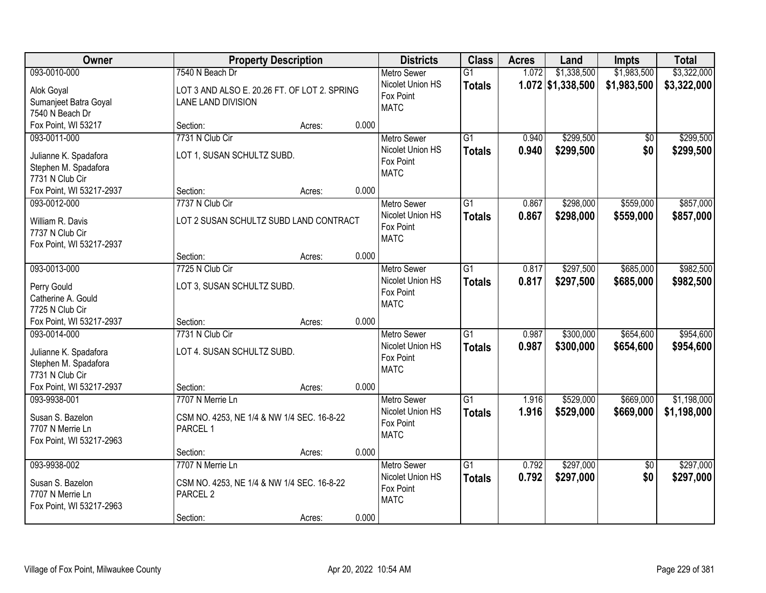| Owner                                       |                                              | <b>Property Description</b> |       | <b>Districts</b>   | <b>Class</b>    | <b>Acres</b> | Land                | <b>Impts</b>    | <b>Total</b> |
|---------------------------------------------|----------------------------------------------|-----------------------------|-------|--------------------|-----------------|--------------|---------------------|-----------------|--------------|
| 093-0010-000                                | 7540 N Beach Dr                              |                             |       | <b>Metro Sewer</b> | $\overline{G1}$ | 1.072        | \$1,338,500         | \$1,983,500     | \$3,322,000  |
| Alok Goyal                                  | LOT 3 AND ALSO E. 20.26 FT. OF LOT 2. SPRING |                             |       | Nicolet Union HS   | <b>Totals</b>   |              | $1.072$ \$1,338,500 | \$1,983,500     | \$3,322,000  |
| Sumanjeet Batra Goyal                       | LANE LAND DIVISION                           |                             |       | Fox Point          |                 |              |                     |                 |              |
| 7540 N Beach Dr                             |                                              |                             |       | <b>MATC</b>        |                 |              |                     |                 |              |
| Fox Point, WI 53217                         | Section:                                     | Acres:                      | 0.000 |                    |                 |              |                     |                 |              |
| 093-0011-000                                | 7731 N Club Cir                              |                             |       | <b>Metro Sewer</b> | $\overline{G1}$ | 0.940        | \$299,500           | $\overline{50}$ | \$299,500    |
| Julianne K. Spadafora                       | LOT 1, SUSAN SCHULTZ SUBD.                   |                             |       | Nicolet Union HS   | <b>Totals</b>   | 0.940        | \$299,500           | \$0             | \$299,500    |
| Stephen M. Spadafora                        |                                              |                             |       | Fox Point          |                 |              |                     |                 |              |
| 7731 N Club Cir                             |                                              |                             |       | <b>MATC</b>        |                 |              |                     |                 |              |
| Fox Point, WI 53217-2937                    | Section:                                     | Acres:                      | 0.000 |                    |                 |              |                     |                 |              |
| 093-0012-000                                | 7737 N Club Cir                              |                             |       | Metro Sewer        | G1              | 0.867        | \$298,000           | \$559,000       | \$857,000    |
|                                             |                                              |                             |       | Nicolet Union HS   | <b>Totals</b>   | 0.867        | \$298,000           | \$559,000       | \$857,000    |
| William R. Davis<br>7737 N Club Cir         | LOT 2 SUSAN SCHULTZ SUBD LAND CONTRACT       |                             |       | Fox Point          |                 |              |                     |                 |              |
| Fox Point, WI 53217-2937                    |                                              |                             |       | <b>MATC</b>        |                 |              |                     |                 |              |
|                                             | Section:                                     | Acres:                      | 0.000 |                    |                 |              |                     |                 |              |
| 093-0013-000                                | 7725 N Club Cir                              |                             |       | <b>Metro Sewer</b> | G1              | 0.817        | \$297,500           | \$685,000       | \$982,500    |
|                                             |                                              |                             |       | Nicolet Union HS   | <b>Totals</b>   | 0.817        | \$297,500           | \$685,000       | \$982,500    |
| Perry Gould                                 | LOT 3, SUSAN SCHULTZ SUBD.                   |                             |       | Fox Point          |                 |              |                     |                 |              |
| Catherine A. Gould                          |                                              |                             |       | <b>MATC</b>        |                 |              |                     |                 |              |
| 7725 N Club Cir<br>Fox Point, WI 53217-2937 | Section:                                     |                             | 0.000 |                    |                 |              |                     |                 |              |
| 093-0014-000                                | 7731 N Club Cir                              | Acres:                      |       | <b>Metro Sewer</b> | $\overline{G1}$ | 0.987        | \$300,000           | \$654,600       | \$954,600    |
|                                             |                                              |                             |       | Nicolet Union HS   |                 | 0.987        | \$300,000           | \$654,600       |              |
| Julianne K. Spadafora                       | LOT 4. SUSAN SCHULTZ SUBD.                   |                             |       | Fox Point          | <b>Totals</b>   |              |                     |                 | \$954,600    |
| Stephen M. Spadafora                        |                                              |                             |       | <b>MATC</b>        |                 |              |                     |                 |              |
| 7731 N Club Cir                             |                                              |                             |       |                    |                 |              |                     |                 |              |
| Fox Point, WI 53217-2937                    | Section:                                     | Acres:                      | 0.000 |                    |                 |              |                     |                 |              |
| 093-9938-001                                | 7707 N Merrie Ln                             |                             |       | Metro Sewer        | $\overline{G1}$ | 1.916        | \$529,000           | \$669,000       | \$1,198,000  |
| Susan S. Bazelon                            | CSM NO. 4253, NE 1/4 & NW 1/4 SEC. 16-8-22   |                             |       | Nicolet Union HS   | <b>Totals</b>   | 1.916        | \$529,000           | \$669,000       | \$1,198,000  |
| 7707 N Merrie Ln                            | PARCEL 1                                     |                             |       | Fox Point          |                 |              |                     |                 |              |
| Fox Point, WI 53217-2963                    |                                              |                             |       | <b>MATC</b>        |                 |              |                     |                 |              |
|                                             | Section:                                     | Acres:                      | 0.000 |                    |                 |              |                     |                 |              |
| 093-9938-002                                | 7707 N Merrie Ln                             |                             |       | <b>Metro Sewer</b> | $\overline{G1}$ | 0.792        | \$297,000           | $\overline{50}$ | \$297,000    |
| Susan S. Bazelon                            | CSM NO. 4253, NE 1/4 & NW 1/4 SEC. 16-8-22   |                             |       | Nicolet Union HS   | <b>Totals</b>   | 0.792        | \$297,000           | \$0             | \$297,000    |
| 7707 N Merrie Ln                            | PARCEL <sub>2</sub>                          |                             |       | Fox Point          |                 |              |                     |                 |              |
| Fox Point, WI 53217-2963                    |                                              |                             |       | <b>MATC</b>        |                 |              |                     |                 |              |
|                                             | Section:                                     | Acres:                      | 0.000 |                    |                 |              |                     |                 |              |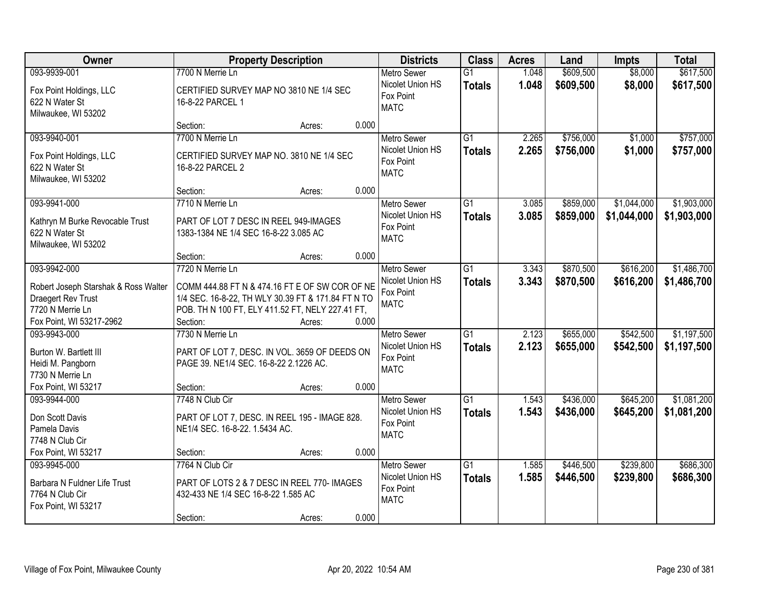| Owner                                                                    | <b>Property Description</b>                                                                          |                 | <b>Districts</b>                                    | <b>Class</b>                     | <b>Acres</b>   | Land                   | <b>Impts</b>           | <b>Total</b>               |
|--------------------------------------------------------------------------|------------------------------------------------------------------------------------------------------|-----------------|-----------------------------------------------------|----------------------------------|----------------|------------------------|------------------------|----------------------------|
| 093-9939-001                                                             | 7700 N Merrie Ln                                                                                     |                 | Metro Sewer                                         | $\overline{G1}$                  | 1.048          | \$609,500              | \$8,000                | \$617,500                  |
| Fox Point Holdings, LLC<br>622 N Water St<br>Milwaukee, WI 53202         | CERTIFIED SURVEY MAP NO 3810 NE 1/4 SEC<br>16-8-22 PARCEL 1                                          |                 | Nicolet Union HS<br>Fox Point<br><b>MATC</b>        | <b>Totals</b>                    | 1.048          | \$609,500              | \$8,000                | \$617,500                  |
|                                                                          | Section:                                                                                             | 0.000<br>Acres: |                                                     |                                  |                |                        |                        |                            |
| 093-9940-001<br>Fox Point Holdings, LLC                                  | 7700 N Merrie Ln<br>CERTIFIED SURVEY MAP NO. 3810 NE 1/4 SEC                                         |                 | <b>Metro Sewer</b><br>Nicolet Union HS<br>Fox Point | G1<br><b>Totals</b>              | 2.265<br>2.265 | \$756,000<br>\$756,000 | \$1,000<br>\$1,000     | \$757,000<br>\$757,000     |
| 622 N Water St<br>Milwaukee, WI 53202                                    | 16-8-22 PARCEL 2                                                                                     | 0.000           | <b>MATC</b>                                         |                                  |                |                        |                        |                            |
| 093-9941-000                                                             | Section:<br>7710 N Merrie Ln                                                                         | Acres:          | <b>Metro Sewer</b>                                  | G1                               | 3.085          | \$859,000              | \$1,044,000            | \$1,903,000                |
| Kathryn M Burke Revocable Trust<br>622 N Water St<br>Milwaukee, WI 53202 | PART OF LOT 7 DESC IN REEL 949-IMAGES<br>1383-1384 NE 1/4 SEC 16-8-22 3.085 AC                       |                 | Nicolet Union HS<br>Fox Point<br><b>MATC</b>        | <b>Totals</b>                    | 3.085          | \$859,000              | \$1,044,000            | \$1,903,000                |
|                                                                          | Section:                                                                                             | 0.000<br>Acres: |                                                     |                                  |                |                        |                        |                            |
| 093-9942-000                                                             | 7720 N Merrie Ln                                                                                     |                 | <b>Metro Sewer</b>                                  | $\overline{G1}$                  | 3.343          | \$870,500              | \$616,200              | \$1,486,700                |
| Robert Joseph Starshak & Ross Walter<br>Draegert Rev Trust               | COMM 444.88 FT N & 474.16 FT E OF SW COR OF NE<br>1/4 SEC. 16-8-22, TH WLY 30.39 FT & 171.84 FT N TO |                 | Nicolet Union HS<br>Fox Point                       | <b>Totals</b>                    | 3.343          | \$870,500              | \$616,200              | \$1,486,700                |
| 7720 N Merrie Ln                                                         | POB. TH N 100 FT, ELY 411.52 FT, NELY 227.41 FT,                                                     |                 | <b>MATC</b>                                         |                                  |                |                        |                        |                            |
| Fox Point, WI 53217-2962                                                 | Section:                                                                                             | 0.000<br>Acres: |                                                     |                                  |                |                        |                        |                            |
| 093-9943-000<br>Burton W. Bartlett III                                   | 7730 N Merrie Ln<br>PART OF LOT 7, DESC. IN VOL. 3659 OF DEEDS ON                                    |                 | Metro Sewer<br>Nicolet Union HS                     | $\overline{G1}$<br><b>Totals</b> | 2.123<br>2.123 | \$655,000<br>\$655,000 | \$542,500<br>\$542,500 | \$1,197,500<br>\$1,197,500 |
| Heidi M. Pangborn<br>7730 N Merrie Ln                                    | PAGE 39. NE1/4 SEC. 16-8-22 2.1226 AC.                                                               |                 | Fox Point<br><b>MATC</b>                            |                                  |                |                        |                        |                            |
| Fox Point, WI 53217                                                      | Section:                                                                                             | 0.000<br>Acres: |                                                     |                                  |                |                        |                        |                            |
| 093-9944-000                                                             | 7748 N Club Cir                                                                                      |                 | Metro Sewer                                         | $\overline{G1}$                  | 1.543          | \$436,000              | \$645,200              | \$1,081,200                |
| Don Scott Davis<br>Pamela Davis                                          | PART OF LOT 7, DESC. IN REEL 195 - IMAGE 828.<br>NE1/4 SEC. 16-8-22. 1.5434 AC.                      |                 | Nicolet Union HS<br>Fox Point<br><b>MATC</b>        | <b>Totals</b>                    | 1.543          | \$436,000              | \$645,200              | \$1,081,200                |
| 7748 N Club Cir                                                          |                                                                                                      | 0.000           |                                                     |                                  |                |                        |                        |                            |
| Fox Point, WI 53217<br>093-9945-000                                      | Section:<br>7764 N Club Cir                                                                          | Acres:          | Metro Sewer                                         | $\overline{G1}$                  | 1.585          | \$446,500              | \$239,800              | \$686,300                  |
| Barbara N Fuldner Life Trust<br>7764 N Club Cir<br>Fox Point, WI 53217   | PART OF LOTS 2 & 7 DESC IN REEL 770- IMAGES<br>432-433 NE 1/4 SEC 16-8-22 1.585 AC                   |                 | Nicolet Union HS<br>Fox Point<br><b>MATC</b>        | <b>Totals</b>                    | 1.585          | \$446,500              | \$239,800              | \$686,300                  |
|                                                                          | Section:                                                                                             | 0.000<br>Acres: |                                                     |                                  |                |                        |                        |                            |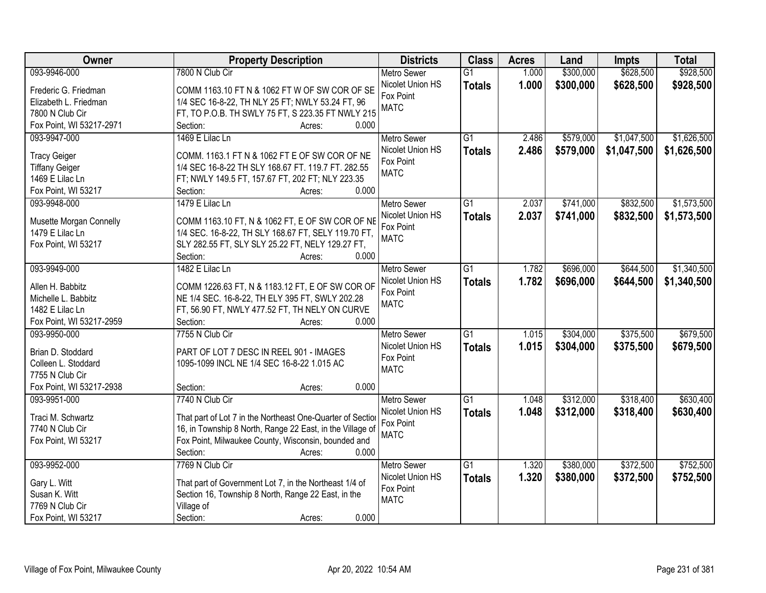| Owner                                   | <b>Property Description</b>                                                                        | <b>Districts</b>   | <b>Class</b>    | <b>Acres</b> | Land      | <b>Impts</b> | <b>Total</b> |
|-----------------------------------------|----------------------------------------------------------------------------------------------------|--------------------|-----------------|--------------|-----------|--------------|--------------|
| 093-9946-000                            | 7800 N Club Cir                                                                                    | <b>Metro Sewer</b> | $\overline{G1}$ | 1.000        | \$300,000 | \$628,500    | \$928,500    |
| Frederic G. Friedman                    | COMM 1163.10 FT N & 1062 FT W OF SW COR OF SE                                                      | Nicolet Union HS   | <b>Totals</b>   | 1.000        | \$300,000 | \$628,500    | \$928,500    |
| Elizabeth L. Friedman                   | 1/4 SEC 16-8-22, TH NLY 25 FT; NWLY 53.24 FT, 96                                                   | Fox Point          |                 |              |           |              |              |
| 7800 N Club Cir                         | FT, TO P.O.B. TH SWLY 75 FT, S 223.35 FT NWLY 215                                                  | <b>MATC</b>        |                 |              |           |              |              |
| Fox Point, WI 53217-2971                | 0.000<br>Section:<br>Acres:                                                                        |                    |                 |              |           |              |              |
| 093-9947-000                            | 1469 E Lilac Ln                                                                                    | <b>Metro Sewer</b> | $\overline{G1}$ | 2.486        | \$579,000 | \$1,047,500  | \$1,626,500  |
|                                         |                                                                                                    | Nicolet Union HS   | <b>Totals</b>   | 2.486        | \$579,000 | \$1,047,500  | \$1,626,500  |
| <b>Tracy Geiger</b>                     | COMM. 1163.1 FT N & 1062 FT E OF SW COR OF NE                                                      | Fox Point          |                 |              |           |              |              |
| <b>Tiffany Geiger</b>                   | 1/4 SEC 16-8-22 TH SLY 168.67 FT. 119.7 FT. 282.55                                                 | <b>MATC</b>        |                 |              |           |              |              |
| 1469 E Lilac Ln                         | FT; NWLY 149.5 FT, 157.67 FT, 202 FT; NLY 223.35                                                   |                    |                 |              |           |              |              |
| Fox Point, WI 53217                     | 0.000<br>Section:<br>Acres:                                                                        |                    |                 |              |           |              |              |
| 093-9948-000                            | 1479 E Lilac Ln                                                                                    | Metro Sewer        | G1              | 2.037        | \$741,000 | \$832,500    | \$1,573,500  |
| Musette Morgan Connelly                 | COMM 1163.10 FT, N & 1062 FT, E OF SW COR OF NE                                                    | Nicolet Union HS   | <b>Totals</b>   | 2.037        | \$741,000 | \$832,500    | \$1,573,500  |
| 1479 E Lilac Ln                         | 1/4 SEC. 16-8-22, TH SLY 168.67 FT, SELY 119.70 FT,                                                | Fox Point          |                 |              |           |              |              |
| Fox Point, WI 53217                     | SLY 282.55 FT, SLY SLY 25.22 FT, NELY 129.27 FT,                                                   | <b>MATC</b>        |                 |              |           |              |              |
|                                         | 0.000<br>Section:<br>Acres:                                                                        |                    |                 |              |           |              |              |
| 093-9949-000                            | 1482 E Lilac Ln                                                                                    | <b>Metro Sewer</b> | G1              | 1.782        | \$696,000 | \$644,500    | \$1,340,500  |
|                                         |                                                                                                    | Nicolet Union HS   | <b>Totals</b>   | 1.782        | \$696,000 | \$644,500    | \$1,340,500  |
| Allen H. Babbitz<br>Michelle L. Babbitz | COMM 1226.63 FT, N & 1183.12 FT, E OF SW COR OF<br>NE 1/4 SEC. 16-8-22, TH ELY 395 FT, SWLY 202.28 | Fox Point          |                 |              |           |              |              |
| 1482 E Lilac Ln                         | FT, 56.90 FT, NWLY 477.52 FT, TH NELY ON CURVE                                                     | <b>MATC</b>        |                 |              |           |              |              |
| Fox Point, WI 53217-2959                | Section:<br>0.000<br>Acres:                                                                        |                    |                 |              |           |              |              |
| 093-9950-000                            | 7755 N Club Cir                                                                                    | <b>Metro Sewer</b> | $\overline{G1}$ | 1.015        | \$304,000 | \$375,500    | \$679,500    |
|                                         |                                                                                                    | Nicolet Union HS   |                 | 1.015        | \$304,000 | \$375,500    |              |
| Brian D. Stoddard                       | PART OF LOT 7 DESC IN REEL 901 - IMAGES                                                            | Fox Point          | <b>Totals</b>   |              |           |              | \$679,500    |
| Colleen L. Stoddard                     | 1095-1099 INCL NE 1/4 SEC 16-8-22 1.015 AC                                                         | <b>MATC</b>        |                 |              |           |              |              |
| 7755 N Club Cir                         |                                                                                                    |                    |                 |              |           |              |              |
| Fox Point, WI 53217-2938                | Section:<br>0.000<br>Acres:                                                                        |                    |                 |              |           |              |              |
| 093-9951-000                            | 7740 N Club Cir                                                                                    | <b>Metro Sewer</b> | G1              | 1.048        | \$312,000 | \$318,400    | \$630,400    |
| Traci M. Schwartz                       | That part of Lot 7 in the Northeast One-Quarter of Section                                         | Nicolet Union HS   | <b>Totals</b>   | 1.048        | \$312,000 | \$318,400    | \$630,400    |
| 7740 N Club Cir                         | 16, in Township 8 North, Range 22 East, in the Village of                                          | Fox Point          |                 |              |           |              |              |
| Fox Point, WI 53217                     | Fox Point, Milwaukee County, Wisconsin, bounded and                                                | <b>MATC</b>        |                 |              |           |              |              |
|                                         | 0.000<br>Section:<br>Acres:                                                                        |                    |                 |              |           |              |              |
| 093-9952-000                            | 7769 N Club Cir                                                                                    | <b>Metro Sewer</b> | $\overline{G1}$ | 1.320        | \$380,000 | \$372,500    | \$752,500    |
|                                         |                                                                                                    | Nicolet Union HS   | <b>Totals</b>   | 1.320        | \$380,000 | \$372,500    | \$752,500    |
| Gary L. Witt                            | That part of Government Lot 7, in the Northeast 1/4 of                                             | Fox Point          |                 |              |           |              |              |
| Susan K. Witt                           | Section 16, Township 8 North, Range 22 East, in the                                                | <b>MATC</b>        |                 |              |           |              |              |
| 7769 N Club Cir                         | Village of                                                                                         |                    |                 |              |           |              |              |
| Fox Point, WI 53217                     | 0.000<br>Section:<br>Acres:                                                                        |                    |                 |              |           |              |              |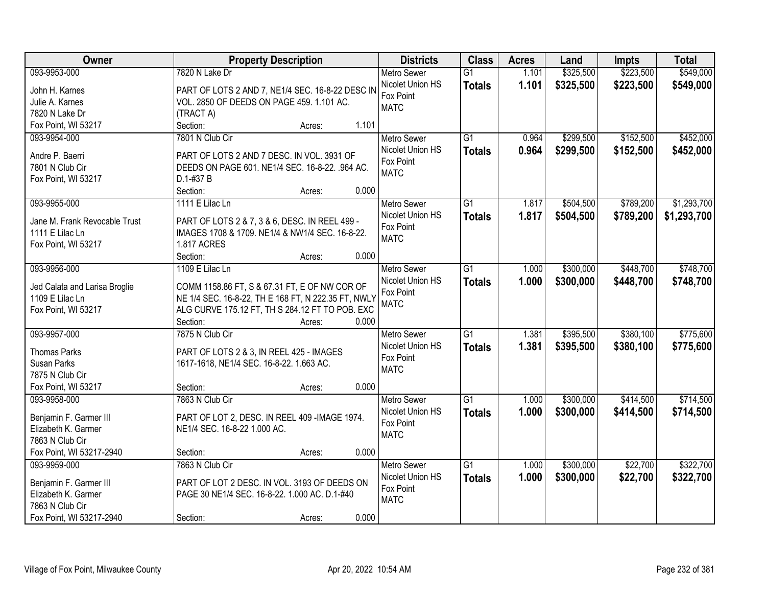| Owner                                         |                                                                               | <b>Property Description</b> |       | <b>Districts</b>         | <b>Class</b>    | <b>Acres</b> | Land      | <b>Impts</b> | <b>Total</b> |
|-----------------------------------------------|-------------------------------------------------------------------------------|-----------------------------|-------|--------------------------|-----------------|--------------|-----------|--------------|--------------|
| 093-9953-000                                  | 7820 N Lake Dr                                                                |                             |       | Metro Sewer              | $\overline{G1}$ | 1.101        | \$325,500 | \$223,500    | \$549,000    |
| John H. Karnes                                | PART OF LOTS 2 AND 7, NE1/4 SEC. 16-8-22 DESC IN                              |                             |       | Nicolet Union HS         | <b>Totals</b>   | 1.101        | \$325,500 | \$223,500    | \$549,000    |
| Julie A. Karnes                               | VOL. 2850 OF DEEDS ON PAGE 459. 1.101 AC.                                     |                             |       | Fox Point                |                 |              |           |              |              |
| 7820 N Lake Dr                                | (TRACT A)                                                                     |                             |       | <b>MATC</b>              |                 |              |           |              |              |
| Fox Point, WI 53217                           | Section:                                                                      | Acres:                      | 1.101 |                          |                 |              |           |              |              |
| 093-9954-000                                  | 7801 N Club Cir                                                               |                             |       | <b>Metro Sewer</b>       | $\overline{G1}$ | 0.964        | \$299,500 | \$152,500    | \$452,000    |
|                                               |                                                                               |                             |       | Nicolet Union HS         | <b>Totals</b>   | 0.964        | \$299,500 | \$152,500    | \$452,000    |
| Andre P. Baerri                               | PART OF LOTS 2 AND 7 DESC. IN VOL. 3931 OF                                    |                             |       | Fox Point                |                 |              |           |              |              |
| 7801 N Club Cir                               | DEEDS ON PAGE 601. NE1/4 SEC. 16-8-22. .964 AC.                               |                             |       | <b>MATC</b>              |                 |              |           |              |              |
| Fox Point, WI 53217                           | D.1-#37 B                                                                     |                             |       |                          |                 |              |           |              |              |
|                                               | Section:                                                                      | Acres:                      | 0.000 |                          |                 |              |           |              |              |
| 093-9955-000                                  | 1111 E Lilac Ln                                                               |                             |       | <b>Metro Sewer</b>       | $\overline{G1}$ | 1.817        | \$504,500 | \$789,200    | \$1,293,700  |
| Jane M. Frank Revocable Trust                 | PART OF LOTS 2 & 7, 3 & 6, DESC. IN REEL 499 -                                |                             |       | Nicolet Union HS         | <b>Totals</b>   | 1.817        | \$504,500 | \$789,200    | \$1,293,700  |
| 1111 E Lilac Ln                               | IMAGES 1708 & 1709. NE1/4 & NW1/4 SEC. 16-8-22.                               |                             |       | Fox Point                |                 |              |           |              |              |
| Fox Point, WI 53217                           | <b>1.817 ACRES</b>                                                            |                             |       | <b>MATC</b>              |                 |              |           |              |              |
|                                               | Section:                                                                      | Acres:                      | 0.000 |                          |                 |              |           |              |              |
| 093-9956-000                                  | 1109 E Lilac Ln                                                               |                             |       | <b>Metro Sewer</b>       | $\overline{G1}$ | 1.000        | \$300,000 | \$448,700    | \$748,700    |
|                                               |                                                                               |                             |       | Nicolet Union HS         | <b>Totals</b>   | 1.000        | \$300,000 | \$448,700    | \$748,700    |
| Jed Calata and Larisa Broglie                 | COMM 1158.86 FT, S & 67.31 FT, E OF NW COR OF                                 |                             |       | Fox Point                |                 |              |           |              |              |
| 1109 E Lilac Ln                               | NE 1/4 SEC. 16-8-22, TH E 168 FT, N 222.35 FT, NWLY                           |                             |       | <b>MATC</b>              |                 |              |           |              |              |
| Fox Point, WI 53217                           | ALG CURVE 175.12 FT, TH S 284.12 FT TO POB. EXC                               |                             |       |                          |                 |              |           |              |              |
|                                               | Section:                                                                      | Acres:                      | 0.000 |                          |                 |              |           |              |              |
| 093-9957-000                                  | 7875 N Club Cir                                                               |                             |       | Metro Sewer              | $\overline{G1}$ | 1.381        | \$395,500 | \$380,100    | \$775,600    |
| <b>Thomas Parks</b>                           | PART OF LOTS 2 & 3, IN REEL 425 - IMAGES                                      |                             |       | Nicolet Union HS         | <b>Totals</b>   | 1.381        | \$395,500 | \$380,100    | \$775,600    |
| Susan Parks                                   | 1617-1618, NE1/4 SEC. 16-8-22. 1.663 AC.                                      |                             |       | Fox Point                |                 |              |           |              |              |
| 7875 N Club Cir                               |                                                                               |                             |       | <b>MATC</b>              |                 |              |           |              |              |
| Fox Point, WI 53217                           | Section:                                                                      | Acres:                      | 0.000 |                          |                 |              |           |              |              |
| 093-9958-000                                  | 7863 N Club Cir                                                               |                             |       | Metro Sewer              | $\overline{G1}$ | 1.000        | \$300,000 | \$414,500    | \$714,500    |
|                                               |                                                                               |                             |       | Nicolet Union HS         | <b>Totals</b>   | 1.000        | \$300,000 | \$414,500    | \$714,500    |
| Benjamin F. Garmer III<br>Elizabeth K. Garmer | PART OF LOT 2, DESC. IN REEL 409 -IMAGE 1974.<br>NE1/4 SEC. 16-8-22 1.000 AC. |                             |       | Fox Point                |                 |              |           |              |              |
| 7863 N Club Cir                               |                                                                               |                             |       | <b>MATC</b>              |                 |              |           |              |              |
| Fox Point, WI 53217-2940                      | Section:                                                                      |                             | 0.000 |                          |                 |              |           |              |              |
| 093-9959-000                                  | 7863 N Club Cir                                                               | Acres:                      |       | <b>Metro Sewer</b>       | $\overline{G1}$ | 1.000        | \$300,000 | \$22,700     | \$322,700    |
|                                               |                                                                               |                             |       | Nicolet Union HS         |                 |              |           |              |              |
| Benjamin F. Garmer III                        | PART OF LOT 2 DESC. IN VOL. 3193 OF DEEDS ON                                  |                             |       |                          | <b>Totals</b>   | 1.000        | \$300,000 | \$22,700     | \$322,700    |
| Elizabeth K. Garmer                           | PAGE 30 NE1/4 SEC. 16-8-22. 1.000 AC. D.1-#40                                 |                             |       | Fox Point<br><b>MATC</b> |                 |              |           |              |              |
| 7863 N Club Cir                               |                                                                               |                             |       |                          |                 |              |           |              |              |
| Fox Point, WI 53217-2940                      | Section:                                                                      | Acres:                      | 0.000 |                          |                 |              |           |              |              |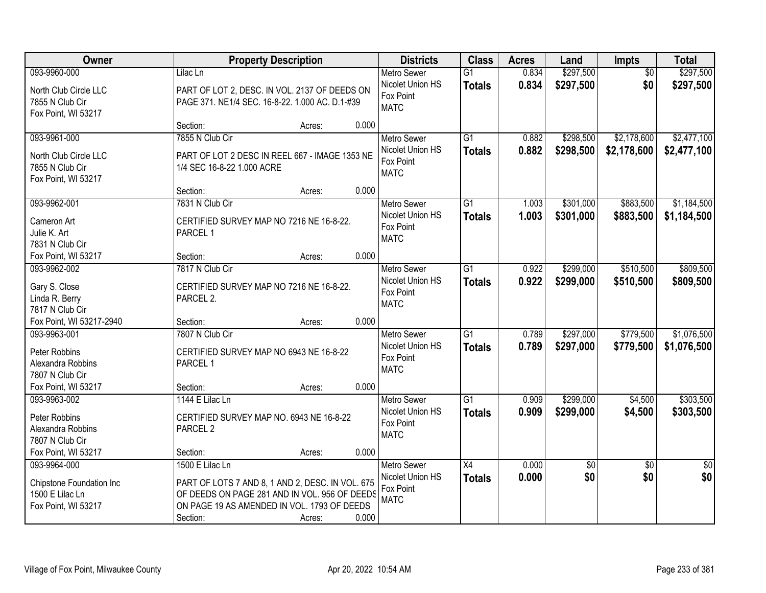| Owner                                |                                                  | <b>Property Description</b> |       | <b>Districts</b>   | <b>Class</b>    | <b>Acres</b> | Land      | <b>Impts</b>    | <b>Total</b>    |
|--------------------------------------|--------------------------------------------------|-----------------------------|-------|--------------------|-----------------|--------------|-----------|-----------------|-----------------|
| 093-9960-000                         | Lilac Ln                                         |                             |       | <b>Metro Sewer</b> | $\overline{G1}$ | 0.834        | \$297,500 | $\overline{50}$ | \$297,500       |
| North Club Circle LLC                | PART OF LOT 2, DESC. IN VOL. 2137 OF DEEDS ON    |                             |       | Nicolet Union HS   | <b>Totals</b>   | 0.834        | \$297,500 | \$0             | \$297,500       |
| 7855 N Club Cir                      | PAGE 371. NE1/4 SEC. 16-8-22. 1.000 AC. D.1-#39  |                             |       | Fox Point          |                 |              |           |                 |                 |
| Fox Point, WI 53217                  |                                                  |                             |       | <b>MATC</b>        |                 |              |           |                 |                 |
|                                      | Section:                                         | Acres:                      | 0.000 |                    |                 |              |           |                 |                 |
| 093-9961-000                         | 7855 N Club Cir                                  |                             |       | <b>Metro Sewer</b> | $\overline{G1}$ | 0.882        | \$298,500 | \$2,178,600     | \$2,477,100     |
| North Club Circle LLC                | PART OF LOT 2 DESC IN REEL 667 - IMAGE 1353 NE   |                             |       | Nicolet Union HS   | <b>Totals</b>   | 0.882        | \$298,500 | \$2,178,600     | \$2,477,100     |
| 7855 N Club Cir                      | 1/4 SEC 16-8-22 1.000 ACRE                       |                             |       | Fox Point          |                 |              |           |                 |                 |
| Fox Point, WI 53217                  |                                                  |                             |       | <b>MATC</b>        |                 |              |           |                 |                 |
|                                      | Section:                                         | Acres:                      | 0.000 |                    |                 |              |           |                 |                 |
| 093-9962-001                         | 7831 N Club Cir                                  |                             |       | <b>Metro Sewer</b> | $\overline{G1}$ | 1.003        | \$301,000 | \$883,500       | \$1,184,500     |
| Cameron Art                          | CERTIFIED SURVEY MAP NO 7216 NE 16-8-22.         |                             |       | Nicolet Union HS   | <b>Totals</b>   | 1.003        | \$301,000 | \$883,500       | \$1,184,500     |
| Julie K. Art                         | PARCEL 1                                         |                             |       | Fox Point          |                 |              |           |                 |                 |
| 7831 N Club Cir                      |                                                  |                             |       | <b>MATC</b>        |                 |              |           |                 |                 |
| Fox Point, WI 53217                  | Section:                                         | Acres:                      | 0.000 |                    |                 |              |           |                 |                 |
| 093-9962-002                         | 7817 N Club Cir                                  |                             |       | <b>Metro Sewer</b> | G1              | 0.922        | \$299,000 | \$510,500       | \$809,500       |
| Gary S. Close                        | CERTIFIED SURVEY MAP NO 7216 NE 16-8-22.         |                             |       | Nicolet Union HS   | <b>Totals</b>   | 0.922        | \$299,000 | \$510,500       | \$809,500       |
| Linda R. Berry                       | PARCEL 2.                                        |                             |       | Fox Point          |                 |              |           |                 |                 |
| 7817 N Club Cir                      |                                                  |                             |       | <b>MATC</b>        |                 |              |           |                 |                 |
| Fox Point, WI 53217-2940             | Section:                                         | Acres:                      | 0.000 |                    |                 |              |           |                 |                 |
| 093-9963-001                         | 7807 N Club Cir                                  |                             |       | <b>Metro Sewer</b> | $\overline{G1}$ | 0.789        | \$297,000 | \$779,500       | \$1,076,500     |
|                                      |                                                  |                             |       | Nicolet Union HS   | <b>Totals</b>   | 0.789        | \$297,000 | \$779,500       | \$1,076,500     |
| Peter Robbins                        | CERTIFIED SURVEY MAP NO 6943 NE 16-8-22          |                             |       | Fox Point          |                 |              |           |                 |                 |
| Alexandra Robbins<br>7807 N Club Cir | PARCEL 1                                         |                             |       | <b>MATC</b>        |                 |              |           |                 |                 |
| Fox Point, WI 53217                  | Section:                                         |                             | 0.000 |                    |                 |              |           |                 |                 |
| 093-9963-002                         | 1144 E Lilac Ln                                  | Acres:                      |       | <b>Metro Sewer</b> | $\overline{G1}$ | 0.909        | \$299,000 | \$4,500         | \$303,500       |
|                                      |                                                  |                             |       | Nicolet Union HS   |                 | 0.909        | \$299,000 | \$4,500         | \$303,500       |
| Peter Robbins                        | CERTIFIED SURVEY MAP NO. 6943 NE 16-8-22         |                             |       | Fox Point          | <b>Totals</b>   |              |           |                 |                 |
| Alexandra Robbins                    | PARCEL <sub>2</sub>                              |                             |       | <b>MATC</b>        |                 |              |           |                 |                 |
| 7807 N Club Cir                      |                                                  |                             |       |                    |                 |              |           |                 |                 |
| Fox Point, WI 53217                  | Section:                                         | Acres:                      | 0.000 |                    |                 |              |           |                 |                 |
| 093-9964-000                         | 1500 E Lilac Ln                                  |                             |       | <b>Metro Sewer</b> | X4              | 0.000        | \$0       | $\overline{50}$ | $\overline{50}$ |
| Chipstone Foundation Inc             | PART OF LOTS 7 AND 8, 1 AND 2, DESC. IN VOL. 675 |                             |       | Nicolet Union HS   | <b>Totals</b>   | 0.000        | \$0       | \$0             | \$0             |
| 1500 E Lilac Ln                      | OF DEEDS ON PAGE 281 AND IN VOL. 956 OF DEEDS    |                             |       | Fox Point          |                 |              |           |                 |                 |
| Fox Point, WI 53217                  | ON PAGE 19 AS AMENDED IN VOL. 1793 OF DEEDS      |                             |       | <b>MATC</b>        |                 |              |           |                 |                 |
|                                      | Section:                                         | Acres:                      | 0.000 |                    |                 |              |           |                 |                 |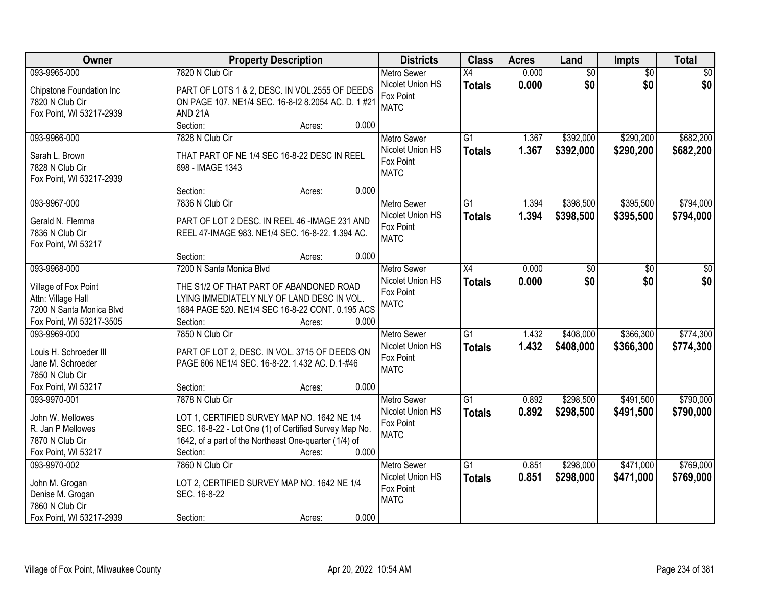| Owner                    | <b>Property Description</b>                            | <b>Districts</b>              | <b>Class</b>    | <b>Acres</b> | Land            | <b>Impts</b>    | <b>Total</b>    |
|--------------------------|--------------------------------------------------------|-------------------------------|-----------------|--------------|-----------------|-----------------|-----------------|
| 093-9965-000             | 7820 N Club Cir                                        | <b>Metro Sewer</b>            | $\overline{X4}$ | 0.000        | $\overline{60}$ | $\overline{50}$ | $\overline{50}$ |
| Chipstone Foundation Inc | PART OF LOTS 1 & 2, DESC. IN VOL.2555 OF DEEDS         | Nicolet Union HS<br>Fox Point | <b>Totals</b>   | 0.000        | \$0             | \$0             | \$0             |
| 7820 N Club Cir          | ON PAGE 107. NE1/4 SEC. 16-8-12 8.2054 AC. D. 1 #21    | <b>MATC</b>                   |                 |              |                 |                 |                 |
| Fox Point, WI 53217-2939 | AND <sub>21A</sub>                                     |                               |                 |              |                 |                 |                 |
|                          | Section:<br>0.000<br>Acres:                            |                               |                 |              |                 |                 |                 |
| 093-9966-000             | 7828 N Club Cir                                        | <b>Metro Sewer</b>            | $\overline{G1}$ | 1.367        | \$392,000       | \$290,200       | \$682,200       |
| Sarah L. Brown           | THAT PART OF NE 1/4 SEC 16-8-22 DESC IN REEL           | Nicolet Union HS              | <b>Totals</b>   | 1.367        | \$392,000       | \$290,200       | \$682,200       |
| 7828 N Club Cir          | 698 - IMAGE 1343                                       | Fox Point                     |                 |              |                 |                 |                 |
| Fox Point, WI 53217-2939 |                                                        | <b>MATC</b>                   |                 |              |                 |                 |                 |
|                          | 0.000<br>Section:<br>Acres:                            |                               |                 |              |                 |                 |                 |
| 093-9967-000             | 7836 N Club Cir                                        | <b>Metro Sewer</b>            | $\overline{G1}$ | 1.394        | \$398,500       | \$395,500       | \$794,000       |
|                          |                                                        | Nicolet Union HS              | <b>Totals</b>   | 1.394        | \$398,500       | \$395,500       | \$794,000       |
| Gerald N. Flemma         | PART OF LOT 2 DESC. IN REEL 46 -IMAGE 231 AND          | Fox Point                     |                 |              |                 |                 |                 |
| 7836 N Club Cir          | REEL 47-IMAGE 983. NE1/4 SEC. 16-8-22. 1.394 AC.       | <b>MATC</b>                   |                 |              |                 |                 |                 |
| Fox Point, WI 53217      | 0.000<br>Section:                                      |                               |                 |              |                 |                 |                 |
| 093-9968-000             | Acres:<br>7200 N Santa Monica Blvd                     | <b>Metro Sewer</b>            | X4              | 0.000        |                 |                 |                 |
|                          |                                                        | Nicolet Union HS              |                 |              | \$0             | \$0             | \$0             |
| Village of Fox Point     | THE S1/2 OF THAT PART OF ABANDONED ROAD                | Fox Point                     | <b>Totals</b>   | 0.000        | \$0             | \$0             | \$0             |
| Attn: Village Hall       | LYING IMMEDIATELY NLY OF LAND DESC IN VOL.             | <b>MATC</b>                   |                 |              |                 |                 |                 |
| 7200 N Santa Monica Blvd | 1884 PAGE 520. NE1/4 SEC 16-8-22 CONT. 0.195 ACS       |                               |                 |              |                 |                 |                 |
| Fox Point, WI 53217-3505 | 0.000<br>Section:<br>Acres:                            |                               |                 |              |                 |                 |                 |
| 093-9969-000             | 7850 N Club Cir                                        | <b>Metro Sewer</b>            | $\overline{G1}$ | 1.432        | \$408,000       | \$366,300       | \$774,300       |
| Louis H. Schroeder III   | PART OF LOT 2, DESC. IN VOL. 3715 OF DEEDS ON          | Nicolet Union HS              | <b>Totals</b>   | 1.432        | \$408,000       | \$366,300       | \$774,300       |
| Jane M. Schroeder        | PAGE 606 NE1/4 SEC. 16-8-22. 1.432 AC. D.1-#46         | Fox Point                     |                 |              |                 |                 |                 |
| 7850 N Club Cir          |                                                        | <b>MATC</b>                   |                 |              |                 |                 |                 |
| Fox Point, WI 53217      | Section:<br>0.000<br>Acres:                            |                               |                 |              |                 |                 |                 |
| 093-9970-001             | 7878 N Club Cir                                        | Metro Sewer                   | $\overline{G1}$ | 0.892        | \$298,500       | \$491,500       | \$790,000       |
|                          |                                                        | Nicolet Union HS              | <b>Totals</b>   | 0.892        | \$298,500       | \$491,500       | \$790,000       |
| John W. Mellowes         | LOT 1, CERTIFIED SURVEY MAP NO. 1642 NE 1/4            | Fox Point                     |                 |              |                 |                 |                 |
| R. Jan P Mellowes        | SEC. 16-8-22 - Lot One (1) of Certified Survey Map No. | <b>MATC</b>                   |                 |              |                 |                 |                 |
| 7870 N Club Cir          | 1642, of a part of the Northeast One-quarter (1/4) of  |                               |                 |              |                 |                 |                 |
| Fox Point, WI 53217      | 0.000<br>Section:<br>Acres:                            |                               |                 |              |                 |                 |                 |
| 093-9970-002             | 7860 N Club Cir                                        | <b>Metro Sewer</b>            | $\overline{G1}$ | 0.851        | \$298,000       | \$471,000       | \$769,000       |
| John M. Grogan           | LOT 2, CERTIFIED SURVEY MAP NO. 1642 NE 1/4            | Nicolet Union HS              | <b>Totals</b>   | 0.851        | \$298,000       | \$471,000       | \$769,000       |
| Denise M. Grogan         | SEC. 16-8-22                                           | Fox Point                     |                 |              |                 |                 |                 |
| 7860 N Club Cir          |                                                        | <b>MATC</b>                   |                 |              |                 |                 |                 |
| Fox Point, WI 53217-2939 | 0.000<br>Section:<br>Acres:                            |                               |                 |              |                 |                 |                 |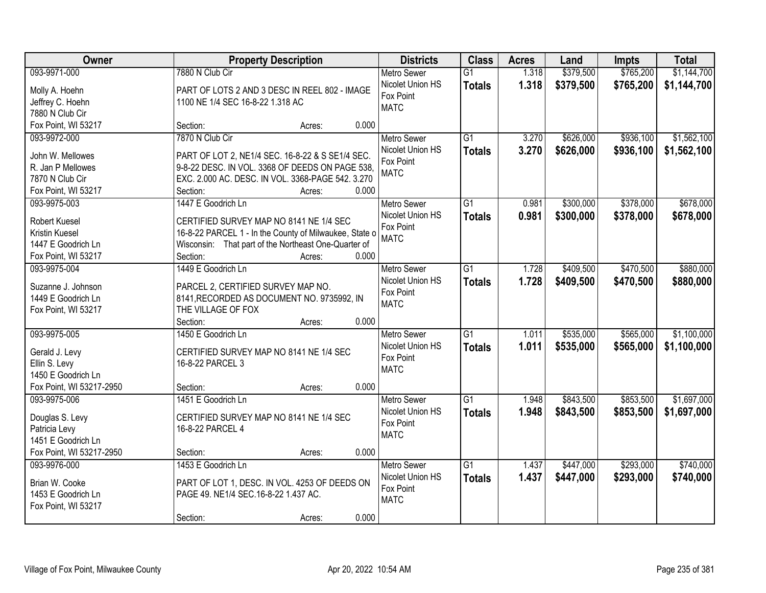| Owner                               | <b>Property Description</b>                            | <b>Districts</b>              | <b>Class</b>    | <b>Acres</b> | Land      | <b>Impts</b> | <b>Total</b> |
|-------------------------------------|--------------------------------------------------------|-------------------------------|-----------------|--------------|-----------|--------------|--------------|
| 093-9971-000                        | 7880 N Club Cir                                        | <b>Metro Sewer</b>            | $\overline{G1}$ | 1.318        | \$379,500 | \$765,200    | \$1,144,700  |
| Molly A. Hoehn                      | PART OF LOTS 2 AND 3 DESC IN REEL 802 - IMAGE          | Nicolet Union HS              | <b>Totals</b>   | 1.318        | \$379,500 | \$765,200    | \$1,144,700  |
| Jeffrey C. Hoehn                    | 1100 NE 1/4 SEC 16-8-22 1.318 AC                       | Fox Point                     |                 |              |           |              |              |
| 7880 N Club Cir                     |                                                        | <b>MATC</b>                   |                 |              |           |              |              |
| Fox Point, WI 53217                 | 0.000<br>Section:<br>Acres:                            |                               |                 |              |           |              |              |
| 093-9972-000                        | 7870 N Club Cir                                        | <b>Metro Sewer</b>            | $\overline{G1}$ | 3.270        | \$626,000 | \$936,100    | \$1,562,100  |
|                                     |                                                        | Nicolet Union HS              | <b>Totals</b>   | 3.270        | \$626,000 | \$936,100    | \$1,562,100  |
| John W. Mellowes                    | PART OF LOT 2, NE1/4 SEC. 16-8-22 & S SE1/4 SEC.       | Fox Point                     |                 |              |           |              |              |
| R. Jan P Mellowes                   | 9-8-22 DESC. IN VOL. 3368 OF DEEDS ON PAGE 538,        | <b>MATC</b>                   |                 |              |           |              |              |
| 7870 N Club Cir                     | EXC. 2.000 AC. DESC. IN VOL. 3368-PAGE 542. 3.270      |                               |                 |              |           |              |              |
| Fox Point, WI 53217<br>093-9975-003 | 0.000<br>Section:<br>Acres:<br>1447 E Goodrich Ln      |                               | G1              | 0.981        |           | \$378,000    | \$678,000    |
|                                     |                                                        | Metro Sewer                   |                 |              | \$300,000 |              |              |
| <b>Robert Kuesel</b>                | CERTIFIED SURVEY MAP NO 8141 NE 1/4 SEC                | Nicolet Union HS<br>Fox Point | <b>Totals</b>   | 0.981        | \$300,000 | \$378,000    | \$678,000    |
| Kristin Kuesel                      | 16-8-22 PARCEL 1 - In the County of Milwaukee, State o | <b>MATC</b>                   |                 |              |           |              |              |
| 1447 E Goodrich Ln                  | Wisconsin: That part of the Northeast One-Quarter of   |                               |                 |              |           |              |              |
| Fox Point, WI 53217                 | Section:<br>0.000<br>Acres:                            |                               |                 |              |           |              |              |
| 093-9975-004                        | 1449 E Goodrich Ln                                     | <b>Metro Sewer</b>            | G1              | 1.728        | \$409,500 | \$470,500    | \$880,000    |
| Suzanne J. Johnson                  | PARCEL 2, CERTIFIED SURVEY MAP NO.                     | Nicolet Union HS              | <b>Totals</b>   | 1.728        | \$409,500 | \$470,500    | \$880,000    |
| 1449 E Goodrich Ln                  | 8141, RECORDED AS DOCUMENT NO. 9735992, IN             | Fox Point                     |                 |              |           |              |              |
| Fox Point, WI 53217                 | THE VILLAGE OF FOX                                     | <b>MATC</b>                   |                 |              |           |              |              |
|                                     | 0.000<br>Section:<br>Acres:                            |                               |                 |              |           |              |              |
| 093-9975-005                        | 1450 E Goodrich Ln                                     | <b>Metro Sewer</b>            | $\overline{G1}$ | 1.011        | \$535,000 | \$565,000    | \$1,100,000  |
|                                     |                                                        | Nicolet Union HS              | <b>Totals</b>   | 1.011        | \$535,000 | \$565,000    | \$1,100,000  |
| Gerald J. Levy                      | CERTIFIED SURVEY MAP NO 8141 NE 1/4 SEC                | Fox Point                     |                 |              |           |              |              |
| Ellin S. Levy                       | 16-8-22 PARCEL 3                                       | <b>MATC</b>                   |                 |              |           |              |              |
| 1450 E Goodrich Ln                  |                                                        |                               |                 |              |           |              |              |
| Fox Point, WI 53217-2950            | 0.000<br>Section:<br>Acres:                            |                               |                 |              |           |              |              |
| 093-9975-006                        | 1451 E Goodrich Ln                                     | <b>Metro Sewer</b>            | G1              | 1.948        | \$843,500 | \$853,500    | \$1,697,000  |
| Douglas S. Levy                     | CERTIFIED SURVEY MAP NO 8141 NE 1/4 SEC                | Nicolet Union HS              | <b>Totals</b>   | 1.948        | \$843,500 | \$853,500    | \$1,697,000  |
| Patricia Levy                       | 16-8-22 PARCEL 4                                       | Fox Point                     |                 |              |           |              |              |
| 1451 E Goodrich Ln                  |                                                        | <b>MATC</b>                   |                 |              |           |              |              |
| Fox Point, WI 53217-2950            | 0.000<br>Section:<br>Acres:                            |                               |                 |              |           |              |              |
| 093-9976-000                        | 1453 E Goodrich Ln                                     | <b>Metro Sewer</b>            | $\overline{G1}$ | 1.437        | \$447,000 | \$293,000    | \$740,000    |
|                                     |                                                        | Nicolet Union HS              | <b>Totals</b>   | 1.437        | \$447,000 | \$293,000    | \$740,000    |
| Brian W. Cooke                      | PART OF LOT 1, DESC. IN VOL. 4253 OF DEEDS ON          | Fox Point                     |                 |              |           |              |              |
| 1453 E Goodrich Ln                  | PAGE 49. NE1/4 SEC.16-8-22 1.437 AC.                   | <b>MATC</b>                   |                 |              |           |              |              |
| Fox Point, WI 53217                 | 0.000                                                  |                               |                 |              |           |              |              |
|                                     | Section:<br>Acres:                                     |                               |                 |              |           |              |              |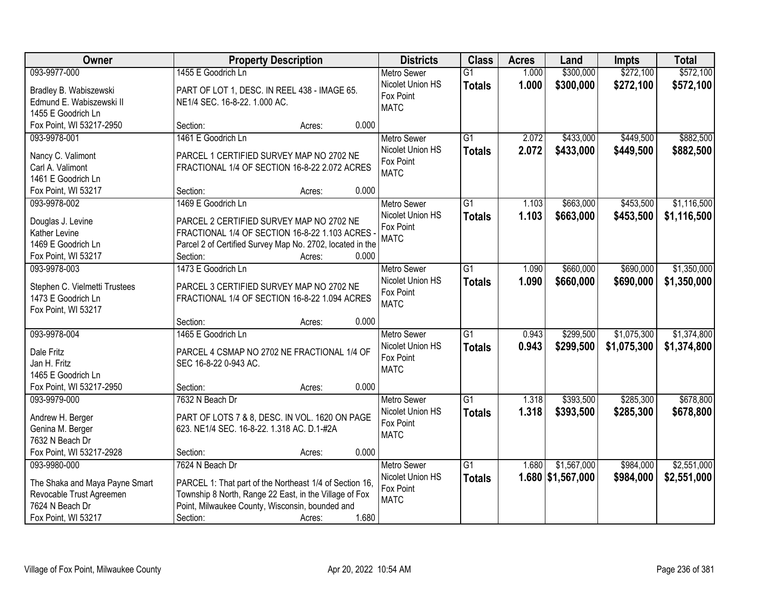| Owner                               |                                                           | <b>Property Description</b> |       | <b>Districts</b>              | <b>Class</b>    | <b>Acres</b> | Land              | <b>Impts</b> | <b>Total</b> |
|-------------------------------------|-----------------------------------------------------------|-----------------------------|-------|-------------------------------|-----------------|--------------|-------------------|--------------|--------------|
| 093-9977-000                        | 1455 E Goodrich Ln                                        |                             |       | Metro Sewer                   | $\overline{G1}$ | 1.000        | \$300,000         | \$272,100    | \$572,100    |
| Bradley B. Wabiszewski              | PART OF LOT 1, DESC. IN REEL 438 - IMAGE 65.              |                             |       | Nicolet Union HS              | <b>Totals</b>   | 1.000        | \$300,000         | \$272,100    | \$572,100    |
| Edmund E. Wabiszewski II            | NE1/4 SEC. 16-8-22. 1.000 AC.                             |                             |       | Fox Point                     |                 |              |                   |              |              |
| 1455 E Goodrich Ln                  |                                                           |                             |       | <b>MATC</b>                   |                 |              |                   |              |              |
| Fox Point, WI 53217-2950            | Section:                                                  | Acres:                      | 0.000 |                               |                 |              |                   |              |              |
| 093-9978-001                        | 1461 E Goodrich Ln                                        |                             |       | Metro Sewer                   | $\overline{G1}$ | 2.072        | \$433,000         | \$449,500    | \$882,500    |
|                                     |                                                           |                             |       | Nicolet Union HS              | <b>Totals</b>   | 2.072        | \$433,000         | \$449,500    | \$882,500    |
| Nancy C. Valimont                   | PARCEL 1 CERTIFIED SURVEY MAP NO 2702 NE                  |                             |       | Fox Point                     |                 |              |                   |              |              |
| Carl A. Valimont                    | FRACTIONAL 1/4 OF SECTION 16-8-22 2.072 ACRES             |                             |       | <b>MATC</b>                   |                 |              |                   |              |              |
| 1461 E Goodrich Ln                  | Section:                                                  |                             | 0.000 |                               |                 |              |                   |              |              |
| Fox Point, WI 53217<br>093-9978-002 |                                                           | Acres:                      |       |                               |                 |              |                   | \$453,500    |              |
|                                     | 1469 E Goodrich Ln                                        |                             |       | <b>Metro Sewer</b>            | $\overline{G1}$ | 1.103        | \$663,000         |              | \$1,116,500  |
| Douglas J. Levine                   | PARCEL 2 CERTIFIED SURVEY MAP NO 2702 NE                  |                             |       | Nicolet Union HS<br>Fox Point | <b>Totals</b>   | 1.103        | \$663,000         | \$453,500    | \$1,116,500  |
| Kather Levine                       | FRACTIONAL 1/4 OF SECTION 16-8-22 1.103 ACRES             |                             |       | <b>MATC</b>                   |                 |              |                   |              |              |
| 1469 E Goodrich Ln                  | Parcel 2 of Certified Survey Map No. 2702, located in the |                             |       |                               |                 |              |                   |              |              |
| Fox Point, WI 53217                 | Section:                                                  | Acres:                      | 0.000 |                               |                 |              |                   |              |              |
| 093-9978-003                        | 1473 E Goodrich Ln                                        |                             |       | <b>Metro Sewer</b>            | $\overline{G1}$ | 1.090        | \$660,000         | \$690,000    | \$1,350,000  |
| Stephen C. Vielmetti Trustees       | PARCEL 3 CERTIFIED SURVEY MAP NO 2702 NE                  |                             |       | Nicolet Union HS              | <b>Totals</b>   | 1.090        | \$660,000         | \$690,000    | \$1,350,000  |
| 1473 E Goodrich Ln                  | FRACTIONAL 1/4 OF SECTION 16-8-22 1.094 ACRES             |                             |       | Fox Point                     |                 |              |                   |              |              |
| Fox Point, WI 53217                 |                                                           |                             |       | <b>MATC</b>                   |                 |              |                   |              |              |
|                                     | Section:                                                  | Acres:                      | 0.000 |                               |                 |              |                   |              |              |
| 093-9978-004                        | 1465 E Goodrich Ln                                        |                             |       | <b>Metro Sewer</b>            | $\overline{G1}$ | 0.943        | \$299,500         | \$1,075,300  | \$1,374,800  |
|                                     |                                                           |                             |       | Nicolet Union HS              | <b>Totals</b>   | 0.943        | \$299,500         | \$1,075,300  | \$1,374,800  |
| Dale Fritz                          | PARCEL 4 CSMAP NO 2702 NE FRACTIONAL 1/4 OF               |                             |       | Fox Point                     |                 |              |                   |              |              |
| Jan H. Fritz                        | SEC 16-8-22 0-943 AC.                                     |                             |       | <b>MATC</b>                   |                 |              |                   |              |              |
| 1465 E Goodrich Ln                  |                                                           |                             |       |                               |                 |              |                   |              |              |
| Fox Point, WI 53217-2950            | Section:                                                  | Acres:                      | 0.000 |                               |                 |              |                   |              |              |
| 093-9979-000                        | 7632 N Beach Dr                                           |                             |       | Metro Sewer                   | $\overline{G1}$ | 1.318        | \$393,500         | \$285,300    | \$678,800    |
| Andrew H. Berger                    | PART OF LOTS 7 & 8, DESC. IN VOL. 1620 ON PAGE            |                             |       | Nicolet Union HS              | <b>Totals</b>   | 1.318        | \$393,500         | \$285,300    | \$678,800    |
| Genina M. Berger                    | 623. NE1/4 SEC. 16-8-22. 1.318 AC. D.1-#2A                |                             |       | Fox Point                     |                 |              |                   |              |              |
| 7632 N Beach Dr                     |                                                           |                             |       | <b>MATC</b>                   |                 |              |                   |              |              |
| Fox Point, WI 53217-2928            | Section:                                                  | Acres:                      | 0.000 |                               |                 |              |                   |              |              |
| 093-9980-000                        | 7624 N Beach Dr                                           |                             |       | Metro Sewer                   | $\overline{G1}$ | 1.680        | \$1,567,000       | \$984,000    | \$2,551,000  |
|                                     |                                                           |                             |       | Nicolet Union HS              | <b>Totals</b>   |              | 1.680 \$1,567,000 | \$984,000    | \$2,551,000  |
| The Shaka and Maya Payne Smart      | PARCEL 1: That part of the Northeast 1/4 of Section 16,   |                             |       | Fox Point                     |                 |              |                   |              |              |
| Revocable Trust Agreemen            | Township 8 North, Range 22 East, in the Village of Fox    |                             |       | <b>MATC</b>                   |                 |              |                   |              |              |
| 7624 N Beach Dr                     | Point, Milwaukee County, Wisconsin, bounded and           |                             |       |                               |                 |              |                   |              |              |
| Fox Point, WI 53217                 | Section:                                                  | Acres:                      | 1.680 |                               |                 |              |                   |              |              |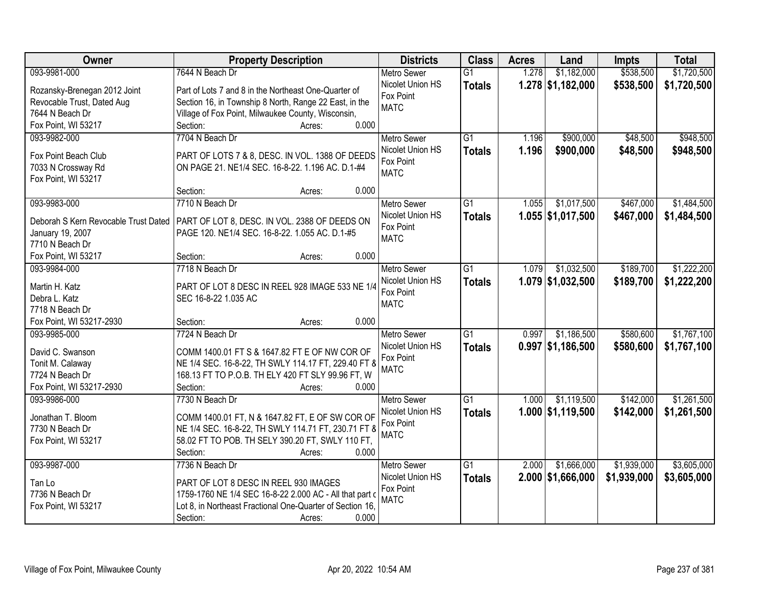| Owner                                | <b>Property Description</b>                               | <b>Districts</b>   | <b>Class</b>    | <b>Acres</b> | Land                | <b>Impts</b> | <b>Total</b> |
|--------------------------------------|-----------------------------------------------------------|--------------------|-----------------|--------------|---------------------|--------------|--------------|
| 093-9981-000                         | 7644 N Beach Dr                                           | <b>Metro Sewer</b> | $\overline{G1}$ | 1.278        | \$1,182,000         | \$538,500    | \$1,720,500  |
| Rozansky-Brenegan 2012 Joint         | Part of Lots 7 and 8 in the Northeast One-Quarter of      | Nicolet Union HS   | <b>Totals</b>   |              | $1.278$ \$1,182,000 | \$538,500    | \$1,720,500  |
| Revocable Trust, Dated Aug           | Section 16, in Township 8 North, Range 22 East, in the    | Fox Point          |                 |              |                     |              |              |
| 7644 N Beach Dr                      | Village of Fox Point, Milwaukee County, Wisconsin,        | <b>MATC</b>        |                 |              |                     |              |              |
| Fox Point, WI 53217                  | 0.000<br>Section:<br>Acres:                               |                    |                 |              |                     |              |              |
| 093-9982-000                         | 7704 N Beach Dr                                           | <b>Metro Sewer</b> | $\overline{G1}$ | 1.196        | \$900,000           | \$48,500     | \$948,500    |
|                                      |                                                           | Nicolet Union HS   | <b>Totals</b>   | 1.196        | \$900,000           | \$48,500     | \$948,500    |
| Fox Point Beach Club                 | PART OF LOTS 7 & 8, DESC. IN VOL. 1388 OF DEEDS           | Fox Point          |                 |              |                     |              |              |
| 7033 N Crossway Rd                   | ON PAGE 21. NE1/4 SEC. 16-8-22. 1.196 AC. D.1-#4          | <b>MATC</b>        |                 |              |                     |              |              |
| Fox Point, WI 53217                  |                                                           |                    |                 |              |                     |              |              |
|                                      | 0.000<br>Section:<br>Acres:                               |                    |                 |              |                     |              |              |
| 093-9983-000                         | 7710 N Beach Dr                                           | <b>Metro Sewer</b> | $\overline{G1}$ | 1.055        | \$1,017,500         | \$467,000    | \$1,484,500  |
| Deborah S Kern Revocable Trust Dated | PART OF LOT 8, DESC. IN VOL. 2388 OF DEEDS ON             | Nicolet Union HS   | <b>Totals</b>   |              | $1.055$ \$1,017,500 | \$467,000    | \$1,484,500  |
| January 19, 2007                     | PAGE 120. NE1/4 SEC. 16-8-22. 1.055 AC. D.1-#5            | Fox Point          |                 |              |                     |              |              |
| 7710 N Beach Dr                      |                                                           | <b>MATC</b>        |                 |              |                     |              |              |
| Fox Point, WI 53217                  | 0.000<br>Section:<br>Acres:                               |                    |                 |              |                     |              |              |
| 093-9984-000                         | 7718 N Beach Dr                                           | <b>Metro Sewer</b> | $\overline{G1}$ | 1.079        | \$1,032,500         | \$189,700    | \$1,222,200  |
|                                      |                                                           | Nicolet Union HS   | <b>Totals</b>   |              | $1.079$ \$1,032,500 | \$189,700    | \$1,222,200  |
| Martin H. Katz                       | PART OF LOT 8 DESC IN REEL 928 IMAGE 533 NE 1/4           | Fox Point          |                 |              |                     |              |              |
| Debra L. Katz                        | SEC 16-8-22 1.035 AC                                      | <b>MATC</b>        |                 |              |                     |              |              |
| 7718 N Beach Dr                      |                                                           |                    |                 |              |                     |              |              |
| Fox Point, WI 53217-2930             | 0.000<br>Section:<br>Acres:                               |                    |                 |              |                     |              |              |
| 093-9985-000                         | 7724 N Beach Dr                                           | <b>Metro Sewer</b> | $\overline{G1}$ | 0.997        | \$1,186,500         | \$580,600    | \$1,767,100  |
| David C. Swanson                     | COMM 1400.01 FT S & 1647.82 FT E OF NW COR OF             | Nicolet Union HS   | <b>Totals</b>   |              | $0.997$ \$1,186,500 | \$580,600    | \$1,767,100  |
| Tonit M. Calaway                     | NE 1/4 SEC. 16-8-22, TH SWLY 114.17 FT, 229.40 FT 8       | Fox Point          |                 |              |                     |              |              |
| 7724 N Beach Dr                      | 168.13 FT TO P.O.B. TH ELY 420 FT SLY 99.96 FT, W         | <b>MATC</b>        |                 |              |                     |              |              |
| Fox Point, WI 53217-2930             | Section:<br>0.000<br>Acres:                               |                    |                 |              |                     |              |              |
| 093-9986-000                         | 7730 N Beach Dr                                           | <b>Metro Sewer</b> | $\overline{G1}$ | 1.000        | \$1,119,500         | \$142,000    | \$1,261,500  |
|                                      |                                                           | Nicolet Union HS   | <b>Totals</b>   |              | 1.000 \$1,119,500   | \$142,000    | \$1,261,500  |
| Jonathan T. Bloom                    | COMM 1400.01 FT, N & 1647.82 FT, E OF SW COR OF           | Fox Point          |                 |              |                     |              |              |
| 7730 N Beach Dr                      | NE 1/4 SEC. 16-8-22, TH SWLY 114.71 FT, 230.71 FT 8       | <b>MATC</b>        |                 |              |                     |              |              |
| Fox Point, WI 53217                  | 58.02 FT TO POB. TH SELY 390.20 FT, SWLY 110 FT,          |                    |                 |              |                     |              |              |
|                                      | Section:<br>0.000<br>Acres:                               |                    |                 |              |                     |              |              |
| 093-9987-000                         | 7736 N Beach Dr                                           | <b>Metro Sewer</b> | $\overline{G1}$ | 2.000        | \$1,666,000         | \$1,939,000  | \$3,605,000  |
| Tan Lo                               | PART OF LOT 8 DESC IN REEL 930 IMAGES                     | Nicolet Union HS   | <b>Totals</b>   |              | $2.000$ \$1,666,000 | \$1,939,000  | \$3,605,000  |
| 7736 N Beach Dr                      | 1759-1760 NE 1/4 SEC 16-8-22 2.000 AC - All that part of  | Fox Point          |                 |              |                     |              |              |
| Fox Point, WI 53217                  | Lot 8, in Northeast Fractional One-Quarter of Section 16, | <b>MATC</b>        |                 |              |                     |              |              |
|                                      | 0.000<br>Section:<br>Acres:                               |                    |                 |              |                     |              |              |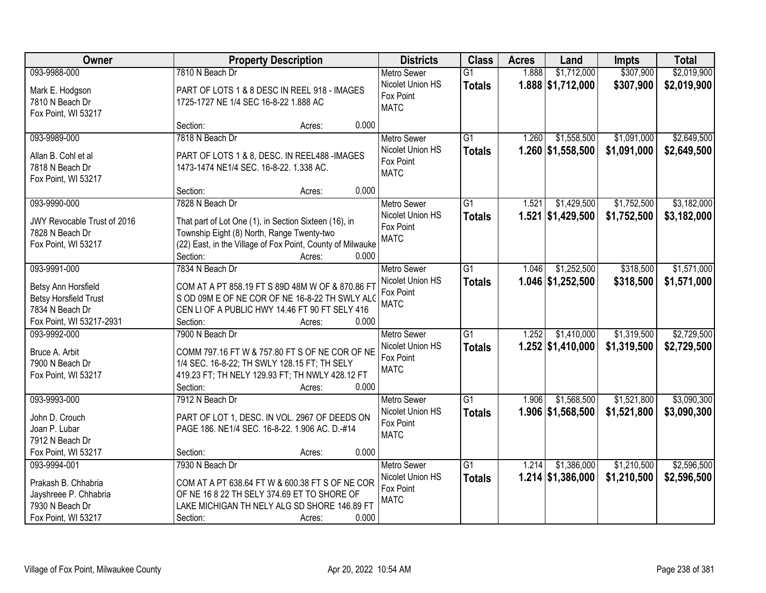| Owner                                          | <b>Property Description</b>                                                                         | <b>Districts</b>   | <b>Class</b>    | <b>Acres</b> | Land                | <b>Impts</b> | <b>Total</b> |
|------------------------------------------------|-----------------------------------------------------------------------------------------------------|--------------------|-----------------|--------------|---------------------|--------------|--------------|
| 093-9988-000                                   | 7810 N Beach Dr                                                                                     | Metro Sewer        | $\overline{G1}$ | 1.888        | \$1,712,000         | \$307,900    | \$2,019,900  |
| Mark E. Hodgson                                | PART OF LOTS 1 & 8 DESC IN REEL 918 - IMAGES                                                        | Nicolet Union HS   | <b>Totals</b>   |              | 1.888 \$1,712,000   | \$307,900    | \$2,019,900  |
| 7810 N Beach Dr                                | 1725-1727 NE 1/4 SEC 16-8-22 1.888 AC                                                               | Fox Point          |                 |              |                     |              |              |
| Fox Point, WI 53217                            |                                                                                                     | <b>MATC</b>        |                 |              |                     |              |              |
|                                                | Section:<br>0.000<br>Acres:                                                                         |                    |                 |              |                     |              |              |
| 093-9989-000                                   | 7818 N Beach Dr                                                                                     | <b>Metro Sewer</b> | G1              | 1.260        | \$1,558,500         | \$1,091,000  | \$2,649,500  |
| Allan B. Cohl et al                            | PART OF LOTS 1 & 8, DESC. IN REEL488 - IMAGES                                                       | Nicolet Union HS   | <b>Totals</b>   |              | 1.260 \$1,558,500   | \$1,091,000  | \$2,649,500  |
| 7818 N Beach Dr                                | 1473-1474 NE1/4 SEC. 16-8-22. 1.338 AC.                                                             | Fox Point          |                 |              |                     |              |              |
| Fox Point, WI 53217                            |                                                                                                     | <b>MATC</b>        |                 |              |                     |              |              |
|                                                | 0.000<br>Section:<br>Acres:                                                                         |                    |                 |              |                     |              |              |
| 093-9990-000                                   | 7828 N Beach Dr                                                                                     | <b>Metro Sewer</b> | G1              | 1.521        | \$1,429,500         | \$1,752,500  | \$3,182,000  |
|                                                |                                                                                                     | Nicolet Union HS   | <b>Totals</b>   |              | 1.521 \$1,429,500   | \$1,752,500  | \$3,182,000  |
| JWY Revocable Trust of 2016<br>7828 N Beach Dr | That part of Lot One (1), in Section Sixteen (16), in<br>Township Eight (8) North, Range Twenty-two | Fox Point          |                 |              |                     |              |              |
| Fox Point, WI 53217                            | (22) East, in the Village of Fox Point, County of Milwauke                                          | <b>MATC</b>        |                 |              |                     |              |              |
|                                                | Section:<br>0.000<br>Acres:                                                                         |                    |                 |              |                     |              |              |
| 093-9991-000                                   | 7834 N Beach Dr                                                                                     | <b>Metro Sewer</b> | $\overline{G1}$ | 1.046        | \$1,252,500         | \$318,500    | \$1,571,000  |
|                                                |                                                                                                     | Nicolet Union HS   | <b>Totals</b>   |              | 1.046 \$1,252,500   | \$318,500    | \$1,571,000  |
| Betsy Ann Horsfield                            | COM AT A PT 858.19 FT S 89D 48M W OF & 870.86 FT                                                    | Fox Point          |                 |              |                     |              |              |
| <b>Betsy Horsfield Trust</b>                   | S OD 09M E OF NE COR OF NE 16-8-22 TH SWLY ALO                                                      | <b>MATC</b>        |                 |              |                     |              |              |
| 7834 N Beach Dr                                | CEN LI OF A PUBLIC HWY 14.46 FT 90 FT SELY 416                                                      |                    |                 |              |                     |              |              |
| Fox Point, WI 53217-2931                       | 0.000<br>Section:<br>Acres:                                                                         |                    |                 |              |                     |              |              |
| 093-9992-000                                   | 7900 N Beach Dr                                                                                     | Metro Sewer        | $\overline{G1}$ | 1.252        | \$1,410,000         | \$1,319,500  | \$2,729,500  |
| Bruce A. Arbit                                 | COMM 797.16 FT W & 757.80 FT S OF NE COR OF NE                                                      | Nicolet Union HS   | <b>Totals</b>   |              | $1.252$ \$1,410,000 | \$1,319,500  | \$2,729,500  |
| 7900 N Beach Dr                                | 1/4 SEC. 16-8-22; TH SWLY 128.15 FT; TH SELY                                                        | Fox Point          |                 |              |                     |              |              |
| Fox Point, WI 53217                            | 419.23 FT; TH NELY 129.93 FT; TH NWLY 428.12 FT                                                     | <b>MATC</b>        |                 |              |                     |              |              |
|                                                | Section:<br>0.000<br>Acres:                                                                         |                    |                 |              |                     |              |              |
| 093-9993-000                                   | 7912 N Beach Dr                                                                                     | Metro Sewer        | $\overline{G1}$ | 1.906        | \$1,568,500         | \$1,521,800  | \$3,090,300  |
| John D. Crouch                                 | PART OF LOT 1, DESC. IN VOL. 2967 OF DEEDS ON                                                       | Nicolet Union HS   | <b>Totals</b>   |              | 1.906 \$1,568,500   | \$1,521,800  | \$3,090,300  |
| Joan P. Lubar                                  | PAGE 186. NE1/4 SEC. 16-8-22. 1.906 AC. D.-#14                                                      | Fox Point          |                 |              |                     |              |              |
| 7912 N Beach Dr                                |                                                                                                     | <b>MATC</b>        |                 |              |                     |              |              |
| Fox Point, WI 53217                            | 0.000<br>Section:<br>Acres:                                                                         |                    |                 |              |                     |              |              |
| 093-9994-001                                   | 7930 N Beach Dr                                                                                     | <b>Metro Sewer</b> | $\overline{G1}$ | 1.214        | \$1,386,000         | \$1,210,500  | \$2,596,500  |
|                                                |                                                                                                     | Nicolet Union HS   | <b>Totals</b>   |              | $1.214$ \$1,386,000 | \$1,210,500  | \$2,596,500  |
| Prakash B. Chhabria                            | COM AT A PT 638.64 FT W & 600.38 FT S OF NE COR<br>OF NE 16 8 22 TH SELY 374.69 ET TO SHORE OF      | Fox Point          |                 |              |                     |              |              |
| Jayshreee P. Chhabria<br>7930 N Beach Dr       | LAKE MICHIGAN TH NELY ALG SD SHORE 146.89 FT                                                        | <b>MATC</b>        |                 |              |                     |              |              |
| Fox Point, WI 53217                            | 0.000<br>Section:<br>Acres:                                                                         |                    |                 |              |                     |              |              |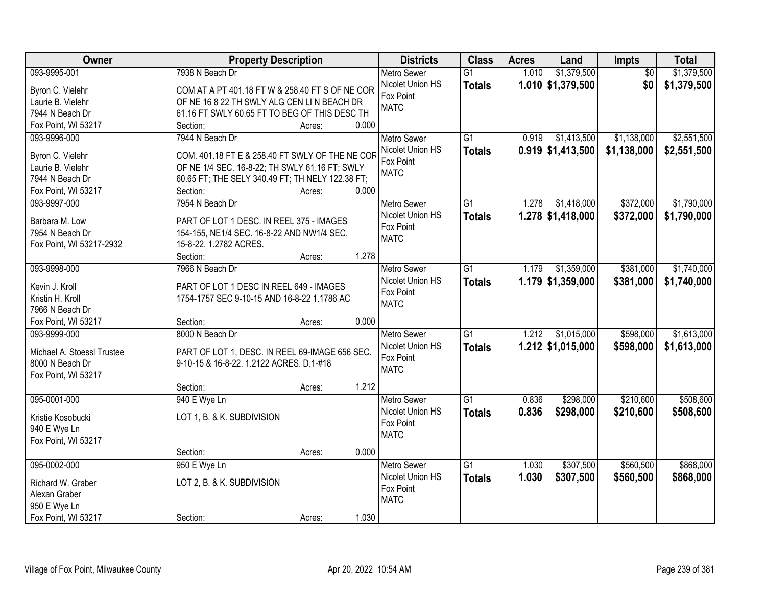| Owner                              | <b>Property Description</b>                                                            | <b>Districts</b>   | <b>Class</b>    | <b>Acres</b> | Land                | <b>Impts</b>    | <b>Total</b> |
|------------------------------------|----------------------------------------------------------------------------------------|--------------------|-----------------|--------------|---------------------|-----------------|--------------|
| 093-9995-001                       | 7938 N Beach Dr                                                                        | <b>Metro Sewer</b> | $\overline{G1}$ | 1.010        | \$1,379,500         | $\overline{50}$ | \$1,379,500  |
| Byron C. Vielehr                   | COM AT A PT 401.18 FT W & 258.40 FT S OF NE COR                                        | Nicolet Union HS   | <b>Totals</b>   |              | $1.010$ \$1,379,500 | \$0             | \$1,379,500  |
| Laurie B. Vielehr                  | OF NE 16 8 22 TH SWLY ALG CEN LIN BEACH DR                                             | Fox Point          |                 |              |                     |                 |              |
| 7944 N Beach Dr                    | 61.16 FT SWLY 60.65 FT TO BEG OF THIS DESC TH                                          | <b>MATC</b>        |                 |              |                     |                 |              |
| Fox Point, WI 53217                | 0.000<br>Section:<br>Acres:                                                            |                    |                 |              |                     |                 |              |
| 093-9996-000                       | 7944 N Beach Dr                                                                        | <b>Metro Sewer</b> | $\overline{G1}$ | 0.919        | \$1,413,500         | \$1,138,000     | \$2,551,500  |
|                                    |                                                                                        | Nicolet Union HS   | <b>Totals</b>   |              | $0.919$ \$1,413,500 | \$1,138,000     | \$2,551,500  |
| Byron C. Vielehr                   | COM. 401.18 FT E & 258.40 FT SWLY OF THE NE COR                                        | Fox Point          |                 |              |                     |                 |              |
| Laurie B. Vielehr                  | OF NE 1/4 SEC. 16-8-22; TH SWLY 61.16 FT; SWLY                                         | <b>MATC</b>        |                 |              |                     |                 |              |
| 7944 N Beach Dr                    | 60.65 FT; THE SELY 340.49 FT; TH NELY 122.38 FT;                                       |                    |                 |              |                     |                 |              |
| Fox Point, WI 53217                | 0.000<br>Section:<br>Acres:                                                            |                    |                 |              |                     |                 |              |
| 093-9997-000                       | 7954 N Beach Dr                                                                        | Metro Sewer        | G1              | 1.278        | \$1,418,000         | \$372,000       | \$1,790,000  |
| Barbara M. Low                     | PART OF LOT 1 DESC. IN REEL 375 - IMAGES                                               | Nicolet Union HS   | <b>Totals</b>   |              | $1.278$ \$1,418,000 | \$372,000       | \$1,790,000  |
| 7954 N Beach Dr                    | 154-155, NE1/4 SEC. 16-8-22 AND NW1/4 SEC.                                             | Fox Point          |                 |              |                     |                 |              |
| Fox Point, WI 53217-2932           | 15-8-22. 1.2782 ACRES.                                                                 | <b>MATC</b>        |                 |              |                     |                 |              |
|                                    | 1.278<br>Section:<br>Acres:                                                            |                    |                 |              |                     |                 |              |
| 093-9998-000                       | 7966 N Beach Dr                                                                        | <b>Metro Sewer</b> | G1              | 1.179        | \$1,359,000         | \$381,000       | \$1,740,000  |
|                                    |                                                                                        | Nicolet Union HS   | <b>Totals</b>   |              | $1.179$ \$1,359,000 | \$381,000       | \$1,740,000  |
| Kevin J. Kroll<br>Kristin H. Kroll | PART OF LOT 1 DESC IN REEL 649 - IMAGES<br>1754-1757 SEC 9-10-15 AND 16-8-22 1.1786 AC | Fox Point          |                 |              |                     |                 |              |
| 7966 N Beach Dr                    |                                                                                        | <b>MATC</b>        |                 |              |                     |                 |              |
| Fox Point, WI 53217                | 0.000<br>Section:<br>Acres:                                                            |                    |                 |              |                     |                 |              |
| 093-9999-000                       | 8000 N Beach Dr                                                                        | <b>Metro Sewer</b> | $\overline{G1}$ | 1.212        | \$1,015,000         | \$598,000       | \$1,613,000  |
|                                    |                                                                                        | Nicolet Union HS   |                 |              | $1.212$ \$1,015,000 | \$598,000       | \$1,613,000  |
| Michael A. Stoessl Trustee         | PART OF LOT 1, DESC. IN REEL 69-IMAGE 656 SEC.                                         | Fox Point          | <b>Totals</b>   |              |                     |                 |              |
| 8000 N Beach Dr                    | 9-10-15 & 16-8-22. 1.2122 ACRES. D.1-#18                                               | <b>MATC</b>        |                 |              |                     |                 |              |
| Fox Point, WI 53217                |                                                                                        |                    |                 |              |                     |                 |              |
|                                    | 1.212<br>Section:<br>Acres:                                                            |                    |                 |              |                     |                 |              |
| 095-0001-000                       | 940 E Wye Ln                                                                           | <b>Metro Sewer</b> | $\overline{G1}$ | 0.836        | \$298,000           | \$210,600       | \$508,600    |
| Kristie Kosobucki                  | LOT 1, B. & K. SUBDIVISION                                                             | Nicolet Union HS   | <b>Totals</b>   | 0.836        | \$298,000           | \$210,600       | \$508,600    |
| 940 E Wye Ln                       |                                                                                        | Fox Point          |                 |              |                     |                 |              |
| Fox Point, WI 53217                |                                                                                        | <b>MATC</b>        |                 |              |                     |                 |              |
|                                    | 0.000<br>Section:<br>Acres:                                                            |                    |                 |              |                     |                 |              |
| 095-0002-000                       | 950 E Wye Ln                                                                           | <b>Metro Sewer</b> | $\overline{G1}$ | 1.030        | \$307,500           | \$560,500       | \$868,000    |
|                                    |                                                                                        | Nicolet Union HS   | <b>Totals</b>   | 1.030        | \$307,500           | \$560,500       | \$868,000    |
| Richard W. Graber                  | LOT 2, B. & K. SUBDIVISION                                                             | Fox Point          |                 |              |                     |                 |              |
| Alexan Graber                      |                                                                                        | <b>MATC</b>        |                 |              |                     |                 |              |
| 950 E Wye Ln                       |                                                                                        |                    |                 |              |                     |                 |              |
| Fox Point, WI 53217                | 1.030<br>Section:<br>Acres:                                                            |                    |                 |              |                     |                 |              |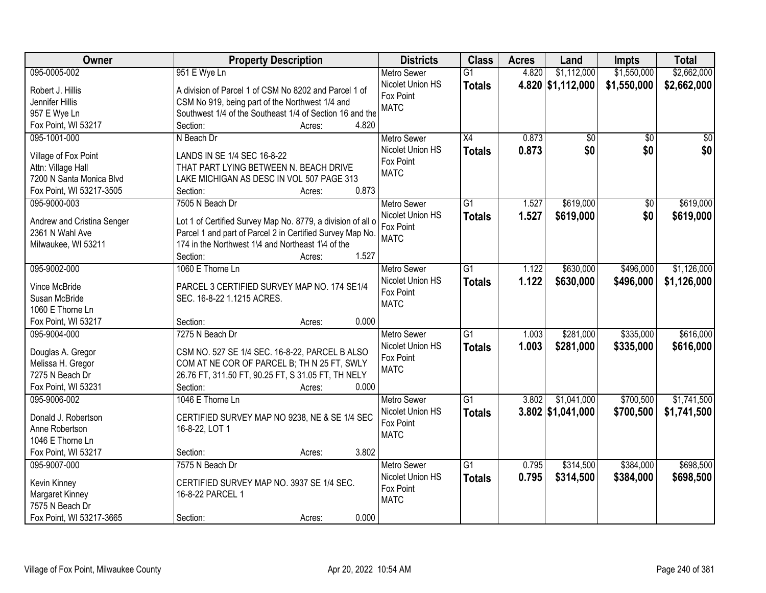| Owner                      | <b>Property Description</b>                                 | <b>Districts</b>              | <b>Class</b>    | <b>Acres</b> | Land                | <b>Impts</b>    | <b>Total</b> |
|----------------------------|-------------------------------------------------------------|-------------------------------|-----------------|--------------|---------------------|-----------------|--------------|
| 095-0005-002               | 951 E Wye Ln                                                | <b>Metro Sewer</b>            | $\overline{G1}$ | 4.820        | \$1,112,000         | \$1,550,000     | \$2,662,000  |
| Robert J. Hillis           | A division of Parcel 1 of CSM No 8202 and Parcel 1 of       | Nicolet Union HS              | <b>Totals</b>   |              | 4.820 \$1,112,000   | \$1,550,000     | \$2,662,000  |
| Jennifer Hillis            | CSM No 919, being part of the Northwest 1/4 and             | Fox Point                     |                 |              |                     |                 |              |
| 957 E Wye Ln               | Southwest 1/4 of the Southeast 1/4 of Section 16 and the    | <b>MATC</b>                   |                 |              |                     |                 |              |
| Fox Point, WI 53217        | 4.820<br>Section:<br>Acres:                                 |                               |                 |              |                     |                 |              |
| 095-1001-000               | N Beach Dr                                                  | <b>Metro Sewer</b>            | $\overline{X4}$ | 0.873        | \$0                 | $\overline{50}$ | \$0          |
|                            |                                                             | Nicolet Union HS              | <b>Totals</b>   | 0.873        | \$0                 | \$0             | \$0          |
| Village of Fox Point       | LANDS IN SE 1/4 SEC 16-8-22                                 | Fox Point                     |                 |              |                     |                 |              |
| Attn: Village Hall         | THAT PART LYING BETWEEN N. BEACH DRIVE                      | <b>MATC</b>                   |                 |              |                     |                 |              |
| 7200 N Santa Monica Blvd   | LAKE MICHIGAN AS DESC IN VOL 507 PAGE 313                   |                               |                 |              |                     |                 |              |
| Fox Point, WI 53217-3505   | 0.873<br>Section:<br>Acres:                                 |                               |                 |              |                     |                 |              |
| 095-9000-003               | 7505 N Beach Dr                                             | <b>Metro Sewer</b>            | G1              | 1.527        | \$619,000           | $\overline{50}$ | \$619,000    |
| Andrew and Cristina Senger | Lot 1 of Certified Survey Map No. 8779, a division of all o | Nicolet Union HS              | <b>Totals</b>   | 1.527        | \$619,000           | \$0             | \$619,000    |
| 2361 N Wahl Ave            | Parcel 1 and part of Parcel 2 in Certified Survey Map No.   | Fox Point                     |                 |              |                     |                 |              |
| Milwaukee, WI 53211        | 174 in the Northwest 1\4 and Northeast 1\4 of the           | <b>MATC</b>                   |                 |              |                     |                 |              |
|                            | 1.527<br>Section:<br>Acres:                                 |                               |                 |              |                     |                 |              |
| 095-9002-000               | 1060 E Thorne Ln                                            | <b>Metro Sewer</b>            | G1              | 1.122        | \$630,000           | \$496,000       | \$1,126,000  |
|                            |                                                             | Nicolet Union HS              |                 | 1.122        | \$630,000           | \$496,000       | \$1,126,000  |
| Vince McBride              | PARCEL 3 CERTIFIED SURVEY MAP NO. 174 SE1/4                 | Fox Point                     | <b>Totals</b>   |              |                     |                 |              |
| Susan McBride              | SEC. 16-8-22 1.1215 ACRES.                                  | <b>MATC</b>                   |                 |              |                     |                 |              |
| 1060 E Thorne Ln           |                                                             |                               |                 |              |                     |                 |              |
| Fox Point, WI 53217        | 0.000<br>Section:<br>Acres:                                 |                               |                 |              |                     |                 |              |
| 095-9004-000               | 7275 N Beach Dr                                             | <b>Metro Sewer</b>            | $\overline{G1}$ | 1.003        | \$281,000           | \$335,000       | \$616,000    |
| Douglas A. Gregor          | CSM NO. 527 SE 1/4 SEC. 16-8-22, PARCEL B ALSO              | Nicolet Union HS              | <b>Totals</b>   | 1.003        | \$281,000           | \$335,000       | \$616,000    |
| Melissa H. Gregor          | COM AT NE COR OF PARCEL B; TH N 25 FT, SWLY                 | Fox Point                     |                 |              |                     |                 |              |
| 7275 N Beach Dr            | 26.76 FT, 311.50 FT, 90.25 FT, S 31.05 FT, TH NELY          | <b>MATC</b>                   |                 |              |                     |                 |              |
| Fox Point, WI 53231        | Section:<br>0.000<br>Acres:                                 |                               |                 |              |                     |                 |              |
| 095-9006-002               | 1046 E Thorne Ln                                            |                               | G1              | 3.802        | \$1,041,000         | \$700,500       | \$1,741,500  |
|                            |                                                             | <b>Metro Sewer</b>            |                 |              |                     |                 |              |
| Donald J. Robertson        | CERTIFIED SURVEY MAP NO 9238, NE & SE 1/4 SEC               | Nicolet Union HS<br>Fox Point | <b>Totals</b>   |              | $3.802$ \$1,041,000 | \$700,500       | \$1,741,500  |
| Anne Robertson             | 16-8-22, LOT 1                                              | <b>MATC</b>                   |                 |              |                     |                 |              |
| 1046 E Thorne Ln           |                                                             |                               |                 |              |                     |                 |              |
| Fox Point, WI 53217        | 3.802<br>Section:<br>Acres:                                 |                               |                 |              |                     |                 |              |
| 095-9007-000               | 7575 N Beach Dr                                             | <b>Metro Sewer</b>            | $\overline{G1}$ | 0.795        | \$314,500           | \$384,000       | \$698,500    |
|                            |                                                             | Nicolet Union HS              | <b>Totals</b>   | 0.795        | \$314,500           | \$384,000       | \$698,500    |
| Kevin Kinney               | CERTIFIED SURVEY MAP NO. 3937 SE 1/4 SEC.                   | Fox Point                     |                 |              |                     |                 |              |
| Margaret Kinney            | 16-8-22 PARCEL 1                                            | <b>MATC</b>                   |                 |              |                     |                 |              |
| 7575 N Beach Dr            |                                                             |                               |                 |              |                     |                 |              |
| Fox Point, WI 53217-3665   | 0.000<br>Section:<br>Acres:                                 |                               |                 |              |                     |                 |              |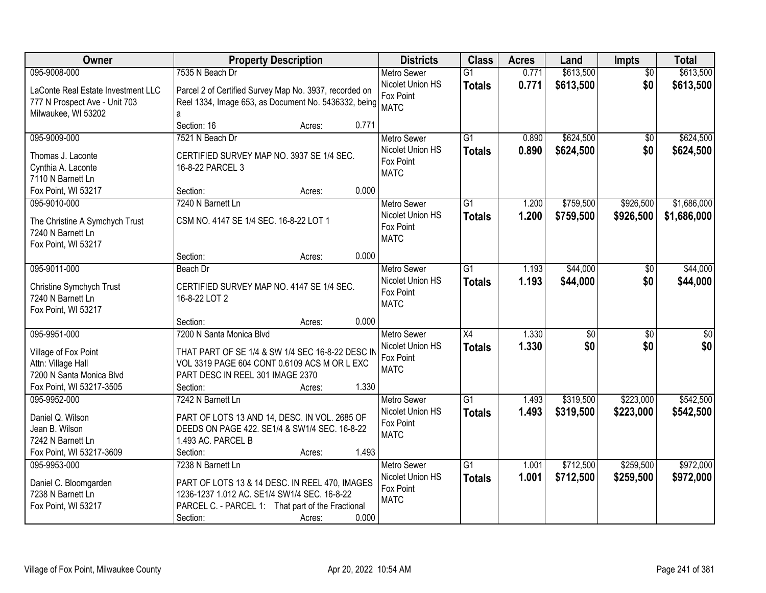| Owner                                                               | <b>Property Description</b>                                                                                    |       | <b>Districts</b>                             | <b>Class</b>    | <b>Acres</b> | Land            | <b>Impts</b>    | <b>Total</b>    |
|---------------------------------------------------------------------|----------------------------------------------------------------------------------------------------------------|-------|----------------------------------------------|-----------------|--------------|-----------------|-----------------|-----------------|
| 095-9008-000                                                        | 7535 N Beach Dr                                                                                                |       | <b>Metro Sewer</b>                           | $\overline{G1}$ | 0.771        | \$613,500       | $\overline{50}$ | \$613,500       |
| LaConte Real Estate Investment LLC<br>777 N Prospect Ave - Unit 703 | Parcel 2 of Certified Survey Map No. 3937, recorded on<br>Reel 1334, Image 653, as Document No. 5436332, being |       | Nicolet Union HS<br>Fox Point<br><b>MATC</b> | <b>Totals</b>   | 0.771        | \$613,500       | \$0             | \$613,500       |
| Milwaukee, WI 53202                                                 | a                                                                                                              |       |                                              |                 |              |                 |                 |                 |
|                                                                     | Section: 16<br>Acres:                                                                                          | 0.771 |                                              |                 |              |                 |                 |                 |
| 095-9009-000                                                        | 7521 N Beach Dr                                                                                                |       | <b>Metro Sewer</b>                           | $\overline{G1}$ | 0.890        | \$624,500       | $\overline{50}$ | \$624,500       |
| Thomas J. Laconte                                                   | CERTIFIED SURVEY MAP NO. 3937 SE 1/4 SEC.                                                                      |       | Nicolet Union HS                             | <b>Totals</b>   | 0.890        | \$624,500       | \$0             | \$624,500       |
| Cynthia A. Laconte                                                  | 16-8-22 PARCEL 3                                                                                               |       | Fox Point                                    |                 |              |                 |                 |                 |
| 7110 N Barnett Ln                                                   |                                                                                                                |       | <b>MATC</b>                                  |                 |              |                 |                 |                 |
| Fox Point, WI 53217                                                 | Section:<br>Acres:                                                                                             | 0.000 |                                              |                 |              |                 |                 |                 |
| 095-9010-000                                                        | 7240 N Barnett Ln                                                                                              |       | <b>Metro Sewer</b>                           | G1              | 1.200        | \$759,500       | \$926,500       | \$1,686,000     |
| The Christine A Symchych Trust                                      | CSM NO. 4147 SE 1/4 SEC. 16-8-22 LOT 1                                                                         |       | Nicolet Union HS                             | <b>Totals</b>   | 1.200        | \$759,500       | \$926,500       | \$1,686,000     |
| 7240 N Barnett Ln                                                   |                                                                                                                |       | Fox Point                                    |                 |              |                 |                 |                 |
| Fox Point, WI 53217                                                 |                                                                                                                |       | <b>MATC</b>                                  |                 |              |                 |                 |                 |
|                                                                     | Section:<br>Acres:                                                                                             | 0.000 |                                              |                 |              |                 |                 |                 |
| 095-9011-000                                                        | Beach Dr                                                                                                       |       | <b>Metro Sewer</b>                           | $\overline{G1}$ | 1.193        | \$44,000        | \$0             | \$44,000        |
|                                                                     |                                                                                                                |       | Nicolet Union HS                             | <b>Totals</b>   | 1.193        | \$44,000        | \$0             | \$44,000        |
| Christine Symchych Trust                                            | CERTIFIED SURVEY MAP NO. 4147 SE 1/4 SEC.                                                                      |       | Fox Point                                    |                 |              |                 |                 |                 |
| 7240 N Barnett Ln                                                   | 16-8-22 LOT 2                                                                                                  |       | <b>MATC</b>                                  |                 |              |                 |                 |                 |
| Fox Point, WI 53217                                                 |                                                                                                                |       |                                              |                 |              |                 |                 |                 |
|                                                                     | Section:<br>Acres:                                                                                             | 0.000 |                                              |                 |              |                 |                 |                 |
| 095-9951-000                                                        | 7200 N Santa Monica Blvd                                                                                       |       | <b>Metro Sewer</b>                           | $\overline{X4}$ | 1.330        | $\overline{30}$ | $\overline{50}$ | $\overline{30}$ |
| Village of Fox Point                                                | THAT PART OF SE 1/4 & SW 1/4 SEC 16-8-22 DESC II                                                               |       | Nicolet Union HS                             | <b>Totals</b>   | 1.330        | \$0             | \$0             | \$0             |
| Attn: Village Hall                                                  | VOL 3319 PAGE 604 CONT 0.6109 ACS M OR L EXC                                                                   |       | Fox Point<br><b>MATC</b>                     |                 |              |                 |                 |                 |
| 7200 N Santa Monica Blvd                                            | PART DESC IN REEL 301 IMAGE 2370                                                                               |       |                                              |                 |              |                 |                 |                 |
| Fox Point, WI 53217-3505                                            | Section:<br>Acres:                                                                                             | 1.330 |                                              |                 |              |                 |                 |                 |
| 095-9952-000                                                        | 7242 N Barnett Ln                                                                                              |       | Metro Sewer                                  | $\overline{G1}$ | 1.493        | \$319,500       | \$223,000       | \$542,500       |
| Daniel Q. Wilson                                                    | PART OF LOTS 13 AND 14, DESC. IN VOL. 2685 OF                                                                  |       | Nicolet Union HS                             | <b>Totals</b>   | 1.493        | \$319,500       | \$223,000       | \$542,500       |
| Jean B. Wilson                                                      | DEEDS ON PAGE 422. SE1/4 & SW1/4 SEC. 16-8-22                                                                  |       | Fox Point                                    |                 |              |                 |                 |                 |
| 7242 N Barnett Ln                                                   | 1.493 AC. PARCEL B                                                                                             |       | <b>MATC</b>                                  |                 |              |                 |                 |                 |
| Fox Point, WI 53217-3609                                            | Section:<br>Acres:                                                                                             | 1.493 |                                              |                 |              |                 |                 |                 |
| 095-9953-000                                                        | 7238 N Barnett Ln                                                                                              |       | <b>Metro Sewer</b>                           | $\overline{G1}$ | 1.001        | \$712,500       | \$259,500       | \$972,000       |
|                                                                     |                                                                                                                |       | Nicolet Union HS                             | <b>Totals</b>   | 1.001        | \$712,500       | \$259,500       | \$972,000       |
| Daniel C. Bloomgarden                                               | PART OF LOTS 13 & 14 DESC. IN REEL 470, IMAGES                                                                 |       | Fox Point                                    |                 |              |                 |                 |                 |
| 7238 N Barnett Ln                                                   | 1236-1237 1.012 AC. SE1/4 SW1/4 SEC. 16-8-22                                                                   |       | <b>MATC</b>                                  |                 |              |                 |                 |                 |
| Fox Point, WI 53217                                                 | PARCEL C. - PARCEL 1: That part of the Fractional                                                              |       |                                              |                 |              |                 |                 |                 |
|                                                                     | Section:<br>Acres:                                                                                             | 0.000 |                                              |                 |              |                 |                 |                 |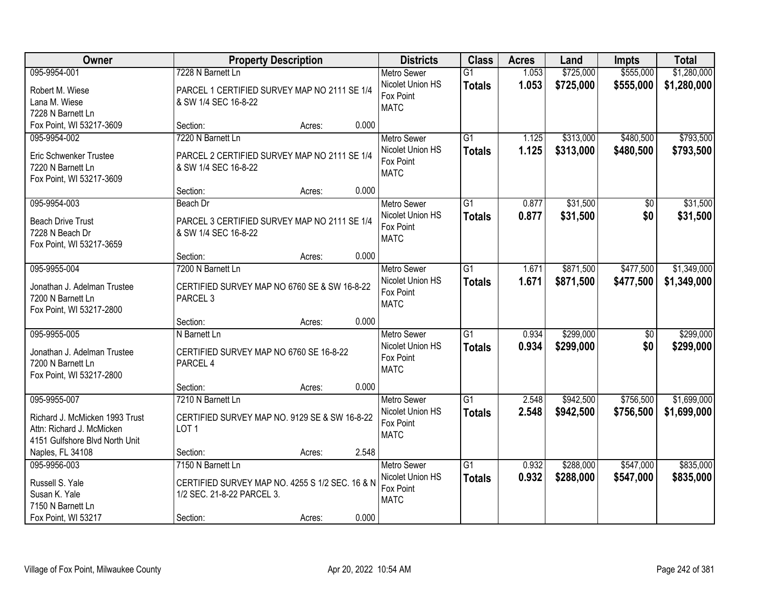| Owner                          |                                                 | <b>Property Description</b> |       | <b>Districts</b>   | <b>Class</b>    | <b>Acres</b> | Land      | <b>Impts</b>    | <b>Total</b> |
|--------------------------------|-------------------------------------------------|-----------------------------|-------|--------------------|-----------------|--------------|-----------|-----------------|--------------|
| 095-9954-001                   | 7228 N Barnett Ln                               |                             |       | <b>Metro Sewer</b> | $\overline{G1}$ | 1.053        | \$725,000 | \$555,000       | \$1,280,000  |
| Robert M. Wiese                | PARCEL 1 CERTIFIED SURVEY MAP NO 2111 SE 1/4    |                             |       | Nicolet Union HS   | <b>Totals</b>   | 1.053        | \$725,000 | \$555,000       | \$1,280,000  |
| Lana M. Wiese                  | & SW 1/4 SEC 16-8-22                            |                             |       | Fox Point          |                 |              |           |                 |              |
| 7228 N Barnett Ln              |                                                 |                             |       | <b>MATC</b>        |                 |              |           |                 |              |
| Fox Point, WI 53217-3609       | Section:                                        | Acres:                      | 0.000 |                    |                 |              |           |                 |              |
| 095-9954-002                   | 7220 N Barnett Ln                               |                             |       | <b>Metro Sewer</b> | $\overline{G1}$ | 1.125        | \$313,000 | \$480,500       | \$793,500    |
| Eric Schwenker Trustee         | PARCEL 2 CERTIFIED SURVEY MAP NO 2111 SE 1/4    |                             |       | Nicolet Union HS   | <b>Totals</b>   | 1.125        | \$313,000 | \$480,500       | \$793,500    |
| 7220 N Barnett Ln              | & SW 1/4 SEC 16-8-22                            |                             |       | Fox Point          |                 |              |           |                 |              |
| Fox Point, WI 53217-3609       |                                                 |                             |       | <b>MATC</b>        |                 |              |           |                 |              |
|                                | Section:                                        | Acres:                      | 0.000 |                    |                 |              |           |                 |              |
| 095-9954-003                   | Beach Dr                                        |                             |       | <b>Metro Sewer</b> | $\overline{G1}$ | 0.877        | \$31,500  | $\overline{50}$ | \$31,500     |
| <b>Beach Drive Trust</b>       | PARCEL 3 CERTIFIED SURVEY MAP NO 2111 SE 1/4    |                             |       | Nicolet Union HS   | <b>Totals</b>   | 0.877        | \$31,500  | \$0             | \$31,500     |
| 7228 N Beach Dr                | & SW 1/4 SEC 16-8-22                            |                             |       | Fox Point          |                 |              |           |                 |              |
| Fox Point, WI 53217-3659       |                                                 |                             |       | <b>MATC</b>        |                 |              |           |                 |              |
|                                | Section:                                        | Acres:                      | 0.000 |                    |                 |              |           |                 |              |
| 095-9955-004                   | 7200 N Barnett Ln                               |                             |       | <b>Metro Sewer</b> | G1              | 1.671        | \$871,500 | \$477,500       | \$1,349,000  |
| Jonathan J. Adelman Trustee    | CERTIFIED SURVEY MAP NO 6760 SE & SW 16-8-22    |                             |       | Nicolet Union HS   | <b>Totals</b>   | 1.671        | \$871,500 | \$477,500       | \$1,349,000  |
| 7200 N Barnett Ln              | PARCEL <sub>3</sub>                             |                             |       | Fox Point          |                 |              |           |                 |              |
| Fox Point, WI 53217-2800       |                                                 |                             |       | <b>MATC</b>        |                 |              |           |                 |              |
|                                | Section:                                        | Acres:                      | 0.000 |                    |                 |              |           |                 |              |
| 095-9955-005                   | N Barnett Ln                                    |                             |       | <b>Metro Sewer</b> | $\overline{G1}$ | 0.934        | \$299,000 | $\overline{50}$ | \$299,000    |
| Jonathan J. Adelman Trustee    | CERTIFIED SURVEY MAP NO 6760 SE 16-8-22         |                             |       | Nicolet Union HS   | <b>Totals</b>   | 0.934        | \$299,000 | \$0             | \$299,000    |
| 7200 N Barnett Ln              | PARCEL 4                                        |                             |       | Fox Point          |                 |              |           |                 |              |
| Fox Point, WI 53217-2800       |                                                 |                             |       | <b>MATC</b>        |                 |              |           |                 |              |
|                                | Section:                                        | Acres:                      | 0.000 |                    |                 |              |           |                 |              |
| 095-9955-007                   | 7210 N Barnett Ln                               |                             |       | Metro Sewer        | G1              | 2.548        | \$942,500 | \$756,500       | \$1,699,000  |
| Richard J. McMicken 1993 Trust | CERTIFIED SURVEY MAP NO. 9129 SE & SW 16-8-22   |                             |       | Nicolet Union HS   | <b>Totals</b>   | 2.548        | \$942,500 | \$756,500       | \$1,699,000  |
| Attn: Richard J. McMicken      | LOT <sub>1</sub>                                |                             |       | Fox Point          |                 |              |           |                 |              |
| 4151 Gulfshore Blvd North Unit |                                                 |                             |       | <b>MATC</b>        |                 |              |           |                 |              |
| Naples, FL 34108               | Section:                                        | Acres:                      | 2.548 |                    |                 |              |           |                 |              |
| 095-9956-003                   | 7150 N Barnett Ln                               |                             |       | <b>Metro Sewer</b> | G1              | 0.932        | \$288,000 | \$547,000       | \$835,000    |
| Russell S. Yale                | CERTIFIED SURVEY MAP NO. 4255 S 1/2 SEC. 16 & N |                             |       | Nicolet Union HS   | <b>Totals</b>   | 0.932        | \$288,000 | \$547,000       | \$835,000    |
| Susan K. Yale                  | 1/2 SEC. 21-8-22 PARCEL 3.                      |                             |       | Fox Point          |                 |              |           |                 |              |
| 7150 N Barnett Ln              |                                                 |                             |       | <b>MATC</b>        |                 |              |           |                 |              |
| Fox Point, WI 53217            | Section:                                        | Acres:                      | 0.000 |                    |                 |              |           |                 |              |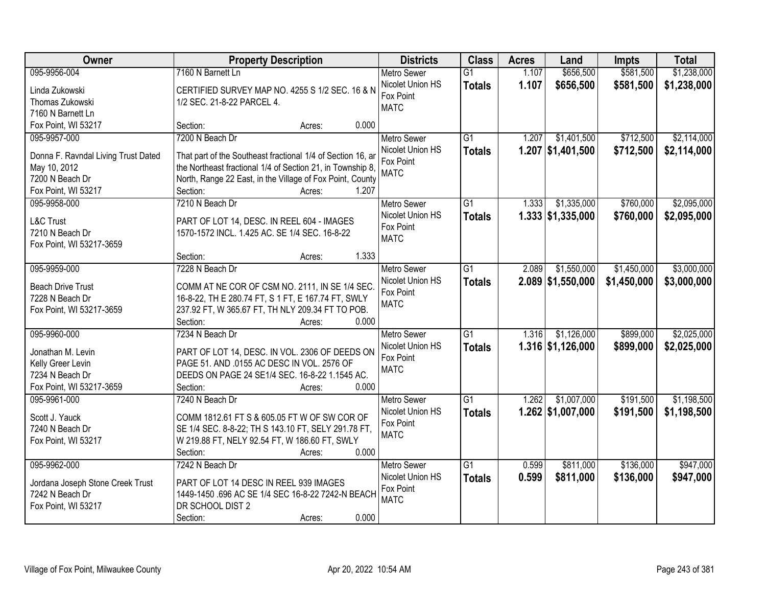| Owner                               | <b>Property Description</b>                                 | <b>Districts</b>   | <b>Class</b>    | <b>Acres</b> | Land                | <b>Impts</b> | <b>Total</b> |
|-------------------------------------|-------------------------------------------------------------|--------------------|-----------------|--------------|---------------------|--------------|--------------|
| 095-9956-004                        | 7160 N Barnett Ln                                           | <b>Metro Sewer</b> | $\overline{G1}$ | 1.107        | \$656,500           | \$581,500    | \$1,238,000  |
| Linda Zukowski                      | CERTIFIED SURVEY MAP NO. 4255 S 1/2 SEC. 16 & N             | Nicolet Union HS   | <b>Totals</b>   | 1.107        | \$656,500           | \$581,500    | \$1,238,000  |
| Thomas Zukowski                     | 1/2 SEC. 21-8-22 PARCEL 4.                                  | Fox Point          |                 |              |                     |              |              |
| 7160 N Barnett Ln                   |                                                             | <b>MATC</b>        |                 |              |                     |              |              |
| Fox Point, WI 53217                 | 0.000<br>Section:<br>Acres:                                 |                    |                 |              |                     |              |              |
| 095-9957-000                        | 7200 N Beach Dr                                             | <b>Metro Sewer</b> | $\overline{G1}$ | 1.207        | \$1,401,500         | \$712,500    | \$2,114,000  |
|                                     |                                                             | Nicolet Union HS   | <b>Totals</b>   |              | $1.207$ \$1,401,500 | \$712,500    | \$2,114,000  |
| Donna F. Ravndal Living Trust Dated | That part of the Southeast fractional 1/4 of Section 16, ar | Fox Point          |                 |              |                     |              |              |
| May 10, 2012                        | the Northeast fractional 1/4 of Section 21, in Township 8,  | <b>MATC</b>        |                 |              |                     |              |              |
| 7200 N Beach Dr                     | North, Range 22 East, in the Village of Fox Point, County   |                    |                 |              |                     |              |              |
| Fox Point, WI 53217                 | 1.207<br>Section:<br>Acres:                                 |                    |                 |              |                     |              |              |
| 095-9958-000                        | 7210 N Beach Dr                                             | <b>Metro Sewer</b> | $\overline{G1}$ | 1.333        | \$1,335,000         | \$760,000    | \$2,095,000  |
| <b>L&amp;C Trust</b>                | PART OF LOT 14, DESC. IN REEL 604 - IMAGES                  | Nicolet Union HS   | <b>Totals</b>   |              | $1.333$ \$1,335,000 | \$760,000    | \$2,095,000  |
| 7210 N Beach Dr                     | 1570-1572 INCL. 1.425 AC. SE 1/4 SEC. 16-8-22               | Fox Point          |                 |              |                     |              |              |
| Fox Point, WI 53217-3659            |                                                             | <b>MATC</b>        |                 |              |                     |              |              |
|                                     | 1.333<br>Section:<br>Acres:                                 |                    |                 |              |                     |              |              |
| 095-9959-000                        | 7228 N Beach Dr                                             | <b>Metro Sewer</b> | $\overline{G1}$ | 2.089        | \$1,550,000         | \$1,450,000  | \$3,000,000  |
|                                     |                                                             | Nicolet Union HS   | <b>Totals</b>   |              | $2.089$ \$1,550,000 | \$1,450,000  | \$3,000,000  |
| <b>Beach Drive Trust</b>            | COMM AT NE COR OF CSM NO. 2111, IN SE 1/4 SEC.              | Fox Point          |                 |              |                     |              |              |
| 7228 N Beach Dr                     | 16-8-22, TH E 280.74 FT, S 1 FT, E 167.74 FT, SWLY          | <b>MATC</b>        |                 |              |                     |              |              |
| Fox Point, WI 53217-3659            | 237.92 FT, W 365.67 FT, TH NLY 209.34 FT TO POB.            |                    |                 |              |                     |              |              |
|                                     | 0.000<br>Section:<br>Acres:                                 |                    |                 |              |                     |              |              |
| 095-9960-000                        | 7234 N Beach Dr                                             | <b>Metro Sewer</b> | $\overline{G1}$ | 1.316        | \$1,126,000         | \$899,000    | \$2,025,000  |
| Jonathan M. Levin                   | PART OF LOT 14, DESC. IN VOL. 2306 OF DEEDS ON              | Nicolet Union HS   | <b>Totals</b>   |              | $1.316$ \$1,126,000 | \$899,000    | \$2,025,000  |
| Kelly Greer Levin                   | PAGE 51. AND .0155 AC DESC IN VOL. 2576 OF                  | Fox Point          |                 |              |                     |              |              |
| 7234 N Beach Dr                     | DEEDS ON PAGE 24 SE1/4 SEC. 16-8-22 1.1545 AC.              | <b>MATC</b>        |                 |              |                     |              |              |
| Fox Point, WI 53217-3659            | Section:<br>0.000<br>Acres:                                 |                    |                 |              |                     |              |              |
| 095-9961-000                        | 7240 N Beach Dr                                             | <b>Metro Sewer</b> | $\overline{G1}$ | 1.262        | \$1,007,000         | \$191,500    | \$1,198,500  |
|                                     |                                                             | Nicolet Union HS   | <b>Totals</b>   |              | $1.262$ \$1,007,000 | \$191,500    | \$1,198,500  |
| Scott J. Yauck                      | COMM 1812.61 FT S & 605.05 FT W OF SW COR OF                | Fox Point          |                 |              |                     |              |              |
| 7240 N Beach Dr                     | SE 1/4 SEC. 8-8-22; TH S 143.10 FT, SELY 291.78 FT,         | <b>MATC</b>        |                 |              |                     |              |              |
| Fox Point, WI 53217                 | W 219.88 FT, NELY 92.54 FT, W 186.60 FT, SWLY               |                    |                 |              |                     |              |              |
|                                     | 0.000<br>Section:<br>Acres:                                 |                    |                 |              |                     |              |              |
| 095-9962-000                        | 7242 N Beach Dr                                             | <b>Metro Sewer</b> | $\overline{G1}$ | 0.599        | \$811,000           | \$136,000    | \$947,000    |
| Jordana Joseph Stone Creek Trust    | PART OF LOT 14 DESC IN REEL 939 IMAGES                      | Nicolet Union HS   | <b>Totals</b>   | 0.599        | \$811,000           | \$136,000    | \$947,000    |
| 7242 N Beach Dr                     | 1449-1450 .696 AC SE 1/4 SEC 16-8-22 7242-N BEACH           | Fox Point          |                 |              |                     |              |              |
| Fox Point, WI 53217                 | DR SCHOOL DIST 2                                            | <b>MATC</b>        |                 |              |                     |              |              |
|                                     | 0.000<br>Section:<br>Acres:                                 |                    |                 |              |                     |              |              |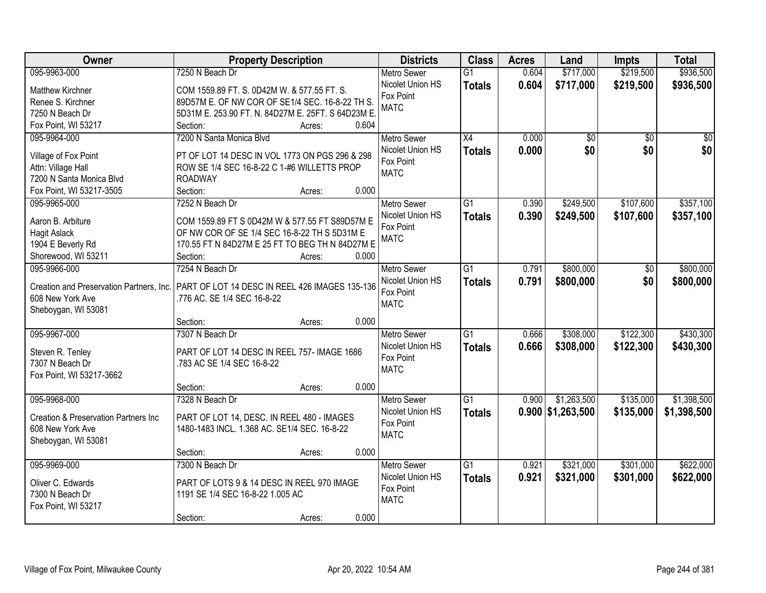| Owner                                            | <b>Property Description</b>                       | <b>Districts</b>   | <b>Class</b>    | <b>Acres</b> | Land                | <b>Impts</b>    | <b>Total</b>    |
|--------------------------------------------------|---------------------------------------------------|--------------------|-----------------|--------------|---------------------|-----------------|-----------------|
| 095-9963-000                                     | 7250 N Beach Dr                                   | <b>Metro Sewer</b> | $\overline{G1}$ | 0.604        | \$717,000           | \$219,500       | \$936,500       |
| <b>Matthew Kirchner</b>                          | COM 1559.89 FT. S. 0D42M W. & 577.55 FT. S.       | Nicolet Union HS   | <b>Totals</b>   | 0.604        | \$717,000           | \$219,500       | \$936,500       |
| Renee S. Kirchner                                | 89D57M E. OF NW COR OF SE1/4 SEC. 16-8-22 TH S.   | Fox Point          |                 |              |                     |                 |                 |
| 7250 N Beach Dr                                  | 5D31M E. 253.90 FT. N. 84D27M E. 25FT. S 64D23M E | <b>MATC</b>        |                 |              |                     |                 |                 |
| Fox Point, WI 53217                              | 0.604<br>Section:<br>Acres:                       |                    |                 |              |                     |                 |                 |
| 095-9964-000                                     | 7200 N Santa Monica Blvd                          | <b>Metro Sewer</b> | X4              | 0.000        | $\overline{50}$     | $\overline{50}$ | $\overline{50}$ |
|                                                  |                                                   | Nicolet Union HS   | <b>Totals</b>   | 0.000        | \$0                 | \$0             | \$0             |
| Village of Fox Point                             | PT OF LOT 14 DESC IN VOL 1773 ON PGS 296 & 298    | Fox Point          |                 |              |                     |                 |                 |
| Attn: Village Hall                               | ROW SE 1/4 SEC 16-8-22 C 1-#6 WILLETTS PROP       | <b>MATC</b>        |                 |              |                     |                 |                 |
| 7200 N Santa Monica Blvd                         | <b>ROADWAY</b>                                    |                    |                 |              |                     |                 |                 |
| Fox Point, WI 53217-3505                         | Section:<br>0.000<br>Acres:                       |                    |                 |              |                     |                 |                 |
| 095-9965-000                                     | 7252 N Beach Dr                                   | <b>Metro Sewer</b> | G <sub>1</sub>  | 0.390        | \$249,500           | \$107,600       | \$357,100       |
| Aaron B. Arbiture                                | COM 1559.89 FT S 0D42M W & 577.55 FT S89D57M E    | Nicolet Union HS   | <b>Totals</b>   | 0.390        | \$249,500           | \$107,600       | \$357,100       |
| <b>Hagit Aslack</b>                              | OF NW COR OF SE 1/4 SEC 16-8-22 TH S 5D31M E      | Fox Point          |                 |              |                     |                 |                 |
| 1904 E Beverly Rd                                | 170.55 FT N 84D27M E 25 FT TO BEG TH N 84D27M E   | <b>MATC</b>        |                 |              |                     |                 |                 |
| Shorewood, WI 53211                              | Section:<br>0.000<br>Acres:                       |                    |                 |              |                     |                 |                 |
| 095-9966-000                                     | 7254 N Beach Dr                                   | <b>Metro Sewer</b> | $\overline{G1}$ | 0.791        | \$800,000           | \$0             | \$800,000       |
|                                                  |                                                   | Nicolet Union HS   | <b>Totals</b>   | 0.791        | \$800,000           | \$0             | \$800,000       |
| Creation and Preservation Partners, Inc.         | PART OF LOT 14 DESC IN REEL 426 IMAGES 135-136    | Fox Point          |                 |              |                     |                 |                 |
| 608 New York Ave                                 | .776 AC. SE 1/4 SEC 16-8-22                       | <b>MATC</b>        |                 |              |                     |                 |                 |
| Sheboygan, WI 53081                              |                                                   |                    |                 |              |                     |                 |                 |
|                                                  | 0.000<br>Section:<br>Acres:                       |                    |                 |              |                     |                 |                 |
| 095-9967-000                                     | 7307 N Beach Dr                                   | <b>Metro Sewer</b> | $\overline{G1}$ | 0.666        | \$308,000           | \$122,300       | \$430,300       |
| Steven R. Tenley                                 | PART OF LOT 14 DESC IN REEL 757- IMAGE 1686       | Nicolet Union HS   | <b>Totals</b>   | 0.666        | \$308,000           | \$122,300       | \$430,300       |
| 7307 N Beach Dr                                  | .783 AC SE 1/4 SEC 16-8-22                        | Fox Point          |                 |              |                     |                 |                 |
| Fox Point, WI 53217-3662                         |                                                   | <b>MATC</b>        |                 |              |                     |                 |                 |
|                                                  | 0.000<br>Section:<br>Acres:                       |                    |                 |              |                     |                 |                 |
| 095-9968-000                                     | 7328 N Beach Dr                                   | <b>Metro Sewer</b> | $\overline{G1}$ | 0.900        | \$1,263,500         | \$135,000       | \$1,398,500     |
|                                                  |                                                   | Nicolet Union HS   | <b>Totals</b>   |              | $0.900$ \$1,263,500 | \$135,000       | \$1,398,500     |
| <b>Creation &amp; Preservation Partners Inc.</b> | PART OF LOT 14, DESC. IN REEL 480 - IMAGES        | Fox Point          |                 |              |                     |                 |                 |
| 608 New York Ave                                 | 1480-1483 INCL. 1.368 AC. SE1/4 SEC. 16-8-22      | <b>MATC</b>        |                 |              |                     |                 |                 |
| Sheboygan, WI 53081                              |                                                   |                    |                 |              |                     |                 |                 |
|                                                  | 0.000<br>Section:<br>Acres:                       |                    |                 |              |                     |                 |                 |
| 095-9969-000                                     | 7300 N Beach Dr                                   | <b>Metro Sewer</b> | $\overline{G1}$ | 0.921        | \$321,000           | \$301,000       | \$622,000       |
| Oliver C. Edwards                                | PART OF LOTS 9 & 14 DESC IN REEL 970 IMAGE        | Nicolet Union HS   | <b>Totals</b>   | 0.921        | \$321,000           | \$301,000       | \$622,000       |
| 7300 N Beach Dr                                  | 1191 SE 1/4 SEC 16-8-22 1.005 AC                  | Fox Point          |                 |              |                     |                 |                 |
| Fox Point, WI 53217                              |                                                   | <b>MATC</b>        |                 |              |                     |                 |                 |
|                                                  | 0.000<br>Section:<br>Acres:                       |                    |                 |              |                     |                 |                 |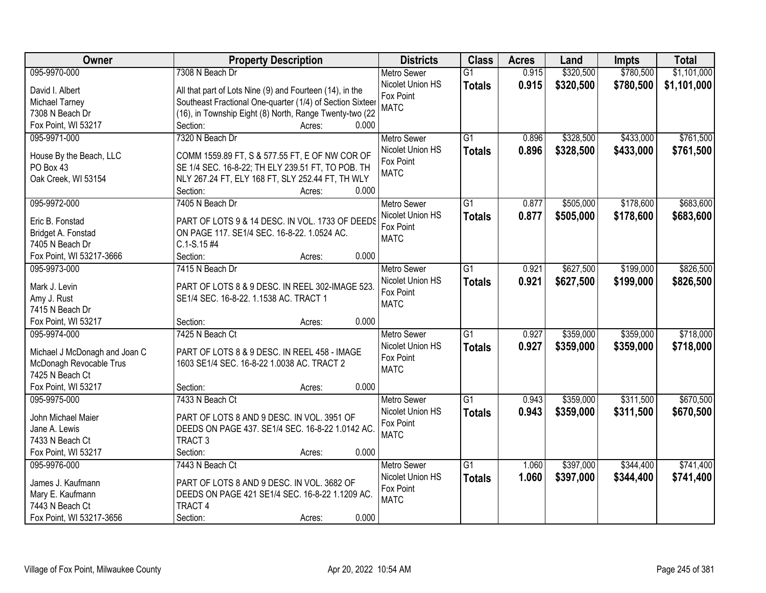| Owner                         | <b>Property Description</b>                               | <b>Districts</b>   | <b>Class</b>    | <b>Acres</b> | Land      | <b>Impts</b> | <b>Total</b> |
|-------------------------------|-----------------------------------------------------------|--------------------|-----------------|--------------|-----------|--------------|--------------|
| 095-9970-000                  | 7308 N Beach Dr                                           | <b>Metro Sewer</b> | $\overline{G1}$ | 0.915        | \$320,500 | \$780,500    | \$1,101,000  |
| David I. Albert               | All that part of Lots Nine (9) and Fourteen (14), in the  | Nicolet Union HS   | <b>Totals</b>   | 0.915        | \$320,500 | \$780,500    | \$1,101,000  |
| Michael Tarney                | Southeast Fractional One-quarter (1/4) of Section Sixteer | Fox Point          |                 |              |           |              |              |
| 7308 N Beach Dr               | (16), in Township Eight (8) North, Range Twenty-two (22   | <b>MATC</b>        |                 |              |           |              |              |
| Fox Point, WI 53217           | 0.000<br>Section:<br>Acres:                               |                    |                 |              |           |              |              |
| 095-9971-000                  | 7320 N Beach Dr                                           | <b>Metro Sewer</b> | $\overline{G1}$ | 0.896        | \$328,500 | \$433,000    | \$761,500    |
|                               |                                                           | Nicolet Union HS   | <b>Totals</b>   | 0.896        | \$328,500 | \$433,000    | \$761,500    |
| House By the Beach, LLC       | COMM 1559.89 FT, S & 577.55 FT, E OF NW COR OF            | Fox Point          |                 |              |           |              |              |
| PO Box 43                     | SE 1/4 SEC. 16-8-22; TH ELY 239.51 FT, TO POB. TH         | <b>MATC</b>        |                 |              |           |              |              |
| Oak Creek, WI 53154           | NLY 267.24 FT, ELY 168 FT, SLY 252.44 FT, TH WLY          |                    |                 |              |           |              |              |
|                               | 0.000<br>Section:<br>Acres:                               |                    |                 |              |           |              |              |
| 095-9972-000                  | 7405 N Beach Dr                                           | Metro Sewer        | G1              | 0.877        | \$505,000 | \$178,600    | \$683,600    |
| Eric B. Fonstad               | PART OF LOTS 9 & 14 DESC. IN VOL. 1733 OF DEEDS           | Nicolet Union HS   | <b>Totals</b>   | 0.877        | \$505,000 | \$178,600    | \$683,600    |
| Bridget A. Fonstad            | ON PAGE 117. SE1/4 SEC. 16-8-22. 1.0524 AC.               | Fox Point          |                 |              |           |              |              |
| 7405 N Beach Dr               | $C.1-S.15#4$                                              | <b>MATC</b>        |                 |              |           |              |              |
| Fox Point, WI 53217-3666      | 0.000<br>Section:<br>Acres:                               |                    |                 |              |           |              |              |
| 095-9973-000                  | 7415 N Beach Dr                                           | <b>Metro Sewer</b> | G1              | 0.921        | \$627,500 | \$199,000    | \$826,500    |
|                               |                                                           | Nicolet Union HS   | <b>Totals</b>   | 0.921        | \$627,500 | \$199,000    | \$826,500    |
| Mark J. Levin                 | PART OF LOTS 8 & 9 DESC. IN REEL 302-IMAGE 523.           | Fox Point          |                 |              |           |              |              |
| Amy J. Rust                   | SE1/4 SEC. 16-8-22. 1.1538 AC. TRACT 1                    | <b>MATC</b>        |                 |              |           |              |              |
| 7415 N Beach Dr               |                                                           |                    |                 |              |           |              |              |
| Fox Point, WI 53217           | 0.000<br>Section:<br>Acres:                               |                    |                 |              |           |              |              |
| 095-9974-000                  | 7425 N Beach Ct                                           | <b>Metro Sewer</b> | $\overline{G1}$ | 0.927        | \$359,000 | \$359,000    | \$718,000    |
| Michael J McDonagh and Joan C | PART OF LOTS 8 & 9 DESC. IN REEL 458 - IMAGE              | Nicolet Union HS   | <b>Totals</b>   | 0.927        | \$359,000 | \$359,000    | \$718,000    |
| McDonagh Revocable Trus       | 1603 SE1/4 SEC. 16-8-22 1.0038 AC. TRACT 2                | Fox Point          |                 |              |           |              |              |
| 7425 N Beach Ct               |                                                           | <b>MATC</b>        |                 |              |           |              |              |
| Fox Point, WI 53217           | 0.000<br>Section:<br>Acres:                               |                    |                 |              |           |              |              |
| 095-9975-000                  | 7433 N Beach Ct                                           | <b>Metro Sewer</b> | G1              | 0.943        | \$359,000 | \$311,500    | \$670,500    |
|                               |                                                           | Nicolet Union HS   | <b>Totals</b>   | 0.943        | \$359,000 | \$311,500    | \$670,500    |
| John Michael Maier            | PART OF LOTS 8 AND 9 DESC. IN VOL. 3951 OF                | Fox Point          |                 |              |           |              |              |
| Jane A. Lewis                 | DEEDS ON PAGE 437. SE1/4 SEC. 16-8-22 1.0142 AC.          | <b>MATC</b>        |                 |              |           |              |              |
| 7433 N Beach Ct               | TRACT <sub>3</sub>                                        |                    |                 |              |           |              |              |
| Fox Point, WI 53217           | 0.000<br>Section:<br>Acres:                               |                    |                 |              |           |              |              |
| 095-9976-000                  | 7443 N Beach Ct                                           | <b>Metro Sewer</b> | $\overline{G1}$ | 1.060        | \$397,000 | \$344,400    | \$741,400    |
| James J. Kaufmann             | PART OF LOTS 8 AND 9 DESC. IN VOL. 3682 OF                | Nicolet Union HS   | <b>Totals</b>   | 1.060        | \$397,000 | \$344,400    | \$741,400    |
| Mary E. Kaufmann              | DEEDS ON PAGE 421 SE1/4 SEC. 16-8-22 1.1209 AC.           | Fox Point          |                 |              |           |              |              |
| 7443 N Beach Ct               | <b>TRACT 4</b>                                            | <b>MATC</b>        |                 |              |           |              |              |
| Fox Point, WI 53217-3656      | 0.000<br>Section:<br>Acres:                               |                    |                 |              |           |              |              |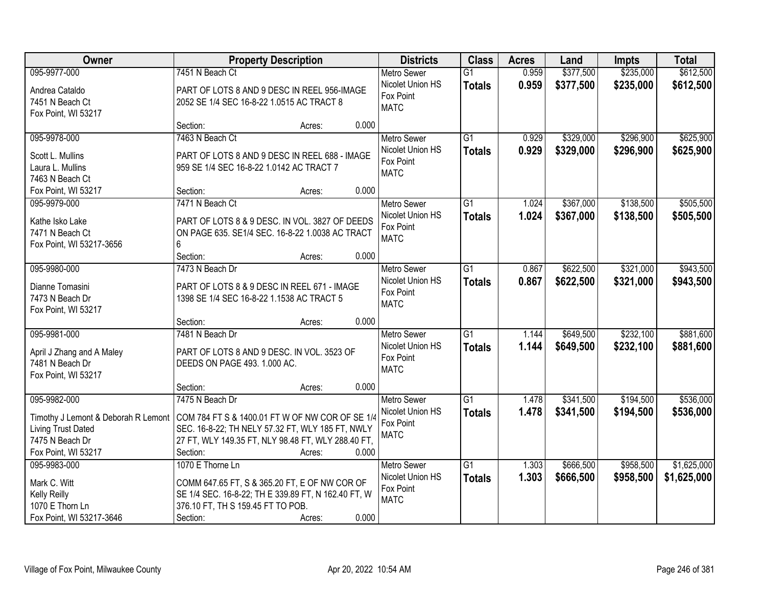| Owner                               | <b>Property Description</b>                         | <b>Districts</b>                       | <b>Class</b>    | <b>Acres</b> | Land      | <b>Impts</b> | <b>Total</b> |
|-------------------------------------|-----------------------------------------------------|----------------------------------------|-----------------|--------------|-----------|--------------|--------------|
| 095-9977-000                        | 7451 N Beach Ct                                     | <b>Metro Sewer</b>                     | $\overline{G1}$ | 0.959        | \$377,500 | \$235,000    | \$612,500    |
| Andrea Cataldo                      | PART OF LOTS 8 AND 9 DESC IN REEL 956-IMAGE         | Nicolet Union HS                       | <b>Totals</b>   | 0.959        | \$377,500 | \$235,000    | \$612,500    |
| 7451 N Beach Ct                     | 2052 SE 1/4 SEC 16-8-22 1.0515 AC TRACT 8           | Fox Point                              |                 |              |           |              |              |
| Fox Point, WI 53217                 |                                                     | <b>MATC</b>                            |                 |              |           |              |              |
|                                     | 0.000<br>Section:<br>Acres:                         |                                        |                 |              |           |              |              |
| 095-9978-000                        | 7463 N Beach Ct                                     | <b>Metro Sewer</b>                     | $\overline{G1}$ | 0.929        | \$329,000 | \$296,900    | \$625,900    |
| Scott L. Mullins                    | PART OF LOTS 8 AND 9 DESC IN REEL 688 - IMAGE       | Nicolet Union HS                       | <b>Totals</b>   | 0.929        | \$329,000 | \$296,900    | \$625,900    |
| Laura L. Mullins                    | 959 SE 1/4 SEC 16-8-22 1.0142 AC TRACT 7            | Fox Point                              |                 |              |           |              |              |
| 7463 N Beach Ct                     |                                                     | <b>MATC</b>                            |                 |              |           |              |              |
| Fox Point, WI 53217                 | 0.000<br>Section:<br>Acres:                         |                                        |                 |              |           |              |              |
| 095-9979-000                        | 7471 N Beach Ct                                     | Metro Sewer                            | G1              | 1.024        | \$367,000 | \$138,500    | \$505,500    |
|                                     |                                                     | Nicolet Union HS                       | <b>Totals</b>   | 1.024        | \$367,000 | \$138,500    | \$505,500    |
| Kathe Isko Lake                     | PART OF LOTS 8 & 9 DESC. IN VOL. 3827 OF DEEDS      | Fox Point                              |                 |              |           |              |              |
| 7471 N Beach Ct                     | ON PAGE 635. SE1/4 SEC. 16-8-22 1.0038 AC TRACT     | <b>MATC</b>                            |                 |              |           |              |              |
| Fox Point, WI 53217-3656            | 6                                                   |                                        |                 |              |           |              |              |
|                                     | Section:<br>0.000<br>Acres:<br>7473 N Beach Dr      |                                        |                 | 0.867        |           |              |              |
| 095-9980-000                        |                                                     | <b>Metro Sewer</b><br>Nicolet Union HS | G1              |              | \$622,500 | \$321,000    | \$943,500    |
| Dianne Tomasini                     | PART OF LOTS 8 & 9 DESC IN REEL 671 - IMAGE         | Fox Point                              | <b>Totals</b>   | 0.867        | \$622,500 | \$321,000    | \$943,500    |
| 7473 N Beach Dr                     | 1398 SE 1/4 SEC 16-8-22 1.1538 AC TRACT 5           | <b>MATC</b>                            |                 |              |           |              |              |
| Fox Point, WI 53217                 |                                                     |                                        |                 |              |           |              |              |
|                                     | 0.000<br>Section:<br>Acres:                         |                                        |                 |              |           |              |              |
| 095-9981-000                        | 7481 N Beach Dr                                     | <b>Metro Sewer</b>                     | $\overline{G1}$ | 1.144        | \$649,500 | \$232,100    | \$881,600    |
| April J Zhang and A Maley           | PART OF LOTS 8 AND 9 DESC. IN VOL. 3523 OF          | Nicolet Union HS                       | <b>Totals</b>   | 1.144        | \$649,500 | \$232,100    | \$881,600    |
| 7481 N Beach Dr                     | DEEDS ON PAGE 493. 1.000 AC.                        | Fox Point                              |                 |              |           |              |              |
| Fox Point, WI 53217                 |                                                     | <b>MATC</b>                            |                 |              |           |              |              |
|                                     | Section:<br>0.000<br>Acres:                         |                                        |                 |              |           |              |              |
| 095-9982-000                        | 7475 N Beach Dr                                     | <b>Metro Sewer</b>                     | G1              | 1.478        | \$341,500 | \$194,500    | \$536,000    |
| Timothy J Lemont & Deborah R Lemont | COM 784 FT S & 1400.01 FT W OF NW COR OF SE 1/4     | Nicolet Union HS                       | <b>Totals</b>   | 1.478        | \$341,500 | \$194,500    | \$536,000    |
| Living Trust Dated                  | SEC. 16-8-22; TH NELY 57.32 FT, WLY 185 FT, NWLY    | Fox Point                              |                 |              |           |              |              |
| 7475 N Beach Dr                     | 27 FT, WLY 149.35 FT, NLY 98.48 FT, WLY 288.40 FT,  | <b>MATC</b>                            |                 |              |           |              |              |
| Fox Point, WI 53217                 | Section:<br>0.000<br>Acres:                         |                                        |                 |              |           |              |              |
| 095-9983-000                        | 1070 E Thorne Ln                                    | <b>Metro Sewer</b>                     | $\overline{G1}$ | 1.303        | \$666,500 | \$958,500    | \$1,625,000  |
|                                     |                                                     | Nicolet Union HS                       | <b>Totals</b>   | 1.303        | \$666,500 | \$958,500    | \$1,625,000  |
| Mark C. Witt                        | COMM 647.65 FT, S & 365.20 FT, E OF NW COR OF       | Fox Point                              |                 |              |           |              |              |
| Kelly Reilly                        | SE 1/4 SEC. 16-8-22; TH E 339.89 FT, N 162.40 FT, W | <b>MATC</b>                            |                 |              |           |              |              |
| 1070 E Thorn Ln                     | 376.10 FT, TH S 159.45 FT TO POB.<br>0.000          |                                        |                 |              |           |              |              |
| Fox Point, WI 53217-3646            | Section:<br>Acres:                                  |                                        |                 |              |           |              |              |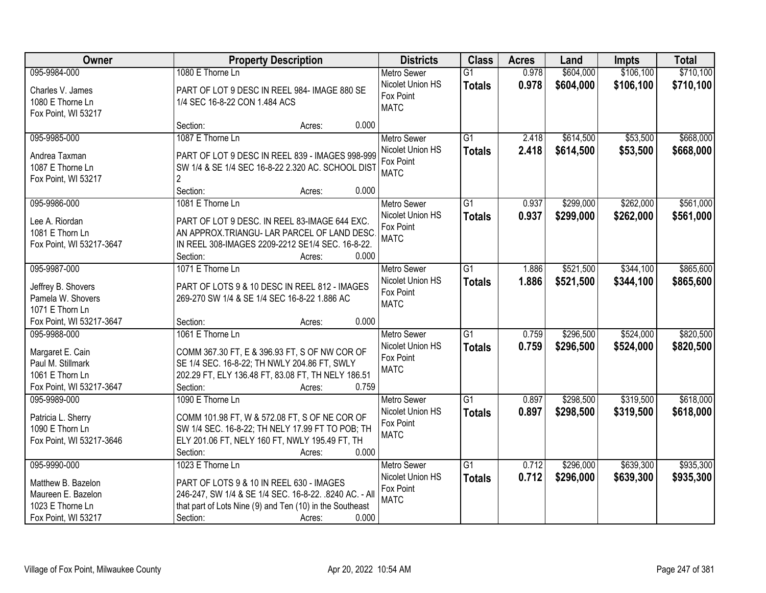| Owner                    | <b>Property Description</b>                              | <b>Districts</b>   | <b>Class</b>    | <b>Acres</b> | Land      | <b>Impts</b> | <b>Total</b> |
|--------------------------|----------------------------------------------------------|--------------------|-----------------|--------------|-----------|--------------|--------------|
| 095-9984-000             | 1080 E Thorne Ln                                         | <b>Metro Sewer</b> | $\overline{G1}$ | 0.978        | \$604,000 | \$106,100    | \$710,100    |
| Charles V. James         | PART OF LOT 9 DESC IN REEL 984- IMAGE 880 SE             | Nicolet Union HS   | <b>Totals</b>   | 0.978        | \$604,000 | \$106,100    | \$710,100    |
| 1080 E Thorne Ln         | 1/4 SEC 16-8-22 CON 1.484 ACS                            | Fox Point          |                 |              |           |              |              |
| Fox Point, WI 53217      |                                                          | <b>MATC</b>        |                 |              |           |              |              |
|                          | Section:<br>Acres:                                       | 0.000              |                 |              |           |              |              |
| 095-9985-000             | 1087 E Thorne Ln                                         | <b>Metro Sewer</b> | $\overline{G1}$ | 2.418        | \$614,500 | \$53,500     | \$668,000    |
| Andrea Taxman            | PART OF LOT 9 DESC IN REEL 839 - IMAGES 998-999          | Nicolet Union HS   | <b>Totals</b>   | 2.418        | \$614,500 | \$53,500     | \$668,000    |
| 1087 E Thorne Ln         | SW 1/4 & SE 1/4 SEC 16-8-22 2.320 AC. SCHOOL DIST        | Fox Point          |                 |              |           |              |              |
| Fox Point, WI 53217      | $\overline{2}$                                           | <b>MATC</b>        |                 |              |           |              |              |
|                          | Section:<br>Acres:                                       | 0.000              |                 |              |           |              |              |
| 095-9986-000             | 1081 E Thorne Ln                                         | <b>Metro Sewer</b> | G1              | 0.937        | \$299,000 | \$262,000    | \$561,000    |
| Lee A. Riordan           | PART OF LOT 9 DESC. IN REEL 83-IMAGE 644 EXC.            | Nicolet Union HS   | <b>Totals</b>   | 0.937        | \$299,000 | \$262,000    | \$561,000    |
| 1081 E Thorn Ln          | AN APPROX.TRIANGU- LAR PARCEL OF LAND DESC.              | Fox Point          |                 |              |           |              |              |
| Fox Point, WI 53217-3647 | IN REEL 308-IMAGES 2209-2212 SE1/4 SEC. 16-8-22.         | <b>MATC</b>        |                 |              |           |              |              |
|                          | Section:<br>Acres:                                       | 0.000              |                 |              |           |              |              |
| 095-9987-000             | 1071 E Thorne Ln                                         | <b>Metro Sewer</b> | $\overline{G1}$ | 1.886        | \$521,500 | \$344,100    | \$865,600    |
|                          |                                                          | Nicolet Union HS   | <b>Totals</b>   | 1.886        | \$521,500 | \$344,100    | \$865,600    |
| Jeffrey B. Shovers       | PART OF LOTS 9 & 10 DESC IN REEL 812 - IMAGES            | Fox Point          |                 |              |           |              |              |
| Pamela W. Shovers        | 269-270 SW 1/4 & SE 1/4 SEC 16-8-22 1.886 AC             | <b>MATC</b>        |                 |              |           |              |              |
| 1071 E Thorn Ln          |                                                          |                    |                 |              |           |              |              |
| Fox Point, WI 53217-3647 | Section:<br>Acres:                                       | 0.000              |                 |              |           |              |              |
| 095-9988-000             | 1061 E Thorne Ln                                         | <b>Metro Sewer</b> | $\overline{G1}$ | 0.759        | \$296,500 | \$524,000    | \$820,500    |
| Margaret E. Cain         | COMM 367.30 FT, E & 396.93 FT, S OF NW COR OF            | Nicolet Union HS   | <b>Totals</b>   | 0.759        | \$296,500 | \$524,000    | \$820,500    |
| Paul M. Stillmark        | SE 1/4 SEC. 16-8-22; TH NWLY 204.86 FT, SWLY             | Fox Point          |                 |              |           |              |              |
| 1061 E Thorn Ln          | 202.29 FT, ELY 136.48 FT, 83.08 FT, TH NELY 186.51       | <b>MATC</b>        |                 |              |           |              |              |
| Fox Point, WI 53217-3647 | Section:<br>Acres:                                       | 0.759              |                 |              |           |              |              |
| 095-9989-000             | 1090 E Thorne Ln                                         | <b>Metro Sewer</b> | $\overline{G1}$ | 0.897        | \$298,500 | \$319,500    | \$618,000    |
| Patricia L. Sherry       | COMM 101.98 FT, W & 572.08 FT, S OF NE COR OF            | Nicolet Union HS   | <b>Totals</b>   | 0.897        | \$298,500 | \$319,500    | \$618,000    |
| 1090 E Thorn Ln          | SW 1/4 SEC. 16-8-22; TH NELY 17.99 FT TO POB; TH         | Fox Point          |                 |              |           |              |              |
| Fox Point, WI 53217-3646 | ELY 201.06 FT, NELY 160 FT, NWLY 195.49 FT, TH           | <b>MATC</b>        |                 |              |           |              |              |
|                          | Section:<br>Acres:                                       | 0.000              |                 |              |           |              |              |
| 095-9990-000             | 1023 E Thorne Ln                                         | <b>Metro Sewer</b> | $\overline{G1}$ | 0.712        | \$296,000 | \$639,300    | \$935,300    |
|                          |                                                          | Nicolet Union HS   | <b>Totals</b>   | 0.712        | \$296,000 | \$639,300    | \$935,300    |
| Matthew B. Bazelon       | PART OF LOTS 9 & 10 IN REEL 630 - IMAGES                 | Fox Point          |                 |              |           |              |              |
| Maureen E. Bazelon       | 246-247, SW 1/4 & SE 1/4 SEC. 16-8-22. .8240 AC. - All   | <b>MATC</b>        |                 |              |           |              |              |
| 1023 E Thorne Ln         | that part of Lots Nine (9) and Ten (10) in the Southeast |                    |                 |              |           |              |              |
| Fox Point, WI 53217      | Section:<br>Acres:                                       | 0.000              |                 |              |           |              |              |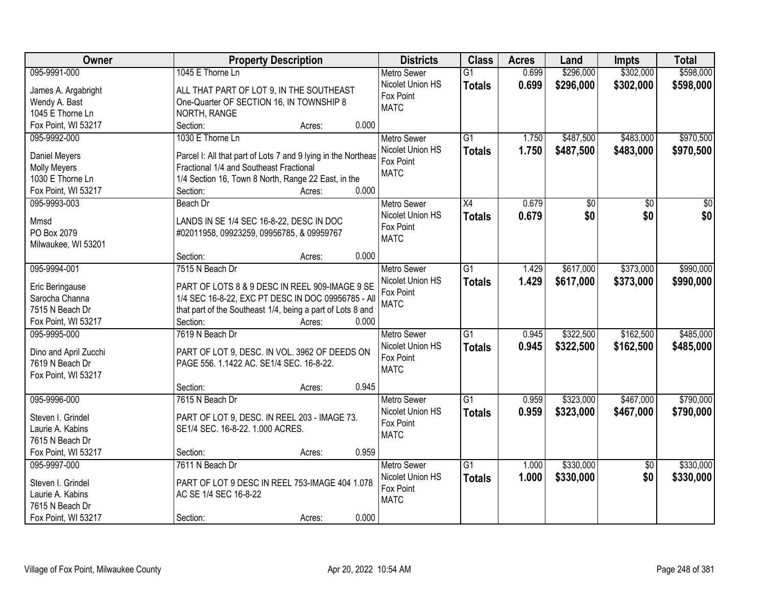| <b>Owner</b>                      | <b>Property Description</b>                                   | <b>Districts</b>   | <b>Class</b>    | <b>Acres</b> | Land            | <b>Impts</b>    | <b>Total</b>    |
|-----------------------------------|---------------------------------------------------------------|--------------------|-----------------|--------------|-----------------|-----------------|-----------------|
| 095-9991-000                      | 1045 E Thorne Ln                                              | <b>Metro Sewer</b> | $\overline{G1}$ | 0.699        | \$296,000       | \$302,000       | \$598,000       |
| James A. Argabright               | ALL THAT PART OF LOT 9, IN THE SOUTHEAST                      | Nicolet Union HS   | <b>Totals</b>   | 0.699        | \$296,000       | \$302,000       | \$598,000       |
| Wendy A. Bast                     | One-Quarter OF SECTION 16, IN TOWNSHIP 8                      | Fox Point          |                 |              |                 |                 |                 |
| 1045 E Thorne Ln                  | NORTH, RANGE                                                  | <b>MATC</b>        |                 |              |                 |                 |                 |
| Fox Point, WI 53217               | 0.000<br>Section:<br>Acres:                                   |                    |                 |              |                 |                 |                 |
| 095-9992-000                      | 1030 E Thorne Ln                                              | <b>Metro Sewer</b> | $\overline{G1}$ | 1.750        | \$487,500       | \$483,000       | \$970,500       |
|                                   |                                                               | Nicolet Union HS   | <b>Totals</b>   | 1.750        | \$487,500       | \$483,000       | \$970,500       |
| Daniel Meyers                     | Parcel I: All that part of Lots 7 and 9 lying in the Northeas | Fox Point          |                 |              |                 |                 |                 |
| <b>Molly Meyers</b>               | Fractional 1/4 and Southeast Fractional                       | <b>MATC</b>        |                 |              |                 |                 |                 |
| 1030 E Thorne Ln                  | 1/4 Section 16, Town 8 North, Range 22 East, in the           |                    |                 |              |                 |                 |                 |
| Fox Point, WI 53217               | 0.000<br>Section:<br>Acres:                                   |                    |                 |              |                 |                 |                 |
| 095-9993-003                      | Beach Dr                                                      | Metro Sewer        | $\overline{X4}$ | 0.679        | $\overline{50}$ | $\overline{50}$ | $\overline{50}$ |
| Mmsd                              | LANDS IN SE 1/4 SEC 16-8-22, DESC IN DOC                      | Nicolet Union HS   | <b>Totals</b>   | 0.679        | \$0             | \$0             | \$0             |
| PO Box 2079                       | #02011958, 09923259, 09956785, & 09959767                     | Fox Point          |                 |              |                 |                 |                 |
| Milwaukee, WI 53201               |                                                               | <b>MATC</b>        |                 |              |                 |                 |                 |
|                                   | 0.000<br>Section:<br>Acres:                                   |                    |                 |              |                 |                 |                 |
| 095-9994-001                      | 7515 N Beach Dr                                               | <b>Metro Sewer</b> | $\overline{G1}$ | 1.429        | \$617,000       | \$373,000       | \$990,000       |
|                                   | PART OF LOTS 8 & 9 DESC IN REEL 909-IMAGE 9 SE                | Nicolet Union HS   | <b>Totals</b>   | 1.429        | \$617,000       | \$373,000       | \$990,000       |
| Eric Beringause<br>Sarocha Channa | 1/4 SEC 16-8-22, EXC PT DESC IN DOC 09956785 - All            | Fox Point          |                 |              |                 |                 |                 |
| 7515 N Beach Dr                   | that part of the Southeast 1/4, being a part of Lots 8 and    | <b>MATC</b>        |                 |              |                 |                 |                 |
| Fox Point, WI 53217               | Section:<br>0.000<br>Acres:                                   |                    |                 |              |                 |                 |                 |
| 095-9995-000                      | 7619 N Beach Dr                                               | <b>Metro Sewer</b> | $\overline{G1}$ | 0.945        | \$322,500       | \$162,500       | \$485,000       |
|                                   |                                                               | Nicolet Union HS   |                 | 0.945        |                 |                 |                 |
| Dino and April Zucchi             | PART OF LOT 9, DESC. IN VOL. 3962 OF DEEDS ON                 | Fox Point          | <b>Totals</b>   |              | \$322,500       | \$162,500       | \$485,000       |
| 7619 N Beach Dr                   | PAGE 556. 1.1422 AC. SE1/4 SEC. 16-8-22.                      | <b>MATC</b>        |                 |              |                 |                 |                 |
| Fox Point, WI 53217               |                                                               |                    |                 |              |                 |                 |                 |
|                                   | 0.945<br>Section:<br>Acres:                                   |                    |                 |              |                 |                 |                 |
| 095-9996-000                      | 7615 N Beach Dr                                               | Metro Sewer        | $\overline{G1}$ | 0.959        | \$323,000       | \$467,000       | \$790,000       |
| Steven I. Grindel                 | PART OF LOT 9, DESC. IN REEL 203 - IMAGE 73.                  | Nicolet Union HS   | <b>Totals</b>   | 0.959        | \$323,000       | \$467,000       | \$790,000       |
| Laurie A. Kabins                  | SE1/4 SEC. 16-8-22. 1.000 ACRES.                              | Fox Point          |                 |              |                 |                 |                 |
| 7615 N Beach Dr                   |                                                               | <b>MATC</b>        |                 |              |                 |                 |                 |
| Fox Point, WI 53217               | 0.959<br>Section:<br>Acres:                                   |                    |                 |              |                 |                 |                 |
| 095-9997-000                      | 7611 N Beach Dr                                               | <b>Metro Sewer</b> | $\overline{G1}$ | 1.000        | \$330,000       | $\overline{50}$ | \$330,000       |
|                                   |                                                               | Nicolet Union HS   | <b>Totals</b>   | 1.000        | \$330,000       | \$0             | \$330,000       |
| Steven I. Grindel                 | PART OF LOT 9 DESC IN REEL 753-IMAGE 404 1.078                | Fox Point          |                 |              |                 |                 |                 |
| Laurie A. Kabins                  | AC SE 1/4 SEC 16-8-22                                         | <b>MATC</b>        |                 |              |                 |                 |                 |
| 7615 N Beach Dr                   |                                                               |                    |                 |              |                 |                 |                 |
| Fox Point, WI 53217               | 0.000<br>Section:<br>Acres:                                   |                    |                 |              |                 |                 |                 |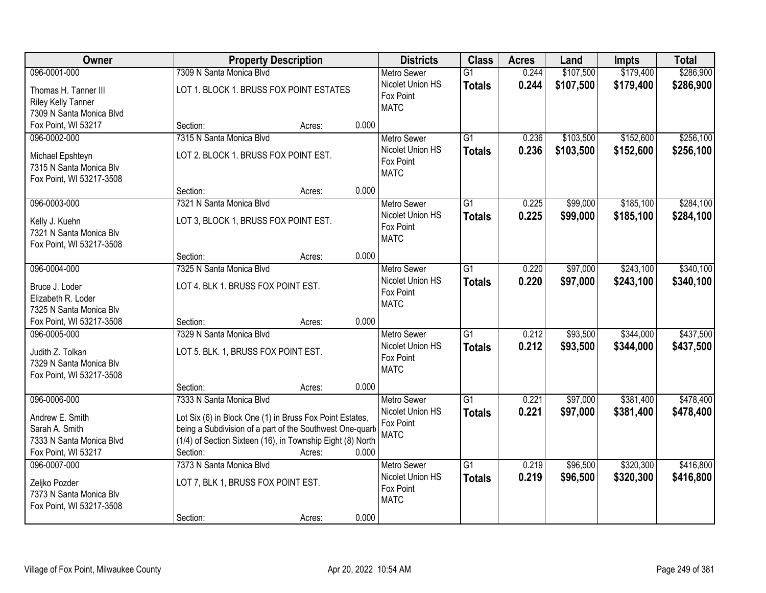| Owner                                                                                   | <b>Property Description</b>                                                                                                                                                                                       | <b>Districts</b>                                                   | <b>Class</b>                     | <b>Acres</b>   | Land                   | <b>Impts</b>           | <b>Total</b>           |
|-----------------------------------------------------------------------------------------|-------------------------------------------------------------------------------------------------------------------------------------------------------------------------------------------------------------------|--------------------------------------------------------------------|----------------------------------|----------------|------------------------|------------------------|------------------------|
| 096-0001-000                                                                            | 7309 N Santa Monica Blvd                                                                                                                                                                                          | <b>Metro Sewer</b>                                                 | $\overline{G1}$                  | 0.244          | \$107,500              | \$179,400              | \$286,900              |
| Thomas H. Tanner III<br><b>Riley Kelly Tanner</b><br>7309 N Santa Monica Blvd           | LOT 1. BLOCK 1. BRUSS FOX POINT ESTATES                                                                                                                                                                           | Nicolet Union HS<br>Fox Point<br><b>MATC</b>                       | <b>Totals</b>                    | 0.244          | \$107,500              | \$179,400              | \$286,900              |
| Fox Point, WI 53217                                                                     | 0.000<br>Section:<br>Acres:                                                                                                                                                                                       |                                                                    |                                  |                |                        |                        |                        |
| 096-0002-000<br>Michael Epshteyn<br>7315 N Santa Monica Blv                             | 7315 N Santa Monica Blvd<br>LOT 2. BLOCK 1. BRUSS FOX POINT EST.                                                                                                                                                  | <b>Metro Sewer</b><br>Nicolet Union HS<br>Fox Point                | $\overline{G1}$<br><b>Totals</b> | 0.236<br>0.236 | \$103,500<br>\$103,500 | \$152,600<br>\$152,600 | \$256,100<br>\$256,100 |
| Fox Point, WI 53217-3508                                                                | 0.000<br>Section:<br>Acres:                                                                                                                                                                                       | <b>MATC</b>                                                        |                                  |                |                        |                        |                        |
| 096-0003-000                                                                            | 7321 N Santa Monica Blvd                                                                                                                                                                                          | Metro Sewer                                                        | $\overline{G1}$                  | 0.225          | \$99,000               | \$185,100              | \$284,100              |
| Kelly J. Kuehn<br>7321 N Santa Monica Blv<br>Fox Point, WI 53217-3508                   | LOT 3, BLOCK 1, BRUSS FOX POINT EST.                                                                                                                                                                              | Nicolet Union HS<br>Fox Point<br><b>MATC</b>                       | <b>Totals</b>                    | 0.225          | \$99,000               | \$185,100              | \$284,100              |
|                                                                                         | 0.000<br>Section:<br>Acres:                                                                                                                                                                                       |                                                                    |                                  |                |                        |                        |                        |
| 096-0004-000                                                                            | 7325 N Santa Monica Blvd                                                                                                                                                                                          | <b>Metro Sewer</b>                                                 | $\overline{G1}$                  | 0.220          | \$97,000               | \$243,100              | \$340,100              |
| Bruce J. Loder<br>Elizabeth R. Loder<br>7325 N Santa Monica Blv                         | LOT 4. BLK 1. BRUSS FOX POINT EST.                                                                                                                                                                                | Nicolet Union HS<br>Fox Point<br><b>MATC</b>                       | <b>Totals</b>                    | 0.220          | \$97,000               | \$243,100              | \$340,100              |
| Fox Point, WI 53217-3508                                                                | 0.000<br>Section:<br>Acres:                                                                                                                                                                                       |                                                                    |                                  |                |                        |                        |                        |
| 096-0005-000<br>Judith Z. Tolkan<br>7329 N Santa Monica Blv<br>Fox Point, WI 53217-3508 | 7329 N Santa Monica Blyd<br>LOT 5. BLK. 1, BRUSS FOX POINT EST.                                                                                                                                                   | <b>Metro Sewer</b><br>Nicolet Union HS<br>Fox Point<br><b>MATC</b> | $\overline{G1}$<br><b>Totals</b> | 0.212<br>0.212 | \$93,500<br>\$93,500   | \$344,000<br>\$344,000 | \$437,500<br>\$437,500 |
|                                                                                         | 0.000<br>Section:<br>Acres:                                                                                                                                                                                       |                                                                    |                                  |                |                        |                        |                        |
| 096-0006-000                                                                            | 7333 N Santa Monica Blvd                                                                                                                                                                                          | <b>Metro Sewer</b>                                                 | $\overline{G1}$                  | 0.221          | \$97,000               | \$381,400              | \$478,400              |
| Andrew E. Smith<br>Sarah A. Smith<br>7333 N Santa Monica Blvd<br>Fox Point, WI 53217    | Lot Six (6) in Block One (1) in Bruss Fox Point Estates,<br>being a Subdivision of a part of the Southwest One-quart<br>(1/4) of Section Sixteen (16), in Township Eight (8) North<br>Section:<br>0.000<br>Acres: | Nicolet Union HS<br>Fox Point<br><b>MATC</b>                       | <b>Totals</b>                    | 0.221          | \$97,000               | \$381,400              | \$478,400              |
| 096-0007-000<br>Zeljko Pozder<br>7373 N Santa Monica Blv<br>Fox Point, WI 53217-3508    | 7373 N Santa Monica Blvd<br>LOT 7, BLK 1, BRUSS FOX POINT EST.<br>0.000<br>Section:<br>Acres:                                                                                                                     | <b>Metro Sewer</b><br>Nicolet Union HS<br>Fox Point<br><b>MATC</b> | $\overline{G1}$<br><b>Totals</b> | 0.219<br>0.219 | \$96,500<br>\$96,500   | \$320,300<br>\$320,300 | \$416,800<br>\$416,800 |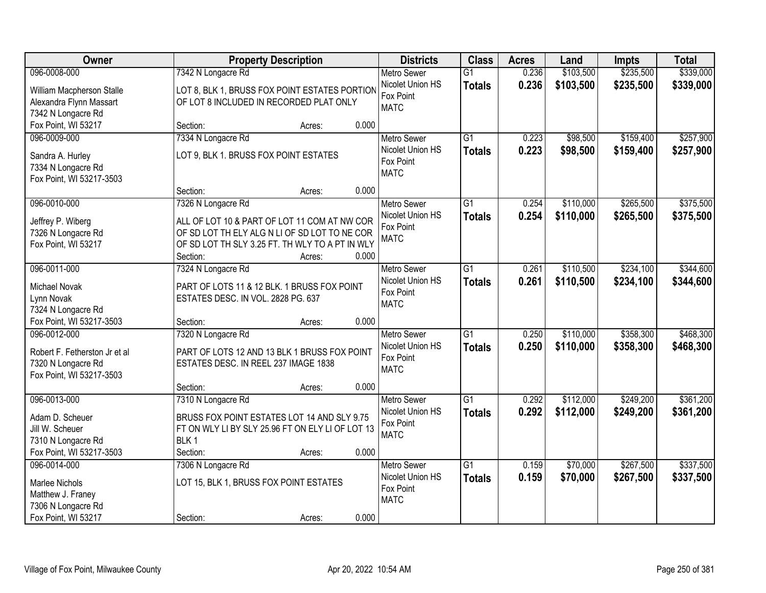| \$235,500<br>\$339,000<br>096-0008-000<br>7342 N Longacre Rd<br>0.236<br>\$103,500<br><b>Metro Sewer</b><br>$\overline{G1}$<br>0.236<br>Nicolet Union HS<br>\$103,500<br>\$235,500<br>\$339,000<br><b>Totals</b><br>LOT 8, BLK 1, BRUSS FOX POINT ESTATES PORTION<br>William Macpherson Stalle<br>Fox Point<br>Alexandra Flynn Massart<br>OF LOT 8 INCLUDED IN RECORDED PLAT ONLY<br><b>MATC</b><br>7342 N Longacre Rd<br>Fox Point, WI 53217<br>0.000<br>Section:<br>Acres:<br>7334 N Longacre Rd<br>$\overline{G1}$<br>\$98,500<br>\$159,400<br>\$257,900<br>096-0009-000<br>0.223<br><b>Metro Sewer</b><br>0.223<br>Nicolet Union HS<br>\$98,500<br>\$159,400<br><b>Totals</b><br>LOT 9, BLK 1. BRUSS FOX POINT ESTATES<br>Sandra A. Hurley<br>Fox Point<br>7334 N Longacre Rd<br><b>MATC</b><br>Fox Point, WI 53217-3503<br>0.000<br>Section:<br>Acres:<br>\$265,500<br>096-0010-000<br>Metro Sewer<br>G1<br>0.254<br>\$110,000<br>7326 N Longacre Rd<br>Nicolet Union HS<br>0.254<br>\$110,000<br>\$265,500<br><b>Totals</b><br>ALL OF LOT 10 & PART OF LOT 11 COM AT NW COR<br>Jeffrey P. Wiberg<br>Fox Point<br>OF SD LOT TH ELY ALG N LI OF SD LOT TO NE COR<br>7326 N Longacre Rd<br><b>MATC</b><br>OF SD LOT TH SLY 3.25 FT. TH WLY TO A PT IN WLY<br>Fox Point, WI 53217<br>Section:<br>0.000<br>Acres:<br>096-0011-000<br>7324 N Longacre Rd<br>\$110,500<br>\$234,100<br><b>Metro Sewer</b><br>G1<br>0.261<br>Nicolet Union HS<br>0.261<br>\$110,500<br>\$234,100<br><b>Totals</b><br>Michael Novak<br>PART OF LOTS 11 & 12 BLK. 1 BRUSS FOX POINT<br>Fox Point<br>Lynn Novak<br>ESTATES DESC. IN VOL. 2828 PG. 637<br><b>MATC</b><br>7324 N Longacre Rd<br>Fox Point, WI 53217-3503<br>0.000<br>Section:<br>Acres:<br>\$358,300<br>096-0012-000<br>7320 N Longacre Rd<br>$\overline{G1}$<br>0.250<br>\$110,000<br><b>Metro Sewer</b><br>0.250<br>Nicolet Union HS<br>\$110,000<br>\$358,300<br><b>Totals</b><br>Robert F. Fetherston Jr et al<br>PART OF LOTS 12 AND 13 BLK 1 BRUSS FOX POINT<br>Fox Point<br>ESTATES DESC. IN REEL 237 IMAGE 1838<br>7320 N Longacre Rd<br><b>MATC</b><br>Fox Point, WI 53217-3503<br>0.000<br>Section:<br>Acres:<br>$\overline{G1}$<br>\$249,200<br>096-0013-000<br>7310 N Longacre Rd<br>0.292<br>\$112,000<br><b>Metro Sewer</b><br>Nicolet Union HS<br>0.292<br>\$112,000<br>\$249,200<br><b>Totals</b><br>BRUSS FOX POINT ESTATES LOT 14 AND SLY 9.75<br>Adam D. Scheuer<br>Fox Point<br>Jill W. Scheuer<br>FT ON WLY LI BY SLY 25.96 FT ON ELY LI OF LOT 13<br><b>MATC</b><br>BLK <sub>1</sub><br>7310 N Longacre Rd<br>Fox Point, WI 53217-3503<br>0.000<br>Section:<br>Acres:<br>$\overline{G1}$<br>\$70,000<br>\$267,500<br>096-0014-000<br>7306 N Longacre Rd<br><b>Metro Sewer</b><br>0.159<br>Nicolet Union HS<br>0.159<br>\$70,000<br>\$267,500<br><b>Totals</b><br>LOT 15, BLK 1, BRUSS FOX POINT ESTATES<br><b>Marlee Nichols</b><br>Fox Point<br>Matthew J. Franey | Owner              | <b>Property Description</b> | <b>Districts</b> | <b>Class</b> | <b>Acres</b> | Land | <b>Impts</b> | <b>Total</b> |
|-----------------------------------------------------------------------------------------------------------------------------------------------------------------------------------------------------------------------------------------------------------------------------------------------------------------------------------------------------------------------------------------------------------------------------------------------------------------------------------------------------------------------------------------------------------------------------------------------------------------------------------------------------------------------------------------------------------------------------------------------------------------------------------------------------------------------------------------------------------------------------------------------------------------------------------------------------------------------------------------------------------------------------------------------------------------------------------------------------------------------------------------------------------------------------------------------------------------------------------------------------------------------------------------------------------------------------------------------------------------------------------------------------------------------------------------------------------------------------------------------------------------------------------------------------------------------------------------------------------------------------------------------------------------------------------------------------------------------------------------------------------------------------------------------------------------------------------------------------------------------------------------------------------------------------------------------------------------------------------------------------------------------------------------------------------------------------------------------------------------------------------------------------------------------------------------------------------------------------------------------------------------------------------------------------------------------------------------------------------------------------------------------------------------------------------------------------------------------------------------------------------------------------------------------------------------------------------------------------------------------------------------------------------------------------------------------------------------------------------------------------------------------------------------------------------------------------------------------------------------------------------------------------------------------------------|--------------------|-----------------------------|------------------|--------------|--------------|------|--------------|--------------|
|                                                                                                                                                                                                                                                                                                                                                                                                                                                                                                                                                                                                                                                                                                                                                                                                                                                                                                                                                                                                                                                                                                                                                                                                                                                                                                                                                                                                                                                                                                                                                                                                                                                                                                                                                                                                                                                                                                                                                                                                                                                                                                                                                                                                                                                                                                                                                                                                                                                                                                                                                                                                                                                                                                                                                                                                                                                                                                                                   |                    |                             |                  |              |              |      |              |              |
|                                                                                                                                                                                                                                                                                                                                                                                                                                                                                                                                                                                                                                                                                                                                                                                                                                                                                                                                                                                                                                                                                                                                                                                                                                                                                                                                                                                                                                                                                                                                                                                                                                                                                                                                                                                                                                                                                                                                                                                                                                                                                                                                                                                                                                                                                                                                                                                                                                                                                                                                                                                                                                                                                                                                                                                                                                                                                                                                   |                    |                             |                  |              |              |      |              |              |
|                                                                                                                                                                                                                                                                                                                                                                                                                                                                                                                                                                                                                                                                                                                                                                                                                                                                                                                                                                                                                                                                                                                                                                                                                                                                                                                                                                                                                                                                                                                                                                                                                                                                                                                                                                                                                                                                                                                                                                                                                                                                                                                                                                                                                                                                                                                                                                                                                                                                                                                                                                                                                                                                                                                                                                                                                                                                                                                                   |                    |                             |                  |              |              |      |              |              |
|                                                                                                                                                                                                                                                                                                                                                                                                                                                                                                                                                                                                                                                                                                                                                                                                                                                                                                                                                                                                                                                                                                                                                                                                                                                                                                                                                                                                                                                                                                                                                                                                                                                                                                                                                                                                                                                                                                                                                                                                                                                                                                                                                                                                                                                                                                                                                                                                                                                                                                                                                                                                                                                                                                                                                                                                                                                                                                                                   |                    |                             |                  |              |              |      |              |              |
|                                                                                                                                                                                                                                                                                                                                                                                                                                                                                                                                                                                                                                                                                                                                                                                                                                                                                                                                                                                                                                                                                                                                                                                                                                                                                                                                                                                                                                                                                                                                                                                                                                                                                                                                                                                                                                                                                                                                                                                                                                                                                                                                                                                                                                                                                                                                                                                                                                                                                                                                                                                                                                                                                                                                                                                                                                                                                                                                   |                    |                             |                  |              |              |      |              |              |
| \$257,900<br>\$375,500<br>\$375,500<br>\$344,600<br>\$344,600<br>\$468,300<br>\$468,300<br>\$361,200<br>\$361,200<br>\$337,500<br>\$337,500                                                                                                                                                                                                                                                                                                                                                                                                                                                                                                                                                                                                                                                                                                                                                                                                                                                                                                                                                                                                                                                                                                                                                                                                                                                                                                                                                                                                                                                                                                                                                                                                                                                                                                                                                                                                                                                                                                                                                                                                                                                                                                                                                                                                                                                                                                                                                                                                                                                                                                                                                                                                                                                                                                                                                                                       |                    |                             |                  |              |              |      |              |              |
|                                                                                                                                                                                                                                                                                                                                                                                                                                                                                                                                                                                                                                                                                                                                                                                                                                                                                                                                                                                                                                                                                                                                                                                                                                                                                                                                                                                                                                                                                                                                                                                                                                                                                                                                                                                                                                                                                                                                                                                                                                                                                                                                                                                                                                                                                                                                                                                                                                                                                                                                                                                                                                                                                                                                                                                                                                                                                                                                   |                    |                             |                  |              |              |      |              |              |
|                                                                                                                                                                                                                                                                                                                                                                                                                                                                                                                                                                                                                                                                                                                                                                                                                                                                                                                                                                                                                                                                                                                                                                                                                                                                                                                                                                                                                                                                                                                                                                                                                                                                                                                                                                                                                                                                                                                                                                                                                                                                                                                                                                                                                                                                                                                                                                                                                                                                                                                                                                                                                                                                                                                                                                                                                                                                                                                                   |                    |                             |                  |              |              |      |              |              |
|                                                                                                                                                                                                                                                                                                                                                                                                                                                                                                                                                                                                                                                                                                                                                                                                                                                                                                                                                                                                                                                                                                                                                                                                                                                                                                                                                                                                                                                                                                                                                                                                                                                                                                                                                                                                                                                                                                                                                                                                                                                                                                                                                                                                                                                                                                                                                                                                                                                                                                                                                                                                                                                                                                                                                                                                                                                                                                                                   |                    |                             |                  |              |              |      |              |              |
|                                                                                                                                                                                                                                                                                                                                                                                                                                                                                                                                                                                                                                                                                                                                                                                                                                                                                                                                                                                                                                                                                                                                                                                                                                                                                                                                                                                                                                                                                                                                                                                                                                                                                                                                                                                                                                                                                                                                                                                                                                                                                                                                                                                                                                                                                                                                                                                                                                                                                                                                                                                                                                                                                                                                                                                                                                                                                                                                   |                    |                             |                  |              |              |      |              |              |
|                                                                                                                                                                                                                                                                                                                                                                                                                                                                                                                                                                                                                                                                                                                                                                                                                                                                                                                                                                                                                                                                                                                                                                                                                                                                                                                                                                                                                                                                                                                                                                                                                                                                                                                                                                                                                                                                                                                                                                                                                                                                                                                                                                                                                                                                                                                                                                                                                                                                                                                                                                                                                                                                                                                                                                                                                                                                                                                                   |                    |                             |                  |              |              |      |              |              |
|                                                                                                                                                                                                                                                                                                                                                                                                                                                                                                                                                                                                                                                                                                                                                                                                                                                                                                                                                                                                                                                                                                                                                                                                                                                                                                                                                                                                                                                                                                                                                                                                                                                                                                                                                                                                                                                                                                                                                                                                                                                                                                                                                                                                                                                                                                                                                                                                                                                                                                                                                                                                                                                                                                                                                                                                                                                                                                                                   |                    |                             |                  |              |              |      |              |              |
|                                                                                                                                                                                                                                                                                                                                                                                                                                                                                                                                                                                                                                                                                                                                                                                                                                                                                                                                                                                                                                                                                                                                                                                                                                                                                                                                                                                                                                                                                                                                                                                                                                                                                                                                                                                                                                                                                                                                                                                                                                                                                                                                                                                                                                                                                                                                                                                                                                                                                                                                                                                                                                                                                                                                                                                                                                                                                                                                   |                    |                             |                  |              |              |      |              |              |
|                                                                                                                                                                                                                                                                                                                                                                                                                                                                                                                                                                                                                                                                                                                                                                                                                                                                                                                                                                                                                                                                                                                                                                                                                                                                                                                                                                                                                                                                                                                                                                                                                                                                                                                                                                                                                                                                                                                                                                                                                                                                                                                                                                                                                                                                                                                                                                                                                                                                                                                                                                                                                                                                                                                                                                                                                                                                                                                                   |                    |                             |                  |              |              |      |              |              |
|                                                                                                                                                                                                                                                                                                                                                                                                                                                                                                                                                                                                                                                                                                                                                                                                                                                                                                                                                                                                                                                                                                                                                                                                                                                                                                                                                                                                                                                                                                                                                                                                                                                                                                                                                                                                                                                                                                                                                                                                                                                                                                                                                                                                                                                                                                                                                                                                                                                                                                                                                                                                                                                                                                                                                                                                                                                                                                                                   |                    |                             |                  |              |              |      |              |              |
|                                                                                                                                                                                                                                                                                                                                                                                                                                                                                                                                                                                                                                                                                                                                                                                                                                                                                                                                                                                                                                                                                                                                                                                                                                                                                                                                                                                                                                                                                                                                                                                                                                                                                                                                                                                                                                                                                                                                                                                                                                                                                                                                                                                                                                                                                                                                                                                                                                                                                                                                                                                                                                                                                                                                                                                                                                                                                                                                   |                    |                             |                  |              |              |      |              |              |
|                                                                                                                                                                                                                                                                                                                                                                                                                                                                                                                                                                                                                                                                                                                                                                                                                                                                                                                                                                                                                                                                                                                                                                                                                                                                                                                                                                                                                                                                                                                                                                                                                                                                                                                                                                                                                                                                                                                                                                                                                                                                                                                                                                                                                                                                                                                                                                                                                                                                                                                                                                                                                                                                                                                                                                                                                                                                                                                                   |                    |                             |                  |              |              |      |              |              |
|                                                                                                                                                                                                                                                                                                                                                                                                                                                                                                                                                                                                                                                                                                                                                                                                                                                                                                                                                                                                                                                                                                                                                                                                                                                                                                                                                                                                                                                                                                                                                                                                                                                                                                                                                                                                                                                                                                                                                                                                                                                                                                                                                                                                                                                                                                                                                                                                                                                                                                                                                                                                                                                                                                                                                                                                                                                                                                                                   |                    |                             |                  |              |              |      |              |              |
|                                                                                                                                                                                                                                                                                                                                                                                                                                                                                                                                                                                                                                                                                                                                                                                                                                                                                                                                                                                                                                                                                                                                                                                                                                                                                                                                                                                                                                                                                                                                                                                                                                                                                                                                                                                                                                                                                                                                                                                                                                                                                                                                                                                                                                                                                                                                                                                                                                                                                                                                                                                                                                                                                                                                                                                                                                                                                                                                   |                    |                             |                  |              |              |      |              |              |
|                                                                                                                                                                                                                                                                                                                                                                                                                                                                                                                                                                                                                                                                                                                                                                                                                                                                                                                                                                                                                                                                                                                                                                                                                                                                                                                                                                                                                                                                                                                                                                                                                                                                                                                                                                                                                                                                                                                                                                                                                                                                                                                                                                                                                                                                                                                                                                                                                                                                                                                                                                                                                                                                                                                                                                                                                                                                                                                                   |                    |                             |                  |              |              |      |              |              |
|                                                                                                                                                                                                                                                                                                                                                                                                                                                                                                                                                                                                                                                                                                                                                                                                                                                                                                                                                                                                                                                                                                                                                                                                                                                                                                                                                                                                                                                                                                                                                                                                                                                                                                                                                                                                                                                                                                                                                                                                                                                                                                                                                                                                                                                                                                                                                                                                                                                                                                                                                                                                                                                                                                                                                                                                                                                                                                                                   |                    |                             |                  |              |              |      |              |              |
|                                                                                                                                                                                                                                                                                                                                                                                                                                                                                                                                                                                                                                                                                                                                                                                                                                                                                                                                                                                                                                                                                                                                                                                                                                                                                                                                                                                                                                                                                                                                                                                                                                                                                                                                                                                                                                                                                                                                                                                                                                                                                                                                                                                                                                                                                                                                                                                                                                                                                                                                                                                                                                                                                                                                                                                                                                                                                                                                   |                    |                             |                  |              |              |      |              |              |
|                                                                                                                                                                                                                                                                                                                                                                                                                                                                                                                                                                                                                                                                                                                                                                                                                                                                                                                                                                                                                                                                                                                                                                                                                                                                                                                                                                                                                                                                                                                                                                                                                                                                                                                                                                                                                                                                                                                                                                                                                                                                                                                                                                                                                                                                                                                                                                                                                                                                                                                                                                                                                                                                                                                                                                                                                                                                                                                                   |                    |                             |                  |              |              |      |              |              |
|                                                                                                                                                                                                                                                                                                                                                                                                                                                                                                                                                                                                                                                                                                                                                                                                                                                                                                                                                                                                                                                                                                                                                                                                                                                                                                                                                                                                                                                                                                                                                                                                                                                                                                                                                                                                                                                                                                                                                                                                                                                                                                                                                                                                                                                                                                                                                                                                                                                                                                                                                                                                                                                                                                                                                                                                                                                                                                                                   |                    |                             |                  |              |              |      |              |              |
|                                                                                                                                                                                                                                                                                                                                                                                                                                                                                                                                                                                                                                                                                                                                                                                                                                                                                                                                                                                                                                                                                                                                                                                                                                                                                                                                                                                                                                                                                                                                                                                                                                                                                                                                                                                                                                                                                                                                                                                                                                                                                                                                                                                                                                                                                                                                                                                                                                                                                                                                                                                                                                                                                                                                                                                                                                                                                                                                   |                    |                             |                  |              |              |      |              |              |
|                                                                                                                                                                                                                                                                                                                                                                                                                                                                                                                                                                                                                                                                                                                                                                                                                                                                                                                                                                                                                                                                                                                                                                                                                                                                                                                                                                                                                                                                                                                                                                                                                                                                                                                                                                                                                                                                                                                                                                                                                                                                                                                                                                                                                                                                                                                                                                                                                                                                                                                                                                                                                                                                                                                                                                                                                                                                                                                                   |                    |                             |                  |              |              |      |              |              |
|                                                                                                                                                                                                                                                                                                                                                                                                                                                                                                                                                                                                                                                                                                                                                                                                                                                                                                                                                                                                                                                                                                                                                                                                                                                                                                                                                                                                                                                                                                                                                                                                                                                                                                                                                                                                                                                                                                                                                                                                                                                                                                                                                                                                                                                                                                                                                                                                                                                                                                                                                                                                                                                                                                                                                                                                                                                                                                                                   |                    |                             |                  |              |              |      |              |              |
|                                                                                                                                                                                                                                                                                                                                                                                                                                                                                                                                                                                                                                                                                                                                                                                                                                                                                                                                                                                                                                                                                                                                                                                                                                                                                                                                                                                                                                                                                                                                                                                                                                                                                                                                                                                                                                                                                                                                                                                                                                                                                                                                                                                                                                                                                                                                                                                                                                                                                                                                                                                                                                                                                                                                                                                                                                                                                                                                   |                    |                             |                  |              |              |      |              |              |
|                                                                                                                                                                                                                                                                                                                                                                                                                                                                                                                                                                                                                                                                                                                                                                                                                                                                                                                                                                                                                                                                                                                                                                                                                                                                                                                                                                                                                                                                                                                                                                                                                                                                                                                                                                                                                                                                                                                                                                                                                                                                                                                                                                                                                                                                                                                                                                                                                                                                                                                                                                                                                                                                                                                                                                                                                                                                                                                                   |                    |                             |                  |              |              |      |              |              |
|                                                                                                                                                                                                                                                                                                                                                                                                                                                                                                                                                                                                                                                                                                                                                                                                                                                                                                                                                                                                                                                                                                                                                                                                                                                                                                                                                                                                                                                                                                                                                                                                                                                                                                                                                                                                                                                                                                                                                                                                                                                                                                                                                                                                                                                                                                                                                                                                                                                                                                                                                                                                                                                                                                                                                                                                                                                                                                                                   |                    |                             |                  |              |              |      |              |              |
|                                                                                                                                                                                                                                                                                                                                                                                                                                                                                                                                                                                                                                                                                                                                                                                                                                                                                                                                                                                                                                                                                                                                                                                                                                                                                                                                                                                                                                                                                                                                                                                                                                                                                                                                                                                                                                                                                                                                                                                                                                                                                                                                                                                                                                                                                                                                                                                                                                                                                                                                                                                                                                                                                                                                                                                                                                                                                                                                   |                    |                             |                  |              |              |      |              |              |
|                                                                                                                                                                                                                                                                                                                                                                                                                                                                                                                                                                                                                                                                                                                                                                                                                                                                                                                                                                                                                                                                                                                                                                                                                                                                                                                                                                                                                                                                                                                                                                                                                                                                                                                                                                                                                                                                                                                                                                                                                                                                                                                                                                                                                                                                                                                                                                                                                                                                                                                                                                                                                                                                                                                                                                                                                                                                                                                                   |                    |                             |                  |              |              |      |              |              |
|                                                                                                                                                                                                                                                                                                                                                                                                                                                                                                                                                                                                                                                                                                                                                                                                                                                                                                                                                                                                                                                                                                                                                                                                                                                                                                                                                                                                                                                                                                                                                                                                                                                                                                                                                                                                                                                                                                                                                                                                                                                                                                                                                                                                                                                                                                                                                                                                                                                                                                                                                                                                                                                                                                                                                                                                                                                                                                                                   |                    |                             |                  |              |              |      |              |              |
|                                                                                                                                                                                                                                                                                                                                                                                                                                                                                                                                                                                                                                                                                                                                                                                                                                                                                                                                                                                                                                                                                                                                                                                                                                                                                                                                                                                                                                                                                                                                                                                                                                                                                                                                                                                                                                                                                                                                                                                                                                                                                                                                                                                                                                                                                                                                                                                                                                                                                                                                                                                                                                                                                                                                                                                                                                                                                                                                   |                    |                             |                  |              |              |      |              |              |
|                                                                                                                                                                                                                                                                                                                                                                                                                                                                                                                                                                                                                                                                                                                                                                                                                                                                                                                                                                                                                                                                                                                                                                                                                                                                                                                                                                                                                                                                                                                                                                                                                                                                                                                                                                                                                                                                                                                                                                                                                                                                                                                                                                                                                                                                                                                                                                                                                                                                                                                                                                                                                                                                                                                                                                                                                                                                                                                                   | 7306 N Longacre Rd |                             | <b>MATC</b>      |              |              |      |              |              |
| Fox Point, WI 53217<br>0.000<br>Section:<br>Acres:                                                                                                                                                                                                                                                                                                                                                                                                                                                                                                                                                                                                                                                                                                                                                                                                                                                                                                                                                                                                                                                                                                                                                                                                                                                                                                                                                                                                                                                                                                                                                                                                                                                                                                                                                                                                                                                                                                                                                                                                                                                                                                                                                                                                                                                                                                                                                                                                                                                                                                                                                                                                                                                                                                                                                                                                                                                                                |                    |                             |                  |              |              |      |              |              |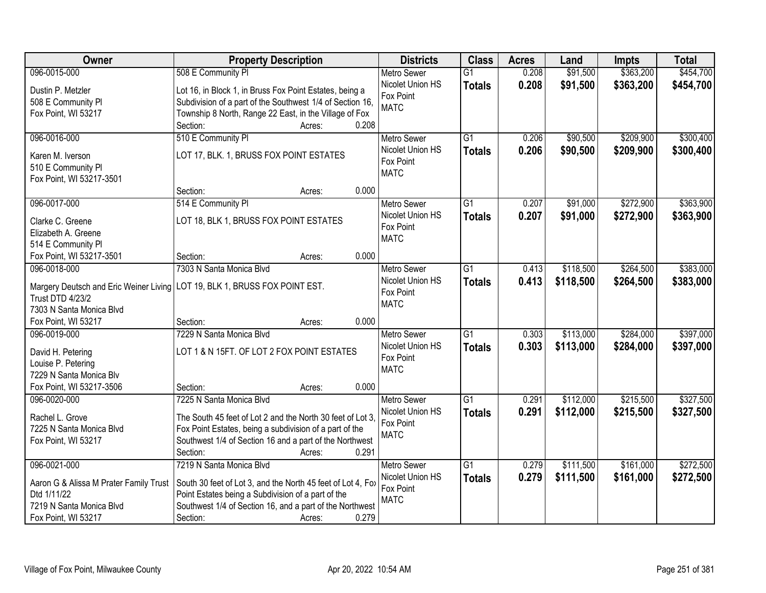| Owner                                  | <b>Property Description</b>                                                  | <b>Districts</b>                       | <b>Class</b>    | <b>Acres</b> | Land      | <b>Impts</b> | <b>Total</b> |
|----------------------------------------|------------------------------------------------------------------------------|----------------------------------------|-----------------|--------------|-----------|--------------|--------------|
| 096-0015-000                           | 508 E Community PI                                                           | <b>Metro Sewer</b>                     | $\overline{G1}$ | 0.208        | \$91,500  | \$363,200    | \$454,700    |
| Dustin P. Metzler                      | Lot 16, in Block 1, in Bruss Fox Point Estates, being a                      | Nicolet Union HS                       | <b>Totals</b>   | 0.208        | \$91,500  | \$363,200    | \$454,700    |
| 508 E Community PI                     | Subdivision of a part of the Southwest 1/4 of Section 16,                    | Fox Point                              |                 |              |           |              |              |
| Fox Point, WI 53217                    | Township 8 North, Range 22 East, in the Village of Fox                       | <b>MATC</b>                            |                 |              |           |              |              |
|                                        | 0.208<br>Section:<br>Acres:                                                  |                                        |                 |              |           |              |              |
| 096-0016-000                           | 510 E Community PI                                                           | <b>Metro Sewer</b>                     | $\overline{G1}$ | 0.206        | \$90,500  | \$209,900    | \$300,400    |
|                                        |                                                                              | Nicolet Union HS                       | <b>Totals</b>   | 0.206        | \$90,500  | \$209,900    | \$300,400    |
| Karen M. Iverson                       | LOT 17, BLK. 1, BRUSS FOX POINT ESTATES                                      | Fox Point                              |                 |              |           |              |              |
| 510 E Community PI                     |                                                                              | <b>MATC</b>                            |                 |              |           |              |              |
| Fox Point, WI 53217-3501               | 0.000<br>Section:                                                            |                                        |                 |              |           |              |              |
| 096-0017-000                           | Acres:                                                                       |                                        | G1              | 0.207        | \$91,000  | \$272,900    | \$363,900    |
|                                        | 514 E Community PI                                                           | <b>Metro Sewer</b><br>Nicolet Union HS |                 |              |           |              |              |
| Clarke C. Greene                       | LOT 18, BLK 1, BRUSS FOX POINT ESTATES                                       | Fox Point                              | <b>Totals</b>   | 0.207        | \$91,000  | \$272,900    | \$363,900    |
| Elizabeth A. Greene                    |                                                                              | <b>MATC</b>                            |                 |              |           |              |              |
| 514 E Community PI                     |                                                                              |                                        |                 |              |           |              |              |
| Fox Point, WI 53217-3501               | 0.000<br>Section:<br>Acres:                                                  |                                        |                 |              |           |              |              |
| 096-0018-000                           | 7303 N Santa Monica Blvd                                                     | <b>Metro Sewer</b>                     | $\overline{G1}$ | 0.413        | \$118,500 | \$264,500    | \$383,000    |
|                                        | Margery Deutsch and Eric Weiner Living   LOT 19, BLK 1, BRUSS FOX POINT EST. | Nicolet Union HS                       | <b>Totals</b>   | 0.413        | \$118,500 | \$264,500    | \$383,000    |
| <b>Trust DTD 4/23/2</b>                |                                                                              | Fox Point                              |                 |              |           |              |              |
| 7303 N Santa Monica Blvd               |                                                                              | <b>MATC</b>                            |                 |              |           |              |              |
| Fox Point, WI 53217                    | 0.000<br>Section:<br>Acres:                                                  |                                        |                 |              |           |              |              |
| 096-0019-000                           | 7229 N Santa Monica Blvd                                                     | Metro Sewer                            | $\overline{G1}$ | 0.303        | \$113,000 | \$284,000    | \$397,000    |
|                                        |                                                                              | Nicolet Union HS                       | <b>Totals</b>   | 0.303        | \$113,000 | \$284,000    | \$397,000    |
| David H. Petering                      | LOT 1 & N 15FT. OF LOT 2 FOX POINT ESTATES                                   | Fox Point                              |                 |              |           |              |              |
| Louise P. Petering                     |                                                                              | <b>MATC</b>                            |                 |              |           |              |              |
| 7229 N Santa Monica Blv                |                                                                              |                                        |                 |              |           |              |              |
| Fox Point, WI 53217-3506               | 0.000<br>Section:<br>Acres:                                                  |                                        |                 |              |           |              |              |
| 096-0020-000                           | 7225 N Santa Monica Blvd                                                     | Metro Sewer                            | $\overline{G1}$ | 0.291        | \$112,000 | \$215,500    | \$327,500    |
| Rachel L. Grove                        | The South 45 feet of Lot 2 and the North 30 feet of Lot 3.                   | Nicolet Union HS<br>Fox Point          | <b>Totals</b>   | 0.291        | \$112,000 | \$215,500    | \$327,500    |
| 7225 N Santa Monica Blvd               | Fox Point Estates, being a subdivision of a part of the                      | <b>MATC</b>                            |                 |              |           |              |              |
| Fox Point, WI 53217                    | Southwest 1/4 of Section 16 and a part of the Northwest                      |                                        |                 |              |           |              |              |
|                                        | 0.291<br>Section:<br>Acres:                                                  |                                        |                 |              |           |              |              |
| 096-0021-000                           | 7219 N Santa Monica Blvd                                                     | <b>Metro Sewer</b>                     | $\overline{G1}$ | 0.279        | \$111,500 | \$161,000    | \$272,500    |
| Aaron G & Alissa M Prater Family Trust | South 30 feet of Lot 3, and the North 45 feet of Lot 4, Fox                  | Nicolet Union HS                       | <b>Totals</b>   | 0.279        | \$111,500 | \$161,000    | \$272,500    |
| Dtd 1/11/22                            | Point Estates being a Subdivision of a part of the                           | Fox Point                              |                 |              |           |              |              |
| 7219 N Santa Monica Blvd               | Southwest 1/4 of Section 16, and a part of the Northwest                     | <b>MATC</b>                            |                 |              |           |              |              |
| Fox Point, WI 53217                    | 0.279<br>Section:<br>Acres:                                                  |                                        |                 |              |           |              |              |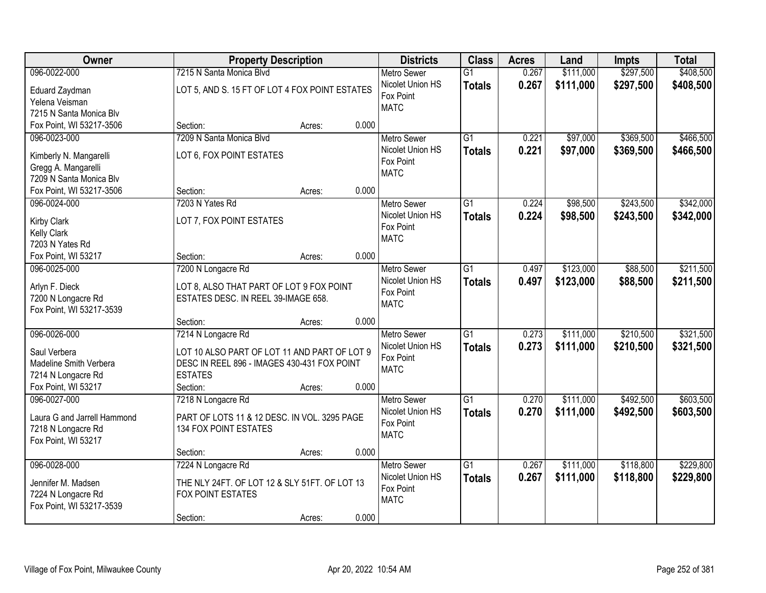| Owner                                    |                                                | <b>Property Description</b> |       | <b>Districts</b>   | <b>Class</b>    | <b>Acres</b> | Land      | <b>Impts</b> | <b>Total</b> |
|------------------------------------------|------------------------------------------------|-----------------------------|-------|--------------------|-----------------|--------------|-----------|--------------|--------------|
| 096-0022-000                             | 7215 N Santa Monica Blvd                       |                             |       | <b>Metro Sewer</b> | $\overline{G1}$ | 0.267        | \$111,000 | \$297,500    | \$408,500    |
| Eduard Zaydman                           | LOT 5, AND S. 15 FT OF LOT 4 FOX POINT ESTATES |                             |       | Nicolet Union HS   | <b>Totals</b>   | 0.267        | \$111,000 | \$297,500    | \$408,500    |
| Yelena Veisman                           |                                                |                             |       | Fox Point          |                 |              |           |              |              |
| 7215 N Santa Monica Blv                  |                                                |                             |       | <b>MATC</b>        |                 |              |           |              |              |
| Fox Point, WI 53217-3506                 | Section:                                       | Acres:                      | 0.000 |                    |                 |              |           |              |              |
| 096-0023-000                             | 7209 N Santa Monica Blvd                       |                             |       | <b>Metro Sewer</b> | $\overline{G1}$ | 0.221        | \$97,000  | \$369,500    | \$466,500    |
| Kimberly N. Mangarelli                   | LOT 6, FOX POINT ESTATES                       |                             |       | Nicolet Union HS   | <b>Totals</b>   | 0.221        | \$97,000  | \$369,500    | \$466,500    |
| Gregg A. Mangarelli                      |                                                |                             |       | Fox Point          |                 |              |           |              |              |
| 7209 N Santa Monica Blv                  |                                                |                             |       | <b>MATC</b>        |                 |              |           |              |              |
| Fox Point, WI 53217-3506                 | Section:                                       | Acres:                      | 0.000 |                    |                 |              |           |              |              |
| 096-0024-000                             | 7203 N Yates Rd                                |                             |       | <b>Metro Sewer</b> | G1              | 0.224        | \$98,500  | \$243,500    | \$342,000    |
|                                          | LOT 7, FOX POINT ESTATES                       |                             |       | Nicolet Union HS   | <b>Totals</b>   | 0.224        | \$98,500  | \$243,500    | \$342,000    |
| <b>Kirby Clark</b><br><b>Kelly Clark</b> |                                                |                             |       | Fox Point          |                 |              |           |              |              |
| 7203 N Yates Rd                          |                                                |                             |       | <b>MATC</b>        |                 |              |           |              |              |
| Fox Point, WI 53217                      | Section:                                       | Acres:                      | 0.000 |                    |                 |              |           |              |              |
| 096-0025-000                             | 7200 N Longacre Rd                             |                             |       | <b>Metro Sewer</b> | G1              | 0.497        | \$123,000 | \$88,500     | \$211,500    |
|                                          |                                                |                             |       | Nicolet Union HS   | <b>Totals</b>   | 0.497        | \$123,000 | \$88,500     | \$211,500    |
| Arlyn F. Dieck                           | LOT 8, ALSO THAT PART OF LOT 9 FOX POINT       |                             |       | Fox Point          |                 |              |           |              |              |
| 7200 N Longacre Rd                       | ESTATES DESC. IN REEL 39-IMAGE 658.            |                             |       | <b>MATC</b>        |                 |              |           |              |              |
| Fox Point, WI 53217-3539                 | Section:                                       |                             | 0.000 |                    |                 |              |           |              |              |
| 096-0026-000                             | 7214 N Longacre Rd                             | Acres:                      |       | <b>Metro Sewer</b> | $\overline{G1}$ | 0.273        | \$111,000 | \$210,500    | \$321,500    |
|                                          |                                                |                             |       | Nicolet Union HS   |                 | 0.273        |           |              |              |
| Saul Verbera                             | LOT 10 ALSO PART OF LOT 11 AND PART OF LOT 9   |                             |       | Fox Point          | <b>Totals</b>   |              | \$111,000 | \$210,500    | \$321,500    |
| Madeline Smith Verbera                   | DESC IN REEL 896 - IMAGES 430-431 FOX POINT    |                             |       | <b>MATC</b>        |                 |              |           |              |              |
| 7214 N Longacre Rd                       | <b>ESTATES</b>                                 |                             |       |                    |                 |              |           |              |              |
| Fox Point, WI 53217                      | Section:                                       | Acres:                      | 0.000 |                    |                 |              |           |              |              |
| 096-0027-000                             | 7218 N Longacre Rd                             |                             |       | Metro Sewer        | $\overline{G1}$ | 0.270        | \$111,000 | \$492,500    | \$603,500    |
| Laura G and Jarrell Hammond              | PART OF LOTS 11 & 12 DESC. IN VOL. 3295 PAGE   |                             |       | Nicolet Union HS   | <b>Totals</b>   | 0.270        | \$111,000 | \$492,500    | \$603,500    |
| 7218 N Longacre Rd                       | 134 FOX POINT ESTATES                          |                             |       | Fox Point          |                 |              |           |              |              |
| Fox Point, WI 53217                      |                                                |                             |       | <b>MATC</b>        |                 |              |           |              |              |
|                                          | Section:                                       | Acres:                      | 0.000 |                    |                 |              |           |              |              |
| 096-0028-000                             | 7224 N Longacre Rd                             |                             |       | <b>Metro Sewer</b> | $\overline{G1}$ | 0.267        | \$111,000 | \$118,800    | \$229,800    |
| Jennifer M. Madsen                       | THE NLY 24FT. OF LOT 12 & SLY 51FT. OF LOT 13  |                             |       | Nicolet Union HS   | <b>Totals</b>   | 0.267        | \$111,000 | \$118,800    | \$229,800    |
| 7224 N Longacre Rd                       | FOX POINT ESTATES                              |                             |       | Fox Point          |                 |              |           |              |              |
| Fox Point, WI 53217-3539                 |                                                |                             |       | <b>MATC</b>        |                 |              |           |              |              |
|                                          | Section:                                       | Acres:                      | 0.000 |                    |                 |              |           |              |              |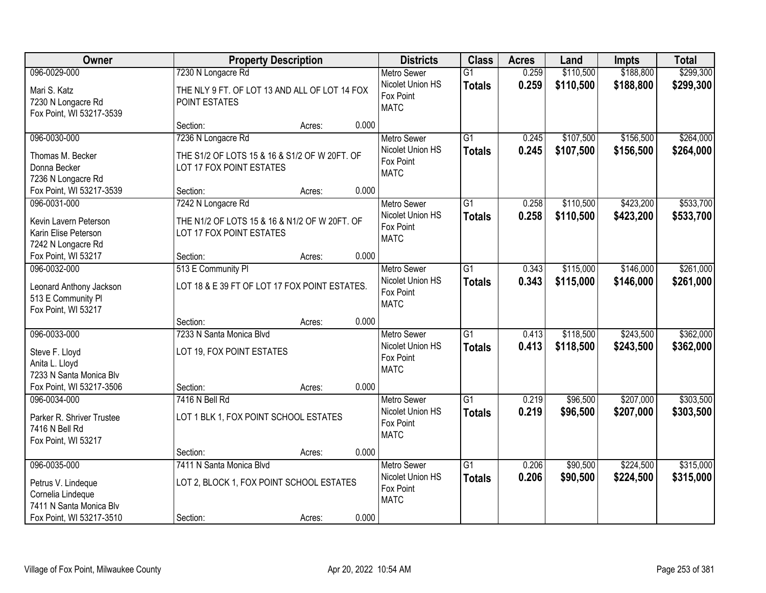| Owner                                                                                                          |                                                                                                 | <b>Property Description</b> |       | <b>Districts</b>                                                   | <b>Class</b>                     | <b>Acres</b>   | Land                   | <b>Impts</b>           | <b>Total</b>           |
|----------------------------------------------------------------------------------------------------------------|-------------------------------------------------------------------------------------------------|-----------------------------|-------|--------------------------------------------------------------------|----------------------------------|----------------|------------------------|------------------------|------------------------|
| 096-0029-000                                                                                                   | 7230 N Longacre Rd                                                                              |                             |       | <b>Metro Sewer</b>                                                 | $\overline{G1}$                  | 0.259          | \$110,500              | \$188,800              | \$299,300              |
| Mari S. Katz<br>7230 N Longacre Rd<br>Fox Point, WI 53217-3539                                                 | THE NLY 9 FT. OF LOT 13 AND ALL OF LOT 14 FOX<br>POINT ESTATES                                  |                             |       | Nicolet Union HS<br>Fox Point<br><b>MATC</b>                       | <b>Totals</b>                    | 0.259          | \$110,500              | \$188,800              | \$299,300              |
|                                                                                                                | Section:                                                                                        | Acres:                      | 0.000 |                                                                    |                                  |                |                        |                        |                        |
| 096-0030-000<br>Thomas M. Becker<br>Donna Becker<br>7236 N Longacre Rd                                         | 7236 N Longacre Rd<br>THE S1/2 OF LOTS 15 & 16 & S1/2 OF W 20FT. OF<br>LOT 17 FOX POINT ESTATES |                             |       | <b>Metro Sewer</b><br>Nicolet Union HS<br>Fox Point<br><b>MATC</b> | $\overline{G1}$<br><b>Totals</b> | 0.245<br>0.245 | \$107,500<br>\$107,500 | \$156,500<br>\$156,500 | \$264,000<br>\$264,000 |
| Fox Point, WI 53217-3539                                                                                       | Section:                                                                                        | Acres:                      | 0.000 |                                                                    |                                  |                |                        |                        |                        |
| 096-0031-000<br>Kevin Lavern Peterson<br>Karin Elise Peterson<br>7242 N Longacre Rd                            | 7242 N Longacre Rd<br>THE N1/2 OF LOTS 15 & 16 & N1/2 OF W 20FT. OF<br>LOT 17 FOX POINT ESTATES |                             |       | <b>Metro Sewer</b><br>Nicolet Union HS<br>Fox Point<br><b>MATC</b> | G <sub>1</sub><br><b>Totals</b>  | 0.258<br>0.258 | \$110,500<br>\$110,500 | \$423,200<br>\$423,200 | \$533,700<br>\$533,700 |
| Fox Point, WI 53217                                                                                            | Section:                                                                                        | Acres:                      | 0.000 |                                                                    |                                  |                |                        |                        |                        |
| 096-0032-000<br>Leonard Anthony Jackson<br>513 E Community PI<br>Fox Point, WI 53217                           | 513 E Community PI<br>LOT 18 & E 39 FT OF LOT 17 FOX POINT ESTATES.                             |                             |       | <b>Metro Sewer</b><br>Nicolet Union HS<br>Fox Point<br><b>MATC</b> | $\overline{G1}$<br><b>Totals</b> | 0.343<br>0.343 | \$115,000<br>\$115,000 | \$146,000<br>\$146,000 | \$261,000<br>\$261,000 |
|                                                                                                                | Section:                                                                                        | Acres:                      | 0.000 |                                                                    |                                  |                |                        |                        |                        |
| 096-0033-000<br>Steve F. Lloyd<br>Anita L. Lloyd<br>7233 N Santa Monica Blv<br>Fox Point, WI 53217-3506        | 7233 N Santa Monica Blvd<br>LOT 19, FOX POINT ESTATES<br>Section:                               | Acres:                      | 0.000 | <b>Metro Sewer</b><br>Nicolet Union HS<br>Fox Point<br><b>MATC</b> | $\overline{G1}$<br><b>Totals</b> | 0.413<br>0.413 | \$118,500<br>\$118,500 | \$243,500<br>\$243,500 | \$362,000<br>\$362,000 |
| 096-0034-000                                                                                                   | 7416 N Bell Rd                                                                                  |                             |       | <b>Metro Sewer</b>                                                 | $\overline{G1}$                  | 0.219          | \$96,500               | \$207,000              | \$303,500              |
| Parker R. Shriver Trustee<br>7416 N Bell Rd<br>Fox Point, WI 53217                                             | LOT 1 BLK 1, FOX POINT SCHOOL ESTATES                                                           |                             |       | Nicolet Union HS<br>Fox Point<br><b>MATC</b>                       | <b>Totals</b>                    | 0.219          | \$96,500               | \$207,000              | \$303,500              |
|                                                                                                                | Section:                                                                                        | Acres:                      | 0.000 |                                                                    |                                  |                |                        |                        |                        |
| 096-0035-000<br>Petrus V. Lindeque<br>Cornelia Lindeque<br>7411 N Santa Monica Blv<br>Fox Point, WI 53217-3510 | 7411 N Santa Monica Blvd<br>LOT 2, BLOCK 1, FOX POINT SCHOOL ESTATES<br>Section:                | Acres:                      | 0.000 | <b>Metro Sewer</b><br>Nicolet Union HS<br>Fox Point<br><b>MATC</b> | $\overline{G1}$<br><b>Totals</b> | 0.206<br>0.206 | \$90,500<br>\$90,500   | \$224,500<br>\$224,500 | \$315,000<br>\$315,000 |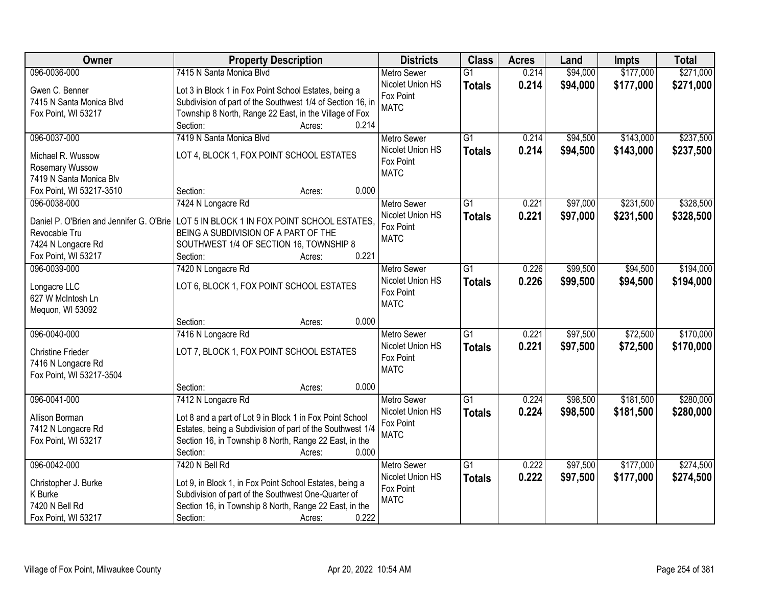| Owner                                    | <b>Property Description</b>                                | <b>Districts</b>              | <b>Class</b>    | <b>Acres</b> | Land     | Impts     | <b>Total</b> |
|------------------------------------------|------------------------------------------------------------|-------------------------------|-----------------|--------------|----------|-----------|--------------|
| 096-0036-000                             | 7415 N Santa Monica Blvd                                   | <b>Metro Sewer</b>            | $\overline{G1}$ | 0.214        | \$94,000 | \$177,000 | \$271,000    |
| Gwen C. Benner                           | Lot 3 in Block 1 in Fox Point School Estates, being a      | Nicolet Union HS              | <b>Totals</b>   | 0.214        | \$94,000 | \$177,000 | \$271,000    |
| 7415 N Santa Monica Blvd                 | Subdivision of part of the Southwest 1/4 of Section 16, in | Fox Point                     |                 |              |          |           |              |
| Fox Point, WI 53217                      | Township 8 North, Range 22 East, in the Village of Fox     | <b>MATC</b>                   |                 |              |          |           |              |
|                                          | 0.214<br>Section:<br>Acres:                                |                               |                 |              |          |           |              |
| 096-0037-000                             | 7419 N Santa Monica Blvd                                   | <b>Metro Sewer</b>            | $\overline{G1}$ | 0.214        | \$94,500 | \$143,000 | \$237,500    |
|                                          |                                                            | Nicolet Union HS              | <b>Totals</b>   | 0.214        | \$94,500 | \$143,000 | \$237,500    |
| Michael R. Wussow                        | LOT 4, BLOCK 1, FOX POINT SCHOOL ESTATES                   | Fox Point                     |                 |              |          |           |              |
| Rosemary Wussow                          |                                                            | <b>MATC</b>                   |                 |              |          |           |              |
| 7419 N Santa Monica Blv                  | 0.000<br>Section:                                          |                               |                 |              |          |           |              |
| Fox Point, WI 53217-3510<br>096-0038-000 | Acres:                                                     |                               | $\overline{G1}$ | 0.221        |          | \$231,500 | \$328,500    |
|                                          | 7424 N Longacre Rd                                         | Metro Sewer                   |                 |              | \$97,000 |           |              |
| Daniel P. O'Brien and Jennifer G. O'Brie | LOT 5 IN BLOCK 1 IN FOX POINT SCHOOL ESTATES.              | Nicolet Union HS<br>Fox Point | <b>Totals</b>   | 0.221        | \$97,000 | \$231,500 | \$328,500    |
| Revocable Tru                            | BEING A SUBDIVISION OF A PART OF THE                       | <b>MATC</b>                   |                 |              |          |           |              |
| 7424 N Longacre Rd                       | SOUTHWEST 1/4 OF SECTION 16, TOWNSHIP 8                    |                               |                 |              |          |           |              |
| Fox Point, WI 53217                      | 0.221<br>Section:<br>Acres:                                |                               |                 |              |          |           |              |
| 096-0039-000                             | 7420 N Longacre Rd                                         | <b>Metro Sewer</b>            | G1              | 0.226        | \$99,500 | \$94,500  | \$194,000    |
| Longacre LLC                             | LOT 6, BLOCK 1, FOX POINT SCHOOL ESTATES                   | Nicolet Union HS              | <b>Totals</b>   | 0.226        | \$99,500 | \$94,500  | \$194,000    |
| 627 W McIntosh Ln                        |                                                            | Fox Point                     |                 |              |          |           |              |
| Mequon, WI 53092                         |                                                            | <b>MATC</b>                   |                 |              |          |           |              |
|                                          | 0.000<br>Section:<br>Acres:                                |                               |                 |              |          |           |              |
| 096-0040-000                             | 7416 N Longacre Rd                                         | <b>Metro Sewer</b>            | $\overline{G1}$ | 0.221        | \$97,500 | \$72,500  | \$170,000    |
|                                          |                                                            | Nicolet Union HS              |                 | 0.221        | \$97,500 | \$72,500  | \$170,000    |
| <b>Christine Frieder</b>                 | LOT 7, BLOCK 1, FOX POINT SCHOOL ESTATES                   | Fox Point                     | <b>Totals</b>   |              |          |           |              |
| 7416 N Longacre Rd                       |                                                            | <b>MATC</b>                   |                 |              |          |           |              |
| Fox Point, WI 53217-3504                 |                                                            |                               |                 |              |          |           |              |
|                                          | 0.000<br>Section:<br>Acres:                                |                               |                 |              |          |           |              |
| 096-0041-000                             | 7412 N Longacre Rd                                         | <b>Metro Sewer</b>            | G1              | 0.224        | \$98,500 | \$181,500 | \$280,000    |
| Allison Borman                           | Lot 8 and a part of Lot 9 in Block 1 in Fox Point School   | Nicolet Union HS              | <b>Totals</b>   | 0.224        | \$98,500 | \$181,500 | \$280,000    |
| 7412 N Longacre Rd                       | Estates, being a Subdivision of part of the Southwest 1/4  | Fox Point                     |                 |              |          |           |              |
| Fox Point, WI 53217                      | Section 16, in Township 8 North, Range 22 East, in the     | <b>MATC</b>                   |                 |              |          |           |              |
|                                          | 0.000<br>Section:<br>Acres:                                |                               |                 |              |          |           |              |
| 096-0042-000                             | 7420 N Bell Rd                                             | <b>Metro Sewer</b>            | $\overline{G1}$ | 0.222        | \$97,500 | \$177,000 | \$274,500    |
|                                          |                                                            | Nicolet Union HS              | <b>Totals</b>   | 0.222        | \$97,500 | \$177,000 | \$274,500    |
| Christopher J. Burke                     | Lot 9, in Block 1, in Fox Point School Estates, being a    | Fox Point                     |                 |              |          |           |              |
| K Burke                                  | Subdivision of part of the Southwest One-Quarter of        | <b>MATC</b>                   |                 |              |          |           |              |
| 7420 N Bell Rd                           | Section 16, in Township 8 North, Range 22 East, in the     |                               |                 |              |          |           |              |
| Fox Point, WI 53217                      | 0.222<br>Section:<br>Acres:                                |                               |                 |              |          |           |              |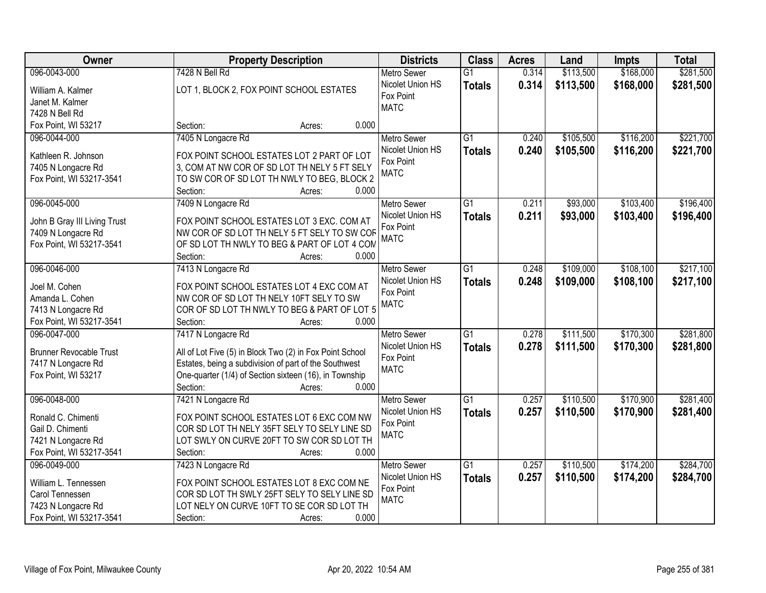| Owner                          | <b>Property Description</b>                              | <b>Districts</b>   | <b>Class</b>    | <b>Acres</b> | Land      | <b>Impts</b> | <b>Total</b> |
|--------------------------------|----------------------------------------------------------|--------------------|-----------------|--------------|-----------|--------------|--------------|
| 096-0043-000                   | 7428 N Bell Rd                                           | <b>Metro Sewer</b> | $\overline{G1}$ | 0.314        | \$113,500 | \$168,000    | \$281,500    |
| William A. Kalmer              | LOT 1, BLOCK 2, FOX POINT SCHOOL ESTATES                 | Nicolet Union HS   | <b>Totals</b>   | 0.314        | \$113,500 | \$168,000    | \$281,500    |
| Janet M. Kalmer                |                                                          | Fox Point          |                 |              |           |              |              |
| 7428 N Bell Rd                 |                                                          | <b>MATC</b>        |                 |              |           |              |              |
| Fox Point, WI 53217            | 0.000<br>Section:<br>Acres:                              |                    |                 |              |           |              |              |
| 096-0044-000                   | 7405 N Longacre Rd                                       | <b>Metro Sewer</b> | $\overline{G1}$ | 0.240        | \$105,500 | \$116,200    | \$221,700    |
|                                |                                                          | Nicolet Union HS   | <b>Totals</b>   | 0.240        | \$105,500 | \$116,200    | \$221,700    |
| Kathleen R. Johnson            | FOX POINT SCHOOL ESTATES LOT 2 PART OF LOT               | Fox Point          |                 |              |           |              |              |
| 7405 N Longacre Rd             | 3, COM AT NW COR OF SD LOT TH NELY 5 FT SELY             | <b>MATC</b>        |                 |              |           |              |              |
| Fox Point, WI 53217-3541       | TO SW COR OF SD LOT TH NWLY TO BEG, BLOCK 2              |                    |                 |              |           |              |              |
|                                | 0.000<br>Section:<br>Acres:                              |                    |                 |              |           |              |              |
| 096-0045-000                   | 7409 N Longacre Rd                                       | Metro Sewer        | G1              | 0.211        | \$93,000  | \$103,400    | \$196,400    |
| John B Gray III Living Trust   | FOX POINT SCHOOL ESTATES LOT 3 EXC. COM AT               | Nicolet Union HS   | <b>Totals</b>   | 0.211        | \$93,000  | \$103,400    | \$196,400    |
| 7409 N Longacre Rd             | NW COR OF SD LOT TH NELY 5 FT SELY TO SW COR             | Fox Point          |                 |              |           |              |              |
| Fox Point, WI 53217-3541       | OF SD LOT TH NWLY TO BEG & PART OF LOT 4 COM             | <b>MATC</b>        |                 |              |           |              |              |
|                                | 0.000<br>Section:<br>Acres:                              |                    |                 |              |           |              |              |
| 096-0046-000                   | 7413 N Longacre Rd                                       | <b>Metro Sewer</b> | $\overline{G1}$ | 0.248        | \$109,000 | \$108,100    | \$217,100    |
|                                |                                                          | Nicolet Union HS   | <b>Totals</b>   | 0.248        | \$109,000 | \$108,100    | \$217,100    |
| Joel M. Cohen                  | FOX POINT SCHOOL ESTATES LOT 4 EXC COM AT                | Fox Point          |                 |              |           |              |              |
| Amanda L. Cohen                | NW COR OF SD LOT TH NELY 10FT SELY TO SW                 | <b>MATC</b>        |                 |              |           |              |              |
| 7413 N Longacre Rd             | COR OF SD LOT TH NWLY TO BEG & PART OF LOT 5             |                    |                 |              |           |              |              |
| Fox Point, WI 53217-3541       | Section:<br>0.000<br>Acres:                              |                    |                 |              |           |              |              |
| 096-0047-000                   | 7417 N Longacre Rd                                       | <b>Metro Sewer</b> | $\overline{G1}$ | 0.278        | \$111,500 | \$170,300    | \$281,800    |
| <b>Brunner Revocable Trust</b> | All of Lot Five (5) in Block Two (2) in Fox Point School | Nicolet Union HS   | <b>Totals</b>   | 0.278        | \$111,500 | \$170,300    | \$281,800    |
| 7417 N Longacre Rd             | Estates, being a subdivision of part of the Southwest    | Fox Point          |                 |              |           |              |              |
| Fox Point, WI 53217            | One-quarter (1/4) of Section sixteen (16), in Township   | <b>MATC</b>        |                 |              |           |              |              |
|                                | Section:<br>0.000<br>Acres:                              |                    |                 |              |           |              |              |
| 096-0048-000                   | 7421 N Longacre Rd                                       | <b>Metro Sewer</b> | $\overline{G1}$ | 0.257        | \$110,500 | \$170,900    | \$281,400    |
| Ronald C. Chimenti             | FOX POINT SCHOOL ESTATES LOT 6 EXC COM NW                | Nicolet Union HS   | <b>Totals</b>   | 0.257        | \$110,500 | \$170,900    | \$281,400    |
| Gail D. Chimenti               | COR SD LOT TH NELY 35FT SELY TO SELY LINE SD             | Fox Point          |                 |              |           |              |              |
| 7421 N Longacre Rd             | LOT SWLY ON CURVE 20FT TO SW COR SD LOT TH               | <b>MATC</b>        |                 |              |           |              |              |
| Fox Point, WI 53217-3541       | 0.000<br>Section:<br>Acres:                              |                    |                 |              |           |              |              |
| 096-0049-000                   | 7423 N Longacre Rd                                       | <b>Metro Sewer</b> | $\overline{G1}$ | 0.257        | \$110,500 | \$174,200    | \$284,700    |
|                                |                                                          | Nicolet Union HS   | <b>Totals</b>   | 0.257        | \$110,500 | \$174,200    | \$284,700    |
| William L. Tennessen           | FOX POINT SCHOOL ESTATES LOT 8 EXC COM NE                | Fox Point          |                 |              |           |              |              |
| Carol Tennessen                | COR SD LOT TH SWLY 25FT SELY TO SELY LINE SD             | <b>MATC</b>        |                 |              |           |              |              |
| 7423 N Longacre Rd             | LOT NELY ON CURVE 10FT TO SE COR SD LOT TH               |                    |                 |              |           |              |              |
| Fox Point, WI 53217-3541       | 0.000<br>Section:<br>Acres:                              |                    |                 |              |           |              |              |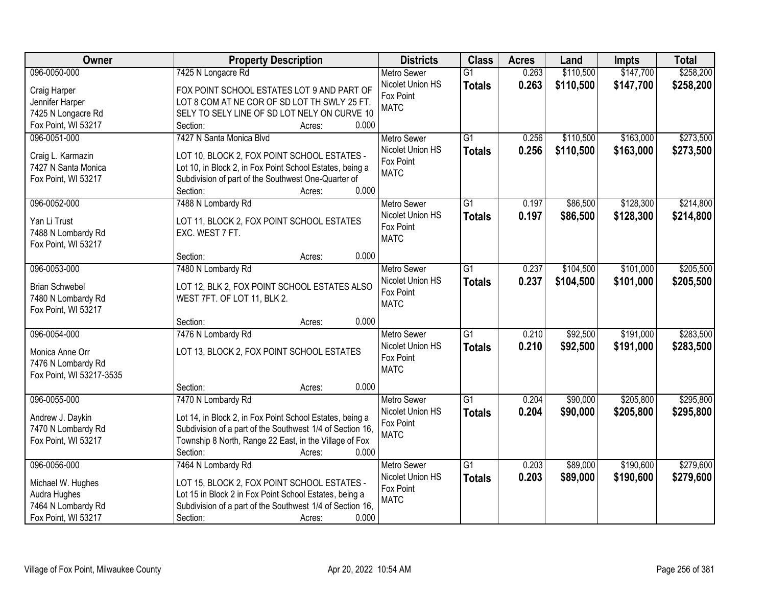| <b>Owner</b>             | <b>Property Description</b>                               | <b>Districts</b>   | <b>Class</b>    | <b>Acres</b> | Land      | <b>Impts</b> | <b>Total</b> |
|--------------------------|-----------------------------------------------------------|--------------------|-----------------|--------------|-----------|--------------|--------------|
| 096-0050-000             | 7425 N Longacre Rd                                        | <b>Metro Sewer</b> | $\overline{G1}$ | 0.263        | \$110,500 | \$147,700    | \$258,200    |
| Craig Harper             | FOX POINT SCHOOL ESTATES LOT 9 AND PART OF                | Nicolet Union HS   | <b>Totals</b>   | 0.263        | \$110,500 | \$147,700    | \$258,200    |
| Jennifer Harper          | LOT 8 COM AT NE COR OF SD LOT TH SWLY 25 FT.              | Fox Point          |                 |              |           |              |              |
| 7425 N Longacre Rd       | SELY TO SELY LINE OF SD LOT NELY ON CURVE 10              | <b>MATC</b>        |                 |              |           |              |              |
| Fox Point, WI 53217      | 0.000<br>Section:<br>Acres:                               |                    |                 |              |           |              |              |
| 096-0051-000             | 7427 N Santa Monica Blvd                                  | Metro Sewer        | $\overline{G1}$ | 0.256        | \$110,500 | \$163,000    | \$273,500    |
|                          |                                                           | Nicolet Union HS   | <b>Totals</b>   | 0.256        | \$110,500 | \$163,000    | \$273,500    |
| Craig L. Karmazin        | LOT 10, BLOCK 2, FOX POINT SCHOOL ESTATES -               | Fox Point          |                 |              |           |              |              |
| 7427 N Santa Monica      | Lot 10, in Block 2, in Fox Point School Estates, being a  | <b>MATC</b>        |                 |              |           |              |              |
| Fox Point, WI 53217      | Subdivision of part of the Southwest One-Quarter of       |                    |                 |              |           |              |              |
|                          | 0.000<br>Section:<br>Acres:                               |                    |                 |              |           |              |              |
| 096-0052-000             | 7488 N Lombardy Rd                                        | Metro Sewer        | G1              | 0.197        | \$86,500  | \$128,300    | \$214,800    |
| Yan Li Trust             | LOT 11, BLOCK 2, FOX POINT SCHOOL ESTATES                 | Nicolet Union HS   | <b>Totals</b>   | 0.197        | \$86,500  | \$128,300    | \$214,800    |
| 7488 N Lombardy Rd       | EXC. WEST 7 FT.                                           | Fox Point          |                 |              |           |              |              |
| Fox Point, WI 53217      |                                                           | <b>MATC</b>        |                 |              |           |              |              |
|                          | 0.000<br>Section:<br>Acres:                               |                    |                 |              |           |              |              |
| 096-0053-000             | 7480 N Lombardy Rd                                        | <b>Metro Sewer</b> | $\overline{G1}$ | 0.237        | \$104,500 | \$101,000    | \$205,500    |
|                          |                                                           | Nicolet Union HS   | <b>Totals</b>   | 0.237        | \$104,500 | \$101,000    | \$205,500    |
| <b>Brian Schwebel</b>    | LOT 12, BLK 2, FOX POINT SCHOOL ESTATES ALSO              | Fox Point          |                 |              |           |              |              |
| 7480 N Lombardy Rd       | WEST 7FT. OF LOT 11, BLK 2.                               | <b>MATC</b>        |                 |              |           |              |              |
| Fox Point, WI 53217      |                                                           |                    |                 |              |           |              |              |
|                          | 0.000<br>Section:<br>Acres:                               |                    |                 |              |           |              |              |
| 096-0054-000             | 7476 N Lombardy Rd                                        | <b>Metro Sewer</b> | $\overline{G1}$ | 0.210        | \$92,500  | \$191,000    | \$283,500    |
| Monica Anne Orr          | LOT 13, BLOCK 2, FOX POINT SCHOOL ESTATES                 | Nicolet Union HS   | <b>Totals</b>   | 0.210        | \$92,500  | \$191,000    | \$283,500    |
| 7476 N Lombardy Rd       |                                                           | Fox Point          |                 |              |           |              |              |
| Fox Point, WI 53217-3535 |                                                           | <b>MATC</b>        |                 |              |           |              |              |
|                          | 0.000<br>Section:<br>Acres:                               |                    |                 |              |           |              |              |
| 096-0055-000             | 7470 N Lombardy Rd                                        | Metro Sewer        | G1              | 0.204        | \$90,000  | \$205,800    | \$295,800    |
| Andrew J. Daykin         | Lot 14, in Block 2, in Fox Point School Estates, being a  | Nicolet Union HS   | <b>Totals</b>   | 0.204        | \$90,000  | \$205,800    | \$295,800    |
| 7470 N Lombardy Rd       | Subdivision of a part of the Southwest 1/4 of Section 16, | Fox Point          |                 |              |           |              |              |
| Fox Point, WI 53217      | Township 8 North, Range 22 East, in the Village of Fox    | <b>MATC</b>        |                 |              |           |              |              |
|                          | 0.000<br>Section:<br>Acres:                               |                    |                 |              |           |              |              |
| 096-0056-000             | 7464 N Lombardy Rd                                        | <b>Metro Sewer</b> | $\overline{G1}$ | 0.203        | \$89,000  | \$190,600    | \$279,600    |
|                          |                                                           | Nicolet Union HS   | <b>Totals</b>   | 0.203        | \$89,000  | \$190,600    | \$279,600    |
| Michael W. Hughes        | LOT 15, BLOCK 2, FOX POINT SCHOOL ESTATES -               | Fox Point          |                 |              |           |              |              |
| Audra Hughes             | Lot 15 in Block 2 in Fox Point School Estates, being a    | <b>MATC</b>        |                 |              |           |              |              |
| 7464 N Lombardy Rd       | Subdivision of a part of the Southwest 1/4 of Section 16, |                    |                 |              |           |              |              |
| Fox Point, WI 53217      | 0.000<br>Section:<br>Acres:                               |                    |                 |              |           |              |              |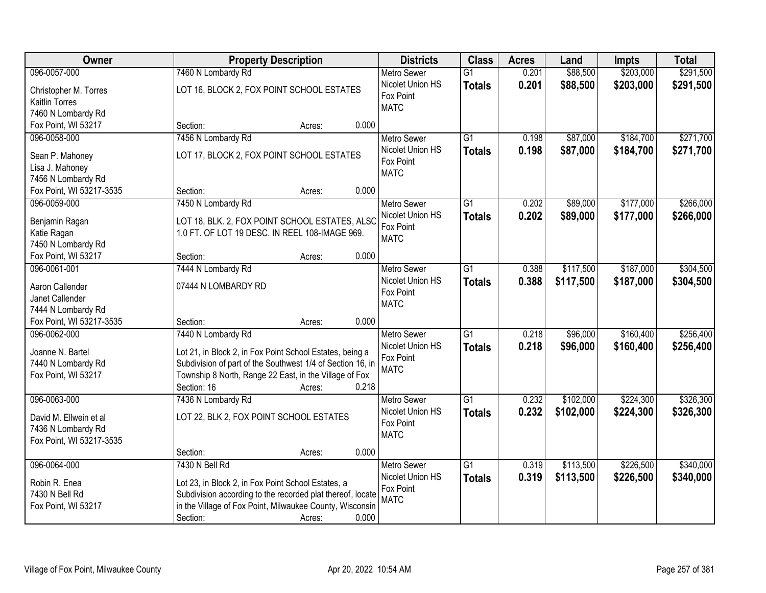| \$203,000<br>\$291,500<br>096-0057-000<br>7460 N Lombardy Rd<br>\$88,500<br>$\overline{G1}$<br>0.201<br><b>Metro Sewer</b><br>Nicolet Union HS<br>0.201<br>\$88,500<br>\$203,000<br>\$291,500<br><b>Totals</b><br>LOT 16, BLOCK 2, FOX POINT SCHOOL ESTATES<br>Christopher M. Torres<br>Fox Point<br><b>Kaitlin Torres</b><br><b>MATC</b><br>7460 N Lombardy Rd<br>0.000<br>Fox Point, WI 53217<br>Section:<br>Acres:<br>$\overline{G1}$<br>\$87,000<br>\$184,700<br>096-0058-000<br>7456 N Lombardy Rd<br>0.198<br><b>Metro Sewer</b><br>Nicolet Union HS<br>0.198<br>\$87,000<br>\$184,700<br><b>Totals</b><br>LOT 17, BLOCK 2, FOX POINT SCHOOL ESTATES<br>Sean P. Mahoney<br>Fox Point<br>Lisa J. Mahoney<br><b>MATC</b><br>7456 N Lombardy Rd<br>0.000<br>Fox Point, WI 53217-3535<br>Section:<br>Acres:<br>096-0059-000<br>7450 N Lombardy Rd<br>G1<br>0.202<br>\$89,000<br>\$177,000<br>Metro Sewer<br>Nicolet Union HS<br>\$89,000<br>0.202<br>\$177,000<br><b>Totals</b><br>LOT 18, BLK. 2, FOX POINT SCHOOL ESTATES, ALSC<br>Benjamin Ragan<br>Fox Point<br>1.0 FT. OF LOT 19 DESC. IN REEL 108-IMAGE 969.<br>Katie Ragan<br><b>MATC</b><br>7450 N Lombardy Rd<br>Fox Point, WI 53217<br>0.000<br>Section:<br>Acres:<br>096-0061-001<br>\$117,500<br>\$187,000<br>7444 N Lombardy Rd<br><b>Metro Sewer</b><br>G1<br>0.388<br>Nicolet Union HS<br>0.388<br>\$117,500<br>\$187,000<br><b>Totals</b><br>Aaron Callender<br>07444 N LOMBARDY RD<br>Fox Point<br>Janet Callender<br><b>MATC</b><br>7444 N Lombardy Rd<br>Fox Point, WI 53217-3535<br>0.000<br>Section:<br>Acres:<br>\$160,400<br>096-0062-000<br>7440 N Lombardy Rd<br>$\overline{G1}$<br>0.218<br>\$96,000<br><b>Metro Sewer</b><br>0.218<br>\$96,000<br>\$160,400<br>Nicolet Union HS<br><b>Totals</b><br>Joanne N. Bartel<br>Lot 21, in Block 2, in Fox Point School Estates, being a<br>Fox Point<br>Subdivision of part of the Southwest 1/4 of Section 16, in<br>7440 N Lombardy Rd<br><b>MATC</b><br>Township 8 North, Range 22 East, in the Village of Fox<br>Fox Point, WI 53217<br>Section: 16<br>0.218<br>Acres:<br>$\overline{G1}$<br>\$224,300<br>096-0063-000<br>7436 N Lombardy Rd<br>0.232<br>\$102,000<br><b>Metro Sewer</b><br>Nicolet Union HS<br>0.232<br>\$102,000<br>\$224,300<br><b>Totals</b><br>LOT 22, BLK 2, FOX POINT SCHOOL ESTATES<br>David M. Ellwein et al<br>Fox Point<br>7436 N Lombardy Rd | Owner | <b>Property Description</b> | <b>Districts</b> | <b>Class</b> | <b>Acres</b> | Land | Impts | <b>Total</b> |
|----------------------------------------------------------------------------------------------------------------------------------------------------------------------------------------------------------------------------------------------------------------------------------------------------------------------------------------------------------------------------------------------------------------------------------------------------------------------------------------------------------------------------------------------------------------------------------------------------------------------------------------------------------------------------------------------------------------------------------------------------------------------------------------------------------------------------------------------------------------------------------------------------------------------------------------------------------------------------------------------------------------------------------------------------------------------------------------------------------------------------------------------------------------------------------------------------------------------------------------------------------------------------------------------------------------------------------------------------------------------------------------------------------------------------------------------------------------------------------------------------------------------------------------------------------------------------------------------------------------------------------------------------------------------------------------------------------------------------------------------------------------------------------------------------------------------------------------------------------------------------------------------------------------------------------------------------------------------------------------------------------------------------------------------------------------------------------------------------------------------------------------------------------------------------------------------------------------------------------------------------------------------------------------------------------------------------------------------------------------------------------------------------|-------|-----------------------------|------------------|--------------|--------------|------|-------|--------------|
|                                                                                                                                                                                                                                                                                                                                                                                                                                                                                                                                                                                                                                                                                                                                                                                                                                                                                                                                                                                                                                                                                                                                                                                                                                                                                                                                                                                                                                                                                                                                                                                                                                                                                                                                                                                                                                                                                                                                                                                                                                                                                                                                                                                                                                                                                                                                                                                                    |       |                             |                  |              |              |      |       |              |
|                                                                                                                                                                                                                                                                                                                                                                                                                                                                                                                                                                                                                                                                                                                                                                                                                                                                                                                                                                                                                                                                                                                                                                                                                                                                                                                                                                                                                                                                                                                                                                                                                                                                                                                                                                                                                                                                                                                                                                                                                                                                                                                                                                                                                                                                                                                                                                                                    |       |                             |                  |              |              |      |       |              |
| \$271,700<br>\$271,700<br>\$304,500<br>\$304,500<br>\$256,400<br>\$326,300                                                                                                                                                                                                                                                                                                                                                                                                                                                                                                                                                                                                                                                                                                                                                                                                                                                                                                                                                                                                                                                                                                                                                                                                                                                                                                                                                                                                                                                                                                                                                                                                                                                                                                                                                                                                                                                                                                                                                                                                                                                                                                                                                                                                                                                                                                                         |       |                             |                  |              |              |      |       |              |
|                                                                                                                                                                                                                                                                                                                                                                                                                                                                                                                                                                                                                                                                                                                                                                                                                                                                                                                                                                                                                                                                                                                                                                                                                                                                                                                                                                                                                                                                                                                                                                                                                                                                                                                                                                                                                                                                                                                                                                                                                                                                                                                                                                                                                                                                                                                                                                                                    |       |                             |                  |              |              |      |       |              |
|                                                                                                                                                                                                                                                                                                                                                                                                                                                                                                                                                                                                                                                                                                                                                                                                                                                                                                                                                                                                                                                                                                                                                                                                                                                                                                                                                                                                                                                                                                                                                                                                                                                                                                                                                                                                                                                                                                                                                                                                                                                                                                                                                                                                                                                                                                                                                                                                    |       |                             |                  |              |              |      |       |              |
|                                                                                                                                                                                                                                                                                                                                                                                                                                                                                                                                                                                                                                                                                                                                                                                                                                                                                                                                                                                                                                                                                                                                                                                                                                                                                                                                                                                                                                                                                                                                                                                                                                                                                                                                                                                                                                                                                                                                                                                                                                                                                                                                                                                                                                                                                                                                                                                                    |       |                             |                  |              |              |      |       |              |
|                                                                                                                                                                                                                                                                                                                                                                                                                                                                                                                                                                                                                                                                                                                                                                                                                                                                                                                                                                                                                                                                                                                                                                                                                                                                                                                                                                                                                                                                                                                                                                                                                                                                                                                                                                                                                                                                                                                                                                                                                                                                                                                                                                                                                                                                                                                                                                                                    |       |                             |                  |              |              |      |       |              |
|                                                                                                                                                                                                                                                                                                                                                                                                                                                                                                                                                                                                                                                                                                                                                                                                                                                                                                                                                                                                                                                                                                                                                                                                                                                                                                                                                                                                                                                                                                                                                                                                                                                                                                                                                                                                                                                                                                                                                                                                                                                                                                                                                                                                                                                                                                                                                                                                    |       |                             |                  |              |              |      |       |              |
|                                                                                                                                                                                                                                                                                                                                                                                                                                                                                                                                                                                                                                                                                                                                                                                                                                                                                                                                                                                                                                                                                                                                                                                                                                                                                                                                                                                                                                                                                                                                                                                                                                                                                                                                                                                                                                                                                                                                                                                                                                                                                                                                                                                                                                                                                                                                                                                                    |       |                             |                  |              |              |      |       |              |
| \$266,000<br>\$266,000<br>\$256,400<br>\$326,300                                                                                                                                                                                                                                                                                                                                                                                                                                                                                                                                                                                                                                                                                                                                                                                                                                                                                                                                                                                                                                                                                                                                                                                                                                                                                                                                                                                                                                                                                                                                                                                                                                                                                                                                                                                                                                                                                                                                                                                                                                                                                                                                                                                                                                                                                                                                                   |       |                             |                  |              |              |      |       |              |
|                                                                                                                                                                                                                                                                                                                                                                                                                                                                                                                                                                                                                                                                                                                                                                                                                                                                                                                                                                                                                                                                                                                                                                                                                                                                                                                                                                                                                                                                                                                                                                                                                                                                                                                                                                                                                                                                                                                                                                                                                                                                                                                                                                                                                                                                                                                                                                                                    |       |                             |                  |              |              |      |       |              |
|                                                                                                                                                                                                                                                                                                                                                                                                                                                                                                                                                                                                                                                                                                                                                                                                                                                                                                                                                                                                                                                                                                                                                                                                                                                                                                                                                                                                                                                                                                                                                                                                                                                                                                                                                                                                                                                                                                                                                                                                                                                                                                                                                                                                                                                                                                                                                                                                    |       |                             |                  |              |              |      |       |              |
|                                                                                                                                                                                                                                                                                                                                                                                                                                                                                                                                                                                                                                                                                                                                                                                                                                                                                                                                                                                                                                                                                                                                                                                                                                                                                                                                                                                                                                                                                                                                                                                                                                                                                                                                                                                                                                                                                                                                                                                                                                                                                                                                                                                                                                                                                                                                                                                                    |       |                             |                  |              |              |      |       |              |
|                                                                                                                                                                                                                                                                                                                                                                                                                                                                                                                                                                                                                                                                                                                                                                                                                                                                                                                                                                                                                                                                                                                                                                                                                                                                                                                                                                                                                                                                                                                                                                                                                                                                                                                                                                                                                                                                                                                                                                                                                                                                                                                                                                                                                                                                                                                                                                                                    |       |                             |                  |              |              |      |       |              |
|                                                                                                                                                                                                                                                                                                                                                                                                                                                                                                                                                                                                                                                                                                                                                                                                                                                                                                                                                                                                                                                                                                                                                                                                                                                                                                                                                                                                                                                                                                                                                                                                                                                                                                                                                                                                                                                                                                                                                                                                                                                                                                                                                                                                                                                                                                                                                                                                    |       |                             |                  |              |              |      |       |              |
|                                                                                                                                                                                                                                                                                                                                                                                                                                                                                                                                                                                                                                                                                                                                                                                                                                                                                                                                                                                                                                                                                                                                                                                                                                                                                                                                                                                                                                                                                                                                                                                                                                                                                                                                                                                                                                                                                                                                                                                                                                                                                                                                                                                                                                                                                                                                                                                                    |       |                             |                  |              |              |      |       |              |
|                                                                                                                                                                                                                                                                                                                                                                                                                                                                                                                                                                                                                                                                                                                                                                                                                                                                                                                                                                                                                                                                                                                                                                                                                                                                                                                                                                                                                                                                                                                                                                                                                                                                                                                                                                                                                                                                                                                                                                                                                                                                                                                                                                                                                                                                                                                                                                                                    |       |                             |                  |              |              |      |       |              |
|                                                                                                                                                                                                                                                                                                                                                                                                                                                                                                                                                                                                                                                                                                                                                                                                                                                                                                                                                                                                                                                                                                                                                                                                                                                                                                                                                                                                                                                                                                                                                                                                                                                                                                                                                                                                                                                                                                                                                                                                                                                                                                                                                                                                                                                                                                                                                                                                    |       |                             |                  |              |              |      |       |              |
|                                                                                                                                                                                                                                                                                                                                                                                                                                                                                                                                                                                                                                                                                                                                                                                                                                                                                                                                                                                                                                                                                                                                                                                                                                                                                                                                                                                                                                                                                                                                                                                                                                                                                                                                                                                                                                                                                                                                                                                                                                                                                                                                                                                                                                                                                                                                                                                                    |       |                             |                  |              |              |      |       |              |
|                                                                                                                                                                                                                                                                                                                                                                                                                                                                                                                                                                                                                                                                                                                                                                                                                                                                                                                                                                                                                                                                                                                                                                                                                                                                                                                                                                                                                                                                                                                                                                                                                                                                                                                                                                                                                                                                                                                                                                                                                                                                                                                                                                                                                                                                                                                                                                                                    |       |                             |                  |              |              |      |       |              |
|                                                                                                                                                                                                                                                                                                                                                                                                                                                                                                                                                                                                                                                                                                                                                                                                                                                                                                                                                                                                                                                                                                                                                                                                                                                                                                                                                                                                                                                                                                                                                                                                                                                                                                                                                                                                                                                                                                                                                                                                                                                                                                                                                                                                                                                                                                                                                                                                    |       |                             |                  |              |              |      |       |              |
|                                                                                                                                                                                                                                                                                                                                                                                                                                                                                                                                                                                                                                                                                                                                                                                                                                                                                                                                                                                                                                                                                                                                                                                                                                                                                                                                                                                                                                                                                                                                                                                                                                                                                                                                                                                                                                                                                                                                                                                                                                                                                                                                                                                                                                                                                                                                                                                                    |       |                             |                  |              |              |      |       |              |
|                                                                                                                                                                                                                                                                                                                                                                                                                                                                                                                                                                                                                                                                                                                                                                                                                                                                                                                                                                                                                                                                                                                                                                                                                                                                                                                                                                                                                                                                                                                                                                                                                                                                                                                                                                                                                                                                                                                                                                                                                                                                                                                                                                                                                                                                                                                                                                                                    |       |                             |                  |              |              |      |       |              |
|                                                                                                                                                                                                                                                                                                                                                                                                                                                                                                                                                                                                                                                                                                                                                                                                                                                                                                                                                                                                                                                                                                                                                                                                                                                                                                                                                                                                                                                                                                                                                                                                                                                                                                                                                                                                                                                                                                                                                                                                                                                                                                                                                                                                                                                                                                                                                                                                    |       |                             |                  |              |              |      |       |              |
|                                                                                                                                                                                                                                                                                                                                                                                                                                                                                                                                                                                                                                                                                                                                                                                                                                                                                                                                                                                                                                                                                                                                                                                                                                                                                                                                                                                                                                                                                                                                                                                                                                                                                                                                                                                                                                                                                                                                                                                                                                                                                                                                                                                                                                                                                                                                                                                                    |       |                             |                  |              |              |      |       |              |
|                                                                                                                                                                                                                                                                                                                                                                                                                                                                                                                                                                                                                                                                                                                                                                                                                                                                                                                                                                                                                                                                                                                                                                                                                                                                                                                                                                                                                                                                                                                                                                                                                                                                                                                                                                                                                                                                                                                                                                                                                                                                                                                                                                                                                                                                                                                                                                                                    |       |                             |                  |              |              |      |       |              |
|                                                                                                                                                                                                                                                                                                                                                                                                                                                                                                                                                                                                                                                                                                                                                                                                                                                                                                                                                                                                                                                                                                                                                                                                                                                                                                                                                                                                                                                                                                                                                                                                                                                                                                                                                                                                                                                                                                                                                                                                                                                                                                                                                                                                                                                                                                                                                                                                    |       |                             |                  |              |              |      |       |              |
|                                                                                                                                                                                                                                                                                                                                                                                                                                                                                                                                                                                                                                                                                                                                                                                                                                                                                                                                                                                                                                                                                                                                                                                                                                                                                                                                                                                                                                                                                                                                                                                                                                                                                                                                                                                                                                                                                                                                                                                                                                                                                                                                                                                                                                                                                                                                                                                                    |       |                             |                  |              |              |      |       |              |
|                                                                                                                                                                                                                                                                                                                                                                                                                                                                                                                                                                                                                                                                                                                                                                                                                                                                                                                                                                                                                                                                                                                                                                                                                                                                                                                                                                                                                                                                                                                                                                                                                                                                                                                                                                                                                                                                                                                                                                                                                                                                                                                                                                                                                                                                                                                                                                                                    |       |                             |                  |              |              |      |       |              |
|                                                                                                                                                                                                                                                                                                                                                                                                                                                                                                                                                                                                                                                                                                                                                                                                                                                                                                                                                                                                                                                                                                                                                                                                                                                                                                                                                                                                                                                                                                                                                                                                                                                                                                                                                                                                                                                                                                                                                                                                                                                                                                                                                                                                                                                                                                                                                                                                    |       |                             |                  |              |              |      |       |              |
|                                                                                                                                                                                                                                                                                                                                                                                                                                                                                                                                                                                                                                                                                                                                                                                                                                                                                                                                                                                                                                                                                                                                                                                                                                                                                                                                                                                                                                                                                                                                                                                                                                                                                                                                                                                                                                                                                                                                                                                                                                                                                                                                                                                                                                                                                                                                                                                                    |       |                             | <b>MATC</b>      |              |              |      |       |              |
| Fox Point, WI 53217-3535                                                                                                                                                                                                                                                                                                                                                                                                                                                                                                                                                                                                                                                                                                                                                                                                                                                                                                                                                                                                                                                                                                                                                                                                                                                                                                                                                                                                                                                                                                                                                                                                                                                                                                                                                                                                                                                                                                                                                                                                                                                                                                                                                                                                                                                                                                                                                                           |       |                             |                  |              |              |      |       |              |
| 0.000<br>Section:<br>Acres:                                                                                                                                                                                                                                                                                                                                                                                                                                                                                                                                                                                                                                                                                                                                                                                                                                                                                                                                                                                                                                                                                                                                                                                                                                                                                                                                                                                                                                                                                                                                                                                                                                                                                                                                                                                                                                                                                                                                                                                                                                                                                                                                                                                                                                                                                                                                                                        |       |                             |                  |              |              |      |       |              |
| 096-0064-000<br>7430 N Bell Rd<br>\$113,500<br>\$226,500<br>\$340,000<br>$\overline{G1}$<br>0.319<br><b>Metro Sewer</b>                                                                                                                                                                                                                                                                                                                                                                                                                                                                                                                                                                                                                                                                                                                                                                                                                                                                                                                                                                                                                                                                                                                                                                                                                                                                                                                                                                                                                                                                                                                                                                                                                                                                                                                                                                                                                                                                                                                                                                                                                                                                                                                                                                                                                                                                            |       |                             |                  |              |              |      |       |              |
| Nicolet Union HS<br>0.319<br>\$226,500<br>\$340,000<br>\$113,500<br><b>Totals</b><br>Robin R. Enea<br>Lot 23, in Block 2, in Fox Point School Estates, a                                                                                                                                                                                                                                                                                                                                                                                                                                                                                                                                                                                                                                                                                                                                                                                                                                                                                                                                                                                                                                                                                                                                                                                                                                                                                                                                                                                                                                                                                                                                                                                                                                                                                                                                                                                                                                                                                                                                                                                                                                                                                                                                                                                                                                           |       |                             |                  |              |              |      |       |              |
| Fox Point<br>7430 N Bell Rd<br>Subdivision according to the recorded plat thereof, locate                                                                                                                                                                                                                                                                                                                                                                                                                                                                                                                                                                                                                                                                                                                                                                                                                                                                                                                                                                                                                                                                                                                                                                                                                                                                                                                                                                                                                                                                                                                                                                                                                                                                                                                                                                                                                                                                                                                                                                                                                                                                                                                                                                                                                                                                                                          |       |                             |                  |              |              |      |       |              |
| <b>MATC</b><br>in the Village of Fox Point, Milwaukee County, Wisconsin<br>Fox Point, WI 53217                                                                                                                                                                                                                                                                                                                                                                                                                                                                                                                                                                                                                                                                                                                                                                                                                                                                                                                                                                                                                                                                                                                                                                                                                                                                                                                                                                                                                                                                                                                                                                                                                                                                                                                                                                                                                                                                                                                                                                                                                                                                                                                                                                                                                                                                                                     |       |                             |                  |              |              |      |       |              |
| 0.000<br>Section:<br>Acres:                                                                                                                                                                                                                                                                                                                                                                                                                                                                                                                                                                                                                                                                                                                                                                                                                                                                                                                                                                                                                                                                                                                                                                                                                                                                                                                                                                                                                                                                                                                                                                                                                                                                                                                                                                                                                                                                                                                                                                                                                                                                                                                                                                                                                                                                                                                                                                        |       |                             |                  |              |              |      |       |              |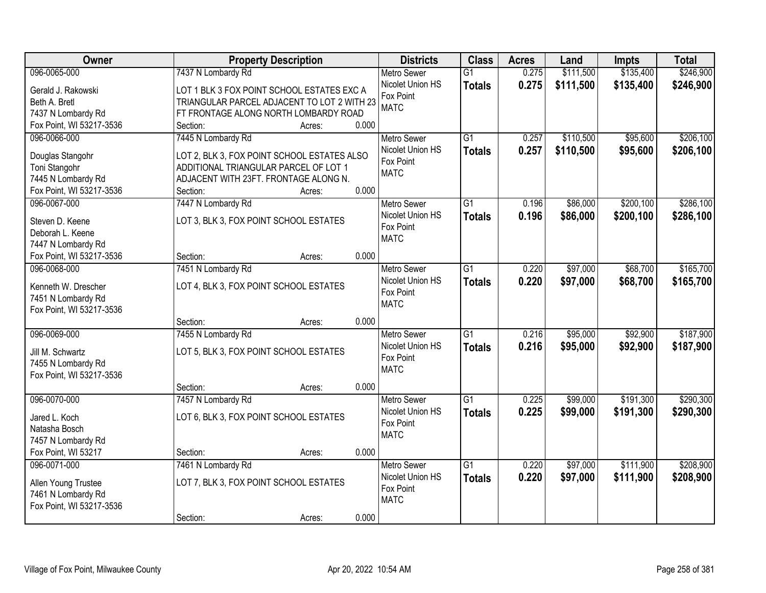| Owner                    |                                             | <b>Property Description</b> |       | <b>Districts</b>   | <b>Class</b>    | <b>Acres</b> | Land      | Impts     | <b>Total</b> |
|--------------------------|---------------------------------------------|-----------------------------|-------|--------------------|-----------------|--------------|-----------|-----------|--------------|
| 096-0065-000             | 7437 N Lombardy Rd                          |                             |       | <b>Metro Sewer</b> | $\overline{G1}$ | 0.275        | \$111,500 | \$135,400 | \$246,900    |
| Gerald J. Rakowski       | LOT 1 BLK 3 FOX POINT SCHOOL ESTATES EXC A  |                             |       | Nicolet Union HS   | <b>Totals</b>   | 0.275        | \$111,500 | \$135,400 | \$246,900    |
| Beth A. Bretl            | TRIANGULAR PARCEL ADJACENT TO LOT 2 WITH 23 |                             |       | Fox Point          |                 |              |           |           |              |
| 7437 N Lombardy Rd       | FT FRONTAGE ALONG NORTH LOMBARDY ROAD       |                             |       | <b>MATC</b>        |                 |              |           |           |              |
| Fox Point, WI 53217-3536 | Section:                                    | Acres:                      | 0.000 |                    |                 |              |           |           |              |
| 096-0066-000             | 7445 N Lombardy Rd                          |                             |       | <b>Metro Sewer</b> | $\overline{G1}$ | 0.257        | \$110,500 | \$95,600  | \$206,100    |
|                          |                                             |                             |       | Nicolet Union HS   | <b>Totals</b>   | 0.257        | \$110,500 | \$95,600  | \$206,100    |
| Douglas Stangohr         | LOT 2, BLK 3, FOX POINT SCHOOL ESTATES ALSO |                             |       | Fox Point          |                 |              |           |           |              |
| Toni Stangohr            | ADDITIONAL TRIANGULAR PARCEL OF LOT 1       |                             |       | <b>MATC</b>        |                 |              |           |           |              |
| 7445 N Lombardy Rd       | ADJACENT WITH 23FT. FRONTAGE ALONG N.       |                             |       |                    |                 |              |           |           |              |
| Fox Point, WI 53217-3536 | Section:                                    | Acres:                      | 0.000 |                    |                 |              |           |           |              |
| 096-0067-000             | 7447 N Lombardy Rd                          |                             |       | Metro Sewer        | G1              | 0.196        | \$86,000  | \$200,100 | \$286,100    |
| Steven D. Keene          | LOT 3, BLK 3, FOX POINT SCHOOL ESTATES      |                             |       | Nicolet Union HS   | <b>Totals</b>   | 0.196        | \$86,000  | \$200,100 | \$286,100    |
| Deborah L. Keene         |                                             |                             |       | Fox Point          |                 |              |           |           |              |
| 7447 N Lombardy Rd       |                                             |                             |       | <b>MATC</b>        |                 |              |           |           |              |
| Fox Point, WI 53217-3536 | Section:                                    | Acres:                      | 0.000 |                    |                 |              |           |           |              |
| 096-0068-000             | 7451 N Lombardy Rd                          |                             |       | <b>Metro Sewer</b> | G1              | 0.220        | \$97,000  | \$68,700  | \$165,700    |
|                          |                                             |                             |       | Nicolet Union HS   | <b>Totals</b>   | 0.220        | \$97,000  | \$68,700  | \$165,700    |
| Kenneth W. Drescher      | LOT 4, BLK 3, FOX POINT SCHOOL ESTATES      |                             |       | Fox Point          |                 |              |           |           |              |
| 7451 N Lombardy Rd       |                                             |                             |       | <b>MATC</b>        |                 |              |           |           |              |
| Fox Point, WI 53217-3536 |                                             |                             |       |                    |                 |              |           |           |              |
|                          | Section:                                    | Acres:                      | 0.000 |                    |                 |              |           |           |              |
| 096-0069-000             | 7455 N Lombardy Rd                          |                             |       | Metro Sewer        | $\overline{G1}$ | 0.216        | \$95,000  | \$92,900  | \$187,900    |
| Jill M. Schwartz         | LOT 5, BLK 3, FOX POINT SCHOOL ESTATES      |                             |       | Nicolet Union HS   | <b>Totals</b>   | 0.216        | \$95,000  | \$92,900  | \$187,900    |
| 7455 N Lombardy Rd       |                                             |                             |       | Fox Point          |                 |              |           |           |              |
| Fox Point, WI 53217-3536 |                                             |                             |       | <b>MATC</b>        |                 |              |           |           |              |
|                          | Section:                                    | Acres:                      | 0.000 |                    |                 |              |           |           |              |
| 096-0070-000             | 7457 N Lombardy Rd                          |                             |       | <b>Metro Sewer</b> | $\overline{G1}$ | 0.225        | \$99,000  | \$191,300 | \$290,300    |
|                          |                                             |                             |       | Nicolet Union HS   | <b>Totals</b>   | 0.225        | \$99,000  | \$191,300 | \$290,300    |
| Jared L. Koch            | LOT 6, BLK 3, FOX POINT SCHOOL ESTATES      |                             |       | Fox Point          |                 |              |           |           |              |
| Natasha Bosch            |                                             |                             |       | <b>MATC</b>        |                 |              |           |           |              |
| 7457 N Lombardy Rd       |                                             |                             |       |                    |                 |              |           |           |              |
| Fox Point, WI 53217      | Section:                                    | Acres:                      | 0.000 |                    |                 |              |           |           |              |
| 096-0071-000             | 7461 N Lombardy Rd                          |                             |       | <b>Metro Sewer</b> | $\overline{G1}$ | 0.220        | \$97,000  | \$111,900 | \$208,900    |
| Allen Young Trustee      | LOT 7, BLK 3, FOX POINT SCHOOL ESTATES      |                             |       | Nicolet Union HS   | <b>Totals</b>   | 0.220        | \$97,000  | \$111,900 | \$208,900    |
| 7461 N Lombardy Rd       |                                             |                             |       | Fox Point          |                 |              |           |           |              |
| Fox Point, WI 53217-3536 |                                             |                             |       | <b>MATC</b>        |                 |              |           |           |              |
|                          | Section:                                    | Acres:                      | 0.000 |                    |                 |              |           |           |              |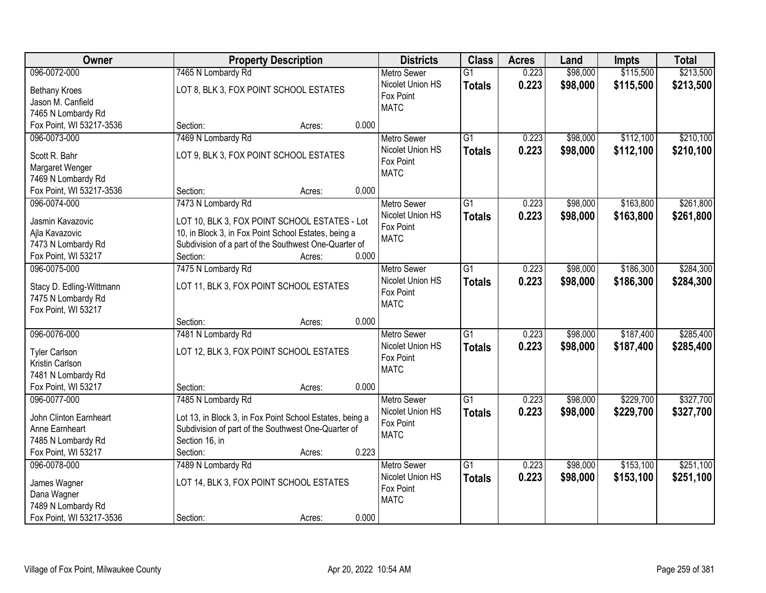| Owner                    | <b>Property Description</b>                              | <b>Districts</b>   | <b>Class</b>    | <b>Acres</b> | Land     | Impts     | <b>Total</b> |
|--------------------------|----------------------------------------------------------|--------------------|-----------------|--------------|----------|-----------|--------------|
| 096-0072-000             | 7465 N Lombardy Rd                                       | <b>Metro Sewer</b> | $\overline{G1}$ | 0.223        | \$98,000 | \$115,500 | \$213,500    |
| <b>Bethany Kroes</b>     | LOT 8, BLK 3, FOX POINT SCHOOL ESTATES                   | Nicolet Union HS   | <b>Totals</b>   | 0.223        | \$98,000 | \$115,500 | \$213,500    |
| Jason M. Canfield        |                                                          | Fox Point          |                 |              |          |           |              |
| 7465 N Lombardy Rd       |                                                          | <b>MATC</b>        |                 |              |          |           |              |
| Fox Point, WI 53217-3536 | 0.000<br>Section:<br>Acres:                              |                    |                 |              |          |           |              |
| 096-0073-000             | 7469 N Lombardy Rd                                       | <b>Metro Sewer</b> | $\overline{G1}$ | 0.223        | \$98,000 | \$112,100 | \$210,100    |
|                          |                                                          | Nicolet Union HS   | <b>Totals</b>   | 0.223        | \$98,000 | \$112,100 | \$210,100    |
| Scott R. Bahr            | LOT 9, BLK 3, FOX POINT SCHOOL ESTATES                   | Fox Point          |                 |              |          |           |              |
| Margaret Wenger          |                                                          | <b>MATC</b>        |                 |              |          |           |              |
| 7469 N Lombardy Rd       |                                                          |                    |                 |              |          |           |              |
| Fox Point, WI 53217-3536 | 0.000<br>Section:<br>Acres:                              |                    |                 |              |          |           |              |
| 096-0074-000             | 7473 N Lombardy Rd                                       | <b>Metro Sewer</b> | G1              | 0.223        | \$98,000 | \$163,800 | \$261,800    |
| Jasmin Kavazovic         | LOT 10, BLK 3, FOX POINT SCHOOL ESTATES - Lot            | Nicolet Union HS   | <b>Totals</b>   | 0.223        | \$98,000 | \$163,800 | \$261,800    |
| Ajla Kavazovic           | 10, in Block 3, in Fox Point School Estates, being a     | Fox Point          |                 |              |          |           |              |
| 7473 N Lombardy Rd       | Subdivision of a part of the Southwest One-Quarter of    | <b>MATC</b>        |                 |              |          |           |              |
| Fox Point, WI 53217      | 0.000<br>Section:<br>Acres:                              |                    |                 |              |          |           |              |
| 096-0075-000             | 7475 N Lombardy Rd                                       | <b>Metro Sewer</b> | G1              | 0.223        | \$98,000 | \$186,300 | \$284,300    |
|                          |                                                          | Nicolet Union HS   | <b>Totals</b>   | 0.223        | \$98,000 | \$186,300 | \$284,300    |
| Stacy D. Edling-Wittmann | LOT 11, BLK 3, FOX POINT SCHOOL ESTATES                  | Fox Point          |                 |              |          |           |              |
| 7475 N Lombardy Rd       |                                                          | <b>MATC</b>        |                 |              |          |           |              |
| Fox Point, WI 53217      |                                                          |                    |                 |              |          |           |              |
|                          | 0.000<br>Section:<br>Acres:                              |                    |                 |              |          |           |              |
| 096-0076-000             | 7481 N Lombardy Rd                                       | <b>Metro Sewer</b> | $\overline{G1}$ | 0.223        | \$98,000 | \$187,400 | \$285,400    |
| <b>Tyler Carlson</b>     | LOT 12, BLK 3, FOX POINT SCHOOL ESTATES                  | Nicolet Union HS   | <b>Totals</b>   | 0.223        | \$98,000 | \$187,400 | \$285,400    |
| Kristin Carlson          |                                                          | Fox Point          |                 |              |          |           |              |
| 7481 N Lombardy Rd       |                                                          | <b>MATC</b>        |                 |              |          |           |              |
| Fox Point, WI 53217      | 0.000<br>Section:<br>Acres:                              |                    |                 |              |          |           |              |
| 096-0077-000             | 7485 N Lombardy Rd                                       | Metro Sewer        | $\overline{G1}$ | 0.223        | \$98,000 | \$229,700 | \$327,700    |
|                          |                                                          | Nicolet Union HS   | <b>Totals</b>   | 0.223        | \$98,000 | \$229,700 | \$327,700    |
| John Clinton Earnheart   | Lot 13, in Block 3, in Fox Point School Estates, being a | Fox Point          |                 |              |          |           |              |
| Anne Earnheart           | Subdivision of part of the Southwest One-Quarter of      | <b>MATC</b>        |                 |              |          |           |              |
| 7485 N Lombardy Rd       | Section 16, in                                           |                    |                 |              |          |           |              |
| Fox Point, WI 53217      | 0.223<br>Section:<br>Acres:                              |                    |                 |              |          |           |              |
| 096-0078-000             | 7489 N Lombardy Rd                                       | <b>Metro Sewer</b> | $\overline{G1}$ | 0.223        | \$98,000 | \$153,100 | \$251,100    |
| James Wagner             | LOT 14, BLK 3, FOX POINT SCHOOL ESTATES                  | Nicolet Union HS   | <b>Totals</b>   | 0.223        | \$98,000 | \$153,100 | \$251,100    |
| Dana Wagner              |                                                          | Fox Point          |                 |              |          |           |              |
| 7489 N Lombardy Rd       |                                                          | <b>MATC</b>        |                 |              |          |           |              |
| Fox Point, WI 53217-3536 | 0.000<br>Section:<br>Acres:                              |                    |                 |              |          |           |              |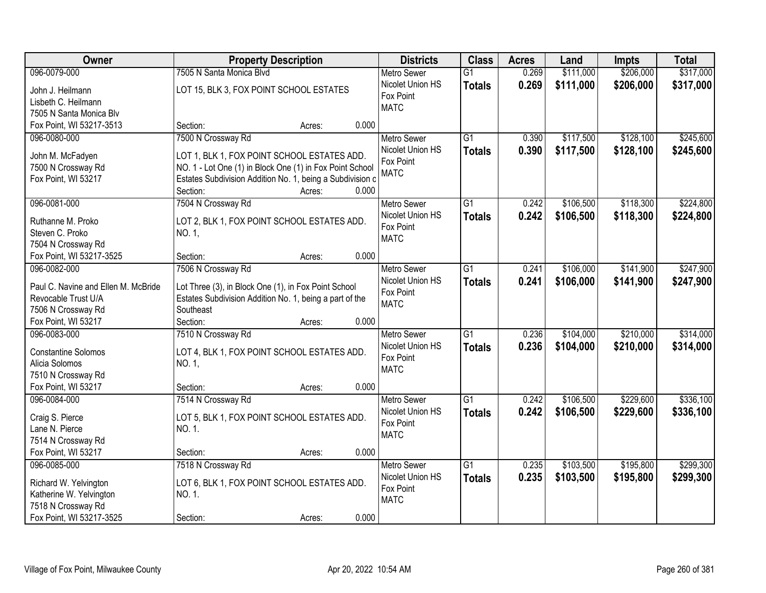| Owner                               | <b>Property Description</b>                               |        |       | <b>Districts</b>   | <b>Class</b>    | <b>Acres</b> | Land      | <b>Impts</b> | <b>Total</b> |
|-------------------------------------|-----------------------------------------------------------|--------|-------|--------------------|-----------------|--------------|-----------|--------------|--------------|
| 096-0079-000                        | 7505 N Santa Monica Blvd                                  |        |       | <b>Metro Sewer</b> | $\overline{G1}$ | 0.269        | \$111,000 | \$206,000    | \$317,000    |
| John J. Heilmann                    | LOT 15, BLK 3, FOX POINT SCHOOL ESTATES                   |        |       | Nicolet Union HS   | <b>Totals</b>   | 0.269        | \$111,000 | \$206,000    | \$317,000    |
| Lisbeth C. Heilmann                 |                                                           |        |       | Fox Point          |                 |              |           |              |              |
| 7505 N Santa Monica Blv             |                                                           |        |       | <b>MATC</b>        |                 |              |           |              |              |
| Fox Point, WI 53217-3513            | Section:                                                  | Acres: | 0.000 |                    |                 |              |           |              |              |
| 096-0080-000                        | 7500 N Crossway Rd                                        |        |       | <b>Metro Sewer</b> | $\overline{G1}$ | 0.390        | \$117,500 | \$128,100    | \$245,600    |
|                                     |                                                           |        |       | Nicolet Union HS   | <b>Totals</b>   | 0.390        | \$117,500 | \$128,100    | \$245,600    |
| John M. McFadyen                    | LOT 1, BLK 1, FOX POINT SCHOOL ESTATES ADD.               |        |       | Fox Point          |                 |              |           |              |              |
| 7500 N Crossway Rd                  | NO. 1 - Lot One (1) in Block One (1) in Fox Point School  |        |       | <b>MATC</b>        |                 |              |           |              |              |
| Fox Point, WI 53217                 | Estates Subdivision Addition No. 1, being a Subdivision c |        |       |                    |                 |              |           |              |              |
|                                     | Section:                                                  | Acres: | 0.000 |                    |                 |              |           |              |              |
| 096-0081-000                        | 7504 N Crossway Rd                                        |        |       | Metro Sewer        | $\overline{G1}$ | 0.242        | \$106,500 | \$118,300    | \$224,800    |
| Ruthanne M. Proko                   | LOT 2, BLK 1, FOX POINT SCHOOL ESTATES ADD.               |        |       | Nicolet Union HS   | <b>Totals</b>   | 0.242        | \$106,500 | \$118,300    | \$224,800    |
| Steven C. Proko                     | NO. 1,                                                    |        |       | Fox Point          |                 |              |           |              |              |
| 7504 N Crossway Rd                  |                                                           |        |       | <b>MATC</b>        |                 |              |           |              |              |
| Fox Point, WI 53217-3525            | Section:                                                  | Acres: | 0.000 |                    |                 |              |           |              |              |
| 096-0082-000                        | 7506 N Crossway Rd                                        |        |       | <b>Metro Sewer</b> | $\overline{G1}$ | 0.241        | \$106,000 | \$141,900    | \$247,900    |
|                                     |                                                           |        |       | Nicolet Union HS   | <b>Totals</b>   | 0.241        | \$106,000 | \$141,900    | \$247,900    |
| Paul C. Navine and Ellen M. McBride | Lot Three (3), in Block One (1), in Fox Point School      |        |       | Fox Point          |                 |              |           |              |              |
| Revocable Trust U/A                 | Estates Subdivision Addition No. 1, being a part of the   |        |       | <b>MATC</b>        |                 |              |           |              |              |
| 7506 N Crossway Rd                  | Southeast                                                 |        |       |                    |                 |              |           |              |              |
| Fox Point, WI 53217                 | Section:                                                  | Acres: | 0.000 |                    |                 |              |           |              |              |
| 096-0083-000                        | 7510 N Crossway Rd                                        |        |       | <b>Metro Sewer</b> | $\overline{G1}$ | 0.236        | \$104,000 | \$210,000    | \$314,000    |
| <b>Constantine Solomos</b>          | LOT 4, BLK 1, FOX POINT SCHOOL ESTATES ADD.               |        |       | Nicolet Union HS   | <b>Totals</b>   | 0.236        | \$104,000 | \$210,000    | \$314,000    |
| Alicia Solomos                      | NO. 1,                                                    |        |       | Fox Point          |                 |              |           |              |              |
| 7510 N Crossway Rd                  |                                                           |        |       | <b>MATC</b>        |                 |              |           |              |              |
| Fox Point, WI 53217                 | Section:                                                  | Acres: | 0.000 |                    |                 |              |           |              |              |
| 096-0084-000                        | 7514 N Crossway Rd                                        |        |       | Metro Sewer        | $\overline{G1}$ | 0.242        | \$106,500 | \$229,600    | \$336,100    |
|                                     |                                                           |        |       | Nicolet Union HS   | <b>Totals</b>   | 0.242        | \$106,500 | \$229,600    | \$336,100    |
| Craig S. Pierce                     | LOT 5, BLK 1, FOX POINT SCHOOL ESTATES ADD.               |        |       | Fox Point          |                 |              |           |              |              |
| Lane N. Pierce                      | NO. 1.                                                    |        |       | <b>MATC</b>        |                 |              |           |              |              |
| 7514 N Crossway Rd                  |                                                           |        |       |                    |                 |              |           |              |              |
| Fox Point, WI 53217                 | Section:                                                  | Acres: | 0.000 |                    |                 |              |           |              |              |
| 096-0085-000                        | 7518 N Crossway Rd                                        |        |       | <b>Metro Sewer</b> | $\overline{G1}$ | 0.235        | \$103,500 | \$195,800    | \$299,300    |
| Richard W. Yelvington               | LOT 6, BLK 1, FOX POINT SCHOOL ESTATES ADD.               |        |       | Nicolet Union HS   | <b>Totals</b>   | 0.235        | \$103,500 | \$195,800    | \$299,300    |
| Katherine W. Yelvington             | NO. 1.                                                    |        |       | Fox Point          |                 |              |           |              |              |
| 7518 N Crossway Rd                  |                                                           |        |       | <b>MATC</b>        |                 |              |           |              |              |
| Fox Point, WI 53217-3525            | Section:                                                  | Acres: | 0.000 |                    |                 |              |           |              |              |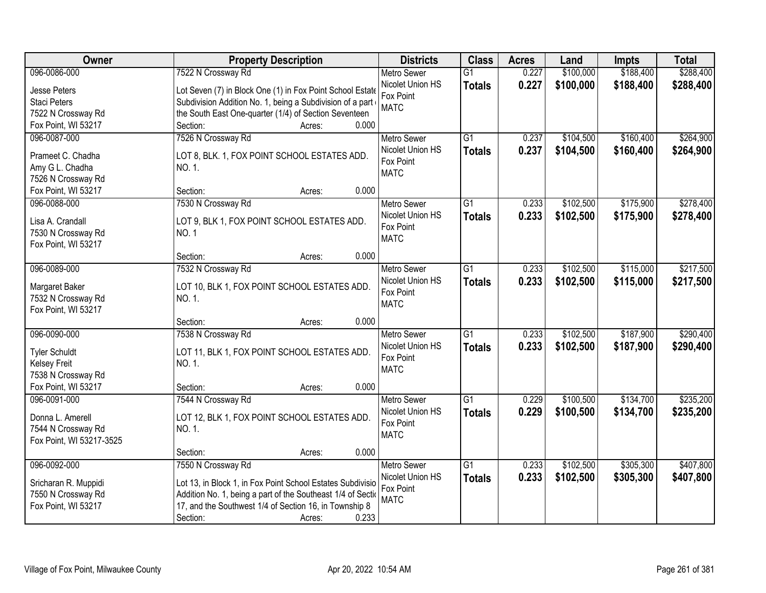| Owner                    | <b>Property Description</b>                                  | <b>Districts</b>              | <b>Class</b>    | <b>Acres</b> | Land      | Impts     | <b>Total</b> |
|--------------------------|--------------------------------------------------------------|-------------------------------|-----------------|--------------|-----------|-----------|--------------|
| 096-0086-000             | 7522 N Crossway Rd                                           | <b>Metro Sewer</b>            | $\overline{G1}$ | 0.227        | \$100,000 | \$188,400 | \$288,400    |
| Jesse Peters             | Lot Seven (7) in Block One (1) in Fox Point School Estate    | Nicolet Union HS              | <b>Totals</b>   | 0.227        | \$100,000 | \$188,400 | \$288,400    |
| <b>Staci Peters</b>      | Subdivision Addition No. 1, being a Subdivision of a part    | Fox Point                     |                 |              |           |           |              |
| 7522 N Crossway Rd       | the South East One-quarter (1/4) of Section Seventeen        | <b>MATC</b>                   |                 |              |           |           |              |
| Fox Point, WI 53217      | 0.000<br>Section:<br>Acres:                                  |                               |                 |              |           |           |              |
| 096-0087-000             | 7526 N Crossway Rd                                           | <b>Metro Sewer</b>            | $\overline{G1}$ | 0.237        | \$104,500 | \$160,400 | \$264,900    |
|                          |                                                              | Nicolet Union HS              | <b>Totals</b>   | 0.237        | \$104,500 | \$160,400 | \$264,900    |
| Prameet C. Chadha        | LOT 8, BLK. 1, FOX POINT SCHOOL ESTATES ADD.                 | Fox Point                     |                 |              |           |           |              |
| Amy G L. Chadha          | NO. 1.                                                       | <b>MATC</b>                   |                 |              |           |           |              |
| 7526 N Crossway Rd       | 0.000<br>Section:                                            |                               |                 |              |           |           |              |
| Fox Point, WI 53217      | Acres:                                                       |                               | $\overline{G1}$ | 0.233        |           |           | \$278,400    |
| 096-0088-000             | 7530 N Crossway Rd                                           | <b>Metro Sewer</b>            |                 |              | \$102,500 | \$175,900 |              |
| Lisa A. Crandall         | LOT 9, BLK 1, FOX POINT SCHOOL ESTATES ADD.                  | Nicolet Union HS<br>Fox Point | <b>Totals</b>   | 0.233        | \$102,500 | \$175,900 | \$278,400    |
| 7530 N Crossway Rd       | <b>NO.1</b>                                                  | <b>MATC</b>                   |                 |              |           |           |              |
| Fox Point, WI 53217      |                                                              |                               |                 |              |           |           |              |
|                          | 0.000<br>Section:<br>Acres:                                  |                               |                 |              |           |           |              |
| 096-0089-000             | 7532 N Crossway Rd                                           | <b>Metro Sewer</b>            | G1              | 0.233        | \$102,500 | \$115,000 | \$217,500    |
| Margaret Baker           | LOT 10, BLK 1, FOX POINT SCHOOL ESTATES ADD.                 | Nicolet Union HS              | <b>Totals</b>   | 0.233        | \$102,500 | \$115,000 | \$217,500    |
| 7532 N Crossway Rd       | NO. 1.                                                       | Fox Point                     |                 |              |           |           |              |
| Fox Point, WI 53217      |                                                              | <b>MATC</b>                   |                 |              |           |           |              |
|                          | 0.000<br>Section:<br>Acres:                                  |                               |                 |              |           |           |              |
| 096-0090-000             | 7538 N Crossway Rd                                           | <b>Metro Sewer</b>            | $\overline{G1}$ | 0.233        | \$102,500 | \$187,900 | \$290,400    |
|                          |                                                              | Nicolet Union HS              | <b>Totals</b>   | 0.233        | \$102,500 | \$187,900 | \$290,400    |
| <b>Tyler Schuldt</b>     | LOT 11, BLK 1, FOX POINT SCHOOL ESTATES ADD.                 | Fox Point                     |                 |              |           |           |              |
| <b>Kelsey Freit</b>      | NO. 1.                                                       | <b>MATC</b>                   |                 |              |           |           |              |
| 7538 N Crossway Rd       |                                                              |                               |                 |              |           |           |              |
| Fox Point, WI 53217      | 0.000<br>Section:<br>Acres:                                  |                               |                 |              |           |           |              |
| 096-0091-000             | 7544 N Crossway Rd                                           | Metro Sewer                   | G1              | 0.229        | \$100,500 | \$134,700 | \$235,200    |
| Donna L. Amerell         | LOT 12, BLK 1, FOX POINT SCHOOL ESTATES ADD.                 | Nicolet Union HS              | <b>Totals</b>   | 0.229        | \$100,500 | \$134,700 | \$235,200    |
| 7544 N Crossway Rd       | NO. 1.                                                       | Fox Point                     |                 |              |           |           |              |
| Fox Point, WI 53217-3525 |                                                              | <b>MATC</b>                   |                 |              |           |           |              |
|                          | 0.000<br>Section:<br>Acres:                                  |                               |                 |              |           |           |              |
| 096-0092-000             | 7550 N Crossway Rd                                           | <b>Metro Sewer</b>            | $\overline{G1}$ | 0.233        | \$102,500 | \$305,300 | \$407,800    |
|                          |                                                              | Nicolet Union HS              | <b>Totals</b>   | 0.233        | \$102,500 | \$305,300 | \$407,800    |
| Sricharan R. Muppidi     | Lot 13, in Block 1, in Fox Point School Estates Subdivisio   | Fox Point                     |                 |              |           |           |              |
| 7550 N Crossway Rd       | Addition No. 1, being a part of the Southeast 1/4 of Section | <b>MATC</b>                   |                 |              |           |           |              |
| Fox Point, WI 53217      | 17, and the Southwest 1/4 of Section 16, in Township 8       |                               |                 |              |           |           |              |
|                          | 0.233<br>Section:<br>Acres:                                  |                               |                 |              |           |           |              |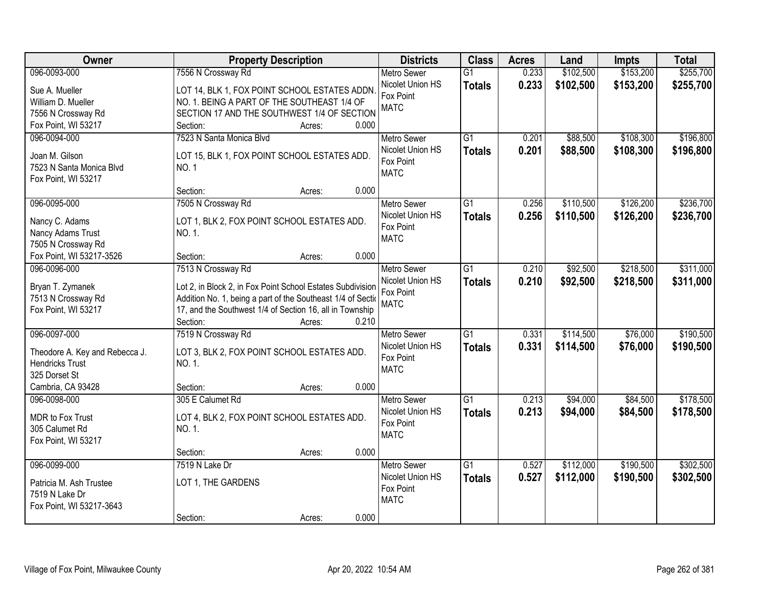| Owner                                   | <b>Property Description</b>                                                                                                |        |       | <b>Districts</b>   | <b>Class</b>    | <b>Acres</b> | Land      | Impts     | <b>Total</b> |
|-----------------------------------------|----------------------------------------------------------------------------------------------------------------------------|--------|-------|--------------------|-----------------|--------------|-----------|-----------|--------------|
| 096-0093-000                            | 7556 N Crossway Rd                                                                                                         |        |       | <b>Metro Sewer</b> | $\overline{G1}$ | 0.233        | \$102,500 | \$153,200 | \$255,700    |
| Sue A. Mueller                          | LOT 14, BLK 1, FOX POINT SCHOOL ESTATES ADDN.                                                                              |        |       | Nicolet Union HS   | <b>Totals</b>   | 0.233        | \$102,500 | \$153,200 | \$255,700    |
| William D. Mueller                      | NO. 1. BEING A PART OF THE SOUTHEAST 1/4 OF                                                                                |        |       | Fox Point          |                 |              |           |           |              |
| 7556 N Crossway Rd                      | SECTION 17 AND THE SOUTHWEST 1/4 OF SECTION                                                                                |        |       | <b>MATC</b>        |                 |              |           |           |              |
| Fox Point, WI 53217                     | Section:                                                                                                                   | Acres: | 0.000 |                    |                 |              |           |           |              |
| 096-0094-000                            | 7523 N Santa Monica Blvd                                                                                                   |        |       | <b>Metro Sewer</b> | $\overline{G1}$ | 0.201        | \$88,500  | \$108,300 | \$196,800    |
| Joan M. Gilson                          | LOT 15, BLK 1, FOX POINT SCHOOL ESTATES ADD.                                                                               |        |       | Nicolet Union HS   | <b>Totals</b>   | 0.201        | \$88,500  | \$108,300 | \$196,800    |
| 7523 N Santa Monica Blvd                | <b>NO.1</b>                                                                                                                |        |       | Fox Point          |                 |              |           |           |              |
| Fox Point, WI 53217                     |                                                                                                                            |        |       | <b>MATC</b>        |                 |              |           |           |              |
|                                         | Section:                                                                                                                   | Acres: | 0.000 |                    |                 |              |           |           |              |
| 096-0095-000                            | 7505 N Crossway Rd                                                                                                         |        |       | Metro Sewer        | G1              | 0.256        | \$110,500 | \$126,200 | \$236,700    |
| Nancy C. Adams                          | LOT 1, BLK 2, FOX POINT SCHOOL ESTATES ADD.                                                                                |        |       | Nicolet Union HS   | <b>Totals</b>   | 0.256        | \$110,500 | \$126,200 | \$236,700    |
| Nancy Adams Trust                       | NO. 1.                                                                                                                     |        |       | Fox Point          |                 |              |           |           |              |
| 7505 N Crossway Rd                      |                                                                                                                            |        |       | <b>MATC</b>        |                 |              |           |           |              |
| Fox Point, WI 53217-3526                | Section:                                                                                                                   | Acres: | 0.000 |                    |                 |              |           |           |              |
| 096-0096-000                            | 7513 N Crossway Rd                                                                                                         |        |       | <b>Metro Sewer</b> | G1              | 0.210        | \$92,500  | \$218,500 | \$311,000    |
|                                         |                                                                                                                            |        |       | Nicolet Union HS   | <b>Totals</b>   | 0.210        | \$92,500  | \$218,500 | \$311,000    |
| Bryan T. Zymanek<br>7513 N Crossway Rd  | Lot 2, in Block 2, in Fox Point School Estates Subdivision<br>Addition No. 1, being a part of the Southeast 1/4 of Section |        |       | Fox Point          |                 |              |           |           |              |
| Fox Point, WI 53217                     | 17, and the Southwest 1/4 of Section 16, all in Township                                                                   |        |       | <b>MATC</b>        |                 |              |           |           |              |
|                                         | Section:                                                                                                                   | Acres: | 0.210 |                    |                 |              |           |           |              |
| 096-0097-000                            | 7519 N Crossway Rd                                                                                                         |        |       | <b>Metro Sewer</b> | $\overline{G1}$ | 0.331        | \$114,500 | \$76,000  | \$190,500    |
|                                         |                                                                                                                            |        |       | Nicolet Union HS   | <b>Totals</b>   | 0.331        | \$114,500 | \$76,000  | \$190,500    |
| Theodore A. Key and Rebecca J.          | LOT 3, BLK 2, FOX POINT SCHOOL ESTATES ADD.                                                                                |        |       | Fox Point          |                 |              |           |           |              |
| <b>Hendricks Trust</b><br>325 Dorset St | NO. 1.                                                                                                                     |        |       | <b>MATC</b>        |                 |              |           |           |              |
| Cambria, CA 93428                       | Section:                                                                                                                   | Acres: | 0.000 |                    |                 |              |           |           |              |
| 096-0098-000                            | 305 E Calumet Rd                                                                                                           |        |       | <b>Metro Sewer</b> | $\overline{G1}$ | 0.213        | \$94,000  | \$84,500  | \$178,500    |
|                                         |                                                                                                                            |        |       | Nicolet Union HS   | <b>Totals</b>   | 0.213        | \$94,000  | \$84,500  | \$178,500    |
| MDR to Fox Trust                        | LOT 4, BLK 2, FOX POINT SCHOOL ESTATES ADD.                                                                                |        |       | Fox Point          |                 |              |           |           |              |
| 305 Calumet Rd                          | NO. 1.                                                                                                                     |        |       | <b>MATC</b>        |                 |              |           |           |              |
| Fox Point, WI 53217                     |                                                                                                                            |        | 0.000 |                    |                 |              |           |           |              |
| 096-0099-000                            | Section:<br>7519 N Lake Dr                                                                                                 | Acres: |       | <b>Metro Sewer</b> | $\overline{G1}$ | 0.527        | \$112,000 | \$190,500 | \$302,500    |
|                                         |                                                                                                                            |        |       | Nicolet Union HS   | <b>Totals</b>   | 0.527        | \$112,000 | \$190,500 | \$302,500    |
| Patricia M. Ash Trustee                 | LOT 1, THE GARDENS                                                                                                         |        |       | Fox Point          |                 |              |           |           |              |
| 7519 N Lake Dr                          |                                                                                                                            |        |       | <b>MATC</b>        |                 |              |           |           |              |
| Fox Point, WI 53217-3643                |                                                                                                                            |        |       |                    |                 |              |           |           |              |
|                                         | Section:                                                                                                                   | Acres: | 0.000 |                    |                 |              |           |           |              |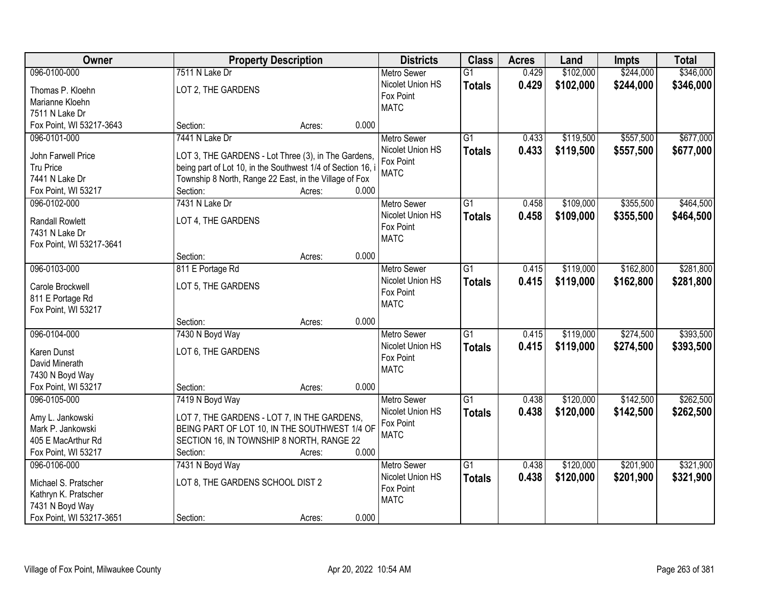| Owner                    |                                                             | <b>Property Description</b> |       | <b>Districts</b>   | <b>Class</b>    | <b>Acres</b> | Land      | <b>Impts</b> | <b>Total</b> |
|--------------------------|-------------------------------------------------------------|-----------------------------|-------|--------------------|-----------------|--------------|-----------|--------------|--------------|
| 096-0100-000             | 7511 N Lake Dr                                              |                             |       | <b>Metro Sewer</b> | $\overline{G1}$ | 0.429        | \$102,000 | \$244,000    | \$346,000    |
| Thomas P. Kloehn         | LOT 2, THE GARDENS                                          |                             |       | Nicolet Union HS   | <b>Totals</b>   | 0.429        | \$102,000 | \$244,000    | \$346,000    |
| Marianne Kloehn          |                                                             |                             |       | Fox Point          |                 |              |           |              |              |
| 7511 N Lake Dr           |                                                             |                             |       | <b>MATC</b>        |                 |              |           |              |              |
| Fox Point, WI 53217-3643 | Section:                                                    | Acres:                      | 0.000 |                    |                 |              |           |              |              |
| 096-0101-000             | 7441 N Lake Dr                                              |                             |       | <b>Metro Sewer</b> | $\overline{G1}$ | 0.433        | \$119,500 | \$557,500    | \$677,000    |
|                          |                                                             |                             |       | Nicolet Union HS   | <b>Totals</b>   | 0.433        | \$119,500 | \$557,500    | \$677,000    |
| John Farwell Price       | LOT 3, THE GARDENS - Lot Three (3), in The Gardens,         |                             |       | Fox Point          |                 |              |           |              |              |
| Tru Price                | being part of Lot 10, in the Southwest 1/4 of Section 16, i |                             |       | <b>MATC</b>        |                 |              |           |              |              |
| 7441 N Lake Dr           | Township 8 North, Range 22 East, in the Village of Fox      |                             |       |                    |                 |              |           |              |              |
| Fox Point, WI 53217      | Section:                                                    | Acres:                      | 0.000 |                    |                 |              |           |              |              |
| 096-0102-000             | 7431 N Lake Dr                                              |                             |       | <b>Metro Sewer</b> | G1              | 0.458        | \$109,000 | \$355,500    | \$464,500    |
| <b>Randall Rowlett</b>   | LOT 4, THE GARDENS                                          |                             |       | Nicolet Union HS   | <b>Totals</b>   | 0.458        | \$109,000 | \$355,500    | \$464,500    |
| 7431 N Lake Dr           |                                                             |                             |       | Fox Point          |                 |              |           |              |              |
| Fox Point, WI 53217-3641 |                                                             |                             |       | <b>MATC</b>        |                 |              |           |              |              |
|                          | Section:                                                    | Acres:                      | 0.000 |                    |                 |              |           |              |              |
| 096-0103-000             | 811 E Portage Rd                                            |                             |       | <b>Metro Sewer</b> | G1              | 0.415        | \$119,000 | \$162,800    | \$281,800    |
|                          |                                                             |                             |       | Nicolet Union HS   | <b>Totals</b>   | 0.415        | \$119,000 | \$162,800    | \$281,800    |
| Carole Brockwell         | LOT 5, THE GARDENS                                          |                             |       | Fox Point          |                 |              |           |              |              |
| 811 E Portage Rd         |                                                             |                             |       | <b>MATC</b>        |                 |              |           |              |              |
| Fox Point, WI 53217      |                                                             |                             |       |                    |                 |              |           |              |              |
|                          | Section:                                                    | Acres:                      | 0.000 |                    |                 |              |           |              |              |
| 096-0104-000             | 7430 N Boyd Way                                             |                             |       | <b>Metro Sewer</b> | $\overline{G1}$ | 0.415        | \$119,000 | \$274,500    | \$393,500    |
| Karen Dunst              | LOT 6, THE GARDENS                                          |                             |       | Nicolet Union HS   | <b>Totals</b>   | 0.415        | \$119,000 | \$274,500    | \$393,500    |
| David Minerath           |                                                             |                             |       | Fox Point          |                 |              |           |              |              |
| 7430 N Boyd Way          |                                                             |                             |       | <b>MATC</b>        |                 |              |           |              |              |
| Fox Point, WI 53217      | Section:                                                    | Acres:                      | 0.000 |                    |                 |              |           |              |              |
| 096-0105-000             | 7419 N Boyd Way                                             |                             |       | Metro Sewer        | G1              | 0.438        | \$120,000 | \$142,500    | \$262,500    |
|                          |                                                             |                             |       | Nicolet Union HS   | <b>Totals</b>   | 0.438        | \$120,000 | \$142,500    | \$262,500    |
| Amy L. Jankowski         | LOT 7, THE GARDENS - LOT 7, IN THE GARDENS,                 |                             |       | Fox Point          |                 |              |           |              |              |
| Mark P. Jankowski        | BEING PART OF LOT 10, IN THE SOUTHWEST 1/4 OF               |                             |       | <b>MATC</b>        |                 |              |           |              |              |
| 405 E MacArthur Rd       | SECTION 16, IN TOWNSHIP 8 NORTH, RANGE 22                   |                             |       |                    |                 |              |           |              |              |
| Fox Point, WI 53217      | Section:                                                    | Acres:                      | 0.000 |                    |                 |              |           |              |              |
| 096-0106-000             | 7431 N Boyd Way                                             |                             |       | <b>Metro Sewer</b> | $\overline{G1}$ | 0.438        | \$120,000 | \$201,900    | \$321,900    |
| Michael S. Pratscher     | LOT 8, THE GARDENS SCHOOL DIST 2                            |                             |       | Nicolet Union HS   | <b>Totals</b>   | 0.438        | \$120,000 | \$201,900    | \$321,900    |
| Kathryn K. Pratscher     |                                                             |                             |       | Fox Point          |                 |              |           |              |              |
| 7431 N Boyd Way          |                                                             |                             |       | <b>MATC</b>        |                 |              |           |              |              |
| Fox Point, WI 53217-3651 | Section:                                                    | Acres:                      | 0.000 |                    |                 |              |           |              |              |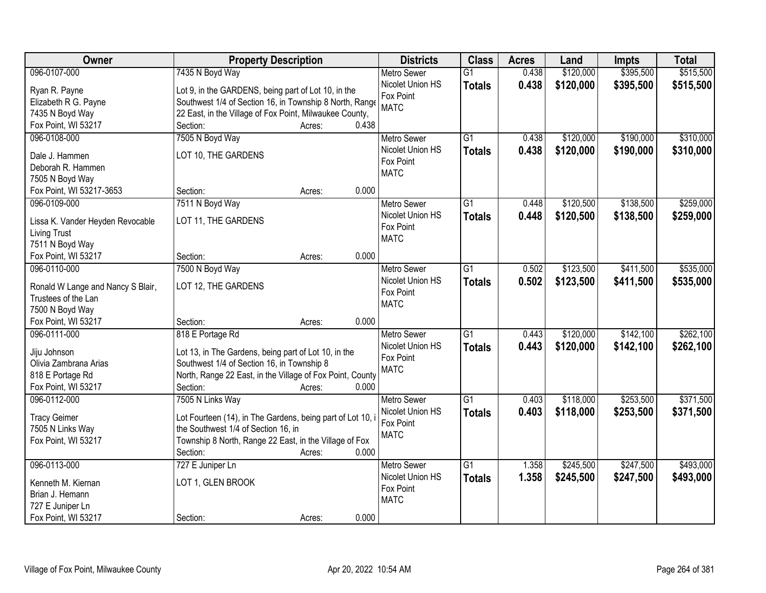| Owner                                                    | <b>Property Description</b>                                | <b>Districts</b>         | <b>Class</b>    | <b>Acres</b> | Land      | Impts     | <b>Total</b> |
|----------------------------------------------------------|------------------------------------------------------------|--------------------------|-----------------|--------------|-----------|-----------|--------------|
| 096-0107-000                                             | 7435 N Boyd Way                                            | <b>Metro Sewer</b>       | $\overline{G1}$ | 0.438        | \$120,000 | \$395,500 | \$515,500    |
| Ryan R. Payne                                            | Lot 9, in the GARDENS, being part of Lot 10, in the        | Nicolet Union HS         | <b>Totals</b>   | 0.438        | \$120,000 | \$395,500 | \$515,500    |
| Elizabeth R G. Payne                                     | Southwest 1/4 of Section 16, in Township 8 North, Range    | Fox Point                |                 |              |           |           |              |
| 7435 N Boyd Way                                          | 22 East, in the Village of Fox Point, Milwaukee County,    | <b>MATC</b>              |                 |              |           |           |              |
| Fox Point, WI 53217                                      | 0.438<br>Section:<br>Acres:                                |                          |                 |              |           |           |              |
| 096-0108-000                                             | 7505 N Boyd Way                                            | <b>Metro Sewer</b>       | $\overline{G1}$ | 0.438        | \$120,000 | \$190,000 | \$310,000    |
|                                                          |                                                            | Nicolet Union HS         | <b>Totals</b>   | 0.438        | \$120,000 | \$190,000 | \$310,000    |
| Dale J. Hammen                                           | LOT 10, THE GARDENS                                        | Fox Point                |                 |              |           |           |              |
| Deborah R. Hammen                                        |                                                            | <b>MATC</b>              |                 |              |           |           |              |
| 7505 N Boyd Way                                          |                                                            |                          |                 |              |           |           |              |
| Fox Point, WI 53217-3653                                 | 0.000<br>Section:<br>Acres:                                |                          |                 |              |           |           |              |
| 096-0109-000                                             | 7511 N Boyd Way                                            | <b>Metro Sewer</b>       | G1              | 0.448        | \$120,500 | \$138,500 | \$259,000    |
| Lissa K. Vander Heyden Revocable                         | LOT 11, THE GARDENS                                        | Nicolet Union HS         | <b>Totals</b>   | 0.448        | \$120,500 | \$138,500 | \$259,000    |
| <b>Living Trust</b>                                      |                                                            | Fox Point<br><b>MATC</b> |                 |              |           |           |              |
| 7511 N Boyd Way                                          |                                                            |                          |                 |              |           |           |              |
| Fox Point, WI 53217                                      | Section:<br>0.000<br>Acres:                                |                          |                 |              |           |           |              |
| 096-0110-000                                             | 7500 N Boyd Way                                            | <b>Metro Sewer</b>       | G1              | 0.502        | \$123,500 | \$411,500 | \$535,000    |
|                                                          | LOT 12, THE GARDENS                                        | Nicolet Union HS         | <b>Totals</b>   | 0.502        | \$123,500 | \$411,500 | \$535,000    |
| Ronald W Lange and Nancy S Blair,<br>Trustees of the Lan |                                                            | Fox Point                |                 |              |           |           |              |
| 7500 N Boyd Way                                          |                                                            | <b>MATC</b>              |                 |              |           |           |              |
| Fox Point, WI 53217                                      | 0.000<br>Section:<br>Acres:                                |                          |                 |              |           |           |              |
| 096-0111-000                                             | 818 E Portage Rd                                           | <b>Metro Sewer</b>       | $\overline{G1}$ | 0.443        | \$120,000 | \$142,100 | \$262,100    |
|                                                          |                                                            | Nicolet Union HS         |                 | 0.443        | \$120,000 | \$142,100 | \$262,100    |
| Jiju Johnson                                             | Lot 13, in The Gardens, being part of Lot 10, in the       | Fox Point                | <b>Totals</b>   |              |           |           |              |
| Olivia Zambrana Arias                                    | Southwest 1/4 of Section 16, in Township 8                 | <b>MATC</b>              |                 |              |           |           |              |
| 818 E Portage Rd                                         | North, Range 22 East, in the Village of Fox Point, County  |                          |                 |              |           |           |              |
| Fox Point, WI 53217                                      | 0.000<br>Section:<br>Acres:                                |                          |                 |              |           |           |              |
| 096-0112-000                                             | 7505 N Links Way                                           | <b>Metro Sewer</b>       | $\overline{G1}$ | 0.403        | \$118,000 | \$253,500 | \$371,500    |
| <b>Tracy Geimer</b>                                      | Lot Fourteen (14), in The Gardens, being part of Lot 10, i | Nicolet Union HS         | <b>Totals</b>   | 0.403        | \$118,000 | \$253,500 | \$371,500    |
| 7505 N Links Way                                         | the Southwest 1/4 of Section 16, in                        | Fox Point                |                 |              |           |           |              |
| Fox Point, WI 53217                                      | Township 8 North, Range 22 East, in the Village of Fox     | <b>MATC</b>              |                 |              |           |           |              |
|                                                          | 0.000<br>Section:<br>Acres:                                |                          |                 |              |           |           |              |
| 096-0113-000                                             | 727 E Juniper Ln                                           | <b>Metro Sewer</b>       | $\overline{G1}$ | 1.358        | \$245,500 | \$247,500 | \$493,000    |
|                                                          |                                                            | Nicolet Union HS         | <b>Totals</b>   | 1.358        | \$245,500 | \$247,500 | \$493,000    |
| Kenneth M. Kiernan                                       | LOT 1, GLEN BROOK                                          | Fox Point                |                 |              |           |           |              |
| Brian J. Hemann                                          |                                                            | <b>MATC</b>              |                 |              |           |           |              |
| 727 E Juniper Ln                                         |                                                            |                          |                 |              |           |           |              |
| Fox Point, WI 53217                                      | 0.000<br>Section:<br>Acres:                                |                          |                 |              |           |           |              |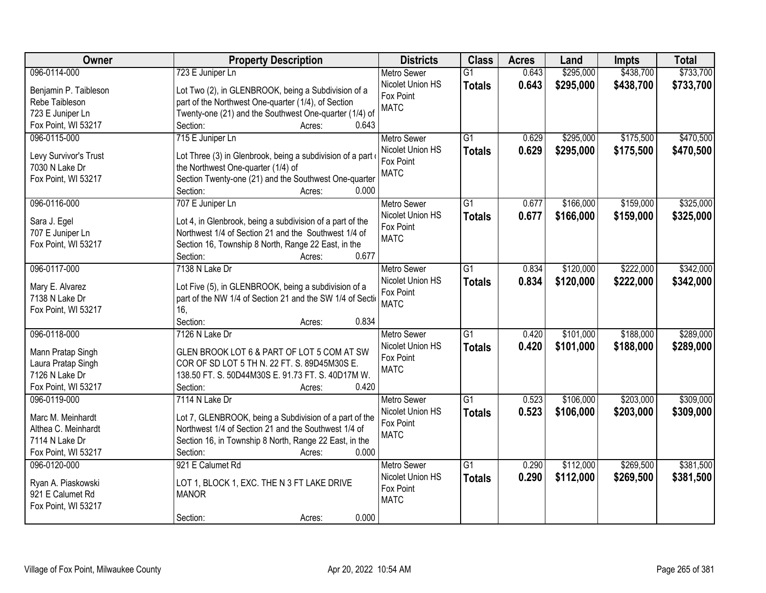| Owner                 | <b>Property Description</b>                                | <b>Districts</b>   | <b>Class</b>    | <b>Acres</b> | Land      | Impts     | <b>Total</b> |
|-----------------------|------------------------------------------------------------|--------------------|-----------------|--------------|-----------|-----------|--------------|
| 096-0114-000          | 723 E Juniper Ln                                           | <b>Metro Sewer</b> | $\overline{G1}$ | 0.643        | \$295,000 | \$438,700 | \$733,700    |
| Benjamin P. Taibleson | Lot Two (2), in GLENBROOK, being a Subdivision of a        | Nicolet Union HS   | <b>Totals</b>   | 0.643        | \$295,000 | \$438,700 | \$733,700    |
| Rebe Taibleson        | part of the Northwest One-quarter (1/4), of Section        | Fox Point          |                 |              |           |           |              |
| 723 E Juniper Ln      | Twenty-one (21) and the Southwest One-quarter (1/4) of     | <b>MATC</b>        |                 |              |           |           |              |
| Fox Point, WI 53217   | 0.643<br>Section:<br>Acres:                                |                    |                 |              |           |           |              |
| 096-0115-000          | 715 E Juniper Ln                                           | <b>Metro Sewer</b> | $\overline{G1}$ | 0.629        | \$295,000 | \$175,500 | \$470,500    |
|                       |                                                            | Nicolet Union HS   | <b>Totals</b>   | 0.629        | \$295,000 | \$175,500 | \$470,500    |
| Levy Survivor's Trust | Lot Three (3) in Glenbrook, being a subdivision of a part  | Fox Point          |                 |              |           |           |              |
| 7030 N Lake Dr        | the Northwest One-quarter (1/4) of                         | <b>MATC</b>        |                 |              |           |           |              |
| Fox Point, WI 53217   | Section Twenty-one (21) and the Southwest One-quarter      |                    |                 |              |           |           |              |
|                       | 0.000<br>Section:<br>Acres:                                |                    |                 |              |           |           |              |
| 096-0116-000          | 707 E Juniper Ln                                           | <b>Metro Sewer</b> | G1              | 0.677        | \$166,000 | \$159,000 | \$325,000    |
| Sara J. Egel          | Lot 4, in Glenbrook, being a subdivision of a part of the  | Nicolet Union HS   | <b>Totals</b>   | 0.677        | \$166,000 | \$159,000 | \$325,000    |
| 707 E Juniper Ln      | Northwest 1/4 of Section 21 and the Southwest 1/4 of       | Fox Point          |                 |              |           |           |              |
| Fox Point, WI 53217   | Section 16, Township 8 North, Range 22 East, in the        | <b>MATC</b>        |                 |              |           |           |              |
|                       | 0.677<br>Section:<br>Acres:                                |                    |                 |              |           |           |              |
| 096-0117-000          | 7138 N Lake Dr                                             | <b>Metro Sewer</b> | G1              | 0.834        | \$120,000 | \$222,000 | \$342,000    |
|                       |                                                            | Nicolet Union HS   | <b>Totals</b>   | 0.834        | \$120,000 | \$222,000 | \$342,000    |
| Mary E. Alvarez       | Lot Five (5), in GLENBROOK, being a subdivision of a       | Fox Point          |                 |              |           |           |              |
| 7138 N Lake Dr        | part of the NW 1/4 of Section 21 and the SW 1/4 of Section | <b>MATC</b>        |                 |              |           |           |              |
| Fox Point, WI 53217   | 16.                                                        |                    |                 |              |           |           |              |
|                       | 0.834<br>Section:<br>Acres:                                |                    |                 |              |           |           |              |
| 096-0118-000          | 7126 N Lake Dr                                             | <b>Metro Sewer</b> | $\overline{G1}$ | 0.420        | \$101,000 | \$188,000 | \$289,000    |
| Mann Pratap Singh     | GLEN BROOK LOT 6 & PART OF LOT 5 COM AT SW                 | Nicolet Union HS   | <b>Totals</b>   | 0.420        | \$101,000 | \$188,000 | \$289,000    |
| Laura Pratap Singh    | COR OF SD LOT 5 TH N. 22 FT. S. 89D45M30S E.               | Fox Point          |                 |              |           |           |              |
| 7126 N Lake Dr        | 138.50 FT. S. 50D44M30S E. 91.73 FT. S. 40D17M W.          | <b>MATC</b>        |                 |              |           |           |              |
| Fox Point, WI 53217   | Section:<br>0.420<br>Acres:                                |                    |                 |              |           |           |              |
| 096-0119-000          | 7114 N Lake Dr                                             | Metro Sewer        | $\overline{G1}$ | 0.523        | \$106,000 | \$203,000 | \$309,000    |
|                       |                                                            | Nicolet Union HS   | <b>Totals</b>   | 0.523        | \$106,000 | \$203,000 | \$309,000    |
| Marc M. Meinhardt     | Lot 7, GLENBROOK, being a Subdivision of a part of the     | Fox Point          |                 |              |           |           |              |
| Althea C. Meinhardt   | Northwest 1/4 of Section 21 and the Southwest 1/4 of       | <b>MATC</b>        |                 |              |           |           |              |
| 7114 N Lake Dr        | Section 16, in Township 8 North, Range 22 East, in the     |                    |                 |              |           |           |              |
| Fox Point, WI 53217   | 0.000<br>Section:<br>Acres:                                |                    |                 |              |           |           |              |
| 096-0120-000          | 921 E Calumet Rd                                           | <b>Metro Sewer</b> | $\overline{G1}$ | 0.290        | \$112,000 | \$269,500 | \$381,500    |
| Ryan A. Piaskowski    | LOT 1, BLOCK 1, EXC. THE N 3 FT LAKE DRIVE                 | Nicolet Union HS   | <b>Totals</b>   | 0.290        | \$112,000 | \$269,500 | \$381,500    |
| 921 E Calumet Rd      | <b>MANOR</b>                                               | Fox Point          |                 |              |           |           |              |
| Fox Point, WI 53217   |                                                            | <b>MATC</b>        |                 |              |           |           |              |
|                       | 0.000<br>Section:<br>Acres:                                |                    |                 |              |           |           |              |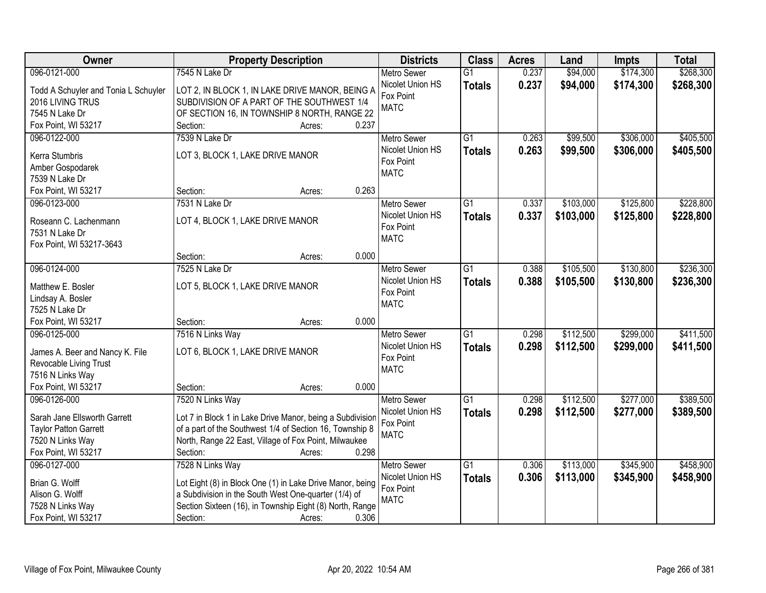| Owner                                | <b>Property Description</b>                               | <b>Districts</b>         | <b>Class</b>    | <b>Acres</b> | Land      | <b>Impts</b> | <b>Total</b> |
|--------------------------------------|-----------------------------------------------------------|--------------------------|-----------------|--------------|-----------|--------------|--------------|
| 096-0121-000                         | 7545 N Lake Dr                                            | <b>Metro Sewer</b>       | $\overline{G1}$ | 0.237        | \$94,000  | \$174,300    | \$268,300    |
| Todd A Schuyler and Tonia L Schuyler | LOT 2, IN BLOCK 1, IN LAKE DRIVE MANOR, BEING A           | Nicolet Union HS         | <b>Totals</b>   | 0.237        | \$94,000  | \$174,300    | \$268,300    |
| 2016 LIVING TRUS                     | SUBDIVISION OF A PART OF THE SOUTHWEST 1/4                | Fox Point                |                 |              |           |              |              |
| 7545 N Lake Dr                       | OF SECTION 16, IN TOWNSHIP 8 NORTH, RANGE 22              | <b>MATC</b>              |                 |              |           |              |              |
| Fox Point, WI 53217                  | 0.237<br>Section:<br>Acres:                               |                          |                 |              |           |              |              |
| 096-0122-000                         | 7539 N Lake Dr                                            | <b>Metro Sewer</b>       | $\overline{G1}$ | 0.263        | \$99,500  | \$306,000    | \$405,500    |
|                                      |                                                           | Nicolet Union HS         | <b>Totals</b>   | 0.263        | \$99,500  | \$306,000    | \$405,500    |
| Kerra Stumbris                       | LOT 3, BLOCK 1, LAKE DRIVE MANOR                          | Fox Point                |                 |              |           |              |              |
| Amber Gospodarek                     |                                                           | <b>MATC</b>              |                 |              |           |              |              |
| 7539 N Lake Dr                       | 0.263                                                     |                          |                 |              |           |              |              |
| Fox Point, WI 53217                  | Section:<br>Acres:                                        |                          |                 |              |           |              |              |
| 096-0123-000                         | 7531 N Lake Dr                                            | <b>Metro Sewer</b>       | $\overline{G1}$ | 0.337        | \$103,000 | \$125,800    | \$228,800    |
| Roseann C. Lachenmann                | LOT 4, BLOCK 1, LAKE DRIVE MANOR                          | Nicolet Union HS         | <b>Totals</b>   | 0.337        | \$103,000 | \$125,800    | \$228,800    |
| 7531 N Lake Dr                       |                                                           | Fox Point<br><b>MATC</b> |                 |              |           |              |              |
| Fox Point, WI 53217-3643             |                                                           |                          |                 |              |           |              |              |
|                                      | 0.000<br>Section:<br>Acres:                               |                          |                 |              |           |              |              |
| 096-0124-000                         | 7525 N Lake Dr                                            | <b>Metro Sewer</b>       | $\overline{G1}$ | 0.388        | \$105,500 | \$130,800    | \$236,300    |
| Matthew E. Bosler                    | LOT 5, BLOCK 1, LAKE DRIVE MANOR                          | Nicolet Union HS         | <b>Totals</b>   | 0.388        | \$105,500 | \$130,800    | \$236,300    |
| Lindsay A. Bosler                    |                                                           | Fox Point                |                 |              |           |              |              |
| 7525 N Lake Dr                       |                                                           | <b>MATC</b>              |                 |              |           |              |              |
| Fox Point, WI 53217                  | 0.000<br>Section:<br>Acres:                               |                          |                 |              |           |              |              |
| 096-0125-000                         | 7516 N Links Way                                          | Metro Sewer              | $\overline{G1}$ | 0.298        | \$112,500 | \$299,000    | \$411,500    |
|                                      |                                                           | Nicolet Union HS         | <b>Totals</b>   | 0.298        | \$112,500 | \$299,000    | \$411,500    |
| James A. Beer and Nancy K. File      | LOT 6, BLOCK 1, LAKE DRIVE MANOR                          | Fox Point                |                 |              |           |              |              |
| Revocable Living Trust               |                                                           | <b>MATC</b>              |                 |              |           |              |              |
| 7516 N Links Way                     |                                                           |                          |                 |              |           |              |              |
| Fox Point, WI 53217                  | 0.000<br>Section:<br>Acres:                               |                          |                 |              |           |              |              |
| 096-0126-000                         | 7520 N Links Way                                          | Metro Sewer              | $\overline{G1}$ | 0.298        | \$112,500 | \$277,000    | \$389,500    |
| Sarah Jane Ellsworth Garrett         | Lot 7 in Block 1 in Lake Drive Manor, being a Subdivision | Nicolet Union HS         | <b>Totals</b>   | 0.298        | \$112,500 | \$277,000    | \$389,500    |
| <b>Taylor Patton Garrett</b>         | of a part of the Southwest 1/4 of Section 16, Township 8  | Fox Point                |                 |              |           |              |              |
| 7520 N Links Way                     | North, Range 22 East, Village of Fox Point, Milwaukee     | <b>MATC</b>              |                 |              |           |              |              |
| Fox Point, WI 53217                  | 0.298<br>Section:<br>Acres:                               |                          |                 |              |           |              |              |
| 096-0127-000                         | 7528 N Links Way                                          | <b>Metro Sewer</b>       | $\overline{G1}$ | 0.306        | \$113,000 | \$345,900    | \$458,900    |
|                                      |                                                           | Nicolet Union HS         | <b>Totals</b>   | 0.306        | \$113,000 | \$345,900    | \$458,900    |
| Brian G. Wolff                       | Lot Eight (8) in Block One (1) in Lake Drive Manor, being | Fox Point                |                 |              |           |              |              |
| Alison G. Wolff                      | a Subdivision in the South West One-quarter (1/4) of      | <b>MATC</b>              |                 |              |           |              |              |
| 7528 N Links Way                     | Section Sixteen (16), in Township Eight (8) North, Range  |                          |                 |              |           |              |              |
| Fox Point, WI 53217                  | 0.306<br>Section:<br>Acres:                               |                          |                 |              |           |              |              |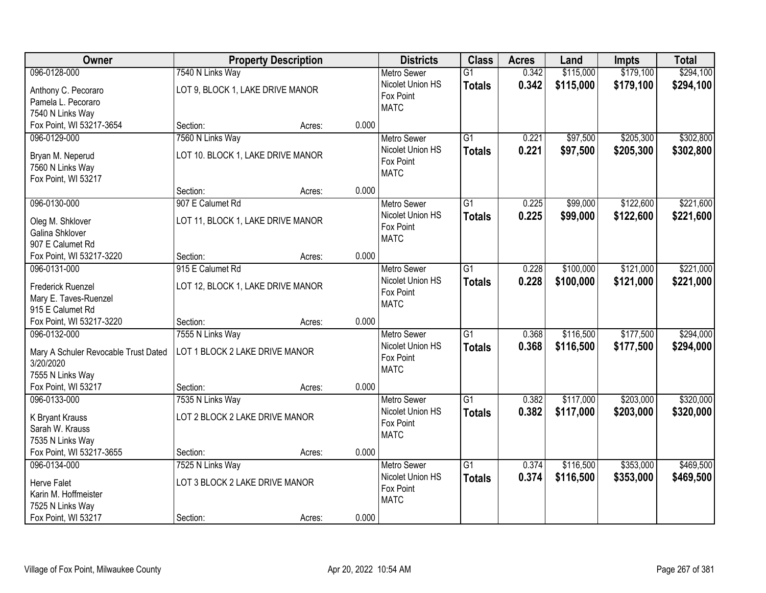| Owner                                |                                   | <b>Property Description</b> |       | <b>Districts</b>              | <b>Class</b>    | <b>Acres</b> | Land      | <b>Impts</b> | <b>Total</b> |
|--------------------------------------|-----------------------------------|-----------------------------|-------|-------------------------------|-----------------|--------------|-----------|--------------|--------------|
| 096-0128-000                         | 7540 N Links Way                  |                             |       | <b>Metro Sewer</b>            | $\overline{G1}$ | 0.342        | \$115,000 | \$179,100    | \$294,100    |
| Anthony C. Pecoraro                  | LOT 9, BLOCK 1, LAKE DRIVE MANOR  |                             |       | Nicolet Union HS              | <b>Totals</b>   | 0.342        | \$115,000 | \$179,100    | \$294,100    |
| Pamela L. Pecoraro                   |                                   |                             |       | Fox Point                     |                 |              |           |              |              |
| 7540 N Links Way                     |                                   |                             |       | <b>MATC</b>                   |                 |              |           |              |              |
| Fox Point, WI 53217-3654             | Section:                          | Acres:                      | 0.000 |                               |                 |              |           |              |              |
| 096-0129-000                         | 7560 N Links Way                  |                             |       | <b>Metro Sewer</b>            | $\overline{G1}$ | 0.221        | \$97,500  | \$205,300    | \$302,800    |
| Bryan M. Neperud                     | LOT 10. BLOCK 1, LAKE DRIVE MANOR |                             |       | Nicolet Union HS              | <b>Totals</b>   | 0.221        | \$97,500  | \$205,300    | \$302,800    |
| 7560 N Links Way                     |                                   |                             |       | Fox Point                     |                 |              |           |              |              |
| Fox Point, WI 53217                  |                                   |                             |       | <b>MATC</b>                   |                 |              |           |              |              |
|                                      | Section:                          | Acres:                      | 0.000 |                               |                 |              |           |              |              |
| 096-0130-000                         | 907 E Calumet Rd                  |                             |       | <b>Metro Sewer</b>            | $\overline{G1}$ | 0.225        | \$99,000  | \$122,600    | \$221,600    |
| Oleg M. Shklover                     | LOT 11, BLOCK 1, LAKE DRIVE MANOR |                             |       | Nicolet Union HS              | <b>Totals</b>   | 0.225        | \$99,000  | \$122,600    | \$221,600    |
| <b>Galina Shklover</b>               |                                   |                             |       | Fox Point                     |                 |              |           |              |              |
| 907 E Calumet Rd                     |                                   |                             |       | <b>MATC</b>                   |                 |              |           |              |              |
| Fox Point, WI 53217-3220             | Section:                          | Acres:                      | 0.000 |                               |                 |              |           |              |              |
| 096-0131-000                         | 915 E Calumet Rd                  |                             |       | <b>Metro Sewer</b>            | $\overline{G1}$ | 0.228        | \$100,000 | \$121,000    | \$221,000    |
|                                      |                                   |                             |       | Nicolet Union HS              | <b>Totals</b>   | 0.228        | \$100,000 | \$121,000    | \$221,000    |
| <b>Frederick Ruenzel</b>             | LOT 12, BLOCK 1, LAKE DRIVE MANOR |                             |       | Fox Point                     |                 |              |           |              |              |
| Mary E. Taves-Ruenzel                |                                   |                             |       | <b>MATC</b>                   |                 |              |           |              |              |
| 915 E Calumet Rd                     |                                   |                             |       |                               |                 |              |           |              |              |
| Fox Point, WI 53217-3220             | Section:                          | Acres:                      | 0.000 |                               | $\overline{G1}$ |              |           |              |              |
| 096-0132-000                         | 7555 N Links Way                  |                             |       | Metro Sewer                   |                 | 0.368        | \$116,500 | \$177,500    | \$294,000    |
| Mary A Schuler Revocable Trust Dated | LOT 1 BLOCK 2 LAKE DRIVE MANOR    |                             |       | Nicolet Union HS<br>Fox Point | <b>Totals</b>   | 0.368        | \$116,500 | \$177,500    | \$294,000    |
| 3/20/2020                            |                                   |                             |       | <b>MATC</b>                   |                 |              |           |              |              |
| 7555 N Links Way                     |                                   |                             |       |                               |                 |              |           |              |              |
| Fox Point, WI 53217                  | Section:                          | Acres:                      | 0.000 |                               |                 |              |           |              |              |
| 096-0133-000                         | 7535 N Links Way                  |                             |       | <b>Metro Sewer</b>            | $\overline{G1}$ | 0.382        | \$117,000 | \$203,000    | \$320,000    |
| K Bryant Krauss                      | LOT 2 BLOCK 2 LAKE DRIVE MANOR    |                             |       | Nicolet Union HS              | <b>Totals</b>   | 0.382        | \$117,000 | \$203,000    | \$320,000    |
| Sarah W. Krauss                      |                                   |                             |       | Fox Point                     |                 |              |           |              |              |
| 7535 N Links Way                     |                                   |                             |       | <b>MATC</b>                   |                 |              |           |              |              |
| Fox Point, WI 53217-3655             | Section:                          | Acres:                      | 0.000 |                               |                 |              |           |              |              |
| 096-0134-000                         | 7525 N Links Way                  |                             |       | <b>Metro Sewer</b>            | $\overline{G1}$ | 0.374        | \$116,500 | \$353,000    | \$469,500    |
| <b>Herve Falet</b>                   | LOT 3 BLOCK 2 LAKE DRIVE MANOR    |                             |       | Nicolet Union HS              | <b>Totals</b>   | 0.374        | \$116,500 | \$353,000    | \$469,500    |
| Karin M. Hoffmeister                 |                                   |                             |       | Fox Point                     |                 |              |           |              |              |
| 7525 N Links Way                     |                                   |                             |       | <b>MATC</b>                   |                 |              |           |              |              |
| Fox Point, WI 53217                  | Section:                          | Acres:                      | 0.000 |                               |                 |              |           |              |              |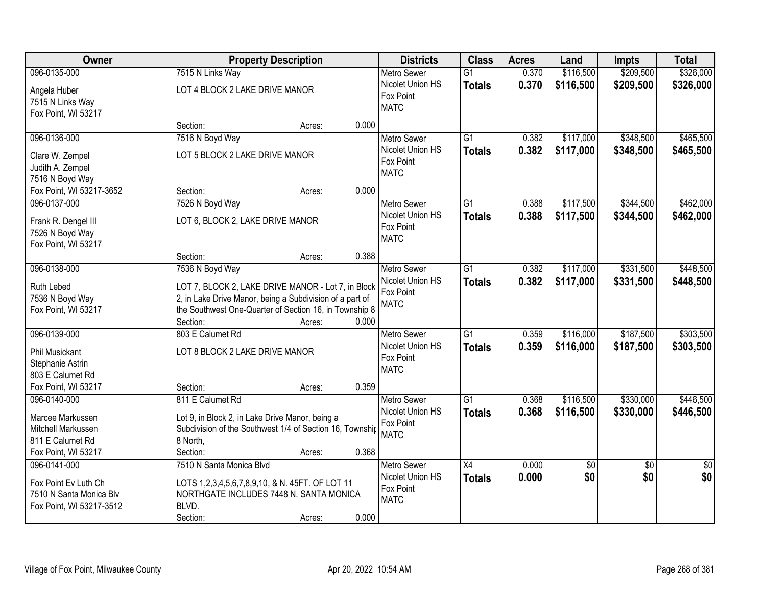| Owner                                                                                                | <b>Property Description</b>                                                                                                                                                                                       |       | <b>Districts</b>                                                   | <b>Class</b>                     | <b>Acres</b>   | Land                   | Impts                  | <b>Total</b>           |
|------------------------------------------------------------------------------------------------------|-------------------------------------------------------------------------------------------------------------------------------------------------------------------------------------------------------------------|-------|--------------------------------------------------------------------|----------------------------------|----------------|------------------------|------------------------|------------------------|
| 096-0135-000                                                                                         | 7515 N Links Way                                                                                                                                                                                                  |       | <b>Metro Sewer</b>                                                 | $\overline{G1}$                  | 0.370          | \$116,500              | \$209,500              | \$326,000              |
| Angela Huber<br>7515 N Links Way<br>Fox Point, WI 53217                                              | LOT 4 BLOCK 2 LAKE DRIVE MANOR                                                                                                                                                                                    |       | Nicolet Union HS<br>Fox Point<br><b>MATC</b>                       | <b>Totals</b>                    | 0.370          | \$116,500              | \$209,500              | \$326,000              |
|                                                                                                      | Section:<br>Acres:                                                                                                                                                                                                | 0.000 |                                                                    |                                  |                |                        |                        |                        |
| 096-0136-000<br>Clare W. Zempel<br>Judith A. Zempel<br>7516 N Boyd Way                               | 7516 N Boyd Way<br>LOT 5 BLOCK 2 LAKE DRIVE MANOR                                                                                                                                                                 |       | <b>Metro Sewer</b><br>Nicolet Union HS<br>Fox Point<br><b>MATC</b> | $\overline{G1}$<br><b>Totals</b> | 0.382<br>0.382 | \$117,000<br>\$117,000 | \$348,500<br>\$348,500 | \$465,500<br>\$465,500 |
| Fox Point, WI 53217-3652                                                                             | Section:<br>Acres:                                                                                                                                                                                                | 0.000 |                                                                    |                                  |                |                        |                        |                        |
| 096-0137-000<br>Frank R. Dengel III<br>7526 N Boyd Way<br>Fox Point, WI 53217                        | 7526 N Boyd Way<br>LOT 6, BLOCK 2, LAKE DRIVE MANOR                                                                                                                                                               |       | <b>Metro Sewer</b><br>Nicolet Union HS<br>Fox Point<br><b>MATC</b> | G1<br><b>Totals</b>              | 0.388<br>0.388 | \$117,500<br>\$117,500 | \$344,500<br>\$344,500 | \$462,000<br>\$462,000 |
|                                                                                                      | Section:<br>Acres:                                                                                                                                                                                                | 0.388 |                                                                    |                                  |                |                        |                        |                        |
| 096-0138-000<br>Ruth Lebed<br>7536 N Boyd Way<br>Fox Point, WI 53217                                 | 7536 N Boyd Way<br>LOT 7, BLOCK 2, LAKE DRIVE MANOR - Lot 7, in Block<br>2, in Lake Drive Manor, being a Subdivision of a part of<br>the Southwest One-Quarter of Section 16, in Township 8<br>Section:<br>Acres: | 0.000 | <b>Metro Sewer</b><br>Nicolet Union HS<br>Fox Point<br><b>MATC</b> | $\overline{G1}$<br><b>Totals</b> | 0.382<br>0.382 | \$117,000<br>\$117,000 | \$331,500<br>\$331,500 | \$448,500<br>\$448,500 |
| 096-0139-000<br><b>Phil Musickant</b><br>Stephanie Astrin<br>803 E Calumet Rd<br>Fox Point, WI 53217 | 803 E Calumet Rd<br>LOT 8 BLOCK 2 LAKE DRIVE MANOR<br>Section:                                                                                                                                                    | 0.359 | <b>Metro Sewer</b><br>Nicolet Union HS<br>Fox Point<br><b>MATC</b> | $\overline{G1}$<br><b>Totals</b> | 0.359<br>0.359 | \$116,000<br>\$116,000 | \$187,500<br>\$187,500 | \$303,500<br>\$303,500 |
| 096-0140-000<br>Marcee Markussen<br>Mitchell Markussen<br>811 E Calumet Rd<br>Fox Point, WI 53217    | Acres:<br>811 E Calumet Rd<br>Lot 9, in Block 2, in Lake Drive Manor, being a<br>Subdivision of the Southwest 1/4 of Section 16, Township<br>8 North,<br>Section:<br>Acres:                                       | 0.368 | <b>Metro Sewer</b><br>Nicolet Union HS<br>Fox Point<br><b>MATC</b> | $\overline{G1}$<br><b>Totals</b> | 0.368<br>0.368 | \$116,500<br>\$116,500 | \$330,000<br>\$330,000 | \$446,500<br>\$446,500 |
| 096-0141-000<br>Fox Point Ev Luth Ch<br>7510 N Santa Monica Blv<br>Fox Point, WI 53217-3512          | 7510 N Santa Monica Blvd<br>LOTS 1,2,3,4,5,6,7,8,9,10, & N. 45FT. OF LOT 11<br>NORTHGATE INCLUDES 7448 N. SANTA MONICA<br>BLVD.<br>Section:<br>Acres:                                                             | 0.000 | <b>Metro Sewer</b><br>Nicolet Union HS<br>Fox Point<br><b>MATC</b> | $\overline{X4}$<br><b>Totals</b> | 0.000<br>0.000 | $\overline{50}$<br>\$0 | $\overline{30}$<br>\$0 | $\overline{50}$<br>\$0 |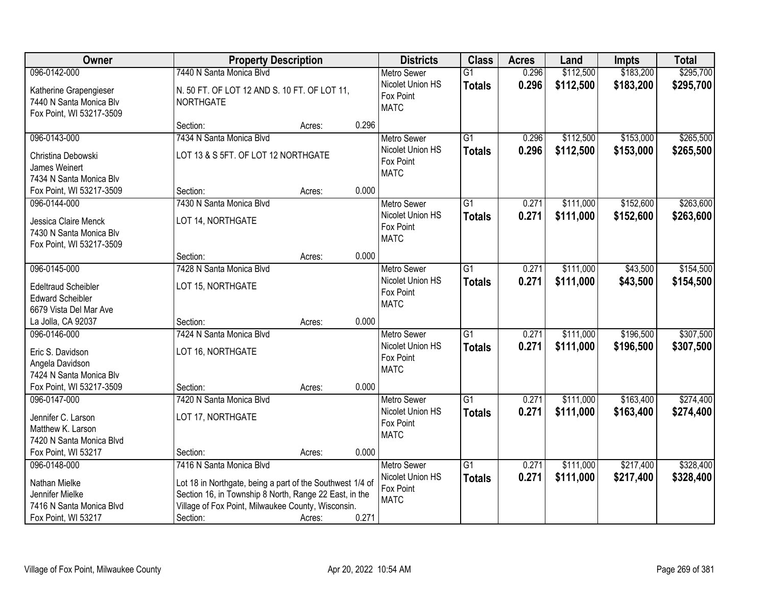| Owner                                                                                                      | <b>Property Description</b>                                                                                                                                                                                       |        |       | <b>Districts</b>                                                   | <b>Class</b>                     | <b>Acres</b>   | Land                   | Impts                  | <b>Total</b>           |
|------------------------------------------------------------------------------------------------------------|-------------------------------------------------------------------------------------------------------------------------------------------------------------------------------------------------------------------|--------|-------|--------------------------------------------------------------------|----------------------------------|----------------|------------------------|------------------------|------------------------|
| 096-0142-000                                                                                               | 7440 N Santa Monica Blvd                                                                                                                                                                                          |        |       | <b>Metro Sewer</b>                                                 | $\overline{G1}$                  | 0.296          | \$112,500              | \$183,200              | \$295,700              |
| Katherine Grapengieser<br>7440 N Santa Monica Blv<br>Fox Point, WI 53217-3509                              | N. 50 FT. OF LOT 12 AND S. 10 FT. OF LOT 11,<br><b>NORTHGATE</b>                                                                                                                                                  |        |       | Nicolet Union HS<br>Fox Point<br><b>MATC</b>                       | <b>Totals</b>                    | 0.296          | \$112,500              | \$183,200              | \$295,700              |
|                                                                                                            | Section:                                                                                                                                                                                                          | Acres: | 0.296 |                                                                    |                                  |                |                        |                        |                        |
| 096-0143-000<br>Christina Debowski<br>James Weinert<br>7434 N Santa Monica Blv                             | 7434 N Santa Monica Blvd<br>LOT 13 & S 5FT. OF LOT 12 NORTHGATE                                                                                                                                                   |        |       | <b>Metro Sewer</b><br>Nicolet Union HS<br>Fox Point<br><b>MATC</b> | $\overline{G1}$<br><b>Totals</b> | 0.296<br>0.296 | \$112,500<br>\$112,500 | \$153,000<br>\$153,000 | \$265,500<br>\$265,500 |
| Fox Point, WI 53217-3509                                                                                   | Section:                                                                                                                                                                                                          | Acres: | 0.000 |                                                                    |                                  |                |                        |                        |                        |
| 096-0144-000<br>Jessica Claire Menck<br>7430 N Santa Monica Blv<br>Fox Point, WI 53217-3509                | 7430 N Santa Monica Blvd<br>LOT 14, NORTHGATE                                                                                                                                                                     |        |       | Metro Sewer<br>Nicolet Union HS<br>Fox Point<br><b>MATC</b>        | $\overline{G1}$<br><b>Totals</b> | 0.271<br>0.271 | \$111,000<br>\$111,000 | \$152,600<br>\$152,600 | \$263,600<br>\$263,600 |
|                                                                                                            | Section:                                                                                                                                                                                                          | Acres: | 0.000 |                                                                    |                                  |                |                        |                        |                        |
| 096-0145-000<br><b>Edeltraud Scheibler</b><br><b>Edward Scheibler</b><br>6679 Vista Del Mar Ave            | 7428 N Santa Monica Blvd<br>LOT 15, NORTHGATE                                                                                                                                                                     |        |       | <b>Metro Sewer</b><br>Nicolet Union HS<br>Fox Point<br><b>MATC</b> | G1<br><b>Totals</b>              | 0.271<br>0.271 | \$111,000<br>\$111,000 | \$43,500<br>\$43,500   | \$154,500<br>\$154,500 |
| La Jolla, CA 92037                                                                                         | Section:                                                                                                                                                                                                          | Acres: | 0.000 |                                                                    |                                  |                |                        |                        |                        |
| 096-0146-000<br>Eric S. Davidson<br>Angela Davidson<br>7424 N Santa Monica Blv<br>Fox Point, WI 53217-3509 | 7424 N Santa Monica Blvd<br>LOT 16, NORTHGATE<br>Section:                                                                                                                                                         | Acres: | 0.000 | <b>Metro Sewer</b><br>Nicolet Union HS<br>Fox Point<br><b>MATC</b> | $\overline{G1}$<br><b>Totals</b> | 0.271<br>0.271 | \$111,000<br>\$111,000 | \$196,500<br>\$196,500 | \$307,500<br>\$307,500 |
| 096-0147-000                                                                                               | 7420 N Santa Monica Blvd                                                                                                                                                                                          |        |       | <b>Metro Sewer</b>                                                 | G1                               | 0.271          | \$111,000              | \$163,400              | \$274,400              |
| Jennifer C. Larson<br>Matthew K. Larson<br>7420 N Santa Monica Blvd                                        | LOT 17, NORTHGATE                                                                                                                                                                                                 |        |       | Nicolet Union HS<br>Fox Point<br><b>MATC</b>                       | <b>Totals</b>                    | 0.271          | \$111,000              | \$163,400              | \$274,400              |
| Fox Point, WI 53217                                                                                        | Section:                                                                                                                                                                                                          | Acres: | 0.000 |                                                                    |                                  |                |                        |                        |                        |
| 096-0148-000<br>Nathan Mielke<br>Jennifer Mielke<br>7416 N Santa Monica Blvd<br>Fox Point, WI 53217        | 7416 N Santa Monica Blvd<br>Lot 18 in Northgate, being a part of the Southwest 1/4 of<br>Section 16, in Township 8 North, Range 22 East, in the<br>Village of Fox Point, Milwaukee County, Wisconsin.<br>Section: | Acres: | 0.271 | <b>Metro Sewer</b><br>Nicolet Union HS<br>Fox Point<br><b>MATC</b> | $\overline{G1}$<br><b>Totals</b> | 0.271<br>0.271 | \$111,000<br>\$111,000 | \$217,400<br>\$217,400 | \$328,400<br>\$328,400 |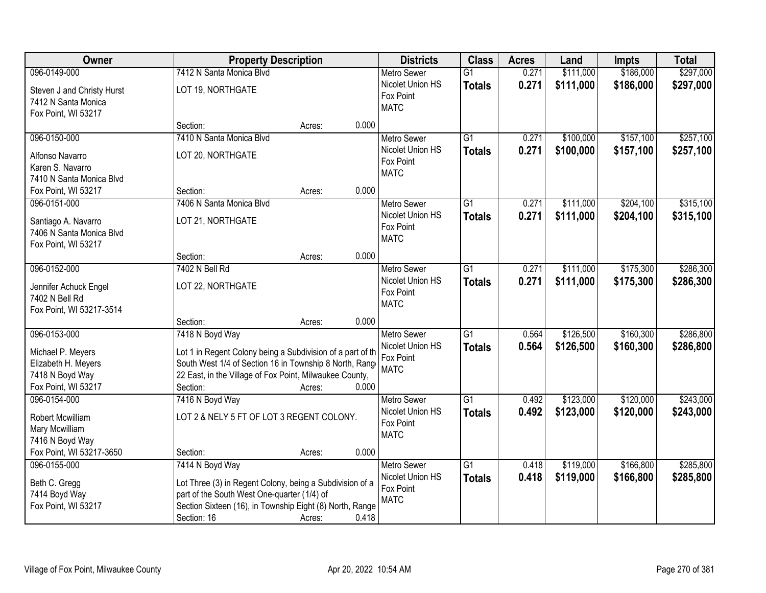| Owner                                                                                              |                                                                                                                                                                                                                 | <b>Property Description</b> |       | <b>Districts</b>                                                   | <b>Class</b>                     | <b>Acres</b>   | Land                   | Impts                  | <b>Total</b>           |
|----------------------------------------------------------------------------------------------------|-----------------------------------------------------------------------------------------------------------------------------------------------------------------------------------------------------------------|-----------------------------|-------|--------------------------------------------------------------------|----------------------------------|----------------|------------------------|------------------------|------------------------|
| 096-0149-000                                                                                       | 7412 N Santa Monica Blvd                                                                                                                                                                                        |                             |       | <b>Metro Sewer</b>                                                 | $\overline{G1}$                  | 0.271          | \$111,000              | \$186,000              | \$297,000              |
| Steven J and Christy Hurst<br>7412 N Santa Monica<br>Fox Point, WI 53217                           | LOT 19, NORTHGATE                                                                                                                                                                                               |                             |       | Nicolet Union HS<br>Fox Point<br><b>MATC</b>                       | <b>Totals</b>                    | 0.271          | \$111,000              | \$186,000              | \$297,000              |
|                                                                                                    | Section:                                                                                                                                                                                                        | Acres:                      | 0.000 |                                                                    |                                  |                |                        |                        |                        |
| 096-0150-000<br>Alfonso Navarro<br>Karen S. Navarro<br>7410 N Santa Monica Blvd                    | 7410 N Santa Monica Blyd<br>LOT 20, NORTHGATE                                                                                                                                                                   |                             |       | <b>Metro Sewer</b><br>Nicolet Union HS<br>Fox Point<br><b>MATC</b> | $\overline{G1}$<br><b>Totals</b> | 0.271<br>0.271 | \$100,000<br>\$100,000 | \$157,100<br>\$157,100 | \$257,100<br>\$257,100 |
| Fox Point, WI 53217                                                                                | Section:                                                                                                                                                                                                        | Acres:                      | 0.000 |                                                                    |                                  |                |                        |                        |                        |
| 096-0151-000<br>Santiago A. Navarro<br>7406 N Santa Monica Blvd<br>Fox Point, WI 53217             | 7406 N Santa Monica Blvd<br>LOT 21, NORTHGATE                                                                                                                                                                   |                             |       | <b>Metro Sewer</b><br>Nicolet Union HS<br>Fox Point<br><b>MATC</b> | $\overline{G1}$<br><b>Totals</b> | 0.271<br>0.271 | \$111,000<br>\$111,000 | \$204,100<br>\$204,100 | \$315,100<br>\$315,100 |
|                                                                                                    | Section:                                                                                                                                                                                                        | Acres:                      | 0.000 |                                                                    |                                  |                |                        |                        |                        |
| 096-0152-000<br>Jennifer Achuck Engel<br>7402 N Bell Rd<br>Fox Point, WI 53217-3514                | 7402 N Bell Rd<br>LOT 22, NORTHGATE                                                                                                                                                                             |                             |       | <b>Metro Sewer</b><br>Nicolet Union HS<br>Fox Point<br><b>MATC</b> | $\overline{G1}$<br><b>Totals</b> | 0.271<br>0.271 | \$111,000<br>\$111,000 | \$175,300<br>\$175,300 | \$286,300<br>\$286,300 |
|                                                                                                    | Section:                                                                                                                                                                                                        | Acres:                      | 0.000 |                                                                    |                                  |                |                        |                        |                        |
| 096-0153-000<br>Michael P. Meyers<br>Elizabeth H. Meyers<br>7418 N Boyd Way<br>Fox Point, WI 53217 | 7418 N Boyd Way<br>Lot 1 in Regent Colony being a Subdivision of a part of th<br>South West 1/4 of Section 16 in Township 8 North, Range<br>22 East, in the Village of Fox Point, Milwaukee County,<br>Section: | Acres:                      | 0.000 | <b>Metro Sewer</b><br>Nicolet Union HS<br>Fox Point<br><b>MATC</b> | $\overline{G1}$<br><b>Totals</b> | 0.564<br>0.564 | \$126,500<br>\$126,500 | \$160,300<br>\$160,300 | \$286,800<br>\$286,800 |
| 096-0154-000<br>Robert Mcwilliam<br>Mary Mcwilliam<br>7416 N Boyd Way<br>Fox Point, WI 53217-3650  | 7416 N Boyd Way<br>LOT 2 & NELY 5 FT OF LOT 3 REGENT COLONY.<br>Section:                                                                                                                                        | Acres:                      | 0.000 | Metro Sewer<br>Nicolet Union HS<br>Fox Point<br><b>MATC</b>        | G1<br><b>Totals</b>              | 0.492<br>0.492 | \$123,000<br>\$123,000 | \$120,000<br>\$120,000 | \$243,000<br>\$243,000 |
| 096-0155-000<br>Beth C. Gregg<br>7414 Boyd Way<br>Fox Point, WI 53217                              | 7414 N Boyd Way<br>Lot Three (3) in Regent Colony, being a Subdivision of a<br>part of the South West One-quarter (1/4) of<br>Section Sixteen (16), in Township Eight (8) North, Range<br>Section: 16           | Acres:                      | 0.418 | <b>Metro Sewer</b><br>Nicolet Union HS<br>Fox Point<br><b>MATC</b> | G1<br><b>Totals</b>              | 0.418<br>0.418 | \$119,000<br>\$119,000 | \$166,800<br>\$166,800 | \$285,800<br>\$285,800 |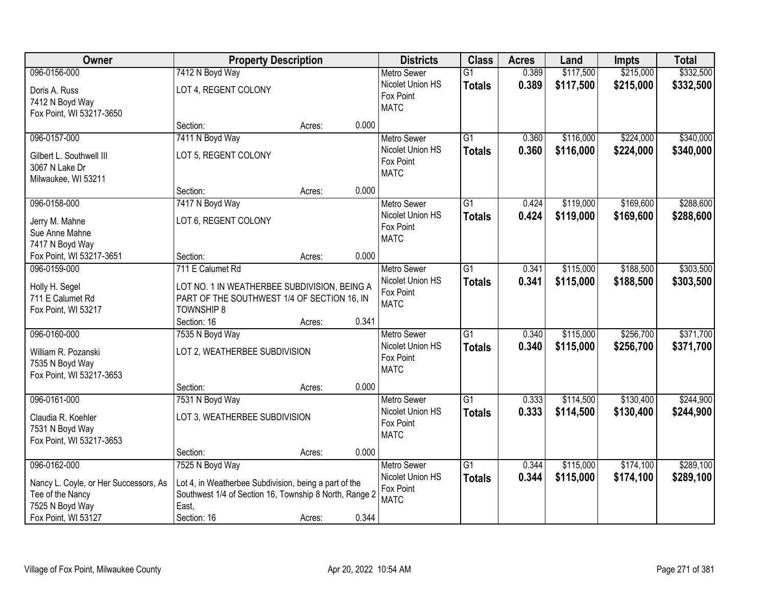| Owner                                 |                                                        | <b>Property Description</b> |                  | <b>Districts</b>         | <b>Class</b>    | <b>Acres</b> | Land      | <b>Impts</b> | <b>Total</b> |
|---------------------------------------|--------------------------------------------------------|-----------------------------|------------------|--------------------------|-----------------|--------------|-----------|--------------|--------------|
| 096-0156-000                          | 7412 N Boyd Way                                        |                             |                  | Metro Sewer              | $\overline{G1}$ | 0.389        | \$117,500 | \$215,000    | \$332,500    |
| Doris A. Russ                         | LOT 4, REGENT COLONY                                   |                             |                  | Nicolet Union HS         | <b>Totals</b>   | 0.389        | \$117,500 | \$215,000    | \$332,500    |
| 7412 N Boyd Way                       |                                                        |                             |                  | Fox Point                |                 |              |           |              |              |
| Fox Point, WI 53217-3650              |                                                        |                             |                  | <b>MATC</b>              |                 |              |           |              |              |
|                                       | Section:                                               | Acres:                      | 0.000            |                          |                 |              |           |              |              |
| 096-0157-000                          | 7411 N Boyd Way                                        |                             |                  | Metro Sewer              | $\overline{G1}$ | 0.360        | \$116,000 | \$224,000    | \$340,000    |
| Gilbert L. Southwell III              | LOT 5, REGENT COLONY                                   |                             |                  | Nicolet Union HS         | <b>Totals</b>   | 0.360        | \$116,000 | \$224,000    | \$340,000    |
| 3067 N Lake Dr                        |                                                        |                             |                  | Fox Point                |                 |              |           |              |              |
| Milwaukee, WI 53211                   |                                                        |                             |                  | <b>MATC</b>              |                 |              |           |              |              |
|                                       | Section:                                               | Acres:                      | 0.000            |                          |                 |              |           |              |              |
| 096-0158-000                          | 7417 N Boyd Way                                        |                             |                  | <b>Metro Sewer</b>       | $\overline{G1}$ | 0.424        | \$119,000 | \$169,600    | \$288,600    |
| Jerry M. Mahne                        | LOT 6, REGENT COLONY                                   |                             |                  | Nicolet Union HS         | <b>Totals</b>   | 0.424        | \$119,000 | \$169,600    | \$288,600    |
| Sue Anne Mahne                        |                                                        |                             |                  | Fox Point                |                 |              |           |              |              |
| 7417 N Boyd Way                       |                                                        |                             |                  | <b>MATC</b>              |                 |              |           |              |              |
| Fox Point, WI 53217-3651              | Section:                                               | Acres:                      | 0.000            |                          |                 |              |           |              |              |
| 096-0159-000                          | 711 E Calumet Rd                                       |                             |                  | <b>Metro Sewer</b>       | $\overline{G1}$ | 0.341        | \$115,000 | \$188,500    | \$303,500    |
| Holly H. Segel                        | LOT NO. 1 IN WEATHERBEE SUBDIVISION, BEING A           |                             |                  | Nicolet Union HS         | <b>Totals</b>   | 0.341        | \$115,000 | \$188,500    | \$303,500    |
| 711 E Calumet Rd                      | PART OF THE SOUTHWEST 1/4 OF SECTION 16, IN            |                             |                  | Fox Point                |                 |              |           |              |              |
| Fox Point, WI 53217                   | <b>TOWNSHIP 8</b>                                      |                             |                  | <b>MATC</b>              |                 |              |           |              |              |
|                                       | Section: 16                                            | Acres:                      | 0.341            |                          |                 |              |           |              |              |
| 096-0160-000                          | 7535 N Boyd Way                                        |                             |                  | <b>Metro Sewer</b>       | $\overline{G1}$ | 0.340        | \$115,000 | \$256,700    | \$371,700    |
|                                       |                                                        |                             |                  | Nicolet Union HS         | <b>Totals</b>   | 0.340        | \$115,000 | \$256,700    | \$371,700    |
| William R. Pozanski                   | LOT 2, WEATHERBEE SUBDIVISION                          |                             |                  | Fox Point                |                 |              |           |              |              |
| 7535 N Boyd Way                       |                                                        |                             |                  | <b>MATC</b>              |                 |              |           |              |              |
| Fox Point, WI 53217-3653              |                                                        |                             |                  |                          |                 |              |           |              |              |
| 096-0161-000                          | Section:<br>7531 N Boyd Way                            | Acres:                      | 0.000            | Metro Sewer              | $\overline{G1}$ | 0.333        | \$114,500 | \$130,400    | \$244,900    |
|                                       |                                                        |                             |                  | Nicolet Union HS         |                 | 0.333        | \$114,500 | \$130,400    | \$244,900    |
| Claudia R. Koehler                    | LOT 3, WEATHERBEE SUBDIVISION                          |                             |                  | Fox Point                | <b>Totals</b>   |              |           |              |              |
| 7531 N Boyd Way                       |                                                        |                             |                  | <b>MATC</b>              |                 |              |           |              |              |
| Fox Point, WI 53217-3653              |                                                        |                             |                  |                          |                 |              |           |              |              |
|                                       | Section:                                               | Acres:                      | 0.000            |                          |                 |              |           |              |              |
| 096-0162-000                          | 7525 N Boyd Way                                        |                             |                  | <b>Metro Sewer</b>       | $\overline{G1}$ | 0.344        | \$115,000 | \$174,100    | \$289,100    |
| Nancy L. Coyle, or Her Successors, As | Lot 4, in Weatherbee Subdivision, being a part of the  |                             | Nicolet Union HS | <b>Totals</b>            | 0.344           | \$115,000    | \$174,100 | \$289,100    |              |
| Tee of the Nancy                      | Southwest 1/4 of Section 16, Township 8 North, Range 2 |                             |                  | Fox Point<br><b>MATC</b> |                 |              |           |              |              |
| 7525 N Boyd Way                       | East,                                                  |                             |                  |                          |                 |              |           |              |              |
| Fox Point, WI 53127                   | Section: 16                                            | Acres:                      | 0.344            |                          |                 |              |           |              |              |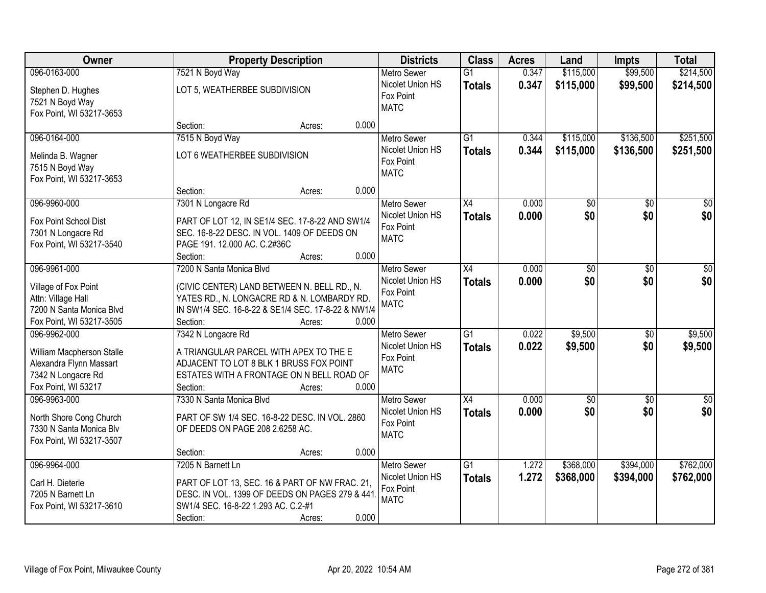| Owner                                                                                              |                                                                                                                                                                          | <b>Property Description</b> |       |                                                                    | <b>Class</b>                     | <b>Acres</b>   | Land                   | <b>Impts</b>           | <b>Total</b>           |
|----------------------------------------------------------------------------------------------------|--------------------------------------------------------------------------------------------------------------------------------------------------------------------------|-----------------------------|-------|--------------------------------------------------------------------|----------------------------------|----------------|------------------------|------------------------|------------------------|
| 096-0163-000                                                                                       | 7521 N Boyd Way                                                                                                                                                          |                             |       | <b>Metro Sewer</b>                                                 | $\overline{G1}$                  | 0.347          | \$115,000              | \$99,500               | \$214,500              |
| Stephen D. Hughes<br>7521 N Boyd Way<br>Fox Point, WI 53217-3653                                   | LOT 5, WEATHERBEE SUBDIVISION                                                                                                                                            |                             |       | Nicolet Union HS<br>Fox Point<br><b>MATC</b>                       | <b>Totals</b>                    | 0.347          | \$115,000              | \$99,500               | \$214,500              |
|                                                                                                    | Section:                                                                                                                                                                 | Acres:                      | 0.000 |                                                                    |                                  |                |                        |                        |                        |
| 096-0164-000<br>Melinda B. Wagner                                                                  | 7515 N Boyd Way<br>LOT 6 WEATHERBEE SUBDIVISION                                                                                                                          |                             |       | <b>Metro Sewer</b><br>Nicolet Union HS<br>Fox Point                | $\overline{G1}$<br><b>Totals</b> | 0.344<br>0.344 | \$115,000<br>\$115,000 | \$136,500<br>\$136,500 | \$251,500<br>\$251,500 |
| 7515 N Boyd Way<br>Fox Point, WI 53217-3653                                                        | Section:                                                                                                                                                                 | Acres:                      | 0.000 | <b>MATC</b>                                                        |                                  |                |                        |                        |                        |
| 096-9960-000                                                                                       | 7301 N Longacre Rd                                                                                                                                                       |                             |       | <b>Metro Sewer</b>                                                 | X4                               | 0.000          | \$0                    | \$0                    | $\overline{30}$        |
| Fox Point School Dist<br>7301 N Longacre Rd<br>Fox Point, WI 53217-3540                            | PART OF LOT 12, IN SE1/4 SEC. 17-8-22 AND SW1/4<br>SEC. 16-8-22 DESC. IN VOL. 1409 OF DEEDS ON<br>PAGE 191. 12.000 AC. C.2#36C<br>Section:                               | Acres:                      | 0.000 | Nicolet Union HS<br>Fox Point<br><b>MATC</b>                       | <b>Totals</b>                    | 0.000          | \$0                    | \$0                    | \$0                    |
| 096-9961-000                                                                                       | 7200 N Santa Monica Blvd                                                                                                                                                 |                             |       | <b>Metro Sewer</b>                                                 | X4                               | 0.000          | \$0                    | $\sqrt[6]{3}$          | $\sqrt{50}$            |
| Village of Fox Point<br>Attn: Village Hall<br>7200 N Santa Monica Blvd<br>Fox Point, WI 53217-3505 | (CIVIC CENTER) LAND BETWEEN N. BELL RD., N.<br>YATES RD., N. LONGACRE RD & N. LOMBARDY RD.<br>IN SW1/4 SEC. 16-8-22 & SE1/4 SEC. 17-8-22 & NW1/4<br>Section:             | Acres:                      | 0.000 | Nicolet Union HS<br>Fox Point<br><b>MATC</b>                       | <b>Totals</b>                    | 0.000          | \$0                    | \$0                    | \$0                    |
| 096-9962-000                                                                                       | 7342 N Longacre Rd                                                                                                                                                       |                             |       | <b>Metro Sewer</b>                                                 | $\overline{G1}$                  | 0.022          | \$9,500                | \$0                    | \$9,500                |
| William Macpherson Stalle<br>Alexandra Flynn Massart<br>7342 N Longacre Rd<br>Fox Point, WI 53217  | A TRIANGULAR PARCEL WITH APEX TO THE E<br>ADJACENT TO LOT 8 BLK 1 BRUSS FOX POINT<br>ESTATES WITH A FRONTAGE ON N BELL ROAD OF<br>Section:                               | Acres:                      | 0.000 | Nicolet Union HS<br>Fox Point<br><b>MATC</b>                       | <b>Totals</b>                    | 0.022          | \$9,500                | \$0                    | \$9,500                |
| 096-9963-000                                                                                       | 7330 N Santa Monica Blvd                                                                                                                                                 |                             |       | Metro Sewer                                                        | X4                               | 0.000          | $\overline{50}$        | $\overline{30}$        | $\overline{\$0}$       |
| North Shore Cong Church<br>7330 N Santa Monica Blv<br>Fox Point, WI 53217-3507                     | PART OF SW 1/4 SEC. 16-8-22 DESC. IN VOL. 2860<br>OF DEEDS ON PAGE 208 2.6258 AC.                                                                                        |                             |       | Nicolet Union HS<br>Fox Point<br><b>MATC</b>                       | <b>Totals</b>                    | 0.000          | \$0                    | \$0                    | \$0                    |
|                                                                                                    | Section:                                                                                                                                                                 | Acres:                      | 0.000 |                                                                    |                                  |                |                        |                        |                        |
| 096-9964-000<br>Carl H. Dieterle<br>7205 N Barnett Ln<br>Fox Point, WI 53217-3610                  | 7205 N Barnett Ln<br>PART OF LOT 13, SEC. 16 & PART OF NW FRAC. 21,<br>DESC. IN VOL. 1399 OF DEEDS ON PAGES 279 & 441<br>SW1/4 SEC. 16-8-22 1.293 AC. C.2-#1<br>Section: | Acres:                      | 0.000 | <b>Metro Sewer</b><br>Nicolet Union HS<br>Fox Point<br><b>MATC</b> | $\overline{G1}$<br><b>Totals</b> | 1.272<br>1.272 | \$368,000<br>\$368,000 | \$394,000<br>\$394,000 | \$762,000<br>\$762,000 |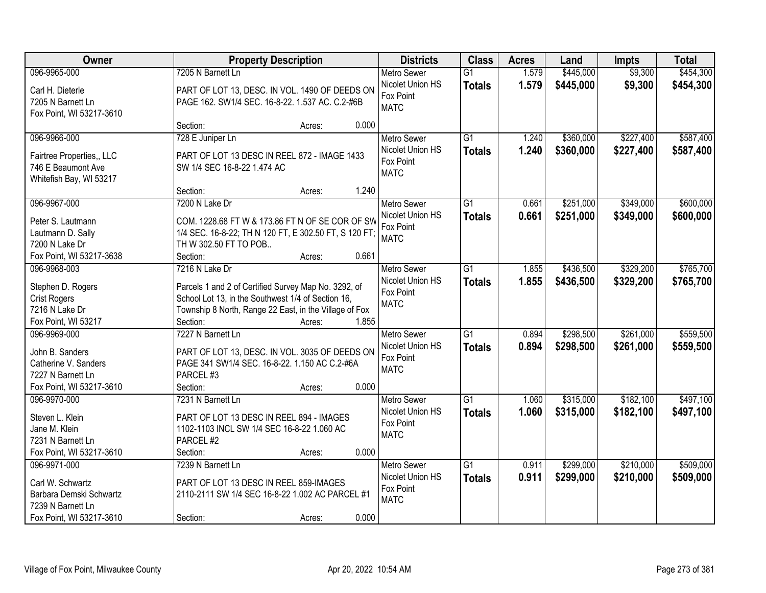| Owner                     | <b>Property Description</b>                            | <b>Districts</b> | <b>Class</b>             | <b>Acres</b>    | Land  | <b>Impts</b> | <b>Total</b> |           |
|---------------------------|--------------------------------------------------------|------------------|--------------------------|-----------------|-------|--------------|--------------|-----------|
| 096-9965-000              | 7205 N Barnett Ln                                      |                  | <b>Metro Sewer</b>       | $\overline{G1}$ | 1.579 | \$445,000    | \$9,300      | \$454,300 |
| Carl H. Dieterle          | PART OF LOT 13, DESC. IN VOL. 1490 OF DEEDS ON         |                  | Nicolet Union HS         | <b>Totals</b>   | 1.579 | \$445,000    | \$9,300      | \$454,300 |
| 7205 N Barnett Ln         | PAGE 162. SW1/4 SEC. 16-8-22. 1.537 AC. C.2-#6B        |                  | Fox Point                |                 |       |              |              |           |
| Fox Point, WI 53217-3610  |                                                        |                  | <b>MATC</b>              |                 |       |              |              |           |
|                           | Section:                                               | Acres:           | 0.000                    |                 |       |              |              |           |
| 096-9966-000              | 728 E Juniper Ln                                       |                  | <b>Metro Sewer</b>       | $\overline{G1}$ | 1.240 | \$360,000    | \$227,400    | \$587,400 |
| Fairtree Properties,, LLC | PART OF LOT 13 DESC IN REEL 872 - IMAGE 1433           |                  | Nicolet Union HS         | <b>Totals</b>   | 1.240 | \$360,000    | \$227,400    | \$587,400 |
| 746 E Beaumont Ave        | SW 1/4 SEC 16-8-22 1.474 AC                            |                  | Fox Point                |                 |       |              |              |           |
| Whitefish Bay, WI 53217   |                                                        |                  | <b>MATC</b>              |                 |       |              |              |           |
|                           | Section:                                               | Acres:           | 1.240                    |                 |       |              |              |           |
| 096-9967-000              | 7200 N Lake Dr                                         |                  | Metro Sewer              | G1              | 0.661 | \$251,000    | \$349,000    | \$600,000 |
| Peter S. Lautmann         | COM. 1228.68 FT W & 173.86 FT N OF SE COR OF SW        |                  | Nicolet Union HS         | <b>Totals</b>   | 0.661 | \$251,000    | \$349,000    | \$600,000 |
| Lautmann D. Sally         | 1/4 SEC. 16-8-22; TH N 120 FT, E 302.50 FT, S 120 FT;  |                  | Fox Point                |                 |       |              |              |           |
| 7200 N Lake Dr            | TH W 302.50 FT TO POB                                  |                  | <b>MATC</b>              |                 |       |              |              |           |
| Fox Point, WI 53217-3638  | Section:                                               | Acres:           | 0.661                    |                 |       |              |              |           |
| 096-9968-003              | 7216 N Lake Dr                                         |                  | <b>Metro Sewer</b>       | G1              | 1.855 | \$436,500    | \$329,200    | \$765,700 |
|                           |                                                        |                  | Nicolet Union HS         | <b>Totals</b>   | 1.855 | \$436,500    | \$329,200    | \$765,700 |
| Stephen D. Rogers         | Parcels 1 and 2 of Certified Survey Map No. 3292, of   |                  | Fox Point                |                 |       |              |              |           |
| <b>Crist Rogers</b>       | School Lot 13, in the Southwest 1/4 of Section 16,     |                  | <b>MATC</b>              |                 |       |              |              |           |
| 7216 N Lake Dr            | Township 8 North, Range 22 East, in the Village of Fox |                  |                          |                 |       |              |              |           |
| Fox Point, WI 53217       | Section:                                               | Acres:           | 1.855                    |                 |       |              |              |           |
| 096-9969-000              | 7227 N Barnett Ln                                      |                  | <b>Metro Sewer</b>       | $\overline{G1}$ | 0.894 | \$298,500    | \$261,000    | \$559,500 |
| John B. Sanders           | PART OF LOT 13, DESC. IN VOL. 3035 OF DEEDS ON         |                  | Nicolet Union HS         | <b>Totals</b>   | 0.894 | \$298,500    | \$261,000    | \$559,500 |
| Catherine V. Sanders      | PAGE 341 SW1/4 SEC. 16-8-22. 1.150 AC C.2-#6A          |                  | Fox Point<br><b>MATC</b> |                 |       |              |              |           |
| 7227 N Barnett Ln         | PARCEL #3                                              |                  |                          |                 |       |              |              |           |
| Fox Point, WI 53217-3610  | Section:                                               | Acres:           | 0.000                    |                 |       |              |              |           |
| 096-9970-000              | 7231 N Barnett Ln                                      |                  | Metro Sewer              | G1              | 1.060 | \$315,000    | \$182,100    | \$497,100 |
| Steven L. Klein           | PART OF LOT 13 DESC IN REEL 894 - IMAGES               |                  | Nicolet Union HS         | <b>Totals</b>   | 1.060 | \$315,000    | \$182,100    | \$497,100 |
| Jane M. Klein             | 1102-1103 INCL SW 1/4 SEC 16-8-22 1.060 AC             |                  | Fox Point                |                 |       |              |              |           |
| 7231 N Barnett Ln         | PARCEL #2                                              |                  | <b>MATC</b>              |                 |       |              |              |           |
| Fox Point, WI 53217-3610  | Section:                                               | Acres:           | 0.000                    |                 |       |              |              |           |
| 096-9971-000              | 7239 N Barnett Ln                                      |                  | <b>Metro Sewer</b>       | $\overline{G1}$ | 0.911 | \$299,000    | \$210,000    | \$509,000 |
| Carl W. Schwartz          | PART OF LOT 13 DESC IN REEL 859-IMAGES                 |                  | Nicolet Union HS         | <b>Totals</b>   | 0.911 | \$299,000    | \$210,000    | \$509,000 |
| Barbara Demski Schwartz   | 2110-2111 SW 1/4 SEC 16-8-22 1.002 AC PARCEL #1        |                  | Fox Point                |                 |       |              |              |           |
| 7239 N Barnett Ln         |                                                        |                  | <b>MATC</b>              |                 |       |              |              |           |
| Fox Point, WI 53217-3610  | Section:                                               | Acres:           | 0.000                    |                 |       |              |              |           |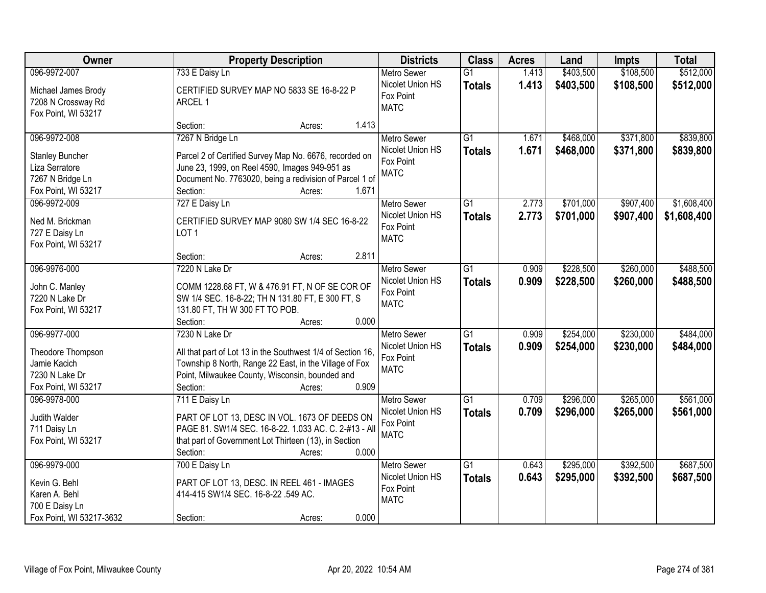| Owner                                                                                               | <b>Property Description</b>                                                                                                                                                                                               | <b>Districts</b>                                                   | <b>Class</b>                     | <b>Acres</b>   | Land                   | Impts                  | <b>Total</b>               |
|-----------------------------------------------------------------------------------------------------|---------------------------------------------------------------------------------------------------------------------------------------------------------------------------------------------------------------------------|--------------------------------------------------------------------|----------------------------------|----------------|------------------------|------------------------|----------------------------|
| 096-9972-007                                                                                        | 733 E Daisy Ln                                                                                                                                                                                                            | <b>Metro Sewer</b>                                                 | $\overline{G1}$                  | 1.413          | \$403,500              | \$108,500              | \$512,000                  |
| Michael James Brody<br>7208 N Crossway Rd<br>Fox Point, WI 53217                                    | CERTIFIED SURVEY MAP NO 5833 SE 16-8-22 P<br>ARCEL 1                                                                                                                                                                      | Nicolet Union HS<br>Fox Point<br><b>MATC</b>                       | <b>Totals</b>                    | 1.413          | \$403,500              | \$108,500              | \$512,000                  |
|                                                                                                     | 1.413<br>Section:<br>Acres:                                                                                                                                                                                               |                                                                    |                                  |                |                        |                        |                            |
| 096-9972-008<br><b>Stanley Buncher</b><br>Liza Serratore<br>7267 N Bridge Ln<br>Fox Point, WI 53217 | 7267 N Bridge Ln<br>Parcel 2 of Certified Survey Map No. 6676, recorded on<br>June 23, 1999, on Reel 4590, Images 949-951 as<br>Document No. 7763020, being a redivision of Parcel 1 of<br>1.671<br>Section:<br>Acres:    | <b>Metro Sewer</b><br>Nicolet Union HS<br>Fox Point<br><b>MATC</b> | $\overline{G1}$<br><b>Totals</b> | 1.671<br>1.671 | \$468,000<br>\$468,000 | \$371,800<br>\$371,800 | \$839,800<br>\$839,800     |
| 096-9972-009<br>Ned M. Brickman<br>727 E Daisy Ln<br>Fox Point, WI 53217                            | 727 E Daisy Ln<br>CERTIFIED SURVEY MAP 9080 SW 1/4 SEC 16-8-22<br>LOT <sub>1</sub><br>2.811<br>Section:<br>Acres:                                                                                                         | Metro Sewer<br>Nicolet Union HS<br>Fox Point<br><b>MATC</b>        | G1<br><b>Totals</b>              | 2.773<br>2.773 | \$701,000<br>\$701,000 | \$907,400<br>\$907,400 | \$1,608,400<br>\$1,608,400 |
| 096-9976-000<br>John C. Manley<br>7220 N Lake Dr<br>Fox Point, WI 53217                             | 7220 N Lake Dr<br>COMM 1228.68 FT, W & 476.91 FT, N OF SE COR OF<br>SW 1/4 SEC. 16-8-22; TH N 131.80 FT, E 300 FT, S<br>131.80 FT, TH W 300 FT TO POB.<br>0.000<br>Section:<br>Acres:                                     | <b>Metro Sewer</b><br>Nicolet Union HS<br>Fox Point<br><b>MATC</b> | G1<br><b>Totals</b>              | 0.909<br>0.909 | \$228,500<br>\$228,500 | \$260,000<br>\$260,000 | \$488,500<br>\$488,500     |
| 096-9977-000<br>Theodore Thompson<br>Jamie Kacich<br>7230 N Lake Dr<br>Fox Point, WI 53217          | 7230 N Lake Dr<br>All that part of Lot 13 in the Southwest 1/4 of Section 16,<br>Township 8 North, Range 22 East, in the Village of Fox<br>Point, Milwaukee County, Wisconsin, bounded and<br>0.909<br>Section:<br>Acres: | <b>Metro Sewer</b><br>Nicolet Union HS<br>Fox Point<br><b>MATC</b> | $\overline{G1}$<br><b>Totals</b> | 0.909<br>0.909 | \$254,000<br>\$254,000 | \$230,000<br>\$230,000 | \$484,000<br>\$484,000     |
| 096-9978-000<br>Judith Walder<br>711 Daisy Ln<br>Fox Point, WI 53217                                | 711 E Daisy Ln<br>PART OF LOT 13, DESC IN VOL. 1673 OF DEEDS ON<br>PAGE 81. SW1/4 SEC. 16-8-22. 1.033 AC. C. 2-#13 - All<br>that part of Government Lot Thirteen (13), in Section<br>0.000<br>Section:<br>Acres:          | Metro Sewer<br>Nicolet Union HS<br>Fox Point<br><b>MATC</b>        | $\overline{G1}$<br><b>Totals</b> | 0.709<br>0.709 | \$296,000<br>\$296,000 | \$265,000<br>\$265,000 | \$561,000<br>\$561,000     |
| 096-9979-000<br>Kevin G. Behl<br>Karen A. Behl<br>700 E Daisy Ln<br>Fox Point, WI 53217-3632        | 700 E Daisy Ln<br>PART OF LOT 13, DESC. IN REEL 461 - IMAGES<br>414-415 SW1/4 SEC. 16-8-22 .549 AC.<br>0.000<br>Section:<br>Acres:                                                                                        | <b>Metro Sewer</b><br>Nicolet Union HS<br>Fox Point<br><b>MATC</b> | $\overline{G1}$<br><b>Totals</b> | 0.643<br>0.643 | \$295,000<br>\$295,000 | \$392,500<br>\$392,500 | \$687,500<br>\$687,500     |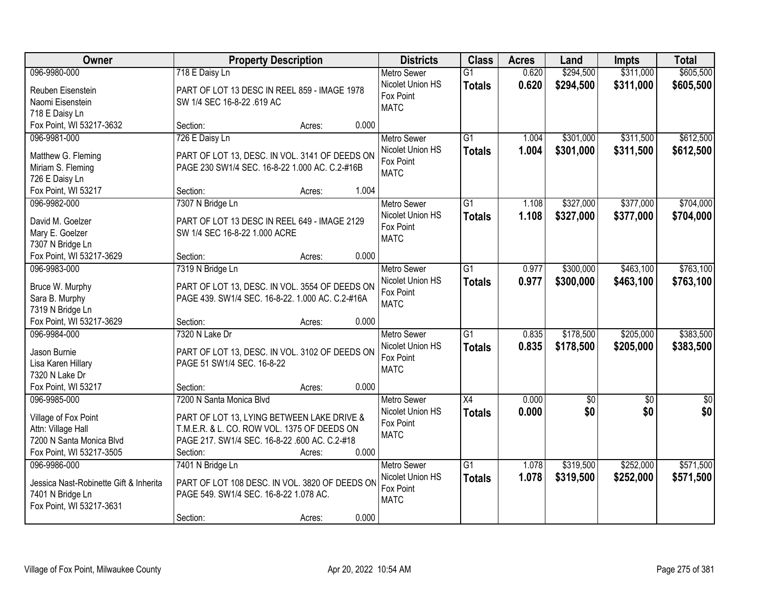| Owner                                  | <b>Property Description</b>                                                                        | <b>Districts</b> | <b>Class</b>       | <b>Acres</b>    | Land  | <b>Impts</b>    | <b>Total</b>    |                  |
|----------------------------------------|----------------------------------------------------------------------------------------------------|------------------|--------------------|-----------------|-------|-----------------|-----------------|------------------|
| 096-9980-000                           | 718 E Daisy Ln                                                                                     |                  | Metro Sewer        | $\overline{G1}$ | 0.620 | \$294,500       | \$311,000       | \$605,500        |
| Reuben Eisenstein                      | PART OF LOT 13 DESC IN REEL 859 - IMAGE 1978                                                       |                  | Nicolet Union HS   | <b>Totals</b>   | 0.620 | \$294,500       | \$311,000       | \$605,500        |
| Naomi Eisenstein                       | SW 1/4 SEC 16-8-22 .619 AC                                                                         |                  | Fox Point          |                 |       |                 |                 |                  |
| 718 E Daisy Ln                         |                                                                                                    |                  | <b>MATC</b>        |                 |       |                 |                 |                  |
| Fox Point, WI 53217-3632               | Section:                                                                                           | 0.000<br>Acres:  |                    |                 |       |                 |                 |                  |
| 096-9981-000                           | 726 E Daisy Ln                                                                                     |                  | <b>Metro Sewer</b> | $\overline{G1}$ | 1.004 | \$301,000       | \$311,500       | \$612,500        |
|                                        |                                                                                                    |                  | Nicolet Union HS   | <b>Totals</b>   | 1.004 | \$301,000       | \$311,500       | \$612,500        |
| Matthew G. Fleming                     | PART OF LOT 13, DESC. IN VOL. 3141 OF DEEDS ON                                                     |                  | Fox Point          |                 |       |                 |                 |                  |
| Miriam S. Fleming                      | PAGE 230 SW1/4 SEC. 16-8-22 1.000 AC. C.2-#16B                                                     |                  | <b>MATC</b>        |                 |       |                 |                 |                  |
| 726 E Daisy Ln                         |                                                                                                    |                  |                    |                 |       |                 |                 |                  |
| Fox Point, WI 53217                    | Section:                                                                                           | 1.004<br>Acres:  |                    |                 |       |                 |                 |                  |
| 096-9982-000                           | 7307 N Bridge Ln                                                                                   |                  | <b>Metro Sewer</b> | G1              | 1.108 | \$327,000       | \$377,000       | \$704,000        |
| David M. Goelzer                       | PART OF LOT 13 DESC IN REEL 649 - IMAGE 2129                                                       |                  | Nicolet Union HS   | <b>Totals</b>   | 1.108 | \$327,000       | \$377,000       | \$704,000        |
| Mary E. Goelzer                        | SW 1/4 SEC 16-8-22 1.000 ACRE                                                                      |                  | Fox Point          |                 |       |                 |                 |                  |
| 7307 N Bridge Ln                       |                                                                                                    |                  | <b>MATC</b>        |                 |       |                 |                 |                  |
| Fox Point, WI 53217-3629               | Section:                                                                                           | 0.000<br>Acres:  |                    |                 |       |                 |                 |                  |
| 096-9983-000                           | 7319 N Bridge Ln                                                                                   |                  | <b>Metro Sewer</b> | $\overline{G1}$ | 0.977 | \$300,000       | \$463,100       | \$763,100        |
|                                        |                                                                                                    |                  | Nicolet Union HS   | <b>Totals</b>   | 0.977 | \$300,000       | \$463,100       | \$763,100        |
| Bruce W. Murphy                        | PART OF LOT 13, DESC. IN VOL. 3554 OF DEEDS ON<br>PAGE 439. SW1/4 SEC. 16-8-22. 1.000 AC. C.2-#16A |                  | Fox Point          |                 |       |                 |                 |                  |
| Sara B. Murphy<br>7319 N Bridge Ln     |                                                                                                    |                  | <b>MATC</b>        |                 |       |                 |                 |                  |
| Fox Point, WI 53217-3629               | Section:                                                                                           | 0.000<br>Acres:  |                    |                 |       |                 |                 |                  |
| 096-9984-000                           | 7320 N Lake Dr                                                                                     |                  | <b>Metro Sewer</b> | $\overline{G1}$ | 0.835 | \$178,500       | \$205,000       | \$383,500        |
|                                        |                                                                                                    |                  | Nicolet Union HS   |                 | 0.835 | \$178,500       | \$205,000       | \$383,500        |
| Jason Burnie                           | PART OF LOT 13, DESC. IN VOL. 3102 OF DEEDS ON                                                     |                  | Fox Point          | <b>Totals</b>   |       |                 |                 |                  |
| Lisa Karen Hillary                     | PAGE 51 SW1/4 SEC. 16-8-22                                                                         |                  | <b>MATC</b>        |                 |       |                 |                 |                  |
| 7320 N Lake Dr                         |                                                                                                    |                  |                    |                 |       |                 |                 |                  |
| Fox Point, WI 53217                    | Section:                                                                                           | 0.000<br>Acres:  |                    |                 |       |                 |                 |                  |
| 096-9985-000                           | 7200 N Santa Monica Blvd                                                                           |                  | Metro Sewer        | $\overline{X4}$ | 0.000 | $\overline{60}$ | $\overline{30}$ | $\overline{\$0}$ |
| Village of Fox Point                   | PART OF LOT 13, LYING BETWEEN LAKE DRIVE &                                                         |                  | Nicolet Union HS   | <b>Totals</b>   | 0.000 | \$0             | \$0             | \$0              |
| Attn: Village Hall                     | T.M.E.R. & L. CO. ROW VOL. 1375 OF DEEDS ON                                                        |                  | Fox Point          |                 |       |                 |                 |                  |
| 7200 N Santa Monica Blvd               | PAGE 217. SW1/4 SEC. 16-8-22 .600 AC. C.2-#18                                                      |                  | <b>MATC</b>        |                 |       |                 |                 |                  |
| Fox Point, WI 53217-3505               | Section:                                                                                           | 0.000<br>Acres:  |                    |                 |       |                 |                 |                  |
| 096-9986-000                           | 7401 N Bridge Ln                                                                                   |                  | <b>Metro Sewer</b> | $\overline{G1}$ | 1.078 | \$319,500       | \$252,000       | \$571,500        |
|                                        |                                                                                                    |                  | Nicolet Union HS   | <b>Totals</b>   | 1.078 | \$319,500       | \$252,000       | \$571,500        |
| Jessica Nast-Robinette Gift & Inherita | PART OF LOT 108 DESC. IN VOL. 3820 OF DEEDS ON                                                     |                  | Fox Point          |                 |       |                 |                 |                  |
| 7401 N Bridge Ln                       | PAGE 549. SW1/4 SEC. 16-8-22 1.078 AC.                                                             |                  | <b>MATC</b>        |                 |       |                 |                 |                  |
| Fox Point, WI 53217-3631               |                                                                                                    |                  |                    |                 |       |                 |                 |                  |
|                                        | Section:                                                                                           | 0.000<br>Acres:  |                    |                 |       |                 |                 |                  |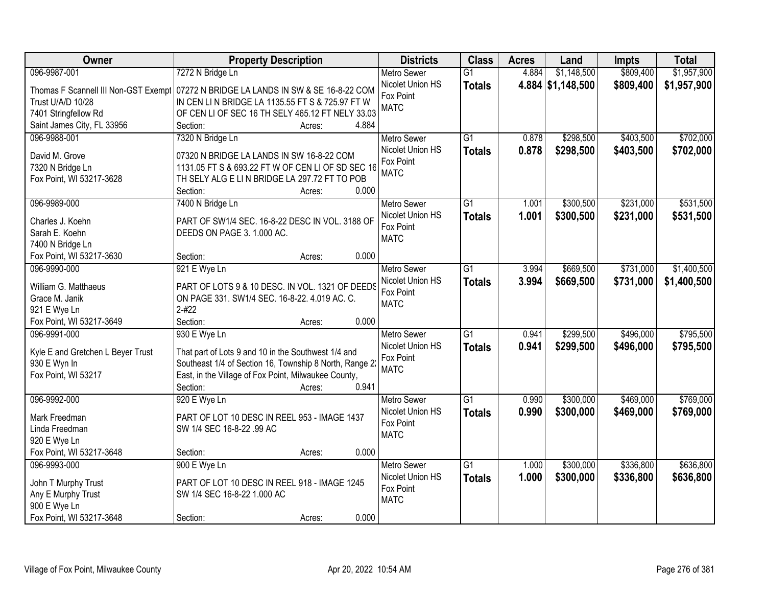| Owner                                        | <b>Property Description</b>                                                                                    |                 | <b>Districts</b>   | <b>Class</b>    | <b>Acres</b> | Land              | Impts     | <b>Total</b> |
|----------------------------------------------|----------------------------------------------------------------------------------------------------------------|-----------------|--------------------|-----------------|--------------|-------------------|-----------|--------------|
| 096-9987-001                                 | 7272 N Bridge Ln                                                                                               |                 | <b>Metro Sewer</b> | $\overline{G1}$ | 4.884        | \$1,148,500       | \$809,400 | \$1,957,900  |
| Thomas F Scannell III Non-GST Exempt         | 07272 N BRIDGE LA LANDS IN SW & SE 16-8-22 COM                                                                 |                 | Nicolet Union HS   | <b>Totals</b>   |              | 4.884 \$1,148,500 | \$809,400 | \$1,957,900  |
| Trust U/A/D 10/28                            | IN CEN LIN BRIDGE LA 1135.55 FT S & 725.97 FT W                                                                |                 | Fox Point          |                 |              |                   |           |              |
| 7401 Stringfellow Rd                         | OF CEN LI OF SEC 16 TH SELY 465.12 FT NELY 33.03                                                               |                 | <b>MATC</b>        |                 |              |                   |           |              |
| Saint James City, FL 33956                   | Section:                                                                                                       | 4.884<br>Acres: |                    |                 |              |                   |           |              |
| 096-9988-001                                 | 7320 N Bridge Ln                                                                                               |                 | <b>Metro Sewer</b> | $\overline{G1}$ | 0.878        | \$298,500         | \$403,500 | \$702,000    |
|                                              |                                                                                                                |                 | Nicolet Union HS   | <b>Totals</b>   | 0.878        | \$298,500         | \$403,500 | \$702,000    |
| David M. Grove                               | 07320 N BRIDGE LA LANDS IN SW 16-8-22 COM<br>1131.05 FT S & 693.22 FT W OF CEN LI OF SD SEC 16                 |                 | Fox Point          |                 |              |                   |           |              |
| 7320 N Bridge Ln<br>Fox Point, WI 53217-3628 | TH SELY ALG E LIN BRIDGE LA 297.72 FT TO POB                                                                   |                 | <b>MATC</b>        |                 |              |                   |           |              |
|                                              | Section:                                                                                                       | 0.000<br>Acres: |                    |                 |              |                   |           |              |
| 096-9989-000                                 | 7400 N Bridge Ln                                                                                               |                 | <b>Metro Sewer</b> | $\overline{G1}$ | 1.001        | \$300,500         | \$231,000 | \$531,500    |
|                                              |                                                                                                                |                 | Nicolet Union HS   | <b>Totals</b>   | 1.001        | \$300,500         | \$231,000 | \$531,500    |
| Charles J. Koehn                             | PART OF SW1/4 SEC. 16-8-22 DESC IN VOL. 3188 OF                                                                |                 | Fox Point          |                 |              |                   |           |              |
| Sarah E. Koehn                               | DEEDS ON PAGE 3. 1.000 AC.                                                                                     |                 | <b>MATC</b>        |                 |              |                   |           |              |
| 7400 N Bridge Ln                             |                                                                                                                |                 |                    |                 |              |                   |           |              |
| Fox Point, WI 53217-3630                     | Section:                                                                                                       | 0.000<br>Acres: |                    |                 |              |                   |           |              |
| 096-9990-000                                 | 921 E Wye Ln                                                                                                   |                 | <b>Metro Sewer</b> | $\overline{G1}$ | 3.994        | \$669,500         | \$731,000 | \$1,400,500  |
| William G. Matthaeus                         | PART OF LOTS 9 & 10 DESC. IN VOL. 1321 OF DEEDS                                                                |                 | Nicolet Union HS   | <b>Totals</b>   | 3.994        | \$669,500         | \$731,000 | \$1,400,500  |
| Grace M. Janik                               | ON PAGE 331. SW1/4 SEC. 16-8-22. 4.019 AC. C.                                                                  |                 | Fox Point          |                 |              |                   |           |              |
| 921 E Wye Ln                                 | $2 - 422$                                                                                                      |                 | <b>MATC</b>        |                 |              |                   |           |              |
| Fox Point, WI 53217-3649                     | Section:                                                                                                       | 0.000<br>Acres: |                    |                 |              |                   |           |              |
| 096-9991-000                                 | 930 E Wye Ln                                                                                                   |                 | <b>Metro Sewer</b> | $\overline{G1}$ | 0.941        | \$299,500         | \$496,000 | \$795,500    |
|                                              |                                                                                                                |                 | Nicolet Union HS   | <b>Totals</b>   | 0.941        | \$299,500         | \$496,000 | \$795,500    |
| Kyle E and Gretchen L Beyer Trust            | That part of Lots 9 and 10 in the Southwest 1/4 and                                                            |                 | Fox Point          |                 |              |                   |           |              |
| 930 E Wyn In<br>Fox Point, WI 53217          | Southeast 1/4 of Section 16, Township 8 North, Range 2<br>East, in the Village of Fox Point, Milwaukee County, |                 | <b>MATC</b>        |                 |              |                   |           |              |
|                                              | Section:                                                                                                       | 0.941<br>Acres: |                    |                 |              |                   |           |              |
| 096-9992-000                                 | 920 E Wye Ln                                                                                                   |                 | Metro Sewer        | $\overline{G1}$ | 0.990        | \$300,000         | \$469,000 | \$769,000    |
|                                              |                                                                                                                |                 | Nicolet Union HS   | <b>Totals</b>   | 0.990        | \$300,000         | \$469,000 | \$769,000    |
| Mark Freedman                                | PART OF LOT 10 DESC IN REEL 953 - IMAGE 1437                                                                   |                 | Fox Point          |                 |              |                   |           |              |
| Linda Freedman                               | SW 1/4 SEC 16-8-22 .99 AC                                                                                      |                 | <b>MATC</b>        |                 |              |                   |           |              |
| 920 E Wye Ln                                 |                                                                                                                |                 |                    |                 |              |                   |           |              |
| Fox Point, WI 53217-3648                     | Section:                                                                                                       | 0.000<br>Acres: |                    |                 |              |                   |           |              |
| 096-9993-000                                 | 900 E Wye Ln                                                                                                   |                 | <b>Metro Sewer</b> | $\overline{G1}$ | 1.000        | \$300,000         | \$336,800 | \$636,800    |
| John T Murphy Trust                          | PART OF LOT 10 DESC IN REEL 918 - IMAGE 1245                                                                   |                 | Nicolet Union HS   | <b>Totals</b>   | 1.000        | \$300,000         | \$336,800 | \$636,800    |
| Any E Murphy Trust                           | SW 1/4 SEC 16-8-22 1.000 AC                                                                                    |                 | Fox Point          |                 |              |                   |           |              |
| 900 E Wye Ln                                 |                                                                                                                |                 | <b>MATC</b>        |                 |              |                   |           |              |
| Fox Point, WI 53217-3648                     | Section:                                                                                                       | 0.000<br>Acres: |                    |                 |              |                   |           |              |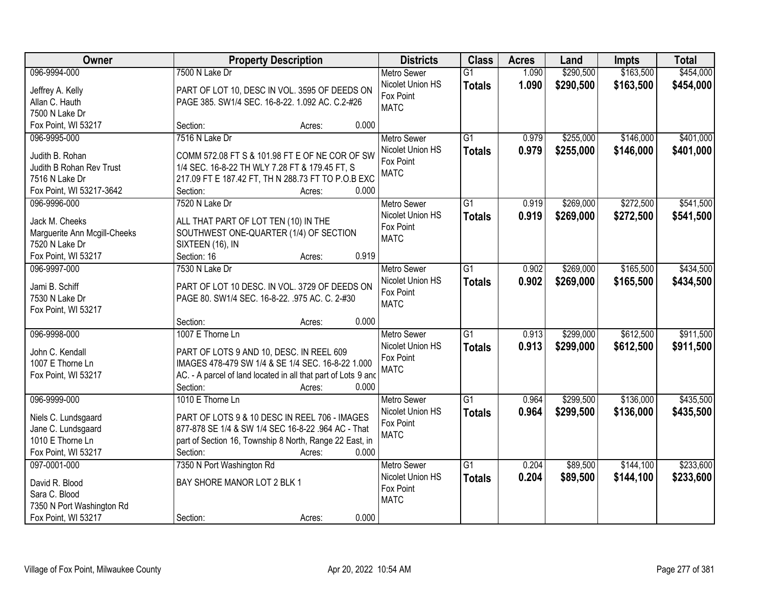| Owner                        | <b>Property Description</b>                                   |                 | <b>Districts</b>   | <b>Class</b>    | <b>Acres</b> | Land      | Impts     | <b>Total</b> |
|------------------------------|---------------------------------------------------------------|-----------------|--------------------|-----------------|--------------|-----------|-----------|--------------|
| 096-9994-000                 | 7500 N Lake Dr                                                |                 | <b>Metro Sewer</b> | $\overline{G1}$ | 1.090        | \$290,500 | \$163,500 | \$454,000    |
| Jeffrey A. Kelly             | PART OF LOT 10, DESC IN VOL. 3595 OF DEEDS ON                 |                 | Nicolet Union HS   | <b>Totals</b>   | 1.090        | \$290,500 | \$163,500 | \$454,000    |
| Allan C. Hauth               | PAGE 385. SW1/4 SEC. 16-8-22. 1.092 AC. C.2-#26               |                 | Fox Point          |                 |              |           |           |              |
| 7500 N Lake Dr               |                                                               |                 | <b>MATC</b>        |                 |              |           |           |              |
| Fox Point, WI 53217          | Section:                                                      | 0.000<br>Acres: |                    |                 |              |           |           |              |
| 096-9995-000                 | 7516 N Lake Dr                                                |                 | <b>Metro Sewer</b> | $\overline{G1}$ | 0.979        | \$255,000 | \$146,000 | \$401,000    |
|                              |                                                               |                 | Nicolet Union HS   | <b>Totals</b>   | 0.979        | \$255,000 | \$146,000 | \$401,000    |
| Judith B. Rohan              | COMM 572.08 FT S & 101.98 FT E OF NE COR OF SW                |                 | Fox Point          |                 |              |           |           |              |
| Judith B Rohan Rev Trust     | 1/4 SEC. 16-8-22 TH WLY 7.28 FT & 179.45 FT, S                |                 | <b>MATC</b>        |                 |              |           |           |              |
| 7516 N Lake Dr               | 217.09 FT E 187.42 FT, TH N 288.73 FT TO P.O.B EXC            |                 |                    |                 |              |           |           |              |
| Fox Point, WI 53217-3642     | Section:                                                      | 0.000<br>Acres: |                    |                 |              |           |           |              |
| 096-9996-000                 | 7520 N Lake Dr                                                |                 | Metro Sewer        | $\overline{G1}$ | 0.919        | \$269,000 | \$272,500 | \$541,500    |
| Jack M. Cheeks               | ALL THAT PART OF LOT TEN (10) IN THE                          |                 | Nicolet Union HS   | <b>Totals</b>   | 0.919        | \$269,000 | \$272,500 | \$541,500    |
| Marguerite Ann Mcgill-Cheeks | SOUTHWEST ONE-QUARTER (1/4) OF SECTION                        |                 | Fox Point          |                 |              |           |           |              |
| 7520 N Lake Dr               | SIXTEEN (16), IN                                              |                 | <b>MATC</b>        |                 |              |           |           |              |
| Fox Point, WI 53217          | Section: 16                                                   | 0.919<br>Acres: |                    |                 |              |           |           |              |
| 096-9997-000                 | 7530 N Lake Dr                                                |                 | <b>Metro Sewer</b> | $\overline{G1}$ | 0.902        | \$269,000 | \$165,500 | \$434,500    |
|                              |                                                               |                 | Nicolet Union HS   | <b>Totals</b>   | 0.902        | \$269,000 | \$165,500 | \$434,500    |
| Jami B. Schiff               | PART OF LOT 10 DESC. IN VOL. 3729 OF DEEDS ON                 |                 | Fox Point          |                 |              |           |           |              |
| 7530 N Lake Dr               | PAGE 80. SW1/4 SEC. 16-8-22. .975 AC. C. 2-#30                |                 | <b>MATC</b>        |                 |              |           |           |              |
| Fox Point, WI 53217          |                                                               |                 |                    |                 |              |           |           |              |
|                              | Section:                                                      | 0.000<br>Acres: |                    |                 |              |           |           |              |
| 096-9998-000                 | 1007 E Thorne Ln                                              |                 | Metro Sewer        | $\overline{G1}$ | 0.913        | \$299,000 | \$612,500 | \$911,500    |
| John C. Kendall              | PART OF LOTS 9 AND 10, DESC. IN REEL 609                      |                 | Nicolet Union HS   | <b>Totals</b>   | 0.913        | \$299,000 | \$612,500 | \$911,500    |
| 1007 E Thorne Ln             | IMAGES 478-479 SW 1/4 & SE 1/4 SEC. 16-8-22 1.000             |                 | Fox Point          |                 |              |           |           |              |
| Fox Point, WI 53217          | AC. - A parcel of land located in all that part of Lots 9 and |                 | <b>MATC</b>        |                 |              |           |           |              |
|                              | Section:                                                      | 0.000<br>Acres: |                    |                 |              |           |           |              |
| 096-9999-000                 | 1010 E Thorne Ln                                              |                 | <b>Metro Sewer</b> | $\overline{G1}$ | 0.964        | \$299,500 | \$136,000 | \$435,500    |
|                              |                                                               |                 | Nicolet Union HS   | <b>Totals</b>   | 0.964        | \$299,500 | \$136,000 | \$435,500    |
| Niels C. Lundsgaard          | PART OF LOTS 9 & 10 DESC IN REEL 706 - IMAGES                 |                 | Fox Point          |                 |              |           |           |              |
| Jane C. Lundsgaard           | 877-878 SE 1/4 & SW 1/4 SEC 16-8-22 .964 AC - That            |                 | <b>MATC</b>        |                 |              |           |           |              |
| 1010 E Thorne Ln             | part of Section 16, Township 8 North, Range 22 East, in       |                 |                    |                 |              |           |           |              |
| Fox Point, WI 53217          | Section:                                                      | 0.000<br>Acres: |                    |                 |              |           |           |              |
| 097-0001-000                 | 7350 N Port Washington Rd                                     |                 | <b>Metro Sewer</b> | $\overline{G1}$ | 0.204        | \$89,500  | \$144,100 | \$233,600    |
| David R. Blood               | BAY SHORE MANOR LOT 2 BLK 1                                   |                 | Nicolet Union HS   | <b>Totals</b>   | 0.204        | \$89,500  | \$144,100 | \$233,600    |
| Sara C. Blood                |                                                               |                 | Fox Point          |                 |              |           |           |              |
| 7350 N Port Washington Rd    |                                                               |                 | <b>MATC</b>        |                 |              |           |           |              |
| Fox Point, WI 53217          | Section:                                                      | 0.000<br>Acres: |                    |                 |              |           |           |              |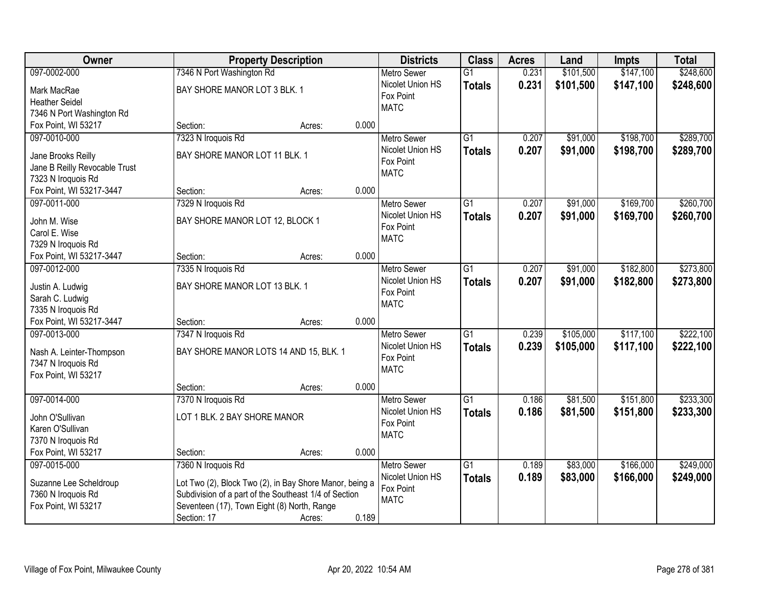| Owner                               |                                                         | <b>Property Description</b> |       | <b>Districts</b>         | <b>Class</b>    | <b>Acres</b> | Land      | <b>Impts</b> | <b>Total</b> |
|-------------------------------------|---------------------------------------------------------|-----------------------------|-------|--------------------------|-----------------|--------------|-----------|--------------|--------------|
| 097-0002-000                        | 7346 N Port Washington Rd                               |                             |       | <b>Metro Sewer</b>       | $\overline{G1}$ | 0.231        | \$101,500 | \$147,100    | \$248,600    |
| Mark MacRae                         | BAY SHORE MANOR LOT 3 BLK. 1                            |                             |       | Nicolet Union HS         | <b>Totals</b>   | 0.231        | \$101,500 | \$147,100    | \$248,600    |
| <b>Heather Seidel</b>               |                                                         |                             |       | Fox Point                |                 |              |           |              |              |
| 7346 N Port Washington Rd           |                                                         |                             |       | <b>MATC</b>              |                 |              |           |              |              |
| Fox Point, WI 53217                 | Section:                                                | Acres:                      | 0.000 |                          |                 |              |           |              |              |
| 097-0010-000                        | 7323 N Iroquois Rd                                      |                             |       | <b>Metro Sewer</b>       | $\overline{G1}$ | 0.207        | \$91,000  | \$198,700    | \$289,700    |
|                                     |                                                         |                             |       | Nicolet Union HS         | <b>Totals</b>   | 0.207        | \$91,000  | \$198,700    | \$289,700    |
| Jane Brooks Reilly                  | BAY SHORE MANOR LOT 11 BLK. 1                           |                             |       | Fox Point                |                 |              |           |              |              |
| Jane B Reilly Revocable Trust       |                                                         |                             |       | <b>MATC</b>              |                 |              |           |              |              |
| 7323 N Iroquois Rd                  |                                                         |                             | 0.000 |                          |                 |              |           |              |              |
| Fox Point, WI 53217-3447            | Section:                                                | Acres:                      |       |                          |                 |              |           |              |              |
| 097-0011-000                        | 7329 N Iroquois Rd                                      |                             |       | <b>Metro Sewer</b>       | $\overline{G1}$ | 0.207        | \$91,000  | \$169,700    | \$260,700    |
| John M. Wise                        | BAY SHORE MANOR LOT 12, BLOCK 1                         |                             |       | Nicolet Union HS         | <b>Totals</b>   | 0.207        | \$91,000  | \$169,700    | \$260,700    |
| Carol E. Wise                       |                                                         |                             |       | Fox Point<br><b>MATC</b> |                 |              |           |              |              |
| 7329 N Iroquois Rd                  |                                                         |                             |       |                          |                 |              |           |              |              |
| Fox Point, WI 53217-3447            | Section:                                                | Acres:                      | 0.000 |                          |                 |              |           |              |              |
| 097-0012-000                        | 7335 N Iroquois Rd                                      |                             |       | <b>Metro Sewer</b>       | $\overline{G1}$ | 0.207        | \$91,000  | \$182,800    | \$273,800    |
|                                     | BAY SHORE MANOR LOT 13 BLK. 1                           |                             |       | Nicolet Union HS         | <b>Totals</b>   | 0.207        | \$91,000  | \$182,800    | \$273,800    |
| Justin A. Ludwig<br>Sarah C. Ludwig |                                                         |                             |       | Fox Point                |                 |              |           |              |              |
| 7335 N Iroquois Rd                  |                                                         |                             |       | <b>MATC</b>              |                 |              |           |              |              |
| Fox Point, WI 53217-3447            | Section:                                                | Acres:                      | 0.000 |                          |                 |              |           |              |              |
| 097-0013-000                        | 7347 N Iroquois Rd                                      |                             |       | <b>Metro Sewer</b>       | $\overline{G1}$ | 0.239        | \$105,000 | \$117,100    | \$222,100    |
|                                     |                                                         |                             |       | Nicolet Union HS         | <b>Totals</b>   | 0.239        | \$105,000 | \$117,100    | \$222,100    |
| Nash A. Leinter-Thompson            | BAY SHORE MANOR LOTS 14 AND 15, BLK. 1                  |                             |       | Fox Point                |                 |              |           |              |              |
| 7347 N Iroquois Rd                  |                                                         |                             |       | <b>MATC</b>              |                 |              |           |              |              |
| Fox Point, WI 53217                 |                                                         |                             |       |                          |                 |              |           |              |              |
|                                     | Section:                                                | Acres:                      | 0.000 |                          |                 |              |           |              |              |
| 097-0014-000                        | 7370 N Iroquois Rd                                      |                             |       | Metro Sewer              | $\overline{G1}$ | 0.186        | \$81,500  | \$151,800    | \$233,300    |
| John O'Sullivan                     | LOT 1 BLK. 2 BAY SHORE MANOR                            |                             |       | Nicolet Union HS         | <b>Totals</b>   | 0.186        | \$81,500  | \$151,800    | \$233,300    |
| Karen O'Sullivan                    |                                                         |                             |       | Fox Point                |                 |              |           |              |              |
| 7370 N Iroquois Rd                  |                                                         |                             |       | <b>MATC</b>              |                 |              |           |              |              |
| Fox Point, WI 53217                 | Section:                                                | Acres:                      | 0.000 |                          |                 |              |           |              |              |
| 097-0015-000                        | 7360 N Iroquois Rd                                      |                             |       | <b>Metro Sewer</b>       | $\overline{G1}$ | 0.189        | \$83,000  | \$166,000    | \$249,000    |
|                                     |                                                         |                             |       | Nicolet Union HS         | <b>Totals</b>   | 0.189        | \$83,000  | \$166,000    | \$249,000    |
| Suzanne Lee Scheldroup              | Lot Two (2), Block Two (2), in Bay Shore Manor, being a |                             |       | Fox Point                |                 |              |           |              |              |
| 7360 N Iroquois Rd                  | Subdivision of a part of the Southeast 1/4 of Section   |                             |       | <b>MATC</b>              |                 |              |           |              |              |
| Fox Point, WI 53217                 | Seventeen (17), Town Eight (8) North, Range             |                             |       |                          |                 |              |           |              |              |
|                                     | Section: 17                                             | Acres:                      | 0.189 |                          |                 |              |           |              |              |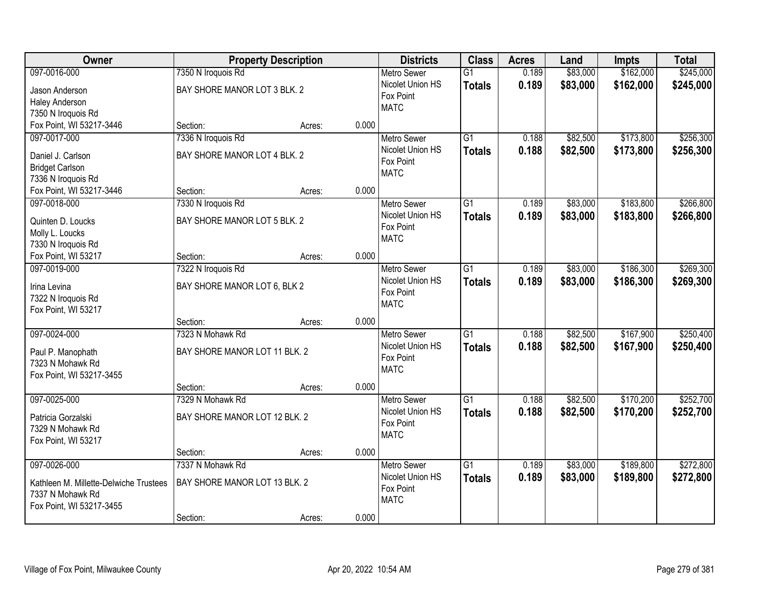| Owner                                          |                               | <b>Property Description</b> |       | <b>Districts</b>         | <b>Class</b>    | <b>Acres</b> | Land     | Impts     | <b>Total</b> |
|------------------------------------------------|-------------------------------|-----------------------------|-------|--------------------------|-----------------|--------------|----------|-----------|--------------|
| 097-0016-000                                   | 7350 N Iroquois Rd            |                             |       | <b>Metro Sewer</b>       | $\overline{G1}$ | 0.189        | \$83,000 | \$162,000 | \$245,000    |
| Jason Anderson                                 | BAY SHORE MANOR LOT 3 BLK. 2  |                             |       | Nicolet Union HS         | <b>Totals</b>   | 0.189        | \$83,000 | \$162,000 | \$245,000    |
| <b>Haley Anderson</b>                          |                               |                             |       | Fox Point                |                 |              |          |           |              |
| 7350 N Iroquois Rd                             |                               |                             |       | <b>MATC</b>              |                 |              |          |           |              |
| Fox Point, WI 53217-3446                       | Section:                      | Acres:                      | 0.000 |                          |                 |              |          |           |              |
| 097-0017-000                                   | 7336 N Iroquois Rd            |                             |       | <b>Metro Sewer</b>       | $\overline{G1}$ | 0.188        | \$82,500 | \$173,800 | \$256,300    |
|                                                | BAY SHORE MANOR LOT 4 BLK. 2  |                             |       | Nicolet Union HS         | <b>Totals</b>   | 0.188        | \$82,500 | \$173,800 | \$256,300    |
| Daniel J. Carlson                              |                               |                             |       | Fox Point                |                 |              |          |           |              |
| <b>Bridget Carlson</b>                         |                               |                             |       | <b>MATC</b>              |                 |              |          |           |              |
| 7336 N Iroquois Rd<br>Fox Point, WI 53217-3446 | Section:                      |                             | 0.000 |                          |                 |              |          |           |              |
|                                                |                               | Acres:                      |       |                          |                 |              |          |           |              |
| 097-0018-000                                   | 7330 N Iroquois Rd            |                             |       | Metro Sewer              | $\overline{G1}$ | 0.189        | \$83,000 | \$183,800 | \$266,800    |
| Quinten D. Loucks                              | BAY SHORE MANOR LOT 5 BLK. 2  |                             |       | Nicolet Union HS         | <b>Totals</b>   | 0.189        | \$83,000 | \$183,800 | \$266,800    |
| Molly L. Loucks                                |                               |                             |       | Fox Point                |                 |              |          |           |              |
| 7330 N Iroquois Rd                             |                               |                             |       | <b>MATC</b>              |                 |              |          |           |              |
| Fox Point, WI 53217                            | Section:                      | Acres:                      | 0.000 |                          |                 |              |          |           |              |
| 097-0019-000                                   | 7322 N Iroquois Rd            |                             |       | <b>Metro Sewer</b>       | $\overline{G1}$ | 0.189        | \$83,000 | \$186,300 | \$269,300    |
|                                                |                               |                             |       | Nicolet Union HS         | <b>Totals</b>   | 0.189        | \$83,000 | \$186,300 | \$269,300    |
| Irina Levina                                   | BAY SHORE MANOR LOT 6, BLK 2  |                             |       | Fox Point                |                 |              |          |           |              |
| 7322 N Iroquois Rd                             |                               |                             |       | <b>MATC</b>              |                 |              |          |           |              |
| Fox Point, WI 53217                            | Section:                      |                             | 0.000 |                          |                 |              |          |           |              |
| 097-0024-000                                   | 7323 N Mohawk Rd              | Acres:                      |       |                          | $\overline{G1}$ | 0.188        |          |           | \$250,400    |
|                                                |                               |                             |       | Metro Sewer              |                 |              | \$82,500 | \$167,900 |              |
| Paul P. Manophath                              | BAY SHORE MANOR LOT 11 BLK. 2 |                             |       | Nicolet Union HS         | <b>Totals</b>   | 0.188        | \$82,500 | \$167,900 | \$250,400    |
| 7323 N Mohawk Rd                               |                               |                             |       | Fox Point<br><b>MATC</b> |                 |              |          |           |              |
| Fox Point, WI 53217-3455                       |                               |                             |       |                          |                 |              |          |           |              |
|                                                | Section:                      | Acres:                      | 0.000 |                          |                 |              |          |           |              |
| 097-0025-000                                   | 7329 N Mohawk Rd              |                             |       | <b>Metro Sewer</b>       | $\overline{G1}$ | 0.188        | \$82,500 | \$170,200 | \$252,700    |
| Patricia Gorzalski                             | BAY SHORE MANOR LOT 12 BLK. 2 |                             |       | Nicolet Union HS         | <b>Totals</b>   | 0.188        | \$82,500 | \$170,200 | \$252,700    |
| 7329 N Mohawk Rd                               |                               |                             |       | Fox Point                |                 |              |          |           |              |
| Fox Point, WI 53217                            |                               |                             |       | <b>MATC</b>              |                 |              |          |           |              |
|                                                | Section:                      | Acres:                      | 0.000 |                          |                 |              |          |           |              |
| 097-0026-000                                   | 7337 N Mohawk Rd              |                             |       | <b>Metro Sewer</b>       | $\overline{G1}$ | 0.189        | \$83,000 | \$189,800 | \$272,800    |
|                                                |                               |                             |       | Nicolet Union HS         | <b>Totals</b>   | 0.189        | \$83,000 | \$189,800 | \$272,800    |
| Kathleen M. Millette-Delwiche Trustees         | BAY SHORE MANOR LOT 13 BLK. 2 |                             |       | Fox Point                |                 |              |          |           |              |
| 7337 N Mohawk Rd                               |                               |                             |       | <b>MATC</b>              |                 |              |          |           |              |
| Fox Point, WI 53217-3455                       |                               |                             |       |                          |                 |              |          |           |              |
|                                                | Section:                      | Acres:                      | 0.000 |                          |                 |              |          |           |              |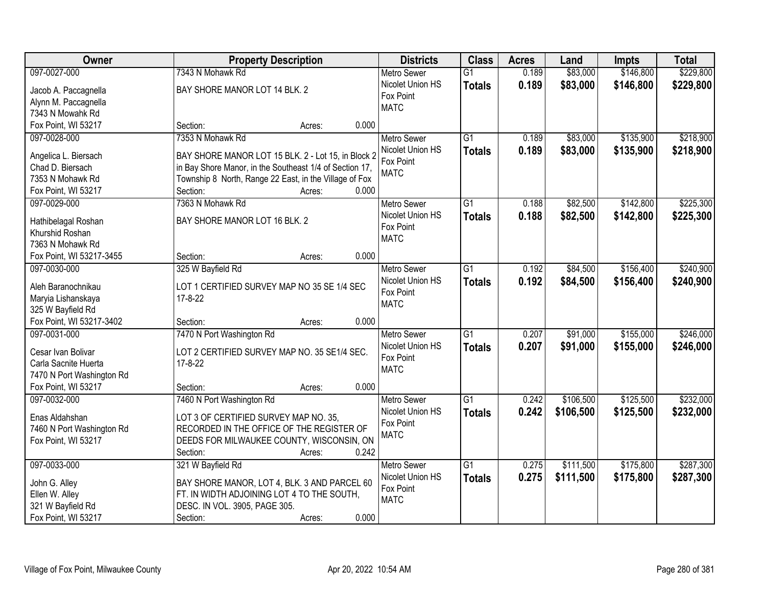| Owner                                    | <b>Property Description</b>                             | <b>Districts</b>         | <b>Class</b>    | <b>Acres</b> | Land      | Impts     | <b>Total</b> |
|------------------------------------------|---------------------------------------------------------|--------------------------|-----------------|--------------|-----------|-----------|--------------|
| 097-0027-000                             | 7343 N Mohawk Rd                                        | <b>Metro Sewer</b>       | $\overline{G1}$ | 0.189        | \$83,000  | \$146,800 | \$229,800    |
| Jacob A. Paccagnella                     | BAY SHORE MANOR LOT 14 BLK. 2                           | Nicolet Union HS         | <b>Totals</b>   | 0.189        | \$83,000  | \$146,800 | \$229,800    |
| Alynn M. Paccagnella                     |                                                         | Fox Point                |                 |              |           |           |              |
| 7343 N Mowahk Rd                         |                                                         | <b>MATC</b>              |                 |              |           |           |              |
| Fox Point, WI 53217                      | 0.000<br>Section:<br>Acres:                             |                          |                 |              |           |           |              |
| 097-0028-000                             | 7353 N Mohawk Rd                                        | <b>Metro Sewer</b>       | $\overline{G1}$ | 0.189        | \$83,000  | \$135,900 | \$218,900    |
|                                          |                                                         | Nicolet Union HS         | <b>Totals</b>   | 0.189        | \$83,000  | \$135,900 | \$218,900    |
| Angelica L. Biersach                     | BAY SHORE MANOR LOT 15 BLK. 2 - Lot 15, in Block 2      | Fox Point                |                 |              |           |           |              |
| Chad D. Biersach                         | in Bay Shore Manor, in the Southeast 1/4 of Section 17, | <b>MATC</b>              |                 |              |           |           |              |
| 7353 N Mohawk Rd                         | Township 8 North, Range 22 East, in the Village of Fox  |                          |                 |              |           |           |              |
| Fox Point, WI 53217                      | 0.000<br>Section:<br>Acres:                             |                          |                 |              |           |           |              |
| 097-0029-000                             | 7363 N Mohawk Rd                                        | Metro Sewer              | $\overline{G1}$ | 0.188        | \$82,500  | \$142,800 | \$225,300    |
| Hathibelagal Roshan                      | BAY SHORE MANOR LOT 16 BLK. 2                           | Nicolet Union HS         | <b>Totals</b>   | 0.188        | \$82,500  | \$142,800 | \$225,300    |
| Khurshid Roshan                          |                                                         | Fox Point<br><b>MATC</b> |                 |              |           |           |              |
| 7363 N Mohawk Rd                         |                                                         |                          |                 |              |           |           |              |
| Fox Point, WI 53217-3455                 | 0.000<br>Section:<br>Acres:                             |                          |                 |              |           |           |              |
| 097-0030-000                             | 325 W Bayfield Rd                                       | <b>Metro Sewer</b>       | G1              | 0.192        | \$84,500  | \$156,400 | \$240,900    |
|                                          | LOT 1 CERTIFIED SURVEY MAP NO 35 SE 1/4 SEC             | Nicolet Union HS         | <b>Totals</b>   | 0.192        | \$84,500  | \$156,400 | \$240,900    |
| Aleh Baranochnikau<br>Maryia Lishanskaya | 17-8-22                                                 | Fox Point                |                 |              |           |           |              |
| 325 W Bayfield Rd                        |                                                         | <b>MATC</b>              |                 |              |           |           |              |
| Fox Point, WI 53217-3402                 | 0.000<br>Section:<br>Acres:                             |                          |                 |              |           |           |              |
| 097-0031-000                             | 7470 N Port Washington Rd                               | <b>Metro Sewer</b>       | $\overline{G1}$ | 0.207        | \$91,000  | \$155,000 | \$246,000    |
|                                          |                                                         | Nicolet Union HS         | <b>Totals</b>   | 0.207        | \$91,000  | \$155,000 | \$246,000    |
| Cesar Ivan Bolivar                       | LOT 2 CERTIFIED SURVEY MAP NO. 35 SE1/4 SEC.            | Fox Point                |                 |              |           |           |              |
| Carla Sacnite Huerta                     | 17-8-22                                                 | <b>MATC</b>              |                 |              |           |           |              |
| 7470 N Port Washington Rd                |                                                         |                          |                 |              |           |           |              |
| Fox Point, WI 53217                      | 0.000<br>Section:<br>Acres:                             |                          |                 |              |           |           |              |
| 097-0032-000                             | 7460 N Port Washington Rd                               | <b>Metro Sewer</b>       | $\overline{G1}$ | 0.242        | \$106,500 | \$125,500 | \$232,000    |
| Enas Aldahshan                           | LOT 3 OF CERTIFIED SURVEY MAP NO. 35.                   | Nicolet Union HS         | <b>Totals</b>   | 0.242        | \$106,500 | \$125,500 | \$232,000    |
| 7460 N Port Washington Rd                | RECORDED IN THE OFFICE OF THE REGISTER OF               | Fox Point                |                 |              |           |           |              |
| Fox Point, WI 53217                      | DEEDS FOR MILWAUKEE COUNTY, WISCONSIN, ON               | <b>MATC</b>              |                 |              |           |           |              |
|                                          | 0.242<br>Section:<br>Acres:                             |                          |                 |              |           |           |              |
| 097-0033-000                             | 321 W Bayfield Rd                                       | <b>Metro Sewer</b>       | $\overline{G1}$ | 0.275        | \$111,500 | \$175,800 | \$287,300    |
|                                          |                                                         | Nicolet Union HS         | <b>Totals</b>   | 0.275        | \$111,500 | \$175,800 | \$287,300    |
| John G. Alley                            | BAY SHORE MANOR, LOT 4, BLK. 3 AND PARCEL 60            | Fox Point                |                 |              |           |           |              |
| Ellen W. Alley                           | FT. IN WIDTH ADJOINING LOT 4 TO THE SOUTH,              | <b>MATC</b>              |                 |              |           |           |              |
| 321 W Bayfield Rd                        | DESC. IN VOL. 3905, PAGE 305.                           |                          |                 |              |           |           |              |
| Fox Point, WI 53217                      | 0.000<br>Section:<br>Acres:                             |                          |                 |              |           |           |              |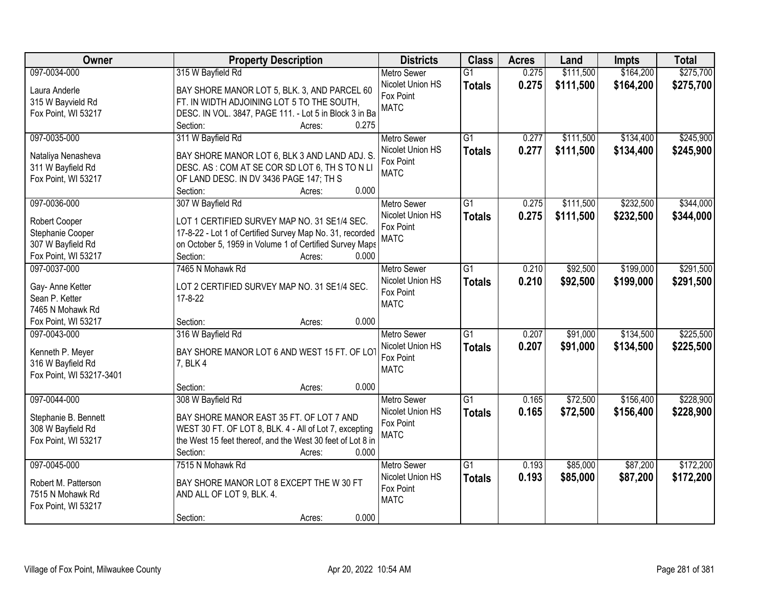| Owner                    | <b>Property Description</b>                                  | <b>Districts</b>   | <b>Class</b>    | <b>Acres</b> | Land      | Impts     | <b>Total</b> |
|--------------------------|--------------------------------------------------------------|--------------------|-----------------|--------------|-----------|-----------|--------------|
| 097-0034-000             | 315 W Bayfield Rd                                            | <b>Metro Sewer</b> | $\overline{G1}$ | 0.275        | \$111,500 | \$164,200 | \$275,700    |
| Laura Anderle            | BAY SHORE MANOR LOT 5, BLK. 3, AND PARCEL 60                 | Nicolet Union HS   | <b>Totals</b>   | 0.275        | \$111,500 | \$164,200 | \$275,700    |
| 315 W Bayvield Rd        | FT. IN WIDTH ADJOINING LOT 5 TO THE SOUTH,                   | Fox Point          |                 |              |           |           |              |
| Fox Point, WI 53217      | DESC. IN VOL. 3847, PAGE 111. - Lot 5 in Block 3 in Ba       | <b>MATC</b>        |                 |              |           |           |              |
|                          | 0.275<br>Section:<br>Acres:                                  |                    |                 |              |           |           |              |
| 097-0035-000             | 311 W Bayfield Rd                                            | <b>Metro Sewer</b> | $\overline{G1}$ | 0.277        | \$111,500 | \$134,400 | \$245,900    |
|                          |                                                              | Nicolet Union HS   | <b>Totals</b>   | 0.277        | \$111,500 | \$134,400 | \$245,900    |
| Nataliya Nenasheva       | BAY SHORE MANOR LOT 6, BLK 3 AND LAND ADJ. S.                | Fox Point          |                 |              |           |           |              |
| 311 W Bayfield Rd        | DESC. AS: COM AT SE COR SD LOT 6, TH S TO N LI               | <b>MATC</b>        |                 |              |           |           |              |
| Fox Point, WI 53217      | OF LAND DESC. IN DV 3436 PAGE 147; TH S<br>0.000<br>Section: |                    |                 |              |           |           |              |
| 097-0036-000             | Acres:<br>307 W Bayfield Rd                                  | Metro Sewer        | G1              | 0.275        | \$111,500 | \$232,500 | \$344,000    |
|                          |                                                              | Nicolet Union HS   |                 |              |           |           |              |
| Robert Cooper            | LOT 1 CERTIFIED SURVEY MAP NO. 31 SE1/4 SEC.                 | Fox Point          | <b>Totals</b>   | 0.275        | \$111,500 | \$232,500 | \$344,000    |
| Stephanie Cooper         | 17-8-22 - Lot 1 of Certified Survey Map No. 31, recorded     | <b>MATC</b>        |                 |              |           |           |              |
| 307 W Bayfield Rd        | on October 5, 1959 in Volume 1 of Certified Survey Maps      |                    |                 |              |           |           |              |
| Fox Point, WI 53217      | Section:<br>0.000<br>Acres:                                  |                    |                 |              |           |           |              |
| 097-0037-000             | 7465 N Mohawk Rd                                             | <b>Metro Sewer</b> | G1              | 0.210        | \$92,500  | \$199,000 | \$291,500    |
| Gay- Anne Ketter         | LOT 2 CERTIFIED SURVEY MAP NO. 31 SE1/4 SEC.                 | Nicolet Union HS   | <b>Totals</b>   | 0.210        | \$92,500  | \$199,000 | \$291,500    |
| Sean P. Ketter           | $17 - 8 - 22$                                                | Fox Point          |                 |              |           |           |              |
| 7465 N Mohawk Rd         |                                                              | <b>MATC</b>        |                 |              |           |           |              |
| Fox Point, WI 53217      | 0.000<br>Section:<br>Acres:                                  |                    |                 |              |           |           |              |
| 097-0043-000             | 316 W Bayfield Rd                                            | <b>Metro Sewer</b> | $\overline{G1}$ | 0.207        | \$91,000  | \$134,500 | \$225,500    |
|                          |                                                              | Nicolet Union HS   | <b>Totals</b>   | 0.207        | \$91,000  | \$134,500 | \$225,500    |
| Kenneth P. Meyer         | BAY SHORE MANOR LOT 6 AND WEST 15 FT. OF LOT                 | Fox Point          |                 |              |           |           |              |
| 316 W Bayfield Rd        | 7, BLK 4                                                     | <b>MATC</b>        |                 |              |           |           |              |
| Fox Point, WI 53217-3401 |                                                              |                    |                 |              |           |           |              |
|                          | 0.000<br>Section:<br>Acres:                                  |                    |                 |              |           |           |              |
| 097-0044-000             | 308 W Bayfield Rd                                            | <b>Metro Sewer</b> | G1              | 0.165        | \$72,500  | \$156,400 | \$228,900    |
| Stephanie B. Bennett     | BAY SHORE MANOR EAST 35 FT. OF LOT 7 AND                     | Nicolet Union HS   | <b>Totals</b>   | 0.165        | \$72,500  | \$156,400 | \$228,900    |
| 308 W Bayfield Rd        | WEST 30 FT. OF LOT 8, BLK. 4 - All of Lot 7, excepting       | Fox Point          |                 |              |           |           |              |
| Fox Point, WI 53217      | the West 15 feet thereof, and the West 30 feet of Lot 8 in   | <b>MATC</b>        |                 |              |           |           |              |
|                          | Section:<br>0.000<br>Acres:                                  |                    |                 |              |           |           |              |
| 097-0045-000             | 7515 N Mohawk Rd                                             | <b>Metro Sewer</b> | $\overline{G1}$ | 0.193        | \$85,000  | \$87,200  | \$172,200    |
|                          |                                                              | Nicolet Union HS   | <b>Totals</b>   | 0.193        | \$85,000  | \$87,200  | \$172,200    |
| Robert M. Patterson      | BAY SHORE MANOR LOT 8 EXCEPT THE W 30 FT                     | Fox Point          |                 |              |           |           |              |
| 7515 N Mohawk Rd         | AND ALL OF LOT 9, BLK. 4.                                    | <b>MATC</b>        |                 |              |           |           |              |
| Fox Point, WI 53217      |                                                              |                    |                 |              |           |           |              |
|                          | 0.000<br>Section:<br>Acres:                                  |                    |                 |              |           |           |              |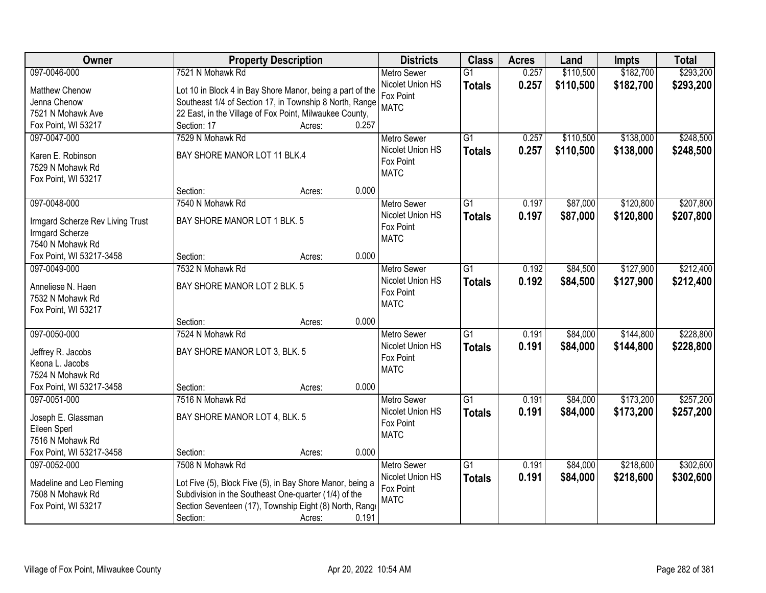| Owner                            | <b>Property Description</b>                               |                 | <b>Districts</b>              | <b>Class</b>    | <b>Acres</b> | Land      | <b>Impts</b> | <b>Total</b> |
|----------------------------------|-----------------------------------------------------------|-----------------|-------------------------------|-----------------|--------------|-----------|--------------|--------------|
| 097-0046-000                     | 7521 N Mohawk Rd                                          |                 | <b>Metro Sewer</b>            | $\overline{G1}$ | 0.257        | \$110,500 | \$182,700    | \$293,200    |
| Matthew Chenow                   | Lot 10 in Block 4 in Bay Shore Manor, being a part of the |                 | Nicolet Union HS              | <b>Totals</b>   | 0.257        | \$110,500 | \$182,700    | \$293,200    |
| Jenna Chenow                     | Southeast 1/4 of Section 17, in Township 8 North, Range   |                 | Fox Point                     |                 |              |           |              |              |
| 7521 N Mohawk Ave                | 22 East, in the Village of Fox Point, Milwaukee County,   |                 | <b>MATC</b>                   |                 |              |           |              |              |
| Fox Point, WI 53217              | Section: 17                                               | 0.257<br>Acres: |                               |                 |              |           |              |              |
| 097-0047-000                     | 7529 N Mohawk Rd                                          |                 | <b>Metro Sewer</b>            | $\overline{G1}$ | 0.257        | \$110,500 | \$138,000    | \$248,500    |
|                                  |                                                           |                 | Nicolet Union HS              | <b>Totals</b>   | 0.257        | \$110,500 | \$138,000    | \$248,500    |
| Karen E. Robinson                | BAY SHORE MANOR LOT 11 BLK.4                              |                 | Fox Point                     |                 |              |           |              |              |
| 7529 N Mohawk Rd                 |                                                           |                 | <b>MATC</b>                   |                 |              |           |              |              |
| Fox Point, WI 53217              | Section:                                                  | 0.000           |                               |                 |              |           |              |              |
| 097-0048-000                     | 7540 N Mohawk Rd                                          | Acres:          | Metro Sewer                   | $\overline{G1}$ | 0.197        | \$87,000  | \$120,800    | \$207,800    |
|                                  |                                                           |                 | Nicolet Union HS              |                 |              |           |              |              |
| Irmgard Scherze Rev Living Trust | BAY SHORE MANOR LOT 1 BLK. 5                              |                 | Fox Point                     | <b>Totals</b>   | 0.197        | \$87,000  | \$120,800    | \$207,800    |
| Irmgard Scherze                  |                                                           |                 | <b>MATC</b>                   |                 |              |           |              |              |
| 7540 N Mohawk Rd                 |                                                           |                 |                               |                 |              |           |              |              |
| Fox Point, WI 53217-3458         | Section:                                                  | 0.000<br>Acres: |                               |                 |              |           |              |              |
| 097-0049-000                     | 7532 N Mohawk Rd                                          |                 | <b>Metro Sewer</b>            | $\overline{G1}$ | 0.192        | \$84,500  | \$127,900    | \$212,400    |
| Anneliese N. Haen                | BAY SHORE MANOR LOT 2 BLK. 5                              |                 | Nicolet Union HS              | <b>Totals</b>   | 0.192        | \$84,500  | \$127,900    | \$212,400    |
| 7532 N Mohawk Rd                 |                                                           |                 | Fox Point                     |                 |              |           |              |              |
| Fox Point, WI 53217              |                                                           |                 | <b>MATC</b>                   |                 |              |           |              |              |
|                                  | Section:                                                  | 0.000<br>Acres: |                               |                 |              |           |              |              |
| 097-0050-000                     | 7524 N Mohawk Rd                                          |                 | <b>Metro Sewer</b>            | $\overline{G1}$ | 0.191        | \$84,000  | \$144,800    | \$228,800    |
|                                  |                                                           |                 | Nicolet Union HS              | <b>Totals</b>   | 0.191        | \$84,000  | \$144,800    | \$228,800    |
| Jeffrey R. Jacobs                | BAY SHORE MANOR LOT 3, BLK. 5                             |                 | Fox Point                     |                 |              |           |              |              |
| Keona L. Jacobs                  |                                                           |                 | <b>MATC</b>                   |                 |              |           |              |              |
| 7524 N Mohawk Rd                 |                                                           |                 |                               |                 |              |           |              |              |
| Fox Point, WI 53217-3458         | Section:                                                  | 0.000<br>Acres: |                               |                 |              |           |              |              |
| 097-0051-000                     | 7516 N Mohawk Rd                                          |                 | Metro Sewer                   | $\overline{G1}$ | 0.191        | \$84,000  | \$173,200    | \$257,200    |
| Joseph E. Glassman               | BAY SHORE MANOR LOT 4, BLK. 5                             |                 | Nicolet Union HS<br>Fox Point | <b>Totals</b>   | 0.191        | \$84,000  | \$173,200    | \$257,200    |
| Eileen Sperl                     |                                                           |                 | <b>MATC</b>                   |                 |              |           |              |              |
| 7516 N Mohawk Rd                 |                                                           |                 |                               |                 |              |           |              |              |
| Fox Point, WI 53217-3458         | Section:                                                  | 0.000<br>Acres: |                               |                 |              |           |              |              |
| 097-0052-000                     | 7508 N Mohawk Rd                                          |                 | <b>Metro Sewer</b>            | $\overline{G1}$ | 0.191        | \$84,000  | \$218,600    | \$302,600    |
| Madeline and Leo Fleming         | Lot Five (5), Block Five (5), in Bay Shore Manor, being a |                 | Nicolet Union HS              | <b>Totals</b>   | 0.191        | \$84,000  | \$218,600    | \$302,600    |
| 7508 N Mohawk Rd                 | Subdivision in the Southeast One-quarter (1/4) of the     |                 | Fox Point                     |                 |              |           |              |              |
| Fox Point, WI 53217              | Section Seventeen (17), Township Eight (8) North, Range   |                 | <b>MATC</b>                   |                 |              |           |              |              |
|                                  | Section:                                                  | 0.191<br>Acres: |                               |                 |              |           |              |              |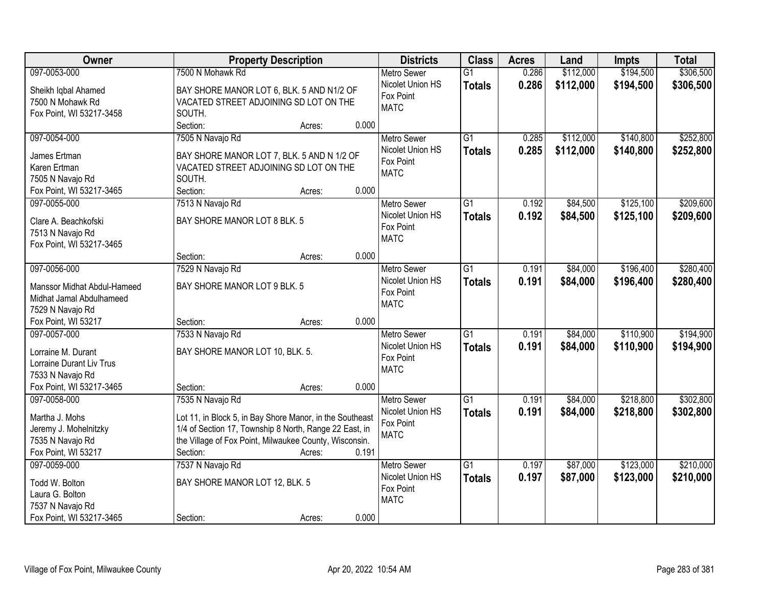| Owner                       | <b>Property Description</b>                                                          | <b>Districts</b>   | <b>Class</b>    | <b>Acres</b> | Land      | <b>Impts</b> | <b>Total</b> |
|-----------------------------|--------------------------------------------------------------------------------------|--------------------|-----------------|--------------|-----------|--------------|--------------|
| 097-0053-000                | 7500 N Mohawk Rd                                                                     | <b>Metro Sewer</b> | $\overline{G1}$ | 0.286        | \$112,000 | \$194,500    | \$306,500    |
| Sheikh Iqbal Ahamed         | BAY SHORE MANOR LOT 6, BLK. 5 AND N1/2 OF                                            | Nicolet Union HS   | <b>Totals</b>   | 0.286        | \$112,000 | \$194,500    | \$306,500    |
| 7500 N Mohawk Rd            | VACATED STREET ADJOINING SD LOT ON THE                                               | Fox Point          |                 |              |           |              |              |
| Fox Point, WI 53217-3458    | SOUTH.                                                                               | <b>MATC</b>        |                 |              |           |              |              |
|                             | 0.000<br>Section:<br>Acres:                                                          |                    |                 |              |           |              |              |
| 097-0054-000                | 7505 N Navajo Rd                                                                     | <b>Metro Sewer</b> | $\overline{G1}$ | 0.285        | \$112,000 | \$140,800    | \$252,800    |
| James Ertman                |                                                                                      | Nicolet Union HS   | <b>Totals</b>   | 0.285        | \$112,000 | \$140,800    | \$252,800    |
| Karen Ertman                | BAY SHORE MANOR LOT 7, BLK. 5 AND N 1/2 OF<br>VACATED STREET ADJOINING SD LOT ON THE | Fox Point          |                 |              |           |              |              |
| 7505 N Navajo Rd            | SOUTH.                                                                               | <b>MATC</b>        |                 |              |           |              |              |
| Fox Point, WI 53217-3465    | Section:<br>0.000<br>Acres:                                                          |                    |                 |              |           |              |              |
| 097-0055-000                | 7513 N Navajo Rd                                                                     | Metro Sewer        | $\overline{G1}$ | 0.192        | \$84,500  | \$125,100    | \$209,600    |
|                             |                                                                                      | Nicolet Union HS   | <b>Totals</b>   | 0.192        | \$84,500  | \$125,100    | \$209,600    |
| Clare A. Beachkofski        | BAY SHORE MANOR LOT 8 BLK. 5                                                         | Fox Point          |                 |              |           |              |              |
| 7513 N Navajo Rd            |                                                                                      | <b>MATC</b>        |                 |              |           |              |              |
| Fox Point, WI 53217-3465    |                                                                                      |                    |                 |              |           |              |              |
|                             | 0.000<br>Section:<br>Acres:                                                          |                    |                 |              |           |              |              |
| 097-0056-000                | 7529 N Navajo Rd                                                                     | <b>Metro Sewer</b> | $\overline{G1}$ | 0.191        | \$84,000  | \$196,400    | \$280,400    |
| Manssor Midhat Abdul-Hameed | BAY SHORE MANOR LOT 9 BLK. 5                                                         | Nicolet Union HS   | <b>Totals</b>   | 0.191        | \$84,000  | \$196,400    | \$280,400    |
| Midhat Jamal Abdulhameed    |                                                                                      | Fox Point          |                 |              |           |              |              |
| 7529 N Navajo Rd            |                                                                                      | <b>MATC</b>        |                 |              |           |              |              |
| Fox Point, WI 53217         | 0.000<br>Section:<br>Acres:                                                          |                    |                 |              |           |              |              |
| 097-0057-000                | 7533 N Navajo Rd                                                                     | <b>Metro Sewer</b> | $\overline{G1}$ | 0.191        | \$84,000  | \$110,900    | \$194,900    |
| Lorraine M. Durant          | BAY SHORE MANOR LOT 10, BLK. 5.                                                      | Nicolet Union HS   | <b>Totals</b>   | 0.191        | \$84,000  | \$110,900    | \$194,900    |
| Lorraine Durant Liv Trus    |                                                                                      | Fox Point          |                 |              |           |              |              |
| 7533 N Navajo Rd            |                                                                                      | <b>MATC</b>        |                 |              |           |              |              |
| Fox Point, WI 53217-3465    | 0.000<br>Section:<br>Acres:                                                          |                    |                 |              |           |              |              |
| 097-0058-000                | 7535 N Navajo Rd                                                                     | Metro Sewer        | $\overline{G1}$ | 0.191        | \$84,000  | \$218,800    | \$302,800    |
|                             |                                                                                      | Nicolet Union HS   | <b>Totals</b>   | 0.191        | \$84,000  | \$218,800    | \$302,800    |
| Martha J. Mohs              | Lot 11, in Block 5, in Bay Shore Manor, in the Southeast                             | Fox Point          |                 |              |           |              |              |
| Jeremy J. Mohelnitzky       | 1/4 of Section 17, Township 8 North, Range 22 East, in                               | <b>MATC</b>        |                 |              |           |              |              |
| 7535 N Navajo Rd            | the Village of Fox Point, Milwaukee County, Wisconsin.                               |                    |                 |              |           |              |              |
| Fox Point, WI 53217         | Section:<br>0.191<br>Acres:                                                          |                    |                 |              |           |              |              |
| 097-0059-000                | 7537 N Navajo Rd                                                                     | <b>Metro Sewer</b> | $\overline{G1}$ | 0.197        | \$87,000  | \$123,000    | \$210,000    |
| Todd W. Bolton              | BAY SHORE MANOR LOT 12, BLK. 5                                                       | Nicolet Union HS   | <b>Totals</b>   | 0.197        | \$87,000  | \$123,000    | \$210,000    |
| Laura G. Bolton             |                                                                                      | Fox Point          |                 |              |           |              |              |
| 7537 N Navajo Rd            |                                                                                      | <b>MATC</b>        |                 |              |           |              |              |
| Fox Point, WI 53217-3465    | 0.000<br>Section:<br>Acres:                                                          |                    |                 |              |           |              |              |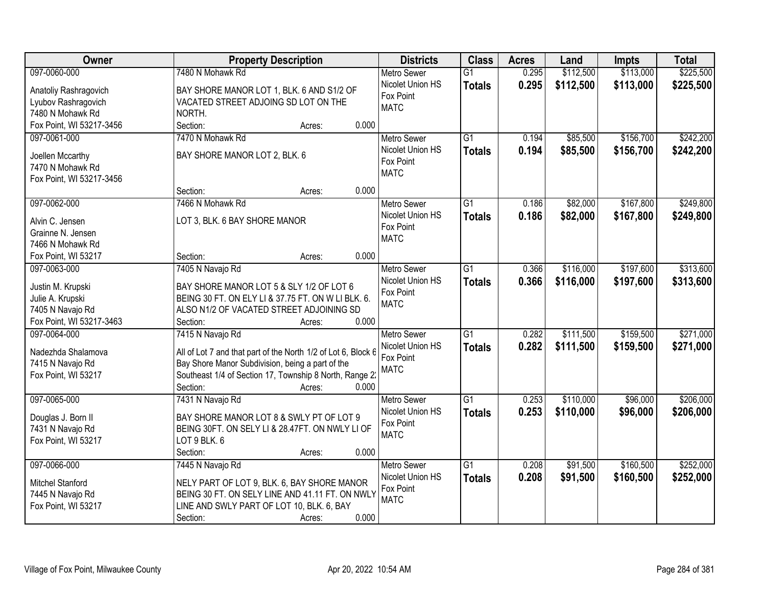| Owner                    | <b>Property Description</b>                                                                    | <b>Districts</b>         | <b>Class</b>    | <b>Acres</b> | Land      | <b>Impts</b> | <b>Total</b> |
|--------------------------|------------------------------------------------------------------------------------------------|--------------------------|-----------------|--------------|-----------|--------------|--------------|
| 097-0060-000             | 7480 N Mohawk Rd                                                                               | <b>Metro Sewer</b>       | $\overline{G1}$ | 0.295        | \$112,500 | \$113,000    | \$225,500    |
| Anatoliy Rashragovich    | BAY SHORE MANOR LOT 1, BLK. 6 AND S1/2 OF                                                      | Nicolet Union HS         | <b>Totals</b>   | 0.295        | \$112,500 | \$113,000    | \$225,500    |
| Lyubov Rashragovich      | VACATED STREET ADJOING SD LOT ON THE                                                           | Fox Point                |                 |              |           |              |              |
| 7480 N Mohawk Rd         | NORTH.                                                                                         | <b>MATC</b>              |                 |              |           |              |              |
| Fox Point, WI 53217-3456 | 0.000<br>Section:<br>Acres:                                                                    |                          |                 |              |           |              |              |
| 097-0061-000             | 7470 N Mohawk Rd                                                                               | <b>Metro Sewer</b>       | $\overline{G1}$ | 0.194        | \$85,500  | \$156,700    | \$242,200    |
|                          |                                                                                                | Nicolet Union HS         | <b>Totals</b>   | 0.194        | \$85,500  | \$156,700    | \$242,200    |
| Joellen Mccarthy         | BAY SHORE MANOR LOT 2, BLK. 6                                                                  | Fox Point                |                 |              |           |              |              |
| 7470 N Mohawk Rd         |                                                                                                | <b>MATC</b>              |                 |              |           |              |              |
| Fox Point, WI 53217-3456 | 0.000                                                                                          |                          |                 |              |           |              |              |
|                          | Section:<br>Acres:                                                                             |                          |                 |              |           |              |              |
| 097-0062-000             | 7466 N Mohawk Rd                                                                               | <b>Metro Sewer</b>       | G1              | 0.186        | \$82,000  | \$167,800    | \$249,800    |
| Alvin C. Jensen          | LOT 3, BLK. 6 BAY SHORE MANOR                                                                  | Nicolet Union HS         | <b>Totals</b>   | 0.186        | \$82,000  | \$167,800    | \$249,800    |
| Grainne N. Jensen        |                                                                                                | Fox Point<br><b>MATC</b> |                 |              |           |              |              |
| 7466 N Mohawk Rd         |                                                                                                |                          |                 |              |           |              |              |
| Fox Point, WI 53217      | 0.000<br>Section:<br>Acres:                                                                    |                          |                 |              |           |              |              |
| 097-0063-000             | 7405 N Navajo Rd                                                                               | <b>Metro Sewer</b>       | G1              | 0.366        | \$116,000 | \$197,600    | \$313,600    |
| Justin M. Krupski        | BAY SHORE MANOR LOT 5 & SLY 1/2 OF LOT 6                                                       | Nicolet Union HS         | <b>Totals</b>   | 0.366        | \$116,000 | \$197,600    | \$313,600    |
| Julie A. Krupski         | BEING 30 FT. ON ELY LI & 37.75 FT. ON W LI BLK. 6.                                             | Fox Point                |                 |              |           |              |              |
| 7405 N Navajo Rd         | ALSO N1/2 OF VACATED STREET ADJOINING SD                                                       | <b>MATC</b>              |                 |              |           |              |              |
| Fox Point, WI 53217-3463 | Section:<br>0.000<br>Acres:                                                                    |                          |                 |              |           |              |              |
| 097-0064-000             | 7415 N Navajo Rd                                                                               | <b>Metro Sewer</b>       | $\overline{G1}$ | 0.282        | \$111,500 | \$159,500    | \$271,000    |
|                          |                                                                                                | Nicolet Union HS         | <b>Totals</b>   | 0.282        | \$111,500 | \$159,500    | \$271,000    |
| Nadezhda Shalamova       | All of Lot 7 and that part of the North 1/2 of Lot 6, Block 6                                  | Fox Point                |                 |              |           |              |              |
| 7415 N Navajo Rd         | Bay Shore Manor Subdivision, being a part of the                                               | <b>MATC</b>              |                 |              |           |              |              |
| Fox Point, WI 53217      | Southeast 1/4 of Section 17, Township 8 North, Range 2:                                        |                          |                 |              |           |              |              |
|                          | 0.000<br>Section:<br>Acres:                                                                    |                          |                 |              |           |              |              |
| 097-0065-000             | 7431 N Navajo Rd                                                                               | <b>Metro Sewer</b>       | $\overline{G1}$ | 0.253        | \$110,000 | \$96,000     | \$206,000    |
| Douglas J. Born II       | BAY SHORE MANOR LOT 8 & SWLY PT OF LOT 9                                                       | Nicolet Union HS         | <b>Totals</b>   | 0.253        | \$110,000 | \$96,000     | \$206,000    |
| 7431 N Navajo Rd         | BEING 30FT. ON SELY LI & 28.47FT. ON NWLY LI OF                                                | Fox Point                |                 |              |           |              |              |
| Fox Point, WI 53217      | LOT 9 BLK. 6                                                                                   | <b>MATC</b>              |                 |              |           |              |              |
|                          | 0.000<br>Section:<br>Acres:                                                                    |                          |                 |              |           |              |              |
| 097-0066-000             | 7445 N Navajo Rd                                                                               | <b>Metro Sewer</b>       | $\overline{G1}$ | 0.208        | \$91,500  | \$160,500    | \$252,000    |
|                          |                                                                                                | Nicolet Union HS         | <b>Totals</b>   | 0.208        | \$91,500  | \$160,500    | \$252,000    |
| Mitchel Stanford         | NELY PART OF LOT 9, BLK. 6, BAY SHORE MANOR<br>BEING 30 FT. ON SELY LINE AND 41.11 FT. ON NWLY | Fox Point                |                 |              |           |              |              |
| 7445 N Navajo Rd         | LINE AND SWLY PART OF LOT 10, BLK. 6, BAY                                                      | <b>MATC</b>              |                 |              |           |              |              |
| Fox Point, WI 53217      | 0.000<br>Section:                                                                              |                          |                 |              |           |              |              |
|                          | Acres:                                                                                         |                          |                 |              |           |              |              |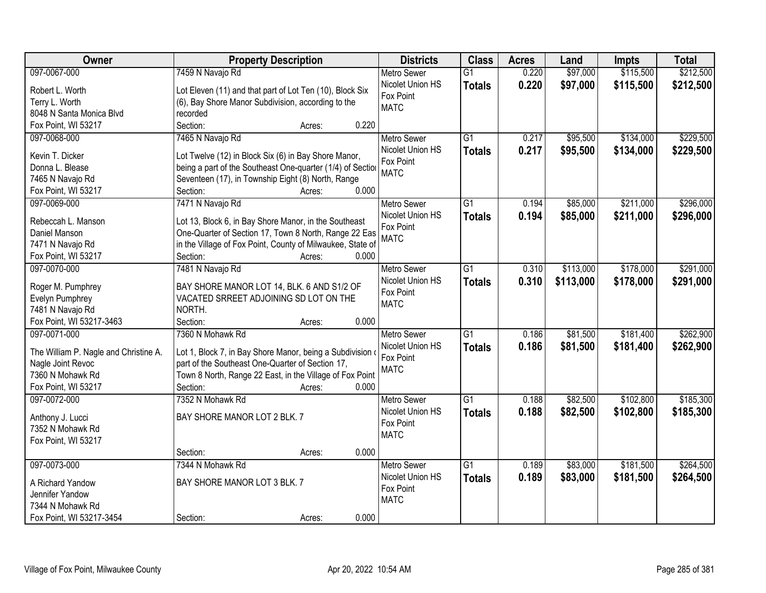| Owner                                                      | <b>Property Description</b>                                                                                 | <b>Districts</b>         | <b>Class</b>    | <b>Acres</b> | Land      | <b>Impts</b> | <b>Total</b> |
|------------------------------------------------------------|-------------------------------------------------------------------------------------------------------------|--------------------------|-----------------|--------------|-----------|--------------|--------------|
| 097-0067-000                                               | 7459 N Navajo Rd                                                                                            | <b>Metro Sewer</b>       | $\overline{G1}$ | 0.220        | \$97,000  | \$115,500    | \$212,500    |
| Robert L. Worth                                            | Lot Eleven (11) and that part of Lot Ten (10), Block Six                                                    | Nicolet Union HS         | <b>Totals</b>   | 0.220        | \$97,000  | \$115,500    | \$212,500    |
| Terry L. Worth                                             | (6), Bay Shore Manor Subdivision, according to the                                                          | Fox Point                |                 |              |           |              |              |
| 8048 N Santa Monica Blvd                                   | recorded                                                                                                    | <b>MATC</b>              |                 |              |           |              |              |
| Fox Point, WI 53217                                        | 0.220<br>Section:<br>Acres:                                                                                 |                          |                 |              |           |              |              |
| 097-0068-000                                               | 7465 N Navajo Rd                                                                                            | <b>Metro Sewer</b>       | $\overline{G1}$ | 0.217        | \$95,500  | \$134,000    | \$229,500    |
|                                                            |                                                                                                             | Nicolet Union HS         | <b>Totals</b>   | 0.217        | \$95,500  | \$134,000    | \$229,500    |
| Kevin T. Dicker                                            | Lot Twelve (12) in Block Six (6) in Bay Shore Manor,                                                        | Fox Point                |                 |              |           |              |              |
| Donna L. Blease                                            | being a part of the Southeast One-quarter (1/4) of Section                                                  | <b>MATC</b>              |                 |              |           |              |              |
| 7465 N Navajo Rd                                           | Seventeen (17), in Township Eight (8) North, Range                                                          |                          |                 |              |           |              |              |
| Fox Point, WI 53217                                        | 0.000<br>Section:<br>Acres:                                                                                 |                          |                 |              |           |              |              |
| 097-0069-000                                               | 7471 N Navajo Rd                                                                                            | Metro Sewer              | $\overline{G1}$ | 0.194        | \$85,000  | \$211,000    | \$296,000    |
| Rebeccah L. Manson                                         | Lot 13, Block 6, in Bay Shore Manor, in the Southeast                                                       | Nicolet Union HS         | <b>Totals</b>   | 0.194        | \$85,000  | \$211,000    | \$296,000    |
| Daniel Manson                                              | One-Quarter of Section 17, Town 8 North, Range 22 Eas                                                       | Fox Point                |                 |              |           |              |              |
| 7471 N Navajo Rd                                           | in the Village of Fox Point, County of Milwaukee, State of                                                  | <b>MATC</b>              |                 |              |           |              |              |
| Fox Point, WI 53217                                        | Section:<br>0.000<br>Acres:                                                                                 |                          |                 |              |           |              |              |
| 097-0070-000                                               | 7481 N Navajo Rd                                                                                            | <b>Metro Sewer</b>       | $\overline{G1}$ | 0.310        | \$113,000 | \$178,000    | \$291,000    |
|                                                            |                                                                                                             | Nicolet Union HS         |                 | 0.310        | \$113,000 | \$178,000    |              |
| Roger M. Pumphrey                                          | BAY SHORE MANOR LOT 14, BLK. 6 AND S1/2 OF                                                                  | Fox Point                | <b>Totals</b>   |              |           |              | \$291,000    |
| Evelyn Pumphrey                                            | VACATED SRREET ADJOINING SD LOT ON THE                                                                      | <b>MATC</b>              |                 |              |           |              |              |
| 7481 N Navajo Rd                                           | NORTH.                                                                                                      |                          |                 |              |           |              |              |
| Fox Point, WI 53217-3463                                   | 0.000<br>Section:<br>Acres:                                                                                 |                          |                 |              |           |              |              |
| 097-0071-000                                               | 7360 N Mohawk Rd                                                                                            | <b>Metro Sewer</b>       | $\overline{G1}$ | 0.186        | \$81,500  | \$181,400    | \$262,900    |
|                                                            |                                                                                                             | Nicolet Union HS         | <b>Totals</b>   | 0.186        | \$81,500  | \$181,400    | \$262,900    |
| The William P. Nagle and Christine A.<br>Nagle Joint Revoc | Lot 1, Block 7, in Bay Shore Manor, being a Subdivision<br>part of the Southeast One-Quarter of Section 17, | Fox Point                |                 |              |           |              |              |
| 7360 N Mohawk Rd                                           | Town 8 North, Range 22 East, in the Village of Fox Point                                                    | <b>MATC</b>              |                 |              |           |              |              |
| Fox Point, WI 53217                                        | Section:<br>0.000<br>Acres:                                                                                 |                          |                 |              |           |              |              |
| 097-0072-000                                               | 7352 N Mohawk Rd                                                                                            |                          | $\overline{G1}$ | 0.188        |           |              | \$185,300    |
|                                                            |                                                                                                             | <b>Metro Sewer</b>       |                 |              | \$82,500  | \$102,800    |              |
| Anthony J. Lucci                                           | BAY SHORE MANOR LOT 2 BLK. 7                                                                                | Nicolet Union HS         | <b>Totals</b>   | 0.188        | \$82,500  | \$102,800    | \$185,300    |
| 7352 N Mohawk Rd                                           |                                                                                                             | Fox Point<br><b>MATC</b> |                 |              |           |              |              |
| Fox Point, WI 53217                                        |                                                                                                             |                          |                 |              |           |              |              |
|                                                            | 0.000<br>Section:<br>Acres:                                                                                 |                          |                 |              |           |              |              |
| 097-0073-000                                               | 7344 N Mohawk Rd                                                                                            | <b>Metro Sewer</b>       | $\overline{G1}$ | 0.189        | \$83,000  | \$181,500    | \$264,500    |
|                                                            |                                                                                                             | Nicolet Union HS         | <b>Totals</b>   | 0.189        | \$83,000  | \$181,500    | \$264,500    |
| A Richard Yandow                                           | BAY SHORE MANOR LOT 3 BLK. 7                                                                                | Fox Point                |                 |              |           |              |              |
| Jennifer Yandow                                            |                                                                                                             | <b>MATC</b>              |                 |              |           |              |              |
| 7344 N Mohawk Rd                                           |                                                                                                             |                          |                 |              |           |              |              |
| Fox Point, WI 53217-3454                                   | 0.000<br>Section:<br>Acres:                                                                                 |                          |                 |              |           |              |              |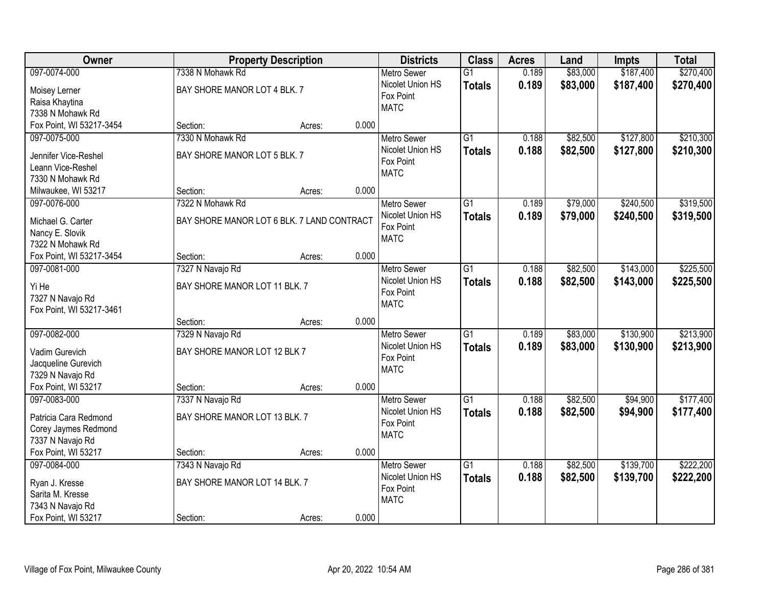| Owner                    |                                            | <b>Property Description</b> |       | <b>Districts</b>   | <b>Class</b>    | <b>Acres</b> | Land     | <b>Impts</b> | <b>Total</b> |
|--------------------------|--------------------------------------------|-----------------------------|-------|--------------------|-----------------|--------------|----------|--------------|--------------|
| 097-0074-000             | 7338 N Mohawk Rd                           |                             |       | <b>Metro Sewer</b> | $\overline{G1}$ | 0.189        | \$83,000 | \$187,400    | \$270,400    |
| Moisey Lerner            | BAY SHORE MANOR LOT 4 BLK. 7               |                             |       | Nicolet Union HS   | <b>Totals</b>   | 0.189        | \$83,000 | \$187,400    | \$270,400    |
| Raisa Khaytina           |                                            |                             |       | Fox Point          |                 |              |          |              |              |
| 7338 N Mohawk Rd         |                                            |                             |       | <b>MATC</b>        |                 |              |          |              |              |
| Fox Point, WI 53217-3454 | Section:                                   | Acres:                      | 0.000 |                    |                 |              |          |              |              |
| 097-0075-000             | 7330 N Mohawk Rd                           |                             |       | Metro Sewer        | $\overline{G1}$ | 0.188        | \$82,500 | \$127,800    | \$210,300    |
|                          |                                            |                             |       | Nicolet Union HS   | <b>Totals</b>   | 0.188        | \$82,500 | \$127,800    | \$210,300    |
| Jennifer Vice-Reshel     | BAY SHORE MANOR LOT 5 BLK. 7               |                             |       | Fox Point          |                 |              |          |              |              |
| Leann Vice-Reshel        |                                            |                             |       | <b>MATC</b>        |                 |              |          |              |              |
| 7330 N Mohawk Rd         |                                            |                             |       |                    |                 |              |          |              |              |
| Milwaukee, WI 53217      | Section:                                   | Acres:                      | 0.000 |                    |                 |              |          |              |              |
| 097-0076-000             | 7322 N Mohawk Rd                           |                             |       | <b>Metro Sewer</b> | G1              | 0.189        | \$79,000 | \$240,500    | \$319,500    |
| Michael G. Carter        | BAY SHORE MANOR LOT 6 BLK. 7 LAND CONTRACT |                             |       | Nicolet Union HS   | <b>Totals</b>   | 0.189        | \$79,000 | \$240,500    | \$319,500    |
| Nancy E. Slovik          |                                            |                             |       | Fox Point          |                 |              |          |              |              |
| 7322 N Mohawk Rd         |                                            |                             |       | <b>MATC</b>        |                 |              |          |              |              |
| Fox Point, WI 53217-3454 | Section:                                   | Acres:                      | 0.000 |                    |                 |              |          |              |              |
| 097-0081-000             | 7327 N Navajo Rd                           |                             |       | <b>Metro Sewer</b> | $\overline{G1}$ | 0.188        | \$82,500 | \$143,000    | \$225,500    |
|                          |                                            |                             |       | Nicolet Union HS   | <b>Totals</b>   | 0.188        | \$82,500 | \$143,000    | \$225,500    |
| Yi He                    | BAY SHORE MANOR LOT 11 BLK. 7              |                             |       | Fox Point          |                 |              |          |              |              |
| 7327 N Navajo Rd         |                                            |                             |       | <b>MATC</b>        |                 |              |          |              |              |
| Fox Point, WI 53217-3461 |                                            |                             |       |                    |                 |              |          |              |              |
|                          | Section:                                   | Acres:                      | 0.000 |                    |                 |              |          |              |              |
| 097-0082-000             | 7329 N Navajo Rd                           |                             |       | <b>Metro Sewer</b> | $\overline{G1}$ | 0.189        | \$83,000 | \$130,900    | \$213,900    |
| Vadim Gurevich           | BAY SHORE MANOR LOT 12 BLK 7               |                             |       | Nicolet Union HS   | <b>Totals</b>   | 0.189        | \$83,000 | \$130,900    | \$213,900    |
| Jacqueline Gurevich      |                                            |                             |       | Fox Point          |                 |              |          |              |              |
| 7329 N Navajo Rd         |                                            |                             |       | <b>MATC</b>        |                 |              |          |              |              |
| Fox Point, WI 53217      | Section:                                   | Acres:                      | 0.000 |                    |                 |              |          |              |              |
| 097-0083-000             | 7337 N Navajo Rd                           |                             |       | Metro Sewer        | $\overline{G1}$ | 0.188        | \$82,500 | \$94,900     | \$177,400    |
|                          |                                            |                             |       | Nicolet Union HS   | <b>Totals</b>   | 0.188        | \$82,500 | \$94,900     | \$177,400    |
| Patricia Cara Redmond    | BAY SHORE MANOR LOT 13 BLK. 7              |                             |       | Fox Point          |                 |              |          |              |              |
| Corey Jaymes Redmond     |                                            |                             |       | <b>MATC</b>        |                 |              |          |              |              |
| 7337 N Navajo Rd         |                                            |                             | 0.000 |                    |                 |              |          |              |              |
| Fox Point, WI 53217      | Section:                                   | Acres:                      |       |                    |                 |              |          |              |              |
| 097-0084-000             | 7343 N Navajo Rd                           |                             |       | <b>Metro Sewer</b> | $\overline{G1}$ | 0.188        | \$82,500 | \$139,700    | \$222,200    |
| Ryan J. Kresse           | BAY SHORE MANOR LOT 14 BLK. 7              |                             |       | Nicolet Union HS   | <b>Totals</b>   | 0.188        | \$82,500 | \$139,700    | \$222,200    |
| Sarita M. Kresse         |                                            |                             |       | Fox Point          |                 |              |          |              |              |
| 7343 N Navajo Rd         |                                            |                             |       | <b>MATC</b>        |                 |              |          |              |              |
| Fox Point, WI 53217      | Section:                                   | Acres:                      | 0.000 |                    |                 |              |          |              |              |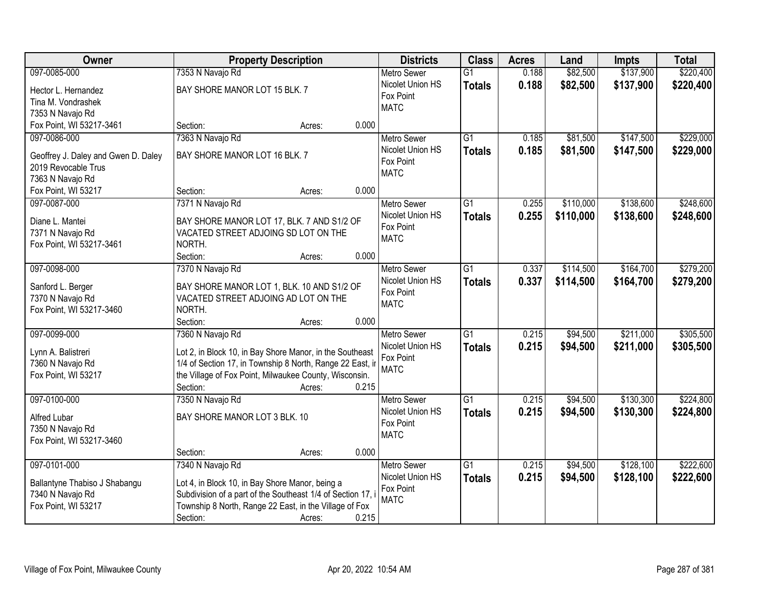| Owner                                        |                                                             | <b>Property Description</b> |       | <b>Districts</b>                       | <b>Class</b>    | <b>Acres</b> | Land      | <b>Impts</b> | <b>Total</b> |
|----------------------------------------------|-------------------------------------------------------------|-----------------------------|-------|----------------------------------------|-----------------|--------------|-----------|--------------|--------------|
| 097-0085-000                                 | 7353 N Navajo Rd                                            |                             |       | <b>Metro Sewer</b>                     | $\overline{G1}$ | 0.188        | \$82,500  | \$137,900    | \$220,400    |
| Hector L. Hernandez                          | BAY SHORE MANOR LOT 15 BLK. 7                               |                             |       | Nicolet Union HS                       | <b>Totals</b>   | 0.188        | \$82,500  | \$137,900    | \$220,400    |
| Tina M. Vondrashek                           |                                                             |                             |       | Fox Point                              |                 |              |           |              |              |
| 7353 N Navajo Rd                             |                                                             |                             |       | <b>MATC</b>                            |                 |              |           |              |              |
| Fox Point, WI 53217-3461                     | Section:                                                    | Acres:                      | 0.000 |                                        |                 |              |           |              |              |
| 097-0086-000                                 | 7363 N Navajo Rd                                            |                             |       | <b>Metro Sewer</b>                     | $\overline{G1}$ | 0.185        | \$81,500  | \$147,500    | \$229,000    |
| Geoffrey J. Daley and Gwen D. Daley          | BAY SHORE MANOR LOT 16 BLK. 7                               |                             |       | Nicolet Union HS                       | <b>Totals</b>   | 0.185        | \$81,500  | \$147,500    | \$229,000    |
| 2019 Revocable Trus                          |                                                             |                             |       | Fox Point                              |                 |              |           |              |              |
| 7363 N Navajo Rd                             |                                                             |                             |       | <b>MATC</b>                            |                 |              |           |              |              |
| Fox Point, WI 53217                          | Section:                                                    | Acres:                      | 0.000 |                                        |                 |              |           |              |              |
| 097-0087-000                                 | 7371 N Navajo Rd                                            |                             |       | <b>Metro Sewer</b>                     | $\overline{G1}$ | 0.255        | \$110,000 | \$138,600    | \$248,600    |
|                                              |                                                             |                             |       | Nicolet Union HS                       | <b>Totals</b>   | 0.255        | \$110,000 | \$138,600    | \$248,600    |
| Diane L. Mantei                              | BAY SHORE MANOR LOT 17, BLK. 7 AND S1/2 OF                  |                             |       | Fox Point                              |                 |              |           |              |              |
| 7371 N Navajo Rd<br>Fox Point, WI 53217-3461 | VACATED STREET ADJOING SD LOT ON THE<br>NORTH.              |                             |       | <b>MATC</b>                            |                 |              |           |              |              |
|                                              | Section:                                                    | Acres:                      | 0.000 |                                        |                 |              |           |              |              |
| 097-0098-000                                 | 7370 N Navajo Rd                                            |                             |       | <b>Metro Sewer</b>                     | $\overline{G1}$ | 0.337        | \$114,500 | \$164,700    | \$279,200    |
|                                              |                                                             |                             |       | Nicolet Union HS                       | <b>Totals</b>   | 0.337        | \$114,500 | \$164,700    | \$279,200    |
| Sanford L. Berger                            | BAY SHORE MANOR LOT 1, BLK. 10 AND S1/2 OF                  |                             |       | Fox Point                              |                 |              |           |              |              |
| 7370 N Navajo Rd                             | VACATED STREET ADJOING AD LOT ON THE                        |                             |       | <b>MATC</b>                            |                 |              |           |              |              |
| Fox Point, WI 53217-3460                     | NORTH.                                                      |                             |       |                                        |                 |              |           |              |              |
| 097-0099-000                                 | Section:                                                    | Acres:                      | 0.000 |                                        | $\overline{G1}$ | 0.215        |           | \$211,000    | \$305,500    |
|                                              | 7360 N Navajo Rd                                            |                             |       | <b>Metro Sewer</b><br>Nicolet Union HS |                 |              | \$94,500  |              |              |
| Lynn A. Balistreri                           | Lot 2, in Block 10, in Bay Shore Manor, in the Southeast    |                             |       | Fox Point                              | <b>Totals</b>   | 0.215        | \$94,500  | \$211,000    | \$305,500    |
| 7360 N Navajo Rd                             | 1/4 of Section 17, in Township 8 North, Range 22 East, ir   |                             |       | <b>MATC</b>                            |                 |              |           |              |              |
| Fox Point, WI 53217                          | the Village of Fox Point, Milwaukee County, Wisconsin.      |                             |       |                                        |                 |              |           |              |              |
|                                              | Section:                                                    | Acres:                      | 0.215 |                                        |                 |              |           |              |              |
| 097-0100-000                                 | 7350 N Navajo Rd                                            |                             |       | Metro Sewer                            | $\overline{G1}$ | 0.215        | \$94,500  | \$130,300    | \$224,800    |
| Alfred Lubar                                 | BAY SHORE MANOR LOT 3 BLK. 10                               |                             |       | Nicolet Union HS                       | <b>Totals</b>   | 0.215        | \$94,500  | \$130,300    | \$224,800    |
| 7350 N Navajo Rd                             |                                                             |                             |       | Fox Point<br><b>MATC</b>               |                 |              |           |              |              |
| Fox Point, WI 53217-3460                     |                                                             |                             |       |                                        |                 |              |           |              |              |
|                                              | Section:                                                    | Acres:                      | 0.000 |                                        |                 |              |           |              |              |
| 097-0101-000                                 | 7340 N Navajo Rd                                            |                             |       | <b>Metro Sewer</b>                     | $\overline{G1}$ | 0.215        | \$94,500  | \$128,100    | \$222,600    |
| Ballantyne Thabiso J Shabangu                | Lot 4, in Block 10, in Bay Shore Manor, being a             |                             |       | Nicolet Union HS                       | <b>Totals</b>   | 0.215        | \$94,500  | \$128,100    | \$222,600    |
| 7340 N Navajo Rd                             | Subdivision of a part of the Southeast 1/4 of Section 17, i |                             |       | Fox Point                              |                 |              |           |              |              |
| Fox Point, WI 53217                          | Township 8 North, Range 22 East, in the Village of Fox      |                             |       | <b>MATC</b>                            |                 |              |           |              |              |
|                                              | Section:                                                    | Acres:                      | 0.215 |                                        |                 |              |           |              |              |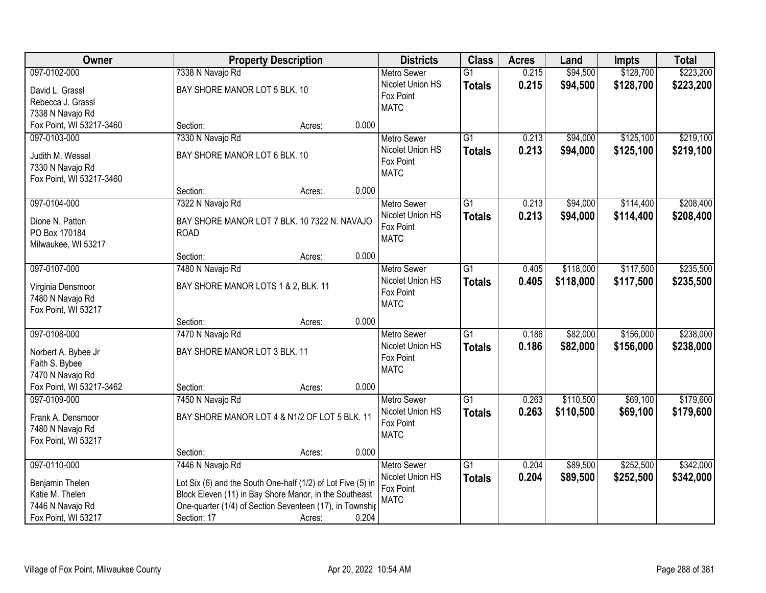| Owner                                   |                                                                                                                    | <b>Property Description</b> | <b>Districts</b> | <b>Class</b>                           | <b>Acres</b>    | Land  | <b>Impts</b> | <b>Total</b> |           |
|-----------------------------------------|--------------------------------------------------------------------------------------------------------------------|-----------------------------|------------------|----------------------------------------|-----------------|-------|--------------|--------------|-----------|
| 097-0102-000                            | 7338 N Navajo Rd                                                                                                   |                             |                  | <b>Metro Sewer</b>                     | $\overline{G1}$ | 0.215 | \$94,500     | \$128,700    | \$223,200 |
| David L. Grassl                         | BAY SHORE MANOR LOT 5 BLK. 10                                                                                      |                             |                  | Nicolet Union HS                       | <b>Totals</b>   | 0.215 | \$94,500     | \$128,700    | \$223,200 |
| Rebecca J. Grassl                       |                                                                                                                    |                             |                  | Fox Point                              |                 |       |              |              |           |
| 7338 N Navajo Rd                        |                                                                                                                    |                             |                  | <b>MATC</b>                            |                 |       |              |              |           |
| Fox Point, WI 53217-3460                | Section:                                                                                                           | Acres:                      | 0.000            |                                        |                 |       |              |              |           |
| 097-0103-000                            | 7330 N Navajo Rd                                                                                                   |                             |                  | <b>Metro Sewer</b>                     | $\overline{G1}$ | 0.213 | \$94,000     | \$125,100    | \$219,100 |
| Judith M. Wessel                        | BAY SHORE MANOR LOT 6 BLK. 10                                                                                      |                             |                  | Nicolet Union HS                       | <b>Totals</b>   | 0.213 | \$94,000     | \$125,100    | \$219,100 |
| 7330 N Navajo Rd                        |                                                                                                                    |                             |                  | Fox Point                              |                 |       |              |              |           |
| Fox Point, WI 53217-3460                |                                                                                                                    |                             |                  | <b>MATC</b>                            |                 |       |              |              |           |
|                                         | Section:                                                                                                           | Acres:                      | 0.000            |                                        |                 |       |              |              |           |
| 097-0104-000                            | 7322 N Navajo Rd                                                                                                   |                             |                  | <b>Metro Sewer</b>                     | $\overline{G1}$ | 0.213 | \$94,000     | \$114,400    | \$208,400 |
|                                         |                                                                                                                    |                             |                  | Nicolet Union HS                       | <b>Totals</b>   | 0.213 | \$94,000     | \$114,400    | \$208,400 |
| Dione N. Patton                         | BAY SHORE MANOR LOT 7 BLK. 10 7322 N. NAVAJO                                                                       |                             |                  | Fox Point                              |                 |       |              |              |           |
| PO Box 170184                           | <b>ROAD</b>                                                                                                        |                             |                  | <b>MATC</b>                            |                 |       |              |              |           |
| Milwaukee, WI 53217                     |                                                                                                                    |                             | 0.000            |                                        |                 |       |              |              |           |
| 097-0107-000                            | Section:                                                                                                           | Acres:                      |                  |                                        | $\overline{G1}$ |       | \$118,000    | \$117,500    | \$235,500 |
|                                         | 7480 N Navajo Rd                                                                                                   |                             |                  | <b>Metro Sewer</b><br>Nicolet Union HS |                 | 0.405 |              |              |           |
| Virginia Densmoor                       | BAY SHORE MANOR LOTS 1 & 2, BLK. 11                                                                                |                             |                  | Fox Point                              | <b>Totals</b>   | 0.405 | \$118,000    | \$117,500    | \$235,500 |
| 7480 N Navajo Rd                        |                                                                                                                    |                             |                  | <b>MATC</b>                            |                 |       |              |              |           |
| Fox Point, WI 53217                     |                                                                                                                    |                             |                  |                                        |                 |       |              |              |           |
|                                         | Section:                                                                                                           | Acres:                      | 0.000            |                                        |                 |       |              |              |           |
| 097-0108-000                            | 7470 N Navajo Rd                                                                                                   |                             |                  | <b>Metro Sewer</b>                     | $\overline{G1}$ | 0.186 | \$82,000     | \$156,000    | \$238,000 |
| Norbert A. Bybee Jr                     | BAY SHORE MANOR LOT 3 BLK. 11                                                                                      |                             |                  | Nicolet Union HS                       | <b>Totals</b>   | 0.186 | \$82,000     | \$156,000    | \$238,000 |
| Faith S. Bybee                          |                                                                                                                    |                             |                  | Fox Point                              |                 |       |              |              |           |
| 7470 N Navajo Rd                        |                                                                                                                    |                             |                  | <b>MATC</b>                            |                 |       |              |              |           |
| Fox Point, WI 53217-3462                | Section:                                                                                                           | Acres:                      | 0.000            |                                        |                 |       |              |              |           |
| 097-0109-000                            | 7450 N Navajo Rd                                                                                                   |                             |                  | Metro Sewer                            | $\overline{G1}$ | 0.263 | \$110,500    | \$69,100     | \$179,600 |
| Frank A. Densmoor                       | BAY SHORE MANOR LOT 4 & N1/2 OF LOT 5 BLK. 11                                                                      |                             |                  | Nicolet Union HS                       | <b>Totals</b>   | 0.263 | \$110,500    | \$69,100     | \$179,600 |
| 7480 N Navajo Rd                        |                                                                                                                    |                             |                  | Fox Point                              |                 |       |              |              |           |
| Fox Point, WI 53217                     |                                                                                                                    |                             |                  | <b>MATC</b>                            |                 |       |              |              |           |
|                                         | Section:                                                                                                           | Acres:                      | 0.000            |                                        |                 |       |              |              |           |
| 097-0110-000                            | 7446 N Navajo Rd                                                                                                   |                             |                  | <b>Metro Sewer</b>                     | $\overline{G1}$ | 0.204 | \$89,500     | \$252,500    | \$342,000 |
|                                         |                                                                                                                    |                             |                  | Nicolet Union HS                       | <b>Totals</b>   | 0.204 | \$89,500     | \$252,500    | \$342,000 |
| Benjamin Thelen                         | Lot Six (6) and the South One-half (1/2) of Lot Five (5) in                                                        |                             |                  | Fox Point                              |                 |       |              |              |           |
| Katie M. Thelen                         | Block Eleven (11) in Bay Shore Manor, in the Southeast<br>One-quarter (1/4) of Section Seventeen (17), in Townshir |                             |                  | <b>MATC</b>                            |                 |       |              |              |           |
| 7446 N Navajo Rd<br>Fox Point, WI 53217 | Section: 17                                                                                                        |                             | 0.204            |                                        |                 |       |              |              |           |
|                                         |                                                                                                                    | Acres:                      |                  |                                        |                 |       |              |              |           |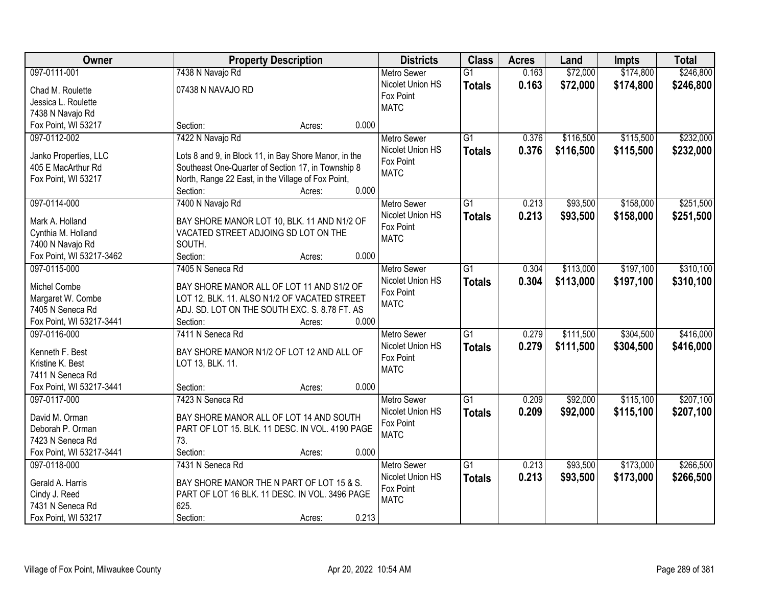| Owner                    |                                                       | <b>Property Description</b> |       | <b>Districts</b>   | <b>Class</b>    | <b>Acres</b> | Land      | <b>Impts</b> | <b>Total</b> |
|--------------------------|-------------------------------------------------------|-----------------------------|-------|--------------------|-----------------|--------------|-----------|--------------|--------------|
| 097-0111-001             | 7438 N Navajo Rd                                      |                             |       | <b>Metro Sewer</b> | $\overline{G1}$ | 0.163        | \$72,000  | \$174,800    | \$246,800    |
| Chad M. Roulette         | 07438 N NAVAJO RD                                     |                             |       | Nicolet Union HS   | <b>Totals</b>   | 0.163        | \$72,000  | \$174,800    | \$246,800    |
| Jessica L. Roulette      |                                                       |                             |       | Fox Point          |                 |              |           |              |              |
| 7438 N Navajo Rd         |                                                       |                             |       | <b>MATC</b>        |                 |              |           |              |              |
| Fox Point, WI 53217      | Section:                                              | Acres:                      | 0.000 |                    |                 |              |           |              |              |
| 097-0112-002             | 7422 N Navajo Rd                                      |                             |       | Metro Sewer        | $\overline{G1}$ | 0.376        | \$116,500 | \$115,500    | \$232,000    |
|                          |                                                       |                             |       | Nicolet Union HS   | <b>Totals</b>   | 0.376        | \$116,500 | \$115,500    | \$232,000    |
| Janko Properties, LLC    | Lots 8 and 9, in Block 11, in Bay Shore Manor, in the |                             |       | Fox Point          |                 |              |           |              |              |
| 405 E MacArthur Rd       | Southeast One-Quarter of Section 17, in Township 8    |                             |       | <b>MATC</b>        |                 |              |           |              |              |
| Fox Point, WI 53217      | North, Range 22 East, in the Village of Fox Point,    |                             |       |                    |                 |              |           |              |              |
|                          | Section:                                              | Acres:                      | 0.000 |                    |                 |              |           |              |              |
| 097-0114-000             | 7400 N Navajo Rd                                      |                             |       | <b>Metro Sewer</b> | G1              | 0.213        | \$93,500  | \$158,000    | \$251,500    |
| Mark A. Holland          | BAY SHORE MANOR LOT 10, BLK. 11 AND N1/2 OF           |                             |       | Nicolet Union HS   | <b>Totals</b>   | 0.213        | \$93,500  | \$158,000    | \$251,500    |
| Cynthia M. Holland       | VACATED STREET ADJOING SD LOT ON THE                  |                             |       | Fox Point          |                 |              |           |              |              |
| 7400 N Navajo Rd         | SOUTH.                                                |                             |       | <b>MATC</b>        |                 |              |           |              |              |
| Fox Point, WI 53217-3462 | Section:                                              | Acres:                      | 0.000 |                    |                 |              |           |              |              |
| 097-0115-000             | 7405 N Seneca Rd                                      |                             |       | <b>Metro Sewer</b> | $\overline{G1}$ | 0.304        | \$113,000 | \$197,100    | \$310,100    |
|                          |                                                       |                             |       | Nicolet Union HS   | <b>Totals</b>   | 0.304        | \$113,000 | \$197,100    | \$310,100    |
| Michel Combe             | BAY SHORE MANOR ALL OF LOT 11 AND S1/2 OF             |                             |       | Fox Point          |                 |              |           |              |              |
| Margaret W. Combe        | LOT 12, BLK. 11. ALSO N1/2 OF VACATED STREET          |                             |       | <b>MATC</b>        |                 |              |           |              |              |
| 7405 N Seneca Rd         | ADJ. SD. LOT ON THE SOUTH EXC. S. 8.78 FT. AS         |                             |       |                    |                 |              |           |              |              |
| Fox Point, WI 53217-3441 | Section:                                              | Acres:                      | 0.000 |                    |                 |              |           |              |              |
| 097-0116-000             | 7411 N Seneca Rd                                      |                             |       | Metro Sewer        | $\overline{G1}$ | 0.279        | \$111,500 | \$304,500    | \$416,000    |
| Kenneth F. Best          | BAY SHORE MANOR N1/2 OF LOT 12 AND ALL OF             |                             |       | Nicolet Union HS   | <b>Totals</b>   | 0.279        | \$111,500 | \$304,500    | \$416,000    |
| Kristine K. Best         | LOT 13, BLK. 11.                                      |                             |       | Fox Point          |                 |              |           |              |              |
| 7411 N Seneca Rd         |                                                       |                             |       | <b>MATC</b>        |                 |              |           |              |              |
| Fox Point, WI 53217-3441 | Section:                                              | Acres:                      | 0.000 |                    |                 |              |           |              |              |
| 097-0117-000             | 7423 N Seneca Rd                                      |                             |       | Metro Sewer        | $\overline{G1}$ | 0.209        | \$92,000  | \$115,100    | \$207,100    |
|                          |                                                       |                             |       | Nicolet Union HS   |                 | 0.209        | \$92,000  | \$115,100    |              |
| David M. Orman           | BAY SHORE MANOR ALL OF LOT 14 AND SOUTH               |                             |       | Fox Point          | <b>Totals</b>   |              |           |              | \$207,100    |
| Deborah P. Orman         | PART OF LOT 15. BLK. 11 DESC. IN VOL. 4190 PAGE       |                             |       | <b>MATC</b>        |                 |              |           |              |              |
| 7423 N Seneca Rd         | 73.                                                   |                             |       |                    |                 |              |           |              |              |
| Fox Point, WI 53217-3441 | Section:                                              | Acres:                      | 0.000 |                    |                 |              |           |              |              |
| 097-0118-000             | 7431 N Seneca Rd                                      |                             |       | <b>Metro Sewer</b> | $\overline{G1}$ | 0.213        | \$93,500  | \$173,000    | \$266,500    |
| Gerald A. Harris         | BAY SHORE MANOR THE N PART OF LOT 15 & S.             |                             |       | Nicolet Union HS   | <b>Totals</b>   | 0.213        | \$93,500  | \$173,000    | \$266,500    |
| Cindy J. Reed            | PART OF LOT 16 BLK. 11 DESC. IN VOL. 3496 PAGE        |                             |       | Fox Point          |                 |              |           |              |              |
| 7431 N Seneca Rd         | 625.                                                  |                             |       | <b>MATC</b>        |                 |              |           |              |              |
| Fox Point, WI 53217      | Section:                                              | Acres:                      | 0.213 |                    |                 |              |           |              |              |
|                          |                                                       |                             |       |                    |                 |              |           |              |              |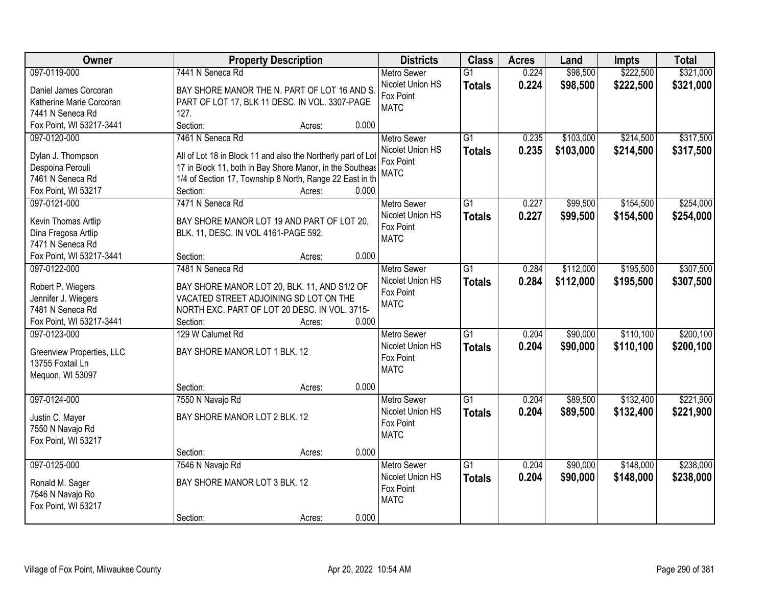| Owner                                        | <b>Property Description</b>                                  |                 | <b>Districts</b>              | <b>Class</b>    | <b>Acres</b> | Land      | <b>Impts</b> | <b>Total</b> |
|----------------------------------------------|--------------------------------------------------------------|-----------------|-------------------------------|-----------------|--------------|-----------|--------------|--------------|
| 097-0119-000                                 | 7441 N Seneca Rd                                             |                 | <b>Metro Sewer</b>            | $\overline{G1}$ | 0.224        | \$98,500  | \$222,500    | \$321,000    |
| Daniel James Corcoran                        | BAY SHORE MANOR THE N. PART OF LOT 16 AND S.                 |                 | Nicolet Union HS              | <b>Totals</b>   | 0.224        | \$98,500  | \$222,500    | \$321,000    |
| Katherine Marie Corcoran                     | PART OF LOT 17, BLK 11 DESC. IN VOL. 3307-PAGE               |                 | Fox Point                     |                 |              |           |              |              |
| 7441 N Seneca Rd                             | 127.                                                         |                 | <b>MATC</b>                   |                 |              |           |              |              |
| Fox Point, WI 53217-3441                     | Section:                                                     | 0.000<br>Acres: |                               |                 |              |           |              |              |
| 097-0120-000                                 | 7461 N Seneca Rd                                             |                 | <b>Metro Sewer</b>            | $\overline{G1}$ | 0.235        | \$103,000 | \$214,500    | \$317,500    |
|                                              |                                                              |                 | Nicolet Union HS              | <b>Totals</b>   | 0.235        | \$103,000 | \$214,500    | \$317,500    |
| Dylan J. Thompson                            | All of Lot 18 in Block 11 and also the Northerly part of Lot |                 | Fox Point                     |                 |              |           |              |              |
| Despoina Perouli                             | 17 in Block 11, both in Bay Shore Manor, in the Southeas     |                 | <b>MATC</b>                   |                 |              |           |              |              |
| 7461 N Seneca Rd                             | 1/4 of Section 17, Township 8 North, Range 22 East in th     |                 |                               |                 |              |           |              |              |
| Fox Point, WI 53217                          | Section:                                                     | 0.000<br>Acres: |                               |                 |              |           |              |              |
| 097-0121-000                                 | 7471 N Seneca Rd                                             |                 | Metro Sewer                   | $\overline{G1}$ | 0.227        | \$99,500  | \$154,500    | \$254,000    |
| Kevin Thomas Artlip                          | BAY SHORE MANOR LOT 19 AND PART OF LOT 20,                   |                 | Nicolet Union HS              | <b>Totals</b>   | 0.227        | \$99,500  | \$154,500    | \$254,000    |
| Dina Fregosa Artlip                          | BLK. 11, DESC. IN VOL 4161-PAGE 592.                         |                 | Fox Point                     |                 |              |           |              |              |
| 7471 N Seneca Rd                             |                                                              |                 | <b>MATC</b>                   |                 |              |           |              |              |
| Fox Point, WI 53217-3441                     | Section:                                                     | 0.000<br>Acres: |                               |                 |              |           |              |              |
| 097-0122-000                                 | 7481 N Seneca Rd                                             |                 | <b>Metro Sewer</b>            | $\overline{G1}$ | 0.284        | \$112,000 | \$195,500    | \$307,500    |
|                                              |                                                              |                 | Nicolet Union HS              | <b>Totals</b>   | 0.284        | \$112,000 | \$195,500    | \$307,500    |
| Robert P. Wiegers                            | BAY SHORE MANOR LOT 20, BLK. 11, AND S1/2 OF                 |                 | Fox Point                     |                 |              |           |              |              |
| Jennifer J. Wiegers                          | VACATED STREET ADJOINING SD LOT ON THE                       |                 | <b>MATC</b>                   |                 |              |           |              |              |
| 7481 N Seneca Rd<br>Fox Point, WI 53217-3441 | NORTH EXC. PART OF LOT 20 DESC. IN VOL. 3715-<br>Section:    | 0.000           |                               |                 |              |           |              |              |
| 097-0123-000                                 | 129 W Calumet Rd                                             | Acres:          |                               | $\overline{G1}$ | 0.204        | \$90,000  | \$110,100    | \$200,100    |
|                                              |                                                              |                 | <b>Metro Sewer</b>            |                 |              |           |              |              |
| Greenview Properties, LLC                    | BAY SHORE MANOR LOT 1 BLK. 12                                |                 | Nicolet Union HS<br>Fox Point | <b>Totals</b>   | 0.204        | \$90,000  | \$110,100    | \$200,100    |
| 13755 Foxtail Ln                             |                                                              |                 | <b>MATC</b>                   |                 |              |           |              |              |
| Mequon, WI 53097                             |                                                              |                 |                               |                 |              |           |              |              |
|                                              | Section:                                                     | 0.000<br>Acres: |                               |                 |              |           |              |              |
| 097-0124-000                                 | 7550 N Navajo Rd                                             |                 | <b>Metro Sewer</b>            | $\overline{G1}$ | 0.204        | \$89,500  | \$132,400    | \$221,900    |
| Justin C. Mayer                              | BAY SHORE MANOR LOT 2 BLK. 12                                |                 | Nicolet Union HS              | <b>Totals</b>   | 0.204        | \$89,500  | \$132,400    | \$221,900    |
| 7550 N Navajo Rd                             |                                                              |                 | Fox Point                     |                 |              |           |              |              |
| Fox Point, WI 53217                          |                                                              |                 | <b>MATC</b>                   |                 |              |           |              |              |
|                                              | Section:                                                     | 0.000<br>Acres: |                               |                 |              |           |              |              |
| 097-0125-000                                 | 7546 N Navajo Rd                                             |                 | <b>Metro Sewer</b>            | $\overline{G1}$ | 0.204        | \$90,000  | \$148,000    | \$238,000    |
|                                              |                                                              |                 | Nicolet Union HS              | <b>Totals</b>   | 0.204        | \$90,000  | \$148,000    | \$238,000    |
| Ronald M. Sager                              | BAY SHORE MANOR LOT 3 BLK. 12                                |                 | Fox Point                     |                 |              |           |              |              |
| 7546 N Navajo Ro                             |                                                              |                 | <b>MATC</b>                   |                 |              |           |              |              |
| Fox Point, WI 53217                          |                                                              |                 |                               |                 |              |           |              |              |
|                                              | Section:                                                     | 0.000<br>Acres: |                               |                 |              |           |              |              |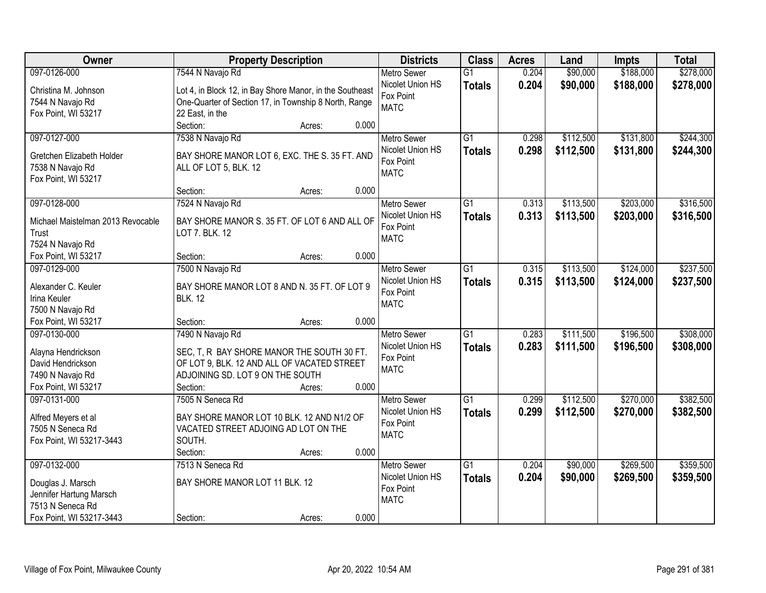| Owner                                   | <b>Property Description</b>                              |        |       | <b>Districts</b>         | <b>Class</b>    | <b>Acres</b> | Land      | Impts     | <b>Total</b> |
|-----------------------------------------|----------------------------------------------------------|--------|-------|--------------------------|-----------------|--------------|-----------|-----------|--------------|
| 097-0126-000                            | 7544 N Navajo Rd                                         |        |       | <b>Metro Sewer</b>       | $\overline{G1}$ | 0.204        | \$90,000  | \$188,000 | \$278,000    |
| Christina M. Johnson                    | Lot 4, in Block 12, in Bay Shore Manor, in the Southeast |        |       | Nicolet Union HS         | <b>Totals</b>   | 0.204        | \$90,000  | \$188,000 | \$278,000    |
| 7544 N Navajo Rd                        | One-Quarter of Section 17, in Township 8 North, Range    |        |       | Fox Point                |                 |              |           |           |              |
| Fox Point, WI 53217                     | 22 East, in the                                          |        |       | <b>MATC</b>              |                 |              |           |           |              |
|                                         | Section:                                                 | Acres: | 0.000 |                          |                 |              |           |           |              |
| 097-0127-000                            | 7538 N Navajo Rd                                         |        |       | <b>Metro Sewer</b>       | $\overline{G1}$ | 0.298        | \$112,500 | \$131,800 | \$244,300    |
|                                         |                                                          |        |       | Nicolet Union HS         | <b>Totals</b>   | 0.298        | \$112,500 | \$131,800 | \$244,300    |
| Gretchen Elizabeth Holder               | BAY SHORE MANOR LOT 6, EXC. THE S. 35 FT. AND            |        |       | Fox Point                |                 |              |           |           |              |
| 7538 N Navajo Rd                        | ALL OF LOT 5, BLK. 12                                    |        |       | <b>MATC</b>              |                 |              |           |           |              |
| Fox Point, WI 53217                     |                                                          |        |       |                          |                 |              |           |           |              |
|                                         | Section:                                                 | Acres: | 0.000 |                          |                 |              |           |           |              |
| 097-0128-000                            | 7524 N Navajo Rd                                         |        |       | <b>Metro Sewer</b>       | $\overline{G1}$ | 0.313        | \$113,500 | \$203,000 | \$316,500    |
| Michael Maistelman 2013 Revocable       | BAY SHORE MANOR S. 35 FT. OF LOT 6 AND ALL OF            |        |       | Nicolet Union HS         | <b>Totals</b>   | 0.313        | \$113,500 | \$203,000 | \$316,500    |
| Trust                                   | LOT 7. BLK. 12                                           |        |       | Fox Point                |                 |              |           |           |              |
| 7524 N Navajo Rd                        |                                                          |        |       | <b>MATC</b>              |                 |              |           |           |              |
| Fox Point, WI 53217                     | Section:                                                 | Acres: | 0.000 |                          |                 |              |           |           |              |
| 097-0129-000                            | 7500 N Navajo Rd                                         |        |       | <b>Metro Sewer</b>       | $\overline{G1}$ | 0.315        | \$113,500 | \$124,000 | \$237,500    |
| Alexander C. Keuler                     |                                                          |        |       | Nicolet Union HS         | <b>Totals</b>   | 0.315        | \$113,500 | \$124,000 | \$237,500    |
|                                         | BAY SHORE MANOR LOT 8 AND N. 35 FT. OF LOT 9             |        |       | Fox Point                |                 |              |           |           |              |
| Irina Keuler<br>7500 N Navajo Rd        | <b>BLK. 12</b>                                           |        |       | <b>MATC</b>              |                 |              |           |           |              |
|                                         |                                                          |        | 0.000 |                          |                 |              |           |           |              |
| Fox Point, WI 53217                     | Section:                                                 | Acres: |       |                          | $\overline{G1}$ |              |           |           |              |
| 097-0130-000                            | 7490 N Navajo Rd                                         |        |       | <b>Metro Sewer</b>       |                 | 0.283        | \$111,500 | \$196,500 | \$308,000    |
| Alayna Hendrickson                      | SEC, T, R BAY SHORE MANOR THE SOUTH 30 FT.               |        |       | Nicolet Union HS         | <b>Totals</b>   | 0.283        | \$111,500 | \$196,500 | \$308,000    |
| David Hendrickson                       | OF LOT 9, BLK. 12 AND ALL OF VACATED STREET              |        |       | Fox Point                |                 |              |           |           |              |
| 7490 N Navajo Rd                        | ADJOINING SD. LOT 9 ON THE SOUTH                         |        |       | <b>MATC</b>              |                 |              |           |           |              |
| Fox Point, WI 53217                     | Section:                                                 | Acres: | 0.000 |                          |                 |              |           |           |              |
| 097-0131-000                            | 7505 N Seneca Rd                                         |        |       | <b>Metro Sewer</b>       | $\overline{G1}$ | 0.299        | \$112,500 | \$270,000 | \$382,500    |
|                                         | BAY SHORE MANOR LOT 10 BLK. 12 AND N1/2 OF               |        |       | Nicolet Union HS         | <b>Totals</b>   | 0.299        | \$112,500 | \$270,000 | \$382,500    |
| Alfred Meyers et al<br>7505 N Seneca Rd | VACATED STREET ADJOING AD LOT ON THE                     |        |       | Fox Point                |                 |              |           |           |              |
| Fox Point, WI 53217-3443                | SOUTH.                                                   |        |       | <b>MATC</b>              |                 |              |           |           |              |
|                                         | Section:                                                 | Acres: | 0.000 |                          |                 |              |           |           |              |
| 097-0132-000                            | 7513 N Seneca Rd                                         |        |       | <b>Metro Sewer</b>       | $\overline{G1}$ | 0.204        | \$90,000  | \$269,500 | \$359,500    |
|                                         |                                                          |        |       | Nicolet Union HS         |                 |              |           |           |              |
| Douglas J. Marsch                       | BAY SHORE MANOR LOT 11 BLK. 12                           |        |       |                          | <b>Totals</b>   | 0.204        | \$90,000  | \$269,500 | \$359,500    |
| Jennifer Hartung Marsch                 |                                                          |        |       | Fox Point<br><b>MATC</b> |                 |              |           |           |              |
| 7513 N Seneca Rd                        |                                                          |        |       |                          |                 |              |           |           |              |
| Fox Point, WI 53217-3443                | Section:                                                 | Acres: | 0.000 |                          |                 |              |           |           |              |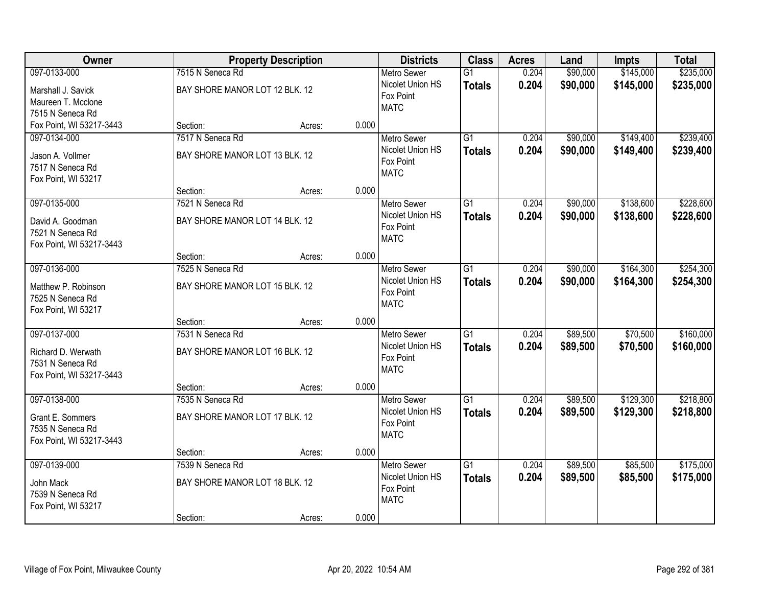| Owner                                                                              | <b>Property Description</b>                                    |        |       | <b>Districts</b>                                                   | <b>Class</b>                     | <b>Acres</b>   | Land                 | <b>Impts</b>           | <b>Total</b>           |
|------------------------------------------------------------------------------------|----------------------------------------------------------------|--------|-------|--------------------------------------------------------------------|----------------------------------|----------------|----------------------|------------------------|------------------------|
| 097-0133-000                                                                       | 7515 N Seneca Rd                                               |        |       | <b>Metro Sewer</b>                                                 | $\overline{G1}$                  | 0.204          | \$90,000             | \$145,000              | \$235,000              |
| Marshall J. Savick<br>Maureen T. Mcclone<br>7515 N Seneca Rd                       | BAY SHORE MANOR LOT 12 BLK. 12                                 |        |       | Nicolet Union HS<br>Fox Point<br><b>MATC</b>                       | <b>Totals</b>                    | 0.204          | \$90,000             | \$145,000              | \$235,000              |
| Fox Point, WI 53217-3443                                                           | Section:                                                       | Acres: | 0.000 |                                                                    |                                  |                |                      |                        |                        |
| 097-0134-000<br>Jason A. Vollmer<br>7517 N Seneca Rd<br>Fox Point, WI 53217        | 7517 N Seneca Rd<br>BAY SHORE MANOR LOT 13 BLK. 12             |        |       | <b>Metro Sewer</b><br>Nicolet Union HS<br>Fox Point<br><b>MATC</b> | $\overline{G1}$<br><b>Totals</b> | 0.204<br>0.204 | \$90,000<br>\$90,000 | \$149,400<br>\$149,400 | \$239,400<br>\$239,400 |
|                                                                                    | Section:                                                       | Acres: | 0.000 |                                                                    |                                  |                |                      |                        |                        |
| 097-0135-000<br>David A. Goodman<br>7521 N Seneca Rd<br>Fox Point, WI 53217-3443   | 7521 N Seneca Rd<br>BAY SHORE MANOR LOT 14 BLK. 12             |        |       | Metro Sewer<br>Nicolet Union HS<br>Fox Point<br><b>MATC</b>        | G1<br><b>Totals</b>              | 0.204<br>0.204 | \$90,000<br>\$90,000 | \$138,600<br>\$138,600 | \$228,600<br>\$228,600 |
|                                                                                    | Section:                                                       | Acres: | 0.000 |                                                                    |                                  |                |                      |                        |                        |
| 097-0136-000<br>Matthew P. Robinson<br>7525 N Seneca Rd<br>Fox Point, WI 53217     | 7525 N Seneca Rd<br>BAY SHORE MANOR LOT 15 BLK. 12             |        |       | <b>Metro Sewer</b><br>Nicolet Union HS<br>Fox Point<br><b>MATC</b> | G1<br><b>Totals</b>              | 0.204<br>0.204 | \$90,000<br>\$90,000 | \$164,300<br>\$164,300 | \$254,300<br>\$254,300 |
|                                                                                    | Section:                                                       | Acres: | 0.000 |                                                                    |                                  |                |                      |                        |                        |
| 097-0137-000<br>Richard D. Werwath<br>7531 N Seneca Rd<br>Fox Point, WI 53217-3443 | 7531 N Seneca Rd<br>BAY SHORE MANOR LOT 16 BLK. 12             |        |       | Metro Sewer<br>Nicolet Union HS<br>Fox Point<br><b>MATC</b>        | $\overline{G1}$<br><b>Totals</b> | 0.204<br>0.204 | \$89,500<br>\$89,500 | \$70,500<br>\$70,500   | \$160,000<br>\$160,000 |
|                                                                                    | Section:                                                       | Acres: | 0.000 |                                                                    |                                  |                |                      |                        |                        |
| 097-0138-000<br>Grant E. Sommers<br>7535 N Seneca Rd<br>Fox Point, WI 53217-3443   | 7535 N Seneca Rd<br>BAY SHORE MANOR LOT 17 BLK. 12             |        |       | Metro Sewer<br>Nicolet Union HS<br>Fox Point<br><b>MATC</b>        | $\overline{G1}$<br><b>Totals</b> | 0.204<br>0.204 | \$89,500<br>\$89,500 | \$129,300<br>\$129,300 | \$218,800<br>\$218,800 |
|                                                                                    | Section:                                                       | Acres: | 0.000 |                                                                    |                                  |                |                      |                        |                        |
| 097-0139-000<br>John Mack<br>7539 N Seneca Rd<br>Fox Point, WI 53217               | 7539 N Seneca Rd<br>BAY SHORE MANOR LOT 18 BLK. 12<br>Section: | Acres: | 0.000 | <b>Metro Sewer</b><br>Nicolet Union HS<br>Fox Point<br><b>MATC</b> | $\overline{G1}$<br><b>Totals</b> | 0.204<br>0.204 | \$89,500<br>\$89,500 | \$85,500<br>\$85,500   | \$175,000<br>\$175,000 |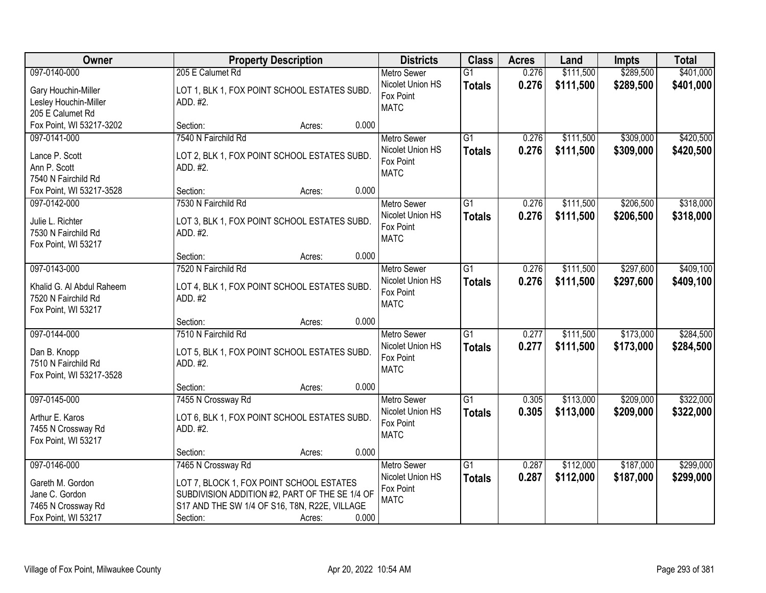| Owner                                        | <b>Property Description</b>                              |                 | <b>Districts</b>                       | <b>Class</b>                     | <b>Acres</b>   | Land                   | <b>Impts</b>           | <b>Total</b>           |
|----------------------------------------------|----------------------------------------------------------|-----------------|----------------------------------------|----------------------------------|----------------|------------------------|------------------------|------------------------|
| 097-0140-000                                 | 205 E Calumet Rd                                         |                 | <b>Metro Sewer</b><br>Nicolet Union HS | $\overline{G1}$<br><b>Totals</b> | 0.276<br>0.276 | \$111,500<br>\$111,500 | \$289,500<br>\$289,500 | \$401,000<br>\$401,000 |
| Gary Houchin-Miller<br>Lesley Houchin-Miller | LOT 1, BLK 1, FOX POINT SCHOOL ESTATES SUBD.<br>ADD. #2. |                 | Fox Point                              |                                  |                |                        |                        |                        |
| 205 E Calumet Rd                             |                                                          |                 | <b>MATC</b>                            |                                  |                |                        |                        |                        |
| Fox Point, WI 53217-3202                     | Section:                                                 | 0.000<br>Acres: |                                        |                                  |                |                        |                        |                        |
| 097-0141-000                                 | 7540 N Fairchild Rd                                      |                 | <b>Metro Sewer</b>                     | $\overline{G1}$                  | 0.276          | \$111,500              | \$309,000              | \$420,500              |
|                                              |                                                          |                 | Nicolet Union HS                       | <b>Totals</b>                    | 0.276          | \$111,500              | \$309,000              | \$420,500              |
| Lance P. Scott<br>Ann P. Scott               | LOT 2, BLK 1, FOX POINT SCHOOL ESTATES SUBD.<br>ADD. #2. |                 | Fox Point                              |                                  |                |                        |                        |                        |
| 7540 N Fairchild Rd                          |                                                          |                 | <b>MATC</b>                            |                                  |                |                        |                        |                        |
| Fox Point, WI 53217-3528                     | Section:                                                 | 0.000<br>Acres: |                                        |                                  |                |                        |                        |                        |
| 097-0142-000                                 | 7530 N Fairchild Rd                                      |                 | <b>Metro Sewer</b>                     | G1                               | 0.276          | \$111,500              | \$206,500              | \$318,000              |
|                                              |                                                          |                 | Nicolet Union HS                       | <b>Totals</b>                    | 0.276          | \$111,500              | \$206,500              | \$318,000              |
| Julie L. Richter                             | LOT 3, BLK 1, FOX POINT SCHOOL ESTATES SUBD.             |                 | Fox Point                              |                                  |                |                        |                        |                        |
| 7530 N Fairchild Rd<br>Fox Point, WI 53217   | ADD. #2.                                                 |                 | <b>MATC</b>                            |                                  |                |                        |                        |                        |
|                                              | Section:                                                 | 0.000<br>Acres: |                                        |                                  |                |                        |                        |                        |
| 097-0143-000                                 | 7520 N Fairchild Rd                                      |                 | <b>Metro Sewer</b>                     | G1                               | 0.276          | \$111,500              | \$297,600              | \$409,100              |
|                                              |                                                          |                 | Nicolet Union HS                       | <b>Totals</b>                    | 0.276          | \$111,500              | \$297,600              | \$409,100              |
| Khalid G. Al Abdul Raheem                    | LOT 4, BLK 1, FOX POINT SCHOOL ESTATES SUBD.             |                 | Fox Point                              |                                  |                |                        |                        |                        |
| 7520 N Fairchild Rd                          | ADD. #2                                                  |                 | <b>MATC</b>                            |                                  |                |                        |                        |                        |
| Fox Point, WI 53217                          | Section:                                                 | 0.000<br>Acres: |                                        |                                  |                |                        |                        |                        |
| 097-0144-000                                 | 7510 N Fairchild Rd                                      |                 | <b>Metro Sewer</b>                     | $\overline{G1}$                  | 0.277          | \$111,500              | \$173,000              | \$284,500              |
|                                              |                                                          |                 | Nicolet Union HS                       | <b>Totals</b>                    | 0.277          | \$111,500              | \$173,000              | \$284,500              |
| Dan B. Knopp                                 | LOT 5, BLK 1, FOX POINT SCHOOL ESTATES SUBD.             |                 | Fox Point                              |                                  |                |                        |                        |                        |
| 7510 N Fairchild Rd                          | ADD. #2.                                                 |                 | <b>MATC</b>                            |                                  |                |                        |                        |                        |
| Fox Point, WI 53217-3528                     |                                                          |                 |                                        |                                  |                |                        |                        |                        |
|                                              | Section:                                                 | 0.000<br>Acres: |                                        | G1                               |                |                        |                        |                        |
| 097-0145-000                                 | 7455 N Crossway Rd                                       |                 | <b>Metro Sewer</b><br>Nicolet Union HS |                                  | 0.305<br>0.305 | \$113,000              | \$209,000              | \$322,000              |
| Arthur E. Karos                              | LOT 6, BLK 1, FOX POINT SCHOOL ESTATES SUBD.             |                 | Fox Point                              | <b>Totals</b>                    |                | \$113,000              | \$209,000              | \$322,000              |
| 7455 N Crossway Rd                           | ADD. #2.                                                 |                 | <b>MATC</b>                            |                                  |                |                        |                        |                        |
| Fox Point, WI 53217                          |                                                          |                 |                                        |                                  |                |                        |                        |                        |
|                                              | Section:                                                 | 0.000<br>Acres: |                                        |                                  |                |                        |                        |                        |
| 097-0146-000                                 | 7465 N Crossway Rd                                       |                 | <b>Metro Sewer</b>                     | $\overline{G1}$                  | 0.287          | \$112,000              | \$187,000              | \$299,000              |
| Gareth M. Gordon                             | LOT 7, BLOCK 1, FOX POINT SCHOOL ESTATES                 |                 | Nicolet Union HS                       | <b>Totals</b>                    | 0.287          | \$112,000              | \$187,000              | \$299,000              |
| Jane C. Gordon                               | SUBDIVISION ADDITION #2, PART OF THE SE 1/4 OF           |                 | Fox Point<br><b>MATC</b>               |                                  |                |                        |                        |                        |
| 7465 N Crossway Rd                           | S17 AND THE SW 1/4 OF S16, T8N, R22E, VILLAGE            |                 |                                        |                                  |                |                        |                        |                        |
| Fox Point, WI 53217                          | Section:                                                 | 0.000<br>Acres: |                                        |                                  |                |                        |                        |                        |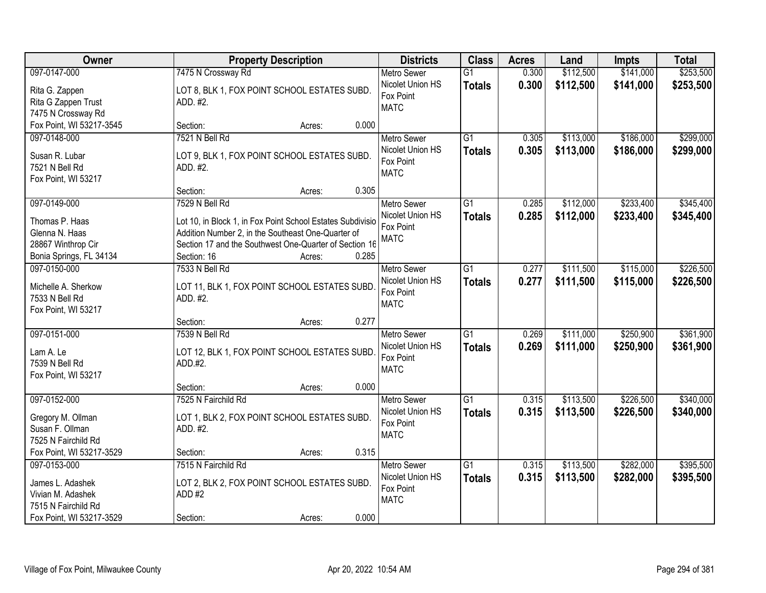| Owner                    | <b>Property Description</b>                                | <b>Districts</b>   | <b>Class</b>    | <b>Acres</b> | Land      | <b>Impts</b> | <b>Total</b> |
|--------------------------|------------------------------------------------------------|--------------------|-----------------|--------------|-----------|--------------|--------------|
| 097-0147-000             | 7475 N Crossway Rd                                         | <b>Metro Sewer</b> | $\overline{G1}$ | 0.300        | \$112,500 | \$141,000    | \$253,500    |
| Rita G. Zappen           | LOT 8, BLK 1, FOX POINT SCHOOL ESTATES SUBD.               | Nicolet Union HS   | <b>Totals</b>   | 0.300        | \$112,500 | \$141,000    | \$253,500    |
| Rita G Zappen Trust      | ADD. #2.                                                   | Fox Point          |                 |              |           |              |              |
| 7475 N Crossway Rd       |                                                            | <b>MATC</b>        |                 |              |           |              |              |
| Fox Point, WI 53217-3545 | 0.000<br>Section:<br>Acres:                                |                    |                 |              |           |              |              |
| 097-0148-000             | 7521 N Bell Rd                                             | <b>Metro Sewer</b> | $\overline{G1}$ | 0.305        | \$113,000 | \$186,000    | \$299,000    |
|                          |                                                            | Nicolet Union HS   | <b>Totals</b>   | 0.305        | \$113,000 | \$186,000    | \$299,000    |
| Susan R. Lubar           | LOT 9, BLK 1, FOX POINT SCHOOL ESTATES SUBD.               | Fox Point          |                 |              |           |              |              |
| 7521 N Bell Rd           | ADD. #2.                                                   | <b>MATC</b>        |                 |              |           |              |              |
| Fox Point, WI 53217      | 0.305<br>Section:<br>Acres:                                |                    |                 |              |           |              |              |
| 097-0149-000             | 7529 N Bell Rd                                             | Metro Sewer        | G1              | 0.285        | \$112,000 | \$233,400    | \$345,400    |
|                          |                                                            | Nicolet Union HS   |                 | 0.285        | \$112,000 | \$233,400    | \$345,400    |
| Thomas P. Haas           | Lot 10, in Block 1, in Fox Point School Estates Subdivisio | Fox Point          | <b>Totals</b>   |              |           |              |              |
| Glenna N. Haas           | Addition Number 2, in the Southeast One-Quarter of         | <b>MATC</b>        |                 |              |           |              |              |
| 28867 Winthrop Cir       | Section 17 and the Southwest One-Quarter of Section 16     |                    |                 |              |           |              |              |
| Bonia Springs, FL 34134  | Section: 16<br>0.285<br>Acres:                             |                    |                 |              |           |              |              |
| 097-0150-000             | 7533 N Bell Rd                                             | <b>Metro Sewer</b> | G1              | 0.277        | \$111,500 | \$115,000    | \$226,500    |
| Michelle A. Sherkow      | LOT 11, BLK 1, FOX POINT SCHOOL ESTATES SUBD.              | Nicolet Union HS   | <b>Totals</b>   | 0.277        | \$111,500 | \$115,000    | \$226,500    |
| 7533 N Bell Rd           | ADD. #2.                                                   | Fox Point          |                 |              |           |              |              |
| Fox Point, WI 53217      |                                                            | <b>MATC</b>        |                 |              |           |              |              |
|                          | 0.277<br>Section:<br>Acres:                                |                    |                 |              |           |              |              |
| 097-0151-000             | 7539 N Bell Rd                                             | <b>Metro Sewer</b> | $\overline{G1}$ | 0.269        | \$111,000 | \$250,900    | \$361,900    |
|                          |                                                            | Nicolet Union HS   | <b>Totals</b>   | 0.269        | \$111,000 | \$250,900    | \$361,900    |
| Lam A. Le                | LOT 12, BLK 1, FOX POINT SCHOOL ESTATES SUBD.              | Fox Point          |                 |              |           |              |              |
| 7539 N Bell Rd           | ADD.#2.                                                    | <b>MATC</b>        |                 |              |           |              |              |
| Fox Point, WI 53217      |                                                            |                    |                 |              |           |              |              |
|                          | 0.000<br>Section:<br>Acres:                                |                    |                 |              |           |              |              |
| 097-0152-000             | 7525 N Fairchild Rd                                        | <b>Metro Sewer</b> | G1              | 0.315        | \$113,500 | \$226,500    | \$340,000    |
| Gregory M. Ollman        | LOT 1, BLK 2, FOX POINT SCHOOL ESTATES SUBD.               | Nicolet Union HS   | <b>Totals</b>   | 0.315        | \$113,500 | \$226,500    | \$340,000    |
| Susan F. Ollman          | ADD. #2.                                                   | Fox Point          |                 |              |           |              |              |
| 7525 N Fairchild Rd      |                                                            | <b>MATC</b>        |                 |              |           |              |              |
| Fox Point, WI 53217-3529 | 0.315<br>Section:<br>Acres:                                |                    |                 |              |           |              |              |
| 097-0153-000             | 7515 N Fairchild Rd                                        | <b>Metro Sewer</b> | $\overline{G1}$ | 0.315        | \$113,500 | \$282,000    | \$395,500    |
|                          |                                                            | Nicolet Union HS   | <b>Totals</b>   | 0.315        | \$113,500 | \$282,000    | \$395,500    |
| James L. Adashek         | LOT 2, BLK 2, FOX POINT SCHOOL ESTATES SUBD.               | Fox Point          |                 |              |           |              |              |
| Vivian M. Adashek        | ADD #2                                                     | <b>MATC</b>        |                 |              |           |              |              |
| 7515 N Fairchild Rd      |                                                            |                    |                 |              |           |              |              |
| Fox Point, WI 53217-3529 | 0.000<br>Section:<br>Acres:                                |                    |                 |              |           |              |              |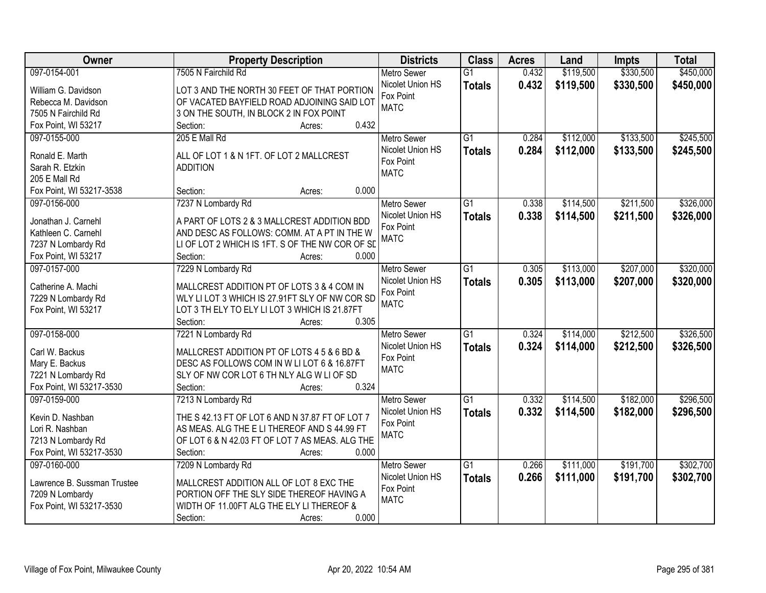| Owner                       | <b>Property Description</b>                            | <b>Districts</b>              | <b>Class</b>    | <b>Acres</b> | Land      | <b>Impts</b> | <b>Total</b> |
|-----------------------------|--------------------------------------------------------|-------------------------------|-----------------|--------------|-----------|--------------|--------------|
| 097-0154-001                | 7505 N Fairchild Rd                                    | <b>Metro Sewer</b>            | $\overline{G1}$ | 0.432        | \$119,500 | \$330,500    | \$450,000    |
| William G. Davidson         | LOT 3 AND THE NORTH 30 FEET OF THAT PORTION            | Nicolet Union HS              | <b>Totals</b>   | 0.432        | \$119,500 | \$330,500    | \$450,000    |
| Rebecca M. Davidson         | OF VACATED BAYFIELD ROAD ADJOINING SAID LOT            | Fox Point                     |                 |              |           |              |              |
| 7505 N Fairchild Rd         | 3 ON THE SOUTH, IN BLOCK 2 IN FOX POINT                | <b>MATC</b>                   |                 |              |           |              |              |
| Fox Point, WI 53217         | 0.432<br>Section:<br>Acres:                            |                               |                 |              |           |              |              |
| 097-0155-000                | 205 E Mall Rd                                          | <b>Metro Sewer</b>            | $\overline{G1}$ | 0.284        | \$112,000 | \$133,500    | \$245,500    |
|                             |                                                        | Nicolet Union HS              | <b>Totals</b>   | 0.284        | \$112,000 | \$133,500    | \$245,500    |
| Ronald E. Marth             | ALL OF LOT 1 & N 1FT. OF LOT 2 MALLCREST               | Fox Point                     |                 |              |           |              |              |
| Sarah R. Etzkin             | <b>ADDITION</b>                                        | <b>MATC</b>                   |                 |              |           |              |              |
| 205 E Mall Rd               |                                                        |                               |                 |              |           |              |              |
| Fox Point, WI 53217-3538    | 0.000<br>Section:<br>Acres:                            |                               |                 |              |           |              |              |
| 097-0156-000                | 7237 N Lombardy Rd                                     | Metro Sewer                   | G1              | 0.338        | \$114,500 | \$211,500    | \$326,000    |
| Jonathan J. Carnehl         | A PART OF LOTS 2 & 3 MALLCREST ADDITION BDD            | Nicolet Union HS              | <b>Totals</b>   | 0.338        | \$114,500 | \$211,500    | \$326,000    |
| Kathleen C. Carnehl         | AND DESC AS FOLLOWS: COMM. AT A PT IN THE W            | Fox Point                     |                 |              |           |              |              |
| 7237 N Lombardy Rd          | LI OF LOT 2 WHICH IS 1FT. S OF THE NW COR OF SD        | <b>MATC</b>                   |                 |              |           |              |              |
| Fox Point, WI 53217         | 0.000<br>Section:<br>Acres:                            |                               |                 |              |           |              |              |
| 097-0157-000                | 7229 N Lombardy Rd                                     | <b>Metro Sewer</b>            | $\overline{G1}$ | 0.305        | \$113,000 | \$207,000    | \$320,000    |
|                             |                                                        | Nicolet Union HS              | <b>Totals</b>   | 0.305        | \$113,000 | \$207,000    | \$320,000    |
| Catherine A. Machi          | MALLCREST ADDITION PT OF LOTS 3 & 4 COM IN             | Fox Point                     |                 |              |           |              |              |
| 7229 N Lombardy Rd          | WLY LI LOT 3 WHICH IS 27.91FT SLY OF NW COR SD         | <b>MATC</b>                   |                 |              |           |              |              |
| Fox Point, WI 53217         | LOT 3 TH ELY TO ELY LI LOT 3 WHICH IS 21.87FT<br>0.305 |                               |                 |              |           |              |              |
|                             | Section:<br>Acres:                                     |                               | $\overline{G1}$ |              |           |              |              |
| 097-0158-000                | 7221 N Lombardy Rd                                     | <b>Metro Sewer</b>            |                 | 0.324        | \$114,000 | \$212,500    | \$326,500    |
| Carl W. Backus              | MALLCREST ADDITION PT OF LOTS 4 5 & 6 BD &             | Nicolet Union HS<br>Fox Point | <b>Totals</b>   | 0.324        | \$114,000 | \$212,500    | \$326,500    |
| Mary E. Backus              | DESC AS FOLLOWS COM IN W LI LOT 6 & 16.87FT            | <b>MATC</b>                   |                 |              |           |              |              |
| 7221 N Lombardy Rd          | SLY OF NW COR LOT 6 TH NLY ALG W LI OF SD              |                               |                 |              |           |              |              |
| Fox Point, WI 53217-3530    | 0.324<br>Section:<br>Acres:                            |                               |                 |              |           |              |              |
| 097-0159-000                | 7213 N Lombardy Rd                                     | Metro Sewer                   | $\overline{G1}$ | 0.332        | \$114,500 | \$182,000    | \$296,500    |
| Kevin D. Nashban            | THE S 42.13 FT OF LOT 6 AND N 37.87 FT OF LOT 7        | Nicolet Union HS              | <b>Totals</b>   | 0.332        | \$114,500 | \$182,000    | \$296,500    |
| Lori R. Nashban             | AS MEAS. ALG THE E LI THEREOF AND S 44.99 FT           | Fox Point                     |                 |              |           |              |              |
| 7213 N Lombardy Rd          | OF LOT 6 & N 42.03 FT OF LOT 7 AS MEAS. ALG THE        | <b>MATC</b>                   |                 |              |           |              |              |
| Fox Point, WI 53217-3530    | 0.000<br>Section:<br>Acres:                            |                               |                 |              |           |              |              |
| 097-0160-000                | 7209 N Lombardy Rd                                     | <b>Metro Sewer</b>            | $\overline{G1}$ | 0.266        | \$111,000 | \$191,700    | \$302,700    |
|                             |                                                        | Nicolet Union HS              |                 | 0.266        | \$111,000 |              |              |
| Lawrence B. Sussman Trustee | MALLCREST ADDITION ALL OF LOT 8 EXC THE                | Fox Point                     | <b>Totals</b>   |              |           | \$191,700    | \$302,700    |
| 7209 N Lombardy             | PORTION OFF THE SLY SIDE THEREOF HAVING A              | <b>MATC</b>                   |                 |              |           |              |              |
| Fox Point, WI 53217-3530    | WIDTH OF 11.00FT ALG THE ELY LI THEREOF &              |                               |                 |              |           |              |              |
|                             | 0.000<br>Section:<br>Acres:                            |                               |                 |              |           |              |              |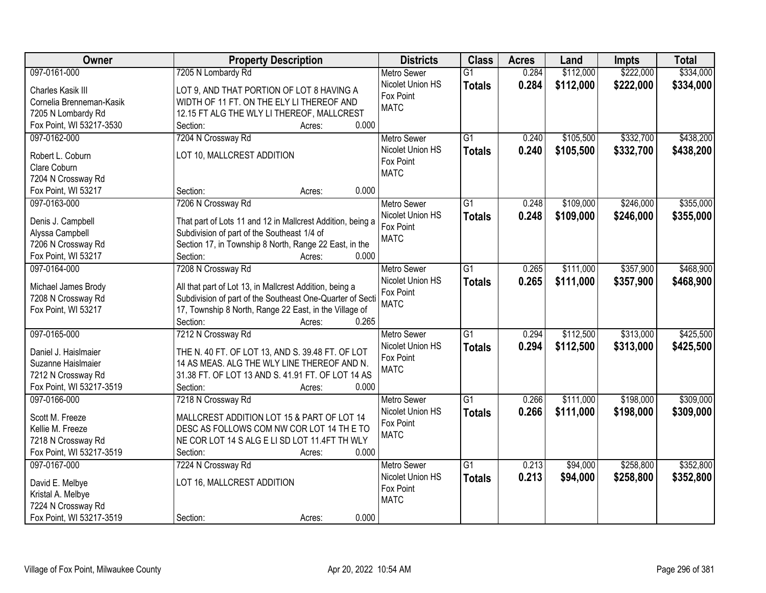| Owner                    | <b>Property Description</b>                                                 | <b>Districts</b>         | <b>Class</b>    | <b>Acres</b> | Land      | <b>Impts</b> | <b>Total</b> |
|--------------------------|-----------------------------------------------------------------------------|--------------------------|-----------------|--------------|-----------|--------------|--------------|
| 097-0161-000             | 7205 N Lombardy Rd                                                          | <b>Metro Sewer</b>       | $\overline{G1}$ | 0.284        | \$112,000 | \$222,000    | \$334,000    |
| Charles Kasik III        | LOT 9, AND THAT PORTION OF LOT 8 HAVING A                                   | Nicolet Union HS         | <b>Totals</b>   | 0.284        | \$112,000 | \$222,000    | \$334,000    |
| Cornelia Brenneman-Kasik | WIDTH OF 11 FT. ON THE ELY LI THEREOF AND                                   | Fox Point                |                 |              |           |              |              |
| 7205 N Lombardy Rd       | 12.15 FT ALG THE WLY LI THEREOF, MALLCREST                                  | <b>MATC</b>              |                 |              |           |              |              |
| Fox Point, WI 53217-3530 | 0.000<br>Section:<br>Acres:                                                 |                          |                 |              |           |              |              |
| 097-0162-000             | 7204 N Crossway Rd                                                          | <b>Metro Sewer</b>       | $\overline{G1}$ | 0.240        | \$105,500 | \$332,700    | \$438,200    |
|                          |                                                                             | Nicolet Union HS         | <b>Totals</b>   | 0.240        | \$105,500 | \$332,700    | \$438,200    |
| Robert L. Coburn         | LOT 10, MALLCREST ADDITION                                                  | Fox Point                |                 |              |           |              |              |
| Clare Coburn             |                                                                             | <b>MATC</b>              |                 |              |           |              |              |
| 7204 N Crossway Rd       |                                                                             |                          |                 |              |           |              |              |
| Fox Point, WI 53217      | 0.000<br>Section:<br>Acres:                                                 |                          |                 |              |           |              |              |
| 097-0163-000             | 7206 N Crossway Rd                                                          | Metro Sewer              | $\overline{G1}$ | 0.248        | \$109,000 | \$246,000    | \$355,000    |
| Denis J. Campbell        | That part of Lots 11 and 12 in Mallcrest Addition, being a                  | Nicolet Union HS         | <b>Totals</b>   | 0.248        | \$109,000 | \$246,000    | \$355,000    |
| Alyssa Campbell          | Subdivision of part of the Southeast 1/4 of                                 | Fox Point                |                 |              |           |              |              |
| 7206 N Crossway Rd       | Section 17, in Township 8 North, Range 22 East, in the                      | <b>MATC</b>              |                 |              |           |              |              |
| Fox Point, WI 53217      | 0.000<br>Section:<br>Acres:                                                 |                          |                 |              |           |              |              |
| 097-0164-000             | 7208 N Crossway Rd                                                          | <b>Metro Sewer</b>       | $\overline{G1}$ | 0.265        | \$111,000 | \$357,900    | \$468,900    |
|                          |                                                                             | Nicolet Union HS         | <b>Totals</b>   | 0.265        | \$111,000 | \$357,900    | \$468,900    |
| Michael James Brody      | All that part of Lot 13, in Mallcrest Addition, being a                     | Fox Point                |                 |              |           |              |              |
| 7208 N Crossway Rd       | Subdivision of part of the Southeast One-Quarter of Secti                   | <b>MATC</b>              |                 |              |           |              |              |
| Fox Point, WI 53217      | 17, Township 8 North, Range 22 East, in the Village of<br>Section:<br>0.265 |                          |                 |              |           |              |              |
| 097-0165-000             | Acres:                                                                      |                          | $\overline{G1}$ | 0.294        | \$112,500 | \$313,000    | \$425,500    |
|                          | 7212 N Crossway Rd                                                          | <b>Metro Sewer</b>       |                 |              |           |              |              |
| Daniel J. Haislmaier     | THE N. 40 FT. OF LOT 13, AND S. 39.48 FT. OF LOT                            | Nicolet Union HS         | <b>Totals</b>   | 0.294        | \$112,500 | \$313,000    | \$425,500    |
| Suzanne Haislmaier       | 14 AS MEAS. ALG THE WLY LINE THEREOF AND N.                                 | Fox Point<br><b>MATC</b> |                 |              |           |              |              |
| 7212 N Crossway Rd       | 31.38 FT. OF LOT 13 AND S. 41.91 FT. OF LOT 14 AS                           |                          |                 |              |           |              |              |
| Fox Point, WI 53217-3519 | 0.000<br>Section:<br>Acres:                                                 |                          |                 |              |           |              |              |
| 097-0166-000             | 7218 N Crossway Rd                                                          | <b>Metro Sewer</b>       | $\overline{G1}$ | 0.266        | \$111,000 | \$198,000    | \$309,000    |
| Scott M. Freeze          | MALLCREST ADDITION LOT 15 & PART OF LOT 14                                  | Nicolet Union HS         | <b>Totals</b>   | 0.266        | \$111,000 | \$198,000    | \$309,000    |
| Kellie M. Freeze         | DESC AS FOLLOWS COM NW COR LOT 14 TH E TO                                   | Fox Point                |                 |              |           |              |              |
| 7218 N Crossway Rd       | NE COR LOT 14 S ALG E LI SD LOT 11.4FT TH WLY                               | <b>MATC</b>              |                 |              |           |              |              |
| Fox Point, WI 53217-3519 | 0.000<br>Section:<br>Acres:                                                 |                          |                 |              |           |              |              |
| 097-0167-000             | 7224 N Crossway Rd                                                          | <b>Metro Sewer</b>       | $\overline{G1}$ | 0.213        | \$94,000  | \$258,800    | \$352,800    |
|                          |                                                                             | Nicolet Union HS         | <b>Totals</b>   | 0.213        | \$94,000  | \$258,800    | \$352,800    |
| David E. Melbye          | LOT 16, MALLCREST ADDITION                                                  | Fox Point                |                 |              |           |              |              |
| Kristal A. Melbye        |                                                                             | <b>MATC</b>              |                 |              |           |              |              |
| 7224 N Crossway Rd       |                                                                             |                          |                 |              |           |              |              |
| Fox Point, WI 53217-3519 | 0.000<br>Section:<br>Acres:                                                 |                          |                 |              |           |              |              |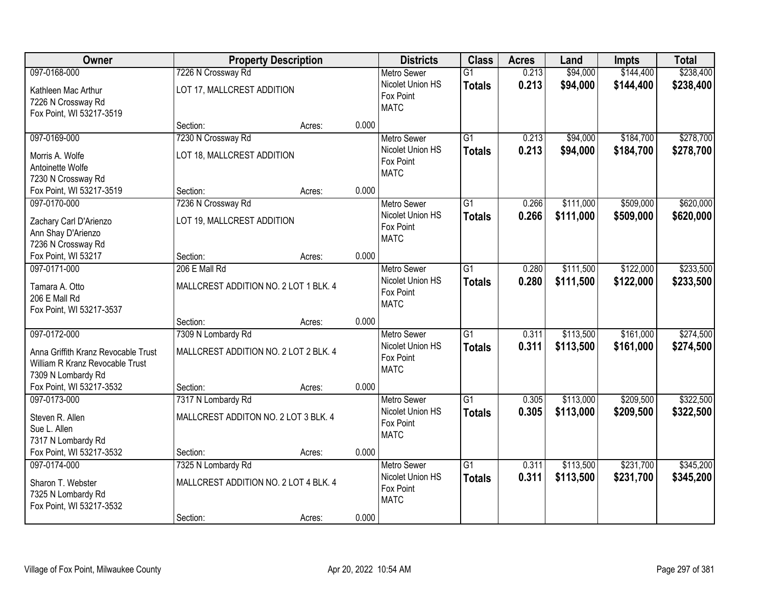| Owner                                                                                                        |                                                                         | <b>Property Description</b> |       | <b>Districts</b>                                                   | <b>Class</b>                     | <b>Acres</b>   | Land                   | <b>Impts</b>           | <b>Total</b>           |
|--------------------------------------------------------------------------------------------------------------|-------------------------------------------------------------------------|-----------------------------|-------|--------------------------------------------------------------------|----------------------------------|----------------|------------------------|------------------------|------------------------|
| 097-0168-000                                                                                                 | 7226 N Crossway Rd                                                      |                             |       | <b>Metro Sewer</b>                                                 | $\overline{G1}$                  | 0.213          | \$94,000               | \$144,400              | \$238,400              |
| Kathleen Mac Arthur<br>7226 N Crossway Rd<br>Fox Point, WI 53217-3519                                        | LOT 17, MALLCREST ADDITION                                              |                             |       | Nicolet Union HS<br>Fox Point<br><b>MATC</b>                       | <b>Totals</b>                    | 0.213          | \$94,000               | \$144,400              | \$238,400              |
|                                                                                                              | Section:                                                                | Acres:                      | 0.000 |                                                                    |                                  |                |                        |                        |                        |
| 097-0169-000<br>Morris A. Wolfe<br>Antoinette Wolfe<br>7230 N Crossway Rd                                    | 7230 N Crossway Rd<br>LOT 18, MALLCREST ADDITION                        |                             |       | <b>Metro Sewer</b><br>Nicolet Union HS<br>Fox Point<br><b>MATC</b> | $\overline{G1}$<br><b>Totals</b> | 0.213<br>0.213 | \$94,000<br>\$94,000   | \$184,700<br>\$184,700 | \$278,700<br>\$278,700 |
| Fox Point, WI 53217-3519                                                                                     | Section:                                                                | Acres:                      | 0.000 |                                                                    |                                  |                |                        |                        |                        |
| 097-0170-000<br>Zachary Carl D'Arienzo<br>Ann Shay D'Arienzo<br>7236 N Crossway Rd                           | 7236 N Crossway Rd<br>LOT 19, MALLCREST ADDITION                        |                             |       | Metro Sewer<br>Nicolet Union HS<br>Fox Point<br><b>MATC</b>        | $\overline{G1}$<br><b>Totals</b> | 0.266<br>0.266 | \$111,000<br>\$111,000 | \$509,000<br>\$509,000 | \$620,000<br>\$620,000 |
| Fox Point, WI 53217                                                                                          | Section:                                                                | Acres:                      | 0.000 |                                                                    |                                  |                |                        |                        |                        |
| 097-0171-000<br>Tamara A. Otto<br>206 E Mall Rd<br>Fox Point, WI 53217-3537                                  | 206 E Mall Rd<br>MALLCREST ADDITION NO. 2 LOT 1 BLK. 4                  |                             |       | <b>Metro Sewer</b><br>Nicolet Union HS<br>Fox Point<br><b>MATC</b> | $\overline{G1}$<br><b>Totals</b> | 0.280<br>0.280 | \$111,500<br>\$111,500 | \$122,000<br>\$122,000 | \$233,500<br>\$233,500 |
|                                                                                                              | Section:                                                                | Acres:                      | 0.000 |                                                                    |                                  |                |                        |                        |                        |
| 097-0172-000<br>Anna Griffith Kranz Revocable Trust<br>William R Kranz Revocable Trust<br>7309 N Lombardy Rd | 7309 N Lombardy Rd<br>MALLCREST ADDITION NO. 2 LOT 2 BLK, 4             |                             |       | <b>Metro Sewer</b><br>Nicolet Union HS<br>Fox Point<br><b>MATC</b> | $\overline{G1}$<br><b>Totals</b> | 0.311<br>0.311 | \$113,500<br>\$113,500 | \$161,000<br>\$161,000 | \$274,500<br>\$274,500 |
| Fox Point, WI 53217-3532                                                                                     | Section:                                                                | Acres:                      | 0.000 |                                                                    |                                  |                |                        |                        |                        |
| 097-0173-000<br>Steven R. Allen<br>Sue L. Allen<br>7317 N Lombardy Rd                                        | 7317 N Lombardy Rd<br>MALLCREST ADDITON NO. 2 LOT 3 BLK. 4              |                             |       | <b>Metro Sewer</b><br>Nicolet Union HS<br>Fox Point<br><b>MATC</b> | $\overline{G1}$<br><b>Totals</b> | 0.305<br>0.305 | \$113,000<br>\$113,000 | \$209,500<br>\$209,500 | \$322,500<br>\$322,500 |
| Fox Point, WI 53217-3532                                                                                     | Section:                                                                | Acres:                      | 0.000 |                                                                    |                                  |                |                        |                        |                        |
| 097-0174-000<br>Sharon T. Webster<br>7325 N Lombardy Rd<br>Fox Point, WI 53217-3532                          | 7325 N Lombardy Rd<br>MALLCREST ADDITION NO. 2 LOT 4 BLK. 4<br>Section: | Acres:                      | 0.000 | <b>Metro Sewer</b><br>Nicolet Union HS<br>Fox Point<br><b>MATC</b> | $\overline{G1}$<br><b>Totals</b> | 0.311<br>0.311 | \$113,500<br>\$113,500 | \$231,700<br>\$231,700 | \$345,200<br>\$345,200 |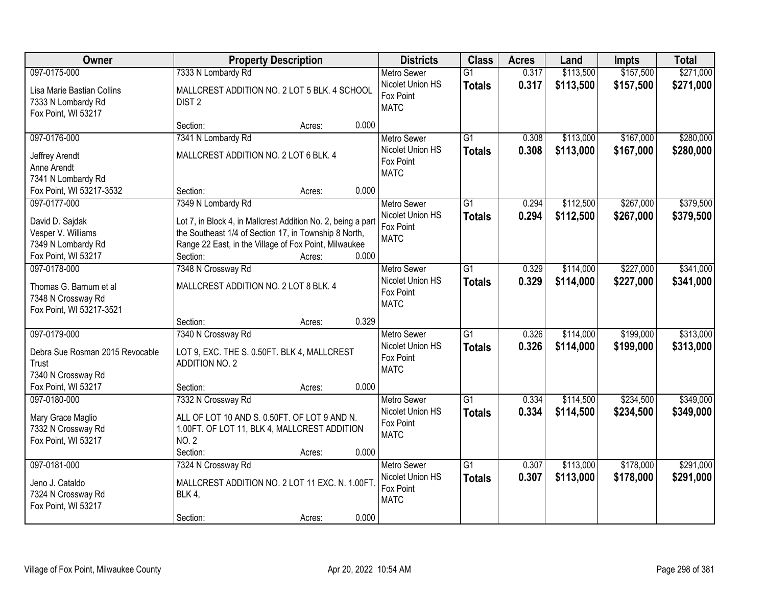| Owner                                                                              | <b>Property Description</b>                                                                                                                                                                                   | <b>Districts</b>                                                   | <b>Class</b>                     | <b>Acres</b>   | Land                   | <b>Impts</b>           | <b>Total</b>           |
|------------------------------------------------------------------------------------|---------------------------------------------------------------------------------------------------------------------------------------------------------------------------------------------------------------|--------------------------------------------------------------------|----------------------------------|----------------|------------------------|------------------------|------------------------|
| 097-0175-000                                                                       | 7333 N Lombardy Rd                                                                                                                                                                                            | <b>Metro Sewer</b>                                                 | $\overline{G1}$                  | 0.317          | \$113,500              | \$157,500              | \$271,000              |
| Lisa Marie Bastian Collins<br>7333 N Lombardy Rd<br>Fox Point, WI 53217            | MALLCREST ADDITION NO. 2 LOT 5 BLK. 4 SCHOOL<br>DIST <sub>2</sub>                                                                                                                                             | Nicolet Union HS<br>Fox Point<br><b>MATC</b>                       | <b>Totals</b>                    | 0.317          | \$113,500              | \$157,500              | \$271,000              |
|                                                                                    | 0.000<br>Section:<br>Acres:                                                                                                                                                                                   |                                                                    |                                  |                |                        |                        |                        |
| 097-0176-000                                                                       | 7341 N Lombardy Rd                                                                                                                                                                                            | <b>Metro Sewer</b>                                                 | $\overline{G1}$                  | 0.308          | \$113,000              | \$167,000              | \$280,000              |
| Jeffrey Arendt<br>Anne Arendt<br>7341 N Lombardy Rd                                | MALLCREST ADDITION NO. 2 LOT 6 BLK. 4                                                                                                                                                                         | Nicolet Union HS<br>Fox Point<br><b>MATC</b>                       | <b>Totals</b>                    | 0.308          | \$113,000              | \$167,000              | \$280,000              |
| Fox Point, WI 53217-3532                                                           | 0.000<br>Section:<br>Acres:                                                                                                                                                                                   |                                                                    |                                  |                |                        |                        |                        |
| 097-0177-000                                                                       | 7349 N Lombardy Rd                                                                                                                                                                                            | Metro Sewer                                                        | G1                               | 0.294          | \$112,500              | \$267,000              | \$379,500              |
| David D. Sajdak<br>Vesper V. Williams<br>7349 N Lombardy Rd<br>Fox Point, WI 53217 | Lot 7, in Block 4, in Mallcrest Addition No. 2, being a part<br>the Southeast 1/4 of Section 17, in Township 8 North,<br>Range 22 East, in the Village of Fox Point, Milwaukee<br>0.000<br>Section:<br>Acres: | Nicolet Union HS<br>Fox Point<br><b>MATC</b>                       | <b>Totals</b>                    | 0.294          | \$112,500              | \$267,000              | \$379,500              |
| 097-0178-000                                                                       | 7348 N Crossway Rd                                                                                                                                                                                            | <b>Metro Sewer</b>                                                 | G1                               | 0.329          | \$114,000              | \$227,000              | \$341,000              |
| Thomas G. Barnum et al<br>7348 N Crossway Rd<br>Fox Point, WI 53217-3521           | MALLCREST ADDITION NO. 2 LOT 8 BLK. 4                                                                                                                                                                         | Nicolet Union HS<br>Fox Point<br><b>MATC</b>                       | <b>Totals</b>                    | 0.329          | \$114,000              | \$227,000              | \$341,000              |
|                                                                                    | 0.329<br>Section:<br>Acres:                                                                                                                                                                                   |                                                                    |                                  |                |                        |                        |                        |
| 097-0179-000<br>Debra Sue Rosman 2015 Revocable<br>Trust<br>7340 N Crossway Rd     | 7340 N Crossway Rd<br>LOT 9, EXC. THE S. 0.50FT. BLK 4, MALLCREST<br><b>ADDITION NO. 2</b>                                                                                                                    | <b>Metro Sewer</b><br>Nicolet Union HS<br>Fox Point<br><b>MATC</b> | $\overline{G1}$<br><b>Totals</b> | 0.326<br>0.326 | \$114,000<br>\$114,000 | \$199,000<br>\$199,000 | \$313,000<br>\$313,000 |
| Fox Point, WI 53217                                                                | 0.000<br>Section:<br>Acres:                                                                                                                                                                                   |                                                                    |                                  |                |                        |                        |                        |
| 097-0180-000                                                                       | 7332 N Crossway Rd                                                                                                                                                                                            | Metro Sewer                                                        | $\overline{G1}$                  | 0.334          | \$114,500              | \$234,500              | \$349,000              |
| Mary Grace Maglio<br>7332 N Crossway Rd<br>Fox Point, WI 53217                     | ALL OF LOT 10 AND S. 0.50FT. OF LOT 9 AND N.<br>1.00FT. OF LOT 11, BLK 4, MALLCREST ADDITION<br><b>NO. 2</b><br>0.000<br>Section:<br>Acres:                                                                   | Nicolet Union HS<br>Fox Point<br><b>MATC</b>                       | <b>Totals</b>                    | 0.334          | \$114,500              | \$234,500              | \$349,000              |
| 097-0181-000                                                                       | 7324 N Crossway Rd                                                                                                                                                                                            | <b>Metro Sewer</b>                                                 | $\overline{G1}$                  | 0.307          | \$113,000              | \$178,000              | \$291,000              |
| Jeno J. Cataldo<br>7324 N Crossway Rd<br>Fox Point, WI 53217                       | MALLCREST ADDITION NO. 2 LOT 11 EXC. N. 1.00FT<br>BLK 4,                                                                                                                                                      | Nicolet Union HS<br>Fox Point<br><b>MATC</b>                       | <b>Totals</b>                    | 0.307          | \$113,000              | \$178,000              | \$291,000              |
|                                                                                    | 0.000<br>Section:<br>Acres:                                                                                                                                                                                   |                                                                    |                                  |                |                        |                        |                        |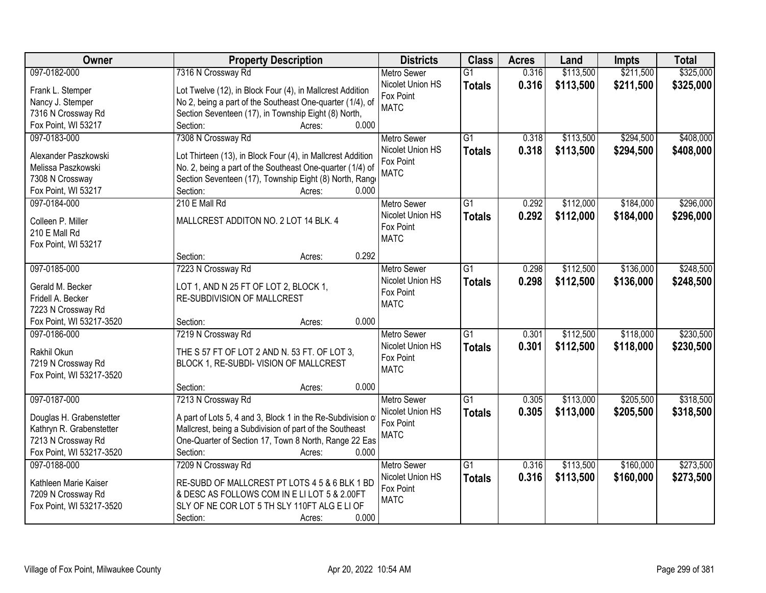| Owner                    | <b>Property Description</b>                                 | <b>Districts</b>   | <b>Class</b>    | <b>Acres</b> | Land      | <b>Impts</b> | <b>Total</b> |
|--------------------------|-------------------------------------------------------------|--------------------|-----------------|--------------|-----------|--------------|--------------|
| 097-0182-000             | 7316 N Crossway Rd                                          | <b>Metro Sewer</b> | $\overline{G1}$ | 0.316        | \$113,500 | \$211,500    | \$325,000    |
| Frank L. Stemper         | Lot Twelve (12), in Block Four (4), in Mallcrest Addition   | Nicolet Union HS   | <b>Totals</b>   | 0.316        | \$113,500 | \$211,500    | \$325,000    |
| Nancy J. Stemper         | No 2, being a part of the Southeast One-quarter (1/4), of   | Fox Point          |                 |              |           |              |              |
| 7316 N Crossway Rd       | Section Seventeen (17), in Township Eight (8) North,        | <b>MATC</b>        |                 |              |           |              |              |
| Fox Point, WI 53217      | 0.000<br>Section:<br>Acres:                                 |                    |                 |              |           |              |              |
| 097-0183-000             | 7308 N Crossway Rd                                          | <b>Metro Sewer</b> | $\overline{G1}$ | 0.318        | \$113,500 | \$294,500    | \$408,000    |
|                          |                                                             | Nicolet Union HS   | <b>Totals</b>   | 0.318        | \$113,500 | \$294,500    | \$408,000    |
| Alexander Paszkowski     | Lot Thirteen (13), in Block Four (4), in Mallcrest Addition | Fox Point          |                 |              |           |              |              |
| Melissa Paszkowski       | No. 2, being a part of the Southeast One-quarter (1/4) of   | <b>MATC</b>        |                 |              |           |              |              |
| 7308 N Crossway          | Section Seventeen (17), Township Eight (8) North, Range     |                    |                 |              |           |              |              |
| Fox Point, WI 53217      | Section:<br>0.000<br>Acres:                                 |                    |                 |              |           |              |              |
| 097-0184-000             | 210 E Mall Rd                                               | <b>Metro Sewer</b> | $\overline{G1}$ | 0.292        | \$112,000 | \$184,000    | \$296,000    |
| Colleen P. Miller        | MALLCREST ADDITON NO. 2 LOT 14 BLK. 4                       | Nicolet Union HS   | <b>Totals</b>   | 0.292        | \$112,000 | \$184,000    | \$296,000    |
| 210 E Mall Rd            |                                                             | Fox Point          |                 |              |           |              |              |
| Fox Point, WI 53217      |                                                             | <b>MATC</b>        |                 |              |           |              |              |
|                          | 0.292<br>Section:<br>Acres:                                 |                    |                 |              |           |              |              |
| 097-0185-000             | 7223 N Crossway Rd                                          | <b>Metro Sewer</b> | G1              | 0.298        | \$112,500 | \$136,000    | \$248,500    |
|                          |                                                             | Nicolet Union HS   | <b>Totals</b>   | 0.298        | \$112,500 | \$136,000    | \$248,500    |
| Gerald M. Becker         | LOT 1, AND N 25 FT OF LOT 2, BLOCK 1,                       | Fox Point          |                 |              |           |              |              |
| Fridell A. Becker        | RE-SUBDIVISION OF MALLCREST                                 | <b>MATC</b>        |                 |              |           |              |              |
| 7223 N Crossway Rd       |                                                             |                    |                 |              |           |              |              |
| Fox Point, WI 53217-3520 | 0.000<br>Section:<br>Acres:                                 |                    |                 |              |           |              |              |
| 097-0186-000             | 7219 N Crossway Rd                                          | <b>Metro Sewer</b> | $\overline{G1}$ | 0.301        | \$112,500 | \$118,000    | \$230,500    |
| Rakhil Okun              | THE S 57 FT OF LOT 2 AND N. 53 FT. OF LOT 3.                | Nicolet Union HS   | <b>Totals</b>   | 0.301        | \$112,500 | \$118,000    | \$230,500    |
| 7219 N Crossway Rd       | BLOCK 1, RE-SUBDI- VISION OF MALLCREST                      | Fox Point          |                 |              |           |              |              |
| Fox Point, WI 53217-3520 |                                                             | <b>MATC</b>        |                 |              |           |              |              |
|                          | Section:<br>0.000<br>Acres:                                 |                    |                 |              |           |              |              |
| 097-0187-000             | 7213 N Crossway Rd                                          | <b>Metro Sewer</b> | G1              | 0.305        | \$113,000 | \$205,500    | \$318,500    |
| Douglas H. Grabenstetter | A part of Lots 5, 4 and 3, Block 1 in the Re-Subdivision of | Nicolet Union HS   | <b>Totals</b>   | 0.305        | \$113,000 | \$205,500    | \$318,500    |
| Kathryn R. Grabenstetter | Mallcrest, being a Subdivision of part of the Southeast     | Fox Point          |                 |              |           |              |              |
| 7213 N Crossway Rd       | One-Quarter of Section 17, Town 8 North, Range 22 Eas       | <b>MATC</b>        |                 |              |           |              |              |
| Fox Point, WI 53217-3520 | 0.000<br>Section:                                           |                    |                 |              |           |              |              |
|                          | Acres:                                                      |                    |                 |              | \$113,500 |              | \$273,500    |
| 097-0188-000             | 7209 N Crossway Rd                                          | <b>Metro Sewer</b> | $\overline{G1}$ | 0.316        |           | \$160,000    |              |
| Kathleen Marie Kaiser    | RE-SUBD OF MALLCREST PT LOTS 4 5 & 6 BLK 1 BD               | Nicolet Union HS   | <b>Totals</b>   | 0.316        | \$113,500 | \$160,000    | \$273,500    |
| 7209 N Crossway Rd       | & DESC AS FOLLOWS COM IN E LI LOT 5 & 2.00FT                | Fox Point          |                 |              |           |              |              |
| Fox Point, WI 53217-3520 | SLY OF NE COR LOT 5 TH SLY 110FT ALG E LI OF                | <b>MATC</b>        |                 |              |           |              |              |
|                          | 0.000<br>Section:<br>Acres:                                 |                    |                 |              |           |              |              |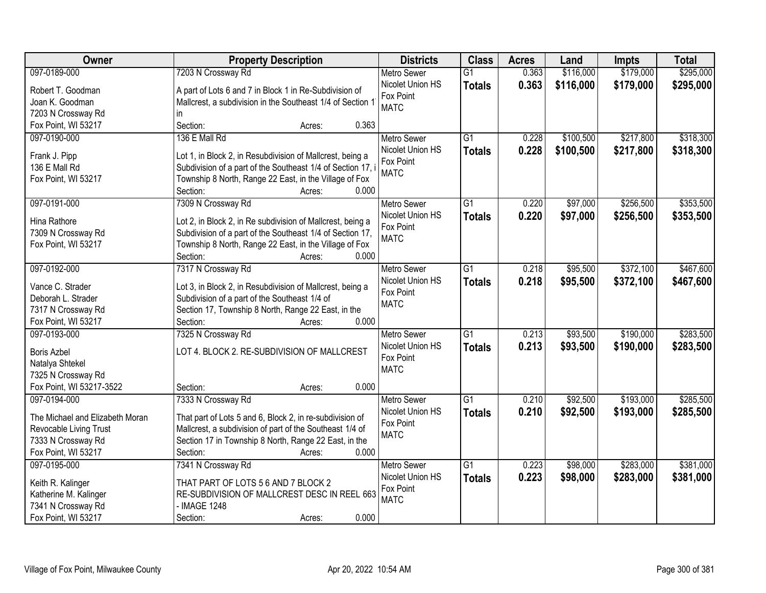| Owner                           | <b>Property Description</b>                                 | <b>Districts</b>   | <b>Class</b>    | <b>Acres</b> | Land      | <b>Impts</b> | <b>Total</b> |
|---------------------------------|-------------------------------------------------------------|--------------------|-----------------|--------------|-----------|--------------|--------------|
| 097-0189-000                    | 7203 N Crossway Rd                                          | <b>Metro Sewer</b> | $\overline{G1}$ | 0.363        | \$116,000 | \$179,000    | \$295,000    |
| Robert T. Goodman               | A part of Lots 6 and 7 in Block 1 in Re-Subdivision of      | Nicolet Union HS   | <b>Totals</b>   | 0.363        | \$116,000 | \$179,000    | \$295,000    |
| Joan K. Goodman                 | Mallcrest, a subdivision in the Southeast 1/4 of Section 1  | Fox Point          |                 |              |           |              |              |
| 7203 N Crossway Rd              | in.                                                         | <b>MATC</b>        |                 |              |           |              |              |
| Fox Point, WI 53217             | 0.363<br>Section:<br>Acres:                                 |                    |                 |              |           |              |              |
| 097-0190-000                    | 136 E Mall Rd                                               | <b>Metro Sewer</b> | $\overline{G1}$ | 0.228        | \$100,500 | \$217,800    | \$318,300    |
|                                 |                                                             | Nicolet Union HS   | <b>Totals</b>   | 0.228        | \$100,500 | \$217,800    | \$318,300    |
| Frank J. Pipp                   | Lot 1, in Block 2, in Resubdivision of Mallcrest, being a   | Fox Point          |                 |              |           |              |              |
| 136 E Mall Rd                   | Subdivision of a part of the Southeast 1/4 of Section 17, i | <b>MATC</b>        |                 |              |           |              |              |
| Fox Point, WI 53217             | Township 8 North, Range 22 East, in the Village of Fox      |                    |                 |              |           |              |              |
|                                 | 0.000<br>Section:<br>Acres:                                 |                    |                 |              |           |              |              |
| 097-0191-000                    | 7309 N Crossway Rd                                          | <b>Metro Sewer</b> | $\overline{G1}$ | 0.220        | \$97,000  | \$256,500    | \$353,500    |
| Hina Rathore                    | Lot 2, in Block 2, in Re subdivision of Mallcrest, being a  | Nicolet Union HS   | <b>Totals</b>   | 0.220        | \$97,000  | \$256,500    | \$353,500    |
| 7309 N Crossway Rd              | Subdivision of a part of the Southeast 1/4 of Section 17,   | Fox Point          |                 |              |           |              |              |
| Fox Point, WI 53217             | Township 8 North, Range 22 East, in the Village of Fox      | <b>MATC</b>        |                 |              |           |              |              |
|                                 | Section:<br>0.000<br>Acres:                                 |                    |                 |              |           |              |              |
| 097-0192-000                    | 7317 N Crossway Rd                                          | <b>Metro Sewer</b> | G1              | 0.218        | \$95,500  | \$372,100    | \$467,600    |
|                                 |                                                             | Nicolet Union HS   | <b>Totals</b>   | 0.218        | \$95,500  | \$372,100    | \$467,600    |
| Vance C. Strader                | Lot 3, in Block 2, in Resubdivision of Mallcrest, being a   | Fox Point          |                 |              |           |              |              |
| Deborah L. Strader              | Subdivision of a part of the Southeast 1/4 of               | <b>MATC</b>        |                 |              |           |              |              |
| 7317 N Crossway Rd              | Section 17, Township 8 North, Range 22 East, in the         |                    |                 |              |           |              |              |
| Fox Point, WI 53217             | 0.000<br>Section:<br>Acres:                                 |                    |                 |              |           |              |              |
| 097-0193-000                    | 7325 N Crossway Rd                                          | <b>Metro Sewer</b> | $\overline{G1}$ | 0.213        | \$93,500  | \$190,000    | \$283,500    |
| <b>Boris Azbel</b>              | LOT 4. BLOCK 2. RE-SUBDIVISION OF MALLCREST                 | Nicolet Union HS   | <b>Totals</b>   | 0.213        | \$93,500  | \$190,000    | \$283,500    |
| Natalya Shtekel                 |                                                             | Fox Point          |                 |              |           |              |              |
| 7325 N Crossway Rd              |                                                             | <b>MATC</b>        |                 |              |           |              |              |
| Fox Point, WI 53217-3522        | Section:<br>0.000<br>Acres:                                 |                    |                 |              |           |              |              |
| 097-0194-000                    | 7333 N Crossway Rd                                          | Metro Sewer        | $\overline{G1}$ | 0.210        | \$92,500  | \$193,000    | \$285,500    |
|                                 |                                                             | Nicolet Union HS   | <b>Totals</b>   | 0.210        | \$92,500  | \$193,000    | \$285,500    |
| The Michael and Elizabeth Moran | That part of Lots 5 and 6, Block 2, in re-subdivision of    | Fox Point          |                 |              |           |              |              |
| Revocable Living Trust          | Mallcrest, a subdivision of part of the Southeast 1/4 of    | <b>MATC</b>        |                 |              |           |              |              |
| 7333 N Crossway Rd              | Section 17 in Township 8 North, Range 22 East, in the       |                    |                 |              |           |              |              |
| Fox Point, WI 53217             | 0.000<br>Section:<br>Acres:                                 |                    |                 |              |           |              |              |
| 097-0195-000                    | 7341 N Crossway Rd                                          | <b>Metro Sewer</b> | $\overline{G1}$ | 0.223        | \$98,000  | \$283,000    | \$381,000    |
| Keith R. Kalinger               | THAT PART OF LOTS 5 6 AND 7 BLOCK 2                         | Nicolet Union HS   | <b>Totals</b>   | 0.223        | \$98,000  | \$283,000    | \$381,000    |
| Katherine M. Kalinger           | RE-SUBDIVISION OF MALLCREST DESC IN REEL 663                | Fox Point          |                 |              |           |              |              |
| 7341 N Crossway Rd              | - IMAGE 1248                                                | <b>MATC</b>        |                 |              |           |              |              |
| Fox Point, WI 53217             | 0.000<br>Section:<br>Acres:                                 |                    |                 |              |           |              |              |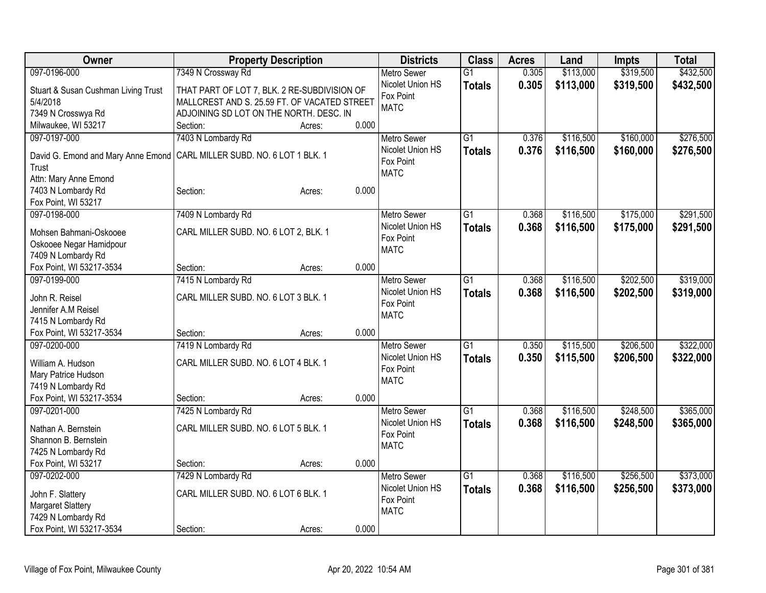| Owner                               | <b>Property Description</b>                  |       | <b>Districts</b>              | <b>Class</b>    | <b>Acres</b> | Land      | Impts     | <b>Total</b> |
|-------------------------------------|----------------------------------------------|-------|-------------------------------|-----------------|--------------|-----------|-----------|--------------|
| 097-0196-000                        | 7349 N Crossway Rd                           |       | <b>Metro Sewer</b>            | $\overline{G1}$ | 0.305        | \$113,000 | \$319,500 | \$432,500    |
| Stuart & Susan Cushman Living Trust | THAT PART OF LOT 7, BLK. 2 RE-SUBDIVISION OF |       | Nicolet Union HS              | <b>Totals</b>   | 0.305        | \$113,000 | \$319,500 | \$432,500    |
| 5/4/2018                            | MALLCREST AND S. 25.59 FT. OF VACATED STREET |       | Fox Point                     |                 |              |           |           |              |
| 7349 N Crosswya Rd                  | ADJOINING SD LOT ON THE NORTH. DESC. IN      |       | <b>MATC</b>                   |                 |              |           |           |              |
| Milwaukee, WI 53217                 | Section:<br>Acres:                           | 0.000 |                               |                 |              |           |           |              |
| 097-0197-000                        | 7403 N Lombardy Rd                           |       | <b>Metro Sewer</b>            | $\overline{G1}$ | 0.376        | \$116,500 | \$160,000 | \$276,500    |
|                                     |                                              |       | Nicolet Union HS              | <b>Totals</b>   | 0.376        | \$116,500 | \$160,000 | \$276,500    |
| David G. Emond and Mary Anne Emond  | CARL MILLER SUBD. NO. 6 LOT 1 BLK. 1         |       | Fox Point                     |                 |              |           |           |              |
| Trust<br>Attn: Mary Anne Emond      |                                              |       | <b>MATC</b>                   |                 |              |           |           |              |
| 7403 N Lombardy Rd                  | Section:<br>Acres:                           | 0.000 |                               |                 |              |           |           |              |
| Fox Point, WI 53217                 |                                              |       |                               |                 |              |           |           |              |
| 097-0198-000                        | 7409 N Lombardy Rd                           |       | Metro Sewer                   | $\overline{G1}$ | 0.368        | \$116,500 | \$175,000 | \$291,500    |
|                                     |                                              |       | Nicolet Union HS              | <b>Totals</b>   | 0.368        | \$116,500 | \$175,000 | \$291,500    |
| Mohsen Bahmani-Oskooee              | CARL MILLER SUBD. NO. 6 LOT 2, BLK. 1        |       | Fox Point                     |                 |              |           |           |              |
| Oskooee Negar Hamidpour             |                                              |       | <b>MATC</b>                   |                 |              |           |           |              |
| 7409 N Lombardy Rd                  |                                              |       |                               |                 |              |           |           |              |
| Fox Point, WI 53217-3534            | Section:<br>Acres:                           | 0.000 |                               |                 |              |           |           |              |
| 097-0199-000                        | 7415 N Lombardy Rd                           |       | <b>Metro Sewer</b>            | $\overline{G1}$ | 0.368        | \$116,500 | \$202,500 | \$319,000    |
| John R. Reisel                      | CARL MILLER SUBD. NO. 6 LOT 3 BLK. 1         |       | Nicolet Union HS<br>Fox Point | <b>Totals</b>   | 0.368        | \$116,500 | \$202,500 | \$319,000    |
| Jennifer A.M Reisel                 |                                              |       | <b>MATC</b>                   |                 |              |           |           |              |
| 7415 N Lombardy Rd                  |                                              |       |                               |                 |              |           |           |              |
| Fox Point, WI 53217-3534            | Section:<br>Acres:                           | 0.000 |                               |                 |              |           |           |              |
| 097-0200-000                        | 7419 N Lombardy Rd                           |       | <b>Metro Sewer</b>            | $\overline{G1}$ | 0.350        | \$115,500 | \$206,500 | \$322,000    |
| William A. Hudson                   | CARL MILLER SUBD. NO. 6 LOT 4 BLK. 1         |       | Nicolet Union HS              | <b>Totals</b>   | 0.350        | \$115,500 | \$206,500 | \$322,000    |
| Mary Patrice Hudson                 |                                              |       | Fox Point                     |                 |              |           |           |              |
| 7419 N Lombardy Rd                  |                                              |       | <b>MATC</b>                   |                 |              |           |           |              |
| Fox Point, WI 53217-3534            | Section:<br>Acres:                           | 0.000 |                               |                 |              |           |           |              |
| 097-0201-000                        | 7425 N Lombardy Rd                           |       | Metro Sewer                   | $\overline{G1}$ | 0.368        | \$116,500 | \$248,500 | \$365,000    |
| Nathan A. Bernstein                 | CARL MILLER SUBD. NO. 6 LOT 5 BLK. 1         |       | Nicolet Union HS              | <b>Totals</b>   | 0.368        | \$116,500 | \$248,500 | \$365,000    |
| Shannon B. Bernstein                |                                              |       | Fox Point                     |                 |              |           |           |              |
| 7425 N Lombardy Rd                  |                                              |       | <b>MATC</b>                   |                 |              |           |           |              |
| Fox Point, WI 53217                 | Section:<br>Acres:                           | 0.000 |                               |                 |              |           |           |              |
| 097-0202-000                        | 7429 N Lombardy Rd                           |       | Metro Sewer                   | $\overline{G1}$ | 0.368        | \$116,500 | \$256,500 | \$373,000    |
|                                     |                                              |       | Nicolet Union HS              | <b>Totals</b>   | 0.368        | \$116,500 | \$256,500 | \$373,000    |
| John F. Slattery                    | CARL MILLER SUBD. NO. 6 LOT 6 BLK. 1         |       | Fox Point                     |                 |              |           |           |              |
| Margaret Slattery                   |                                              |       | <b>MATC</b>                   |                 |              |           |           |              |
| 7429 N Lombardy Rd                  |                                              |       |                               |                 |              |           |           |              |
| Fox Point, WI 53217-3534            | Section:<br>Acres:                           | 0.000 |                               |                 |              |           |           |              |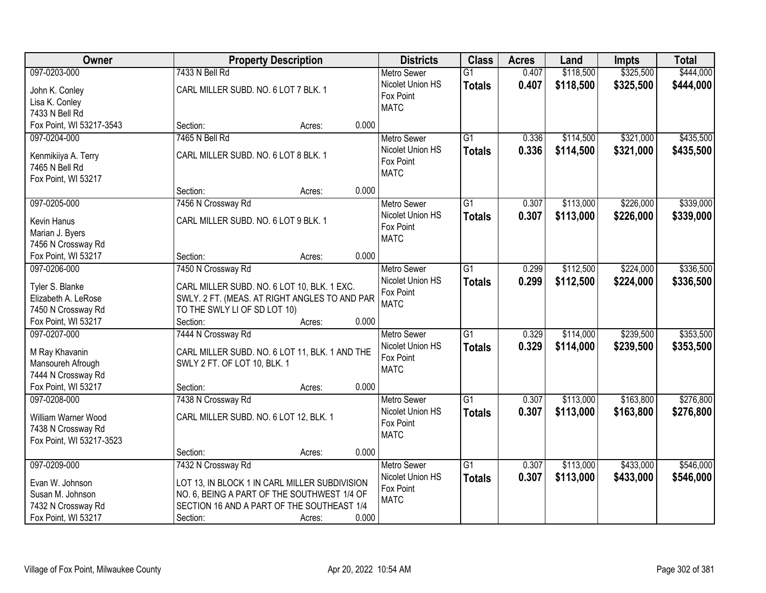| Owner                                 |                                                                                | <b>Property Description</b> |       | <b>Districts</b>   | <b>Class</b>    | <b>Acres</b> | Land      | <b>Impts</b> | <b>Total</b> |
|---------------------------------------|--------------------------------------------------------------------------------|-----------------------------|-------|--------------------|-----------------|--------------|-----------|--------------|--------------|
| 097-0203-000                          | 7433 N Bell Rd                                                                 |                             |       | <b>Metro Sewer</b> | $\overline{G1}$ | 0.407        | \$118,500 | \$325,500    | \$444,000    |
| John K. Conley                        | CARL MILLER SUBD. NO. 6 LOT 7 BLK. 1                                           |                             |       | Nicolet Union HS   | <b>Totals</b>   | 0.407        | \$118,500 | \$325,500    | \$444,000    |
| Lisa K. Conley                        |                                                                                |                             |       | Fox Point          |                 |              |           |              |              |
| 7433 N Bell Rd                        |                                                                                |                             |       | <b>MATC</b>        |                 |              |           |              |              |
| Fox Point, WI 53217-3543              | Section:                                                                       | Acres:                      | 0.000 |                    |                 |              |           |              |              |
| 097-0204-000                          | 7465 N Bell Rd                                                                 |                             |       | <b>Metro Sewer</b> | $\overline{G1}$ | 0.336        | \$114,500 | \$321,000    | \$435,500    |
|                                       | CARL MILLER SUBD. NO. 6 LOT 8 BLK. 1                                           |                             |       | Nicolet Union HS   | <b>Totals</b>   | 0.336        | \$114,500 | \$321,000    | \$435,500    |
| Kenmikiiya A. Terry<br>7465 N Bell Rd |                                                                                |                             |       | Fox Point          |                 |              |           |              |              |
|                                       |                                                                                |                             |       | <b>MATC</b>        |                 |              |           |              |              |
| Fox Point, WI 53217                   | Section:                                                                       | Acres:                      | 0.000 |                    |                 |              |           |              |              |
| 097-0205-000                          | 7456 N Crossway Rd                                                             |                             |       | <b>Metro Sewer</b> | $\overline{G1}$ | 0.307        | \$113,000 | \$226,000    | \$339,000    |
|                                       |                                                                                |                             |       | Nicolet Union HS   | <b>Totals</b>   | 0.307        | \$113,000 | \$226,000    | \$339,000    |
| Kevin Hanus                           | CARL MILLER SUBD. NO. 6 LOT 9 BLK. 1                                           |                             |       | Fox Point          |                 |              |           |              |              |
| Marian J. Byers                       |                                                                                |                             |       | <b>MATC</b>        |                 |              |           |              |              |
| 7456 N Crossway Rd                    |                                                                                |                             |       |                    |                 |              |           |              |              |
| Fox Point, WI 53217                   | Section:                                                                       | Acres:                      | 0.000 |                    |                 |              |           |              |              |
| 097-0206-000                          | 7450 N Crossway Rd                                                             |                             |       | <b>Metro Sewer</b> | $\overline{G1}$ | 0.299        | \$112,500 | \$224,000    | \$336,500    |
| Tyler S. Blanke                       | CARL MILLER SUBD. NO. 6 LOT 10, BLK. 1 EXC.                                    |                             |       | Nicolet Union HS   | <b>Totals</b>   | 0.299        | \$112,500 | \$224,000    | \$336,500    |
| Elizabeth A. LeRose                   | SWLY. 2 FT. (MEAS. AT RIGHT ANGLES TO AND PAR                                  |                             |       | Fox Point          |                 |              |           |              |              |
| 7450 N Crossway Rd                    | TO THE SWLY LI OF SD LOT 10)                                                   |                             |       | <b>MATC</b>        |                 |              |           |              |              |
| Fox Point, WI 53217                   | Section:                                                                       | Acres:                      | 0.000 |                    |                 |              |           |              |              |
| 097-0207-000                          | 7444 N Crossway Rd                                                             |                             |       | <b>Metro Sewer</b> | $\overline{G1}$ | 0.329        | \$114,000 | \$239,500    | \$353,500    |
|                                       |                                                                                |                             |       | Nicolet Union HS   | <b>Totals</b>   | 0.329        | \$114,000 | \$239,500    | \$353,500    |
| M Ray Khavanin<br>Mansoureh Afrough   | CARL MILLER SUBD. NO. 6 LOT 11, BLK. 1 AND THE<br>SWLY 2 FT. OF LOT 10, BLK. 1 |                             |       | Fox Point          |                 |              |           |              |              |
| 7444 N Crossway Rd                    |                                                                                |                             |       | <b>MATC</b>        |                 |              |           |              |              |
| Fox Point, WI 53217                   | Section:                                                                       | Acres:                      | 0.000 |                    |                 |              |           |              |              |
| 097-0208-000                          | 7438 N Crossway Rd                                                             |                             |       | <b>Metro Sewer</b> | $\overline{G1}$ | 0.307        | \$113,000 | \$163,800    | \$276,800    |
|                                       |                                                                                |                             |       | Nicolet Union HS   | <b>Totals</b>   | 0.307        | \$113,000 | \$163,800    | \$276,800    |
| William Warner Wood                   | CARL MILLER SUBD. NO. 6 LOT 12, BLK. 1                                         |                             |       | Fox Point          |                 |              |           |              |              |
| 7438 N Crossway Rd                    |                                                                                |                             |       | <b>MATC</b>        |                 |              |           |              |              |
| Fox Point, WI 53217-3523              |                                                                                |                             |       |                    |                 |              |           |              |              |
|                                       | Section:                                                                       | Acres:                      | 0.000 |                    |                 |              |           |              |              |
| 097-0209-000                          | 7432 N Crossway Rd                                                             |                             |       | <b>Metro Sewer</b> | $\overline{G1}$ | 0.307        | \$113,000 | \$433,000    | \$546,000    |
| Evan W. Johnson                       | LOT 13, IN BLOCK 1 IN CARL MILLER SUBDIVISION                                  |                             |       | Nicolet Union HS   | <b>Totals</b>   | 0.307        | \$113,000 | \$433,000    | \$546,000    |
| Susan M. Johnson                      | NO. 6, BEING A PART OF THE SOUTHWEST 1/4 OF                                    |                             |       | Fox Point          |                 |              |           |              |              |
| 7432 N Crossway Rd                    | SECTION 16 AND A PART OF THE SOUTHEAST 1/4                                     |                             |       | <b>MATC</b>        |                 |              |           |              |              |
| Fox Point, WI 53217                   | Section:                                                                       | Acres:                      | 0.000 |                    |                 |              |           |              |              |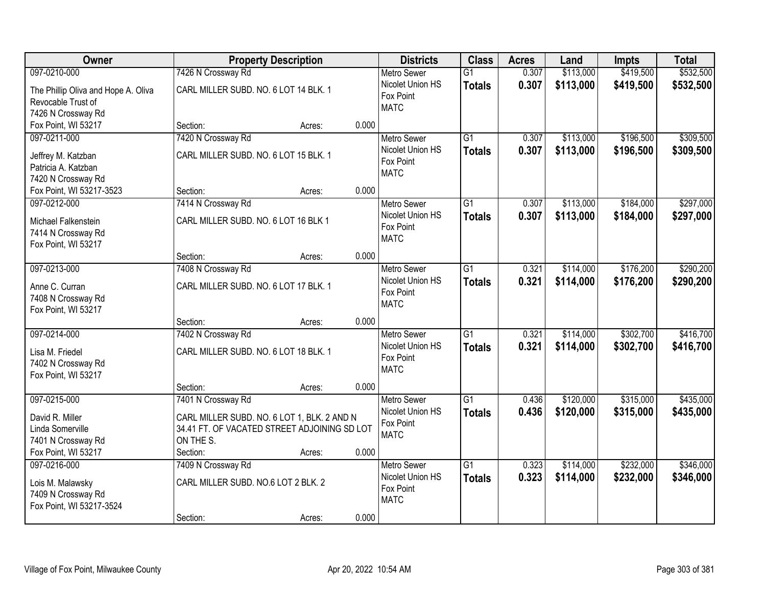| Owner                                                                                            |                                                                                                                                            | <b>Property Description</b> |       | <b>Districts</b>                                                   | <b>Class</b>                     | <b>Acres</b>   | Land                   | <b>Impts</b>           | <b>Total</b>           |
|--------------------------------------------------------------------------------------------------|--------------------------------------------------------------------------------------------------------------------------------------------|-----------------------------|-------|--------------------------------------------------------------------|----------------------------------|----------------|------------------------|------------------------|------------------------|
| 097-0210-000                                                                                     | 7426 N Crossway Rd                                                                                                                         |                             |       | <b>Metro Sewer</b>                                                 | $\overline{G1}$                  | 0.307          | \$113,000              | \$419,500              | \$532,500              |
| The Phillip Oliva and Hope A. Oliva<br>Revocable Trust of<br>7426 N Crossway Rd                  | CARL MILLER SUBD. NO. 6 LOT 14 BLK. 1                                                                                                      |                             |       | Nicolet Union HS<br>Fox Point<br><b>MATC</b>                       | <b>Totals</b>                    | 0.307          | \$113,000              | \$419,500              | \$532,500              |
| Fox Point, WI 53217                                                                              | Section:                                                                                                                                   | Acres:                      | 0.000 |                                                                    |                                  |                |                        |                        |                        |
| 097-0211-000<br>Jeffrey M. Katzban<br>Patricia A. Katzban<br>7420 N Crossway Rd                  | 7420 N Crossway Rd<br>CARL MILLER SUBD. NO. 6 LOT 15 BLK. 1                                                                                |                             |       | <b>Metro Sewer</b><br>Nicolet Union HS<br>Fox Point<br><b>MATC</b> | $\overline{G1}$<br><b>Totals</b> | 0.307<br>0.307 | \$113,000<br>\$113,000 | \$196,500<br>\$196,500 | \$309,500<br>\$309,500 |
| Fox Point, WI 53217-3523                                                                         | Section:                                                                                                                                   | Acres:                      | 0.000 |                                                                    |                                  |                |                        |                        |                        |
| 097-0212-000<br>Michael Falkenstein<br>7414 N Crossway Rd<br>Fox Point, WI 53217                 | 7414 N Crossway Rd<br>CARL MILLER SUBD. NO. 6 LOT 16 BLK 1                                                                                 |                             |       | Metro Sewer<br>Nicolet Union HS<br>Fox Point<br><b>MATC</b>        | $\overline{G1}$<br><b>Totals</b> | 0.307<br>0.307 | \$113,000<br>\$113,000 | \$184,000<br>\$184,000 | \$297,000<br>\$297,000 |
|                                                                                                  | Section:                                                                                                                                   | Acres:                      | 0.000 |                                                                    |                                  |                |                        |                        |                        |
| 097-0213-000<br>Anne C. Curran<br>7408 N Crossway Rd<br>Fox Point, WI 53217                      | 7408 N Crossway Rd<br>CARL MILLER SUBD. NO. 6 LOT 17 BLK. 1                                                                                |                             |       | <b>Metro Sewer</b><br>Nicolet Union HS<br>Fox Point<br><b>MATC</b> | $\overline{G1}$<br><b>Totals</b> | 0.321<br>0.321 | \$114,000<br>\$114,000 | \$176,200<br>\$176,200 | \$290,200<br>\$290,200 |
|                                                                                                  | Section:                                                                                                                                   | Acres:                      | 0.000 |                                                                    |                                  |                |                        |                        |                        |
| 097-0214-000<br>Lisa M. Friedel<br>7402 N Crossway Rd<br>Fox Point, WI 53217                     | 7402 N Crossway Rd<br>CARL MILLER SUBD. NO. 6 LOT 18 BLK. 1                                                                                |                             |       | Metro Sewer<br>Nicolet Union HS<br>Fox Point<br><b>MATC</b>        | $\overline{G1}$<br><b>Totals</b> | 0.321<br>0.321 | \$114,000<br>\$114,000 | \$302,700<br>\$302,700 | \$416,700<br>\$416,700 |
|                                                                                                  | Section:                                                                                                                                   | Acres:                      | 0.000 |                                                                    |                                  |                |                        |                        |                        |
| 097-0215-000<br>David R. Miller<br>Linda Somerville<br>7401 N Crossway Rd<br>Fox Point, WI 53217 | 7401 N Crossway Rd<br>CARL MILLER SUBD. NO. 6 LOT 1, BLK. 2 AND N<br>34.41 FT. OF VACATED STREET ADJOINING SD LOT<br>ON THE S.<br>Section: | Acres:                      | 0.000 | <b>Metro Sewer</b><br>Nicolet Union HS<br>Fox Point<br><b>MATC</b> | $\overline{G1}$<br><b>Totals</b> | 0.436<br>0.436 | \$120,000<br>\$120,000 | \$315,000<br>\$315,000 | \$435,000<br>\$435,000 |
| 097-0216-000<br>Lois M. Malawsky<br>7409 N Crossway Rd<br>Fox Point, WI 53217-3524               | 7409 N Crossway Rd<br>CARL MILLER SUBD. NO.6 LOT 2 BLK. 2<br>Section:                                                                      | Acres:                      | 0.000 | <b>Metro Sewer</b><br>Nicolet Union HS<br>Fox Point<br><b>MATC</b> | $\overline{G1}$<br><b>Totals</b> | 0.323<br>0.323 | \$114,000<br>\$114,000 | \$232,000<br>\$232,000 | \$346,000<br>\$346,000 |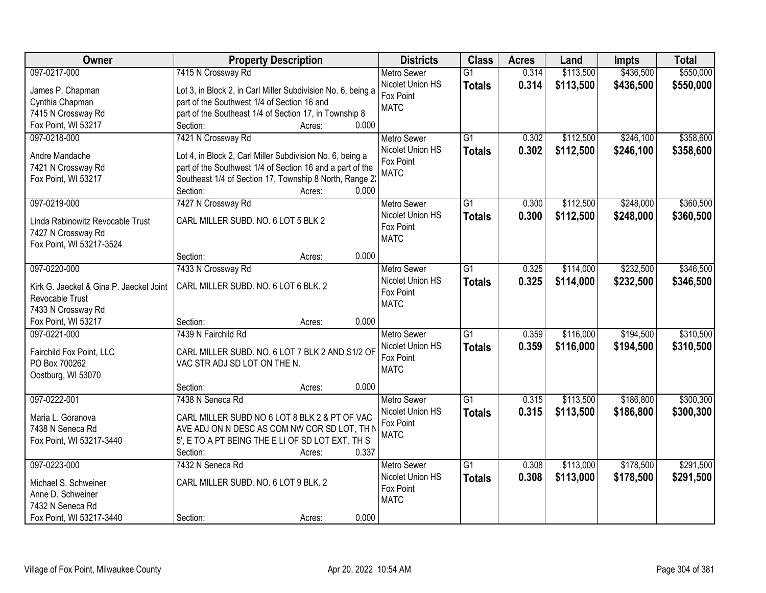| Owner                                   | <b>Property Description</b>                                  | <b>Districts</b>              | <b>Class</b>    | <b>Acres</b> | Land      | <b>Impts</b> | <b>Total</b> |
|-----------------------------------------|--------------------------------------------------------------|-------------------------------|-----------------|--------------|-----------|--------------|--------------|
| 097-0217-000                            | 7415 N Crossway Rd                                           | <b>Metro Sewer</b>            | $\overline{G1}$ | 0.314        | \$113,500 | \$436,500    | \$550,000    |
| James P. Chapman                        | Lot 3, in Block 2, in Carl Miller Subdivision No. 6, being a | Nicolet Union HS              | <b>Totals</b>   | 0.314        | \$113,500 | \$436,500    | \$550,000    |
| Cynthia Chapman                         | part of the Southwest 1/4 of Section 16 and                  | Fox Point                     |                 |              |           |              |              |
| 7415 N Crossway Rd                      | part of the Southeast 1/4 of Section 17, in Township 8       | <b>MATC</b>                   |                 |              |           |              |              |
| Fox Point, WI 53217                     | 0.000<br>Section:<br>Acres:                                  |                               |                 |              |           |              |              |
| 097-0218-000                            | 7421 N Crossway Rd                                           | <b>Metro Sewer</b>            | $\overline{G1}$ | 0.302        | \$112,500 | \$246,100    | \$358,600    |
|                                         |                                                              | Nicolet Union HS              | <b>Totals</b>   | 0.302        | \$112,500 | \$246,100    | \$358,600    |
| Andre Mandache                          | Lot 4, in Block 2, Carl Miller Subdivision No. 6, being a    | Fox Point                     |                 |              |           |              |              |
| 7421 N Crossway Rd                      | part of the Southwest 1/4 of Section 16 and a part of the    | <b>MATC</b>                   |                 |              |           |              |              |
| Fox Point, WI 53217                     | Southeast 1/4 of Section 17, Township 8 North, Range 2:      |                               |                 |              |           |              |              |
|                                         | Section:<br>0.000<br>Acres:                                  |                               |                 |              |           |              |              |
| 097-0219-000                            | 7427 N Crossway Rd                                           | Metro Sewer                   | $\overline{G1}$ | 0.300        | \$112,500 | \$248,000    | \$360,500    |
| Linda Rabinowitz Revocable Trust        | CARL MILLER SUBD. NO. 6 LOT 5 BLK 2                          | Nicolet Union HS<br>Fox Point | <b>Totals</b>   | 0.300        | \$112,500 | \$248,000    | \$360,500    |
| 7427 N Crossway Rd                      |                                                              | <b>MATC</b>                   |                 |              |           |              |              |
| Fox Point, WI 53217-3524                |                                                              |                               |                 |              |           |              |              |
|                                         | 0.000<br>Section:<br>Acres:                                  |                               |                 |              |           |              |              |
| 097-0220-000                            | 7433 N Crossway Rd                                           | <b>Metro Sewer</b>            | $\overline{G1}$ | 0.325        | \$114,000 | \$232,500    | \$346,500    |
| Kirk G. Jaeckel & Gina P. Jaeckel Joint | CARL MILLER SUBD. NO. 6 LOT 6 BLK. 2                         | Nicolet Union HS              | <b>Totals</b>   | 0.325        | \$114,000 | \$232,500    | \$346,500    |
| Revocable Trust                         |                                                              | Fox Point                     |                 |              |           |              |              |
| 7433 N Crossway Rd                      |                                                              | <b>MATC</b>                   |                 |              |           |              |              |
| Fox Point, WI 53217                     | 0.000<br>Section:<br>Acres:                                  |                               |                 |              |           |              |              |
| 097-0221-000                            | 7439 N Fairchild Rd                                          | <b>Metro Sewer</b>            | $\overline{G1}$ | 0.359        | \$116,000 | \$194,500    | \$310,500    |
|                                         |                                                              | Nicolet Union HS              | <b>Totals</b>   | 0.359        | \$116,000 | \$194,500    | \$310,500    |
| Fairchild Fox Point, LLC                | CARL MILLER SUBD. NO. 6 LOT 7 BLK 2 AND S1/2 OF              | Fox Point                     |                 |              |           |              |              |
| PO Box 700262                           | VAC STR ADJ SD LOT ON THE N.                                 | <b>MATC</b>                   |                 |              |           |              |              |
| Oostburg, WI 53070                      |                                                              |                               |                 |              |           |              |              |
|                                         | 0.000<br>Section:<br>Acres:                                  |                               |                 |              |           |              |              |
| 097-0222-001                            | 7438 N Seneca Rd                                             | <b>Metro Sewer</b>            | $\overline{G1}$ | 0.315        | \$113,500 | \$186,800    | \$300,300    |
| Maria L. Goranova                       | CARL MILLER SUBD NO 6 LOT 8 BLK 2 & PT OF VAC                | Nicolet Union HS<br>Fox Point | <b>Totals</b>   | 0.315        | \$113,500 | \$186,800    | \$300,300    |
| 7438 N Seneca Rd                        | AVE ADJ ON N DESC AS COM NW COR SD LOT, TH N                 | <b>MATC</b>                   |                 |              |           |              |              |
| Fox Point, WI 53217-3440                | 5', E TO A PT BEING THE E LI OF SD LOT EXT, TH S             |                               |                 |              |           |              |              |
|                                         | Section:<br>0.337<br>Acres:                                  |                               |                 |              |           |              |              |
| 097-0223-000                            | 7432 N Seneca Rd                                             | <b>Metro Sewer</b>            | $\overline{G1}$ | 0.308        | \$113,000 | \$178,500    | \$291,500    |
| Michael S. Schweiner                    | CARL MILLER SUBD. NO. 6 LOT 9 BLK. 2                         | Nicolet Union HS              | <b>Totals</b>   | 0.308        | \$113,000 | \$178,500    | \$291,500    |
| Anne D. Schweiner                       |                                                              | Fox Point                     |                 |              |           |              |              |
| 7432 N Seneca Rd                        |                                                              | <b>MATC</b>                   |                 |              |           |              |              |
| Fox Point, WI 53217-3440                | 0.000<br>Section:<br>Acres:                                  |                               |                 |              |           |              |              |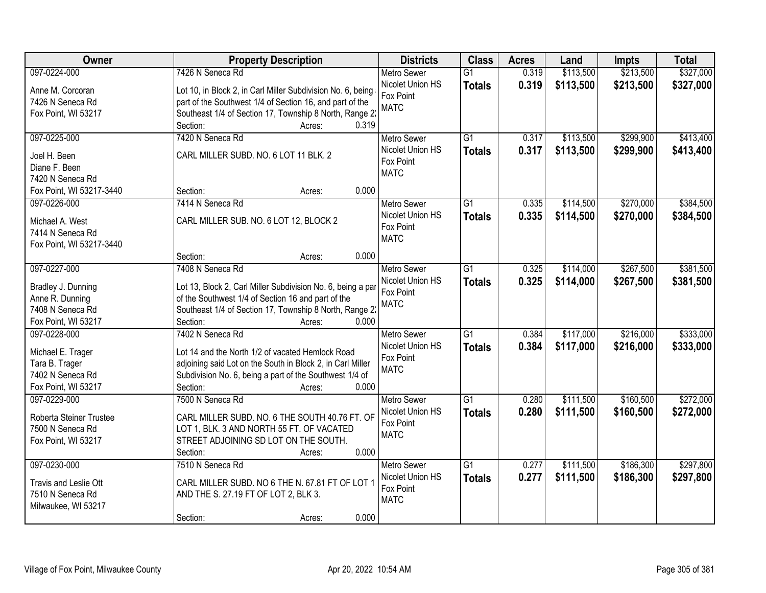| 7426 N Seneca Rd<br>\$113,500<br>\$213,500<br>097-0224-000<br>$\overline{G1}$<br><b>Metro Sewer</b><br>0.319                                              |           |
|-----------------------------------------------------------------------------------------------------------------------------------------------------------|-----------|
|                                                                                                                                                           | \$327,000 |
| Nicolet Union HS<br>0.319<br>\$113,500<br>\$213,500<br><b>Totals</b><br>Lot 10, in Block 2, in Carl Miller Subdivision No. 6, being<br>Anne M. Corcoran   | \$327,000 |
| Fox Point<br>part of the Southwest 1/4 of Section 16, and part of the<br>7426 N Seneca Rd                                                                 |           |
| <b>MATC</b><br>Southeast 1/4 of Section 17, Township 8 North, Range 2:<br>Fox Point, WI 53217                                                             |           |
| 0.319<br>Section:<br>Acres:                                                                                                                               |           |
| \$299,900<br>097-0225-000<br>7420 N Seneca Rd<br>\$113,500<br>G1<br>0.317<br><b>Metro Sewer</b>                                                           | \$413,400 |
| 0.317<br>Nicolet Union HS<br>\$113,500<br>\$299,900<br><b>Totals</b>                                                                                      | \$413,400 |
| CARL MILLER SUBD. NO. 6 LOT 11 BLK. 2<br>Joel H. Been<br>Fox Point                                                                                        |           |
| Diane F. Been<br><b>MATC</b><br>7420 N Seneca Rd                                                                                                          |           |
| 0.000<br>Fox Point, WI 53217-3440<br>Section:<br>Acres:                                                                                                   |           |
| \$114,500<br>\$270,000<br>097-0226-000<br>7414 N Seneca Rd<br>Metro Sewer<br>G1<br>0.335                                                                  | \$384,500 |
| Nicolet Union HS                                                                                                                                          |           |
| 0.335<br>\$114,500<br>\$270,000<br><b>Totals</b><br>CARL MILLER SUB. NO. 6 LOT 12, BLOCK 2<br>Michael A. West<br>Fox Point                                | \$384,500 |
| 7414 N Seneca Rd<br><b>MATC</b>                                                                                                                           |           |
| Fox Point, WI 53217-3440                                                                                                                                  |           |
| 0.000<br>Section:<br>Acres:                                                                                                                               |           |
| 097-0227-000<br>\$114,000<br>\$267,500<br>7408 N Seneca Rd<br>$\overline{G1}$<br>0.325<br><b>Metro Sewer</b>                                              | \$381,500 |
| Nicolet Union HS<br>0.325<br>\$114,000<br>\$267,500<br><b>Totals</b><br>Lot 13, Block 2, Carl Miller Subdivision No. 6, being a par<br>Bradley J. Dunning | \$381,500 |
| Fox Point<br>Anne R. Dunning<br>of the Southwest 1/4 of Section 16 and part of the                                                                        |           |
| <b>MATC</b><br>7408 N Seneca Rd<br>Southeast 1/4 of Section 17, Township 8 North, Range 2:                                                                |           |
| Fox Point, WI 53217<br>Section:<br>0.000<br>Acres:                                                                                                        |           |
| 7402 N Seneca Rd<br>$\overline{G1}$<br>\$117,000<br>\$216,000<br>097-0228-000<br>0.384<br><b>Metro Sewer</b>                                              | \$333,000 |
| 0.384<br>\$117,000<br>\$216,000<br>Nicolet Union HS<br><b>Totals</b>                                                                                      | \$333,000 |
| Lot 14 and the North 1/2 of vacated Hemlock Road<br>Michael E. Trager<br>Fox Point                                                                        |           |
| Tara B. Trager<br>adjoining said Lot on the South in Block 2, in Carl Miller<br><b>MATC</b>                                                               |           |
| Subdivision No. 6, being a part of the Southwest 1/4 of<br>7402 N Seneca Rd                                                                               |           |
| Fox Point, WI 53217<br>Section:<br>0.000<br>Acres:                                                                                                        |           |
| \$160,500<br>097-0229-000<br>7500 N Seneca Rd<br>G1<br>\$111,500<br><b>Metro Sewer</b><br>0.280                                                           | \$272,000 |
| 0.280<br>\$111,500<br>\$160,500<br>Nicolet Union HS<br><b>Totals</b><br>CARL MILLER SUBD. NO. 6 THE SOUTH 40.76 FT. OF<br>Roberta Steiner Trustee         | \$272,000 |
| Fox Point<br>LOT 1, BLK. 3 AND NORTH 55 FT. OF VACATED<br>7500 N Seneca Rd                                                                                |           |
| <b>MATC</b><br>STREET ADJOINING SD LOT ON THE SOUTH.<br>Fox Point, WI 53217                                                                               |           |
| 0.000<br>Section:<br>Acres:                                                                                                                               |           |
| \$186,300<br>097-0230-000<br>7510 N Seneca Rd<br>$\overline{G1}$<br>0.277<br>\$111,500<br><b>Metro Sewer</b>                                              | \$297,800 |
| Nicolet Union HS<br>0.277<br>\$111,500<br>\$186,300<br><b>Totals</b><br>Travis and Leslie Ott<br>CARL MILLER SUBD. NO 6 THE N. 67.81 FT OF LOT 1          | \$297,800 |
| Fox Point<br>AND THE S. 27.19 FT OF LOT 2, BLK 3.<br>7510 N Seneca Rd                                                                                     |           |
| <b>MATC</b><br>Milwaukee, WI 53217                                                                                                                        |           |
| 0.000<br>Section:<br>Acres:                                                                                                                               |           |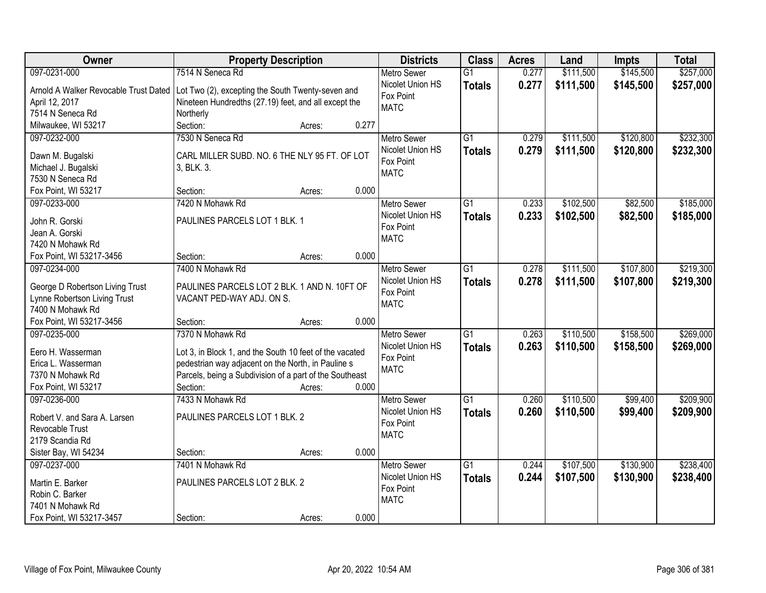| Owner                                 | <b>Property Description</b>                             |                 | <b>Districts</b>   | <b>Class</b>    | <b>Acres</b> | Land      | <b>Impts</b> | <b>Total</b> |
|---------------------------------------|---------------------------------------------------------|-----------------|--------------------|-----------------|--------------|-----------|--------------|--------------|
| 097-0231-000                          | 7514 N Seneca Rd                                        |                 | <b>Metro Sewer</b> | $\overline{G1}$ | 0.277        | \$111,500 | \$145,500    | \$257,000    |
| Arnold A Walker Revocable Trust Dated | Lot Two (2), excepting the South Twenty-seven and       |                 | Nicolet Union HS   | <b>Totals</b>   | 0.277        | \$111,500 | \$145,500    | \$257,000    |
| April 12, 2017                        | Nineteen Hundredths (27.19) feet, and all except the    |                 | Fox Point          |                 |              |           |              |              |
| 7514 N Seneca Rd                      | Northerly                                               |                 | <b>MATC</b>        |                 |              |           |              |              |
| Milwaukee, WI 53217                   | Section:                                                | 0.277<br>Acres: |                    |                 |              |           |              |              |
| 097-0232-000                          | 7530 N Seneca Rd                                        |                 | <b>Metro Sewer</b> | $\overline{G1}$ | 0.279        | \$111,500 | \$120,800    | \$232,300    |
|                                       |                                                         |                 | Nicolet Union HS   | <b>Totals</b>   | 0.279        | \$111,500 | \$120,800    | \$232,300    |
| Dawn M. Bugalski                      | CARL MILLER SUBD. NO. 6 THE NLY 95 FT. OF LOT           |                 | Fox Point          |                 |              |           |              |              |
| Michael J. Bugalski                   | 3, BLK. 3.                                              |                 | <b>MATC</b>        |                 |              |           |              |              |
| 7530 N Seneca Rd                      |                                                         |                 |                    |                 |              |           |              |              |
| Fox Point, WI 53217                   | Section:                                                | 0.000<br>Acres: |                    |                 |              |           |              |              |
| 097-0233-000                          | 7420 N Mohawk Rd                                        |                 | <b>Metro Sewer</b> | G1              | 0.233        | \$102,500 | \$82,500     | \$185,000    |
| John R. Gorski                        | PAULINES PARCELS LOT 1 BLK. 1                           |                 | Nicolet Union HS   | <b>Totals</b>   | 0.233        | \$102,500 | \$82,500     | \$185,000    |
| Jean A. Gorski                        |                                                         |                 | Fox Point          |                 |              |           |              |              |
| 7420 N Mohawk Rd                      |                                                         |                 | <b>MATC</b>        |                 |              |           |              |              |
| Fox Point, WI 53217-3456              | Section:                                                | 0.000<br>Acres: |                    |                 |              |           |              |              |
| 097-0234-000                          | 7400 N Mohawk Rd                                        |                 | <b>Metro Sewer</b> | G1              | 0.278        | \$111,500 | \$107,800    | \$219,300    |
|                                       |                                                         |                 | Nicolet Union HS   | <b>Totals</b>   | 0.278        | \$111,500 | \$107,800    | \$219,300    |
| George D Robertson Living Trust       | PAULINES PARCELS LOT 2 BLK. 1 AND N. 10FT OF            |                 | Fox Point          |                 |              |           |              |              |
| Lynne Robertson Living Trust          | VACANT PED-WAY ADJ. ON S.                               |                 | <b>MATC</b>        |                 |              |           |              |              |
| 7400 N Mohawk Rd                      |                                                         |                 |                    |                 |              |           |              |              |
| Fox Point, WI 53217-3456              | Section:                                                | 0.000<br>Acres: |                    |                 |              |           |              |              |
| 097-0235-000                          | 7370 N Mohawk Rd                                        |                 | <b>Metro Sewer</b> | $\overline{G1}$ | 0.263        | \$110,500 | \$158,500    | \$269,000    |
| Eero H. Wasserman                     | Lot 3, in Block 1, and the South 10 feet of the vacated |                 | Nicolet Union HS   | <b>Totals</b>   | 0.263        | \$110,500 | \$158,500    | \$269,000    |
| Erica L. Wasserman                    | pedestrian way adjacent on the North, in Pauline s      |                 | Fox Point          |                 |              |           |              |              |
| 7370 N Mohawk Rd                      | Parcels, being a Subdivision of a part of the Southeast |                 | <b>MATC</b>        |                 |              |           |              |              |
| Fox Point, WI 53217                   | Section:                                                | 0.000<br>Acres: |                    |                 |              |           |              |              |
| 097-0236-000                          | 7433 N Mohawk Rd                                        |                 | <b>Metro Sewer</b> | $\overline{G1}$ | 0.260        | \$110,500 | \$99,400     | \$209,900    |
|                                       |                                                         |                 | Nicolet Union HS   | <b>Totals</b>   | 0.260        | \$110,500 | \$99,400     | \$209,900    |
| Robert V. and Sara A. Larsen          | PAULINES PARCELS LOT 1 BLK. 2                           |                 | Fox Point          |                 |              |           |              |              |
| Revocable Trust                       |                                                         |                 | <b>MATC</b>        |                 |              |           |              |              |
| 2179 Scandia Rd                       |                                                         |                 |                    |                 |              |           |              |              |
| Sister Bay, WI 54234                  | Section:                                                | 0.000<br>Acres: |                    |                 |              |           |              |              |
| 097-0237-000                          | 7401 N Mohawk Rd                                        |                 | <b>Metro Sewer</b> | $\overline{G1}$ | 0.244        | \$107,500 | \$130,900    | \$238,400    |
| Martin E. Barker                      | PAULINES PARCELS LOT 2 BLK. 2                           |                 | Nicolet Union HS   | <b>Totals</b>   | 0.244        | \$107,500 | \$130,900    | \$238,400    |
| Robin C. Barker                       |                                                         |                 | Fox Point          |                 |              |           |              |              |
| 7401 N Mohawk Rd                      |                                                         |                 | <b>MATC</b>        |                 |              |           |              |              |
| Fox Point, WI 53217-3457              | Section:                                                | 0.000<br>Acres: |                    |                 |              |           |              |              |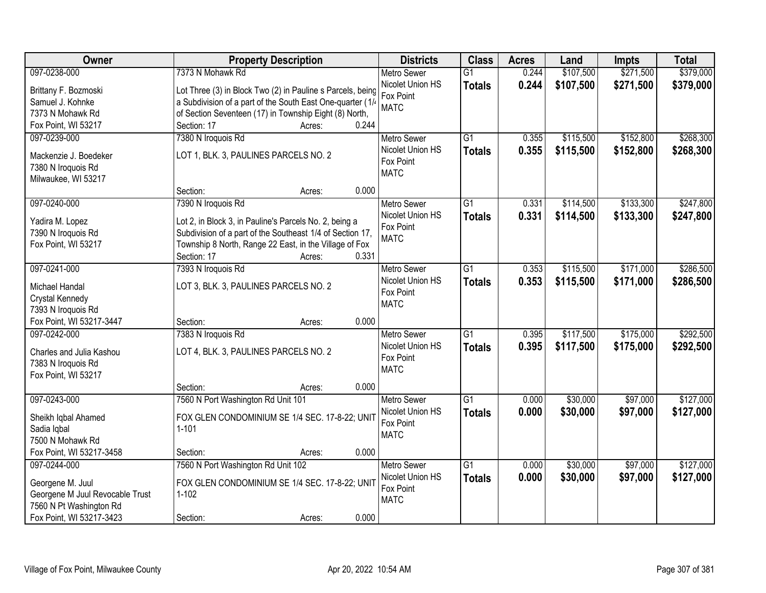| Owner                           | <b>Property Description</b>                                | <b>Districts</b>              | <b>Class</b>    | <b>Acres</b> | Land      | <b>Impts</b> | <b>Total</b> |
|---------------------------------|------------------------------------------------------------|-------------------------------|-----------------|--------------|-----------|--------------|--------------|
| 097-0238-000                    | 7373 N Mohawk Rd                                           | <b>Metro Sewer</b>            | $\overline{G1}$ | 0.244        | \$107,500 | \$271,500    | \$379,000    |
| Brittany F. Bozmoski            | Lot Three (3) in Block Two (2) in Pauline s Parcels, being | Nicolet Union HS              | <b>Totals</b>   | 0.244        | \$107,500 | \$271,500    | \$379,000    |
| Samuel J. Kohnke                | a Subdivision of a part of the South East One-quarter (1/  | Fox Point                     |                 |              |           |              |              |
| 7373 N Mohawk Rd                | of Section Seventeen (17) in Township Eight (8) North,     | <b>MATC</b>                   |                 |              |           |              |              |
| Fox Point, WI 53217             | 0.244<br>Section: 17<br>Acres:                             |                               |                 |              |           |              |              |
| 097-0239-000                    | 7380 N Iroquois Rd                                         | <b>Metro Sewer</b>            | $\overline{G1}$ | 0.355        | \$115,500 | \$152,800    | \$268,300    |
|                                 |                                                            | Nicolet Union HS              | <b>Totals</b>   | 0.355        | \$115,500 | \$152,800    | \$268,300    |
| Mackenzie J. Boedeker           | LOT 1, BLK. 3, PAULINES PARCELS NO. 2                      | Fox Point                     |                 |              |           |              |              |
| 7380 N Iroquois Rd              |                                                            | <b>MATC</b>                   |                 |              |           |              |              |
| Milwaukee, WI 53217             | 0.000<br>Section:                                          |                               |                 |              |           |              |              |
| 097-0240-000                    | Acres:<br>7390 N Iroquois Rd                               | Metro Sewer                   | $\overline{G1}$ | 0.331        | \$114,500 | \$133,300    | \$247,800    |
|                                 |                                                            | Nicolet Union HS              |                 |              |           |              |              |
| Yadira M. Lopez                 | Lot 2, in Block 3, in Pauline's Parcels No. 2, being a     | Fox Point                     | <b>Totals</b>   | 0.331        | \$114,500 | \$133,300    | \$247,800    |
| 7390 N Iroquois Rd              | Subdivision of a part of the Southeast 1/4 of Section 17,  | <b>MATC</b>                   |                 |              |           |              |              |
| Fox Point, WI 53217             | Township 8 North, Range 22 East, in the Village of Fox     |                               |                 |              |           |              |              |
|                                 | Section: 17<br>0.331<br>Acres:                             |                               |                 |              |           |              |              |
| 097-0241-000                    | 7393 N Iroquois Rd                                         | <b>Metro Sewer</b>            | $\overline{G1}$ | 0.353        | \$115,500 | \$171,000    | \$286,500    |
| Michael Handal                  | LOT 3, BLK. 3, PAULINES PARCELS NO. 2                      | Nicolet Union HS              | <b>Totals</b>   | 0.353        | \$115,500 | \$171,000    | \$286,500    |
| Crystal Kennedy                 |                                                            | Fox Point                     |                 |              |           |              |              |
| 7393 N Iroquois Rd              |                                                            | <b>MATC</b>                   |                 |              |           |              |              |
| Fox Point, WI 53217-3447        | 0.000<br>Section:<br>Acres:                                |                               |                 |              |           |              |              |
| 097-0242-000                    | 7383 N Iroquois Rd                                         | <b>Metro Sewer</b>            | $\overline{G1}$ | 0.395        | \$117,500 | \$175,000    | \$292,500    |
|                                 |                                                            | Nicolet Union HS              | <b>Totals</b>   | 0.395        | \$117,500 | \$175,000    | \$292,500    |
| Charles and Julia Kashou        | LOT 4, BLK. 3, PAULINES PARCELS NO. 2                      | Fox Point                     |                 |              |           |              |              |
| 7383 N Iroquois Rd              |                                                            | <b>MATC</b>                   |                 |              |           |              |              |
| Fox Point, WI 53217             |                                                            |                               |                 |              |           |              |              |
|                                 | 0.000<br>Section:<br>Acres:                                |                               |                 |              |           |              |              |
| 097-0243-000                    | 7560 N Port Washington Rd Unit 101                         | Metro Sewer                   | $\overline{G1}$ | 0.000        | \$30,000  | \$97,000     | \$127,000    |
| Sheikh Iqbal Ahamed             | FOX GLEN CONDOMINIUM SE 1/4 SEC. 17-8-22; UNIT             | Nicolet Union HS<br>Fox Point | <b>Totals</b>   | 0.000        | \$30,000  | \$97,000     | \$127,000    |
| Sadia Iqbal                     | $1 - 101$                                                  | <b>MATC</b>                   |                 |              |           |              |              |
| 7500 N Mohawk Rd                |                                                            |                               |                 |              |           |              |              |
| Fox Point, WI 53217-3458        | 0.000<br>Section:<br>Acres:                                |                               |                 |              |           |              |              |
| 097-0244-000                    | 7560 N Port Washington Rd Unit 102                         | <b>Metro Sewer</b>            | $\overline{G1}$ | 0.000        | \$30,000  | \$97,000     | \$127,000    |
| Georgene M. Juul                | FOX GLEN CONDOMINIUM SE 1/4 SEC. 17-8-22; UNIT             | Nicolet Union HS              | <b>Totals</b>   | 0.000        | \$30,000  | \$97,000     | \$127,000    |
| Georgene M Juul Revocable Trust | $1 - 102$                                                  | Fox Point                     |                 |              |           |              |              |
| 7560 N Pt Washington Rd         |                                                            | <b>MATC</b>                   |                 |              |           |              |              |
| Fox Point, WI 53217-3423        | 0.000<br>Section:<br>Acres:                                |                               |                 |              |           |              |              |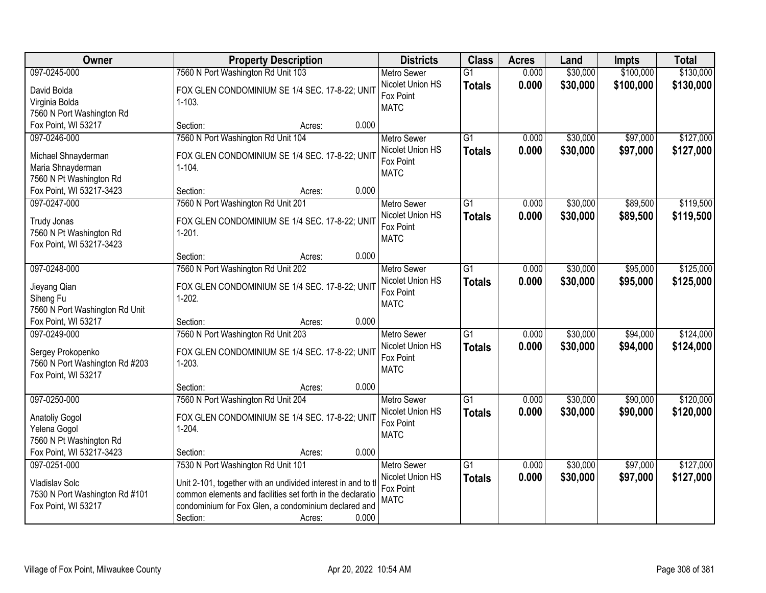| Owner                                                 | <b>Property Description</b>                                  | <b>Districts</b>                       | <b>Class</b>    | <b>Acres</b> | Land     | <b>Impts</b> | <b>Total</b> |
|-------------------------------------------------------|--------------------------------------------------------------|----------------------------------------|-----------------|--------------|----------|--------------|--------------|
| 097-0245-000                                          | 7560 N Port Washington Rd Unit 103                           | <b>Metro Sewer</b>                     | $\overline{G1}$ | 0.000        | \$30,000 | \$100,000    | \$130,000    |
| David Bolda                                           | FOX GLEN CONDOMINIUM SE 1/4 SEC. 17-8-22; UNIT               | Nicolet Union HS                       | <b>Totals</b>   | 0.000        | \$30,000 | \$100,000    | \$130,000    |
| Virginia Bolda                                        | $1 - 103.$                                                   | Fox Point                              |                 |              |          |              |              |
| 7560 N Port Washington Rd                             |                                                              | <b>MATC</b>                            |                 |              |          |              |              |
| Fox Point, WI 53217                                   | 0.000<br>Section:<br>Acres:                                  |                                        |                 |              |          |              |              |
| 097-0246-000                                          | 7560 N Port Washington Rd Unit 104                           | Metro Sewer                            | $\overline{G1}$ | 0.000        | \$30,000 | \$97,000     | \$127,000    |
| Michael Shnayderman                                   | FOX GLEN CONDOMINIUM SE 1/4 SEC. 17-8-22; UNIT               | Nicolet Union HS                       | <b>Totals</b>   | 0.000        | \$30,000 | \$97,000     | \$127,000    |
| Maria Shnayderman                                     | $1 - 104.$                                                   | Fox Point                              |                 |              |          |              |              |
| 7560 N Pt Washington Rd                               |                                                              | <b>MATC</b>                            |                 |              |          |              |              |
| Fox Point, WI 53217-3423                              | 0.000<br>Section:<br>Acres:                                  |                                        |                 |              |          |              |              |
| 097-0247-000                                          | 7560 N Port Washington Rd Unit 201                           | Metro Sewer                            | $\overline{G1}$ | 0.000        | \$30,000 | \$89,500     | \$119,500    |
|                                                       |                                                              | Nicolet Union HS                       | <b>Totals</b>   | 0.000        | \$30,000 | \$89,500     | \$119,500    |
| Trudy Jonas                                           | FOX GLEN CONDOMINIUM SE 1/4 SEC. 17-8-22; UNIT               | Fox Point                              |                 |              |          |              |              |
| 7560 N Pt Washington Rd<br>Fox Point, WI 53217-3423   | $1-201.$                                                     | <b>MATC</b>                            |                 |              |          |              |              |
|                                                       | 0.000<br>Section:<br>Acres:                                  |                                        |                 |              |          |              |              |
| 097-0248-000                                          | 7560 N Port Washington Rd Unit 202                           | <b>Metro Sewer</b>                     | G1              | 0.000        | \$30,000 | \$95,000     | \$125,000    |
|                                                       |                                                              | Nicolet Union HS                       | <b>Totals</b>   | 0.000        | \$30,000 | \$95,000     | \$125,000    |
| Jieyang Qian                                          | FOX GLEN CONDOMINIUM SE 1/4 SEC. 17-8-22; UNIT               | Fox Point                              |                 |              |          |              |              |
| Siheng Fu                                             | $1-202.$                                                     | <b>MATC</b>                            |                 |              |          |              |              |
| 7560 N Port Washington Rd Unit<br>Fox Point, WI 53217 | 0.000                                                        |                                        |                 |              |          |              |              |
| 097-0249-000                                          | Section:<br>Acres:<br>7560 N Port Washington Rd Unit 203     |                                        | $\overline{G1}$ | 0.000        | \$30,000 | \$94,000     | \$124,000    |
|                                                       |                                                              | <b>Metro Sewer</b><br>Nicolet Union HS |                 |              |          |              |              |
| Sergey Prokopenko                                     | FOX GLEN CONDOMINIUM SE 1/4 SEC. 17-8-22; UNIT               | Fox Point                              | <b>Totals</b>   | 0.000        | \$30,000 | \$94,000     | \$124,000    |
| 7560 N Port Washington Rd #203                        | $1-203.$                                                     | <b>MATC</b>                            |                 |              |          |              |              |
| Fox Point, WI 53217                                   |                                                              |                                        |                 |              |          |              |              |
|                                                       | 0.000<br>Section:<br>Acres:                                  |                                        |                 |              |          |              |              |
| 097-0250-000                                          | 7560 N Port Washington Rd Unit 204                           | <b>Metro Sewer</b>                     | G1              | 0.000        | \$30,000 | \$90,000     | \$120,000    |
| <b>Anatoliy Gogol</b>                                 | FOX GLEN CONDOMINIUM SE 1/4 SEC. 17-8-22; UNIT               | Nicolet Union HS                       | <b>Totals</b>   | 0.000        | \$30,000 | \$90,000     | \$120,000    |
| Yelena Gogol                                          | $1-204.$                                                     | Fox Point<br><b>MATC</b>               |                 |              |          |              |              |
| 7560 N Pt Washington Rd                               |                                                              |                                        |                 |              |          |              |              |
| Fox Point, WI 53217-3423                              | 0.000<br>Section:<br>Acres:                                  |                                        |                 |              |          |              |              |
| 097-0251-000                                          | 7530 N Port Washington Rd Unit 101                           | <b>Metro Sewer</b>                     | $\overline{G1}$ | 0.000        | \$30,000 | \$97,000     | \$127,000    |
| Vladislav Solc                                        | Unit 2-101, together with an undivided interest in and to tl | Nicolet Union HS                       | <b>Totals</b>   | 0.000        | \$30,000 | \$97,000     | \$127,000    |
| 7530 N Port Washington Rd #101                        | common elements and facilities set forth in the declaratio   | Fox Point                              |                 |              |          |              |              |
| Fox Point, WI 53217                                   | condominium for Fox Glen, a condominium declared and         | <b>MATC</b>                            |                 |              |          |              |              |
|                                                       | 0.000<br>Section:<br>Acres:                                  |                                        |                 |              |          |              |              |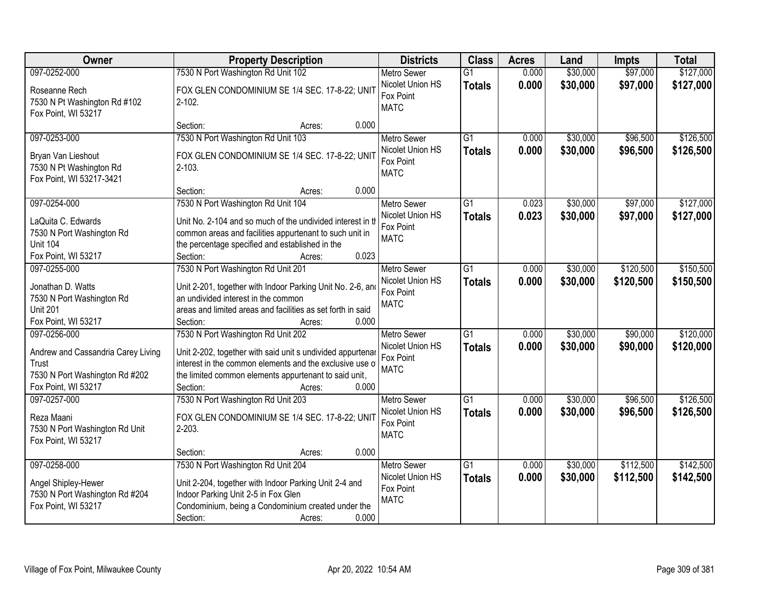| Owner                                                                                                                | <b>Property Description</b>                                                                                                                                                                                                                          | <b>Districts</b>                                                   | <b>Class</b>                     | <b>Acres</b>   | Land                 | <b>Impts</b>         | <b>Total</b>           |
|----------------------------------------------------------------------------------------------------------------------|------------------------------------------------------------------------------------------------------------------------------------------------------------------------------------------------------------------------------------------------------|--------------------------------------------------------------------|----------------------------------|----------------|----------------------|----------------------|------------------------|
| 097-0252-000                                                                                                         | 7530 N Port Washington Rd Unit 102                                                                                                                                                                                                                   | <b>Metro Sewer</b>                                                 | $\overline{G1}$                  | 0.000          | \$30,000             | \$97,000             | \$127,000              |
| Roseanne Rech<br>7530 N Pt Washington Rd #102<br>Fox Point, WI 53217                                                 | FOX GLEN CONDOMINIUM SE 1/4 SEC. 17-8-22; UNIT<br>$2 - 102$ .                                                                                                                                                                                        | Nicolet Union HS<br>Fox Point<br><b>MATC</b>                       | <b>Totals</b>                    | 0.000          | \$30,000             | \$97,000             | \$127,000              |
|                                                                                                                      | 0.000<br>Section:<br>Acres:                                                                                                                                                                                                                          |                                                                    |                                  |                |                      |                      |                        |
| 097-0253-000<br>Bryan Van Lieshout<br>7530 N Pt Washington Rd<br>Fox Point, WI 53217-3421                            | 7530 N Port Washington Rd Unit 103<br>FOX GLEN CONDOMINIUM SE 1/4 SEC. 17-8-22; UNIT<br>$2 - 103.$                                                                                                                                                   | Metro Sewer<br>Nicolet Union HS<br>Fox Point<br><b>MATC</b>        | $\overline{G1}$<br><b>Totals</b> | 0.000<br>0.000 | \$30,000<br>\$30,000 | \$96,500<br>\$96,500 | \$126,500<br>\$126,500 |
|                                                                                                                      | 0.000<br>Section:<br>Acres:                                                                                                                                                                                                                          |                                                                    |                                  |                |                      |                      |                        |
| 097-0254-000<br>LaQuita C. Edwards<br>7530 N Port Washington Rd<br><b>Unit 104</b><br>Fox Point, WI 53217            | 7530 N Port Washington Rd Unit 104<br>Unit No. 2-104 and so much of the undivided interest in th<br>common areas and facilities appurtenant to such unit in<br>the percentage specified and established in the<br>0.023<br>Section:<br>Acres:        | Metro Sewer<br>Nicolet Union HS<br>Fox Point<br><b>MATC</b>        | $\overline{G1}$<br><b>Totals</b> | 0.023<br>0.023 | \$30,000<br>\$30,000 | \$97,000<br>\$97,000 | \$127,000<br>\$127,000 |
| 097-0255-000                                                                                                         | 7530 N Port Washington Rd Unit 201                                                                                                                                                                                                                   | <b>Metro Sewer</b>                                                 | G1                               | 0.000          | \$30,000             | \$120,500            | \$150,500              |
| Jonathan D. Watts<br>7530 N Port Washington Rd<br><b>Unit 201</b><br>Fox Point, WI 53217                             | Unit 2-201, together with Indoor Parking Unit No. 2-6, and<br>an undivided interest in the common<br>areas and limited areas and facilities as set forth in said<br>0.000<br>Section:<br>Acres:                                                      | Nicolet Union HS<br>Fox Point<br><b>MATC</b>                       | <b>Totals</b>                    | 0.000          | \$30,000             | \$120,500            | \$150,500              |
| 097-0256-000<br>Andrew and Cassandria Carey Living<br>Trust<br>7530 N Port Washington Rd #202<br>Fox Point, WI 53217 | 7530 N Port Washington Rd Unit 202<br>Unit 2-202, together with said unit s undivided appurtenar<br>interest in the common elements and the exclusive use of<br>the limited common elements appurtenant to said unit,<br>0.000<br>Section:<br>Acres: | <b>Metro Sewer</b><br>Nicolet Union HS<br>Fox Point<br><b>MATC</b> | $\overline{G1}$<br><b>Totals</b> | 0.000<br>0.000 | \$30,000<br>\$30,000 | \$90,000<br>\$90,000 | \$120,000<br>\$120,000 |
| 097-0257-000<br>Reza Maani<br>7530 N Port Washington Rd Unit<br>Fox Point, WI 53217                                  | 7530 N Port Washington Rd Unit 203<br>FOX GLEN CONDOMINIUM SE 1/4 SEC. 17-8-22; UNIT<br>$2 - 203$ .<br>0.000<br>Section:<br>Acres:                                                                                                                   | <b>Metro Sewer</b><br>Nicolet Union HS<br>Fox Point<br><b>MATC</b> | $\overline{G1}$<br><b>Totals</b> | 0.000<br>0.000 | \$30,000<br>\$30,000 | \$96,500<br>\$96,500 | \$126,500<br>\$126,500 |
| 097-0258-000                                                                                                         | 7530 N Port Washington Rd Unit 204                                                                                                                                                                                                                   | <b>Metro Sewer</b>                                                 | $\overline{G1}$                  | 0.000          | \$30,000             | \$112,500            | \$142,500              |
| Angel Shipley-Hewer<br>7530 N Port Washington Rd #204<br>Fox Point, WI 53217                                         | Unit 2-204, together with Indoor Parking Unit 2-4 and<br>Indoor Parking Unit 2-5 in Fox Glen<br>Condominium, being a Condominium created under the<br>Section:<br>0.000<br>Acres:                                                                    | Nicolet Union HS<br>Fox Point<br><b>MATC</b>                       | <b>Totals</b>                    | 0.000          | \$30,000             | \$112,500            | \$142,500              |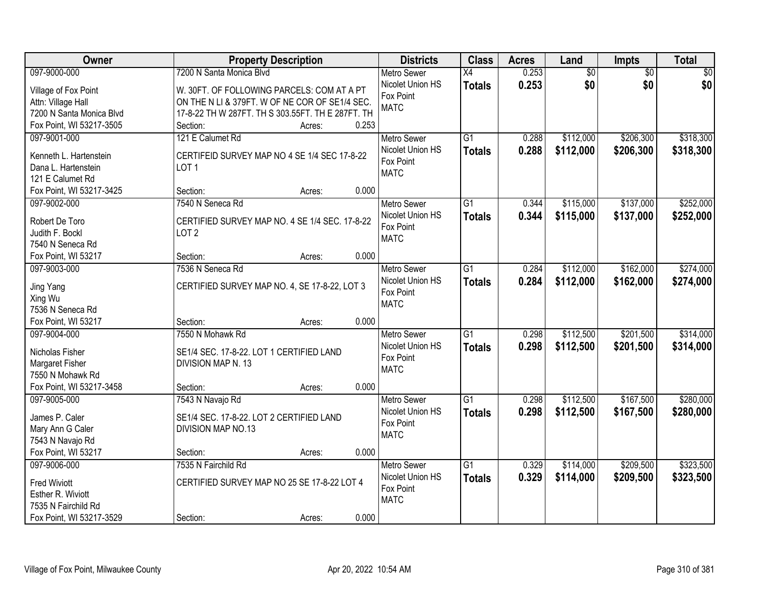| Owner                       | <b>Property Description</b>                       | <b>Districts</b>              | <b>Class</b>    | <b>Acres</b> | Land            | Impts           | <b>Total</b> |
|-----------------------------|---------------------------------------------------|-------------------------------|-----------------|--------------|-----------------|-----------------|--------------|
| 097-9000-000                | 7200 N Santa Monica Blvd                          | <b>Metro Sewer</b>            | $\overline{X4}$ | 0.253        | $\overline{50}$ | $\overline{50}$ | \$0          |
| Village of Fox Point        | W. 30FT. OF FOLLOWING PARCELS: COM AT A PT        | Nicolet Union HS              | <b>Totals</b>   | 0.253        | \$0             | \$0             | \$0          |
| Attn: Village Hall          | ON THE N LI & 379FT. W OF NE COR OF SE1/4 SEC.    | Fox Point                     |                 |              |                 |                 |              |
| 7200 N Santa Monica Blvd    | 17-8-22 TH W 287FT. TH S 303.55FT. TH E 287FT. TH | <b>MATC</b>                   |                 |              |                 |                 |              |
| Fox Point, WI 53217-3505    | 0.253<br>Section:<br>Acres:                       |                               |                 |              |                 |                 |              |
| 097-9001-000                | 121 E Calumet Rd                                  | <b>Metro Sewer</b>            | $\overline{G1}$ | 0.288        | \$112,000       | \$206,300       | \$318,300    |
|                             |                                                   | Nicolet Union HS              | <b>Totals</b>   | 0.288        | \$112,000       | \$206,300       | \$318,300    |
| Kenneth L. Hartenstein      | CERTIFEID SURVEY MAP NO 4 SE 1/4 SEC 17-8-22      | Fox Point                     |                 |              |                 |                 |              |
| Dana L. Hartenstein         | LOT <sub>1</sub>                                  | <b>MATC</b>                   |                 |              |                 |                 |              |
| 121 E Calumet Rd            |                                                   |                               |                 |              |                 |                 |              |
| Fox Point, WI 53217-3425    | 0.000<br>Section:<br>Acres:                       |                               |                 |              |                 |                 |              |
| 097-9002-000                | 7540 N Seneca Rd                                  | Metro Sewer                   | G1              | 0.344        | \$115,000       | \$137,000       | \$252,000    |
| Robert De Toro              | CERTIFIED SURVEY MAP NO. 4 SE 1/4 SEC. 17-8-22    | Nicolet Union HS              | <b>Totals</b>   | 0.344        | \$115,000       | \$137,000       | \$252,000    |
| Judith F. Bockl             | LOT <sub>2</sub>                                  | Fox Point                     |                 |              |                 |                 |              |
| 7540 N Seneca Rd            |                                                   | <b>MATC</b>                   |                 |              |                 |                 |              |
| Fox Point, WI 53217         | 0.000<br>Section:<br>Acres:                       |                               |                 |              |                 |                 |              |
| 097-9003-000                | 7536 N Seneca Rd                                  | <b>Metro Sewer</b>            | G1              | 0.284        | \$112,000       | \$162,000       | \$274,000    |
|                             |                                                   | Nicolet Union HS              | <b>Totals</b>   | 0.284        | \$112,000       | \$162,000       | \$274,000    |
| Jing Yang                   | CERTIFIED SURVEY MAP NO. 4, SE 17-8-22, LOT 3     | Fox Point                     |                 |              |                 |                 |              |
| Xing Wu<br>7536 N Seneca Rd |                                                   | <b>MATC</b>                   |                 |              |                 |                 |              |
| Fox Point, WI 53217         | 0.000                                             |                               |                 |              |                 |                 |              |
| 097-9004-000                | Section:<br>Acres:<br>7550 N Mohawk Rd            |                               | $\overline{G1}$ | 0.298        |                 | \$201,500       | \$314,000    |
|                             |                                                   | <b>Metro Sewer</b>            |                 |              | \$112,500       |                 |              |
| Nicholas Fisher             | SE1/4 SEC. 17-8-22. LOT 1 CERTIFIED LAND          | Nicolet Union HS<br>Fox Point | <b>Totals</b>   | 0.298        | \$112,500       | \$201,500       | \$314,000    |
| <b>Margaret Fisher</b>      | DIVISION MAP N. 13                                | <b>MATC</b>                   |                 |              |                 |                 |              |
| 7550 N Mohawk Rd            |                                                   |                               |                 |              |                 |                 |              |
| Fox Point, WI 53217-3458    | 0.000<br>Section:<br>Acres:                       |                               |                 |              |                 |                 |              |
| 097-9005-000                | 7543 N Navajo Rd                                  | Metro Sewer                   | $\overline{G1}$ | 0.298        | \$112,500       | \$167,500       | \$280,000    |
| James P. Caler              | SE1/4 SEC. 17-8-22. LOT 2 CERTIFIED LAND          | Nicolet Union HS              | <b>Totals</b>   | 0.298        | \$112,500       | \$167,500       | \$280,000    |
| Mary Ann G Caler            | DIVISION MAP NO.13                                | Fox Point                     |                 |              |                 |                 |              |
| 7543 N Navajo Rd            |                                                   | <b>MATC</b>                   |                 |              |                 |                 |              |
| Fox Point, WI 53217         | 0.000<br>Section:<br>Acres:                       |                               |                 |              |                 |                 |              |
| 097-9006-000                | 7535 N Fairchild Rd                               | <b>Metro Sewer</b>            | $\overline{G1}$ | 0.329        | \$114,000       | \$209,500       | \$323,500    |
|                             |                                                   | Nicolet Union HS              | <b>Totals</b>   | 0.329        | \$114,000       | \$209,500       | \$323,500    |
| <b>Fred Wiviott</b>         | CERTIFIED SURVEY MAP NO 25 SE 17-8-22 LOT 4       | Fox Point                     |                 |              |                 |                 |              |
| Esther R. Wiviott           |                                                   | <b>MATC</b>                   |                 |              |                 |                 |              |
| 7535 N Fairchild Rd         |                                                   |                               |                 |              |                 |                 |              |
| Fox Point, WI 53217-3529    | 0.000<br>Section:<br>Acres:                       |                               |                 |              |                 |                 |              |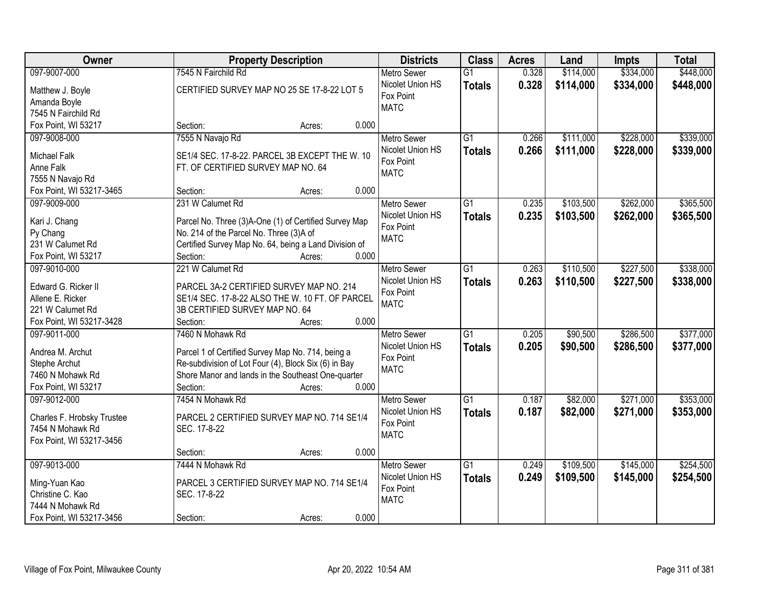| Owner                             | <b>Property Description</b>                                                                                | <b>Districts</b>   | <b>Class</b>    | <b>Acres</b> | Land      | <b>Impts</b> | <b>Total</b> |
|-----------------------------------|------------------------------------------------------------------------------------------------------------|--------------------|-----------------|--------------|-----------|--------------|--------------|
| 097-9007-000                      | 7545 N Fairchild Rd                                                                                        | <b>Metro Sewer</b> | $\overline{G1}$ | 0.328        | \$114,000 | \$334,000    | \$448,000    |
| Matthew J. Boyle                  | CERTIFIED SURVEY MAP NO 25 SE 17-8-22 LOT 5                                                                | Nicolet Union HS   | <b>Totals</b>   | 0.328        | \$114,000 | \$334,000    | \$448,000    |
| Amanda Boyle                      |                                                                                                            | Fox Point          |                 |              |           |              |              |
| 7545 N Fairchild Rd               |                                                                                                            | <b>MATC</b>        |                 |              |           |              |              |
| Fox Point, WI 53217               | 0.000<br>Section:<br>Acres:                                                                                |                    |                 |              |           |              |              |
| 097-9008-000                      | 7555 N Navajo Rd                                                                                           | <b>Metro Sewer</b> | $\overline{G1}$ | 0.266        | \$111,000 | \$228,000    | \$339,000    |
|                                   |                                                                                                            | Nicolet Union HS   | <b>Totals</b>   | 0.266        | \$111,000 | \$228,000    | \$339,000    |
| <b>Michael Falk</b>               | SE1/4 SEC. 17-8-22. PARCEL 3B EXCEPT THE W. 10                                                             | Fox Point          |                 |              |           |              |              |
| Anne Falk                         | FT. OF CERTIFIED SURVEY MAP NO. 64                                                                         | <b>MATC</b>        |                 |              |           |              |              |
| 7555 N Navajo Rd                  |                                                                                                            |                    |                 |              |           |              |              |
| Fox Point, WI 53217-3465          | 0.000<br>Section:<br>Acres:                                                                                |                    |                 |              |           |              |              |
| 097-9009-000                      | 231 W Calumet Rd                                                                                           | <b>Metro Sewer</b> | $\overline{G1}$ | 0.235        | \$103,500 | \$262,000    | \$365,500    |
| Kari J. Chang                     | Parcel No. Three (3)A-One (1) of Certified Survey Map                                                      | Nicolet Union HS   | <b>Totals</b>   | 0.235        | \$103,500 | \$262,000    | \$365,500    |
| Py Chang                          | No. 214 of the Parcel No. Three (3)A of                                                                    | Fox Point          |                 |              |           |              |              |
| 231 W Calumet Rd                  | Certified Survey Map No. 64, being a Land Division of                                                      | <b>MATC</b>        |                 |              |           |              |              |
| Fox Point, WI 53217               | Section:<br>0.000<br>Acres:                                                                                |                    |                 |              |           |              |              |
| 097-9010-000                      | 221 W Calumet Rd                                                                                           | <b>Metro Sewer</b> | G1              | 0.263        | \$110,500 | \$227,500    | \$338,000    |
|                                   |                                                                                                            | Nicolet Union HS   |                 | 0.263        | \$110,500 |              |              |
| Edward G. Ricker II               | PARCEL 3A-2 CERTIFIED SURVEY MAP NO. 214                                                                   | Fox Point          | <b>Totals</b>   |              |           | \$227,500    | \$338,000    |
| Allene E. Ricker                  | SE1/4 SEC. 17-8-22 ALSO THE W. 10 FT. OF PARCEL                                                            | <b>MATC</b>        |                 |              |           |              |              |
| 221 W Calumet Rd                  | 3B CERTIFIED SURVEY MAP NO. 64                                                                             |                    |                 |              |           |              |              |
| Fox Point, WI 53217-3428          | 0.000<br>Section:<br>Acres:                                                                                |                    |                 |              |           |              |              |
| 097-9011-000                      | 7460 N Mohawk Rd                                                                                           | <b>Metro Sewer</b> | $\overline{G1}$ | 0.205        | \$90,500  | \$286,500    | \$377,000    |
|                                   |                                                                                                            | Nicolet Union HS   | <b>Totals</b>   | 0.205        | \$90,500  | \$286,500    | \$377,000    |
| Andrea M. Archut                  | Parcel 1 of Certified Survey Map No. 714, being a                                                          | Fox Point          |                 |              |           |              |              |
| Stephe Archut<br>7460 N Mohawk Rd | Re-subdivision of Lot Four (4), Block Six (6) in Bay<br>Shore Manor and lands in the Southeast One-quarter | <b>MATC</b>        |                 |              |           |              |              |
|                                   | 0.000                                                                                                      |                    |                 |              |           |              |              |
| Fox Point, WI 53217               | Section:<br>Acres:                                                                                         |                    |                 |              |           |              |              |
| 097-9012-000                      | 7454 N Mohawk Rd                                                                                           | <b>Metro Sewer</b> | G1              | 0.187        | \$82,000  | \$271,000    | \$353,000    |
| Charles F. Hrobsky Trustee        | PARCEL 2 CERTIFIED SURVEY MAP NO. 714 SE1/4                                                                | Nicolet Union HS   | <b>Totals</b>   | 0.187        | \$82,000  | \$271,000    | \$353,000    |
| 7454 N Mohawk Rd                  | SEC. 17-8-22                                                                                               | Fox Point          |                 |              |           |              |              |
| Fox Point, WI 53217-3456          |                                                                                                            | <b>MATC</b>        |                 |              |           |              |              |
|                                   | 0.000<br>Section:<br>Acres:                                                                                |                    |                 |              |           |              |              |
| 097-9013-000                      | 7444 N Mohawk Rd                                                                                           | <b>Metro Sewer</b> | $\overline{G1}$ | 0.249        | \$109,500 | \$145,000    | \$254,500    |
|                                   |                                                                                                            | Nicolet Union HS   | <b>Totals</b>   | 0.249        | \$109,500 | \$145,000    | \$254,500    |
| Ming-Yuan Kao                     | PARCEL 3 CERTIFIED SURVEY MAP NO. 714 SE1/4                                                                | Fox Point          |                 |              |           |              |              |
| Christine C. Kao                  | SEC. 17-8-22                                                                                               | <b>MATC</b>        |                 |              |           |              |              |
| 7444 N Mohawk Rd                  |                                                                                                            |                    |                 |              |           |              |              |
| Fox Point, WI 53217-3456          | 0.000<br>Section:<br>Acres:                                                                                |                    |                 |              |           |              |              |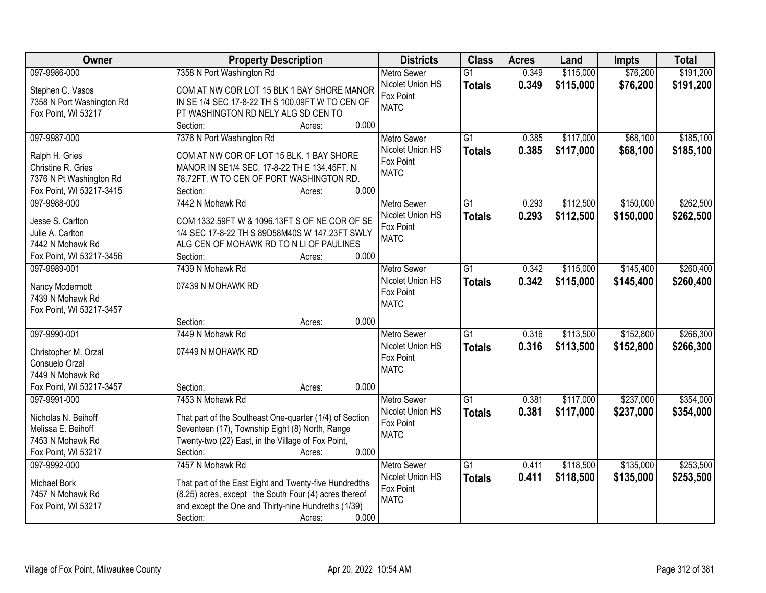| Owner                     | <b>Property Description</b>                             | <b>Districts</b>   | <b>Class</b>    | <b>Acres</b> | Land      | <b>Impts</b> | <b>Total</b> |
|---------------------------|---------------------------------------------------------|--------------------|-----------------|--------------|-----------|--------------|--------------|
| 097-9986-000              | 7358 N Port Washington Rd                               | <b>Metro Sewer</b> | $\overline{G1}$ | 0.349        | \$115,000 | \$76,200     | \$191,200    |
| Stephen C. Vasos          | COM AT NW COR LOT 15 BLK 1 BAY SHORE MANOR              | Nicolet Union HS   | <b>Totals</b>   | 0.349        | \$115,000 | \$76,200     | \$191,200    |
| 7358 N Port Washington Rd | IN SE 1/4 SEC 17-8-22 TH S 100.09FT W TO CEN OF         | Fox Point          |                 |              |           |              |              |
| Fox Point, WI 53217       | PT WASHINGTON RD NELY ALG SD CEN TO                     | <b>MATC</b>        |                 |              |           |              |              |
|                           | 0.000<br>Section:<br>Acres:                             |                    |                 |              |           |              |              |
| 097-9987-000              | 7376 N Port Washington Rd                               | <b>Metro Sewer</b> | $\overline{G1}$ | 0.385        | \$117,000 | \$68,100     | \$185,100    |
|                           |                                                         | Nicolet Union HS   | <b>Totals</b>   | 0.385        | \$117,000 | \$68,100     | \$185,100    |
| Ralph H. Gries            | COM AT NW COR OF LOT 15 BLK. 1 BAY SHORE                | Fox Point          |                 |              |           |              |              |
| Christine R. Gries        | MANOR IN SE1/4 SEC. 17-8-22 TH E 134.45FT. N            | <b>MATC</b>        |                 |              |           |              |              |
| 7376 N Pt Washington Rd   | 78.72FT. W TO CEN OF PORT WASHINGTON RD.                |                    |                 |              |           |              |              |
| Fox Point, WI 53217-3415  | 0.000<br>Section:<br>Acres:                             |                    |                 |              |           |              |              |
| 097-9988-000              | 7442 N Mohawk Rd                                        | Metro Sewer        | $\overline{G1}$ | 0.293        | \$112,500 | \$150,000    | \$262,500    |
| Jesse S. Carlton          | COM 1332.59FT W & 1096.13FT S OF NE COR OF SE           | Nicolet Union HS   | <b>Totals</b>   | 0.293        | \$112,500 | \$150,000    | \$262,500    |
| Julie A. Carlton          | 1/4 SEC 17-8-22 TH S 89D58M40S W 147.23FT SWLY          | Fox Point          |                 |              |           |              |              |
| 7442 N Mohawk Rd          | ALG CEN OF MOHAWK RD TO N LI OF PAULINES                | <b>MATC</b>        |                 |              |           |              |              |
| Fox Point, WI 53217-3456  | 0.000<br>Section:<br>Acres:                             |                    |                 |              |           |              |              |
| 097-9989-001              | 7439 N Mohawk Rd                                        | <b>Metro Sewer</b> | $\overline{G1}$ | 0.342        | \$115,000 | \$145,400    | \$260,400    |
|                           |                                                         | Nicolet Union HS   | <b>Totals</b>   | 0.342        | \$115,000 | \$145,400    | \$260,400    |
| Nancy Mcdermott           | 07439 N MOHAWK RD                                       | Fox Point          |                 |              |           |              |              |
| 7439 N Mohawk Rd          |                                                         | <b>MATC</b>        |                 |              |           |              |              |
| Fox Point, WI 53217-3457  |                                                         |                    |                 |              |           |              |              |
|                           | 0.000<br>Section:<br>Acres:                             |                    |                 |              |           |              |              |
| 097-9990-001              | 7449 N Mohawk Rd                                        | <b>Metro Sewer</b> | $\overline{G1}$ | 0.316        | \$113,500 | \$152,800    | \$266,300    |
| Christopher M. Orzal      | 07449 N MOHAWK RD                                       | Nicolet Union HS   | <b>Totals</b>   | 0.316        | \$113,500 | \$152,800    | \$266,300    |
| Consuelo Orzal            |                                                         | Fox Point          |                 |              |           |              |              |
| 7449 N Mohawk Rd          |                                                         | <b>MATC</b>        |                 |              |           |              |              |
| Fox Point, WI 53217-3457  | 0.000<br>Section:<br>Acres:                             |                    |                 |              |           |              |              |
| 097-9991-000              | 7453 N Mohawk Rd                                        | Metro Sewer        | $\overline{G1}$ | 0.381        | \$117,000 | \$237,000    | \$354,000    |
| Nicholas N. Beihoff       | That part of the Southeast One-quarter (1/4) of Section | Nicolet Union HS   | <b>Totals</b>   | 0.381        | \$117,000 | \$237,000    | \$354,000    |
| Melissa E. Beihoff        | Seventeen (17), Township Eight (8) North, Range         | Fox Point          |                 |              |           |              |              |
| 7453 N Mohawk Rd          | Twenty-two (22) East, in the Village of Fox Point,      | <b>MATC</b>        |                 |              |           |              |              |
| Fox Point, WI 53217       | 0.000<br>Section:<br>Acres:                             |                    |                 |              |           |              |              |
| 097-9992-000              | 7457 N Mohawk Rd                                        | <b>Metro Sewer</b> | $\overline{G1}$ | 0.411        | \$118,500 | \$135,000    | \$253,500    |
|                           |                                                         | Nicolet Union HS   |                 | 0.411        | \$118,500 | \$135,000    | \$253,500    |
| Michael Bork              | That part of the East Eight and Twenty-five Hundredths  | Fox Point          | <b>Totals</b>   |              |           |              |              |
| 7457 N Mohawk Rd          | (8.25) acres, except the South Four (4) acres thereof   | <b>MATC</b>        |                 |              |           |              |              |
| Fox Point, WI 53217       | and except the One and Thirty-nine Hundreths (1/39)     |                    |                 |              |           |              |              |
|                           | 0.000<br>Section:<br>Acres:                             |                    |                 |              |           |              |              |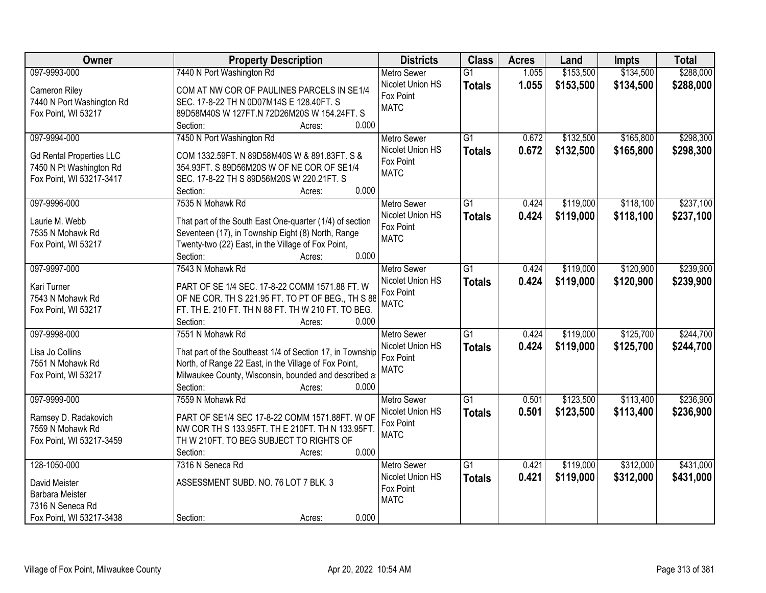| Owner                                                                                                  | <b>Property Description</b>                                                                                                                                                                                                   | <b>Districts</b>                                                   | <b>Class</b>                     | <b>Acres</b>   | Land                   | <b>Impts</b>           | <b>Total</b>           |
|--------------------------------------------------------------------------------------------------------|-------------------------------------------------------------------------------------------------------------------------------------------------------------------------------------------------------------------------------|--------------------------------------------------------------------|----------------------------------|----------------|------------------------|------------------------|------------------------|
| 097-9993-000                                                                                           | 7440 N Port Washington Rd                                                                                                                                                                                                     | <b>Metro Sewer</b>                                                 | $\overline{G1}$                  | 1.055          | \$153,500              | \$134,500              | \$288,000              |
| Cameron Riley<br>7440 N Port Washington Rd<br>Fox Point, WI 53217                                      | COM AT NW COR OF PAULINES PARCELS IN SE1/4<br>SEC. 17-8-22 TH N 0D07M14S E 128.40FT. S<br>89D58M40S W 127FT.N 72D26M20S W 154.24FT. S                                                                                         | Nicolet Union HS<br>Fox Point<br><b>MATC</b>                       | <b>Totals</b>                    | 1.055          | \$153,500              | \$134,500              | \$288,000              |
|                                                                                                        | 0.000<br>Section:<br>Acres:                                                                                                                                                                                                   |                                                                    |                                  |                |                        |                        |                        |
| 097-9994-000<br><b>Gd Rental Properties LLC</b><br>7450 N Pt Washington Rd<br>Fox Point, WI 53217-3417 | 7450 N Port Washington Rd<br>COM 1332.59FT. N 89D58M40S W & 891.83FT. S &<br>354.93FT. S 89D56M20S W OF NE COR OF SE1/4<br>SEC. 17-8-22 TH S 89D56M20S W 220.21FT. S<br>0.000<br>Section:<br>Acres:                           | <b>Metro Sewer</b><br>Nicolet Union HS<br>Fox Point<br><b>MATC</b> | $\overline{G1}$<br><b>Totals</b> | 0.672<br>0.672 | \$132,500<br>\$132,500 | \$165,800<br>\$165,800 | \$298,300<br>\$298,300 |
| 097-9996-000                                                                                           | 7535 N Mohawk Rd                                                                                                                                                                                                              | <b>Metro Sewer</b>                                                 | G <sub>1</sub>                   | 0.424          | \$119,000              | \$118,100              | \$237,100              |
| Laurie M. Webb<br>7535 N Mohawk Rd<br>Fox Point, WI 53217                                              | That part of the South East One-quarter (1/4) of section<br>Seventeen (17), in Township Eight (8) North, Range<br>Twenty-two (22) East, in the Village of Fox Point,<br>0.000<br>Section:<br>Acres:                           | Nicolet Union HS<br>Fox Point<br><b>MATC</b>                       | <b>Totals</b>                    | 0.424          | \$119,000              | \$118,100              | \$237,100              |
| 097-9997-000                                                                                           | 7543 N Mohawk Rd                                                                                                                                                                                                              | <b>Metro Sewer</b>                                                 | G1                               | 0.424          | \$119,000              | \$120,900              | \$239,900              |
| Kari Turner<br>7543 N Mohawk Rd<br>Fox Point, WI 53217                                                 | PART OF SE 1/4 SEC. 17-8-22 COMM 1571.88 FT. W<br>OF NE COR. TH S 221.95 FT. TO PT OF BEG., TH S 88<br>FT. TH E. 210 FT. TH N 88 FT. TH W 210 FT. TO BEG.<br>Section:<br>0.000<br>Acres:                                      | Nicolet Union HS<br>Fox Point<br><b>MATC</b>                       | <b>Totals</b>                    | 0.424          | \$119,000              | \$120,900              | \$239,900              |
| 097-9998-000<br>Lisa Jo Collins<br>7551 N Mohawk Rd<br>Fox Point, WI 53217                             | 7551 N Mohawk Rd<br>That part of the Southeast 1/4 of Section 17, in Township<br>North, of Range 22 East, in the Village of Fox Point,<br>Milwaukee County, Wisconsin, bounded and described a<br>Section:<br>0.000<br>Acres: | <b>Metro Sewer</b><br>Nicolet Union HS<br>Fox Point<br><b>MATC</b> | $\overline{G1}$<br><b>Totals</b> | 0.424<br>0.424 | \$119,000<br>\$119,000 | \$125,700<br>\$125,700 | \$244,700<br>\$244,700 |
| 097-9999-000<br>Ramsey D. Radakovich<br>7559 N Mohawk Rd                                               | 7559 N Mohawk Rd<br>PART OF SE1/4 SEC 17-8-22 COMM 1571.88FT. W OF<br>NW COR TH S 133.95FT. TH E 210FT. TH N 133.95FT                                                                                                         | <b>Metro Sewer</b><br>Nicolet Union HS<br>Fox Point<br><b>MATC</b> | $\overline{G1}$<br><b>Totals</b> | 0.501<br>0.501 | \$123,500<br>\$123,500 | \$113,400<br>\$113,400 | \$236,900<br>\$236,900 |
| Fox Point, WI 53217-3459                                                                               | TH W 210FT. TO BEG SUBJECT TO RIGHTS OF<br>0.000<br>Section:<br>Acres:                                                                                                                                                        |                                                                    |                                  |                |                        |                        |                        |
| 128-1050-000<br>David Meister<br>Barbara Meister<br>7316 N Seneca Rd<br>Fox Point, WI 53217-3438       | 7316 N Seneca Rd<br>ASSESSMENT SUBD. NO. 76 LOT 7 BLK. 3<br>0.000<br>Section:<br>Acres:                                                                                                                                       | <b>Metro Sewer</b><br>Nicolet Union HS<br>Fox Point<br><b>MATC</b> | $\overline{G1}$<br><b>Totals</b> | 0.421<br>0.421 | \$119,000<br>\$119,000 | \$312,000<br>\$312,000 | \$431,000<br>\$431,000 |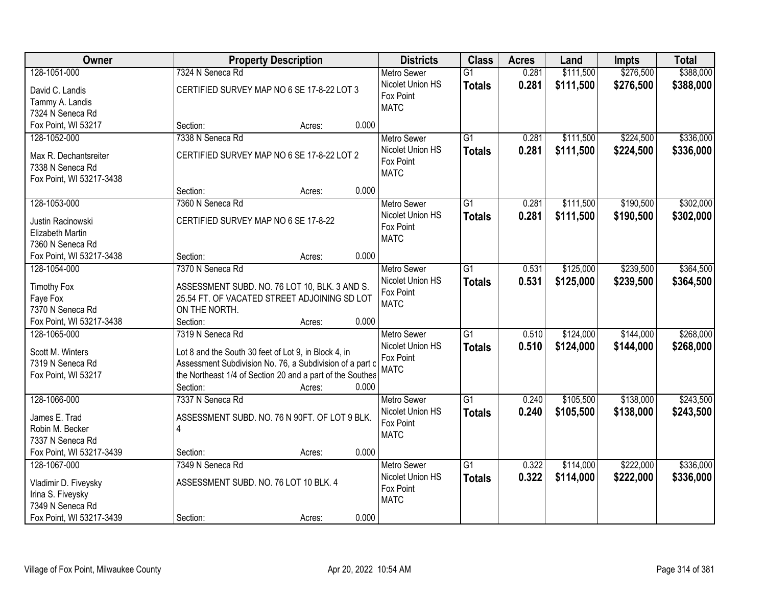| Owner                          | <b>Property Description</b>                                                                   | <b>Districts</b>         | <b>Class</b>    | <b>Acres</b> | Land      | <b>Impts</b> | <b>Total</b> |
|--------------------------------|-----------------------------------------------------------------------------------------------|--------------------------|-----------------|--------------|-----------|--------------|--------------|
| 128-1051-000                   | 7324 N Seneca Rd                                                                              | <b>Metro Sewer</b>       | $\overline{G1}$ | 0.281        | \$111,500 | \$276,500    | \$388,000    |
| David C. Landis                | CERTIFIED SURVEY MAP NO 6 SE 17-8-22 LOT 3                                                    | Nicolet Union HS         | <b>Totals</b>   | 0.281        | \$111,500 | \$276,500    | \$388,000    |
| Tammy A. Landis                |                                                                                               | Fox Point                |                 |              |           |              |              |
| 7324 N Seneca Rd               |                                                                                               | <b>MATC</b>              |                 |              |           |              |              |
| Fox Point, WI 53217            | 0.000<br>Section:<br>Acres:                                                                   |                          |                 |              |           |              |              |
| 128-1052-000                   | 7338 N Seneca Rd                                                                              | <b>Metro Sewer</b>       | $\overline{G1}$ | 0.281        | \$111,500 | \$224,500    | \$336,000    |
|                                |                                                                                               | Nicolet Union HS         | <b>Totals</b>   | 0.281        | \$111,500 | \$224,500    | \$336,000    |
| Max R. Dechantsreiter          | CERTIFIED SURVEY MAP NO 6 SE 17-8-22 LOT 2                                                    | Fox Point                |                 |              |           |              |              |
| 7338 N Seneca Rd               |                                                                                               | <b>MATC</b>              |                 |              |           |              |              |
| Fox Point, WI 53217-3438       |                                                                                               |                          |                 |              |           |              |              |
|                                | 0.000<br>Section:<br>Acres:                                                                   |                          |                 |              |           |              |              |
| 128-1053-000                   | 7360 N Seneca Rd                                                                              | Metro Sewer              | G1              | 0.281        | \$111,500 | \$190,500    | \$302,000    |
| Justin Racinowski              | CERTIFIED SURVEY MAP NO 6 SE 17-8-22                                                          | Nicolet Union HS         | <b>Totals</b>   | 0.281        | \$111,500 | \$190,500    | \$302,000    |
| Elizabeth Martin               |                                                                                               | Fox Point<br><b>MATC</b> |                 |              |           |              |              |
| 7360 N Seneca Rd               |                                                                                               |                          |                 |              |           |              |              |
| Fox Point, WI 53217-3438       | 0.000<br>Section:<br>Acres:                                                                   |                          |                 |              |           |              |              |
| 128-1054-000                   | 7370 N Seneca Rd                                                                              | <b>Metro Sewer</b>       | G1              | 0.531        | \$125,000 | \$239,500    | \$364,500    |
|                                |                                                                                               | Nicolet Union HS         | <b>Totals</b>   | 0.531        | \$125,000 | \$239,500    | \$364,500    |
| <b>Timothy Fox</b><br>Faye Fox | ASSESSMENT SUBD. NO. 76 LOT 10, BLK. 3 AND S.<br>25.54 FT. OF VACATED STREET ADJOINING SD LOT | Fox Point                |                 |              |           |              |              |
| 7370 N Seneca Rd               | ON THE NORTH.                                                                                 | <b>MATC</b>              |                 |              |           |              |              |
| Fox Point, WI 53217-3438       | 0.000<br>Section:<br>Acres:                                                                   |                          |                 |              |           |              |              |
| 128-1065-000                   | 7319 N Seneca Rd                                                                              | <b>Metro Sewer</b>       | $\overline{G1}$ | 0.510        | \$124,000 | \$144,000    | \$268,000    |
|                                |                                                                                               | Nicolet Union HS         | <b>Totals</b>   | 0.510        | \$124,000 | \$144,000    | \$268,000    |
| Scott M. Winters               | Lot 8 and the South 30 feet of Lot 9, in Block 4, in                                          | Fox Point                |                 |              |           |              |              |
| 7319 N Seneca Rd               | Assessment Subdivision No. 76, a Subdivision of a part c                                      | <b>MATC</b>              |                 |              |           |              |              |
| Fox Point, WI 53217            | the Northeast 1/4 of Section 20 and a part of the Southea                                     |                          |                 |              |           |              |              |
|                                | Section:<br>0.000<br>Acres:                                                                   |                          |                 |              |           |              |              |
| 128-1066-000                   | 7337 N Seneca Rd                                                                              | Metro Sewer              | $\overline{G1}$ | 0.240        | \$105,500 | \$138,000    | \$243,500    |
| James E. Trad                  | ASSESSMENT SUBD. NO. 76 N 90FT. OF LOT 9 BLK.                                                 | Nicolet Union HS         | <b>Totals</b>   | 0.240        | \$105,500 | \$138,000    | \$243,500    |
| Robin M. Becker                | $\overline{4}$                                                                                | Fox Point                |                 |              |           |              |              |
| 7337 N Seneca Rd               |                                                                                               | <b>MATC</b>              |                 |              |           |              |              |
| Fox Point, WI 53217-3439       | 0.000<br>Section:<br>Acres:                                                                   |                          |                 |              |           |              |              |
| 128-1067-000                   | 7349 N Seneca Rd                                                                              | <b>Metro Sewer</b>       | $\overline{G1}$ | 0.322        | \$114,000 | \$222,000    | \$336,000    |
|                                |                                                                                               | Nicolet Union HS         | <b>Totals</b>   | 0.322        | \$114,000 | \$222,000    | \$336,000    |
| Vladimir D. Fiveysky           | ASSESSMENT SUBD. NO. 76 LOT 10 BLK. 4                                                         | Fox Point                |                 |              |           |              |              |
| Irina S. Fiveysky              |                                                                                               | <b>MATC</b>              |                 |              |           |              |              |
| 7349 N Seneca Rd               |                                                                                               |                          |                 |              |           |              |              |
| Fox Point, WI 53217-3439       | 0.000<br>Section:<br>Acres:                                                                   |                          |                 |              |           |              |              |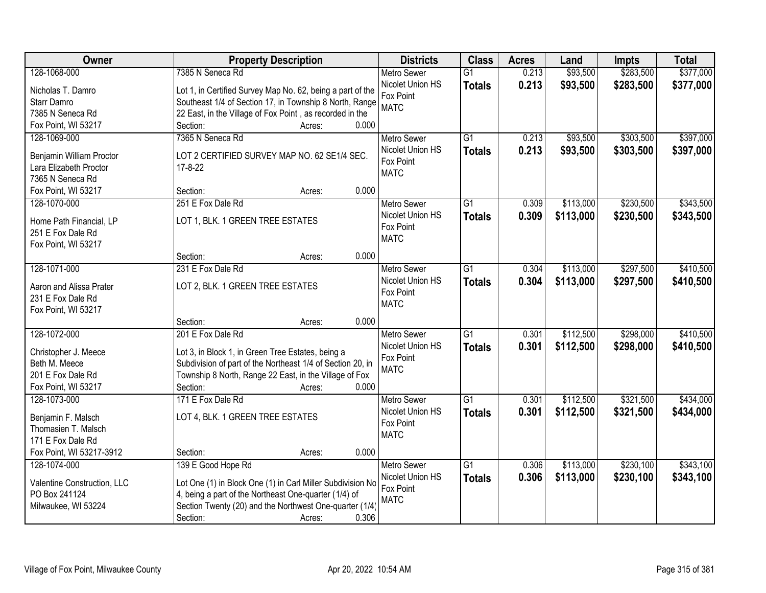| Owner                       | <b>Property Description</b>                                | <b>Districts</b>         | <b>Class</b>    | <b>Acres</b> | Land      | <b>Impts</b> | <b>Total</b> |
|-----------------------------|------------------------------------------------------------|--------------------------|-----------------|--------------|-----------|--------------|--------------|
| 128-1068-000                | 7385 N Seneca Rd                                           | <b>Metro Sewer</b>       | $\overline{G1}$ | 0.213        | \$93,500  | \$283,500    | \$377,000    |
| Nicholas T. Damro           | Lot 1, in Certified Survey Map No. 62, being a part of the | Nicolet Union HS         | <b>Totals</b>   | 0.213        | \$93,500  | \$283,500    | \$377,000    |
| Starr Damro                 | Southeast 1/4 of Section 17, in Township 8 North, Range    | Fox Point                |                 |              |           |              |              |
| 7385 N Seneca Rd            | 22 East, in the Village of Fox Point, as recorded in the   | <b>MATC</b>              |                 |              |           |              |              |
| Fox Point, WI 53217         | 0.000<br>Section:<br>Acres:                                |                          |                 |              |           |              |              |
| 128-1069-000                | 7365 N Seneca Rd                                           | <b>Metro Sewer</b>       | $\overline{G1}$ | 0.213        | \$93,500  | \$303,500    | \$397,000    |
|                             |                                                            | Nicolet Union HS         | <b>Totals</b>   | 0.213        | \$93,500  | \$303,500    | \$397,000    |
| Benjamin William Proctor    | LOT 2 CERTIFIED SURVEY MAP NO. 62 SE1/4 SEC.               | Fox Point                |                 |              |           |              |              |
| Lara Elizabeth Proctor      | $17 - 8 - 22$                                              | <b>MATC</b>              |                 |              |           |              |              |
| 7365 N Seneca Rd            |                                                            |                          |                 |              |           |              |              |
| Fox Point, WI 53217         | 0.000<br>Section:<br>Acres:                                |                          |                 |              |           |              |              |
| 128-1070-000                | 251 E Fox Dale Rd                                          | <b>Metro Sewer</b>       | G1              | 0.309        | \$113,000 | \$230,500    | \$343,500    |
| Home Path Financial, LP     | LOT 1, BLK. 1 GREEN TREE ESTATES                           | Nicolet Union HS         | <b>Totals</b>   | 0.309        | \$113,000 | \$230,500    | \$343,500    |
| 251 E Fox Dale Rd           |                                                            | Fox Point<br><b>MATC</b> |                 |              |           |              |              |
| Fox Point, WI 53217         |                                                            |                          |                 |              |           |              |              |
|                             | 0.000<br>Section:<br>Acres:                                |                          |                 |              |           |              |              |
| 128-1071-000                | 231 E Fox Dale Rd                                          | <b>Metro Sewer</b>       | G1              | 0.304        | \$113,000 | \$297,500    | \$410,500    |
| Aaron and Alissa Prater     | LOT 2, BLK. 1 GREEN TREE ESTATES                           | Nicolet Union HS         | <b>Totals</b>   | 0.304        | \$113,000 | \$297,500    | \$410,500    |
| 231 E Fox Dale Rd           |                                                            | Fox Point                |                 |              |           |              |              |
| Fox Point, WI 53217         |                                                            | <b>MATC</b>              |                 |              |           |              |              |
|                             | 0.000<br>Section:<br>Acres:                                |                          |                 |              |           |              |              |
| 128-1072-000                | 201 E Fox Dale Rd                                          | <b>Metro Sewer</b>       | $\overline{G1}$ | 0.301        | \$112,500 | \$298,000    | \$410,500    |
|                             |                                                            | Nicolet Union HS         | <b>Totals</b>   | 0.301        | \$112,500 | \$298,000    | \$410,500    |
| Christopher J. Meece        | Lot 3, in Block 1, in Green Tree Estates, being a          | Fox Point                |                 |              |           |              |              |
| Beth M. Meece               | Subdivision of part of the Northeast 1/4 of Section 20, in | <b>MATC</b>              |                 |              |           |              |              |
| 201 E Fox Dale Rd           | Township 8 North, Range 22 East, in the Village of Fox     |                          |                 |              |           |              |              |
| Fox Point, WI 53217         | 0.000<br>Section:<br>Acres:                                |                          |                 |              |           |              |              |
| 128-1073-000                | 171 E Fox Dale Rd                                          | Metro Sewer              | $\overline{G1}$ | 0.301        | \$112,500 | \$321,500    | \$434,000    |
| Benjamin F. Malsch          | LOT 4, BLK. 1 GREEN TREE ESTATES                           | Nicolet Union HS         | <b>Totals</b>   | 0.301        | \$112,500 | \$321,500    | \$434,000    |
| Thomasien T. Malsch         |                                                            | Fox Point                |                 |              |           |              |              |
| 171 E Fox Dale Rd           |                                                            | <b>MATC</b>              |                 |              |           |              |              |
| Fox Point, WI 53217-3912    | 0.000<br>Section:<br>Acres:                                |                          |                 |              |           |              |              |
| 128-1074-000                | 139 E Good Hope Rd                                         | <b>Metro Sewer</b>       | $\overline{G1}$ | 0.306        | \$113,000 | \$230,100    | \$343,100    |
|                             |                                                            | Nicolet Union HS         | <b>Totals</b>   | 0.306        | \$113,000 | \$230,100    | \$343,100    |
| Valentine Construction, LLC | Lot One (1) in Block One (1) in Carl Miller Subdivision No | Fox Point                |                 |              |           |              |              |
| PO Box 241124               | 4, being a part of the Northeast One-quarter (1/4) of      | <b>MATC</b>              |                 |              |           |              |              |
| Milwaukee, WI 53224         | Section Twenty (20) and the Northwest One-quarter (1/4)    |                          |                 |              |           |              |              |
|                             | 0.306<br>Section:<br>Acres:                                |                          |                 |              |           |              |              |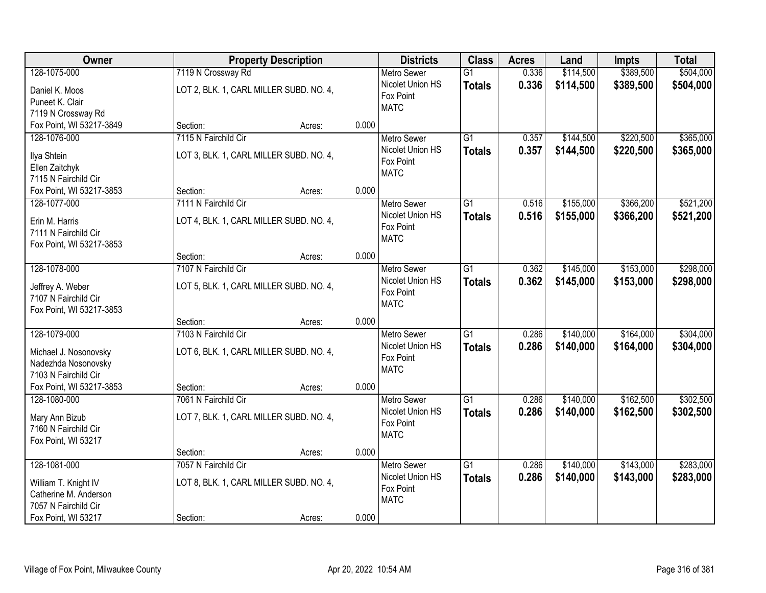| Owner                                  | <b>Property Description</b>             |                 | <b>Districts</b>              | <b>Class</b>    | <b>Acres</b> | Land      | <b>Impts</b> | <b>Total</b> |
|----------------------------------------|-----------------------------------------|-----------------|-------------------------------|-----------------|--------------|-----------|--------------|--------------|
| 128-1075-000                           | 7119 N Crossway Rd                      |                 | <b>Metro Sewer</b>            | $\overline{G1}$ | 0.336        | \$114,500 | \$389,500    | \$504,000    |
| Daniel K. Moos                         | LOT 2, BLK. 1, CARL MILLER SUBD. NO. 4, |                 | Nicolet Union HS              | <b>Totals</b>   | 0.336        | \$114,500 | \$389,500    | \$504,000    |
| Puneet K. Clair                        |                                         |                 | Fox Point                     |                 |              |           |              |              |
| 7119 N Crossway Rd                     |                                         |                 | <b>MATC</b>                   |                 |              |           |              |              |
| Fox Point, WI 53217-3849               | Section:                                | 0.000<br>Acres: |                               |                 |              |           |              |              |
| 128-1076-000                           | 7115 N Fairchild Cir                    |                 | <b>Metro Sewer</b>            | $\overline{G1}$ | 0.357        | \$144,500 | \$220,500    | \$365,000    |
| Ilya Shtein                            | LOT 3, BLK. 1, CARL MILLER SUBD. NO. 4, |                 | Nicolet Union HS              | <b>Totals</b>   | 0.357        | \$144,500 | \$220,500    | \$365,000    |
| Ellen Zaitchyk                         |                                         |                 | Fox Point                     |                 |              |           |              |              |
| 7115 N Fairchild Cir                   |                                         |                 | <b>MATC</b>                   |                 |              |           |              |              |
| Fox Point, WI 53217-3853               | Section:                                | 0.000<br>Acres: |                               |                 |              |           |              |              |
| 128-1077-000                           | 7111 N Fairchild Cir                    |                 | Metro Sewer                   | G1              | 0.516        | \$155,000 | \$366,200    | \$521,200    |
|                                        |                                         |                 | Nicolet Union HS              | <b>Totals</b>   | 0.516        | \$155,000 | \$366,200    | \$521,200    |
| Erin M. Harris<br>7111 N Fairchild Cir | LOT 4, BLK. 1, CARL MILLER SUBD. NO. 4, |                 | Fox Point                     |                 |              |           |              |              |
| Fox Point, WI 53217-3853               |                                         |                 | <b>MATC</b>                   |                 |              |           |              |              |
|                                        | Section:                                | 0.000<br>Acres: |                               |                 |              |           |              |              |
| 128-1078-000                           | 7107 N Fairchild Cir                    |                 | <b>Metro Sewer</b>            | G1              | 0.362        | \$145,000 | \$153,000    | \$298,000    |
|                                        |                                         |                 | Nicolet Union HS              | <b>Totals</b>   | 0.362        | \$145,000 | \$153,000    | \$298,000    |
| Jeffrey A. Weber                       | LOT 5, BLK. 1, CARL MILLER SUBD. NO. 4, |                 | Fox Point                     |                 |              |           |              |              |
| 7107 N Fairchild Cir                   |                                         |                 | <b>MATC</b>                   |                 |              |           |              |              |
| Fox Point, WI 53217-3853               |                                         |                 |                               |                 |              |           |              |              |
| 128-1079-000                           | Section:<br>7103 N Fairchild Cir        | 0.000<br>Acres: |                               | $\overline{G1}$ | 0.286        | \$140,000 | \$164,000    | \$304,000    |
|                                        |                                         |                 | Metro Sewer                   |                 |              |           |              |              |
| Michael J. Nosonovsky                  | LOT 6, BLK. 1, CARL MILLER SUBD. NO. 4, |                 | Nicolet Union HS<br>Fox Point | <b>Totals</b>   | 0.286        | \$140,000 | \$164,000    | \$304,000    |
| Nadezhda Nosonovsky                    |                                         |                 | <b>MATC</b>                   |                 |              |           |              |              |
| 7103 N Fairchild Cir                   |                                         |                 |                               |                 |              |           |              |              |
| Fox Point, WI 53217-3853               | Section:                                | 0.000<br>Acres: |                               |                 |              |           |              |              |
| 128-1080-000                           | 7061 N Fairchild Cir                    |                 | <b>Metro Sewer</b>            | $\overline{G1}$ | 0.286        | \$140,000 | \$162,500    | \$302,500    |
| Mary Ann Bizub                         | LOT 7, BLK. 1, CARL MILLER SUBD. NO. 4, |                 | Nicolet Union HS              | <b>Totals</b>   | 0.286        | \$140,000 | \$162,500    | \$302,500    |
| 7160 N Fairchild Cir                   |                                         |                 | Fox Point                     |                 |              |           |              |              |
| Fox Point, WI 53217                    |                                         |                 | <b>MATC</b>                   |                 |              |           |              |              |
|                                        | Section:                                | 0.000<br>Acres: |                               |                 |              |           |              |              |
| 128-1081-000                           | 7057 N Fairchild Cir                    |                 | <b>Metro Sewer</b>            | $\overline{G1}$ | 0.286        | \$140,000 | \$143,000    | \$283,000    |
| William T. Knight IV                   | LOT 8, BLK. 1, CARL MILLER SUBD. NO. 4, |                 | Nicolet Union HS              | <b>Totals</b>   | 0.286        | \$140,000 | \$143,000    | \$283,000    |
| Catherine M. Anderson                  |                                         |                 | Fox Point                     |                 |              |           |              |              |
| 7057 N Fairchild Cir                   |                                         |                 | <b>MATC</b>                   |                 |              |           |              |              |
| Fox Point, WI 53217                    | Section:                                | 0.000<br>Acres: |                               |                 |              |           |              |              |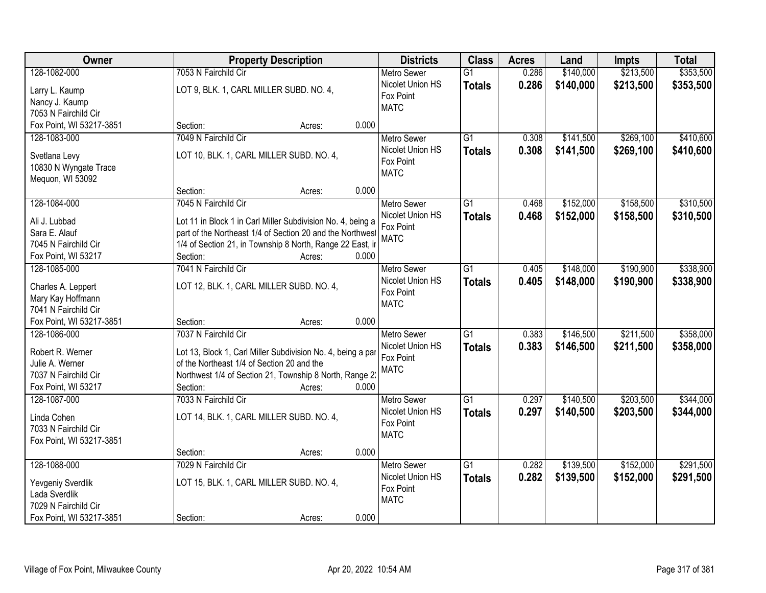| Owner                    | <b>Property Description</b>                                 | <b>Districts</b>                       | <b>Class</b>    | <b>Acres</b> | Land      | <b>Impts</b> | <b>Total</b> |
|--------------------------|-------------------------------------------------------------|----------------------------------------|-----------------|--------------|-----------|--------------|--------------|
| 128-1082-000             | 7053 N Fairchild Cir                                        | <b>Metro Sewer</b>                     | $\overline{G1}$ | 0.286        | \$140,000 | \$213,500    | \$353,500    |
| Larry L. Kaump           | LOT 9, BLK. 1, CARL MILLER SUBD. NO. 4,                     | Nicolet Union HS                       | <b>Totals</b>   | 0.286        | \$140,000 | \$213,500    | \$353,500    |
| Nancy J. Kaump           |                                                             | Fox Point                              |                 |              |           |              |              |
| 7053 N Fairchild Cir     |                                                             | <b>MATC</b>                            |                 |              |           |              |              |
| Fox Point, WI 53217-3851 | 0.000<br>Section:<br>Acres:                                 |                                        |                 |              |           |              |              |
| 128-1083-000             | 7049 N Fairchild Cir                                        | <b>Metro Sewer</b>                     | $\overline{G1}$ | 0.308        | \$141,500 | \$269,100    | \$410,600    |
|                          |                                                             | Nicolet Union HS                       | <b>Totals</b>   | 0.308        | \$141,500 | \$269,100    | \$410,600    |
| Svetlana Levy            | LOT 10, BLK. 1, CARL MILLER SUBD. NO. 4,                    | Fox Point                              |                 |              |           |              |              |
| 10830 N Wyngate Trace    |                                                             | <b>MATC</b>                            |                 |              |           |              |              |
| Mequon, WI 53092         | 0.000<br>Section:                                           |                                        |                 |              |           |              |              |
| 128-1084-000             | Acres:<br>7045 N Fairchild Cir                              |                                        | G1              | 0.468        | \$152,000 | \$158,500    | \$310,500    |
|                          |                                                             | <b>Metro Sewer</b><br>Nicolet Union HS |                 |              |           |              |              |
| Ali J. Lubbad            | Lot 11 in Block 1 in Carl Miller Subdivision No. 4, being a | Fox Point                              | <b>Totals</b>   | 0.468        | \$152,000 | \$158,500    | \$310,500    |
| Sara E. Alauf            | part of the Northeast 1/4 of Section 20 and the Northwest   | <b>MATC</b>                            |                 |              |           |              |              |
| 7045 N Fairchild Cir     | 1/4 of Section 21, in Township 8 North, Range 22 East, ir   |                                        |                 |              |           |              |              |
| Fox Point, WI 53217      | Section:<br>0.000<br>Acres:                                 |                                        |                 |              |           |              |              |
| 128-1085-000             | 7041 N Fairchild Cir                                        | <b>Metro Sewer</b>                     | G1              | 0.405        | \$148,000 | \$190,900    | \$338,900    |
| Charles A. Leppert       | LOT 12, BLK. 1, CARL MILLER SUBD. NO. 4,                    | Nicolet Union HS                       | <b>Totals</b>   | 0.405        | \$148,000 | \$190,900    | \$338,900    |
| Mary Kay Hoffmann        |                                                             | Fox Point                              |                 |              |           |              |              |
| 7041 N Fairchild Cir     |                                                             | <b>MATC</b>                            |                 |              |           |              |              |
| Fox Point, WI 53217-3851 | 0.000<br>Section:<br>Acres:                                 |                                        |                 |              |           |              |              |
| 128-1086-000             | 7037 N Fairchild Cir                                        | <b>Metro Sewer</b>                     | $\overline{G1}$ | 0.383        | \$146,500 | \$211,500    | \$358,000    |
|                          |                                                             | Nicolet Union HS                       | <b>Totals</b>   | 0.383        | \$146,500 | \$211,500    | \$358,000    |
| Robert R. Werner         | Lot 13, Block 1, Carl Miller Subdivision No. 4, being a par | Fox Point                              |                 |              |           |              |              |
| Julie A. Werner          | of the Northeast 1/4 of Section 20 and the                  | <b>MATC</b>                            |                 |              |           |              |              |
| 7037 N Fairchild Cir     | Northwest 1/4 of Section 21, Township 8 North, Range 2.     |                                        |                 |              |           |              |              |
| Fox Point, WI 53217      | 0.000<br>Section:<br>Acres:                                 |                                        |                 |              |           |              |              |
| 128-1087-000             | 7033 N Fairchild Cir                                        | <b>Metro Sewer</b>                     | $\overline{G1}$ | 0.297        | \$140,500 | \$203,500    | \$344,000    |
| Linda Cohen              | LOT 14, BLK. 1, CARL MILLER SUBD. NO. 4,                    | Nicolet Union HS                       | <b>Totals</b>   | 0.297        | \$140,500 | \$203,500    | \$344,000    |
| 7033 N Fairchild Cir     |                                                             | Fox Point                              |                 |              |           |              |              |
| Fox Point, WI 53217-3851 |                                                             | <b>MATC</b>                            |                 |              |           |              |              |
|                          | 0.000<br>Section:<br>Acres:                                 |                                        |                 |              |           |              |              |
| 128-1088-000             | 7029 N Fairchild Cir                                        | <b>Metro Sewer</b>                     | $\overline{G1}$ | 0.282        | \$139,500 | \$152,000    | \$291,500    |
|                          |                                                             | Nicolet Union HS                       | <b>Totals</b>   | 0.282        | \$139,500 | \$152,000    | \$291,500    |
| Yevgeniy Sverdlik        | LOT 15, BLK. 1, CARL MILLER SUBD. NO. 4,                    | Fox Point                              |                 |              |           |              |              |
| Lada Sverdlik            |                                                             | <b>MATC</b>                            |                 |              |           |              |              |
| 7029 N Fairchild Cir     |                                                             |                                        |                 |              |           |              |              |
| Fox Point, WI 53217-3851 | 0.000<br>Section:<br>Acres:                                 |                                        |                 |              |           |              |              |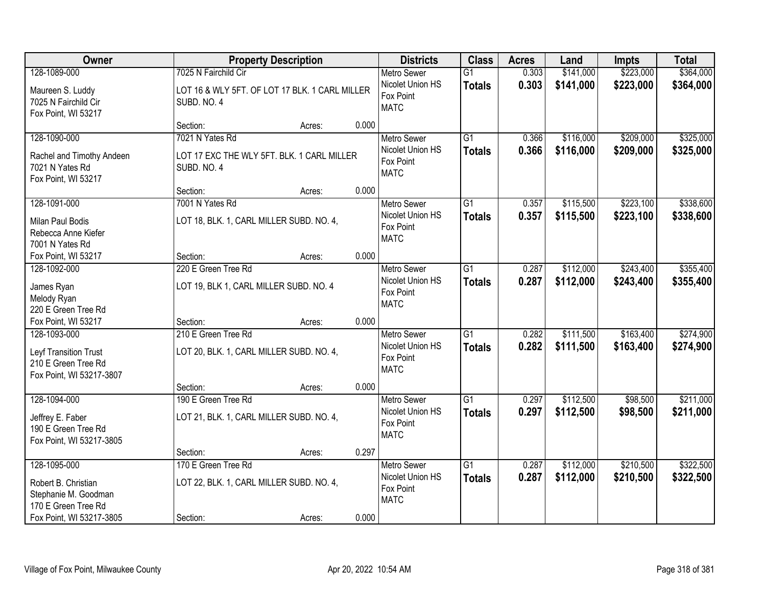| Owner                                                                                                          |                                                               | <b>Property Description</b>                        |       | <b>Districts</b>                                                   | <b>Class</b>                     | <b>Acres</b>   | Land                   | <b>Impts</b>           | <b>Total</b>           |
|----------------------------------------------------------------------------------------------------------------|---------------------------------------------------------------|----------------------------------------------------|-------|--------------------------------------------------------------------|----------------------------------|----------------|------------------------|------------------------|------------------------|
| 128-1089-000                                                                                                   | 7025 N Fairchild Cir                                          |                                                    |       | <b>Metro Sewer</b>                                                 | $\overline{G1}$                  | 0.303          | \$141,000              | \$223,000              | \$364,000              |
| Maureen S. Luddy<br>7025 N Fairchild Cir<br>Fox Point, WI 53217                                                | SUBD. NO. 4                                                   | LOT 16 & WLY 5FT. OF LOT 17 BLK. 1 CARL MILLER     |       | Nicolet Union HS<br>Fox Point<br><b>MATC</b>                       | <b>Totals</b>                    | 0.303          | \$141,000              | \$223,000              | \$364,000              |
|                                                                                                                | Section:                                                      | Acres:                                             | 0.000 |                                                                    |                                  |                |                        |                        |                        |
| 128-1090-000<br>Rachel and Timothy Andeen<br>7021 N Yates Rd<br>Fox Point, WI 53217                            | 7021 N Yates Rd<br>SUBD. NO. 4                                | LOT 17 EXC THE WLY 5FT. BLK. 1 CARL MILLER         |       | <b>Metro Sewer</b><br>Nicolet Union HS<br>Fox Point<br><b>MATC</b> | $\overline{G1}$<br><b>Totals</b> | 0.366<br>0.366 | \$116,000<br>\$116,000 | \$209,000<br>\$209,000 | \$325,000<br>\$325,000 |
|                                                                                                                | Section:                                                      | Acres:                                             | 0.000 |                                                                    |                                  |                |                        |                        |                        |
| 128-1091-000<br>Milan Paul Bodis<br>Rebecca Anne Kiefer<br>7001 N Yates Rd                                     | 7001 N Yates Rd                                               | LOT 18, BLK. 1, CARL MILLER SUBD. NO. 4,           |       | <b>Metro Sewer</b><br>Nicolet Union HS<br>Fox Point<br><b>MATC</b> | G1<br><b>Totals</b>              | 0.357<br>0.357 | \$115,500<br>\$115,500 | \$223,100<br>\$223,100 | \$338,600<br>\$338,600 |
| Fox Point, WI 53217                                                                                            | Section:                                                      | Acres:                                             | 0.000 |                                                                    |                                  |                |                        |                        |                        |
| 128-1092-000<br>James Ryan<br>Melody Ryan<br>220 E Green Tree Rd                                               | 220 E Green Tree Rd<br>LOT 19, BLK 1, CARL MILLER SUBD. NO. 4 |                                                    |       | <b>Metro Sewer</b><br>Nicolet Union HS<br>Fox Point<br><b>MATC</b> | G1<br><b>Totals</b>              | 0.287<br>0.287 | \$112,000<br>\$112,000 | \$243,400<br>\$243,400 | \$355,400<br>\$355,400 |
| Fox Point, WI 53217                                                                                            | Section:                                                      | Acres:                                             | 0.000 |                                                                    |                                  |                |                        |                        |                        |
| 128-1093-000<br>Leyf Transition Trust<br>210 E Green Tree Rd<br>Fox Point, WI 53217-3807                       | 210 E Green Tree Rd<br>Section:                               | LOT 20, BLK. 1, CARL MILLER SUBD. NO. 4,<br>Acres: | 0.000 | <b>Metro Sewer</b><br>Nicolet Union HS<br>Fox Point<br><b>MATC</b> | $\overline{G1}$<br><b>Totals</b> | 0.282<br>0.282 | \$111,500<br>\$111,500 | \$163,400<br>\$163,400 | \$274,900<br>\$274,900 |
| 128-1094-000                                                                                                   | 190 E Green Tree Rd                                           |                                                    |       | <b>Metro Sewer</b>                                                 | $\overline{G1}$                  | 0.297          | \$112,500              | \$98,500               | \$211,000              |
| Jeffrey E. Faber<br>190 E Green Tree Rd<br>Fox Point, WI 53217-3805                                            |                                                               | LOT 21, BLK. 1, CARL MILLER SUBD. NO. 4,           |       | Nicolet Union HS<br>Fox Point<br><b>MATC</b>                       | <b>Totals</b>                    | 0.297          | \$112,500              | \$98,500               | \$211,000              |
|                                                                                                                | Section:                                                      | Acres:                                             | 0.297 |                                                                    |                                  |                |                        |                        |                        |
| 128-1095-000<br>Robert B. Christian<br>Stephanie M. Goodman<br>170 E Green Tree Rd<br>Fox Point, WI 53217-3805 | 170 E Green Tree Rd<br>Section:                               | LOT 22, BLK. 1, CARL MILLER SUBD. NO. 4,<br>Acres: | 0.000 | <b>Metro Sewer</b><br>Nicolet Union HS<br>Fox Point<br><b>MATC</b> | $\overline{G1}$<br><b>Totals</b> | 0.287<br>0.287 | \$112,000<br>\$112,000 | \$210,500<br>\$210,500 | \$322,500<br>\$322,500 |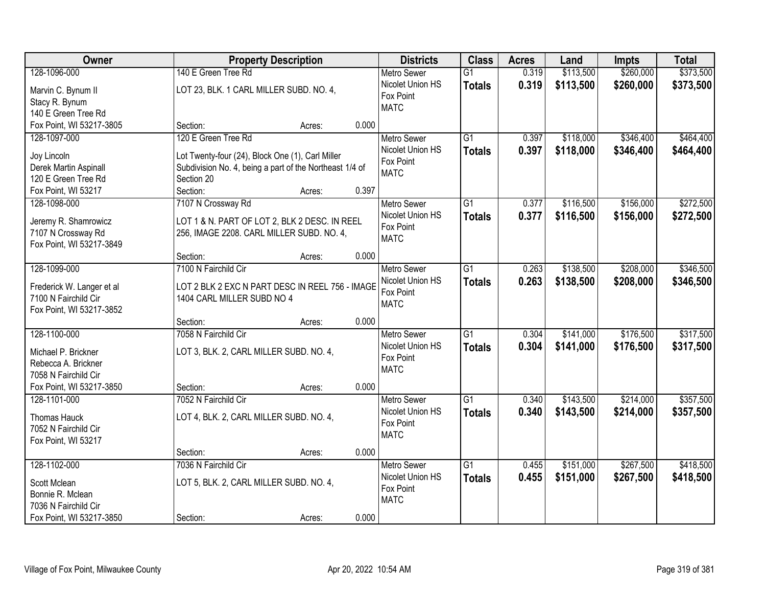| Owner                                        |                                                                       | <b>Property Description</b> |       | <b>Districts</b>   | <b>Class</b>    | <b>Acres</b> | Land      | <b>Impts</b> | <b>Total</b> |
|----------------------------------------------|-----------------------------------------------------------------------|-----------------------------|-------|--------------------|-----------------|--------------|-----------|--------------|--------------|
| 128-1096-000                                 | 140 E Green Tree Rd                                                   |                             |       | <b>Metro Sewer</b> | $\overline{G1}$ | 0.319        | \$113,500 | \$260,000    | \$373,500    |
| Marvin C. Bynum II                           | LOT 23, BLK. 1 CARL MILLER SUBD. NO. 4,                               |                             |       | Nicolet Union HS   | <b>Totals</b>   | 0.319        | \$113,500 | \$260,000    | \$373,500    |
| Stacy R. Bynum                               |                                                                       |                             |       | Fox Point          |                 |              |           |              |              |
| 140 E Green Tree Rd                          |                                                                       |                             |       | <b>MATC</b>        |                 |              |           |              |              |
| Fox Point, WI 53217-3805                     | Section:                                                              | Acres:                      | 0.000 |                    |                 |              |           |              |              |
| 128-1097-000                                 | 120 E Green Tree Rd                                                   |                             |       | <b>Metro Sewer</b> | $\overline{G1}$ | 0.397        | \$118,000 | \$346,400    | \$464,400    |
|                                              |                                                                       |                             |       | Nicolet Union HS   | <b>Totals</b>   | 0.397        | \$118,000 | \$346,400    | \$464,400    |
| Joy Lincoln                                  | Lot Twenty-four (24), Block One (1), Carl Miller                      |                             |       | Fox Point          |                 |              |           |              |              |
| Derek Martin Aspinall<br>120 E Green Tree Rd | Subdivision No. 4, being a part of the Northeast 1/4 of<br>Section 20 |                             |       | <b>MATC</b>        |                 |              |           |              |              |
|                                              | Section:                                                              |                             | 0.397 |                    |                 |              |           |              |              |
| Fox Point, WI 53217                          |                                                                       | Acres:                      |       |                    |                 |              |           |              |              |
| 128-1098-000                                 | 7107 N Crossway Rd                                                    |                             |       | Metro Sewer        | $\overline{G1}$ | 0.377        | \$116,500 | \$156,000    | \$272,500    |
| Jeremy R. Shamrowicz                         | LOT 1 & N. PART OF LOT 2, BLK 2 DESC. IN REEL                         |                             |       | Nicolet Union HS   | <b>Totals</b>   | 0.377        | \$116,500 | \$156,000    | \$272,500    |
| 7107 N Crossway Rd                           | 256, IMAGE 2208. CARL MILLER SUBD. NO. 4,                             |                             |       | Fox Point          |                 |              |           |              |              |
| Fox Point, WI 53217-3849                     |                                                                       |                             |       | <b>MATC</b>        |                 |              |           |              |              |
|                                              | Section:                                                              | Acres:                      | 0.000 |                    |                 |              |           |              |              |
| 128-1099-000                                 | 7100 N Fairchild Cir                                                  |                             |       | <b>Metro Sewer</b> | $\overline{G1}$ | 0.263        | \$138,500 | \$208,000    | \$346,500    |
| Frederick W. Langer et al                    | LOT 2 BLK 2 EXC N PART DESC IN REEL 756 - IMAGE                       |                             |       | Nicolet Union HS   | <b>Totals</b>   | 0.263        | \$138,500 | \$208,000    | \$346,500    |
| 7100 N Fairchild Cir                         | 1404 CARL MILLER SUBD NO 4                                            |                             |       | Fox Point          |                 |              |           |              |              |
| Fox Point, WI 53217-3852                     |                                                                       |                             |       | <b>MATC</b>        |                 |              |           |              |              |
|                                              | Section:                                                              | Acres:                      | 0.000 |                    |                 |              |           |              |              |
| 128-1100-000                                 | 7058 N Fairchild Cir                                                  |                             |       | <b>Metro Sewer</b> | $\overline{G1}$ | 0.304        | \$141,000 | \$176,500    | \$317,500    |
|                                              |                                                                       |                             |       | Nicolet Union HS   |                 | 0.304        | \$141,000 | \$176,500    | \$317,500    |
| Michael P. Brickner                          | LOT 3, BLK. 2, CARL MILLER SUBD. NO. 4,                               |                             |       | Fox Point          | <b>Totals</b>   |              |           |              |              |
| Rebecca A. Brickner                          |                                                                       |                             |       | <b>MATC</b>        |                 |              |           |              |              |
| 7058 N Fairchild Cir                         |                                                                       |                             |       |                    |                 |              |           |              |              |
| Fox Point, WI 53217-3850                     | Section:                                                              | Acres:                      | 0.000 |                    |                 |              |           |              |              |
| 128-1101-000                                 | 7052 N Fairchild Cir                                                  |                             |       | <b>Metro Sewer</b> | $\overline{G1}$ | 0.340        | \$143,500 | \$214,000    | \$357,500    |
| Thomas Hauck                                 | LOT 4, BLK. 2, CARL MILLER SUBD. NO. 4,                               |                             |       | Nicolet Union HS   | <b>Totals</b>   | 0.340        | \$143,500 | \$214,000    | \$357,500    |
| 7052 N Fairchild Cir                         |                                                                       |                             |       | Fox Point          |                 |              |           |              |              |
| Fox Point, WI 53217                          |                                                                       |                             |       | <b>MATC</b>        |                 |              |           |              |              |
|                                              | Section:                                                              | Acres:                      | 0.000 |                    |                 |              |           |              |              |
| 128-1102-000                                 | 7036 N Fairchild Cir                                                  |                             |       | <b>Metro Sewer</b> | $\overline{G1}$ | 0.455        | \$151,000 | \$267,500    | \$418,500    |
|                                              |                                                                       |                             |       | Nicolet Union HS   | <b>Totals</b>   | 0.455        | \$151,000 | \$267,500    | \$418,500    |
| Scott Mclean                                 | LOT 5, BLK. 2, CARL MILLER SUBD. NO. 4,                               |                             |       | Fox Point          |                 |              |           |              |              |
| Bonnie R. Mclean                             |                                                                       |                             |       | <b>MATC</b>        |                 |              |           |              |              |
| 7036 N Fairchild Cir                         |                                                                       |                             |       |                    |                 |              |           |              |              |
| Fox Point, WI 53217-3850                     | Section:                                                              | Acres:                      | 0.000 |                    |                 |              |           |              |              |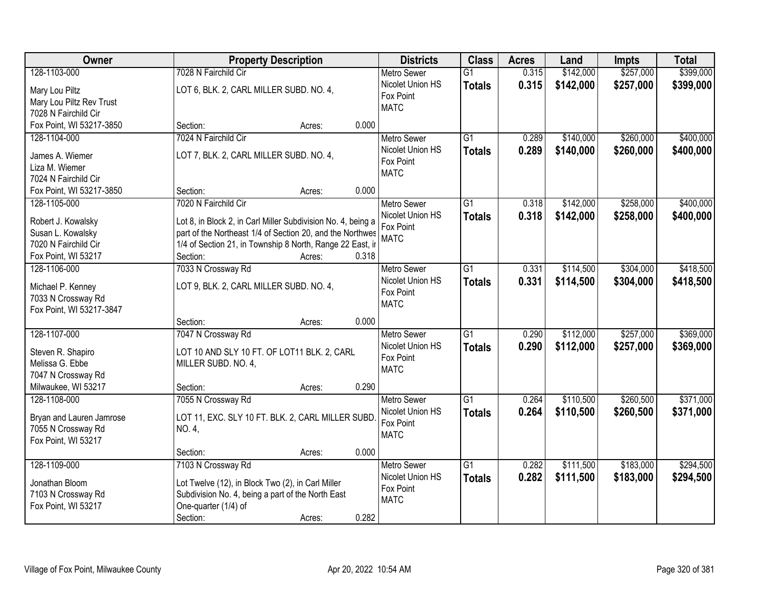| \$257,000<br>128-1103-000<br>7028 N Fairchild Cir<br>\$142,000<br>$\overline{G1}$<br>0.315<br><b>Metro Sewer</b>                                           | \$399,000 |
|------------------------------------------------------------------------------------------------------------------------------------------------------------|-----------|
|                                                                                                                                                            |           |
| 0.315<br>Nicolet Union HS<br>\$142,000<br>\$257,000<br><b>Totals</b><br>LOT 6, BLK. 2, CARL MILLER SUBD. NO. 4,<br>Mary Lou Piltz                          | \$399,000 |
| Fox Point<br>Mary Lou Piltz Rev Trust                                                                                                                      |           |
| <b>MATC</b><br>7028 N Fairchild Cir                                                                                                                        |           |
| 0.000<br>Fox Point, WI 53217-3850<br>Section:<br>Acres:                                                                                                    |           |
| 7024 N Fairchild Cir<br>$\overline{G1}$<br>\$140,000<br>\$260,000<br>128-1104-000<br>0.289<br><b>Metro Sewer</b>                                           | \$400,000 |
| 0.289<br>Nicolet Union HS<br>\$140,000<br>\$260,000<br><b>Totals</b>                                                                                       | \$400,000 |
| LOT 7, BLK. 2, CARL MILLER SUBD. NO. 4,<br>James A. Wiemer<br>Fox Point                                                                                    |           |
| Liza M. Wiemer<br><b>MATC</b>                                                                                                                              |           |
| 7024 N Fairchild Cir                                                                                                                                       |           |
| 0.000<br>Fox Point, WI 53217-3850<br>Section:<br>Acres:                                                                                                    |           |
| \$142,000<br>\$258,000<br>128-1105-000<br>7020 N Fairchild Cir<br><b>Metro Sewer</b><br>G1<br>0.318                                                        | \$400,000 |
| Nicolet Union HS<br>0.318<br>\$142,000<br>\$258,000<br><b>Totals</b><br>Lot 8, in Block 2, in Carl Miller Subdivision No. 4, being a<br>Robert J. Kowalsky | \$400,000 |
| Fox Point<br>Susan L. Kowalsky<br>part of the Northeast 1/4 of Section 20, and the Northwes                                                                |           |
| <b>MATC</b><br>1/4 of Section 21, in Township 8 North, Range 22 East, ir<br>7020 N Fairchild Cir                                                           |           |
| Fox Point, WI 53217<br>Section:<br>0.318<br>Acres:                                                                                                         |           |
| \$304,000<br>7033 N Crossway Rd<br>$\overline{G1}$<br>0.331<br>\$114,500<br>128-1106-000<br><b>Metro Sewer</b>                                             | \$418,500 |
| Nicolet Union HS<br>0.331<br>\$114,500<br>\$304,000<br><b>Totals</b>                                                                                       | \$418,500 |
| LOT 9, BLK. 2, CARL MILLER SUBD. NO. 4,<br>Michael P. Kenney<br>Fox Point                                                                                  |           |
| 7033 N Crossway Rd<br><b>MATC</b>                                                                                                                          |           |
| Fox Point, WI 53217-3847                                                                                                                                   |           |
| 0.000<br>Section:<br>Acres:                                                                                                                                |           |
| 128-1107-000<br>$\overline{G1}$<br>0.290<br>\$112,000<br>\$257,000<br>7047 N Crossway Rd<br><b>Metro Sewer</b>                                             | \$369,000 |
| 0.290<br>\$112,000<br>Nicolet Union HS<br>\$257,000<br><b>Totals</b><br>Steven R. Shapiro<br>LOT 10 AND SLY 10 FT. OF LOT11 BLK. 2, CARL                   | \$369,000 |
| Fox Point<br>Melissa G. Ebbe<br>MILLER SUBD. NO. 4,                                                                                                        |           |
| <b>MATC</b><br>7047 N Crossway Rd                                                                                                                          |           |
| Milwaukee, WI 53217<br>0.290<br>Section:<br>Acres:                                                                                                         |           |
| $\overline{G1}$<br>\$260,500<br>128-1108-000<br>7055 N Crossway Rd<br>0.264<br>\$110,500<br><b>Metro Sewer</b>                                             | \$371,000 |
| 0.264<br>\$110,500<br>Nicolet Union HS<br>\$260,500<br><b>Totals</b>                                                                                       | \$371,000 |
| Bryan and Lauren Jamrose<br>LOT 11, EXC. SLY 10 FT. BLK. 2, CARL MILLER SUBD<br>Fox Point                                                                  |           |
| 7055 N Crossway Rd<br>NO. 4,<br><b>MATC</b>                                                                                                                |           |
| Fox Point, WI 53217                                                                                                                                        |           |
| 0.000<br>Section:<br>Acres:                                                                                                                                |           |
| 128-1109-000<br>\$183,000<br>7103 N Crossway Rd<br>$\overline{G1}$<br>0.282<br>\$111,500<br><b>Metro Sewer</b>                                             | \$294,500 |
| Nicolet Union HS<br>0.282<br>\$111,500<br>\$183,000<br><b>Totals</b><br>Jonathan Bloom<br>Lot Twelve (12), in Block Two (2), in Carl Miller                | \$294,500 |
| Fox Point<br>7103 N Crossway Rd<br>Subdivision No. 4, being a part of the North East                                                                       |           |
| <b>MATC</b><br>Fox Point, WI 53217<br>One-quarter (1/4) of                                                                                                 |           |
| 0.282<br>Section:<br>Acres:                                                                                                                                |           |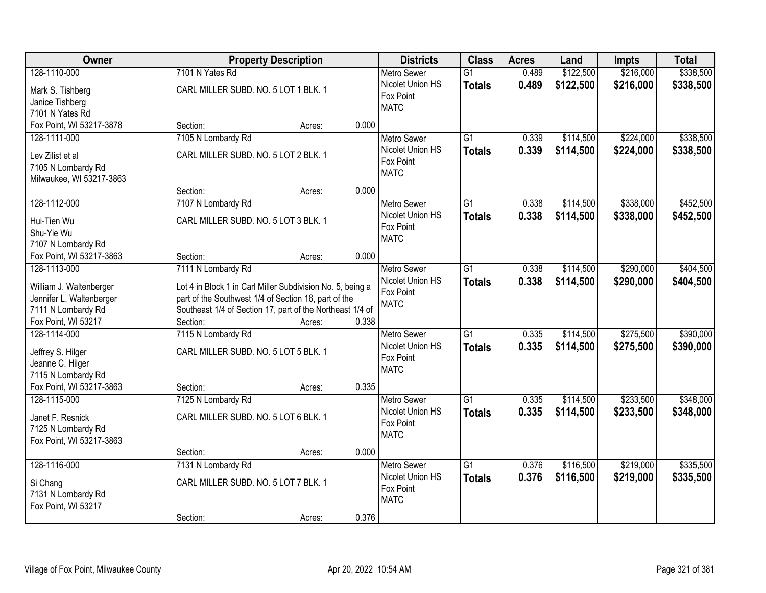| Owner                                               |                                                                                                                    | <b>Property Description</b> |       | <b>Districts</b>   | <b>Class</b>    | <b>Acres</b> | Land      | <b>Impts</b> | <b>Total</b> |
|-----------------------------------------------------|--------------------------------------------------------------------------------------------------------------------|-----------------------------|-------|--------------------|-----------------|--------------|-----------|--------------|--------------|
| 128-1110-000                                        | 7101 N Yates Rd                                                                                                    |                             |       | <b>Metro Sewer</b> | $\overline{G1}$ | 0.489        | \$122,500 | \$216,000    | \$338,500    |
| Mark S. Tishberg                                    | CARL MILLER SUBD. NO. 5 LOT 1 BLK. 1                                                                               |                             |       | Nicolet Union HS   | <b>Totals</b>   | 0.489        | \$122,500 | \$216,000    | \$338,500    |
| Janice Tishberg                                     |                                                                                                                    |                             |       | Fox Point          |                 |              |           |              |              |
| 7101 N Yates Rd                                     |                                                                                                                    |                             |       | <b>MATC</b>        |                 |              |           |              |              |
| Fox Point, WI 53217-3878                            | Section:                                                                                                           | Acres:                      | 0.000 |                    |                 |              |           |              |              |
| 128-1111-000                                        | 7105 N Lombardy Rd                                                                                                 |                             |       | <b>Metro Sewer</b> | $\overline{G1}$ | 0.339        | \$114,500 | \$224,000    | \$338,500    |
| Lev Zilist et al                                    | CARL MILLER SUBD. NO. 5 LOT 2 BLK. 1                                                                               |                             |       | Nicolet Union HS   | <b>Totals</b>   | 0.339        | \$114,500 | \$224,000    | \$338,500    |
| 7105 N Lombardy Rd                                  |                                                                                                                    |                             |       | Fox Point          |                 |              |           |              |              |
| Milwaukee, WI 53217-3863                            |                                                                                                                    |                             |       | <b>MATC</b>        |                 |              |           |              |              |
|                                                     | Section:                                                                                                           | Acres:                      | 0.000 |                    |                 |              |           |              |              |
| 128-1112-000                                        | 7107 N Lombardy Rd                                                                                                 |                             |       | Metro Sewer        | $\overline{G1}$ | 0.338        | \$114,500 | \$338,000    | \$452,500    |
| Hui-Tien Wu                                         | CARL MILLER SUBD. NO. 5 LOT 3 BLK. 1                                                                               |                             |       | Nicolet Union HS   | <b>Totals</b>   | 0.338        | \$114,500 | \$338,000    | \$452,500    |
| Shu-Yie Wu                                          |                                                                                                                    |                             |       | Fox Point          |                 |              |           |              |              |
| 7107 N Lombardy Rd                                  |                                                                                                                    |                             |       | <b>MATC</b>        |                 |              |           |              |              |
| Fox Point, WI 53217-3863                            | Section:                                                                                                           | Acres:                      | 0.000 |                    |                 |              |           |              |              |
| 128-1113-000                                        | 7111 N Lombardy Rd                                                                                                 |                             |       | <b>Metro Sewer</b> | $\overline{G1}$ | 0.338        | \$114,500 | \$290,000    | \$404,500    |
|                                                     |                                                                                                                    |                             |       | Nicolet Union HS   | <b>Totals</b>   | 0.338        | \$114,500 | \$290,000    | \$404,500    |
| William J. Waltenberger<br>Jennifer L. Waltenberger | Lot 4 in Block 1 in Carl Miller Subdivision No. 5, being a<br>part of the Southwest 1/4 of Section 16, part of the |                             |       | Fox Point          |                 |              |           |              |              |
| 7111 N Lombardy Rd                                  | Southeast 1/4 of Section 17, part of the Northeast 1/4 of                                                          |                             |       | <b>MATC</b>        |                 |              |           |              |              |
| Fox Point, WI 53217                                 | Section:                                                                                                           | Acres:                      | 0.338 |                    |                 |              |           |              |              |
| 128-1114-000                                        | 7115 N Lombardy Rd                                                                                                 |                             |       | Metro Sewer        | $\overline{G1}$ | 0.335        | \$114,500 | \$275,500    | \$390,000    |
|                                                     |                                                                                                                    |                             |       | Nicolet Union HS   | <b>Totals</b>   | 0.335        | \$114,500 | \$275,500    | \$390,000    |
| Jeffrey S. Hilger                                   | CARL MILLER SUBD. NO. 5 LOT 5 BLK. 1                                                                               |                             |       | Fox Point          |                 |              |           |              |              |
| Jeanne C. Hilger<br>7115 N Lombardy Rd              |                                                                                                                    |                             |       | <b>MATC</b>        |                 |              |           |              |              |
| Fox Point, WI 53217-3863                            | Section:                                                                                                           | Acres:                      | 0.335 |                    |                 |              |           |              |              |
| 128-1115-000                                        | 7125 N Lombardy Rd                                                                                                 |                             |       | <b>Metro Sewer</b> | $\overline{G1}$ | 0.335        | \$114,500 | \$233,500    | \$348,000    |
|                                                     |                                                                                                                    |                             |       | Nicolet Union HS   | <b>Totals</b>   | 0.335        | \$114,500 | \$233,500    | \$348,000    |
| Janet F. Resnick                                    | CARL MILLER SUBD. NO. 5 LOT 6 BLK. 1                                                                               |                             |       | Fox Point          |                 |              |           |              |              |
| 7125 N Lombardy Rd                                  |                                                                                                                    |                             |       | <b>MATC</b>        |                 |              |           |              |              |
| Fox Point, WI 53217-3863                            | Section:                                                                                                           | Acres:                      | 0.000 |                    |                 |              |           |              |              |
| 128-1116-000                                        | 7131 N Lombardy Rd                                                                                                 |                             |       | <b>Metro Sewer</b> | $\overline{G1}$ | 0.376        | \$116,500 | \$219,000    | \$335,500    |
|                                                     |                                                                                                                    |                             |       | Nicolet Union HS   | <b>Totals</b>   | 0.376        | \$116,500 | \$219,000    | \$335,500    |
| Si Chang                                            | CARL MILLER SUBD. NO. 5 LOT 7 BLK. 1                                                                               |                             |       | Fox Point          |                 |              |           |              |              |
| 7131 N Lombardy Rd                                  |                                                                                                                    |                             |       | <b>MATC</b>        |                 |              |           |              |              |
| Fox Point, WI 53217                                 |                                                                                                                    |                             | 0.376 |                    |                 |              |           |              |              |
|                                                     | Section:                                                                                                           | Acres:                      |       |                    |                 |              |           |              |              |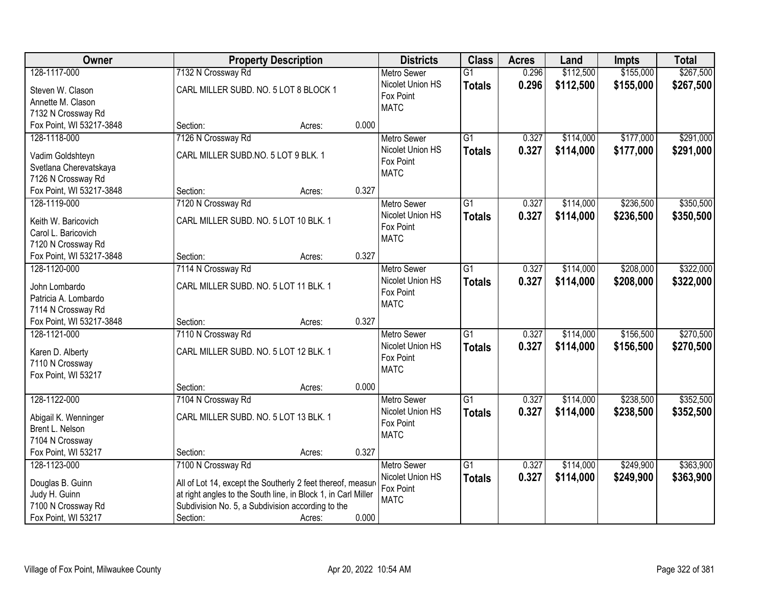| Owner                                   | <b>Property Description</b>                                   |                 | <b>Districts</b>         | <b>Class</b>    | <b>Acres</b> | Land      | <b>Impts</b> | <b>Total</b> |
|-----------------------------------------|---------------------------------------------------------------|-----------------|--------------------------|-----------------|--------------|-----------|--------------|--------------|
| 128-1117-000                            | 7132 N Crossway Rd                                            |                 | <b>Metro Sewer</b>       | $\overline{G1}$ | 0.296        | \$112,500 | \$155,000    | \$267,500    |
| Steven W. Clason                        | CARL MILLER SUBD. NO. 5 LOT 8 BLOCK 1                         |                 | Nicolet Union HS         | <b>Totals</b>   | 0.296        | \$112,500 | \$155,000    | \$267,500    |
| Annette M. Clason                       |                                                               |                 | Fox Point                |                 |              |           |              |              |
| 7132 N Crossway Rd                      |                                                               |                 | <b>MATC</b>              |                 |              |           |              |              |
| Fox Point, WI 53217-3848                | Section:                                                      | 0.000<br>Acres: |                          |                 |              |           |              |              |
| 128-1118-000                            | 7126 N Crossway Rd                                            |                 | <b>Metro Sewer</b>       | $\overline{G1}$ | 0.327        | \$114,000 | \$177,000    | \$291,000    |
|                                         |                                                               |                 | Nicolet Union HS         | <b>Totals</b>   | 0.327        | \$114,000 | \$177,000    | \$291,000    |
| Vadim Goldshteyn                        | CARL MILLER SUBD.NO. 5 LOT 9 BLK. 1                           |                 | Fox Point                |                 |              |           |              |              |
| Svetlana Cherevatskaya                  |                                                               |                 | <b>MATC</b>              |                 |              |           |              |              |
| 7126 N Crossway Rd                      |                                                               |                 |                          |                 |              |           |              |              |
| Fox Point, WI 53217-3848                | Section:                                                      | 0.327<br>Acres: |                          |                 |              |           |              |              |
| 128-1119-000                            | 7120 N Crossway Rd                                            |                 | <b>Metro Sewer</b>       | $\overline{G1}$ | 0.327        | \$114,000 | \$236,500    | \$350,500    |
| Keith W. Baricovich                     | CARL MILLER SUBD. NO. 5 LOT 10 BLK. 1                         |                 | Nicolet Union HS         | <b>Totals</b>   | 0.327        | \$114,000 | \$236,500    | \$350,500    |
| Carol L. Baricovich                     |                                                               |                 | Fox Point                |                 |              |           |              |              |
| 7120 N Crossway Rd                      |                                                               |                 | <b>MATC</b>              |                 |              |           |              |              |
| Fox Point, WI 53217-3848                | Section:                                                      | 0.327<br>Acres: |                          |                 |              |           |              |              |
| 128-1120-000                            | 7114 N Crossway Rd                                            |                 | <b>Metro Sewer</b>       | $\overline{G1}$ | 0.327        | \$114,000 | \$208,000    | \$322,000    |
|                                         |                                                               |                 | Nicolet Union HS         | <b>Totals</b>   | 0.327        | \$114,000 | \$208,000    | \$322,000    |
| John Lombardo                           | CARL MILLER SUBD. NO. 5 LOT 11 BLK. 1                         |                 | Fox Point                |                 |              |           |              |              |
| Patricia A. Lombardo                    |                                                               |                 | <b>MATC</b>              |                 |              |           |              |              |
| 7114 N Crossway Rd                      |                                                               |                 |                          |                 |              |           |              |              |
| Fox Point, WI 53217-3848                | Section:                                                      | 0.327<br>Acres: |                          |                 |              |           |              |              |
| 128-1121-000                            | 7110 N Crossway Rd                                            |                 | <b>Metro Sewer</b>       | $\overline{G1}$ | 0.327        | \$114,000 | \$156,500    | \$270,500    |
| Karen D. Alberty                        | CARL MILLER SUBD. NO. 5 LOT 12 BLK. 1                         |                 | Nicolet Union HS         | Totals          | 0.327        | \$114,000 | \$156,500    | \$270,500    |
| 7110 N Crossway                         |                                                               |                 | Fox Point                |                 |              |           |              |              |
| Fox Point, WI 53217                     |                                                               |                 | <b>MATC</b>              |                 |              |           |              |              |
|                                         | Section:                                                      | 0.000<br>Acres: |                          |                 |              |           |              |              |
| 128-1122-000                            | 7104 N Crossway Rd                                            |                 | Metro Sewer              | $\overline{G1}$ | 0.327        | \$114,000 | \$238,500    | \$352,500    |
|                                         | CARL MILLER SUBD. NO. 5 LOT 13 BLK. 1                         |                 | Nicolet Union HS         | <b>Totals</b>   | 0.327        | \$114,000 | \$238,500    | \$352,500    |
| Abigail K. Wenninger<br>Brent L. Nelson |                                                               |                 | Fox Point                |                 |              |           |              |              |
|                                         |                                                               |                 | <b>MATC</b>              |                 |              |           |              |              |
| 7104 N Crossway<br>Fox Point, WI 53217  |                                                               | 0.327           |                          |                 |              |           |              |              |
|                                         | Section:                                                      | Acres:          |                          |                 |              |           |              |              |
| 128-1123-000                            | 7100 N Crossway Rd                                            |                 | <b>Metro Sewer</b>       | $\overline{G1}$ | 0.327        | \$114,000 | \$249,900    | \$363,900    |
| Douglas B. Guinn                        | All of Lot 14, except the Southerly 2 feet thereof, measure   |                 | Nicolet Union HS         | <b>Totals</b>   | 0.327        | \$114,000 | \$249,900    | \$363,900    |
| Judy H. Guinn                           | at right angles to the South line, in Block 1, in Carl Miller |                 | Fox Point<br><b>MATC</b> |                 |              |           |              |              |
| 7100 N Crossway Rd                      | Subdivision No. 5, a Subdivision according to the             |                 |                          |                 |              |           |              |              |
| Fox Point, WI 53217                     | Section:                                                      | 0.000<br>Acres: |                          |                 |              |           |              |              |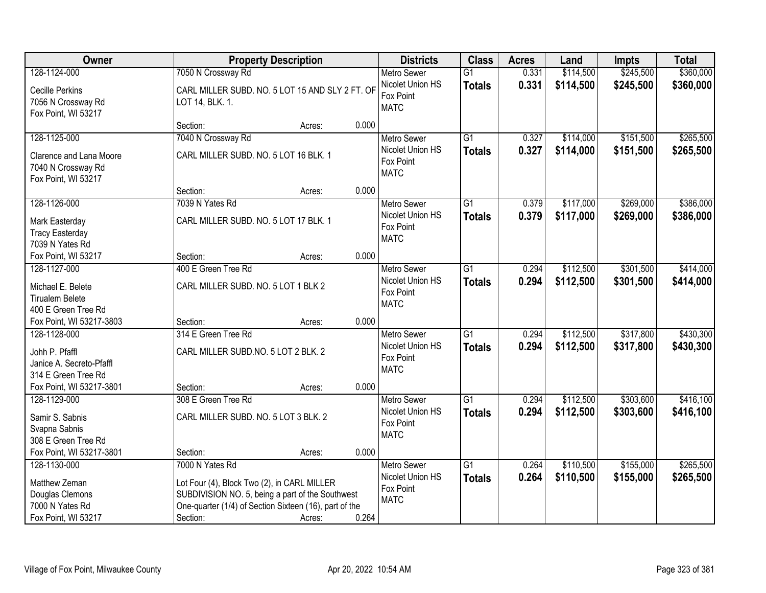| Owner                                                                                      |                                                             | <b>Property Description</b>                                                                                                                                         |       | <b>Districts</b>                                                   | <b>Class</b>                     | <b>Acres</b>   | Land                   | <b>Impts</b>           | <b>Total</b>           |
|--------------------------------------------------------------------------------------------|-------------------------------------------------------------|---------------------------------------------------------------------------------------------------------------------------------------------------------------------|-------|--------------------------------------------------------------------|----------------------------------|----------------|------------------------|------------------------|------------------------|
| 128-1124-000                                                                               | 7050 N Crossway Rd                                          |                                                                                                                                                                     |       | <b>Metro Sewer</b>                                                 | $\overline{G1}$                  | 0.331          | \$114,500              | \$245,500              | \$360,000              |
| <b>Cecille Perkins</b><br>7056 N Crossway Rd<br>Fox Point, WI 53217                        | LOT 14, BLK. 1.                                             | CARL MILLER SUBD. NO. 5 LOT 15 AND SLY 2 FT. OF                                                                                                                     |       | Nicolet Union HS<br>Fox Point<br><b>MATC</b>                       | <b>Totals</b>                    | 0.331          | \$114,500              | \$245,500              | \$360,000              |
|                                                                                            | Section:                                                    | Acres:                                                                                                                                                              | 0.000 |                                                                    |                                  |                |                        |                        |                        |
| 128-1125-000                                                                               | 7040 N Crossway Rd                                          |                                                                                                                                                                     |       | <b>Metro Sewer</b>                                                 | $\overline{G1}$                  | 0.327          | \$114,000              | \$151,500              | \$265,500              |
| Clarence and Lana Moore<br>7040 N Crossway Rd<br>Fox Point, WI 53217                       | CARL MILLER SUBD. NO. 5 LOT 16 BLK. 1                       |                                                                                                                                                                     |       | Nicolet Union HS<br>Fox Point<br><b>MATC</b>                       | <b>Totals</b>                    | 0.327          | \$114,000              | \$151,500              | \$265,500              |
|                                                                                            | Section:                                                    | Acres:                                                                                                                                                              | 0.000 |                                                                    |                                  |                |                        |                        |                        |
| 128-1126-000                                                                               | 7039 N Yates Rd                                             |                                                                                                                                                                     |       | Metro Sewer                                                        | $\overline{G1}$                  | 0.379          | \$117,000              | \$269,000              | \$386,000              |
| Mark Easterday<br><b>Tracy Easterday</b><br>7039 N Yates Rd                                | CARL MILLER SUBD. NO. 5 LOT 17 BLK. 1                       |                                                                                                                                                                     |       | Nicolet Union HS<br>Fox Point<br><b>MATC</b>                       | Totals                           | 0.379          | \$117,000              | \$269,000              | \$386,000              |
| Fox Point, WI 53217                                                                        | Section:                                                    | Acres:                                                                                                                                                              | 0.000 |                                                                    |                                  |                |                        |                        |                        |
| 128-1127-000                                                                               | 400 E Green Tree Rd                                         |                                                                                                                                                                     |       | <b>Metro Sewer</b>                                                 | $\overline{G1}$                  | 0.294          | \$112,500              | \$301,500              | \$414,000              |
| Michael E. Belete<br><b>Tirualem Belete</b><br>400 E Green Tree Rd                         | CARL MILLER SUBD. NO. 5 LOT 1 BLK 2                         |                                                                                                                                                                     |       | Nicolet Union HS<br>Fox Point<br><b>MATC</b>                       | <b>Totals</b>                    | 0.294          | \$112,500              | \$301,500              | \$414,000              |
| Fox Point, WI 53217-3803                                                                   | Section:                                                    | Acres:                                                                                                                                                              | 0.000 |                                                                    |                                  |                |                        |                        |                        |
| 128-1128-000<br>Johh P. Pfaffl<br>Janice A. Secreto-Pfaffl<br>314 E Green Tree Rd          | 314 E Green Tree Rd<br>CARL MILLER SUBD.NO. 5 LOT 2 BLK. 2  |                                                                                                                                                                     |       | Metro Sewer<br>Nicolet Union HS<br>Fox Point<br><b>MATC</b>        | $\overline{G1}$<br>Totals        | 0.294<br>0.294 | \$112,500<br>\$112,500 | \$317,800<br>\$317,800 | \$430,300<br>\$430,300 |
| Fox Point, WI 53217-3801                                                                   | Section:                                                    | Acres:                                                                                                                                                              | 0.000 |                                                                    |                                  |                |                        |                        |                        |
| 128-1129-000<br>Samir S. Sabnis<br>Svapna Sabnis<br>308 E Green Tree Rd                    | 308 E Green Tree Rd<br>CARL MILLER SUBD. NO. 5 LOT 3 BLK. 2 |                                                                                                                                                                     |       | Metro Sewer<br>Nicolet Union HS<br>Fox Point<br><b>MATC</b>        | $\overline{G1}$<br><b>Totals</b> | 0.294<br>0.294 | \$112,500<br>\$112,500 | \$303,600<br>\$303,600 | \$416,100<br>\$416,100 |
| Fox Point, WI 53217-3801                                                                   | Section:                                                    | Acres:                                                                                                                                                              | 0.000 |                                                                    |                                  |                |                        |                        |                        |
| 128-1130-000<br>Matthew Zeman<br>Douglas Clemons<br>7000 N Yates Rd<br>Fox Point, WI 53217 | 7000 N Yates Rd<br>Section:                                 | Lot Four (4), Block Two (2), in CARL MILLER<br>SUBDIVISION NO. 5, being a part of the Southwest<br>One-quarter (1/4) of Section Sixteen (16), part of the<br>Acres: | 0.264 | <b>Metro Sewer</b><br>Nicolet Union HS<br>Fox Point<br><b>MATC</b> | $\overline{G1}$<br><b>Totals</b> | 0.264<br>0.264 | \$110,500<br>\$110,500 | \$155,000<br>\$155,000 | \$265,500<br>\$265,500 |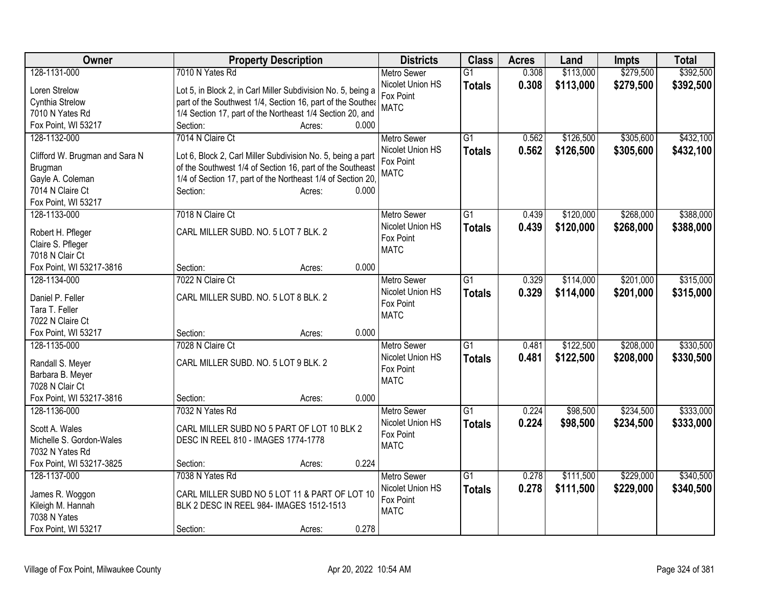| Owner                                       | <b>Property Description</b>                                  | <b>Districts</b>         | <b>Class</b>    | <b>Acres</b> | Land      | <b>Impts</b> | <b>Total</b> |
|---------------------------------------------|--------------------------------------------------------------|--------------------------|-----------------|--------------|-----------|--------------|--------------|
| 128-1131-000                                | 7010 N Yates Rd                                              | <b>Metro Sewer</b>       | $\overline{G1}$ | 0.308        | \$113,000 | \$279,500    | \$392,500    |
| Loren Strelow                               | Lot 5, in Block 2, in Carl Miller Subdivision No. 5, being a | Nicolet Union HS         | <b>Totals</b>   | 0.308        | \$113,000 | \$279,500    | \$392,500    |
| Cynthia Strelow                             | part of the Southwest 1/4, Section 16, part of the Southea   | Fox Point                |                 |              |           |              |              |
| 7010 N Yates Rd                             | 1/4 Section 17, part of the Northeast 1/4 Section 20, and    | <b>MATC</b>              |                 |              |           |              |              |
| Fox Point, WI 53217                         | 0.000<br>Section:<br>Acres:                                  |                          |                 |              |           |              |              |
| 128-1132-000                                | 7014 N Claire Ct                                             | <b>Metro Sewer</b>       | $\overline{G1}$ | 0.562        | \$126,500 | \$305,600    | \$432,100    |
|                                             |                                                              | Nicolet Union HS         | <b>Totals</b>   | 0.562        | \$126,500 | \$305,600    | \$432,100    |
| Clifford W. Brugman and Sara N              | Lot 6, Block 2, Carl Miller Subdivision No. 5, being a part  | Fox Point                |                 |              |           |              |              |
| Brugman                                     | of the Southwest 1/4 of Section 16, part of the Southeast    | <b>MATC</b>              |                 |              |           |              |              |
| Gayle A. Coleman                            | 1/4 of Section 17, part of the Northeast 1/4 of Section 20,  |                          |                 |              |           |              |              |
| 7014 N Claire Ct                            | Section:<br>0.000<br>Acres:                                  |                          |                 |              |           |              |              |
| Fox Point, WI 53217                         |                                                              |                          |                 |              |           |              |              |
| 128-1133-000                                | 7018 N Claire Ct                                             | <b>Metro Sewer</b>       | $\overline{G1}$ | 0.439        | \$120,000 | \$268,000    | \$388,000    |
| Robert H. Pfleger                           | CARL MILLER SUBD. NO. 5 LOT 7 BLK. 2                         | Nicolet Union HS         | <b>Totals</b>   | 0.439        | \$120,000 | \$268,000    | \$388,000    |
| Claire S. Pfleger                           |                                                              | Fox Point                |                 |              |           |              |              |
| 7018 N Clair Ct                             |                                                              | <b>MATC</b>              |                 |              |           |              |              |
| Fox Point, WI 53217-3816                    | 0.000<br>Section:<br>Acres:                                  |                          |                 |              |           |              |              |
| 128-1134-000                                | 7022 N Claire Ct                                             | <b>Metro Sewer</b>       | $\overline{G1}$ | 0.329        | \$114,000 | \$201,000    | \$315,000    |
|                                             |                                                              | Nicolet Union HS         | <b>Totals</b>   | 0.329        | \$114,000 | \$201,000    | \$315,000    |
| Daniel P. Feller                            | CARL MILLER SUBD. NO. 5 LOT 8 BLK. 2                         | Fox Point                |                 |              |           |              |              |
| Tara T. Feller                              |                                                              | <b>MATC</b>              |                 |              |           |              |              |
| 7022 N Claire Ct                            |                                                              |                          |                 |              |           |              |              |
| Fox Point, WI 53217                         | 0.000<br>Section:<br>Acres:                                  |                          |                 |              |           |              |              |
| 128-1135-000                                | 7028 N Claire Ct                                             | <b>Metro Sewer</b>       | $\overline{G1}$ | 0.481        | \$122,500 | \$208,000    | \$330,500    |
| Randall S. Meyer                            | CARL MILLER SUBD. NO. 5 LOT 9 BLK. 2                         | Nicolet Union HS         | <b>Totals</b>   | 0.481        | \$122,500 | \$208,000    | \$330,500    |
| Barbara B. Meyer                            |                                                              | Fox Point                |                 |              |           |              |              |
| 7028 N Clair Ct                             |                                                              | <b>MATC</b>              |                 |              |           |              |              |
| Fox Point, WI 53217-3816                    | 0.000<br>Section:<br>Acres:                                  |                          |                 |              |           |              |              |
| 128-1136-000                                | 7032 N Yates Rd                                              | <b>Metro Sewer</b>       | $\overline{G1}$ | 0.224        | \$98,500  | \$234,500    | \$333,000    |
|                                             |                                                              | Nicolet Union HS         | <b>Totals</b>   | 0.224        | \$98,500  | \$234,500    | \$333,000    |
| Scott A. Wales                              | CARL MILLER SUBD NO 5 PART OF LOT 10 BLK 2                   | Fox Point                |                 |              |           |              |              |
| Michelle S. Gordon-Wales                    | DESC IN REEL 810 - IMAGES 1774-1778                          | <b>MATC</b>              |                 |              |           |              |              |
| 7032 N Yates Rd<br>Fox Point, WI 53217-3825 | 0.224                                                        |                          |                 |              |           |              |              |
| 128-1137-000                                | Section:<br>Acres:<br>7038 N Yates Rd                        |                          | $\overline{G1}$ |              | \$111,500 | \$229,000    |              |
|                                             |                                                              | Metro Sewer              |                 | 0.278        |           |              | \$340,500    |
| James R. Woggon                             | CARL MILLER SUBD NO 5 LOT 11 & PART OF LOT 10                | Nicolet Union HS         | <b>Totals</b>   | 0.278        | \$111,500 | \$229,000    | \$340,500    |
| Kileigh M. Hannah                           | BLK 2 DESC IN REEL 984- IMAGES 1512-1513                     | Fox Point<br><b>MATC</b> |                 |              |           |              |              |
| 7038 N Yates                                |                                                              |                          |                 |              |           |              |              |
| Fox Point, WI 53217                         | 0.278<br>Section:<br>Acres:                                  |                          |                 |              |           |              |              |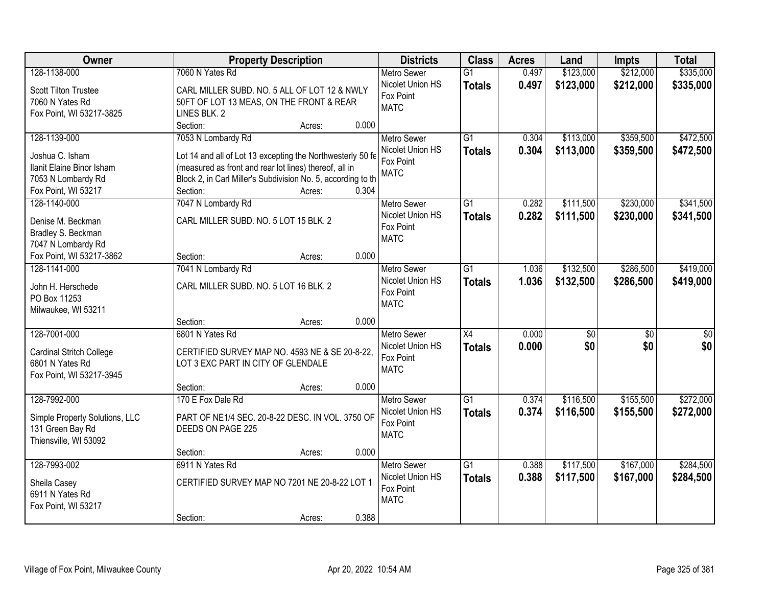| <b>Owner</b>                   | <b>Property Description</b>                                  |        |       | <b>Districts</b>   | <b>Class</b>    | <b>Acres</b> | Land      | <b>Impts</b>    | <b>Total</b>    |
|--------------------------------|--------------------------------------------------------------|--------|-------|--------------------|-----------------|--------------|-----------|-----------------|-----------------|
| 128-1138-000                   | 7060 N Yates Rd                                              |        |       | <b>Metro Sewer</b> | $\overline{G1}$ | 0.497        | \$123,000 | \$212,000       | \$335,000       |
| Scott Tilton Trustee           | CARL MILLER SUBD. NO. 5 ALL OF LOT 12 & NWLY                 |        |       | Nicolet Union HS   | <b>Totals</b>   | 0.497        | \$123,000 | \$212,000       | \$335,000       |
| 7060 N Yates Rd                | 50FT OF LOT 13 MEAS, ON THE FRONT & REAR                     |        |       | Fox Point          |                 |              |           |                 |                 |
| Fox Point, WI 53217-3825       | LINES BLK. 2                                                 |        |       | <b>MATC</b>        |                 |              |           |                 |                 |
|                                | Section:                                                     | Acres: | 0.000 |                    |                 |              |           |                 |                 |
| 128-1139-000                   | 7053 N Lombardy Rd                                           |        |       | <b>Metro Sewer</b> | $\overline{G1}$ | 0.304        | \$113,000 | \$359,500       | \$472,500       |
|                                |                                                              |        |       | Nicolet Union HS   | <b>Totals</b>   | 0.304        | \$113,000 | \$359,500       | \$472,500       |
| Joshua C. Isham                | Lot 14 and all of Lot 13 excepting the Northwesterly 50 fe   |        |       | Fox Point          |                 |              |           |                 |                 |
| Ilanit Elaine Binor Isham      | (measured as front and rear lot lines) thereof, all in       |        |       | <b>MATC</b>        |                 |              |           |                 |                 |
| 7053 N Lombardy Rd             | Block 2, in Carl Miller's Subdivision No. 5, according to th |        |       |                    |                 |              |           |                 |                 |
| Fox Point, WI 53217            | Section:                                                     | Acres: | 0.304 |                    |                 |              |           |                 |                 |
| 128-1140-000                   | 7047 N Lombardy Rd                                           |        |       | Metro Sewer        | $\overline{G1}$ | 0.282        | \$111,500 | \$230,000       | \$341,500       |
| Denise M. Beckman              | CARL MILLER SUBD. NO. 5 LOT 15 BLK. 2                        |        |       | Nicolet Union HS   | <b>Totals</b>   | 0.282        | \$111,500 | \$230,000       | \$341,500       |
| Bradley S. Beckman             |                                                              |        |       | Fox Point          |                 |              |           |                 |                 |
| 7047 N Lombardy Rd             |                                                              |        |       | <b>MATC</b>        |                 |              |           |                 |                 |
| Fox Point, WI 53217-3862       | Section:                                                     | Acres: | 0.000 |                    |                 |              |           |                 |                 |
| 128-1141-000                   | 7041 N Lombardy Rd                                           |        |       | <b>Metro Sewer</b> | $\overline{G1}$ | 1.036        | \$132,500 | \$286,500       | \$419,000       |
|                                |                                                              |        |       | Nicolet Union HS   | <b>Totals</b>   | 1.036        | \$132,500 | \$286,500       | \$419,000       |
| John H. Herschede              | CARL MILLER SUBD. NO. 5 LOT 16 BLK. 2                        |        |       | Fox Point          |                 |              |           |                 |                 |
| PO Box 11253                   |                                                              |        |       | <b>MATC</b>        |                 |              |           |                 |                 |
| Milwaukee, WI 53211            |                                                              |        |       |                    |                 |              |           |                 |                 |
|                                | Section:                                                     | Acres: | 0.000 |                    |                 |              |           |                 |                 |
| 128-7001-000                   | 6801 N Yates Rd                                              |        |       | <b>Metro Sewer</b> | $\overline{X4}$ | 0.000        | \$0       | $\overline{50}$ | $\overline{50}$ |
| Cardinal Stritch College       | CERTIFIED SURVEY MAP NO. 4593 NE & SE 20-8-22,               |        |       | Nicolet Union HS   | <b>Totals</b>   | 0.000        | \$0       | \$0             | \$0             |
| 6801 N Yates Rd                | LOT 3 EXC PART IN CITY OF GLENDALE                           |        |       | Fox Point          |                 |              |           |                 |                 |
| Fox Point, WI 53217-3945       |                                                              |        |       | <b>MATC</b>        |                 |              |           |                 |                 |
|                                | Section:                                                     | Acres: | 0.000 |                    |                 |              |           |                 |                 |
| 128-7992-000                   | 170 E Fox Dale Rd                                            |        |       | <b>Metro Sewer</b> | $\overline{G1}$ | 0.374        | \$116,500 | \$155,500       | \$272,000       |
|                                |                                                              |        |       | Nicolet Union HS   | <b>Totals</b>   | 0.374        | \$116,500 | \$155,500       | \$272,000       |
| Simple Property Solutions, LLC | PART OF NE1/4 SEC. 20-8-22 DESC. IN VOL. 3750 OF             |        |       | Fox Point          |                 |              |           |                 |                 |
| 131 Green Bay Rd               | DEEDS ON PAGE 225                                            |        |       | <b>MATC</b>        |                 |              |           |                 |                 |
| Thiensville, WI 53092          |                                                              |        |       |                    |                 |              |           |                 |                 |
|                                | Section:                                                     | Acres: | 0.000 |                    |                 |              |           |                 |                 |
| 128-7993-002                   | 6911 N Yates Rd                                              |        |       | <b>Metro Sewer</b> | $\overline{G1}$ | 0.388        | \$117,500 | \$167,000       | \$284,500       |
| Sheila Casey                   | CERTIFIED SURVEY MAP NO 7201 NE 20-8-22 LOT 1                |        |       | Nicolet Union HS   | <b>Totals</b>   | 0.388        | \$117,500 | \$167,000       | \$284,500       |
| 6911 N Yates Rd                |                                                              |        |       | Fox Point          |                 |              |           |                 |                 |
| Fox Point, WI 53217            |                                                              |        |       | <b>MATC</b>        |                 |              |           |                 |                 |
|                                | Section:                                                     | Acres: | 0.388 |                    |                 |              |           |                 |                 |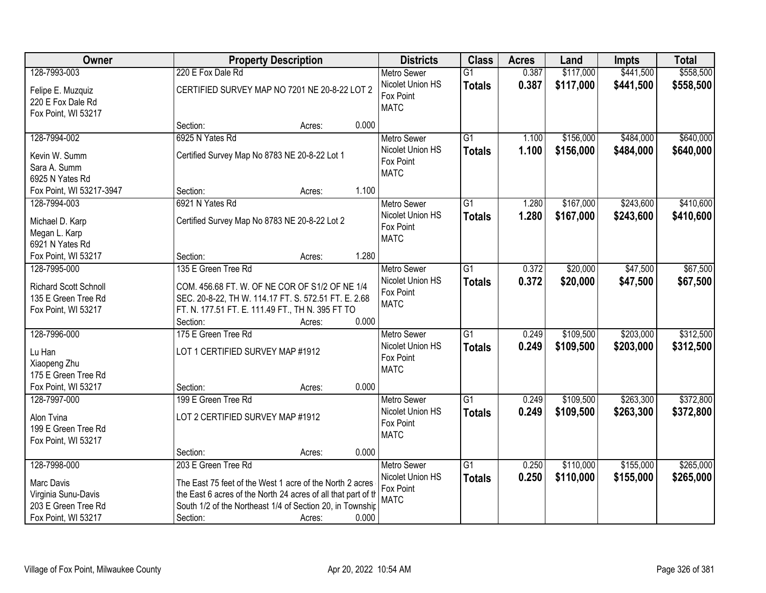| Owner                                                                                           |                                                                                                                                                                                                                           | <b>Property Description</b> |       | <b>Districts</b>                                                   | <b>Class</b>                     | <b>Acres</b>   | Land                   | <b>Impts</b>           | <b>Total</b>           |
|-------------------------------------------------------------------------------------------------|---------------------------------------------------------------------------------------------------------------------------------------------------------------------------------------------------------------------------|-----------------------------|-------|--------------------------------------------------------------------|----------------------------------|----------------|------------------------|------------------------|------------------------|
| 128-7993-003                                                                                    | 220 E Fox Dale Rd                                                                                                                                                                                                         |                             |       | <b>Metro Sewer</b>                                                 | $\overline{G1}$                  | 0.387          | \$117,000              | \$441,500              | \$558,500              |
| Felipe E. Muzquiz<br>220 E Fox Dale Rd<br>Fox Point, WI 53217                                   | CERTIFIED SURVEY MAP NO 7201 NE 20-8-22 LOT 2                                                                                                                                                                             |                             |       | Nicolet Union HS<br>Fox Point<br><b>MATC</b>                       | <b>Totals</b>                    | 0.387          | \$117,000              | \$441,500              | \$558,500              |
|                                                                                                 | Section:                                                                                                                                                                                                                  | Acres:                      | 0.000 |                                                                    |                                  |                |                        |                        |                        |
| 128-7994-002<br>Kevin W. Summ<br>Sara A. Summ<br>6925 N Yates Rd                                | 6925 N Yates Rd<br>Certified Survey Map No 8783 NE 20-8-22 Lot 1                                                                                                                                                          |                             |       | <b>Metro Sewer</b><br>Nicolet Union HS<br>Fox Point<br><b>MATC</b> | $\overline{G1}$<br><b>Totals</b> | 1.100<br>1.100 | \$156,000<br>\$156,000 | \$484,000<br>\$484,000 | \$640,000<br>\$640,000 |
| Fox Point, WI 53217-3947                                                                        | Section:                                                                                                                                                                                                                  | Acres:                      | 1.100 |                                                                    |                                  |                |                        |                        |                        |
| 128-7994-003<br>Michael D. Karp<br>Megan L. Karp<br>6921 N Yates Rd                             | 6921 N Yates Rd<br>Certified Survey Map No 8783 NE 20-8-22 Lot 2                                                                                                                                                          |                             |       | <b>Metro Sewer</b><br>Nicolet Union HS<br>Fox Point<br><b>MATC</b> | $\overline{G1}$<br><b>Totals</b> | 1.280<br>1.280 | \$167,000<br>\$167,000 | \$243,600<br>\$243,600 | \$410,600<br>\$410,600 |
| Fox Point, WI 53217                                                                             | Section:                                                                                                                                                                                                                  | Acres:                      | 1.280 |                                                                    |                                  |                |                        |                        |                        |
| 128-7995-000<br>Richard Scott Schnoll<br>135 E Green Tree Rd<br>Fox Point, WI 53217             | 135 E Green Tree Rd<br>COM. 456.68 FT. W. OF NE COR OF S1/2 OF NE 1/4<br>SEC. 20-8-22, TH W. 114.17 FT. S. 572.51 FT. E. 2.68<br>FT. N. 177.51 FT. E. 111.49 FT., TH N. 395 FT TO<br>Section:                             | Acres:                      | 0.000 | <b>Metro Sewer</b><br>Nicolet Union HS<br>Fox Point<br><b>MATC</b> | G1<br><b>Totals</b>              | 0.372<br>0.372 | \$20,000<br>\$20,000   | \$47,500<br>\$47,500   | \$67,500<br>\$67,500   |
| 128-7996-000<br>Lu Han<br>Xiaopeng Zhu<br>175 E Green Tree Rd<br>Fox Point, WI 53217            | 175 E Green Tree Rd<br>LOT 1 CERTIFIED SURVEY MAP #1912<br>Section:                                                                                                                                                       | Acres:                      | 0.000 | Metro Sewer<br>Nicolet Union HS<br>Fox Point<br><b>MATC</b>        | $\overline{G1}$<br><b>Totals</b> | 0.249<br>0.249 | \$109,500<br>\$109,500 | \$203,000<br>\$203,000 | \$312,500<br>\$312,500 |
| 128-7997-000<br>Alon Tvina<br>199 E Green Tree Rd<br>Fox Point, WI 53217                        | 199 E Green Tree Rd<br>LOT 2 CERTIFIED SURVEY MAP #1912<br>Section:                                                                                                                                                       | Acres:                      | 0.000 | Metro Sewer<br>Nicolet Union HS<br>Fox Point<br><b>MATC</b>        | $\overline{G1}$<br><b>Totals</b> | 0.249<br>0.249 | \$109,500<br>\$109,500 | \$263,300<br>\$263,300 | \$372,800<br>\$372,800 |
| 128-7998-000<br>Marc Davis<br>Virginia Sunu-Davis<br>203 E Green Tree Rd<br>Fox Point, WI 53217 | 203 E Green Tree Rd<br>The East 75 feet of the West 1 acre of the North 2 acres<br>the East 6 acres of the North 24 acres of all that part of th<br>South 1/2 of the Northeast 1/4 of Section 20, in Township<br>Section: | Acres:                      | 0.000 | <b>Metro Sewer</b><br>Nicolet Union HS<br>Fox Point<br><b>MATC</b> | $\overline{G1}$<br><b>Totals</b> | 0.250<br>0.250 | \$110,000<br>\$110,000 | \$155,000<br>\$155,000 | \$265,000<br>\$265,000 |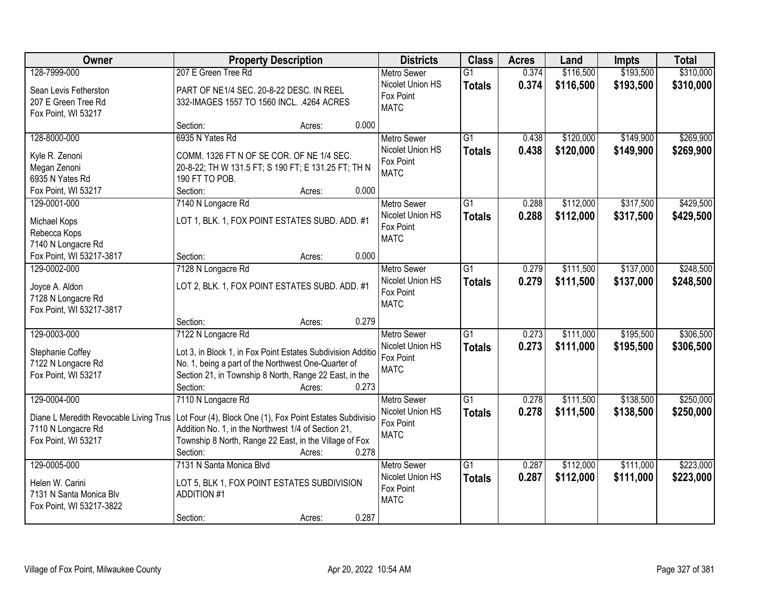| Owner                                                        | <b>Property Description</b>                                                                                      |       | <b>Districts</b>   | <b>Class</b>    | <b>Acres</b> | Land      | <b>Impts</b> | <b>Total</b> |
|--------------------------------------------------------------|------------------------------------------------------------------------------------------------------------------|-------|--------------------|-----------------|--------------|-----------|--------------|--------------|
| 128-7999-000                                                 | 207 E Green Tree Rd                                                                                              |       | <b>Metro Sewer</b> | $\overline{G1}$ | 0.374        | \$116,500 | \$193,500    | \$310,000    |
| Sean Levis Fetherston                                        | PART OF NE1/4 SEC. 20-8-22 DESC. IN REEL                                                                         |       | Nicolet Union HS   | <b>Totals</b>   | 0.374        | \$116,500 | \$193,500    | \$310,000    |
| 207 E Green Tree Rd                                          | 332-IMAGES 1557 TO 1560 INCL. .4264 ACRES                                                                        |       | Fox Point          |                 |              |           |              |              |
| Fox Point, WI 53217                                          |                                                                                                                  |       | <b>MATC</b>        |                 |              |           |              |              |
|                                                              | Section:<br>Acres:                                                                                               | 0.000 |                    |                 |              |           |              |              |
| 128-8000-000                                                 | 6935 N Yates Rd                                                                                                  |       | <b>Metro Sewer</b> | $\overline{G1}$ | 0.438        | \$120,000 | \$149,900    | \$269,900    |
| Kyle R. Zenoni                                               | COMM. 1326 FT N OF SE COR. OF NE 1/4 SEC.                                                                        |       | Nicolet Union HS   | <b>Totals</b>   | 0.438        | \$120,000 | \$149,900    | \$269,900    |
| Megan Zenoni                                                 | 20-8-22; TH W 131.5 FT; S 190 FT; E 131.25 FT; TH N                                                              |       | Fox Point          |                 |              |           |              |              |
| 6935 N Yates Rd                                              | 190 FT TO POB.                                                                                                   |       | <b>MATC</b>        |                 |              |           |              |              |
| Fox Point, WI 53217                                          | Section:<br>Acres:                                                                                               | 0.000 |                    |                 |              |           |              |              |
| 129-0001-000                                                 | 7140 N Longacre Rd                                                                                               |       | Metro Sewer        | G1              | 0.288        | \$112,000 | \$317,500    | \$429,500    |
| Michael Kops                                                 | LOT 1, BLK. 1, FOX POINT ESTATES SUBD. ADD. #1                                                                   |       | Nicolet Union HS   | <b>Totals</b>   | 0.288        | \$112,000 | \$317,500    | \$429,500    |
| Rebecca Kops                                                 |                                                                                                                  |       | Fox Point          |                 |              |           |              |              |
| 7140 N Longacre Rd                                           |                                                                                                                  |       | <b>MATC</b>        |                 |              |           |              |              |
| Fox Point, WI 53217-3817                                     | Section:<br>Acres:                                                                                               | 0.000 |                    |                 |              |           |              |              |
| 129-0002-000                                                 | 7128 N Longacre Rd                                                                                               |       | <b>Metro Sewer</b> | G1              | 0.279        | \$111,500 | \$137,000    | \$248,500    |
| Joyce A. Aldon                                               | LOT 2, BLK. 1, FOX POINT ESTATES SUBD. ADD. #1                                                                   |       | Nicolet Union HS   | <b>Totals</b>   | 0.279        | \$111,500 | \$137,000    | \$248,500    |
| 7128 N Longacre Rd                                           |                                                                                                                  |       | Fox Point          |                 |              |           |              |              |
| Fox Point, WI 53217-3817                                     |                                                                                                                  |       | <b>MATC</b>        |                 |              |           |              |              |
|                                                              | Section:<br>Acres:                                                                                               | 0.279 |                    |                 |              |           |              |              |
| 129-0003-000                                                 | 7122 N Longacre Rd                                                                                               |       | <b>Metro Sewer</b> | $\overline{G1}$ | 0.273        | \$111,000 | \$195,500    | \$306,500    |
|                                                              | Lot 3, in Block 1, in Fox Point Estates Subdivision Additio                                                      |       | Nicolet Union HS   | <b>Totals</b>   | 0.273        | \$111,000 | \$195,500    | \$306,500    |
| Stephanie Coffey<br>7122 N Longacre Rd                       | No. 1, being a part of the Northwest One-Quarter of                                                              |       | Fox Point          |                 |              |           |              |              |
| Fox Point, WI 53217                                          | Section 21, in Township 8 North, Range 22 East, in the                                                           |       | <b>MATC</b>        |                 |              |           |              |              |
|                                                              | Section:<br>Acres:                                                                                               | 0.273 |                    |                 |              |           |              |              |
| 129-0004-000                                                 | 7110 N Longacre Rd                                                                                               |       | <b>Metro Sewer</b> | $\overline{G1}$ | 0.278        | \$111,500 | \$138,500    | \$250,000    |
|                                                              |                                                                                                                  |       | Nicolet Union HS   | <b>Totals</b>   | 0.278        | \$111,500 | \$138,500    | \$250,000    |
| Diane L Meredith Revocable Living Trus<br>7110 N Longacre Rd | Lot Four (4), Block One (1), Fox Point Estates Subdivisio<br>Addition No. 1, in the Northwest 1/4 of Section 21, |       | Fox Point          |                 |              |           |              |              |
| Fox Point, WI 53217                                          | Township 8 North, Range 22 East, in the Village of Fox                                                           |       | <b>MATC</b>        |                 |              |           |              |              |
|                                                              | Section:<br>Acres:                                                                                               | 0.278 |                    |                 |              |           |              |              |
| 129-0005-000                                                 | 7131 N Santa Monica Blvd                                                                                         |       | <b>Metro Sewer</b> | $\overline{G1}$ | 0.287        | \$112,000 | \$111,000    | \$223,000    |
|                                                              |                                                                                                                  |       | Nicolet Union HS   | <b>Totals</b>   | 0.287        | \$112,000 | \$111,000    | \$223,000    |
| Helen W. Carini                                              | LOT 5, BLK 1, FOX POINT ESTATES SUBDIVISION                                                                      |       | Fox Point          |                 |              |           |              |              |
| 7131 N Santa Monica Blv                                      | <b>ADDITION #1</b>                                                                                               |       | <b>MATC</b>        |                 |              |           |              |              |
| Fox Point, WI 53217-3822                                     | Section:<br>Acres:                                                                                               | 0.287 |                    |                 |              |           |              |              |
|                                                              |                                                                                                                  |       |                    |                 |              |           |              |              |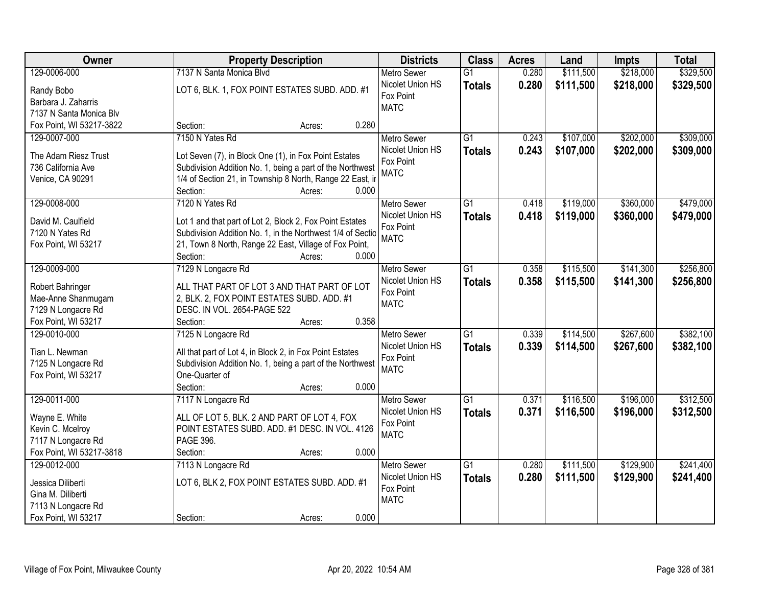| Owner                    | <b>Property Description</b>                                | <b>Districts</b>         | <b>Class</b>    | <b>Acres</b> | Land      | <b>Impts</b> | <b>Total</b> |
|--------------------------|------------------------------------------------------------|--------------------------|-----------------|--------------|-----------|--------------|--------------|
| 129-0006-000             | 7137 N Santa Monica Blvd                                   | <b>Metro Sewer</b>       | $\overline{G1}$ | 0.280        | \$111,500 | \$218,000    | \$329,500    |
| Randy Bobo               | LOT 6, BLK. 1, FOX POINT ESTATES SUBD. ADD. #1             | Nicolet Union HS         | <b>Totals</b>   | 0.280        | \$111,500 | \$218,000    | \$329,500    |
| Barbara J. Zaharris      |                                                            | Fox Point                |                 |              |           |              |              |
| 7137 N Santa Monica Blv  |                                                            | <b>MATC</b>              |                 |              |           |              |              |
| Fox Point, WI 53217-3822 | 0.280<br>Section:<br>Acres:                                |                          |                 |              |           |              |              |
| 129-0007-000             | 7150 N Yates Rd                                            | <b>Metro Sewer</b>       | $\overline{G1}$ | 0.243        | \$107,000 | \$202,000    | \$309,000    |
|                          |                                                            | Nicolet Union HS         | <b>Totals</b>   | 0.243        | \$107,000 | \$202,000    | \$309,000    |
| The Adam Riesz Trust     | Lot Seven (7), in Block One (1), in Fox Point Estates      | Fox Point                |                 |              |           |              |              |
| 736 California Ave       | Subdivision Addition No. 1, being a part of the Northwest  | <b>MATC</b>              |                 |              |           |              |              |
| Venice, CA 90291         | 1/4 of Section 21, in Township 8 North, Range 22 East, ir  |                          |                 |              |           |              |              |
|                          | 0.000<br>Section:<br>Acres:                                |                          |                 |              |           |              |              |
| 129-0008-000             | 7120 N Yates Rd                                            | <b>Metro Sewer</b>       | G1              | 0.418        | \$119,000 | \$360,000    | \$479,000    |
| David M. Caulfield       | Lot 1 and that part of Lot 2, Block 2, Fox Point Estates   | Nicolet Union HS         | <b>Totals</b>   | 0.418        | \$119,000 | \$360,000    | \$479,000    |
| 7120 N Yates Rd          | Subdivision Addition No. 1, in the Northwest 1/4 of Sectio | Fox Point<br><b>MATC</b> |                 |              |           |              |              |
| Fox Point, WI 53217      | 21, Town 8 North, Range 22 East, Village of Fox Point,     |                          |                 |              |           |              |              |
|                          | Section:<br>0.000<br>Acres:                                |                          |                 |              |           |              |              |
| 129-0009-000             | 7129 N Longacre Rd                                         | <b>Metro Sewer</b>       | G1              | 0.358        | \$115,500 | \$141,300    | \$256,800    |
| Robert Bahringer         | ALL THAT PART OF LOT 3 AND THAT PART OF LOT                | Nicolet Union HS         | <b>Totals</b>   | 0.358        | \$115,500 | \$141,300    | \$256,800    |
| Mae-Anne Shanmugam       | 2, BLK. 2, FOX POINT ESTATES SUBD. ADD. #1                 | Fox Point                |                 |              |           |              |              |
| 7129 N Longacre Rd       | DESC. IN VOL. 2654-PAGE 522                                | <b>MATC</b>              |                 |              |           |              |              |
| Fox Point, WI 53217      | 0.358<br>Section:<br>Acres:                                |                          |                 |              |           |              |              |
| 129-0010-000             | 7125 N Longacre Rd                                         | <b>Metro Sewer</b>       | $\overline{G1}$ | 0.339        | \$114,500 | \$267,600    | \$382,100    |
|                          |                                                            | Nicolet Union HS         | <b>Totals</b>   | 0.339        | \$114,500 | \$267,600    | \$382,100    |
| Tian L. Newman           | All that part of Lot 4, in Block 2, in Fox Point Estates   | Fox Point                |                 |              |           |              |              |
| 7125 N Longacre Rd       | Subdivision Addition No. 1, being a part of the Northwest  | <b>MATC</b>              |                 |              |           |              |              |
| Fox Point, WI 53217      | One-Quarter of                                             |                          |                 |              |           |              |              |
|                          | Section:<br>0.000<br>Acres:                                |                          |                 |              |           |              |              |
| 129-0011-000             | 7117 N Longacre Rd                                         | <b>Metro Sewer</b>       | $\overline{G1}$ | 0.371        | \$116,500 | \$196,000    | \$312,500    |
| Wayne E. White           | ALL OF LOT 5, BLK. 2 AND PART OF LOT 4, FOX                | Nicolet Union HS         | <b>Totals</b>   | 0.371        | \$116,500 | \$196,000    | \$312,500    |
| Kevin C. Mcelroy         | POINT ESTATES SUBD. ADD. #1 DESC. IN VOL. 4126             | Fox Point                |                 |              |           |              |              |
| 7117 N Longacre Rd       | PAGE 396.                                                  | <b>MATC</b>              |                 |              |           |              |              |
| Fox Point, WI 53217-3818 | 0.000<br>Section:<br>Acres:                                |                          |                 |              |           |              |              |
| 129-0012-000             | 7113 N Longacre Rd                                         | <b>Metro Sewer</b>       | $\overline{G1}$ | 0.280        | \$111,500 | \$129,900    | \$241,400    |
|                          |                                                            | Nicolet Union HS         | <b>Totals</b>   | 0.280        | \$111,500 | \$129,900    | \$241,400    |
| Jessica Diliberti        | LOT 6, BLK 2, FOX POINT ESTATES SUBD. ADD. #1              | Fox Point                |                 |              |           |              |              |
| Gina M. Diliberti        |                                                            | <b>MATC</b>              |                 |              |           |              |              |
| 7113 N Longacre Rd       |                                                            |                          |                 |              |           |              |              |
| Fox Point, WI 53217      | 0.000<br>Section:<br>Acres:                                |                          |                 |              |           |              |              |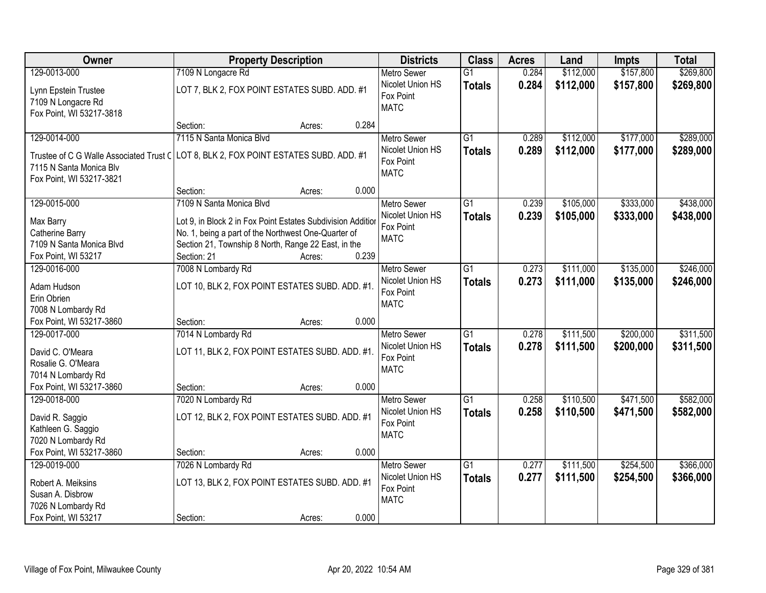| Owner                                                                                               | <b>Property Description</b>                                                                                                                                                                                 | <b>Districts</b>                                                   | <b>Class</b>                     | <b>Acres</b>   | Land                   | <b>Impts</b>           | <b>Total</b>           |
|-----------------------------------------------------------------------------------------------------|-------------------------------------------------------------------------------------------------------------------------------------------------------------------------------------------------------------|--------------------------------------------------------------------|----------------------------------|----------------|------------------------|------------------------|------------------------|
| 129-0013-000                                                                                        | 7109 N Longacre Rd                                                                                                                                                                                          | <b>Metro Sewer</b>                                                 | $\overline{G1}$                  | 0.284          | \$112,000              | \$157,800              | \$269,800              |
| Lynn Epstein Trustee<br>7109 N Longacre Rd<br>Fox Point, WI 53217-3818                              | LOT 7, BLK 2, FOX POINT ESTATES SUBD. ADD. #1                                                                                                                                                               | Nicolet Union HS<br>Fox Point<br><b>MATC</b>                       | <b>Totals</b>                    | 0.284          | \$112,000              | \$157,800              | \$269,800              |
|                                                                                                     | 0.284<br>Section:<br>Acres:                                                                                                                                                                                 |                                                                    |                                  |                |                        |                        |                        |
| 129-0014-000                                                                                        | 7115 N Santa Monica Blvd                                                                                                                                                                                    | <b>Metro Sewer</b>                                                 | $\overline{G1}$                  | 0.289          | \$112,000              | \$177,000              | \$289,000              |
| Trustee of C G Walle Associated Trust C<br>7115 N Santa Monica Blv<br>Fox Point, WI 53217-3821      | LOT 8, BLK 2, FOX POINT ESTATES SUBD. ADD. #1                                                                                                                                                               | Nicolet Union HS<br>Fox Point<br><b>MATC</b>                       | <b>Totals</b>                    | 0.289          | \$112,000              | \$177,000              | \$289,000              |
|                                                                                                     | 0.000<br>Section:<br>Acres:                                                                                                                                                                                 |                                                                    |                                  |                |                        |                        |                        |
| 129-0015-000                                                                                        | 7109 N Santa Monica Blvd                                                                                                                                                                                    | <b>Metro Sewer</b>                                                 | G1                               | 0.239          | \$105,000              | \$333,000              | \$438,000              |
| Max Barry<br>Catherine Barry<br>7109 N Santa Monica Blvd<br>Fox Point, WI 53217                     | Lot 9, in Block 2 in Fox Point Estates Subdivision Addition<br>No. 1, being a part of the Northwest One-Quarter of<br>Section 21, Township 8 North, Range 22 East, in the<br>0.239<br>Section: 21<br>Acres: | Nicolet Union HS<br>Fox Point<br><b>MATC</b>                       | <b>Totals</b>                    | 0.239          | \$105,000              | \$333,000              | \$438,000              |
| 129-0016-000                                                                                        | 7008 N Lombardy Rd                                                                                                                                                                                          | <b>Metro Sewer</b>                                                 | G1                               | 0.273          | \$111,000              | \$135,000              | \$246,000              |
| Adam Hudson<br>Erin Obrien<br>7008 N Lombardy Rd                                                    | LOT 10, BLK 2, FOX POINT ESTATES SUBD. ADD. #1.                                                                                                                                                             | Nicolet Union HS<br>Fox Point<br><b>MATC</b>                       | <b>Totals</b>                    | 0.273          | \$111,000              | \$135,000              | \$246,000              |
| Fox Point, WI 53217-3860                                                                            | 0.000<br>Section:<br>Acres:                                                                                                                                                                                 |                                                                    |                                  |                |                        |                        |                        |
| 129-0017-000<br>David C. O'Meara<br>Rosalie G. O'Meara<br>7014 N Lombardy Rd                        | 7014 N Lombardy Rd<br>LOT 11, BLK 2, FOX POINT ESTATES SUBD. ADD. #1.                                                                                                                                       | <b>Metro Sewer</b><br>Nicolet Union HS<br>Fox Point<br><b>MATC</b> | $\overline{G1}$<br><b>Totals</b> | 0.278<br>0.278 | \$111,500<br>\$111,500 | \$200,000<br>\$200,000 | \$311,500<br>\$311,500 |
| Fox Point, WI 53217-3860                                                                            | 0.000<br>Section:<br>Acres:                                                                                                                                                                                 |                                                                    |                                  |                |                        |                        |                        |
| 129-0018-000<br>David R. Saggio<br>Kathleen G. Saggio<br>7020 N Lombardy Rd                         | 7020 N Lombardy Rd<br>LOT 12, BLK 2, FOX POINT ESTATES SUBD. ADD. #1                                                                                                                                        | Metro Sewer<br>Nicolet Union HS<br>Fox Point<br><b>MATC</b>        | $\overline{G1}$<br><b>Totals</b> | 0.258<br>0.258 | \$110,500<br>\$110,500 | \$471,500<br>\$471,500 | \$582,000<br>\$582,000 |
| Fox Point, WI 53217-3860                                                                            | 0.000<br>Section:<br>Acres:                                                                                                                                                                                 |                                                                    |                                  |                |                        |                        |                        |
| 129-0019-000<br>Robert A. Meiksins<br>Susan A. Disbrow<br>7026 N Lombardy Rd<br>Fox Point, WI 53217 | 7026 N Lombardy Rd<br>LOT 13, BLK 2, FOX POINT ESTATES SUBD. ADD. #1<br>0.000<br>Section:<br>Acres:                                                                                                         | <b>Metro Sewer</b><br>Nicolet Union HS<br>Fox Point<br><b>MATC</b> | $\overline{G1}$<br><b>Totals</b> | 0.277<br>0.277 | \$111,500<br>\$111,500 | \$254,500<br>\$254,500 | \$366,000<br>\$366,000 |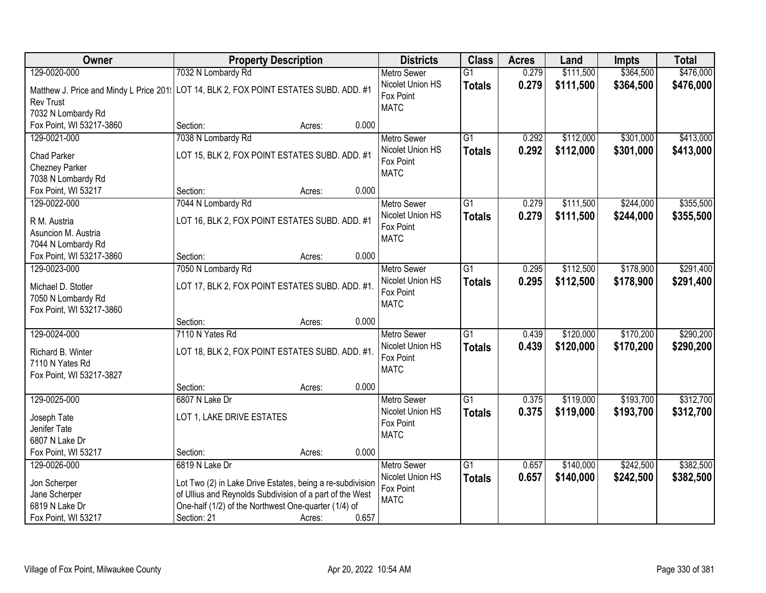| Owner                                                                                                      | <b>Property Description</b>                                                                                      |                 | <b>Districts</b>                             | <b>Class</b>    | <b>Acres</b> | Land      | <b>Impts</b> | <b>Total</b> |
|------------------------------------------------------------------------------------------------------------|------------------------------------------------------------------------------------------------------------------|-----------------|----------------------------------------------|-----------------|--------------|-----------|--------------|--------------|
| 129-0020-000                                                                                               | 7032 N Lombardy Rd                                                                                               |                 | <b>Metro Sewer</b>                           | $\overline{G1}$ | 0.279        | \$111,500 | \$364,500    | \$476,000    |
| Matthew J. Price and Mindy L Price 201: LOT 14, BLK 2, FOX POINT ESTATES SUBD. ADD. #1<br><b>Rev Trust</b> |                                                                                                                  |                 | Nicolet Union HS<br>Fox Point<br><b>MATC</b> | <b>Totals</b>   | 0.279        | \$111,500 | \$364,500    | \$476,000    |
| 7032 N Lombardy Rd                                                                                         |                                                                                                                  |                 |                                              |                 |              |           |              |              |
| Fox Point, WI 53217-3860                                                                                   | Section:                                                                                                         | 0.000<br>Acres: |                                              |                 |              |           |              |              |
| 129-0021-000                                                                                               | 7038 N Lombardy Rd                                                                                               |                 | <b>Metro Sewer</b>                           | $\overline{G1}$ | 0.292        | \$112,000 | \$301,000    | \$413,000    |
| <b>Chad Parker</b>                                                                                         | LOT 15, BLK 2, FOX POINT ESTATES SUBD. ADD. #1                                                                   |                 | Nicolet Union HS                             | <b>Totals</b>   | 0.292        | \$112,000 | \$301,000    | \$413,000    |
| Chezney Parker                                                                                             |                                                                                                                  |                 | Fox Point                                    |                 |              |           |              |              |
| 7038 N Lombardy Rd                                                                                         |                                                                                                                  |                 | <b>MATC</b>                                  |                 |              |           |              |              |
| Fox Point, WI 53217                                                                                        | Section:                                                                                                         | 0.000<br>Acres: |                                              |                 |              |           |              |              |
| 129-0022-000                                                                                               | 7044 N Lombardy Rd                                                                                               |                 | <b>Metro Sewer</b>                           | G1              | 0.279        | \$111,500 | \$244,000    | \$355,500    |
|                                                                                                            |                                                                                                                  |                 | Nicolet Union HS                             | <b>Totals</b>   | 0.279        | \$111,500 | \$244,000    | \$355,500    |
| R M. Austria                                                                                               | LOT 16, BLK 2, FOX POINT ESTATES SUBD. ADD. #1                                                                   |                 | Fox Point                                    |                 |              |           |              |              |
| Asuncion M. Austria                                                                                        |                                                                                                                  |                 | <b>MATC</b>                                  |                 |              |           |              |              |
| 7044 N Lombardy Rd<br>Fox Point, WI 53217-3860                                                             | Section:                                                                                                         | 0.000<br>Acres: |                                              |                 |              |           |              |              |
| 129-0023-000                                                                                               | 7050 N Lombardy Rd                                                                                               |                 | <b>Metro Sewer</b>                           | $\overline{G1}$ | 0.295        | \$112,500 | \$178,900    | \$291,400    |
|                                                                                                            |                                                                                                                  |                 | Nicolet Union HS                             | <b>Totals</b>   | 0.295        | \$112,500 | \$178,900    | \$291,400    |
| Michael D. Stotler                                                                                         | LOT 17, BLK 2, FOX POINT ESTATES SUBD. ADD. #1.                                                                  |                 | Fox Point                                    |                 |              |           |              |              |
| 7050 N Lombardy Rd                                                                                         |                                                                                                                  |                 | <b>MATC</b>                                  |                 |              |           |              |              |
| Fox Point, WI 53217-3860                                                                                   |                                                                                                                  |                 |                                              |                 |              |           |              |              |
|                                                                                                            | Section:                                                                                                         | 0.000<br>Acres: |                                              |                 |              |           |              |              |
| 129-0024-000                                                                                               | 7110 N Yates Rd                                                                                                  |                 | <b>Metro Sewer</b>                           | $\overline{G1}$ | 0.439        | \$120,000 | \$170,200    | \$290,200    |
| Richard B. Winter                                                                                          | LOT 18, BLK 2, FOX POINT ESTATES SUBD. ADD. #1.                                                                  |                 | Nicolet Union HS                             | <b>Totals</b>   | 0.439        | \$120,000 | \$170,200    | \$290,200    |
| 7110 N Yates Rd                                                                                            |                                                                                                                  |                 | Fox Point                                    |                 |              |           |              |              |
| Fox Point, WI 53217-3827                                                                                   |                                                                                                                  |                 | <b>MATC</b>                                  |                 |              |           |              |              |
|                                                                                                            | Section:                                                                                                         | 0.000<br>Acres: |                                              |                 |              |           |              |              |
| 129-0025-000                                                                                               | 6807 N Lake Dr                                                                                                   |                 | Metro Sewer                                  | $\overline{G1}$ | 0.375        | \$119,000 | \$193,700    | \$312,700    |
| Joseph Tate                                                                                                | LOT 1, LAKE DRIVE ESTATES                                                                                        |                 | Nicolet Union HS                             | <b>Totals</b>   | 0.375        | \$119,000 | \$193,700    | \$312,700    |
| Jenifer Tate                                                                                               |                                                                                                                  |                 | Fox Point                                    |                 |              |           |              |              |
| 6807 N Lake Dr                                                                                             |                                                                                                                  |                 | <b>MATC</b>                                  |                 |              |           |              |              |
| Fox Point, WI 53217                                                                                        | Section:                                                                                                         | 0.000<br>Acres: |                                              |                 |              |           |              |              |
| 129-0026-000                                                                                               | 6819 N Lake Dr                                                                                                   |                 | <b>Metro Sewer</b>                           | $\overline{G1}$ | 0.657        | \$140,000 | \$242,500    | \$382,500    |
|                                                                                                            |                                                                                                                  |                 | Nicolet Union HS                             | <b>Totals</b>   | 0.657        | \$140,000 | \$242,500    | \$382,500    |
| Jon Scherper                                                                                               | Lot Two (2) in Lake Drive Estates, being a re-subdivision                                                        |                 | Fox Point                                    |                 |              |           |              |              |
| Jane Scherper<br>6819 N Lake Dr                                                                            | of Ullius and Reynolds Subdivision of a part of the West<br>One-half (1/2) of the Northwest One-quarter (1/4) of |                 | <b>MATC</b>                                  |                 |              |           |              |              |
| Fox Point, WI 53217                                                                                        | Section: 21                                                                                                      | 0.657<br>Acres: |                                              |                 |              |           |              |              |
|                                                                                                            |                                                                                                                  |                 |                                              |                 |              |           |              |              |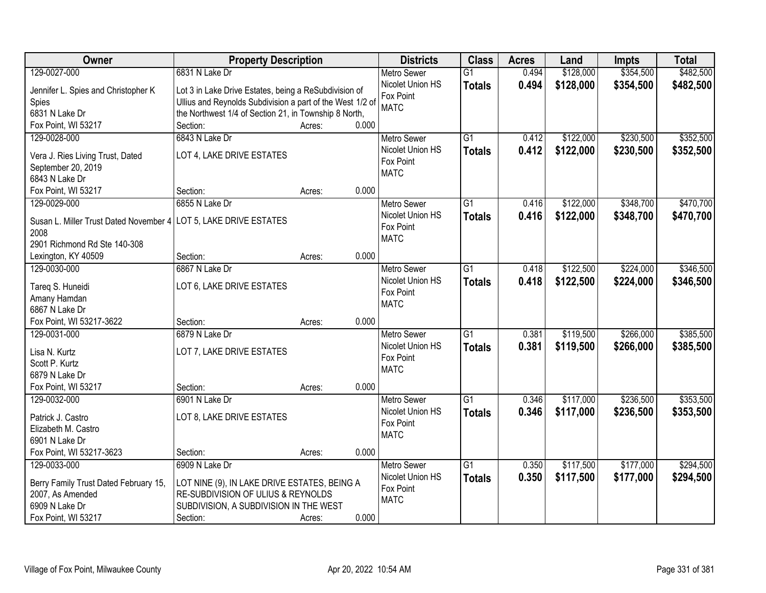| \$128,000<br>\$354,500<br>\$482,500<br>129-0027-000<br>6831 N Lake Dr<br>$\overline{G1}$<br><b>Metro Sewer</b><br>0.494<br>Nicolet Union HS<br>0.494<br>\$128,000<br>\$354,500<br>\$482,500<br><b>Totals</b><br>Jennifer L. Spies and Christopher K<br>Lot 3 in Lake Drive Estates, being a ReSubdivision of<br>Fox Point<br>Ullius and Reynolds Subdivision a part of the West 1/2 of<br>Spies<br><b>MATC</b><br>the Northwest 1/4 of Section 21, in Township 8 North,<br>6831 N Lake Dr<br>Fox Point, WI 53217<br>Section:<br>0.000<br>Acres:<br>\$230,500<br>6843 N Lake Dr<br>$\overline{G1}$<br>\$122,000<br>129-0028-000<br>Metro Sewer<br>0.412<br>0.412<br>\$122,000<br>\$230,500<br>Nicolet Union HS<br>\$352,500<br><b>Totals</b><br>LOT 4, LAKE DRIVE ESTATES<br>Vera J. Ries Living Trust, Dated<br>Fox Point<br>September 20, 2019<br><b>MATC</b><br>6843 N Lake Dr<br>0.000<br>Fox Point, WI 53217<br>Section:<br>Acres:<br>\$348,700<br>129-0029-000<br>6855 N Lake Dr<br>G1<br>\$122,000<br><b>Metro Sewer</b><br>0.416<br>Nicolet Union HS<br>\$122,000<br>0.416<br>\$348,700<br><b>Totals</b><br>LOT 5, LAKE DRIVE ESTATES<br>Susan L. Miller Trust Dated November 4<br>Fox Point<br>2008<br><b>MATC</b><br>2901 Richmond Rd Ste 140-308<br>0.000<br>Section:<br>Lexington, KY 40509<br>Acres:<br>6867 N Lake Dr<br>$\overline{G1}$<br>\$122,500<br>\$224,000<br>\$346,500<br>129-0030-000<br><b>Metro Sewer</b><br>0.418<br>Nicolet Union HS<br>0.418<br>\$122,500<br>\$224,000<br>\$346,500<br><b>Totals</b><br>LOT 6, LAKE DRIVE ESTATES<br>Tareq S. Huneidi<br>Fox Point<br>Amany Hamdan<br><b>MATC</b><br>6867 N Lake Dr<br>Fox Point, WI 53217-3622<br>0.000<br>Section:<br>Acres:<br>\$266,000<br>\$385,500<br>129-0031-000<br>6879 N Lake Dr<br>$\overline{G1}$<br>0.381<br>\$119,500<br><b>Metro Sewer</b><br>Nicolet Union HS<br><b>Totals</b><br>0.381<br>\$119,500<br>\$266,000<br>\$385,500<br>Lisa N. Kurtz<br>LOT 7, LAKE DRIVE ESTATES<br>Fox Point<br>Scott P. Kurtz<br><b>MATC</b><br>6879 N Lake Dr<br>Fox Point, WI 53217<br>Section:<br>0.000<br>Acres:<br>$\overline{G1}$<br>\$236,500<br>129-0032-000<br>Metro Sewer<br>0.346<br>\$117,000<br>6901 N Lake Dr<br>Nicolet Union HS<br>0.346<br>\$117,000<br>\$236,500<br><b>Totals</b><br>LOT 8, LAKE DRIVE ESTATES<br>Patrick J. Castro<br>Fox Point<br>Elizabeth M. Castro<br><b>MATC</b><br>6901 N Lake Dr<br>Fox Point, WI 53217-3623<br>0.000<br>Section:<br>Acres:<br>6909 N Lake Dr<br>$\overline{G1}$<br>\$117,500<br>\$177,000<br>\$294,500<br>129-0033-000<br>0.350<br><b>Metro Sewer</b><br>0.350<br>Nicolet Union HS<br>\$117,500<br>\$177,000<br>\$294,500<br><b>Totals</b><br>Berry Family Trust Dated February 15,<br>LOT NINE (9), IN LAKE DRIVE ESTATES, BEING A<br>Fox Point<br>RE-SUBDIVISION OF ULIUS & REYNOLDS<br>2007, As Amended | Owner | <b>Property Description</b> |  | <b>Districts</b> | <b>Class</b> | <b>Acres</b> | Land | <b>Impts</b> | <b>Total</b> |
|-------------------------------------------------------------------------------------------------------------------------------------------------------------------------------------------------------------------------------------------------------------------------------------------------------------------------------------------------------------------------------------------------------------------------------------------------------------------------------------------------------------------------------------------------------------------------------------------------------------------------------------------------------------------------------------------------------------------------------------------------------------------------------------------------------------------------------------------------------------------------------------------------------------------------------------------------------------------------------------------------------------------------------------------------------------------------------------------------------------------------------------------------------------------------------------------------------------------------------------------------------------------------------------------------------------------------------------------------------------------------------------------------------------------------------------------------------------------------------------------------------------------------------------------------------------------------------------------------------------------------------------------------------------------------------------------------------------------------------------------------------------------------------------------------------------------------------------------------------------------------------------------------------------------------------------------------------------------------------------------------------------------------------------------------------------------------------------------------------------------------------------------------------------------------------------------------------------------------------------------------------------------------------------------------------------------------------------------------------------------------------------------------------------------------------------------------------------------------------------------------------------------------------------------------------------------------------------------------------------------------------------------------------------------------------------------------------------------------------------------------------------------------------------------------------------------------------------------------|-------|-----------------------------|--|------------------|--------------|--------------|------|--------------|--------------|
|                                                                                                                                                                                                                                                                                                                                                                                                                                                                                                                                                                                                                                                                                                                                                                                                                                                                                                                                                                                                                                                                                                                                                                                                                                                                                                                                                                                                                                                                                                                                                                                                                                                                                                                                                                                                                                                                                                                                                                                                                                                                                                                                                                                                                                                                                                                                                                                                                                                                                                                                                                                                                                                                                                                                                                                                                                                 |       |                             |  |                  |              |              |      |              |              |
| \$352,500<br>\$470,700                                                                                                                                                                                                                                                                                                                                                                                                                                                                                                                                                                                                                                                                                                                                                                                                                                                                                                                                                                                                                                                                                                                                                                                                                                                                                                                                                                                                                                                                                                                                                                                                                                                                                                                                                                                                                                                                                                                                                                                                                                                                                                                                                                                                                                                                                                                                                                                                                                                                                                                                                                                                                                                                                                                                                                                                                          |       |                             |  |                  |              |              |      |              |              |
| \$470,700<br>\$353,500<br>\$353,500                                                                                                                                                                                                                                                                                                                                                                                                                                                                                                                                                                                                                                                                                                                                                                                                                                                                                                                                                                                                                                                                                                                                                                                                                                                                                                                                                                                                                                                                                                                                                                                                                                                                                                                                                                                                                                                                                                                                                                                                                                                                                                                                                                                                                                                                                                                                                                                                                                                                                                                                                                                                                                                                                                                                                                                                             |       |                             |  |                  |              |              |      |              |              |
|                                                                                                                                                                                                                                                                                                                                                                                                                                                                                                                                                                                                                                                                                                                                                                                                                                                                                                                                                                                                                                                                                                                                                                                                                                                                                                                                                                                                                                                                                                                                                                                                                                                                                                                                                                                                                                                                                                                                                                                                                                                                                                                                                                                                                                                                                                                                                                                                                                                                                                                                                                                                                                                                                                                                                                                                                                                 |       |                             |  |                  |              |              |      |              |              |
|                                                                                                                                                                                                                                                                                                                                                                                                                                                                                                                                                                                                                                                                                                                                                                                                                                                                                                                                                                                                                                                                                                                                                                                                                                                                                                                                                                                                                                                                                                                                                                                                                                                                                                                                                                                                                                                                                                                                                                                                                                                                                                                                                                                                                                                                                                                                                                                                                                                                                                                                                                                                                                                                                                                                                                                                                                                 |       |                             |  |                  |              |              |      |              |              |
|                                                                                                                                                                                                                                                                                                                                                                                                                                                                                                                                                                                                                                                                                                                                                                                                                                                                                                                                                                                                                                                                                                                                                                                                                                                                                                                                                                                                                                                                                                                                                                                                                                                                                                                                                                                                                                                                                                                                                                                                                                                                                                                                                                                                                                                                                                                                                                                                                                                                                                                                                                                                                                                                                                                                                                                                                                                 |       |                             |  |                  |              |              |      |              |              |
|                                                                                                                                                                                                                                                                                                                                                                                                                                                                                                                                                                                                                                                                                                                                                                                                                                                                                                                                                                                                                                                                                                                                                                                                                                                                                                                                                                                                                                                                                                                                                                                                                                                                                                                                                                                                                                                                                                                                                                                                                                                                                                                                                                                                                                                                                                                                                                                                                                                                                                                                                                                                                                                                                                                                                                                                                                                 |       |                             |  |                  |              |              |      |              |              |
|                                                                                                                                                                                                                                                                                                                                                                                                                                                                                                                                                                                                                                                                                                                                                                                                                                                                                                                                                                                                                                                                                                                                                                                                                                                                                                                                                                                                                                                                                                                                                                                                                                                                                                                                                                                                                                                                                                                                                                                                                                                                                                                                                                                                                                                                                                                                                                                                                                                                                                                                                                                                                                                                                                                                                                                                                                                 |       |                             |  |                  |              |              |      |              |              |
|                                                                                                                                                                                                                                                                                                                                                                                                                                                                                                                                                                                                                                                                                                                                                                                                                                                                                                                                                                                                                                                                                                                                                                                                                                                                                                                                                                                                                                                                                                                                                                                                                                                                                                                                                                                                                                                                                                                                                                                                                                                                                                                                                                                                                                                                                                                                                                                                                                                                                                                                                                                                                                                                                                                                                                                                                                                 |       |                             |  |                  |              |              |      |              |              |
|                                                                                                                                                                                                                                                                                                                                                                                                                                                                                                                                                                                                                                                                                                                                                                                                                                                                                                                                                                                                                                                                                                                                                                                                                                                                                                                                                                                                                                                                                                                                                                                                                                                                                                                                                                                                                                                                                                                                                                                                                                                                                                                                                                                                                                                                                                                                                                                                                                                                                                                                                                                                                                                                                                                                                                                                                                                 |       |                             |  |                  |              |              |      |              |              |
|                                                                                                                                                                                                                                                                                                                                                                                                                                                                                                                                                                                                                                                                                                                                                                                                                                                                                                                                                                                                                                                                                                                                                                                                                                                                                                                                                                                                                                                                                                                                                                                                                                                                                                                                                                                                                                                                                                                                                                                                                                                                                                                                                                                                                                                                                                                                                                                                                                                                                                                                                                                                                                                                                                                                                                                                                                                 |       |                             |  |                  |              |              |      |              |              |
|                                                                                                                                                                                                                                                                                                                                                                                                                                                                                                                                                                                                                                                                                                                                                                                                                                                                                                                                                                                                                                                                                                                                                                                                                                                                                                                                                                                                                                                                                                                                                                                                                                                                                                                                                                                                                                                                                                                                                                                                                                                                                                                                                                                                                                                                                                                                                                                                                                                                                                                                                                                                                                                                                                                                                                                                                                                 |       |                             |  |                  |              |              |      |              |              |
|                                                                                                                                                                                                                                                                                                                                                                                                                                                                                                                                                                                                                                                                                                                                                                                                                                                                                                                                                                                                                                                                                                                                                                                                                                                                                                                                                                                                                                                                                                                                                                                                                                                                                                                                                                                                                                                                                                                                                                                                                                                                                                                                                                                                                                                                                                                                                                                                                                                                                                                                                                                                                                                                                                                                                                                                                                                 |       |                             |  |                  |              |              |      |              |              |
|                                                                                                                                                                                                                                                                                                                                                                                                                                                                                                                                                                                                                                                                                                                                                                                                                                                                                                                                                                                                                                                                                                                                                                                                                                                                                                                                                                                                                                                                                                                                                                                                                                                                                                                                                                                                                                                                                                                                                                                                                                                                                                                                                                                                                                                                                                                                                                                                                                                                                                                                                                                                                                                                                                                                                                                                                                                 |       |                             |  |                  |              |              |      |              |              |
|                                                                                                                                                                                                                                                                                                                                                                                                                                                                                                                                                                                                                                                                                                                                                                                                                                                                                                                                                                                                                                                                                                                                                                                                                                                                                                                                                                                                                                                                                                                                                                                                                                                                                                                                                                                                                                                                                                                                                                                                                                                                                                                                                                                                                                                                                                                                                                                                                                                                                                                                                                                                                                                                                                                                                                                                                                                 |       |                             |  |                  |              |              |      |              |              |
|                                                                                                                                                                                                                                                                                                                                                                                                                                                                                                                                                                                                                                                                                                                                                                                                                                                                                                                                                                                                                                                                                                                                                                                                                                                                                                                                                                                                                                                                                                                                                                                                                                                                                                                                                                                                                                                                                                                                                                                                                                                                                                                                                                                                                                                                                                                                                                                                                                                                                                                                                                                                                                                                                                                                                                                                                                                 |       |                             |  |                  |              |              |      |              |              |
|                                                                                                                                                                                                                                                                                                                                                                                                                                                                                                                                                                                                                                                                                                                                                                                                                                                                                                                                                                                                                                                                                                                                                                                                                                                                                                                                                                                                                                                                                                                                                                                                                                                                                                                                                                                                                                                                                                                                                                                                                                                                                                                                                                                                                                                                                                                                                                                                                                                                                                                                                                                                                                                                                                                                                                                                                                                 |       |                             |  |                  |              |              |      |              |              |
|                                                                                                                                                                                                                                                                                                                                                                                                                                                                                                                                                                                                                                                                                                                                                                                                                                                                                                                                                                                                                                                                                                                                                                                                                                                                                                                                                                                                                                                                                                                                                                                                                                                                                                                                                                                                                                                                                                                                                                                                                                                                                                                                                                                                                                                                                                                                                                                                                                                                                                                                                                                                                                                                                                                                                                                                                                                 |       |                             |  |                  |              |              |      |              |              |
|                                                                                                                                                                                                                                                                                                                                                                                                                                                                                                                                                                                                                                                                                                                                                                                                                                                                                                                                                                                                                                                                                                                                                                                                                                                                                                                                                                                                                                                                                                                                                                                                                                                                                                                                                                                                                                                                                                                                                                                                                                                                                                                                                                                                                                                                                                                                                                                                                                                                                                                                                                                                                                                                                                                                                                                                                                                 |       |                             |  |                  |              |              |      |              |              |
|                                                                                                                                                                                                                                                                                                                                                                                                                                                                                                                                                                                                                                                                                                                                                                                                                                                                                                                                                                                                                                                                                                                                                                                                                                                                                                                                                                                                                                                                                                                                                                                                                                                                                                                                                                                                                                                                                                                                                                                                                                                                                                                                                                                                                                                                                                                                                                                                                                                                                                                                                                                                                                                                                                                                                                                                                                                 |       |                             |  |                  |              |              |      |              |              |
|                                                                                                                                                                                                                                                                                                                                                                                                                                                                                                                                                                                                                                                                                                                                                                                                                                                                                                                                                                                                                                                                                                                                                                                                                                                                                                                                                                                                                                                                                                                                                                                                                                                                                                                                                                                                                                                                                                                                                                                                                                                                                                                                                                                                                                                                                                                                                                                                                                                                                                                                                                                                                                                                                                                                                                                                                                                 |       |                             |  |                  |              |              |      |              |              |
|                                                                                                                                                                                                                                                                                                                                                                                                                                                                                                                                                                                                                                                                                                                                                                                                                                                                                                                                                                                                                                                                                                                                                                                                                                                                                                                                                                                                                                                                                                                                                                                                                                                                                                                                                                                                                                                                                                                                                                                                                                                                                                                                                                                                                                                                                                                                                                                                                                                                                                                                                                                                                                                                                                                                                                                                                                                 |       |                             |  |                  |              |              |      |              |              |
|                                                                                                                                                                                                                                                                                                                                                                                                                                                                                                                                                                                                                                                                                                                                                                                                                                                                                                                                                                                                                                                                                                                                                                                                                                                                                                                                                                                                                                                                                                                                                                                                                                                                                                                                                                                                                                                                                                                                                                                                                                                                                                                                                                                                                                                                                                                                                                                                                                                                                                                                                                                                                                                                                                                                                                                                                                                 |       |                             |  |                  |              |              |      |              |              |
|                                                                                                                                                                                                                                                                                                                                                                                                                                                                                                                                                                                                                                                                                                                                                                                                                                                                                                                                                                                                                                                                                                                                                                                                                                                                                                                                                                                                                                                                                                                                                                                                                                                                                                                                                                                                                                                                                                                                                                                                                                                                                                                                                                                                                                                                                                                                                                                                                                                                                                                                                                                                                                                                                                                                                                                                                                                 |       |                             |  |                  |              |              |      |              |              |
|                                                                                                                                                                                                                                                                                                                                                                                                                                                                                                                                                                                                                                                                                                                                                                                                                                                                                                                                                                                                                                                                                                                                                                                                                                                                                                                                                                                                                                                                                                                                                                                                                                                                                                                                                                                                                                                                                                                                                                                                                                                                                                                                                                                                                                                                                                                                                                                                                                                                                                                                                                                                                                                                                                                                                                                                                                                 |       |                             |  |                  |              |              |      |              |              |
|                                                                                                                                                                                                                                                                                                                                                                                                                                                                                                                                                                                                                                                                                                                                                                                                                                                                                                                                                                                                                                                                                                                                                                                                                                                                                                                                                                                                                                                                                                                                                                                                                                                                                                                                                                                                                                                                                                                                                                                                                                                                                                                                                                                                                                                                                                                                                                                                                                                                                                                                                                                                                                                                                                                                                                                                                                                 |       |                             |  |                  |              |              |      |              |              |
|                                                                                                                                                                                                                                                                                                                                                                                                                                                                                                                                                                                                                                                                                                                                                                                                                                                                                                                                                                                                                                                                                                                                                                                                                                                                                                                                                                                                                                                                                                                                                                                                                                                                                                                                                                                                                                                                                                                                                                                                                                                                                                                                                                                                                                                                                                                                                                                                                                                                                                                                                                                                                                                                                                                                                                                                                                                 |       |                             |  |                  |              |              |      |              |              |
|                                                                                                                                                                                                                                                                                                                                                                                                                                                                                                                                                                                                                                                                                                                                                                                                                                                                                                                                                                                                                                                                                                                                                                                                                                                                                                                                                                                                                                                                                                                                                                                                                                                                                                                                                                                                                                                                                                                                                                                                                                                                                                                                                                                                                                                                                                                                                                                                                                                                                                                                                                                                                                                                                                                                                                                                                                                 |       |                             |  |                  |              |              |      |              |              |
|                                                                                                                                                                                                                                                                                                                                                                                                                                                                                                                                                                                                                                                                                                                                                                                                                                                                                                                                                                                                                                                                                                                                                                                                                                                                                                                                                                                                                                                                                                                                                                                                                                                                                                                                                                                                                                                                                                                                                                                                                                                                                                                                                                                                                                                                                                                                                                                                                                                                                                                                                                                                                                                                                                                                                                                                                                                 |       |                             |  |                  |              |              |      |              |              |
|                                                                                                                                                                                                                                                                                                                                                                                                                                                                                                                                                                                                                                                                                                                                                                                                                                                                                                                                                                                                                                                                                                                                                                                                                                                                                                                                                                                                                                                                                                                                                                                                                                                                                                                                                                                                                                                                                                                                                                                                                                                                                                                                                                                                                                                                                                                                                                                                                                                                                                                                                                                                                                                                                                                                                                                                                                                 |       |                             |  |                  |              |              |      |              |              |
|                                                                                                                                                                                                                                                                                                                                                                                                                                                                                                                                                                                                                                                                                                                                                                                                                                                                                                                                                                                                                                                                                                                                                                                                                                                                                                                                                                                                                                                                                                                                                                                                                                                                                                                                                                                                                                                                                                                                                                                                                                                                                                                                                                                                                                                                                                                                                                                                                                                                                                                                                                                                                                                                                                                                                                                                                                                 |       |                             |  |                  |              |              |      |              |              |
|                                                                                                                                                                                                                                                                                                                                                                                                                                                                                                                                                                                                                                                                                                                                                                                                                                                                                                                                                                                                                                                                                                                                                                                                                                                                                                                                                                                                                                                                                                                                                                                                                                                                                                                                                                                                                                                                                                                                                                                                                                                                                                                                                                                                                                                                                                                                                                                                                                                                                                                                                                                                                                                                                                                                                                                                                                                 |       |                             |  |                  |              |              |      |              |              |
|                                                                                                                                                                                                                                                                                                                                                                                                                                                                                                                                                                                                                                                                                                                                                                                                                                                                                                                                                                                                                                                                                                                                                                                                                                                                                                                                                                                                                                                                                                                                                                                                                                                                                                                                                                                                                                                                                                                                                                                                                                                                                                                                                                                                                                                                                                                                                                                                                                                                                                                                                                                                                                                                                                                                                                                                                                                 |       |                             |  |                  |              |              |      |              |              |
|                                                                                                                                                                                                                                                                                                                                                                                                                                                                                                                                                                                                                                                                                                                                                                                                                                                                                                                                                                                                                                                                                                                                                                                                                                                                                                                                                                                                                                                                                                                                                                                                                                                                                                                                                                                                                                                                                                                                                                                                                                                                                                                                                                                                                                                                                                                                                                                                                                                                                                                                                                                                                                                                                                                                                                                                                                                 |       |                             |  |                  |              |              |      |              |              |
|                                                                                                                                                                                                                                                                                                                                                                                                                                                                                                                                                                                                                                                                                                                                                                                                                                                                                                                                                                                                                                                                                                                                                                                                                                                                                                                                                                                                                                                                                                                                                                                                                                                                                                                                                                                                                                                                                                                                                                                                                                                                                                                                                                                                                                                                                                                                                                                                                                                                                                                                                                                                                                                                                                                                                                                                                                                 |       |                             |  |                  |              |              |      |              |              |
| 6909 N Lake Dr<br>SUBDIVISION, A SUBDIVISION IN THE WEST                                                                                                                                                                                                                                                                                                                                                                                                                                                                                                                                                                                                                                                                                                                                                                                                                                                                                                                                                                                                                                                                                                                                                                                                                                                                                                                                                                                                                                                                                                                                                                                                                                                                                                                                                                                                                                                                                                                                                                                                                                                                                                                                                                                                                                                                                                                                                                                                                                                                                                                                                                                                                                                                                                                                                                                        |       |                             |  | <b>MATC</b>      |              |              |      |              |              |
| 0.000<br>Fox Point, WI 53217<br>Section:<br>Acres:                                                                                                                                                                                                                                                                                                                                                                                                                                                                                                                                                                                                                                                                                                                                                                                                                                                                                                                                                                                                                                                                                                                                                                                                                                                                                                                                                                                                                                                                                                                                                                                                                                                                                                                                                                                                                                                                                                                                                                                                                                                                                                                                                                                                                                                                                                                                                                                                                                                                                                                                                                                                                                                                                                                                                                                              |       |                             |  |                  |              |              |      |              |              |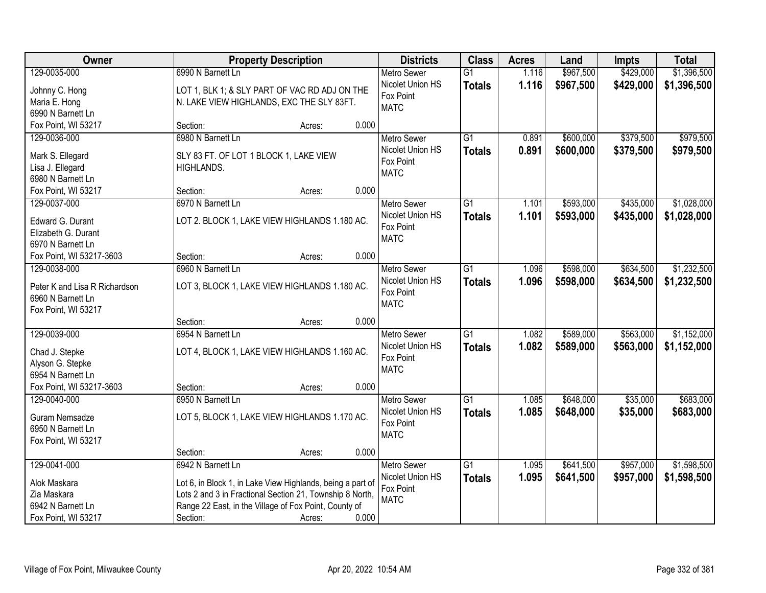| Owner                         | <b>Property Description</b>                                |                 | <b>Districts</b>   | <b>Class</b>    | <b>Acres</b> | Land      | <b>Impts</b> | <b>Total</b> |
|-------------------------------|------------------------------------------------------------|-----------------|--------------------|-----------------|--------------|-----------|--------------|--------------|
| 129-0035-000                  | 6990 N Barnett Ln                                          |                 | <b>Metro Sewer</b> | $\overline{G1}$ | 1.116        | \$967,500 | \$429,000    | \$1,396,500  |
| Johnny C. Hong                | LOT 1, BLK 1; & SLY PART OF VAC RD ADJ ON THE              |                 | Nicolet Union HS   | <b>Totals</b>   | 1.116        | \$967,500 | \$429,000    | \$1,396,500  |
| Maria E. Hong                 | N. LAKE VIEW HIGHLANDS, EXC THE SLY 83FT.                  |                 | Fox Point          |                 |              |           |              |              |
| 6990 N Barnett Ln             |                                                            |                 | <b>MATC</b>        |                 |              |           |              |              |
| Fox Point, WI 53217           | Section:                                                   | 0.000<br>Acres: |                    |                 |              |           |              |              |
| 129-0036-000                  | 6980 N Barnett Ln                                          |                 | <b>Metro Sewer</b> | $\overline{G1}$ | 0.891        | \$600,000 | \$379,500    | \$979,500    |
| Mark S. Ellegard              | SLY 83 FT. OF LOT 1 BLOCK 1, LAKE VIEW                     |                 | Nicolet Union HS   | <b>Totals</b>   | 0.891        | \$600,000 | \$379,500    | \$979,500    |
| Lisa J. Ellegard              | HIGHLANDS.                                                 |                 | Fox Point          |                 |              |           |              |              |
| 6980 N Barnett Ln             |                                                            |                 | <b>MATC</b>        |                 |              |           |              |              |
| Fox Point, WI 53217           | Section:                                                   | 0.000<br>Acres: |                    |                 |              |           |              |              |
| 129-0037-000                  | 6970 N Barnett Ln                                          |                 | Metro Sewer        | $\overline{G1}$ | 1.101        | \$593,000 | \$435,000    | \$1,028,000  |
|                               |                                                            |                 | Nicolet Union HS   | <b>Totals</b>   | 1.101        | \$593,000 | \$435,000    | \$1,028,000  |
| Edward G. Durant              | LOT 2. BLOCK 1, LAKE VIEW HIGHLANDS 1.180 AC.              |                 | Fox Point          |                 |              |           |              |              |
| Elizabeth G. Durant           |                                                            |                 | <b>MATC</b>        |                 |              |           |              |              |
| 6970 N Barnett Ln             |                                                            |                 |                    |                 |              |           |              |              |
| Fox Point, WI 53217-3603      | Section:                                                   | 0.000<br>Acres: |                    |                 |              |           |              |              |
| 129-0038-000                  | 6960 N Barnett Ln                                          |                 | <b>Metro Sewer</b> | $\overline{G1}$ | 1.096        | \$598,000 | \$634,500    | \$1,232,500  |
| Peter K and Lisa R Richardson | LOT 3, BLOCK 1, LAKE VIEW HIGHLANDS 1.180 AC.              |                 | Nicolet Union HS   | <b>Totals</b>   | 1.096        | \$598,000 | \$634,500    | \$1,232,500  |
| 6960 N Barnett Ln             |                                                            |                 | Fox Point          |                 |              |           |              |              |
| Fox Point, WI 53217           |                                                            |                 | <b>MATC</b>        |                 |              |           |              |              |
|                               | Section:                                                   | 0.000<br>Acres: |                    |                 |              |           |              |              |
| 129-0039-000                  | 6954 N Barnett Ln                                          |                 | <b>Metro Sewer</b> | $\overline{G1}$ | 1.082        | \$589,000 | \$563,000    | \$1,152,000  |
| Chad J. Stepke                | LOT 4, BLOCK 1, LAKE VIEW HIGHLANDS 1.160 AC.              |                 | Nicolet Union HS   | <b>Totals</b>   | 1.082        | \$589,000 | \$563,000    | \$1,152,000  |
| Alyson G. Stepke              |                                                            |                 | Fox Point          |                 |              |           |              |              |
| 6954 N Barnett Ln             |                                                            |                 | <b>MATC</b>        |                 |              |           |              |              |
| Fox Point, WI 53217-3603      | Section:                                                   | 0.000<br>Acres: |                    |                 |              |           |              |              |
| 129-0040-000                  | 6950 N Barnett Ln                                          |                 | Metro Sewer        | $\overline{G1}$ | 1.085        | \$648,000 | \$35,000     | \$683,000    |
|                               |                                                            |                 | Nicolet Union HS   | <b>Totals</b>   | 1.085        | \$648,000 | \$35,000     | \$683,000    |
| Guram Nemsadze                | LOT 5, BLOCK 1, LAKE VIEW HIGHLANDS 1.170 AC.              |                 | Fox Point          |                 |              |           |              |              |
| 6950 N Barnett Ln             |                                                            |                 | <b>MATC</b>        |                 |              |           |              |              |
| Fox Point, WI 53217           |                                                            |                 |                    |                 |              |           |              |              |
|                               | Section:                                                   | 0.000<br>Acres: |                    |                 |              |           |              |              |
| 129-0041-000                  | 6942 N Barnett Ln                                          |                 | Metro Sewer        | $\overline{G1}$ | 1.095        | \$641,500 | \$957,000    | \$1,598,500  |
| Alok Maskara                  | Lot 6, in Block 1, in Lake View Highlands, being a part of |                 | Nicolet Union HS   | <b>Totals</b>   | 1.095        | \$641,500 | \$957,000    | \$1,598,500  |
| Zia Maskara                   | Lots 2 and 3 in Fractional Section 21, Township 8 North,   |                 | Fox Point          |                 |              |           |              |              |
| 6942 N Barnett Ln             | Range 22 East, in the Village of Fox Point, County of      |                 | <b>MATC</b>        |                 |              |           |              |              |
| Fox Point, WI 53217           | Section:                                                   | 0.000<br>Acres: |                    |                 |              |           |              |              |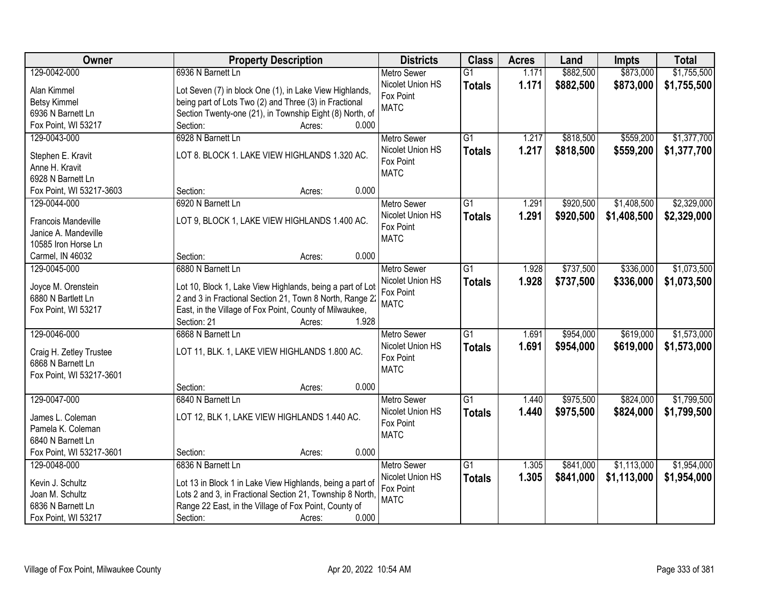| \$1,755,500<br>129-0042-000<br>6936 N Barnett Ln<br>\$882,500<br>\$873,000<br><b>Metro Sewer</b><br>$\overline{G1}$<br>1.171<br>Nicolet Union HS<br>1.171<br>\$882,500<br>\$873,000<br>\$1,755,500<br><b>Totals</b><br>Alan Kimmel<br>Lot Seven (7) in block One (1), in Lake View Highlands,<br>Fox Point<br>being part of Lots Two (2) and Three (3) in Fractional<br><b>Betsy Kimmel</b><br><b>MATC</b><br>Section Twenty-one (21), in Township Eight (8) North, of<br>6936 N Barnett Ln<br>0.000<br>Fox Point, WI 53217<br>Section:<br>Acres:<br>6928 N Barnett Ln<br>129-0043-000<br>$\overline{G1}$<br>\$818,500<br>\$559,200<br><b>Metro Sewer</b><br>1.217<br>Nicolet Union HS<br>1.217<br>\$818,500<br>\$559,200<br><b>Totals</b><br>LOT 8. BLOCK 1. LAKE VIEW HIGHLANDS 1.320 AC.<br>Stephen E. Kravit<br>Fox Point<br>Anne H. Kravit<br><b>MATC</b><br>6928 N Barnett Ln<br>0.000<br>Fox Point, WI 53217-3603<br>Section:<br>Acres:<br>6920 N Barnett Ln<br>129-0044-000<br><b>Metro Sewer</b><br>$\overline{G1}$<br>\$920,500<br>\$1,408,500<br>1.291<br>Nicolet Union HS<br>1.291<br>\$920,500<br>\$1,408,500<br><b>Totals</b><br>LOT 9, BLOCK 1, LAKE VIEW HIGHLANDS 1.400 AC.<br><b>Francois Mandeville</b><br>Fox Point<br>Janice A. Mandeville<br><b>MATC</b><br>10585 Iron Horse Ln<br>0.000<br>Section:<br>Carmel, IN 46032<br>Acres:<br>129-0045-000<br>6880 N Barnett Ln<br>$\overline{G1}$<br>\$737,500<br>\$336,000<br><b>Metro Sewer</b><br>1.928<br>Nicolet Union HS<br>1.928<br>\$737,500<br>\$336,000<br><b>Totals</b><br>Joyce M. Orenstein<br>Lot 10, Block 1, Lake View Highlands, being a part of Lot<br>Fox Point<br>6880 N Bartlett Ln<br>2 and 3 in Fractional Section 21, Town 8 North, Range 22<br><b>MATC</b><br>East, in the Village of Fox Point, County of Milwaukee,<br>Fox Point, WI 53217<br>Section: 21<br>1.928<br>Acres:<br>129-0046-000<br>$\overline{G1}$<br>1.691<br>\$954,000<br>\$619,000<br>6868 N Barnett Ln<br><b>Metro Sewer</b><br>\$954,000<br>Nicolet Union HS<br><b>Totals</b><br>1.691<br>\$619,000<br>LOT 11, BLK. 1, LAKE VIEW HIGHLANDS 1.800 AC.<br>Craig H. Zetley Trustee<br>Fox Point<br>6868 N Barnett Ln<br><b>MATC</b><br>Fox Point, WI 53217-3601<br>0.000<br>Section:<br>Acres:<br>\$824,000<br>129-0047-000<br>6840 N Barnett Ln<br>$\overline{G1}$<br>\$975,500<br>Metro Sewer<br>1.440<br>Nicolet Union HS<br>\$975,500<br>\$824,000<br>1.440<br><b>Totals</b><br>LOT 12, BLK 1, LAKE VIEW HIGHLANDS 1.440 AC.<br>James L. Coleman<br>Fox Point<br>Pamela K. Coleman<br><b>MATC</b><br>6840 N Barnett Ln<br>Fox Point, WI 53217-3601<br>0.000<br>Section:<br>Acres:<br>6836 N Barnett Ln<br>$\overline{G1}$<br>\$841,000<br>\$1,113,000<br>129-0048-000<br><b>Metro Sewer</b><br>1.305 | Owner            | <b>Property Description</b>                               | <b>Districts</b> | <b>Class</b>  | <b>Acres</b> | Land      | <b>Impts</b> | <b>Total</b> |
|-------------------------------------------------------------------------------------------------------------------------------------------------------------------------------------------------------------------------------------------------------------------------------------------------------------------------------------------------------------------------------------------------------------------------------------------------------------------------------------------------------------------------------------------------------------------------------------------------------------------------------------------------------------------------------------------------------------------------------------------------------------------------------------------------------------------------------------------------------------------------------------------------------------------------------------------------------------------------------------------------------------------------------------------------------------------------------------------------------------------------------------------------------------------------------------------------------------------------------------------------------------------------------------------------------------------------------------------------------------------------------------------------------------------------------------------------------------------------------------------------------------------------------------------------------------------------------------------------------------------------------------------------------------------------------------------------------------------------------------------------------------------------------------------------------------------------------------------------------------------------------------------------------------------------------------------------------------------------------------------------------------------------------------------------------------------------------------------------------------------------------------------------------------------------------------------------------------------------------------------------------------------------------------------------------------------------------------------------------------------------------------------------------------------------------------------------------------------------------------------------------------------------------------------------------------------------------------------------------------------------------------------------------------------------------------------------------------------------------------------------------------------|------------------|-----------------------------------------------------------|------------------|---------------|--------------|-----------|--------------|--------------|
|                                                                                                                                                                                                                                                                                                                                                                                                                                                                                                                                                                                                                                                                                                                                                                                                                                                                                                                                                                                                                                                                                                                                                                                                                                                                                                                                                                                                                                                                                                                                                                                                                                                                                                                                                                                                                                                                                                                                                                                                                                                                                                                                                                                                                                                                                                                                                                                                                                                                                                                                                                                                                                                                                                                                                                   |                  |                                                           |                  |               |              |           |              |              |
| \$1,377,700<br>\$1,377,700<br>\$2,329,000<br>\$2,329,000<br>\$1,073,500<br>\$1,073,500<br>\$1,573,000<br>\$1,954,000                                                                                                                                                                                                                                                                                                                                                                                                                                                                                                                                                                                                                                                                                                                                                                                                                                                                                                                                                                                                                                                                                                                                                                                                                                                                                                                                                                                                                                                                                                                                                                                                                                                                                                                                                                                                                                                                                                                                                                                                                                                                                                                                                                                                                                                                                                                                                                                                                                                                                                                                                                                                                                              |                  |                                                           |                  |               |              |           |              |              |
|                                                                                                                                                                                                                                                                                                                                                                                                                                                                                                                                                                                                                                                                                                                                                                                                                                                                                                                                                                                                                                                                                                                                                                                                                                                                                                                                                                                                                                                                                                                                                                                                                                                                                                                                                                                                                                                                                                                                                                                                                                                                                                                                                                                                                                                                                                                                                                                                                                                                                                                                                                                                                                                                                                                                                                   |                  |                                                           |                  |               |              |           |              |              |
|                                                                                                                                                                                                                                                                                                                                                                                                                                                                                                                                                                                                                                                                                                                                                                                                                                                                                                                                                                                                                                                                                                                                                                                                                                                                                                                                                                                                                                                                                                                                                                                                                                                                                                                                                                                                                                                                                                                                                                                                                                                                                                                                                                                                                                                                                                                                                                                                                                                                                                                                                                                                                                                                                                                                                                   |                  |                                                           |                  |               |              |           |              |              |
|                                                                                                                                                                                                                                                                                                                                                                                                                                                                                                                                                                                                                                                                                                                                                                                                                                                                                                                                                                                                                                                                                                                                                                                                                                                                                                                                                                                                                                                                                                                                                                                                                                                                                                                                                                                                                                                                                                                                                                                                                                                                                                                                                                                                                                                                                                                                                                                                                                                                                                                                                                                                                                                                                                                                                                   |                  |                                                           |                  |               |              |           |              |              |
|                                                                                                                                                                                                                                                                                                                                                                                                                                                                                                                                                                                                                                                                                                                                                                                                                                                                                                                                                                                                                                                                                                                                                                                                                                                                                                                                                                                                                                                                                                                                                                                                                                                                                                                                                                                                                                                                                                                                                                                                                                                                                                                                                                                                                                                                                                                                                                                                                                                                                                                                                                                                                                                                                                                                                                   |                  |                                                           |                  |               |              |           |              |              |
|                                                                                                                                                                                                                                                                                                                                                                                                                                                                                                                                                                                                                                                                                                                                                                                                                                                                                                                                                                                                                                                                                                                                                                                                                                                                                                                                                                                                                                                                                                                                                                                                                                                                                                                                                                                                                                                                                                                                                                                                                                                                                                                                                                                                                                                                                                                                                                                                                                                                                                                                                                                                                                                                                                                                                                   |                  |                                                           |                  |               |              |           |              |              |
|                                                                                                                                                                                                                                                                                                                                                                                                                                                                                                                                                                                                                                                                                                                                                                                                                                                                                                                                                                                                                                                                                                                                                                                                                                                                                                                                                                                                                                                                                                                                                                                                                                                                                                                                                                                                                                                                                                                                                                                                                                                                                                                                                                                                                                                                                                                                                                                                                                                                                                                                                                                                                                                                                                                                                                   |                  |                                                           |                  |               |              |           |              |              |
|                                                                                                                                                                                                                                                                                                                                                                                                                                                                                                                                                                                                                                                                                                                                                                                                                                                                                                                                                                                                                                                                                                                                                                                                                                                                                                                                                                                                                                                                                                                                                                                                                                                                                                                                                                                                                                                                                                                                                                                                                                                                                                                                                                                                                                                                                                                                                                                                                                                                                                                                                                                                                                                                                                                                                                   |                  |                                                           |                  |               |              |           |              |              |
|                                                                                                                                                                                                                                                                                                                                                                                                                                                                                                                                                                                                                                                                                                                                                                                                                                                                                                                                                                                                                                                                                                                                                                                                                                                                                                                                                                                                                                                                                                                                                                                                                                                                                                                                                                                                                                                                                                                                                                                                                                                                                                                                                                                                                                                                                                                                                                                                                                                                                                                                                                                                                                                                                                                                                                   |                  |                                                           |                  |               |              |           |              |              |
|                                                                                                                                                                                                                                                                                                                                                                                                                                                                                                                                                                                                                                                                                                                                                                                                                                                                                                                                                                                                                                                                                                                                                                                                                                                                                                                                                                                                                                                                                                                                                                                                                                                                                                                                                                                                                                                                                                                                                                                                                                                                                                                                                                                                                                                                                                                                                                                                                                                                                                                                                                                                                                                                                                                                                                   |                  |                                                           |                  |               |              |           |              |              |
|                                                                                                                                                                                                                                                                                                                                                                                                                                                                                                                                                                                                                                                                                                                                                                                                                                                                                                                                                                                                                                                                                                                                                                                                                                                                                                                                                                                                                                                                                                                                                                                                                                                                                                                                                                                                                                                                                                                                                                                                                                                                                                                                                                                                                                                                                                                                                                                                                                                                                                                                                                                                                                                                                                                                                                   |                  |                                                           |                  |               |              |           |              |              |
|                                                                                                                                                                                                                                                                                                                                                                                                                                                                                                                                                                                                                                                                                                                                                                                                                                                                                                                                                                                                                                                                                                                                                                                                                                                                                                                                                                                                                                                                                                                                                                                                                                                                                                                                                                                                                                                                                                                                                                                                                                                                                                                                                                                                                                                                                                                                                                                                                                                                                                                                                                                                                                                                                                                                                                   |                  |                                                           |                  |               |              |           |              |              |
|                                                                                                                                                                                                                                                                                                                                                                                                                                                                                                                                                                                                                                                                                                                                                                                                                                                                                                                                                                                                                                                                                                                                                                                                                                                                                                                                                                                                                                                                                                                                                                                                                                                                                                                                                                                                                                                                                                                                                                                                                                                                                                                                                                                                                                                                                                                                                                                                                                                                                                                                                                                                                                                                                                                                                                   |                  |                                                           |                  |               |              |           |              |              |
|                                                                                                                                                                                                                                                                                                                                                                                                                                                                                                                                                                                                                                                                                                                                                                                                                                                                                                                                                                                                                                                                                                                                                                                                                                                                                                                                                                                                                                                                                                                                                                                                                                                                                                                                                                                                                                                                                                                                                                                                                                                                                                                                                                                                                                                                                                                                                                                                                                                                                                                                                                                                                                                                                                                                                                   |                  |                                                           |                  |               |              |           |              |              |
| \$1,573,000<br>\$1,799,500<br>\$1,799,500                                                                                                                                                                                                                                                                                                                                                                                                                                                                                                                                                                                                                                                                                                                                                                                                                                                                                                                                                                                                                                                                                                                                                                                                                                                                                                                                                                                                                                                                                                                                                                                                                                                                                                                                                                                                                                                                                                                                                                                                                                                                                                                                                                                                                                                                                                                                                                                                                                                                                                                                                                                                                                                                                                                         |                  |                                                           |                  |               |              |           |              |              |
|                                                                                                                                                                                                                                                                                                                                                                                                                                                                                                                                                                                                                                                                                                                                                                                                                                                                                                                                                                                                                                                                                                                                                                                                                                                                                                                                                                                                                                                                                                                                                                                                                                                                                                                                                                                                                                                                                                                                                                                                                                                                                                                                                                                                                                                                                                                                                                                                                                                                                                                                                                                                                                                                                                                                                                   |                  |                                                           |                  |               |              |           |              |              |
|                                                                                                                                                                                                                                                                                                                                                                                                                                                                                                                                                                                                                                                                                                                                                                                                                                                                                                                                                                                                                                                                                                                                                                                                                                                                                                                                                                                                                                                                                                                                                                                                                                                                                                                                                                                                                                                                                                                                                                                                                                                                                                                                                                                                                                                                                                                                                                                                                                                                                                                                                                                                                                                                                                                                                                   |                  |                                                           |                  |               |              |           |              |              |
|                                                                                                                                                                                                                                                                                                                                                                                                                                                                                                                                                                                                                                                                                                                                                                                                                                                                                                                                                                                                                                                                                                                                                                                                                                                                                                                                                                                                                                                                                                                                                                                                                                                                                                                                                                                                                                                                                                                                                                                                                                                                                                                                                                                                                                                                                                                                                                                                                                                                                                                                                                                                                                                                                                                                                                   |                  |                                                           |                  |               |              |           |              |              |
|                                                                                                                                                                                                                                                                                                                                                                                                                                                                                                                                                                                                                                                                                                                                                                                                                                                                                                                                                                                                                                                                                                                                                                                                                                                                                                                                                                                                                                                                                                                                                                                                                                                                                                                                                                                                                                                                                                                                                                                                                                                                                                                                                                                                                                                                                                                                                                                                                                                                                                                                                                                                                                                                                                                                                                   |                  |                                                           |                  |               |              |           |              |              |
|                                                                                                                                                                                                                                                                                                                                                                                                                                                                                                                                                                                                                                                                                                                                                                                                                                                                                                                                                                                                                                                                                                                                                                                                                                                                                                                                                                                                                                                                                                                                                                                                                                                                                                                                                                                                                                                                                                                                                                                                                                                                                                                                                                                                                                                                                                                                                                                                                                                                                                                                                                                                                                                                                                                                                                   |                  |                                                           |                  |               |              |           |              |              |
|                                                                                                                                                                                                                                                                                                                                                                                                                                                                                                                                                                                                                                                                                                                                                                                                                                                                                                                                                                                                                                                                                                                                                                                                                                                                                                                                                                                                                                                                                                                                                                                                                                                                                                                                                                                                                                                                                                                                                                                                                                                                                                                                                                                                                                                                                                                                                                                                                                                                                                                                                                                                                                                                                                                                                                   |                  |                                                           |                  |               |              |           |              |              |
|                                                                                                                                                                                                                                                                                                                                                                                                                                                                                                                                                                                                                                                                                                                                                                                                                                                                                                                                                                                                                                                                                                                                                                                                                                                                                                                                                                                                                                                                                                                                                                                                                                                                                                                                                                                                                                                                                                                                                                                                                                                                                                                                                                                                                                                                                                                                                                                                                                                                                                                                                                                                                                                                                                                                                                   |                  |                                                           |                  |               |              |           |              |              |
|                                                                                                                                                                                                                                                                                                                                                                                                                                                                                                                                                                                                                                                                                                                                                                                                                                                                                                                                                                                                                                                                                                                                                                                                                                                                                                                                                                                                                                                                                                                                                                                                                                                                                                                                                                                                                                                                                                                                                                                                                                                                                                                                                                                                                                                                                                                                                                                                                                                                                                                                                                                                                                                                                                                                                                   |                  |                                                           |                  |               |              |           |              |              |
|                                                                                                                                                                                                                                                                                                                                                                                                                                                                                                                                                                                                                                                                                                                                                                                                                                                                                                                                                                                                                                                                                                                                                                                                                                                                                                                                                                                                                                                                                                                                                                                                                                                                                                                                                                                                                                                                                                                                                                                                                                                                                                                                                                                                                                                                                                                                                                                                                                                                                                                                                                                                                                                                                                                                                                   |                  |                                                           |                  |               |              |           |              |              |
|                                                                                                                                                                                                                                                                                                                                                                                                                                                                                                                                                                                                                                                                                                                                                                                                                                                                                                                                                                                                                                                                                                                                                                                                                                                                                                                                                                                                                                                                                                                                                                                                                                                                                                                                                                                                                                                                                                                                                                                                                                                                                                                                                                                                                                                                                                                                                                                                                                                                                                                                                                                                                                                                                                                                                                   |                  |                                                           |                  |               |              |           |              |              |
|                                                                                                                                                                                                                                                                                                                                                                                                                                                                                                                                                                                                                                                                                                                                                                                                                                                                                                                                                                                                                                                                                                                                                                                                                                                                                                                                                                                                                                                                                                                                                                                                                                                                                                                                                                                                                                                                                                                                                                                                                                                                                                                                                                                                                                                                                                                                                                                                                                                                                                                                                                                                                                                                                                                                                                   |                  |                                                           |                  |               |              |           |              |              |
|                                                                                                                                                                                                                                                                                                                                                                                                                                                                                                                                                                                                                                                                                                                                                                                                                                                                                                                                                                                                                                                                                                                                                                                                                                                                                                                                                                                                                                                                                                                                                                                                                                                                                                                                                                                                                                                                                                                                                                                                                                                                                                                                                                                                                                                                                                                                                                                                                                                                                                                                                                                                                                                                                                                                                                   |                  |                                                           |                  |               |              |           |              |              |
|                                                                                                                                                                                                                                                                                                                                                                                                                                                                                                                                                                                                                                                                                                                                                                                                                                                                                                                                                                                                                                                                                                                                                                                                                                                                                                                                                                                                                                                                                                                                                                                                                                                                                                                                                                                                                                                                                                                                                                                                                                                                                                                                                                                                                                                                                                                                                                                                                                                                                                                                                                                                                                                                                                                                                                   |                  |                                                           |                  |               |              |           |              |              |
|                                                                                                                                                                                                                                                                                                                                                                                                                                                                                                                                                                                                                                                                                                                                                                                                                                                                                                                                                                                                                                                                                                                                                                                                                                                                                                                                                                                                                                                                                                                                                                                                                                                                                                                                                                                                                                                                                                                                                                                                                                                                                                                                                                                                                                                                                                                                                                                                                                                                                                                                                                                                                                                                                                                                                                   |                  |                                                           |                  |               |              |           |              |              |
|                                                                                                                                                                                                                                                                                                                                                                                                                                                                                                                                                                                                                                                                                                                                                                                                                                                                                                                                                                                                                                                                                                                                                                                                                                                                                                                                                                                                                                                                                                                                                                                                                                                                                                                                                                                                                                                                                                                                                                                                                                                                                                                                                                                                                                                                                                                                                                                                                                                                                                                                                                                                                                                                                                                                                                   |                  |                                                           |                  |               |              |           |              |              |
|                                                                                                                                                                                                                                                                                                                                                                                                                                                                                                                                                                                                                                                                                                                                                                                                                                                                                                                                                                                                                                                                                                                                                                                                                                                                                                                                                                                                                                                                                                                                                                                                                                                                                                                                                                                                                                                                                                                                                                                                                                                                                                                                                                                                                                                                                                                                                                                                                                                                                                                                                                                                                                                                                                                                                                   |                  |                                                           |                  |               |              |           |              |              |
|                                                                                                                                                                                                                                                                                                                                                                                                                                                                                                                                                                                                                                                                                                                                                                                                                                                                                                                                                                                                                                                                                                                                                                                                                                                                                                                                                                                                                                                                                                                                                                                                                                                                                                                                                                                                                                                                                                                                                                                                                                                                                                                                                                                                                                                                                                                                                                                                                                                                                                                                                                                                                                                                                                                                                                   |                  |                                                           |                  |               |              |           |              |              |
|                                                                                                                                                                                                                                                                                                                                                                                                                                                                                                                                                                                                                                                                                                                                                                                                                                                                                                                                                                                                                                                                                                                                                                                                                                                                                                                                                                                                                                                                                                                                                                                                                                                                                                                                                                                                                                                                                                                                                                                                                                                                                                                                                                                                                                                                                                                                                                                                                                                                                                                                                                                                                                                                                                                                                                   |                  |                                                           |                  |               |              |           |              |              |
|                                                                                                                                                                                                                                                                                                                                                                                                                                                                                                                                                                                                                                                                                                                                                                                                                                                                                                                                                                                                                                                                                                                                                                                                                                                                                                                                                                                                                                                                                                                                                                                                                                                                                                                                                                                                                                                                                                                                                                                                                                                                                                                                                                                                                                                                                                                                                                                                                                                                                                                                                                                                                                                                                                                                                                   | Kevin J. Schultz | Lot 13 in Block 1 in Lake View Highlands, being a part of | Nicolet Union HS | <b>Totals</b> | 1.305        | \$841,000 | \$1,113,000  | \$1,954,000  |
| Fox Point<br>Lots 2 and 3, in Fractional Section 21, Township 8 North,<br>Joan M. Schultz                                                                                                                                                                                                                                                                                                                                                                                                                                                                                                                                                                                                                                                                                                                                                                                                                                                                                                                                                                                                                                                                                                                                                                                                                                                                                                                                                                                                                                                                                                                                                                                                                                                                                                                                                                                                                                                                                                                                                                                                                                                                                                                                                                                                                                                                                                                                                                                                                                                                                                                                                                                                                                                                         |                  |                                                           |                  |               |              |           |              |              |
| <b>MATC</b><br>Range 22 East, in the Village of Fox Point, County of<br>6836 N Barnett Ln                                                                                                                                                                                                                                                                                                                                                                                                                                                                                                                                                                                                                                                                                                                                                                                                                                                                                                                                                                                                                                                                                                                                                                                                                                                                                                                                                                                                                                                                                                                                                                                                                                                                                                                                                                                                                                                                                                                                                                                                                                                                                                                                                                                                                                                                                                                                                                                                                                                                                                                                                                                                                                                                         |                  |                                                           |                  |               |              |           |              |              |
| 0.000<br>Fox Point, WI 53217<br>Section:<br>Acres:                                                                                                                                                                                                                                                                                                                                                                                                                                                                                                                                                                                                                                                                                                                                                                                                                                                                                                                                                                                                                                                                                                                                                                                                                                                                                                                                                                                                                                                                                                                                                                                                                                                                                                                                                                                                                                                                                                                                                                                                                                                                                                                                                                                                                                                                                                                                                                                                                                                                                                                                                                                                                                                                                                                |                  |                                                           |                  |               |              |           |              |              |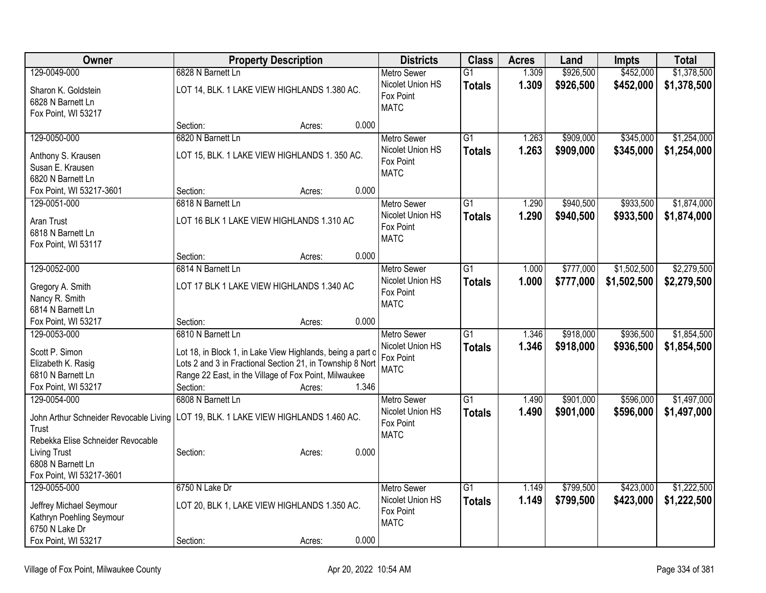| Owner                                  | <b>Property Description</b>                                | <b>Districts</b>   | <b>Class</b>    | <b>Acres</b> | Land      | <b>Impts</b> | <b>Total</b> |
|----------------------------------------|------------------------------------------------------------|--------------------|-----------------|--------------|-----------|--------------|--------------|
| 129-0049-000                           | 6828 N Barnett Ln                                          | Metro Sewer        | $\overline{G1}$ | 1.309        | \$926,500 | \$452,000    | \$1,378,500  |
| Sharon K. Goldstein                    | LOT 14, BLK. 1 LAKE VIEW HIGHLANDS 1.380 AC.               | Nicolet Union HS   | <b>Totals</b>   | 1.309        | \$926,500 | \$452,000    | \$1,378,500  |
| 6828 N Barnett Ln                      |                                                            | Fox Point          |                 |              |           |              |              |
| Fox Point, WI 53217                    |                                                            | <b>MATC</b>        |                 |              |           |              |              |
|                                        | 0.000<br>Section:<br>Acres:                                |                    |                 |              |           |              |              |
| 129-0050-000                           | 6820 N Barnett Ln                                          | Metro Sewer        | $\overline{G1}$ | 1.263        | \$909,000 | \$345,000    | \$1,254,000  |
| Anthony S. Krausen                     | LOT 15, BLK. 1 LAKE VIEW HIGHLANDS 1. 350 AC.              | Nicolet Union HS   | <b>Totals</b>   | 1.263        | \$909,000 | \$345,000    | \$1,254,000  |
| Susan E. Krausen                       |                                                            | Fox Point          |                 |              |           |              |              |
| 6820 N Barnett Ln                      |                                                            | <b>MATC</b>        |                 |              |           |              |              |
| Fox Point, WI 53217-3601               | 0.000<br>Section:<br>Acres:                                |                    |                 |              |           |              |              |
| 129-0051-000                           | 6818 N Barnett Ln                                          | <b>Metro Sewer</b> | $\overline{G1}$ | 1.290        | \$940,500 | \$933,500    | \$1,874,000  |
|                                        |                                                            | Nicolet Union HS   | <b>Totals</b>   | 1.290        | \$940,500 | \$933,500    | \$1,874,000  |
| Aran Trust                             | LOT 16 BLK 1 LAKE VIEW HIGHLANDS 1.310 AC                  | Fox Point          |                 |              |           |              |              |
| 6818 N Barnett Ln                      |                                                            | <b>MATC</b>        |                 |              |           |              |              |
| Fox Point, WI 53117                    |                                                            |                    |                 |              |           |              |              |
|                                        | 0.000<br>Section:<br>Acres:                                |                    |                 |              |           |              |              |
| 129-0052-000                           | 6814 N Barnett Ln                                          | <b>Metro Sewer</b> | $\overline{G1}$ | 1.000        | \$777,000 | \$1,502,500  | \$2,279,500  |
| Gregory A. Smith                       | LOT 17 BLK 1 LAKE VIEW HIGHLANDS 1.340 AC                  | Nicolet Union HS   | <b>Totals</b>   | 1.000        | \$777,000 | \$1,502,500  | \$2,279,500  |
| Nancy R. Smith                         |                                                            | Fox Point          |                 |              |           |              |              |
| 6814 N Barnett Ln                      |                                                            | <b>MATC</b>        |                 |              |           |              |              |
| Fox Point, WI 53217                    | 0.000<br>Section:<br>Acres:                                |                    |                 |              |           |              |              |
| 129-0053-000                           | 6810 N Barnett Ln                                          | <b>Metro Sewer</b> | $\overline{G1}$ | 1.346        | \$918,000 | \$936,500    | \$1,854,500  |
|                                        |                                                            | Nicolet Union HS   | <b>Totals</b>   | 1.346        | \$918,000 | \$936,500    | \$1,854,500  |
| Scott P. Simon                         | Lot 18, in Block 1, in Lake View Highlands, being a part o | Fox Point          |                 |              |           |              |              |
| Elizabeth K. Rasig                     | Lots 2 and 3 in Fractional Section 21, in Township 8 Nort  | <b>MATC</b>        |                 |              |           |              |              |
| 6810 N Barnett Ln                      | Range 22 East, in the Village of Fox Point, Milwaukee      |                    |                 |              |           |              |              |
| Fox Point, WI 53217                    | 1.346<br>Section:<br>Acres:                                |                    |                 |              |           |              |              |
| 129-0054-000                           | 6808 N Barnett Ln                                          | <b>Metro Sewer</b> | $\overline{G1}$ | 1.490        | \$901,000 | \$596,000    | \$1,497,000  |
| John Arthur Schneider Revocable Living | LOT 19, BLK. 1 LAKE VIEW HIGHLANDS 1.460 AC.               | Nicolet Union HS   | <b>Totals</b>   | 1.490        | \$901,000 | \$596,000    | \$1,497,000  |
| Trust                                  |                                                            | Fox Point          |                 |              |           |              |              |
| Rebekka Elise Schneider Revocable      |                                                            | <b>MATC</b>        |                 |              |           |              |              |
| <b>Living Trust</b>                    | 0.000<br>Section:<br>Acres:                                |                    |                 |              |           |              |              |
| 6808 N Barnett Ln                      |                                                            |                    |                 |              |           |              |              |
| Fox Point, WI 53217-3601               |                                                            |                    |                 |              |           |              |              |
| 129-0055-000                           | 6750 N Lake Dr                                             | <b>Metro Sewer</b> | $\overline{G1}$ | 1.149        | \$799,500 | \$423,000    | \$1,222,500  |
| Jeffrey Michael Seymour                | LOT 20, BLK 1, LAKE VIEW HIGHLANDS 1.350 AC.               | Nicolet Union HS   | <b>Totals</b>   | 1.149        | \$799,500 | \$423,000    | \$1,222,500  |
| Kathryn Poehling Seymour               |                                                            | Fox Point          |                 |              |           |              |              |
| 6750 N Lake Dr                         |                                                            | <b>MATC</b>        |                 |              |           |              |              |
| Fox Point, WI 53217                    | 0.000<br>Section:<br>Acres:                                |                    |                 |              |           |              |              |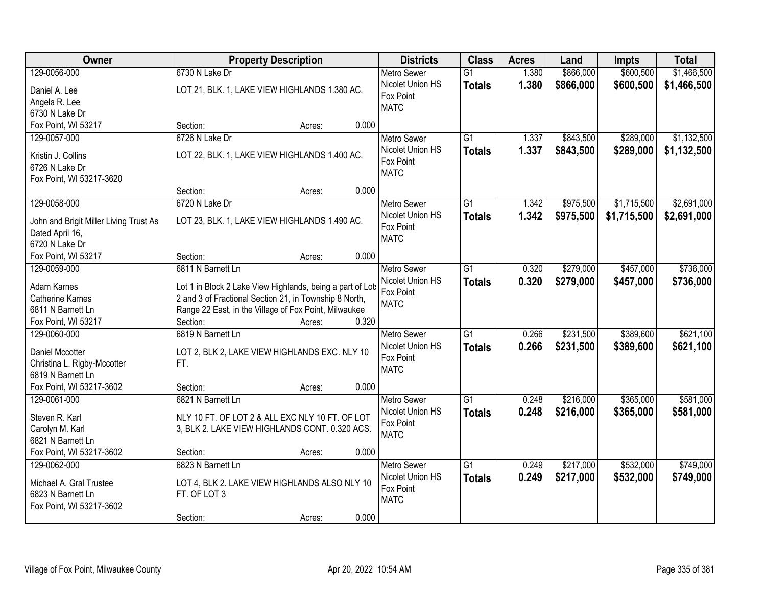| Owner                                  | <b>Property Description</b>                                | <b>Districts</b>   | <b>Class</b>    | <b>Acres</b> | Land      | <b>Impts</b> | <b>Total</b> |
|----------------------------------------|------------------------------------------------------------|--------------------|-----------------|--------------|-----------|--------------|--------------|
| 129-0056-000                           | 6730 N Lake Dr                                             | <b>Metro Sewer</b> | $\overline{G1}$ | 1.380        | \$866,000 | \$600,500    | \$1,466,500  |
| Daniel A. Lee                          | LOT 21, BLK. 1, LAKE VIEW HIGHLANDS 1.380 AC.              | Nicolet Union HS   | <b>Totals</b>   | 1.380        | \$866,000 | \$600,500    | \$1,466,500  |
| Angela R. Lee                          |                                                            | Fox Point          |                 |              |           |              |              |
| 6730 N Lake Dr                         |                                                            | <b>MATC</b>        |                 |              |           |              |              |
| Fox Point, WI 53217                    | 0.000<br>Section:<br>Acres:                                |                    |                 |              |           |              |              |
| 129-0057-000                           | 6726 N Lake Dr                                             | <b>Metro Sewer</b> | $\overline{G1}$ | 1.337        | \$843,500 | \$289,000    | \$1,132,500  |
|                                        |                                                            | Nicolet Union HS   | <b>Totals</b>   | 1.337        | \$843,500 | \$289,000    | \$1,132,500  |
| Kristin J. Collins                     | LOT 22, BLK. 1, LAKE VIEW HIGHLANDS 1.400 AC.              | Fox Point          |                 |              |           |              |              |
| 6726 N Lake Dr                         |                                                            | <b>MATC</b>        |                 |              |           |              |              |
| Fox Point, WI 53217-3620               |                                                            |                    |                 |              |           |              |              |
|                                        | 0.000<br>Section:<br>Acres:                                |                    |                 |              |           |              |              |
| 129-0058-000                           | 6720 N Lake Dr                                             | <b>Metro Sewer</b> | $\overline{G1}$ | 1.342        | \$975,500 | \$1,715,500  | \$2,691,000  |
| John and Brigit Miller Living Trust As | LOT 23, BLK. 1, LAKE VIEW HIGHLANDS 1.490 AC.              | Nicolet Union HS   | <b>Totals</b>   | 1.342        | \$975,500 | \$1,715,500  | \$2,691,000  |
| Dated April 16,                        |                                                            | Fox Point          |                 |              |           |              |              |
| 6720 N Lake Dr                         |                                                            | <b>MATC</b>        |                 |              |           |              |              |
| Fox Point, WI 53217                    | 0.000<br>Section:<br>Acres:                                |                    |                 |              |           |              |              |
| 129-0059-000                           | 6811 N Barnett Ln                                          | <b>Metro Sewer</b> | $\overline{G1}$ | 0.320        | \$279,000 | \$457,000    | \$736,000    |
|                                        |                                                            | Nicolet Union HS   | <b>Totals</b>   | 0.320        | \$279,000 | \$457,000    | \$736,000    |
| Adam Karnes                            | Lot 1 in Block 2 Lake View Highlands, being a part of Lots | Fox Point          |                 |              |           |              |              |
| <b>Catherine Karnes</b>                | 2 and 3 of Fractional Section 21, in Township 8 North,     | <b>MATC</b>        |                 |              |           |              |              |
| 6811 N Barnett Ln                      | Range 22 East, in the Village of Fox Point, Milwaukee      |                    |                 |              |           |              |              |
| Fox Point, WI 53217                    | 0.320<br>Section:<br>Acres:                                |                    |                 |              |           |              |              |
| 129-0060-000                           | 6819 N Barnett Ln                                          | <b>Metro Sewer</b> | $\overline{G1}$ | 0.266        | \$231,500 | \$389,600    | \$621,100    |
| <b>Daniel Mccotter</b>                 | LOT 2, BLK 2, LAKE VIEW HIGHLANDS EXC. NLY 10              | Nicolet Union HS   | <b>Totals</b>   | 0.266        | \$231,500 | \$389,600    | \$621,100    |
| Christina L. Rigby-Mccotter            | FT.                                                        | Fox Point          |                 |              |           |              |              |
| 6819 N Barnett Ln                      |                                                            | <b>MATC</b>        |                 |              |           |              |              |
| Fox Point, WI 53217-3602               | Section:<br>0.000<br>Acres:                                |                    |                 |              |           |              |              |
| 129-0061-000                           | 6821 N Barnett Ln                                          | <b>Metro Sewer</b> | $\overline{G1}$ | 0.248        | \$216,000 | \$365,000    | \$581,000    |
|                                        |                                                            | Nicolet Union HS   | <b>Totals</b>   | 0.248        | \$216,000 | \$365,000    | \$581,000    |
| Steven R. Karl                         | NLY 10 FT. OF LOT 2 & ALL EXC NLY 10 FT. OF LOT            | Fox Point          |                 |              |           |              |              |
| Carolyn M. Karl<br>6821 N Barnett Ln   | 3, BLK 2. LAKE VIEW HIGHLANDS CONT. 0.320 ACS.             | <b>MATC</b>        |                 |              |           |              |              |
|                                        |                                                            |                    |                 |              |           |              |              |
| Fox Point, WI 53217-3602               | 0.000<br>Section:<br>Acres:                                |                    |                 |              |           |              |              |
| 129-0062-000                           | 6823 N Barnett Ln                                          | <b>Metro Sewer</b> | $\overline{G1}$ | 0.249        | \$217,000 | \$532,000    | \$749,000    |
| Michael A. Gral Trustee                | LOT 4, BLK 2. LAKE VIEW HIGHLANDS ALSO NLY 10              | Nicolet Union HS   | <b>Totals</b>   | 0.249        | \$217,000 | \$532,000    | \$749,000    |
| 6823 N Barnett Ln                      | FT. OF LOT 3                                               | Fox Point          |                 |              |           |              |              |
| Fox Point, WI 53217-3602               |                                                            | <b>MATC</b>        |                 |              |           |              |              |
|                                        | 0.000<br>Section:<br>Acres:                                |                    |                 |              |           |              |              |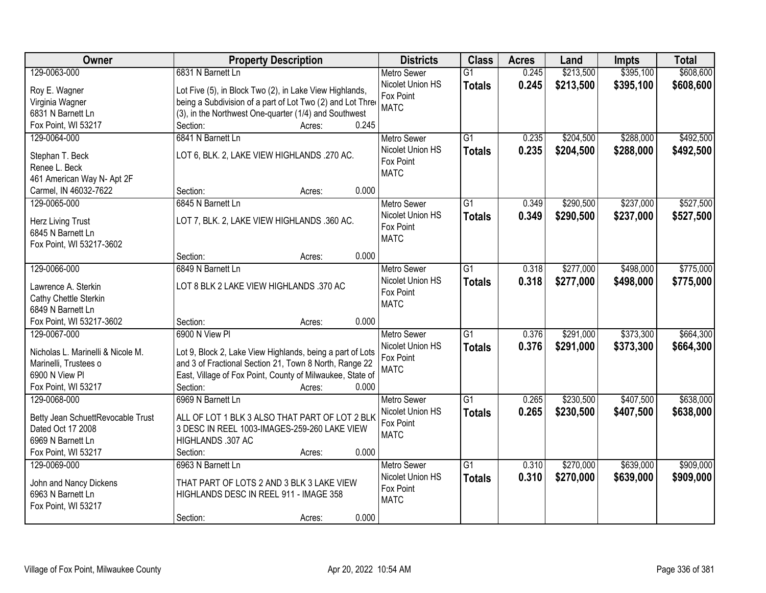| <b>Owner</b>                                  | <b>Property Description</b>                                | <b>Districts</b>              | <b>Class</b>    | <b>Acres</b> | Land      | <b>Impts</b> | <b>Total</b> |
|-----------------------------------------------|------------------------------------------------------------|-------------------------------|-----------------|--------------|-----------|--------------|--------------|
| 129-0063-000                                  | 6831 N Barnett Ln                                          | <b>Metro Sewer</b>            | $\overline{G1}$ | 0.245        | \$213,500 | \$395,100    | \$608,600    |
| Roy E. Wagner                                 | Lot Five (5), in Block Two (2), in Lake View Highlands,    | Nicolet Union HS              | <b>Totals</b>   | 0.245        | \$213,500 | \$395,100    | \$608,600    |
| Virginia Wagner                               | being a Subdivision of a part of Lot Two (2) and Lot Three | Fox Point                     |                 |              |           |              |              |
| 6831 N Barnett Ln                             | (3), in the Northwest One-quarter (1/4) and Southwest      | <b>MATC</b>                   |                 |              |           |              |              |
| Fox Point, WI 53217                           | 0.245<br>Section:<br>Acres:                                |                               |                 |              |           |              |              |
| 129-0064-000                                  | 6841 N Barnett Ln                                          | <b>Metro Sewer</b>            | $\overline{G1}$ | 0.235        | \$204,500 | \$288,000    | \$492,500    |
|                                               |                                                            | Nicolet Union HS              | <b>Totals</b>   | 0.235        | \$204,500 | \$288,000    | \$492,500    |
| Stephan T. Beck                               | LOT 6, BLK. 2, LAKE VIEW HIGHLANDS .270 AC.                | Fox Point                     |                 |              |           |              |              |
| Renee L. Beck                                 |                                                            | <b>MATC</b>                   |                 |              |           |              |              |
| 461 American Way N- Apt 2F                    |                                                            |                               |                 |              |           |              |              |
| Carmel, IN 46032-7622                         | 0.000<br>Section:<br>Acres:                                |                               |                 |              |           |              |              |
| 129-0065-000                                  | 6845 N Barnett Ln                                          | <b>Metro Sewer</b>            | G1              | 0.349        | \$290,500 | \$237,000    | \$527,500    |
| Herz Living Trust                             | LOT 7, BLK. 2, LAKE VIEW HIGHLANDS .360 AC.                | Nicolet Union HS              | <b>Totals</b>   | 0.349        | \$290,500 | \$237,000    | \$527,500    |
| 6845 N Barnett Ln                             |                                                            | Fox Point                     |                 |              |           |              |              |
| Fox Point, WI 53217-3602                      |                                                            | <b>MATC</b>                   |                 |              |           |              |              |
|                                               | 0.000<br>Section:<br>Acres:                                |                               |                 |              |           |              |              |
| 129-0066-000                                  | 6849 N Barnett Ln                                          | <b>Metro Sewer</b>            | G1              | 0.318        | \$277,000 | \$498,000    | \$775,000    |
|                                               |                                                            | Nicolet Union HS              | <b>Totals</b>   | 0.318        | \$277,000 | \$498,000    | \$775,000    |
| Lawrence A. Sterkin                           | LOT 8 BLK 2 LAKE VIEW HIGHLANDS .370 AC                    | Fox Point                     |                 |              |           |              |              |
| Cathy Chettle Sterkin                         |                                                            | <b>MATC</b>                   |                 |              |           |              |              |
| 6849 N Barnett Ln<br>Fox Point, WI 53217-3602 | 0.000                                                      |                               |                 |              |           |              |              |
| 129-0067-000                                  | Section:<br>Acres:<br>6900 N View PI                       |                               | $\overline{G1}$ | 0.376        |           | \$373,300    | \$664,300    |
|                                               |                                                            | <b>Metro Sewer</b>            |                 |              | \$291,000 |              |              |
| Nicholas L. Marinelli & Nicole M.             | Lot 9, Block 2, Lake View Highlands, being a part of Lots  | Nicolet Union HS<br>Fox Point | <b>Totals</b>   | 0.376        | \$291,000 | \$373,300    | \$664,300    |
| Marinelli, Trustees o                         | and 3 of Fractional Section 21, Town 8 North, Range 22     | <b>MATC</b>                   |                 |              |           |              |              |
| 6900 N View PI                                | East, Village of Fox Point, County of Milwaukee, State of  |                               |                 |              |           |              |              |
| Fox Point, WI 53217                           | 0.000<br>Section:<br>Acres:                                |                               |                 |              |           |              |              |
| 129-0068-000                                  | 6969 N Barnett Ln                                          | <b>Metro Sewer</b>            | $\overline{G1}$ | 0.265        | \$230,500 | \$407,500    | \$638,000    |
| Betty Jean SchuettRevocable Trust             | ALL OF LOT 1 BLK 3 ALSO THAT PART OF LOT 2 BLK             | Nicolet Union HS              | <b>Totals</b>   | 0.265        | \$230,500 | \$407,500    | \$638,000    |
| Dated Oct 17 2008                             | 3 DESC IN REEL 1003-IMAGES-259-260 LAKE VIEW               | Fox Point                     |                 |              |           |              |              |
| 6969 N Barnett Ln                             | HIGHLANDS .307 AC                                          | <b>MATC</b>                   |                 |              |           |              |              |
| Fox Point, WI 53217                           | 0.000<br>Section:<br>Acres:                                |                               |                 |              |           |              |              |
| 129-0069-000                                  | 6963 N Barnett Ln                                          | <b>Metro Sewer</b>            | $\overline{G1}$ | 0.310        | \$270,000 | \$639,000    | \$909,000    |
|                                               |                                                            | Nicolet Union HS              | <b>Totals</b>   | 0.310        | \$270,000 | \$639,000    | \$909,000    |
| John and Nancy Dickens                        | THAT PART OF LOTS 2 AND 3 BLK 3 LAKE VIEW                  | Fox Point                     |                 |              |           |              |              |
| 6963 N Barnett Ln                             | HIGHLANDS DESC IN REEL 911 - IMAGE 358                     | <b>MATC</b>                   |                 |              |           |              |              |
| Fox Point, WI 53217                           |                                                            |                               |                 |              |           |              |              |
|                                               | 0.000<br>Section:<br>Acres:                                |                               |                 |              |           |              |              |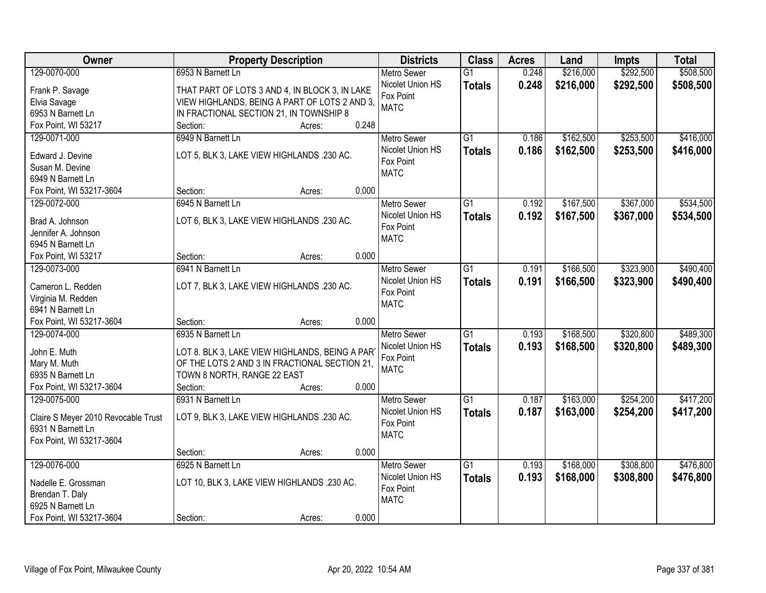| Owner                                   | <b>Property Description</b>                    | <b>Districts</b>   | <b>Class</b>    | <b>Acres</b> | Land      | <b>Impts</b> | <b>Total</b> |
|-----------------------------------------|------------------------------------------------|--------------------|-----------------|--------------|-----------|--------------|--------------|
| 129-0070-000                            | 6953 N Barnett Ln                              | <b>Metro Sewer</b> | $\overline{G1}$ | 0.248        | \$216,000 | \$292,500    | \$508,500    |
| Frank P. Savage                         | THAT PART OF LOTS 3 AND 4, IN BLOCK 3, IN LAKE | Nicolet Union HS   | <b>Totals</b>   | 0.248        | \$216,000 | \$292,500    | \$508,500    |
| Elvia Savage                            | VIEW HIGHLANDS, BEING A PART OF LOTS 2 AND 3,  | Fox Point          |                 |              |           |              |              |
| 6953 N Barnett Ln                       | IN FRACTIONAL SECTION 21, IN TOWNSHIP 8        | <b>MATC</b>        |                 |              |           |              |              |
| Fox Point, WI 53217                     | 0.248<br>Section:<br>Acres:                    |                    |                 |              |           |              |              |
| 129-0071-000                            | 6949 N Barnett Ln                              | <b>Metro Sewer</b> | $\overline{G1}$ | 0.186        | \$162,500 | \$253,500    | \$416,000    |
|                                         |                                                | Nicolet Union HS   | <b>Totals</b>   | 0.186        | \$162,500 | \$253,500    | \$416,000    |
| Edward J. Devine                        | LOT 5, BLK 3, LAKE VIEW HIGHLANDS .230 AC.     | Fox Point          |                 |              |           |              |              |
| Susan M. Devine                         |                                                | <b>MATC</b>        |                 |              |           |              |              |
| 6949 N Barnett Ln                       |                                                |                    |                 |              |           |              |              |
| Fox Point, WI 53217-3604                | 0.000<br>Section:<br>Acres:                    |                    |                 |              |           |              |              |
| 129-0072-000                            | 6945 N Barnett Ln                              | Metro Sewer        | $\overline{G1}$ | 0.192        | \$167,500 | \$367,000    | \$534,500    |
| Brad A. Johnson                         | LOT 6, BLK 3, LAKE VIEW HIGHLANDS .230 AC.     | Nicolet Union HS   | <b>Totals</b>   | 0.192        | \$167,500 | \$367,000    | \$534,500    |
| Jennifer A. Johnson                     |                                                | Fox Point          |                 |              |           |              |              |
| 6945 N Barnett Ln                       |                                                | <b>MATC</b>        |                 |              |           |              |              |
| Fox Point, WI 53217                     | 0.000<br>Section:<br>Acres:                    |                    |                 |              |           |              |              |
| 129-0073-000                            | 6941 N Barnett Ln                              | <b>Metro Sewer</b> | G1              | 0.191        | \$166,500 | \$323,900    | \$490,400    |
|                                         |                                                | Nicolet Union HS   | <b>Totals</b>   | 0.191        | \$166,500 | \$323,900    | \$490,400    |
| Cameron L. Redden                       | LOT 7, BLK 3, LAKE VIEW HIGHLANDS .230 AC.     | Fox Point          |                 |              |           |              |              |
| Virginia M. Redden<br>6941 N Barnett Ln |                                                | <b>MATC</b>        |                 |              |           |              |              |
| Fox Point, WI 53217-3604                | 0.000<br>Section:<br>Acres:                    |                    |                 |              |           |              |              |
| 129-0074-000                            | 6935 N Barnett Ln                              | <b>Metro Sewer</b> | $\overline{G1}$ | 0.193        | \$168,500 | \$320,800    | \$489,300    |
|                                         |                                                | Nicolet Union HS   |                 |              |           |              |              |
| John E. Muth                            | LOT 8. BLK 3, LAKE VIEW HIGHLANDS, BEING A PAR | Fox Point          | <b>Totals</b>   | 0.193        | \$168,500 | \$320,800    | \$489,300    |
| Mary M. Muth                            | OF THE LOTS 2 AND 3 IN FRACTIONAL SECTION 21,  | <b>MATC</b>        |                 |              |           |              |              |
| 6935 N Barnett Ln                       | TOWN 8 NORTH, RANGE 22 EAST                    |                    |                 |              |           |              |              |
| Fox Point, WI 53217-3604                | Section:<br>0.000<br>Acres:                    |                    |                 |              |           |              |              |
| 129-0075-000                            | 6931 N Barnett Ln                              | Metro Sewer        | $\overline{G1}$ | 0.187        | \$163,000 | \$254,200    | \$417,200    |
| Claire S Meyer 2010 Revocable Trust     | LOT 9, BLK 3, LAKE VIEW HIGHLANDS .230 AC.     | Nicolet Union HS   | <b>Totals</b>   | 0.187        | \$163,000 | \$254,200    | \$417,200    |
| 6931 N Barnett Ln                       |                                                | Fox Point          |                 |              |           |              |              |
| Fox Point, WI 53217-3604                |                                                | <b>MATC</b>        |                 |              |           |              |              |
|                                         | 0.000<br>Section:<br>Acres:                    |                    |                 |              |           |              |              |
| 129-0076-000                            | 6925 N Barnett Ln                              | <b>Metro Sewer</b> | $\overline{G1}$ | 0.193        | \$168,000 | \$308,800    | \$476,800    |
|                                         |                                                | Nicolet Union HS   | <b>Totals</b>   | 0.193        | \$168,000 | \$308,800    | \$476,800    |
| Nadelle E. Grossman                     | LOT 10, BLK 3, LAKE VIEW HIGHLANDS .230 AC.    | Fox Point          |                 |              |           |              |              |
| Brendan T. Daly                         |                                                | <b>MATC</b>        |                 |              |           |              |              |
| 6925 N Barnett Ln                       |                                                |                    |                 |              |           |              |              |
| Fox Point, WI 53217-3604                | 0.000<br>Section:<br>Acres:                    |                    |                 |              |           |              |              |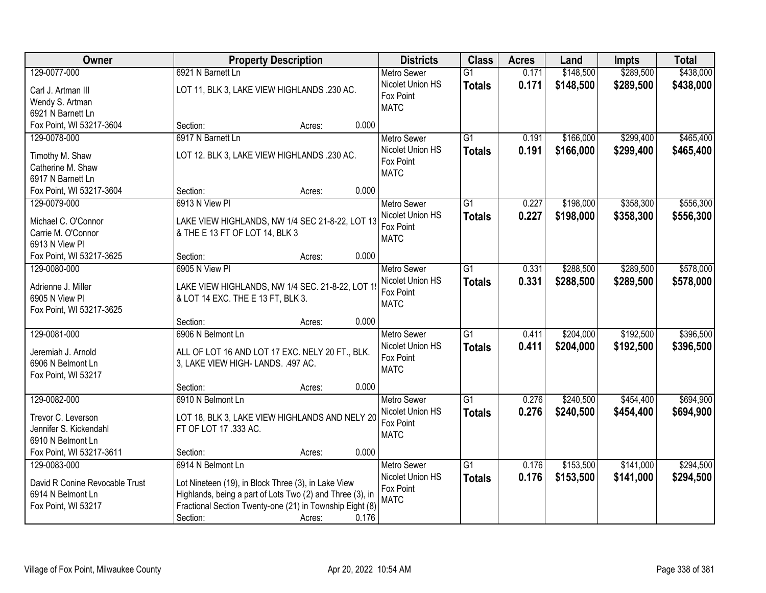| Owner                                     | <b>Property Description</b>                                                       |       |                               |                 | <b>Acres</b> | Land      | <b>Impts</b> | <b>Total</b> |
|-------------------------------------------|-----------------------------------------------------------------------------------|-------|-------------------------------|-----------------|--------------|-----------|--------------|--------------|
| 129-0077-000                              | 6921 N Barnett Ln                                                                 |       | <b>Metro Sewer</b>            | $\overline{G1}$ | 0.171        | \$148,500 | \$289,500    | \$438,000    |
| Carl J. Artman III                        | LOT 11, BLK 3, LAKE VIEW HIGHLANDS .230 AC.                                       |       | Nicolet Union HS              | <b>Totals</b>   | 0.171        | \$148,500 | \$289,500    | \$438,000    |
| Wendy S. Artman                           |                                                                                   |       | Fox Point                     |                 |              |           |              |              |
| 6921 N Barnett Ln                         |                                                                                   |       | <b>MATC</b>                   |                 |              |           |              |              |
| Fox Point, WI 53217-3604                  | Section:<br>Acres:                                                                | 0.000 |                               |                 |              |           |              |              |
| 129-0078-000                              | 6917 N Barnett Ln                                                                 |       | <b>Metro Sewer</b>            | $\overline{G1}$ | 0.191        | \$166,000 | \$299,400    | \$465,400    |
| Timothy M. Shaw                           | LOT 12. BLK 3, LAKE VIEW HIGHLANDS .230 AC.                                       |       | Nicolet Union HS              | <b>Totals</b>   | 0.191        | \$166,000 | \$299,400    | \$465,400    |
| Catherine M. Shaw                         |                                                                                   |       | Fox Point                     |                 |              |           |              |              |
| 6917 N Barnett Ln                         |                                                                                   |       | <b>MATC</b>                   |                 |              |           |              |              |
| Fox Point, WI 53217-3604                  | Section:<br>Acres:                                                                | 0.000 |                               |                 |              |           |              |              |
| 129-0079-000                              | 6913 N View PI                                                                    |       | <b>Metro Sewer</b>            | $\overline{G1}$ | 0.227        | \$198,000 | \$358,300    | \$556,300    |
|                                           |                                                                                   |       | Nicolet Union HS              | <b>Totals</b>   | 0.227        | \$198,000 | \$358,300    | \$556,300    |
| Michael C. O'Connor<br>Carrie M. O'Connor | LAKE VIEW HIGHLANDS, NW 1/4 SEC 21-8-22, LOT 13<br>& THE E 13 FT OF LOT 14, BLK 3 |       | Fox Point                     |                 |              |           |              |              |
| 6913 N View Pl                            |                                                                                   |       | <b>MATC</b>                   |                 |              |           |              |              |
| Fox Point, WI 53217-3625                  | Section:<br>Acres:                                                                | 0.000 |                               |                 |              |           |              |              |
| 129-0080-000                              | 6905 N View PI                                                                    |       | <b>Metro Sewer</b>            | G1              | 0.331        | \$288,500 | \$289,500    | \$578,000    |
|                                           |                                                                                   |       | Nicolet Union HS              | <b>Totals</b>   | 0.331        | \$288,500 | \$289,500    | \$578,000    |
| Adrienne J. Miller                        | LAKE VIEW HIGHLANDS, NW 1/4 SEC. 21-8-22, LOT 1                                   |       | Fox Point                     |                 |              |           |              |              |
| 6905 N View Pl                            | & LOT 14 EXC. THE E 13 FT, BLK 3.                                                 |       | <b>MATC</b>                   |                 |              |           |              |              |
| Fox Point, WI 53217-3625                  | Section:                                                                          | 0.000 |                               |                 |              |           |              |              |
| 129-0081-000                              | Acres:<br>6906 N Belmont Ln                                                       |       | <b>Metro Sewer</b>            | $\overline{G1}$ | 0.411        | \$204,000 | \$192,500    | \$396,500    |
|                                           |                                                                                   |       | Nicolet Union HS              | <b>Totals</b>   | 0.411        | \$204,000 | \$192,500    | \$396,500    |
| Jeremiah J. Arnold                        | ALL OF LOT 16 AND LOT 17 EXC. NELY 20 FT., BLK.                                   |       | Fox Point                     |                 |              |           |              |              |
| 6906 N Belmont Ln                         | 3, LAKE VIEW HIGH- LANDS. .497 AC.                                                |       | <b>MATC</b>                   |                 |              |           |              |              |
| Fox Point, WI 53217                       |                                                                                   |       |                               |                 |              |           |              |              |
|                                           | Section:<br>Acres:                                                                | 0.000 |                               |                 |              |           |              |              |
| 129-0082-000                              | 6910 N Belmont Ln                                                                 |       | <b>Metro Sewer</b>            | $\overline{G1}$ | 0.276        | \$240,500 | \$454,400    | \$694,900    |
| Trevor C. Leverson                        | LOT 18, BLK 3, LAKE VIEW HIGHLANDS AND NELY 20                                    |       | Nicolet Union HS<br>Fox Point | <b>Totals</b>   | 0.276        | \$240,500 | \$454,400    | \$694,900    |
| Jennifer S. Kickendahl                    | FT OF LOT 17 .333 AC.                                                             |       | <b>MATC</b>                   |                 |              |           |              |              |
| 6910 N Belmont Ln                         |                                                                                   |       |                               |                 |              |           |              |              |
| Fox Point, WI 53217-3611                  | Section:<br>Acres:                                                                | 0.000 |                               |                 |              |           |              |              |
| 129-0083-000                              | 6914 N Belmont Ln                                                                 |       | <b>Metro Sewer</b>            | G1              | 0.176        | \$153,500 | \$141,000    | \$294,500    |
| David R Conine Revocable Trust            | Lot Nineteen (19), in Block Three (3), in Lake View                               |       | Nicolet Union HS              | <b>Totals</b>   | 0.176        | \$153,500 | \$141,000    | \$294,500    |
| 6914 N Belmont Ln                         | Highlands, being a part of Lots Two (2) and Three (3), in                         |       | Fox Point                     |                 |              |           |              |              |
| Fox Point, WI 53217                       | Fractional Section Twenty-one (21) in Township Eight (8)                          |       | <b>MATC</b>                   |                 |              |           |              |              |
|                                           | Section:<br>Acres:                                                                | 0.176 |                               |                 |              |           |              |              |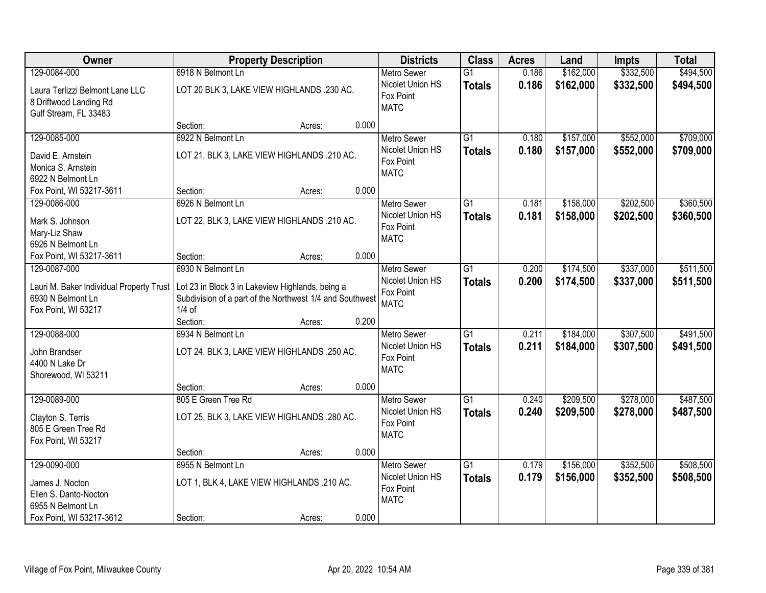| Owner                                                                                | <b>Property Description</b>                                                                                              |                 | <b>Districts</b>                                            | <b>Class</b>                     | <b>Acres</b>   | Land                   | <b>Impts</b>           | <b>Total</b>           |
|--------------------------------------------------------------------------------------|--------------------------------------------------------------------------------------------------------------------------|-----------------|-------------------------------------------------------------|----------------------------------|----------------|------------------------|------------------------|------------------------|
| 129-0084-000                                                                         | 6918 N Belmont Ln                                                                                                        |                 | <b>Metro Sewer</b>                                          | $\overline{G1}$                  | 0.186          | \$162,000              | \$332,500              | \$494,500              |
| Laura Terlizzi Belmont Lane LLC<br>8 Driftwood Landing Rd<br>Gulf Stream, FL 33483   | LOT 20 BLK 3, LAKE VIEW HIGHLANDS .230 AC.                                                                               |                 | Nicolet Union HS<br>Fox Point<br><b>MATC</b>                | <b>Totals</b>                    | 0.186          | \$162,000              | \$332,500              | \$494,500              |
|                                                                                      | Section:                                                                                                                 | 0.000<br>Acres: |                                                             |                                  |                |                        |                        |                        |
| 129-0085-000                                                                         | 6922 N Belmont Ln                                                                                                        |                 | <b>Metro Sewer</b>                                          | $\overline{G1}$                  | 0.180          | \$157,000              | \$552,000              | \$709,000              |
| David E. Arnstein<br>Monica S. Arnstein<br>6922 N Belmont Ln                         | LOT 21, BLK 3, LAKE VIEW HIGHLANDS .210 AC.                                                                              |                 | Nicolet Union HS<br>Fox Point<br><b>MATC</b>                | <b>Totals</b>                    | 0.180          | \$157,000              | \$552,000              | \$709,000              |
| Fox Point, WI 53217-3611                                                             | Section:                                                                                                                 | 0.000<br>Acres: |                                                             |                                  |                |                        |                        |                        |
| 129-0086-000                                                                         | 6926 N Belmont Ln                                                                                                        |                 | Metro Sewer                                                 | G1                               | 0.181          | \$158,000              | \$202,500              | \$360,500              |
| Mark S. Johnson<br>Mary-Liz Shaw<br>6926 N Belmont Ln                                | LOT 22, BLK 3, LAKE VIEW HIGHLANDS .210 AC.                                                                              |                 | Nicolet Union HS<br>Fox Point<br><b>MATC</b>                | <b>Totals</b>                    | 0.181          | \$158,000              | \$202,500              | \$360,500              |
| Fox Point, WI 53217-3611                                                             | Section:                                                                                                                 | 0.000<br>Acres: |                                                             |                                  |                |                        |                        |                        |
| 129-0087-000                                                                         | 6930 N Belmont Ln                                                                                                        |                 | <b>Metro Sewer</b>                                          | $\overline{G1}$                  | 0.200          | \$174,500              | \$337,000              | \$511,500              |
| Lauri M. Baker Individual Property Trust<br>6930 N Belmont Ln<br>Fox Point, WI 53217 | Lot 23 in Block 3 in Lakeview Highlands, being a<br>Subdivision of a part of the Northwest 1/4 and Southwest<br>$1/4$ of |                 | Nicolet Union HS<br>Fox Point<br><b>MATC</b>                | <b>Totals</b>                    | 0.200          | \$174,500              | \$337,000              | \$511,500              |
|                                                                                      | Section:                                                                                                                 | 0.200<br>Acres: |                                                             |                                  |                |                        |                        |                        |
| 129-0088-000<br>John Brandser<br>4400 N Lake Dr<br>Shorewood, WI 53211               | 6934 N Belmont Ln<br>LOT 24, BLK 3, LAKE VIEW HIGHLANDS .250 AC.                                                         |                 | Metro Sewer<br>Nicolet Union HS<br>Fox Point<br><b>MATC</b> | $\overline{G1}$<br><b>Totals</b> | 0.211<br>0.211 | \$184,000<br>\$184,000 | \$307,500<br>\$307,500 | \$491,500<br>\$491,500 |
|                                                                                      | Section:                                                                                                                 | 0.000<br>Acres: |                                                             |                                  |                |                        |                        |                        |
| 129-0089-000                                                                         | 805 E Green Tree Rd                                                                                                      |                 | <b>Metro Sewer</b>                                          | $\overline{G1}$                  | 0.240          | \$209,500              | \$278,000              | \$487,500              |
| Clayton S. Terris<br>805 E Green Tree Rd<br>Fox Point, WI 53217                      | LOT 25, BLK 3, LAKE VIEW HIGHLANDS .280 AC.                                                                              |                 | Nicolet Union HS<br>Fox Point<br><b>MATC</b>                | <b>Totals</b>                    | 0.240          | \$209,500              | \$278,000              | \$487,500              |
|                                                                                      | Section:                                                                                                                 | 0.000<br>Acres: |                                                             |                                  |                |                        |                        |                        |
| 129-0090-000                                                                         | 6955 N Belmont Ln                                                                                                        |                 | <b>Metro Sewer</b>                                          | $\overline{G1}$                  | 0.179          | \$156,000              | \$352,500              | \$508,500              |
| James J. Nocton<br>Ellen S. Danto-Nocton<br>6955 N Belmont Ln                        | LOT 1, BLK 4, LAKE VIEW HIGHLANDS .210 AC.                                                                               |                 | Nicolet Union HS<br>Fox Point<br><b>MATC</b>                | <b>Totals</b>                    | 0.179          | \$156,000              | \$352,500              | \$508,500              |
| Fox Point, WI 53217-3612                                                             | Section:                                                                                                                 | 0.000<br>Acres: |                                                             |                                  |                |                        |                        |                        |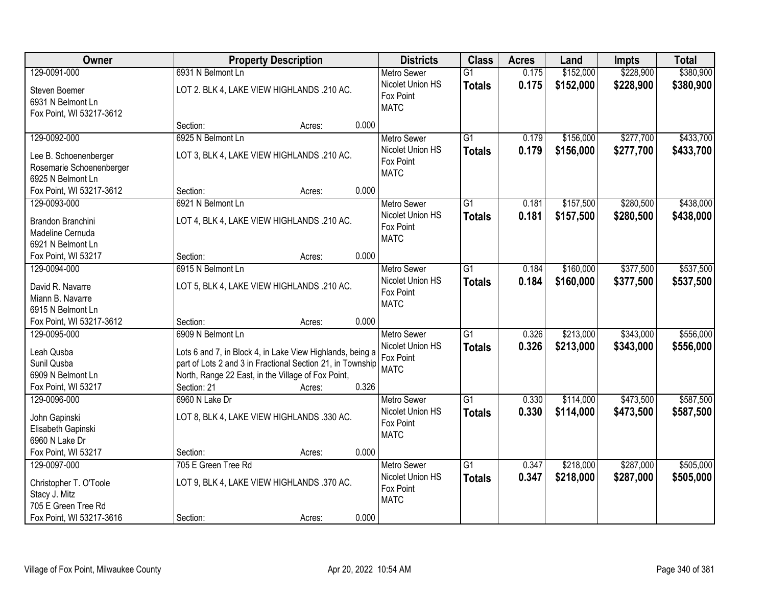| Owner                                 | <b>Property Description</b>                                |        |       | <b>Districts</b>         | <b>Class</b>    | <b>Acres</b> | Land      | <b>Impts</b> | <b>Total</b> |
|---------------------------------------|------------------------------------------------------------|--------|-------|--------------------------|-----------------|--------------|-----------|--------------|--------------|
| 129-0091-000                          | 6931 N Belmont Ln                                          |        |       | <b>Metro Sewer</b>       | $\overline{G1}$ | 0.175        | \$152,000 | \$228,900    | \$380,900    |
| Steven Boemer                         | LOT 2. BLK 4, LAKE VIEW HIGHLANDS .210 AC.                 |        |       | Nicolet Union HS         | <b>Totals</b>   | 0.175        | \$152,000 | \$228,900    | \$380,900    |
| 6931 N Belmont Ln                     |                                                            |        |       | Fox Point                |                 |              |           |              |              |
| Fox Point, WI 53217-3612              |                                                            |        |       | <b>MATC</b>              |                 |              |           |              |              |
|                                       | Section:                                                   | Acres: | 0.000 |                          |                 |              |           |              |              |
| 129-0092-000                          | 6925 N Belmont Ln                                          |        |       | <b>Metro Sewer</b>       | $\overline{G1}$ | 0.179        | \$156,000 | \$277,700    | \$433,700    |
| Lee B. Schoenenberger                 | LOT 3, BLK 4, LAKE VIEW HIGHLANDS .210 AC.                 |        |       | Nicolet Union HS         | <b>Totals</b>   | 0.179        | \$156,000 | \$277,700    | \$433,700    |
| Rosemarie Schoenenberger              |                                                            |        |       | Fox Point                |                 |              |           |              |              |
| 6925 N Belmont Ln                     |                                                            |        |       | <b>MATC</b>              |                 |              |           |              |              |
| Fox Point, WI 53217-3612              | Section:                                                   | Acres: | 0.000 |                          |                 |              |           |              |              |
| 129-0093-000                          | 6921 N Belmont Ln                                          |        |       | <b>Metro Sewer</b>       | G1              | 0.181        | \$157,500 | \$280,500    | \$438,000    |
|                                       |                                                            |        |       | Nicolet Union HS         | <b>Totals</b>   | 0.181        | \$157,500 | \$280,500    | \$438,000    |
| Brandon Branchini                     | LOT 4, BLK 4, LAKE VIEW HIGHLANDS .210 AC.                 |        |       | Fox Point                |                 |              |           |              |              |
| Madeline Cernuda<br>6921 N Belmont Ln |                                                            |        |       | <b>MATC</b>              |                 |              |           |              |              |
| Fox Point, WI 53217                   | Section:                                                   | Acres: | 0.000 |                          |                 |              |           |              |              |
| 129-0094-000                          | 6915 N Belmont Ln                                          |        |       | <b>Metro Sewer</b>       | G1              | 0.184        | \$160,000 | \$377,500    | \$537,500    |
|                                       |                                                            |        |       | Nicolet Union HS         |                 |              |           |              |              |
| David R. Navarre                      | LOT 5, BLK 4, LAKE VIEW HIGHLANDS .210 AC.                 |        |       | Fox Point                | <b>Totals</b>   | 0.184        | \$160,000 | \$377,500    | \$537,500    |
| Miann B. Navarre                      |                                                            |        |       | <b>MATC</b>              |                 |              |           |              |              |
| 6915 N Belmont Ln                     |                                                            |        |       |                          |                 |              |           |              |              |
| Fox Point, WI 53217-3612              | Section:                                                   | Acres: | 0.000 |                          |                 |              |           |              |              |
| 129-0095-000                          | 6909 N Belmont Ln                                          |        |       | <b>Metro Sewer</b>       | $\overline{G1}$ | 0.326        | \$213,000 | \$343,000    | \$556,000    |
| Leah Qusba                            | Lots 6 and 7, in Block 4, in Lake View Highlands, being a  |        |       | Nicolet Union HS         | <b>Totals</b>   | 0.326        | \$213,000 | \$343,000    | \$556,000    |
| Sunil Qusba                           | part of Lots 2 and 3 in Fractional Section 21, in Township |        |       | Fox Point                |                 |              |           |              |              |
| 6909 N Belmont Ln                     | North, Range 22 East, in the Village of Fox Point,         |        |       | <b>MATC</b>              |                 |              |           |              |              |
| Fox Point, WI 53217                   | Section: 21                                                | Acres: | 0.326 |                          |                 |              |           |              |              |
| 129-0096-000                          | 6960 N Lake Dr                                             |        |       | <b>Metro Sewer</b>       | $\overline{G1}$ | 0.330        | \$114,000 | \$473,500    | \$587,500    |
|                                       |                                                            |        |       | Nicolet Union HS         | <b>Totals</b>   | 0.330        | \$114,000 | \$473,500    | \$587,500    |
| John Gapinski                         | LOT 8, BLK 4, LAKE VIEW HIGHLANDS .330 AC.                 |        |       | Fox Point                |                 |              |           |              |              |
| Elisabeth Gapinski                    |                                                            |        |       | <b>MATC</b>              |                 |              |           |              |              |
| 6960 N Lake Dr                        |                                                            |        |       |                          |                 |              |           |              |              |
| Fox Point, WI 53217                   | Section:                                                   | Acres: | 0.000 |                          |                 |              |           |              |              |
| 129-0097-000                          | 705 E Green Tree Rd                                        |        |       | <b>Metro Sewer</b>       | $\overline{G1}$ | 0.347        | \$218,000 | \$287,000    | \$505,000    |
| Christopher T. O'Toole                | LOT 9, BLK 4, LAKE VIEW HIGHLANDS .370 AC.                 |        |       | Nicolet Union HS         | <b>Totals</b>   | 0.347        | \$218,000 | \$287,000    | \$505,000    |
| Stacy J. Mitz                         |                                                            |        |       | Fox Point<br><b>MATC</b> |                 |              |           |              |              |
| 705 E Green Tree Rd                   |                                                            |        |       |                          |                 |              |           |              |              |
| Fox Point, WI 53217-3616              | Section:                                                   | Acres: | 0.000 |                          |                 |              |           |              |              |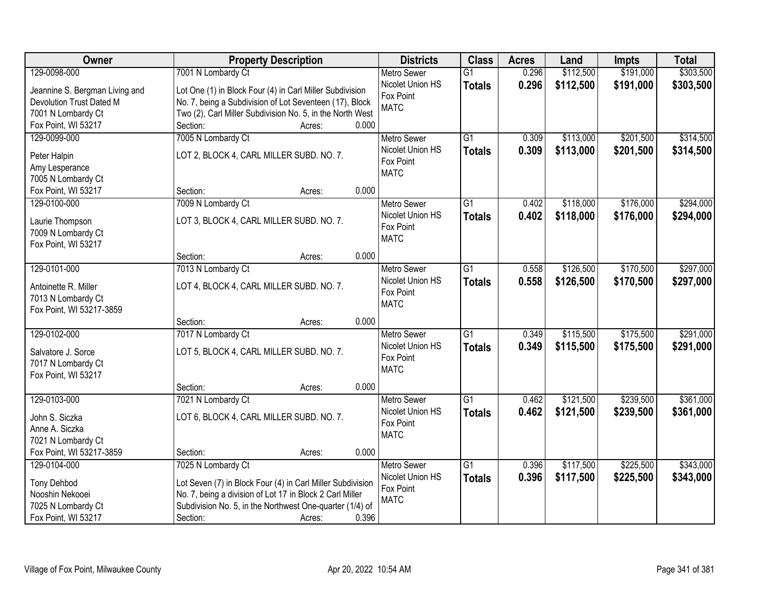| Owner                          | <b>Property Description</b>                                |       | <b>Districts</b>         | <b>Class</b>    | <b>Acres</b> | Land      | <b>Impts</b> | <b>Total</b> |
|--------------------------------|------------------------------------------------------------|-------|--------------------------|-----------------|--------------|-----------|--------------|--------------|
| 129-0098-000                   | 7001 N Lombardy Ct                                         |       | <b>Metro Sewer</b>       | $\overline{G1}$ | 0.296        | \$112,500 | \$191,000    | \$303,500    |
| Jeannine S. Bergman Living and | Lot One (1) in Block Four (4) in Carl Miller Subdivision   |       | Nicolet Union HS         | <b>Totals</b>   | 0.296        | \$112,500 | \$191,000    | \$303,500    |
| Devolution Trust Dated M       | No. 7, being a Subdivision of Lot Seventeen (17), Block    |       | Fox Point                |                 |              |           |              |              |
| 7001 N Lombardy Ct             | Two (2), Carl Miller Subdivision No. 5, in the North West  |       | <b>MATC</b>              |                 |              |           |              |              |
| Fox Point, WI 53217            | Section:<br>Acres:                                         | 0.000 |                          |                 |              |           |              |              |
| 129-0099-000                   | 7005 N Lombardy Ct                                         |       | <b>Metro Sewer</b>       | $\overline{G1}$ | 0.309        | \$113,000 | \$201,500    | \$314,500    |
|                                | LOT 2, BLOCK 4, CARL MILLER SUBD. NO. 7.                   |       | Nicolet Union HS         | <b>Totals</b>   | 0.309        | \$113,000 | \$201,500    | \$314,500    |
| Peter Halpin<br>Amy Lesperance |                                                            |       | Fox Point                |                 |              |           |              |              |
| 7005 N Lombardy Ct             |                                                            |       | <b>MATC</b>              |                 |              |           |              |              |
| Fox Point, WI 53217            | Section:<br>Acres:                                         | 0.000 |                          |                 |              |           |              |              |
| 129-0100-000                   | 7009 N Lombardy Ct                                         |       | Metro Sewer              | G1              | 0.402        | \$118,000 | \$176,000    | \$294,000    |
|                                |                                                            |       | Nicolet Union HS         | <b>Totals</b>   | 0.402        | \$118,000 | \$176,000    | \$294,000    |
| Laurie Thompson                | LOT 3, BLOCK 4, CARL MILLER SUBD. NO. 7.                   |       | Fox Point                |                 |              |           |              |              |
| 7009 N Lombardy Ct             |                                                            |       | <b>MATC</b>              |                 |              |           |              |              |
| Fox Point, WI 53217            | Section:<br>Acres:                                         | 0.000 |                          |                 |              |           |              |              |
| 129-0101-000                   | 7013 N Lombardy Ct                                         |       | <b>Metro Sewer</b>       | G1              | 0.558        | \$126,500 | \$170,500    | \$297,000    |
|                                |                                                            |       | Nicolet Union HS         |                 | 0.558        | \$126,500 | \$170,500    | \$297,000    |
| Antoinette R. Miller           | LOT 4, BLOCK 4, CARL MILLER SUBD. NO. 7.                   |       | Fox Point                | <b>Totals</b>   |              |           |              |              |
| 7013 N Lombardy Ct             |                                                            |       | <b>MATC</b>              |                 |              |           |              |              |
| Fox Point, WI 53217-3859       |                                                            |       |                          |                 |              |           |              |              |
|                                | Section:<br>Acres:                                         | 0.000 |                          |                 |              |           |              |              |
| 129-0102-000                   | 7017 N Lombardy Ct                                         |       | <b>Metro Sewer</b>       | $\overline{G1}$ | 0.349        | \$115,500 | \$175,500    | \$291,000    |
| Salvatore J. Sorce             | LOT 5, BLOCK 4, CARL MILLER SUBD. NO. 7.                   |       | Nicolet Union HS         | <b>Totals</b>   | 0.349        | \$115,500 | \$175,500    | \$291,000    |
| 7017 N Lombardy Ct             |                                                            |       | Fox Point<br><b>MATC</b> |                 |              |           |              |              |
| Fox Point, WI 53217            |                                                            |       |                          |                 |              |           |              |              |
|                                | Section:<br>Acres:                                         | 0.000 |                          |                 |              |           |              |              |
| 129-0103-000                   | 7021 N Lombardy Ct                                         |       | <b>Metro Sewer</b>       | $\overline{G1}$ | 0.462        | \$121,500 | \$239,500    | \$361,000    |
| John S. Siczka                 | LOT 6, BLOCK 4, CARL MILLER SUBD. NO. 7.                   |       | Nicolet Union HS         | <b>Totals</b>   | 0.462        | \$121,500 | \$239,500    | \$361,000    |
| Anne A. Siczka                 |                                                            |       | Fox Point                |                 |              |           |              |              |
| 7021 N Lombardy Ct             |                                                            |       | <b>MATC</b>              |                 |              |           |              |              |
| Fox Point, WI 53217-3859       | Section:<br>Acres:                                         | 0.000 |                          |                 |              |           |              |              |
| 129-0104-000                   | 7025 N Lombardy Ct                                         |       | <b>Metro Sewer</b>       | $\overline{G1}$ | 0.396        | \$117,500 | \$225,500    | \$343,000    |
| <b>Tony Dehbod</b>             | Lot Seven (7) in Block Four (4) in Carl Miller Subdivision |       | Nicolet Union HS         | <b>Totals</b>   | 0.396        | \$117,500 | \$225,500    | \$343,000    |
| Nooshin Nekooei                | No. 7, being a division of Lot 17 in Block 2 Carl Miller   |       | Fox Point                |                 |              |           |              |              |
| 7025 N Lombardy Ct             | Subdivision No. 5, in the Northwest One-quarter (1/4) of   |       | <b>MATC</b>              |                 |              |           |              |              |
| Fox Point, WI 53217            | Section:<br>Acres:                                         | 0.396 |                          |                 |              |           |              |              |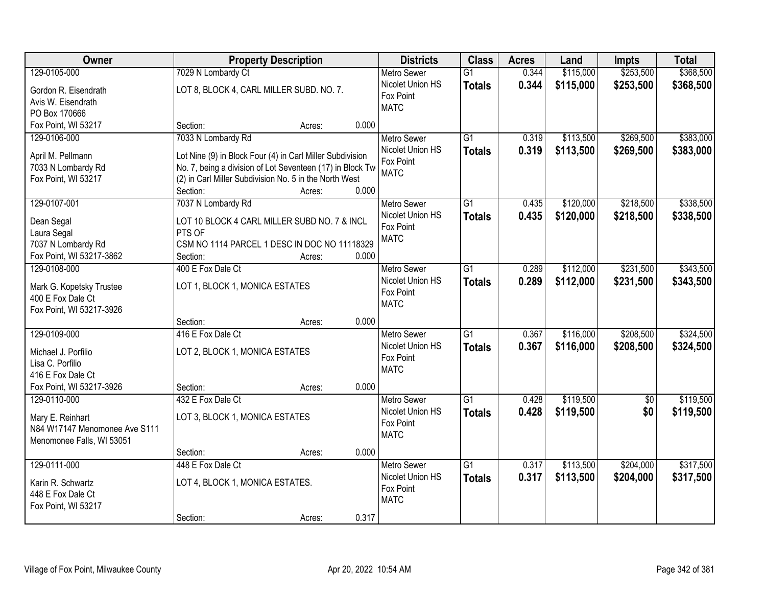| <b>Owner</b>                  |                                                           | <b>Property Description</b> |       |                          | <b>Class</b>    | <b>Acres</b> | Land      | <b>Impts</b>    | <b>Total</b> |
|-------------------------------|-----------------------------------------------------------|-----------------------------|-------|--------------------------|-----------------|--------------|-----------|-----------------|--------------|
| 129-0105-000                  | 7029 N Lombardy Ct                                        |                             |       | <b>Metro Sewer</b>       | $\overline{G1}$ | 0.344        | \$115,000 | \$253,500       | \$368,500    |
| Gordon R. Eisendrath          | LOT 8, BLOCK 4, CARL MILLER SUBD. NO. 7.                  |                             |       | Nicolet Union HS         | <b>Totals</b>   | 0.344        | \$115,000 | \$253,500       | \$368,500    |
| Avis W. Eisendrath            |                                                           |                             |       | Fox Point                |                 |              |           |                 |              |
| PO Box 170666                 |                                                           |                             |       | <b>MATC</b>              |                 |              |           |                 |              |
| Fox Point, WI 53217           | Section:                                                  | Acres:                      | 0.000 |                          |                 |              |           |                 |              |
| 129-0106-000                  | 7033 N Lombardy Rd                                        |                             |       | <b>Metro Sewer</b>       | $\overline{G1}$ | 0.319        | \$113,500 | \$269,500       | \$383,000    |
|                               |                                                           |                             |       | Nicolet Union HS         | <b>Totals</b>   | 0.319        | \$113,500 | \$269,500       | \$383,000    |
| April M. Pellmann             | Lot Nine (9) in Block Four (4) in Carl Miller Subdivision |                             |       | Fox Point                |                 |              |           |                 |              |
| 7033 N Lombardy Rd            | No. 7, being a division of Lot Seventeen (17) in Block Tw |                             |       | <b>MATC</b>              |                 |              |           |                 |              |
| Fox Point, WI 53217           | (2) in Carl Miller Subdivision No. 5 in the North West    |                             |       |                          |                 |              |           |                 |              |
|                               | Section:                                                  | Acres:                      | 0.000 |                          |                 |              |           |                 |              |
| 129-0107-001                  | 7037 N Lombardy Rd                                        |                             |       | Metro Sewer              | G1              | 0.435        | \$120,000 | \$218,500       | \$338,500    |
| Dean Segal                    | LOT 10 BLOCK 4 CARL MILLER SUBD NO. 7 & INCL              |                             |       | Nicolet Union HS         | <b>Totals</b>   | 0.435        | \$120,000 | \$218,500       | \$338,500    |
| Laura Segal                   | PTS OF                                                    |                             |       | Fox Point                |                 |              |           |                 |              |
| 7037 N Lombardy Rd            | CSM NO 1114 PARCEL 1 DESC IN DOC NO 11118329              |                             |       | <b>MATC</b>              |                 |              |           |                 |              |
| Fox Point, WI 53217-3862      | Section:                                                  | Acres:                      | 0.000 |                          |                 |              |           |                 |              |
| 129-0108-000                  | 400 E Fox Dale Ct                                         |                             |       | <b>Metro Sewer</b>       | G1              | 0.289        | \$112,000 | \$231,500       | \$343,500    |
|                               |                                                           |                             |       | Nicolet Union HS         | <b>Totals</b>   | 0.289        | \$112,000 | \$231,500       | \$343,500    |
| Mark G. Kopetsky Trustee      | LOT 1, BLOCK 1, MONICA ESTATES                            |                             |       | Fox Point                |                 |              |           |                 |              |
| 400 E Fox Dale Ct             |                                                           |                             |       | <b>MATC</b>              |                 |              |           |                 |              |
| Fox Point, WI 53217-3926      |                                                           |                             |       |                          |                 |              |           |                 |              |
|                               | Section:                                                  | Acres:                      | 0.000 |                          |                 |              |           |                 |              |
| 129-0109-000                  | 416 E Fox Dale Ct                                         |                             |       | <b>Metro Sewer</b>       | $\overline{G1}$ | 0.367        | \$116,000 | \$208,500       | \$324,500    |
| Michael J. Porfilio           | LOT 2, BLOCK 1, MONICA ESTATES                            |                             |       | Nicolet Union HS         | <b>Totals</b>   | 0.367        | \$116,000 | \$208,500       | \$324,500    |
| Lisa C. Porfilio              |                                                           |                             |       | Fox Point                |                 |              |           |                 |              |
| 416 E Fox Dale Ct             |                                                           |                             |       | <b>MATC</b>              |                 |              |           |                 |              |
| Fox Point, WI 53217-3926      | Section:                                                  | Acres:                      | 0.000 |                          |                 |              |           |                 |              |
| 129-0110-000                  | 432 E Fox Dale Ct                                         |                             |       | <b>Metro Sewer</b>       | G1              | 0.428        | \$119,500 | $\overline{50}$ | \$119,500    |
|                               |                                                           |                             |       | Nicolet Union HS         | <b>Totals</b>   | 0.428        | \$119,500 | \$0             | \$119,500    |
| Mary E. Reinhart              | LOT 3, BLOCK 1, MONICA ESTATES                            |                             |       | Fox Point                |                 |              |           |                 |              |
| N84 W17147 Menomonee Ave S111 |                                                           |                             |       | <b>MATC</b>              |                 |              |           |                 |              |
| Menomonee Falls, WI 53051     |                                                           |                             | 0.000 |                          |                 |              |           |                 |              |
|                               | Section:                                                  | Acres:                      |       |                          |                 |              |           |                 |              |
| 129-0111-000                  | 448 E Fox Dale Ct                                         |                             |       | <b>Metro Sewer</b>       | G1              | 0.317        | \$113,500 | \$204,000       | \$317,500    |
| Karin R. Schwartz             | LOT 4, BLOCK 1, MONICA ESTATES.                           |                             |       | Nicolet Union HS         | <b>Totals</b>   | 0.317        | \$113,500 | \$204,000       | \$317,500    |
| 448 E Fox Dale Ct             |                                                           |                             |       | Fox Point<br><b>MATC</b> |                 |              |           |                 |              |
| Fox Point, WI 53217           |                                                           |                             |       |                          |                 |              |           |                 |              |
|                               | Section:                                                  | Acres:                      | 0.317 |                          |                 |              |           |                 |              |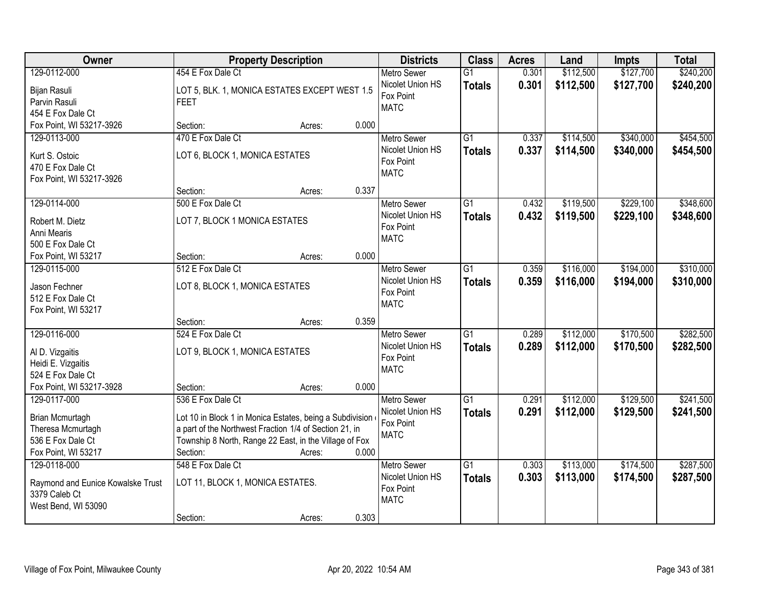| Owner                                              | <b>Property Description</b>                              |        |       | <b>Districts</b>              | <b>Class</b>    | <b>Acres</b> | Land      | <b>Impts</b> | <b>Total</b> |
|----------------------------------------------------|----------------------------------------------------------|--------|-------|-------------------------------|-----------------|--------------|-----------|--------------|--------------|
| 129-0112-000                                       | 454 E Fox Dale Ct                                        |        |       | <b>Metro Sewer</b>            | $\overline{G1}$ | 0.301        | \$112,500 | \$127,700    | \$240,200    |
| Bijan Rasuli                                       | LOT 5, BLK. 1, MONICA ESTATES EXCEPT WEST 1.5            |        |       | Nicolet Union HS<br>Fox Point | <b>Totals</b>   | 0.301        | \$112,500 | \$127,700    | \$240,200    |
| Parvin Rasuli                                      | <b>FEET</b>                                              |        |       | <b>MATC</b>                   |                 |              |           |              |              |
| 454 E Fox Dale Ct                                  |                                                          |        |       |                               |                 |              |           |              |              |
| Fox Point, WI 53217-3926                           | Section:                                                 | Acres: | 0.000 |                               |                 |              |           |              |              |
| 129-0113-000                                       | 470 E Fox Dale Ct                                        |        |       | <b>Metro Sewer</b>            | $\overline{G1}$ | 0.337        | \$114,500 | \$340,000    | \$454,500    |
| Kurt S. Ostoic                                     | LOT 6, BLOCK 1, MONICA ESTATES                           |        |       | Nicolet Union HS              | <b>Totals</b>   | 0.337        | \$114,500 | \$340,000    | \$454,500    |
| 470 E Fox Dale Ct                                  |                                                          |        |       | Fox Point                     |                 |              |           |              |              |
| Fox Point, WI 53217-3926                           |                                                          |        |       | <b>MATC</b>                   |                 |              |           |              |              |
|                                                    | Section:                                                 | Acres: | 0.337 |                               |                 |              |           |              |              |
| 129-0114-000                                       | 500 E Fox Dale Ct                                        |        |       | Metro Sewer                   | $\overline{G1}$ | 0.432        | \$119,500 | \$229,100    | \$348,600    |
|                                                    |                                                          |        |       | Nicolet Union HS              | <b>Totals</b>   | 0.432        | \$119,500 | \$229,100    | \$348,600    |
| Robert M. Dietz<br>Anni Mearis                     | LOT 7, BLOCK 1 MONICA ESTATES                            |        |       | Fox Point                     |                 |              |           |              |              |
| 500 E Fox Dale Ct                                  |                                                          |        |       | <b>MATC</b>                   |                 |              |           |              |              |
| Fox Point, WI 53217                                | Section:                                                 | Acres: | 0.000 |                               |                 |              |           |              |              |
| 129-0115-000                                       | 512 E Fox Dale Ct                                        |        |       | <b>Metro Sewer</b>            | $\overline{G1}$ | 0.359        | \$116,000 | \$194,000    | \$310,000    |
|                                                    |                                                          |        |       | Nicolet Union HS              | <b>Totals</b>   | 0.359        | \$116,000 | \$194,000    | \$310,000    |
| Jason Fechner                                      | LOT 8, BLOCK 1, MONICA ESTATES                           |        |       | Fox Point                     |                 |              |           |              |              |
| 512 E Fox Dale Ct                                  |                                                          |        |       | <b>MATC</b>                   |                 |              |           |              |              |
| Fox Point, WI 53217                                |                                                          |        |       |                               |                 |              |           |              |              |
|                                                    | Section:                                                 | Acres: | 0.359 |                               |                 |              |           |              |              |
| 129-0116-000                                       | 524 E Fox Dale Ct                                        |        |       | <b>Metro Sewer</b>            | $\overline{G1}$ | 0.289        | \$112,000 | \$170,500    | \$282,500    |
| Al D. Vizgaitis                                    | LOT 9, BLOCK 1, MONICA ESTATES                           |        |       | Nicolet Union HS<br>Fox Point | <b>Totals</b>   | 0.289        | \$112,000 | \$170,500    | \$282,500    |
| Heidi E. Vizgaitis                                 |                                                          |        |       | <b>MATC</b>                   |                 |              |           |              |              |
| 524 E Fox Dale Ct                                  |                                                          |        |       |                               |                 |              |           |              |              |
| Fox Point, WI 53217-3928                           | Section:                                                 | Acres: | 0.000 |                               |                 |              |           |              |              |
| 129-0117-000                                       | 536 E Fox Dale Ct                                        |        |       | <b>Metro Sewer</b>            | $\overline{G1}$ | 0.291        | \$112,000 | \$129,500    | \$241,500    |
| Brian Mcmurtagh                                    | Lot 10 in Block 1 in Monica Estates, being a Subdivision |        |       | Nicolet Union HS              | <b>Totals</b>   | 0.291        | \$112,000 | \$129,500    | \$241,500    |
| Theresa Mcmurtagh                                  | a part of the Northwest Fraction 1/4 of Section 21, in   |        |       | Fox Point                     |                 |              |           |              |              |
| 536 E Fox Dale Ct                                  | Township 8 North, Range 22 East, in the Village of Fox   |        |       | <b>MATC</b>                   |                 |              |           |              |              |
| Fox Point, WI 53217                                | Section:                                                 | Acres: | 0.000 |                               |                 |              |           |              |              |
| 129-0118-000                                       | 548 E Fox Dale Ct                                        |        |       | <b>Metro Sewer</b>            | $\overline{G1}$ | 0.303        | \$113,000 | \$174,500    | \$287,500    |
|                                                    | LOT 11, BLOCK 1, MONICA ESTATES.                         |        |       | Nicolet Union HS              | <b>Totals</b>   | 0.303        | \$113,000 | \$174,500    | \$287,500    |
| Raymond and Eunice Kowalske Trust<br>3379 Caleb Ct |                                                          |        |       | Fox Point                     |                 |              |           |              |              |
| West Bend, WI 53090                                |                                                          |        |       | <b>MATC</b>                   |                 |              |           |              |              |
|                                                    | Section:                                                 | Acres: | 0.303 |                               |                 |              |           |              |              |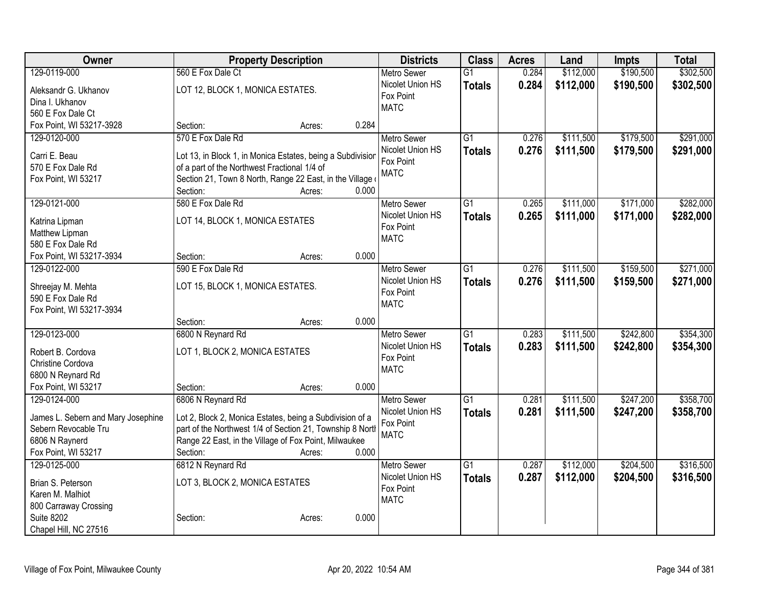| Owner                              | <b>Property Description</b>                                |                 | <b>Districts</b>              | <b>Class</b>    | <b>Acres</b> | Land      | <b>Impts</b> | <b>Total</b> |
|------------------------------------|------------------------------------------------------------|-----------------|-------------------------------|-----------------|--------------|-----------|--------------|--------------|
| 129-0119-000                       | 560 E Fox Dale Ct                                          |                 | <b>Metro Sewer</b>            | $\overline{G1}$ | 0.284        | \$112,000 | \$190,500    | \$302,500    |
| Aleksandr G. Ukhanov               | LOT 12, BLOCK 1, MONICA ESTATES.                           |                 | Nicolet Union HS              | <b>Totals</b>   | 0.284        | \$112,000 | \$190,500    | \$302,500    |
| Dina I. Ukhanov                    |                                                            |                 | Fox Point                     |                 |              |           |              |              |
| 560 E Fox Dale Ct                  |                                                            |                 | <b>MATC</b>                   |                 |              |           |              |              |
| Fox Point, WI 53217-3928           | Section:                                                   | 0.284<br>Acres: |                               |                 |              |           |              |              |
| 129-0120-000                       | 570 E Fox Dale Rd                                          |                 | <b>Metro Sewer</b>            | $\overline{G1}$ | 0.276        | \$111,500 | \$179,500    | \$291,000    |
| Carri E. Beau                      | Lot 13, in Block 1, in Monica Estates, being a Subdivision |                 | Nicolet Union HS              | <b>Totals</b>   | 0.276        | \$111,500 | \$179,500    | \$291,000    |
| 570 E Fox Dale Rd                  | of a part of the Northwest Fractional 1/4 of               |                 | Fox Point                     |                 |              |           |              |              |
| Fox Point, WI 53217                | Section 21, Town 8 North, Range 22 East, in the Village    |                 | <b>MATC</b>                   |                 |              |           |              |              |
|                                    | Section:                                                   | 0.000<br>Acres: |                               |                 |              |           |              |              |
| 129-0121-000                       | 580 E Fox Dale Rd                                          |                 | <b>Metro Sewer</b>            | G1              | 0.265        | \$111,000 | \$171,000    | \$282,000    |
|                                    |                                                            |                 | Nicolet Union HS              | <b>Totals</b>   | 0.265        | \$111,000 | \$171,000    | \$282,000    |
| Katrina Lipman<br>Matthew Lipman   | LOT 14, BLOCK 1, MONICA ESTATES                            |                 | Fox Point                     |                 |              |           |              |              |
| 580 E Fox Dale Rd                  |                                                            |                 | <b>MATC</b>                   |                 |              |           |              |              |
| Fox Point, WI 53217-3934           | Section:                                                   | 0.000<br>Acres: |                               |                 |              |           |              |              |
| 129-0122-000                       | 590 E Fox Dale Rd                                          |                 | <b>Metro Sewer</b>            | $\overline{G1}$ | 0.276        | \$111,500 | \$159,500    | \$271,000    |
|                                    |                                                            |                 | Nicolet Union HS              | <b>Totals</b>   | 0.276        | \$111,500 | \$159,500    | \$271,000    |
| Shreejay M. Mehta                  | LOT 15, BLOCK 1, MONICA ESTATES.                           |                 | Fox Point                     |                 |              |           |              |              |
| 590 E Fox Dale Rd                  |                                                            |                 | <b>MATC</b>                   |                 |              |           |              |              |
| Fox Point, WI 53217-3934           | Section:                                                   | 0.000<br>Acres: |                               |                 |              |           |              |              |
| 129-0123-000                       | 6800 N Reynard Rd                                          |                 | <b>Metro Sewer</b>            | $\overline{G1}$ | 0.283        | \$111,500 | \$242,800    | \$354,300    |
|                                    |                                                            |                 | Nicolet Union HS              | <b>Totals</b>   | 0.283        | \$111,500 | \$242,800    | \$354,300    |
| Robert B. Cordova                  | LOT 1, BLOCK 2, MONICA ESTATES                             |                 | Fox Point                     |                 |              |           |              |              |
| Christine Cordova                  |                                                            |                 | <b>MATC</b>                   |                 |              |           |              |              |
| 6800 N Reynard Rd                  |                                                            |                 |                               |                 |              |           |              |              |
| Fox Point, WI 53217                | Section:                                                   | 0.000<br>Acres: |                               |                 |              |           |              |              |
| 129-0124-000                       | 6806 N Reynard Rd                                          |                 | Metro Sewer                   | $\overline{G1}$ | 0.281        | \$111,500 | \$247,200    | \$358,700    |
| James L. Sebern and Mary Josephine | Lot 2, Block 2, Monica Estates, being a Subdivision of a   |                 | Nicolet Union HS<br>Fox Point | <b>Totals</b>   | 0.281        | \$111,500 | \$247,200    | \$358,700    |
| Sebern Revocable Tru               | part of the Northwest 1/4 of Section 21, Township 8 North  |                 | <b>MATC</b>                   |                 |              |           |              |              |
| 6806 N Raynerd                     | Range 22 East, in the Village of Fox Point, Milwaukee      |                 |                               |                 |              |           |              |              |
| Fox Point, WI 53217                | Section:                                                   | 0.000<br>Acres: |                               |                 |              |           |              |              |
| 129-0125-000                       | 6812 N Reynard Rd                                          |                 | Metro Sewer                   | $\overline{G1}$ | 0.287        | \$112,000 | \$204,500    | \$316,500    |
| Brian S. Peterson                  | LOT 3, BLOCK 2, MONICA ESTATES                             |                 | Nicolet Union HS              | <b>Totals</b>   | 0.287        | \$112,000 | \$204,500    | \$316,500    |
| Karen M. Malhiot                   |                                                            |                 | Fox Point<br><b>MATC</b>      |                 |              |           |              |              |
| 800 Carraway Crossing              |                                                            |                 |                               |                 |              |           |              |              |
| <b>Suite 8202</b>                  | Section:                                                   | 0.000<br>Acres: |                               |                 |              |           |              |              |
| Chapel Hill, NC 27516              |                                                            |                 |                               |                 |              |           |              |              |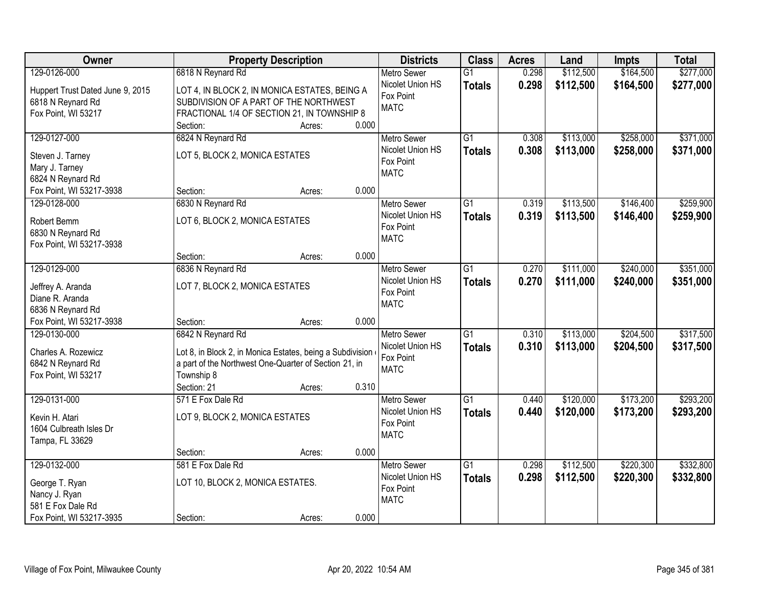| Owner                                | <b>Property Description</b>                               | <b>Districts</b>              | <b>Class</b>    | <b>Acres</b> | Land      | <b>Impts</b> | <b>Total</b> |
|--------------------------------------|-----------------------------------------------------------|-------------------------------|-----------------|--------------|-----------|--------------|--------------|
| 129-0126-000                         | 6818 N Reynard Rd                                         | <b>Metro Sewer</b>            | $\overline{G1}$ | 0.298        | \$112,500 | \$164,500    | \$277,000    |
| Huppert Trust Dated June 9, 2015     | LOT 4, IN BLOCK 2, IN MONICA ESTATES, BEING A             | Nicolet Union HS              | <b>Totals</b>   | 0.298        | \$112,500 | \$164,500    | \$277,000    |
| 6818 N Reynard Rd                    | SUBDIVISION OF A PART OF THE NORTHWEST                    | Fox Point                     |                 |              |           |              |              |
| Fox Point, WI 53217                  | FRACTIONAL 1/4 OF SECTION 21, IN TOWNSHIP 8               | <b>MATC</b>                   |                 |              |           |              |              |
|                                      | 0.000<br>Section:<br>Acres:                               |                               |                 |              |           |              |              |
| 129-0127-000                         | 6824 N Reynard Rd                                         | <b>Metro Sewer</b>            | $\overline{G1}$ | 0.308        | \$113,000 | \$258,000    | \$371,000    |
| Steven J. Tarney                     | LOT 5, BLOCK 2, MONICA ESTATES                            | Nicolet Union HS              | <b>Totals</b>   | 0.308        | \$113,000 | \$258,000    | \$371,000    |
| Mary J. Tarney                       |                                                           | Fox Point                     |                 |              |           |              |              |
| 6824 N Reynard Rd                    |                                                           | <b>MATC</b>                   |                 |              |           |              |              |
| Fox Point, WI 53217-3938             | 0.000<br>Section:<br>Acres:                               |                               |                 |              |           |              |              |
| 129-0128-000                         | 6830 N Reynard Rd                                         | Metro Sewer                   | $\overline{G1}$ | 0.319        | \$113,500 | \$146,400    | \$259,900    |
| Robert Bemm                          | LOT 6, BLOCK 2, MONICA ESTATES                            | Nicolet Union HS              | <b>Totals</b>   | 0.319        | \$113,500 | \$146,400    | \$259,900    |
| 6830 N Reynard Rd                    |                                                           | Fox Point                     |                 |              |           |              |              |
| Fox Point, WI 53217-3938             |                                                           | <b>MATC</b>                   |                 |              |           |              |              |
|                                      | 0.000<br>Section:<br>Acres:                               |                               |                 |              |           |              |              |
| 129-0129-000                         | 6836 N Reynard Rd                                         | <b>Metro Sewer</b>            | $\overline{G1}$ | 0.270        | \$111,000 | \$240,000    | \$351,000    |
|                                      | LOT 7, BLOCK 2, MONICA ESTATES                            | Nicolet Union HS              | <b>Totals</b>   | 0.270        | \$111,000 | \$240,000    | \$351,000    |
| Jeffrey A. Aranda<br>Diane R. Aranda |                                                           | Fox Point                     |                 |              |           |              |              |
| 6836 N Reynard Rd                    |                                                           | <b>MATC</b>                   |                 |              |           |              |              |
| Fox Point, WI 53217-3938             | 0.000<br>Section:<br>Acres:                               |                               |                 |              |           |              |              |
| 129-0130-000                         | 6842 N Reynard Rd                                         | <b>Metro Sewer</b>            | $\overline{G1}$ | 0.310        | \$113,000 | \$204,500    | \$317,500    |
|                                      |                                                           | Nicolet Union HS              | <b>Totals</b>   | 0.310        | \$113,000 | \$204,500    | \$317,500    |
| Charles A. Rozewicz                  | Lot 8, in Block 2, in Monica Estates, being a Subdivision | Fox Point                     |                 |              |           |              |              |
| 6842 N Reynard Rd                    | a part of the Northwest One-Quarter of Section 21, in     | <b>MATC</b>                   |                 |              |           |              |              |
| Fox Point, WI 53217                  | Township 8                                                |                               |                 |              |           |              |              |
|                                      | 0.310<br>Section: 21<br>Acres:                            |                               |                 |              |           |              |              |
| 129-0131-000                         | 571 E Fox Dale Rd                                         | Metro Sewer                   | $\overline{G1}$ | 0.440        | \$120,000 | \$173,200    | \$293,200    |
| Kevin H. Atari                       | LOT 9, BLOCK 2, MONICA ESTATES                            | Nicolet Union HS<br>Fox Point | <b>Totals</b>   | 0.440        | \$120,000 | \$173,200    | \$293,200    |
| 1604 Culbreath Isles Dr              |                                                           | <b>MATC</b>                   |                 |              |           |              |              |
| Tampa, FL 33629                      |                                                           |                               |                 |              |           |              |              |
|                                      | 0.000<br>Section:<br>Acres:                               |                               |                 |              |           |              |              |
| 129-0132-000                         | 581 E Fox Dale Rd                                         | <b>Metro Sewer</b>            | $\overline{G1}$ | 0.298        | \$112,500 | \$220,300    | \$332,800    |
| George T. Ryan                       | LOT 10, BLOCK 2, MONICA ESTATES.                          | Nicolet Union HS              | <b>Totals</b>   | 0.298        | \$112,500 | \$220,300    | \$332,800    |
| Nancy J. Ryan                        |                                                           | Fox Point                     |                 |              |           |              |              |
| 581 E Fox Dale Rd                    |                                                           | <b>MATC</b>                   |                 |              |           |              |              |
| Fox Point, WI 53217-3935             | 0.000<br>Section:<br>Acres:                               |                               |                 |              |           |              |              |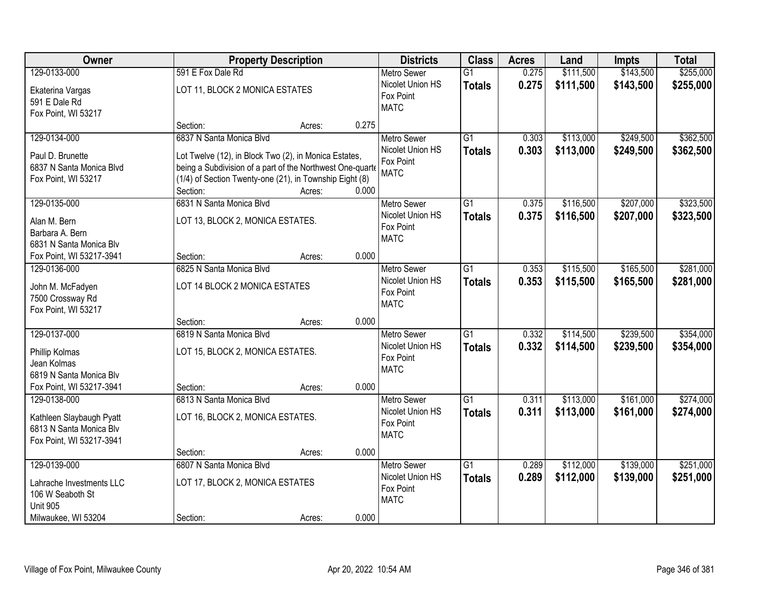| Owner                    |                                                           | <b>Property Description</b> |       | <b>Districts</b>         | <b>Class</b>    | <b>Acres</b> | Land      | <b>Impts</b> | <b>Total</b> |
|--------------------------|-----------------------------------------------------------|-----------------------------|-------|--------------------------|-----------------|--------------|-----------|--------------|--------------|
| 129-0133-000             | 591 E Fox Dale Rd                                         |                             |       | <b>Metro Sewer</b>       | $\overline{G1}$ | 0.275        | \$111,500 | \$143,500    | \$255,000    |
| Ekaterina Vargas         | LOT 11, BLOCK 2 MONICA ESTATES                            |                             |       | Nicolet Union HS         | <b>Totals</b>   | 0.275        | \$111,500 | \$143,500    | \$255,000    |
| 591 E Dale Rd            |                                                           |                             |       | Fox Point                |                 |              |           |              |              |
| Fox Point, WI 53217      |                                                           |                             |       | <b>MATC</b>              |                 |              |           |              |              |
|                          | Section:                                                  | Acres:                      | 0.275 |                          |                 |              |           |              |              |
| 129-0134-000             | 6837 N Santa Monica Blvd                                  |                             |       | <b>Metro Sewer</b>       | $\overline{G1}$ | 0.303        | \$113,000 | \$249,500    | \$362,500    |
| Paul D. Brunette         | Lot Twelve (12), in Block Two (2), in Monica Estates,     |                             |       | Nicolet Union HS         | <b>Totals</b>   | 0.303        | \$113,000 | \$249,500    | \$362,500    |
| 6837 N Santa Monica Blvd | being a Subdivision of a part of the Northwest One-quarte |                             |       | Fox Point                |                 |              |           |              |              |
| Fox Point, WI 53217      | (1/4) of Section Twenty-one (21), in Township Eight (8)   |                             |       | <b>MATC</b>              |                 |              |           |              |              |
|                          | Section:                                                  | Acres:                      | 0.000 |                          |                 |              |           |              |              |
| 129-0135-000             | 6831 N Santa Monica Blvd                                  |                             |       | <b>Metro Sewer</b>       | G1              | 0.375        | \$116,500 | \$207,000    | \$323,500    |
|                          |                                                           |                             |       | Nicolet Union HS         | <b>Totals</b>   | 0.375        | \$116,500 | \$207,000    | \$323,500    |
| Alan M. Bern             | LOT 13, BLOCK 2, MONICA ESTATES.                          |                             |       | Fox Point                |                 |              |           |              |              |
| Barbara A. Bern          |                                                           |                             |       | <b>MATC</b>              |                 |              |           |              |              |
| 6831 N Santa Monica Blv  |                                                           |                             | 0.000 |                          |                 |              |           |              |              |
| Fox Point, WI 53217-3941 | Section:                                                  | Acres:                      |       |                          |                 |              |           |              |              |
| 129-0136-000             | 6825 N Santa Monica Blvd                                  |                             |       | <b>Metro Sewer</b>       | G1              | 0.353        | \$115,500 | \$165,500    | \$281,000    |
| John M. McFadyen         | LOT 14 BLOCK 2 MONICA ESTATES                             |                             |       | Nicolet Union HS         | <b>Totals</b>   | 0.353        | \$115,500 | \$165,500    | \$281,000    |
| 7500 Crossway Rd         |                                                           |                             |       | Fox Point<br><b>MATC</b> |                 |              |           |              |              |
| Fox Point, WI 53217      |                                                           |                             |       |                          |                 |              |           |              |              |
|                          | Section:                                                  | Acres:                      | 0.000 |                          |                 |              |           |              |              |
| 129-0137-000             | 6819 N Santa Monica Blvd                                  |                             |       | <b>Metro Sewer</b>       | $\overline{G1}$ | 0.332        | \$114,500 | \$239,500    | \$354,000    |
| Phillip Kolmas           | LOT 15, BLOCK 2, MONICA ESTATES.                          |                             |       | Nicolet Union HS         | <b>Totals</b>   | 0.332        | \$114,500 | \$239,500    | \$354,000    |
| Jean Kolmas              |                                                           |                             |       | Fox Point                |                 |              |           |              |              |
| 6819 N Santa Monica Blv  |                                                           |                             |       | <b>MATC</b>              |                 |              |           |              |              |
| Fox Point, WI 53217-3941 | Section:                                                  | Acres:                      | 0.000 |                          |                 |              |           |              |              |
| 129-0138-000             | 6813 N Santa Monica Blvd                                  |                             |       | <b>Metro Sewer</b>       | $\overline{G1}$ | 0.311        | \$113,000 | \$161,000    | \$274,000    |
|                          |                                                           |                             |       | Nicolet Union HS         | <b>Totals</b>   | 0.311        | \$113,000 | \$161,000    | \$274,000    |
| Kathleen Slaybaugh Pyatt | LOT 16, BLOCK 2, MONICA ESTATES.                          |                             |       | Fox Point                |                 |              |           |              |              |
| 6813 N Santa Monica Blv  |                                                           |                             |       | <b>MATC</b>              |                 |              |           |              |              |
| Fox Point, WI 53217-3941 |                                                           |                             |       |                          |                 |              |           |              |              |
|                          | Section:                                                  | Acres:                      | 0.000 |                          |                 |              |           |              |              |
| 129-0139-000             | 6807 N Santa Monica Blvd                                  |                             |       | <b>Metro Sewer</b>       | $\overline{G1}$ | 0.289        | \$112,000 | \$139,000    | \$251,000    |
| Lahrache Investments LLC | LOT 17, BLOCK 2, MONICA ESTATES                           |                             |       | Nicolet Union HS         | <b>Totals</b>   | 0.289        | \$112,000 | \$139,000    | \$251,000    |
| 106 W Seaboth St         |                                                           |                             |       | Fox Point                |                 |              |           |              |              |
| <b>Unit 905</b>          |                                                           |                             |       | <b>MATC</b>              |                 |              |           |              |              |
| Milwaukee, WI 53204      | Section:                                                  | Acres:                      | 0.000 |                          |                 |              |           |              |              |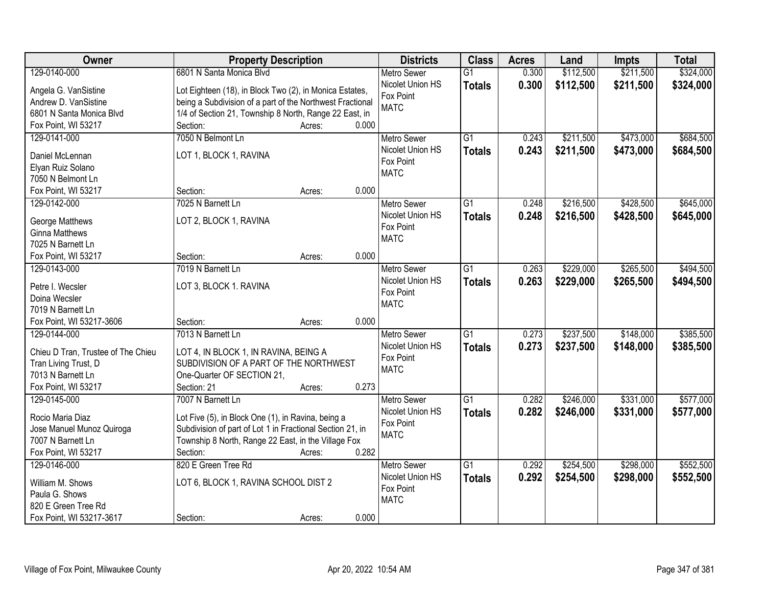| Owner                                    | <b>Property Description</b>                               | <b>Districts</b>   | <b>Class</b>    | <b>Acres</b> | Land      | <b>Impts</b> | <b>Total</b> |
|------------------------------------------|-----------------------------------------------------------|--------------------|-----------------|--------------|-----------|--------------|--------------|
| 129-0140-000                             | 6801 N Santa Monica Blvd                                  | <b>Metro Sewer</b> | $\overline{G1}$ | 0.300        | \$112,500 | \$211,500    | \$324,000    |
| Angela G. VanSistine                     | Lot Eighteen (18), in Block Two (2), in Monica Estates,   | Nicolet Union HS   | <b>Totals</b>   | 0.300        | \$112,500 | \$211,500    | \$324,000    |
| Andrew D. VanSistine                     | being a Subdivision of a part of the Northwest Fractional | Fox Point          |                 |              |           |              |              |
| 6801 N Santa Monica Blvd                 | 1/4 of Section 21, Township 8 North, Range 22 East, in    | <b>MATC</b>        |                 |              |           |              |              |
| Fox Point, WI 53217                      | 0.000<br>Section:<br>Acres:                               |                    |                 |              |           |              |              |
| 129-0141-000                             | 7050 N Belmont Ln                                         | Metro Sewer        | $\overline{G1}$ | 0.243        | \$211,500 | \$473,000    | \$684,500    |
|                                          |                                                           | Nicolet Union HS   |                 | 0.243        | \$211,500 | \$473,000    | \$684,500    |
| Daniel McLennan                          | LOT 1, BLOCK 1, RAVINA                                    | Fox Point          | <b>Totals</b>   |              |           |              |              |
| Elyan Ruiz Solano                        |                                                           | <b>MATC</b>        |                 |              |           |              |              |
| 7050 N Belmont Ln                        |                                                           |                    |                 |              |           |              |              |
| Fox Point, WI 53217                      | 0.000<br>Section:<br>Acres:                               |                    |                 |              |           |              |              |
| 129-0142-000                             | 7025 N Barnett Ln                                         | <b>Metro Sewer</b> | G1              | 0.248        | \$216,500 | \$428,500    | \$645,000    |
|                                          |                                                           | Nicolet Union HS   | <b>Totals</b>   | 0.248        | \$216,500 | \$428,500    | \$645,000    |
| George Matthews<br><b>Ginna Matthews</b> | LOT 2, BLOCK 1, RAVINA                                    | Fox Point          |                 |              |           |              |              |
|                                          |                                                           | <b>MATC</b>        |                 |              |           |              |              |
| 7025 N Barnett Ln                        | 0.000<br>Section:                                         |                    |                 |              |           |              |              |
| Fox Point, WI 53217                      | Acres:                                                    |                    |                 |              |           |              |              |
| 129-0143-000                             | 7019 N Barnett Ln                                         | <b>Metro Sewer</b> | G1              | 0.263        | \$229,000 | \$265,500    | \$494,500    |
| Petre I. Wecsler                         | LOT 3, BLOCK 1. RAVINA                                    | Nicolet Union HS   | <b>Totals</b>   | 0.263        | \$229,000 | \$265,500    | \$494,500    |
| Doina Wecsler                            |                                                           | Fox Point          |                 |              |           |              |              |
| 7019 N Barnett Ln                        |                                                           | <b>MATC</b>        |                 |              |           |              |              |
| Fox Point, WI 53217-3606                 | 0.000<br>Section:<br>Acres:                               |                    |                 |              |           |              |              |
| 129-0144-000                             | 7013 N Barnett Ln                                         | <b>Metro Sewer</b> | $\overline{G1}$ | 0.273        | \$237,500 | \$148,000    | \$385,500    |
|                                          |                                                           | Nicolet Union HS   | <b>Totals</b>   | 0.273        | \$237,500 | \$148,000    | \$385,500    |
| Chieu D Tran, Trustee of The Chieu       | LOT 4, IN BLOCK 1, IN RAVINA, BEING A                     | Fox Point          |                 |              |           |              |              |
| Tran Living Trust, D                     | SUBDIVISION OF A PART OF THE NORTHWEST                    | <b>MATC</b>        |                 |              |           |              |              |
| 7013 N Barnett Ln                        | One-Quarter OF SECTION 21,                                |                    |                 |              |           |              |              |
| Fox Point, WI 53217                      | Section: 21<br>0.273<br>Acres:                            |                    |                 |              |           |              |              |
| 129-0145-000                             | 7007 N Barnett Ln                                         | Metro Sewer        | $\overline{G1}$ | 0.282        | \$246,000 | \$331,000    | \$577,000    |
| Rocio Maria Diaz                         | Lot Five (5), in Block One (1), in Ravina, being a        | Nicolet Union HS   | <b>Totals</b>   | 0.282        | \$246,000 | \$331,000    | \$577,000    |
| Jose Manuel Munoz Quiroga                | Subdivision of part of Lot 1 in Fractional Section 21, in | Fox Point          |                 |              |           |              |              |
| 7007 N Barnett Ln                        | Township 8 North, Range 22 East, in the Village Fox       | <b>MATC</b>        |                 |              |           |              |              |
| Fox Point, WI 53217                      | 0.282<br>Section:<br>Acres:                               |                    |                 |              |           |              |              |
| 129-0146-000                             | 820 E Green Tree Rd                                       | <b>Metro Sewer</b> | $\overline{G1}$ | 0.292        | \$254,500 | \$298,000    | \$552,500    |
|                                          |                                                           | Nicolet Union HS   | <b>Totals</b>   | 0.292        | \$254,500 | \$298,000    | \$552,500    |
| William M. Shows                         | LOT 6, BLOCK 1, RAVINA SCHOOL DIST 2                      | Fox Point          |                 |              |           |              |              |
| Paula G. Shows                           |                                                           | <b>MATC</b>        |                 |              |           |              |              |
| 820 E Green Tree Rd                      |                                                           |                    |                 |              |           |              |              |
| Fox Point, WI 53217-3617                 | 0.000<br>Section:<br>Acres:                               |                    |                 |              |           |              |              |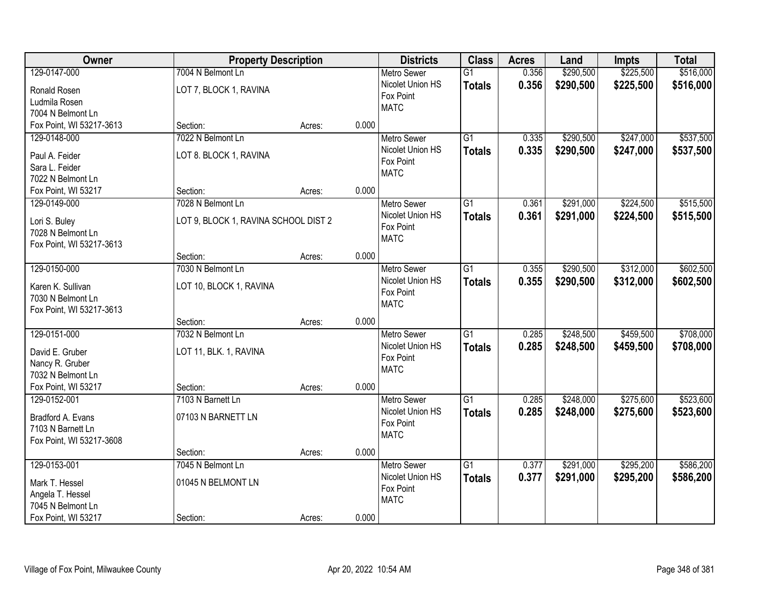| Owner                              |                                      | <b>Property Description</b> |       | <b>Districts</b>              | <b>Class</b>    | <b>Acres</b> | Land      | <b>Impts</b> | <b>Total</b> |
|------------------------------------|--------------------------------------|-----------------------------|-------|-------------------------------|-----------------|--------------|-----------|--------------|--------------|
| 129-0147-000                       | 7004 N Belmont Ln                    |                             |       | <b>Metro Sewer</b>            | $\overline{G1}$ | 0.356        | \$290,500 | \$225,500    | \$516,000    |
| Ronald Rosen                       | LOT 7, BLOCK 1, RAVINA               |                             |       | Nicolet Union HS              | <b>Totals</b>   | 0.356        | \$290,500 | \$225,500    | \$516,000    |
| Ludmila Rosen                      |                                      |                             |       | Fox Point                     |                 |              |           |              |              |
| 7004 N Belmont Ln                  |                                      |                             |       | <b>MATC</b>                   |                 |              |           |              |              |
| Fox Point, WI 53217-3613           | Section:                             | Acres:                      | 0.000 |                               |                 |              |           |              |              |
| 129-0148-000                       | 7022 N Belmont Ln                    |                             |       | <b>Metro Sewer</b>            | $\overline{G1}$ | 0.335        | \$290,500 | \$247,000    | \$537,500    |
| Paul A. Feider                     | LOT 8. BLOCK 1, RAVINA               |                             |       | Nicolet Union HS              | <b>Totals</b>   | 0.335        | \$290,500 | \$247,000    | \$537,500    |
| Sara L. Feider                     |                                      |                             |       | Fox Point                     |                 |              |           |              |              |
| 7022 N Belmont Ln                  |                                      |                             |       | <b>MATC</b>                   |                 |              |           |              |              |
| Fox Point, WI 53217                | Section:                             | Acres:                      | 0.000 |                               |                 |              |           |              |              |
| 129-0149-000                       | 7028 N Belmont Ln                    |                             |       | Metro Sewer                   | $\overline{G1}$ | 0.361        | \$291,000 | \$224,500    | \$515,500    |
|                                    |                                      |                             |       | Nicolet Union HS              | <b>Totals</b>   | 0.361        | \$291,000 | \$224,500    | \$515,500    |
| Lori S. Buley<br>7028 N Belmont Ln | LOT 9, BLOCK 1, RAVINA SCHOOL DIST 2 |                             |       | Fox Point                     |                 |              |           |              |              |
| Fox Point, WI 53217-3613           |                                      |                             |       | <b>MATC</b>                   |                 |              |           |              |              |
|                                    | Section:                             | Acres:                      | 0.000 |                               |                 |              |           |              |              |
| 129-0150-000                       | 7030 N Belmont Ln                    |                             |       | <b>Metro Sewer</b>            | $\overline{G1}$ | 0.355        | \$290,500 | \$312,000    | \$602,500    |
|                                    |                                      |                             |       | Nicolet Union HS              | <b>Totals</b>   | 0.355        | \$290,500 | \$312,000    | \$602,500    |
| Karen K. Sullivan                  | LOT 10, BLOCK 1, RAVINA              |                             |       | Fox Point                     |                 |              |           |              |              |
| 7030 N Belmont Ln                  |                                      |                             |       | <b>MATC</b>                   |                 |              |           |              |              |
| Fox Point, WI 53217-3613           |                                      |                             | 0.000 |                               |                 |              |           |              |              |
| 129-0151-000                       | Section:<br>7032 N Belmont Ln        | Acres:                      |       |                               | $\overline{G1}$ |              |           | \$459,500    | \$708,000    |
|                                    |                                      |                             |       | Metro Sewer                   |                 | 0.285        | \$248,500 |              |              |
| David E. Gruber                    | LOT 11, BLK. 1, RAVINA               |                             |       | Nicolet Union HS<br>Fox Point | <b>Totals</b>   | 0.285        | \$248,500 | \$459,500    | \$708,000    |
| Nancy R. Gruber                    |                                      |                             |       | <b>MATC</b>                   |                 |              |           |              |              |
| 7032 N Belmont Ln                  |                                      |                             |       |                               |                 |              |           |              |              |
| Fox Point, WI 53217                | Section:                             | Acres:                      | 0.000 |                               |                 |              |           |              |              |
| 129-0152-001                       | 7103 N Barnett Ln                    |                             |       | <b>Metro Sewer</b>            | $\overline{G1}$ | 0.285        | \$248,000 | \$275,600    | \$523,600    |
| Bradford A. Evans                  | 07103 N BARNETT LN                   |                             |       | Nicolet Union HS              | <b>Totals</b>   | 0.285        | \$248,000 | \$275,600    | \$523,600    |
| 7103 N Barnett Ln                  |                                      |                             |       | Fox Point                     |                 |              |           |              |              |
| Fox Point, WI 53217-3608           |                                      |                             |       | <b>MATC</b>                   |                 |              |           |              |              |
|                                    | Section:                             | Acres:                      | 0.000 |                               |                 |              |           |              |              |
| 129-0153-001                       | 7045 N Belmont Ln                    |                             |       | <b>Metro Sewer</b>            | $\overline{G1}$ | 0.377        | \$291,000 | \$295,200    | \$586,200    |
| Mark T. Hessel                     | 01045 N BELMONT LN                   |                             |       | Nicolet Union HS              | <b>Totals</b>   | 0.377        | \$291,000 | \$295,200    | \$586,200    |
| Angela T. Hessel                   |                                      |                             |       | Fox Point                     |                 |              |           |              |              |
| 7045 N Belmont Ln                  |                                      |                             |       | <b>MATC</b>                   |                 |              |           |              |              |
| Fox Point, WI 53217                | Section:                             | Acres:                      | 0.000 |                               |                 |              |           |              |              |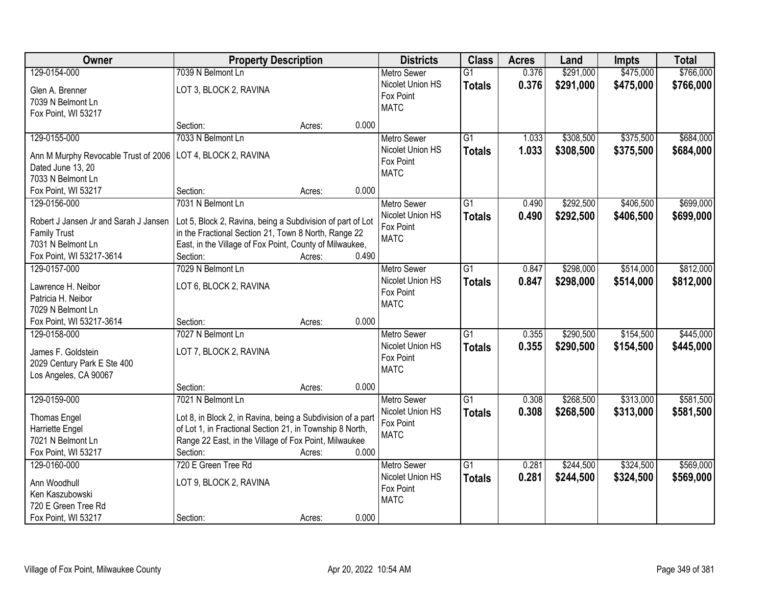| Owner                                                     | <b>Property Description</b>                                 |        |       | <b>Districts</b>   | <b>Class</b>    | <b>Acres</b> | Land      | <b>Impts</b> | <b>Total</b> |
|-----------------------------------------------------------|-------------------------------------------------------------|--------|-------|--------------------|-----------------|--------------|-----------|--------------|--------------|
| 129-0154-000                                              | 7039 N Belmont Ln                                           |        |       | <b>Metro Sewer</b> | $\overline{G1}$ | 0.376        | \$291,000 | \$475,000    | \$766,000    |
| Glen A. Brenner                                           | LOT 3, BLOCK 2, RAVINA                                      |        |       | Nicolet Union HS   | <b>Totals</b>   | 0.376        | \$291,000 | \$475,000    | \$766,000    |
| 7039 N Belmont Ln                                         |                                                             |        |       | Fox Point          |                 |              |           |              |              |
| Fox Point, WI 53217                                       |                                                             |        |       | <b>MATC</b>        |                 |              |           |              |              |
|                                                           | Section:                                                    | Acres: | 0.000 |                    |                 |              |           |              |              |
| 129-0155-000                                              | 7033 N Belmont Ln                                           |        |       | <b>Metro Sewer</b> | $\overline{G1}$ | 1.033        | \$308,500 | \$375,500    | \$684,000    |
|                                                           | LOT 4, BLOCK 2, RAVINA                                      |        |       | Nicolet Union HS   | <b>Totals</b>   | 1.033        | \$308,500 | \$375,500    | \$684,000    |
| Ann M Murphy Revocable Trust of 2006<br>Dated June 13, 20 |                                                             |        |       | Fox Point          |                 |              |           |              |              |
| 7033 N Belmont Ln                                         |                                                             |        |       | <b>MATC</b>        |                 |              |           |              |              |
| Fox Point, WI 53217                                       | Section:                                                    | Acres: | 0.000 |                    |                 |              |           |              |              |
| 129-0156-000                                              | 7031 N Belmont Ln                                           |        |       | Metro Sewer        | $\overline{G1}$ | 0.490        | \$292,500 | \$406,500    | \$699,000    |
|                                                           |                                                             |        |       | Nicolet Union HS   | <b>Totals</b>   | 0.490        | \$292,500 | \$406,500    | \$699,000    |
| Robert J Jansen Jr and Sarah J Jansen                     | Lot 5, Block 2, Ravina, being a Subdivision of part of Lot  |        |       | Fox Point          |                 |              |           |              |              |
| <b>Family Trust</b>                                       | in the Fractional Section 21, Town 8 North, Range 22        |        |       | <b>MATC</b>        |                 |              |           |              |              |
| 7031 N Belmont Ln                                         | East, in the Village of Fox Point, County of Milwaukee,     |        |       |                    |                 |              |           |              |              |
| Fox Point, WI 53217-3614                                  | Section:                                                    | Acres: | 0.490 |                    |                 |              |           |              |              |
| 129-0157-000                                              | 7029 N Belmont Ln                                           |        |       | <b>Metro Sewer</b> | $\overline{G1}$ | 0.847        | \$298,000 | \$514,000    | \$812,000    |
| Lawrence H. Neibor                                        | LOT 6, BLOCK 2, RAVINA                                      |        |       | Nicolet Union HS   | <b>Totals</b>   | 0.847        | \$298,000 | \$514,000    | \$812,000    |
| Patricia H. Neibor                                        |                                                             |        |       | Fox Point          |                 |              |           |              |              |
| 7029 N Belmont Ln                                         |                                                             |        |       | <b>MATC</b>        |                 |              |           |              |              |
| Fox Point, WI 53217-3614                                  | Section:                                                    | Acres: | 0.000 |                    |                 |              |           |              |              |
| 129-0158-000                                              | 7027 N Belmont Ln                                           |        |       | Metro Sewer        | $\overline{G1}$ | 0.355        | \$290,500 | \$154,500    | \$445,000    |
|                                                           |                                                             |        |       | Nicolet Union HS   | <b>Totals</b>   | 0.355        | \$290,500 | \$154,500    | \$445,000    |
| James F. Goldstein                                        | LOT 7, BLOCK 2, RAVINA                                      |        |       | Fox Point          |                 |              |           |              |              |
| 2029 Century Park E Ste 400                               |                                                             |        |       | <b>MATC</b>        |                 |              |           |              |              |
| Los Angeles, CA 90067                                     | Section:                                                    | Acres: | 0.000 |                    |                 |              |           |              |              |
| 129-0159-000                                              | 7021 N Belmont Ln                                           |        |       | <b>Metro Sewer</b> | $\overline{G1}$ | 0.308        | \$268,500 | \$313,000    | \$581,500    |
|                                                           |                                                             |        |       | Nicolet Union HS   |                 | 0.308        | \$268,500 |              |              |
| <b>Thomas Engel</b>                                       | Lot 8, in Block 2, in Ravina, being a Subdivision of a part |        |       | Fox Point          | <b>Totals</b>   |              |           | \$313,000    | \$581,500    |
| Harriette Engel                                           | of Lot 1, in Fractional Section 21, in Township 8 North,    |        |       | <b>MATC</b>        |                 |              |           |              |              |
| 7021 N Belmont Ln                                         | Range 22 East, in the Village of Fox Point, Milwaukee       |        |       |                    |                 |              |           |              |              |
| Fox Point, WI 53217                                       | Section:                                                    | Acres: | 0.000 |                    |                 |              |           |              |              |
| 129-0160-000                                              | 720 E Green Tree Rd                                         |        |       | <b>Metro Sewer</b> | $\overline{G1}$ | 0.281        | \$244,500 | \$324,500    | \$569,000    |
| Ann Woodhull                                              | LOT 9, BLOCK 2, RAVINA                                      |        |       | Nicolet Union HS   | <b>Totals</b>   | 0.281        | \$244,500 | \$324,500    | \$569,000    |
| Ken Kaszubowski                                           |                                                             |        |       | Fox Point          |                 |              |           |              |              |
| 720 E Green Tree Rd                                       |                                                             |        |       | <b>MATC</b>        |                 |              |           |              |              |
| Fox Point, WI 53217                                       | Section:                                                    | Acres: | 0.000 |                    |                 |              |           |              |              |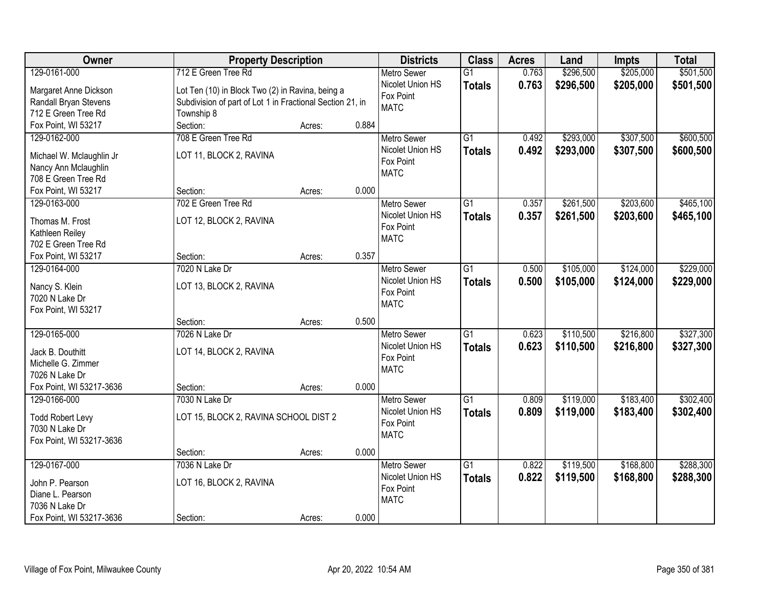| Owner                    | <b>Property Description</b>                               |        |       | <b>Districts</b>   | <b>Class</b>    | <b>Acres</b> | Land      | <b>Impts</b> | <b>Total</b> |
|--------------------------|-----------------------------------------------------------|--------|-------|--------------------|-----------------|--------------|-----------|--------------|--------------|
| 129-0161-000             | 712 E Green Tree Rd                                       |        |       | <b>Metro Sewer</b> | $\overline{G1}$ | 0.763        | \$296,500 | \$205,000    | \$501,500    |
| Margaret Anne Dickson    | Lot Ten (10) in Block Two (2) in Ravina, being a          |        |       | Nicolet Union HS   | <b>Totals</b>   | 0.763        | \$296,500 | \$205,000    | \$501,500    |
| Randall Bryan Stevens    | Subdivision of part of Lot 1 in Fractional Section 21, in |        |       | Fox Point          |                 |              |           |              |              |
| 712 E Green Tree Rd      | Township 8                                                |        |       | <b>MATC</b>        |                 |              |           |              |              |
| Fox Point, WI 53217      | Section:                                                  | Acres: | 0.884 |                    |                 |              |           |              |              |
| 129-0162-000             | 708 E Green Tree Rd                                       |        |       | <b>Metro Sewer</b> | $\overline{G1}$ | 0.492        | \$293,000 | \$307,500    | \$600,500    |
|                          |                                                           |        |       | Nicolet Union HS   | <b>Totals</b>   | 0.492        | \$293,000 | \$307,500    | \$600,500    |
| Michael W. Mclaughlin Jr | LOT 11, BLOCK 2, RAVINA                                   |        |       | Fox Point          |                 |              |           |              |              |
| Nancy Ann Mclaughlin     |                                                           |        |       | <b>MATC</b>        |                 |              |           |              |              |
| 708 E Green Tree Rd      |                                                           |        |       |                    |                 |              |           |              |              |
| Fox Point, WI 53217      | Section:                                                  | Acres: | 0.000 |                    |                 |              |           |              |              |
| 129-0163-000             | 702 E Green Tree Rd                                       |        |       | <b>Metro Sewer</b> | G1              | 0.357        | \$261,500 | \$203,600    | \$465,100    |
| Thomas M. Frost          | LOT 12, BLOCK 2, RAVINA                                   |        |       | Nicolet Union HS   | <b>Totals</b>   | 0.357        | \$261,500 | \$203,600    | \$465,100    |
| Kathleen Reiley          |                                                           |        |       | Fox Point          |                 |              |           |              |              |
| 702 E Green Tree Rd      |                                                           |        |       | <b>MATC</b>        |                 |              |           |              |              |
| Fox Point, WI 53217      | Section:                                                  | Acres: | 0.357 |                    |                 |              |           |              |              |
| 129-0164-000             | 7020 N Lake Dr                                            |        |       | <b>Metro Sewer</b> | G1              | 0.500        | \$105,000 | \$124,000    | \$229,000    |
|                          |                                                           |        |       | Nicolet Union HS   | <b>Totals</b>   | 0.500        | \$105,000 | \$124,000    | \$229,000    |
| Nancy S. Klein           | LOT 13, BLOCK 2, RAVINA                                   |        |       | Fox Point          |                 |              |           |              |              |
| 7020 N Lake Dr           |                                                           |        |       | <b>MATC</b>        |                 |              |           |              |              |
| Fox Point, WI 53217      |                                                           |        |       |                    |                 |              |           |              |              |
|                          | Section:                                                  | Acres: | 0.500 |                    |                 |              |           |              |              |
| 129-0165-000             | 7026 N Lake Dr                                            |        |       | <b>Metro Sewer</b> | $\overline{G1}$ | 0.623        | \$110,500 | \$216,800    | \$327,300    |
| Jack B. Douthitt         | LOT 14, BLOCK 2, RAVINA                                   |        |       | Nicolet Union HS   | <b>Totals</b>   | 0.623        | \$110,500 | \$216,800    | \$327,300    |
| Michelle G. Zimmer       |                                                           |        |       | Fox Point          |                 |              |           |              |              |
| 7026 N Lake Dr           |                                                           |        |       | <b>MATC</b>        |                 |              |           |              |              |
| Fox Point, WI 53217-3636 | Section:                                                  | Acres: | 0.000 |                    |                 |              |           |              |              |
| 129-0166-000             | 7030 N Lake Dr                                            |        |       | <b>Metro Sewer</b> | $\overline{G1}$ | 0.809        | \$119,000 | \$183,400    | \$302,400    |
|                          |                                                           |        |       | Nicolet Union HS   | <b>Totals</b>   | 0.809        | \$119,000 | \$183,400    | \$302,400    |
| <b>Todd Robert Levy</b>  | LOT 15, BLOCK 2, RAVINA SCHOOL DIST 2                     |        |       | Fox Point          |                 |              |           |              |              |
| 7030 N Lake Dr           |                                                           |        |       | <b>MATC</b>        |                 |              |           |              |              |
| Fox Point, WI 53217-3636 |                                                           |        |       |                    |                 |              |           |              |              |
|                          | Section:                                                  | Acres: | 0.000 |                    |                 |              |           |              |              |
| 129-0167-000             | 7036 N Lake Dr                                            |        |       | <b>Metro Sewer</b> | $\overline{G1}$ | 0.822        | \$119,500 | \$168,800    | \$288,300    |
| John P. Pearson          | LOT 16, BLOCK 2, RAVINA                                   |        |       | Nicolet Union HS   | <b>Totals</b>   | 0.822        | \$119,500 | \$168,800    | \$288,300    |
| Diane L. Pearson         |                                                           |        |       | Fox Point          |                 |              |           |              |              |
| 7036 N Lake Dr           |                                                           |        |       | <b>MATC</b>        |                 |              |           |              |              |
| Fox Point, WI 53217-3636 | Section:                                                  | Acres: | 0.000 |                    |                 |              |           |              |              |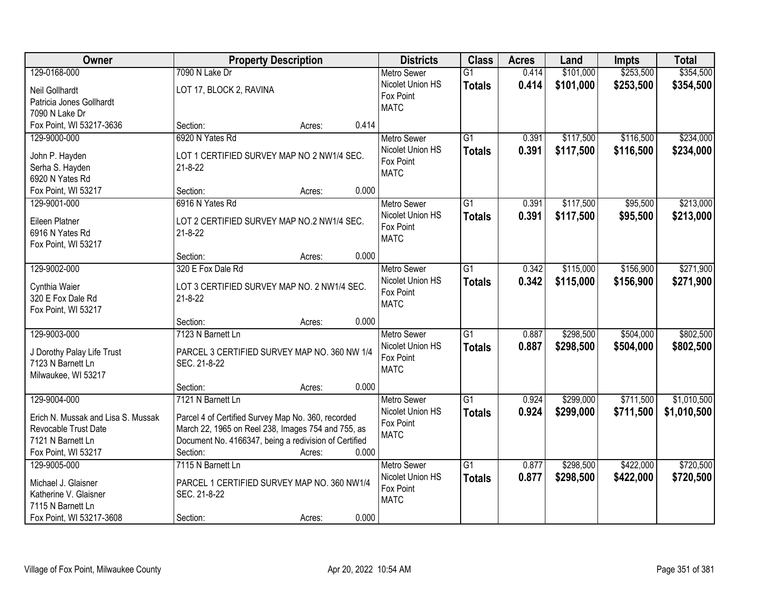| Owner                              | <b>Property Description</b>                           | <b>Districts</b>         | <b>Class</b>    | <b>Acres</b> | Land      | <b>Impts</b> | <b>Total</b> |
|------------------------------------|-------------------------------------------------------|--------------------------|-----------------|--------------|-----------|--------------|--------------|
| 129-0168-000                       | 7090 N Lake Dr                                        | <b>Metro Sewer</b>       | $\overline{G1}$ | 0.414        | \$101,000 | \$253,500    | \$354,500    |
| Neil Gollhardt                     | LOT 17, BLOCK 2, RAVINA                               | Nicolet Union HS         | <b>Totals</b>   | 0.414        | \$101,000 | \$253,500    | \$354,500    |
| Patricia Jones Gollhardt           |                                                       | Fox Point                |                 |              |           |              |              |
| 7090 N Lake Dr                     |                                                       | <b>MATC</b>              |                 |              |           |              |              |
| Fox Point, WI 53217-3636           | 0.414<br>Section:<br>Acres:                           |                          |                 |              |           |              |              |
| 129-9000-000                       | 6920 N Yates Rd                                       | <b>Metro Sewer</b>       | $\overline{G1}$ | 0.391        | \$117,500 | \$116,500    | \$234,000    |
|                                    |                                                       | Nicolet Union HS         | <b>Totals</b>   | 0.391        | \$117,500 | \$116,500    | \$234,000    |
| John P. Hayden                     | LOT 1 CERTIFIED SURVEY MAP NO 2 NW1/4 SEC.            | Fox Point                |                 |              |           |              |              |
| Serha S. Hayden                    | $21 - 8 - 22$                                         | <b>MATC</b>              |                 |              |           |              |              |
| 6920 N Yates Rd                    |                                                       |                          |                 |              |           |              |              |
| Fox Point, WI 53217                | 0.000<br>Section:<br>Acres:                           |                          |                 |              |           |              |              |
| 129-9001-000                       | 6916 N Yates Rd                                       | Metro Sewer              | G1              | 0.391        | \$117,500 | \$95,500     | \$213,000    |
| <b>Eileen Platner</b>              | LOT 2 CERTIFIED SURVEY MAP NO.2 NW1/4 SEC.            | Nicolet Union HS         | <b>Totals</b>   | 0.391        | \$117,500 | \$95,500     | \$213,000    |
| 6916 N Yates Rd                    | $21 - 8 - 22$                                         | Fox Point<br><b>MATC</b> |                 |              |           |              |              |
| Fox Point, WI 53217                |                                                       |                          |                 |              |           |              |              |
|                                    | 0.000<br>Section:<br>Acres:                           |                          |                 |              |           |              |              |
| 129-9002-000                       | 320 E Fox Dale Rd                                     | <b>Metro Sewer</b>       | G1              | 0.342        | \$115,000 | \$156,900    | \$271,900    |
| Cynthia Waier                      | LOT 3 CERTIFIED SURVEY MAP NO. 2 NW1/4 SEC.           | Nicolet Union HS         | <b>Totals</b>   | 0.342        | \$115,000 | \$156,900    | \$271,900    |
| 320 E Fox Dale Rd                  | $21 - 8 - 22$                                         | Fox Point                |                 |              |           |              |              |
| Fox Point, WI 53217                |                                                       | <b>MATC</b>              |                 |              |           |              |              |
|                                    | 0.000<br>Section:<br>Acres:                           |                          |                 |              |           |              |              |
| 129-9003-000                       | 7123 N Barnett Ln                                     | <b>Metro Sewer</b>       | $\overline{G1}$ | 0.887        | \$298,500 | \$504,000    | \$802,500    |
|                                    |                                                       | Nicolet Union HS         | <b>Totals</b>   | 0.887        | \$298,500 | \$504,000    | \$802,500    |
| J Dorothy Palay Life Trust         | PARCEL 3 CERTIFIED SURVEY MAP NO. 360 NW 1/4          | Fox Point                |                 |              |           |              |              |
| 7123 N Barnett Ln                  | SEC. 21-8-22                                          | <b>MATC</b>              |                 |              |           |              |              |
| Milwaukee, WI 53217                |                                                       |                          |                 |              |           |              |              |
|                                    | 0.000<br>Section:<br>Acres:                           |                          |                 |              |           |              |              |
| 129-9004-000                       | 7121 N Barnett Ln                                     | Metro Sewer              | G1              | 0.924        | \$299,000 | \$711,500    | \$1,010,500  |
| Erich N. Mussak and Lisa S. Mussak | Parcel 4 of Certified Survey Map No. 360, recorded    | Nicolet Union HS         | <b>Totals</b>   | 0.924        | \$299,000 | \$711,500    | \$1,010,500  |
| Revocable Trust Date               | March 22, 1965 on Reel 238, Images 754 and 755, as    | Fox Point                |                 |              |           |              |              |
| 7121 N Barnett Ln                  | Document No. 4166347, being a redivision of Certified | <b>MATC</b>              |                 |              |           |              |              |
| Fox Point, WI 53217                | Section:<br>0.000<br>Acres:                           |                          |                 |              |           |              |              |
| 129-9005-000                       | 7115 N Barnett Ln                                     | <b>Metro Sewer</b>       | $\overline{G1}$ | 0.877        | \$298,500 | \$422,000    | \$720,500    |
|                                    |                                                       | Nicolet Union HS         | <b>Totals</b>   | 0.877        | \$298,500 | \$422,000    | \$720,500    |
| Michael J. Glaisner                | PARCEL 1 CERTIFIED SURVEY MAP NO. 360 NW1/4           | Fox Point                |                 |              |           |              |              |
| Katherine V. Glaisner              | SEC. 21-8-22                                          | <b>MATC</b>              |                 |              |           |              |              |
| 7115 N Barnett Ln                  |                                                       |                          |                 |              |           |              |              |
| Fox Point, WI 53217-3608           | 0.000<br>Section:<br>Acres:                           |                          |                 |              |           |              |              |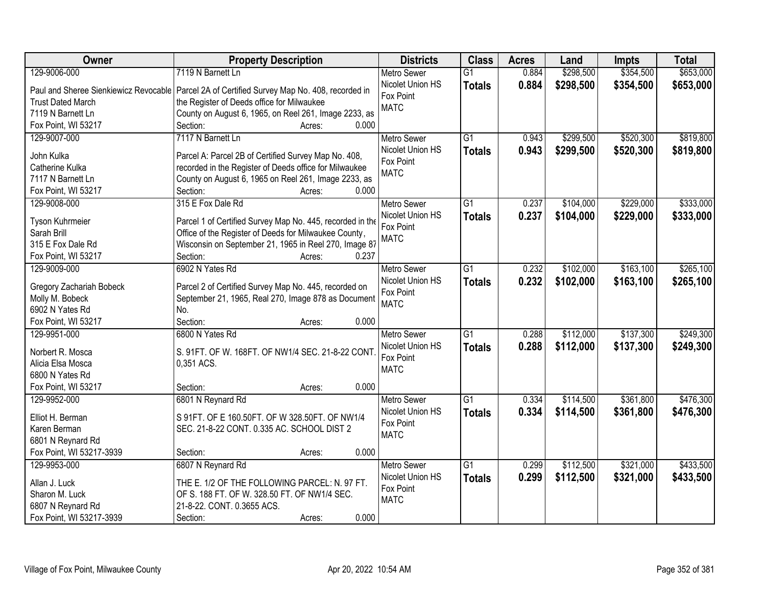| Owner                           | <b>Property Description</b>                                                                    | <b>Districts</b>   | <b>Class</b>    | <b>Acres</b> | Land      | <b>Impts</b> | <b>Total</b> |
|---------------------------------|------------------------------------------------------------------------------------------------|--------------------|-----------------|--------------|-----------|--------------|--------------|
| 129-9006-000                    | 7119 N Barnett Ln                                                                              | <b>Metro Sewer</b> | $\overline{G1}$ | 0.884        | \$298,500 | \$354,500    | \$653,000    |
|                                 | Paul and Sheree Sienkiewicz Revocable   Parcel 2A of Certified Survey Map No. 408, recorded in | Nicolet Union HS   | <b>Totals</b>   | 0.884        | \$298,500 | \$354,500    | \$653,000    |
| <b>Trust Dated March</b>        | the Register of Deeds office for Milwaukee                                                     | Fox Point          |                 |              |           |              |              |
| 7119 N Barnett Ln               | County on August 6, 1965, on Reel 261, Image 2233, as                                          | <b>MATC</b>        |                 |              |           |              |              |
| Fox Point, WI 53217             | Section:<br>0.000<br>Acres:                                                                    |                    |                 |              |           |              |              |
| 129-9007-000                    | 7117 N Barnett Ln                                                                              | <b>Metro Sewer</b> | $\overline{G1}$ | 0.943        | \$299,500 | \$520,300    | \$819,800    |
|                                 |                                                                                                | Nicolet Union HS   | <b>Totals</b>   | 0.943        | \$299,500 | \$520,300    | \$819,800    |
| John Kulka                      | Parcel A: Parcel 2B of Certified Survey Map No. 408,                                           | Fox Point          |                 |              |           |              |              |
| Catherine Kulka                 | recorded in the Register of Deeds office for Milwaukee                                         | <b>MATC</b>        |                 |              |           |              |              |
| 7117 N Barnett Ln               | County on August 6, 1965 on Reel 261, Image 2233, as                                           |                    |                 |              |           |              |              |
| Fox Point, WI 53217             | 0.000<br>Section:<br>Acres:                                                                    |                    |                 |              |           |              |              |
| 129-9008-000                    | 315 E Fox Dale Rd                                                                              | <b>Metro Sewer</b> | $\overline{G1}$ | 0.237        | \$104,000 | \$229,000    | \$333,000    |
| Tyson Kuhrmeier                 | Parcel 1 of Certified Survey Map No. 445, recorded in the                                      | Nicolet Union HS   | <b>Totals</b>   | 0.237        | \$104,000 | \$229,000    | \$333,000    |
| Sarah Brill                     | Office of the Register of Deeds for Milwaukee County,                                          | Fox Point          |                 |              |           |              |              |
| 315 E Fox Dale Rd               | Wisconsin on September 21, 1965 in Reel 270, Image 87                                          | <b>MATC</b>        |                 |              |           |              |              |
| Fox Point, WI 53217             | Section:<br>0.237<br>Acres:                                                                    |                    |                 |              |           |              |              |
| 129-9009-000                    | 6902 N Yates Rd                                                                                | <b>Metro Sewer</b> | $\overline{G1}$ | 0.232        | \$102,000 | \$163,100    | \$265,100    |
|                                 |                                                                                                | Nicolet Union HS   |                 | 0.232        | \$102,000 | \$163,100    |              |
| <b>Gregory Zachariah Bobeck</b> | Parcel 2 of Certified Survey Map No. 445, recorded on                                          | Fox Point          | <b>Totals</b>   |              |           |              | \$265,100    |
| Molly M. Bobeck                 | September 21, 1965, Real 270, Image 878 as Document                                            | <b>MATC</b>        |                 |              |           |              |              |
| 6902 N Yates Rd                 | No.                                                                                            |                    |                 |              |           |              |              |
| Fox Point, WI 53217             | Section:<br>0.000<br>Acres:                                                                    |                    |                 |              |           |              |              |
| 129-9951-000                    | 6800 N Yates Rd                                                                                | <b>Metro Sewer</b> | $\overline{G1}$ | 0.288        | \$112,000 | \$137,300    | \$249,300    |
| Norbert R. Mosca                | S. 91FT. OF W. 168FT. OF NW1/4 SEC. 21-8-22 CONT                                               | Nicolet Union HS   | <b>Totals</b>   | 0.288        | \$112,000 | \$137,300    | \$249,300    |
| Alicia Elsa Mosca               | 0,351 ACS.                                                                                     | Fox Point          |                 |              |           |              |              |
| 6800 N Yates Rd                 |                                                                                                | <b>MATC</b>        |                 |              |           |              |              |
| Fox Point, WI 53217             | Section:<br>0.000<br>Acres:                                                                    |                    |                 |              |           |              |              |
| 129-9952-000                    | 6801 N Reynard Rd                                                                              | <b>Metro Sewer</b> | $\overline{G1}$ | 0.334        | \$114,500 | \$361,800    | \$476,300    |
|                                 |                                                                                                | Nicolet Union HS   |                 |              |           |              |              |
| Elliot H. Berman                | S 91FT. OF E 160.50FT. OF W 328.50FT. OF NW1/4                                                 | Fox Point          | <b>Totals</b>   | 0.334        | \$114,500 | \$361,800    | \$476,300    |
| Karen Berman                    | SEC. 21-8-22 CONT. 0.335 AC. SCHOOL DIST 2                                                     | <b>MATC</b>        |                 |              |           |              |              |
| 6801 N Reynard Rd               |                                                                                                |                    |                 |              |           |              |              |
| Fox Point, WI 53217-3939        | 0.000<br>Section:<br>Acres:                                                                    |                    |                 |              |           |              |              |
| 129-9953-000                    | 6807 N Reynard Rd                                                                              | <b>Metro Sewer</b> | $\overline{G1}$ | 0.299        | \$112,500 | \$321,000    | \$433,500    |
| Allan J. Luck                   | THE E. 1/2 OF THE FOLLOWING PARCEL: N. 97 FT.                                                  | Nicolet Union HS   | <b>Totals</b>   | 0.299        | \$112,500 | \$321,000    | \$433,500    |
| Sharon M. Luck                  | OF S. 188 FT. OF W. 328.50 FT. OF NW1/4 SEC.                                                   | Fox Point          |                 |              |           |              |              |
| 6807 N Reynard Rd               | 21-8-22. CONT. 0.3655 ACS.                                                                     | <b>MATC</b>        |                 |              |           |              |              |
|                                 |                                                                                                |                    |                 |              |           |              |              |
| Fox Point, WI 53217-3939        | 0.000<br>Section:<br>Acres:                                                                    |                    |                 |              |           |              |              |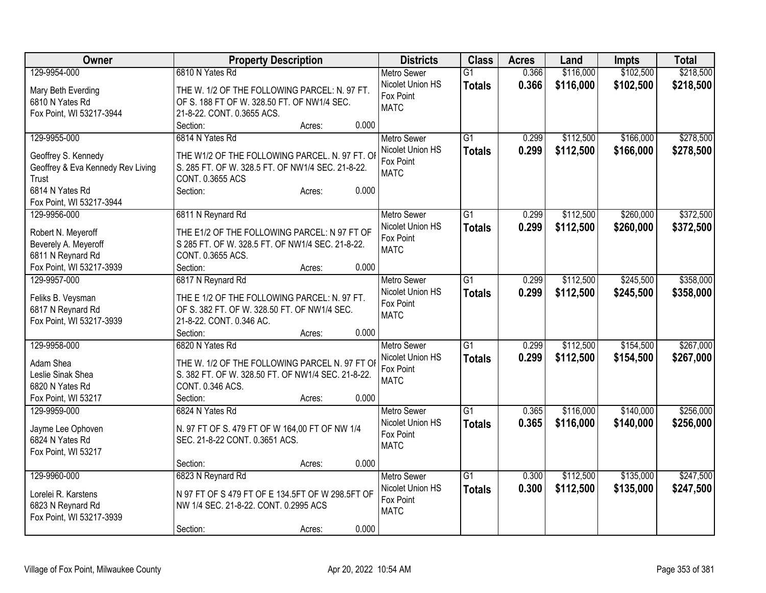| <b>Owner</b>                                  | <b>Property Description</b>                                                                  | <b>Districts</b>         | <b>Class</b>    | <b>Acres</b> | Land      | <b>Impts</b> | <b>Total</b> |
|-----------------------------------------------|----------------------------------------------------------------------------------------------|--------------------------|-----------------|--------------|-----------|--------------|--------------|
| 129-9954-000                                  | 6810 N Yates Rd                                                                              | <b>Metro Sewer</b>       | $\overline{G1}$ | 0.366        | \$116,000 | \$102,500    | \$218,500    |
| Mary Beth Everding                            | THE W. 1/2 OF THE FOLLOWING PARCEL: N. 97 FT.                                                | Nicolet Union HS         | <b>Totals</b>   | 0.366        | \$116,000 | \$102,500    | \$218,500    |
| 6810 N Yates Rd                               | OF S. 188 FT OF W. 328.50 FT. OF NW1/4 SEC.                                                  | Fox Point                |                 |              |           |              |              |
| Fox Point, WI 53217-3944                      | 21-8-22. CONT. 0.3655 ACS.                                                                   | <b>MATC</b>              |                 |              |           |              |              |
|                                               | 0.000<br>Section:<br>Acres:                                                                  |                          |                 |              |           |              |              |
| 129-9955-000                                  | 6814 N Yates Rd                                                                              | <b>Metro Sewer</b>       | $\overline{G1}$ | 0.299        | \$112,500 | \$166,000    | \$278,500    |
|                                               |                                                                                              | Nicolet Union HS         | <b>Totals</b>   | 0.299        | \$112,500 | \$166,000    | \$278,500    |
| Geoffrey S. Kennedy                           | THE W1/2 OF THE FOLLOWING PARCEL. N. 97 FT. OI                                               | Fox Point                |                 |              |           |              |              |
| Geoffrey & Eva Kennedy Rev Living             | S. 285 FT. OF W. 328.5 FT. OF NW1/4 SEC. 21-8-22.                                            | <b>MATC</b>              |                 |              |           |              |              |
| Trust                                         | CONT. 0.3655 ACS                                                                             |                          |                 |              |           |              |              |
| 6814 N Yates Rd                               | 0.000<br>Section:<br>Acres:                                                                  |                          |                 |              |           |              |              |
| Fox Point, WI 53217-3944                      |                                                                                              |                          |                 |              |           |              |              |
| 129-9956-000                                  | 6811 N Reynard Rd                                                                            | Metro Sewer              | $\overline{G1}$ | 0.299        | \$112,500 | \$260,000    | \$372,500    |
| Robert N. Meyeroff                            | THE E1/2 OF THE FOLLOWING PARCEL: N 97 FT OF                                                 | Nicolet Union HS         | <b>Totals</b>   | 0.299        | \$112,500 | \$260,000    | \$372,500    |
| Beverely A. Meyeroff                          | S 285 FT. OF W. 328.5 FT. OF NW1/4 SEC. 21-8-22.                                             | Fox Point<br><b>MATC</b> |                 |              |           |              |              |
| 6811 N Reynard Rd                             | CONT. 0.3655 ACS.                                                                            |                          |                 |              |           |              |              |
| Fox Point, WI 53217-3939                      | Section:<br>0.000<br>Acres:                                                                  |                          |                 |              |           |              |              |
| 129-9957-000                                  | 6817 N Reynard Rd                                                                            | Metro Sewer              | $\overline{G1}$ | 0.299        | \$112,500 | \$245,500    | \$358,000    |
|                                               |                                                                                              | Nicolet Union HS         | <b>Totals</b>   | 0.299        | \$112,500 | \$245,500    | \$358,000    |
| Feliks B. Veysman                             | THE E 1/2 OF THE FOLLOWING PARCEL: N. 97 FT.<br>OF S. 382 FT. OF W. 328.50 FT. OF NW1/4 SEC. | Fox Point                |                 |              |           |              |              |
| 6817 N Reynard Rd<br>Fox Point, WI 53217-3939 | 21-8-22. CONT. 0.346 AC.                                                                     | <b>MATC</b>              |                 |              |           |              |              |
|                                               | 0.000<br>Section:<br>Acres:                                                                  |                          |                 |              |           |              |              |
| 129-9958-000                                  | 6820 N Yates Rd                                                                              | <b>Metro Sewer</b>       | G1              | 0.299        | \$112,500 | \$154,500    | \$267,000    |
|                                               |                                                                                              | Nicolet Union HS         |                 |              |           |              |              |
| Adam Shea                                     | THE W. 1/2 OF THE FOLLOWING PARCEL N. 97 FT OI                                               | Fox Point                | <b>Totals</b>   | 0.299        | \$112,500 | \$154,500    | \$267,000    |
| Leslie Sinak Shea                             | S. 382 FT. OF W. 328.50 FT. OF NW1/4 SEC. 21-8-22.                                           | <b>MATC</b>              |                 |              |           |              |              |
| 6820 N Yates Rd                               | CONT. 0.346 ACS.                                                                             |                          |                 |              |           |              |              |
| Fox Point, WI 53217                           | Section:<br>0.000<br>Acres:                                                                  |                          |                 |              |           |              |              |
| 129-9959-000                                  | 6824 N Yates Rd                                                                              | Metro Sewer              | $\overline{G1}$ | 0.365        | \$116,000 | \$140,000    | \$256,000    |
| Jayme Lee Ophoven                             | N. 97 FT OF S. 479 FT OF W 164,00 FT OF NW 1/4                                               | Nicolet Union HS         | <b>Totals</b>   | 0.365        | \$116,000 | \$140,000    | \$256,000    |
| 6824 N Yates Rd                               | SEC. 21-8-22 CONT. 0.3651 ACS.                                                               | Fox Point                |                 |              |           |              |              |
| Fox Point, WI 53217                           |                                                                                              | <b>MATC</b>              |                 |              |           |              |              |
|                                               | 0.000<br>Section:<br>Acres:                                                                  |                          |                 |              |           |              |              |
| 129-9960-000                                  | 6823 N Reynard Rd                                                                            | Metro Sewer              | $\overline{G1}$ | 0.300        | \$112,500 | \$135,000    | \$247,500    |
|                                               |                                                                                              | Nicolet Union HS         | <b>Totals</b>   | 0.300        | \$112,500 | \$135,000    | \$247,500    |
| Lorelei R. Karstens                           | N 97 FT OF S 479 FT OF E 134.5FT OF W 298.5FT OF                                             | Fox Point                |                 |              |           |              |              |
| 6823 N Reynard Rd                             | NW 1/4 SEC. 21-8-22. CONT. 0.2995 ACS                                                        | <b>MATC</b>              |                 |              |           |              |              |
| Fox Point, WI 53217-3939                      |                                                                                              |                          |                 |              |           |              |              |
|                                               | 0.000<br>Section:<br>Acres:                                                                  |                          |                 |              |           |              |              |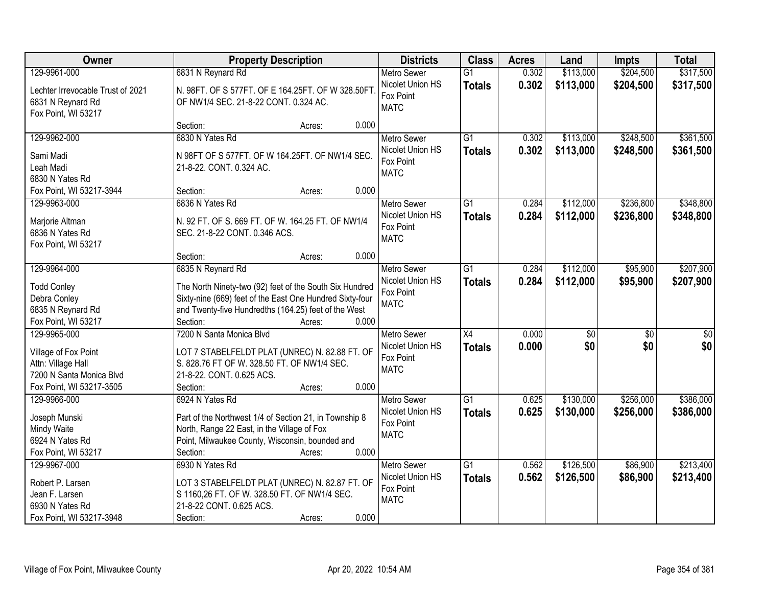| Owner                                                  | <b>Property Description</b>                                                                           | <b>Districts</b>                             | <b>Class</b>    | <b>Acres</b> | Land            | <b>Impts</b>    | <b>Total</b>     |
|--------------------------------------------------------|-------------------------------------------------------------------------------------------------------|----------------------------------------------|-----------------|--------------|-----------------|-----------------|------------------|
| 129-9961-000                                           | 6831 N Reynard Rd                                                                                     | <b>Metro Sewer</b>                           | $\overline{G1}$ | 0.302        | \$113,000       | \$204,500       | \$317,500        |
| Lechter Irrevocable Trust of 2021<br>6831 N Reynard Rd | N. 98FT. OF S 577FT. OF E 164.25FT. OF W 328.50FT<br>OF NW1/4 SEC. 21-8-22 CONT. 0.324 AC.            | Nicolet Union HS<br>Fox Point<br><b>MATC</b> | <b>Totals</b>   | 0.302        | \$113,000       | \$204,500       | \$317,500        |
| Fox Point, WI 53217                                    |                                                                                                       |                                              |                 |              |                 |                 |                  |
|                                                        | 0.000<br>Section:<br>Acres:                                                                           |                                              |                 |              |                 |                 |                  |
| 129-9962-000                                           | 6830 N Yates Rd                                                                                       | <b>Metro Sewer</b>                           | $\overline{G1}$ | 0.302        | \$113,000       | \$248,500       | \$361,500        |
| Sami Madi                                              | N 98FT OF S 577FT. OF W 164.25FT. OF NW1/4 SEC.                                                       | Nicolet Union HS                             | <b>Totals</b>   | 0.302        | \$113,000       | \$248,500       | \$361,500        |
| Leah Madi                                              | 21-8-22. CONT. 0.324 AC.                                                                              | Fox Point                                    |                 |              |                 |                 |                  |
| 6830 N Yates Rd                                        |                                                                                                       | <b>MATC</b>                                  |                 |              |                 |                 |                  |
| Fox Point, WI 53217-3944                               | 0.000<br>Section:<br>Acres:                                                                           |                                              |                 |              |                 |                 |                  |
| 129-9963-000                                           | 6836 N Yates Rd                                                                                       | <b>Metro Sewer</b>                           | $\overline{G1}$ | 0.284        | \$112,000       | \$236,800       | \$348,800        |
|                                                        |                                                                                                       | Nicolet Union HS                             | <b>Totals</b>   | 0.284        | \$112,000       | \$236,800       | \$348,800        |
| Marjorie Altman                                        | N. 92 FT. OF S. 669 FT. OF W. 164.25 FT. OF NW1/4                                                     | Fox Point                                    |                 |              |                 |                 |                  |
| 6836 N Yates Rd                                        | SEC. 21-8-22 CONT. 0.346 ACS.                                                                         | <b>MATC</b>                                  |                 |              |                 |                 |                  |
| Fox Point, WI 53217                                    | 0.000<br>Section:<br>Acres:                                                                           |                                              |                 |              |                 |                 |                  |
| 129-9964-000                                           | 6835 N Reynard Rd                                                                                     | <b>Metro Sewer</b>                           | $\overline{G1}$ | 0.284        | \$112,000       | \$95,900        | \$207,900        |
|                                                        |                                                                                                       | Nicolet Union HS                             |                 | 0.284        | \$112,000       |                 |                  |
| <b>Todd Conley</b>                                     | The North Ninety-two (92) feet of the South Six Hundred                                               | Fox Point                                    | <b>Totals</b>   |              |                 | \$95,900        | \$207,900        |
| Debra Conley                                           | Sixty-nine (669) feet of the East One Hundred Sixty-four                                              | <b>MATC</b>                                  |                 |              |                 |                 |                  |
| 6835 N Reynard Rd                                      | and Twenty-five Hundredths (164.25) feet of the West                                                  |                                              |                 |              |                 |                 |                  |
| Fox Point, WI 53217                                    | Section:<br>0.000<br>Acres:                                                                           |                                              |                 |              |                 |                 |                  |
| 129-9965-000                                           | 7200 N Santa Monica Blvd                                                                              | <b>Metro Sewer</b>                           | X4              | 0.000        | $\overline{50}$ | $\overline{50}$ | $\overline{\$0}$ |
| Village of Fox Point                                   | LOT 7 STABELFELDT PLAT (UNREC) N. 82.88 FT. OF                                                        | Nicolet Union HS                             | <b>Totals</b>   | 0.000        | \$0             | \$0             | \$0              |
| Attn: Village Hall                                     | S. 828.76 FT OF W. 328.50 FT. OF NW1/4 SEC.                                                           | Fox Point                                    |                 |              |                 |                 |                  |
| 7200 N Santa Monica Blvd                               | 21-8-22. CONT. 0.625 ACS.                                                                             | <b>MATC</b>                                  |                 |              |                 |                 |                  |
| Fox Point, WI 53217-3505                               | 0.000<br>Section:<br>Acres:                                                                           |                                              |                 |              |                 |                 |                  |
| 129-9966-000                                           | 6924 N Yates Rd                                                                                       | Metro Sewer                                  | $\overline{G1}$ | 0.625        | \$130,000       | \$256,000       | \$386,000        |
|                                                        |                                                                                                       | Nicolet Union HS                             | <b>Totals</b>   | 0.625        | \$130,000       | \$256,000       | \$386,000        |
| Joseph Munski<br>Mindy Waite                           | Part of the Northwest 1/4 of Section 21, in Township 8<br>North, Range 22 East, in the Village of Fox | Fox Point                                    |                 |              |                 |                 |                  |
| 6924 N Yates Rd                                        | Point, Milwaukee County, Wisconsin, bounded and                                                       | <b>MATC</b>                                  |                 |              |                 |                 |                  |
| Fox Point, WI 53217                                    | 0.000<br>Section:<br>Acres:                                                                           |                                              |                 |              |                 |                 |                  |
| 129-9967-000                                           | 6930 N Yates Rd                                                                                       | <b>Metro Sewer</b>                           | $\overline{G1}$ | 0.562        | \$126,500       | \$86,900        | \$213,400        |
|                                                        |                                                                                                       | Nicolet Union HS                             | <b>Totals</b>   | 0.562        | \$126,500       | \$86,900        | \$213,400        |
| Robert P. Larsen                                       | LOT 3 STABELFELDT PLAT (UNREC) N. 82.87 FT. OF                                                        | Fox Point                                    |                 |              |                 |                 |                  |
| Jean F. Larsen                                         | S 1160,26 FT. OF W. 328.50 FT. OF NW1/4 SEC.                                                          | <b>MATC</b>                                  |                 |              |                 |                 |                  |
| 6930 N Yates Rd                                        | 21-8-22 CONT. 0.625 ACS.                                                                              |                                              |                 |              |                 |                 |                  |
| Fox Point, WI 53217-3948                               | 0.000<br>Section:<br>Acres:                                                                           |                                              |                 |              |                 |                 |                  |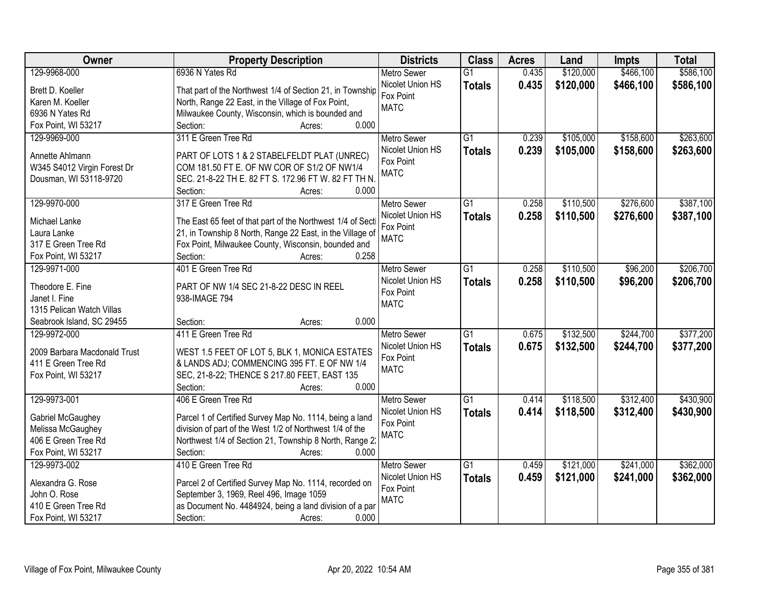| Owner                        | <b>Property Description</b>                                | <b>Districts</b>   | <b>Class</b>    | <b>Acres</b> | Land      | <b>Impts</b> | <b>Total</b> |
|------------------------------|------------------------------------------------------------|--------------------|-----------------|--------------|-----------|--------------|--------------|
| 129-9968-000                 | 6936 N Yates Rd                                            | <b>Metro Sewer</b> | $\overline{G1}$ | 0.435        | \$120,000 | \$466,100    | \$586,100    |
| Brett D. Koeller             | That part of the Northwest 1/4 of Section 21, in Township  | Nicolet Union HS   | <b>Totals</b>   | 0.435        | \$120,000 | \$466,100    | \$586,100    |
| Karen M. Koeller             | North, Range 22 East, in the Village of Fox Point,         | Fox Point          |                 |              |           |              |              |
| 6936 N Yates Rd              | Milwaukee County, Wisconsin, which is bounded and          | <b>MATC</b>        |                 |              |           |              |              |
| Fox Point, WI 53217          | 0.000<br>Section:<br>Acres:                                |                    |                 |              |           |              |              |
| 129-9969-000                 | 311 E Green Tree Rd                                        | <b>Metro Sewer</b> | $\overline{G1}$ | 0.239        | \$105,000 | \$158,600    | \$263,600    |
|                              |                                                            | Nicolet Union HS   | <b>Totals</b>   | 0.239        | \$105,000 | \$158,600    | \$263,600    |
| Annette Ahlmann              | PART OF LOTS 1 & 2 STABELFELDT PLAT (UNREC)                | Fox Point          |                 |              |           |              |              |
| W345 S4012 Virgin Forest Dr  | COM 181.50 FT E. OF NW COR OF S1/2 OF NW1/4                | <b>MATC</b>        |                 |              |           |              |              |
| Dousman, WI 53118-9720       | SEC. 21-8-22 TH E. 82 FT S. 172.96 FT W. 82 FT TH N.       |                    |                 |              |           |              |              |
|                              | 0.000<br>Section:<br>Acres:                                |                    |                 |              |           |              |              |
| 129-9970-000                 | 317 E Green Tree Rd                                        | <b>Metro Sewer</b> | $\overline{G1}$ | 0.258        | \$110,500 | \$276,600    | \$387,100    |
| Michael Lanke                | The East 65 feet of that part of the Northwest 1/4 of Sect | Nicolet Union HS   | <b>Totals</b>   | 0.258        | \$110,500 | \$276,600    | \$387,100    |
| Laura Lanke                  | 21, in Township 8 North, Range 22 East, in the Village of  | Fox Point          |                 |              |           |              |              |
| 317 E Green Tree Rd          | Fox Point, Milwaukee County, Wisconsin, bounded and        | <b>MATC</b>        |                 |              |           |              |              |
| Fox Point, WI 53217          | Section:<br>0.258<br>Acres:                                |                    |                 |              |           |              |              |
| 129-9971-000                 | 401 E Green Tree Rd                                        | <b>Metro Sewer</b> | G1              | 0.258        | \$110,500 | \$96,200     | \$206,700    |
|                              |                                                            | Nicolet Union HS   | <b>Totals</b>   | 0.258        | \$110,500 | \$96,200     | \$206,700    |
| Theodore E. Fine             | PART OF NW 1/4 SEC 21-8-22 DESC IN REEL                    | Fox Point          |                 |              |           |              |              |
| Janet I. Fine                | 938-IMAGE 794                                              | <b>MATC</b>        |                 |              |           |              |              |
| 1315 Pelican Watch Villas    |                                                            |                    |                 |              |           |              |              |
| Seabrook Island, SC 29455    | 0.000<br>Section:<br>Acres:                                |                    |                 |              |           |              |              |
| 129-9972-000                 | 411 E Green Tree Rd                                        | <b>Metro Sewer</b> | $\overline{G1}$ | 0.675        | \$132,500 | \$244,700    | \$377,200    |
| 2009 Barbara Macdonald Trust | WEST 1.5 FEET OF LOT 5, BLK 1, MONICA ESTATES              | Nicolet Union HS   | <b>Totals</b>   | 0.675        | \$132,500 | \$244,700    | \$377,200    |
| 411 E Green Tree Rd          | & LANDS ADJ; COMMENCING 395 FT. E OF NW 1/4                | Fox Point          |                 |              |           |              |              |
| Fox Point, WI 53217          | SEC, 21-8-22; THENCE S 217.80 FEET, EAST 135               | <b>MATC</b>        |                 |              |           |              |              |
|                              | Section:<br>0.000<br>Acres:                                |                    |                 |              |           |              |              |
| 129-9973-001                 | 406 E Green Tree Rd                                        | <b>Metro Sewer</b> | $\overline{G1}$ | 0.414        | \$118,500 | \$312,400    | \$430,900    |
|                              |                                                            | Nicolet Union HS   | <b>Totals</b>   | 0.414        | \$118,500 | \$312,400    | \$430,900    |
| Gabriel McGaughey            | Parcel 1 of Certified Survey Map No. 1114, being a land    | Fox Point          |                 |              |           |              |              |
| Melissa McGaughey            | division of part of the West 1/2 of Northwest 1/4 of the   | <b>MATC</b>        |                 |              |           |              |              |
| 406 E Green Tree Rd          | Northwest 1/4 of Section 21, Township 8 North, Range 2:    |                    |                 |              |           |              |              |
| Fox Point, WI 53217          | 0.000<br>Section:<br>Acres:                                |                    |                 |              |           |              |              |
| 129-9973-002                 | 410 E Green Tree Rd                                        | <b>Metro Sewer</b> | $\overline{G1}$ | 0.459        | \$121,000 | \$241,000    | \$362,000    |
| Alexandra G. Rose            | Parcel 2 of Certified Survey Map No. 1114, recorded on     | Nicolet Union HS   | <b>Totals</b>   | 0.459        | \$121,000 | \$241,000    | \$362,000    |
| John O. Rose                 | September 3, 1969, Reel 496, Image 1059                    | Fox Point          |                 |              |           |              |              |
| 410 E Green Tree Rd          | as Document No. 4484924, being a land division of a par    | <b>MATC</b>        |                 |              |           |              |              |
| Fox Point, WI 53217          | Section:<br>0.000<br>Acres:                                |                    |                 |              |           |              |              |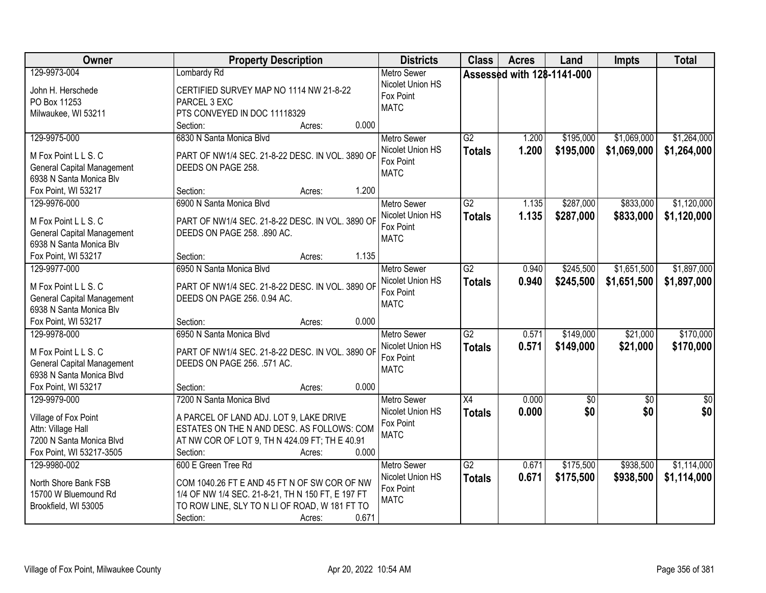| Owner                                                                                                                        | <b>Property Description</b>                                                                                                                                                                              | <b>Districts</b>                                                   | <b>Class</b>                     | <b>Acres</b>               | Land                   | <b>Impts</b>               | <b>Total</b>               |
|------------------------------------------------------------------------------------------------------------------------------|----------------------------------------------------------------------------------------------------------------------------------------------------------------------------------------------------------|--------------------------------------------------------------------|----------------------------------|----------------------------|------------------------|----------------------------|----------------------------|
| 129-9973-004<br>John H. Herschede<br>PO Box 11253<br>Milwaukee, WI 53211                                                     | Lombardy Rd<br>CERTIFIED SURVEY MAP NO 1114 NW 21-8-22<br>PARCEL 3 EXC<br>PTS CONVEYED IN DOC 11118329                                                                                                   | <b>Metro Sewer</b><br>Nicolet Union HS<br>Fox Point<br><b>MATC</b> |                                  | Assessed with 128-1141-000 |                        |                            |                            |
|                                                                                                                              | 0.000<br>Section:<br>Acres:                                                                                                                                                                              |                                                                    |                                  |                            |                        |                            |                            |
| 129-9975-000<br>M Fox Point L L S. C<br><b>General Capital Management</b><br>6938 N Santa Monica Blv                         | 6830 N Santa Monica Blvd<br>PART OF NW1/4 SEC. 21-8-22 DESC. IN VOL. 3890 OF<br>DEEDS ON PAGE 258.                                                                                                       | <b>Metro Sewer</b><br>Nicolet Union HS<br>Fox Point<br><b>MATC</b> | $\overline{G2}$<br><b>Totals</b> | 1.200<br>1.200             | \$195,000<br>\$195,000 | \$1,069,000<br>\$1,069,000 | \$1,264,000<br>\$1,264,000 |
| Fox Point, WI 53217<br>129-9976-000                                                                                          | 1.200<br>Section:<br>Acres:<br>6900 N Santa Monica Blvd                                                                                                                                                  | <b>Metro Sewer</b>                                                 | $\overline{G2}$                  | 1.135                      | \$287,000              | \$833,000                  | \$1,120,000                |
| M Fox Point L L S. C<br><b>General Capital Management</b><br>6938 N Santa Monica Blv                                         | PART OF NW1/4 SEC. 21-8-22 DESC. IN VOL. 3890 OF<br>DEEDS ON PAGE 258. .890 AC.                                                                                                                          | Nicolet Union HS<br>Fox Point<br><b>MATC</b>                       | <b>Totals</b>                    | 1.135                      | \$287,000              | \$833,000                  | \$1,120,000                |
| Fox Point, WI 53217                                                                                                          | 1.135<br>Section:<br>Acres:                                                                                                                                                                              |                                                                    |                                  |                            |                        |                            |                            |
| 129-9977-000<br>M Fox Point L L S. C<br><b>General Capital Management</b><br>6938 N Santa Monica Blv                         | 6950 N Santa Monica Blvd<br>PART OF NW1/4 SEC. 21-8-22 DESC. IN VOL. 3890 OF<br>DEEDS ON PAGE 256. 0.94 AC.                                                                                              | <b>Metro Sewer</b><br>Nicolet Union HS<br>Fox Point<br><b>MATC</b> | $\overline{G2}$<br><b>Totals</b> | 0.940<br>0.940             | \$245,500<br>\$245,500 | \$1,651,500<br>\$1,651,500 | \$1,897,000<br>\$1,897,000 |
| Fox Point, WI 53217                                                                                                          | 0.000<br>Section:<br>Acres:                                                                                                                                                                              |                                                                    |                                  |                            |                        |                            |                            |
| 129-9978-000<br>M Fox Point L L S. C<br><b>General Capital Management</b><br>6938 N Santa Monica Blvd<br>Fox Point, WI 53217 | 6950 N Santa Monica Blvd<br>PART OF NW1/4 SEC. 21-8-22 DESC. IN VOL. 3890 OF<br>DEEDS ON PAGE 256. .571 AC.<br>0.000<br>Section:<br>Acres:                                                               | <b>Metro Sewer</b><br>Nicolet Union HS<br>Fox Point<br><b>MATC</b> | $\overline{G2}$<br><b>Totals</b> | 0.571<br>0.571             | \$149,000<br>\$149,000 | \$21,000<br>\$21,000       | \$170,000<br>\$170,000     |
| 129-9979-000                                                                                                                 | 7200 N Santa Monica Blvd                                                                                                                                                                                 | Metro Sewer                                                        | $\overline{X4}$                  | 0.000                      | \$0                    | $\overline{50}$            | $\sqrt{60}$                |
| Village of Fox Point<br>Attn: Village Hall<br>7200 N Santa Monica Blvd<br>Fox Point, WI 53217-3505                           | A PARCEL OF LAND ADJ. LOT 9, LAKE DRIVE<br>ESTATES ON THE N AND DESC. AS FOLLOWS: COM<br>AT NW COR OF LOT 9, TH N 424.09 FT; TH E 40.91<br>Section:<br>0.000<br>Acres:                                   | Nicolet Union HS<br>Fox Point<br><b>MATC</b>                       | <b>Totals</b>                    | 0.000                      | \$0                    | \$0                        | \$0                        |
| 129-9980-002<br>North Shore Bank FSB<br>15700 W Bluemound Rd<br>Brookfield, WI 53005                                         | 600 E Green Tree Rd<br>COM 1040.26 FT E AND 45 FT N OF SW COR OF NW<br>1/4 OF NW 1/4 SEC. 21-8-21, TH N 150 FT, E 197 FT<br>TO ROW LINE, SLY TO N LI OF ROAD, W 181 FT TO<br>0.671<br>Section:<br>Acres: | <b>Metro Sewer</b><br>Nicolet Union HS<br>Fox Point<br><b>MATC</b> | $\overline{G2}$<br><b>Totals</b> | 0.671<br>0.671             | \$175,500<br>\$175,500 | \$938,500<br>\$938,500     | \$1,114,000<br>\$1,114,000 |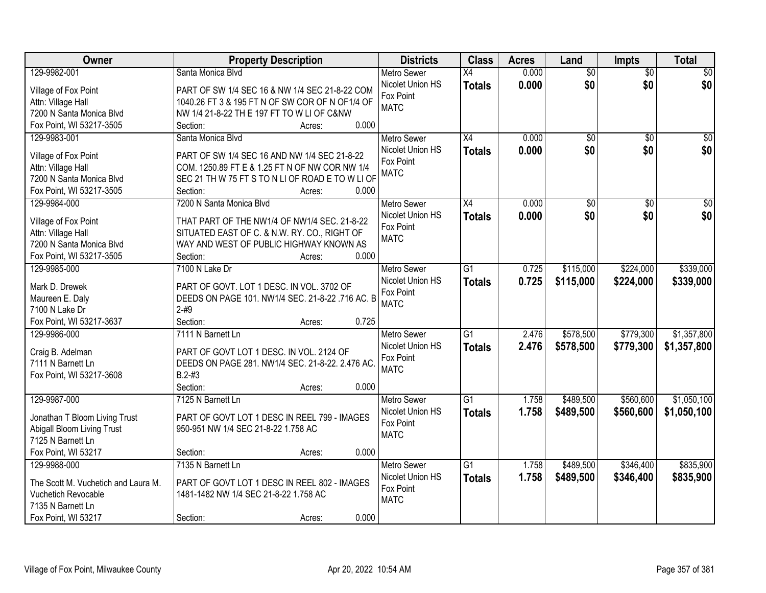| Owner                               | <b>Property Description</b>                      | <b>Districts</b>   | <b>Class</b>    | <b>Acres</b> | Land            | Impts           | <b>Total</b>    |
|-------------------------------------|--------------------------------------------------|--------------------|-----------------|--------------|-----------------|-----------------|-----------------|
| 129-9982-001                        | Santa Monica Blvd                                | <b>Metro Sewer</b> | X4              | 0.000        | $\overline{50}$ | $\overline{50}$ | \$0             |
| Village of Fox Point                | PART OF SW 1/4 SEC 16 & NW 1/4 SEC 21-8-22 COM   | Nicolet Union HS   | <b>Totals</b>   | 0.000        | \$0             | \$0             | \$0             |
| Attn: Village Hall                  | 1040.26 FT 3 & 195 FT N OF SW COR OF N OF1/4 OF  | Fox Point          |                 |              |                 |                 |                 |
| 7200 N Santa Monica Blvd            | NW 1/4 21-8-22 TH E 197 FT TO W LI OF C&NW       | <b>MATC</b>        |                 |              |                 |                 |                 |
| Fox Point, WI 53217-3505            | 0.000<br>Section:<br>Acres:                      |                    |                 |              |                 |                 |                 |
| 129-9983-001                        | Santa Monica Blvd                                | <b>Metro Sewer</b> | $\overline{X4}$ | 0.000        | $\overline{50}$ | $\overline{50}$ | \$0             |
|                                     |                                                  | Nicolet Union HS   | <b>Totals</b>   | 0.000        | \$0             | \$0             | \$0             |
| Village of Fox Point                | PART OF SW 1/4 SEC 16 AND NW 1/4 SEC 21-8-22     | Fox Point          |                 |              |                 |                 |                 |
| Attn: Village Hall                  | COM. 1250.89 FT E & 1.25 FT N OF NW COR NW 1/4   | <b>MATC</b>        |                 |              |                 |                 |                 |
| 7200 N Santa Monica Blvd            | SEC 21 TH W 75 FT S TO N LI OF ROAD E TO W LI OF |                    |                 |              |                 |                 |                 |
| Fox Point, WI 53217-3505            | 0.000<br>Section:<br>Acres:                      |                    |                 |              |                 |                 |                 |
| 129-9984-000                        | 7200 N Santa Monica Blvd                         | <b>Metro Sewer</b> | X4              | 0.000        | \$0             | \$0             | $\overline{50}$ |
| Village of Fox Point                | THAT PART OF THE NW1/4 OF NW1/4 SEC. 21-8-22     | Nicolet Union HS   | <b>Totals</b>   | 0.000        | \$0             | \$0             | \$0             |
| Attn: Village Hall                  | SITUATED EAST OF C. & N.W. RY. CO., RIGHT OF     | Fox Point          |                 |              |                 |                 |                 |
| 7200 N Santa Monica Blvd            | WAY AND WEST OF PUBLIC HIGHWAY KNOWN AS          | <b>MATC</b>        |                 |              |                 |                 |                 |
| Fox Point, WI 53217-3505            | 0.000<br>Section:<br>Acres:                      |                    |                 |              |                 |                 |                 |
| 129-9985-000                        | 7100 N Lake Dr                                   | <b>Metro Sewer</b> | $\overline{G1}$ | 0.725        | \$115,000       | \$224,000       | \$339,000       |
|                                     |                                                  | Nicolet Union HS   | <b>Totals</b>   | 0.725        | \$115,000       | \$224,000       | \$339,000       |
| Mark D. Drewek                      | PART OF GOVT. LOT 1 DESC. IN VOL. 3702 OF        | Fox Point          |                 |              |                 |                 |                 |
| Maureen E. Daly                     | DEEDS ON PAGE 101. NW1/4 SEC. 21-8-22 .716 AC. B | <b>MATC</b>        |                 |              |                 |                 |                 |
| 7100 N Lake Dr                      | $2 - #9$                                         |                    |                 |              |                 |                 |                 |
| Fox Point, WI 53217-3637            | Section:<br>0.725<br>Acres:                      |                    |                 |              |                 |                 |                 |
| 129-9986-000                        | 7111 N Barnett Ln                                | <b>Metro Sewer</b> | $\overline{G1}$ | 2.476        | \$578,500       | \$779,300       | \$1,357,800     |
| Craig B. Adelman                    | PART OF GOVT LOT 1 DESC. IN VOL. 2124 OF         | Nicolet Union HS   | <b>Totals</b>   | 2.476        | \$578,500       | \$779,300       | \$1,357,800     |
| 7111 N Barnett Ln                   | DEEDS ON PAGE 281. NW1/4 SEC. 21-8-22. 2.476 AC  | Fox Point          |                 |              |                 |                 |                 |
| Fox Point, WI 53217-3608            | $B.2 - #3$                                       | <b>MATC</b>        |                 |              |                 |                 |                 |
|                                     | Section:<br>0.000<br>Acres:                      |                    |                 |              |                 |                 |                 |
| 129-9987-000                        | 7125 N Barnett Ln                                | Metro Sewer        | $\overline{G1}$ | 1.758        | \$489,500       | \$560,600       | \$1,050,100     |
|                                     |                                                  | Nicolet Union HS   | <b>Totals</b>   | 1.758        | \$489,500       | \$560,600       | \$1,050,100     |
| Jonathan T Bloom Living Trust       | PART OF GOVT LOT 1 DESC IN REEL 799 - IMAGES     | Fox Point          |                 |              |                 |                 |                 |
| Abigall Bloom Living Trust          | 950-951 NW 1/4 SEC 21-8-22 1.758 AC              | <b>MATC</b>        |                 |              |                 |                 |                 |
| 7125 N Barnett Ln                   |                                                  |                    |                 |              |                 |                 |                 |
| Fox Point, WI 53217                 | 0.000<br>Section:<br>Acres:                      |                    |                 |              |                 |                 |                 |
| 129-9988-000                        | 7135 N Barnett Ln                                | <b>Metro Sewer</b> | $\overline{G1}$ | 1.758        | \$489,500       | \$346,400       | \$835,900       |
| The Scott M. Vuchetich and Laura M. | PART OF GOVT LOT 1 DESC IN REEL 802 - IMAGES     | Nicolet Union HS   | <b>Totals</b>   | 1.758        | \$489,500       | \$346,400       | \$835,900       |
| Vuchetich Revocable                 | 1481-1482 NW 1/4 SEC 21-8-22 1.758 AC            | Fox Point          |                 |              |                 |                 |                 |
| 7135 N Barnett Ln                   |                                                  | <b>MATC</b>        |                 |              |                 |                 |                 |
| Fox Point, WI 53217                 | 0.000<br>Section:<br>Acres:                      |                    |                 |              |                 |                 |                 |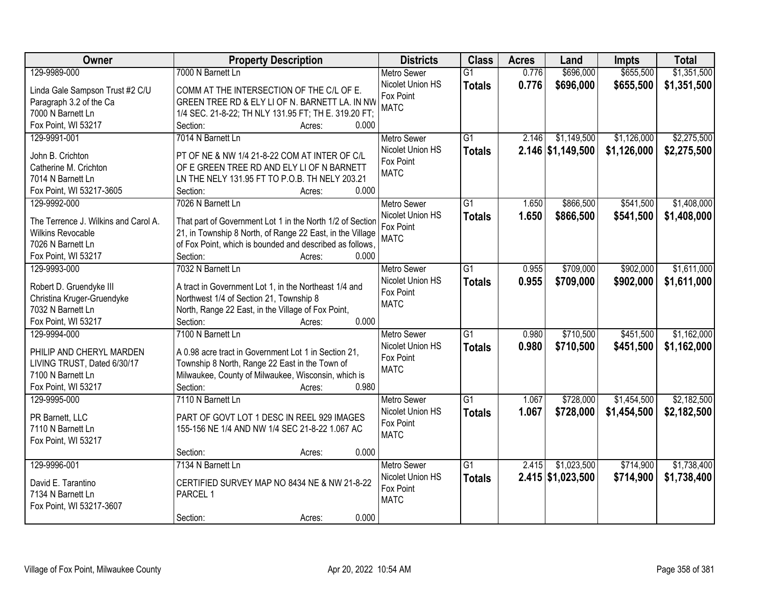| Owner                                | <b>Property Description</b>                               | <b>Districts</b>   | <b>Class</b>    | <b>Acres</b> | Land              | <b>Impts</b> | <b>Total</b> |
|--------------------------------------|-----------------------------------------------------------|--------------------|-----------------|--------------|-------------------|--------------|--------------|
| 129-9989-000                         | 7000 N Barnett Ln                                         | <b>Metro Sewer</b> | $\overline{G1}$ | 0.776        | \$696,000         | \$655,500    | \$1,351,500  |
| Linda Gale Sampson Trust #2 C/U      | COMM AT THE INTERSECTION OF THE C/L OF E.                 | Nicolet Union HS   | <b>Totals</b>   | 0.776        | \$696,000         | \$655,500    | \$1,351,500  |
| Paragraph 3.2 of the Ca              | GREEN TREE RD & ELY LI OF N. BARNETT LA. IN NW            | Fox Point          |                 |              |                   |              |              |
| 7000 N Barnett Ln                    | 1/4 SEC. 21-8-22; TH NLY 131.95 FT; TH E. 319.20 FT;      | <b>MATC</b>        |                 |              |                   |              |              |
| Fox Point, WI 53217                  | Section:<br>0.000<br>Acres:                               |                    |                 |              |                   |              |              |
| 129-9991-001                         | 7014 N Barnett Ln                                         | <b>Metro Sewer</b> | $\overline{G1}$ | 2.146        | \$1,149,500       | \$1,126,000  | \$2,275,500  |
|                                      |                                                           | Nicolet Union HS   | <b>Totals</b>   |              | 2.146 \$1,149,500 | \$1,126,000  | \$2,275,500  |
| John B. Crichton                     | PT OF NE & NW 1/4 21-8-22 COM AT INTER OF C/L             | Fox Point          |                 |              |                   |              |              |
| Catherine M. Crichton                | OF E GREEN TREE RD AND ELY LI OF N BARNETT                | <b>MATC</b>        |                 |              |                   |              |              |
| 7014 N Barnett Ln                    | LN THE NELY 131.95 FT TO P.O.B. TH NELY 203.21            |                    |                 |              |                   |              |              |
| Fox Point, WI 53217-3605             | 0.000<br>Section:<br>Acres:                               |                    |                 |              |                   |              |              |
| 129-9992-000                         | 7026 N Barnett Ln                                         | <b>Metro Sewer</b> | G1              | 1.650        | \$866,500         | \$541,500    | \$1,408,000  |
| The Terrence J. Wilkins and Carol A. | That part of Government Lot 1 in the North 1/2 of Section | Nicolet Union HS   | <b>Totals</b>   | 1.650        | \$866,500         | \$541,500    | \$1,408,000  |
| <b>Wilkins Revocable</b>             | 21, in Township 8 North, of Range 22 East, in the Village | Fox Point          |                 |              |                   |              |              |
| 7026 N Barnett Ln                    | of Fox Point, which is bounded and described as follows,  | <b>MATC</b>        |                 |              |                   |              |              |
| Fox Point, WI 53217                  | Section:<br>0.000<br>Acres:                               |                    |                 |              |                   |              |              |
| 129-9993-000                         | 7032 N Barnett Ln                                         | <b>Metro Sewer</b> | G1              | 0.955        | \$709,000         | \$902,000    | \$1,611,000  |
|                                      |                                                           | Nicolet Union HS   | <b>Totals</b>   | 0.955        | \$709,000         | \$902,000    | \$1,611,000  |
| Robert D. Gruendyke III              | A tract in Government Lot 1, in the Northeast 1/4 and     | Fox Point          |                 |              |                   |              |              |
| Christina Kruger-Gruendyke           | Northwest 1/4 of Section 21, Township 8                   | <b>MATC</b>        |                 |              |                   |              |              |
| 7032 N Barnett Ln                    | North, Range 22 East, in the Village of Fox Point,        |                    |                 |              |                   |              |              |
| Fox Point, WI 53217                  | 0.000<br>Section:<br>Acres:                               |                    |                 |              |                   |              |              |
| 129-9994-000                         | 7100 N Barnett Ln                                         | <b>Metro Sewer</b> | $\overline{G1}$ | 0.980        | \$710,500         | \$451,500    | \$1,162,000  |
| PHILIP AND CHERYL MARDEN             | A 0.98 acre tract in Government Lot 1 in Section 21,      | Nicolet Union HS   | <b>Totals</b>   | 0.980        | \$710,500         | \$451,500    | \$1,162,000  |
| LIVING TRUST, Dated 6/30/17          | Township 8 North, Range 22 East in the Town of            | Fox Point          |                 |              |                   |              |              |
| 7100 N Barnett Ln                    | Milwaukee, County of Milwaukee, Wisconsin, which is       | <b>MATC</b>        |                 |              |                   |              |              |
| Fox Point, WI 53217                  | Section:<br>0.980<br>Acres:                               |                    |                 |              |                   |              |              |
| 129-9995-000                         | 7110 N Barnett Ln                                         | <b>Metro Sewer</b> | $\overline{G1}$ | 1.067        | \$728,000         | \$1,454,500  | \$2,182,500  |
|                                      |                                                           | Nicolet Union HS   | <b>Totals</b>   | 1.067        | \$728,000         | \$1,454,500  | \$2,182,500  |
| PR Barnett, LLC                      | PART OF GOVT LOT 1 DESC IN REEL 929 IMAGES                | Fox Point          |                 |              |                   |              |              |
| 7110 N Barnett Ln                    | 155-156 NE 1/4 AND NW 1/4 SEC 21-8-22 1.067 AC            | <b>MATC</b>        |                 |              |                   |              |              |
| Fox Point, WI 53217                  |                                                           |                    |                 |              |                   |              |              |
|                                      | 0.000<br>Section:<br>Acres:                               |                    |                 |              |                   |              |              |
| 129-9996-001                         | 7134 N Barnett Ln                                         | <b>Metro Sewer</b> | $\overline{G1}$ | 2.415        | \$1,023,500       | \$714,900    | \$1,738,400  |
| David E. Tarantino                   | CERTIFIED SURVEY MAP NO 8434 NE & NW 21-8-22              | Nicolet Union HS   | <b>Totals</b>   |              | 2.415 \$1,023,500 | \$714,900    | \$1,738,400  |
| 7134 N Barnett Ln                    | PARCEL 1                                                  | Fox Point          |                 |              |                   |              |              |
| Fox Point, WI 53217-3607             |                                                           | <b>MATC</b>        |                 |              |                   |              |              |
|                                      | 0.000<br>Section:<br>Acres:                               |                    |                 |              |                   |              |              |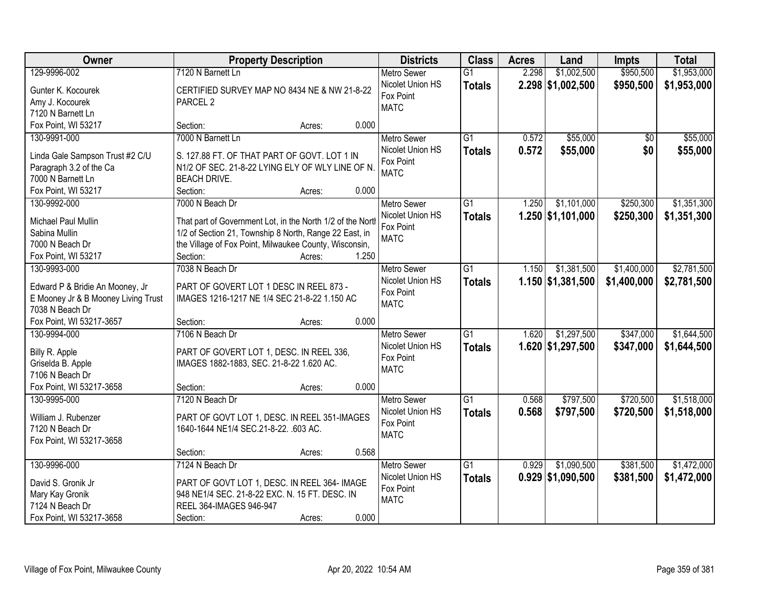| Owner                               | <b>Property Description</b>                                               | <b>Districts</b>              | <b>Class</b>    | <b>Acres</b> | Land                | <b>Impts</b>    | <b>Total</b> |
|-------------------------------------|---------------------------------------------------------------------------|-------------------------------|-----------------|--------------|---------------------|-----------------|--------------|
| 129-9996-002                        | 7120 N Barnett Ln                                                         | <b>Metro Sewer</b>            | $\overline{G1}$ | 2.298        | \$1,002,500         | \$950,500       | \$1,953,000  |
| Gunter K. Kocourek                  | CERTIFIED SURVEY MAP NO 8434 NE & NW 21-8-22                              | Nicolet Union HS              | <b>Totals</b>   |              | $2.298$ \$1,002,500 | \$950,500       | \$1,953,000  |
| Amy J. Kocourek                     | PARCEL <sub>2</sub>                                                       | Fox Point                     |                 |              |                     |                 |              |
| 7120 N Barnett Ln                   |                                                                           | <b>MATC</b>                   |                 |              |                     |                 |              |
| Fox Point, WI 53217                 | Section:<br>Acres:                                                        | 0.000                         |                 |              |                     |                 |              |
| 130-9991-000                        | 7000 N Barnett Ln                                                         | <b>Metro Sewer</b>            | $\overline{G1}$ | 0.572        | \$55,000            | $\overline{50}$ | \$55,000     |
|                                     |                                                                           | Nicolet Union HS              | <b>Totals</b>   | 0.572        | \$55,000            | \$0             | \$55,000     |
| Linda Gale Sampson Trust #2 C/U     | S. 127.88 FT. OF THAT PART OF GOVT. LOT 1 IN                              | Fox Point                     |                 |              |                     |                 |              |
| Paragraph 3.2 of the Ca             | N1/2 OF SEC. 21-8-22 LYING ELY OF WLY LINE OF N.                          | <b>MATC</b>                   |                 |              |                     |                 |              |
| 7000 N Barnett Ln                   | <b>BEACH DRIVE.</b>                                                       |                               |                 |              |                     |                 |              |
| Fox Point, WI 53217                 | Section:<br>Acres:                                                        | 0.000                         |                 |              |                     |                 |              |
| 130-9992-000                        | 7000 N Beach Dr                                                           | <b>Metro Sewer</b>            | $\overline{G1}$ | 1.250        | \$1,101,000         | \$250,300       | \$1,351,300  |
| Michael Paul Mullin                 | That part of Government Lot, in the North 1/2 of the North                | Nicolet Union HS<br>Fox Point | <b>Totals</b>   |              | 1.250 \$1,101,000   | \$250,300       | \$1,351,300  |
| Sabina Mullin                       | 1/2 of Section 21, Township 8 North, Range 22 East, in                    | <b>MATC</b>                   |                 |              |                     |                 |              |
| 7000 N Beach Dr                     | the Village of Fox Point, Milwaukee County, Wisconsin,                    |                               |                 |              |                     |                 |              |
| Fox Point, WI 53217                 | Section:<br>Acres:                                                        | 1.250                         |                 |              |                     |                 |              |
| 130-9993-000                        | 7038 N Beach Dr                                                           | <b>Metro Sewer</b>            | $\overline{G1}$ | 1.150        | \$1,381,500         | \$1,400,000     | \$2,781,500  |
| Edward P & Bridie An Mooney, Jr     | PART OF GOVERT LOT 1 DESC IN REEL 873 -                                   | Nicolet Union HS              | <b>Totals</b>   |              | 1.150 \$1,381,500   | \$1,400,000     | \$2,781,500  |
| E Mooney Jr & B Mooney Living Trust | IMAGES 1216-1217 NE 1/4 SEC 21-8-22 1.150 AC                              | Fox Point                     |                 |              |                     |                 |              |
| 7038 N Beach Dr                     |                                                                           | <b>MATC</b>                   |                 |              |                     |                 |              |
| Fox Point, WI 53217-3657            | Section:<br>Acres:                                                        | 0.000                         |                 |              |                     |                 |              |
| 130-9994-000                        | 7106 N Beach Dr                                                           | <b>Metro Sewer</b>            | $\overline{G1}$ | 1.620        | \$1,297,500         | \$347,000       | \$1,644,500  |
|                                     |                                                                           | Nicolet Union HS              | <b>Totals</b>   |              | 1.620 \$1,297,500   | \$347,000       | \$1,644,500  |
| Billy R. Apple                      | PART OF GOVERT LOT 1, DESC. IN REEL 336,                                  | Fox Point                     |                 |              |                     |                 |              |
| Griselda B. Apple                   | IMAGES 1882-1883, SEC. 21-8-22 1.620 AC.                                  | <b>MATC</b>                   |                 |              |                     |                 |              |
| 7106 N Beach Dr                     |                                                                           |                               |                 |              |                     |                 |              |
| Fox Point, WI 53217-3658            | Section:<br>Acres:                                                        | 0.000                         |                 |              |                     |                 |              |
| 130-9995-000                        | 7120 N Beach Dr                                                           | Metro Sewer                   | $\overline{G1}$ | 0.568        | \$797,500           | \$720,500       | \$1,518,000  |
| William J. Rubenzer                 | PART OF GOVT LOT 1, DESC. IN REEL 351-IMAGES                              | Nicolet Union HS              | <b>Totals</b>   | 0.568        | \$797,500           | \$720,500       | \$1,518,000  |
| 7120 N Beach Dr                     | 1640-1644 NE1/4 SEC.21-8-22. .603 AC.                                     | Fox Point                     |                 |              |                     |                 |              |
| Fox Point, WI 53217-3658            |                                                                           | <b>MATC</b>                   |                 |              |                     |                 |              |
|                                     | Section:<br>Acres:                                                        | 0.568                         |                 |              |                     |                 |              |
| 130-9996-000                        | 7124 N Beach Dr                                                           | <b>Metro Sewer</b>            | $\overline{G1}$ | 0.929        | \$1,090,500         | \$381,500       | \$1,472,000  |
|                                     |                                                                           | Nicolet Union HS              | <b>Totals</b>   |              | $0.929$ \$1,090,500 | \$381,500       | \$1,472,000  |
| David S. Gronik Jr                  | PART OF GOVT LOT 1, DESC. IN REEL 364- IMAGE                              | Fox Point                     |                 |              |                     |                 |              |
| Mary Kay Gronik<br>7124 N Beach Dr  | 948 NE1/4 SEC. 21-8-22 EXC. N. 15 FT. DESC. IN<br>REEL 364-IMAGES 946-947 | <b>MATC</b>                   |                 |              |                     |                 |              |
| Fox Point, WI 53217-3658            | Section:<br>Acres:                                                        | 0.000                         |                 |              |                     |                 |              |
|                                     |                                                                           |                               |                 |              |                     |                 |              |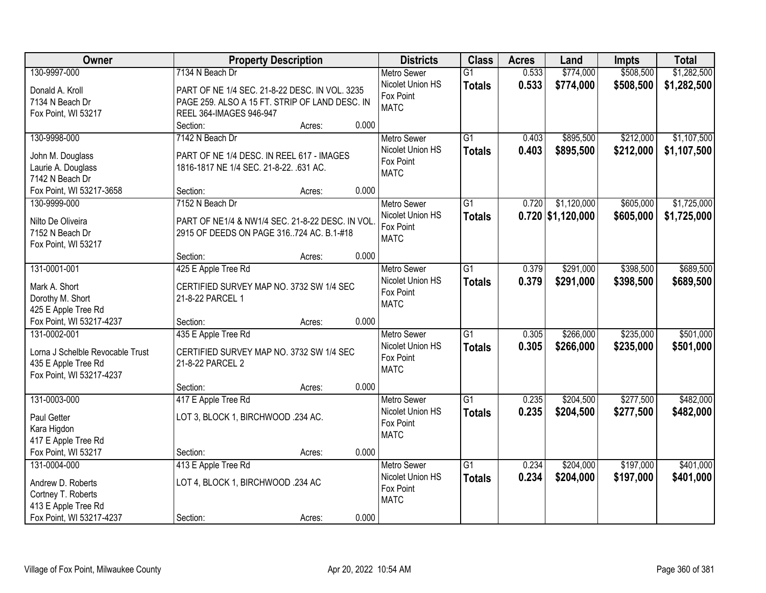| Owner                                 | <b>Property Description</b>                     |       | <b>Districts</b>   | <b>Class</b>    | <b>Acres</b> | Land                | <b>Impts</b> | <b>Total</b> |
|---------------------------------------|-------------------------------------------------|-------|--------------------|-----------------|--------------|---------------------|--------------|--------------|
| 130-9997-000                          | 7134 N Beach Dr                                 |       | <b>Metro Sewer</b> | $\overline{G1}$ | 0.533        | \$774,000           | \$508,500    | \$1,282,500  |
| Donald A. Kroll                       | PART OF NE 1/4 SEC. 21-8-22 DESC. IN VOL. 3235  |       | Nicolet Union HS   | <b>Totals</b>   | 0.533        | \$774,000           | \$508,500    | \$1,282,500  |
| 7134 N Beach Dr                       | PAGE 259. ALSO A 15 FT. STRIP OF LAND DESC. IN  |       | Fox Point          |                 |              |                     |              |              |
| Fox Point, WI 53217                   | REEL 364-IMAGES 946-947                         |       | <b>MATC</b>        |                 |              |                     |              |              |
|                                       | Section:<br>Acres:                              | 0.000 |                    |                 |              |                     |              |              |
| 130-9998-000                          | 7142 N Beach Dr                                 |       | <b>Metro Sewer</b> | $\overline{G1}$ | 0.403        | \$895,500           | \$212,000    | \$1,107,500  |
|                                       |                                                 |       | Nicolet Union HS   | <b>Totals</b>   | 0.403        | \$895,500           | \$212,000    | \$1,107,500  |
| John M. Douglass                      | PART OF NE 1/4 DESC. IN REEL 617 - IMAGES       |       | Fox Point          |                 |              |                     |              |              |
| Laurie A. Douglass<br>7142 N Beach Dr | 1816-1817 NE 1/4 SEC. 21-8-22. .631 AC.         |       | <b>MATC</b>        |                 |              |                     |              |              |
| Fox Point, WI 53217-3658              | Section:<br>Acres:                              | 0.000 |                    |                 |              |                     |              |              |
| 130-9999-000                          | 7152 N Beach Dr                                 |       | Metro Sewer        | $\overline{G1}$ | 0.720        | \$1,120,000         | \$605,000    | \$1,725,000  |
|                                       |                                                 |       | Nicolet Union HS   |                 |              | $0.720$ \$1,120,000 |              |              |
| Nilto De Oliveira                     | PART OF NE1/4 & NW1/4 SEC. 21-8-22 DESC. IN VOL |       | Fox Point          | <b>Totals</b>   |              |                     | \$605,000    | \$1,725,000  |
| 7152 N Beach Dr                       | 2915 OF DEEDS ON PAGE 316724 AC. B.1-#18        |       | <b>MATC</b>        |                 |              |                     |              |              |
| Fox Point, WI 53217                   |                                                 |       |                    |                 |              |                     |              |              |
|                                       | Section:<br>Acres:                              | 0.000 |                    |                 |              |                     |              |              |
| 131-0001-001                          | 425 E Apple Tree Rd                             |       | <b>Metro Sewer</b> | $\overline{G1}$ | 0.379        | \$291,000           | \$398,500    | \$689,500    |
| Mark A. Short                         | CERTIFIED SURVEY MAP NO. 3732 SW 1/4 SEC        |       | Nicolet Union HS   | <b>Totals</b>   | 0.379        | \$291,000           | \$398,500    | \$689,500    |
| Dorothy M. Short                      | 21-8-22 PARCEL 1                                |       | Fox Point          |                 |              |                     |              |              |
| 425 E Apple Tree Rd                   |                                                 |       | <b>MATC</b>        |                 |              |                     |              |              |
| Fox Point, WI 53217-4237              | Section:<br>Acres:                              | 0.000 |                    |                 |              |                     |              |              |
| 131-0002-001                          | 435 E Apple Tree Rd                             |       | <b>Metro Sewer</b> | $\overline{G1}$ | 0.305        | \$266,000           | \$235,000    | \$501,000    |
|                                       |                                                 |       | Nicolet Union HS   | <b>Totals</b>   | 0.305        | \$266,000           | \$235,000    | \$501,000    |
| Lorna J Schelble Revocable Trust      | CERTIFIED SURVEY MAP NO. 3732 SW 1/4 SEC        |       | Fox Point          |                 |              |                     |              |              |
| 435 E Apple Tree Rd                   | 21-8-22 PARCEL 2                                |       | <b>MATC</b>        |                 |              |                     |              |              |
| Fox Point, WI 53217-4237              | Section:                                        | 0.000 |                    |                 |              |                     |              |              |
| 131-0003-000                          | Acres:<br>417 E Apple Tree Rd                   |       | <b>Metro Sewer</b> | $\overline{G1}$ | 0.235        | \$204,500           | \$277,500    | \$482,000    |
|                                       |                                                 |       | Nicolet Union HS   |                 | 0.235        | \$204,500           | \$277,500    | \$482,000    |
| Paul Getter                           | LOT 3, BLOCK 1, BIRCHWOOD .234 AC.              |       | Fox Point          | <b>Totals</b>   |              |                     |              |              |
| Kara Higdon                           |                                                 |       | <b>MATC</b>        |                 |              |                     |              |              |
| 417 E Apple Tree Rd                   |                                                 |       |                    |                 |              |                     |              |              |
| Fox Point, WI 53217                   | Section:<br>Acres:                              | 0.000 |                    |                 |              |                     |              |              |
| 131-0004-000                          | 413 E Apple Tree Rd                             |       | <b>Metro Sewer</b> | $\overline{G1}$ | 0.234        | \$204,000           | \$197,000    | \$401,000    |
| Andrew D. Roberts                     | LOT 4, BLOCK 1, BIRCHWOOD .234 AC               |       | Nicolet Union HS   | <b>Totals</b>   | 0.234        | \$204,000           | \$197,000    | \$401,000    |
| Cortney T. Roberts                    |                                                 |       | Fox Point          |                 |              |                     |              |              |
| 413 E Apple Tree Rd                   |                                                 |       | <b>MATC</b>        |                 |              |                     |              |              |
| Fox Point, WI 53217-4237              | Section:<br>Acres:                              | 0.000 |                    |                 |              |                     |              |              |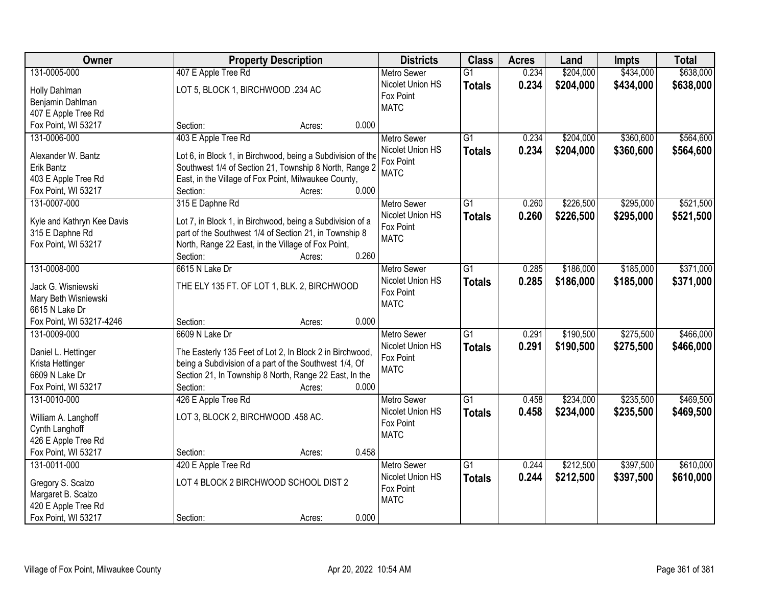| Owner                      | <b>Property Description</b>                                 | <b>Districts</b>   | <b>Class</b>    | <b>Acres</b> | Land      | Impts     | <b>Total</b> |
|----------------------------|-------------------------------------------------------------|--------------------|-----------------|--------------|-----------|-----------|--------------|
| 131-0005-000               | 407 E Apple Tree Rd                                         | <b>Metro Sewer</b> | $\overline{G1}$ | 0.234        | \$204,000 | \$434,000 | \$638,000    |
| Holly Dahlman              | LOT 5, BLOCK 1, BIRCHWOOD .234 AC                           | Nicolet Union HS   | <b>Totals</b>   | 0.234        | \$204,000 | \$434,000 | \$638,000    |
| Benjamin Dahlman           |                                                             | Fox Point          |                 |              |           |           |              |
| 407 E Apple Tree Rd        |                                                             | <b>MATC</b>        |                 |              |           |           |              |
| Fox Point, WI 53217        | 0.000<br>Section:<br>Acres:                                 |                    |                 |              |           |           |              |
| 131-0006-000               | 403 E Apple Tree Rd                                         | <b>Metro Sewer</b> | $\overline{G1}$ | 0.234        | \$204,000 | \$360,600 | \$564,600    |
|                            |                                                             | Nicolet Union HS   | <b>Totals</b>   | 0.234        | \$204,000 | \$360,600 | \$564,600    |
| Alexander W. Bantz         | Lot 6, in Block 1, in Birchwood, being a Subdivision of the | Fox Point          |                 |              |           |           |              |
| Erik Bantz                 | Southwest 1/4 of Section 21, Township 8 North, Range 2      | <b>MATC</b>        |                 |              |           |           |              |
| 403 E Apple Tree Rd        | East, in the Village of Fox Point, Milwaukee County,        |                    |                 |              |           |           |              |
| Fox Point, WI 53217        | 0.000<br>Section:<br>Acres:                                 |                    |                 |              |           |           |              |
| 131-0007-000               | 315 E Daphne Rd                                             | <b>Metro Sewer</b> | G1              | 0.260        | \$226,500 | \$295,000 | \$521,500    |
| Kyle and Kathryn Kee Davis | Lot 7, in Block 1, in Birchwood, being a Subdivision of a   | Nicolet Union HS   | <b>Totals</b>   | 0.260        | \$226,500 | \$295,000 | \$521,500    |
| 315 E Daphne Rd            | part of the Southwest 1/4 of Section 21, in Township 8      | Fox Point          |                 |              |           |           |              |
| Fox Point, WI 53217        | North, Range 22 East, in the Village of Fox Point,          | <b>MATC</b>        |                 |              |           |           |              |
|                            | 0.260<br>Section:<br>Acres:                                 |                    |                 |              |           |           |              |
| 131-0008-000               | 6615 N Lake Dr                                              | <b>Metro Sewer</b> | G1              | 0.285        | \$186,000 | \$185,000 | \$371,000    |
|                            |                                                             | Nicolet Union HS   | <b>Totals</b>   | 0.285        | \$186,000 | \$185,000 | \$371,000    |
| Jack G. Wisniewski         | THE ELY 135 FT. OF LOT 1, BLK. 2, BIRCHWOOD                 | Fox Point          |                 |              |           |           |              |
| Mary Beth Wisniewski       |                                                             | <b>MATC</b>        |                 |              |           |           |              |
| 6615 N Lake Dr             |                                                             |                    |                 |              |           |           |              |
| Fox Point, WI 53217-4246   | 0.000<br>Section:<br>Acres:                                 |                    |                 |              |           |           |              |
| 131-0009-000               | 6609 N Lake Dr                                              | <b>Metro Sewer</b> | $\overline{G1}$ | 0.291        | \$190,500 | \$275,500 | \$466,000    |
| Daniel L. Hettinger        | The Easterly 135 Feet of Lot 2, In Block 2 in Birchwood,    | Nicolet Union HS   | <b>Totals</b>   | 0.291        | \$190,500 | \$275,500 | \$466,000    |
| Krista Hettinger           | being a Subdivision of a part of the Southwest 1/4, Of      | Fox Point          |                 |              |           |           |              |
| 6609 N Lake Dr             | Section 21, In Township 8 North, Range 22 East, In the      | <b>MATC</b>        |                 |              |           |           |              |
| Fox Point, WI 53217        | 0.000<br>Section:<br>Acres:                                 |                    |                 |              |           |           |              |
| 131-0010-000               | 426 E Apple Tree Rd                                         | <b>Metro Sewer</b> | $\overline{G1}$ | 0.458        | \$234,000 | \$235,500 | \$469,500    |
|                            |                                                             | Nicolet Union HS   | <b>Totals</b>   | 0.458        | \$234,000 | \$235,500 | \$469,500    |
| William A. Langhoff        | LOT 3, BLOCK 2, BIRCHWOOD .458 AC.                          | Fox Point          |                 |              |           |           |              |
| Cynth Langhoff             |                                                             | <b>MATC</b>        |                 |              |           |           |              |
| 426 E Apple Tree Rd        |                                                             |                    |                 |              |           |           |              |
| Fox Point, WI 53217        | 0.458<br>Section:<br>Acres:                                 |                    |                 |              |           |           |              |
| 131-0011-000               | 420 E Apple Tree Rd                                         | <b>Metro Sewer</b> | $\overline{G1}$ | 0.244        | \$212,500 | \$397,500 | \$610,000    |
| Gregory S. Scalzo          | LOT 4 BLOCK 2 BIRCHWOOD SCHOOL DIST 2                       | Nicolet Union HS   | <b>Totals</b>   | 0.244        | \$212,500 | \$397,500 | \$610,000    |
| Margaret B. Scalzo         |                                                             | Fox Point          |                 |              |           |           |              |
| 420 E Apple Tree Rd        |                                                             | <b>MATC</b>        |                 |              |           |           |              |
| Fox Point, WI 53217        | 0.000<br>Section:<br>Acres:                                 |                    |                 |              |           |           |              |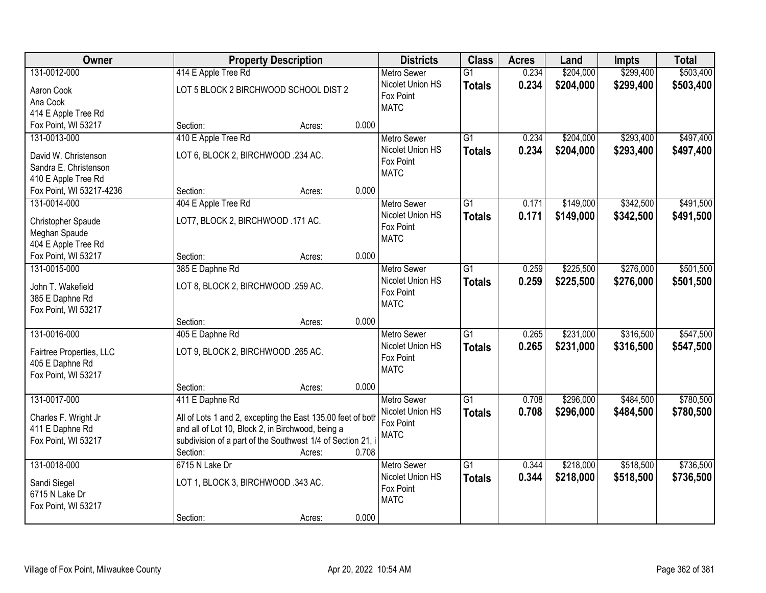| Owner                               | <b>Property Description</b>                                 | <b>Districts</b> | <b>Class</b>     | <b>Acres</b>                  | Land            | Impts     | <b>Total</b> |           |           |
|-------------------------------------|-------------------------------------------------------------|------------------|------------------|-------------------------------|-----------------|-----------|--------------|-----------|-----------|
| 131-0012-000                        | 414 E Apple Tree Rd                                         |                  |                  | <b>Metro Sewer</b>            | $\overline{G1}$ | 0.234     | \$204,000    | \$299,400 | \$503,400 |
| Aaron Cook                          | LOT 5 BLOCK 2 BIRCHWOOD SCHOOL DIST 2                       |                  |                  | Nicolet Union HS              | <b>Totals</b>   | 0.234     | \$204,000    | \$299,400 | \$503,400 |
| Ana Cook                            |                                                             |                  |                  | Fox Point                     |                 |           |              |           |           |
| 414 E Apple Tree Rd                 |                                                             |                  |                  | <b>MATC</b>                   |                 |           |              |           |           |
| Fox Point, WI 53217                 | Section:                                                    | Acres:           | 0.000            |                               |                 |           |              |           |           |
| 131-0013-000                        | 410 E Apple Tree Rd                                         |                  |                  | <b>Metro Sewer</b>            | $\overline{G1}$ | 0.234     | \$204,000    | \$293,400 | \$497,400 |
| David W. Christenson                | LOT 6, BLOCK 2, BIRCHWOOD .234 AC.                          |                  |                  | Nicolet Union HS              | <b>Totals</b>   | 0.234     | \$204,000    | \$293,400 | \$497,400 |
| Sandra E. Christenson               |                                                             |                  |                  | Fox Point                     |                 |           |              |           |           |
| 410 E Apple Tree Rd                 |                                                             |                  |                  | <b>MATC</b>                   |                 |           |              |           |           |
| Fox Point, WI 53217-4236            | Section:                                                    | Acres:           | 0.000            |                               |                 |           |              |           |           |
| 131-0014-000                        | 404 E Apple Tree Rd                                         |                  |                  | Metro Sewer                   | $\overline{G1}$ | 0.171     | \$149,000    | \$342,500 | \$491,500 |
|                                     | LOT7, BLOCK 2, BIRCHWOOD .171 AC.                           |                  |                  | Nicolet Union HS              | <b>Totals</b>   | 0.171     | \$149,000    | \$342,500 | \$491,500 |
| Christopher Spaude<br>Meghan Spaude |                                                             |                  |                  | Fox Point                     |                 |           |              |           |           |
| 404 E Apple Tree Rd                 |                                                             |                  |                  | <b>MATC</b>                   |                 |           |              |           |           |
| Fox Point, WI 53217                 | Section:                                                    | Acres:           | 0.000            |                               |                 |           |              |           |           |
| 131-0015-000                        | 385 E Daphne Rd                                             |                  |                  | <b>Metro Sewer</b>            | $\overline{G1}$ | 0.259     | \$225,500    | \$276,000 | \$501,500 |
|                                     |                                                             |                  | Nicolet Union HS | <b>Totals</b>                 | 0.259           | \$225,500 | \$276,000    | \$501,500 |           |
| John T. Wakefield                   | LOT 8, BLOCK 2, BIRCHWOOD .259 AC.                          |                  |                  | Fox Point                     |                 |           |              |           |           |
| 385 E Daphne Rd                     |                                                             |                  |                  | <b>MATC</b>                   |                 |           |              |           |           |
| Fox Point, WI 53217                 | Section:                                                    |                  | 0.000            |                               |                 |           |              |           |           |
| 131-0016-000                        | 405 E Daphne Rd                                             | Acres:           |                  | Metro Sewer                   | $\overline{G1}$ | 0.265     | \$231,000    | \$316,500 | \$547,500 |
|                                     |                                                             |                  |                  | Nicolet Union HS              | <b>Totals</b>   | 0.265     | \$231,000    | \$316,500 | \$547,500 |
| Fairtree Properties, LLC            | LOT 9, BLOCK 2, BIRCHWOOD .265 AC.                          |                  |                  | Fox Point                     |                 |           |              |           |           |
| 405 E Daphne Rd                     |                                                             |                  |                  | <b>MATC</b>                   |                 |           |              |           |           |
| Fox Point, WI 53217                 |                                                             |                  |                  |                               |                 |           |              |           |           |
|                                     | Section:                                                    | Acres:           | 0.000            |                               |                 |           |              |           |           |
| 131-0017-000                        | 411 E Daphne Rd                                             |                  |                  | <b>Metro Sewer</b>            | $\overline{G1}$ | 0.708     | \$296,000    | \$484,500 | \$780,500 |
| Charles F. Wright Jr                | All of Lots 1 and 2, excepting the East 135.00 feet of both |                  |                  | Nicolet Union HS<br>Fox Point | <b>Totals</b>   | 0.708     | \$296,000    | \$484,500 | \$780,500 |
| 411 E Daphne Rd                     | and all of Lot 10, Block 2, in Birchwood, being a           |                  |                  | <b>MATC</b>                   |                 |           |              |           |           |
| Fox Point, WI 53217                 | subdivision of a part of the Southwest 1/4 of Section 21, i |                  |                  |                               |                 |           |              |           |           |
|                                     | Section:                                                    | Acres:           | 0.708            |                               |                 |           |              |           |           |
| 131-0018-000                        | 6715 N Lake Dr                                              |                  |                  | <b>Metro Sewer</b>            | $\overline{G1}$ | 0.344     | \$218,000    | \$518,500 | \$736,500 |
| Sandi Siegel                        | LOT 1, BLOCK 3, BIRCHWOOD .343 AC.                          |                  |                  | Nicolet Union HS              | <b>Totals</b>   | 0.344     | \$218,000    | \$518,500 | \$736,500 |
| 6715 N Lake Dr                      |                                                             |                  |                  | Fox Point                     |                 |           |              |           |           |
| Fox Point, WI 53217                 |                                                             |                  |                  | <b>MATC</b>                   |                 |           |              |           |           |
|                                     | Section:                                                    | Acres:           | 0.000            |                               |                 |           |              |           |           |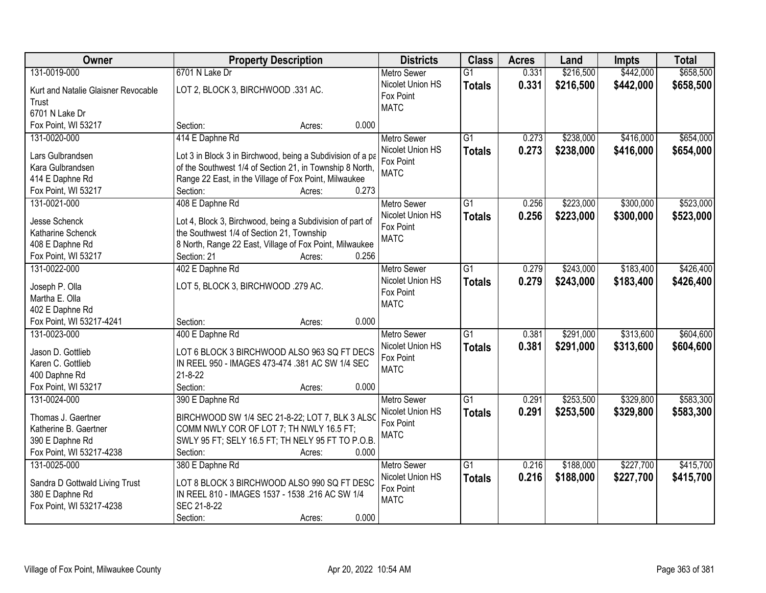| Owner                                                                                          | <b>Property Description</b>                                                                                                                                                     | <b>Districts</b>                                                   | <b>Class</b>                     | <b>Acres</b>   | Land                   | <b>Impts</b>           | <b>Total</b>           |
|------------------------------------------------------------------------------------------------|---------------------------------------------------------------------------------------------------------------------------------------------------------------------------------|--------------------------------------------------------------------|----------------------------------|----------------|------------------------|------------------------|------------------------|
| 131-0019-000                                                                                   | 6701 N Lake Dr                                                                                                                                                                  | <b>Metro Sewer</b>                                                 | $\overline{G1}$                  | 0.331          | \$216,500              | \$442,000              | \$658,500              |
| Kurt and Natalie Glaisner Revocable<br>Trust<br>6701 N Lake Dr                                 | LOT 2, BLOCK 3, BIRCHWOOD .331 AC.                                                                                                                                              | Nicolet Union HS<br>Fox Point<br><b>MATC</b>                       | <b>Totals</b>                    | 0.331          | \$216,500              | \$442,000              | \$658,500              |
| Fox Point, WI 53217                                                                            | 0.000<br>Section:<br>Acres:                                                                                                                                                     |                                                                    |                                  |                |                        |                        |                        |
| 131-0020-000<br>Lars Gulbrandsen                                                               | 414 E Daphne Rd<br>Lot 3 in Block 3 in Birchwood, being a Subdivision of a pa                                                                                                   | <b>Metro Sewer</b><br>Nicolet Union HS                             | $\overline{G1}$<br><b>Totals</b> | 0.273<br>0.273 | \$238,000<br>\$238,000 | \$416,000<br>\$416,000 | \$654,000<br>\$654,000 |
| Kara Gulbrandsen                                                                               | of the Southwest 1/4 of Section 21, in Township 8 North,                                                                                                                        | Fox Point                                                          |                                  |                |                        |                        |                        |
| 414 E Daphne Rd                                                                                | Range 22 East, in the Village of Fox Point, Milwaukee                                                                                                                           | <b>MATC</b>                                                        |                                  |                |                        |                        |                        |
| Fox Point, WI 53217                                                                            | 0.273<br>Section:<br>Acres:                                                                                                                                                     |                                                                    |                                  |                |                        |                        |                        |
| 131-0021-000                                                                                   | 408 E Daphne Rd                                                                                                                                                                 | <b>Metro Sewer</b>                                                 | G1                               | 0.256          | \$223,000              | \$300,000              | \$523,000              |
| Jesse Schenck<br>Katharine Schenck<br>408 E Daphne Rd                                          | Lot 4, Block 3, Birchwood, being a Subdivision of part of<br>the Southwest 1/4 of Section 21, Township<br>8 North, Range 22 East, Village of Fox Point, Milwaukee               | Nicolet Union HS<br>Fox Point<br><b>MATC</b>                       | <b>Totals</b>                    | 0.256          | \$223,000              | \$300,000              | \$523,000              |
| Fox Point, WI 53217                                                                            | Section: 21<br>0.256<br>Acres:                                                                                                                                                  |                                                                    |                                  |                |                        |                        |                        |
| 131-0022-000                                                                                   | 402 E Daphne Rd                                                                                                                                                                 | <b>Metro Sewer</b>                                                 | G1                               | 0.279          | \$243,000              | \$183,400              | \$426,400              |
| Joseph P. Olla<br>Martha E. Olla                                                               | LOT 5, BLOCK 3, BIRCHWOOD .279 AC.                                                                                                                                              | Nicolet Union HS<br>Fox Point<br><b>MATC</b>                       | <b>Totals</b>                    | 0.279          | \$243,000              | \$183,400              | \$426,400              |
| 402 E Daphne Rd<br>Fox Point, WI 53217-4241                                                    | 0.000<br>Section:<br>Acres:                                                                                                                                                     |                                                                    |                                  |                |                        |                        |                        |
| 131-0023-000<br>Jason D. Gottlieb<br>Karen C. Gottlieb<br>400 Daphne Rd<br>Fox Point, WI 53217 | 400 E Daphne Rd<br>LOT 6 BLOCK 3 BIRCHWOOD ALSO 963 SQ FT DECS<br>IN REEL 950 - IMAGES 473-474 .381 AC SW 1/4 SEC<br>$21 - 8 - 22$<br>Section:<br>0.000<br>Acres:               | <b>Metro Sewer</b><br>Nicolet Union HS<br>Fox Point<br><b>MATC</b> | $\overline{G1}$<br><b>Totals</b> | 0.381<br>0.381 | \$291,000<br>\$291,000 | \$313,600<br>\$313,600 | \$604,600<br>\$604,600 |
| 131-0024-000                                                                                   | 390 E Daphne Rd                                                                                                                                                                 | Metro Sewer                                                        | $\overline{G1}$                  | 0.291          | \$253,500              | \$329,800              | \$583,300              |
| Thomas J. Gaertner<br>Katherine B. Gaertner<br>390 E Daphne Rd<br>Fox Point, WI 53217-4238     | BIRCHWOOD SW 1/4 SEC 21-8-22; LOT 7, BLK 3 ALSO<br>COMM NWLY COR OF LOT 7; TH NWLY 16.5 FT;<br>SWLY 95 FT; SELY 16.5 FT; TH NELY 95 FT TO P.O.B.<br>0.000<br>Section:<br>Acres: | Nicolet Union HS<br>Fox Point<br><b>MATC</b>                       | <b>Totals</b>                    | 0.291          | \$253,500              | \$329,800              | \$583,300              |
| 131-0025-000                                                                                   | 380 E Daphne Rd                                                                                                                                                                 | <b>Metro Sewer</b>                                                 | G1                               | 0.216          | \$188,000              | \$227,700              | \$415,700              |
| Sandra D Gottwald Living Trust<br>380 E Daphne Rd<br>Fox Point, WI 53217-4238                  | LOT 8 BLOCK 3 BIRCHWOOD ALSO 990 SQ FT DESC<br>IN REEL 810 - IMAGES 1537 - 1538 .216 AC SW 1/4<br>SEC 21-8-22<br>0.000<br>Section:<br>Acres:                                    | Nicolet Union HS<br>Fox Point<br><b>MATC</b>                       | <b>Totals</b>                    | 0.216          | \$188,000              | \$227,700              | \$415,700              |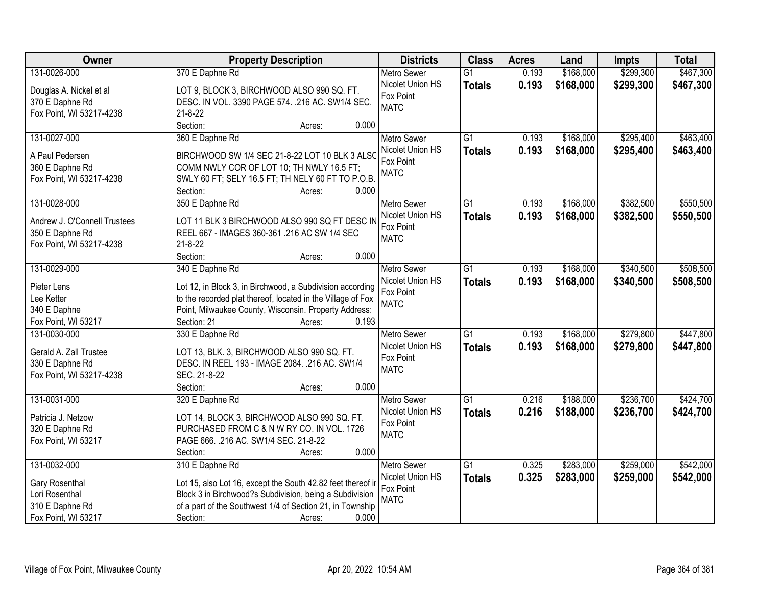| Owner                        | <b>Property Description</b>                                    | <b>Districts</b>                       | <b>Class</b>    | <b>Acres</b> | Land      | Impts     | <b>Total</b> |
|------------------------------|----------------------------------------------------------------|----------------------------------------|-----------------|--------------|-----------|-----------|--------------|
| 131-0026-000                 | 370 E Daphne Rd                                                | <b>Metro Sewer</b>                     | $\overline{G1}$ | 0.193        | \$168,000 | \$299,300 | \$467,300    |
| Douglas A. Nickel et al      | LOT 9, BLOCK 3, BIRCHWOOD ALSO 990 SQ. FT.                     | Nicolet Union HS                       | <b>Totals</b>   | 0.193        | \$168,000 | \$299,300 | \$467,300    |
| 370 E Daphne Rd              | DESC. IN VOL. 3390 PAGE 574. . 216 AC. SW1/4 SEC.              | Fox Point                              |                 |              |           |           |              |
| Fox Point, WI 53217-4238     | $21 - 8 - 22$                                                  | <b>MATC</b>                            |                 |              |           |           |              |
|                              | Section:<br>0.000<br>Acres:                                    |                                        |                 |              |           |           |              |
| 131-0027-000                 | 360 E Daphne Rd                                                | <b>Metro Sewer</b>                     | $\overline{G1}$ | 0.193        | \$168,000 | \$295,400 | \$463,400    |
|                              |                                                                | Nicolet Union HS                       | <b>Totals</b>   | 0.193        | \$168,000 | \$295,400 | \$463,400    |
| A Paul Pedersen              | BIRCHWOOD SW 1/4 SEC 21-8-22 LOT 10 BLK 3 ALSO                 | Fox Point                              |                 |              |           |           |              |
| 360 E Daphne Rd              | COMM NWLY COR OF LOT 10; TH NWLY 16.5 FT;                      | <b>MATC</b>                            |                 |              |           |           |              |
| Fox Point, WI 53217-4238     | SWLY 60 FT; SELY 16.5 FT; TH NELY 60 FT TO P.O.B.<br>0.000     |                                        |                 |              |           |           |              |
| 131-0028-000                 | Section:<br>Acres:<br>350 E Daphne Rd                          | <b>Metro Sewer</b>                     | $\overline{G1}$ | 0.193        | \$168,000 | \$382,500 | \$550,500    |
|                              |                                                                | Nicolet Union HS                       |                 | 0.193        | \$168,000 | \$382,500 | \$550,500    |
| Andrew J. O'Connell Trustees | LOT 11 BLK 3 BIRCHWOOD ALSO 990 SQ FT DESC IN                  | Fox Point                              | <b>Totals</b>   |              |           |           |              |
| 350 E Daphne Rd              | REEL 667 - IMAGES 360-361.216 AC SW 1/4 SEC                    | <b>MATC</b>                            |                 |              |           |           |              |
| Fox Point, WI 53217-4238     | $21 - 8 - 22$                                                  |                                        |                 |              |           |           |              |
|                              | Section:<br>0.000<br>Acres:                                    |                                        |                 |              |           |           |              |
| 131-0029-000                 | 340 E Daphne Rd                                                | <b>Metro Sewer</b>                     | G1              | 0.193        | \$168,000 | \$340,500 | \$508,500    |
| Pieter Lens                  | Lot 12, in Block 3, in Birchwood, a Subdivision according      | Nicolet Union HS                       | <b>Totals</b>   | 0.193        | \$168,000 | \$340,500 | \$508,500    |
| Lee Ketter                   | to the recorded plat thereof, located in the Village of Fox    | Fox Point                              |                 |              |           |           |              |
| 340 E Daphne                 | Point, Milwaukee County, Wisconsin. Property Address:          | <b>MATC</b>                            |                 |              |           |           |              |
| Fox Point, WI 53217          | Section: 21<br>0.193<br>Acres:                                 |                                        |                 |              |           |           |              |
| 131-0030-000                 | 330 E Daphne Rd                                                | <b>Metro Sewer</b>                     | $\overline{G1}$ | 0.193        | \$168,000 | \$279,800 | \$447,800    |
|                              |                                                                | Nicolet Union HS                       | <b>Totals</b>   | 0.193        | \$168,000 | \$279,800 | \$447,800    |
| Gerald A. Zall Trustee       | LOT 13, BLK. 3, BIRCHWOOD ALSO 990 SQ. FT.                     | Fox Point                              |                 |              |           |           |              |
| 330 E Daphne Rd              | DESC. IN REEL 193 - IMAGE 2084. .216 AC. SW1/4<br>SEC. 21-8-22 | <b>MATC</b>                            |                 |              |           |           |              |
| Fox Point, WI 53217-4238     | Section:<br>0.000                                              |                                        |                 |              |           |           |              |
|                              | Acres:                                                         |                                        | $\overline{G1}$ |              | \$188,000 |           | \$424,700    |
| 131-0031-000                 | 320 E Daphne Rd                                                | <b>Metro Sewer</b><br>Nicolet Union HS |                 | 0.216        |           | \$236,700 |              |
| Patricia J. Netzow           | LOT 14, BLOCK 3, BIRCHWOOD ALSO 990 SQ. FT.                    | Fox Point                              | <b>Totals</b>   | 0.216        | \$188,000 | \$236,700 | \$424,700    |
| 320 E Daphne Rd              | PURCHASED FROM C & N W RY CO. IN VOL. 1726                     | <b>MATC</b>                            |                 |              |           |           |              |
| Fox Point, WI 53217          | PAGE 666. .216 AC. SW1/4 SEC. 21-8-22                          |                                        |                 |              |           |           |              |
|                              | 0.000<br>Section:<br>Acres:                                    |                                        |                 |              |           |           |              |
| 131-0032-000                 | 310 E Daphne Rd                                                | <b>Metro Sewer</b>                     | $\overline{G1}$ | 0.325        | \$283,000 | \$259,000 | \$542,000    |
| Gary Rosenthal               | Lot 15, also Lot 16, except the South 42.82 feet thereof ir    | Nicolet Union HS                       | <b>Totals</b>   | 0.325        | \$283,000 | \$259,000 | \$542,000    |
| Lori Rosenthal               | Block 3 in Birchwood?s Subdivision, being a Subdivision        | Fox Point                              |                 |              |           |           |              |
| 310 E Daphne Rd              | of a part of the Southwest 1/4 of Section 21, in Township      | <b>MATC</b>                            |                 |              |           |           |              |
| Fox Point, WI 53217          | Section:<br>0.000<br>Acres:                                    |                                        |                 |              |           |           |              |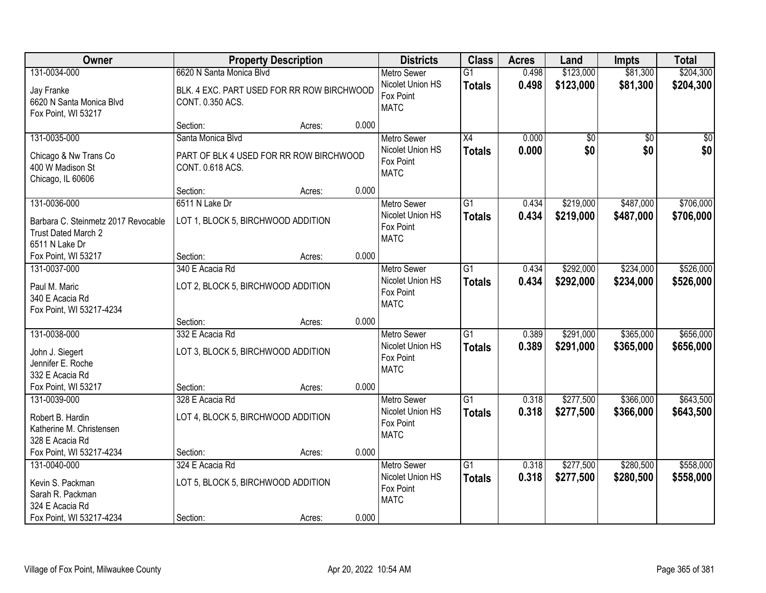| Owner                                                                                               |                                                                                            | <b>Property Description</b> |       | <b>Districts</b>                                                   | <b>Class</b>                     | <b>Acres</b>   | Land                   | <b>Impts</b>           | <b>Total</b>           |
|-----------------------------------------------------------------------------------------------------|--------------------------------------------------------------------------------------------|-----------------------------|-------|--------------------------------------------------------------------|----------------------------------|----------------|------------------------|------------------------|------------------------|
| 131-0034-000<br>Jay Franke<br>6620 N Santa Monica Blvd<br>Fox Point, WI 53217                       | 6620 N Santa Monica Blvd<br>BLK. 4 EXC. PART USED FOR RR ROW BIRCHWOOD<br>CONT. 0.350 ACS. |                             |       | <b>Metro Sewer</b><br>Nicolet Union HS<br>Fox Point<br><b>MATC</b> | $\overline{G1}$<br><b>Totals</b> | 0.498<br>0.498 | \$123,000<br>\$123,000 | \$81,300<br>\$81,300   | \$204,300<br>\$204,300 |
|                                                                                                     | Section:                                                                                   | Acres:                      | 0.000 |                                                                    |                                  |                |                        |                        |                        |
| 131-0035-000<br>Chicago & Nw Trans Co<br>400 W Madison St<br>Chicago, IL 60606                      | Santa Monica Blvd<br>PART OF BLK 4 USED FOR RR ROW BIRCHWOOD<br>CONT. 0.618 ACS.           |                             |       | <b>Metro Sewer</b><br>Nicolet Union HS<br>Fox Point<br><b>MATC</b> | $\overline{X4}$<br><b>Totals</b> | 0.000<br>0.000 | \$0<br>\$0             | $\overline{50}$<br>\$0 | $\overline{50}$<br>\$0 |
|                                                                                                     | Section:                                                                                   | Acres:                      | 0.000 |                                                                    |                                  |                |                        |                        |                        |
| 131-0036-000<br>Barbara C. Steinmetz 2017 Revocable<br>Trust Dated March 2<br>6511 N Lake Dr        | 6511 N Lake Dr<br>LOT 1, BLOCK 5, BIRCHWOOD ADDITION                                       |                             |       | <b>Metro Sewer</b><br>Nicolet Union HS<br>Fox Point<br><b>MATC</b> | G1<br><b>Totals</b>              | 0.434<br>0.434 | \$219,000<br>\$219,000 | \$487,000<br>\$487,000 | \$706,000<br>\$706,000 |
| Fox Point, WI 53217                                                                                 | Section:                                                                                   | Acres:                      | 0.000 |                                                                    |                                  |                |                        |                        |                        |
| 131-0037-000<br>Paul M. Maric<br>340 E Acacia Rd<br>Fox Point, WI 53217-4234                        | 340 E Acacia Rd<br>LOT 2, BLOCK 5, BIRCHWOOD ADDITION                                      |                             |       | <b>Metro Sewer</b><br>Nicolet Union HS<br>Fox Point<br><b>MATC</b> | G1<br><b>Totals</b>              | 0.434<br>0.434 | \$292,000<br>\$292,000 | \$234,000<br>\$234,000 | \$526,000<br>\$526,000 |
|                                                                                                     | Section:                                                                                   | Acres:                      | 0.000 |                                                                    |                                  |                |                        |                        |                        |
| 131-0038-000<br>John J. Siegert<br>Jennifer E. Roche<br>332 E Acacia Rd                             | 332 E Acacia Rd<br>LOT 3, BLOCK 5, BIRCHWOOD ADDITION                                      |                             |       | Metro Sewer<br>Nicolet Union HS<br>Fox Point<br><b>MATC</b>        | $\overline{G1}$<br><b>Totals</b> | 0.389<br>0.389 | \$291,000<br>\$291,000 | \$365,000<br>\$365,000 | \$656,000<br>\$656,000 |
| Fox Point, WI 53217                                                                                 | Section:                                                                                   | Acres:                      | 0.000 |                                                                    |                                  |                |                        |                        |                        |
| 131-0039-000<br>Robert B. Hardin<br>Katherine M. Christensen<br>328 E Acacia Rd                     | 328 E Acacia Rd<br>LOT 4, BLOCK 5, BIRCHWOOD ADDITION                                      |                             |       | <b>Metro Sewer</b><br>Nicolet Union HS<br>Fox Point<br><b>MATC</b> | $\overline{G1}$<br><b>Totals</b> | 0.318<br>0.318 | \$277,500<br>\$277,500 | \$366,000<br>\$366,000 | \$643,500<br>\$643,500 |
| Fox Point, WI 53217-4234                                                                            | Section:                                                                                   | Acres:                      | 0.000 |                                                                    |                                  |                |                        |                        |                        |
| 131-0040-000<br>Kevin S. Packman<br>Sarah R. Packman<br>324 E Acacia Rd<br>Fox Point, WI 53217-4234 | 324 E Acacia Rd<br>LOT 5, BLOCK 5, BIRCHWOOD ADDITION<br>Section:                          | Acres:                      | 0.000 | <b>Metro Sewer</b><br>Nicolet Union HS<br>Fox Point<br><b>MATC</b> | $\overline{G1}$<br><b>Totals</b> | 0.318<br>0.318 | \$277,500<br>\$277,500 | \$280,500<br>\$280,500 | \$558,000<br>\$558,000 |
|                                                                                                     |                                                                                            |                             |       |                                                                    |                                  |                |                        |                        |                        |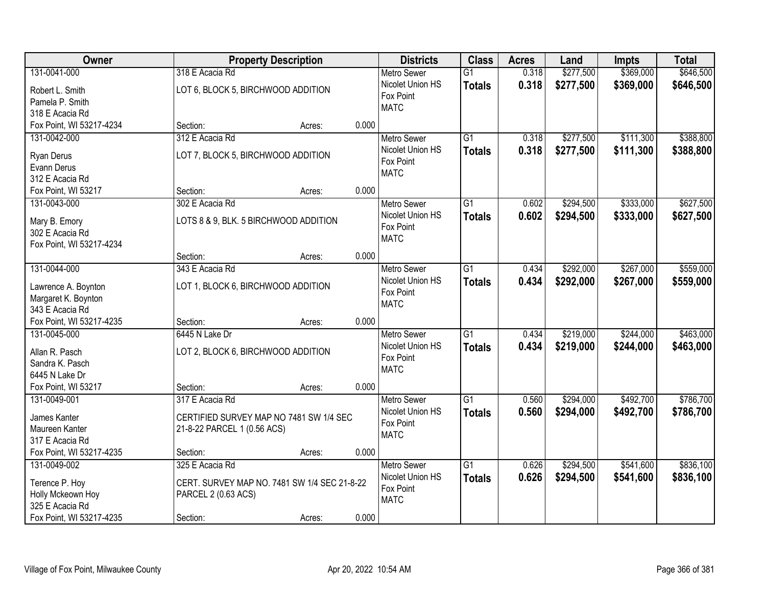| Owner                                  |                                              | <b>Property Description</b> |       | <b>Districts</b>              | <b>Class</b>    | <b>Acres</b> | Land      | Impts     | <b>Total</b> |
|----------------------------------------|----------------------------------------------|-----------------------------|-------|-------------------------------|-----------------|--------------|-----------|-----------|--------------|
| 131-0041-000                           | 318 E Acacia Rd                              |                             |       | <b>Metro Sewer</b>            | $\overline{G1}$ | 0.318        | \$277,500 | \$369,000 | \$646,500    |
| Robert L. Smith                        | LOT 6, BLOCK 5, BIRCHWOOD ADDITION           |                             |       | Nicolet Union HS              | <b>Totals</b>   | 0.318        | \$277,500 | \$369,000 | \$646,500    |
| Pamela P. Smith                        |                                              |                             |       | Fox Point                     |                 |              |           |           |              |
| 318 E Acacia Rd                        |                                              |                             |       | <b>MATC</b>                   |                 |              |           |           |              |
| Fox Point, WI 53217-4234               | Section:                                     | Acres:                      | 0.000 |                               |                 |              |           |           |              |
| 131-0042-000                           | 312 E Acacia Rd                              |                             |       | <b>Metro Sewer</b>            | $\overline{G1}$ | 0.318        | \$277,500 | \$111,300 | \$388,800    |
|                                        |                                              |                             |       | Nicolet Union HS              | <b>Totals</b>   | 0.318        | \$277,500 | \$111,300 | \$388,800    |
| Ryan Derus                             | LOT 7, BLOCK 5, BIRCHWOOD ADDITION           |                             |       | Fox Point                     |                 |              |           |           |              |
| Evann Derus                            |                                              |                             |       | <b>MATC</b>                   |                 |              |           |           |              |
| 312 E Acacia Rd                        |                                              |                             | 0.000 |                               |                 |              |           |           |              |
| Fox Point, WI 53217                    | Section:                                     | Acres:                      |       |                               |                 |              |           |           |              |
| 131-0043-000                           | 302 E Acacia Rd                              |                             |       | Metro Sewer                   | G1              | 0.602        | \$294,500 | \$333,000 | \$627,500    |
| Mary B. Emory                          | LOTS 8 & 9, BLK. 5 BIRCHWOOD ADDITION        |                             |       | Nicolet Union HS              | <b>Totals</b>   | 0.602        | \$294,500 | \$333,000 | \$627,500    |
| 302 E Acacia Rd                        |                                              |                             |       | Fox Point                     |                 |              |           |           |              |
| Fox Point, WI 53217-4234               |                                              |                             |       | <b>MATC</b>                   |                 |              |           |           |              |
|                                        | Section:                                     | Acres:                      | 0.000 |                               |                 |              |           |           |              |
| 131-0044-000                           | 343 E Acacia Rd                              |                             |       | <b>Metro Sewer</b>            | $\overline{G1}$ | 0.434        | \$292,000 | \$267,000 | \$559,000    |
|                                        | LOT 1, BLOCK 6, BIRCHWOOD ADDITION           |                             |       | Nicolet Union HS              | <b>Totals</b>   | 0.434        | \$292,000 | \$267,000 | \$559,000    |
| Lawrence A. Boynton                    |                                              |                             |       | Fox Point                     |                 |              |           |           |              |
| Margaret K. Boynton<br>343 E Acacia Rd |                                              |                             |       | <b>MATC</b>                   |                 |              |           |           |              |
| Fox Point, WI 53217-4235               | Section:                                     | Acres:                      | 0.000 |                               |                 |              |           |           |              |
| 131-0045-000                           | 6445 N Lake Dr                               |                             |       |                               | $\overline{G1}$ | 0.434        | \$219,000 | \$244,000 | \$463,000    |
|                                        |                                              |                             |       | Metro Sewer                   |                 |              |           |           |              |
| Allan R. Pasch                         | LOT 2, BLOCK 6, BIRCHWOOD ADDITION           |                             |       | Nicolet Union HS<br>Fox Point | <b>Totals</b>   | 0.434        | \$219,000 | \$244,000 | \$463,000    |
| Sandra K. Pasch                        |                                              |                             |       | <b>MATC</b>                   |                 |              |           |           |              |
| 6445 N Lake Dr                         |                                              |                             |       |                               |                 |              |           |           |              |
| Fox Point, WI 53217                    | Section:                                     | Acres:                      | 0.000 |                               |                 |              |           |           |              |
| 131-0049-001                           | 317 E Acacia Rd                              |                             |       | <b>Metro Sewer</b>            | $\overline{G1}$ | 0.560        | \$294,000 | \$492,700 | \$786,700    |
| James Kanter                           | CERTIFIED SURVEY MAP NO 7481 SW 1/4 SEC      |                             |       | Nicolet Union HS              | <b>Totals</b>   | 0.560        | \$294,000 | \$492,700 | \$786,700    |
| Maureen Kanter                         | 21-8-22 PARCEL 1 (0.56 ACS)                  |                             |       | Fox Point                     |                 |              |           |           |              |
| 317 E Acacia Rd                        |                                              |                             |       | <b>MATC</b>                   |                 |              |           |           |              |
| Fox Point, WI 53217-4235               | Section:                                     | Acres:                      | 0.000 |                               |                 |              |           |           |              |
| 131-0049-002                           | 325 E Acacia Rd                              |                             |       | <b>Metro Sewer</b>            | $\overline{G1}$ | 0.626        | \$294,500 | \$541,600 | \$836,100    |
|                                        |                                              |                             |       | Nicolet Union HS              | <b>Totals</b>   | 0.626        | \$294,500 | \$541,600 | \$836,100    |
| Terence P. Hoy                         | CERT. SURVEY MAP NO. 7481 SW 1/4 SEC 21-8-22 |                             |       | Fox Point                     |                 |              |           |           |              |
| Holly Mckeown Hoy                      | PARCEL 2 (0.63 ACS)                          |                             |       | <b>MATC</b>                   |                 |              |           |           |              |
| 325 E Acacia Rd                        |                                              |                             |       |                               |                 |              |           |           |              |
| Fox Point, WI 53217-4235               | Section:                                     | Acres:                      | 0.000 |                               |                 |              |           |           |              |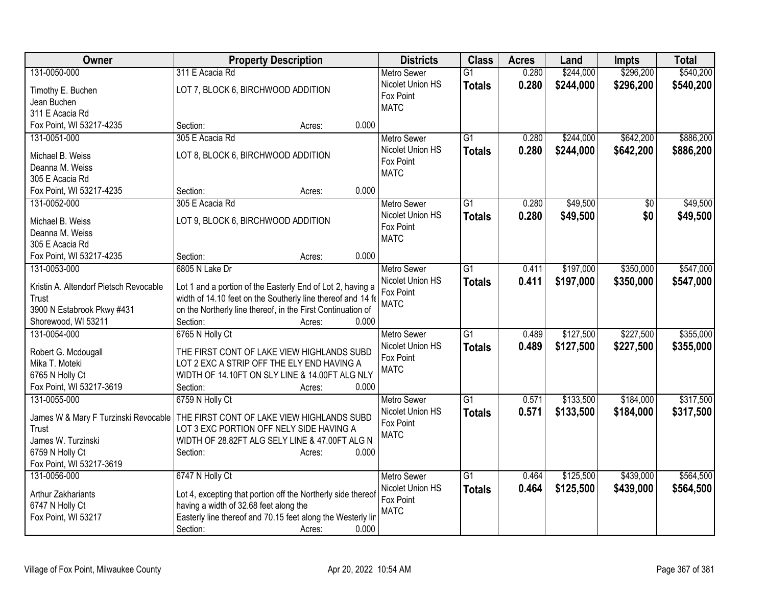| <b>Owner</b>                           | <b>Property Description</b>                                                              | <b>Districts</b>   | <b>Class</b>    | <b>Acres</b> | Land      | <b>Impts</b> | <b>Total</b> |
|----------------------------------------|------------------------------------------------------------------------------------------|--------------------|-----------------|--------------|-----------|--------------|--------------|
| 131-0050-000                           | 311 E Acacia Rd                                                                          | <b>Metro Sewer</b> | $\overline{G1}$ | 0.280        | \$244,000 | \$296,200    | \$540,200    |
| Timothy E. Buchen                      | LOT 7, BLOCK 6, BIRCHWOOD ADDITION                                                       | Nicolet Union HS   | <b>Totals</b>   | 0.280        | \$244,000 | \$296,200    | \$540,200    |
| Jean Buchen                            |                                                                                          | Fox Point          |                 |              |           |              |              |
| 311 E Acacia Rd                        |                                                                                          | <b>MATC</b>        |                 |              |           |              |              |
| Fox Point, WI 53217-4235               | 0.000<br>Section:<br>Acres:                                                              |                    |                 |              |           |              |              |
| 131-0051-000                           | 305 E Acacia Rd                                                                          | <b>Metro Sewer</b> | $\overline{G1}$ | 0.280        | \$244,000 | \$642,200    | \$886,200    |
|                                        | LOT 8, BLOCK 6, BIRCHWOOD ADDITION                                                       | Nicolet Union HS   | <b>Totals</b>   | 0.280        | \$244,000 | \$642,200    | \$886,200    |
| Michael B. Weiss<br>Deanna M. Weiss    |                                                                                          | Fox Point          |                 |              |           |              |              |
| 305 E Acacia Rd                        |                                                                                          | <b>MATC</b>        |                 |              |           |              |              |
| Fox Point, WI 53217-4235               | 0.000<br>Section:<br>Acres:                                                              |                    |                 |              |           |              |              |
| 131-0052-000                           | 305 E Acacia Rd                                                                          | <b>Metro Sewer</b> | G1              | 0.280        | \$49,500  | \$0          | \$49,500     |
|                                        |                                                                                          | Nicolet Union HS   | <b>Totals</b>   | 0.280        | \$49,500  | \$0          | \$49,500     |
| Michael B. Weiss                       | LOT 9, BLOCK 6, BIRCHWOOD ADDITION                                                       | Fox Point          |                 |              |           |              |              |
| Deanna M. Weiss                        |                                                                                          | <b>MATC</b>        |                 |              |           |              |              |
| 305 E Acacia Rd                        |                                                                                          |                    |                 |              |           |              |              |
| Fox Point, WI 53217-4235               | 0.000<br>Section:<br>Acres:                                                              |                    |                 |              |           |              |              |
| 131-0053-000                           | 6805 N Lake Dr                                                                           | <b>Metro Sewer</b> | $\overline{G1}$ | 0.411        | \$197,000 | \$350,000    | \$547,000    |
| Kristin A. Altendorf Pietsch Revocable | Lot 1 and a portion of the Easterly End of Lot 2, having a                               | Nicolet Union HS   | <b>Totals</b>   | 0.411        | \$197,000 | \$350,000    | \$547,000    |
| Trust                                  | width of 14.10 feet on the Southerly line thereof and 14 fe                              | Fox Point          |                 |              |           |              |              |
| 3900 N Estabrook Pkwy #431             | on the Northerly line thereof, in the First Continuation of                              | <b>MATC</b>        |                 |              |           |              |              |
| Shorewood, WI 53211                    | 0.000<br>Section:<br>Acres:                                                              |                    |                 |              |           |              |              |
| 131-0054-000                           | 6765 N Holly Ct                                                                          | <b>Metro Sewer</b> | $\overline{G1}$ | 0.489        | \$127,500 | \$227,500    | \$355,000    |
|                                        |                                                                                          | Nicolet Union HS   | <b>Totals</b>   | 0.489        | \$127,500 | \$227,500    | \$355,000    |
| Robert G. Mcdougall<br>Mika T. Moteki  | THE FIRST CONT OF LAKE VIEW HIGHLANDS SUBD<br>LOT 2 EXC A STRIP OFF THE ELY END HAVING A | Fox Point          |                 |              |           |              |              |
| 6765 N Holly Ct                        | WIDTH OF 14.10FT ON SLY LINE & 14.00FT ALG NLY                                           | <b>MATC</b>        |                 |              |           |              |              |
| Fox Point, WI 53217-3619               | 0.000<br>Section:<br>Acres:                                                              |                    |                 |              |           |              |              |
| 131-0055-000                           | 6759 N Holly Ct                                                                          | <b>Metro Sewer</b> | $\overline{G1}$ | 0.571        | \$133,500 | \$184,000    | \$317,500    |
|                                        |                                                                                          | Nicolet Union HS   | <b>Totals</b>   | 0.571        | \$133,500 | \$184,000    | \$317,500    |
| James W & Mary F Turzinski Revocable   | THE FIRST CONT OF LAKE VIEW HIGHLANDS SUBD                                               | Fox Point          |                 |              |           |              |              |
| Trust                                  | LOT 3 EXC PORTION OFF NELY SIDE HAVING A                                                 | <b>MATC</b>        |                 |              |           |              |              |
| James W. Turzinski                     | WIDTH OF 28.82FT ALG SELY LINE & 47.00FT ALG N                                           |                    |                 |              |           |              |              |
| 6759 N Holly Ct                        | 0.000<br>Section:<br>Acres:                                                              |                    |                 |              |           |              |              |
| Fox Point, WI 53217-3619               |                                                                                          |                    |                 |              |           |              |              |
| 131-0056-000                           | 6747 N Holly Ct                                                                          | <b>Metro Sewer</b> | $\overline{G1}$ | 0.464        | \$125,500 | \$439,000    | \$564,500    |
| Arthur Zakhariants                     | Lot 4, excepting that portion off the Northerly side thereof                             | Nicolet Union HS   | <b>Totals</b>   | 0.464        | \$125,500 | \$439,000    | \$564,500    |
| 6747 N Holly Ct                        | having a width of 32.68 feet along the                                                   | Fox Point          |                 |              |           |              |              |
| Fox Point, WI 53217                    | Easterly line thereof and 70.15 feet along the Westerly lin                              | <b>MATC</b>        |                 |              |           |              |              |
|                                        | Section:<br>0.000<br>Acres:                                                              |                    |                 |              |           |              |              |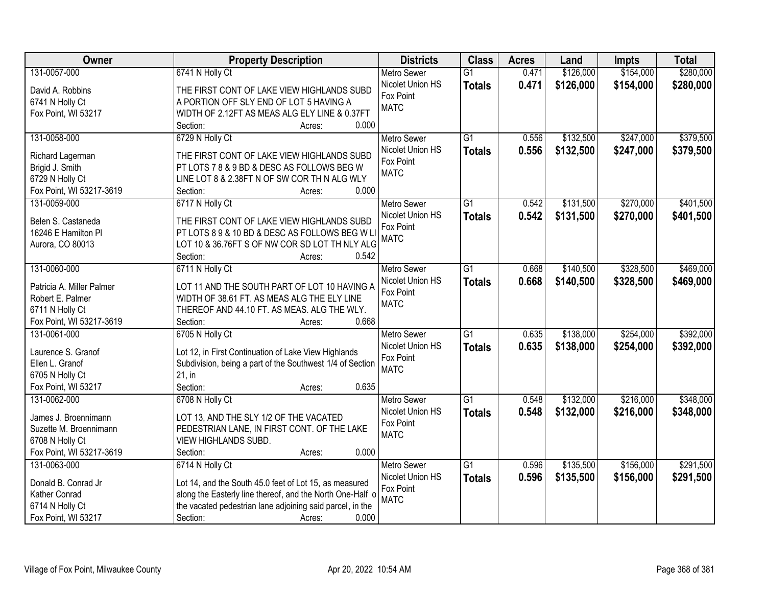| <b>Owner</b>              | <b>Property Description</b>                               | <b>Districts</b>   | <b>Class</b>    | <b>Acres</b> | Land      | Impts     | <b>Total</b> |
|---------------------------|-----------------------------------------------------------|--------------------|-----------------|--------------|-----------|-----------|--------------|
| 131-0057-000              | 6741 N Holly Ct                                           | <b>Metro Sewer</b> | $\overline{G1}$ | 0.471        | \$126,000 | \$154,000 | \$280,000    |
| David A. Robbins          | THE FIRST CONT OF LAKE VIEW HIGHLANDS SUBD                | Nicolet Union HS   | <b>Totals</b>   | 0.471        | \$126,000 | \$154,000 | \$280,000    |
| 6741 N Holly Ct           | A PORTION OFF SLY END OF LOT 5 HAVING A                   | Fox Point          |                 |              |           |           |              |
| Fox Point, WI 53217       | WIDTH OF 2.12FT AS MEAS ALG ELY LINE & 0.37FT             | <b>MATC</b>        |                 |              |           |           |              |
|                           | 0.000<br>Section:<br>Acres:                               |                    |                 |              |           |           |              |
| 131-0058-000              | 6729 N Holly Ct                                           | <b>Metro Sewer</b> | $\overline{G1}$ | 0.556        | \$132,500 | \$247,000 | \$379,500    |
|                           |                                                           | Nicolet Union HS   | <b>Totals</b>   | 0.556        | \$132,500 | \$247,000 | \$379,500    |
| Richard Lagerman          | THE FIRST CONT OF LAKE VIEW HIGHLANDS SUBD                | Fox Point          |                 |              |           |           |              |
| Brigid J. Smith           | PT LOTS 7 8 & 9 BD & DESC AS FOLLOWS BEG W                | <b>MATC</b>        |                 |              |           |           |              |
| 6729 N Holly Ct           | LINE LOT 8 & 2.38FT N OF SW COR TH N ALG WLY              |                    |                 |              |           |           |              |
| Fox Point, WI 53217-3619  | 0.000<br>Section:<br>Acres:                               |                    |                 |              |           |           |              |
| 131-0059-000              | 6717 N Holly Ct                                           | <b>Metro Sewer</b> | $\overline{G1}$ | 0.542        | \$131,500 | \$270,000 | \$401,500    |
| Belen S. Castaneda        | THE FIRST CONT OF LAKE VIEW HIGHLANDS SUBD                | Nicolet Union HS   | <b>Totals</b>   | 0.542        | \$131,500 | \$270,000 | \$401,500    |
| 16246 E Hamilton Pl       | PT LOTS 89 & 10 BD & DESC AS FOLLOWS BEG W L              | Fox Point          |                 |              |           |           |              |
| Aurora, CO 80013          | LOT 10 & 36.76FT S OF NW COR SD LOT TH NLY ALG            | <b>MATC</b>        |                 |              |           |           |              |
|                           | Section:<br>0.542<br>Acres:                               |                    |                 |              |           |           |              |
| 131-0060-000              | 6711 N Holly Ct                                           | <b>Metro Sewer</b> | G1              | 0.668        | \$140,500 | \$328,500 | \$469,000    |
|                           |                                                           | Nicolet Union HS   | <b>Totals</b>   | 0.668        | \$140,500 | \$328,500 | \$469,000    |
| Patricia A. Miller Palmer | LOT 11 AND THE SOUTH PART OF LOT 10 HAVING A              | Fox Point          |                 |              |           |           |              |
| Robert E. Palmer          | WIDTH OF 38.61 FT. AS MEAS ALG THE ELY LINE               | <b>MATC</b>        |                 |              |           |           |              |
| 6711 N Holly Ct           | THEREOF AND 44.10 FT. AS MEAS. ALG THE WLY.               |                    |                 |              |           |           |              |
| Fox Point, WI 53217-3619  | 0.668<br>Section:<br>Acres:                               |                    |                 |              |           |           |              |
| 131-0061-000              | 6705 N Holly Ct                                           | <b>Metro Sewer</b> | $\overline{G1}$ | 0.635        | \$138,000 | \$254,000 | \$392,000    |
| Laurence S. Granof        | Lot 12, in First Continuation of Lake View Highlands      | Nicolet Union HS   | <b>Totals</b>   | 0.635        | \$138,000 | \$254,000 | \$392,000    |
| Ellen L. Granof           | Subdivision, being a part of the Southwest 1/4 of Section | Fox Point          |                 |              |           |           |              |
| 6705 N Holly Ct           | $21$ , in                                                 | <b>MATC</b>        |                 |              |           |           |              |
| Fox Point, WI 53217       | 0.635<br>Section:<br>Acres:                               |                    |                 |              |           |           |              |
| 131-0062-000              | 6708 N Holly Ct                                           | <b>Metro Sewer</b> | G1              | 0.548        | \$132,000 | \$216,000 | \$348,000    |
|                           |                                                           | Nicolet Union HS   | <b>Totals</b>   | 0.548        | \$132,000 | \$216,000 | \$348,000    |
| James J. Broennimann      | LOT 13, AND THE SLY 1/2 OF THE VACATED                    | Fox Point          |                 |              |           |           |              |
| Suzette M. Broennimann    | PEDESTRIAN LANE, IN FIRST CONT. OF THE LAKE               | <b>MATC</b>        |                 |              |           |           |              |
| 6708 N Holly Ct           | <b>VIEW HIGHLANDS SUBD.</b>                               |                    |                 |              |           |           |              |
| Fox Point, WI 53217-3619  | 0.000<br>Section:<br>Acres:                               |                    |                 |              |           |           |              |
| 131-0063-000              | 6714 N Holly Ct                                           | <b>Metro Sewer</b> | $\overline{G1}$ | 0.596        | \$135,500 | \$156,000 | \$291,500    |
| Donald B. Conrad Jr       | Lot 14, and the South 45.0 feet of Lot 15, as measured    | Nicolet Union HS   | <b>Totals</b>   | 0.596        | \$135,500 | \$156,000 | \$291,500    |
| Kather Conrad             | along the Easterly line thereof, and the North One-Half o | Fox Point          |                 |              |           |           |              |
| 6714 N Holly Ct           | the vacated pedestrian lane adjoining said parcel, in the | <b>MATC</b>        |                 |              |           |           |              |
| Fox Point, WI 53217       | 0.000<br>Section:<br>Acres:                               |                    |                 |              |           |           |              |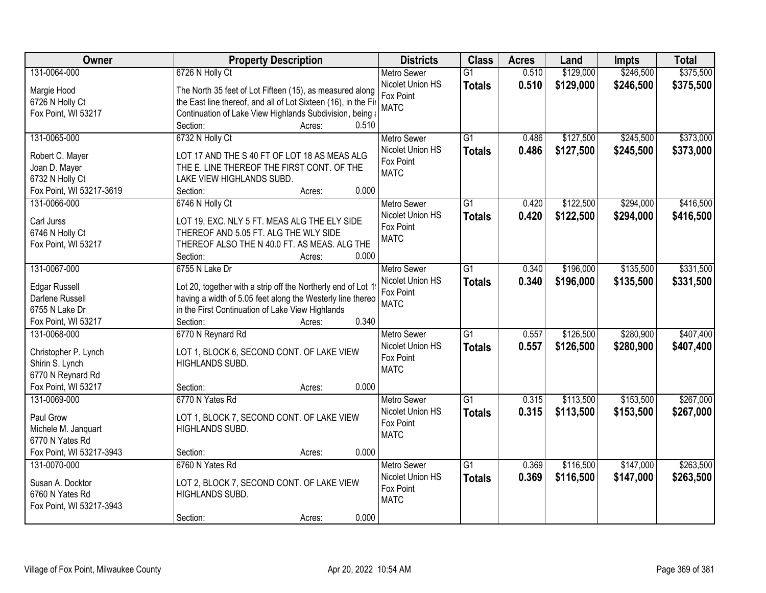| Owner                                    | <b>Property Description</b>                                                                                                | <b>Districts</b>              | <b>Class</b>    | <b>Acres</b> | Land      | Impts     | <b>Total</b> |
|------------------------------------------|----------------------------------------------------------------------------------------------------------------------------|-------------------------------|-----------------|--------------|-----------|-----------|--------------|
| 131-0064-000                             | 6726 N Holly Ct                                                                                                            | <b>Metro Sewer</b>            | $\overline{G1}$ | 0.510        | \$129,000 | \$246,500 | \$375,500    |
| Margie Hood                              | The North 35 feet of Lot Fifteen (15), as measured along                                                                   | Nicolet Union HS              | <b>Totals</b>   | 0.510        | \$129,000 | \$246,500 | \$375,500    |
| 6726 N Holly Ct                          | the East line thereof, and all of Lot Sixteen (16), in the Fir                                                             | Fox Point                     |                 |              |           |           |              |
| Fox Point, WI 53217                      | Continuation of Lake View Highlands Subdivision, being a                                                                   | <b>MATC</b>                   |                 |              |           |           |              |
|                                          | 0.510<br>Section:<br>Acres:                                                                                                |                               |                 |              |           |           |              |
| 131-0065-000                             | 6732 N Holly Ct                                                                                                            | <b>Metro Sewer</b>            | $\overline{G1}$ | 0.486        | \$127,500 | \$245,500 | \$373,000    |
|                                          |                                                                                                                            | Nicolet Union HS              | <b>Totals</b>   | 0.486        | \$127,500 | \$245,500 | \$373,000    |
| Robert C. Mayer                          | LOT 17 AND THE S 40 FT OF LOT 18 AS MEAS ALG                                                                               | Fox Point                     |                 |              |           |           |              |
| Joan D. Mayer                            | THE E. LINE THEREOF THE FIRST CONT. OF THE                                                                                 | <b>MATC</b>                   |                 |              |           |           |              |
| 6732 N Holly Ct                          | LAKE VIEW HIGHLANDS SUBD.<br>0.000                                                                                         |                               |                 |              |           |           |              |
| Fox Point, WI 53217-3619<br>131-0066-000 | Section:<br>Acres:                                                                                                         |                               | $\overline{G1}$ |              |           |           | \$416,500    |
|                                          | 6746 N Holly Ct                                                                                                            | <b>Metro Sewer</b>            |                 | 0.420        | \$122,500 | \$294,000 |              |
| Carl Jurss                               | LOT 19, EXC. NLY 5 FT. MEAS ALG THE ELY SIDE                                                                               | Nicolet Union HS<br>Fox Point | <b>Totals</b>   | 0.420        | \$122,500 | \$294,000 | \$416,500    |
| 6746 N Holly Ct                          | THEREOF AND 5.05 FT. ALG THE WLY SIDE                                                                                      | <b>MATC</b>                   |                 |              |           |           |              |
| Fox Point, WI 53217                      | THEREOF ALSO THE N 40.0 FT. AS MEAS. ALG THE                                                                               |                               |                 |              |           |           |              |
|                                          | Section:<br>0.000<br>Acres:                                                                                                |                               |                 |              |           |           |              |
| 131-0067-000                             | 6755 N Lake Dr                                                                                                             | <b>Metro Sewer</b>            | G1              | 0.340        | \$196,000 | \$135,500 | \$331,500    |
|                                          |                                                                                                                            | Nicolet Union HS              | <b>Totals</b>   | 0.340        | \$196,000 | \$135,500 | \$331,500    |
| <b>Edgar Russell</b><br>Darlene Russell  | Lot 20, together with a strip off the Northerly end of Lot 1<br>having a width of 5.05 feet along the Westerly line thereo | Fox Point                     |                 |              |           |           |              |
| 6755 N Lake Dr                           | in the First Continuation of Lake View Highlands                                                                           | <b>MATC</b>                   |                 |              |           |           |              |
| Fox Point, WI 53217                      | 0.340<br>Section:                                                                                                          |                               |                 |              |           |           |              |
| 131-0068-000                             | Acres:<br>6770 N Reynard Rd                                                                                                | <b>Metro Sewer</b>            | $\overline{G1}$ | 0.557        | \$126,500 | \$280,900 | \$407,400    |
|                                          |                                                                                                                            | Nicolet Union HS              |                 |              |           |           |              |
| Christopher P. Lynch                     | LOT 1, BLOCK 6, SECOND CONT. OF LAKE VIEW                                                                                  | Fox Point                     | <b>Totals</b>   | 0.557        | \$126,500 | \$280,900 | \$407,400    |
| Shirin S. Lynch                          | HIGHLANDS SUBD.                                                                                                            | <b>MATC</b>                   |                 |              |           |           |              |
| 6770 N Reynard Rd                        |                                                                                                                            |                               |                 |              |           |           |              |
| Fox Point, WI 53217                      | 0.000<br>Section:<br>Acres:                                                                                                |                               |                 |              |           |           |              |
| 131-0069-000                             | 6770 N Yates Rd                                                                                                            | Metro Sewer                   | $\overline{G1}$ | 0.315        | \$113,500 | \$153,500 | \$267,000    |
| Paul Grow                                | LOT 1, BLOCK 7, SECOND CONT. OF LAKE VIEW                                                                                  | Nicolet Union HS              | <b>Totals</b>   | 0.315        | \$113,500 | \$153,500 | \$267,000    |
| Michele M. Janquart                      | HIGHLANDS SUBD.                                                                                                            | Fox Point                     |                 |              |           |           |              |
| 6770 N Yates Rd                          |                                                                                                                            | <b>MATC</b>                   |                 |              |           |           |              |
| Fox Point, WI 53217-3943                 | 0.000<br>Section:<br>Acres:                                                                                                |                               |                 |              |           |           |              |
| 131-0070-000                             | 6760 N Yates Rd                                                                                                            | <b>Metro Sewer</b>            | $\overline{G1}$ | 0.369        | \$116,500 | \$147,000 | \$263,500    |
|                                          |                                                                                                                            | Nicolet Union HS              |                 | 0.369        | \$116,500 | \$147,000 | \$263,500    |
| Susan A. Docktor                         | LOT 2, BLOCK 7, SECOND CONT. OF LAKE VIEW                                                                                  | Fox Point                     | <b>Totals</b>   |              |           |           |              |
| 6760 N Yates Rd                          | HIGHLANDS SUBD.                                                                                                            | <b>MATC</b>                   |                 |              |           |           |              |
| Fox Point, WI 53217-3943                 |                                                                                                                            |                               |                 |              |           |           |              |
|                                          | 0.000<br>Section:<br>Acres:                                                                                                |                               |                 |              |           |           |              |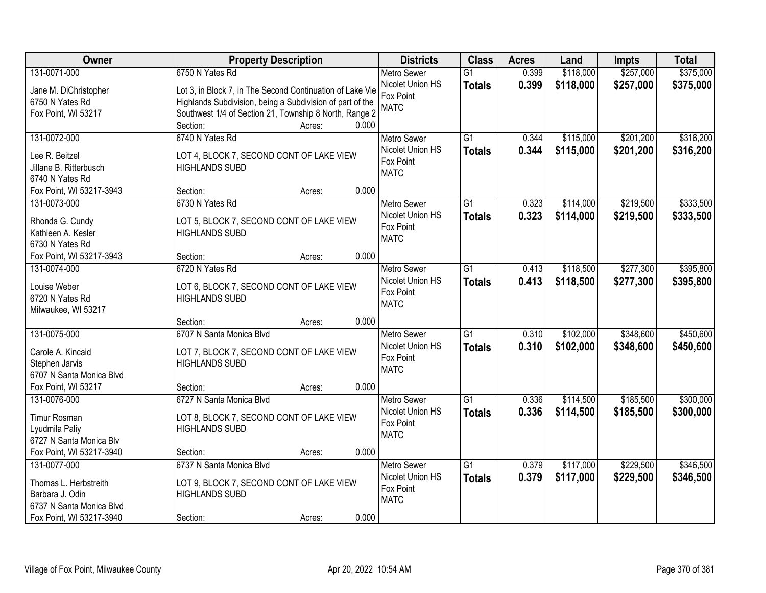| Owner                    | <b>Property Description</b>                               |                 | <b>Districts</b>              | <b>Class</b>    | <b>Acres</b> | Land      | Impts     | <b>Total</b> |
|--------------------------|-----------------------------------------------------------|-----------------|-------------------------------|-----------------|--------------|-----------|-----------|--------------|
| 131-0071-000             | 6750 N Yates Rd                                           |                 | <b>Metro Sewer</b>            | $\overline{G1}$ | 0.399        | \$118,000 | \$257,000 | \$375,000    |
| Jane M. DiChristopher    | Lot 3, in Block 7, in The Second Continuation of Lake Vie |                 | Nicolet Union HS              | <b>Totals</b>   | 0.399        | \$118,000 | \$257,000 | \$375,000    |
| 6750 N Yates Rd          | Highlands Subdivision, being a Subdivision of part of the |                 | Fox Point                     |                 |              |           |           |              |
| Fox Point, WI 53217      | Southwest 1/4 of Section 21, Township 8 North, Range 2    |                 | <b>MATC</b>                   |                 |              |           |           |              |
|                          | Section:                                                  | 0.000<br>Acres: |                               |                 |              |           |           |              |
| 131-0072-000             | 6740 N Yates Rd                                           |                 | <b>Metro Sewer</b>            | $\overline{G1}$ | 0.344        | \$115,000 | \$201,200 | \$316,200    |
| Lee R. Beitzel           | LOT 4, BLOCK 7, SECOND CONT OF LAKE VIEW                  |                 | Nicolet Union HS              | <b>Totals</b>   | 0.344        | \$115,000 | \$201,200 | \$316,200    |
| Jillane B. Ritterbusch   | <b>HIGHLANDS SUBD</b>                                     |                 | Fox Point                     |                 |              |           |           |              |
| 6740 N Yates Rd          |                                                           |                 | <b>MATC</b>                   |                 |              |           |           |              |
| Fox Point, WI 53217-3943 | Section:                                                  | 0.000<br>Acres: |                               |                 |              |           |           |              |
| 131-0073-000             | 6730 N Yates Rd                                           |                 | Metro Sewer                   | G1              | 0.323        | \$114,000 | \$219,500 | \$333,500    |
|                          |                                                           |                 | Nicolet Union HS              | <b>Totals</b>   | 0.323        | \$114,000 | \$219,500 | \$333,500    |
| Rhonda G. Cundy          | LOT 5, BLOCK 7, SECOND CONT OF LAKE VIEW                  |                 | Fox Point                     |                 |              |           |           |              |
| Kathleen A. Kesler       | <b>HIGHLANDS SUBD</b>                                     |                 | <b>MATC</b>                   |                 |              |           |           |              |
| 6730 N Yates Rd          |                                                           |                 |                               |                 |              |           |           |              |
| Fox Point, WI 53217-3943 | Section:                                                  | 0.000<br>Acres: |                               |                 |              |           |           |              |
| 131-0074-000             | 6720 N Yates Rd                                           |                 | <b>Metro Sewer</b>            | G1              | 0.413        | \$118,500 | \$277,300 | \$395,800    |
| Louise Weber             | LOT 6, BLOCK 7, SECOND CONT OF LAKE VIEW                  |                 | Nicolet Union HS<br>Fox Point | <b>Totals</b>   | 0.413        | \$118,500 | \$277,300 | \$395,800    |
| 6720 N Yates Rd          | <b>HIGHLANDS SUBD</b>                                     |                 | <b>MATC</b>                   |                 |              |           |           |              |
| Milwaukee, WI 53217      |                                                           |                 |                               |                 |              |           |           |              |
|                          | Section:                                                  | 0.000<br>Acres: |                               |                 |              |           |           |              |
| 131-0075-000             | 6707 N Santa Monica Blvd                                  |                 | <b>Metro Sewer</b>            | $\overline{G1}$ | 0.310        | \$102,000 | \$348,600 | \$450,600    |
| Carole A. Kincaid        | LOT 7, BLOCK 7, SECOND CONT OF LAKE VIEW                  |                 | Nicolet Union HS              | <b>Totals</b>   | 0.310        | \$102,000 | \$348,600 | \$450,600    |
| Stephen Jarvis           | <b>HIGHLANDS SUBD</b>                                     |                 | Fox Point                     |                 |              |           |           |              |
| 6707 N Santa Monica Blvd |                                                           |                 | <b>MATC</b>                   |                 |              |           |           |              |
| Fox Point, WI 53217      | Section:                                                  | 0.000<br>Acres: |                               |                 |              |           |           |              |
| 131-0076-000             | 6727 N Santa Monica Blvd                                  |                 | Metro Sewer                   | G1              | 0.336        | \$114,500 | \$185,500 | \$300,000    |
| Timur Rosman             | LOT 8, BLOCK 7, SECOND CONT OF LAKE VIEW                  |                 | Nicolet Union HS              | <b>Totals</b>   | 0.336        | \$114,500 | \$185,500 | \$300,000    |
| Lyudmila Paliy           | <b>HIGHLANDS SUBD</b>                                     |                 | Fox Point                     |                 |              |           |           |              |
| 6727 N Santa Monica Blv  |                                                           |                 | <b>MATC</b>                   |                 |              |           |           |              |
| Fox Point, WI 53217-3940 | Section:                                                  | 0.000<br>Acres: |                               |                 |              |           |           |              |
| 131-0077-000             | 6737 N Santa Monica Blvd                                  |                 | <b>Metro Sewer</b>            | $\overline{G1}$ | 0.379        | \$117,000 | \$229,500 | \$346,500    |
|                          |                                                           |                 | Nicolet Union HS              | <b>Totals</b>   | 0.379        | \$117,000 | \$229,500 | \$346,500    |
| Thomas L. Herbstreith    | LOT 9, BLOCK 7, SECOND CONT OF LAKE VIEW                  |                 | Fox Point                     |                 |              |           |           |              |
| Barbara J. Odin          | <b>HIGHLANDS SUBD</b>                                     |                 | <b>MATC</b>                   |                 |              |           |           |              |
| 6737 N Santa Monica Blvd |                                                           |                 |                               |                 |              |           |           |              |
| Fox Point, WI 53217-3940 | Section:                                                  | 0.000<br>Acres: |                               |                 |              |           |           |              |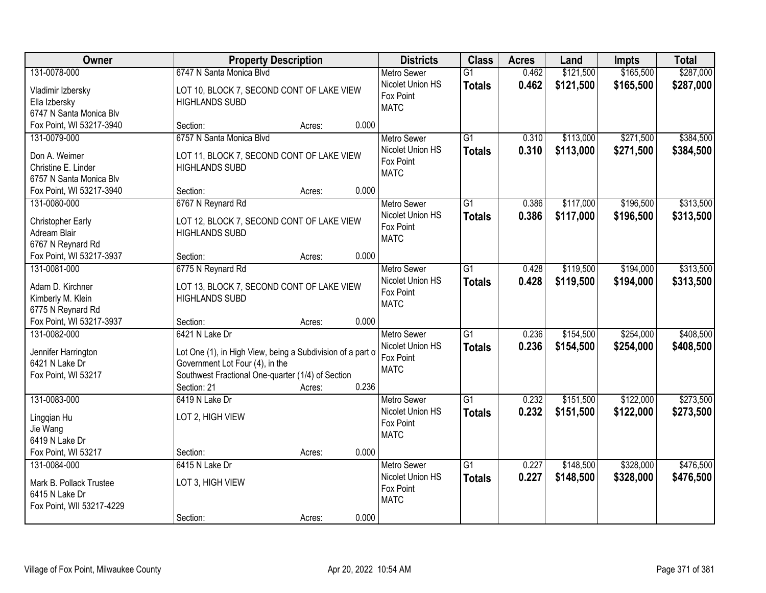| Owner                             |                                                                    | <b>Property Description</b> |       | <b>Districts</b>                       | <b>Class</b>    | <b>Acres</b> | Land      | Impts     | <b>Total</b> |
|-----------------------------------|--------------------------------------------------------------------|-----------------------------|-------|----------------------------------------|-----------------|--------------|-----------|-----------|--------------|
| 131-0078-000                      | 6747 N Santa Monica Blvd                                           |                             |       | <b>Metro Sewer</b><br>Nicolet Union HS | $\overline{G1}$ | 0.462        | \$121,500 | \$165,500 | \$287,000    |
| Vladimir Izbersky                 | LOT 10, BLOCK 7, SECOND CONT OF LAKE VIEW                          |                             |       | Fox Point                              | <b>Totals</b>   | 0.462        | \$121,500 | \$165,500 | \$287,000    |
| Ella Izbersky                     | <b>HIGHLANDS SUBD</b>                                              |                             |       | <b>MATC</b>                            |                 |              |           |           |              |
| 6747 N Santa Monica Blv           |                                                                    |                             |       |                                        |                 |              |           |           |              |
| Fox Point, WI 53217-3940          | Section:                                                           | Acres:                      | 0.000 |                                        |                 |              |           |           |              |
| 131-0079-000                      | 6757 N Santa Monica Blvd                                           |                             |       | <b>Metro Sewer</b>                     | $\overline{G1}$ | 0.310        | \$113,000 | \$271,500 | \$384,500    |
| Don A. Weimer                     | LOT 11, BLOCK 7, SECOND CONT OF LAKE VIEW                          |                             |       | Nicolet Union HS                       | <b>Totals</b>   | 0.310        | \$113,000 | \$271,500 | \$384,500    |
| Christine E. Linder               | <b>HIGHLANDS SUBD</b>                                              |                             |       | Fox Point                              |                 |              |           |           |              |
| 6757 N Santa Monica Blv           |                                                                    |                             |       | <b>MATC</b>                            |                 |              |           |           |              |
| Fox Point, WI 53217-3940          | Section:                                                           | Acres:                      | 0.000 |                                        |                 |              |           |           |              |
| 131-0080-000                      | 6767 N Reynard Rd                                                  |                             |       | <b>Metro Sewer</b>                     | G1              | 0.386        | \$117,000 | \$196,500 | \$313,500    |
|                                   |                                                                    |                             |       | Nicolet Union HS                       | <b>Totals</b>   | 0.386        | \$117,000 | \$196,500 | \$313,500    |
| Christopher Early<br>Adream Blair | LOT 12, BLOCK 7, SECOND CONT OF LAKE VIEW<br><b>HIGHLANDS SUBD</b> |                             |       | Fox Point                              |                 |              |           |           |              |
| 6767 N Reynard Rd                 |                                                                    |                             |       | <b>MATC</b>                            |                 |              |           |           |              |
| Fox Point, WI 53217-3937          | Section:                                                           | Acres:                      | 0.000 |                                        |                 |              |           |           |              |
| 131-0081-000                      | 6775 N Reynard Rd                                                  |                             |       | <b>Metro Sewer</b>                     | G1              | 0.428        | \$119,500 | \$194,000 | \$313,500    |
|                                   |                                                                    |                             |       | Nicolet Union HS                       | <b>Totals</b>   | 0.428        | \$119,500 | \$194,000 | \$313,500    |
| Adam D. Kirchner                  | LOT 13, BLOCK 7, SECOND CONT OF LAKE VIEW                          |                             |       | Fox Point                              |                 |              |           |           |              |
| Kimberly M. Klein                 | <b>HIGHLANDS SUBD</b>                                              |                             |       | <b>MATC</b>                            |                 |              |           |           |              |
| 6775 N Reynard Rd                 |                                                                    |                             |       |                                        |                 |              |           |           |              |
| Fox Point, WI 53217-3937          | Section:                                                           | Acres:                      | 0.000 |                                        |                 |              |           |           |              |
| 131-0082-000                      | 6421 N Lake Dr                                                     |                             |       | <b>Metro Sewer</b>                     | $\overline{G1}$ | 0.236        | \$154,500 | \$254,000 | \$408,500    |
| Jennifer Harrington               | Lot One (1), in High View, being a Subdivision of a part o         |                             |       | Nicolet Union HS                       | <b>Totals</b>   | 0.236        | \$154,500 | \$254,000 | \$408,500    |
| 6421 N Lake Dr                    | Government Lot Four (4), in the                                    |                             |       | Fox Point                              |                 |              |           |           |              |
| Fox Point, WI 53217               | Southwest Fractional One-quarter (1/4) of Section                  |                             |       | <b>MATC</b>                            |                 |              |           |           |              |
|                                   | Section: 21                                                        | Acres:                      | 0.236 |                                        |                 |              |           |           |              |
| 131-0083-000                      | 6419 N Lake Dr                                                     |                             |       | <b>Metro Sewer</b>                     | $\overline{G1}$ | 0.232        | \$151,500 | \$122,000 | \$273,500    |
|                                   | LOT 2, HIGH VIEW                                                   |                             |       | Nicolet Union HS                       | <b>Totals</b>   | 0.232        | \$151,500 | \$122,000 | \$273,500    |
| Lingqian Hu<br>Jie Wang           |                                                                    |                             |       | Fox Point                              |                 |              |           |           |              |
| 6419 N Lake Dr                    |                                                                    |                             |       | <b>MATC</b>                            |                 |              |           |           |              |
| Fox Point, WI 53217               | Section:                                                           | Acres:                      | 0.000 |                                        |                 |              |           |           |              |
| 131-0084-000                      | 6415 N Lake Dr                                                     |                             |       | <b>Metro Sewer</b>                     | $\overline{G1}$ | 0.227        | \$148,500 | \$328,000 | \$476,500    |
|                                   |                                                                    |                             |       | Nicolet Union HS                       | <b>Totals</b>   | 0.227        | \$148,500 | \$328,000 | \$476,500    |
| Mark B. Pollack Trustee           | LOT 3, HIGH VIEW                                                   |                             |       | Fox Point                              |                 |              |           |           |              |
| 6415 N Lake Dr                    |                                                                    |                             |       | <b>MATC</b>                            |                 |              |           |           |              |
| Fox Point, WII 53217-4229         |                                                                    |                             |       |                                        |                 |              |           |           |              |
|                                   | Section:                                                           | Acres:                      | 0.000 |                                        |                 |              |           |           |              |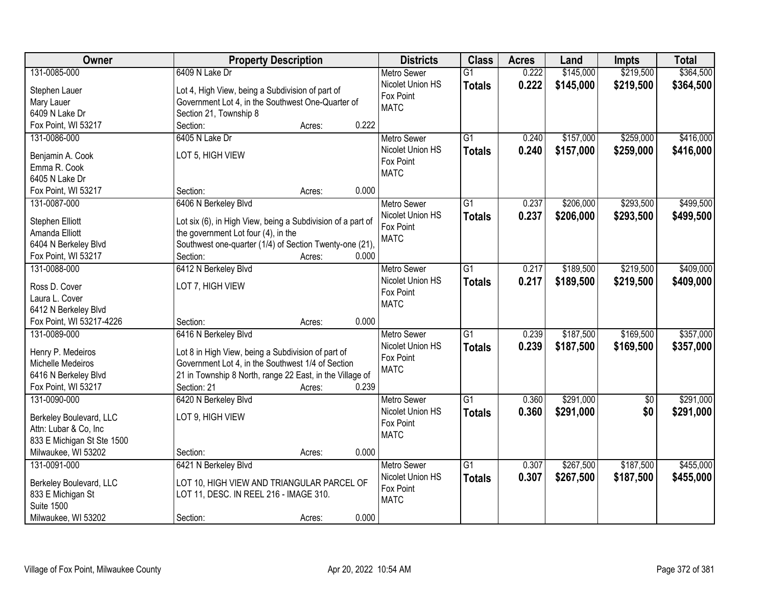| Owner                           | <b>Property Description</b>                                 |        |       | <b>Districts</b>         | <b>Class</b>    | <b>Acres</b> | Land      | Impts      | <b>Total</b> |
|---------------------------------|-------------------------------------------------------------|--------|-------|--------------------------|-----------------|--------------|-----------|------------|--------------|
| 131-0085-000                    | 6409 N Lake Dr                                              |        |       | <b>Metro Sewer</b>       | $\overline{G1}$ | 0.222        | \$145,000 | \$219,500  | \$364,500    |
| Stephen Lauer                   | Lot 4, High View, being a Subdivision of part of            |        |       | Nicolet Union HS         | <b>Totals</b>   | 0.222        | \$145,000 | \$219,500  | \$364,500    |
| Mary Lauer                      | Government Lot 4, in the Southwest One-Quarter of           |        |       | Fox Point                |                 |              |           |            |              |
| 6409 N Lake Dr                  | Section 21, Township 8                                      |        |       | <b>MATC</b>              |                 |              |           |            |              |
| Fox Point, WI 53217             | Section:                                                    | Acres: | 0.222 |                          |                 |              |           |            |              |
| 131-0086-000                    | 6405 N Lake Dr                                              |        |       | <b>Metro Sewer</b>       | $\overline{G1}$ | 0.240        | \$157,000 | \$259,000  | \$416,000    |
|                                 |                                                             |        |       | Nicolet Union HS         | <b>Totals</b>   | 0.240        | \$157,000 | \$259,000  | \$416,000    |
| Benjamin A. Cook                | LOT 5, HIGH VIEW                                            |        |       | Fox Point                |                 |              |           |            |              |
| Emma R. Cook                    |                                                             |        |       | <b>MATC</b>              |                 |              |           |            |              |
| 6405 N Lake Dr                  |                                                             |        | 0.000 |                          |                 |              |           |            |              |
| Fox Point, WI 53217             | Section:                                                    | Acres: |       |                          |                 |              |           |            |              |
| 131-0087-000                    | 6406 N Berkeley Blvd                                        |        |       | <b>Metro Sewer</b>       | $\overline{G1}$ | 0.237        | \$206,000 | \$293,500  | \$499,500    |
| Stephen Elliott                 | Lot six (6), in High View, being a Subdivision of a part of |        |       | Nicolet Union HS         | <b>Totals</b>   | 0.237        | \$206,000 | \$293,500  | \$499,500    |
| Amanda Elliott                  | the government Lot four (4), in the                         |        |       | Fox Point<br><b>MATC</b> |                 |              |           |            |              |
| 6404 N Berkeley Blvd            | Southwest one-quarter (1/4) of Section Twenty-one (21),     |        |       |                          |                 |              |           |            |              |
| Fox Point, WI 53217             | Section:                                                    | Acres: | 0.000 |                          |                 |              |           |            |              |
| 131-0088-000                    | 6412 N Berkeley Blvd                                        |        |       | <b>Metro Sewer</b>       | G1              | 0.217        | \$189,500 | \$219,500  | \$409,000    |
|                                 | LOT 7, HIGH VIEW                                            |        |       | Nicolet Union HS         | <b>Totals</b>   | 0.217        | \$189,500 | \$219,500  | \$409,000    |
| Ross D. Cover<br>Laura L. Cover |                                                             |        |       | Fox Point                |                 |              |           |            |              |
| 6412 N Berkeley Blvd            |                                                             |        |       | <b>MATC</b>              |                 |              |           |            |              |
| Fox Point, WI 53217-4226        | Section:                                                    | Acres: | 0.000 |                          |                 |              |           |            |              |
| 131-0089-000                    | 6416 N Berkeley Blvd                                        |        |       | <b>Metro Sewer</b>       | $\overline{G1}$ | 0.239        | \$187,500 | \$169,500  | \$357,000    |
|                                 |                                                             |        |       | Nicolet Union HS         | <b>Totals</b>   | 0.239        | \$187,500 | \$169,500  | \$357,000    |
| Henry P. Medeiros               | Lot 8 in High View, being a Subdivision of part of          |        |       | Fox Point                |                 |              |           |            |              |
| Michelle Medeiros               | Government Lot 4, in the Southwest 1/4 of Section           |        |       | <b>MATC</b>              |                 |              |           |            |              |
| 6416 N Berkeley Blvd            | 21 in Township 8 North, range 22 East, in the Village of    |        |       |                          |                 |              |           |            |              |
| Fox Point, WI 53217             | Section: 21                                                 | Acres: | 0.239 |                          |                 |              |           |            |              |
| 131-0090-000                    | 6420 N Berkeley Blvd                                        |        |       | Metro Sewer              | $\overline{G1}$ | 0.360        | \$291,000 | $\sqrt{6}$ | \$291,000    |
| Berkeley Boulevard, LLC         | LOT 9, HIGH VIEW                                            |        |       | Nicolet Union HS         | <b>Totals</b>   | 0.360        | \$291,000 | \$0        | \$291,000    |
| Attn: Lubar & Co, Inc           |                                                             |        |       | Fox Point                |                 |              |           |            |              |
| 833 E Michigan St Ste 1500      |                                                             |        |       | <b>MATC</b>              |                 |              |           |            |              |
| Milwaukee, WI 53202             | Section:                                                    | Acres: | 0.000 |                          |                 |              |           |            |              |
| 131-0091-000                    | 6421 N Berkeley Blvd                                        |        |       | <b>Metro Sewer</b>       | $\overline{G1}$ | 0.307        | \$267,500 | \$187,500  | \$455,000    |
|                                 |                                                             |        |       | Nicolet Union HS         | <b>Totals</b>   | 0.307        | \$267,500 | \$187,500  | \$455,000    |
| Berkeley Boulevard, LLC         | LOT 10, HIGH VIEW AND TRIANGULAR PARCEL OF                  |        |       | Fox Point                |                 |              |           |            |              |
| 833 E Michigan St               | LOT 11, DESC. IN REEL 216 - IMAGE 310.                      |        |       | <b>MATC</b>              |                 |              |           |            |              |
| <b>Suite 1500</b>               |                                                             |        |       |                          |                 |              |           |            |              |
| Milwaukee, WI 53202             | Section:                                                    | Acres: | 0.000 |                          |                 |              |           |            |              |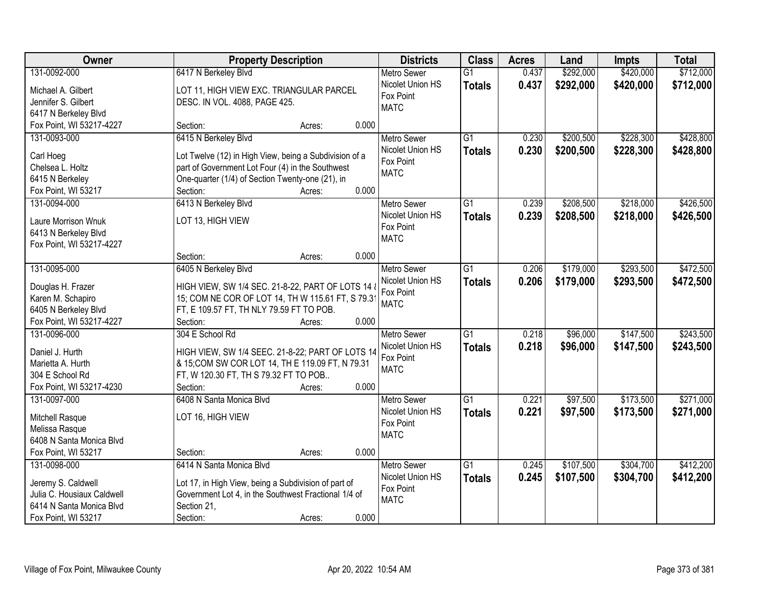| Owner                      |                                                                                              | <b>Property Description</b> |       | <b>Districts</b>         | <b>Class</b>    | <b>Acres</b> | Land      | Impts     | <b>Total</b> |
|----------------------------|----------------------------------------------------------------------------------------------|-----------------------------|-------|--------------------------|-----------------|--------------|-----------|-----------|--------------|
| 131-0092-000               | 6417 N Berkeley Blvd                                                                         |                             |       | <b>Metro Sewer</b>       | $\overline{G1}$ | 0.437        | \$292,000 | \$420,000 | \$712,000    |
| Michael A. Gilbert         | LOT 11, HIGH VIEW EXC. TRIANGULAR PARCEL                                                     |                             |       | Nicolet Union HS         | <b>Totals</b>   | 0.437        | \$292,000 | \$420,000 | \$712,000    |
| Jennifer S. Gilbert        | DESC. IN VOL. 4088, PAGE 425.                                                                |                             |       | Fox Point                |                 |              |           |           |              |
| 6417 N Berkeley Blvd       |                                                                                              |                             |       | <b>MATC</b>              |                 |              |           |           |              |
| Fox Point, WI 53217-4227   | Section:                                                                                     | Acres:                      | 0.000 |                          |                 |              |           |           |              |
| 131-0093-000               | 6415 N Berkeley Blvd                                                                         |                             |       | Metro Sewer              | $\overline{G1}$ | 0.230        | \$200,500 | \$228,300 | \$428,800    |
|                            |                                                                                              |                             |       | Nicolet Union HS         | <b>Totals</b>   | 0.230        | \$200,500 | \$228,300 | \$428,800    |
| Carl Hoeg                  | Lot Twelve (12) in High View, being a Subdivision of a                                       |                             |       | Fox Point                |                 |              |           |           |              |
| Chelsea L. Holtz           | part of Government Lot Four (4) in the Southwest                                             |                             |       | <b>MATC</b>              |                 |              |           |           |              |
| 6415 N Berkeley            | One-quarter (1/4) of Section Twenty-one (21), in                                             |                             |       |                          |                 |              |           |           |              |
| Fox Point, WI 53217        | Section:                                                                                     | Acres:                      | 0.000 |                          |                 |              |           |           |              |
| 131-0094-000               | 6413 N Berkeley Blvd                                                                         |                             |       | <b>Metro Sewer</b>       | $\overline{G1}$ | 0.239        | \$208,500 | \$218,000 | \$426,500    |
| Laure Morrison Wnuk        | LOT 13, HIGH VIEW                                                                            |                             |       | Nicolet Union HS         | <b>Totals</b>   | 0.239        | \$208,500 | \$218,000 | \$426,500    |
| 6413 N Berkeley Blvd       |                                                                                              |                             |       | Fox Point                |                 |              |           |           |              |
| Fox Point, WI 53217-4227   |                                                                                              |                             |       | <b>MATC</b>              |                 |              |           |           |              |
|                            | Section:                                                                                     | Acres:                      | 0.000 |                          |                 |              |           |           |              |
| 131-0095-000               | 6405 N Berkeley Blvd                                                                         |                             |       | <b>Metro Sewer</b>       | $\overline{G1}$ | 0.206        | \$179,000 | \$293,500 | \$472,500    |
|                            |                                                                                              |                             |       | Nicolet Union HS         | <b>Totals</b>   | 0.206        | \$179,000 | \$293,500 | \$472,500    |
| Douglas H. Frazer          | HIGH VIEW, SW 1/4 SEC. 21-8-22, PART OF LOTS 14 &                                            |                             |       | Fox Point                |                 |              |           |           |              |
| Karen M. Schapiro          | 15; COM NE COR OF LOT 14, TH W 115.61 FT, S 79.3<br>FT, E 109.57 FT, TH NLY 79.59 FT TO POB. |                             |       | <b>MATC</b>              |                 |              |           |           |              |
| 6405 N Berkeley Blvd       |                                                                                              |                             | 0.000 |                          |                 |              |           |           |              |
| Fox Point, WI 53217-4227   | Section:                                                                                     | Acres:                      |       |                          | $\overline{G1}$ | 0.218        | \$96,000  | \$147,500 | \$243,500    |
| 131-0096-000               | 304 E School Rd                                                                              |                             |       | <b>Metro Sewer</b>       |                 |              |           |           |              |
| Daniel J. Hurth            | HIGH VIEW, SW 1/4 SEEC. 21-8-22; PART OF LOTS 14                                             |                             |       | Nicolet Union HS         | <b>Totals</b>   | 0.218        | \$96,000  | \$147,500 | \$243,500    |
| Marietta A. Hurth          | & 15; COM SW COR LOT 14, TH E 119.09 FT, N 79.31                                             |                             |       | Fox Point<br><b>MATC</b> |                 |              |           |           |              |
| 304 E School Rd            | FT, W 120.30 FT, TH S 79.32 FT TO POB                                                        |                             |       |                          |                 |              |           |           |              |
| Fox Point, WI 53217-4230   | Section:                                                                                     | Acres:                      | 0.000 |                          |                 |              |           |           |              |
| 131-0097-000               | 6408 N Santa Monica Blvd                                                                     |                             |       | Metro Sewer              | $\overline{G1}$ | 0.221        | \$97,500  | \$173,500 | \$271,000    |
| Mitchell Rasque            | LOT 16, HIGH VIEW                                                                            |                             |       | Nicolet Union HS         | <b>Totals</b>   | 0.221        | \$97,500  | \$173,500 | \$271,000    |
| Melissa Rasque             |                                                                                              |                             |       | Fox Point                |                 |              |           |           |              |
| 6408 N Santa Monica Blvd   |                                                                                              |                             |       | <b>MATC</b>              |                 |              |           |           |              |
| Fox Point, WI 53217        | Section:                                                                                     | Acres:                      | 0.000 |                          |                 |              |           |           |              |
| 131-0098-000               | 6414 N Santa Monica Blvd                                                                     |                             |       | <b>Metro Sewer</b>       | $\overline{G1}$ | 0.245        | \$107,500 | \$304,700 | \$412,200    |
|                            |                                                                                              |                             |       | Nicolet Union HS         |                 | 0.245        | \$107,500 | \$304,700 | \$412,200    |
| Jeremy S. Caldwell         | Lot 17, in High View, being a Subdivision of part of                                         |                             |       | Fox Point                | <b>Totals</b>   |              |           |           |              |
| Julia C. Housiaux Caldwell | Government Lot 4, in the Southwest Fractional 1/4 of                                         |                             |       | <b>MATC</b>              |                 |              |           |           |              |
| 6414 N Santa Monica Blvd   | Section 21,                                                                                  |                             |       |                          |                 |              |           |           |              |
| Fox Point, WI 53217        | Section:                                                                                     | Acres:                      | 0.000 |                          |                 |              |           |           |              |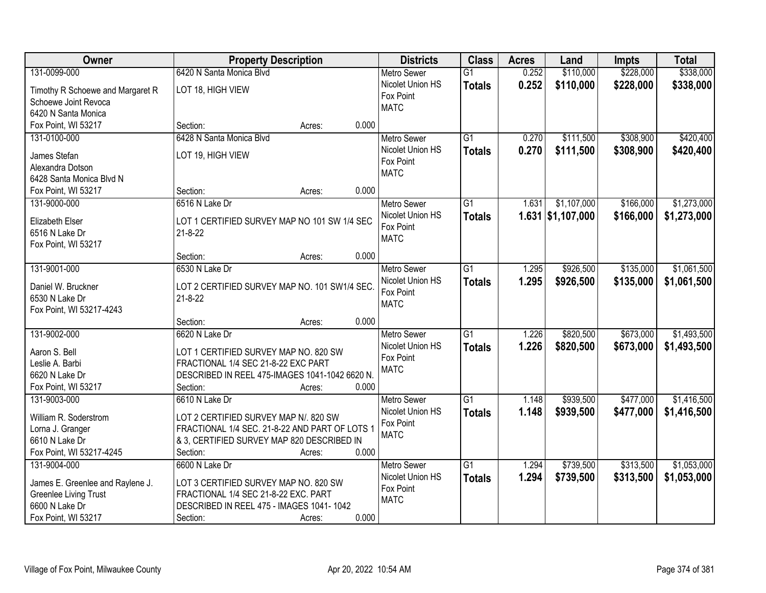| Owner                            | <b>Property Description</b>                    |                 | <b>Districts</b>              | <b>Class</b>    | <b>Acres</b> | Land                | <b>Impts</b> | <b>Total</b> |
|----------------------------------|------------------------------------------------|-----------------|-------------------------------|-----------------|--------------|---------------------|--------------|--------------|
| 131-0099-000                     | 6420 N Santa Monica Blvd                       |                 | <b>Metro Sewer</b>            | $\overline{G1}$ | 0.252        | \$110,000           | \$228,000    | \$338,000    |
| Timothy R Schoewe and Margaret R | LOT 18, HIGH VIEW                              |                 | Nicolet Union HS              | <b>Totals</b>   | 0.252        | \$110,000           | \$228,000    | \$338,000    |
| Schoewe Joint Revoca             |                                                |                 | Fox Point                     |                 |              |                     |              |              |
| 6420 N Santa Monica              |                                                |                 | <b>MATC</b>                   |                 |              |                     |              |              |
| Fox Point, WI 53217              | Section:                                       | 0.000<br>Acres: |                               |                 |              |                     |              |              |
| 131-0100-000                     | 6428 N Santa Monica Blyd                       |                 | <b>Metro Sewer</b>            | $\overline{G1}$ | 0.270        | \$111,500           | \$308,900    | \$420,400    |
|                                  |                                                |                 | Nicolet Union HS              | <b>Totals</b>   | 0.270        | \$111,500           | \$308,900    | \$420,400    |
| James Stefan                     | LOT 19, HIGH VIEW                              |                 | Fox Point                     |                 |              |                     |              |              |
| Alexandra Dotson                 |                                                |                 | <b>MATC</b>                   |                 |              |                     |              |              |
| 6428 Santa Monica Blvd N         | Section:                                       | 0.000           |                               |                 |              |                     |              |              |
| Fox Point, WI 53217              | 6516 N Lake Dr                                 | Acres:          |                               | $\overline{G1}$ | 1.631        | \$1,107,000         |              | \$1,273,000  |
| 131-9000-000                     |                                                |                 | <b>Metro Sewer</b>            |                 |              |                     | \$166,000    |              |
| Elizabeth Elser                  | LOT 1 CERTIFIED SURVEY MAP NO 101 SW 1/4 SEC   |                 | Nicolet Union HS<br>Fox Point | <b>Totals</b>   |              | $1.631$ \$1,107,000 | \$166,000    | \$1,273,000  |
| 6516 N Lake Dr                   | $21 - 8 - 22$                                  |                 | <b>MATC</b>                   |                 |              |                     |              |              |
| Fox Point, WI 53217              |                                                |                 |                               |                 |              |                     |              |              |
|                                  | Section:                                       | 0.000<br>Acres: |                               |                 |              |                     |              |              |
| 131-9001-000                     | 6530 N Lake Dr                                 |                 | <b>Metro Sewer</b>            | $\overline{G1}$ | 1.295        | \$926,500           | \$135,000    | \$1,061,500  |
| Daniel W. Bruckner               | LOT 2 CERTIFIED SURVEY MAP NO. 101 SW1/4 SEC.  |                 | Nicolet Union HS              | <b>Totals</b>   | 1.295        | \$926,500           | \$135,000    | \$1,061,500  |
| 6530 N Lake Dr                   | $21 - 8 - 22$                                  |                 | Fox Point                     |                 |              |                     |              |              |
| Fox Point, WI 53217-4243         |                                                |                 | <b>MATC</b>                   |                 |              |                     |              |              |
|                                  | Section:                                       | 0.000<br>Acres: |                               |                 |              |                     |              |              |
| 131-9002-000                     | 6620 N Lake Dr                                 |                 | <b>Metro Sewer</b>            | $\overline{G1}$ | 1.226        | \$820,500           | \$673,000    | \$1,493,500  |
|                                  |                                                |                 | Nicolet Union HS              | <b>Totals</b>   | 1.226        | \$820,500           | \$673,000    | \$1,493,500  |
| Aaron S. Bell                    | LOT 1 CERTIFIED SURVEY MAP NO. 820 SW          |                 | Fox Point                     |                 |              |                     |              |              |
| Leslie A. Barbi                  | FRACTIONAL 1/4 SEC 21-8-22 EXC PART            |                 | <b>MATC</b>                   |                 |              |                     |              |              |
| 6620 N Lake Dr                   | DESCRIBED IN REEL 475-IMAGES 1041-1042 6620 N. |                 |                               |                 |              |                     |              |              |
| Fox Point, WI 53217              | Section:                                       | 0.000<br>Acres: |                               |                 |              |                     |              |              |
| 131-9003-000                     | 6610 N Lake Dr                                 |                 | <b>Metro Sewer</b>            | $\overline{G1}$ | 1.148        | \$939,500           | \$477,000    | \$1,416,500  |
| William R. Soderstrom            | LOT 2 CERTIFIED SURVEY MAP N/. 820 SW          |                 | Nicolet Union HS              | <b>Totals</b>   | 1.148        | \$939,500           | \$477,000    | \$1,416,500  |
| Lorna J. Granger                 | FRACTIONAL 1/4 SEC. 21-8-22 AND PART OF LOTS 1 |                 | Fox Point                     |                 |              |                     |              |              |
| 6610 N Lake Dr                   | & 3, CERTIFIED SURVEY MAP 820 DESCRIBED IN     |                 | <b>MATC</b>                   |                 |              |                     |              |              |
| Fox Point, WI 53217-4245         | Section:                                       | 0.000<br>Acres: |                               |                 |              |                     |              |              |
| 131-9004-000                     | 6600 N Lake Dr                                 |                 | <b>Metro Sewer</b>            | $\overline{G1}$ | 1.294        | \$739,500           | \$313,500    | \$1,053,000  |
|                                  |                                                |                 | Nicolet Union HS              | <b>Totals</b>   | 1.294        | \$739,500           | \$313,500    | \$1,053,000  |
| James E. Greenlee and Raylene J. | LOT 3 CERTIFIED SURVEY MAP NO. 820 SW          |                 | Fox Point                     |                 |              |                     |              |              |
| <b>Greenlee Living Trust</b>     | FRACTIONAL 1/4 SEC 21-8-22 EXC. PART           |                 | <b>MATC</b>                   |                 |              |                     |              |              |
| 6600 N Lake Dr                   | DESCRIBED IN REEL 475 - IMAGES 1041-1042       |                 |                               |                 |              |                     |              |              |
| Fox Point, WI 53217              | Section:                                       | 0.000<br>Acres: |                               |                 |              |                     |              |              |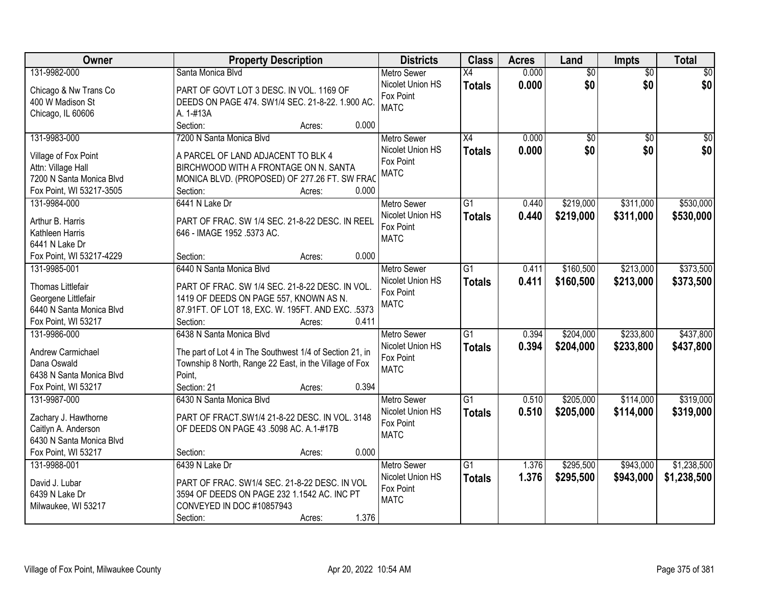| <b>Owner</b>             | <b>Property Description</b>                              | <b>Districts</b>   | <b>Class</b>    | <b>Acres</b> | Land            | Impts           | <b>Total</b>    |
|--------------------------|----------------------------------------------------------|--------------------|-----------------|--------------|-----------------|-----------------|-----------------|
| 131-9982-000             | Santa Monica Blvd                                        | <b>Metro Sewer</b> | $\overline{X4}$ | 0.000        | $\overline{60}$ | $\overline{30}$ | $\overline{50}$ |
| Chicago & Nw Trans Co    | PART OF GOVT LOT 3 DESC. IN VOL. 1169 OF                 | Nicolet Union HS   | <b>Totals</b>   | 0.000        | \$0             | \$0             | \$0             |
| 400 W Madison St         | DEEDS ON PAGE 474. SW1/4 SEC. 21-8-22. 1.900 AC.         | Fox Point          |                 |              |                 |                 |                 |
| Chicago, IL 60606        | A. 1-#13A                                                | <b>MATC</b>        |                 |              |                 |                 |                 |
|                          | 0.000<br>Section:<br>Acres:                              |                    |                 |              |                 |                 |                 |
| 131-9983-000             | 7200 N Santa Monica Blvd                                 | <b>Metro Sewer</b> | $\overline{X4}$ | 0.000        | $\overline{50}$ | $\overline{50}$ | \$0             |
|                          |                                                          | Nicolet Union HS   | <b>Totals</b>   | 0.000        | \$0             | \$0             | \$0             |
| Village of Fox Point     | A PARCEL OF LAND ADJACENT TO BLK 4                       | Fox Point          |                 |              |                 |                 |                 |
| Attn: Village Hall       | BIRCHWOOD WITH A FRONTAGE ON N. SANTA                    | <b>MATC</b>        |                 |              |                 |                 |                 |
| 7200 N Santa Monica Blvd | MONICA BLVD. (PROPOSED) OF 277.26 FT. SW FRAC            |                    |                 |              |                 |                 |                 |
| Fox Point, WI 53217-3505 | 0.000<br>Section:<br>Acres:                              |                    |                 |              |                 |                 |                 |
| 131-9984-000             | 6441 N Lake Dr                                           | <b>Metro Sewer</b> | $\overline{G1}$ | 0.440        | \$219,000       | \$311,000       | \$530,000       |
| Arthur B. Harris         | PART OF FRAC. SW 1/4 SEC. 21-8-22 DESC. IN REEL          | Nicolet Union HS   | <b>Totals</b>   | 0.440        | \$219,000       | \$311,000       | \$530,000       |
| Kathleen Harris          | 646 - IMAGE 1952 .5373 AC.                               | Fox Point          |                 |              |                 |                 |                 |
| 6441 N Lake Dr           |                                                          | <b>MATC</b>        |                 |              |                 |                 |                 |
| Fox Point, WI 53217-4229 | 0.000<br>Section:<br>Acres:                              |                    |                 |              |                 |                 |                 |
| 131-9985-001             | 6440 N Santa Monica Blvd                                 | <b>Metro Sewer</b> | $\overline{G1}$ | 0.411        | \$160,500       | \$213,000       | \$373,500       |
|                          |                                                          | Nicolet Union HS   |                 | 0.411        | \$160,500       | \$213,000       |                 |
| Thomas Littlefair        | PART OF FRAC. SW 1/4 SEC. 21-8-22 DESC. IN VOL.          | Fox Point          | <b>Totals</b>   |              |                 |                 | \$373,500       |
| Georgene Littlefair      | 1419 OF DEEDS ON PAGE 557, KNOWN AS N.                   | <b>MATC</b>        |                 |              |                 |                 |                 |
| 6440 N Santa Monica Blvd | 87.91FT. OF LOT 18, EXC. W. 195FT. AND EXC. .5373        |                    |                 |              |                 |                 |                 |
| Fox Point, WI 53217      | Section:<br>0.411<br>Acres:                              |                    |                 |              |                 |                 |                 |
| 131-9986-000             | 6438 N Santa Monica Blvd                                 | <b>Metro Sewer</b> | $\overline{G1}$ | 0.394        | \$204,000       | \$233,800       | \$437,800       |
|                          |                                                          | Nicolet Union HS   | <b>Totals</b>   | 0.394        | \$204,000       | \$233,800       | \$437,800       |
| Andrew Carmichael        | The part of Lot 4 in The Southwest 1/4 of Section 21, in | Fox Point          |                 |              |                 |                 |                 |
| Dana Oswald              | Township 8 North, Range 22 East, in the Village of Fox   | <b>MATC</b>        |                 |              |                 |                 |                 |
| 6438 N Santa Monica Blvd | Point.                                                   |                    |                 |              |                 |                 |                 |
| Fox Point, WI 53217      | Section: 21<br>0.394<br>Acres:                           |                    |                 |              |                 |                 |                 |
| 131-9987-000             | 6430 N Santa Monica Blvd                                 | <b>Metro Sewer</b> | $\overline{G1}$ | 0.510        | \$205,000       | \$114,000       | \$319,000       |
| Zachary J. Hawthorne     | PART OF FRACT.SW1/4 21-8-22 DESC. IN VOL. 3148           | Nicolet Union HS   | <b>Totals</b>   | 0.510        | \$205,000       | \$114,000       | \$319,000       |
| Caitlyn A. Anderson      | OF DEEDS ON PAGE 43 .5098 AC. A.1-#17B                   | Fox Point          |                 |              |                 |                 |                 |
| 6430 N Santa Monica Blvd |                                                          | <b>MATC</b>        |                 |              |                 |                 |                 |
| Fox Point, WI 53217      | 0.000<br>Section:<br>Acres:                              |                    |                 |              |                 |                 |                 |
| 131-9988-001             | 6439 N Lake Dr                                           | <b>Metro Sewer</b> | $\overline{G1}$ | 1.376        | \$295,500       | \$943,000       | \$1,238,500     |
|                          |                                                          | Nicolet Union HS   | <b>Totals</b>   | 1.376        | \$295,500       | \$943,000       | \$1,238,500     |
| David J. Lubar           | PART OF FRAC. SW1/4 SEC. 21-8-22 DESC. IN VOL            | Fox Point          |                 |              |                 |                 |                 |
| 6439 N Lake Dr           | 3594 OF DEEDS ON PAGE 232 1.1542 AC. INC PT              | <b>MATC</b>        |                 |              |                 |                 |                 |
| Milwaukee, WI 53217      | CONVEYED IN DOC #10857943                                |                    |                 |              |                 |                 |                 |
|                          | 1.376<br>Section:<br>Acres:                              |                    |                 |              |                 |                 |                 |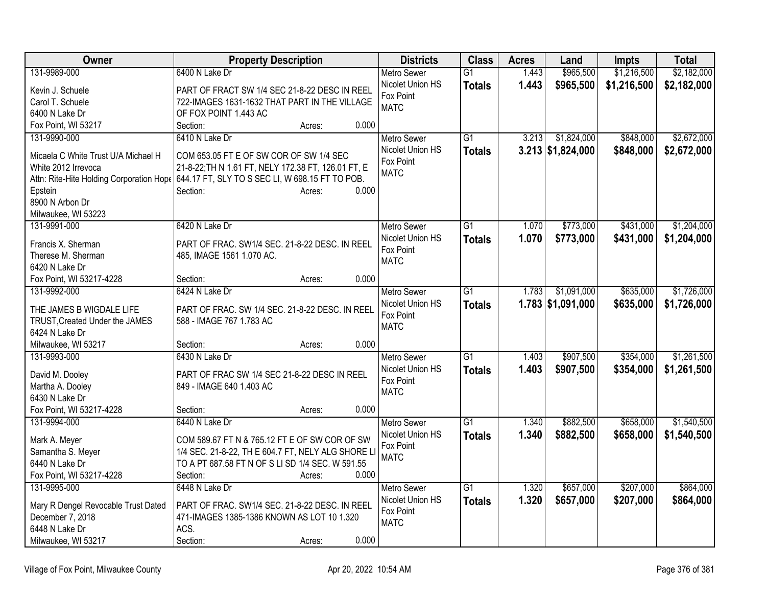| Owner                                      | <b>Property Description</b>                                                              | <b>Districts</b>                       | <b>Class</b>    | <b>Acres</b> | Land                | <b>Impts</b> | <b>Total</b> |
|--------------------------------------------|------------------------------------------------------------------------------------------|----------------------------------------|-----------------|--------------|---------------------|--------------|--------------|
| 131-9989-000                               | 6400 N Lake Dr                                                                           | Metro Sewer                            | $\overline{G1}$ | 1.443        | \$965,500           | \$1,216,500  | \$2,182,000  |
| Kevin J. Schuele                           | PART OF FRACT SW 1/4 SEC 21-8-22 DESC IN REEL                                            | Nicolet Union HS                       | <b>Totals</b>   | 1.443        | \$965,500           | \$1,216,500  | \$2,182,000  |
| Carol T. Schuele                           | 722-IMAGES 1631-1632 THAT PART IN THE VILLAGE                                            | Fox Point                              |                 |              |                     |              |              |
| 6400 N Lake Dr                             | OF FOX POINT 1.443 AC                                                                    | <b>MATC</b>                            |                 |              |                     |              |              |
| Fox Point, WI 53217                        | 0.000<br>Section:<br>Acres:                                                              |                                        |                 |              |                     |              |              |
| 131-9990-000                               | 6410 N Lake Dr                                                                           | <b>Metro Sewer</b>                     | G1              | 3.213        | \$1,824,000         | \$848,000    | \$2,672,000  |
| Micaela C White Trust U/A Michael H        | COM 653.05 FT E OF SW COR OF SW 1/4 SEC                                                  | Nicolet Union HS                       | <b>Totals</b>   |              | $3.213$ \$1,824,000 | \$848,000    | \$2,672,000  |
| White 2012 Irrevoca                        | 21-8-22; TH N 1.61 FT, NELY 172.38 FT, 126.01 FT, E                                      | Fox Point                              |                 |              |                     |              |              |
|                                            | Attn: Rite-Hite Holding Corporation Hope 644.17 FT, SLY TO S SEC LI, W 698.15 FT TO POB. | <b>MATC</b>                            |                 |              |                     |              |              |
| Epstein                                    | 0.000<br>Section:<br>Acres:                                                              |                                        |                 |              |                     |              |              |
| 8900 N Arbon Dr                            |                                                                                          |                                        |                 |              |                     |              |              |
| Milwaukee, WI 53223                        |                                                                                          |                                        |                 |              |                     |              |              |
| 131-9991-000                               | 6420 N Lake Dr                                                                           | Metro Sewer                            | $\overline{G1}$ | 1.070        | \$773,000           | \$431,000    | \$1,204,000  |
|                                            |                                                                                          | Nicolet Union HS                       | <b>Totals</b>   | 1.070        | \$773,000           | \$431,000    | \$1,204,000  |
| Francis X. Sherman                         | PART OF FRAC. SW1/4 SEC. 21-8-22 DESC. IN REEL                                           | Fox Point                              |                 |              |                     |              |              |
| Therese M. Sherman                         | 485, IMAGE 1561 1.070 AC.                                                                | <b>MATC</b>                            |                 |              |                     |              |              |
| 6420 N Lake Dr<br>Fox Point, WI 53217-4228 | 0.000<br>Section:                                                                        |                                        |                 |              |                     |              |              |
| 131-9992-000                               | Acres:<br>6424 N Lake Dr                                                                 |                                        | G1              | 1.783        | \$1,091,000         | \$635,000    | \$1,726,000  |
|                                            |                                                                                          | <b>Metro Sewer</b><br>Nicolet Union HS |                 |              |                     |              |              |
| THE JAMES B WIGDALE LIFE                   | PART OF FRAC. SW 1/4 SEC. 21-8-22 DESC. IN REEL                                          | Fox Point                              | <b>Totals</b>   |              | $1.783$ \$1,091,000 | \$635,000    | \$1,726,000  |
| TRUST, Created Under the JAMES             | 588 - IMAGE 767 1.783 AC                                                                 | <b>MATC</b>                            |                 |              |                     |              |              |
| 6424 N Lake Dr                             |                                                                                          |                                        |                 |              |                     |              |              |
| Milwaukee, WI 53217                        | 0.000<br>Section:<br>Acres:                                                              |                                        |                 |              |                     |              |              |
| 131-9993-000                               | 6430 N Lake Dr                                                                           | Metro Sewer                            | G1              | 1.403        | \$907,500           | \$354,000    | \$1,261,500  |
| David M. Dooley                            | PART OF FRAC SW 1/4 SEC 21-8-22 DESC IN REEL                                             | Nicolet Union HS                       | <b>Totals</b>   | 1.403        | \$907,500           | \$354,000    | \$1,261,500  |
| Martha A. Dooley                           | 849 - IMAGE 640 1.403 AC                                                                 | Fox Point                              |                 |              |                     |              |              |
| 6430 N Lake Dr                             |                                                                                          | <b>MATC</b>                            |                 |              |                     |              |              |
| Fox Point, WI 53217-4228                   | 0.000<br>Section:<br>Acres:                                                              |                                        |                 |              |                     |              |              |
| 131-9994-000                               | 6440 N Lake Dr                                                                           | <b>Metro Sewer</b>                     | $\overline{G1}$ | 1.340        | \$882,500           | \$658,000    | \$1,540,500  |
|                                            | COM 589.67 FT N & 765.12 FT E OF SW COR OF SW                                            | Nicolet Union HS                       | <b>Totals</b>   | 1.340        | \$882,500           | \$658,000    | \$1,540,500  |
| Mark A. Meyer<br>Samantha S. Meyer         | 1/4 SEC. 21-8-22, TH E 604.7 FT, NELY ALG SHORE L                                        | Fox Point                              |                 |              |                     |              |              |
| 6440 N Lake Dr                             | TO A PT 687.58 FT N OF S LI SD 1/4 SEC. W 591.55                                         | <b>MATC</b>                            |                 |              |                     |              |              |
| Fox Point, WI 53217-4228                   | 0.000<br>Section:<br>Acres:                                                              |                                        |                 |              |                     |              |              |
| 131-9995-000                               | 6448 N Lake Dr                                                                           | <b>Metro Sewer</b>                     | $\overline{G1}$ | 1.320        | \$657,000           | \$207,000    | \$864,000    |
|                                            |                                                                                          | Nicolet Union HS                       | <b>Totals</b>   | 1.320        | \$657,000           | \$207,000    | \$864,000    |
| Mary R Dengel Revocable Trust Dated        | PART OF FRAC. SW1/4 SEC. 21-8-22 DESC. IN REEL                                           | Fox Point                              |                 |              |                     |              |              |
| December 7, 2018                           | 471-IMAGES 1385-1386 KNOWN AS LOT 10 1.320                                               | <b>MATC</b>                            |                 |              |                     |              |              |
| 6448 N Lake Dr                             | ACS.                                                                                     |                                        |                 |              |                     |              |              |
| Milwaukee, WI 53217                        | 0.000<br>Section:<br>Acres:                                                              |                                        |                 |              |                     |              |              |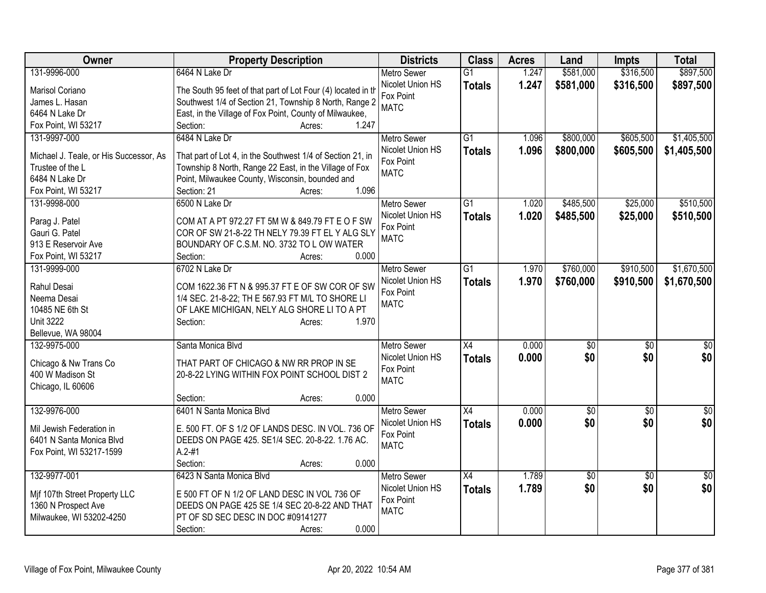| Owner                                  | <b>Property Description</b>                                  | <b>Districts</b>   | <b>Class</b>    | <b>Acres</b> | Land         | <b>Impts</b>    | <b>Total</b>    |
|----------------------------------------|--------------------------------------------------------------|--------------------|-----------------|--------------|--------------|-----------------|-----------------|
| 131-9996-000                           | 6464 N Lake Dr                                               | <b>Metro Sewer</b> | $\overline{G1}$ | 1.247        | \$581,000    | \$316,500       | \$897,500       |
| Marisol Coriano                        | The South 95 feet of that part of Lot Four (4) located in th | Nicolet Union HS   | <b>Totals</b>   | 1.247        | \$581,000    | \$316,500       | \$897,500       |
| James L. Hasan                         | Southwest 1/4 of Section 21, Township 8 North, Range 2       | Fox Point          |                 |              |              |                 |                 |
| 6464 N Lake Dr                         | East, in the Village of Fox Point, County of Milwaukee,      | <b>MATC</b>        |                 |              |              |                 |                 |
| Fox Point, WI 53217                    | 1.247<br>Section:<br>Acres:                                  |                    |                 |              |              |                 |                 |
| 131-9997-000                           | 6484 N Lake Dr                                               | <b>Metro Sewer</b> | G1              | 1.096        | \$800,000    | \$605,500       | \$1,405,500     |
|                                        |                                                              | Nicolet Union HS   | <b>Totals</b>   | 1.096        | \$800,000    | \$605,500       | \$1,405,500     |
| Michael J. Teale, or His Successor, As | That part of Lot 4, in the Southwest 1/4 of Section 21, in   | Fox Point          |                 |              |              |                 |                 |
| Trustee of the L                       | Township 8 North, Range 22 East, in the Village of Fox       | <b>MATC</b>        |                 |              |              |                 |                 |
| 6484 N Lake Dr                         | Point, Milwaukee County, Wisconsin, bounded and              |                    |                 |              |              |                 |                 |
| Fox Point, WI 53217                    | 1.096<br>Section: 21<br>Acres:                               |                    |                 |              |              |                 |                 |
| 131-9998-000                           | 6500 N Lake Dr                                               | <b>Metro Sewer</b> | G1              | 1.020        | \$485,500    | \$25,000        | \$510,500       |
| Parag J. Patel                         | COM AT A PT 972.27 FT 5M W & 849.79 FT E O F SW              | Nicolet Union HS   | <b>Totals</b>   | 1.020        | \$485,500    | \$25,000        | \$510,500       |
| Gauri G. Patel                         | COR OF SW 21-8-22 TH NELY 79.39 FT EL Y ALG SLY              | Fox Point          |                 |              |              |                 |                 |
| 913 E Reservoir Ave                    | BOUNDARY OF C.S.M. NO. 3732 TO L OW WATER                    | <b>MATC</b>        |                 |              |              |                 |                 |
| Fox Point, WI 53217                    | 0.000<br>Section:<br>Acres:                                  |                    |                 |              |              |                 |                 |
| 131-9999-000                           | 6702 N Lake Dr                                               | <b>Metro Sewer</b> | $\overline{G1}$ | 1.970        | \$760,000    | \$910,500       | \$1,670,500     |
|                                        |                                                              | Nicolet Union HS   | <b>Totals</b>   | 1.970        | \$760,000    | \$910,500       | \$1,670,500     |
| Rahul Desai                            | COM 1622.36 FT N & 995.37 FT E OF SW COR OF SW               | Fox Point          |                 |              |              |                 |                 |
| Neema Desai                            | 1/4 SEC. 21-8-22; TH E 567.93 FT M/L TO SHORE LI             | <b>MATC</b>        |                 |              |              |                 |                 |
| 10485 NE 6th St                        | OF LAKE MICHIGAN, NELY ALG SHORE LI TO A PT                  |                    |                 |              |              |                 |                 |
| <b>Unit 3222</b>                       | 1.970<br>Section:<br>Acres:                                  |                    |                 |              |              |                 |                 |
| Bellevue, WA 98004                     |                                                              |                    |                 |              |              |                 |                 |
| 132-9975-000                           | Santa Monica Blvd                                            | <b>Metro Sewer</b> | X4              | 0.000        | $\sqrt[6]{}$ | $\sqrt{6}$      | $\frac{1}{6}$   |
| Chicago & Nw Trans Co                  | THAT PART OF CHICAGO & NW RR PROP IN SE                      | Nicolet Union HS   | <b>Totals</b>   | 0.000        | \$0          | \$0             | \$0             |
| 400 W Madison St                       | 20-8-22 LYING WITHIN FOX POINT SCHOOL DIST 2                 | Fox Point          |                 |              |              |                 |                 |
| Chicago, IL 60606                      |                                                              | <b>MATC</b>        |                 |              |              |                 |                 |
|                                        | 0.000<br>Section:<br>Acres:                                  |                    |                 |              |              |                 |                 |
| 132-9976-000                           | 6401 N Santa Monica Blvd                                     | <b>Metro Sewer</b> | $\overline{X4}$ | 0.000        | \$0          | $\overline{50}$ | $\overline{30}$ |
|                                        |                                                              | Nicolet Union HS   | <b>Totals</b>   | 0.000        | \$0          | \$0             | \$0             |
| Mil Jewish Federation in               | E. 500 FT. OF S 1/2 OF LANDS DESC. IN VOL. 736 OF            | Fox Point          |                 |              |              |                 |                 |
| 6401 N Santa Monica Blvd               | DEEDS ON PAGE 425. SE1/4 SEC. 20-8-22. 1.76 AC.              | <b>MATC</b>        |                 |              |              |                 |                 |
| Fox Point, WI 53217-1599               | $A.2 - #1$                                                   |                    |                 |              |              |                 |                 |
|                                        | 0.000<br>Section:<br>Acres:                                  |                    |                 |              |              |                 |                 |
| 132-9977-001                           | 6423 N Santa Monica Blvd                                     | <b>Metro Sewer</b> | $\overline{X4}$ | 1.789        | \$0          | $\overline{30}$ | \$0             |
| Mif 107th Street Property LLC          | E 500 FT OF N 1/2 OF LAND DESC IN VOL 736 OF                 | Nicolet Union HS   | <b>Totals</b>   | 1.789        | \$0          | \$0             | \$0             |
| 1360 N Prospect Ave                    | DEEDS ON PAGE 425 SE 1/4 SEC 20-8-22 AND THAT                | Fox Point          |                 |              |              |                 |                 |
| Milwaukee, WI 53202-4250               | PT OF SD SEC DESC IN DOC #09141277                           | <b>MATC</b>        |                 |              |              |                 |                 |
|                                        | 0.000<br>Section:<br>Acres:                                  |                    |                 |              |              |                 |                 |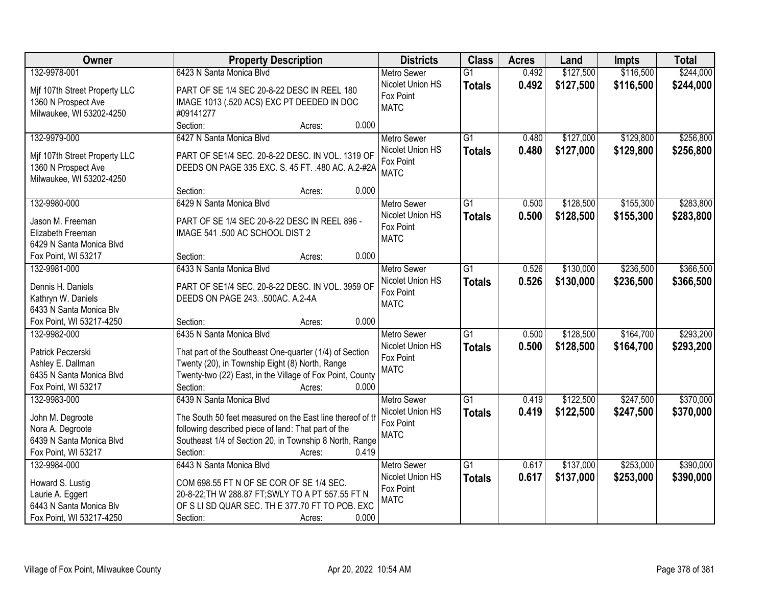| Owner                                        | <b>Property Description</b>                               | <b>Districts</b>   | <b>Class</b>    | <b>Acres</b> | Land      | <b>Impts</b> | <b>Total</b> |
|----------------------------------------------|-----------------------------------------------------------|--------------------|-----------------|--------------|-----------|--------------|--------------|
| 132-9978-001                                 | 6423 N Santa Monica Blvd                                  | <b>Metro Sewer</b> | $\overline{G1}$ | 0.492        | \$127,500 | \$116,500    | \$244,000    |
| Mif 107th Street Property LLC                | PART OF SE 1/4 SEC 20-8-22 DESC IN REEL 180               | Nicolet Union HS   | <b>Totals</b>   | 0.492        | \$127,500 | \$116,500    | \$244,000    |
| 1360 N Prospect Ave                          | IMAGE 1013 (.520 ACS) EXC PT DEEDED IN DOC                | Fox Point          |                 |              |           |              |              |
| Milwaukee, WI 53202-4250                     | #09141277                                                 | <b>MATC</b>        |                 |              |           |              |              |
|                                              | Section:<br>0.000<br>Acres:                               |                    |                 |              |           |              |              |
| 132-9979-000                                 | 6427 N Santa Monica Blyd                                  | <b>Metro Sewer</b> | $\overline{G1}$ | 0.480        | \$127,000 | \$129,800    | \$256,800    |
|                                              |                                                           | Nicolet Union HS   | <b>Totals</b>   | 0.480        | \$127,000 | \$129,800    | \$256,800    |
| Mif 107th Street Property LLC                | PART OF SE1/4 SEC. 20-8-22 DESC. IN VOL. 1319 OF          | Fox Point          |                 |              |           |              |              |
| 1360 N Prospect Ave                          | DEEDS ON PAGE 335 EXC. S. 45 FT. . 480 AC. A.2-#2A        | <b>MATC</b>        |                 |              |           |              |              |
| Milwaukee, WI 53202-4250                     | 0.000                                                     |                    |                 |              |           |              |              |
|                                              | Section:<br>Acres:                                        |                    |                 |              |           |              |              |
| 132-9980-000                                 | 6429 N Santa Monica Blvd                                  | <b>Metro Sewer</b> | G1              | 0.500        | \$128,500 | \$155,300    | \$283,800    |
| Jason M. Freeman                             | PART OF SE 1/4 SEC 20-8-22 DESC IN REEL 896 -             | Nicolet Union HS   | <b>Totals</b>   | 0.500        | \$128,500 | \$155,300    | \$283,800    |
| Elizabeth Freeman                            | IMAGE 541 .500 AC SCHOOL DIST 2                           | Fox Point          |                 |              |           |              |              |
| 6429 N Santa Monica Blvd                     |                                                           | <b>MATC</b>        |                 |              |           |              |              |
| Fox Point, WI 53217                          | 0.000<br>Section:<br>Acres:                               |                    |                 |              |           |              |              |
| 132-9981-000                                 | 6433 N Santa Monica Blyd                                  | <b>Metro Sewer</b> | $\overline{G1}$ | 0.526        | \$130,000 | \$236,500    | \$366,500    |
|                                              |                                                           | Nicolet Union HS   | <b>Totals</b>   | 0.526        | \$130,000 | \$236,500    | \$366,500    |
| Dennis H. Daniels                            | PART OF SE1/4 SEC. 20-8-22 DESC. IN VOL. 3959 OF          | Fox Point          |                 |              |           |              |              |
| Kathryn W. Daniels                           | DEEDS ON PAGE 243. .500AC. A.2-4A                         | <b>MATC</b>        |                 |              |           |              |              |
| 6433 N Santa Monica Blv                      |                                                           |                    |                 |              |           |              |              |
| Fox Point, WI 53217-4250                     | 0.000<br>Section:<br>Acres:                               |                    |                 |              |           |              |              |
| 132-9982-000                                 | 6435 N Santa Monica Blvd                                  | <b>Metro Sewer</b> | $\overline{G1}$ | 0.500        | \$128,500 | \$164,700    | \$293,200    |
| Patrick Peczerski                            | That part of the Southeast One-quarter (1/4) of Section   | Nicolet Union HS   | <b>Totals</b>   | 0.500        | \$128,500 | \$164,700    | \$293,200    |
| Ashley E. Dallman                            | Twenty (20), in Township Eight (8) North, Range           | Fox Point          |                 |              |           |              |              |
| 6435 N Santa Monica Blvd                     | Twenty-two (22) East, in the Village of Fox Point, County | <b>MATC</b>        |                 |              |           |              |              |
| Fox Point, WI 53217                          | 0.000<br>Section:<br>Acres:                               |                    |                 |              |           |              |              |
| 132-9983-000                                 | 6439 N Santa Monica Blyd                                  | Metro Sewer        | $\overline{G1}$ | 0.419        | \$122,500 | \$247,500    | \$370,000    |
|                                              |                                                           | Nicolet Union HS   | <b>Totals</b>   | 0.419        | \$122,500 | \$247,500    | \$370,000    |
| John M. Degroote                             | The South 50 feet measured on the East line thereof of th | Fox Point          |                 |              |           |              |              |
| Nora A. Degroote<br>6439 N Santa Monica Blvd | following described piece of land: That part of the       | <b>MATC</b>        |                 |              |           |              |              |
|                                              | Southeast 1/4 of Section 20, in Township 8 North, Range   |                    |                 |              |           |              |              |
| Fox Point, WI 53217                          | 0.419<br>Section:<br>Acres:                               |                    |                 |              |           |              |              |
| 132-9984-000                                 | 6443 N Santa Monica Blvd                                  | <b>Metro Sewer</b> | $\overline{G1}$ | 0.617        | \$137,000 | \$253,000    | \$390,000    |
| Howard S. Lustig                             | COM 698.55 FT N OF SE COR OF SE 1/4 SEC.                  | Nicolet Union HS   | <b>Totals</b>   | 0.617        | \$137,000 | \$253,000    | \$390,000    |
| Laurie A. Eggert                             | 20-8-22; TH W 288.87 FT; SWLY TO A PT 557.55 FT N         | Fox Point          |                 |              |           |              |              |
| 6443 N Santa Monica Blv                      | OF S LI SD QUAR SEC. TH E 377.70 FT TO POB. EXC           | <b>MATC</b>        |                 |              |           |              |              |
| Fox Point, WI 53217-4250                     | 0.000<br>Section:<br>Acres:                               |                    |                 |              |           |              |              |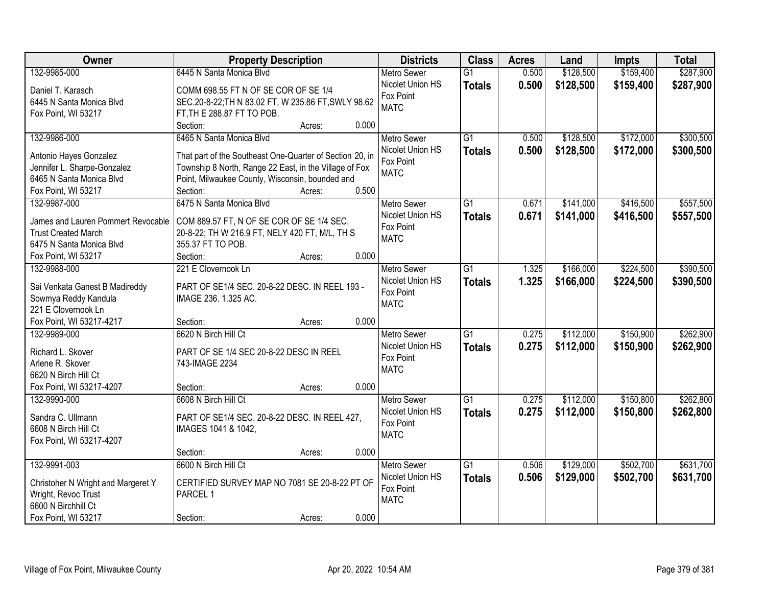| Owner                              | <b>Property Description</b>                              |        |       | <b>Districts</b>   | <b>Class</b>    | <b>Acres</b> | Land      | <b>Impts</b> | <b>Total</b> |
|------------------------------------|----------------------------------------------------------|--------|-------|--------------------|-----------------|--------------|-----------|--------------|--------------|
| 132-9985-000                       | 6445 N Santa Monica Blvd                                 |        |       | <b>Metro Sewer</b> | $\overline{G1}$ | 0.500        | \$128,500 | \$159,400    | \$287,900    |
| Daniel T. Karasch                  | COMM 698.55 FT N OF SE COR OF SE 1/4                     |        |       | Nicolet Union HS   | <b>Totals</b>   | 0.500        | \$128,500 | \$159,400    | \$287,900    |
| 6445 N Santa Monica Blvd           | SEC.20-8-22; TH N 83.02 FT, W 235.86 FT, SWLY 98.62      |        |       | Fox Point          |                 |              |           |              |              |
| Fox Point, WI 53217                | FT, TH E 288.87 FT TO POB.                               |        |       | <b>MATC</b>        |                 |              |           |              |              |
|                                    | Section:                                                 | Acres: | 0.000 |                    |                 |              |           |              |              |
| 132-9986-000                       | 6465 N Santa Monica Blvd                                 |        |       | <b>Metro Sewer</b> | $\overline{G1}$ | 0.500        | \$128,500 | \$172,000    | \$300,500    |
|                                    |                                                          |        |       | Nicolet Union HS   | <b>Totals</b>   | 0.500        | \$128,500 | \$172,000    | \$300,500    |
| Antonio Hayes Gonzalez             | That part of the Southeast One-Quarter of Section 20, in |        |       | Fox Point          |                 |              |           |              |              |
| Jennifer L. Sharpe-Gonzalez        | Township 8 North, Range 22 East, in the Village of Fox   |        |       | <b>MATC</b>        |                 |              |           |              |              |
| 6465 N Santa Monica Blvd           | Point, Milwaukee County, Wisconsin, bounded and          |        | 0.500 |                    |                 |              |           |              |              |
| Fox Point, WI 53217                | Section:                                                 | Acres: |       |                    |                 |              |           |              |              |
| 132-9987-000                       | 6475 N Santa Monica Blvd                                 |        |       | Metro Sewer        | $\overline{G1}$ | 0.671        | \$141,000 | \$416,500    | \$557,500    |
| James and Lauren Pommert Revocable | COM 889.57 FT, N OF SE COR OF SE 1/4 SEC.                |        |       | Nicolet Union HS   | <b>Totals</b>   | 0.671        | \$141,000 | \$416,500    | \$557,500    |
| <b>Trust Created March</b>         | 20-8-22; TH W 216.9 FT, NELY 420 FT, M/L, TH S           |        |       | Fox Point          |                 |              |           |              |              |
| 6475 N Santa Monica Blvd           | 355.37 FT TO POB.                                        |        |       | <b>MATC</b>        |                 |              |           |              |              |
| Fox Point, WI 53217                | Section:                                                 | Acres: | 0.000 |                    |                 |              |           |              |              |
| 132-9988-000                       | 221 E Clovernook Ln                                      |        |       | <b>Metro Sewer</b> | G1              | 1.325        | \$166,000 | \$224,500    | \$390,500    |
|                                    |                                                          |        |       | Nicolet Union HS   | <b>Totals</b>   | 1.325        | \$166,000 | \$224,500    | \$390,500    |
| Sai Venkata Ganest B Madireddy     | PART OF SE1/4 SEC. 20-8-22 DESC. IN REEL 193 -           |        |       | Fox Point          |                 |              |           |              |              |
| Sowmya Reddy Kandula               | IMAGE 236. 1.325 AC.                                     |        |       | <b>MATC</b>        |                 |              |           |              |              |
| 221 E Clovernook Ln                |                                                          |        |       |                    |                 |              |           |              |              |
| Fox Point, WI 53217-4217           | Section:                                                 | Acres: | 0.000 |                    |                 |              |           |              |              |
| 132-9989-000                       | 6620 N Birch Hill Ct                                     |        |       | <b>Metro Sewer</b> | $\overline{G1}$ | 0.275        | \$112,000 | \$150,900    | \$262,900    |
| Richard L. Skover                  | PART OF SE 1/4 SEC 20-8-22 DESC IN REEL                  |        |       | Nicolet Union HS   | <b>Totals</b>   | 0.275        | \$112,000 | \$150,900    | \$262,900    |
| Arlene R. Skover                   | 743-IMAGE 2234                                           |        |       | Fox Point          |                 |              |           |              |              |
| 6620 N Birch Hill Ct               |                                                          |        |       | <b>MATC</b>        |                 |              |           |              |              |
| Fox Point, WI 53217-4207           | Section:                                                 | Acres: | 0.000 |                    |                 |              |           |              |              |
| 132-9990-000                       | 6608 N Birch Hill Ct                                     |        |       | Metro Sewer        | G1              | 0.275        | \$112,000 | \$150,800    | \$262,800    |
|                                    |                                                          |        |       | Nicolet Union HS   | <b>Totals</b>   | 0.275        | \$112,000 | \$150,800    | \$262,800    |
| Sandra C. Ullmann                  | PART OF SE1/4 SEC. 20-8-22 DESC. IN REEL 427,            |        |       | Fox Point          |                 |              |           |              |              |
| 6608 N Birch Hill Ct               | IMAGES 1041 & 1042,                                      |        |       | <b>MATC</b>        |                 |              |           |              |              |
| Fox Point, WI 53217-4207           |                                                          |        |       |                    |                 |              |           |              |              |
|                                    | Section:                                                 | Acres: | 0.000 |                    |                 |              |           |              |              |
| 132-9991-003                       | 6600 N Birch Hill Ct                                     |        |       | <b>Metro Sewer</b> | $\overline{G1}$ | 0.506        | \$129,000 | \$502,700    | \$631,700    |
| Christoher N Wright and Margeret Y | CERTIFIED SURVEY MAP NO 7081 SE 20-8-22 PT OF            |        |       | Nicolet Union HS   | <b>Totals</b>   | 0.506        | \$129,000 | \$502,700    | \$631,700    |
| Wright, Revoc Trust                | PARCEL 1                                                 |        |       | Fox Point          |                 |              |           |              |              |
| 6600 N Birchhill Ct                |                                                          |        |       | <b>MATC</b>        |                 |              |           |              |              |
| Fox Point, WI 53217                | Section:                                                 | Acres: | 0.000 |                    |                 |              |           |              |              |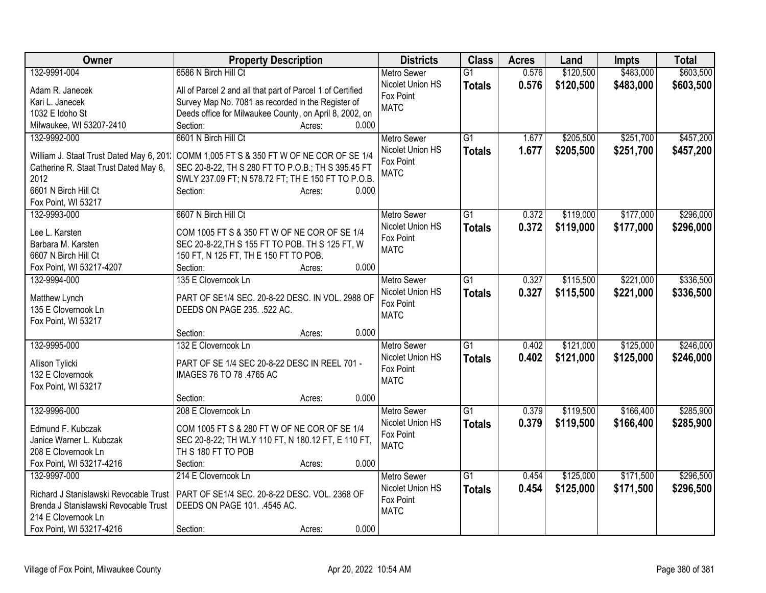| Owner                                         | <b>Property Description</b>                                                       | <b>Districts</b>   | <b>Class</b>    | <b>Acres</b> | Land      | <b>Impts</b> | <b>Total</b> |
|-----------------------------------------------|-----------------------------------------------------------------------------------|--------------------|-----------------|--------------|-----------|--------------|--------------|
| 132-9991-004                                  | 6586 N Birch Hill Ct                                                              | <b>Metro Sewer</b> | G1              | 0.576        | \$120,500 | \$483,000    | \$603,500    |
| Adam R. Janecek                               | All of Parcel 2 and all that part of Parcel 1 of Certified                        | Nicolet Union HS   | <b>Totals</b>   | 0.576        | \$120,500 | \$483,000    | \$603,500    |
| Kari L. Janecek                               | Survey Map No. 7081 as recorded in the Register of                                | Fox Point          |                 |              |           |              |              |
| 1032 E Idoho St                               | Deeds office for Milwaukee County, on April 8, 2002, on                           | <b>MATC</b>        |                 |              |           |              |              |
| Milwaukee, WI 53207-2410                      | 0.000<br>Section:<br>Acres:                                                       |                    |                 |              |           |              |              |
| 132-9992-000                                  | 6601 N Birch Hill Ct                                                              | <b>Metro Sewer</b> | $\overline{G1}$ | 1.677        | \$205,500 | \$251,700    | \$457,200    |
|                                               |                                                                                   | Nicolet Union HS   | <b>Totals</b>   | 1.677        | \$205,500 | \$251,700    | \$457,200    |
| William J. Staat Trust Dated May 6, 201.      | COMM 1,005 FT S & 350 FT W OF NE COR OF SE 1/4                                    | Fox Point          |                 |              |           |              |              |
| Catherine R. Staat Trust Dated May 6,<br>2012 | SEC 20-8-22, TH S 280 FT TO P.O.B.; TH S 395.45 FT                                | <b>MATC</b>        |                 |              |           |              |              |
| 6601 N Birch Hill Ct                          | SWLY 237.09 FT; N 578.72 FT; TH E 150 FT TO P.O.B.<br>Section:<br>0.000<br>Acres: |                    |                 |              |           |              |              |
| Fox Point, WI 53217                           |                                                                                   |                    |                 |              |           |              |              |
| 132-9993-000                                  | 6607 N Birch Hill Ct                                                              | <b>Metro Sewer</b> | G1              | 0.372        | \$119,000 | \$177,000    | \$296,000    |
|                                               |                                                                                   | Nicolet Union HS   | <b>Totals</b>   | 0.372        | \$119,000 | \$177,000    | \$296,000    |
| Lee L. Karsten                                | COM 1005 FT S & 350 FT W OF NE COR OF SE 1/4                                      | Fox Point          |                 |              |           |              |              |
| Barbara M. Karsten                            | SEC 20-8-22, TH S 155 FT TO POB. TH S 125 FT, W                                   | <b>MATC</b>        |                 |              |           |              |              |
| 6607 N Birch Hill Ct                          | 150 FT, N 125 FT, TH E 150 FT TO POB.                                             |                    |                 |              |           |              |              |
| Fox Point, WI 53217-4207                      | 0.000<br>Section:<br>Acres:                                                       |                    |                 |              |           |              |              |
| 132-9994-000                                  | 135 E Clovernook Ln                                                               | <b>Metro Sewer</b> | $\overline{G1}$ | 0.327        | \$115,500 | \$221,000    | \$336,500    |
| Matthew Lynch                                 | PART OF SE1/4 SEC. 20-8-22 DESC. IN VOL. 2988 OF                                  | Nicolet Union HS   | <b>Totals</b>   | 0.327        | \$115,500 | \$221,000    | \$336,500    |
| 135 E Clovernook Ln                           | DEEDS ON PAGE 235. .522 AC.                                                       | Fox Point          |                 |              |           |              |              |
| Fox Point, WI 53217                           |                                                                                   | <b>MATC</b>        |                 |              |           |              |              |
|                                               | 0.000<br>Section:<br>Acres:                                                       |                    |                 |              |           |              |              |
| 132-9995-000                                  | 132 E Clovernook Ln                                                               | <b>Metro Sewer</b> | $\overline{G1}$ | 0.402        | \$121,000 | \$125,000    | \$246,000    |
|                                               |                                                                                   | Nicolet Union HS   | <b>Totals</b>   | 0.402        | \$121,000 | \$125,000    | \$246,000    |
| Allison Tylicki                               | PART OF SE 1/4 SEC 20-8-22 DESC IN REEL 701 -                                     | Fox Point          |                 |              |           |              |              |
| 132 E Clovernook                              | IMAGES 76 TO 78 .4765 AC                                                          | <b>MATC</b>        |                 |              |           |              |              |
| Fox Point, WI 53217                           | 0.000<br>Section:                                                                 |                    |                 |              |           |              |              |
| 132-9996-000                                  | Acres:<br>208 E Clovernook Ln                                                     | <b>Metro Sewer</b> | $\overline{G1}$ | 0.379        | \$119,500 | \$166,400    | \$285,900    |
|                                               |                                                                                   | Nicolet Union HS   |                 | 0.379        |           |              |              |
| Edmund F. Kubczak                             | COM 1005 FT S & 280 FT W OF NE COR OF SE 1/4                                      | Fox Point          | <b>Totals</b>   |              | \$119,500 | \$166,400    | \$285,900    |
| Janice Warner L. Kubczak                      | SEC 20-8-22; TH WLY 110 FT, N 180.12 FT, E 110 FT,                                | <b>MATC</b>        |                 |              |           |              |              |
| 208 E Clovernook Ln                           | TH S 180 FT TO POB                                                                |                    |                 |              |           |              |              |
| Fox Point, WI 53217-4216                      | Section:<br>0.000<br>Acres:                                                       |                    |                 |              |           |              |              |
| 132-9997-000                                  | 214 E Clovernook Ln                                                               | <b>Metro Sewer</b> | $\overline{G1}$ | 0.454        | \$125,000 | \$171,500    | \$296,500    |
| Richard J Stanislawski Revocable Trust        | PART OF SE1/4 SEC. 20-8-22 DESC. VOL. 2368 OF                                     | Nicolet Union HS   | <b>Totals</b>   | 0.454        | \$125,000 | \$171,500    | \$296,500    |
| Brenda J Stanislawski Revocable Trust         | DEEDS ON PAGE 101. .4545 AC.                                                      | Fox Point          |                 |              |           |              |              |
| 214 E Clovernook Ln                           |                                                                                   | <b>MATC</b>        |                 |              |           |              |              |
| Fox Point, WI 53217-4216                      | 0.000<br>Section:<br>Acres:                                                       |                    |                 |              |           |              |              |